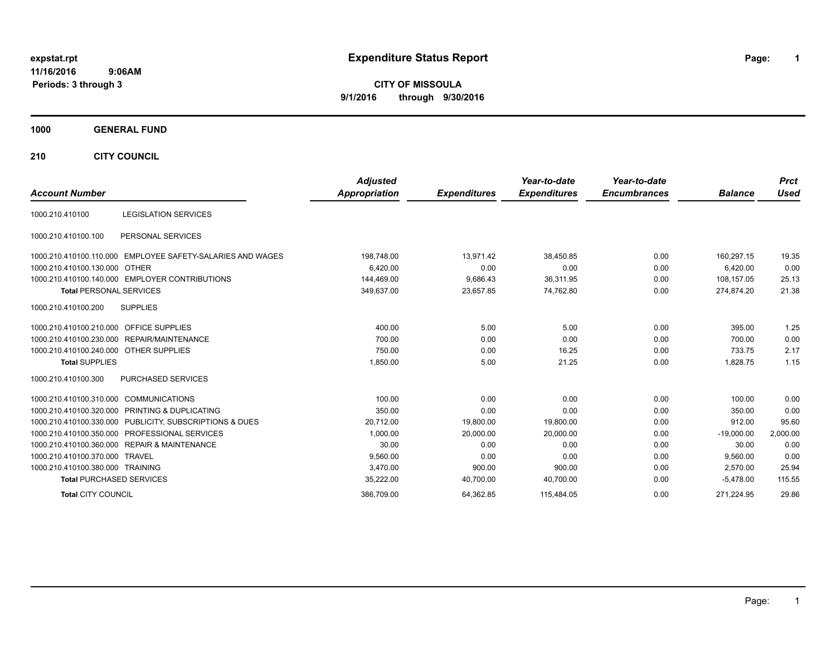# **expstat.rpt Expenditure Status Report Page:**

**1**

**CITY OF MISSOULA 9/1/2016 through 9/30/2016**

### **1000 GENERAL FUND**

**210 CITY COUNCIL**

|                                         |                                                            | <b>Adjusted</b> |                     | Year-to-date        | Year-to-date        |                | <b>Prct</b> |
|-----------------------------------------|------------------------------------------------------------|-----------------|---------------------|---------------------|---------------------|----------------|-------------|
| <b>Account Number</b>                   |                                                            | Appropriation   | <b>Expenditures</b> | <b>Expenditures</b> | <b>Encumbrances</b> | <b>Balance</b> | <b>Used</b> |
| 1000.210.410100                         | <b>LEGISLATION SERVICES</b>                                |                 |                     |                     |                     |                |             |
| 1000.210.410100.100                     | PERSONAL SERVICES                                          |                 |                     |                     |                     |                |             |
|                                         | 1000.210.410100.110.000 EMPLOYEE SAFETY-SALARIES AND WAGES | 198,748.00      | 13.971.42           | 38,450.85           | 0.00                | 160.297.15     | 19.35       |
| 1000.210.410100.130.000 OTHER           |                                                            | 6,420.00        | 0.00                | 0.00                | 0.00                | 6,420.00       | 0.00        |
|                                         | 1000.210.410100.140.000 EMPLOYER CONTRIBUTIONS             | 144,469.00      | 9,686.43            | 36,311.95           | 0.00                | 108.157.05     | 25.13       |
| <b>Total PERSONAL SERVICES</b>          |                                                            | 349,637.00      | 23,657.85           | 74,762.80           | 0.00                | 274,874.20     | 21.38       |
| 1000.210.410100.200                     | <b>SUPPLIES</b>                                            |                 |                     |                     |                     |                |             |
| 1000.210.410100.210.000 OFFICE SUPPLIES |                                                            | 400.00          | 5.00                | 5.00                | 0.00                | 395.00         | 1.25        |
|                                         | 1000.210.410100.230.000 REPAIR/MAINTENANCE                 | 700.00          | 0.00                | 0.00                | 0.00                | 700.00         | 0.00        |
| 1000.210.410100.240.000 OTHER SUPPLIES  |                                                            | 750.00          | 0.00                | 16.25               | 0.00                | 733.75         | 2.17        |
| <b>Total SUPPLIES</b>                   |                                                            | 1,850.00        | 5.00                | 21.25               | 0.00                | 1,828.75       | 1.15        |
| 1000.210.410100.300                     | PURCHASED SERVICES                                         |                 |                     |                     |                     |                |             |
| 1000.210.410100.310.000 COMMUNICATIONS  |                                                            | 100.00          | 0.00                | 0.00                | 0.00                | 100.00         | 0.00        |
|                                         | 1000.210.410100.320.000 PRINTING & DUPLICATING             | 350.00          | 0.00                | 0.00                | 0.00                | 350.00         | 0.00        |
|                                         | 1000.210.410100.330.000 PUBLICITY, SUBSCRIPTIONS & DUES    | 20,712.00       | 19,800.00           | 19,800.00           | 0.00                | 912.00         | 95.60       |
|                                         | 1000.210.410100.350.000 PROFESSIONAL SERVICES              | 1,000.00        | 20,000.00           | 20,000.00           | 0.00                | $-19,000.00$   | 2,000.00    |
|                                         | 1000.210.410100.360.000 REPAIR & MAINTENANCE               | 30.00           | 0.00                | 0.00                | 0.00                | 30.00          | 0.00        |
| 1000.210.410100.370.000 TRAVEL          |                                                            | 9,560.00        | 0.00                | 0.00                | 0.00                | 9,560.00       | 0.00        |
| 1000.210.410100.380.000 TRAINING        |                                                            | 3,470.00        | 900.00              | 900.00              | 0.00                | 2,570.00       | 25.94       |
| <b>Total PURCHASED SERVICES</b>         |                                                            | 35,222.00       | 40,700.00           | 40,700.00           | 0.00                | $-5.478.00$    | 115.55      |
| <b>Total CITY COUNCIL</b>               |                                                            | 386,709.00      | 64,362.85           | 115,484.05          | 0.00                | 271.224.95     | 29.86       |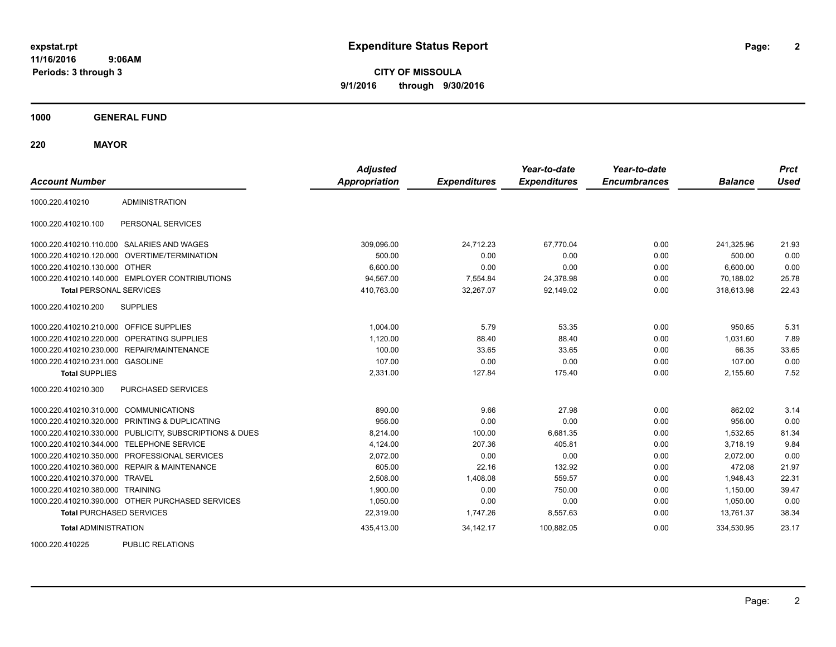**CITY OF MISSOULA 9/1/2016 through 9/30/2016**

**1000 GENERAL FUND**

**220 MAYOR**

| <b>Account Number</b>            |                                                  | <b>Adjusted</b><br>Appropriation | <b>Expenditures</b> | Year-to-date<br><b>Expenditures</b> | Year-to-date<br><b>Encumbrances</b> | <b>Balance</b> | <b>Prct</b><br><b>Used</b> |
|----------------------------------|--------------------------------------------------|----------------------------------|---------------------|-------------------------------------|-------------------------------------|----------------|----------------------------|
| 1000.220.410210                  | <b>ADMINISTRATION</b>                            |                                  |                     |                                     |                                     |                |                            |
| 1000.220.410210.100              | PERSONAL SERVICES                                |                                  |                     |                                     |                                     |                |                            |
|                                  | 1000.220.410210.110.000 SALARIES AND WAGES       | 309,096.00                       | 24,712.23           | 67,770.04                           | 0.00                                | 241,325.96     | 21.93                      |
|                                  | 1000.220.410210.120.000 OVERTIME/TERMINATION     | 500.00                           | 0.00                | 0.00                                | 0.00                                | 500.00         | 0.00                       |
| 1000.220.410210.130.000          | <b>OTHER</b>                                     | 6.600.00                         | 0.00                | 0.00                                | 0.00                                | 6.600.00       | 0.00                       |
|                                  | 1000.220.410210.140.000 EMPLOYER CONTRIBUTIONS   | 94,567.00                        | 7,554.84            | 24,378.98                           | 0.00                                | 70,188.02      | 25.78                      |
| <b>Total PERSONAL SERVICES</b>   |                                                  | 410,763.00                       | 32,267.07           | 92,149.02                           | 0.00                                | 318,613.98     | 22.43                      |
| 1000.220.410210.200              | <b>SUPPLIES</b>                                  |                                  |                     |                                     |                                     |                |                            |
| 1000.220.410210.210.000          | <b>OFFICE SUPPLIES</b>                           | 1.004.00                         | 5.79                | 53.35                               | 0.00                                | 950.65         | 5.31                       |
| 1000.220.410210.220.000          | OPERATING SUPPLIES                               | 1,120.00                         | 88.40               | 88.40                               | 0.00                                | 1.031.60       | 7.89                       |
| 1000.220.410210.230.000          | REPAIR/MAINTENANCE                               | 100.00                           | 33.65               | 33.65                               | 0.00                                | 66.35          | 33.65                      |
| 1000.220.410210.231.000 GASOLINE |                                                  | 107.00                           | 0.00                | 0.00                                | 0.00                                | 107.00         | 0.00                       |
| <b>Total SUPPLIES</b>            |                                                  | 2,331.00                         | 127.84              | 175.40                              | 0.00                                | 2,155.60       | 7.52                       |
| 1000.220.410210.300              | PURCHASED SERVICES                               |                                  |                     |                                     |                                     |                |                            |
| 1000.220.410210.310.000          | <b>COMMUNICATIONS</b>                            | 890.00                           | 9.66                | 27.98                               | 0.00                                | 862.02         | 3.14                       |
| 1000.220.410210.320.000          | PRINTING & DUPLICATING                           | 956.00                           | 0.00                | 0.00                                | 0.00                                | 956.00         | 0.00                       |
| 1000.220.410210.330.000          | PUBLICITY, SUBSCRIPTIONS & DUES                  | 8.214.00                         | 100.00              | 6.681.35                            | 0.00                                | 1.532.65       | 81.34                      |
| 1000.220.410210.344.000          | <b>TELEPHONE SERVICE</b>                         | 4,124.00                         | 207.36              | 405.81                              | 0.00                                | 3.718.19       | 9.84                       |
| 1000.220.410210.350.000          | PROFESSIONAL SERVICES                            | 2,072.00                         | 0.00                | 0.00                                | 0.00                                | 2,072.00       | 0.00                       |
|                                  | 1000.220.410210.360.000 REPAIR & MAINTENANCE     | 605.00                           | 22.16               | 132.92                              | 0.00                                | 472.08         | 21.97                      |
| 1000.220.410210.370.000 TRAVEL   |                                                  | 2.508.00                         | 1,408.08            | 559.57                              | 0.00                                | 1.948.43       | 22.31                      |
| 1000.220.410210.380.000          | <b>TRAINING</b>                                  | 1,900.00                         | 0.00                | 750.00                              | 0.00                                | 1,150.00       | 39.47                      |
|                                  | 1000.220.410210.390.000 OTHER PURCHASED SERVICES | 1,050.00                         | 0.00                | 0.00                                | 0.00                                | 1,050.00       | 0.00                       |
| <b>Total PURCHASED SERVICES</b>  |                                                  | 22,319.00                        | 1,747.26            | 8,557.63                            | 0.00                                | 13,761.37      | 38.34                      |
| <b>Total ADMINISTRATION</b>      |                                                  | 435,413.00                       | 34, 142. 17         | 100,882.05                          | 0.00                                | 334,530.95     | 23.17                      |

1000.220.410225 PUBLIC RELATIONS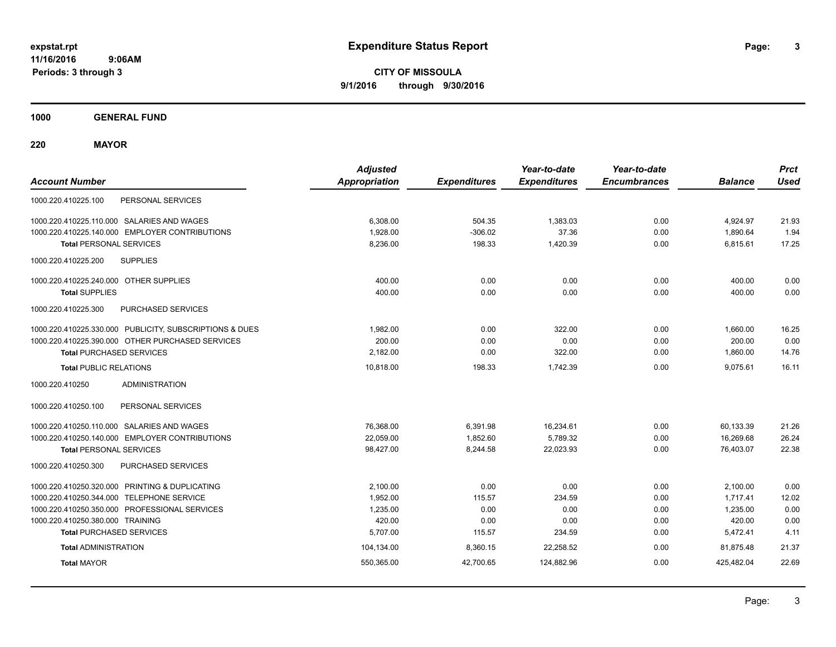**CITY OF MISSOULA 9/1/2016 through 9/30/2016**

**1000 GENERAL FUND**

**220 MAYOR**

| <b>Account Number</b>                                   | <b>Adjusted</b><br><b>Appropriation</b> | <b>Expenditures</b> | Year-to-date<br><b>Expenditures</b> | Year-to-date<br><b>Encumbrances</b> | <b>Balance</b> | <b>Prct</b><br><b>Used</b> |
|---------------------------------------------------------|-----------------------------------------|---------------------|-------------------------------------|-------------------------------------|----------------|----------------------------|
| 1000.220.410225.100<br>PERSONAL SERVICES                |                                         |                     |                                     |                                     |                |                            |
| 1000.220.410225.110.000 SALARIES AND WAGES              | 6,308.00                                | 504.35              | 1,383.03                            | 0.00                                | 4,924.97       | 21.93                      |
| 1000.220.410225.140.000 EMPLOYER CONTRIBUTIONS          | 1.928.00                                | $-306.02$           | 37.36                               | 0.00                                | 1.890.64       | 1.94                       |
| <b>Total PERSONAL SERVICES</b>                          | 8,236.00                                | 198.33              | 1,420.39                            | 0.00                                | 6,815.61       | 17.25                      |
| 1000.220.410225.200<br><b>SUPPLIES</b>                  |                                         |                     |                                     |                                     |                |                            |
| 1000.220.410225.240.000 OTHER SUPPLIES                  | 400.00                                  | 0.00                | 0.00                                | 0.00                                | 400.00         | 0.00                       |
| <b>Total SUPPLIES</b>                                   | 400.00                                  | 0.00                | 0.00                                | 0.00                                | 400.00         | 0.00                       |
| 1000.220.410225.300<br>PURCHASED SERVICES               |                                         |                     |                                     |                                     |                |                            |
| 1000.220.410225.330.000 PUBLICITY, SUBSCRIPTIONS & DUES | 1.982.00                                | 0.00                | 322.00                              | 0.00                                | 1,660.00       | 16.25                      |
| 1000.220.410225.390.000 OTHER PURCHASED SERVICES        | 200.00                                  | 0.00                | 0.00                                | 0.00                                | 200.00         | 0.00                       |
| <b>Total PURCHASED SERVICES</b>                         | 2,182.00                                | 0.00                | 322.00                              | 0.00                                | 1,860.00       | 14.76                      |
| <b>Total PUBLIC RELATIONS</b>                           | 10,818.00                               | 198.33              | 1,742.39                            | 0.00                                | 9.075.61       | 16.11                      |
| <b>ADMINISTRATION</b><br>1000.220.410250                |                                         |                     |                                     |                                     |                |                            |
| PERSONAL SERVICES<br>1000.220.410250.100                |                                         |                     |                                     |                                     |                |                            |
| 1000.220.410250.110.000 SALARIES AND WAGES              | 76,368.00                               | 6,391.98            | 16,234.61                           | 0.00                                | 60,133.39      | 21.26                      |
| 1000.220.410250.140.000 EMPLOYER CONTRIBUTIONS          | 22,059.00                               | 1,852.60            | 5,789.32                            | 0.00                                | 16,269.68      | 26.24                      |
| <b>Total PERSONAL SERVICES</b>                          | 98,427.00                               | 8,244.58            | 22,023.93                           | 0.00                                | 76,403.07      | 22.38                      |
| 1000.220.410250.300<br>PURCHASED SERVICES               |                                         |                     |                                     |                                     |                |                            |
| 1000.220.410250.320.000 PRINTING & DUPLICATING          | 2.100.00                                | 0.00                | 0.00                                | 0.00                                | 2,100.00       | 0.00                       |
| 1000.220.410250.344.000 TELEPHONE SERVICE               | 1,952.00                                | 115.57              | 234.59                              | 0.00                                | 1,717.41       | 12.02                      |
| 1000.220.410250.350.000 PROFESSIONAL SERVICES           | 1,235.00                                | 0.00                | 0.00                                | 0.00                                | 1,235.00       | 0.00                       |
| 1000.220.410250.380.000 TRAINING                        | 420.00                                  | 0.00                | 0.00                                | 0.00                                | 420.00         | 0.00                       |
| <b>Total PURCHASED SERVICES</b>                         | 5,707.00                                | 115.57              | 234.59                              | 0.00                                | 5,472.41       | 4.11                       |
| <b>Total ADMINISTRATION</b>                             | 104,134.00                              | 8,360.15            | 22,258.52                           | 0.00                                | 81.875.48      | 21.37                      |
| <b>Total MAYOR</b>                                      | 550,365.00                              | 42,700.65           | 124,882.96                          | 0.00                                | 425,482.04     | 22.69                      |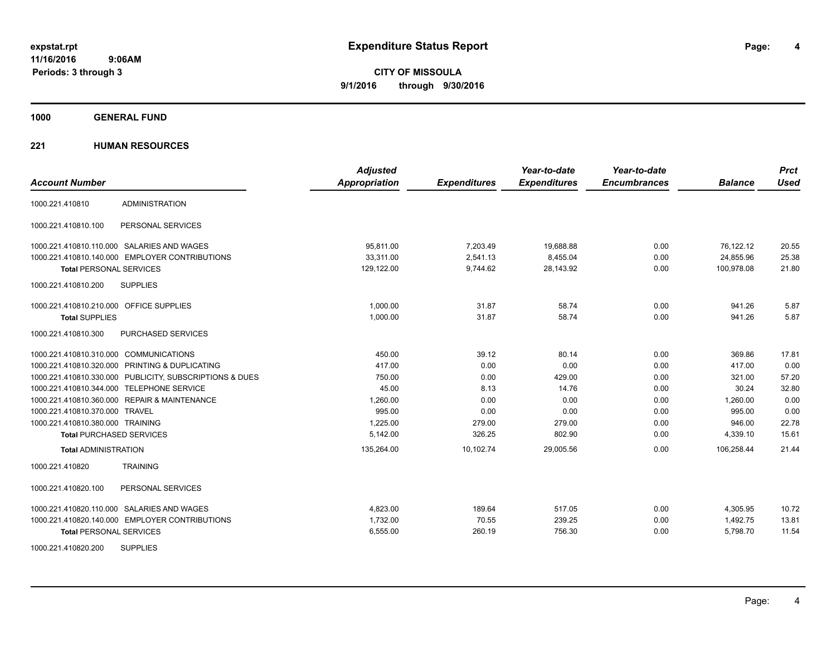**CITY OF MISSOULA 9/1/2016 through 9/30/2016**

**1000 GENERAL FUND**

| <b>Account Number</b>                                   | <b>Adjusted</b><br><b>Appropriation</b> | <b>Expenditures</b> | Year-to-date<br><b>Expenditures</b> | Year-to-date<br><b>Encumbrances</b> | <b>Balance</b> | <b>Prct</b><br><b>Used</b> |
|---------------------------------------------------------|-----------------------------------------|---------------------|-------------------------------------|-------------------------------------|----------------|----------------------------|
|                                                         |                                         |                     |                                     |                                     |                |                            |
| <b>ADMINISTRATION</b><br>1000.221.410810                |                                         |                     |                                     |                                     |                |                            |
| PERSONAL SERVICES<br>1000.221.410810.100                |                                         |                     |                                     |                                     |                |                            |
| 1000.221.410810.110.000 SALARIES AND WAGES              | 95.811.00                               | 7,203.49            | 19,688.88                           | 0.00                                | 76,122.12      | 20.55                      |
| 1000.221.410810.140.000 EMPLOYER CONTRIBUTIONS          | 33,311.00                               | 2,541.13            | 8,455.04                            | 0.00                                | 24,855.96      | 25.38                      |
| <b>Total PERSONAL SERVICES</b>                          | 129,122.00                              | 9,744.62            | 28,143.92                           | 0.00                                | 100,978.08     | 21.80                      |
| 1000.221.410810.200<br><b>SUPPLIES</b>                  |                                         |                     |                                     |                                     |                |                            |
| 1000.221.410810.210.000 OFFICE SUPPLIES                 | 1,000.00                                | 31.87               | 58.74                               | 0.00                                | 941.26         | 5.87                       |
| <b>Total SUPPLIES</b>                                   | 1.000.00                                | 31.87               | 58.74                               | 0.00                                | 941.26         | 5.87                       |
| 1000.221.410810.300<br>PURCHASED SERVICES               |                                         |                     |                                     |                                     |                |                            |
| 1000.221.410810.310.000 COMMUNICATIONS                  | 450.00                                  | 39.12               | 80.14                               | 0.00                                | 369.86         | 17.81                      |
| 1000.221.410810.320.000 PRINTING & DUPLICATING          | 417.00                                  | 0.00                | 0.00                                | 0.00                                | 417.00         | 0.00                       |
| 1000.221.410810.330.000 PUBLICITY, SUBSCRIPTIONS & DUES | 750.00                                  | 0.00                | 429.00                              | 0.00                                | 321.00         | 57.20                      |
| 1000.221.410810.344.000 TELEPHONE SERVICE               | 45.00                                   | 8.13                | 14.76                               | 0.00                                | 30.24          | 32.80                      |
| 1000.221.410810.360.000 REPAIR & MAINTENANCE            | 1,260.00                                | 0.00                | 0.00                                | 0.00                                | 1,260.00       | 0.00                       |
| 1000.221.410810.370.000 TRAVEL                          | 995.00                                  | 0.00                | 0.00                                | 0.00                                | 995.00         | 0.00                       |
| 1000.221.410810.380.000 TRAINING                        | 1,225.00                                | 279.00              | 279.00                              | 0.00                                | 946.00         | 22.78                      |
| <b>Total PURCHASED SERVICES</b>                         | 5,142.00                                | 326.25              | 802.90                              | 0.00                                | 4,339.10       | 15.61                      |
| <b>Total ADMINISTRATION</b>                             | 135,264.00                              | 10,102.74           | 29,005.56                           | 0.00                                | 106,258.44     | 21.44                      |
| <b>TRAINING</b><br>1000.221.410820                      |                                         |                     |                                     |                                     |                |                            |
| 1000.221.410820.100<br>PERSONAL SERVICES                |                                         |                     |                                     |                                     |                |                            |
| 1000.221.410820.110.000 SALARIES AND WAGES              | 4,823.00                                | 189.64              | 517.05                              | 0.00                                | 4,305.95       | 10.72                      |
| 1000.221.410820.140.000 EMPLOYER CONTRIBUTIONS          | 1,732.00                                | 70.55               | 239.25                              | 0.00                                | 1,492.75       | 13.81                      |
| <b>Total PERSONAL SERVICES</b>                          | 6,555.00                                | 260.19              | 756.30                              | 0.00                                | 5,798.70       | 11.54                      |
| <b>SUPPLIES</b><br>1000.221.410820.200                  |                                         |                     |                                     |                                     |                |                            |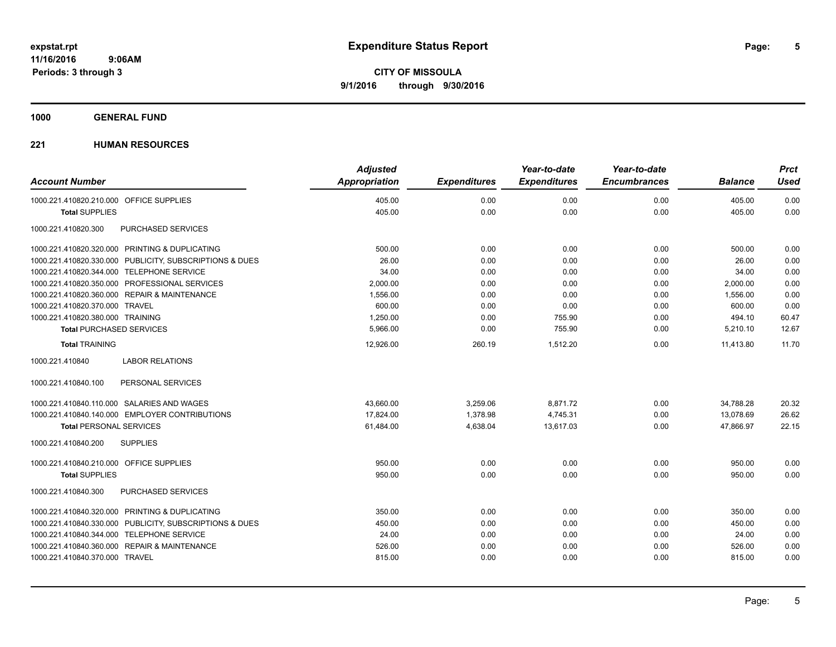### **1000 GENERAL FUND**

|                                                         | <b>Adjusted</b>      |                     | Year-to-date        | Year-to-date        |                | <b>Prct</b> |
|---------------------------------------------------------|----------------------|---------------------|---------------------|---------------------|----------------|-------------|
| <b>Account Number</b>                                   | <b>Appropriation</b> | <b>Expenditures</b> | <b>Expenditures</b> | <b>Encumbrances</b> | <b>Balance</b> | <b>Used</b> |
| 1000.221.410820.210.000 OFFICE SUPPLIES                 | 405.00               | 0.00                | 0.00                | 0.00                | 405.00         | 0.00        |
| <b>Total SUPPLIES</b>                                   | 405.00               | 0.00                | 0.00                | 0.00                | 405.00         | 0.00        |
| PURCHASED SERVICES<br>1000.221.410820.300               |                      |                     |                     |                     |                |             |
| 1000.221.410820.320.000 PRINTING & DUPLICATING          | 500.00               | 0.00                | 0.00                | 0.00                | 500.00         | 0.00        |
| 1000.221.410820.330.000 PUBLICITY, SUBSCRIPTIONS & DUES | 26.00                | 0.00                | 0.00                | 0.00                | 26.00          | 0.00        |
| 1000.221.410820.344.000 TELEPHONE SERVICE               | 34.00                | 0.00                | 0.00                | 0.00                | 34.00          | 0.00        |
| 1000.221.410820.350.000 PROFESSIONAL SERVICES           | 2,000.00             | 0.00                | 0.00                | 0.00                | 2,000.00       | 0.00        |
| 1000.221.410820.360.000 REPAIR & MAINTENANCE            | 1,556.00             | 0.00                | 0.00                | 0.00                | 1,556.00       | 0.00        |
| 1000.221.410820.370.000 TRAVEL                          | 600.00               | 0.00                | 0.00                | 0.00                | 600.00         | 0.00        |
| 1000.221.410820.380.000 TRAINING                        | 1,250.00             | 0.00                | 755.90              | 0.00                | 494.10         | 60.47       |
| <b>Total PURCHASED SERVICES</b>                         | 5,966.00             | 0.00                | 755.90              | 0.00                | 5,210.10       | 12.67       |
| <b>Total TRAINING</b>                                   | 12,926.00            | 260.19              | 1,512.20            | 0.00                | 11,413.80      | 11.70       |
| 1000.221.410840<br><b>LABOR RELATIONS</b>               |                      |                     |                     |                     |                |             |
| 1000.221.410840.100<br>PERSONAL SERVICES                |                      |                     |                     |                     |                |             |
| 1000.221.410840.110.000 SALARIES AND WAGES              | 43,660.00            | 3,259.06            | 8,871.72            | 0.00                | 34,788.28      | 20.32       |
| 1000.221.410840.140.000 EMPLOYER CONTRIBUTIONS          | 17,824.00            | 1,378.98            | 4,745.31            | 0.00                | 13,078.69      | 26.62       |
| <b>Total PERSONAL SERVICES</b>                          | 61,484.00            | 4,638.04            | 13,617.03           | 0.00                | 47,866.97      | 22.15       |
| 1000.221.410840.200<br><b>SUPPLIES</b>                  |                      |                     |                     |                     |                |             |
| 1000.221.410840.210.000 OFFICE SUPPLIES                 | 950.00               | 0.00                | 0.00                | 0.00                | 950.00         | 0.00        |
| <b>Total SUPPLIES</b>                                   | 950.00               | 0.00                | 0.00                | 0.00                | 950.00         | 0.00        |
| 1000.221.410840.300<br>PURCHASED SERVICES               |                      |                     |                     |                     |                |             |
| 1000.221.410840.320.000 PRINTING & DUPLICATING          | 350.00               | 0.00                | 0.00                | 0.00                | 350.00         | 0.00        |
| 1000.221.410840.330.000 PUBLICITY, SUBSCRIPTIONS & DUES | 450.00               | 0.00                | 0.00                | 0.00                | 450.00         | 0.00        |
| 1000.221.410840.344.000 TELEPHONE SERVICE               | 24.00                | 0.00                | 0.00                | 0.00                | 24.00          | 0.00        |
| 1000.221.410840.360.000 REPAIR & MAINTENANCE            | 526.00               | 0.00                | 0.00                | 0.00                | 526.00         | 0.00        |
| 1000.221.410840.370.000 TRAVEL                          | 815.00               | 0.00                | 0.00                | 0.00                | 815.00         | 0.00        |
|                                                         |                      |                     |                     |                     |                |             |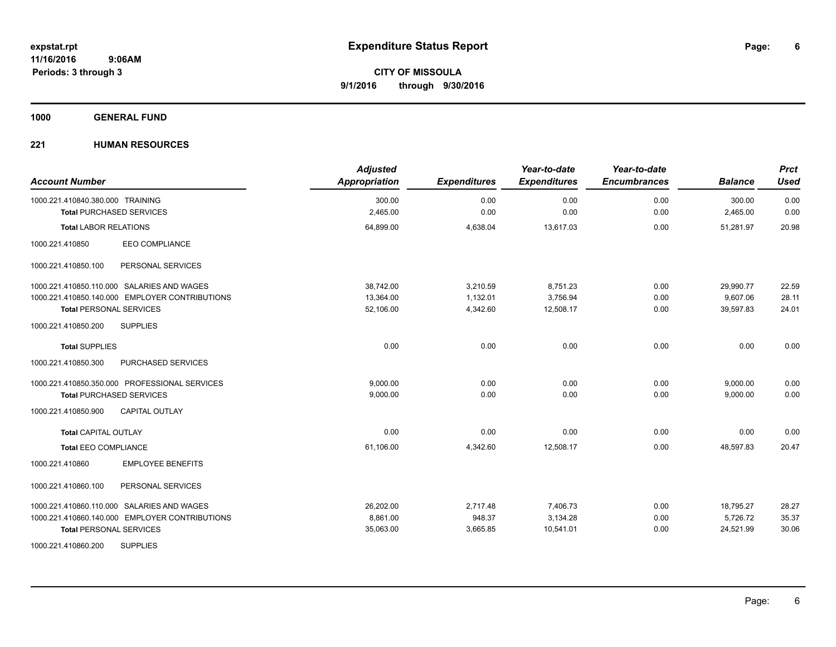**1000 GENERAL FUND**

| <b>Account Number</b>                          | <b>Adjusted</b><br><b>Appropriation</b> | <b>Expenditures</b> | Year-to-date<br><b>Expenditures</b> | Year-to-date<br><b>Encumbrances</b> | <b>Balance</b> | <b>Prct</b><br><b>Used</b> |
|------------------------------------------------|-----------------------------------------|---------------------|-------------------------------------|-------------------------------------|----------------|----------------------------|
| 1000.221.410840.380.000 TRAINING               | 300.00<br>2,465.00                      | 0.00<br>0.00        | 0.00<br>0.00                        | 0.00<br>0.00                        | 300.00         | 0.00<br>0.00               |
| <b>Total PURCHASED SERVICES</b>                |                                         |                     |                                     |                                     | 2,465.00       |                            |
| <b>Total LABOR RELATIONS</b>                   | 64,899.00                               | 4,638.04            | 13,617.03                           | 0.00                                | 51,281.97      | 20.98                      |
| EEO COMPLIANCE<br>1000.221.410850              |                                         |                     |                                     |                                     |                |                            |
| 1000.221.410850.100<br>PERSONAL SERVICES       |                                         |                     |                                     |                                     |                |                            |
| 1000.221.410850.110.000 SALARIES AND WAGES     | 38,742.00                               | 3,210.59            | 8,751.23                            | 0.00                                | 29,990.77      | 22.59                      |
| 1000.221.410850.140.000 EMPLOYER CONTRIBUTIONS | 13,364.00                               | 1,132.01            | 3,756.94                            | 0.00                                | 9,607.06       | 28.11                      |
| <b>Total PERSONAL SERVICES</b>                 | 52,106.00                               | 4,342.60            | 12,508.17                           | 0.00                                | 39,597.83      | 24.01                      |
| 1000.221.410850.200<br><b>SUPPLIES</b>         |                                         |                     |                                     |                                     |                |                            |
| <b>Total SUPPLIES</b>                          | 0.00                                    | 0.00                | 0.00                                | 0.00                                | 0.00           | 0.00                       |
| 1000.221.410850.300<br>PURCHASED SERVICES      |                                         |                     |                                     |                                     |                |                            |
| 1000.221.410850.350.000 PROFESSIONAL SERVICES  | 9,000.00                                | 0.00                | 0.00                                | 0.00                                | 9,000.00       | 0.00                       |
| <b>Total PURCHASED SERVICES</b>                | 9,000.00                                | 0.00                | 0.00                                | 0.00                                | 9,000.00       | 0.00                       |
| <b>CAPITAL OUTLAY</b><br>1000.221.410850.900   |                                         |                     |                                     |                                     |                |                            |
| <b>Total CAPITAL OUTLAY</b>                    | 0.00                                    | 0.00                | 0.00                                | 0.00                                | 0.00           | 0.00                       |
| <b>Total EEO COMPLIANCE</b>                    | 61,106.00                               | 4,342.60            | 12,508.17                           | 0.00                                | 48.597.83      | 20.47                      |
| 1000.221.410860<br><b>EMPLOYEE BENEFITS</b>    |                                         |                     |                                     |                                     |                |                            |
| 1000.221.410860.100<br>PERSONAL SERVICES       |                                         |                     |                                     |                                     |                |                            |
| 1000.221.410860.110.000 SALARIES AND WAGES     | 26,202.00                               | 2,717.48            | 7,406.73                            | 0.00                                | 18,795.27      | 28.27                      |
| 1000.221.410860.140.000 EMPLOYER CONTRIBUTIONS | 8.861.00                                | 948.37              | 3,134.28                            | 0.00                                | 5,726.72       | 35.37                      |
| <b>Total PERSONAL SERVICES</b>                 | 35,063.00                               | 3,665.85            | 10,541.01                           | 0.00                                | 24,521.99      | 30.06                      |
| <b>SUPPLIES</b><br>1000.221.410860.200         |                                         |                     |                                     |                                     |                |                            |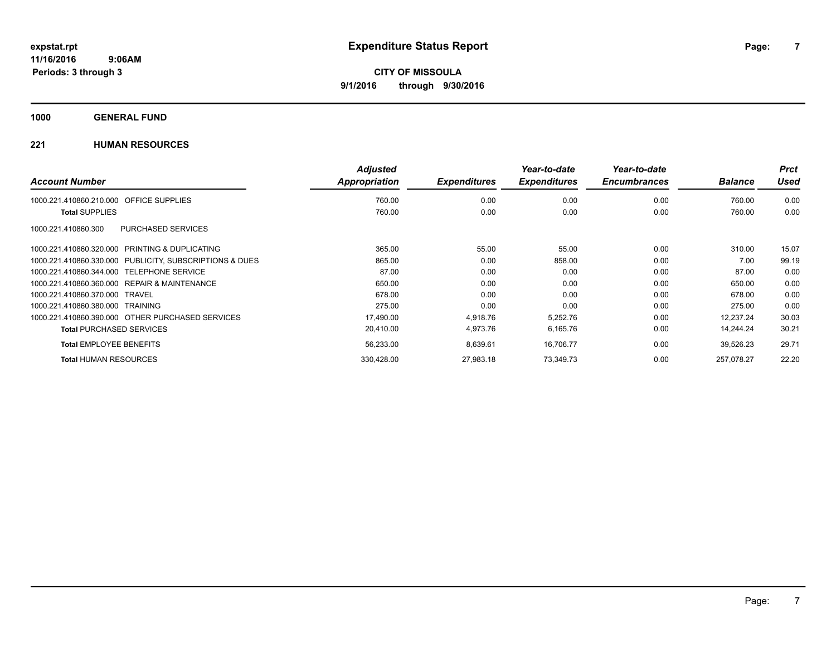**1000 GENERAL FUND**

|                                                         | <b>Adjusted</b> |                     | Year-to-date        | Year-to-date        |                | <b>Prct</b> |
|---------------------------------------------------------|-----------------|---------------------|---------------------|---------------------|----------------|-------------|
| <b>Account Number</b>                                   | Appropriation   | <b>Expenditures</b> | <b>Expenditures</b> | <b>Encumbrances</b> | <b>Balance</b> | <b>Used</b> |
| 1000.221.410860.210.000 OFFICE SUPPLIES                 | 760.00          | 0.00                | 0.00                | 0.00                | 760.00         | 0.00        |
| <b>Total SUPPLIES</b>                                   | 760.00          | 0.00                | 0.00                | 0.00                | 760.00         | 0.00        |
| PURCHASED SERVICES<br>1000.221.410860.300               |                 |                     |                     |                     |                |             |
| 1000.221.410860.320.000 PRINTING & DUPLICATING          | 365.00          | 55.00               | 55.00               | 0.00                | 310.00         | 15.07       |
| 1000.221.410860.330.000 PUBLICITY, SUBSCRIPTIONS & DUES | 865.00          | 0.00                | 858.00              | 0.00                | 7.00           | 99.19       |
| 1000.221.410860.344.000 TELEPHONE SERVICE               | 87.00           | 0.00                | 0.00                | 0.00                | 87.00          | 0.00        |
| 1000.221.410860.360.000 REPAIR & MAINTENANCE            | 650.00          | 0.00                | 0.00                | 0.00                | 650.00         | 0.00        |
| 1000.221.410860.370.000 TRAVEL                          | 678.00          | 0.00                | 0.00                | 0.00                | 678.00         | 0.00        |
| 1000.221.410860.380.000 TRAINING                        | 275.00          | 0.00                | 0.00                | 0.00                | 275.00         | 0.00        |
| 1000.221.410860.390.000 OTHER PURCHASED SERVICES        | 17,490.00       | 4,918.76            | 5,252.76            | 0.00                | 12,237.24      | 30.03       |
| <b>Total PURCHASED SERVICES</b>                         | 20,410.00       | 4,973.76            | 6,165.76            | 0.00                | 14,244.24      | 30.21       |
| <b>Total EMPLOYEE BENEFITS</b>                          | 56,233.00       | 8,639.61            | 16,706.77           | 0.00                | 39,526.23      | 29.71       |
| <b>Total HUMAN RESOURCES</b>                            | 330.428.00      | 27,983.18           | 73,349.73           | 0.00                | 257.078.27     | 22.20       |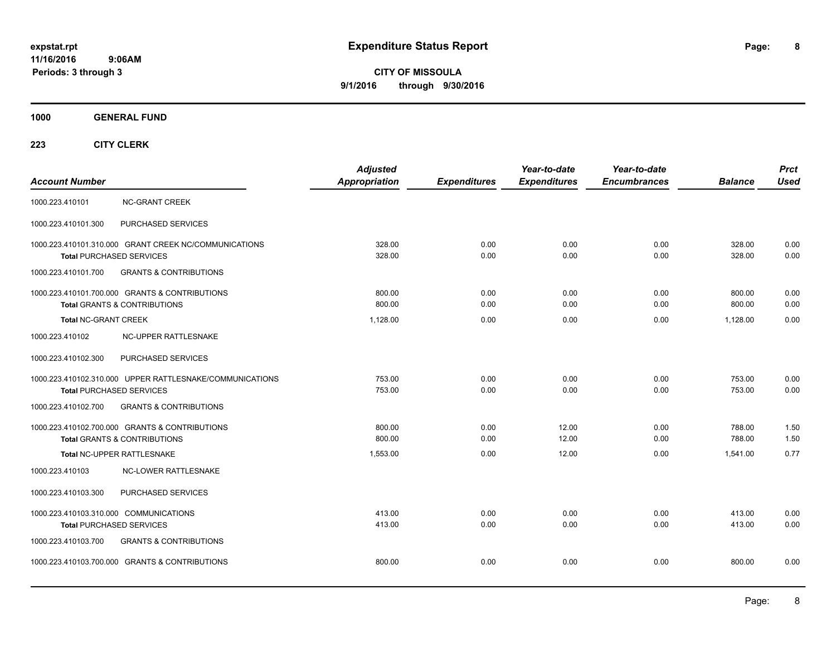**CITY OF MISSOULA 9/1/2016 through 9/30/2016**

**1000 GENERAL FUND**

| <b>Account Number</b>                                                     |                                                                                             | <b>Adjusted</b><br>Appropriation | <b>Expenditures</b> | Year-to-date<br><b>Expenditures</b> | Year-to-date<br><b>Encumbrances</b> | <b>Balance</b>   | <b>Prct</b><br><b>Used</b> |
|---------------------------------------------------------------------------|---------------------------------------------------------------------------------------------|----------------------------------|---------------------|-------------------------------------|-------------------------------------|------------------|----------------------------|
| 1000.223.410101                                                           | <b>NC-GRANT CREEK</b>                                                                       |                                  |                     |                                     |                                     |                  |                            |
| 1000.223.410101.300                                                       | PURCHASED SERVICES                                                                          |                                  |                     |                                     |                                     |                  |                            |
|                                                                           | 1000.223.410101.310.000 GRANT CREEK NC/COMMUNICATIONS<br><b>Total PURCHASED SERVICES</b>    | 328.00<br>328.00                 | 0.00<br>0.00        | 0.00<br>0.00                        | 0.00<br>0.00                        | 328.00<br>328.00 | 0.00<br>0.00               |
| 1000.223.410101.700                                                       | <b>GRANTS &amp; CONTRIBUTIONS</b>                                                           |                                  |                     |                                     |                                     |                  |                            |
|                                                                           | 1000.223.410101.700.000 GRANTS & CONTRIBUTIONS<br><b>Total GRANTS &amp; CONTRIBUTIONS</b>   | 800.00<br>800.00                 | 0.00<br>0.00        | 0.00<br>0.00                        | 0.00<br>0.00                        | 800.00<br>800.00 | 0.00<br>0.00               |
| <b>Total NC-GRANT CREEK</b>                                               |                                                                                             | 1,128.00                         | 0.00                | 0.00                                | 0.00                                | 1,128.00         | 0.00                       |
| 1000.223.410102                                                           | NC-UPPER RATTLESNAKE                                                                        |                                  |                     |                                     |                                     |                  |                            |
| 1000.223.410102.300                                                       | PURCHASED SERVICES                                                                          |                                  |                     |                                     |                                     |                  |                            |
|                                                                           | 1000.223.410102.310.000 UPPER RATTLESNAKE/COMMUNICATIONS<br><b>Total PURCHASED SERVICES</b> | 753.00<br>753.00                 | 0.00<br>0.00        | 0.00<br>0.00                        | 0.00<br>0.00                        | 753.00<br>753.00 | 0.00<br>0.00               |
| 1000.223.410102.700                                                       | <b>GRANTS &amp; CONTRIBUTIONS</b>                                                           |                                  |                     |                                     |                                     |                  |                            |
|                                                                           | 1000.223.410102.700.000 GRANTS & CONTRIBUTIONS<br><b>Total GRANTS &amp; CONTRIBUTIONS</b>   | 800.00<br>800.00                 | 0.00<br>0.00        | 12.00<br>12.00                      | 0.00<br>0.00                        | 788.00<br>788.00 | 1.50<br>1.50               |
|                                                                           | Total NC-UPPER RATTLESNAKE                                                                  | 1,553.00                         | 0.00                | 12.00                               | 0.00                                | 1,541.00         | 0.77                       |
| 1000.223.410103                                                           | <b>NC-LOWER RATTLESNAKE</b>                                                                 |                                  |                     |                                     |                                     |                  |                            |
| 1000.223.410103.300                                                       | PURCHASED SERVICES                                                                          |                                  |                     |                                     |                                     |                  |                            |
| 1000.223.410103.310.000 COMMUNICATIONS<br><b>Total PURCHASED SERVICES</b> |                                                                                             | 413.00<br>413.00                 | 0.00<br>0.00        | 0.00<br>0.00                        | 0.00<br>0.00                        | 413.00<br>413.00 | 0.00<br>0.00               |
| 1000.223.410103.700                                                       | <b>GRANTS &amp; CONTRIBUTIONS</b>                                                           |                                  |                     |                                     |                                     |                  |                            |
|                                                                           | 1000.223.410103.700.000 GRANTS & CONTRIBUTIONS                                              | 800.00                           | 0.00                | 0.00                                | 0.00                                | 800.00           | 0.00                       |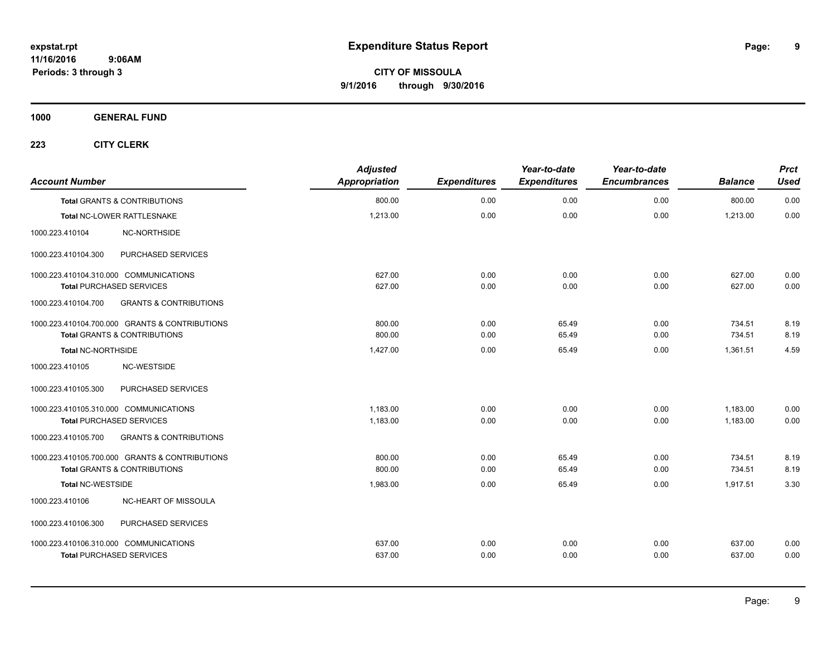**1000 GENERAL FUND**

| <b>Account Number</b>                  |                                                | <b>Adjusted</b><br><b>Appropriation</b> | <b>Expenditures</b> | Year-to-date<br><b>Expenditures</b> | Year-to-date<br><b>Encumbrances</b> | <b>Balance</b> | <b>Prct</b><br><b>Used</b> |
|----------------------------------------|------------------------------------------------|-----------------------------------------|---------------------|-------------------------------------|-------------------------------------|----------------|----------------------------|
|                                        | <b>Total GRANTS &amp; CONTRIBUTIONS</b>        | 800.00                                  | 0.00                | 0.00                                | 0.00                                | 800.00         | 0.00                       |
|                                        | Total NC-LOWER RATTLESNAKE                     | 1,213.00                                | 0.00                | 0.00                                | 0.00                                | 1,213.00       | 0.00                       |
| 1000.223.410104                        | NC-NORTHSIDE                                   |                                         |                     |                                     |                                     |                |                            |
| 1000.223.410104.300                    | PURCHASED SERVICES                             |                                         |                     |                                     |                                     |                |                            |
| 1000.223.410104.310.000 COMMUNICATIONS |                                                | 627.00                                  | 0.00                | 0.00                                | 0.00                                | 627.00         | 0.00                       |
| <b>Total PURCHASED SERVICES</b>        |                                                | 627.00                                  | 0.00                | 0.00                                | 0.00                                | 627.00         | 0.00                       |
| 1000.223.410104.700                    | <b>GRANTS &amp; CONTRIBUTIONS</b>              |                                         |                     |                                     |                                     |                |                            |
|                                        | 1000.223.410104.700.000 GRANTS & CONTRIBUTIONS | 800.00                                  | 0.00                | 65.49                               | 0.00                                | 734.51         | 8.19                       |
|                                        | <b>Total GRANTS &amp; CONTRIBUTIONS</b>        | 800.00                                  | 0.00                | 65.49                               | 0.00                                | 734.51         | 8.19                       |
| Total NC-NORTHSIDE                     |                                                | 1,427.00                                | 0.00                | 65.49                               | 0.00                                | 1,361.51       | 4.59                       |
| 1000.223.410105                        | NC-WESTSIDE                                    |                                         |                     |                                     |                                     |                |                            |
| 1000.223.410105.300                    | PURCHASED SERVICES                             |                                         |                     |                                     |                                     |                |                            |
| 1000.223.410105.310.000 COMMUNICATIONS |                                                | 1,183.00                                | 0.00                | 0.00                                | 0.00                                | 1,183.00       | 0.00                       |
| <b>Total PURCHASED SERVICES</b>        |                                                | 1,183.00                                | 0.00                | 0.00                                | 0.00                                | 1,183.00       | 0.00                       |
| 1000.223.410105.700                    | <b>GRANTS &amp; CONTRIBUTIONS</b>              |                                         |                     |                                     |                                     |                |                            |
|                                        | 1000.223.410105.700.000 GRANTS & CONTRIBUTIONS | 800.00                                  | 0.00                | 65.49                               | 0.00                                | 734.51         | 8.19                       |
|                                        | <b>Total GRANTS &amp; CONTRIBUTIONS</b>        | 800.00                                  | 0.00                | 65.49                               | 0.00                                | 734.51         | 8.19                       |
| <b>Total NC-WESTSIDE</b>               |                                                | 1,983.00                                | 0.00                | 65.49                               | 0.00                                | 1,917.51       | 3.30                       |
| 1000.223.410106                        | NC-HEART OF MISSOULA                           |                                         |                     |                                     |                                     |                |                            |
| 1000.223.410106.300                    | PURCHASED SERVICES                             |                                         |                     |                                     |                                     |                |                            |
| 1000.223.410106.310.000 COMMUNICATIONS |                                                | 637.00                                  | 0.00                | 0.00                                | 0.00                                | 637.00         | 0.00                       |
| <b>Total PURCHASED SERVICES</b>        |                                                | 637.00                                  | 0.00                | 0.00                                | 0.00                                | 637.00         | 0.00                       |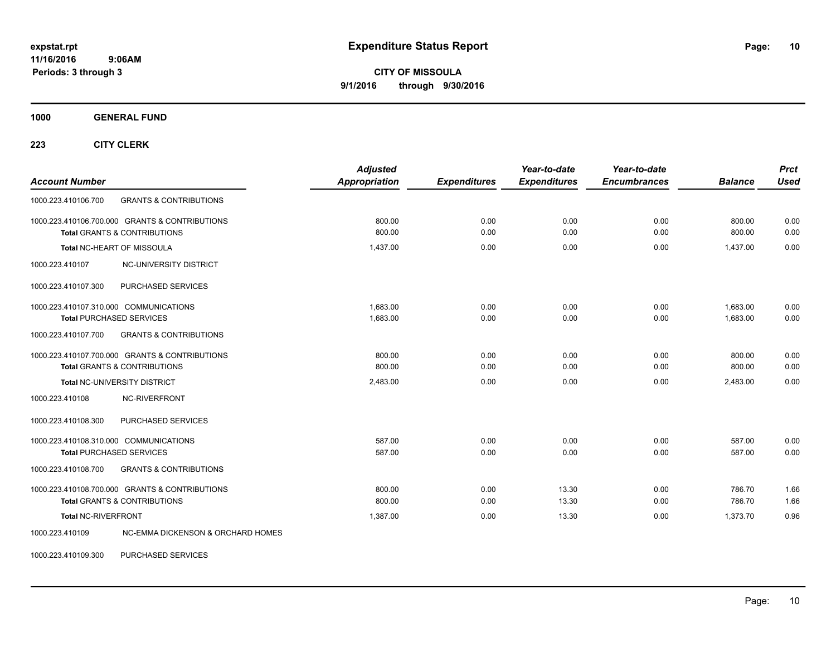**CITY OF MISSOULA 9/1/2016 through 9/30/2016**

**1000 GENERAL FUND**

**223 CITY CLERK**

| <b>Account Number</b>                                                                     | <b>Adjusted</b><br><b>Appropriation</b> | <b>Expenditures</b> | Year-to-date<br><b>Expenditures</b> | Year-to-date<br><b>Encumbrances</b> | <b>Balance</b>       | <b>Prct</b><br><b>Used</b> |
|-------------------------------------------------------------------------------------------|-----------------------------------------|---------------------|-------------------------------------|-------------------------------------|----------------------|----------------------------|
| <b>GRANTS &amp; CONTRIBUTIONS</b><br>1000.223.410106.700                                  |                                         |                     |                                     |                                     |                      |                            |
| 1000.223.410106.700.000 GRANTS & CONTRIBUTIONS<br><b>Total GRANTS &amp; CONTRIBUTIONS</b> | 800.00<br>800.00                        | 0.00<br>0.00        | 0.00<br>0.00                        | 0.00<br>0.00                        | 800.00<br>800.00     | 0.00<br>0.00               |
| <b>Total NC-HEART OF MISSOULA</b>                                                         | 1,437.00                                | 0.00                | 0.00                                | 0.00                                | 1,437.00             | 0.00                       |
| NC-UNIVERSITY DISTRICT<br>1000.223.410107                                                 |                                         |                     |                                     |                                     |                      |                            |
| PURCHASED SERVICES<br>1000.223.410107.300                                                 |                                         |                     |                                     |                                     |                      |                            |
| 1000.223.410107.310.000 COMMUNICATIONS<br><b>Total PURCHASED SERVICES</b>                 | 1,683.00<br>1,683.00                    | 0.00<br>0.00        | 0.00<br>0.00                        | 0.00<br>0.00                        | 1,683.00<br>1,683.00 | 0.00<br>0.00               |
| <b>GRANTS &amp; CONTRIBUTIONS</b><br>1000.223.410107.700                                  |                                         |                     |                                     |                                     |                      |                            |
| 1000.223.410107.700.000 GRANTS & CONTRIBUTIONS<br><b>Total GRANTS &amp; CONTRIBUTIONS</b> | 800.00<br>800.00                        | 0.00<br>0.00        | 0.00<br>0.00                        | 0.00<br>0.00                        | 800.00<br>800.00     | 0.00<br>0.00               |
| <b>Total NC-UNIVERSITY DISTRICT</b>                                                       | 2,483.00                                | 0.00                | 0.00                                | 0.00                                | 2,483.00             | 0.00                       |
| NC-RIVERFRONT<br>1000.223.410108                                                          |                                         |                     |                                     |                                     |                      |                            |
| 1000.223.410108.300<br>PURCHASED SERVICES                                                 |                                         |                     |                                     |                                     |                      |                            |
| 1000.223.410108.310.000 COMMUNICATIONS<br><b>Total PURCHASED SERVICES</b>                 | 587.00<br>587.00                        | 0.00<br>0.00        | 0.00<br>0.00                        | 0.00<br>0.00                        | 587.00<br>587.00     | 0.00<br>0.00               |
| <b>GRANTS &amp; CONTRIBUTIONS</b><br>1000.223.410108.700                                  |                                         |                     |                                     |                                     |                      |                            |
| 1000.223.410108.700.000 GRANTS & CONTRIBUTIONS<br><b>Total GRANTS &amp; CONTRIBUTIONS</b> | 800.00<br>800.00                        | 0.00<br>0.00        | 13.30<br>13.30                      | 0.00<br>0.00                        | 786.70<br>786.70     | 1.66<br>1.66               |
| Total NC-RIVERFRONT                                                                       | 1,387.00                                | 0.00                | 13.30                               | 0.00                                | 1,373.70             | 0.96                       |
| NC-EMMA DICKENSON & ORCHARD HOMES<br>1000.223.410109                                      |                                         |                     |                                     |                                     |                      |                            |

1000.223.410109.300 PURCHASED SERVICES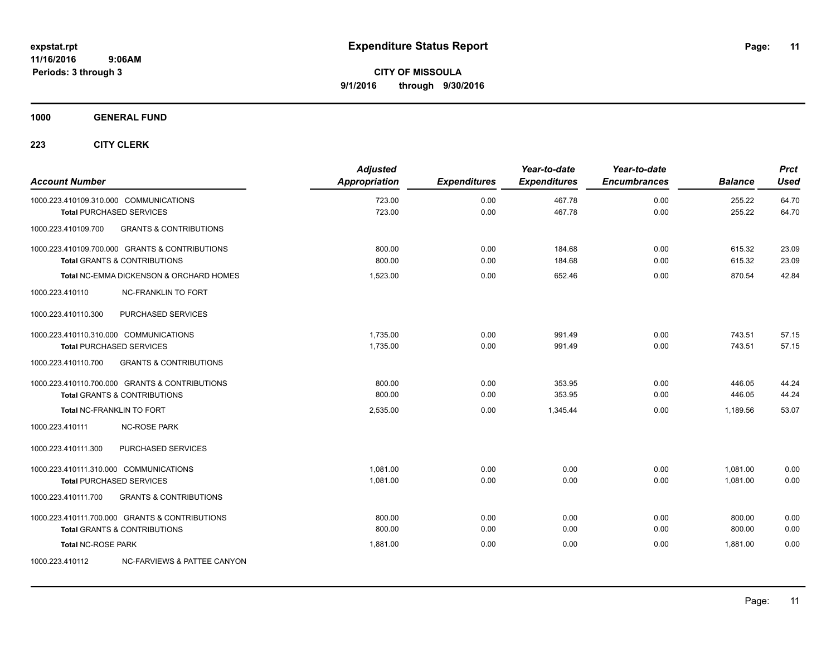**1000 GENERAL FUND**

| <b>Account Number</b>                  |                                                                                           | <b>Adjusted</b><br>Appropriation | <b>Expenditures</b> | Year-to-date<br><b>Expenditures</b> | Year-to-date<br><b>Encumbrances</b> | <b>Balance</b>   | <b>Prct</b><br><b>Used</b> |
|----------------------------------------|-------------------------------------------------------------------------------------------|----------------------------------|---------------------|-------------------------------------|-------------------------------------|------------------|----------------------------|
|                                        | 1000.223.410109.310.000 COMMUNICATIONS                                                    | 723.00<br>723.00                 | 0.00<br>0.00        | 467.78<br>467.78                    | 0.00<br>0.00                        | 255.22<br>255.22 | 64.70<br>64.70             |
| 1000.223.410109.700                    | <b>Total PURCHASED SERVICES</b><br><b>GRANTS &amp; CONTRIBUTIONS</b>                      |                                  |                     |                                     |                                     |                  |                            |
|                                        |                                                                                           |                                  |                     |                                     |                                     |                  |                            |
|                                        | 1000.223.410109.700.000 GRANTS & CONTRIBUTIONS<br><b>Total GRANTS &amp; CONTRIBUTIONS</b> | 800.00<br>800.00                 | 0.00<br>0.00        | 184.68<br>184.68                    | 0.00<br>0.00                        | 615.32<br>615.32 | 23.09<br>23.09             |
|                                        | <b>Total NC-EMMA DICKENSON &amp; ORCHARD HOMES</b>                                        | 1,523.00                         | 0.00                | 652.46                              | 0.00                                | 870.54           | 42.84                      |
| 1000.223.410110                        | <b>NC-FRANKLIN TO FORT</b>                                                                |                                  |                     |                                     |                                     |                  |                            |
| 1000.223.410110.300                    | PURCHASED SERVICES                                                                        |                                  |                     |                                     |                                     |                  |                            |
| 1000.223.410110.310.000 COMMUNICATIONS |                                                                                           | 1.735.00                         | 0.00                | 991.49                              | 0.00                                | 743.51           | 57.15                      |
|                                        | <b>Total PURCHASED SERVICES</b>                                                           | 1,735.00                         | 0.00                | 991.49                              | 0.00                                | 743.51           | 57.15                      |
| 1000.223.410110.700                    | <b>GRANTS &amp; CONTRIBUTIONS</b>                                                         |                                  |                     |                                     |                                     |                  |                            |
|                                        | 1000.223.410110.700.000 GRANTS & CONTRIBUTIONS                                            | 800.00                           | 0.00                | 353.95                              | 0.00                                | 446.05           | 44.24                      |
|                                        | <b>Total GRANTS &amp; CONTRIBUTIONS</b>                                                   | 800.00                           | 0.00                | 353.95                              | 0.00                                | 446.05           | 44.24                      |
|                                        | <b>Total NC-FRANKLIN TO FORT</b>                                                          | 2,535.00                         | 0.00                | 1,345.44                            | 0.00                                | 1,189.56         | 53.07                      |
| 1000.223.410111                        | <b>NC-ROSE PARK</b>                                                                       |                                  |                     |                                     |                                     |                  |                            |
| 1000.223.410111.300                    | PURCHASED SERVICES                                                                        |                                  |                     |                                     |                                     |                  |                            |
| 1000.223.410111.310.000 COMMUNICATIONS |                                                                                           | 1.081.00                         | 0.00                | 0.00                                | 0.00                                | 1,081.00         | 0.00                       |
|                                        | <b>Total PURCHASED SERVICES</b>                                                           | 1,081.00                         | 0.00                | 0.00                                | 0.00                                | 1,081.00         | 0.00                       |
| 1000.223.410111.700                    | <b>GRANTS &amp; CONTRIBUTIONS</b>                                                         |                                  |                     |                                     |                                     |                  |                            |
|                                        | 1000.223.410111.700.000 GRANTS & CONTRIBUTIONS                                            | 800.00                           | 0.00                | 0.00                                | 0.00                                | 800.00           | 0.00                       |
|                                        | <b>Total GRANTS &amp; CONTRIBUTIONS</b>                                                   | 800.00                           | 0.00                | 0.00                                | 0.00                                | 800.00           | 0.00                       |
| <b>Total NC-ROSE PARK</b>              |                                                                                           | 1.881.00                         | 0.00                | 0.00                                | 0.00                                | 1.881.00         | 0.00                       |
| 1000.223.410112                        | NC-FARVIEWS & PATTEE CANYON                                                               |                                  |                     |                                     |                                     |                  |                            |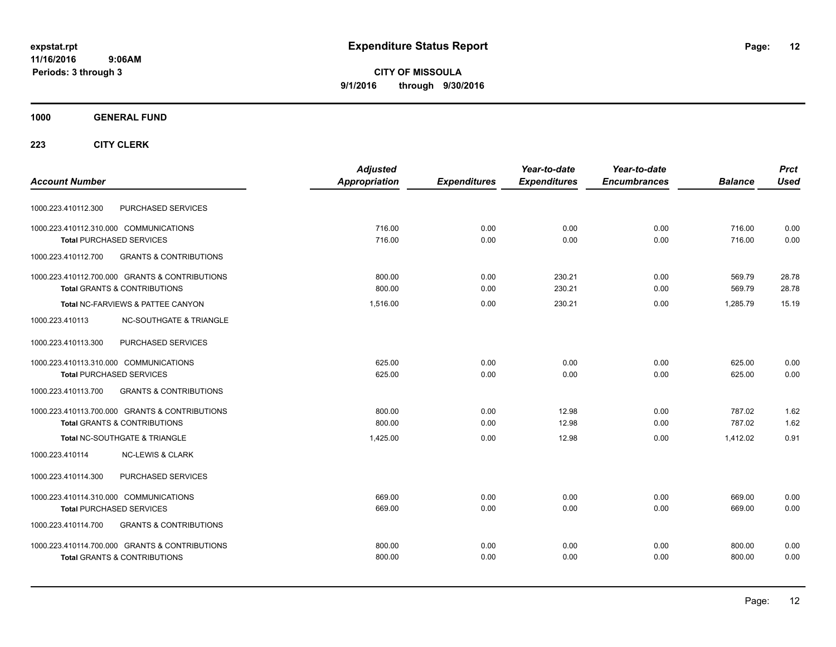**CITY OF MISSOULA 9/1/2016 through 9/30/2016**

### **1000 GENERAL FUND**

|                                                          | <b>Adjusted</b> |                     | Year-to-date        | Year-to-date        |                | <b>Prct</b> |
|----------------------------------------------------------|-----------------|---------------------|---------------------|---------------------|----------------|-------------|
| <b>Account Number</b>                                    | Appropriation   | <b>Expenditures</b> | <b>Expenditures</b> | <b>Encumbrances</b> | <b>Balance</b> | <b>Used</b> |
| PURCHASED SERVICES<br>1000.223.410112.300                |                 |                     |                     |                     |                |             |
| 1000.223.410112.310.000 COMMUNICATIONS                   | 716.00          | 0.00                | 0.00                | 0.00                | 716.00         | 0.00        |
| <b>Total PURCHASED SERVICES</b>                          | 716.00          | 0.00                | 0.00                | 0.00                | 716.00         | 0.00        |
| 1000.223.410112.700<br><b>GRANTS &amp; CONTRIBUTIONS</b> |                 |                     |                     |                     |                |             |
| 1000.223.410112.700.000 GRANTS & CONTRIBUTIONS           | 800.00          | 0.00                | 230.21              | 0.00                | 569.79         | 28.78       |
| <b>Total GRANTS &amp; CONTRIBUTIONS</b>                  | 800.00          | 0.00                | 230.21              | 0.00                | 569.79         | 28.78       |
| Total NC-FARVIEWS & PATTEE CANYON                        | 1,516.00        | 0.00                | 230.21              | 0.00                | 1.285.79       | 15.19       |
| <b>NC-SOUTHGATE &amp; TRIANGLE</b><br>1000.223.410113    |                 |                     |                     |                     |                |             |
| 1000.223.410113.300<br>PURCHASED SERVICES                |                 |                     |                     |                     |                |             |
| 1000.223.410113.310.000 COMMUNICATIONS                   | 625.00          | 0.00                | 0.00                | 0.00                | 625.00         | 0.00        |
| <b>Total PURCHASED SERVICES</b>                          | 625.00          | 0.00                | 0.00                | 0.00                | 625.00         | 0.00        |
| 1000.223.410113.700<br><b>GRANTS &amp; CONTRIBUTIONS</b> |                 |                     |                     |                     |                |             |
| 1000.223.410113.700.000 GRANTS & CONTRIBUTIONS           | 800.00          | 0.00                | 12.98               | 0.00                | 787.02         | 1.62        |
| <b>Total GRANTS &amp; CONTRIBUTIONS</b>                  | 800.00          | 0.00                | 12.98               | 0.00                | 787.02         | 1.62        |
| Total NC-SOUTHGATE & TRIANGLE                            | 1,425.00        | 0.00                | 12.98               | 0.00                | 1.412.02       | 0.91        |
| 1000.223.410114<br><b>NC-LEWIS &amp; CLARK</b>           |                 |                     |                     |                     |                |             |
| PURCHASED SERVICES<br>1000.223.410114.300                |                 |                     |                     |                     |                |             |
| 1000.223.410114.310.000 COMMUNICATIONS                   | 669.00          | 0.00                | 0.00                | 0.00                | 669.00         | 0.00        |
| <b>Total PURCHASED SERVICES</b>                          | 669.00          | 0.00                | 0.00                | 0.00                | 669.00         | 0.00        |
| <b>GRANTS &amp; CONTRIBUTIONS</b><br>1000.223.410114.700 |                 |                     |                     |                     |                |             |
| 1000.223.410114.700.000 GRANTS & CONTRIBUTIONS           | 800.00          | 0.00                | 0.00                | 0.00                | 800.00         | 0.00        |
| <b>Total GRANTS &amp; CONTRIBUTIONS</b>                  | 800.00          | 0.00                | 0.00                | 0.00                | 800.00         | 0.00        |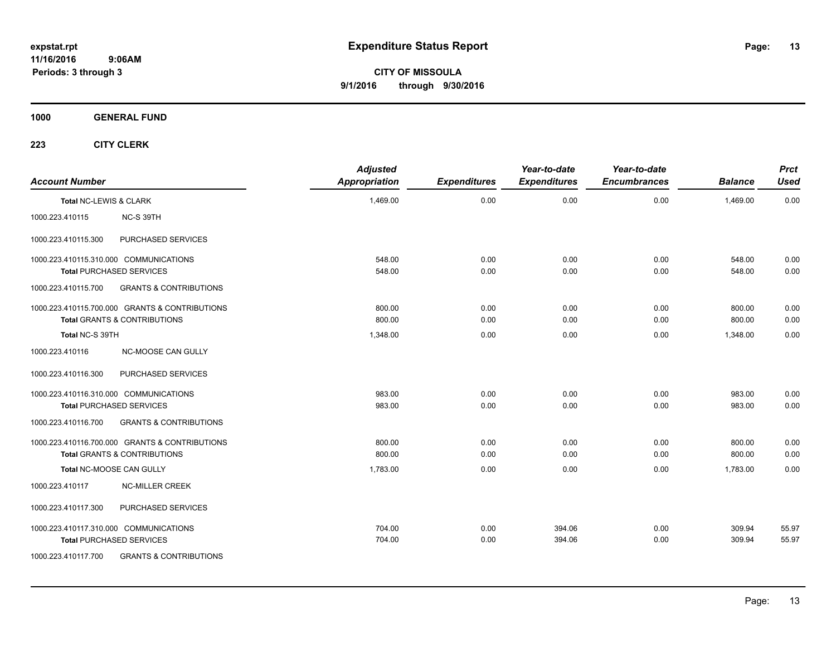**CITY OF MISSOULA 9/1/2016 through 9/30/2016**

**1000 GENERAL FUND**

| <b>Account Number</b>  |                                                                                           | <b>Adjusted</b><br><b>Appropriation</b> | <b>Expenditures</b> | Year-to-date<br><b>Expenditures</b> | Year-to-date<br><b>Encumbrances</b> | <b>Balance</b>   | <b>Prct</b><br><b>Used</b> |
|------------------------|-------------------------------------------------------------------------------------------|-----------------------------------------|---------------------|-------------------------------------|-------------------------------------|------------------|----------------------------|
| Total NC-LEWIS & CLARK |                                                                                           | 1,469.00                                | 0.00                | 0.00                                | 0.00                                | 1,469.00         | 0.00                       |
| 1000.223.410115        | NC-S 39TH                                                                                 |                                         |                     |                                     |                                     |                  |                            |
| 1000.223.410115.300    | PURCHASED SERVICES                                                                        |                                         |                     |                                     |                                     |                  |                            |
|                        | 1000.223.410115.310.000 COMMUNICATIONS<br><b>Total PURCHASED SERVICES</b>                 | 548.00<br>548.00                        | 0.00<br>0.00        | 0.00<br>0.00                        | 0.00<br>0.00                        | 548.00<br>548.00 | 0.00<br>0.00               |
| 1000.223.410115.700    | <b>GRANTS &amp; CONTRIBUTIONS</b>                                                         |                                         |                     |                                     |                                     |                  |                            |
|                        | 1000.223.410115.700.000 GRANTS & CONTRIBUTIONS<br><b>Total GRANTS &amp; CONTRIBUTIONS</b> | 800.00<br>800.00                        | 0.00<br>0.00        | 0.00<br>0.00                        | 0.00<br>0.00                        | 800.00<br>800.00 | 0.00<br>0.00               |
| Total NC-S 39TH        |                                                                                           | 1,348.00                                | 0.00                | 0.00                                | 0.00                                | 1.348.00         | 0.00                       |
| 1000.223.410116        | <b>NC-MOOSE CAN GULLY</b>                                                                 |                                         |                     |                                     |                                     |                  |                            |
| 1000.223.410116.300    | PURCHASED SERVICES                                                                        |                                         |                     |                                     |                                     |                  |                            |
|                        | 1000.223.410116.310.000 COMMUNICATIONS<br><b>Total PURCHASED SERVICES</b>                 | 983.00<br>983.00                        | 0.00<br>0.00        | 0.00<br>0.00                        | 0.00<br>0.00                        | 983.00<br>983.00 | 0.00<br>0.00               |
| 1000.223.410116.700    | <b>GRANTS &amp; CONTRIBUTIONS</b>                                                         |                                         |                     |                                     |                                     |                  |                            |
|                        | 1000.223.410116.700.000 GRANTS & CONTRIBUTIONS<br><b>Total GRANTS &amp; CONTRIBUTIONS</b> | 800.00<br>800.00                        | 0.00<br>0.00        | 0.00<br>0.00                        | 0.00<br>0.00                        | 800.00<br>800.00 | 0.00<br>0.00               |
|                        | Total NC-MOOSE CAN GULLY                                                                  | 1,783.00                                | 0.00                | 0.00                                | 0.00                                | 1,783.00         | 0.00                       |
| 1000.223.410117        | <b>NC-MILLER CREEK</b>                                                                    |                                         |                     |                                     |                                     |                  |                            |
| 1000.223.410117.300    | PURCHASED SERVICES                                                                        |                                         |                     |                                     |                                     |                  |                            |
|                        | 1000.223.410117.310.000 COMMUNICATIONS<br><b>Total PURCHASED SERVICES</b>                 | 704.00<br>704.00                        | 0.00<br>0.00        | 394.06<br>394.06                    | 0.00<br>0.00                        | 309.94<br>309.94 | 55.97<br>55.97             |
| 1000.223.410117.700    | <b>GRANTS &amp; CONTRIBUTIONS</b>                                                         |                                         |                     |                                     |                                     |                  |                            |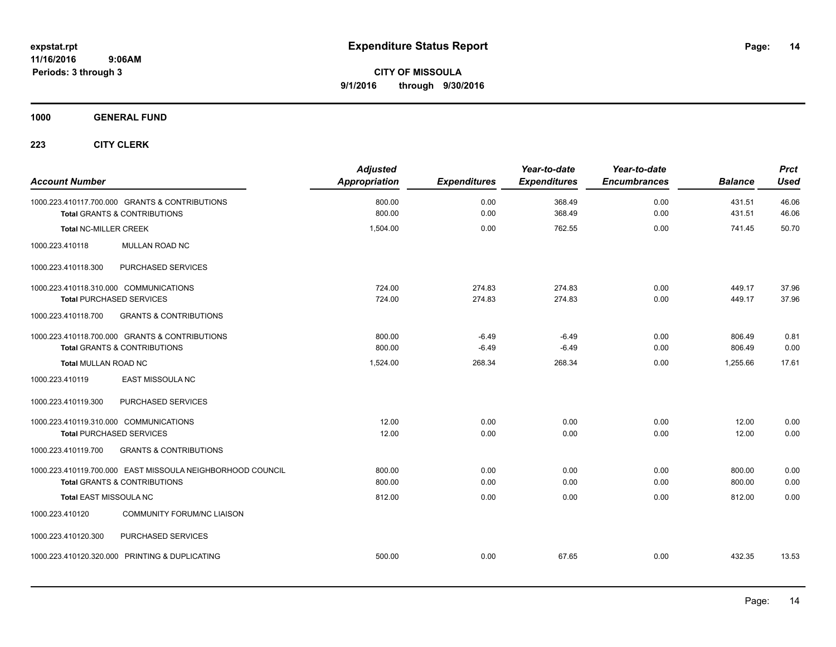**Periods: 3 through 3**

**CITY OF MISSOULA 9/1/2016 through 9/30/2016**

**1000 GENERAL FUND**

| <b>Account Number</b>                                                                                 | <b>Adjusted</b><br><b>Appropriation</b> | <b>Expenditures</b> | Year-to-date<br><b>Expenditures</b> | Year-to-date<br><b>Encumbrances</b> | <b>Balance</b>   | <b>Prct</b><br><b>Used</b> |
|-------------------------------------------------------------------------------------------------------|-----------------------------------------|---------------------|-------------------------------------|-------------------------------------|------------------|----------------------------|
| 1000.223.410117.700.000 GRANTS & CONTRIBUTIONS<br><b>Total GRANTS &amp; CONTRIBUTIONS</b>             | 800.00<br>800.00                        | 0.00<br>0.00        | 368.49<br>368.49                    | 0.00<br>0.00                        | 431.51<br>431.51 | 46.06<br>46.06             |
| <b>Total NC-MILLER CREEK</b>                                                                          | 1,504.00                                | 0.00                | 762.55                              | 0.00                                | 741.45           | 50.70                      |
| 1000.223.410118<br>MULLAN ROAD NC                                                                     |                                         |                     |                                     |                                     |                  |                            |
| PURCHASED SERVICES<br>1000.223.410118.300                                                             |                                         |                     |                                     |                                     |                  |                            |
| 1000.223.410118.310.000 COMMUNICATIONS<br><b>Total PURCHASED SERVICES</b>                             | 724.00<br>724.00                        | 274.83<br>274.83    | 274.83<br>274.83                    | 0.00<br>0.00                        | 449.17<br>449.17 | 37.96<br>37.96             |
| 1000.223.410118.700<br><b>GRANTS &amp; CONTRIBUTIONS</b>                                              |                                         |                     |                                     |                                     |                  |                            |
| 1000.223.410118.700.000 GRANTS & CONTRIBUTIONS<br><b>Total GRANTS &amp; CONTRIBUTIONS</b>             | 800.00<br>800.00                        | $-6.49$<br>$-6.49$  | $-6.49$<br>$-6.49$                  | 0.00<br>0.00                        | 806.49<br>806.49 | 0.81<br>0.00               |
| Total MULLAN ROAD NC                                                                                  | 1,524.00                                | 268.34              | 268.34                              | 0.00                                | 1,255.66         | 17.61                      |
| <b>EAST MISSOULA NC</b><br>1000.223.410119                                                            |                                         |                     |                                     |                                     |                  |                            |
| PURCHASED SERVICES<br>1000.223.410119.300                                                             |                                         |                     |                                     |                                     |                  |                            |
| 1000.223.410119.310.000 COMMUNICATIONS<br><b>Total PURCHASED SERVICES</b>                             | 12.00<br>12.00                          | 0.00<br>0.00        | 0.00<br>0.00                        | 0.00<br>0.00                        | 12.00<br>12.00   | 0.00<br>0.00               |
| 1000.223.410119.700<br><b>GRANTS &amp; CONTRIBUTIONS</b>                                              |                                         |                     |                                     |                                     |                  |                            |
| 1000.223.410119.700.000 EAST MISSOULA NEIGHBORHOOD COUNCIL<br><b>Total GRANTS &amp; CONTRIBUTIONS</b> | 800.00<br>800.00                        | 0.00<br>0.00        | 0.00<br>0.00                        | 0.00<br>0.00                        | 800.00<br>800.00 | 0.00<br>0.00               |
| <b>Total EAST MISSOULA NC</b>                                                                         | 812.00                                  | 0.00                | 0.00                                | 0.00                                | 812.00           | 0.00                       |
| <b>COMMUNITY FORUM/NC LIAISON</b><br>1000.223.410120                                                  |                                         |                     |                                     |                                     |                  |                            |
| PURCHASED SERVICES<br>1000.223.410120.300                                                             |                                         |                     |                                     |                                     |                  |                            |
| 1000.223.410120.320.000 PRINTING & DUPLICATING                                                        | 500.00                                  | 0.00                | 67.65                               | 0.00                                | 432.35           | 13.53                      |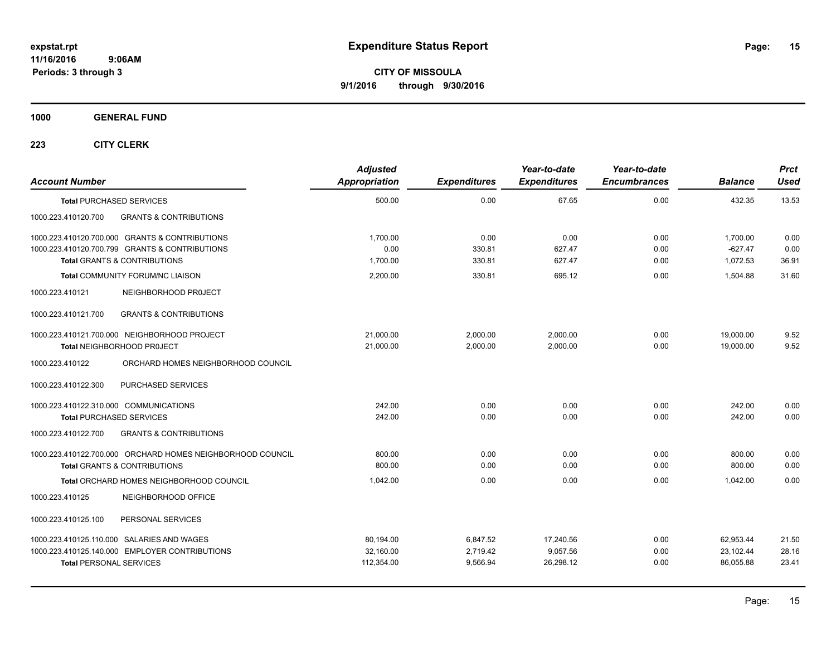**1000 GENERAL FUND**

| <b>Account Number</b>                                                        |                                                                                                                                  | <b>Adjusted</b><br><b>Appropriation</b> | <b>Expenditures</b>              | Year-to-date<br><b>Expenditures</b> | Year-to-date<br><b>Encumbrances</b> | <b>Balance</b>                      | <b>Prct</b><br><b>Used</b> |
|------------------------------------------------------------------------------|----------------------------------------------------------------------------------------------------------------------------------|-----------------------------------------|----------------------------------|-------------------------------------|-------------------------------------|-------------------------------------|----------------------------|
| <b>Total PURCHASED SERVICES</b>                                              |                                                                                                                                  | 500.00                                  | 0.00                             | 67.65                               | 0.00                                | 432.35                              | 13.53                      |
| 1000.223.410120.700                                                          | <b>GRANTS &amp; CONTRIBUTIONS</b>                                                                                                |                                         |                                  |                                     |                                     |                                     |                            |
|                                                                              | 1000.223.410120.700.000 GRANTS & CONTRIBUTIONS<br>1000.223.410120.700.799 GRANTS & CONTRIBUTIONS<br>Total GRANTS & CONTRIBUTIONS | 1,700.00<br>0.00<br>1,700.00            | 0.00<br>330.81<br>330.81         | 0.00<br>627.47<br>627.47            | 0.00<br>0.00<br>0.00                | 1,700.00<br>$-627.47$<br>1,072.53   | 0.00<br>0.00<br>36.91      |
|                                                                              | <b>Total COMMUNITY FORUM/NC LIAISON</b>                                                                                          | 2.200.00                                | 330.81                           | 695.12                              | 0.00                                | 1.504.88                            | 31.60                      |
| 1000.223.410121                                                              | NEIGHBORHOOD PROJECT                                                                                                             |                                         |                                  |                                     |                                     |                                     |                            |
| 1000.223.410121.700                                                          | <b>GRANTS &amp; CONTRIBUTIONS</b>                                                                                                |                                         |                                  |                                     |                                     |                                     |                            |
| Total NEIGHBORHOOD PROJECT                                                   | 1000.223.410121.700.000 NEIGHBORHOOD PROJECT                                                                                     | 21,000.00<br>21,000.00                  | 2,000.00<br>2,000.00             | 2,000.00<br>2,000.00                | 0.00<br>0.00                        | 19,000.00<br>19,000.00              | 9.52<br>9.52               |
| 1000.223.410122                                                              | ORCHARD HOMES NEIGHBORHOOD COUNCIL                                                                                               |                                         |                                  |                                     |                                     |                                     |                            |
| 1000.223.410122.300                                                          | PURCHASED SERVICES                                                                                                               |                                         |                                  |                                     |                                     |                                     |                            |
| 1000.223.410122.310.000 COMMUNICATIONS<br><b>Total PURCHASED SERVICES</b>    |                                                                                                                                  | 242.00<br>242.00                        | 0.00<br>0.00                     | 0.00<br>0.00                        | 0.00<br>0.00                        | 242.00<br>242.00                    | 0.00<br>0.00               |
| 1000.223.410122.700                                                          | <b>GRANTS &amp; CONTRIBUTIONS</b>                                                                                                |                                         |                                  |                                     |                                     |                                     |                            |
|                                                                              | 1000.223.410122.700.000 ORCHARD HOMES NEIGHBORHOOD COUNCIL<br><b>Total GRANTS &amp; CONTRIBUTIONS</b>                            | 800.00<br>800.00                        | 0.00<br>0.00                     | 0.00<br>0.00                        | 0.00<br>0.00                        | 800.00<br>800.00                    | 0.00<br>0.00               |
|                                                                              | Total ORCHARD HOMES NEIGHBORHOOD COUNCIL                                                                                         | 1,042.00                                | 0.00                             | 0.00                                | 0.00                                | 1,042.00                            | 0.00                       |
| 1000.223.410125                                                              | NEIGHBORHOOD OFFICE                                                                                                              |                                         |                                  |                                     |                                     |                                     |                            |
| 1000.223.410125.100                                                          | PERSONAL SERVICES                                                                                                                |                                         |                                  |                                     |                                     |                                     |                            |
| 1000.223.410125.110.000 SALARIES AND WAGES<br><b>Total PERSONAL SERVICES</b> | 1000.223.410125.140.000 EMPLOYER CONTRIBUTIONS                                                                                   | 80,194.00<br>32,160.00<br>112,354.00    | 6,847.52<br>2,719.42<br>9,566.94 | 17,240.56<br>9,057.56<br>26,298.12  | 0.00<br>0.00<br>0.00                | 62,953.44<br>23,102.44<br>86,055.88 | 21.50<br>28.16<br>23.41    |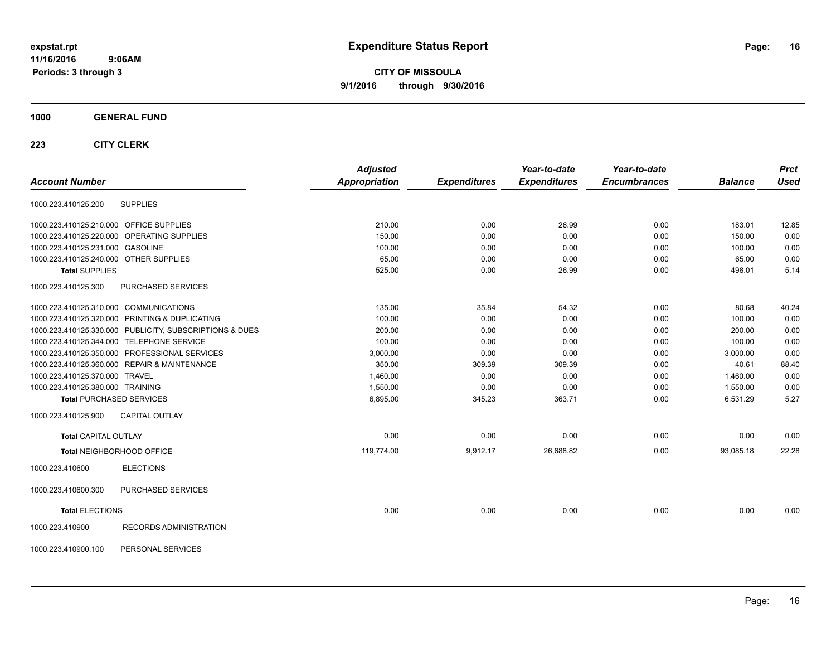**CITY OF MISSOULA 9/1/2016 through 9/30/2016**

### **1000 GENERAL FUND**

|                                                         | <b>Adjusted</b>      |                     | Year-to-date        | Year-to-date        |                | <b>Prct</b> |
|---------------------------------------------------------|----------------------|---------------------|---------------------|---------------------|----------------|-------------|
| <b>Account Number</b>                                   | <b>Appropriation</b> | <b>Expenditures</b> | <b>Expenditures</b> | <b>Encumbrances</b> | <b>Balance</b> | <b>Used</b> |
| <b>SUPPLIES</b><br>1000.223.410125.200                  |                      |                     |                     |                     |                |             |
| 1000.223.410125.210.000 OFFICE SUPPLIES                 | 210.00               | 0.00                | 26.99               | 0.00                | 183.01         | 12.85       |
| 1000.223.410125.220.000 OPERATING SUPPLIES              | 150.00               | 0.00                | 0.00                | 0.00                | 150.00         | 0.00        |
| 1000.223.410125.231.000 GASOLINE                        | 100.00               | 0.00                | 0.00                | 0.00                | 100.00         | 0.00        |
| 1000.223.410125.240.000 OTHER SUPPLIES                  | 65.00                | 0.00                | 0.00                | 0.00                | 65.00          | 0.00        |
| <b>Total SUPPLIES</b>                                   | 525.00               | 0.00                | 26.99               | 0.00                | 498.01         | 5.14        |
| PURCHASED SERVICES<br>1000.223.410125.300               |                      |                     |                     |                     |                |             |
| 1000.223.410125.310.000 COMMUNICATIONS                  | 135.00               | 35.84               | 54.32               | 0.00                | 80.68          | 40.24       |
| 1000.223.410125.320.000 PRINTING & DUPLICATING          | 100.00               | 0.00                | 0.00                | 0.00                | 100.00         | 0.00        |
| 1000.223.410125.330.000 PUBLICITY, SUBSCRIPTIONS & DUES | 200.00               | 0.00                | 0.00                | 0.00                | 200.00         | 0.00        |
| 1000.223.410125.344.000 TELEPHONE SERVICE               | 100.00               | 0.00                | 0.00                | 0.00                | 100.00         | 0.00        |
| 1000.223.410125.350.000 PROFESSIONAL SERVICES           | 3,000.00             | 0.00                | 0.00                | 0.00                | 3,000.00       | 0.00        |
| 1000.223.410125.360.000 REPAIR & MAINTENANCE            | 350.00               | 309.39              | 309.39              | 0.00                | 40.61          | 88.40       |
| 1000.223.410125.370.000 TRAVEL                          | 1,460.00             | 0.00                | 0.00                | 0.00                | 1,460.00       | 0.00        |
| 1000.223.410125.380.000 TRAINING                        | 1,550.00             | 0.00                | 0.00                | 0.00                | 1,550.00       | 0.00        |
| <b>Total PURCHASED SERVICES</b>                         | 6,895.00             | 345.23              | 363.71              | 0.00                | 6,531.29       | 5.27        |
| <b>CAPITAL OUTLAY</b><br>1000.223.410125.900            |                      |                     |                     |                     |                |             |
| <b>Total CAPITAL OUTLAY</b>                             | 0.00                 | 0.00                | 0.00                | 0.00                | 0.00           | 0.00        |
| Total NEIGHBORHOOD OFFICE                               | 119,774.00           | 9,912.17            | 26,688.82           | 0.00                | 93,085.18      | 22.28       |
| <b>ELECTIONS</b><br>1000.223.410600                     |                      |                     |                     |                     |                |             |
| 1000.223.410600.300<br>PURCHASED SERVICES               |                      |                     |                     |                     |                |             |
| <b>Total ELECTIONS</b>                                  | 0.00                 | 0.00                | 0.00                | 0.00                | 0.00           | 0.00        |
| 1000.223.410900<br>RECORDS ADMINISTRATION               |                      |                     |                     |                     |                |             |
| 1000.223.410900.100<br>PERSONAL SERVICES                |                      |                     |                     |                     |                |             |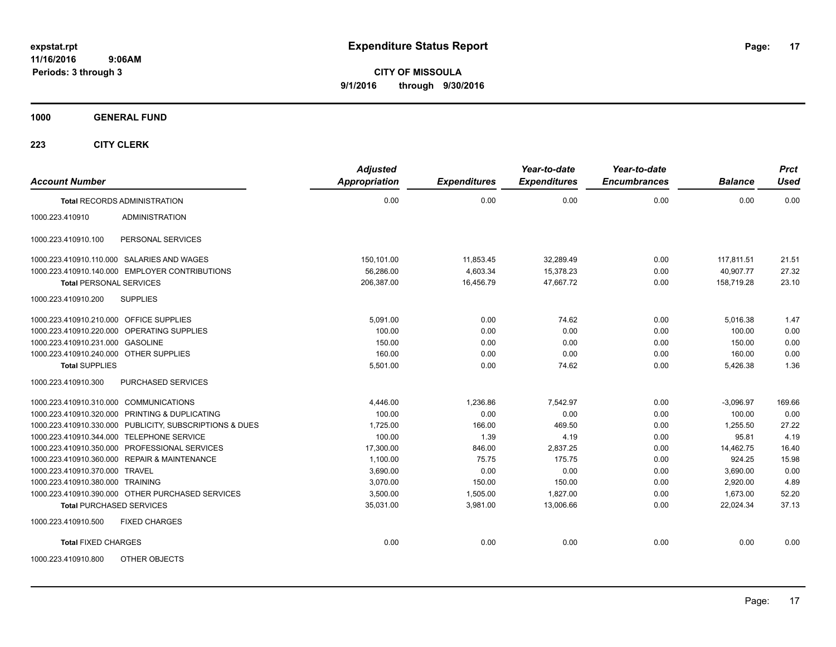**CITY OF MISSOULA 9/1/2016 through 9/30/2016**

**1000 GENERAL FUND**

| <b>Account Number</b>                      |                                                         | <b>Adjusted</b><br><b>Appropriation</b> | <b>Expenditures</b> | Year-to-date<br><b>Expenditures</b> | Year-to-date<br><b>Encumbrances</b> | <b>Balance</b> | <b>Prct</b><br><b>Used</b> |
|--------------------------------------------|---------------------------------------------------------|-----------------------------------------|---------------------|-------------------------------------|-------------------------------------|----------------|----------------------------|
|                                            | <b>Total RECORDS ADMINISTRATION</b>                     | 0.00                                    | 0.00                | 0.00                                | 0.00                                | 0.00           | 0.00                       |
| 1000.223.410910                            | <b>ADMINISTRATION</b>                                   |                                         |                     |                                     |                                     |                |                            |
| 1000.223.410910.100                        | PERSONAL SERVICES                                       |                                         |                     |                                     |                                     |                |                            |
| 1000.223.410910.110.000 SALARIES AND WAGES |                                                         | 150,101.00                              | 11,853.45           | 32,289.49                           | 0.00                                | 117,811.51     | 21.51                      |
|                                            | 1000.223.410910.140.000 EMPLOYER CONTRIBUTIONS          | 56,286.00                               | 4,603.34            | 15,378.23                           | 0.00                                | 40.907.77      | 27.32                      |
| <b>Total PERSONAL SERVICES</b>             |                                                         | 206,387.00                              | 16,456.79           | 47,667.72                           | 0.00                                | 158,719.28     | 23.10                      |
| 1000.223.410910.200                        | <b>SUPPLIES</b>                                         |                                         |                     |                                     |                                     |                |                            |
| 1000.223.410910.210.000 OFFICE SUPPLIES    |                                                         | 5,091.00                                | 0.00                | 74.62                               | 0.00                                | 5,016.38       | 1.47                       |
| 1000.223.410910.220.000 OPERATING SUPPLIES |                                                         | 100.00                                  | 0.00                | 0.00                                | 0.00                                | 100.00         | 0.00                       |
| 1000.223.410910.231.000 GASOLINE           |                                                         | 150.00                                  | 0.00                | 0.00                                | 0.00                                | 150.00         | 0.00                       |
| 1000.223.410910.240.000 OTHER SUPPLIES     |                                                         | 160.00                                  | 0.00                | 0.00                                | 0.00                                | 160.00         | 0.00                       |
| <b>Total SUPPLIES</b>                      |                                                         | 5,501.00                                | 0.00                | 74.62                               | 0.00                                | 5,426.38       | 1.36                       |
| 1000.223.410910.300                        | PURCHASED SERVICES                                      |                                         |                     |                                     |                                     |                |                            |
| 1000.223.410910.310.000 COMMUNICATIONS     |                                                         | 4,446.00                                | 1,236.86            | 7,542.97                            | 0.00                                | $-3,096.97$    | 169.66                     |
|                                            | 1000.223.410910.320.000 PRINTING & DUPLICATING          | 100.00                                  | 0.00                | 0.00                                | 0.00                                | 100.00         | 0.00                       |
|                                            | 1000.223.410910.330.000 PUBLICITY, SUBSCRIPTIONS & DUES | 1,725.00                                | 166.00              | 469.50                              | 0.00                                | 1,255.50       | 27.22                      |
| 1000.223.410910.344.000 TELEPHONE SERVICE  |                                                         | 100.00                                  | 1.39                | 4.19                                | 0.00                                | 95.81          | 4.19                       |
|                                            | 1000.223.410910.350.000 PROFESSIONAL SERVICES           | 17,300.00                               | 846.00              | 2,837.25                            | 0.00                                | 14,462.75      | 16.40                      |
|                                            | 1000.223.410910.360.000 REPAIR & MAINTENANCE            | 1,100.00                                | 75.75               | 175.75                              | 0.00                                | 924.25         | 15.98                      |
| 1000.223.410910.370.000 TRAVEL             |                                                         | 3,690.00                                | 0.00                | 0.00                                | 0.00                                | 3,690.00       | 0.00                       |
| 1000.223.410910.380.000 TRAINING           |                                                         | 3.070.00                                | 150.00              | 150.00                              | 0.00                                | 2,920.00       | 4.89                       |
|                                            | 1000.223.410910.390.000 OTHER PURCHASED SERVICES        | 3,500.00                                | 1,505.00            | 1,827.00                            | 0.00                                | 1,673.00       | 52.20                      |
| <b>Total PURCHASED SERVICES</b>            |                                                         | 35,031.00                               | 3,981.00            | 13,006.66                           | 0.00                                | 22,024.34      | 37.13                      |
| 1000.223.410910.500                        | <b>FIXED CHARGES</b>                                    |                                         |                     |                                     |                                     |                |                            |
| <b>Total FIXED CHARGES</b>                 |                                                         | 0.00                                    | 0.00                | 0.00                                | 0.00                                | 0.00           | 0.00                       |
| 1000.223.410910.800                        | OTHER OBJECTS                                           |                                         |                     |                                     |                                     |                |                            |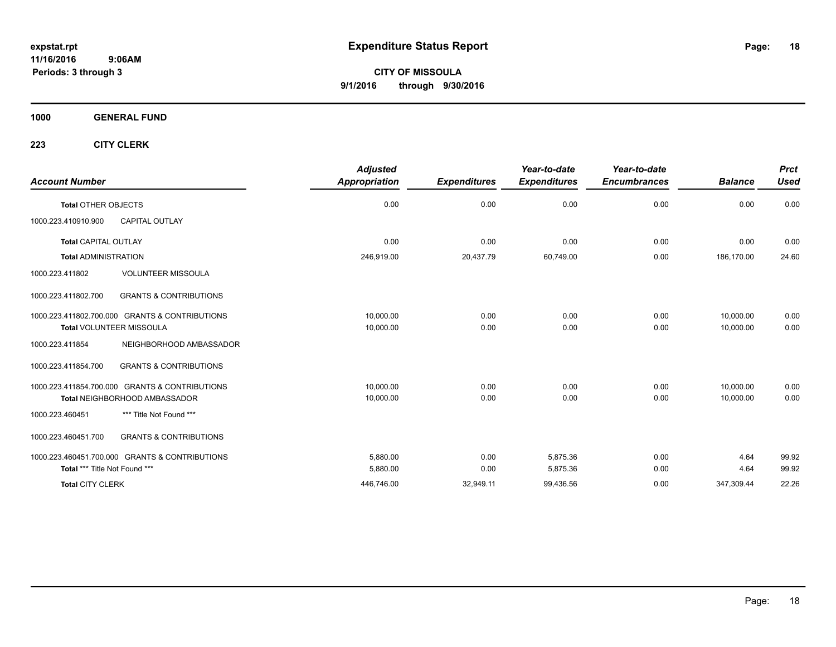**CITY OF MISSOULA 9/1/2016 through 9/30/2016**

**1000 GENERAL FUND**

| <b>Account Number</b>                                    | <b>Adjusted</b><br><b>Appropriation</b> | <b>Expenditures</b> | Year-to-date<br><b>Expenditures</b> | Year-to-date<br><b>Encumbrances</b> | <b>Balance</b> | <b>Prct</b><br><b>Used</b> |
|----------------------------------------------------------|-----------------------------------------|---------------------|-------------------------------------|-------------------------------------|----------------|----------------------------|
| <b>Total OTHER OBJECTS</b>                               | 0.00                                    | 0.00                | 0.00                                | 0.00                                | 0.00           | 0.00                       |
| 1000.223.410910.900<br><b>CAPITAL OUTLAY</b>             |                                         |                     |                                     |                                     |                |                            |
| <b>Total CAPITAL OUTLAY</b>                              | 0.00                                    | 0.00                | 0.00                                | 0.00                                | 0.00           | 0.00                       |
| <b>Total ADMINISTRATION</b>                              | 246,919.00                              | 20,437.79           | 60,749.00                           | 0.00                                | 186,170.00     | 24.60                      |
| <b>VOLUNTEER MISSOULA</b><br>1000.223.411802             |                                         |                     |                                     |                                     |                |                            |
| <b>GRANTS &amp; CONTRIBUTIONS</b><br>1000.223.411802.700 |                                         |                     |                                     |                                     |                |                            |
| 1000.223.411802.700.000 GRANTS & CONTRIBUTIONS           | 10,000.00                               | 0.00                | 0.00                                | 0.00                                | 10,000.00      | 0.00                       |
| <b>Total VOLUNTEER MISSOULA</b>                          | 10,000.00                               | 0.00                | 0.00                                | 0.00                                | 10,000.00      | 0.00                       |
| 1000.223.411854<br>NEIGHBORHOOD AMBASSADOR               |                                         |                     |                                     |                                     |                |                            |
| <b>GRANTS &amp; CONTRIBUTIONS</b><br>1000.223.411854.700 |                                         |                     |                                     |                                     |                |                            |
| 1000.223.411854.700.000 GRANTS & CONTRIBUTIONS           | 10,000.00                               | 0.00                | 0.00                                | 0.00                                | 10,000.00      | 0.00                       |
| Total NEIGHBORHOOD AMBASSADOR                            | 10,000.00                               | 0.00                | 0.00                                | 0.00                                | 10.000.00      | 0.00                       |
| *** Title Not Found ***<br>1000.223.460451               |                                         |                     |                                     |                                     |                |                            |
| <b>GRANTS &amp; CONTRIBUTIONS</b><br>1000.223.460451.700 |                                         |                     |                                     |                                     |                |                            |
| 1000.223.460451.700.000 GRANTS & CONTRIBUTIONS           | 5,880.00                                | 0.00                | 5.875.36                            | 0.00                                | 4.64           | 99.92                      |
| Total *** Title Not Found ***                            | 5,880.00                                | 0.00                | 5,875.36                            | 0.00                                | 4.64           | 99.92                      |
| <b>Total CITY CLERK</b>                                  | 446,746.00                              | 32,949.11           | 99,436.56                           | 0.00                                | 347,309.44     | 22.26                      |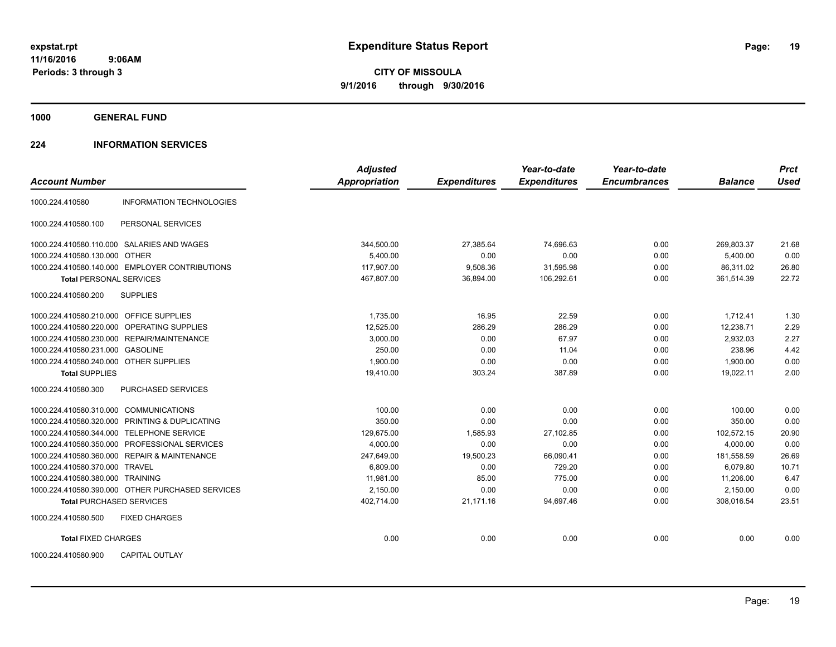**1000 GENERAL FUND**

### **224 INFORMATION SERVICES**

| <b>Account Number</b>                                | <b>Adjusted</b><br>Appropriation | <b>Expenditures</b> | Year-to-date<br><b>Expenditures</b> | Year-to-date<br><b>Encumbrances</b> | <b>Balance</b> | <b>Prct</b><br><b>Used</b> |
|------------------------------------------------------|----------------------------------|---------------------|-------------------------------------|-------------------------------------|----------------|----------------------------|
|                                                      |                                  |                     |                                     |                                     |                |                            |
| <b>INFORMATION TECHNOLOGIES</b><br>1000.224.410580   |                                  |                     |                                     |                                     |                |                            |
| PERSONAL SERVICES<br>1000.224.410580.100             |                                  |                     |                                     |                                     |                |                            |
| 1000.224.410580.110.000 SALARIES AND WAGES           | 344,500.00                       | 27,385.64           | 74,696.63                           | 0.00                                | 269,803.37     | 21.68                      |
| 1000.224.410580.130.000 OTHER                        | 5.400.00                         | 0.00                | 0.00                                | 0.00                                | 5,400.00       | 0.00                       |
| 1000.224.410580.140.000 EMPLOYER CONTRIBUTIONS       | 117.907.00                       | 9,508.36            | 31,595.98                           | 0.00                                | 86.311.02      | 26.80                      |
| <b>Total PERSONAL SERVICES</b>                       | 467,807.00                       | 36,894.00           | 106,292.61                          | 0.00                                | 361,514.39     | 22.72                      |
| 1000.224.410580.200<br><b>SUPPLIES</b>               |                                  |                     |                                     |                                     |                |                            |
| 1000.224.410580.210.000 OFFICE SUPPLIES              | 1,735.00                         | 16.95               | 22.59                               | 0.00                                | 1,712.41       | 1.30                       |
| <b>OPERATING SUPPLIES</b><br>1000.224.410580.220.000 | 12,525.00                        | 286.29              | 286.29                              | 0.00                                | 12,238.71      | 2.29                       |
| 1000.224.410580.230.000<br>REPAIR/MAINTENANCE        | 3,000.00                         | 0.00                | 67.97                               | 0.00                                | 2,932.03       | 2.27                       |
| 1000.224.410580.231.000 GASOLINE                     | 250.00                           | 0.00                | 11.04                               | 0.00                                | 238.96         | 4.42                       |
| 1000.224.410580.240.000 OTHER SUPPLIES               | 1.900.00                         | 0.00                | 0.00                                | 0.00                                | 1,900.00       | 0.00                       |
| <b>Total SUPPLIES</b>                                | 19,410.00                        | 303.24              | 387.89                              | 0.00                                | 19,022.11      | 2.00                       |
| 1000.224.410580.300<br>PURCHASED SERVICES            |                                  |                     |                                     |                                     |                |                            |
| 1000.224.410580.310.000<br><b>COMMUNICATIONS</b>     | 100.00                           | 0.00                | 0.00                                | 0.00                                | 100.00         | 0.00                       |
| PRINTING & DUPLICATING<br>1000.224.410580.320.000    | 350.00                           | 0.00                | 0.00                                | 0.00                                | 350.00         | 0.00                       |
| 1000.224.410580.344.000 TELEPHONE SERVICE            | 129.675.00                       | 1,585.93            | 27,102.85                           | 0.00                                | 102.572.15     | 20.90                      |
| 1000.224.410580.350.000 PROFESSIONAL SERVICES        | 4,000.00                         | 0.00                | 0.00                                | 0.00                                | 4,000.00       | 0.00                       |
| 1000.224.410580.360.000 REPAIR & MAINTENANCE         | 247,649.00                       | 19,500.23           | 66,090.41                           | 0.00                                | 181,558.59     | 26.69                      |
| 1000.224.410580.370.000 TRAVEL                       | 6.809.00                         | 0.00                | 729.20                              | 0.00                                | 6.079.80       | 10.71                      |
| 1000.224.410580.380.000 TRAINING                     | 11.981.00                        | 85.00               | 775.00                              | 0.00                                | 11.206.00      | 6.47                       |
| 1000.224.410580.390.000 OTHER PURCHASED SERVICES     | 2,150.00                         | 0.00                | 0.00                                | 0.00                                | 2,150.00       | 0.00                       |
| <b>Total PURCHASED SERVICES</b>                      | 402,714.00                       | 21,171.16           | 94,697.46                           | 0.00                                | 308,016.54     | 23.51                      |
| 1000.224.410580.500<br><b>FIXED CHARGES</b>          |                                  |                     |                                     |                                     |                |                            |
| <b>Total FIXED CHARGES</b>                           | 0.00                             | 0.00                | 0.00                                | 0.00                                | 0.00           | 0.00                       |
| 1000.224.410580.900<br><b>CAPITAL OUTLAY</b>         |                                  |                     |                                     |                                     |                |                            |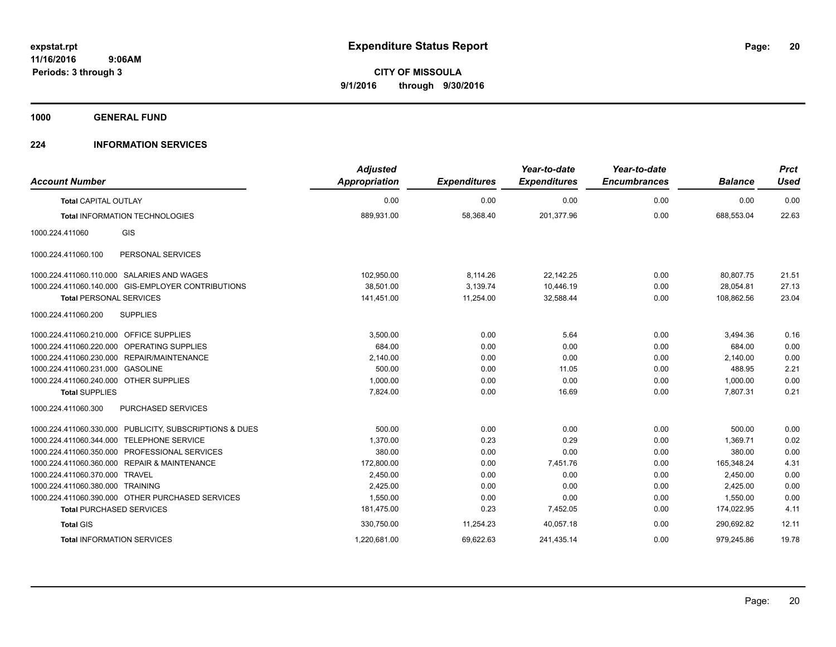**1000 GENERAL FUND**

### **224 INFORMATION SERVICES**

| <b>Account Number</b>                                   | <b>Adjusted</b><br>Appropriation | <b>Expenditures</b> | Year-to-date<br><b>Expenditures</b> | Year-to-date<br><b>Encumbrances</b> | <b>Balance</b> | <b>Prct</b><br><b>Used</b> |
|---------------------------------------------------------|----------------------------------|---------------------|-------------------------------------|-------------------------------------|----------------|----------------------------|
| <b>Total CAPITAL OUTLAY</b>                             | 0.00                             | 0.00                | 0.00                                | 0.00                                | 0.00           | 0.00                       |
| <b>Total INFORMATION TECHNOLOGIES</b>                   | 889,931.00                       | 58,368.40           | 201,377.96                          | 0.00                                | 688,553.04     | 22.63                      |
| GIS<br>1000.224.411060                                  |                                  |                     |                                     |                                     |                |                            |
| 1000.224.411060.100<br>PERSONAL SERVICES                |                                  |                     |                                     |                                     |                |                            |
| 1000.224.411060.110.000 SALARIES AND WAGES              | 102,950.00                       | 8,114.26            | 22,142.25                           | 0.00                                | 80,807.75      | 21.51                      |
| 1000.224.411060.140.000 GIS-EMPLOYER CONTRIBUTIONS      | 38,501.00                        | 3,139.74            | 10.446.19                           | 0.00                                | 28,054.81      | 27.13                      |
| <b>Total PERSONAL SERVICES</b>                          | 141,451.00                       | 11,254.00           | 32,588.44                           | 0.00                                | 108,862.56     | 23.04                      |
| 1000.224.411060.200<br><b>SUPPLIES</b>                  |                                  |                     |                                     |                                     |                |                            |
| 1000.224.411060.210.000 OFFICE SUPPLIES                 | 3.500.00                         | 0.00                | 5.64                                | 0.00                                | 3,494.36       | 0.16                       |
| 1000.224.411060.220.000 OPERATING SUPPLIES              | 684.00                           | 0.00                | 0.00                                | 0.00                                | 684.00         | 0.00                       |
| 1000.224.411060.230.000 REPAIR/MAINTENANCE              | 2,140.00                         | 0.00                | 0.00                                | 0.00                                | 2,140.00       | 0.00                       |
| 1000.224.411060.231.000 GASOLINE                        | 500.00                           | 0.00                | 11.05                               | 0.00                                | 488.95         | 2.21                       |
| 1000.224.411060.240.000 OTHER SUPPLIES                  | 1,000.00                         | 0.00                | 0.00                                | 0.00                                | 1,000.00       | 0.00                       |
| <b>Total SUPPLIES</b>                                   | 7,824.00                         | 0.00                | 16.69                               | 0.00                                | 7,807.31       | 0.21                       |
| 1000.224.411060.300<br>PURCHASED SERVICES               |                                  |                     |                                     |                                     |                |                            |
| 1000.224.411060.330.000 PUBLICITY, SUBSCRIPTIONS & DUES | 500.00                           | 0.00                | 0.00                                | 0.00                                | 500.00         | 0.00                       |
| <b>TELEPHONE SERVICE</b><br>1000.224.411060.344.000     | 1,370.00                         | 0.23                | 0.29                                | 0.00                                | 1,369.71       | 0.02                       |
| 1000.224.411060.350.000 PROFESSIONAL SERVICES           | 380.00                           | 0.00                | 0.00                                | 0.00                                | 380.00         | 0.00                       |
| 1000.224.411060.360.000 REPAIR & MAINTENANCE            | 172,800.00                       | 0.00                | 7.451.76                            | 0.00                                | 165.348.24     | 4.31                       |
| 1000.224.411060.370.000 TRAVEL                          | 2,450.00                         | 0.00                | 0.00                                | 0.00                                | 2,450.00       | 0.00                       |
| 1000.224.411060.380.000 TRAINING                        | 2,425.00                         | 0.00                | 0.00                                | 0.00                                | 2,425.00       | 0.00                       |
| 1000.224.411060.390.000 OTHER PURCHASED SERVICES        | 1,550.00                         | 0.00                | 0.00                                | 0.00                                | 1,550.00       | 0.00                       |
| <b>Total PURCHASED SERVICES</b>                         | 181,475.00                       | 0.23                | 7,452.05                            | 0.00                                | 174,022.95     | 4.11                       |
| <b>Total GIS</b>                                        | 330,750.00                       | 11,254.23           | 40.057.18                           | 0.00                                | 290.692.82     | 12.11                      |
| <b>Total INFORMATION SERVICES</b>                       | 1,220,681.00                     | 69,622.63           | 241,435.14                          | 0.00                                | 979,245.86     | 19.78                      |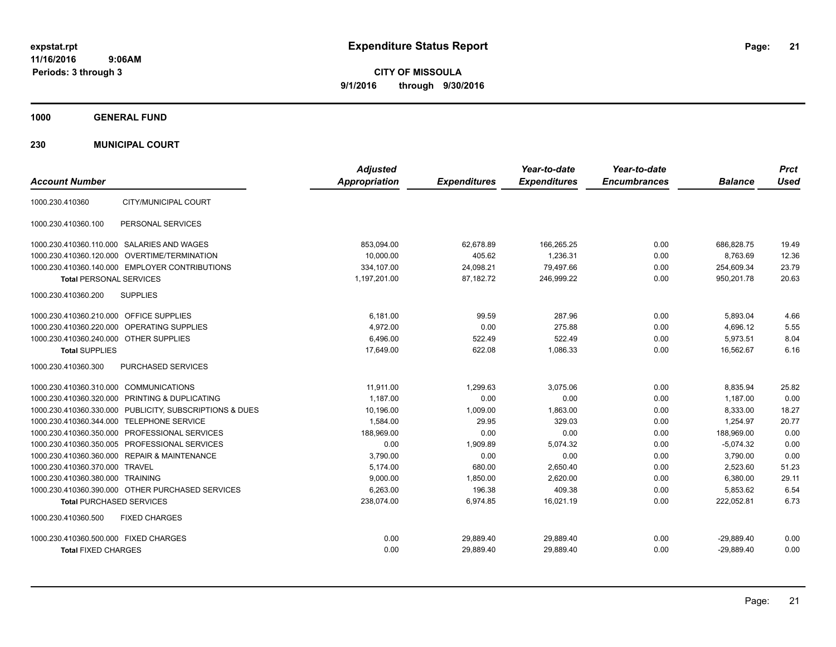**CITY OF MISSOULA 9/1/2016 through 9/30/2016**

**1000 GENERAL FUND**

**230 MUNICIPAL COURT**

| <b>Account Number</b>                                   | <b>Adjusted</b><br><b>Appropriation</b> | <b>Expenditures</b> | Year-to-date<br><b>Expenditures</b> | Year-to-date<br><b>Encumbrances</b> | <b>Balance</b> | <b>Prct</b><br><b>Used</b> |
|---------------------------------------------------------|-----------------------------------------|---------------------|-------------------------------------|-------------------------------------|----------------|----------------------------|
| CITY/MUNICIPAL COURT<br>1000.230.410360                 |                                         |                     |                                     |                                     |                |                            |
| PERSONAL SERVICES<br>1000.230.410360.100                |                                         |                     |                                     |                                     |                |                            |
| 1000.230.410360.110.000 SALARIES AND WAGES              | 853,094.00                              | 62,678.89           | 166,265.25                          | 0.00                                | 686,828.75     | 19.49                      |
| 1000.230.410360.120.000 OVERTIME/TERMINATION            | 10.000.00                               | 405.62              | 1,236.31                            | 0.00                                | 8.763.69       | 12.36                      |
| 1000.230.410360.140.000 EMPLOYER CONTRIBUTIONS          | 334,107.00                              | 24,098.21           | 79,497.66                           | 0.00                                | 254,609.34     | 23.79                      |
| <b>Total PERSONAL SERVICES</b>                          | 1,197,201.00                            | 87,182.72           | 246,999.22                          | 0.00                                | 950,201.78     | 20.63                      |
| 1000.230.410360.200<br><b>SUPPLIES</b>                  |                                         |                     |                                     |                                     |                |                            |
| 1000.230.410360.210.000 OFFICE SUPPLIES                 | 6.181.00                                | 99.59               | 287.96                              | 0.00                                | 5,893.04       | 4.66                       |
| 1000.230.410360.220.000 OPERATING SUPPLIES              | 4,972.00                                | 0.00                | 275.88                              | 0.00                                | 4,696.12       | 5.55                       |
| 1000.230.410360.240.000 OTHER SUPPLIES                  | 6.496.00                                | 522.49              | 522.49                              | 0.00                                | 5.973.51       | 8.04                       |
| <b>Total SUPPLIES</b>                                   | 17,649.00                               | 622.08              | 1,086.33                            | 0.00                                | 16,562.67      | 6.16                       |
| 1000.230.410360.300<br>PURCHASED SERVICES               |                                         |                     |                                     |                                     |                |                            |
| 1000.230.410360.310.000 COMMUNICATIONS                  | 11.911.00                               | 1,299.63            | 3,075.06                            | 0.00                                | 8,835.94       | 25.82                      |
| 1000.230.410360.320.000 PRINTING & DUPLICATING          | 1,187.00                                | 0.00                | 0.00                                | 0.00                                | 1,187.00       | 0.00                       |
| 1000.230.410360.330.000 PUBLICITY, SUBSCRIPTIONS & DUES | 10,196.00                               | 1,009.00            | 1.863.00                            | 0.00                                | 8,333.00       | 18.27                      |
| 1000.230.410360.344.000 TELEPHONE SERVICE               | 1,584.00                                | 29.95               | 329.03                              | 0.00                                | 1.254.97       | 20.77                      |
| 1000.230.410360.350.000 PROFESSIONAL SERVICES           | 188,969.00                              | 0.00                | 0.00                                | 0.00                                | 188,969.00     | 0.00                       |
| 1000.230.410360.350.005 PROFESSIONAL SERVICES           | 0.00                                    | 1,909.89            | 5,074.32                            | 0.00                                | $-5,074.32$    | 0.00                       |
| 1000.230.410360.360.000 REPAIR & MAINTENANCE            | 3,790.00                                | 0.00                | 0.00                                | 0.00                                | 3,790.00       | 0.00                       |
| 1000.230.410360.370.000 TRAVEL                          | 5,174.00                                | 680.00              | 2,650.40                            | 0.00                                | 2,523.60       | 51.23                      |
| 1000.230.410360.380.000 TRAINING                        | 9,000.00                                | 1.850.00            | 2,620.00                            | 0.00                                | 6,380.00       | 29.11                      |
| 1000.230.410360.390.000 OTHER PURCHASED SERVICES        | 6,263.00                                | 196.38              | 409.38                              | 0.00                                | 5,853.62       | 6.54                       |
| <b>Total PURCHASED SERVICES</b>                         | 238,074.00                              | 6,974.85            | 16,021.19                           | 0.00                                | 222,052.81     | 6.73                       |
| 1000.230.410360.500<br><b>FIXED CHARGES</b>             |                                         |                     |                                     |                                     |                |                            |
| 1000.230.410360.500.000 FIXED CHARGES                   | 0.00                                    | 29,889.40           | 29,889.40                           | 0.00                                | $-29,889.40$   | 0.00                       |
| <b>Total FIXED CHARGES</b>                              | 0.00                                    | 29,889.40           | 29,889.40                           | 0.00                                | $-29.889.40$   | 0.00                       |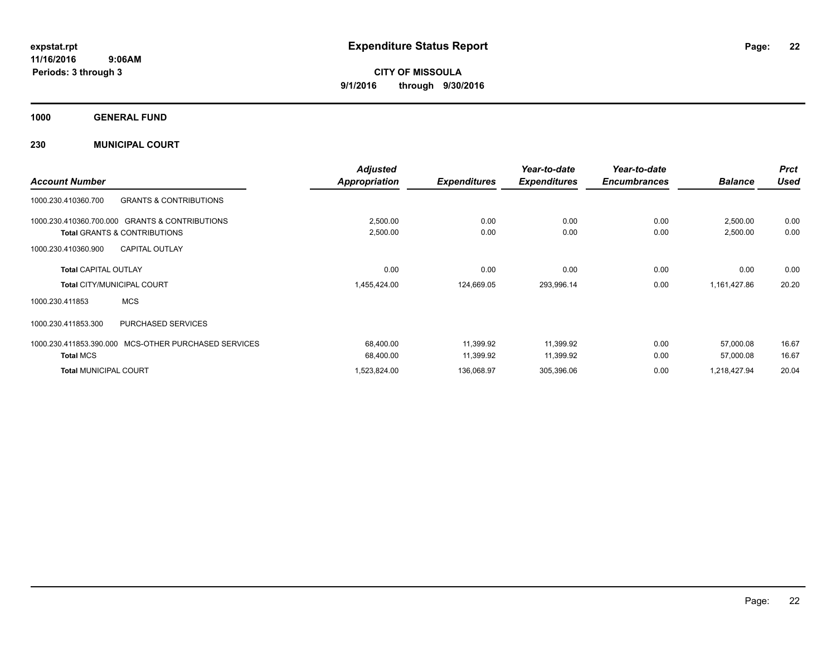**Periods: 3 through 3**

**CITY OF MISSOULA 9/1/2016 through 9/30/2016**

**1000 GENERAL FUND**

**230 MUNICIPAL COURT**

|                                                              | <b>Adjusted</b>      |                     | Year-to-date<br><b>Expenditures</b> | Year-to-date<br><b>Encumbrances</b> |                | <b>Prct</b> |
|--------------------------------------------------------------|----------------------|---------------------|-------------------------------------|-------------------------------------|----------------|-------------|
| <b>Account Number</b>                                        | <b>Appropriation</b> | <b>Expenditures</b> |                                     |                                     | <b>Balance</b> | <b>Used</b> |
| <b>GRANTS &amp; CONTRIBUTIONS</b><br>1000.230.410360.700     |                      |                     |                                     |                                     |                |             |
| <b>GRANTS &amp; CONTRIBUTIONS</b><br>1000.230.410360.700.000 | 2,500.00             | 0.00                | 0.00                                | 0.00                                | 2,500.00       | 0.00        |
| <b>Total GRANTS &amp; CONTRIBUTIONS</b>                      | 2,500.00             | 0.00                | 0.00                                | 0.00                                | 2,500.00       | 0.00        |
| <b>CAPITAL OUTLAY</b><br>1000.230.410360.900                 |                      |                     |                                     |                                     |                |             |
| <b>Total CAPITAL OUTLAY</b>                                  | 0.00                 | 0.00                | 0.00                                | 0.00                                | 0.00           | 0.00        |
| <b>Total CITY/MUNICIPAL COURT</b>                            | 1,455,424.00         | 124,669.05          | 293,996.14                          | 0.00                                | 1,161,427.86   | 20.20       |
| <b>MCS</b><br>1000.230.411853                                |                      |                     |                                     |                                     |                |             |
| <b>PURCHASED SERVICES</b><br>1000.230.411853.300             |                      |                     |                                     |                                     |                |             |
| 1000.230.411853.390.000 MCS-OTHER PURCHASED SERVICES         | 68,400.00            | 11,399.92           | 11,399.92                           | 0.00                                | 57,000.08      | 16.67       |
| <b>Total MCS</b>                                             | 68,400.00            | 11,399.92           | 11,399.92                           | 0.00                                | 57,000.08      | 16.67       |
| <b>Total MUNICIPAL COURT</b>                                 | 1,523,824.00         | 136,068.97          | 305,396.06                          | 0.00                                | 1,218,427.94   | 20.04       |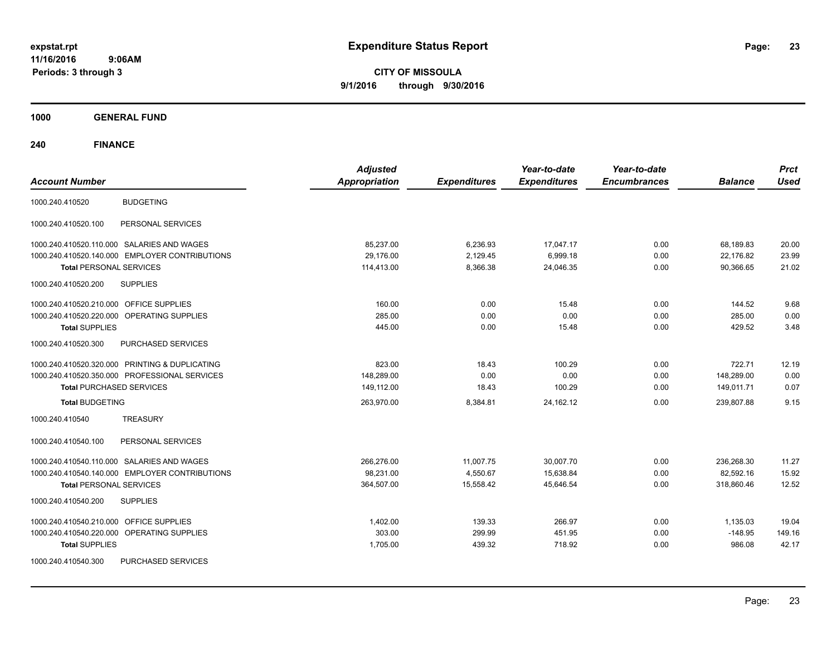**CITY OF MISSOULA 9/1/2016 through 9/30/2016**

**1000 GENERAL FUND**

| <b>Account Number</b>                                | <b>Adjusted</b><br><b>Appropriation</b> | <b>Expenditures</b> | Year-to-date<br><b>Expenditures</b> | Year-to-date<br><b>Encumbrances</b> | <b>Balance</b> | <b>Prct</b><br><b>Used</b> |
|------------------------------------------------------|-----------------------------------------|---------------------|-------------------------------------|-------------------------------------|----------------|----------------------------|
| <b>BUDGETING</b><br>1000.240.410520                  |                                         |                     |                                     |                                     |                |                            |
| PERSONAL SERVICES<br>1000.240.410520.100             |                                         |                     |                                     |                                     |                |                            |
| 1000.240.410520.110.000 SALARIES AND WAGES           | 85,237.00                               | 6,236.93            | 17,047.17                           | 0.00                                | 68,189.83      | 20.00                      |
| 1000.240.410520.140.000 EMPLOYER CONTRIBUTIONS       | 29,176.00                               | 2,129.45            | 6,999.18                            | 0.00                                | 22,176.82      | 23.99                      |
| <b>Total PERSONAL SERVICES</b>                       | 114,413.00                              | 8,366.38            | 24,046.35                           | 0.00                                | 90,366.65      | 21.02                      |
| <b>SUPPLIES</b><br>1000.240.410520.200               |                                         |                     |                                     |                                     |                |                            |
| 1000.240.410520.210.000 OFFICE SUPPLIES              | 160.00                                  | 0.00                | 15.48                               | 0.00                                | 144.52         | 9.68                       |
| 1000.240.410520.220.000 OPERATING SUPPLIES           | 285.00                                  | 0.00                | 0.00                                | 0.00                                | 285.00         | 0.00                       |
| <b>Total SUPPLIES</b>                                | 445.00                                  | 0.00                | 15.48                               | 0.00                                | 429.52         | 3.48                       |
| 1000.240.410520.300<br>PURCHASED SERVICES            |                                         |                     |                                     |                                     |                |                            |
| 1000.240.410520.320.000 PRINTING & DUPLICATING       | 823.00                                  | 18.43               | 100.29                              | 0.00                                | 722.71         | 12.19                      |
| 1000.240.410520.350.000 PROFESSIONAL SERVICES        | 148,289.00                              | 0.00                | 0.00                                | 0.00                                | 148,289.00     | 0.00                       |
| <b>Total PURCHASED SERVICES</b>                      | 149,112.00                              | 18.43               | 100.29                              | 0.00                                | 149,011.71     | 0.07                       |
| <b>Total BUDGETING</b>                               | 263,970.00                              | 8,384.81            | 24, 162. 12                         | 0.00                                | 239,807.88     | 9.15                       |
| <b>TREASURY</b><br>1000.240.410540                   |                                         |                     |                                     |                                     |                |                            |
| PERSONAL SERVICES<br>1000.240.410540.100             |                                         |                     |                                     |                                     |                |                            |
| 1000.240.410540.110.000 SALARIES AND WAGES           | 266,276.00                              | 11,007.75           | 30,007.70                           | 0.00                                | 236,268.30     | 11.27                      |
| 1000.240.410540.140.000 EMPLOYER CONTRIBUTIONS       | 98,231.00                               | 4,550.67            | 15,638.84                           | 0.00                                | 82,592.16      | 15.92                      |
| <b>Total PERSONAL SERVICES</b>                       | 364,507.00                              | 15,558.42           | 45,646.54                           | 0.00                                | 318,860.46     | 12.52                      |
| 1000.240.410540.200<br><b>SUPPLIES</b>               |                                         |                     |                                     |                                     |                |                            |
| 1000.240.410540.210.000 OFFICE SUPPLIES              | 1,402.00                                | 139.33              | 266.97                              | 0.00                                | 1,135.03       | 19.04                      |
| 1000.240.410540.220.000<br><b>OPERATING SUPPLIES</b> | 303.00                                  | 299.99              | 451.95                              | 0.00                                | $-148.95$      | 149.16                     |
| <b>Total SUPPLIES</b>                                | 1,705.00                                | 439.32              | 718.92                              | 0.00                                | 986.08         | 42.17                      |
| 1000.240.410540.300<br>PURCHASED SERVICES            |                                         |                     |                                     |                                     |                |                            |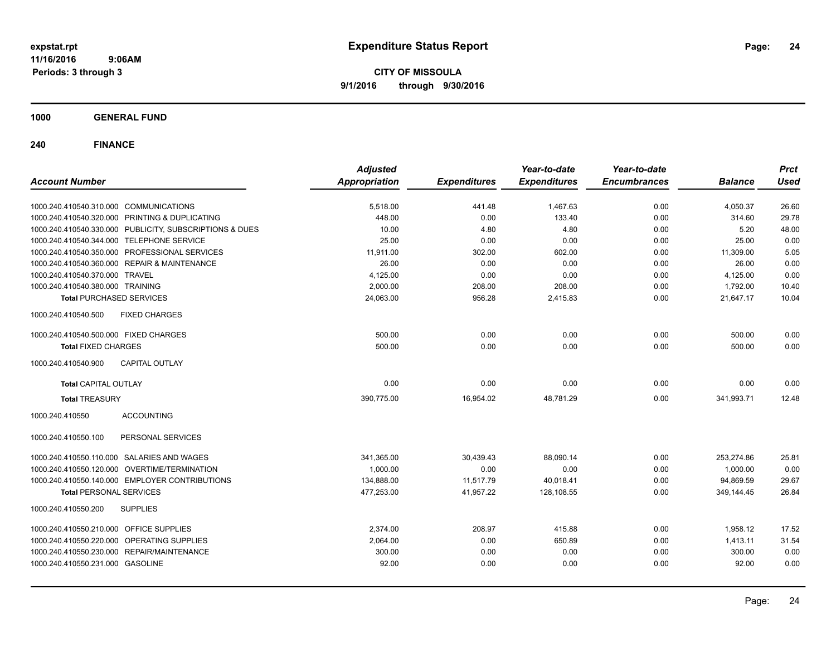**CITY OF MISSOULA 9/1/2016 through 9/30/2016**

**1000 GENERAL FUND**

| <b>Account Number</b>                                   | <b>Adjusted</b><br><b>Appropriation</b> | <b>Expenditures</b> | Year-to-date<br><b>Expenditures</b> | Year-to-date<br><b>Encumbrances</b> | <b>Balance</b> | <b>Prct</b><br><b>Used</b> |
|---------------------------------------------------------|-----------------------------------------|---------------------|-------------------------------------|-------------------------------------|----------------|----------------------------|
| 1000.240.410540.310.000 COMMUNICATIONS                  | 5,518.00                                | 441.48              | 1,467.63                            | 0.00                                | 4,050.37       | 26.60                      |
| 1000.240.410540.320.000 PRINTING & DUPLICATING          | 448.00                                  | 0.00                | 133.40                              | 0.00                                | 314.60         | 29.78                      |
| 1000.240.410540.330.000 PUBLICITY, SUBSCRIPTIONS & DUES | 10.00                                   | 4.80                | 4.80                                | 0.00                                | 5.20           | 48.00                      |
| 1000.240.410540.344.000 TELEPHONE SERVICE               | 25.00                                   | 0.00                | 0.00                                | 0.00                                | 25.00          | 0.00                       |
| 1000.240.410540.350.000 PROFESSIONAL SERVICES           | 11,911.00                               | 302.00              | 602.00                              | 0.00                                | 11,309.00      | 5.05                       |
| 1000.240.410540.360.000 REPAIR & MAINTENANCE            | 26.00                                   | 0.00                | 0.00                                | 0.00                                | 26.00          | 0.00                       |
| 1000.240.410540.370.000 TRAVEL                          | 4,125.00                                | 0.00                | 0.00                                | 0.00                                | 4,125.00       | 0.00                       |
| 1000.240.410540.380.000 TRAINING                        | 2.000.00                                | 208.00              | 208.00                              | 0.00                                | 1,792.00       | 10.40                      |
| <b>Total PURCHASED SERVICES</b>                         | 24.063.00                               | 956.28              | 2,415.83                            | 0.00                                | 21.647.17      | 10.04                      |
| <b>FIXED CHARGES</b><br>1000.240.410540.500             |                                         |                     |                                     |                                     |                |                            |
| 1000.240.410540.500.000 FIXED CHARGES                   | 500.00                                  | 0.00                | 0.00                                | 0.00                                | 500.00         | 0.00                       |
| <b>Total FIXED CHARGES</b>                              | 500.00                                  | 0.00                | 0.00                                | 0.00                                | 500.00         | 0.00                       |
| 1000.240.410540.900<br><b>CAPITAL OUTLAY</b>            |                                         |                     |                                     |                                     |                |                            |
| <b>Total CAPITAL OUTLAY</b>                             | 0.00                                    | 0.00                | 0.00                                | 0.00                                | 0.00           | 0.00                       |
| <b>Total TREASURY</b>                                   | 390.775.00                              | 16,954.02           | 48.781.29                           | 0.00                                | 341,993.71     | 12.48                      |
| <b>ACCOUNTING</b><br>1000.240.410550                    |                                         |                     |                                     |                                     |                |                            |
| 1000.240.410550.100<br>PERSONAL SERVICES                |                                         |                     |                                     |                                     |                |                            |
| 1000.240.410550.110.000 SALARIES AND WAGES              | 341,365.00                              | 30,439.43           | 88,090.14                           | 0.00                                | 253,274.86     | 25.81                      |
| 1000.240.410550.120.000 OVERTIME/TERMINATION            | 1,000.00                                | 0.00                | 0.00                                | 0.00                                | 1.000.00       | 0.00                       |
| 1000.240.410550.140.000 EMPLOYER CONTRIBUTIONS          | 134,888.00                              | 11,517.79           | 40,018.41                           | 0.00                                | 94.869.59      | 29.67                      |
| <b>Total PERSONAL SERVICES</b>                          | 477,253.00                              | 41,957.22           | 128,108.55                          | 0.00                                | 349,144.45     | 26.84                      |
| 1000.240.410550.200<br><b>SUPPLIES</b>                  |                                         |                     |                                     |                                     |                |                            |
| 1000.240.410550.210.000 OFFICE SUPPLIES                 | 2,374.00                                | 208.97              | 415.88                              | 0.00                                | 1,958.12       | 17.52                      |
| 1000.240.410550.220.000 OPERATING SUPPLIES              | 2,064.00                                | 0.00                | 650.89                              | 0.00                                | 1,413.11       | 31.54                      |
| 1000.240.410550.230.000 REPAIR/MAINTENANCE              | 300.00                                  | 0.00                | 0.00                                | 0.00                                | 300.00         | 0.00                       |
| 1000.240.410550.231.000 GASOLINE                        | 92.00                                   | 0.00                | 0.00                                | 0.00                                | 92.00          | 0.00                       |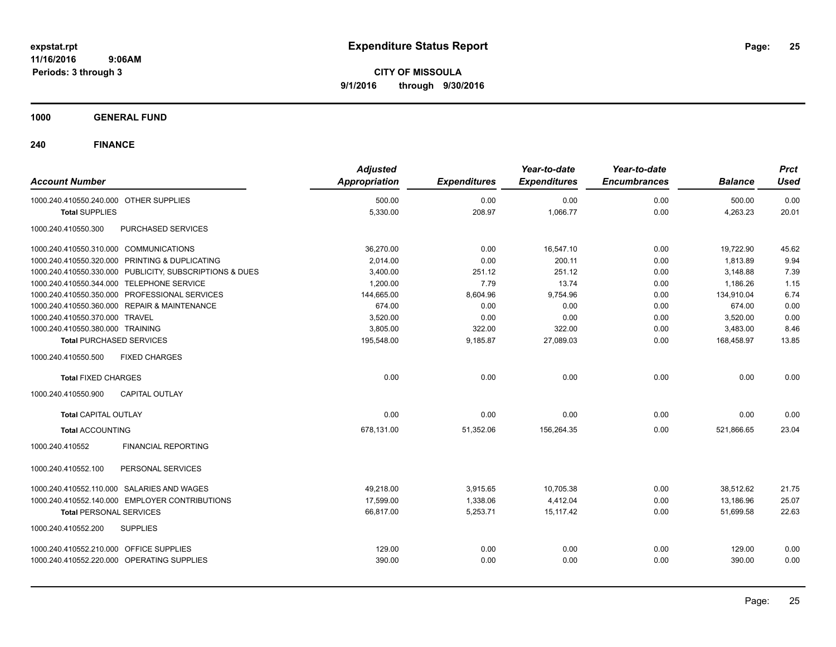**CITY OF MISSOULA 9/1/2016 through 9/30/2016**

**1000 GENERAL FUND**

| <b>Account Number</b>                                   | <b>Adjusted</b><br><b>Appropriation</b> | <b>Expenditures</b> | Year-to-date<br><b>Expenditures</b> | Year-to-date<br><b>Encumbrances</b> | <b>Balance</b> | <b>Prct</b><br><b>Used</b> |
|---------------------------------------------------------|-----------------------------------------|---------------------|-------------------------------------|-------------------------------------|----------------|----------------------------|
| 1000.240.410550.240.000 OTHER SUPPLIES                  | 500.00                                  | 0.00                | 0.00                                | 0.00                                | 500.00         | 0.00                       |
| <b>Total SUPPLIES</b>                                   | 5,330.00                                | 208.97              | 1,066.77                            | 0.00                                | 4,263.23       | 20.01                      |
| 1000.240.410550.300<br>PURCHASED SERVICES               |                                         |                     |                                     |                                     |                |                            |
| 1000.240.410550.310.000 COMMUNICATIONS                  | 36,270.00                               | 0.00                | 16,547.10                           | 0.00                                | 19,722.90      | 45.62                      |
| 1000.240.410550.320.000 PRINTING & DUPLICATING          | 2,014.00                                | 0.00                | 200.11                              | 0.00                                | 1.813.89       | 9.94                       |
| 1000.240.410550.330.000 PUBLICITY, SUBSCRIPTIONS & DUES | 3,400.00                                | 251.12              | 251.12                              | 0.00                                | 3,148.88       | 7.39                       |
| 1000.240.410550.344.000 TELEPHONE SERVICE               | 1,200.00                                | 7.79                | 13.74                               | 0.00                                | 1,186.26       | 1.15                       |
| 1000.240.410550.350.000 PROFESSIONAL SERVICES           | 144,665.00                              | 8,604.96            | 9,754.96                            | 0.00                                | 134,910.04     | 6.74                       |
| 1000.240.410550.360.000 REPAIR & MAINTENANCE            | 674.00                                  | 0.00                | 0.00                                | 0.00                                | 674.00         | 0.00                       |
| 1000.240.410550.370.000 TRAVEL                          | 3,520.00                                | 0.00                | 0.00                                | 0.00                                | 3,520.00       | 0.00                       |
| 1000.240.410550.380.000 TRAINING                        | 3.805.00                                | 322.00              | 322.00                              | 0.00                                | 3,483.00       | 8.46                       |
| <b>Total PURCHASED SERVICES</b>                         | 195,548.00                              | 9,185.87            | 27,089.03                           | 0.00                                | 168,458.97     | 13.85                      |
| 1000.240.410550.500<br><b>FIXED CHARGES</b>             |                                         |                     |                                     |                                     |                |                            |
| <b>Total FIXED CHARGES</b>                              | 0.00                                    | 0.00                | 0.00                                | 0.00                                | 0.00           | 0.00                       |
| 1000.240.410550.900<br><b>CAPITAL OUTLAY</b>            |                                         |                     |                                     |                                     |                |                            |
| <b>Total CAPITAL OUTLAY</b>                             | 0.00                                    | 0.00                | 0.00                                | 0.00                                | 0.00           | 0.00                       |
| <b>Total ACCOUNTING</b>                                 | 678,131.00                              | 51,352.06           | 156,264.35                          | 0.00                                | 521,866.65     | 23.04                      |
| <b>FINANCIAL REPORTING</b><br>1000.240.410552           |                                         |                     |                                     |                                     |                |                            |
| PERSONAL SERVICES<br>1000.240.410552.100                |                                         |                     |                                     |                                     |                |                            |
| 1000.240.410552.110.000 SALARIES AND WAGES              | 49,218.00                               | 3,915.65            | 10,705.38                           | 0.00                                | 38,512.62      | 21.75                      |
| 1000.240.410552.140.000 EMPLOYER CONTRIBUTIONS          | 17.599.00                               | 1,338.06            | 4,412.04                            | 0.00                                | 13,186.96      | 25.07                      |
| <b>Total PERSONAL SERVICES</b>                          | 66,817.00                               | 5,253.71            | 15,117.42                           | 0.00                                | 51,699.58      | 22.63                      |
| 1000.240.410552.200<br><b>SUPPLIES</b>                  |                                         |                     |                                     |                                     |                |                            |
| 1000.240.410552.210.000 OFFICE SUPPLIES                 | 129.00                                  | 0.00                | 0.00                                | 0.00                                | 129.00         | 0.00                       |
| 1000.240.410552.220.000 OPERATING SUPPLIES              | 390.00                                  | 0.00                | 0.00                                | 0.00                                | 390.00         | 0.00                       |
|                                                         |                                         |                     |                                     |                                     |                |                            |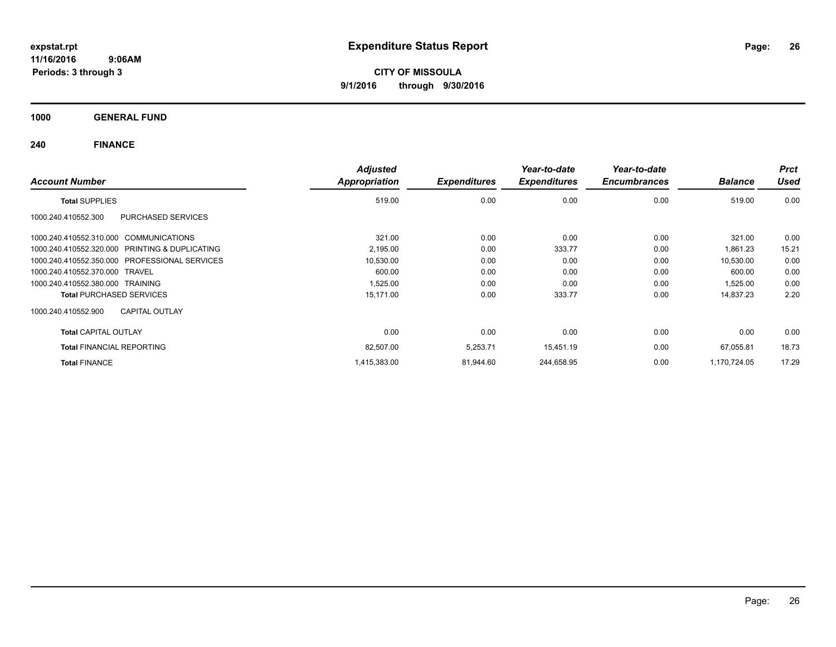**CITY OF MISSOULA 9/1/2016 through 9/30/2016**

**1000 GENERAL FUND**

| <b>Account Number</b>                          | <b>Adjusted</b><br>Appropriation | <b>Expenditures</b> | Year-to-date<br><b>Expenditures</b> | Year-to-date<br><b>Encumbrances</b> | <b>Balance</b> | <b>Prct</b><br><b>Used</b> |
|------------------------------------------------|----------------------------------|---------------------|-------------------------------------|-------------------------------------|----------------|----------------------------|
| <b>Total SUPPLIES</b>                          | 519.00                           | 0.00                | 0.00                                | 0.00                                | 519.00         | 0.00                       |
| 1000.240.410552.300<br>PURCHASED SERVICES      |                                  |                     |                                     |                                     |                |                            |
| 1000.240.410552.310.000 COMMUNICATIONS         | 321.00                           | 0.00                | 0.00                                | 0.00                                | 321.00         | 0.00                       |
| 1000.240.410552.320.000 PRINTING & DUPLICATING | 2,195.00                         | 0.00                | 333.77                              | 0.00                                | 1,861.23       | 15.21                      |
| 1000.240.410552.350.000 PROFESSIONAL SERVICES  | 10,530.00                        | 0.00                | 0.00                                | 0.00                                | 10,530.00      | 0.00                       |
| 1000.240.410552.370.000 TRAVEL                 | 600.00                           | 0.00                | 0.00                                | 0.00                                | 600.00         | 0.00                       |
| 1000.240.410552.380.000 TRAINING               | 1,525.00                         | 0.00                | 0.00                                | 0.00                                | 1,525.00       | 0.00                       |
| <b>Total PURCHASED SERVICES</b>                | 15,171.00                        | 0.00                | 333.77                              | 0.00                                | 14,837.23      | 2.20                       |
| <b>CAPITAL OUTLAY</b><br>1000.240.410552.900   |                                  |                     |                                     |                                     |                |                            |
| <b>Total CAPITAL OUTLAY</b>                    | 0.00                             | 0.00                | 0.00                                | 0.00                                | 0.00           | 0.00                       |
| <b>Total FINANCIAL REPORTING</b>               | 82,507.00                        | 5,253.71            | 15,451.19                           | 0.00                                | 67,055.81      | 18.73                      |
| <b>Total FINANCE</b>                           | 1,415,383.00                     | 81,944.60           | 244,658.95                          | 0.00                                | 1,170,724.05   | 17.29                      |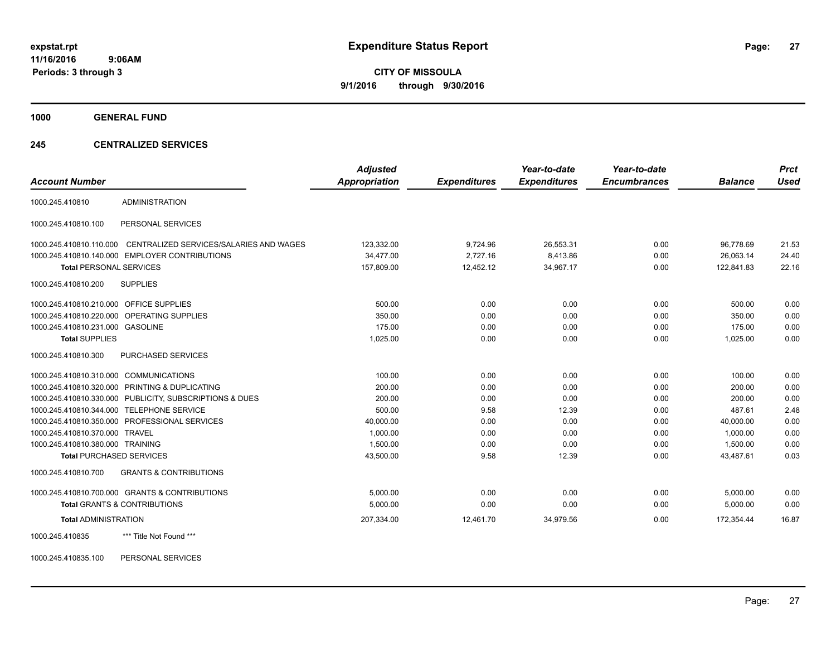**CITY OF MISSOULA 9/1/2016 through 9/30/2016**

**1000 GENERAL FUND**

### **245 CENTRALIZED SERVICES**

| <b>Account Number</b>                   |                                                         | <b>Adjusted</b><br><b>Appropriation</b> | <b>Expenditures</b> | Year-to-date<br><b>Expenditures</b> | Year-to-date<br><b>Encumbrances</b> | <b>Balance</b> | <b>Prct</b><br><b>Used</b> |
|-----------------------------------------|---------------------------------------------------------|-----------------------------------------|---------------------|-------------------------------------|-------------------------------------|----------------|----------------------------|
|                                         |                                                         |                                         |                     |                                     |                                     |                |                            |
| 1000.245.410810                         | <b>ADMINISTRATION</b>                                   |                                         |                     |                                     |                                     |                |                            |
| 1000.245.410810.100                     | PERSONAL SERVICES                                       |                                         |                     |                                     |                                     |                |                            |
| 1000.245.410810.110.000                 | CENTRALIZED SERVICES/SALARIES AND WAGES                 | 123,332.00                              | 9,724.96            | 26,553.31                           | 0.00                                | 96,778.69      | 21.53                      |
|                                         | 1000.245.410810.140.000 EMPLOYER CONTRIBUTIONS          | 34,477.00                               | 2,727.16            | 8,413.86                            | 0.00                                | 26,063.14      | 24.40                      |
| <b>Total PERSONAL SERVICES</b>          |                                                         | 157,809.00                              | 12,452.12           | 34,967.17                           | 0.00                                | 122,841.83     | 22.16                      |
| 1000.245.410810.200                     | <b>SUPPLIES</b>                                         |                                         |                     |                                     |                                     |                |                            |
| 1000.245.410810.210.000 OFFICE SUPPLIES |                                                         | 500.00                                  | 0.00                | 0.00                                | 0.00                                | 500.00         | 0.00                       |
|                                         | 1000.245.410810.220.000 OPERATING SUPPLIES              | 350.00                                  | 0.00                | 0.00                                | 0.00                                | 350.00         | 0.00                       |
| 1000.245.410810.231.000 GASOLINE        |                                                         | 175.00                                  | 0.00                | 0.00                                | 0.00                                | 175.00         | 0.00                       |
| <b>Total SUPPLIES</b>                   |                                                         | 1,025.00                                | 0.00                | 0.00                                | 0.00                                | 1,025.00       | 0.00                       |
| 1000.245.410810.300                     | <b>PURCHASED SERVICES</b>                               |                                         |                     |                                     |                                     |                |                            |
| 1000.245.410810.310.000 COMMUNICATIONS  |                                                         | 100.00                                  | 0.00                | 0.00                                | 0.00                                | 100.00         | 0.00                       |
|                                         | 1000.245.410810.320.000 PRINTING & DUPLICATING          | 200.00                                  | 0.00                | 0.00                                | 0.00                                | 200.00         | 0.00                       |
|                                         | 1000.245.410810.330.000 PUBLICITY, SUBSCRIPTIONS & DUES | 200.00                                  | 0.00                | 0.00                                | 0.00                                | 200.00         | 0.00                       |
| 1000.245.410810.344.000                 | <b>TELEPHONE SERVICE</b>                                | 500.00                                  | 9.58                | 12.39                               | 0.00                                | 487.61         | 2.48                       |
|                                         | 1000.245.410810.350.000 PROFESSIONAL SERVICES           | 40,000.00                               | 0.00                | 0.00                                | 0.00                                | 40,000.00      | 0.00                       |
| 1000.245.410810.370.000                 | <b>TRAVEL</b>                                           | 1,000.00                                | 0.00                | 0.00                                | 0.00                                | 1,000.00       | 0.00                       |
| 1000.245.410810.380.000 TRAINING        |                                                         | 1,500.00                                | 0.00                | 0.00                                | 0.00                                | 1,500.00       | 0.00                       |
| <b>Total PURCHASED SERVICES</b>         |                                                         | 43,500.00                               | 9.58                | 12.39                               | 0.00                                | 43,487.61      | 0.03                       |
| 1000.245.410810.700                     | <b>GRANTS &amp; CONTRIBUTIONS</b>                       |                                         |                     |                                     |                                     |                |                            |
|                                         | 1000.245.410810.700.000 GRANTS & CONTRIBUTIONS          | 5,000.00                                | 0.00                | 0.00                                | 0.00                                | 5,000.00       | 0.00                       |
|                                         | <b>Total GRANTS &amp; CONTRIBUTIONS</b>                 | 5,000.00                                | 0.00                | 0.00                                | 0.00                                | 5,000.00       | 0.00                       |
| <b>Total ADMINISTRATION</b>             |                                                         | 207,334.00                              | 12,461.70           | 34,979.56                           | 0.00                                | 172,354.44     | 16.87                      |
| 1000.245.410835                         | *** Title Not Found ***                                 |                                         |                     |                                     |                                     |                |                            |

1000.245.410835.100 PERSONAL SERVICES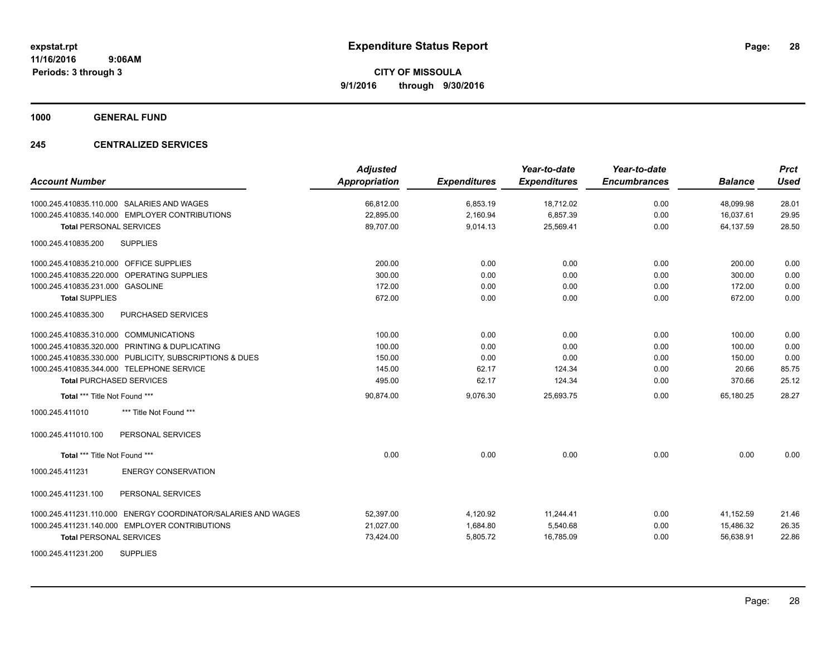**1000 GENERAL FUND**

### **245 CENTRALIZED SERVICES**

| <b>Account Number</b>                                         | <b>Adjusted</b><br><b>Appropriation</b> | <b>Expenditures</b> | Year-to-date<br><b>Expenditures</b> | Year-to-date<br><b>Encumbrances</b> | <b>Balance</b> | <b>Prct</b><br><b>Used</b> |
|---------------------------------------------------------------|-----------------------------------------|---------------------|-------------------------------------|-------------------------------------|----------------|----------------------------|
| 1000.245.410835.110.000 SALARIES AND WAGES                    | 66,812.00                               | 6,853.19            | 18,712.02                           | 0.00                                | 48,099.98      | 28.01                      |
| 1000.245.410835.140.000 EMPLOYER CONTRIBUTIONS                | 22,895.00                               | 2,160.94            | 6,857.39                            | 0.00                                | 16,037.61      | 29.95                      |
| <b>Total PERSONAL SERVICES</b>                                | 89.707.00                               | 9,014.13            | 25,569.41                           | 0.00                                | 64,137.59      | 28.50                      |
| <b>SUPPLIES</b><br>1000.245.410835.200                        |                                         |                     |                                     |                                     |                |                            |
| 1000.245.410835.210.000 OFFICE SUPPLIES                       | 200.00                                  | 0.00                | 0.00                                | 0.00                                | 200.00         | 0.00                       |
| 1000.245.410835.220.000 OPERATING SUPPLIES                    | 300.00                                  | 0.00                | 0.00                                | 0.00                                | 300.00         | 0.00                       |
| 1000.245.410835.231.000 GASOLINE                              | 172.00                                  | 0.00                | 0.00                                | 0.00                                | 172.00         | 0.00                       |
| <b>Total SUPPLIES</b>                                         | 672.00                                  | 0.00                | 0.00                                | 0.00                                | 672.00         | 0.00                       |
| 1000.245.410835.300<br><b>PURCHASED SERVICES</b>              |                                         |                     |                                     |                                     |                |                            |
| 1000.245.410835.310.000 COMMUNICATIONS                        | 100.00                                  | 0.00                | 0.00                                | 0.00                                | 100.00         | 0.00                       |
| 1000.245.410835.320.000 PRINTING & DUPLICATING                | 100.00                                  | 0.00                | 0.00                                | 0.00                                | 100.00         | 0.00                       |
| 1000.245.410835.330.000 PUBLICITY, SUBSCRIPTIONS & DUES       | 150.00                                  | 0.00                | 0.00                                | 0.00                                | 150.00         | 0.00                       |
| 1000.245.410835.344.000 TELEPHONE SERVICE                     | 145.00                                  | 62.17               | 124.34                              | 0.00                                | 20.66          | 85.75                      |
| <b>Total PURCHASED SERVICES</b>                               | 495.00                                  | 62.17               | 124.34                              | 0.00                                | 370.66         | 25.12                      |
| Total *** Title Not Found ***                                 | 90,874.00                               | 9,076.30            | 25,693.75                           | 0.00                                | 65,180.25      | 28.27                      |
| 1000.245.411010<br>*** Title Not Found ***                    |                                         |                     |                                     |                                     |                |                            |
| PERSONAL SERVICES<br>1000.245.411010.100                      |                                         |                     |                                     |                                     |                |                            |
| Total *** Title Not Found ***                                 | 0.00                                    | 0.00                | 0.00                                | 0.00                                | 0.00           | 0.00                       |
| <b>ENERGY CONSERVATION</b><br>1000.245.411231                 |                                         |                     |                                     |                                     |                |                            |
| 1000.245.411231.100<br>PERSONAL SERVICES                      |                                         |                     |                                     |                                     |                |                            |
| 1000.245.411231.110.000 ENERGY COORDINATOR/SALARIES AND WAGES | 52,397.00                               | 4,120.92            | 11,244.41                           | 0.00                                | 41,152.59      | 21.46                      |
| 1000.245.411231.140.000 EMPLOYER CONTRIBUTIONS                | 21,027.00                               | 1,684.80            | 5,540.68                            | 0.00                                | 15,486.32      | 26.35                      |
| <b>Total PERSONAL SERVICES</b>                                | 73,424.00                               | 5,805.72            | 16,785.09                           | 0.00                                | 56,638.91      | 22.86                      |
| <b>SUPPLIES</b><br>1000.245.411231.200                        |                                         |                     |                                     |                                     |                |                            |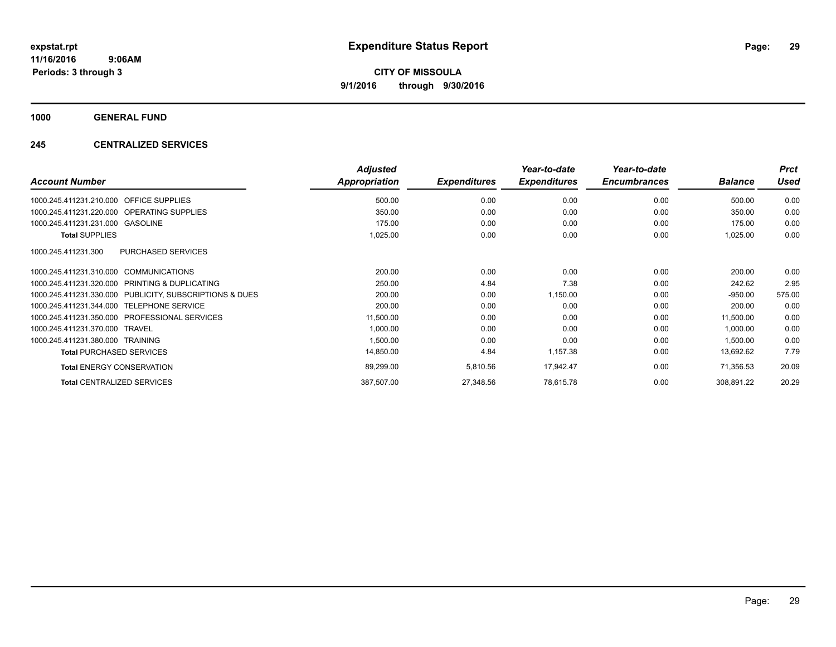**1000 GENERAL FUND**

### **245 CENTRALIZED SERVICES**

| <b>Account Number</b>                                   | <b>Adjusted</b><br>Appropriation | <b>Expenditures</b> | Year-to-date<br><b>Expenditures</b> | Year-to-date<br><b>Encumbrances</b> | <b>Balance</b> | <b>Prct</b><br><b>Used</b> |
|---------------------------------------------------------|----------------------------------|---------------------|-------------------------------------|-------------------------------------|----------------|----------------------------|
| <b>OFFICE SUPPLIES</b><br>1000.245.411231.210.000       | 500.00                           | 0.00                | 0.00                                | 0.00                                | 500.00         | 0.00                       |
| 1000.245.411231.220.000 OPERATING SUPPLIES              | 350.00                           | 0.00                | 0.00                                | 0.00                                | 350.00         | 0.00                       |
| 1000.245.411231.231.000 GASOLINE                        | 175.00                           | 0.00                | 0.00                                | 0.00                                | 175.00         | 0.00                       |
| <b>Total SUPPLIES</b>                                   | 1,025.00                         | 0.00                | 0.00                                | 0.00                                | 1,025.00       | 0.00                       |
| 1000.245.411231.300<br><b>PURCHASED SERVICES</b>        |                                  |                     |                                     |                                     |                |                            |
| 1000.245.411231.310.000 COMMUNICATIONS                  | 200.00                           | 0.00                | 0.00                                | 0.00                                | 200.00         | 0.00                       |
| 1000.245.411231.320.000<br>PRINTING & DUPLICATING       | 250.00                           | 4.84                | 7.38                                | 0.00                                | 242.62         | 2.95                       |
| 1000.245.411231.330.000 PUBLICITY, SUBSCRIPTIONS & DUES | 200.00                           | 0.00                | 1,150.00                            | 0.00                                | $-950.00$      | 575.00                     |
| 1000.245.411231.344.000 TELEPHONE SERVICE               | 200.00                           | 0.00                | 0.00                                | 0.00                                | 200.00         | 0.00                       |
| 1000.245.411231.350.000 PROFESSIONAL SERVICES           | 11,500.00                        | 0.00                | 0.00                                | 0.00                                | 11,500.00      | 0.00                       |
| 1000.245.411231.370.000 TRAVEL                          | 1,000.00                         | 0.00                | 0.00                                | 0.00                                | 1,000.00       | 0.00                       |
| 1000.245.411231.380.000 TRAINING                        | 1,500.00                         | 0.00                | 0.00                                | 0.00                                | 1,500.00       | 0.00                       |
| <b>Total PURCHASED SERVICES</b>                         | 14,850.00                        | 4.84                | 1,157.38                            | 0.00                                | 13,692.62      | 7.79                       |
| <b>Total ENERGY CONSERVATION</b>                        | 89,299.00                        | 5,810.56            | 17,942.47                           | 0.00                                | 71,356.53      | 20.09                      |
| <b>Total CENTRALIZED SERVICES</b>                       | 387,507.00                       | 27,348.56           | 78,615.78                           | 0.00                                | 308,891.22     | 20.29                      |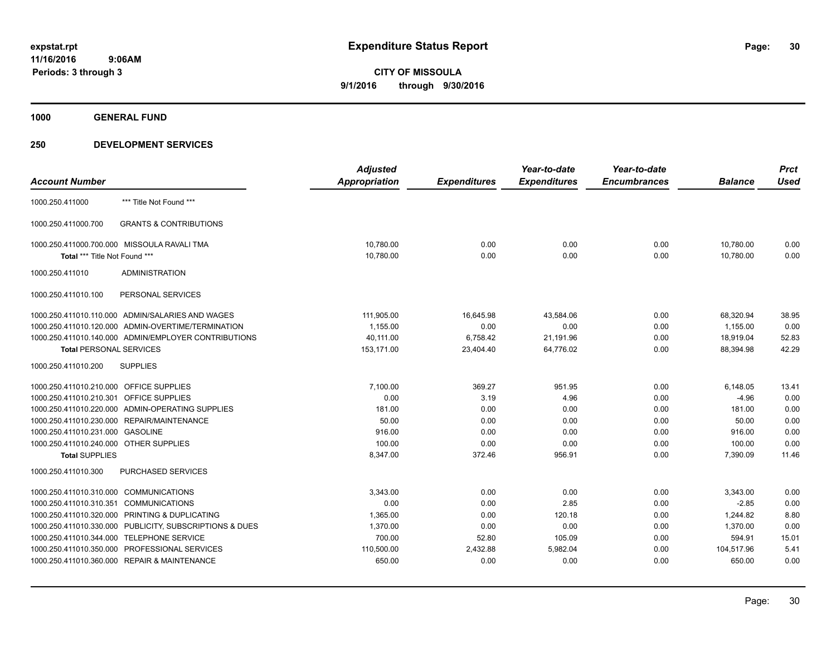**1000 GENERAL FUND**

|                                         |                                                      | <b>Adjusted</b> |                     | Year-to-date        | Year-to-date        |                | <b>Prct</b> |
|-----------------------------------------|------------------------------------------------------|-----------------|---------------------|---------------------|---------------------|----------------|-------------|
| <b>Account Number</b>                   |                                                      | Appropriation   | <b>Expenditures</b> | <b>Expenditures</b> | <b>Encumbrances</b> | <b>Balance</b> | <b>Used</b> |
| 1000.250.411000                         | *** Title Not Found ***                              |                 |                     |                     |                     |                |             |
| 1000.250.411000.700                     | <b>GRANTS &amp; CONTRIBUTIONS</b>                    |                 |                     |                     |                     |                |             |
|                                         | 1000.250.411000.700.000 MISSOULA RAVALI TMA          | 10,780.00       | 0.00                | 0.00                | 0.00                | 10,780.00      | 0.00        |
| Total *** Title Not Found ***           |                                                      | 10,780.00       | 0.00                | 0.00                | 0.00                | 10.780.00      | 0.00        |
| 1000.250.411010                         | <b>ADMINISTRATION</b>                                |                 |                     |                     |                     |                |             |
| 1000.250.411010.100                     | PERSONAL SERVICES                                    |                 |                     |                     |                     |                |             |
|                                         | 1000.250.411010.110.000 ADMIN/SALARIES AND WAGES     | 111,905.00      | 16,645.98           | 43,584.06           | 0.00                | 68,320.94      | 38.95       |
|                                         | 1000.250.411010.120.000 ADMIN-OVERTIME/TERMINATION   | 1,155.00        | 0.00                | 0.00                | 0.00                | 1,155.00       | 0.00        |
|                                         | 1000.250.411010.140.000 ADMIN/EMPLOYER CONTRIBUTIONS | 40,111.00       | 6,758.42            | 21,191.96           | 0.00                | 18,919.04      | 52.83       |
| <b>Total PERSONAL SERVICES</b>          |                                                      | 153,171.00      | 23,404.40           | 64.776.02           | 0.00                | 88,394.98      | 42.29       |
| 1000.250.411010.200                     | <b>SUPPLIES</b>                                      |                 |                     |                     |                     |                |             |
| 1000.250.411010.210.000 OFFICE SUPPLIES |                                                      | 7,100.00        | 369.27              | 951.95              | 0.00                | 6,148.05       | 13.41       |
| 1000.250.411010.210.301                 | <b>OFFICE SUPPLIES</b>                               | 0.00            | 3.19                | 4.96                | 0.00                | $-4.96$        | 0.00        |
|                                         | 1000.250.411010.220.000 ADMIN-OPERATING SUPPLIES     | 181.00          | 0.00                | 0.00                | 0.00                | 181.00         | 0.00        |
|                                         | 1000.250.411010.230.000 REPAIR/MAINTENANCE           | 50.00           | 0.00                | 0.00                | 0.00                | 50.00          | 0.00        |
| 1000.250.411010.231.000 GASOLINE        |                                                      | 916.00          | 0.00                | 0.00                | 0.00                | 916.00         | 0.00        |
| 1000.250.411010.240.000 OTHER SUPPLIES  |                                                      | 100.00          | 0.00                | 0.00                | 0.00                | 100.00         | 0.00        |
| <b>Total SUPPLIES</b>                   |                                                      | 8,347.00        | 372.46              | 956.91              | 0.00                | 7,390.09       | 11.46       |
| 1000.250.411010.300                     | <b>PURCHASED SERVICES</b>                            |                 |                     |                     |                     |                |             |
| 1000.250.411010.310.000                 | <b>COMMUNICATIONS</b>                                | 3,343.00        | 0.00                | 0.00                | 0.00                | 3,343.00       | 0.00        |
| 1000.250.411010.310.351                 | <b>COMMUNICATIONS</b>                                | 0.00            | 0.00                | 2.85                | 0.00                | $-2.85$        | 0.00        |
| 1000.250.411010.320.000                 | PRINTING & DUPLICATING                               | 1,365.00        | 0.00                | 120.18              | 0.00                | 1.244.82       | 8.80        |
| 1000.250.411010.330.000                 | PUBLICITY, SUBSCRIPTIONS & DUES                      | 1,370.00        | 0.00                | 0.00                | 0.00                | 1,370.00       | 0.00        |
| 1000.250.411010.344.000                 | <b>TELEPHONE SERVICE</b>                             | 700.00          | 52.80               | 105.09              | 0.00                | 594.91         | 15.01       |
| 1000.250.411010.350.000                 | PROFESSIONAL SERVICES                                | 110,500.00      | 2,432.88            | 5,982.04            | 0.00                | 104,517.96     | 5.41        |
|                                         | 1000.250.411010.360.000 REPAIR & MAINTENANCE         | 650.00          | 0.00                | 0.00                | 0.00                | 650.00         | 0.00        |
|                                         |                                                      |                 |                     |                     |                     |                |             |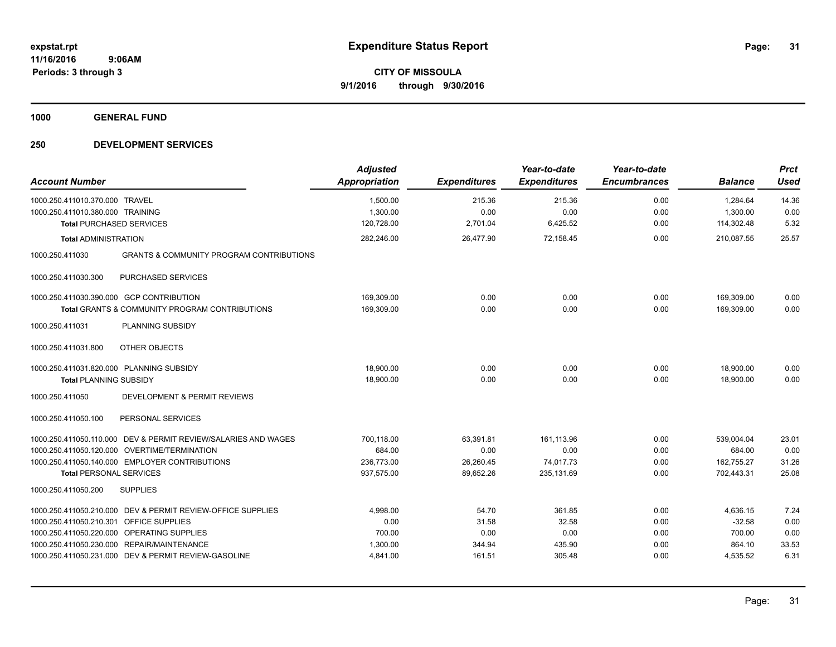**1000 GENERAL FUND**

| <b>Account Number</b>                                                  | <b>Adjusted</b><br><b>Appropriation</b> | <b>Expenditures</b> | Year-to-date<br><b>Expenditures</b> | Year-to-date<br><b>Encumbrances</b> | <b>Balance</b> | <b>Prct</b><br><b>Used</b> |
|------------------------------------------------------------------------|-----------------------------------------|---------------------|-------------------------------------|-------------------------------------|----------------|----------------------------|
| 1000.250.411010.370.000<br><b>TRAVEL</b>                               | 1,500.00                                | 215.36              | 215.36                              | 0.00                                | 1,284.64       | 14.36                      |
| 1000.250.411010.380.000 TRAINING                                       | 1,300.00                                | 0.00                | 0.00                                | 0.00                                | 1,300.00       | 0.00                       |
| <b>Total PURCHASED SERVICES</b>                                        | 120,728.00                              | 2,701.04            | 6,425.52                            | 0.00                                | 114,302.48     | 5.32                       |
| <b>Total ADMINISTRATION</b>                                            | 282,246.00                              | 26,477.90           | 72,158.45                           | 0.00                                | 210,087.55     | 25.57                      |
| <b>GRANTS &amp; COMMUNITY PROGRAM CONTRIBUTIONS</b><br>1000.250.411030 |                                         |                     |                                     |                                     |                |                            |
| 1000.250.411030.300<br>PURCHASED SERVICES                              |                                         |                     |                                     |                                     |                |                            |
| 1000.250.411030.390.000 GCP CONTRIBUTION                               | 169,309.00                              | 0.00                | 0.00                                | 0.00                                | 169,309.00     | 0.00                       |
| <b>Total GRANTS &amp; COMMUNITY PROGRAM CONTRIBUTIONS</b>              | 169,309.00                              | 0.00                | 0.00                                | 0.00                                | 169,309.00     | 0.00                       |
| PLANNING SUBSIDY<br>1000.250.411031                                    |                                         |                     |                                     |                                     |                |                            |
| OTHER OBJECTS<br>1000.250.411031.800                                   |                                         |                     |                                     |                                     |                |                            |
| 1000.250.411031.820.000 PLANNING SUBSIDY                               | 18,900.00                               | 0.00                | 0.00                                | 0.00                                | 18,900.00      | 0.00                       |
| <b>Total PLANNING SUBSIDY</b>                                          | 18,900.00                               | 0.00                | 0.00                                | 0.00                                | 18,900.00      | 0.00                       |
| DEVELOPMENT & PERMIT REVIEWS<br>1000.250.411050                        |                                         |                     |                                     |                                     |                |                            |
| 1000.250.411050.100<br>PERSONAL SERVICES                               |                                         |                     |                                     |                                     |                |                            |
| 1000.250.411050.110.000 DEV & PERMIT REVIEW/SALARIES AND WAGES         | 700,118.00                              | 63,391.81           | 161,113.96                          | 0.00                                | 539,004.04     | 23.01                      |
| 1000.250.411050.120.000 OVERTIME/TERMINATION                           | 684.00                                  | 0.00                | 0.00                                | 0.00                                | 684.00         | 0.00                       |
| 1000.250.411050.140.000 EMPLOYER CONTRIBUTIONS                         | 236,773.00                              | 26,260.45           | 74,017.73                           | 0.00                                | 162,755.27     | 31.26                      |
| <b>Total PERSONAL SERVICES</b>                                         | 937,575.00                              | 89,652.26           | 235,131.69                          | 0.00                                | 702,443.31     | 25.08                      |
| 1000.250.411050.200<br><b>SUPPLIES</b>                                 |                                         |                     |                                     |                                     |                |                            |
| 1000.250.411050.210.000 DEV & PERMIT REVIEW-OFFICE SUPPLIES            | 4,998.00                                | 54.70               | 361.85                              | 0.00                                | 4,636.15       | 7.24                       |
| 1000.250.411050.210.301<br><b>OFFICE SUPPLIES</b>                      | 0.00                                    | 31.58               | 32.58                               | 0.00                                | $-32.58$       | 0.00                       |
| 1000.250.411050.220.000 OPERATING SUPPLIES                             | 700.00                                  | 0.00                | 0.00                                | 0.00                                | 700.00         | 0.00                       |
| 1000.250.411050.230.000 REPAIR/MAINTENANCE                             | 1,300.00                                | 344.94              | 435.90                              | 0.00                                | 864.10         | 33.53                      |
| 1000.250.411050.231.000 DEV & PERMIT REVIEW-GASOLINE                   | 4,841.00                                | 161.51              | 305.48                              | 0.00                                | 4,535.52       | 6.31                       |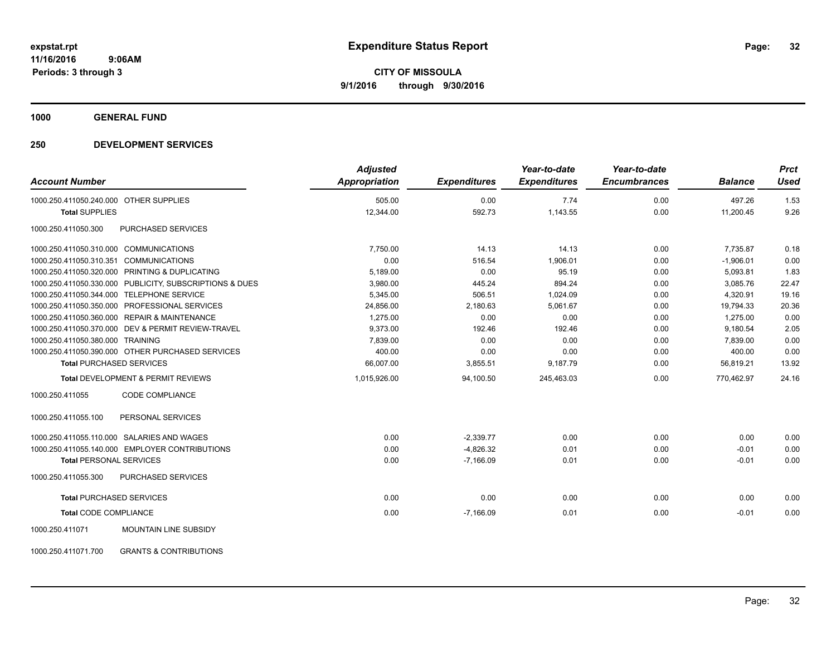**1000 GENERAL FUND**

### **250 DEVELOPMENT SERVICES**

| <b>Account Number</b>                  |                                                         | <b>Adjusted</b><br><b>Appropriation</b> | <b>Expenditures</b> | Year-to-date<br><b>Expenditures</b> | Year-to-date<br><b>Encumbrances</b> | <b>Balance</b> | <b>Prct</b><br>Used |
|----------------------------------------|---------------------------------------------------------|-----------------------------------------|---------------------|-------------------------------------|-------------------------------------|----------------|---------------------|
|                                        |                                                         |                                         |                     |                                     |                                     |                |                     |
| 1000.250.411050.240.000 OTHER SUPPLIES |                                                         | 505.00                                  | 0.00                | 7.74                                | 0.00                                | 497.26         | 1.53                |
| <b>Total SUPPLIES</b>                  |                                                         | 12,344.00                               | 592.73              | 1,143.55                            | 0.00                                | 11,200.45      | 9.26                |
| 1000.250.411050.300                    | PURCHASED SERVICES                                      |                                         |                     |                                     |                                     |                |                     |
| 1000.250.411050.310.000 COMMUNICATIONS |                                                         | 7.750.00                                | 14.13               | 14.13                               | 0.00                                | 7,735.87       | 0.18                |
| 1000.250.411050.310.351 COMMUNICATIONS |                                                         | 0.00                                    | 516.54              | 1,906.01                            | 0.00                                | $-1,906.01$    | 0.00                |
|                                        | 1000.250.411050.320.000 PRINTING & DUPLICATING          | 5,189.00                                | 0.00                | 95.19                               | 0.00                                | 5,093.81       | 1.83                |
|                                        | 1000.250.411050.330.000 PUBLICITY, SUBSCRIPTIONS & DUES | 3,980.00                                | 445.24              | 894.24                              | 0.00                                | 3,085.76       | 22.47               |
|                                        | 1000.250.411050.344.000 TELEPHONE SERVICE               | 5,345.00                                | 506.51              | 1,024.09                            | 0.00                                | 4,320.91       | 19.16               |
|                                        | 1000.250.411050.350.000 PROFESSIONAL SERVICES           | 24,856.00                               | 2,180.63            | 5,061.67                            | 0.00                                | 19,794.33      | 20.36               |
|                                        | 1000.250.411050.360.000 REPAIR & MAINTENANCE            | 1,275.00                                | 0.00                | 0.00                                | 0.00                                | 1,275.00       | 0.00                |
|                                        | 1000.250.411050.370.000 DEV & PERMIT REVIEW-TRAVEL      | 9,373.00                                | 192.46              | 192.46                              | 0.00                                | 9,180.54       | 2.05                |
| 1000.250.411050.380.000 TRAINING       |                                                         | 7,839.00                                | 0.00                | 0.00                                | 0.00                                | 7,839.00       | 0.00                |
|                                        | 1000.250.411050.390.000 OTHER PURCHASED SERVICES        | 400.00                                  | 0.00                | 0.00                                | 0.00                                | 400.00         | 0.00                |
| <b>Total PURCHASED SERVICES</b>        |                                                         | 66,007.00                               | 3,855.51            | 9,187.79                            | 0.00                                | 56,819.21      | 13.92               |
|                                        | <b>Total DEVELOPMENT &amp; PERMIT REVIEWS</b>           | 1,015,926.00                            | 94,100.50           | 245,463.03                          | 0.00                                | 770,462.97     | 24.16               |
| 1000.250.411055                        | CODE COMPLIANCE                                         |                                         |                     |                                     |                                     |                |                     |
| 1000.250.411055.100                    | PERSONAL SERVICES                                       |                                         |                     |                                     |                                     |                |                     |
|                                        | 1000.250.411055.110.000 SALARIES AND WAGES              | 0.00                                    | $-2,339.77$         | 0.00                                | 0.00                                | 0.00           | 0.00                |
|                                        | 1000.250.411055.140.000 EMPLOYER CONTRIBUTIONS          | 0.00                                    | $-4,826.32$         | 0.01                                | 0.00                                | $-0.01$        | 0.00                |
| <b>Total PERSONAL SERVICES</b>         |                                                         | 0.00                                    | $-7,166.09$         | 0.01                                | 0.00                                | $-0.01$        | 0.00                |
| 1000.250.411055.300                    | PURCHASED SERVICES                                      |                                         |                     |                                     |                                     |                |                     |
| <b>Total PURCHASED SERVICES</b>        |                                                         | 0.00                                    | 0.00                | 0.00                                | 0.00                                | 0.00           | 0.00                |
| <b>Total CODE COMPLIANCE</b>           |                                                         | 0.00                                    | $-7,166.09$         | 0.01                                | 0.00                                | $-0.01$        | 0.00                |
| 1000.250.411071                        | <b>MOUNTAIN LINE SUBSIDY</b>                            |                                         |                     |                                     |                                     |                |                     |

1000.250.411071.700 GRANTS & CONTRIBUTIONS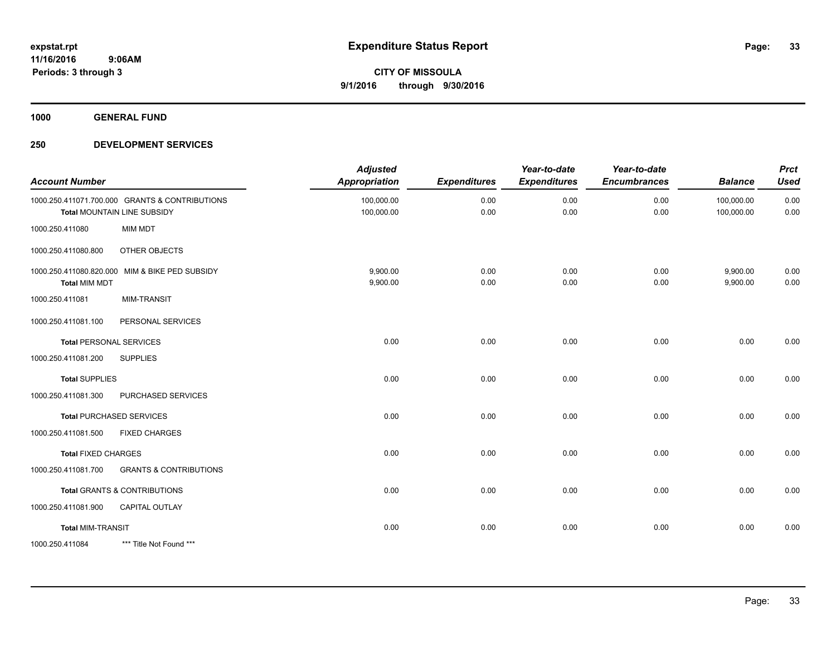**1000 GENERAL FUND**

| <b>Account Number</b>      |                                                                               | <b>Adjusted</b><br><b>Appropriation</b> | <b>Expenditures</b> | Year-to-date<br><b>Expenditures</b> | Year-to-date<br><b>Encumbrances</b> | <b>Balance</b>           | <b>Prct</b><br><b>Used</b> |
|----------------------------|-------------------------------------------------------------------------------|-----------------------------------------|---------------------|-------------------------------------|-------------------------------------|--------------------------|----------------------------|
|                            | 1000.250.411071.700.000 GRANTS & CONTRIBUTIONS<br>Total MOUNTAIN LINE SUBSIDY | 100,000.00<br>100,000.00                | 0.00<br>0.00        | 0.00<br>0.00                        | 0.00<br>0.00                        | 100,000.00<br>100,000.00 | 0.00<br>0.00               |
| 1000.250.411080            | <b>MIM MDT</b>                                                                |                                         |                     |                                     |                                     |                          |                            |
| 1000.250.411080.800        | OTHER OBJECTS                                                                 |                                         |                     |                                     |                                     |                          |                            |
| <b>Total MIM MDT</b>       | 1000.250.411080.820.000 MIM & BIKE PED SUBSIDY                                | 9,900.00<br>9,900.00                    | 0.00<br>0.00        | 0.00<br>0.00                        | 0.00<br>0.00                        | 9,900.00<br>9,900.00     | 0.00<br>0.00               |
| 1000.250.411081            | <b>MIM-TRANSIT</b>                                                            |                                         |                     |                                     |                                     |                          |                            |
| 1000.250.411081.100        | PERSONAL SERVICES                                                             |                                         |                     |                                     |                                     |                          |                            |
|                            | <b>Total PERSONAL SERVICES</b>                                                | 0.00                                    | 0.00                | 0.00                                | 0.00                                | 0.00                     | 0.00                       |
| 1000.250.411081.200        | <b>SUPPLIES</b>                                                               |                                         |                     |                                     |                                     |                          |                            |
| <b>Total SUPPLIES</b>      |                                                                               | 0.00                                    | 0.00                | 0.00                                | 0.00                                | 0.00                     | 0.00                       |
| 1000.250.411081.300        | PURCHASED SERVICES                                                            |                                         |                     |                                     |                                     |                          |                            |
|                            | <b>Total PURCHASED SERVICES</b>                                               | 0.00                                    | 0.00                | 0.00                                | 0.00                                | 0.00                     | 0.00                       |
| 1000.250.411081.500        | <b>FIXED CHARGES</b>                                                          |                                         |                     |                                     |                                     |                          |                            |
| <b>Total FIXED CHARGES</b> |                                                                               | 0.00                                    | 0.00                | 0.00                                | 0.00                                | 0.00                     | 0.00                       |
| 1000.250.411081.700        | <b>GRANTS &amp; CONTRIBUTIONS</b>                                             |                                         |                     |                                     |                                     |                          |                            |
|                            | <b>Total GRANTS &amp; CONTRIBUTIONS</b>                                       | 0.00                                    | 0.00                | 0.00                                | 0.00                                | 0.00                     | 0.00                       |
| 1000.250.411081.900        | CAPITAL OUTLAY                                                                |                                         |                     |                                     |                                     |                          |                            |
| <b>Total MIM-TRANSIT</b>   |                                                                               | 0.00                                    | 0.00                | 0.00                                | 0.00                                | 0.00                     | 0.00                       |
| 1000.250.411084            | *** Title Not Found ***                                                       |                                         |                     |                                     |                                     |                          |                            |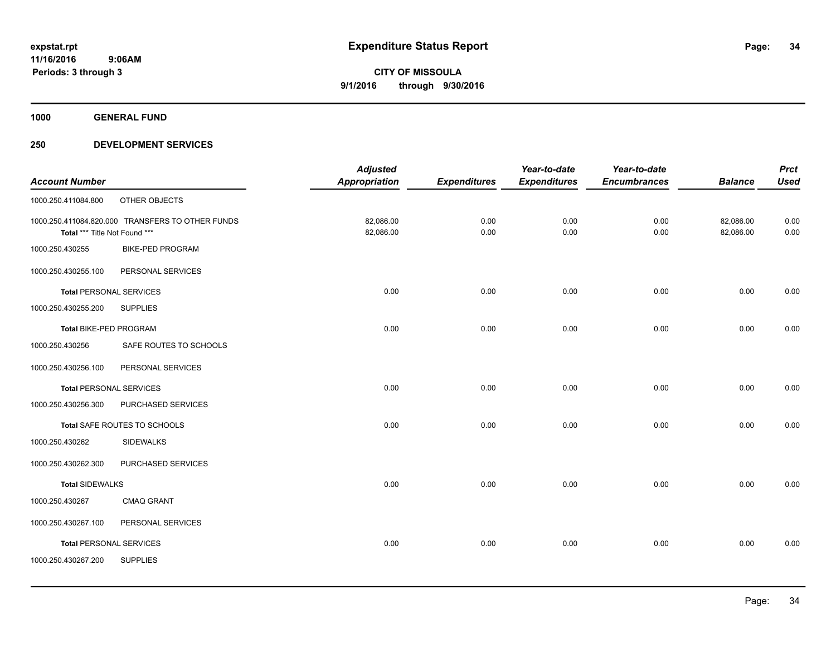**1000 GENERAL FUND**

|                                |                                                  | <b>Adjusted</b>      |                     | Year-to-date        | Year-to-date        |                | <b>Prct</b> |
|--------------------------------|--------------------------------------------------|----------------------|---------------------|---------------------|---------------------|----------------|-------------|
| <b>Account Number</b>          |                                                  | <b>Appropriation</b> | <b>Expenditures</b> | <b>Expenditures</b> | <b>Encumbrances</b> | <b>Balance</b> | <b>Used</b> |
| 1000.250.411084.800            | OTHER OBJECTS                                    |                      |                     |                     |                     |                |             |
|                                | 1000.250.411084.820.000 TRANSFERS TO OTHER FUNDS | 82,086.00            | 0.00                | 0.00                | 0.00                | 82,086.00      | 0.00        |
| Total *** Title Not Found ***  |                                                  | 82,086.00            | 0.00                | 0.00                | 0.00                | 82,086.00      | 0.00        |
| 1000.250.430255                | <b>BIKE-PED PROGRAM</b>                          |                      |                     |                     |                     |                |             |
| 1000.250.430255.100            | PERSONAL SERVICES                                |                      |                     |                     |                     |                |             |
| <b>Total PERSONAL SERVICES</b> |                                                  | 0.00                 | 0.00                | 0.00                | 0.00                | 0.00           | 0.00        |
| 1000.250.430255.200            | <b>SUPPLIES</b>                                  |                      |                     |                     |                     |                |             |
| Total BIKE-PED PROGRAM         |                                                  | 0.00                 | 0.00                | 0.00                | 0.00                | 0.00           | 0.00        |
| 1000.250.430256                | SAFE ROUTES TO SCHOOLS                           |                      |                     |                     |                     |                |             |
| 1000.250.430256.100            | PERSONAL SERVICES                                |                      |                     |                     |                     |                |             |
| <b>Total PERSONAL SERVICES</b> |                                                  | 0.00                 | 0.00                | 0.00                | 0.00                | 0.00           | 0.00        |
| 1000.250.430256.300            | PURCHASED SERVICES                               |                      |                     |                     |                     |                |             |
|                                | Total SAFE ROUTES TO SCHOOLS                     | 0.00                 | 0.00                | 0.00                | 0.00                | 0.00           | 0.00        |
| 1000.250.430262                | <b>SIDEWALKS</b>                                 |                      |                     |                     |                     |                |             |
| 1000.250.430262.300            | PURCHASED SERVICES                               |                      |                     |                     |                     |                |             |
| <b>Total SIDEWALKS</b>         |                                                  | 0.00                 | 0.00                | 0.00                | 0.00                | 0.00           | 0.00        |
| 1000.250.430267                | <b>CMAQ GRANT</b>                                |                      |                     |                     |                     |                |             |
| 1000.250.430267.100            | PERSONAL SERVICES                                |                      |                     |                     |                     |                |             |
| <b>Total PERSONAL SERVICES</b> |                                                  | 0.00                 | 0.00                | 0.00                | 0.00                | 0.00           | 0.00        |
| 1000.250.430267.200            | <b>SUPPLIES</b>                                  |                      |                     |                     |                     |                |             |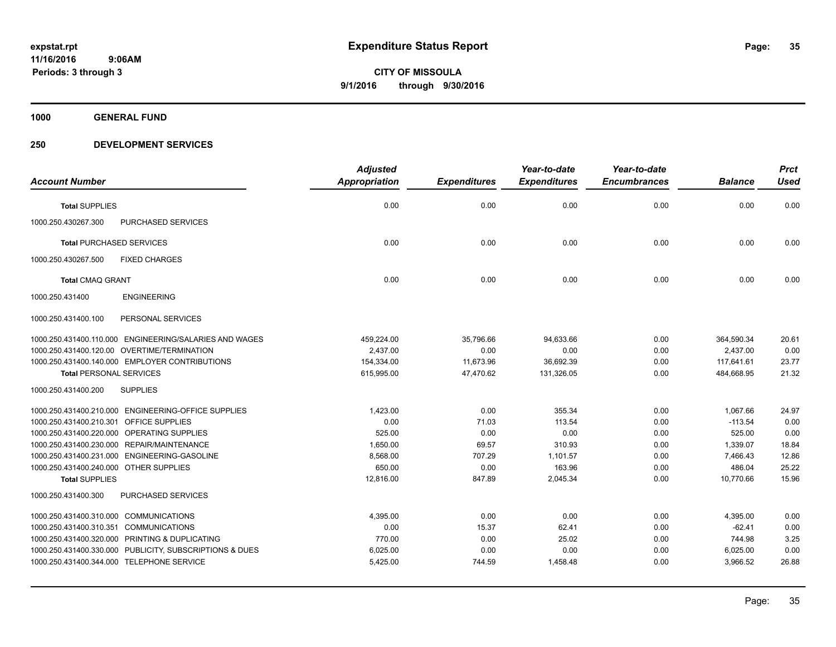**1000 GENERAL FUND**

|                                                         | <b>Adjusted</b>      |                     | Year-to-date        | Year-to-date        |                | <b>Prct</b> |
|---------------------------------------------------------|----------------------|---------------------|---------------------|---------------------|----------------|-------------|
| <b>Account Number</b>                                   | <b>Appropriation</b> | <b>Expenditures</b> | <b>Expenditures</b> | <b>Encumbrances</b> | <b>Balance</b> | <b>Used</b> |
| <b>Total SUPPLIES</b>                                   | 0.00                 | 0.00                | 0.00                | 0.00                | 0.00           | 0.00        |
| 1000.250.430267.300<br>PURCHASED SERVICES               |                      |                     |                     |                     |                |             |
| <b>Total PURCHASED SERVICES</b>                         | 0.00                 | 0.00                | 0.00                | 0.00                | 0.00           | 0.00        |
| 1000.250.430267.500<br><b>FIXED CHARGES</b>             |                      |                     |                     |                     |                |             |
| <b>Total CMAQ GRANT</b>                                 | 0.00                 | 0.00                | 0.00                | 0.00                | 0.00           | 0.00        |
| 1000.250.431400<br><b>ENGINEERING</b>                   |                      |                     |                     |                     |                |             |
| 1000.250.431400.100<br>PERSONAL SERVICES                |                      |                     |                     |                     |                |             |
| 1000.250.431400.110.000 ENGINEERING/SALARIES AND WAGES  | 459,224.00           | 35,796.66           | 94,633.66           | 0.00                | 364,590.34     | 20.61       |
| 1000.250.431400.120.00 OVERTIME/TERMINATION             | 2,437.00             | 0.00                | 0.00                | 0.00                | 2.437.00       | 0.00        |
| 1000.250.431400.140.000 EMPLOYER CONTRIBUTIONS          | 154,334.00           | 11,673.96           | 36,692.39           | 0.00                | 117,641.61     | 23.77       |
| <b>Total PERSONAL SERVICES</b>                          | 615,995.00           | 47,470.62           | 131,326.05          | 0.00                | 484,668.95     | 21.32       |
| <b>SUPPLIES</b><br>1000.250.431400.200                  |                      |                     |                     |                     |                |             |
| 1000.250.431400.210.000 ENGINEERING-OFFICE SUPPLIES     | 1,423.00             | 0.00                | 355.34              | 0.00                | 1,067.66       | 24.97       |
| 1000.250.431400.210.301<br><b>OFFICE SUPPLIES</b>       | 0.00                 | 71.03               | 113.54              | 0.00                | $-113.54$      | 0.00        |
| 1000.250.431400.220.000 OPERATING SUPPLIES              | 525.00               | 0.00                | 0.00                | 0.00                | 525.00         | 0.00        |
| 1000.250.431400.230.000 REPAIR/MAINTENANCE              | 1,650.00             | 69.57               | 310.93              | 0.00                | 1,339.07       | 18.84       |
| 1000.250.431400.231.000 ENGINEERING-GASOLINE            | 8,568.00             | 707.29              | 1,101.57            | 0.00                | 7,466.43       | 12.86       |
| 1000.250.431400.240.000 OTHER SUPPLIES                  | 650.00               | 0.00                | 163.96              | 0.00                | 486.04         | 25.22       |
| <b>Total SUPPLIES</b>                                   | 12,816.00            | 847.89              | 2,045.34            | 0.00                | 10,770.66      | 15.96       |
| 1000.250.431400.300<br><b>PURCHASED SERVICES</b>        |                      |                     |                     |                     |                |             |
| 1000.250.431400.310.000 COMMUNICATIONS                  | 4,395.00             | 0.00                | 0.00                | 0.00                | 4,395.00       | 0.00        |
| 1000.250.431400.310.351<br><b>COMMUNICATIONS</b>        | 0.00                 | 15.37               | 62.41               | 0.00                | $-62.41$       | 0.00        |
| 1000.250.431400.320.000 PRINTING & DUPLICATING          | 770.00               | 0.00                | 25.02               | 0.00                | 744.98         | 3.25        |
| 1000.250.431400.330.000 PUBLICITY, SUBSCRIPTIONS & DUES | 6,025.00             | 0.00                | 0.00                | 0.00                | 6,025.00       | 0.00        |
| 1000.250.431400.344.000 TELEPHONE SERVICE               | 5,425.00             | 744.59              | 1,458.48            | 0.00                | 3,966.52       | 26.88       |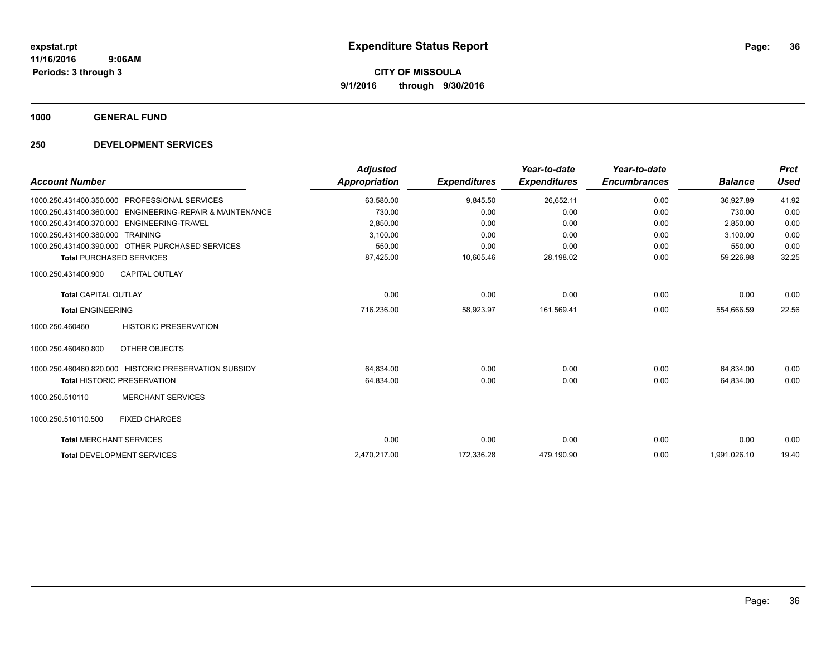**1000 GENERAL FUND**

| <b>Account Number</b>          |                                                       | <b>Adjusted</b><br><b>Appropriation</b> | <b>Expenditures</b> | Year-to-date<br><b>Expenditures</b> | Year-to-date<br><b>Encumbrances</b> | <b>Balance</b> | <b>Prct</b><br><b>Used</b> |
|--------------------------------|-------------------------------------------------------|-----------------------------------------|---------------------|-------------------------------------|-------------------------------------|----------------|----------------------------|
|                                |                                                       |                                         |                     |                                     |                                     |                |                            |
| 1000.250.431400.350.000        | PROFESSIONAL SERVICES                                 | 63.580.00                               | 9,845.50            | 26,652.11                           | 0.00                                | 36,927.89      | 41.92                      |
| 1000.250.431400.360.000        | ENGINEERING-REPAIR & MAINTENANCE                      | 730.00                                  | 0.00                | 0.00                                | 0.00                                | 730.00         | 0.00                       |
| 1000.250.431400.370.000        | ENGINEERING-TRAVEL                                    | 2,850.00                                | 0.00                | 0.00                                | 0.00                                | 2,850.00       | 0.00                       |
| 1000.250.431400.380.000        | <b>TRAINING</b>                                       | 3,100.00                                | 0.00                | 0.00                                | 0.00                                | 3,100.00       | 0.00                       |
|                                | 1000.250.431400.390.000 OTHER PURCHASED SERVICES      | 550.00                                  | 0.00                | 0.00                                | 0.00                                | 550.00         | 0.00                       |
|                                | <b>Total PURCHASED SERVICES</b>                       | 87,425.00                               | 10,605.46           | 28,198.02                           | 0.00                                | 59,226.98      | 32.25                      |
| 1000.250.431400.900            | <b>CAPITAL OUTLAY</b>                                 |                                         |                     |                                     |                                     |                |                            |
| <b>Total CAPITAL OUTLAY</b>    |                                                       | 0.00                                    | 0.00                | 0.00                                | 0.00                                | 0.00           | 0.00                       |
| <b>Total ENGINEERING</b>       |                                                       | 716,236.00                              | 58,923.97           | 161,569.41                          | 0.00                                | 554,666.59     | 22.56                      |
| 1000.250.460460                | <b>HISTORIC PRESERVATION</b>                          |                                         |                     |                                     |                                     |                |                            |
| 1000.250.460460.800            | OTHER OBJECTS                                         |                                         |                     |                                     |                                     |                |                            |
|                                | 1000.250.460460.820.000 HISTORIC PRESERVATION SUBSIDY | 64,834.00                               | 0.00                | 0.00                                | 0.00                                | 64.834.00      | 0.00                       |
|                                | <b>Total HISTORIC PRESERVATION</b>                    | 64,834.00                               | 0.00                | 0.00                                | 0.00                                | 64,834.00      | 0.00                       |
| 1000.250.510110                | <b>MERCHANT SERVICES</b>                              |                                         |                     |                                     |                                     |                |                            |
| 1000.250.510110.500            | <b>FIXED CHARGES</b>                                  |                                         |                     |                                     |                                     |                |                            |
| <b>Total MERCHANT SERVICES</b> |                                                       | 0.00                                    | 0.00                | 0.00                                | 0.00                                | 0.00           | 0.00                       |
|                                | <b>Total DEVELOPMENT SERVICES</b>                     | 2,470,217.00                            | 172,336.28          | 479,190.90                          | 0.00                                | 1,991,026.10   | 19.40                      |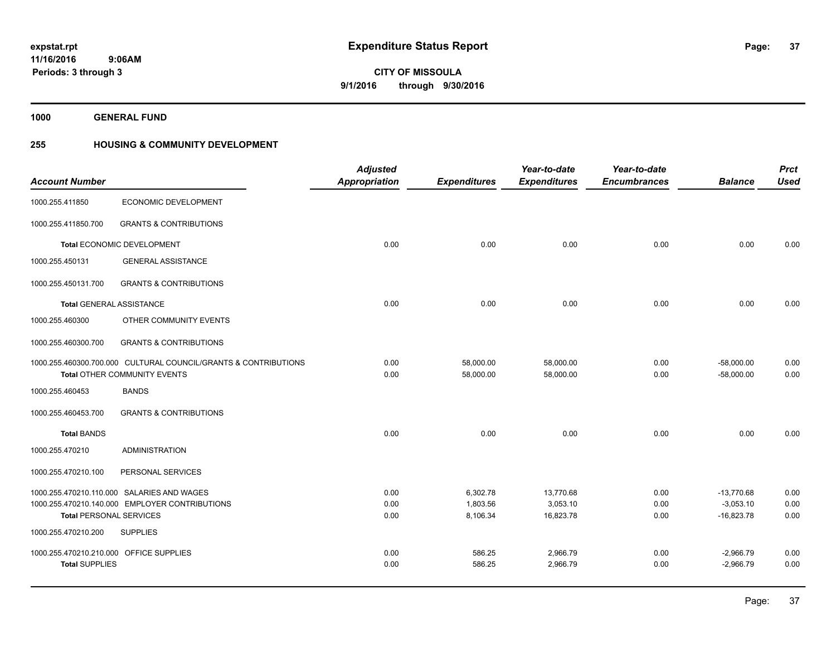**1000 GENERAL FUND**

### **255 HOUSING & COMMUNITY DEVELOPMENT**

|                                         |                                                                 | <b>Adjusted</b> |                     | Year-to-date        | Year-to-date        |                | <b>Prct</b> |
|-----------------------------------------|-----------------------------------------------------------------|-----------------|---------------------|---------------------|---------------------|----------------|-------------|
| <b>Account Number</b>                   |                                                                 | Appropriation   | <b>Expenditures</b> | <b>Expenditures</b> | <b>Encumbrances</b> | <b>Balance</b> | <b>Used</b> |
| 1000.255.411850                         | <b>ECONOMIC DEVELOPMENT</b>                                     |                 |                     |                     |                     |                |             |
| 1000.255.411850.700                     | <b>GRANTS &amp; CONTRIBUTIONS</b>                               |                 |                     |                     |                     |                |             |
|                                         | Total ECONOMIC DEVELOPMENT                                      | 0.00            | 0.00                | 0.00                | 0.00                | 0.00           | 0.00        |
| 1000.255.450131                         | <b>GENERAL ASSISTANCE</b>                                       |                 |                     |                     |                     |                |             |
| 1000.255.450131.700                     | <b>GRANTS &amp; CONTRIBUTIONS</b>                               |                 |                     |                     |                     |                |             |
| <b>Total GENERAL ASSISTANCE</b>         |                                                                 | 0.00            | 0.00                | 0.00                | 0.00                | 0.00           | 0.00        |
| 1000.255.460300                         | OTHER COMMUNITY EVENTS                                          |                 |                     |                     |                     |                |             |
| 1000.255.460300.700                     | <b>GRANTS &amp; CONTRIBUTIONS</b>                               |                 |                     |                     |                     |                |             |
|                                         | 1000.255.460300.700.000 CULTURAL COUNCIL/GRANTS & CONTRIBUTIONS | 0.00            | 58,000.00           | 58,000.00           | 0.00                | $-58,000.00$   | 0.00        |
|                                         | Total OTHER COMMUNITY EVENTS                                    | 0.00            | 58,000.00           | 58,000.00           | 0.00                | $-58,000.00$   | 0.00        |
| 1000.255.460453                         | <b>BANDS</b>                                                    |                 |                     |                     |                     |                |             |
| 1000.255.460453.700                     | <b>GRANTS &amp; CONTRIBUTIONS</b>                               |                 |                     |                     |                     |                |             |
| <b>Total BANDS</b>                      |                                                                 | 0.00            | 0.00                | 0.00                | 0.00                | 0.00           | 0.00        |
| 1000.255.470210                         | <b>ADMINISTRATION</b>                                           |                 |                     |                     |                     |                |             |
| 1000.255.470210.100                     | PERSONAL SERVICES                                               |                 |                     |                     |                     |                |             |
|                                         | 1000.255.470210.110.000 SALARIES AND WAGES                      | 0.00            | 6,302.78            | 13,770.68           | 0.00                | $-13,770.68$   | 0.00        |
|                                         | 1000.255.470210.140.000 EMPLOYER CONTRIBUTIONS                  | 0.00            | 1,803.56            | 3,053.10            | 0.00                | $-3,053.10$    | 0.00        |
| <b>Total PERSONAL SERVICES</b>          |                                                                 | 0.00            | 8,106.34            | 16,823.78           | 0.00                | $-16,823.78$   | 0.00        |
| 1000.255.470210.200                     | <b>SUPPLIES</b>                                                 |                 |                     |                     |                     |                |             |
| 1000.255.470210.210.000 OFFICE SUPPLIES |                                                                 | 0.00            | 586.25              | 2,966.79            | 0.00                | $-2,966.79$    | 0.00        |
| <b>Total SUPPLIES</b>                   |                                                                 | 0.00            | 586.25              | 2,966.79            | 0.00                | $-2,966.79$    | 0.00        |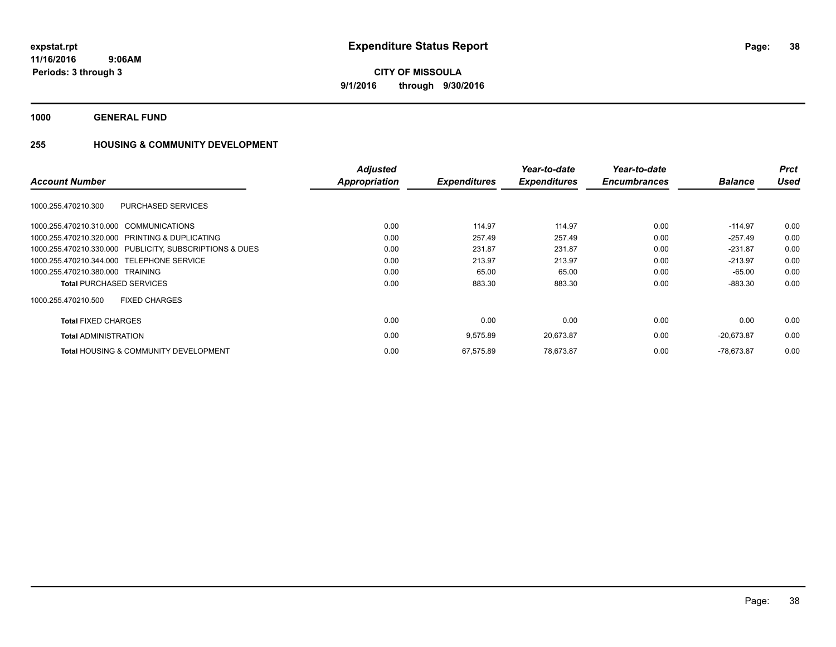**1000 GENERAL FUND**

## **255 HOUSING & COMMUNITY DEVELOPMENT**

|                                                         | <b>Adjusted</b> |                     | Year-to-date<br><b>Expenditures</b> | Year-to-date<br><b>Encumbrances</b> |                | <b>Prct</b> |
|---------------------------------------------------------|-----------------|---------------------|-------------------------------------|-------------------------------------|----------------|-------------|
| <b>Account Number</b>                                   | Appropriation   | <b>Expenditures</b> |                                     |                                     | <b>Balance</b> | <b>Used</b> |
| 1000.255.470210.300<br><b>PURCHASED SERVICES</b>        |                 |                     |                                     |                                     |                |             |
| 1000.255.470210.310.000 COMMUNICATIONS                  | 0.00            | 114.97              | 114.97                              | 0.00                                | $-114.97$      | 0.00        |
| 1000.255.470210.320.000 PRINTING & DUPLICATING          | 0.00            | 257.49              | 257.49                              | 0.00                                | $-257.49$      | 0.00        |
| 1000.255.470210.330.000 PUBLICITY, SUBSCRIPTIONS & DUES | 0.00            | 231.87              | 231.87                              | 0.00                                | $-231.87$      | 0.00        |
| 1000.255.470210.344.000 TELEPHONE SERVICE               | 0.00            | 213.97              | 213.97                              | 0.00                                | $-213.97$      | 0.00        |
| 1000.255.470210.380.000 TRAINING                        | 0.00            | 65.00               | 65.00                               | 0.00                                | -65.00         | 0.00        |
| <b>Total PURCHASED SERVICES</b>                         | 0.00            | 883.30              | 883.30                              | 0.00                                | $-883.30$      | 0.00        |
| <b>FIXED CHARGES</b><br>1000.255.470210.500             |                 |                     |                                     |                                     |                |             |
| <b>Total FIXED CHARGES</b>                              | 0.00            | 0.00                | 0.00                                | 0.00                                | 0.00           | 0.00        |
| <b>Total ADMINISTRATION</b>                             | 0.00            | 9,575.89            | 20,673.87                           | 0.00                                | $-20,673.87$   | 0.00        |
| <b>Total HOUSING &amp; COMMUNITY DEVELOPMENT</b>        | 0.00            | 67,575.89           | 78,673.87                           | 0.00                                | $-78.673.87$   | 0.00        |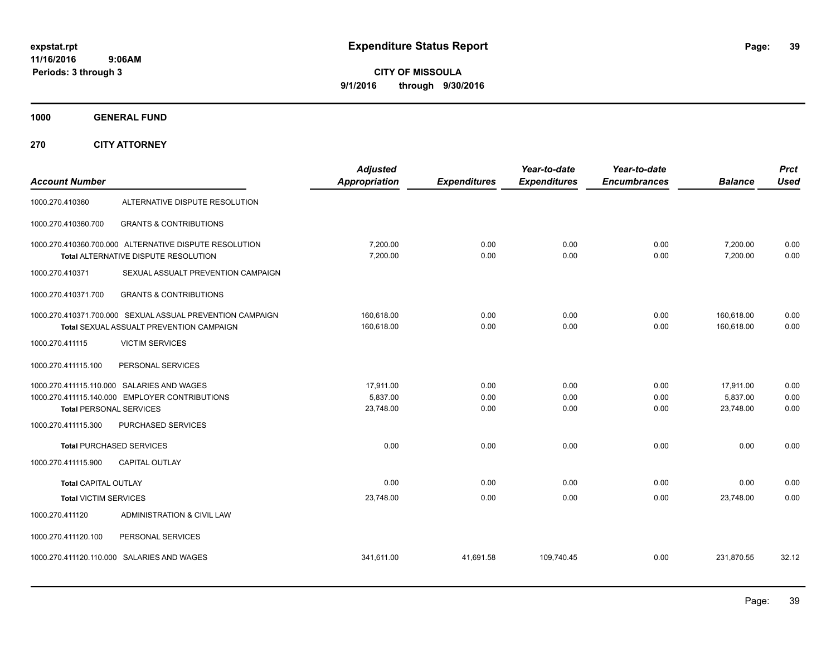**CITY OF MISSOULA 9/1/2016 through 9/30/2016**

**1000 GENERAL FUND**

**270 CITY ATTORNEY**

| <b>Account Number</b>          |                                                                                                       | <b>Adjusted</b><br>Appropriation   | <b>Expenditures</b>  | Year-to-date<br><b>Expenditures</b> | Year-to-date<br><b>Encumbrances</b> | <b>Balance</b>                     | <b>Prct</b><br><b>Used</b> |
|--------------------------------|-------------------------------------------------------------------------------------------------------|------------------------------------|----------------------|-------------------------------------|-------------------------------------|------------------------------------|----------------------------|
| 1000.270.410360                | ALTERNATIVE DISPUTE RESOLUTION                                                                        |                                    |                      |                                     |                                     |                                    |                            |
| 1000.270.410360.700            | <b>GRANTS &amp; CONTRIBUTIONS</b>                                                                     |                                    |                      |                                     |                                     |                                    |                            |
|                                | 1000.270.410360.700.000 ALTERNATIVE DISPUTE RESOLUTION<br>Total ALTERNATIVE DISPUTE RESOLUTION        | 7,200.00<br>7,200.00               | 0.00<br>0.00         | 0.00<br>0.00                        | 0.00<br>0.00                        | 7,200.00<br>7,200.00               | 0.00<br>0.00               |
| 1000.270.410371                | SEXUAL ASSUALT PREVENTION CAMPAIGN                                                                    |                                    |                      |                                     |                                     |                                    |                            |
| 1000.270.410371.700            | <b>GRANTS &amp; CONTRIBUTIONS</b>                                                                     |                                    |                      |                                     |                                     |                                    |                            |
|                                | 1000.270.410371.700.000 SEXUAL ASSUAL PREVENTION CAMPAIGN<br>Total SEXUAL ASSUALT PREVENTION CAMPAIGN | 160,618.00<br>160,618.00           | 0.00<br>0.00         | 0.00<br>0.00                        | 0.00<br>0.00                        | 160,618.00<br>160,618.00           | 0.00<br>0.00               |
| 1000.270.411115                | <b>VICTIM SERVICES</b>                                                                                |                                    |                      |                                     |                                     |                                    |                            |
| 1000.270.411115.100            | PERSONAL SERVICES                                                                                     |                                    |                      |                                     |                                     |                                    |                            |
| <b>Total PERSONAL SERVICES</b> | 1000.270.411115.110.000 SALARIES AND WAGES<br>1000.270.411115.140.000 EMPLOYER CONTRIBUTIONS          | 17,911.00<br>5,837.00<br>23,748.00 | 0.00<br>0.00<br>0.00 | 0.00<br>0.00<br>0.00                | 0.00<br>0.00<br>0.00                | 17,911.00<br>5,837.00<br>23,748.00 | 0.00<br>0.00<br>0.00       |
| 1000.270.411115.300            | PURCHASED SERVICES                                                                                    |                                    |                      |                                     |                                     |                                    |                            |
|                                | <b>Total PURCHASED SERVICES</b>                                                                       | 0.00                               | 0.00                 | 0.00                                | 0.00                                | 0.00                               | 0.00                       |
| 1000.270.411115.900            | <b>CAPITAL OUTLAY</b>                                                                                 |                                    |                      |                                     |                                     |                                    |                            |
| <b>Total CAPITAL OUTLAY</b>    |                                                                                                       | 0.00                               | 0.00                 | 0.00                                | 0.00                                | 0.00                               | 0.00                       |
| <b>Total VICTIM SERVICES</b>   |                                                                                                       | 23,748.00                          | 0.00                 | 0.00                                | 0.00                                | 23,748.00                          | 0.00                       |
| 1000.270.411120                | ADMINISTRATION & CIVIL LAW                                                                            |                                    |                      |                                     |                                     |                                    |                            |
| 1000.270.411120.100            | PERSONAL SERVICES                                                                                     |                                    |                      |                                     |                                     |                                    |                            |
|                                | 1000.270.411120.110.000 SALARIES AND WAGES                                                            | 341,611.00                         | 41,691.58            | 109,740.45                          | 0.00                                | 231,870.55                         | 32.12                      |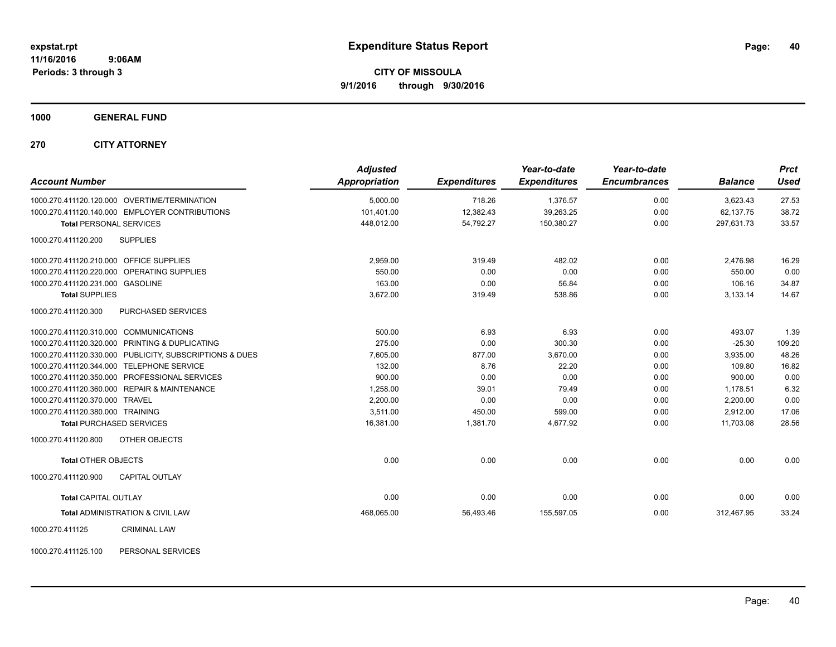**1000 GENERAL FUND**

**270 CITY ATTORNEY**

| <b>Account Number</b>                                   | <b>Adjusted</b><br>Appropriation | <b>Expenditures</b> | Year-to-date<br><b>Expenditures</b> | Year-to-date<br><b>Encumbrances</b> | <b>Balance</b> | <b>Prct</b><br><b>Used</b> |
|---------------------------------------------------------|----------------------------------|---------------------|-------------------------------------|-------------------------------------|----------------|----------------------------|
| 1000.270.411120.120.000 OVERTIME/TERMINATION            | 5,000.00                         | 718.26              | 1,376.57                            | 0.00                                | 3,623.43       | 27.53                      |
| 1000.270.411120.140.000 EMPLOYER CONTRIBUTIONS          | 101,401.00                       | 12,382.43           | 39,263.25                           | 0.00                                | 62,137.75      | 38.72                      |
| <b>Total PERSONAL SERVICES</b>                          | 448,012.00                       | 54,792.27           | 150,380.27                          | 0.00                                | 297.631.73     | 33.57                      |
| <b>SUPPLIES</b><br>1000.270.411120.200                  |                                  |                     |                                     |                                     |                |                            |
| 1000.270.411120.210.000 OFFICE SUPPLIES                 | 2.959.00                         | 319.49              | 482.02                              | 0.00                                | 2,476.98       | 16.29                      |
| 1000.270.411120.220.000 OPERATING SUPPLIES              | 550.00                           | 0.00                | 0.00                                | 0.00                                | 550.00         | 0.00                       |
| 1000.270.411120.231.000 GASOLINE                        | 163.00                           | 0.00                | 56.84                               | 0.00                                | 106.16         | 34.87                      |
| <b>Total SUPPLIES</b>                                   | 3,672.00                         | 319.49              | 538.86                              | 0.00                                | 3,133.14       | 14.67                      |
| 1000.270.411120.300<br>PURCHASED SERVICES               |                                  |                     |                                     |                                     |                |                            |
| 1000.270.411120.310.000 COMMUNICATIONS                  | 500.00                           | 6.93                | 6.93                                | 0.00                                | 493.07         | 1.39                       |
| 1000.270.411120.320.000 PRINTING & DUPLICATING          | 275.00                           | 0.00                | 300.30                              | 0.00                                | $-25.30$       | 109.20                     |
| 1000.270.411120.330.000 PUBLICITY, SUBSCRIPTIONS & DUES | 7,605.00                         | 877.00              | 3,670.00                            | 0.00                                | 3,935.00       | 48.26                      |
| 1000.270.411120.344.000 TELEPHONE SERVICE               | 132.00                           | 8.76                | 22.20                               | 0.00                                | 109.80         | 16.82                      |
| 1000.270.411120.350.000 PROFESSIONAL SERVICES           | 900.00                           | 0.00                | 0.00                                | 0.00                                | 900.00         | 0.00                       |
| 1000.270.411120.360.000 REPAIR & MAINTENANCE            | 1,258.00                         | 39.01               | 79.49                               | 0.00                                | 1,178.51       | 6.32                       |
| 1000.270.411120.370.000 TRAVEL                          | 2,200.00                         | 0.00                | 0.00                                | 0.00                                | 2,200.00       | 0.00                       |
| 1000.270.411120.380.000 TRAINING                        | 3,511.00                         | 450.00              | 599.00                              | 0.00                                | 2,912.00       | 17.06                      |
| <b>Total PURCHASED SERVICES</b>                         | 16,381.00                        | 1,381.70            | 4.677.92                            | 0.00                                | 11.703.08      | 28.56                      |
| OTHER OBJECTS<br>1000.270.411120.800                    |                                  |                     |                                     |                                     |                |                            |
| <b>Total OTHER OBJECTS</b>                              | 0.00                             | 0.00                | 0.00                                | 0.00                                | 0.00           | 0.00                       |
| 1000.270.411120.900<br><b>CAPITAL OUTLAY</b>            |                                  |                     |                                     |                                     |                |                            |
| <b>Total CAPITAL OUTLAY</b>                             | 0.00                             | 0.00                | 0.00                                | 0.00                                | 0.00           | 0.00                       |
| <b>Total ADMINISTRATION &amp; CIVIL LAW</b>             | 468,065.00                       | 56,493.46           | 155,597.05                          | 0.00                                | 312,467.95     | 33.24                      |
| 1000.270.411125<br><b>CRIMINAL LAW</b>                  |                                  |                     |                                     |                                     |                |                            |

1000.270.411125.100 PERSONAL SERVICES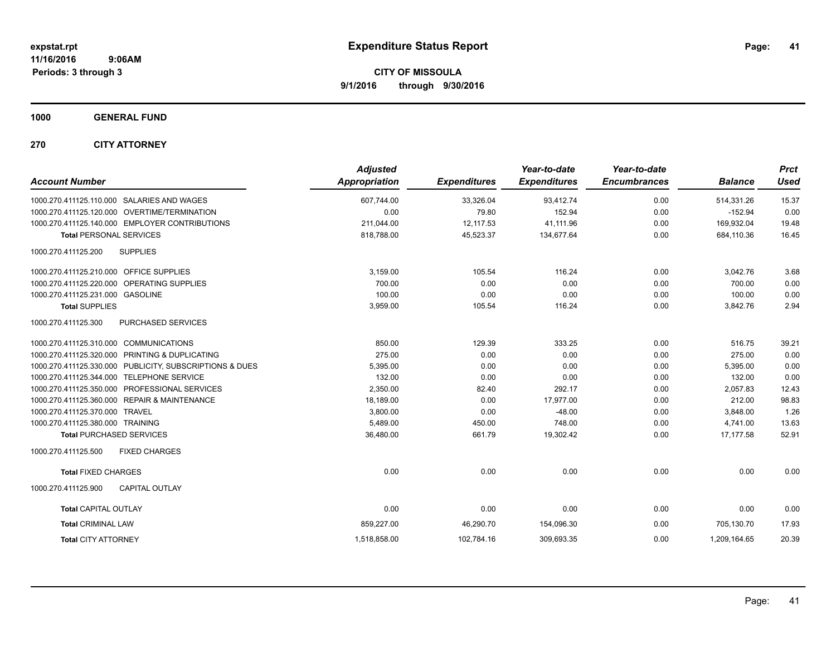**1000 GENERAL FUND**

**270 CITY ATTORNEY**

| <b>Account Number</b>                                   | <b>Adjusted</b><br><b>Appropriation</b> | <b>Expenditures</b> | Year-to-date<br><b>Expenditures</b> | Year-to-date<br><b>Encumbrances</b> | <b>Balance</b> | <b>Prct</b><br>Used |
|---------------------------------------------------------|-----------------------------------------|---------------------|-------------------------------------|-------------------------------------|----------------|---------------------|
| 1000.270.411125.110.000 SALARIES AND WAGES              | 607,744.00                              | 33,326.04           | 93,412.74                           | 0.00                                | 514,331.26     | 15.37               |
| 1000.270.411125.120.000 OVERTIME/TERMINATION            | 0.00                                    | 79.80               | 152.94                              | 0.00                                | $-152.94$      | 0.00                |
| 1000.270.411125.140.000 EMPLOYER CONTRIBUTIONS          | 211,044.00                              | 12,117.53           | 41,111.96                           | 0.00                                | 169,932.04     | 19.48               |
| <b>Total PERSONAL SERVICES</b>                          | 818,788.00                              | 45,523.37           | 134,677.64                          | 0.00                                | 684,110.36     | 16.45               |
| 1000.270.411125.200<br><b>SUPPLIES</b>                  |                                         |                     |                                     |                                     |                |                     |
| 1000.270.411125.210.000 OFFICE SUPPLIES                 | 3.159.00                                | 105.54              | 116.24                              | 0.00                                | 3,042.76       | 3.68                |
| 1000.270.411125.220.000 OPERATING SUPPLIES              | 700.00                                  | 0.00                | 0.00                                | 0.00                                | 700.00         | 0.00                |
| 1000.270.411125.231.000 GASOLINE                        | 100.00                                  | 0.00                | 0.00                                | 0.00                                | 100.00         | 0.00                |
| <b>Total SUPPLIES</b>                                   | 3,959.00                                | 105.54              | 116.24                              | 0.00                                | 3,842.76       | 2.94                |
| 1000.270.411125.300<br>PURCHASED SERVICES               |                                         |                     |                                     |                                     |                |                     |
| 1000.270.411125.310.000 COMMUNICATIONS                  | 850.00                                  | 129.39              | 333.25                              | 0.00                                | 516.75         | 39.21               |
| 1000.270.411125.320.000 PRINTING & DUPLICATING          | 275.00                                  | 0.00                | 0.00                                | 0.00                                | 275.00         | 0.00                |
| 1000.270.411125.330.000 PUBLICITY, SUBSCRIPTIONS & DUES | 5,395.00                                | 0.00                | 0.00                                | 0.00                                | 5,395.00       | 0.00                |
| TELEPHONE SERVICE<br>1000.270.411125.344.000            | 132.00                                  | 0.00                | 0.00                                | 0.00                                | 132.00         | 0.00                |
| 1000.270.411125.350.000 PROFESSIONAL SERVICES           | 2,350.00                                | 82.40               | 292.17                              | 0.00                                | 2,057.83       | 12.43               |
| 1000.270.411125.360.000 REPAIR & MAINTENANCE            | 18,189.00                               | 0.00                | 17,977.00                           | 0.00                                | 212.00         | 98.83               |
| 1000.270.411125.370.000 TRAVEL                          | 3,800.00                                | 0.00                | $-48.00$                            | 0.00                                | 3,848.00       | 1.26                |
| 1000.270.411125.380.000 TRAINING                        | 5,489.00                                | 450.00              | 748.00                              | 0.00                                | 4,741.00       | 13.63               |
| <b>Total PURCHASED SERVICES</b>                         | 36,480.00                               | 661.79              | 19,302.42                           | 0.00                                | 17.177.58      | 52.91               |
| 1000.270.411125.500<br><b>FIXED CHARGES</b>             |                                         |                     |                                     |                                     |                |                     |
| <b>Total FIXED CHARGES</b>                              | 0.00                                    | 0.00                | 0.00                                | 0.00                                | 0.00           | 0.00                |
| 1000.270.411125.900<br><b>CAPITAL OUTLAY</b>            |                                         |                     |                                     |                                     |                |                     |
| <b>Total CAPITAL OUTLAY</b>                             | 0.00                                    | 0.00                | 0.00                                | 0.00                                | 0.00           | 0.00                |
| <b>Total CRIMINAL LAW</b>                               | 859,227.00                              | 46,290.70           | 154,096.30                          | 0.00                                | 705.130.70     | 17.93               |
| <b>Total CITY ATTORNEY</b>                              | 1,518,858.00                            | 102,784.16          | 309,693.35                          | 0.00                                | 1,209,164.65   | 20.39               |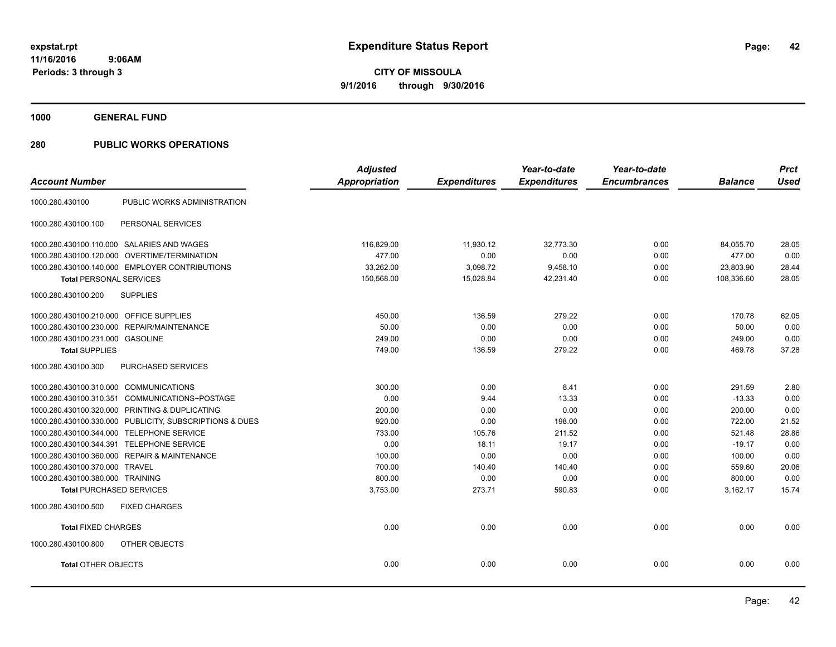**1000 GENERAL FUND**

|                                                         | <b>Adjusted</b> |                     | Year-to-date        | Year-to-date        |                | <b>Prct</b> |
|---------------------------------------------------------|-----------------|---------------------|---------------------|---------------------|----------------|-------------|
| <b>Account Number</b>                                   | Appropriation   | <b>Expenditures</b> | <b>Expenditures</b> | <b>Encumbrances</b> | <b>Balance</b> | <b>Used</b> |
| PUBLIC WORKS ADMINISTRATION<br>1000.280.430100          |                 |                     |                     |                     |                |             |
| 1000.280.430100.100<br>PERSONAL SERVICES                |                 |                     |                     |                     |                |             |
| 1000.280.430100.110.000 SALARIES AND WAGES              | 116,829.00      | 11,930.12           | 32,773.30           | 0.00                | 84,055.70      | 28.05       |
| 1000.280.430100.120.000 OVERTIME/TERMINATION            | 477.00          | 0.00                | 0.00                | 0.00                | 477.00         | 0.00        |
| 1000.280.430100.140.000 EMPLOYER CONTRIBUTIONS          | 33,262.00       | 3,098.72            | 9,458.10            | 0.00                | 23,803.90      | 28.44       |
| <b>Total PERSONAL SERVICES</b>                          | 150,568.00      | 15,028.84           | 42,231.40           | 0.00                | 108,336.60     | 28.05       |
| <b>SUPPLIES</b><br>1000.280.430100.200                  |                 |                     |                     |                     |                |             |
| 1000.280.430100.210.000 OFFICE SUPPLIES                 | 450.00          | 136.59              | 279.22              | 0.00                | 170.78         | 62.05       |
| 1000.280.430100.230.000<br>REPAIR/MAINTENANCE           | 50.00           | 0.00                | 0.00                | 0.00                | 50.00          | 0.00        |
| 1000.280.430100.231.000 GASOLINE                        | 249.00          | 0.00                | 0.00                | 0.00                | 249.00         | 0.00        |
| <b>Total SUPPLIES</b>                                   | 749.00          | 136.59              | 279.22              | 0.00                | 469.78         | 37.28       |
| PURCHASED SERVICES<br>1000.280.430100.300               |                 |                     |                     |                     |                |             |
| 1000.280.430100.310.000 COMMUNICATIONS                  | 300.00          | 0.00                | 8.41                | 0.00                | 291.59         | 2.80        |
| 1000.280.430100.310.351 COMMUNICATIONS~POSTAGE          | 0.00            | 9.44                | 13.33               | 0.00                | $-13.33$       | 0.00        |
| 1000.280.430100.320.000 PRINTING & DUPLICATING          | 200.00          | 0.00                | 0.00                | 0.00                | 200.00         | 0.00        |
| 1000.280.430100.330.000 PUBLICITY, SUBSCRIPTIONS & DUES | 920.00          | 0.00                | 198.00              | 0.00                | 722.00         | 21.52       |
| 1000.280.430100.344.000 TELEPHONE SERVICE               | 733.00          | 105.76              | 211.52              | 0.00                | 521.48         | 28.86       |
| 1000.280.430100.344.391 TELEPHONE SERVICE               | 0.00            | 18.11               | 19.17               | 0.00                | $-19.17$       | 0.00        |
| 1000.280.430100.360.000 REPAIR & MAINTENANCE            | 100.00          | 0.00                | 0.00                | 0.00                | 100.00         | 0.00        |
| 1000.280.430100.370.000 TRAVEL                          | 700.00          | 140.40              | 140.40              | 0.00                | 559.60         | 20.06       |
| 1000.280.430100.380.000 TRAINING                        | 800.00          | 0.00                | 0.00                | 0.00                | 800.00         | 0.00        |
| <b>Total PURCHASED SERVICES</b>                         | 3,753.00        | 273.71              | 590.83              | 0.00                | 3,162.17       | 15.74       |
| <b>FIXED CHARGES</b><br>1000.280.430100.500             |                 |                     |                     |                     |                |             |
| <b>Total FIXED CHARGES</b>                              | 0.00            | 0.00                | 0.00                | 0.00                | 0.00           | 0.00        |
| 1000.280.430100.800<br>OTHER OBJECTS                    |                 |                     |                     |                     |                |             |
| <b>Total OTHER OBJECTS</b>                              | 0.00            | 0.00                | 0.00                | 0.00                | 0.00           | 0.00        |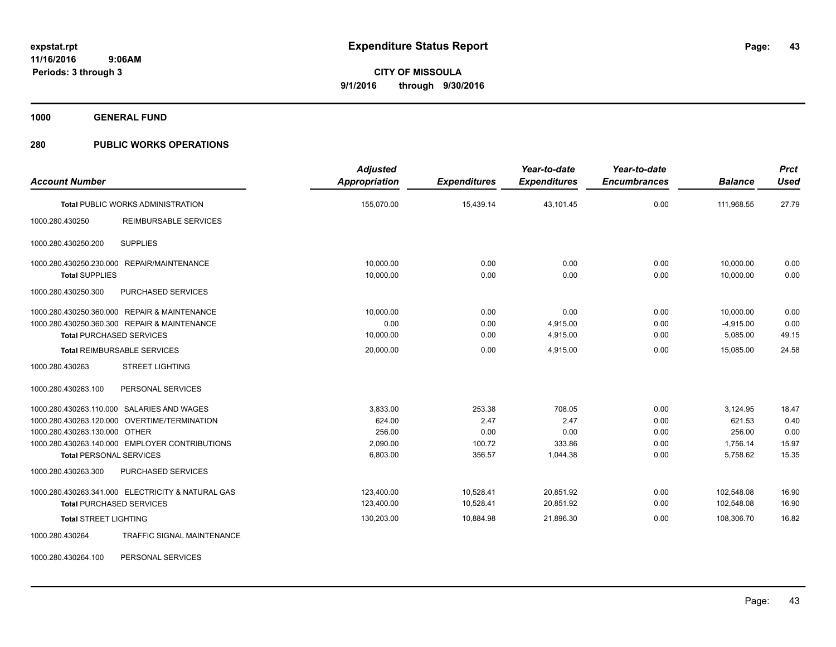**1000 GENERAL FUND**

### **280 PUBLIC WORKS OPERATIONS**

| <b>Account Number</b>           |                                                   | <b>Adjusted</b><br>Appropriation | <b>Expenditures</b> | Year-to-date<br><b>Expenditures</b> | Year-to-date<br><b>Encumbrances</b> | <b>Balance</b> | <b>Prct</b><br><b>Used</b> |
|---------------------------------|---------------------------------------------------|----------------------------------|---------------------|-------------------------------------|-------------------------------------|----------------|----------------------------|
|                                 |                                                   |                                  |                     |                                     |                                     |                |                            |
|                                 | <b>Total PUBLIC WORKS ADMINISTRATION</b>          | 155,070.00                       | 15,439.14           | 43,101.45                           | 0.00                                | 111,968.55     | 27.79                      |
| 1000.280.430250                 | <b>REIMBURSABLE SERVICES</b>                      |                                  |                     |                                     |                                     |                |                            |
| 1000.280.430250.200             | <b>SUPPLIES</b>                                   |                                  |                     |                                     |                                     |                |                            |
|                                 | 1000.280.430250.230.000 REPAIR/MAINTENANCE        | 10,000.00                        | 0.00                | 0.00                                | 0.00                                | 10,000.00      | 0.00                       |
| <b>Total SUPPLIES</b>           |                                                   | 10,000.00                        | 0.00                | 0.00                                | 0.00                                | 10.000.00      | 0.00                       |
| 1000.280.430250.300             | PURCHASED SERVICES                                |                                  |                     |                                     |                                     |                |                            |
|                                 | 1000.280.430250.360.000 REPAIR & MAINTENANCE      | 10.000.00                        | 0.00                | 0.00                                | 0.00                                | 10,000.00      | 0.00                       |
|                                 | 1000.280.430250.360.300 REPAIR & MAINTENANCE      | 0.00                             | 0.00                | 4,915.00                            | 0.00                                | $-4,915.00$    | 0.00                       |
| <b>Total PURCHASED SERVICES</b> |                                                   | 10,000.00                        | 0.00                | 4,915.00                            | 0.00                                | 5,085.00       | 49.15                      |
|                                 | <b>Total REIMBURSABLE SERVICES</b>                | 20,000.00                        | 0.00                | 4.915.00                            | 0.00                                | 15.085.00      | 24.58                      |
| 1000.280.430263                 | <b>STREET LIGHTING</b>                            |                                  |                     |                                     |                                     |                |                            |
| 1000.280.430263.100             | PERSONAL SERVICES                                 |                                  |                     |                                     |                                     |                |                            |
|                                 | 1000.280.430263.110.000 SALARIES AND WAGES        | 3,833.00                         | 253.38              | 708.05                              | 0.00                                | 3,124.95       | 18.47                      |
|                                 | 1000.280.430263.120.000 OVERTIME/TERMINATION      | 624.00                           | 2.47                | 2.47                                | 0.00                                | 621.53         | 0.40                       |
| 1000.280.430263.130.000 OTHER   |                                                   | 256.00                           | 0.00                | 0.00                                | 0.00                                | 256.00         | 0.00                       |
|                                 | 1000.280.430263.140.000 EMPLOYER CONTRIBUTIONS    | 2,090.00                         | 100.72              | 333.86                              | 0.00                                | 1,756.14       | 15.97                      |
| <b>Total PERSONAL SERVICES</b>  |                                                   | 6,803.00                         | 356.57              | 1,044.38                            | 0.00                                | 5,758.62       | 15.35                      |
| 1000.280.430263.300             | PURCHASED SERVICES                                |                                  |                     |                                     |                                     |                |                            |
|                                 | 1000.280.430263.341.000 ELECTRICITY & NATURAL GAS | 123.400.00                       | 10,528.41           | 20.851.92                           | 0.00                                | 102.548.08     | 16.90                      |
| <b>Total PURCHASED SERVICES</b> |                                                   | 123,400.00                       | 10,528.41           | 20,851.92                           | 0.00                                | 102,548.08     | 16.90                      |
| <b>Total STREET LIGHTING</b>    |                                                   | 130,203.00                       | 10,884.98           | 21,896.30                           | 0.00                                | 108,306.70     | 16.82                      |
| 1000.280.430264                 | <b>TRAFFIC SIGNAL MAINTENANCE</b>                 |                                  |                     |                                     |                                     |                |                            |

1000.280.430264.100 PERSONAL SERVICES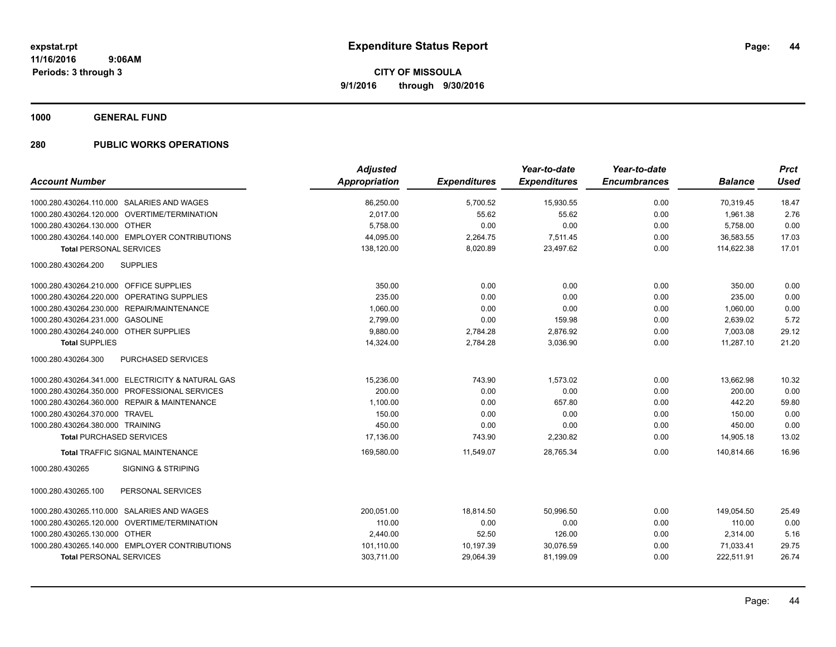**1000 GENERAL FUND**

|                                                   | <b>Adjusted</b>      |                     | Year-to-date        | Year-to-date        |                | <b>Prct</b> |
|---------------------------------------------------|----------------------|---------------------|---------------------|---------------------|----------------|-------------|
| <b>Account Number</b>                             | <b>Appropriation</b> | <b>Expenditures</b> | <b>Expenditures</b> | <b>Encumbrances</b> | <b>Balance</b> | <b>Used</b> |
| 1000.280.430264.110.000 SALARIES AND WAGES        | 86,250.00            | 5,700.52            | 15,930.55           | 0.00                | 70,319.45      | 18.47       |
| 1000.280.430264.120.000 OVERTIME/TERMINATION      | 2,017.00             | 55.62               | 55.62               | 0.00                | 1,961.38       | 2.76        |
| 1000.280.430264.130.000 OTHER                     | 5,758.00             | 0.00                | 0.00                | 0.00                | 5,758.00       | 0.00        |
| 1000.280.430264.140.000 EMPLOYER CONTRIBUTIONS    | 44,095.00            | 2,264.75            | 7,511.45            | 0.00                | 36,583.55      | 17.03       |
| <b>Total PERSONAL SERVICES</b>                    | 138,120.00           | 8,020.89            | 23,497.62           | 0.00                | 114.622.38     | 17.01       |
| <b>SUPPLIES</b><br>1000.280.430264.200            |                      |                     |                     |                     |                |             |
| 1000.280.430264.210.000 OFFICE SUPPLIES           | 350.00               | 0.00                | 0.00                | 0.00                | 350.00         | 0.00        |
| 1000.280.430264.220.000 OPERATING SUPPLIES        | 235.00               | 0.00                | 0.00                | 0.00                | 235.00         | 0.00        |
| 1000.280.430264.230.000 REPAIR/MAINTENANCE        | 1,060.00             | 0.00                | 0.00                | 0.00                | 1,060.00       | 0.00        |
| 1000.280.430264.231.000 GASOLINE                  | 2,799.00             | 0.00                | 159.98              | 0.00                | 2,639.02       | 5.72        |
| 1000.280.430264.240.000 OTHER SUPPLIES            | 9,880.00             | 2,784.28            | 2,876.92            | 0.00                | 7,003.08       | 29.12       |
| <b>Total SUPPLIES</b>                             | 14,324.00            | 2,784.28            | 3,036.90            | 0.00                | 11,287.10      | 21.20       |
| <b>PURCHASED SERVICES</b><br>1000.280.430264.300  |                      |                     |                     |                     |                |             |
| 1000.280.430264.341.000 ELECTRICITY & NATURAL GAS | 15,236.00            | 743.90              | 1,573.02            | 0.00                | 13,662.98      | 10.32       |
| 1000.280.430264.350.000 PROFESSIONAL SERVICES     | 200.00               | 0.00                | 0.00                | 0.00                | 200.00         | 0.00        |
| 1000.280.430264.360.000 REPAIR & MAINTENANCE      | 1.100.00             | 0.00                | 657.80              | 0.00                | 442.20         | 59.80       |
| 1000.280.430264.370.000 TRAVEL                    | 150.00               | 0.00                | 0.00                | 0.00                | 150.00         | 0.00        |
| 1000.280.430264.380.000 TRAINING                  | 450.00               | 0.00                | 0.00                | 0.00                | 450.00         | 0.00        |
| <b>Total PURCHASED SERVICES</b>                   | 17,136.00            | 743.90              | 2,230.82            | 0.00                | 14,905.18      | 13.02       |
| <b>Total TRAFFIC SIGNAL MAINTENANCE</b>           | 169,580.00           | 11,549.07           | 28,765.34           | 0.00                | 140,814.66     | 16.96       |
| <b>SIGNING &amp; STRIPING</b><br>1000.280.430265  |                      |                     |                     |                     |                |             |
| 1000.280.430265.100<br>PERSONAL SERVICES          |                      |                     |                     |                     |                |             |
| 1000.280.430265.110.000 SALARIES AND WAGES        | 200,051.00           | 18,814.50           | 50,996.50           | 0.00                | 149,054.50     | 25.49       |
| 1000.280.430265.120.000 OVERTIME/TERMINATION      | 110.00               | 0.00                | 0.00                | 0.00                | 110.00         | 0.00        |
| 1000.280.430265.130.000 OTHER                     | 2,440.00             | 52.50               | 126.00              | 0.00                | 2,314.00       | 5.16        |
| 1000.280.430265.140.000 EMPLOYER CONTRIBUTIONS    | 101,110.00           | 10,197.39           | 30,076.59           | 0.00                | 71,033.41      | 29.75       |
| <b>Total PERSONAL SERVICES</b>                    | 303,711.00           | 29,064.39           | 81,199.09           | 0.00                | 222,511.91     | 26.74       |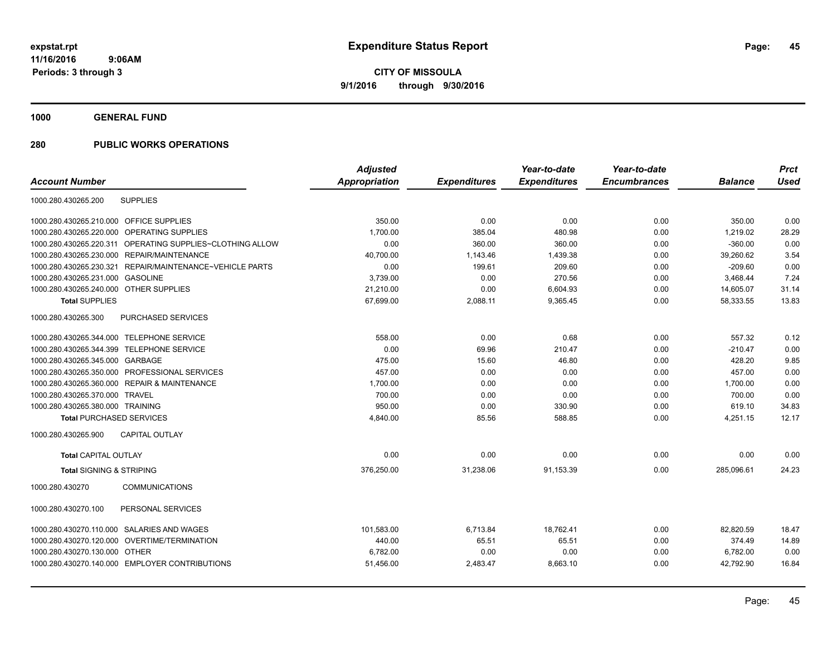**1000 GENERAL FUND**

|                                                             | <b>Adjusted</b> |                     | Year-to-date        | Year-to-date        |                | <b>Prct</b> |
|-------------------------------------------------------------|-----------------|---------------------|---------------------|---------------------|----------------|-------------|
| <b>Account Number</b>                                       | Appropriation   | <b>Expenditures</b> | <b>Expenditures</b> | <b>Encumbrances</b> | <b>Balance</b> | <b>Used</b> |
| <b>SUPPLIES</b><br>1000.280.430265.200                      |                 |                     |                     |                     |                |             |
| 1000.280.430265.210.000<br><b>OFFICE SUPPLIES</b>           | 350.00          | 0.00                | 0.00                | 0.00                | 350.00         | 0.00        |
| 1000.280.430265.220.000<br><b>OPERATING SUPPLIES</b>        | 1,700.00        | 385.04              | 480.98              | 0.00                | 1,219.02       | 28.29       |
| 1000.280.430265.220.311 OPERATING SUPPLIES~CLOTHING ALLOW   | 0.00            | 360.00              | 360.00              | 0.00                | $-360.00$      | 0.00        |
| 1000.280.430265.230.000 REPAIR/MAINTENANCE                  | 40,700.00       | 1,143.46            | 1,439.38            | 0.00                | 39,260.62      | 3.54        |
| 1000.280.430265.230.321<br>REPAIR/MAINTENANCE~VEHICLE PARTS | 0.00            | 199.61              | 209.60              | 0.00                | $-209.60$      | 0.00        |
| 1000.280.430265.231.000 GASOLINE                            | 3,739.00        | 0.00                | 270.56              | 0.00                | 3,468.44       | 7.24        |
| 1000.280.430265.240.000 OTHER SUPPLIES                      | 21,210.00       | 0.00                | 6,604.93            | 0.00                | 14,605.07      | 31.14       |
| <b>Total SUPPLIES</b>                                       | 67,699.00       | 2,088.11            | 9,365.45            | 0.00                | 58,333.55      | 13.83       |
| 1000.280.430265.300<br>PURCHASED SERVICES                   |                 |                     |                     |                     |                |             |
| 1000.280.430265.344.000 TELEPHONE SERVICE                   | 558.00          | 0.00                | 0.68                | 0.00                | 557.32         | 0.12        |
| 1000.280.430265.344.399 TELEPHONE SERVICE                   | 0.00            | 69.96               | 210.47              | 0.00                | $-210.47$      | 0.00        |
| 1000.280.430265.345.000 GARBAGE                             | 475.00          | 15.60               | 46.80               | 0.00                | 428.20         | 9.85        |
| 1000.280.430265.350.000 PROFESSIONAL SERVICES               | 457.00          | 0.00                | 0.00                | 0.00                | 457.00         | 0.00        |
| 1000.280.430265.360.000 REPAIR & MAINTENANCE                | 1,700.00        | 0.00                | 0.00                | 0.00                | 1,700.00       | 0.00        |
| 1000.280.430265.370.000 TRAVEL                              | 700.00          | 0.00                | 0.00                | 0.00                | 700.00         | 0.00        |
| 1000.280.430265.380.000 TRAINING                            | 950.00          | 0.00                | 330.90              | 0.00                | 619.10         | 34.83       |
| <b>Total PURCHASED SERVICES</b>                             | 4,840.00        | 85.56               | 588.85              | 0.00                | 4,251.15       | 12.17       |
| 1000.280.430265.900<br><b>CAPITAL OUTLAY</b>                |                 |                     |                     |                     |                |             |
| <b>Total CAPITAL OUTLAY</b>                                 | 0.00            | 0.00                | 0.00                | 0.00                | 0.00           | 0.00        |
| <b>Total SIGNING &amp; STRIPING</b>                         | 376,250.00      | 31,238.06           | 91,153.39           | 0.00                | 285,096.61     | 24.23       |
| 1000.280.430270<br><b>COMMUNICATIONS</b>                    |                 |                     |                     |                     |                |             |
| PERSONAL SERVICES<br>1000.280.430270.100                    |                 |                     |                     |                     |                |             |
| 1000.280.430270.110.000 SALARIES AND WAGES                  | 101,583.00      | 6,713.84            | 18,762.41           | 0.00                | 82,820.59      | 18.47       |
| OVERTIME/TERMINATION<br>1000.280.430270.120.000             | 440.00          | 65.51               | 65.51               | 0.00                | 374.49         | 14.89       |
| 1000.280.430270.130.000 OTHER                               | 6,782.00        | 0.00                | 0.00                | 0.00                | 6,782.00       | 0.00        |
| 1000.280.430270.140.000 EMPLOYER CONTRIBUTIONS              | 51,456.00       | 2,483.47            | 8,663.10            | 0.00                | 42,792.90      | 16.84       |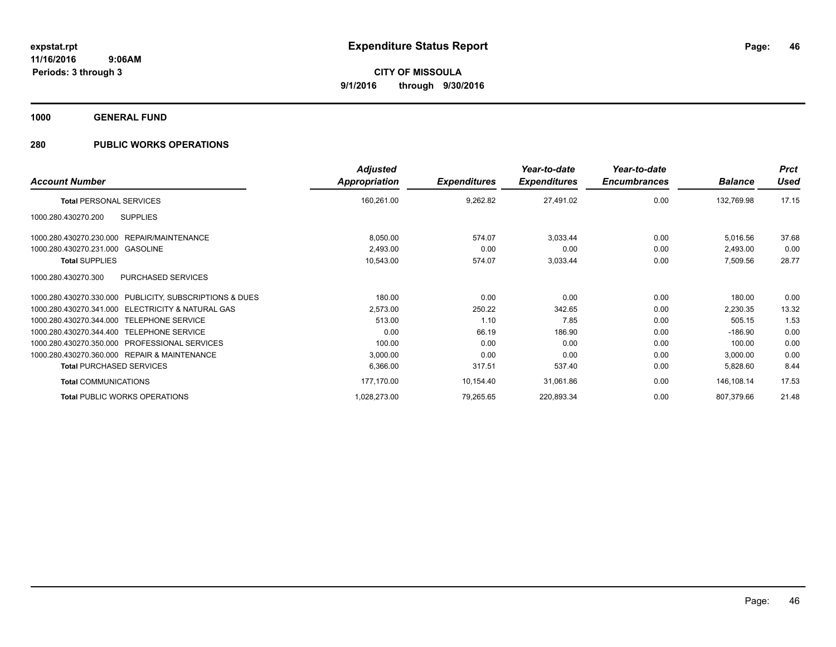**1000 GENERAL FUND**

| <b>Account Number</b>                                   | <b>Adjusted</b><br><b>Appropriation</b> | <b>Expenditures</b> | Year-to-date<br><b>Expenditures</b> | Year-to-date<br><b>Encumbrances</b> | <b>Balance</b> | <b>Prct</b><br>Used |
|---------------------------------------------------------|-----------------------------------------|---------------------|-------------------------------------|-------------------------------------|----------------|---------------------|
| <b>Total PERSONAL SERVICES</b>                          | 160,261.00                              | 9,262.82            | 27,491.02                           | 0.00                                | 132,769.98     | 17.15               |
| 1000.280.430270.200<br><b>SUPPLIES</b>                  |                                         |                     |                                     |                                     |                |                     |
| REPAIR/MAINTENANCE<br>1000.280.430270.230.000           | 8,050.00                                | 574.07              | 3,033.44                            | 0.00                                | 5,016.56       | 37.68               |
| 1000.280.430270.231.000<br>GASOLINE                     | 2,493.00                                | 0.00                | 0.00                                | 0.00                                | 2,493.00       | 0.00                |
| <b>Total SUPPLIES</b>                                   | 10,543.00                               | 574.07              | 3,033.44                            | 0.00                                | 7,509.56       | 28.77               |
| PURCHASED SERVICES<br>1000.280.430270.300               |                                         |                     |                                     |                                     |                |                     |
| 1000.280.430270.330.000 PUBLICITY, SUBSCRIPTIONS & DUES | 180.00                                  | 0.00                | 0.00                                | 0.00                                | 180.00         | 0.00                |
| 1000.280.430270.341.000 ELECTRICITY & NATURAL GAS       | 2,573.00                                | 250.22              | 342.65                              | 0.00                                | 2,230.35       | 13.32               |
| 1000.280.430270.344.000 TELEPHONE SERVICE               | 513.00                                  | 1.10                | 7.85                                | 0.00                                | 505.15         | 1.53                |
| 1000.280.430270.344.400 TELEPHONE SERVICE               | 0.00                                    | 66.19               | 186.90                              | 0.00                                | $-186.90$      | 0.00                |
| 1000.280.430270.350.000 PROFESSIONAL SERVICES           | 100.00                                  | 0.00                | 0.00                                | 0.00                                | 100.00         | 0.00                |
| 1000.280.430270.360.000 REPAIR & MAINTENANCE            | 3,000.00                                | 0.00                | 0.00                                | 0.00                                | 3,000.00       | 0.00                |
| <b>Total PURCHASED SERVICES</b>                         | 6,366.00                                | 317.51              | 537.40                              | 0.00                                | 5,828.60       | 8.44                |
| <b>Total COMMUNICATIONS</b>                             | 177,170.00                              | 10,154.40           | 31,061.86                           | 0.00                                | 146,108.14     | 17.53               |
| <b>Total PUBLIC WORKS OPERATIONS</b>                    | 1,028,273.00                            | 79,265.65           | 220,893.34                          | 0.00                                | 807,379.66     | 21.48               |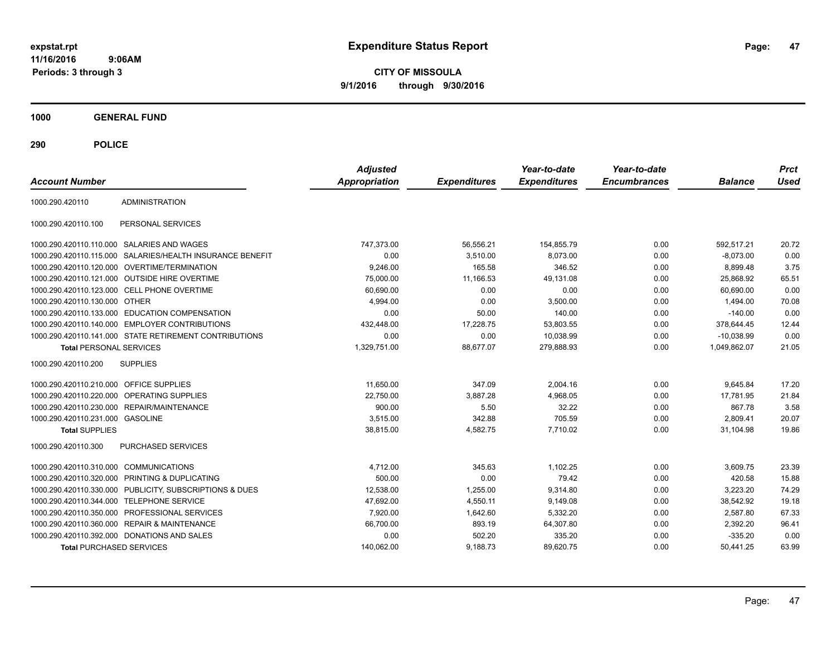**CITY OF MISSOULA 9/1/2016 through 9/30/2016**

**1000 GENERAL FUND**

| <b>Account Number</b>                   |                                                        | <b>Adjusted</b><br><b>Appropriation</b> | <b>Expenditures</b> | Year-to-date<br><b>Expenditures</b> | Year-to-date<br><b>Encumbrances</b> | <b>Balance</b> | <b>Prct</b><br><b>Used</b> |
|-----------------------------------------|--------------------------------------------------------|-----------------------------------------|---------------------|-------------------------------------|-------------------------------------|----------------|----------------------------|
| 1000.290.420110                         | <b>ADMINISTRATION</b>                                  |                                         |                     |                                     |                                     |                |                            |
| 1000.290.420110.100                     | PERSONAL SERVICES                                      |                                         |                     |                                     |                                     |                |                            |
|                                         | 1000.290.420110.110.000 SALARIES AND WAGES             | 747,373.00                              | 56,556.21           | 154,855.79                          | 0.00                                | 592.517.21     | 20.72                      |
| 1000.290.420110.115.000                 | SALARIES/HEALTH INSURANCE BENEFIT                      | 0.00                                    | 3,510.00            | 8,073.00                            | 0.00                                | $-8.073.00$    | 0.00                       |
|                                         | 1000.290.420110.120.000 OVERTIME/TERMINATION           | 9,246.00                                | 165.58              | 346.52                              | 0.00                                | 8,899.48       | 3.75                       |
|                                         | 1000.290.420110.121.000 OUTSIDE HIRE OVERTIME          | 75,000.00                               | 11,166.53           | 49,131.08                           | 0.00                                | 25,868.92      | 65.51                      |
|                                         | 1000.290.420110.123.000 CELL PHONE OVERTIME            | 60.690.00                               | 0.00                | 0.00                                | 0.00                                | 60.690.00      | 0.00                       |
| 1000.290.420110.130.000                 | <b>OTHER</b>                                           | 4,994.00                                | 0.00                | 3.500.00                            | 0.00                                | 1,494.00       | 70.08                      |
| 1000.290.420110.133.000                 | <b>EDUCATION COMPENSATION</b>                          | 0.00                                    | 50.00               | 140.00                              | 0.00                                | $-140.00$      | 0.00                       |
| 1000.290.420110.140.000                 | <b>EMPLOYER CONTRIBUTIONS</b>                          | 432,448.00                              | 17,228.75           | 53,803.55                           | 0.00                                | 378,644.45     | 12.44                      |
|                                         | 1000.290.420110.141.000 STATE RETIREMENT CONTRIBUTIONS | 0.00                                    | 0.00                | 10,038.99                           | 0.00                                | $-10,038.99$   | 0.00                       |
| <b>Total PERSONAL SERVICES</b>          |                                                        | 1,329,751.00                            | 88,677.07           | 279,888.93                          | 0.00                                | 1.049.862.07   | 21.05                      |
| 1000.290.420110.200                     | <b>SUPPLIES</b>                                        |                                         |                     |                                     |                                     |                |                            |
| 1000.290.420110.210.000 OFFICE SUPPLIES |                                                        | 11.650.00                               | 347.09              | 2.004.16                            | 0.00                                | 9,645.84       | 17.20                      |
| 1000.290.420110.220.000                 | <b>OPERATING SUPPLIES</b>                              | 22,750.00                               | 3,887.28            | 4,968.05                            | 0.00                                | 17,781.95      | 21.84                      |
| 1000.290.420110.230.000                 | <b>REPAIR/MAINTENANCE</b>                              | 900.00                                  | 5.50                | 32.22                               | 0.00                                | 867.78         | 3.58                       |
| 1000.290.420110.231.000 GASOLINE        |                                                        | 3,515.00                                | 342.88              | 705.59                              | 0.00                                | 2,809.41       | 20.07                      |
| <b>Total SUPPLIES</b>                   |                                                        | 38.815.00                               | 4,582.75            | 7.710.02                            | 0.00                                | 31.104.98      | 19.86                      |
| 1000.290.420110.300                     | <b>PURCHASED SERVICES</b>                              |                                         |                     |                                     |                                     |                |                            |
| 1000.290.420110.310.000                 | <b>COMMUNICATIONS</b>                                  | 4,712.00                                | 345.63              | 1,102.25                            | 0.00                                | 3,609.75       | 23.39                      |
| 1000.290.420110.320.000                 | PRINTING & DUPLICATING                                 | 500.00                                  | 0.00                | 79.42                               | 0.00                                | 420.58         | 15.88                      |
| 1000.290.420110.330.000                 | PUBLICITY, SUBSCRIPTIONS & DUES                        | 12,538.00                               | 1,255.00            | 9,314.80                            | 0.00                                | 3,223.20       | 74.29                      |
| 1000.290.420110.344.000                 | <b>TELEPHONE SERVICE</b>                               | 47,692.00                               | 4,550.11            | 9,149.08                            | 0.00                                | 38,542.92      | 19.18                      |
| 1000.290.420110.350.000                 | PROFESSIONAL SERVICES                                  | 7,920.00                                | 1,642.60            | 5,332.20                            | 0.00                                | 2,587.80       | 67.33                      |
| 1000.290.420110.360.000                 | <b>REPAIR &amp; MAINTENANCE</b>                        | 66,700.00                               | 893.19              | 64,307.80                           | 0.00                                | 2,392.20       | 96.41                      |
|                                         | 1000.290.420110.392.000 DONATIONS AND SALES            | 0.00                                    | 502.20              | 335.20                              | 0.00                                | $-335.20$      | 0.00                       |
| <b>Total PURCHASED SERVICES</b>         |                                                        | 140,062.00                              | 9,188.73            | 89,620.75                           | 0.00                                | 50,441.25      | 63.99                      |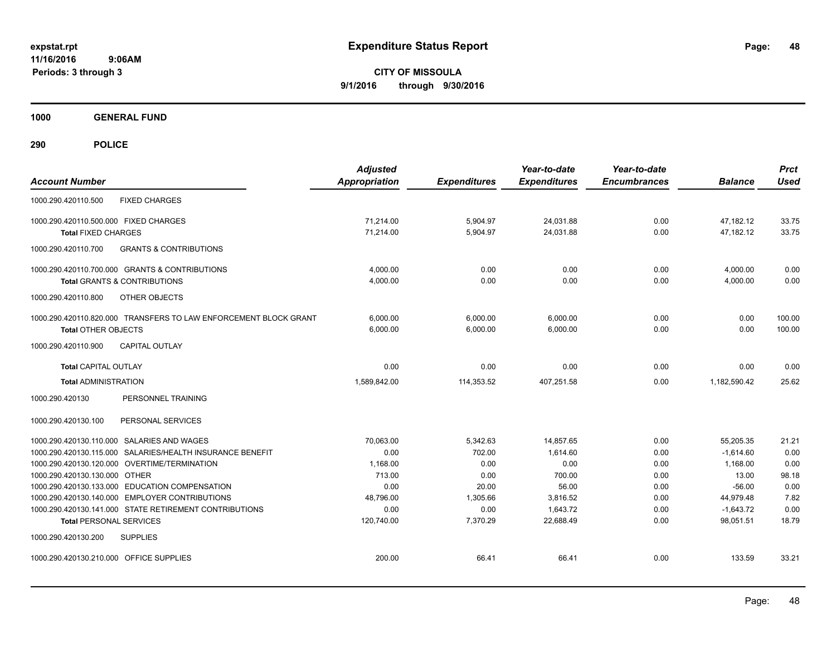**CITY OF MISSOULA 9/1/2016 through 9/30/2016**

**1000 GENERAL FUND**

| <b>Account Number</b>                                                                            | <b>Adjusted</b><br><b>Appropriation</b> | <b>Expenditures</b> | Year-to-date<br><b>Expenditures</b> | Year-to-date<br><b>Encumbrances</b> | <b>Balance</b>           | <b>Prct</b><br><b>Used</b> |
|--------------------------------------------------------------------------------------------------|-----------------------------------------|---------------------|-------------------------------------|-------------------------------------|--------------------------|----------------------------|
| <b>FIXED CHARGES</b><br>1000.290.420110.500                                                      |                                         |                     |                                     |                                     |                          |                            |
| 1000.290.420110.500.000 FIXED CHARGES                                                            | 71.214.00                               | 5,904.97            | 24,031.88                           | 0.00                                | 47,182.12                | 33.75                      |
| <b>Total FIXED CHARGES</b>                                                                       | 71,214.00                               | 5,904.97            | 24,031.88                           | 0.00                                | 47,182.12                | 33.75                      |
| 1000.290.420110.700<br><b>GRANTS &amp; CONTRIBUTIONS</b>                                         |                                         |                     |                                     |                                     |                          |                            |
| 1000.290.420110.700.000 GRANTS & CONTRIBUTIONS                                                   | 4,000.00                                | 0.00                | 0.00                                | 0.00                                | 4,000.00                 | 0.00                       |
| <b>Total GRANTS &amp; CONTRIBUTIONS</b>                                                          | 4,000.00                                | 0.00                | 0.00                                | 0.00                                | 4,000.00                 | 0.00                       |
| 1000.290.420110.800<br><b>OTHER OBJECTS</b>                                                      |                                         |                     |                                     |                                     |                          |                            |
| 1000.290.420110.820.000 TRANSFERS TO LAW ENFORCEMENT BLOCK GRANT                                 | 6.000.00                                | 6,000.00            | 6,000.00                            | 0.00                                | 0.00                     | 100.00                     |
| <b>Total OTHER OBJECTS</b>                                                                       | 6,000.00                                | 6,000.00            | 6,000.00                            | 0.00                                | 0.00                     | 100.00                     |
| <b>CAPITAL OUTLAY</b><br>1000.290.420110.900                                                     |                                         |                     |                                     |                                     |                          |                            |
| <b>Total CAPITAL OUTLAY</b>                                                                      | 0.00                                    | 0.00                | 0.00                                | 0.00                                | 0.00                     | 0.00                       |
| <b>Total ADMINISTRATION</b>                                                                      | 1,589,842.00                            | 114,353.52          | 407,251.58                          | 0.00                                | 1,182,590.42             | 25.62                      |
| 1000.290.420130<br>PERSONNEL TRAINING                                                            |                                         |                     |                                     |                                     |                          |                            |
| 1000.290.420130.100<br>PERSONAL SERVICES                                                         |                                         |                     |                                     |                                     |                          |                            |
| 1000.290.420130.110.000 SALARIES AND WAGES                                                       | 70.063.00                               | 5,342.63            | 14.857.65                           | 0.00                                | 55,205.35                | 21.21                      |
| 1000.290.420130.115.000 SALARIES/HEALTH INSURANCE BENEFIT                                        | 0.00                                    | 702.00              | 1,614.60                            | 0.00                                | $-1,614.60$              | 0.00                       |
| 1000.290.420130.120.000 OVERTIME/TERMINATION                                                     | 1,168.00                                | 0.00                | 0.00                                | 0.00                                | 1,168.00                 | 0.00                       |
| 1000.290.420130.130.000 OTHER                                                                    | 713.00                                  | 0.00                | 700.00                              | 0.00                                | 13.00                    | 98.18                      |
| 1000.290.420130.133.000 EDUCATION COMPENSATION<br>1000.290.420130.140.000 EMPLOYER CONTRIBUTIONS | 0.00                                    | 20.00               | 56.00                               | 0.00                                | $-56.00$                 | 0.00<br>7.82               |
| 1000.290.420130.141.000 STATE RETIREMENT CONTRIBUTIONS                                           | 48,796.00<br>0.00                       | 1,305.66<br>0.00    | 3,816.52<br>1,643.72                | 0.00<br>0.00                        | 44,979.48<br>$-1,643.72$ | 0.00                       |
| <b>Total PERSONAL SERVICES</b>                                                                   | 120,740.00                              | 7,370.29            | 22.688.49                           | 0.00                                | 98.051.51                | 18.79                      |
| 1000.290.420130.200<br><b>SUPPLIES</b>                                                           |                                         |                     |                                     |                                     |                          |                            |
| 1000.290.420130.210.000 OFFICE SUPPLIES                                                          | 200.00                                  | 66.41               | 66.41                               | 0.00                                | 133.59                   | 33.21                      |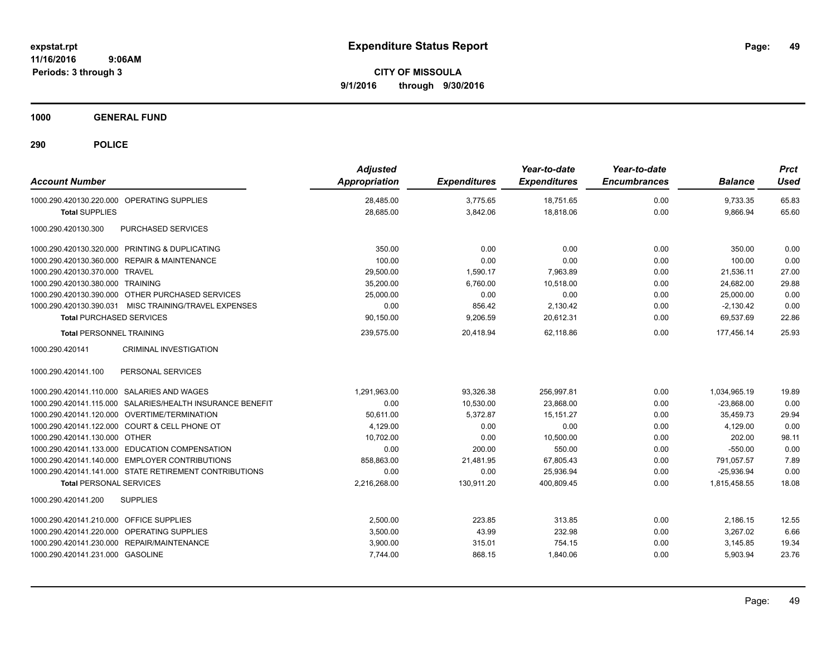**CITY OF MISSOULA 9/1/2016 through 9/30/2016**

**1000 GENERAL FUND**

| <b>Account Number</b>                                     | <b>Adjusted</b><br><b>Appropriation</b> | <b>Expenditures</b> | Year-to-date<br><b>Expenditures</b> | Year-to-date<br><b>Encumbrances</b> | <b>Balance</b> | <b>Prct</b><br>Used |
|-----------------------------------------------------------|-----------------------------------------|---------------------|-------------------------------------|-------------------------------------|----------------|---------------------|
| 1000.290.420130.220.000 OPERATING SUPPLIES                | 28,485.00                               | 3,775.65            | 18,751.65                           | 0.00                                | 9,733.35       | 65.83               |
| <b>Total SUPPLIES</b>                                     | 28.685.00                               | 3,842.06            | 18.818.06                           | 0.00                                | 9,866.94       | 65.60               |
| <b>PURCHASED SERVICES</b><br>1000.290.420130.300          |                                         |                     |                                     |                                     |                |                     |
| 1000.290.420130.320.000 PRINTING & DUPLICATING            | 350.00                                  | 0.00                | 0.00                                | 0.00                                | 350.00         | 0.00                |
| 1000.290.420130.360.000 REPAIR & MAINTENANCE              | 100.00                                  | 0.00                | 0.00                                | 0.00                                | 100.00         | 0.00                |
| 1000.290.420130.370.000 TRAVEL                            | 29,500.00                               | 1,590.17            | 7,963.89                            | 0.00                                | 21,536.11      | 27.00               |
| 1000.290.420130.380.000 TRAINING                          | 35.200.00                               | 6.760.00            | 10.518.00                           | 0.00                                | 24,682.00      | 29.88               |
| 1000.290.420130.390.000 OTHER PURCHASED SERVICES          | 25,000.00                               | 0.00                | 0.00                                | 0.00                                | 25,000.00      | 0.00                |
| 1000.290.420130.390.031 MISC TRAINING/TRAVEL EXPENSES     | 0.00                                    | 856.42              | 2,130.42                            | 0.00                                | $-2,130.42$    | 0.00                |
| <b>Total PURCHASED SERVICES</b>                           | 90,150.00                               | 9,206.59            | 20,612.31                           | 0.00                                | 69,537.69      | 22.86               |
| <b>Total PERSONNEL TRAINING</b>                           | 239,575.00                              | 20,418.94           | 62.118.86                           | 0.00                                | 177.456.14     | 25.93               |
| 1000.290.420141<br><b>CRIMINAL INVESTIGATION</b>          |                                         |                     |                                     |                                     |                |                     |
| PERSONAL SERVICES<br>1000.290.420141.100                  |                                         |                     |                                     |                                     |                |                     |
| 1000.290.420141.110.000 SALARIES AND WAGES                | 1,291,963.00                            | 93,326.38           | 256,997.81                          | 0.00                                | 1,034,965.19   | 19.89               |
| 1000.290.420141.115.000 SALARIES/HEALTH INSURANCE BENEFIT | 0.00                                    | 10,530.00           | 23,868.00                           | 0.00                                | $-23,868.00$   | 0.00                |
| 1000.290.420141.120.000 OVERTIME/TERMINATION              | 50,611.00                               | 5,372.87            | 15, 151.27                          | 0.00                                | 35,459.73      | 29.94               |
| 1000.290.420141.122.000 COURT & CELL PHONE OT             | 4,129.00                                | 0.00                | 0.00                                | 0.00                                | 4,129.00       | 0.00                |
| 1000.290.420141.130.000 OTHER                             | 10,702.00                               | 0.00                | 10,500.00                           | 0.00                                | 202.00         | 98.11               |
| 1000.290.420141.133.000 EDUCATION COMPENSATION            | 0.00                                    | 200.00              | 550.00                              | 0.00                                | $-550.00$      | 0.00                |
| 1000.290.420141.140.000 EMPLOYER CONTRIBUTIONS            | 858,863.00                              | 21,481.95           | 67,805.43                           | 0.00                                | 791,057.57     | 7.89                |
| 1000.290.420141.141.000 STATE RETIREMENT CONTRIBUTIONS    | 0.00                                    | 0.00                | 25.936.94                           | 0.00                                | $-25.936.94$   | 0.00                |
| <b>Total PERSONAL SERVICES</b>                            | 2,216,268.00                            | 130,911.20          | 400.809.45                          | 0.00                                | 1.815.458.55   | 18.08               |
| 1000.290.420141.200<br><b>SUPPLIES</b>                    |                                         |                     |                                     |                                     |                |                     |
| OFFICE SUPPLIES<br>1000.290.420141.210.000                | 2,500.00                                | 223.85              | 313.85                              | 0.00                                | 2,186.15       | 12.55               |
| OPERATING SUPPLIES<br>1000.290.420141.220.000             | 3,500.00                                | 43.99               | 232.98                              | 0.00                                | 3,267.02       | 6.66                |
| 1000.290.420141.230.000 REPAIR/MAINTENANCE                | 3,900.00                                | 315.01              | 754.15                              | 0.00                                | 3,145.85       | 19.34               |
| 1000.290.420141.231.000 GASOLINE                          | 7,744.00                                | 868.15              | 1,840.06                            | 0.00                                | 5,903.94       | 23.76               |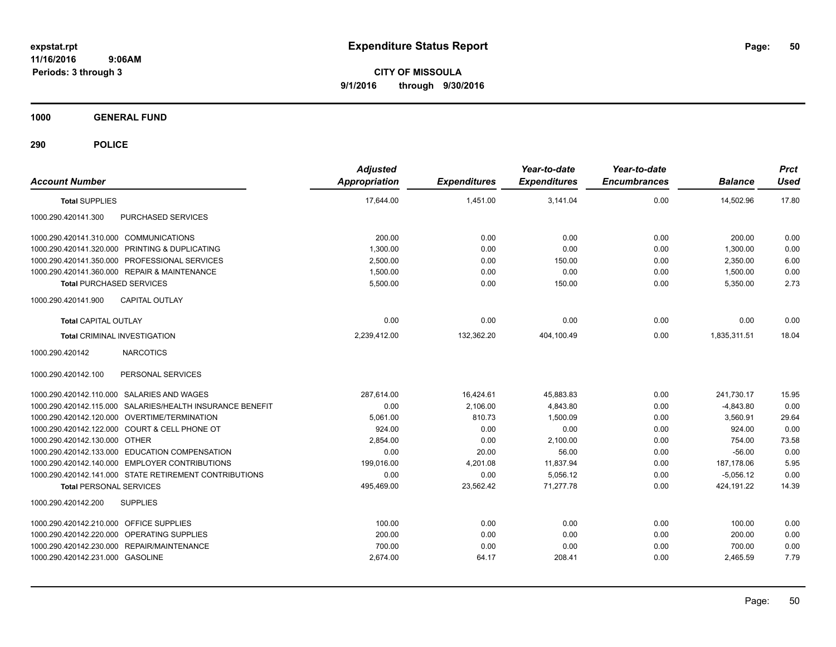**CITY OF MISSOULA 9/1/2016 through 9/30/2016**

**1000 GENERAL FUND**

| <b>Account Number</b>                                     | <b>Adjusted</b><br>Appropriation | <b>Expenditures</b> | Year-to-date<br><b>Expenditures</b> | Year-to-date<br><b>Encumbrances</b> | <b>Balance</b> | <b>Prct</b><br>Used |
|-----------------------------------------------------------|----------------------------------|---------------------|-------------------------------------|-------------------------------------|----------------|---------------------|
| <b>Total SUPPLIES</b>                                     | 17,644.00                        | 1,451.00            | 3,141.04                            | 0.00                                | 14,502.96      | 17.80               |
| 1000.290.420141.300<br>PURCHASED SERVICES                 |                                  |                     |                                     |                                     |                |                     |
| 1000.290.420141.310.000 COMMUNICATIONS                    | 200.00                           | 0.00                | 0.00                                | 0.00                                | 200.00         | 0.00                |
| 1000.290.420141.320.000 PRINTING & DUPLICATING            | 1,300.00                         | 0.00                | 0.00                                | 0.00                                | 1,300.00       | 0.00                |
| 1000.290.420141.350.000 PROFESSIONAL SERVICES             | 2,500.00                         | 0.00                | 150.00                              | 0.00                                | 2,350.00       | 6.00                |
| 1000.290.420141.360.000 REPAIR & MAINTENANCE              | 1,500.00                         | 0.00                | 0.00                                | 0.00                                | 1,500.00       | 0.00                |
| <b>Total PURCHASED SERVICES</b>                           | 5,500.00                         | 0.00                | 150.00                              | 0.00                                | 5,350.00       | 2.73                |
| <b>CAPITAL OUTLAY</b><br>1000.290.420141.900              |                                  |                     |                                     |                                     |                |                     |
| <b>Total CAPITAL OUTLAY</b>                               | 0.00                             | 0.00                | 0.00                                | 0.00                                | 0.00           | 0.00                |
| <b>Total CRIMINAL INVESTIGATION</b>                       | 2,239,412.00                     | 132,362.20          | 404,100.49                          | 0.00                                | 1,835,311.51   | 18.04               |
| 1000.290.420142<br><b>NARCOTICS</b>                       |                                  |                     |                                     |                                     |                |                     |
| PERSONAL SERVICES<br>1000.290.420142.100                  |                                  |                     |                                     |                                     |                |                     |
| 1000.290.420142.110.000 SALARIES AND WAGES                | 287,614.00                       | 16,424.61           | 45,883.83                           | 0.00                                | 241,730.17     | 15.95               |
| 1000.290.420142.115.000 SALARIES/HEALTH INSURANCE BENEFIT | 0.00                             | 2,106.00            | 4,843.80                            | 0.00                                | $-4,843.80$    | 0.00                |
| 1000.290.420142.120.000 OVERTIME/TERMINATION              | 5,061.00                         | 810.73              | 1.500.09                            | 0.00                                | 3,560.91       | 29.64               |
| 1000.290.420142.122.000 COURT & CELL PHONE OT             | 924.00                           | 0.00                | 0.00                                | 0.00                                | 924.00         | 0.00                |
| 1000.290.420142.130.000 OTHER                             | 2.854.00                         | 0.00                | 2,100.00                            | 0.00                                | 754.00         | 73.58               |
| 1000.290.420142.133.000 EDUCATION COMPENSATION            | 0.00                             | 20.00               | 56.00                               | 0.00                                | $-56.00$       | 0.00                |
| 1000.290.420142.140.000 EMPLOYER CONTRIBUTIONS            | 199,016.00                       | 4,201.08            | 11,837.94                           | 0.00                                | 187.178.06     | 5.95                |
| 1000.290.420142.141.000 STATE RETIREMENT CONTRIBUTIONS    | 0.00                             | 0.00                | 5,056.12                            | 0.00                                | $-5,056.12$    | 0.00                |
| <b>Total PERSONAL SERVICES</b>                            | 495,469.00                       | 23,562.42           | 71,277.78                           | 0.00                                | 424,191.22     | 14.39               |
| <b>SUPPLIES</b><br>1000.290.420142.200                    |                                  |                     |                                     |                                     |                |                     |
| 1000.290.420142.210.000 OFFICE SUPPLIES                   | 100.00                           | 0.00                | 0.00                                | 0.00                                | 100.00         | 0.00                |
| 1000.290.420142.220.000 OPERATING SUPPLIES                | 200.00                           | 0.00                | 0.00                                | 0.00                                | 200.00         | 0.00                |
| 1000.290.420142.230.000 REPAIR/MAINTENANCE                | 700.00                           | 0.00                | 0.00                                | 0.00                                | 700.00         | 0.00                |
| 1000.290.420142.231.000 GASOLINE                          | 2,674.00                         | 64.17               | 208.41                              | 0.00                                | 2,465.59       | 7.79                |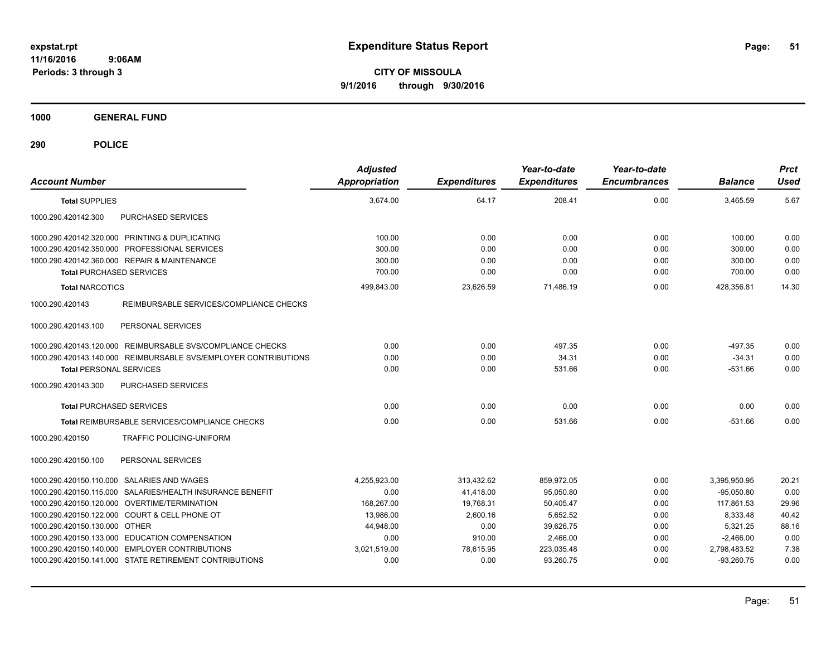**CITY OF MISSOULA 9/1/2016 through 9/30/2016**

**1000 GENERAL FUND**

| <b>Account Number</b>                                           | <b>Adjusted</b><br><b>Appropriation</b> | <b>Expenditures</b> | Year-to-date<br><b>Expenditures</b> | Year-to-date<br><b>Encumbrances</b> | <b>Balance</b> | <b>Prct</b><br>Used |
|-----------------------------------------------------------------|-----------------------------------------|---------------------|-------------------------------------|-------------------------------------|----------------|---------------------|
| <b>Total SUPPLIES</b>                                           | 3,674.00                                | 64.17               | 208.41                              | 0.00                                | 3,465.59       | 5.67                |
| PURCHASED SERVICES<br>1000.290.420142.300                       |                                         |                     |                                     |                                     |                |                     |
| 1000.290.420142.320.000 PRINTING & DUPLICATING                  | 100.00                                  | 0.00                | 0.00                                | 0.00                                | 100.00         | 0.00                |
| 1000.290.420142.350.000 PROFESSIONAL SERVICES                   | 300.00                                  | 0.00                | 0.00                                | 0.00                                | 300.00         | 0.00                |
| 1000.290.420142.360.000 REPAIR & MAINTENANCE                    | 300.00                                  | 0.00                | 0.00                                | 0.00                                | 300.00         | 0.00                |
| <b>Total PURCHASED SERVICES</b>                                 | 700.00                                  | 0.00                | 0.00                                | 0.00                                | 700.00         | 0.00                |
| <b>Total NARCOTICS</b>                                          | 499,843.00                              | 23,626.59           | 71,486.19                           | 0.00                                | 428,356.81     | 14.30               |
| REIMBURSABLE SERVICES/COMPLIANCE CHECKS<br>1000.290.420143      |                                         |                     |                                     |                                     |                |                     |
| 1000.290.420143.100<br>PERSONAL SERVICES                        |                                         |                     |                                     |                                     |                |                     |
| 1000.290.420143.120.000 REIMBURSABLE SVS/COMPLIANCE CHECKS      | 0.00                                    | 0.00                | 497.35                              | 0.00                                | $-497.35$      | 0.00                |
| 1000.290.420143.140.000 REIMBURSABLE SVS/EMPLOYER CONTRIBUTIONS | 0.00                                    | 0.00                | 34.31                               | 0.00                                | $-34.31$       | 0.00                |
| <b>Total PERSONAL SERVICES</b>                                  | 0.00                                    | 0.00                | 531.66                              | 0.00                                | $-531.66$      | 0.00                |
| PURCHASED SERVICES<br>1000.290.420143.300                       |                                         |                     |                                     |                                     |                |                     |
| <b>Total PURCHASED SERVICES</b>                                 | 0.00                                    | 0.00                | 0.00                                | 0.00                                | 0.00           | 0.00                |
| <b>Total REIMBURSABLE SERVICES/COMPLIANCE CHECKS</b>            | 0.00                                    | 0.00                | 531.66                              | 0.00                                | $-531.66$      | 0.00                |
| TRAFFIC POLICING-UNIFORM<br>1000.290.420150                     |                                         |                     |                                     |                                     |                |                     |
| 1000.290.420150.100<br>PERSONAL SERVICES                        |                                         |                     |                                     |                                     |                |                     |
| 1000.290.420150.110.000 SALARIES AND WAGES                      | 4,255,923.00                            | 313,432.62          | 859,972.05                          | 0.00                                | 3,395,950.95   | 20.21               |
| 1000.290.420150.115.000 SALARIES/HEALTH INSURANCE BENEFIT       | 0.00                                    | 41.418.00           | 95.050.80                           | 0.00                                | $-95.050.80$   | 0.00                |
| 1000.290.420150.120.000 OVERTIME/TERMINATION                    | 168,267.00                              | 19,768.31           | 50,405.47                           | 0.00                                | 117,861.53     | 29.96               |
| 1000.290.420150.122.000 COURT & CELL PHONE OT                   | 13,986.00                               | 2,600.16            | 5,652.52                            | 0.00                                | 8,333.48       | 40.42               |
| 1000.290.420150.130.000 OTHER                                   | 44.948.00                               | 0.00                | 39,626.75                           | 0.00                                | 5,321.25       | 88.16               |
| 1000.290.420150.133.000 EDUCATION COMPENSATION                  | 0.00                                    | 910.00              | 2,466.00                            | 0.00                                | $-2,466.00$    | 0.00                |
| 1000.290.420150.140.000 EMPLOYER CONTRIBUTIONS                  | 3,021,519.00                            | 78,615.95           | 223,035.48                          | 0.00                                | 2,798,483.52   | 7.38                |
| 1000.290.420150.141.000 STATE RETIREMENT CONTRIBUTIONS          | 0.00                                    | 0.00                | 93.260.75                           | 0.00                                | $-93.260.75$   | 0.00                |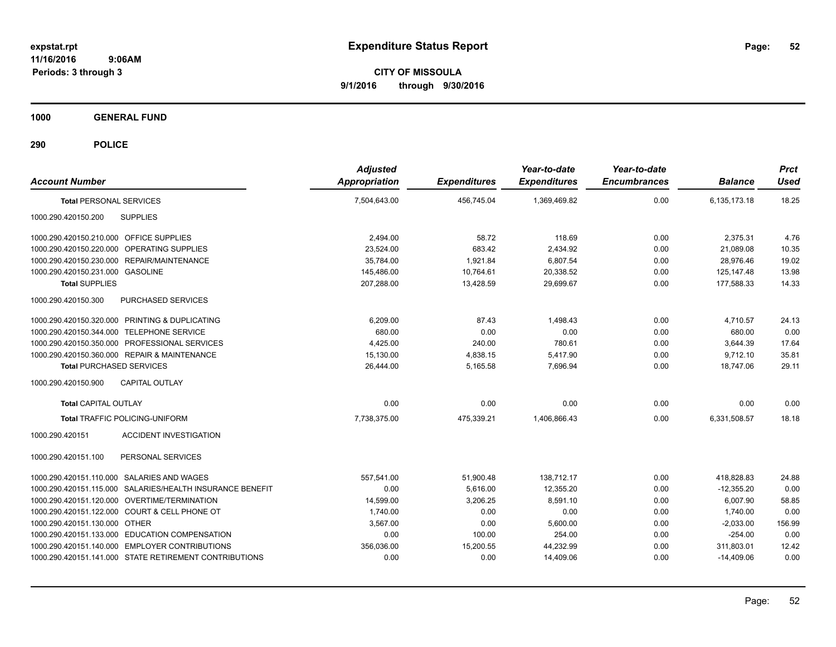**CITY OF MISSOULA 9/1/2016 through 9/30/2016**

**1000 GENERAL FUND**

| <b>Account Number</b>                                     | <b>Adjusted</b><br>Appropriation | <b>Expenditures</b> | Year-to-date<br><b>Expenditures</b> | Year-to-date<br><b>Encumbrances</b> | <b>Balance</b> | <b>Prct</b><br><b>Used</b> |
|-----------------------------------------------------------|----------------------------------|---------------------|-------------------------------------|-------------------------------------|----------------|----------------------------|
| <b>Total PERSONAL SERVICES</b>                            | 7,504,643.00                     | 456,745.04          | 1,369,469.82                        | 0.00                                | 6,135,173.18   | 18.25                      |
| 1000.290.420150.200<br><b>SUPPLIES</b>                    |                                  |                     |                                     |                                     |                |                            |
| 1000.290.420150.210.000 OFFICE SUPPLIES                   | 2,494.00                         | 58.72               | 118.69                              | 0.00                                | 2,375.31       | 4.76                       |
| 1000.290.420150.220.000 OPERATING SUPPLIES                | 23,524.00                        | 683.42              | 2,434.92                            | 0.00                                | 21,089.08      | 10.35                      |
| 1000.290.420150.230.000 REPAIR/MAINTENANCE                | 35,784.00                        | 1,921.84            | 6,807.54                            | 0.00                                | 28,976.46      | 19.02                      |
| 1000.290.420150.231.000 GASOLINE                          | 145,486.00                       | 10,764.61           | 20,338.52                           | 0.00                                | 125, 147. 48   | 13.98                      |
| <b>Total SUPPLIES</b>                                     | 207,288.00                       | 13.428.59           | 29.699.67                           | 0.00                                | 177.588.33     | 14.33                      |
| 1000.290.420150.300<br>PURCHASED SERVICES                 |                                  |                     |                                     |                                     |                |                            |
| 1000.290.420150.320.000 PRINTING & DUPLICATING            | 6,209.00                         | 87.43               | 1,498.43                            | 0.00                                | 4,710.57       | 24.13                      |
| 1000.290.420150.344.000 TELEPHONE SERVICE                 | 680.00                           | 0.00                | 0.00                                | 0.00                                | 680.00         | 0.00                       |
| 1000.290.420150.350.000 PROFESSIONAL SERVICES             | 4,425.00                         | 240.00              | 780.61                              | 0.00                                | 3,644.39       | 17.64                      |
| 1000.290.420150.360.000 REPAIR & MAINTENANCE              | 15,130.00                        | 4,838.15            | 5,417.90                            | 0.00                                | 9.712.10       | 35.81                      |
| <b>Total PURCHASED SERVICES</b>                           | 26.444.00                        | 5.165.58            | 7.696.94                            | 0.00                                | 18.747.06      | 29.11                      |
| 1000.290.420150.900<br><b>CAPITAL OUTLAY</b>              |                                  |                     |                                     |                                     |                |                            |
| <b>Total CAPITAL OUTLAY</b>                               | 0.00                             | 0.00                | 0.00                                | 0.00                                | 0.00           | 0.00                       |
| <b>Total TRAFFIC POLICING-UNIFORM</b>                     | 7.738.375.00                     | 475,339.21          | 1,406,866.43                        | 0.00                                | 6,331,508.57   | 18.18                      |
| <b>ACCIDENT INVESTIGATION</b><br>1000.290.420151          |                                  |                     |                                     |                                     |                |                            |
| 1000.290.420151.100<br>PERSONAL SERVICES                  |                                  |                     |                                     |                                     |                |                            |
| 1000.290.420151.110.000 SALARIES AND WAGES                | 557,541.00                       | 51,900.48           | 138.712.17                          | 0.00                                | 418,828.83     | 24.88                      |
| 1000.290.420151.115.000 SALARIES/HEALTH INSURANCE BENEFIT | 0.00                             | 5.616.00            | 12.355.20                           | 0.00                                | $-12.355.20$   | 0.00                       |
| 1000.290.420151.120.000 OVERTIME/TERMINATION              | 14,599.00                        | 3,206.25            | 8,591.10                            | 0.00                                | 6,007.90       | 58.85                      |
| 1000.290.420151.122.000 COURT & CELL PHONE OT             | 1,740.00                         | 0.00                | 0.00                                | 0.00                                | 1,740.00       | 0.00                       |
| 1000.290.420151.130.000 OTHER                             | 3,567.00                         | 0.00                | 5,600.00                            | 0.00                                | $-2,033.00$    | 156.99                     |
| 1000.290.420151.133.000 EDUCATION COMPENSATION            | 0.00                             | 100.00              | 254.00                              | 0.00                                | $-254.00$      | 0.00                       |
| 1000.290.420151.140.000 EMPLOYER CONTRIBUTIONS            | 356,036.00                       | 15,200.55           | 44,232.99                           | 0.00                                | 311,803.01     | 12.42                      |
| 1000.290.420151.141.000 STATE RETIREMENT CONTRIBUTIONS    | 0.00                             | 0.00                | 14,409.06                           | 0.00                                | $-14,409.06$   | 0.00                       |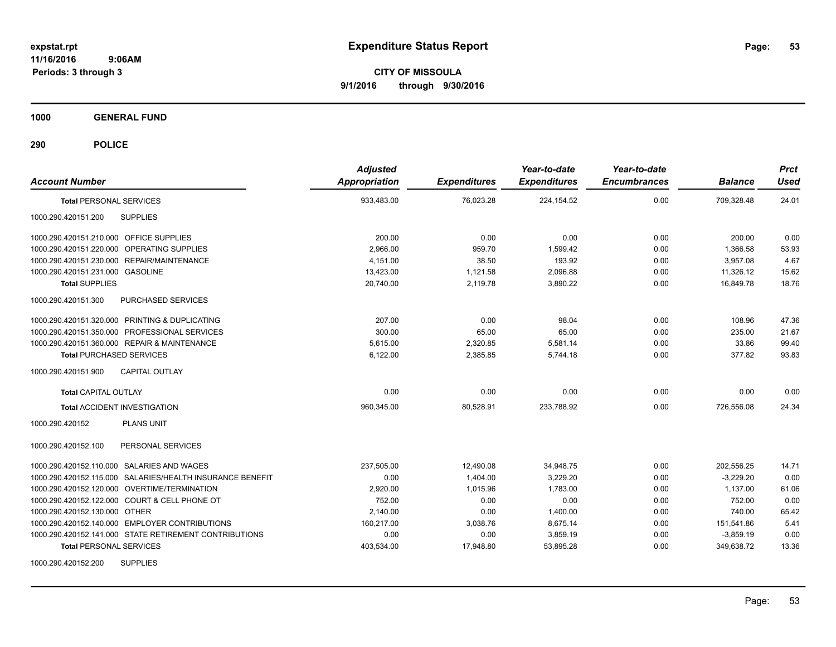**CITY OF MISSOULA 9/1/2016 through 9/30/2016**

**1000 GENERAL FUND**

| <b>Account Number</b>                                     | <b>Adjusted</b><br>Appropriation | <b>Expenditures</b> | Year-to-date<br><b>Expenditures</b> | Year-to-date<br><b>Encumbrances</b> | <b>Balance</b> | <b>Prct</b><br><b>Used</b> |
|-----------------------------------------------------------|----------------------------------|---------------------|-------------------------------------|-------------------------------------|----------------|----------------------------|
| <b>Total PERSONAL SERVICES</b>                            | 933,483.00                       | 76,023.28           | 224, 154.52                         | 0.00                                | 709,328.48     | 24.01                      |
| 1000.290.420151.200<br><b>SUPPLIES</b>                    |                                  |                     |                                     |                                     |                |                            |
| 1000.290.420151.210.000 OFFICE SUPPLIES                   | 200.00                           | 0.00                | 0.00                                | 0.00                                | 200.00         | 0.00                       |
| 1000.290.420151.220.000 OPERATING SUPPLIES                | 2,966.00                         | 959.70              | 1,599.42                            | 0.00                                | 1,366.58       | 53.93                      |
| 1000.290.420151.230.000 REPAIR/MAINTENANCE                | 4,151.00                         | 38.50               | 193.92                              | 0.00                                | 3,957.08       | 4.67                       |
| 1000.290.420151.231.000 GASOLINE                          | 13,423.00                        | 1,121.58            | 2,096.88                            | 0.00                                | 11,326.12      | 15.62                      |
| <b>Total SUPPLIES</b>                                     | 20,740.00                        | 2,119.78            | 3,890.22                            | 0.00                                | 16,849.78      | 18.76                      |
| 1000.290.420151.300<br>PURCHASED SERVICES                 |                                  |                     |                                     |                                     |                |                            |
| 1000.290.420151.320.000 PRINTING & DUPLICATING            | 207.00                           | 0.00                | 98.04                               | 0.00                                | 108.96         | 47.36                      |
| 1000.290.420151.350.000 PROFESSIONAL SERVICES             | 300.00                           | 65.00               | 65.00                               | 0.00                                | 235.00         | 21.67                      |
| 1000.290.420151.360.000 REPAIR & MAINTENANCE              | 5.615.00                         | 2,320.85            | 5,581.14                            | 0.00                                | 33.86          | 99.40                      |
| <b>Total PURCHASED SERVICES</b>                           | 6,122.00                         | 2,385.85            | 5.744.18                            | 0.00                                | 377.82         | 93.83                      |
| 1000.290.420151.900<br><b>CAPITAL OUTLAY</b>              |                                  |                     |                                     |                                     |                |                            |
| <b>Total CAPITAL OUTLAY</b>                               | 0.00                             | 0.00                | 0.00                                | 0.00                                | 0.00           | 0.00                       |
| <b>Total ACCIDENT INVESTIGATION</b>                       | 960,345.00                       | 80,528.91           | 233,788.92                          | 0.00                                | 726,556.08     | 24.34                      |
| <b>PLANS UNIT</b><br>1000.290.420152                      |                                  |                     |                                     |                                     |                |                            |
| 1000.290.420152.100<br>PERSONAL SERVICES                  |                                  |                     |                                     |                                     |                |                            |
| 1000.290.420152.110.000 SALARIES AND WAGES                | 237,505.00                       | 12,490.08           | 34,948.75                           | 0.00                                | 202,556.25     | 14.71                      |
| 1000.290.420152.115.000 SALARIES/HEALTH INSURANCE BENEFIT | 0.00                             | 1,404.00            | 3,229.20                            | 0.00                                | $-3,229.20$    | 0.00                       |
| 1000.290.420152.120.000 OVERTIME/TERMINATION              | 2,920.00                         | 1,015.96            | 1,783.00                            | 0.00                                | 1,137.00       | 61.06                      |
| 1000.290.420152.122.000 COURT & CELL PHONE OT             | 752.00                           | 0.00                | 0.00                                | 0.00                                | 752.00         | 0.00                       |
| 1000.290.420152.130.000 OTHER                             | 2,140.00                         | 0.00                | 1,400.00                            | 0.00                                | 740.00         | 65.42                      |
| 1000.290.420152.140.000 EMPLOYER CONTRIBUTIONS            | 160,217.00                       | 3,038.76            | 8,675.14                            | 0.00                                | 151,541.86     | 5.41                       |
| 1000.290.420152.141.000 STATE RETIREMENT CONTRIBUTIONS    | 0.00                             | 0.00                | 3,859.19                            | 0.00                                | $-3,859.19$    | 0.00                       |
| <b>Total PERSONAL SERVICES</b>                            | 403,534.00                       | 17,948.80           | 53,895.28                           | 0.00                                | 349,638.72     | 13.36                      |
| <b>SUPPLIES</b><br>1000.290.420152.200                    |                                  |                     |                                     |                                     |                |                            |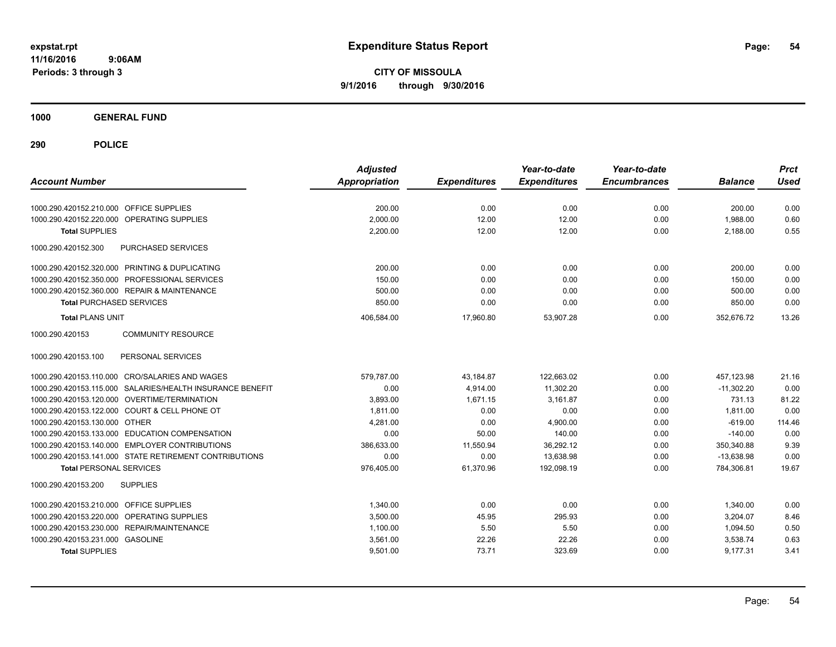**CITY OF MISSOULA 9/1/2016 through 9/30/2016**

**1000 GENERAL FUND**

| <b>Account Number</b>                                     | <b>Adjusted</b><br><b>Appropriation</b> | <b>Expenditures</b> | Year-to-date<br><b>Expenditures</b> | Year-to-date<br><b>Encumbrances</b> | <b>Balance</b> | <b>Prct</b><br>Used |
|-----------------------------------------------------------|-----------------------------------------|---------------------|-------------------------------------|-------------------------------------|----------------|---------------------|
| 1000.290.420152.210.000 OFFICE SUPPLIES                   | 200.00                                  | 0.00                | 0.00                                | 0.00                                | 200.00         | 0.00                |
| OPERATING SUPPLIES<br>1000.290.420152.220.000             | 2,000.00                                | 12.00               | 12.00                               | 0.00                                | 1,988.00       | 0.60                |
| <b>Total SUPPLIES</b>                                     | 2,200.00                                | 12.00               | 12.00                               | 0.00                                | 2,188.00       | 0.55                |
| 1000.290.420152.300<br><b>PURCHASED SERVICES</b>          |                                         |                     |                                     |                                     |                |                     |
| 1000.290.420152.320.000 PRINTING & DUPLICATING            | 200.00                                  | 0.00                | 0.00                                | 0.00                                | 200.00         | 0.00                |
| 1000.290.420152.350.000 PROFESSIONAL SERVICES             | 150.00                                  | 0.00                | 0.00                                | 0.00                                | 150.00         | 0.00                |
| 1000.290.420152.360.000 REPAIR & MAINTENANCE              | 500.00                                  | 0.00                | 0.00                                | 0.00                                | 500.00         | 0.00                |
| <b>Total PURCHASED SERVICES</b>                           | 850.00                                  | 0.00                | 0.00                                | 0.00                                | 850.00         | 0.00                |
| <b>Total PLANS UNIT</b>                                   | 406,584.00                              | 17,960.80           | 53,907.28                           | 0.00                                | 352,676.72     | 13.26               |
| 1000.290.420153<br><b>COMMUNITY RESOURCE</b>              |                                         |                     |                                     |                                     |                |                     |
| PERSONAL SERVICES<br>1000.290.420153.100                  |                                         |                     |                                     |                                     |                |                     |
| 1000.290.420153.110.000 CRO/SALARIES AND WAGES            | 579,787.00                              | 43,184.87           | 122,663.02                          | 0.00                                | 457,123.98     | 21.16               |
| 1000.290.420153.115.000 SALARIES/HEALTH INSURANCE BENEFIT | 0.00                                    | 4.914.00            | 11.302.20                           | 0.00                                | $-11,302.20$   | 0.00                |
| 1000.290.420153.120.000 OVERTIME/TERMINATION              | 3,893.00                                | 1,671.15            | 3,161.87                            | 0.00                                | 731.13         | 81.22               |
| 1000.290.420153.122.000 COURT & CELL PHONE OT             | 1,811.00                                | 0.00                | 0.00                                | 0.00                                | 1,811.00       | 0.00                |
| 1000.290.420153.130.000 OTHER                             | 4,281.00                                | 0.00                | 4,900.00                            | 0.00                                | $-619.00$      | 114.46              |
| 1000.290.420153.133.000 EDUCATION COMPENSATION            | 0.00                                    | 50.00               | 140.00                              | 0.00                                | $-140.00$      | 0.00                |
| 1000.290.420153.140.000 EMPLOYER CONTRIBUTIONS            | 386,633.00                              | 11,550.94           | 36,292.12                           | 0.00                                | 350,340.88     | 9.39                |
| 1000.290.420153.141.000 STATE RETIREMENT CONTRIBUTIONS    | 0.00                                    | 0.00                | 13.638.98                           | 0.00                                | $-13.638.98$   | 0.00                |
| <b>Total PERSONAL SERVICES</b>                            | 976,405.00                              | 61,370.96           | 192,098.19                          | 0.00                                | 784,306.81     | 19.67               |
| 1000.290.420153.200<br><b>SUPPLIES</b>                    |                                         |                     |                                     |                                     |                |                     |
| 1000.290.420153.210.000<br><b>OFFICE SUPPLIES</b>         | 1,340.00                                | 0.00                | 0.00                                | 0.00                                | 1,340.00       | 0.00                |
| OPERATING SUPPLIES<br>1000.290.420153.220.000             | 3,500.00                                | 45.95               | 295.93                              | 0.00                                | 3,204.07       | 8.46                |
| 1000.290.420153.230.000 REPAIR/MAINTENANCE                | 1,100.00                                | 5.50                | 5.50                                | 0.00                                | 1,094.50       | 0.50                |
| 1000.290.420153.231.000 GASOLINE                          | 3,561.00                                | 22.26               | 22.26                               | 0.00                                | 3,538.74       | 0.63                |
| <b>Total SUPPLIES</b>                                     | 9,501.00                                | 73.71               | 323.69                              | 0.00                                | 9,177.31       | 3.41                |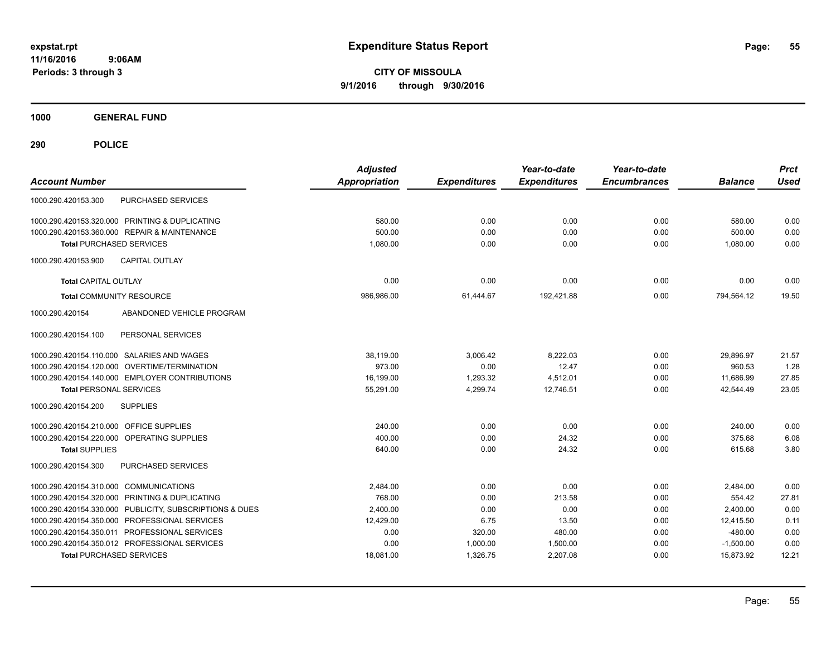**CITY OF MISSOULA 9/1/2016 through 9/30/2016**

**1000 GENERAL FUND**

| <b>Account Number</b>                                   | <b>Adjusted</b><br><b>Appropriation</b> | <b>Expenditures</b> | Year-to-date<br><b>Expenditures</b> | Year-to-date<br><b>Encumbrances</b> | <b>Balance</b> | <b>Prct</b><br><b>Used</b> |
|---------------------------------------------------------|-----------------------------------------|---------------------|-------------------------------------|-------------------------------------|----------------|----------------------------|
| <b>PURCHASED SERVICES</b><br>1000.290.420153.300        |                                         |                     |                                     |                                     |                |                            |
| 1000.290.420153.320.000 PRINTING & DUPLICATING          | 580.00                                  | 0.00                | 0.00                                | 0.00                                | 580.00         | 0.00                       |
| 1000.290.420153.360.000 REPAIR & MAINTENANCE            | 500.00                                  | 0.00                | 0.00                                | 0.00                                | 500.00         | 0.00                       |
| <b>Total PURCHASED SERVICES</b>                         | 1,080.00                                | 0.00                | 0.00                                | 0.00                                | 1,080.00       | 0.00                       |
| 1000.290.420153.900<br><b>CAPITAL OUTLAY</b>            |                                         |                     |                                     |                                     |                |                            |
| <b>Total CAPITAL OUTLAY</b>                             | 0.00                                    | 0.00                | 0.00                                | 0.00                                | 0.00           | 0.00                       |
| <b>Total COMMUNITY RESOURCE</b>                         | 986,986.00                              | 61,444.67           | 192,421.88                          | 0.00                                | 794,564.12     | 19.50                      |
| ABANDONED VEHICLE PROGRAM<br>1000.290.420154            |                                         |                     |                                     |                                     |                |                            |
| 1000.290.420154.100<br>PERSONAL SERVICES                |                                         |                     |                                     |                                     |                |                            |
| 1000.290.420154.110.000 SALARIES AND WAGES              | 38,119.00                               | 3,006.42            | 8,222.03                            | 0.00                                | 29,896.97      | 21.57                      |
| OVERTIME/TERMINATION<br>1000.290.420154.120.000         | 973.00                                  | 0.00                | 12.47                               | 0.00                                | 960.53         | 1.28                       |
| 1000.290.420154.140.000 EMPLOYER CONTRIBUTIONS          | 16,199.00                               | 1,293.32            | 4,512.01                            | 0.00                                | 11,686.99      | 27.85                      |
| <b>Total PERSONAL SERVICES</b>                          | 55,291.00                               | 4,299.74            | 12,746.51                           | 0.00                                | 42,544.49      | 23.05                      |
| <b>SUPPLIES</b><br>1000.290.420154.200                  |                                         |                     |                                     |                                     |                |                            |
| 1000.290.420154.210.000 OFFICE SUPPLIES                 | 240.00                                  | 0.00                | 0.00                                | 0.00                                | 240.00         | 0.00                       |
| 1000.290.420154.220.000 OPERATING SUPPLIES              | 400.00                                  | 0.00                | 24.32                               | 0.00                                | 375.68         | 6.08                       |
| <b>Total SUPPLIES</b>                                   | 640.00                                  | 0.00                | 24.32                               | 0.00                                | 615.68         | 3.80                       |
| PURCHASED SERVICES<br>1000.290.420154.300               |                                         |                     |                                     |                                     |                |                            |
| 1000.290.420154.310.000 COMMUNICATIONS                  | 2,484.00                                | 0.00                | 0.00                                | 0.00                                | 2,484.00       | 0.00                       |
| 1000.290.420154.320.000 PRINTING & DUPLICATING          | 768.00                                  | 0.00                | 213.58                              | 0.00                                | 554.42         | 27.81                      |
| 1000.290.420154.330.000 PUBLICITY, SUBSCRIPTIONS & DUES | 2,400.00                                | 0.00                | 0.00                                | 0.00                                | 2,400.00       | 0.00                       |
| 1000.290.420154.350.000 PROFESSIONAL SERVICES           | 12,429.00                               | 6.75                | 13.50                               | 0.00                                | 12,415.50      | 0.11                       |
| 1000.290.420154.350.011 PROFESSIONAL SERVICES           | 0.00                                    | 320.00              | 480.00                              | 0.00                                | $-480.00$      | 0.00                       |
| 1000.290.420154.350.012 PROFESSIONAL SERVICES           | 0.00                                    | 1,000.00            | 1,500.00                            | 0.00                                | $-1,500.00$    | 0.00                       |
| <b>Total PURCHASED SERVICES</b>                         | 18,081.00                               | 1,326.75            | 2,207.08                            | 0.00                                | 15,873.92      | 12.21                      |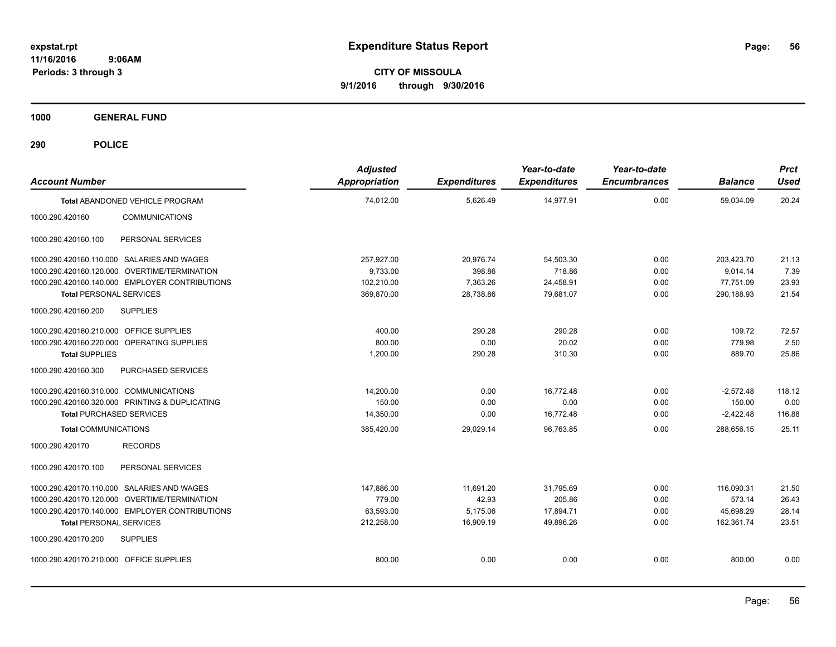**CITY OF MISSOULA 9/1/2016 through 9/30/2016**

**1000 GENERAL FUND**

| <b>Account Number</b>                          |                                                | <b>Adjusted</b><br>Appropriation | <b>Expenditures</b> | Year-to-date<br><b>Expenditures</b> | Year-to-date<br><b>Encumbrances</b> | <b>Balance</b> | <b>Prct</b><br><b>Used</b> |
|------------------------------------------------|------------------------------------------------|----------------------------------|---------------------|-------------------------------------|-------------------------------------|----------------|----------------------------|
|                                                | Total ABANDONED VEHICLE PROGRAM                | 74,012.00                        | 5,626.49            | 14,977.91                           | 0.00                                | 59,034.09      | 20.24                      |
| 1000.290.420160                                | <b>COMMUNICATIONS</b>                          |                                  |                     |                                     |                                     |                |                            |
| 1000.290.420160.100                            | PERSONAL SERVICES                              |                                  |                     |                                     |                                     |                |                            |
| 1000.290.420160.110.000 SALARIES AND WAGES     |                                                | 257,927.00                       | 20,976.74           | 54,503.30                           | 0.00                                | 203,423.70     | 21.13                      |
| 1000.290.420160.120.000 OVERTIME/TERMINATION   |                                                | 9,733.00                         | 398.86              | 718.86                              | 0.00                                | 9,014.14       | 7.39                       |
|                                                | 1000.290.420160.140.000 EMPLOYER CONTRIBUTIONS | 102,210.00                       | 7,363.26            | 24,458.91                           | 0.00                                | 77,751.09      | 23.93                      |
| <b>Total PERSONAL SERVICES</b>                 |                                                | 369,870.00                       | 28,738.86           | 79,681.07                           | 0.00                                | 290,188.93     | 21.54                      |
| 1000.290.420160.200                            | <b>SUPPLIES</b>                                |                                  |                     |                                     |                                     |                |                            |
| 1000.290.420160.210.000 OFFICE SUPPLIES        |                                                | 400.00                           | 290.28              | 290.28                              | 0.00                                | 109.72         | 72.57                      |
| 1000.290.420160.220.000 OPERATING SUPPLIES     |                                                | 800.00                           | 0.00                | 20.02                               | 0.00                                | 779.98         | 2.50                       |
| <b>Total SUPPLIES</b>                          |                                                | 1,200.00                         | 290.28              | 310.30                              | 0.00                                | 889.70         | 25.86                      |
| 1000.290.420160.300                            | PURCHASED SERVICES                             |                                  |                     |                                     |                                     |                |                            |
| 1000.290.420160.310.000 COMMUNICATIONS         |                                                | 14,200.00                        | 0.00                | 16,772.48                           | 0.00                                | $-2,572.48$    | 118.12                     |
| 1000.290.420160.320.000 PRINTING & DUPLICATING |                                                | 150.00                           | 0.00                | 0.00                                | 0.00                                | 150.00         | 0.00                       |
| <b>Total PURCHASED SERVICES</b>                |                                                | 14,350.00                        | 0.00                | 16,772.48                           | 0.00                                | $-2,422.48$    | 116.88                     |
| <b>Total COMMUNICATIONS</b>                    |                                                | 385,420.00                       | 29,029.14           | 96,763.85                           | 0.00                                | 288,656.15     | 25.11                      |
| 1000.290.420170                                | <b>RECORDS</b>                                 |                                  |                     |                                     |                                     |                |                            |
| 1000.290.420170.100                            | PERSONAL SERVICES                              |                                  |                     |                                     |                                     |                |                            |
| 1000.290.420170.110.000 SALARIES AND WAGES     |                                                | 147,886.00                       | 11,691.20           | 31,795.69                           | 0.00                                | 116.090.31     | 21.50                      |
| 1000.290.420170.120.000 OVERTIME/TERMINATION   |                                                | 779.00                           | 42.93               | 205.86                              | 0.00                                | 573.14         | 26.43                      |
|                                                | 1000.290.420170.140.000 EMPLOYER CONTRIBUTIONS | 63,593.00                        | 5,175.06            | 17.894.71                           | 0.00                                | 45.698.29      | 28.14                      |
| <b>Total PERSONAL SERVICES</b>                 |                                                | 212,258.00                       | 16,909.19           | 49,896.26                           | 0.00                                | 162,361.74     | 23.51                      |
| 1000.290.420170.200                            | <b>SUPPLIES</b>                                |                                  |                     |                                     |                                     |                |                            |
| 1000.290.420170.210.000 OFFICE SUPPLIES        |                                                | 800.00                           | 0.00                | 0.00                                | 0.00                                | 800.00         | 0.00                       |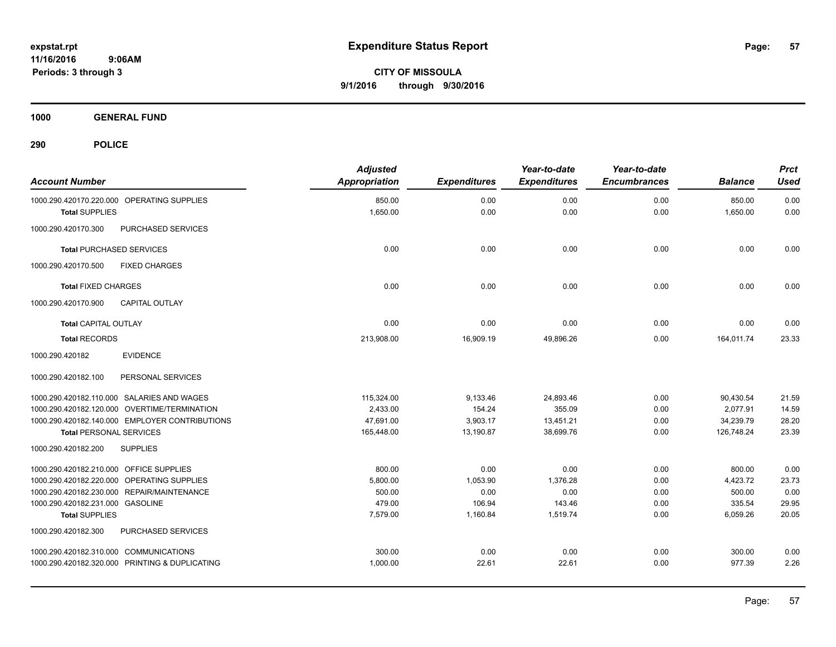**CITY OF MISSOULA 9/1/2016 through 9/30/2016**

**1000 GENERAL FUND**

| <b>Account Number</b>                                               | <b>Adjusted</b><br><b>Appropriation</b> | <b>Expenditures</b> | Year-to-date<br><b>Expenditures</b> | Year-to-date<br><b>Encumbrances</b> | <b>Balance</b>     | <b>Prct</b><br><b>Used</b> |
|---------------------------------------------------------------------|-----------------------------------------|---------------------|-------------------------------------|-------------------------------------|--------------------|----------------------------|
| 1000.290.420170.220.000 OPERATING SUPPLIES<br><b>Total SUPPLIES</b> | 850.00<br>1,650.00                      | 0.00<br>0.00        | 0.00<br>0.00                        | 0.00<br>0.00                        | 850.00<br>1,650.00 | 0.00<br>0.00               |
| 1000.290.420170.300<br>PURCHASED SERVICES                           |                                         |                     |                                     |                                     |                    |                            |
| <b>Total PURCHASED SERVICES</b>                                     | 0.00                                    | 0.00                | 0.00                                | 0.00                                | 0.00               | 0.00                       |
| 1000.290.420170.500<br><b>FIXED CHARGES</b>                         |                                         |                     |                                     |                                     |                    |                            |
| <b>Total FIXED CHARGES</b>                                          | 0.00                                    | 0.00                | 0.00                                | 0.00                                | 0.00               | 0.00                       |
| 1000.290.420170.900<br><b>CAPITAL OUTLAY</b>                        |                                         |                     |                                     |                                     |                    |                            |
| <b>Total CAPITAL OUTLAY</b>                                         | 0.00                                    | 0.00                | 0.00                                | 0.00                                | 0.00               | 0.00                       |
| <b>Total RECORDS</b>                                                | 213,908.00                              | 16,909.19           | 49,896.26                           | 0.00                                | 164,011.74         | 23.33                      |
| <b>EVIDENCE</b><br>1000.290.420182                                  |                                         |                     |                                     |                                     |                    |                            |
| 1000.290.420182.100<br>PERSONAL SERVICES                            |                                         |                     |                                     |                                     |                    |                            |
| 1000.290.420182.110.000 SALARIES AND WAGES                          | 115,324.00                              | 9,133.46            | 24,893.46                           | 0.00                                | 90,430.54          | 21.59                      |
| 1000.290.420182.120.000 OVERTIME/TERMINATION                        | 2,433.00                                | 154.24              | 355.09                              | 0.00                                | 2,077.91           | 14.59                      |
| 1000.290.420182.140.000 EMPLOYER CONTRIBUTIONS                      | 47,691.00                               | 3,903.17            | 13,451.21                           | 0.00                                | 34,239.79          | 28.20                      |
| <b>Total PERSONAL SERVICES</b>                                      | 165,448.00                              | 13,190.87           | 38,699.76                           | 0.00                                | 126,748.24         | 23.39                      |
| <b>SUPPLIES</b><br>1000.290.420182.200                              |                                         |                     |                                     |                                     |                    |                            |
| 1000.290.420182.210.000 OFFICE SUPPLIES                             | 800.00                                  | 0.00                | 0.00                                | 0.00                                | 800.00             | 0.00                       |
| 1000.290.420182.220.000 OPERATING SUPPLIES                          | 5,800.00                                | 1,053.90            | 1,376.28                            | 0.00                                | 4,423.72           | 23.73                      |
| 1000.290.420182.230.000 REPAIR/MAINTENANCE                          | 500.00                                  | 0.00                | 0.00                                | 0.00                                | 500.00             | 0.00                       |
| 1000.290.420182.231.000 GASOLINE                                    | 479.00                                  | 106.94              | 143.46                              | 0.00                                | 335.54             | 29.95                      |
| <b>Total SUPPLIES</b>                                               | 7,579.00                                | 1,160.84            | 1,519.74                            | 0.00                                | 6,059.26           | 20.05                      |
| 1000.290.420182.300<br>PURCHASED SERVICES                           |                                         |                     |                                     |                                     |                    |                            |
| 1000.290.420182.310.000 COMMUNICATIONS                              | 300.00                                  | 0.00                | 0.00                                | 0.00                                | 300.00             | 0.00                       |
| 1000.290.420182.320.000 PRINTING & DUPLICATING                      | 1,000.00                                | 22.61               | 22.61                               | 0.00                                | 977.39             | 2.26                       |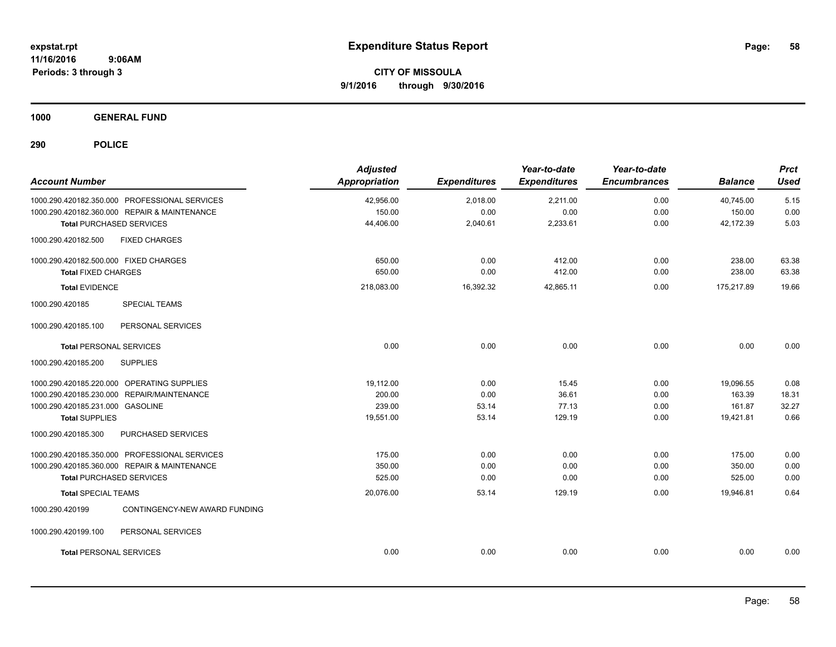**CITY OF MISSOULA 9/1/2016 through 9/30/2016**

**1000 GENERAL FUND**

| <b>Account Number</b>                            | <b>Adjusted</b><br>Appropriation | <b>Expenditures</b> | Year-to-date<br><b>Expenditures</b> | Year-to-date<br><b>Encumbrances</b> | <b>Balance</b> | <b>Prct</b><br><b>Used</b> |
|--------------------------------------------------|----------------------------------|---------------------|-------------------------------------|-------------------------------------|----------------|----------------------------|
| 1000.290.420182.350.000 PROFESSIONAL SERVICES    | 42,956.00                        | 2,018.00            | 2,211.00                            | 0.00                                | 40,745.00      | 5.15                       |
| 1000.290.420182.360.000 REPAIR & MAINTENANCE     | 150.00                           | 0.00                | 0.00                                | 0.00                                | 150.00         | 0.00                       |
| <b>Total PURCHASED SERVICES</b>                  | 44,406.00                        | 2,040.61            | 2,233.61                            | 0.00                                | 42,172.39      | 5.03                       |
| <b>FIXED CHARGES</b><br>1000.290.420182.500      |                                  |                     |                                     |                                     |                |                            |
| 1000.290.420182.500.000 FIXED CHARGES            | 650.00                           | 0.00                | 412.00                              | 0.00                                | 238.00         | 63.38                      |
| <b>Total FIXED CHARGES</b>                       | 650.00                           | 0.00                | 412.00                              | 0.00                                | 238.00         | 63.38                      |
| <b>Total EVIDENCE</b>                            | 218,083.00                       | 16,392.32           | 42,865.11                           | 0.00                                | 175,217.89     | 19.66                      |
| 1000.290.420185<br><b>SPECIAL TEAMS</b>          |                                  |                     |                                     |                                     |                |                            |
| 1000.290.420185.100<br>PERSONAL SERVICES         |                                  |                     |                                     |                                     |                |                            |
| <b>Total PERSONAL SERVICES</b>                   | 0.00                             | 0.00                | 0.00                                | 0.00                                | 0.00           | 0.00                       |
| 1000.290.420185.200<br><b>SUPPLIES</b>           |                                  |                     |                                     |                                     |                |                            |
| 1000.290.420185.220.000 OPERATING SUPPLIES       | 19,112.00                        | 0.00                | 15.45                               | 0.00                                | 19,096.55      | 0.08                       |
| 1000.290.420185.230.000 REPAIR/MAINTENANCE       | 200.00                           | 0.00                | 36.61                               | 0.00                                | 163.39         | 18.31                      |
| 1000.290.420185.231.000 GASOLINE                 | 239.00                           | 53.14               | 77.13                               | 0.00                                | 161.87         | 32.27                      |
| <b>Total SUPPLIES</b>                            | 19,551.00                        | 53.14               | 129.19                              | 0.00                                | 19,421.81      | 0.66                       |
| PURCHASED SERVICES<br>1000.290.420185.300        |                                  |                     |                                     |                                     |                |                            |
| 1000.290.420185.350.000 PROFESSIONAL SERVICES    | 175.00                           | 0.00                | 0.00                                | 0.00                                | 175.00         | 0.00                       |
| 1000.290.420185.360.000 REPAIR & MAINTENANCE     | 350.00                           | 0.00                | 0.00                                | 0.00                                | 350.00         | 0.00                       |
| <b>Total PURCHASED SERVICES</b>                  | 525.00                           | 0.00                | 0.00                                | 0.00                                | 525.00         | 0.00                       |
| <b>Total SPECIAL TEAMS</b>                       | 20,076.00                        | 53.14               | 129.19                              | 0.00                                | 19,946.81      | 0.64                       |
| 1000.290.420199<br>CONTINGENCY-NEW AWARD FUNDING |                                  |                     |                                     |                                     |                |                            |
| PERSONAL SERVICES<br>1000.290.420199.100         |                                  |                     |                                     |                                     |                |                            |
| <b>Total PERSONAL SERVICES</b>                   | 0.00                             | 0.00                | 0.00                                | 0.00                                | 0.00           | 0.00                       |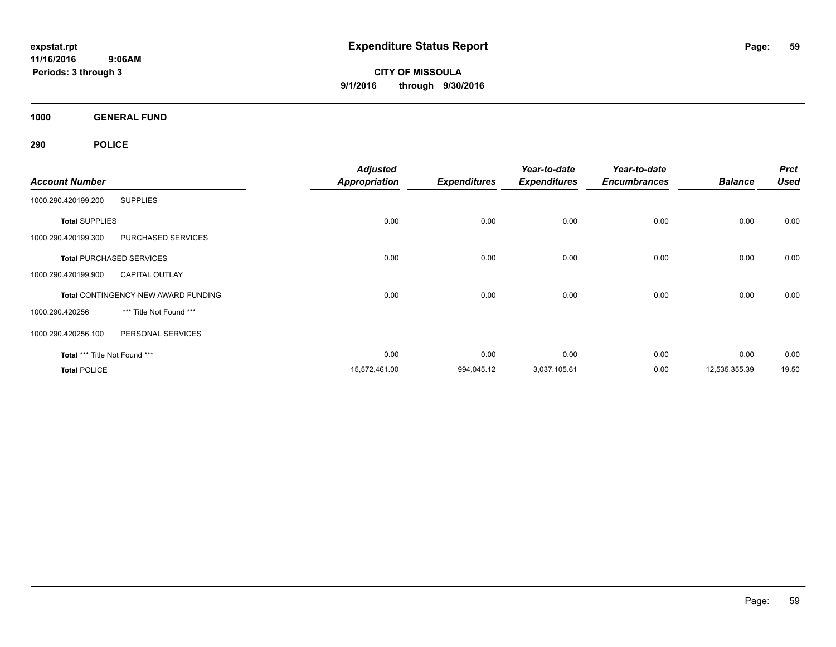**CITY OF MISSOULA 9/1/2016 through 9/30/2016**

**1000 GENERAL FUND**

|                               |                                            | <b>Adjusted</b>      |                     | Year-to-date        | Year-to-date        |                | <b>Prct</b> |
|-------------------------------|--------------------------------------------|----------------------|---------------------|---------------------|---------------------|----------------|-------------|
| <b>Account Number</b>         |                                            | <b>Appropriation</b> | <b>Expenditures</b> | <b>Expenditures</b> | <b>Encumbrances</b> | <b>Balance</b> | <b>Used</b> |
| 1000.290.420199.200           | <b>SUPPLIES</b>                            |                      |                     |                     |                     |                |             |
| <b>Total SUPPLIES</b>         |                                            | 0.00                 | 0.00                | 0.00                | 0.00                | 0.00           | 0.00        |
| 1000.290.420199.300           | PURCHASED SERVICES                         |                      |                     |                     |                     |                |             |
|                               | <b>Total PURCHASED SERVICES</b>            | 0.00                 | 0.00                | 0.00                | 0.00                | 0.00           | 0.00        |
| 1000.290.420199.900           | <b>CAPITAL OUTLAY</b>                      |                      |                     |                     |                     |                |             |
|                               | <b>Total CONTINGENCY-NEW AWARD FUNDING</b> | 0.00                 | 0.00                | 0.00                | 0.00                | 0.00           | 0.00        |
| 1000.290.420256               | *** Title Not Found ***                    |                      |                     |                     |                     |                |             |
| 1000.290.420256.100           | PERSONAL SERVICES                          |                      |                     |                     |                     |                |             |
| Total *** Title Not Found *** |                                            | 0.00                 | 0.00                | 0.00                | 0.00                | 0.00           | 0.00        |
| <b>Total POLICE</b>           |                                            | 15,572,461.00        | 994,045.12          | 3,037,105.61        | 0.00                | 12,535,355.39  | 19.50       |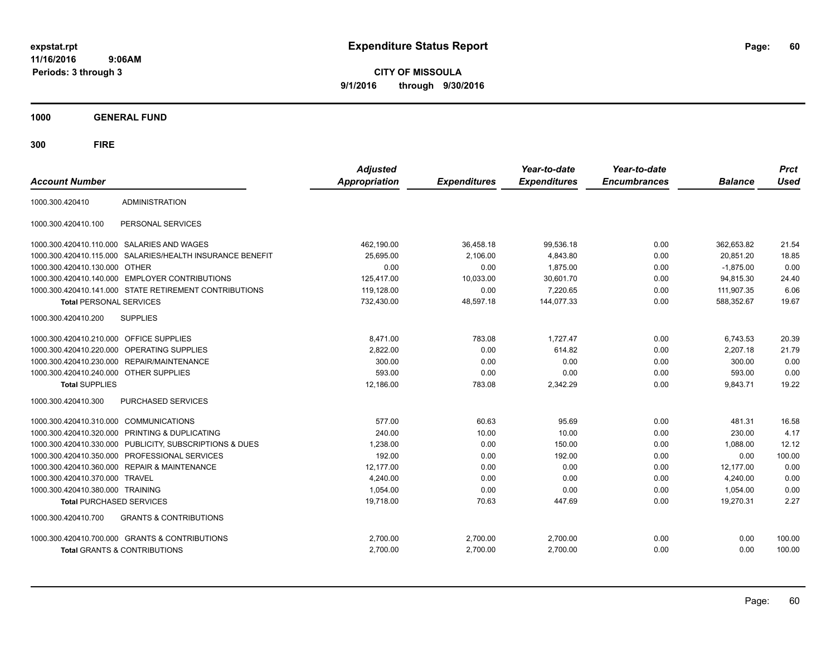**CITY OF MISSOULA 9/1/2016 through 9/30/2016**

**1000 GENERAL FUND**

| <b>Account Number</b>                   |                                                         | <b>Adjusted</b><br><b>Appropriation</b> | <b>Expenditures</b> | Year-to-date<br><b>Expenditures</b> | Year-to-date<br><b>Encumbrances</b> | <b>Balance</b> | <b>Prct</b><br><b>Used</b> |
|-----------------------------------------|---------------------------------------------------------|-----------------------------------------|---------------------|-------------------------------------|-------------------------------------|----------------|----------------------------|
| 1000.300.420410                         | <b>ADMINISTRATION</b>                                   |                                         |                     |                                     |                                     |                |                            |
| 1000.300.420410.100                     | PERSONAL SERVICES                                       |                                         |                     |                                     |                                     |                |                            |
|                                         | 1000.300.420410.110.000 SALARIES AND WAGES              | 462,190.00                              | 36.458.18           | 99,536.18                           | 0.00                                | 362.653.82     | 21.54                      |
| 1000.300.420410.115.000                 | SALARIES/HEALTH INSURANCE BENEFIT                       | 25,695.00                               | 2,106.00            | 4,843.80                            | 0.00                                | 20,851.20      | 18.85                      |
| 1000.300.420410.130.000 OTHER           |                                                         | 0.00                                    | 0.00                | 1,875.00                            | 0.00                                | $-1,875.00$    | 0.00                       |
|                                         | 1000.300.420410.140.000 EMPLOYER CONTRIBUTIONS          | 125,417.00                              | 10,033.00           | 30,601.70                           | 0.00                                | 94,815.30      | 24.40                      |
|                                         | 1000.300.420410.141.000 STATE RETIREMENT CONTRIBUTIONS  | 119,128.00                              | 0.00                | 7,220.65                            | 0.00                                | 111,907.35     | 6.06                       |
| <b>Total PERSONAL SERVICES</b>          |                                                         | 732,430.00                              | 48,597.18           | 144,077.33                          | 0.00                                | 588,352.67     | 19.67                      |
| 1000.300.420410.200                     | <b>SUPPLIES</b>                                         |                                         |                     |                                     |                                     |                |                            |
| 1000.300.420410.210.000 OFFICE SUPPLIES |                                                         | 8,471.00                                | 783.08              | 1.727.47                            | 0.00                                | 6,743.53       | 20.39                      |
|                                         | 1000.300.420410.220.000 OPERATING SUPPLIES              | 2,822.00                                | 0.00                | 614.82                              | 0.00                                | 2.207.18       | 21.79                      |
|                                         | 1000.300.420410.230.000 REPAIR/MAINTENANCE              | 300.00                                  | 0.00                | 0.00                                | 0.00                                | 300.00         | 0.00                       |
| 1000.300.420410.240.000 OTHER SUPPLIES  |                                                         | 593.00                                  | 0.00                | 0.00                                | 0.00                                | 593.00         | 0.00                       |
| <b>Total SUPPLIES</b>                   |                                                         | 12,186.00                               | 783.08              | 2,342.29                            | 0.00                                | 9,843.71       | 19.22                      |
| 1000.300.420410.300                     | <b>PURCHASED SERVICES</b>                               |                                         |                     |                                     |                                     |                |                            |
| 1000.300.420410.310.000 COMMUNICATIONS  |                                                         | 577.00                                  | 60.63               | 95.69                               | 0.00                                | 481.31         | 16.58                      |
|                                         | 1000.300.420410.320.000 PRINTING & DUPLICATING          | 240.00                                  | 10.00               | 10.00                               | 0.00                                | 230.00         | 4.17                       |
|                                         | 1000.300.420410.330.000 PUBLICITY, SUBSCRIPTIONS & DUES | 1,238.00                                | 0.00                | 150.00                              | 0.00                                | 1,088.00       | 12.12                      |
|                                         | 1000.300.420410.350.000 PROFESSIONAL SERVICES           | 192.00                                  | 0.00                | 192.00                              | 0.00                                | 0.00           | 100.00                     |
|                                         | 1000.300.420410.360.000 REPAIR & MAINTENANCE            | 12,177.00                               | 0.00                | 0.00                                | 0.00                                | 12,177.00      | 0.00                       |
| 1000.300.420410.370.000                 | <b>TRAVEL</b>                                           | 4,240.00                                | 0.00                | 0.00                                | 0.00                                | 4,240.00       | 0.00                       |
| 1000.300.420410.380.000 TRAINING        |                                                         | 1,054.00                                | 0.00                | 0.00                                | 0.00                                | 1,054.00       | 0.00                       |
| <b>Total PURCHASED SERVICES</b>         |                                                         | 19,718.00                               | 70.63               | 447.69                              | 0.00                                | 19,270.31      | 2.27                       |
| 1000.300.420410.700                     | <b>GRANTS &amp; CONTRIBUTIONS</b>                       |                                         |                     |                                     |                                     |                |                            |
|                                         | 1000.300.420410.700.000 GRANTS & CONTRIBUTIONS          | 2,700.00                                | 2,700.00            | 2,700.00                            | 0.00                                | 0.00           | 100.00                     |
|                                         | Total GRANTS & CONTRIBUTIONS                            | 2,700.00                                | 2,700.00            | 2,700.00                            | 0.00                                | 0.00           | 100.00                     |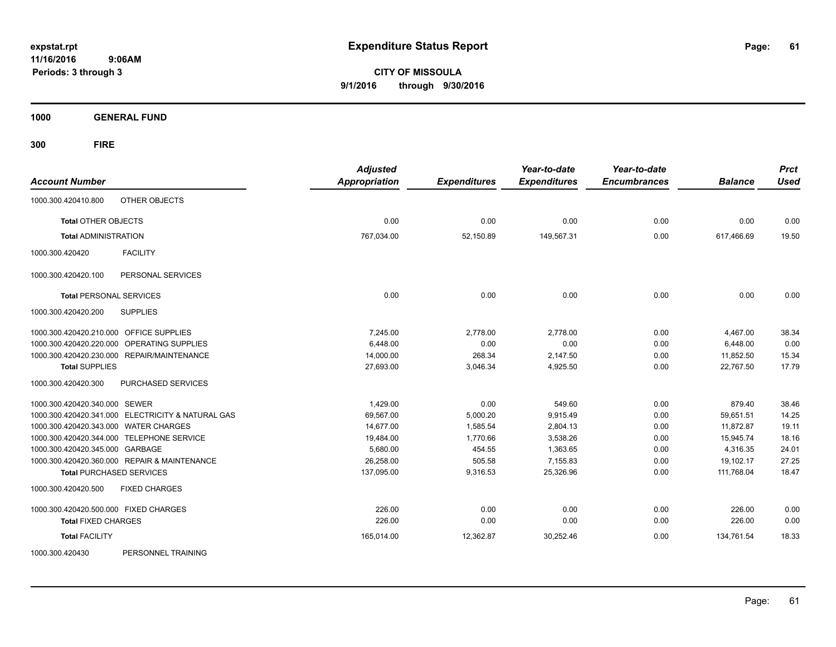**CITY OF MISSOULA 9/1/2016 through 9/30/2016**

**1000 GENERAL FUND**

**300 FIRE**

| <b>Account Number</b>                                | <b>Adjusted</b><br><b>Appropriation</b> | <b>Expenditures</b> | Year-to-date<br><b>Expenditures</b> | Year-to-date<br><b>Encumbrances</b> | <b>Balance</b> | <b>Prct</b><br><b>Used</b> |
|------------------------------------------------------|-----------------------------------------|---------------------|-------------------------------------|-------------------------------------|----------------|----------------------------|
|                                                      |                                         |                     |                                     |                                     |                |                            |
| <b>OTHER OBJECTS</b><br>1000.300.420410.800          |                                         |                     |                                     |                                     |                |                            |
| <b>Total OTHER OBJECTS</b>                           | 0.00                                    | 0.00                | 0.00                                | 0.00                                | 0.00           | 0.00                       |
| <b>Total ADMINISTRATION</b>                          | 767,034.00                              | 52,150.89           | 149,567.31                          | 0.00                                | 617,466.69     | 19.50                      |
| 1000.300.420420<br><b>FACILITY</b>                   |                                         |                     |                                     |                                     |                |                            |
| PERSONAL SERVICES<br>1000.300.420420.100             |                                         |                     |                                     |                                     |                |                            |
| <b>Total PERSONAL SERVICES</b>                       | 0.00                                    | 0.00                | 0.00                                | 0.00                                | 0.00           | 0.00                       |
| <b>SUPPLIES</b><br>1000.300.420420.200               |                                         |                     |                                     |                                     |                |                            |
| 1000.300.420420.210.000 OFFICE SUPPLIES              | 7,245.00                                | 2,778.00            | 2,778.00                            | 0.00                                | 4,467.00       | 38.34                      |
| 1000.300.420420.220.000<br><b>OPERATING SUPPLIES</b> | 6.448.00                                | 0.00                | 0.00                                | 0.00                                | 6,448.00       | 0.00                       |
| 1000.300.420420.230.000 REPAIR/MAINTENANCE           | 14,000.00                               | 268.34              | 2,147.50                            | 0.00                                | 11,852.50      | 15.34                      |
| <b>Total SUPPLIES</b>                                | 27,693.00                               | 3,046.34            | 4,925.50                            | 0.00                                | 22,767.50      | 17.79                      |
| PURCHASED SERVICES<br>1000.300.420420.300            |                                         |                     |                                     |                                     |                |                            |
| 1000.300.420420.340.000 SEWER                        | 1,429.00                                | 0.00                | 549.60                              | 0.00                                | 879.40         | 38.46                      |
| 1000.300.420420.341.000 ELECTRICITY & NATURAL GAS    | 69,567.00                               | 5,000.20            | 9,915.49                            | 0.00                                | 59,651.51      | 14.25                      |
| 1000.300.420420.343.000 WATER CHARGES                | 14.677.00                               | 1.585.54            | 2,804.13                            | 0.00                                | 11.872.87      | 19.11                      |
| 1000.300.420420.344.000 TELEPHONE SERVICE            | 19,484.00                               | 1,770.66            | 3,538.26                            | 0.00                                | 15,945.74      | 18.16                      |
| 1000.300.420420.345.000 GARBAGE                      | 5,680.00                                | 454.55              | 1,363.65                            | 0.00                                | 4,316.35       | 24.01                      |
| 1000.300.420420.360.000 REPAIR & MAINTENANCE         | 26,258.00                               | 505.58              | 7,155.83                            | 0.00                                | 19,102.17      | 27.25                      |
| <b>Total PURCHASED SERVICES</b>                      | 137,095.00                              | 9,316.53            | 25,326.96                           | 0.00                                | 111,768.04     | 18.47                      |
| 1000.300.420420.500<br><b>FIXED CHARGES</b>          |                                         |                     |                                     |                                     |                |                            |
| 1000.300.420420.500.000 FIXED CHARGES                | 226.00                                  | 0.00                | 0.00                                | 0.00                                | 226.00         | 0.00                       |
| <b>Total FIXED CHARGES</b>                           | 226.00                                  | 0.00                | 0.00                                | 0.00                                | 226.00         | 0.00                       |
| <b>Total FACILITY</b>                                | 165,014.00                              | 12,362.87           | 30,252.46                           | 0.00                                | 134.761.54     | 18.33                      |
| DEDCOMMEL TOAINING<br>LONDON DOG DOON                |                                         |                     |                                     |                                     |                |                            |

1000.300.420430 PERSONNEL TRAINING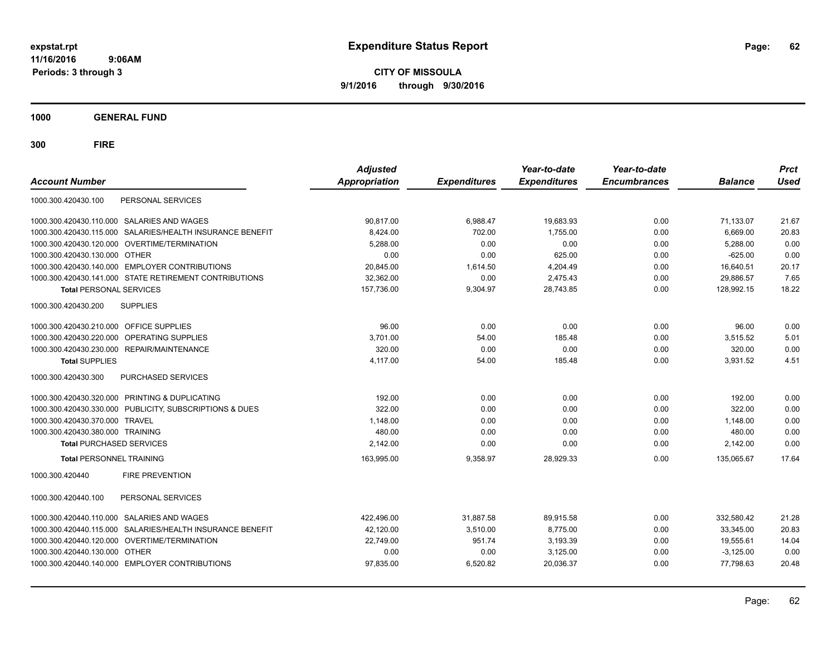**CITY OF MISSOULA 9/1/2016 through 9/30/2016**

**1000 GENERAL FUND**

| <b>Account Number</b>                                        | <b>Adjusted</b><br>Appropriation | <b>Expenditures</b> | Year-to-date<br><b>Expenditures</b> | Year-to-date<br><b>Encumbrances</b> | <b>Balance</b> | <b>Prct</b><br><b>Used</b> |
|--------------------------------------------------------------|----------------------------------|---------------------|-------------------------------------|-------------------------------------|----------------|----------------------------|
| PERSONAL SERVICES<br>1000.300.420430.100                     |                                  |                     |                                     |                                     |                |                            |
| 1000.300.420430.110.000 SALARIES AND WAGES                   | 90,817.00                        | 6,988.47            | 19,683.93                           | 0.00                                | 71,133.07      | 21.67                      |
| SALARIES/HEALTH INSURANCE BENEFIT<br>1000.300.420430.115.000 | 8.424.00                         | 702.00              | 1,755.00                            | 0.00                                | 6,669.00       | 20.83                      |
| 1000.300.420430.120.000 OVERTIME/TERMINATION                 | 5,288.00                         | 0.00                | 0.00                                | 0.00                                | 5,288.00       | 0.00                       |
| 1000.300.420430.130.000 OTHER                                | 0.00                             | 0.00                | 625.00                              | 0.00                                | $-625.00$      | 0.00                       |
| 1000.300.420430.140.000 EMPLOYER CONTRIBUTIONS               | 20,845.00                        | 1,614.50            | 4,204.49                            | 0.00                                | 16,640.51      | 20.17                      |
| 1000.300.420430.141.000 STATE RETIREMENT CONTRIBUTIONS       | 32,362.00                        | 0.00                | 2,475.43                            | 0.00                                | 29.886.57      | 7.65                       |
| <b>Total PERSONAL SERVICES</b>                               | 157,736.00                       | 9,304.97            | 28,743.85                           | 0.00                                | 128,992.15     | 18.22                      |
| 1000.300.420430.200<br><b>SUPPLIES</b>                       |                                  |                     |                                     |                                     |                |                            |
| <b>OFFICE SUPPLIES</b><br>1000.300.420430.210.000            | 96.00                            | 0.00                | 0.00                                | 0.00                                | 96.00          | 0.00                       |
| <b>OPERATING SUPPLIES</b><br>1000.300.420430.220.000         | 3,701.00                         | 54.00               | 185.48                              | 0.00                                | 3,515.52       | 5.01                       |
| 1000.300.420430.230.000<br>REPAIR/MAINTENANCE                | 320.00                           | 0.00                | 0.00                                | 0.00                                | 320.00         | 0.00                       |
| <b>Total SUPPLIES</b>                                        | 4,117.00                         | 54.00               | 185.48                              | 0.00                                | 3,931.52       | 4.51                       |
| <b>PURCHASED SERVICES</b><br>1000.300.420430.300             |                                  |                     |                                     |                                     |                |                            |
| 1000.300.420430.320.000 PRINTING & DUPLICATING               | 192.00                           | 0.00                | 0.00                                | 0.00                                | 192.00         | 0.00                       |
| PUBLICITY, SUBSCRIPTIONS & DUES<br>1000.300.420430.330.000   | 322.00                           | 0.00                | 0.00                                | 0.00                                | 322.00         | 0.00                       |
| 1000.300.420430.370.000<br><b>TRAVEL</b>                     | 1,148.00                         | 0.00                | 0.00                                | 0.00                                | 1,148.00       | 0.00                       |
| 1000.300.420430.380.000 TRAINING                             | 480.00                           | 0.00                | 0.00                                | 0.00                                | 480.00         | 0.00                       |
| <b>Total PURCHASED SERVICES</b>                              | 2.142.00                         | 0.00                | 0.00                                | 0.00                                | 2,142.00       | 0.00                       |
| <b>Total PERSONNEL TRAINING</b>                              | 163,995.00                       | 9,358.97            | 28,929.33                           | 0.00                                | 135,065.67     | 17.64                      |
| 1000.300.420440<br><b>FIRE PREVENTION</b>                    |                                  |                     |                                     |                                     |                |                            |
| PERSONAL SERVICES<br>1000.300.420440.100                     |                                  |                     |                                     |                                     |                |                            |
| SALARIES AND WAGES<br>1000.300.420440.110.000                | 422.496.00                       | 31.887.58           | 89.915.58                           | 0.00                                | 332.580.42     | 21.28                      |
| SALARIES/HEALTH INSURANCE BENEFIT<br>1000.300.420440.115.000 | 42,120.00                        | 3,510.00            | 8,775.00                            | 0.00                                | 33,345.00      | 20.83                      |
| 1000.300.420440.120.000<br>OVERTIME/TERMINATION              | 22,749.00                        | 951.74              | 3,193.39                            | 0.00                                | 19,555.61      | 14.04                      |
| 1000.300.420440.130.000 OTHER                                | 0.00                             | 0.00                | 3,125.00                            | 0.00                                | $-3,125.00$    | 0.00                       |
| 1000.300.420440.140.000 EMPLOYER CONTRIBUTIONS               | 97.835.00                        | 6,520.82            | 20,036.37                           | 0.00                                | 77,798.63      | 20.48                      |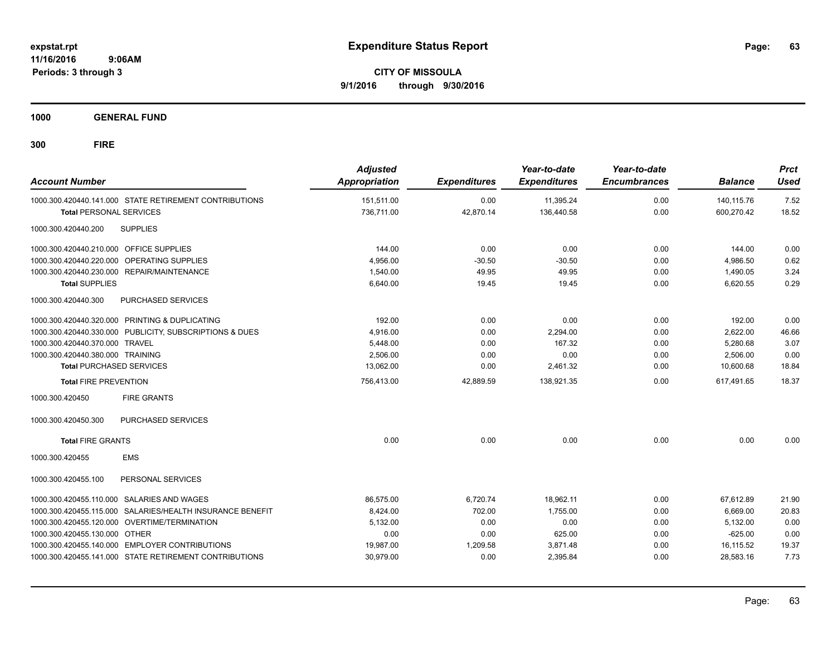**CITY OF MISSOULA 9/1/2016 through 9/30/2016**

**1000 GENERAL FUND**

| <b>Account Number</b>                   |                                                         | <b>Adjusted</b><br><b>Appropriation</b> | <b>Expenditures</b> | Year-to-date<br><b>Expenditures</b> | Year-to-date<br><b>Encumbrances</b> | <b>Balance</b> | <b>Prct</b><br><b>Used</b> |
|-----------------------------------------|---------------------------------------------------------|-----------------------------------------|---------------------|-------------------------------------|-------------------------------------|----------------|----------------------------|
|                                         | 1000.300.420440.141.000 STATE RETIREMENT CONTRIBUTIONS  | 151,511.00                              | 0.00                | 11,395.24                           | 0.00                                | 140.115.76     | 7.52                       |
| <b>Total PERSONAL SERVICES</b>          |                                                         | 736,711.00                              | 42,870.14           | 136,440.58                          | 0.00                                | 600,270.42     | 18.52                      |
| 1000.300.420440.200                     | <b>SUPPLIES</b>                                         |                                         |                     |                                     |                                     |                |                            |
| 1000.300.420440.210.000 OFFICE SUPPLIES |                                                         | 144.00                                  | 0.00                | 0.00                                | 0.00                                | 144.00         | 0.00                       |
| 1000.300.420440.220.000                 | OPERATING SUPPLIES                                      | 4,956.00                                | $-30.50$            | $-30.50$                            | 0.00                                | 4,986.50       | 0.62                       |
|                                         | 1000.300.420440.230.000 REPAIR/MAINTENANCE              | 1,540.00                                | 49.95               | 49.95                               | 0.00                                | 1,490.05       | 3.24                       |
| <b>Total SUPPLIES</b>                   |                                                         | 6,640.00                                | 19.45               | 19.45                               | 0.00                                | 6,620.55       | 0.29                       |
| 1000.300.420440.300                     | PURCHASED SERVICES                                      |                                         |                     |                                     |                                     |                |                            |
|                                         | 1000.300.420440.320.000 PRINTING & DUPLICATING          | 192.00                                  | 0.00                | 0.00                                | 0.00                                | 192.00         | 0.00                       |
|                                         | 1000.300.420440.330.000 PUBLICITY, SUBSCRIPTIONS & DUES | 4,916.00                                | 0.00                | 2,294.00                            | 0.00                                | 2,622.00       | 46.66                      |
| 1000.300.420440.370.000 TRAVEL          |                                                         | 5,448.00                                | 0.00                | 167.32                              | 0.00                                | 5,280.68       | 3.07                       |
| 1000.300.420440.380.000 TRAINING        |                                                         | 2.506.00                                | 0.00                | 0.00                                | 0.00                                | 2,506.00       | 0.00                       |
| <b>Total PURCHASED SERVICES</b>         |                                                         | 13,062.00                               | 0.00                | 2,461.32                            | 0.00                                | 10,600.68      | 18.84                      |
| <b>Total FIRE PREVENTION</b>            |                                                         | 756,413.00                              | 42,889.59           | 138,921.35                          | 0.00                                | 617.491.65     | 18.37                      |
| 1000.300.420450                         | <b>FIRE GRANTS</b>                                      |                                         |                     |                                     |                                     |                |                            |
| 1000.300.420450.300                     | <b>PURCHASED SERVICES</b>                               |                                         |                     |                                     |                                     |                |                            |
| <b>Total FIRE GRANTS</b>                |                                                         | 0.00                                    | 0.00                | 0.00                                | 0.00                                | 0.00           | 0.00                       |
| 1000.300.420455                         | <b>EMS</b>                                              |                                         |                     |                                     |                                     |                |                            |
| 1000.300.420455.100                     | PERSONAL SERVICES                                       |                                         |                     |                                     |                                     |                |                            |
| 1000.300.420455.110.000                 | <b>SALARIES AND WAGES</b>                               | 86,575.00                               | 6,720.74            | 18,962.11                           | 0.00                                | 67,612.89      | 21.90                      |
| 1000.300.420455.115.000                 | SALARIES/HEALTH INSURANCE BENEFIT                       | 8,424.00                                | 702.00              | 1,755.00                            | 0.00                                | 6,669.00       | 20.83                      |
|                                         | 1000.300.420455.120.000 OVERTIME/TERMINATION            | 5,132.00                                | 0.00                | 0.00                                | 0.00                                | 5,132.00       | 0.00                       |
| 1000.300.420455.130.000 OTHER           |                                                         | 0.00                                    | 0.00                | 625.00                              | 0.00                                | $-625.00$      | 0.00                       |
|                                         | 1000.300.420455.140.000 EMPLOYER CONTRIBUTIONS          | 19,987.00                               | 1,209.58            | 3,871.48                            | 0.00                                | 16,115.52      | 19.37                      |
|                                         | 1000.300.420455.141.000 STATE RETIREMENT CONTRIBUTIONS  | 30,979.00                               | 0.00                | 2,395.84                            | 0.00                                | 28,583.16      | 7.73                       |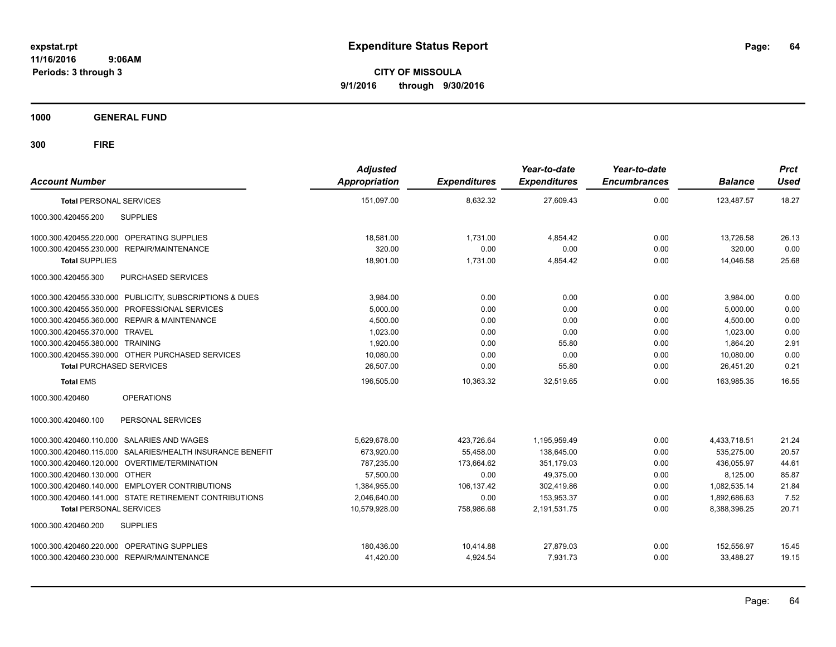**CITY OF MISSOULA 9/1/2016 through 9/30/2016**

**1000 GENERAL FUND**

| <b>Account Number</b>                                     | <b>Adjusted</b><br><b>Appropriation</b> | <b>Expenditures</b> | Year-to-date<br><b>Expenditures</b> | Year-to-date<br><b>Encumbrances</b> | <b>Balance</b> | <b>Prct</b><br><b>Used</b> |
|-----------------------------------------------------------|-----------------------------------------|---------------------|-------------------------------------|-------------------------------------|----------------|----------------------------|
| <b>Total PERSONAL SERVICES</b>                            | 151,097.00                              | 8,632.32            | 27,609.43                           | 0.00                                | 123,487.57     | 18.27                      |
| 1000.300.420455.200<br><b>SUPPLIES</b>                    |                                         |                     |                                     |                                     |                |                            |
| 1000.300.420455.220.000 OPERATING SUPPLIES                | 18.581.00                               | 1,731.00            | 4.854.42                            | 0.00                                | 13.726.58      | 26.13                      |
| 1000.300.420455.230.000 REPAIR/MAINTENANCE                | 320.00                                  | 0.00                | 0.00                                | 0.00                                | 320.00         | 0.00                       |
| <b>Total SUPPLIES</b>                                     | 18,901.00                               | 1,731.00            | 4,854.42                            | 0.00                                | 14,046.58      | 25.68                      |
| 1000.300.420455.300<br>PURCHASED SERVICES                 |                                         |                     |                                     |                                     |                |                            |
| 1000.300.420455.330.000 PUBLICITY, SUBSCRIPTIONS & DUES   | 3,984.00                                | 0.00                | 0.00                                | 0.00                                | 3,984.00       | 0.00                       |
| 1000.300.420455.350.000 PROFESSIONAL SERVICES             | 5,000.00                                | 0.00                | 0.00                                | 0.00                                | 5,000.00       | 0.00                       |
| 1000.300.420455.360.000 REPAIR & MAINTENANCE              | 4,500.00                                | 0.00                | 0.00                                | 0.00                                | 4,500.00       | 0.00                       |
| 1000.300.420455.370.000 TRAVEL                            | 1,023.00                                | 0.00                | 0.00                                | 0.00                                | 1,023.00       | 0.00                       |
| 1000.300.420455.380.000 TRAINING                          | 1,920.00                                | 0.00                | 55.80                               | 0.00                                | 1,864.20       | 2.91                       |
| 1000.300.420455.390.000 OTHER PURCHASED SERVICES          | 10,080.00                               | 0.00                | 0.00                                | 0.00                                | 10.080.00      | 0.00                       |
| <b>Total PURCHASED SERVICES</b>                           | 26,507.00                               | 0.00                | 55.80                               | 0.00                                | 26,451.20      | 0.21                       |
| <b>Total EMS</b>                                          | 196.505.00                              | 10,363.32           | 32.519.65                           | 0.00                                | 163.985.35     | 16.55                      |
| 1000.300.420460<br><b>OPERATIONS</b>                      |                                         |                     |                                     |                                     |                |                            |
| PERSONAL SERVICES<br>1000.300.420460.100                  |                                         |                     |                                     |                                     |                |                            |
| 1000.300.420460.110.000 SALARIES AND WAGES                | 5,629,678.00                            | 423,726.64          | 1,195,959.49                        | 0.00                                | 4,433,718.51   | 21.24                      |
| 1000.300.420460.115.000 SALARIES/HEALTH INSURANCE BENEFIT | 673,920.00                              | 55,458.00           | 138,645.00                          | 0.00                                | 535,275.00     | 20.57                      |
| 1000.300.420460.120.000 OVERTIME/TERMINATION              | 787.235.00                              | 173,664.62          | 351.179.03                          | 0.00                                | 436.055.97     | 44.61                      |
| 1000.300.420460.130.000 OTHER                             | 57,500.00                               | 0.00                | 49,375.00                           | 0.00                                | 8,125.00       | 85.87                      |
| 1000.300.420460.140.000 EMPLOYER CONTRIBUTIONS            | 1,384,955.00                            | 106,137.42          | 302.419.86                          | 0.00                                | 1,082,535.14   | 21.84                      |
| 1000.300.420460.141.000 STATE RETIREMENT CONTRIBUTIONS    | 2,046,640.00                            | 0.00                | 153.953.37                          | 0.00                                | 1,892,686.63   | 7.52                       |
| <b>Total PERSONAL SERVICES</b>                            | 10,579,928.00                           | 758,986.68          | 2,191,531.75                        | 0.00                                | 8,388,396.25   | 20.71                      |
| 1000.300.420460.200<br><b>SUPPLIES</b>                    |                                         |                     |                                     |                                     |                |                            |
| 1000.300.420460.220.000 OPERATING SUPPLIES                | 180,436.00                              | 10,414.88           | 27,879.03                           | 0.00                                | 152,556.97     | 15.45                      |
| 1000.300.420460.230.000 REPAIR/MAINTENANCE                | 41,420.00                               | 4,924.54            | 7,931.73                            | 0.00                                | 33,488.27      | 19.15                      |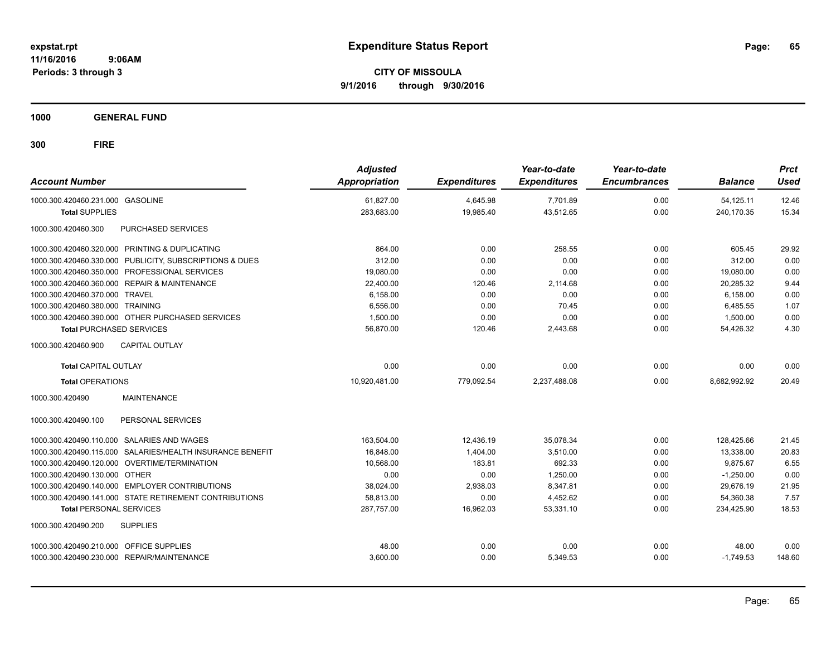**CITY OF MISSOULA 9/1/2016 through 9/30/2016**

**1000 GENERAL FUND**

| <b>Account Number</b>                                     | <b>Adjusted</b><br>Appropriation | <b>Expenditures</b> | Year-to-date<br><b>Expenditures</b> | Year-to-date<br><b>Encumbrances</b> | <b>Balance</b> | <b>Prct</b><br><b>Used</b> |
|-----------------------------------------------------------|----------------------------------|---------------------|-------------------------------------|-------------------------------------|----------------|----------------------------|
| 1000.300.420460.231.000 GASOLINE                          | 61,827.00                        | 4,645.98            | 7,701.89                            | 0.00                                | 54,125.11      | 12.46                      |
| <b>Total SUPPLIES</b>                                     | 283,683.00                       | 19,985.40           | 43,512.65                           | 0.00                                | 240,170.35     | 15.34                      |
| 1000.300.420460.300<br>PURCHASED SERVICES                 |                                  |                     |                                     |                                     |                |                            |
| 1000.300.420460.320.000 PRINTING & DUPLICATING            | 864.00                           | 0.00                | 258.55                              | 0.00                                | 605.45         | 29.92                      |
| 1000.300.420460.330.000 PUBLICITY, SUBSCRIPTIONS & DUES   | 312.00                           | 0.00                | 0.00                                | 0.00                                | 312.00         | 0.00                       |
| 1000.300.420460.350.000 PROFESSIONAL SERVICES             | 19,080.00                        | 0.00                | 0.00                                | 0.00                                | 19,080.00      | 0.00                       |
| 1000.300.420460.360.000 REPAIR & MAINTENANCE              | 22,400.00                        | 120.46              | 2,114.68                            | 0.00                                | 20,285.32      | 9.44                       |
| 1000.300.420460.370.000 TRAVEL                            | 6.158.00                         | 0.00                | 0.00                                | 0.00                                | 6.158.00       | 0.00                       |
| 1000.300.420460.380.000 TRAINING                          | 6,556.00                         | 0.00                | 70.45                               | 0.00                                | 6,485.55       | 1.07                       |
| 1000.300.420460.390.000 OTHER PURCHASED SERVICES          | 1,500.00                         | 0.00                | 0.00                                | 0.00                                | 1,500.00       | 0.00                       |
| <b>Total PURCHASED SERVICES</b>                           | 56,870.00                        | 120.46              | 2,443.68                            | 0.00                                | 54,426.32      | 4.30                       |
| <b>CAPITAL OUTLAY</b><br>1000.300.420460.900              |                                  |                     |                                     |                                     |                |                            |
| <b>Total CAPITAL OUTLAY</b>                               | 0.00                             | 0.00                | 0.00                                | 0.00                                | 0.00           | 0.00                       |
| <b>Total OPERATIONS</b>                                   | 10,920,481.00                    | 779,092.54          | 2.237.488.08                        | 0.00                                | 8.682.992.92   | 20.49                      |
| 1000.300.420490<br><b>MAINTENANCE</b>                     |                                  |                     |                                     |                                     |                |                            |
| PERSONAL SERVICES<br>1000.300.420490.100                  |                                  |                     |                                     |                                     |                |                            |
| 1000.300.420490.110.000 SALARIES AND WAGES                | 163,504.00                       | 12,436.19           | 35,078.34                           | 0.00                                | 128,425.66     | 21.45                      |
| 1000.300.420490.115.000 SALARIES/HEALTH INSURANCE BENEFIT | 16,848.00                        | 1,404.00            | 3,510.00                            | 0.00                                | 13,338.00      | 20.83                      |
| 1000.300.420490.120.000 OVERTIME/TERMINATION              | 10.568.00                        | 183.81              | 692.33                              | 0.00                                | 9.875.67       | 6.55                       |
| 1000.300.420490.130.000 OTHER                             | 0.00                             | 0.00                | 1.250.00                            | 0.00                                | $-1,250.00$    | 0.00                       |
| 1000.300.420490.140.000 EMPLOYER CONTRIBUTIONS            | 38,024.00                        | 2,938.03            | 8,347.81                            | 0.00                                | 29,676.19      | 21.95                      |
| 1000.300.420490.141.000 STATE RETIREMENT CONTRIBUTIONS    | 58,813.00                        | 0.00                | 4,452.62                            | 0.00                                | 54,360.38      | 7.57                       |
| <b>Total PERSONAL SERVICES</b>                            | 287,757.00                       | 16,962.03           | 53,331.10                           | 0.00                                | 234,425.90     | 18.53                      |
| 1000.300.420490.200<br><b>SUPPLIES</b>                    |                                  |                     |                                     |                                     |                |                            |
| 1000.300.420490.210.000 OFFICE SUPPLIES                   | 48.00                            | 0.00                | 0.00                                | 0.00                                | 48.00          | 0.00                       |
| 1000.300.420490.230.000 REPAIR/MAINTENANCE                | 3,600.00                         | 0.00                | 5,349.53                            | 0.00                                | $-1,749.53$    | 148.60                     |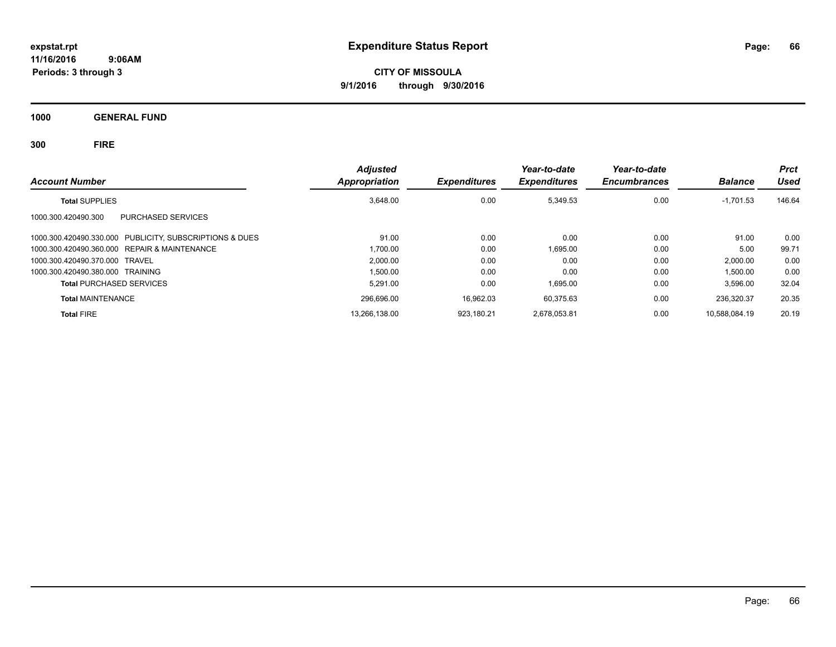**CITY OF MISSOULA 9/1/2016 through 9/30/2016**

**1000 GENERAL FUND**

| <b>Account Number</b>                                   | <b>Adjusted</b><br><b>Appropriation</b> | <b>Expenditures</b> | Year-to-date<br><b>Expenditures</b> | Year-to-date<br><b>Encumbrances</b> | <b>Balance</b> | <b>Prct</b><br>Used |
|---------------------------------------------------------|-----------------------------------------|---------------------|-------------------------------------|-------------------------------------|----------------|---------------------|
| <b>Total SUPPLIES</b>                                   | 3.648.00                                | 0.00                | 5.349.53                            | 0.00                                | $-1,701.53$    | 146.64              |
| PURCHASED SERVICES<br>1000.300.420490.300               |                                         |                     |                                     |                                     |                |                     |
| 1000.300.420490.330.000 PUBLICITY, SUBSCRIPTIONS & DUES | 91.00                                   | 0.00                | 0.00                                | 0.00                                | 91.00          | 0.00                |
| 1000.300.420490.360.000 REPAIR & MAINTENANCE            | 1.700.00                                | 0.00                | 1.695.00                            | 0.00                                | 5.00           | 99.71               |
| 1000.300.420490.370.000 TRAVEL                          | 2.000.00                                | 0.00                | 0.00                                | 0.00                                | 2,000.00       | 0.00                |
| 1000.300.420490.380.000 TRAINING                        | 1,500.00                                | 0.00                | 0.00                                | 0.00                                | 1,500.00       | 0.00                |
| <b>Total PURCHASED SERVICES</b>                         | 5.291.00                                | 0.00                | 1.695.00                            | 0.00                                | 3.596.00       | 32.04               |
| <b>Total MAINTENANCE</b>                                | 296,696.00                              | 16,962.03           | 60.375.63                           | 0.00                                | 236,320.37     | 20.35               |
| <b>Total FIRE</b>                                       | 13,266,138.00                           | 923.180.21          | 2.678.053.81                        | 0.00                                | 10.588.084.19  | 20.19               |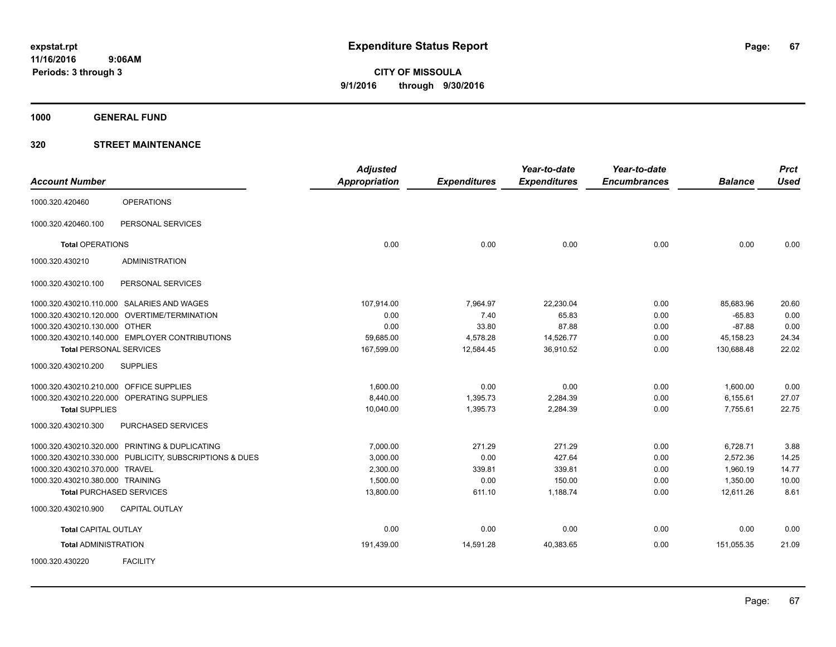**1000 GENERAL FUND**

|                                         |                                                         | <b>Adjusted</b>      |                     | Year-to-date        | Year-to-date        |                | <b>Prct</b> |
|-----------------------------------------|---------------------------------------------------------|----------------------|---------------------|---------------------|---------------------|----------------|-------------|
| <b>Account Number</b>                   |                                                         | <b>Appropriation</b> | <b>Expenditures</b> | <b>Expenditures</b> | <b>Encumbrances</b> | <b>Balance</b> | <b>Used</b> |
| 1000.320.420460                         | <b>OPERATIONS</b>                                       |                      |                     |                     |                     |                |             |
| 1000.320.420460.100                     | PERSONAL SERVICES                                       |                      |                     |                     |                     |                |             |
| <b>Total OPERATIONS</b>                 |                                                         | 0.00                 | 0.00                | 0.00                | 0.00                | 0.00           | 0.00        |
| 1000.320.430210                         | <b>ADMINISTRATION</b>                                   |                      |                     |                     |                     |                |             |
| 1000.320.430210.100                     | PERSONAL SERVICES                                       |                      |                     |                     |                     |                |             |
|                                         | 1000.320.430210.110.000 SALARIES AND WAGES              | 107,914.00           | 7,964.97            | 22,230.04           | 0.00                | 85,683.96      | 20.60       |
|                                         | 1000.320.430210.120.000 OVERTIME/TERMINATION            | 0.00                 | 7.40                | 65.83               | 0.00                | $-65.83$       | 0.00        |
| 1000.320.430210.130.000 OTHER           |                                                         | 0.00                 | 33.80               | 87.88               | 0.00                | $-87.88$       | 0.00        |
|                                         | 1000.320.430210.140.000 EMPLOYER CONTRIBUTIONS          | 59,685.00            | 4,578.28            | 14,526.77           | 0.00                | 45,158.23      | 24.34       |
| <b>Total PERSONAL SERVICES</b>          |                                                         | 167,599.00           | 12,584.45           | 36,910.52           | 0.00                | 130,688.48     | 22.02       |
| 1000.320.430210.200                     | <b>SUPPLIES</b>                                         |                      |                     |                     |                     |                |             |
| 1000.320.430210.210.000 OFFICE SUPPLIES |                                                         | 1,600.00             | 0.00                | 0.00                | 0.00                | 1,600.00       | 0.00        |
|                                         | 1000.320.430210.220.000 OPERATING SUPPLIES              | 8.440.00             | 1,395.73            | 2,284.39            | 0.00                | 6,155.61       | 27.07       |
| <b>Total SUPPLIES</b>                   |                                                         | 10,040.00            | 1,395.73            | 2,284.39            | 0.00                | 7,755.61       | 22.75       |
| 1000.320.430210.300                     | PURCHASED SERVICES                                      |                      |                     |                     |                     |                |             |
|                                         | 1000.320.430210.320.000 PRINTING & DUPLICATING          | 7,000.00             | 271.29              | 271.29              | 0.00                | 6,728.71       | 3.88        |
|                                         | 1000.320.430210.330.000 PUBLICITY, SUBSCRIPTIONS & DUES | 3,000.00             | 0.00                | 427.64              | 0.00                | 2,572.36       | 14.25       |
| 1000.320.430210.370.000 TRAVEL          |                                                         | 2,300.00             | 339.81              | 339.81              | 0.00                | 1,960.19       | 14.77       |
| 1000.320.430210.380.000 TRAINING        |                                                         | 1,500.00             | 0.00                | 150.00              | 0.00                | 1,350.00       | 10.00       |
|                                         | <b>Total PURCHASED SERVICES</b>                         | 13,800.00            | 611.10              | 1,188.74            | 0.00                | 12,611.26      | 8.61        |
| 1000.320.430210.900                     | <b>CAPITAL OUTLAY</b>                                   |                      |                     |                     |                     |                |             |
| <b>Total CAPITAL OUTLAY</b>             |                                                         | 0.00                 | 0.00                | 0.00                | 0.00                | 0.00           | 0.00        |
| <b>Total ADMINISTRATION</b>             |                                                         | 191,439.00           | 14,591.28           | 40,383.65           | 0.00                | 151,055.35     | 21.09       |
| 1000.320.430220                         | <b>FACILITY</b>                                         |                      |                     |                     |                     |                |             |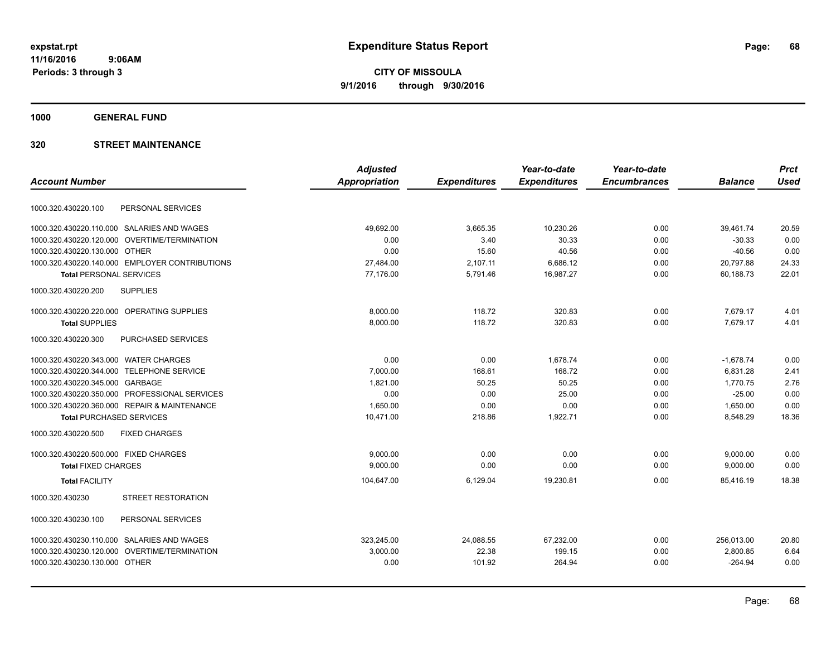**Periods: 3 through 3**

**CITY OF MISSOULA 9/1/2016 through 9/30/2016**

**1000 GENERAL FUND**

| <b>Adjusted</b>      |                     | Year-to-date        | Year-to-date        |                | <b>Prct</b> |
|----------------------|---------------------|---------------------|---------------------|----------------|-------------|
| <b>Appropriation</b> | <b>Expenditures</b> | <b>Expenditures</b> | <b>Encumbrances</b> | <b>Balance</b> | <b>Used</b> |
|                      |                     |                     |                     |                |             |
| 49,692.00            | 3,665.35            | 10,230.26           | 0.00                | 39,461.74      | 20.59       |
| 0.00                 | 3.40                | 30.33               | 0.00                | $-30.33$       | 0.00        |
| 0.00                 | 15.60               | 40.56               | 0.00                | $-40.56$       | 0.00        |
| 27,484.00            | 2,107.11            | 6,686.12            | 0.00                | 20,797.88      | 24.33       |
| 77,176.00            | 5,791.46            | 16,987.27           | 0.00                | 60,188.73      | 22.01       |
|                      |                     |                     |                     |                |             |
| 8,000.00             | 118.72              | 320.83              | 0.00                | 7,679.17       | 4.01        |
| 8,000.00             | 118.72              | 320.83              | 0.00                | 7,679.17       | 4.01        |
|                      |                     |                     |                     |                |             |
| 0.00                 | 0.00                | 1.678.74            | 0.00                | $-1,678.74$    | 0.00        |
| 7,000.00             | 168.61              | 168.72              | 0.00                | 6,831.28       | 2.41        |
| 1,821.00             | 50.25               | 50.25               | 0.00                | 1,770.75       | 2.76        |
| 0.00                 | 0.00                | 25.00               | 0.00                | $-25.00$       | 0.00        |
| 1,650.00             | 0.00                | 0.00                | 0.00                | 1,650.00       | 0.00        |
| 10,471.00            | 218.86              | 1,922.71            | 0.00                | 8,548.29       | 18.36       |
|                      |                     |                     |                     |                |             |
| 9,000.00             | 0.00                | 0.00                | 0.00                | 9,000.00       | 0.00        |
| 9,000.00             | 0.00                | 0.00                | 0.00                | 9,000.00       | 0.00        |
| 104,647.00           | 6,129.04            | 19,230.81           | 0.00                | 85,416.19      | 18.38       |
|                      |                     |                     |                     |                |             |
|                      |                     |                     |                     |                |             |
| 323,245.00           | 24,088.55           | 67,232.00           | 0.00                | 256,013.00     | 20.80       |
| 3,000.00             | 22.38               | 199.15              | 0.00                | 2,800.85       | 6.64        |
| 0.00                 | 101.92              | 264.94              | 0.00                | $-264.94$      | 0.00        |
|                      |                     |                     |                     |                |             |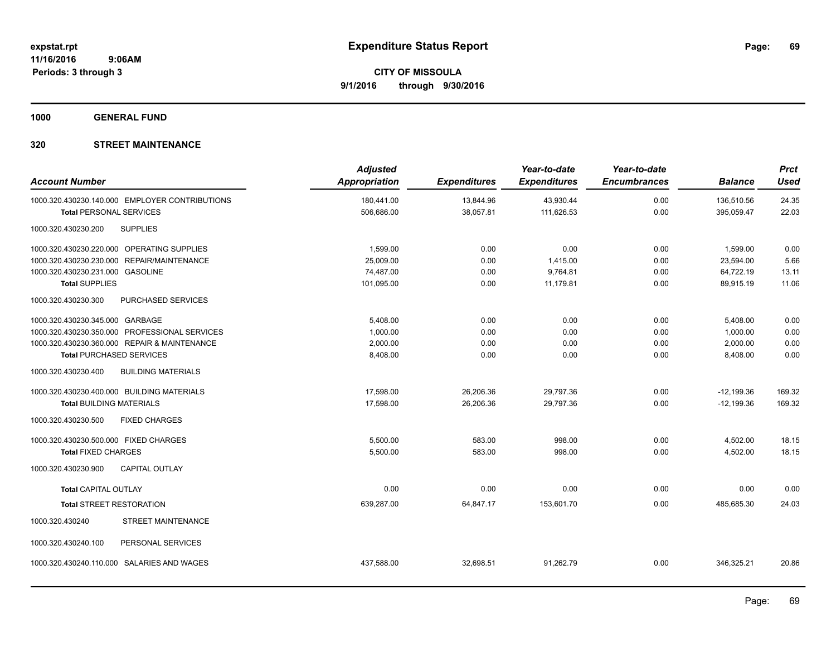**1000 GENERAL FUND**

| <b>Account Number</b>                 |                                                | <b>Adjusted</b><br>Appropriation | <b>Expenditures</b> | Year-to-date<br><b>Expenditures</b> | Year-to-date<br><b>Encumbrances</b> | <b>Balance</b> | <b>Prct</b><br><b>Used</b> |
|---------------------------------------|------------------------------------------------|----------------------------------|---------------------|-------------------------------------|-------------------------------------|----------------|----------------------------|
|                                       | 1000.320.430230.140.000 EMPLOYER CONTRIBUTIONS | 180,441.00                       | 13,844.96           | 43,930.44                           | 0.00                                | 136.510.56     | 24.35                      |
| <b>Total PERSONAL SERVICES</b>        |                                                | 506,686.00                       | 38,057.81           | 111,626.53                          | 0.00                                | 395,059.47     | 22.03                      |
| 1000.320.430230.200                   | <b>SUPPLIES</b>                                |                                  |                     |                                     |                                     |                |                            |
|                                       | 1000.320.430230.220.000 OPERATING SUPPLIES     | 1,599.00                         | 0.00                | 0.00                                | 0.00                                | 1,599.00       | 0.00                       |
|                                       | 1000.320.430230.230.000 REPAIR/MAINTENANCE     | 25.009.00                        | 0.00                | 1,415.00                            | 0.00                                | 23,594.00      | 5.66                       |
| 1000.320.430230.231.000 GASOLINE      |                                                | 74,487.00                        | 0.00                | 9,764.81                            | 0.00                                | 64,722.19      | 13.11                      |
| <b>Total SUPPLIES</b>                 |                                                | 101,095.00                       | 0.00                | 11,179.81                           | 0.00                                | 89,915.19      | 11.06                      |
| 1000.320.430230.300                   | PURCHASED SERVICES                             |                                  |                     |                                     |                                     |                |                            |
| 1000.320.430230.345.000 GARBAGE       |                                                | 5,408.00                         | 0.00                | 0.00                                | 0.00                                | 5,408.00       | 0.00                       |
|                                       | 1000.320.430230.350.000 PROFESSIONAL SERVICES  | 1,000.00                         | 0.00                | 0.00                                | 0.00                                | 1,000.00       | 0.00                       |
|                                       | 1000.320.430230.360.000 REPAIR & MAINTENANCE   | 2,000.00                         | 0.00                | 0.00                                | 0.00                                | 2,000.00       | 0.00                       |
| <b>Total PURCHASED SERVICES</b>       |                                                | 8,408.00                         | 0.00                | 0.00                                | 0.00                                | 8,408.00       | 0.00                       |
| 1000.320.430230.400                   | <b>BUILDING MATERIALS</b>                      |                                  |                     |                                     |                                     |                |                            |
|                                       | 1000.320.430230.400.000 BUILDING MATERIALS     | 17,598.00                        | 26,206.36           | 29,797.36                           | 0.00                                | $-12,199.36$   | 169.32                     |
| <b>Total BUILDING MATERIALS</b>       |                                                | 17,598.00                        | 26,206.36           | 29,797.36                           | 0.00                                | $-12,199.36$   | 169.32                     |
| 1000.320.430230.500                   | <b>FIXED CHARGES</b>                           |                                  |                     |                                     |                                     |                |                            |
| 1000.320.430230.500.000 FIXED CHARGES |                                                | 5,500.00                         | 583.00              | 998.00                              | 0.00                                | 4,502.00       | 18.15                      |
| <b>Total FIXED CHARGES</b>            |                                                | 5,500.00                         | 583.00              | 998.00                              | 0.00                                | 4,502.00       | 18.15                      |
| 1000.320.430230.900                   | <b>CAPITAL OUTLAY</b>                          |                                  |                     |                                     |                                     |                |                            |
| <b>Total CAPITAL OUTLAY</b>           |                                                | 0.00                             | 0.00                | 0.00                                | 0.00                                | 0.00           | 0.00                       |
| <b>Total STREET RESTORATION</b>       |                                                | 639,287.00                       | 64,847.17           | 153,601.70                          | 0.00                                | 485,685.30     | 24.03                      |
| 1000.320.430240                       | <b>STREET MAINTENANCE</b>                      |                                  |                     |                                     |                                     |                |                            |
| 1000.320.430240.100                   | PERSONAL SERVICES                              |                                  |                     |                                     |                                     |                |                            |
| 1000.320.430240.110.000               | SALARIES AND WAGES                             | 437,588.00                       | 32,698.51           | 91,262.79                           | 0.00                                | 346,325.21     | 20.86                      |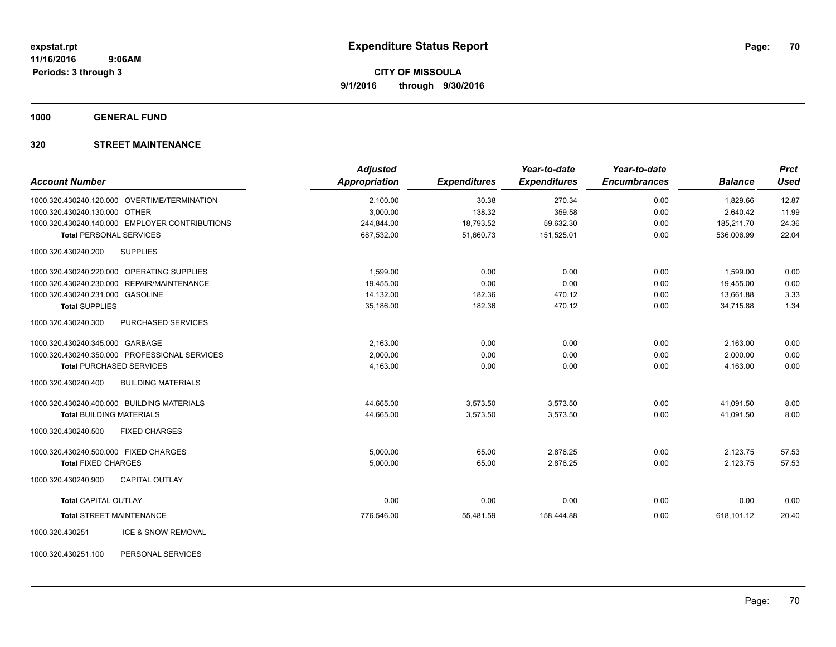**1000 GENERAL FUND**

### **320 STREET MAINTENANCE**

| <b>Account Number</b>                            | <b>Adjusted</b><br><b>Appropriation</b> | <b>Expenditures</b> | Year-to-date<br><b>Expenditures</b> | Year-to-date<br><b>Encumbrances</b> | <b>Balance</b> | <b>Prct</b><br><b>Used</b> |
|--------------------------------------------------|-----------------------------------------|---------------------|-------------------------------------|-------------------------------------|----------------|----------------------------|
|                                                  |                                         |                     |                                     |                                     |                |                            |
| 1000.320.430240.120.000 OVERTIME/TERMINATION     | 2,100.00                                | 30.38               | 270.34                              | 0.00                                | 1,829.66       | 12.87                      |
| 1000.320.430240.130.000 OTHER                    | 3,000.00                                | 138.32              | 359.58                              | 0.00                                | 2,640.42       | 11.99                      |
| 1000.320.430240.140.000 EMPLOYER CONTRIBUTIONS   | 244,844.00                              | 18,793.52           | 59,632.30                           | 0.00                                | 185,211.70     | 24.36                      |
| <b>Total PERSONAL SERVICES</b>                   | 687,532.00                              | 51,660.73           | 151,525.01                          | 0.00                                | 536,006.99     | 22.04                      |
| 1000.320.430240.200<br><b>SUPPLIES</b>           |                                         |                     |                                     |                                     |                |                            |
| 1000.320.430240.220.000 OPERATING SUPPLIES       | 1,599.00                                | 0.00                | 0.00                                | 0.00                                | 1,599.00       | 0.00                       |
| 1000.320.430240.230.000 REPAIR/MAINTENANCE       | 19,455.00                               | 0.00                | 0.00                                | 0.00                                | 19,455.00      | 0.00                       |
| 1000.320.430240.231.000 GASOLINE                 | 14,132.00                               | 182.36              | 470.12                              | 0.00                                | 13,661.88      | 3.33                       |
| <b>Total SUPPLIES</b>                            | 35,186.00                               | 182.36              | 470.12                              | 0.00                                | 34.715.88      | 1.34                       |
| PURCHASED SERVICES<br>1000.320.430240.300        |                                         |                     |                                     |                                     |                |                            |
| 1000.320.430240.345.000 GARBAGE                  | 2,163.00                                | 0.00                | 0.00                                | 0.00                                | 2,163.00       | 0.00                       |
| 1000.320.430240.350.000 PROFESSIONAL SERVICES    | 2,000.00                                | 0.00                | 0.00                                | 0.00                                | 2,000.00       | 0.00                       |
| <b>Total PURCHASED SERVICES</b>                  | 4,163.00                                | 0.00                | 0.00                                | 0.00                                | 4,163.00       | 0.00                       |
| 1000.320.430240.400<br><b>BUILDING MATERIALS</b> |                                         |                     |                                     |                                     |                |                            |
| 1000.320.430240.400.000 BUILDING MATERIALS       | 44,665.00                               | 3,573.50            | 3,573.50                            | 0.00                                | 41,091.50      | 8.00                       |
| <b>Total BUILDING MATERIALS</b>                  | 44,665.00                               | 3,573.50            | 3,573.50                            | 0.00                                | 41,091.50      | 8.00                       |
| <b>FIXED CHARGES</b><br>1000.320.430240.500      |                                         |                     |                                     |                                     |                |                            |
| 1000.320.430240.500.000 FIXED CHARGES            | 5,000.00                                | 65.00               | 2,876.25                            | 0.00                                | 2,123.75       | 57.53                      |
| <b>Total FIXED CHARGES</b>                       | 5,000.00                                | 65.00               | 2,876.25                            | 0.00                                | 2,123.75       | 57.53                      |
| <b>CAPITAL OUTLAY</b><br>1000.320.430240.900     |                                         |                     |                                     |                                     |                |                            |
| Total CAPITAL OUTLAY                             | 0.00                                    | 0.00                | 0.00                                | 0.00                                | 0.00           | 0.00                       |
| <b>Total STREET MAINTENANCE</b>                  | 776,546.00                              | 55,481.59           | 158,444.88                          | 0.00                                | 618,101.12     | 20.40                      |
| ICE & SNOW REMOVAL<br>1000.320.430251            |                                         |                     |                                     |                                     |                |                            |

1000.320.430251.100 PERSONAL SERVICES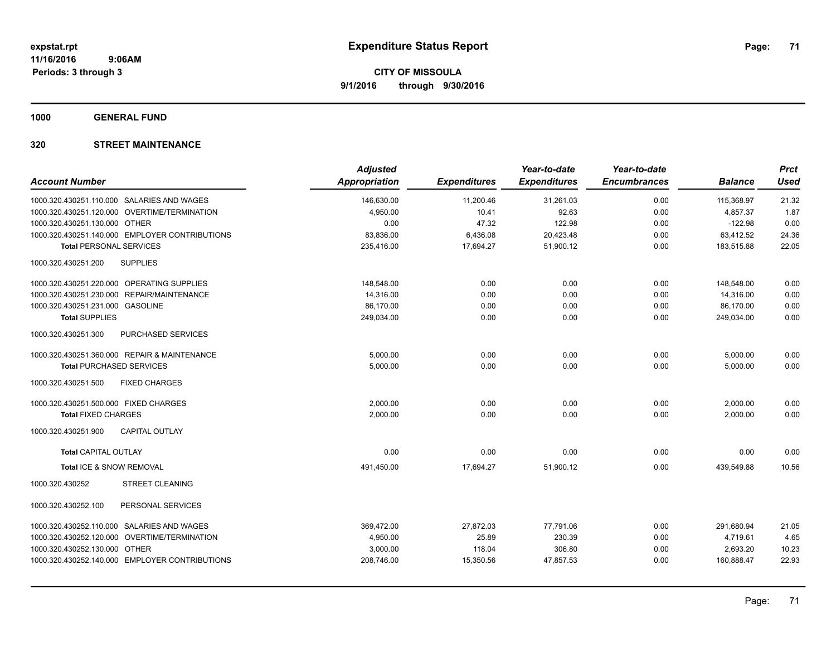**1000 GENERAL FUND**

|                                                | <b>Adjusted</b>      |                     | Year-to-date        | Year-to-date        |                | <b>Prct</b> |
|------------------------------------------------|----------------------|---------------------|---------------------|---------------------|----------------|-------------|
| <b>Account Number</b>                          | <b>Appropriation</b> | <b>Expenditures</b> | <b>Expenditures</b> | <b>Encumbrances</b> | <b>Balance</b> | <b>Used</b> |
| 1000.320.430251.110.000 SALARIES AND WAGES     | 146,630.00           | 11,200.46           | 31,261.03           | 0.00                | 115,368.97     | 21.32       |
| 1000.320.430251.120.000 OVERTIME/TERMINATION   | 4,950.00             | 10.41               | 92.63               | 0.00                | 4.857.37       | 1.87        |
| 1000.320.430251.130.000 OTHER                  | 0.00                 | 47.32               | 122.98              | 0.00                | $-122.98$      | 0.00        |
| 1000.320.430251.140.000 EMPLOYER CONTRIBUTIONS | 83,836.00            | 6,436.08            | 20,423.48           | 0.00                | 63,412.52      | 24.36       |
| <b>Total PERSONAL SERVICES</b>                 | 235,416.00           | 17,694.27           | 51,900.12           | 0.00                | 183,515.88     | 22.05       |
| 1000.320.430251.200<br><b>SUPPLIES</b>         |                      |                     |                     |                     |                |             |
| 1000.320.430251.220.000 OPERATING SUPPLIES     | 148,548.00           | 0.00                | 0.00                | 0.00                | 148,548.00     | 0.00        |
| 1000.320.430251.230.000 REPAIR/MAINTENANCE     | 14,316.00            | 0.00                | 0.00                | 0.00                | 14,316.00      | 0.00        |
| 1000.320.430251.231.000 GASOLINE               | 86,170.00            | 0.00                | 0.00                | 0.00                | 86,170.00      | 0.00        |
| <b>Total SUPPLIES</b>                          | 249,034.00           | 0.00                | 0.00                | 0.00                | 249,034.00     | 0.00        |
| 1000.320.430251.300<br>PURCHASED SERVICES      |                      |                     |                     |                     |                |             |
| 1000.320.430251.360.000 REPAIR & MAINTENANCE   | 5,000.00             | 0.00                | 0.00                | 0.00                | 5,000.00       | 0.00        |
| <b>Total PURCHASED SERVICES</b>                | 5,000.00             | 0.00                | 0.00                | 0.00                | 5,000.00       | 0.00        |
| 1000.320.430251.500<br><b>FIXED CHARGES</b>    |                      |                     |                     |                     |                |             |
| 1000.320.430251.500.000 FIXED CHARGES          | 2,000.00             | 0.00                | 0.00                | 0.00                | 2,000.00       | 0.00        |
| <b>Total FIXED CHARGES</b>                     | 2,000.00             | 0.00                | 0.00                | 0.00                | 2,000.00       | 0.00        |
| 1000.320.430251.900<br><b>CAPITAL OUTLAY</b>   |                      |                     |                     |                     |                |             |
| <b>Total CAPITAL OUTLAY</b>                    | 0.00                 | 0.00                | 0.00                | 0.00                | 0.00           | 0.00        |
| Total ICE & SNOW REMOVAL                       | 491,450.00           | 17,694.27           | 51,900.12           | 0.00                | 439,549.88     | 10.56       |
| <b>STREET CLEANING</b><br>1000.320.430252      |                      |                     |                     |                     |                |             |
| PERSONAL SERVICES<br>1000.320.430252.100       |                      |                     |                     |                     |                |             |
| 1000.320.430252.110.000 SALARIES AND WAGES     | 369,472.00           | 27,872.03           | 77,791.06           | 0.00                | 291,680.94     | 21.05       |
| 1000.320.430252.120.000 OVERTIME/TERMINATION   | 4,950.00             | 25.89               | 230.39              | 0.00                | 4,719.61       | 4.65        |
| 1000.320.430252.130.000 OTHER                  | 3,000.00             | 118.04              | 306.80              | 0.00                | 2,693.20       | 10.23       |
| 1000.320.430252.140.000 EMPLOYER CONTRIBUTIONS | 208,746.00           | 15,350.56           | 47,857.53           | 0.00                | 160,888.47     | 22.93       |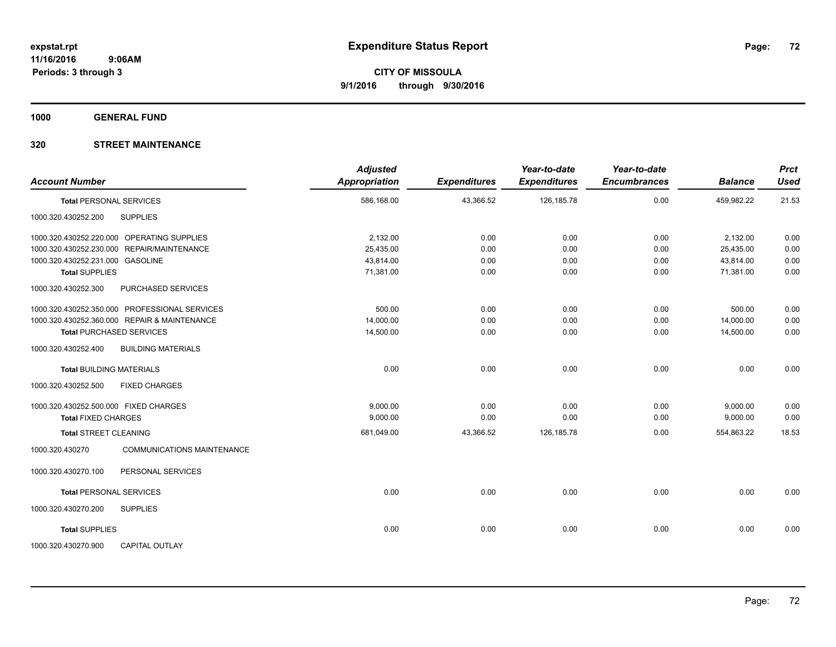**1000 GENERAL FUND**

| <b>Account Number</b>                                | <b>Adjusted</b><br>Appropriation | <b>Expenditures</b> | Year-to-date<br><b>Expenditures</b> | Year-to-date<br><b>Encumbrances</b> | <b>Balance</b> | <b>Prct</b><br><b>Used</b> |
|------------------------------------------------------|----------------------------------|---------------------|-------------------------------------|-------------------------------------|----------------|----------------------------|
| <b>Total PERSONAL SERVICES</b>                       | 586,168.00                       | 43,366.52           | 126, 185. 78                        | 0.00                                | 459,982.22     | 21.53                      |
| <b>SUPPLIES</b><br>1000.320.430252.200               |                                  |                     |                                     |                                     |                |                            |
| 1000.320.430252.220.000 OPERATING SUPPLIES           | 2,132.00                         | 0.00                | 0.00                                | 0.00                                | 2,132.00       | 0.00                       |
| 1000.320.430252.230.000 REPAIR/MAINTENANCE           | 25,435.00                        | 0.00                | 0.00                                | 0.00                                | 25,435.00      | 0.00                       |
| 1000.320.430252.231.000 GASOLINE                     | 43,814.00                        | 0.00                | 0.00                                | 0.00                                | 43,814.00      | 0.00                       |
| <b>Total SUPPLIES</b>                                | 71,381.00                        | 0.00                | 0.00                                | 0.00                                | 71,381.00      | 0.00                       |
| 1000.320.430252.300<br>PURCHASED SERVICES            |                                  |                     |                                     |                                     |                |                            |
| 1000.320.430252.350.000 PROFESSIONAL SERVICES        | 500.00                           | 0.00                | 0.00                                | 0.00                                | 500.00         | 0.00                       |
| 1000.320.430252.360.000 REPAIR & MAINTENANCE         | 14,000.00                        | 0.00                | 0.00                                | 0.00                                | 14,000.00      | 0.00                       |
| <b>Total PURCHASED SERVICES</b>                      | 14,500.00                        | 0.00                | 0.00                                | 0.00                                | 14,500.00      | 0.00                       |
| <b>BUILDING MATERIALS</b><br>1000.320.430252.400     |                                  |                     |                                     |                                     |                |                            |
| <b>Total BUILDING MATERIALS</b>                      | 0.00                             | 0.00                | 0.00                                | 0.00                                | 0.00           | 0.00                       |
| 1000.320.430252.500<br><b>FIXED CHARGES</b>          |                                  |                     |                                     |                                     |                |                            |
| 1000.320.430252.500.000 FIXED CHARGES                | 9,000.00                         | 0.00                | 0.00                                | 0.00                                | 9,000.00       | 0.00                       |
| <b>Total FIXED CHARGES</b>                           | 9,000.00                         | 0.00                | 0.00                                | 0.00                                | 9,000.00       | 0.00                       |
| <b>Total STREET CLEANING</b>                         | 681,049.00                       | 43,366.52           | 126, 185. 78                        | 0.00                                | 554.863.22     | 18.53                      |
| <b>COMMUNICATIONS MAINTENANCE</b><br>1000.320.430270 |                                  |                     |                                     |                                     |                |                            |
| PERSONAL SERVICES<br>1000.320.430270.100             |                                  |                     |                                     |                                     |                |                            |
| <b>Total PERSONAL SERVICES</b>                       | 0.00                             | 0.00                | 0.00                                | 0.00                                | 0.00           | 0.00                       |
| 1000.320.430270.200<br><b>SUPPLIES</b>               |                                  |                     |                                     |                                     |                |                            |
| <b>Total SUPPLIES</b>                                | 0.00                             | 0.00                | 0.00                                | 0.00                                | 0.00           | 0.00                       |
| 1000.320.430270.900<br><b>CAPITAL OUTLAY</b>         |                                  |                     |                                     |                                     |                |                            |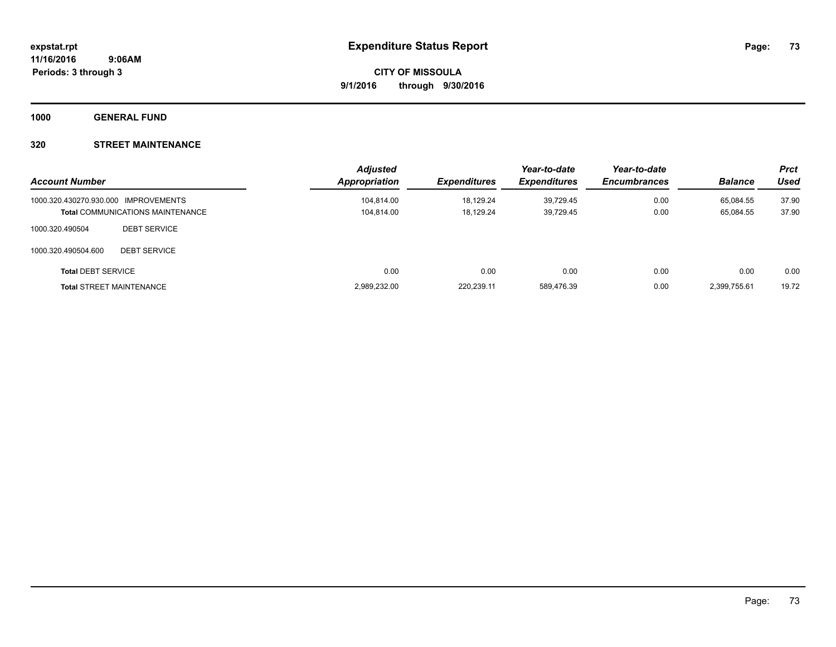**1000 GENERAL FUND**

### **320 STREET MAINTENANCE**

| <b>Account Number</b>                |                                         | <b>Adjusted</b><br>Appropriation | <b>Expenditures</b> | Year-to-date<br><b>Expenditures</b> | Year-to-date<br><b>Encumbrances</b> | <b>Balance</b> | <b>Prct</b><br>Used |
|--------------------------------------|-----------------------------------------|----------------------------------|---------------------|-------------------------------------|-------------------------------------|----------------|---------------------|
| 1000.320.430270.930.000 IMPROVEMENTS |                                         | 104,814.00                       | 18,129.24           | 39.729.45                           | 0.00                                | 65.084.55      | 37.90               |
|                                      | <b>Total COMMUNICATIONS MAINTENANCE</b> | 104,814.00                       | 18.129.24           | 39,729.45                           | 0.00                                | 65,084.55      | 37.90               |
| 1000.320.490504                      | <b>DEBT SERVICE</b>                     |                                  |                     |                                     |                                     |                |                     |
| 1000.320.490504.600                  | <b>DEBT SERVICE</b>                     |                                  |                     |                                     |                                     |                |                     |
| <b>Total DEBT SERVICE</b>            |                                         | 0.00                             | 0.00                | 0.00                                | 0.00                                | 0.00           | 0.00                |
|                                      | <b>Total STREET MAINTENANCE</b>         | 2,989,232.00                     | 220,239.11          | 589.476.39                          | 0.00                                | 2.399.755.61   | 19.72               |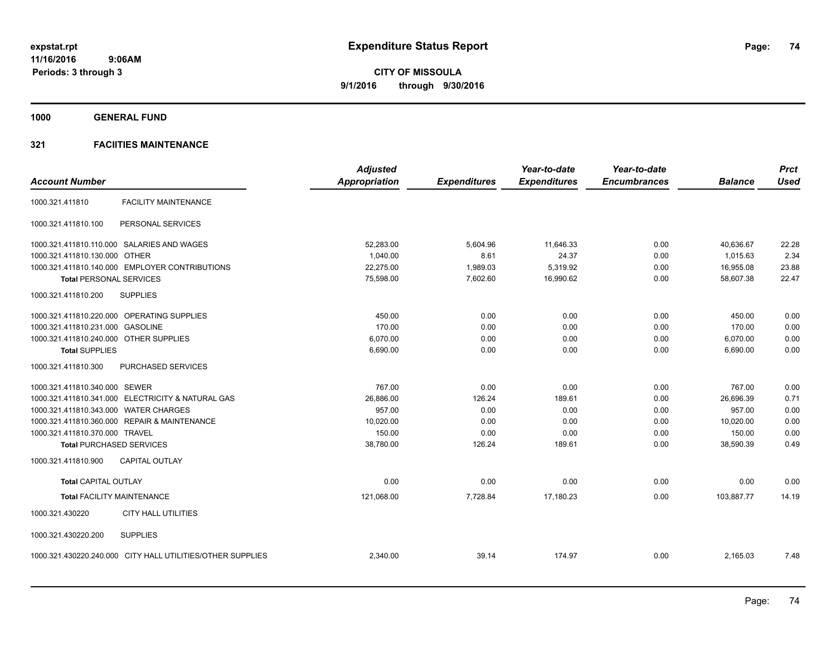**1000 GENERAL FUND**

|                                                            | <b>Adjusted</b>      |                     | Year-to-date        | Year-to-date        |                | <b>Prct</b> |
|------------------------------------------------------------|----------------------|---------------------|---------------------|---------------------|----------------|-------------|
| <b>Account Number</b>                                      | <b>Appropriation</b> | <b>Expenditures</b> | <b>Expenditures</b> | <b>Encumbrances</b> | <b>Balance</b> | <b>Used</b> |
| <b>FACILITY MAINTENANCE</b><br>1000.321.411810             |                      |                     |                     |                     |                |             |
| 1000.321.411810.100<br>PERSONAL SERVICES                   |                      |                     |                     |                     |                |             |
| 1000.321.411810.110.000 SALARIES AND WAGES                 | 52,283.00            | 5,604.96            | 11.646.33           | 0.00                | 40.636.67      | 22.28       |
| 1000.321.411810.130.000 OTHER                              | 1,040.00             | 8.61                | 24.37               | 0.00                | 1,015.63       | 2.34        |
| 1000.321.411810.140.000 EMPLOYER CONTRIBUTIONS             | 22,275.00            | 1,989.03            | 5,319.92            | 0.00                | 16,955.08      | 23.88       |
| <b>Total PERSONAL SERVICES</b>                             | 75,598.00            | 7,602.60            | 16,990.62           | 0.00                | 58,607.38      | 22.47       |
| 1000.321.411810.200<br><b>SUPPLIES</b>                     |                      |                     |                     |                     |                |             |
| 1000.321.411810.220.000 OPERATING SUPPLIES                 | 450.00               | 0.00                | 0.00                | 0.00                | 450.00         | 0.00        |
| 1000.321.411810.231.000 GASOLINE                           | 170.00               | 0.00                | 0.00                | 0.00                | 170.00         | 0.00        |
| 1000.321.411810.240.000 OTHER SUPPLIES                     | 6,070.00             | 0.00                | 0.00                | 0.00                | 6,070.00       | 0.00        |
| <b>Total SUPPLIES</b>                                      | 6,690.00             | 0.00                | 0.00                | 0.00                | 6,690.00       | 0.00        |
| 1000.321.411810.300<br>PURCHASED SERVICES                  |                      |                     |                     |                     |                |             |
| 1000.321.411810.340.000 SEWER                              | 767.00               | 0.00                | 0.00                | 0.00                | 767.00         | 0.00        |
| 1000.321.411810.341.000 ELECTRICITY & NATURAL GAS          | 26,886.00            | 126.24              | 189.61              | 0.00                | 26,696.39      | 0.71        |
| 1000.321.411810.343.000 WATER CHARGES                      | 957.00               | 0.00                | 0.00                | 0.00                | 957.00         | 0.00        |
| 1000.321.411810.360.000 REPAIR & MAINTENANCE               | 10,020.00            | 0.00                | 0.00                | 0.00                | 10,020.00      | 0.00        |
| 1000.321.411810.370.000 TRAVEL                             | 150.00               | 0.00                | 0.00                | 0.00                | 150.00         | 0.00        |
| <b>Total PURCHASED SERVICES</b>                            | 38,780.00            | 126.24              | 189.61              | 0.00                | 38,590.39      | 0.49        |
| <b>CAPITAL OUTLAY</b><br>1000.321.411810.900               |                      |                     |                     |                     |                |             |
| <b>Total CAPITAL OUTLAY</b>                                | 0.00                 | 0.00                | 0.00                | 0.00                | 0.00           | 0.00        |
| <b>Total FACILITY MAINTENANCE</b>                          | 121.068.00           | 7,728.84            | 17,180.23           | 0.00                | 103.887.77     | 14.19       |
| 1000.321.430220<br><b>CITY HALL UTILITIES</b>              |                      |                     |                     |                     |                |             |
| 1000.321.430220.200<br><b>SUPPLIES</b>                     |                      |                     |                     |                     |                |             |
| 1000.321.430220.240.000 CITY HALL UTILITIES/OTHER SUPPLIES | 2,340.00             | 39.14               | 174.97              | 0.00                | 2,165.03       | 7.48        |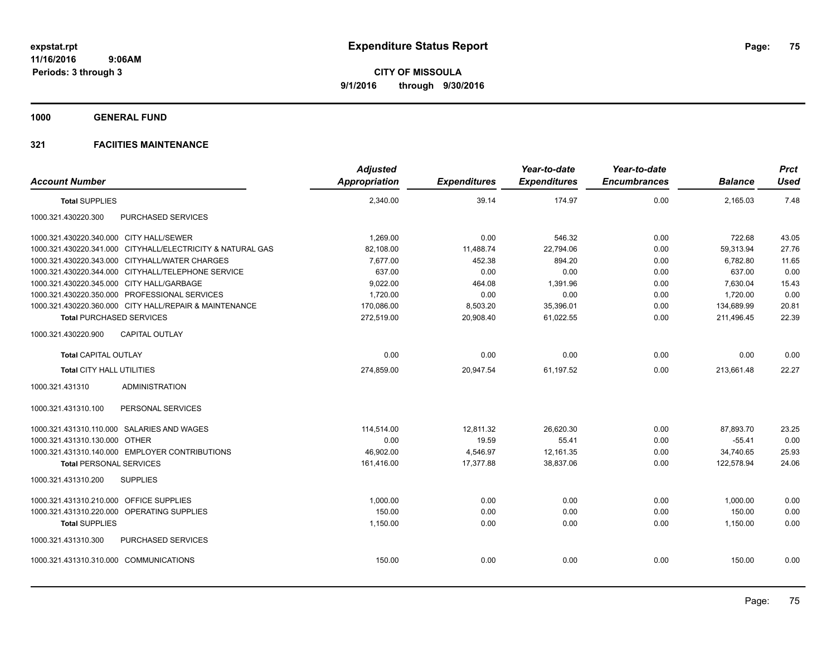**1000 GENERAL FUND**

|                                                            | <b>Adjusted</b> |                     | Year-to-date        | Year-to-date        |                | <b>Prct</b> |
|------------------------------------------------------------|-----------------|---------------------|---------------------|---------------------|----------------|-------------|
| <b>Account Number</b>                                      | Appropriation   | <b>Expenditures</b> | <b>Expenditures</b> | <b>Encumbrances</b> | <b>Balance</b> | Used        |
| <b>Total SUPPLIES</b>                                      | 2,340.00        | 39.14               | 174.97              | 0.00                | 2,165.03       | 7.48        |
| PURCHASED SERVICES<br>1000.321.430220.300                  |                 |                     |                     |                     |                |             |
| 1000.321.430220.340.000 CITY HALL/SEWER                    | 1,269.00        | 0.00                | 546.32              | 0.00                | 722.68         | 43.05       |
| 1000.321.430220.341.000 CITYHALL/ELECTRICITY & NATURAL GAS | 82.108.00       | 11.488.74           | 22.794.06           | 0.00                | 59.313.94      | 27.76       |
| 1000.321.430220.343.000 CITYHALL/WATER CHARGES             | 7,677.00        | 452.38              | 894.20              | 0.00                | 6,782.80       | 11.65       |
| 1000.321.430220.344.000 CITYHALL/TELEPHONE SERVICE         | 637.00          | 0.00                | 0.00                | 0.00                | 637.00         | 0.00        |
| 1000.321.430220.345.000 CITY HALL/GARBAGE                  | 9,022.00        | 464.08              | 1,391.96            | 0.00                | 7,630.04       | 15.43       |
| 1000.321.430220.350.000 PROFESSIONAL SERVICES              | 1,720.00        | 0.00                | 0.00                | 0.00                | 1.720.00       | 0.00        |
| 1000.321.430220.360.000 CITY HALL/REPAIR & MAINTENANCE     | 170,086.00      | 8,503.20            | 35,396.01           | 0.00                | 134,689.99     | 20.81       |
| <b>Total PURCHASED SERVICES</b>                            | 272,519.00      | 20,908.40           | 61,022.55           | 0.00                | 211,496.45     | 22.39       |
| 1000.321.430220.900<br><b>CAPITAL OUTLAY</b>               |                 |                     |                     |                     |                |             |
| <b>Total CAPITAL OUTLAY</b>                                | 0.00            | 0.00                | 0.00                | 0.00                | 0.00           | 0.00        |
| Total CITY HALL UTILITIES                                  | 274,859.00      | 20,947.54           | 61,197.52           | 0.00                | 213,661.48     | 22.27       |
| <b>ADMINISTRATION</b><br>1000.321.431310                   |                 |                     |                     |                     |                |             |
| 1000.321.431310.100<br>PERSONAL SERVICES                   |                 |                     |                     |                     |                |             |
| 1000.321.431310.110.000 SALARIES AND WAGES                 | 114,514.00      | 12,811.32           | 26,620.30           | 0.00                | 87,893.70      | 23.25       |
| 1000.321.431310.130.000 OTHER                              | 0.00            | 19.59               | 55.41               | 0.00                | $-55.41$       | 0.00        |
| 1000.321.431310.140.000 EMPLOYER CONTRIBUTIONS             | 46.902.00       | 4,546.97            | 12.161.35           | 0.00                | 34.740.65      | 25.93       |
| <b>Total PERSONAL SERVICES</b>                             | 161,416.00      | 17,377.88           | 38,837.06           | 0.00                | 122,578.94     | 24.06       |
| <b>SUPPLIES</b><br>1000.321.431310.200                     |                 |                     |                     |                     |                |             |
| 1000.321.431310.210.000 OFFICE SUPPLIES                    | 1.000.00        | 0.00                | 0.00                | 0.00                | 1.000.00       | 0.00        |
| 1000.321.431310.220.000 OPERATING SUPPLIES                 | 150.00          | 0.00                | 0.00                | 0.00                | 150.00         | 0.00        |
| <b>Total SUPPLIES</b>                                      | 1,150.00        | 0.00                | 0.00                | 0.00                | 1,150.00       | 0.00        |
| PURCHASED SERVICES<br>1000.321.431310.300                  |                 |                     |                     |                     |                |             |
| 1000.321.431310.310.000 COMMUNICATIONS                     | 150.00          | 0.00                | 0.00                | 0.00                | 150.00         | 0.00        |
|                                                            |                 |                     |                     |                     |                |             |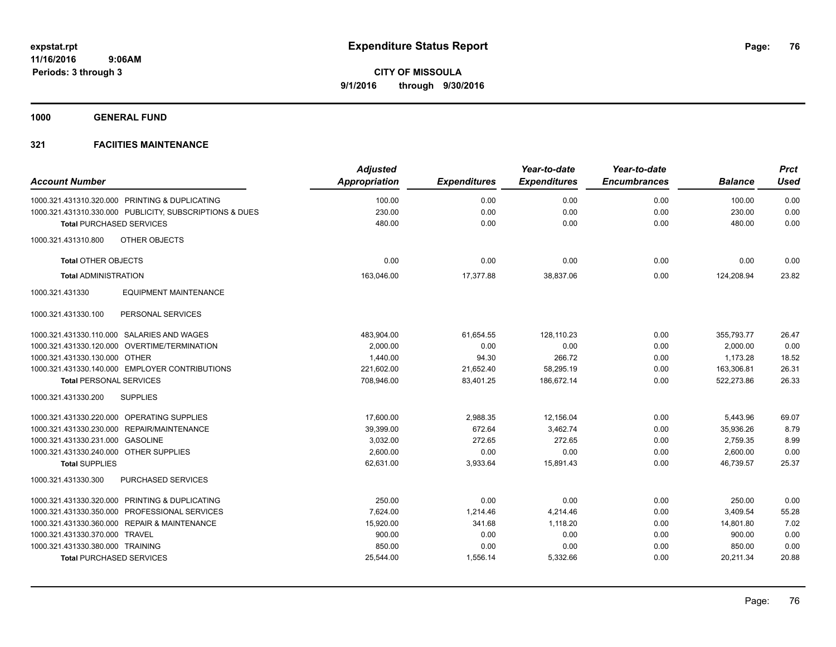**1000 GENERAL FUND**

| <b>Account Number</b>                  |                                                         | <b>Adjusted</b><br><b>Appropriation</b> | <b>Expenditures</b> | Year-to-date<br><b>Expenditures</b> | Year-to-date<br><b>Encumbrances</b> | <b>Balance</b> | <b>Prct</b><br><b>Used</b> |
|----------------------------------------|---------------------------------------------------------|-----------------------------------------|---------------------|-------------------------------------|-------------------------------------|----------------|----------------------------|
|                                        |                                                         |                                         |                     |                                     |                                     |                |                            |
|                                        | 1000.321.431310.320.000 PRINTING & DUPLICATING          | 100.00                                  | 0.00                | 0.00                                | 0.00                                | 100.00         | 0.00                       |
|                                        | 1000.321.431310.330.000 PUBLICITY, SUBSCRIPTIONS & DUES | 230.00                                  | 0.00                | 0.00                                | 0.00                                | 230.00         | 0.00                       |
|                                        | <b>Total PURCHASED SERVICES</b>                         | 480.00                                  | 0.00                | 0.00                                | 0.00                                | 480.00         | 0.00                       |
| 1000.321.431310.800                    | OTHER OBJECTS                                           |                                         |                     |                                     |                                     |                |                            |
| <b>Total OTHER OBJECTS</b>             |                                                         | 0.00                                    | 0.00                | 0.00                                | 0.00                                | 0.00           | 0.00                       |
| <b>Total ADMINISTRATION</b>            |                                                         | 163,046.00                              | 17,377.88           | 38,837.06                           | 0.00                                | 124,208.94     | 23.82                      |
| 1000.321.431330                        | <b>EQUIPMENT MAINTENANCE</b>                            |                                         |                     |                                     |                                     |                |                            |
| 1000.321.431330.100                    | PERSONAL SERVICES                                       |                                         |                     |                                     |                                     |                |                            |
|                                        | 1000.321.431330.110.000 SALARIES AND WAGES              | 483,904.00                              | 61,654.55           | 128,110.23                          | 0.00                                | 355,793.77     | 26.47                      |
|                                        | 1000.321.431330.120.000 OVERTIME/TERMINATION            | 2,000.00                                | 0.00                | 0.00                                | 0.00                                | 2,000.00       | 0.00                       |
| 1000.321.431330.130.000 OTHER          |                                                         | 1.440.00                                | 94.30               | 266.72                              | 0.00                                | 1,173.28       | 18.52                      |
|                                        | 1000.321.431330.140.000 EMPLOYER CONTRIBUTIONS          | 221,602.00                              | 21,652.40           | 58,295.19                           | 0.00                                | 163,306.81     | 26.31                      |
| <b>Total PERSONAL SERVICES</b>         |                                                         | 708,946.00                              | 83,401.25           | 186,672.14                          | 0.00                                | 522,273.86     | 26.33                      |
| 1000.321.431330.200                    | <b>SUPPLIES</b>                                         |                                         |                     |                                     |                                     |                |                            |
|                                        | 1000.321.431330.220.000 OPERATING SUPPLIES              | 17,600.00                               | 2,988.35            | 12,156.04                           | 0.00                                | 5,443.96       | 69.07                      |
|                                        | 1000.321.431330.230.000 REPAIR/MAINTENANCE              | 39,399.00                               | 672.64              | 3,462.74                            | 0.00                                | 35,936.26      | 8.79                       |
| 1000.321.431330.231.000 GASOLINE       |                                                         | 3,032.00                                | 272.65              | 272.65                              | 0.00                                | 2,759.35       | 8.99                       |
| 1000.321.431330.240.000 OTHER SUPPLIES |                                                         | 2.600.00                                | 0.00                | 0.00                                | 0.00                                | 2,600.00       | 0.00                       |
| <b>Total SUPPLIES</b>                  |                                                         | 62,631.00                               | 3,933.64            | 15,891.43                           | 0.00                                | 46.739.57      | 25.37                      |
| 1000.321.431330.300                    | PURCHASED SERVICES                                      |                                         |                     |                                     |                                     |                |                            |
|                                        | 1000.321.431330.320.000 PRINTING & DUPLICATING          | 250.00                                  | 0.00                | 0.00                                | 0.00                                | 250.00         | 0.00                       |
| 1000.321.431330.350.000                | PROFESSIONAL SERVICES                                   | 7.624.00                                | 1,214.46            | 4,214.46                            | 0.00                                | 3,409.54       | 55.28                      |
|                                        | 1000.321.431330.360.000 REPAIR & MAINTENANCE            | 15,920.00                               | 341.68              | 1,118.20                            | 0.00                                | 14,801.80      | 7.02                       |
| 1000.321.431330.370.000 TRAVEL         |                                                         | 900.00                                  | 0.00                | 0.00                                | 0.00                                | 900.00         | 0.00                       |
| 1000.321.431330.380.000 TRAINING       |                                                         | 850.00                                  | 0.00                | 0.00                                | 0.00                                | 850.00         | 0.00                       |
|                                        | <b>Total PURCHASED SERVICES</b>                         | 25,544.00                               | 1,556.14            | 5,332.66                            | 0.00                                | 20,211.34      | 20.88                      |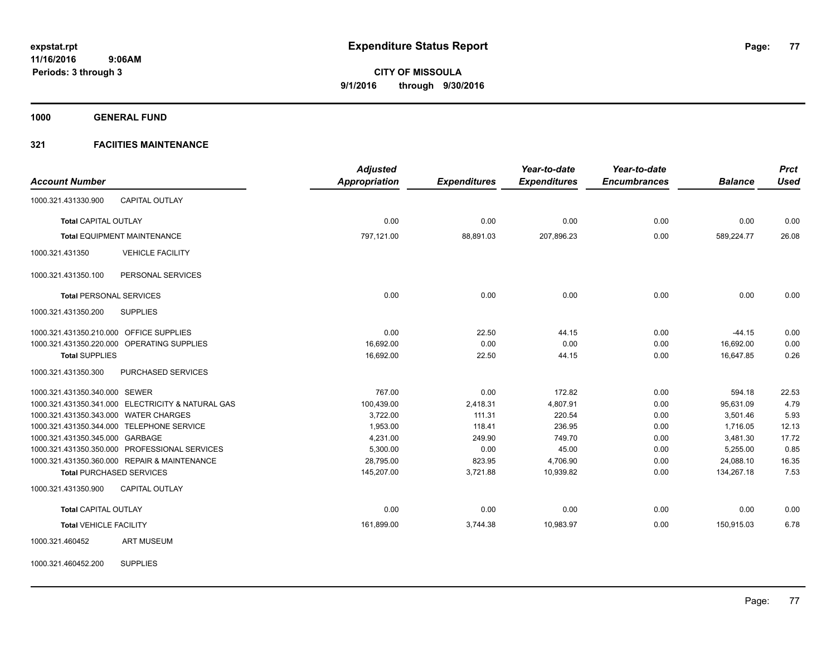**1000 GENERAL FUND**

### **321 FACIITIES MAINTENANCE**

|                                                   | <b>Adjusted</b>      |                     | Year-to-date        | Year-to-date        |                | <b>Prct</b> |
|---------------------------------------------------|----------------------|---------------------|---------------------|---------------------|----------------|-------------|
| <b>Account Number</b>                             | <b>Appropriation</b> | <b>Expenditures</b> | <b>Expenditures</b> | <b>Encumbrances</b> | <b>Balance</b> | <b>Used</b> |
| <b>CAPITAL OUTLAY</b><br>1000.321.431330.900      |                      |                     |                     |                     |                |             |
| <b>Total CAPITAL OUTLAY</b>                       | 0.00                 | 0.00                | 0.00                | 0.00                | 0.00           | 0.00        |
| Total EQUIPMENT MAINTENANCE                       | 797,121.00           | 88,891.03           | 207,896.23          | 0.00                | 589,224.77     | 26.08       |
| 1000.321.431350<br><b>VEHICLE FACILITY</b>        |                      |                     |                     |                     |                |             |
| PERSONAL SERVICES<br>1000.321.431350.100          |                      |                     |                     |                     |                |             |
| <b>Total PERSONAL SERVICES</b>                    | 0.00                 | 0.00                | 0.00                | 0.00                | 0.00           | 0.00        |
| <b>SUPPLIES</b><br>1000.321.431350.200            |                      |                     |                     |                     |                |             |
| 1000.321.431350.210.000 OFFICE SUPPLIES           | 0.00                 | 22.50               | 44.15               | 0.00                | $-44.15$       | 0.00        |
| 1000.321.431350.220.000 OPERATING SUPPLIES        | 16,692.00            | 0.00                | 0.00                | 0.00                | 16,692.00      | 0.00        |
| <b>Total SUPPLIES</b>                             | 16,692.00            | 22.50               | 44.15               | 0.00                | 16,647.85      | 0.26        |
| 1000.321.431350.300<br>PURCHASED SERVICES         |                      |                     |                     |                     |                |             |
| 1000.321.431350.340.000 SEWER                     | 767.00               | 0.00                | 172.82              | 0.00                | 594.18         | 22.53       |
| 1000.321.431350.341.000 ELECTRICITY & NATURAL GAS | 100,439.00           | 2,418.31            | 4,807.91            | 0.00                | 95,631.09      | 4.79        |
| 1000.321.431350.343.000 WATER CHARGES             | 3,722.00             | 111.31              | 220.54              | 0.00                | 3.501.46       | 5.93        |
| 1000.321.431350.344.000 TELEPHONE SERVICE         | 1,953.00             | 118.41              | 236.95              | 0.00                | 1,716.05       | 12.13       |
| 1000.321.431350.345.000 GARBAGE                   | 4,231.00             | 249.90              | 749.70              | 0.00                | 3,481.30       | 17.72       |
| 1000.321.431350.350.000 PROFESSIONAL SERVICES     | 5,300.00             | 0.00                | 45.00               | 0.00                | 5,255.00       | 0.85        |
| 1000.321.431350.360.000 REPAIR & MAINTENANCE      | 28,795.00            | 823.95              | 4,706.90            | 0.00                | 24,088.10      | 16.35       |
| <b>Total PURCHASED SERVICES</b>                   | 145,207.00           | 3,721.88            | 10,939.82           | 0.00                | 134,267.18     | 7.53        |
| 1000.321.431350.900<br><b>CAPITAL OUTLAY</b>      |                      |                     |                     |                     |                |             |
| <b>Total CAPITAL OUTLAY</b>                       | 0.00                 | 0.00                | 0.00                | 0.00                | 0.00           | 0.00        |
| <b>Total VEHICLE FACILITY</b>                     | 161,899.00           | 3,744.38            | 10,983.97           | 0.00                | 150,915.03     | 6.78        |
| <b>ART MUSEUM</b><br>1000.321.460452              |                      |                     |                     |                     |                |             |
|                                                   |                      |                     |                     |                     |                |             |

1000.321.460452.200 SUPPLIES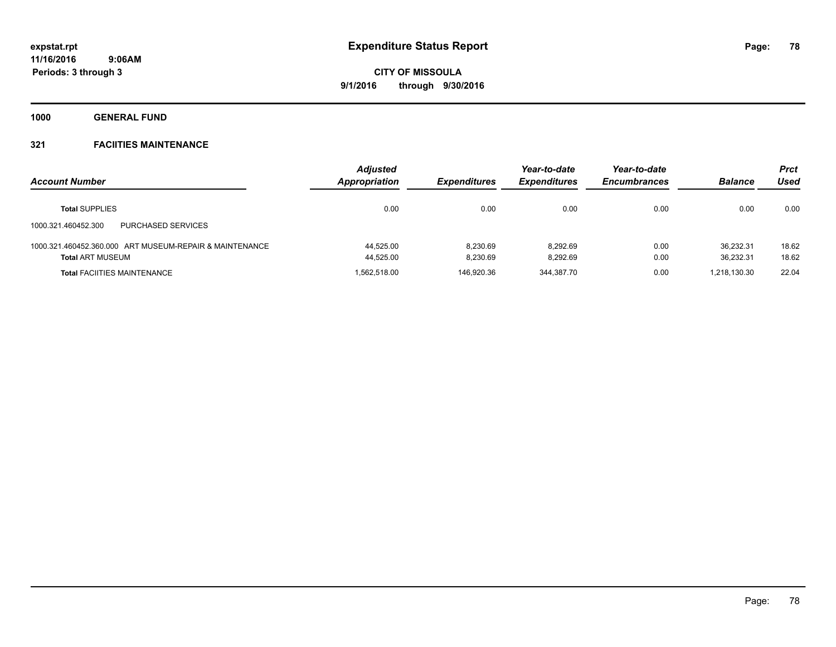**1000 GENERAL FUND**

| <b>Account Number</b>                                                              | <b>Adjusted</b><br>Appropriation | <b>Expenditures</b>  | Year-to-date<br><b>Expenditures</b> | Year-to-date<br><b>Encumbrances</b> | <b>Balance</b>         | <b>Prct</b><br>Used |
|------------------------------------------------------------------------------------|----------------------------------|----------------------|-------------------------------------|-------------------------------------|------------------------|---------------------|
| <b>Total SUPPLIES</b>                                                              | 0.00                             | 0.00                 | 0.00                                | 0.00                                | 0.00                   | 0.00                |
| PURCHASED SERVICES<br>1000.321.460452.300                                          |                                  |                      |                                     |                                     |                        |                     |
| 1000.321.460452.360.000 ART MUSEUM-REPAIR & MAINTENANCE<br><b>Total ART MUSEUM</b> | 44.525.00<br>44,525.00           | 8.230.69<br>8.230.69 | 8.292.69<br>8.292.69                | 0.00<br>0.00                        | 36.232.31<br>36.232.31 | 18.62<br>18.62      |
| <b>Total FACIITIES MAINTENANCE</b>                                                 | 1.562.518.00                     | 146.920.36           | 344.387.70                          | 0.00                                | 1.218.130.30           | 22.04               |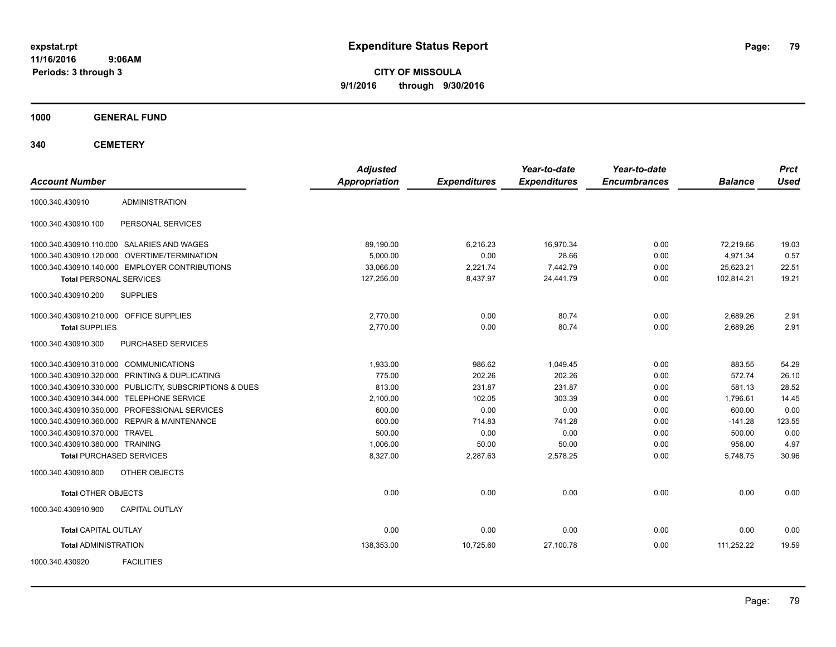**CITY OF MISSOULA 9/1/2016 through 9/30/2016**

**1000 GENERAL FUND**

**340 CEMETERY**

| <b>Account Number</b>                                   | <b>Adjusted</b><br>Appropriation | <b>Expenditures</b> | Year-to-date<br><b>Expenditures</b> | Year-to-date<br><b>Encumbrances</b> | <b>Balance</b> | <b>Prct</b><br><b>Used</b> |
|---------------------------------------------------------|----------------------------------|---------------------|-------------------------------------|-------------------------------------|----------------|----------------------------|
| <b>ADMINISTRATION</b><br>1000.340.430910                |                                  |                     |                                     |                                     |                |                            |
| 1000.340.430910.100<br>PERSONAL SERVICES                |                                  |                     |                                     |                                     |                |                            |
| 1000.340.430910.110.000 SALARIES AND WAGES              | 89,190.00                        | 6,216.23            | 16,970.34                           | 0.00                                | 72,219.66      | 19.03                      |
| 1000.340.430910.120.000 OVERTIME/TERMINATION            | 5,000.00                         | 0.00                | 28.66                               | 0.00                                | 4,971.34       | 0.57                       |
| 1000.340.430910.140.000 EMPLOYER CONTRIBUTIONS          | 33,066.00                        | 2,221.74            | 7,442.79                            | 0.00                                | 25,623.21      | 22.51                      |
| <b>Total PERSONAL SERVICES</b>                          | 127,256.00                       | 8,437.97            | 24,441.79                           | 0.00                                | 102,814.21     | 19.21                      |
| <b>SUPPLIES</b><br>1000.340.430910.200                  |                                  |                     |                                     |                                     |                |                            |
| 1000.340.430910.210.000 OFFICE SUPPLIES                 | 2,770.00                         | 0.00                | 80.74                               | 0.00                                | 2,689.26       | 2.91                       |
| <b>Total SUPPLIES</b>                                   | 2,770.00                         | 0.00                | 80.74                               | 0.00                                | 2,689.26       | 2.91                       |
| 1000.340.430910.300<br>PURCHASED SERVICES               |                                  |                     |                                     |                                     |                |                            |
| 1000.340.430910.310.000 COMMUNICATIONS                  | 1,933.00                         | 986.62              | 1,049.45                            | 0.00                                | 883.55         | 54.29                      |
| 1000.340.430910.320.000 PRINTING & DUPLICATING          | 775.00                           | 202.26              | 202.26                              | 0.00                                | 572.74         | 26.10                      |
| 1000.340.430910.330.000 PUBLICITY, SUBSCRIPTIONS & DUES | 813.00                           | 231.87              | 231.87                              | 0.00                                | 581.13         | 28.52                      |
| 1000.340.430910.344.000 TELEPHONE SERVICE               | 2,100.00                         | 102.05              | 303.39                              | 0.00                                | 1,796.61       | 14.45                      |
| 1000.340.430910.350.000 PROFESSIONAL SERVICES           | 600.00                           | 0.00                | 0.00                                | 0.00                                | 600.00         | 0.00                       |
| 1000.340.430910.360.000 REPAIR & MAINTENANCE            | 600.00                           | 714.83              | 741.28                              | 0.00                                | $-141.28$      | 123.55                     |
| 1000.340.430910.370.000 TRAVEL                          | 500.00                           | 0.00                | 0.00                                | 0.00                                | 500.00         | 0.00                       |
| 1000.340.430910.380.000 TRAINING                        | 1,006.00                         | 50.00               | 50.00                               | 0.00                                | 956.00         | 4.97                       |
| <b>Total PURCHASED SERVICES</b>                         | 8,327.00                         | 2,287.63            | 2,578.25                            | 0.00                                | 5,748.75       | 30.96                      |
| OTHER OBJECTS<br>1000.340.430910.800                    |                                  |                     |                                     |                                     |                |                            |
| <b>Total OTHER OBJECTS</b>                              | 0.00                             | 0.00                | 0.00                                | 0.00                                | 0.00           | 0.00                       |
| 1000.340.430910.900<br><b>CAPITAL OUTLAY</b>            |                                  |                     |                                     |                                     |                |                            |
| <b>Total CAPITAL OUTLAY</b>                             | 0.00                             | 0.00                | 0.00                                | 0.00                                | 0.00           | 0.00                       |
| <b>Total ADMINISTRATION</b>                             | 138,353.00                       | 10,725.60           | 27,100.78                           | 0.00                                | 111,252.22     | 19.59                      |
| <b>FACILITIES</b><br>1000.340.430920                    |                                  |                     |                                     |                                     |                |                            |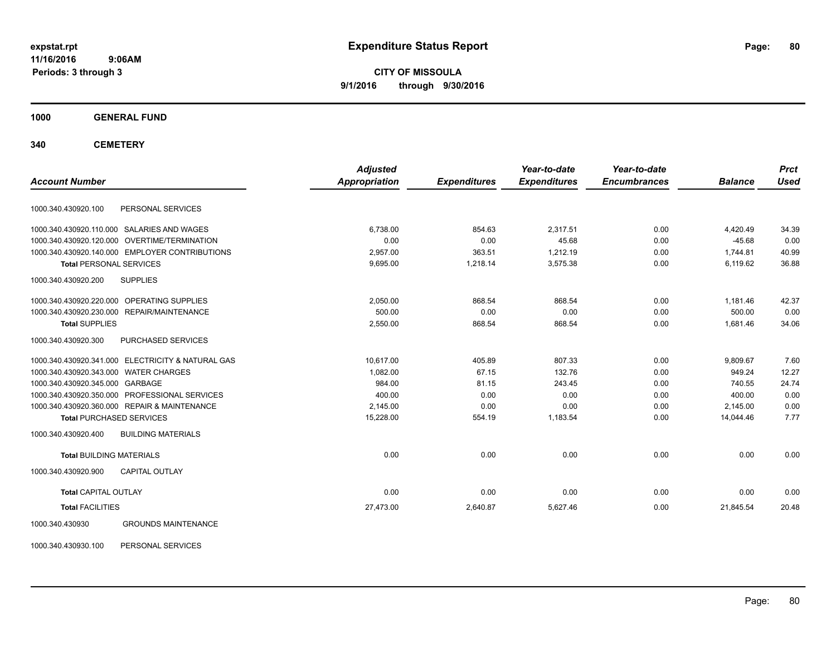**CITY OF MISSOULA 9/1/2016 through 9/30/2016**

**1000 GENERAL FUND**

**340 CEMETERY**

| <b>Account Number</b>                 |                                                   | <b>Adjusted</b><br><b>Appropriation</b> |                     | Year-to-date<br><b>Expenditures</b> | Year-to-date<br><b>Encumbrances</b> | <b>Balance</b> | <b>Prct</b><br><b>Used</b> |
|---------------------------------------|---------------------------------------------------|-----------------------------------------|---------------------|-------------------------------------|-------------------------------------|----------------|----------------------------|
|                                       |                                                   |                                         | <b>Expenditures</b> |                                     |                                     |                |                            |
| 1000.340.430920.100                   | PERSONAL SERVICES                                 |                                         |                     |                                     |                                     |                |                            |
|                                       | 1000.340.430920.110.000 SALARIES AND WAGES        | 6,738.00                                | 854.63              | 2,317.51                            | 0.00                                | 4,420.49       | 34.39                      |
| 1000.340.430920.120.000               | <b>OVERTIME/TERMINATION</b>                       | 0.00                                    | 0.00                | 45.68                               | 0.00                                | $-45.68$       | 0.00                       |
|                                       | 1000.340.430920.140.000 EMPLOYER CONTRIBUTIONS    | 2,957.00                                | 363.51              | 1,212.19                            | 0.00                                | 1,744.81       | 40.99                      |
| <b>Total PERSONAL SERVICES</b>        |                                                   | 9,695.00                                | 1,218.14            | 3,575.38                            | 0.00                                | 6,119.62       | 36.88                      |
| 1000.340.430920.200                   | <b>SUPPLIES</b>                                   |                                         |                     |                                     |                                     |                |                            |
|                                       | 1000.340.430920.220.000 OPERATING SUPPLIES        | 2,050.00                                | 868.54              | 868.54                              | 0.00                                | 1.181.46       | 42.37                      |
|                                       | 1000.340.430920.230.000 REPAIR/MAINTENANCE        | 500.00                                  | 0.00                | 0.00                                | 0.00                                | 500.00         | 0.00                       |
| <b>Total SUPPLIES</b>                 |                                                   | 2,550.00                                | 868.54              | 868.54                              | 0.00                                | 1,681.46       | 34.06                      |
| 1000.340.430920.300                   | PURCHASED SERVICES                                |                                         |                     |                                     |                                     |                |                            |
|                                       | 1000.340.430920.341.000 ELECTRICITY & NATURAL GAS | 10.617.00                               | 405.89              | 807.33                              | 0.00                                | 9,809.67       | 7.60                       |
| 1000.340.430920.343.000 WATER CHARGES |                                                   | 1.082.00                                | 67.15               | 132.76                              | 0.00                                | 949.24         | 12.27                      |
| 1000.340.430920.345.000 GARBAGE       |                                                   | 984.00                                  | 81.15               | 243.45                              | 0.00                                | 740.55         | 24.74                      |
|                                       | 1000.340.430920.350.000 PROFESSIONAL SERVICES     | 400.00                                  | 0.00                | 0.00                                | 0.00                                | 400.00         | 0.00                       |
|                                       | 1000.340.430920.360.000 REPAIR & MAINTENANCE      | 2,145.00                                | 0.00                | 0.00                                | 0.00                                | 2,145.00       | 0.00                       |
|                                       | <b>Total PURCHASED SERVICES</b>                   | 15,228.00                               | 554.19              | 1,183.54                            | 0.00                                | 14.044.46      | 7.77                       |
| 1000.340.430920.400                   | <b>BUILDING MATERIALS</b>                         |                                         |                     |                                     |                                     |                |                            |
| <b>Total BUILDING MATERIALS</b>       |                                                   | 0.00                                    | 0.00                | 0.00                                | 0.00                                | 0.00           | 0.00                       |
| 1000.340.430920.900                   | <b>CAPITAL OUTLAY</b>                             |                                         |                     |                                     |                                     |                |                            |
| <b>Total CAPITAL OUTLAY</b>           |                                                   | 0.00                                    | 0.00                | 0.00                                | 0.00                                | 0.00           | 0.00                       |
| <b>Total FACILITIES</b>               |                                                   | 27,473.00                               | 2,640.87            | 5,627.46                            | 0.00                                | 21,845.54      | 20.48                      |
| 1000.340.430930                       | <b>GROUNDS MAINTENANCE</b>                        |                                         |                     |                                     |                                     |                |                            |

1000.340.430930.100 PERSONAL SERVICES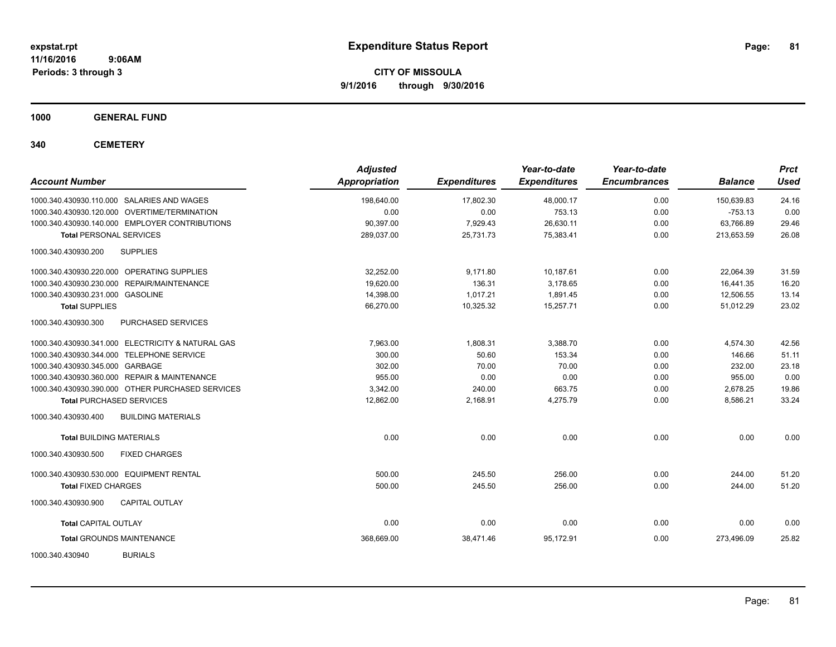**CITY OF MISSOULA 9/1/2016 through 9/30/2016**

**1000 GENERAL FUND**

**340 CEMETERY**

| <b>Account Number</b>                             | <b>Adjusted</b><br><b>Appropriation</b> | <b>Expenditures</b> | Year-to-date<br><b>Expenditures</b> | Year-to-date<br><b>Encumbrances</b> | <b>Balance</b> | <b>Prct</b><br><b>Used</b> |
|---------------------------------------------------|-----------------------------------------|---------------------|-------------------------------------|-------------------------------------|----------------|----------------------------|
| 1000.340.430930.110.000 SALARIES AND WAGES        | 198,640.00                              | 17.802.30           | 48,000.17                           | 0.00                                | 150.639.83     | 24.16                      |
| 1000.340.430930.120.000 OVERTIME/TERMINATION      | 0.00                                    | 0.00                | 753.13                              | 0.00                                | $-753.13$      | 0.00                       |
| 1000.340.430930.140.000 EMPLOYER CONTRIBUTIONS    | 90,397.00                               | 7,929.43            | 26,630.11                           | 0.00                                | 63,766.89      | 29.46                      |
| <b>Total PERSONAL SERVICES</b>                    | 289,037.00                              | 25,731.73           | 75,383.41                           | 0.00                                | 213,653.59     | 26.08                      |
| <b>SUPPLIES</b><br>1000.340.430930.200            |                                         |                     |                                     |                                     |                |                            |
| 1000.340.430930.220.000 OPERATING SUPPLIES        | 32,252.00                               | 9,171.80            | 10,187.61                           | 0.00                                | 22,064.39      | 31.59                      |
| 1000.340.430930.230.000 REPAIR/MAINTENANCE        | 19,620.00                               | 136.31              | 3,178.65                            | 0.00                                | 16,441.35      | 16.20                      |
| 1000.340.430930.231.000 GASOLINE                  | 14,398.00                               | 1.017.21            | 1,891.45                            | 0.00                                | 12,506.55      | 13.14                      |
| <b>Total SUPPLIES</b>                             | 66,270.00                               | 10,325.32           | 15,257.71                           | 0.00                                | 51,012.29      | 23.02                      |
| 1000.340.430930.300<br>PURCHASED SERVICES         |                                         |                     |                                     |                                     |                |                            |
| 1000.340.430930.341.000 ELECTRICITY & NATURAL GAS | 7,963.00                                | 1,808.31            | 3,388.70                            | 0.00                                | 4,574.30       | 42.56                      |
| 1000.340.430930.344.000 TELEPHONE SERVICE         | 300.00                                  | 50.60               | 153.34                              | 0.00                                | 146.66         | 51.11                      |
| 1000.340.430930.345.000 GARBAGE                   | 302.00                                  | 70.00               | 70.00                               | 0.00                                | 232.00         | 23.18                      |
| 1000.340.430930.360.000 REPAIR & MAINTENANCE      | 955.00                                  | 0.00                | 0.00                                | 0.00                                | 955.00         | 0.00                       |
| 1000.340.430930.390.000 OTHER PURCHASED SERVICES  | 3,342.00                                | 240.00              | 663.75                              | 0.00                                | 2,678.25       | 19.86                      |
| <b>Total PURCHASED SERVICES</b>                   | 12,862.00                               | 2,168.91            | 4,275.79                            | 0.00                                | 8,586.21       | 33.24                      |
| <b>BUILDING MATERIALS</b><br>1000.340.430930.400  |                                         |                     |                                     |                                     |                |                            |
| <b>Total BUILDING MATERIALS</b>                   | 0.00                                    | 0.00                | 0.00                                | 0.00                                | 0.00           | 0.00                       |
| 1000.340.430930.500<br><b>FIXED CHARGES</b>       |                                         |                     |                                     |                                     |                |                            |
| 1000.340.430930.530.000 EQUIPMENT RENTAL          | 500.00                                  | 245.50              | 256.00                              | 0.00                                | 244.00         | 51.20                      |
| <b>Total FIXED CHARGES</b>                        | 500.00                                  | 245.50              | 256.00                              | 0.00                                | 244.00         | 51.20                      |
| <b>CAPITAL OUTLAY</b><br>1000.340.430930.900      |                                         |                     |                                     |                                     |                |                            |
| Total CAPITAL OUTLAY                              | 0.00                                    | 0.00                | 0.00                                | 0.00                                | 0.00           | 0.00                       |
| <b>Total GROUNDS MAINTENANCE</b>                  | 368,669.00                              | 38,471.46           | 95,172.91                           | 0.00                                | 273,496.09     | 25.82                      |
| <b>BURIALS</b><br>1000.340.430940                 |                                         |                     |                                     |                                     |                |                            |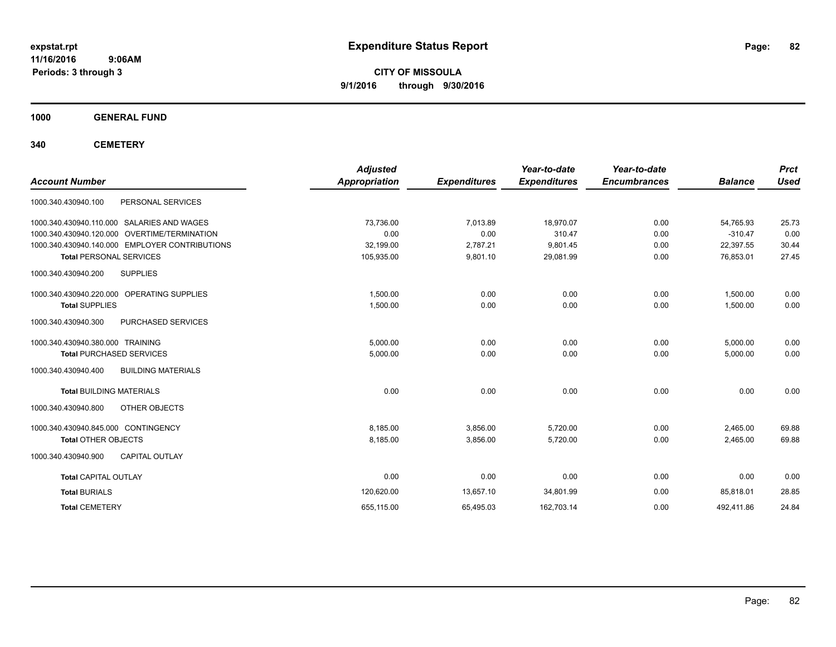**CITY OF MISSOULA 9/1/2016 through 9/30/2016**

**1000 GENERAL FUND**

**340 CEMETERY**

| <b>Account Number</b>                            | <b>Adjusted</b><br><b>Appropriation</b> | <b>Expenditures</b> | Year-to-date<br><b>Expenditures</b> | Year-to-date<br><b>Encumbrances</b> | <b>Balance</b> | <b>Prct</b><br><b>Used</b> |
|--------------------------------------------------|-----------------------------------------|---------------------|-------------------------------------|-------------------------------------|----------------|----------------------------|
| PERSONAL SERVICES<br>1000.340.430940.100         |                                         |                     |                                     |                                     |                |                            |
| SALARIES AND WAGES<br>1000.340.430940.110.000    | 73,736.00                               | 7,013.89            | 18,970.07                           | 0.00                                | 54,765.93      | 25.73                      |
| 1000.340.430940.120.000 OVERTIME/TERMINATION     | 0.00                                    | 0.00                | 310.47                              | 0.00                                | $-310.47$      | 0.00                       |
| 1000.340.430940.140.000 EMPLOYER CONTRIBUTIONS   | 32,199.00                               | 2,787.21            | 9,801.45                            | 0.00                                | 22,397.55      | 30.44                      |
| <b>Total PERSONAL SERVICES</b>                   | 105,935.00                              | 9,801.10            | 29,081.99                           | 0.00                                | 76,853.01      | 27.45                      |
| 1000.340.430940.200<br><b>SUPPLIES</b>           |                                         |                     |                                     |                                     |                |                            |
| 1000.340.430940.220.000 OPERATING SUPPLIES       | 1,500.00                                | 0.00                | 0.00                                | 0.00                                | 1,500.00       | 0.00                       |
| <b>Total SUPPLIES</b>                            | 1,500.00                                | 0.00                | 0.00                                | 0.00                                | 1,500.00       | 0.00                       |
| 1000.340.430940.300<br>PURCHASED SERVICES        |                                         |                     |                                     |                                     |                |                            |
| 1000.340.430940.380.000 TRAINING                 | 5.000.00                                | 0.00                | 0.00                                | 0.00                                | 5,000.00       | 0.00                       |
| <b>Total PURCHASED SERVICES</b>                  | 5,000.00                                | 0.00                | 0.00                                | 0.00                                | 5,000.00       | 0.00                       |
| 1000.340.430940.400<br><b>BUILDING MATERIALS</b> |                                         |                     |                                     |                                     |                |                            |
| <b>Total BUILDING MATERIALS</b>                  | 0.00                                    | 0.00                | 0.00                                | 0.00                                | 0.00           | 0.00                       |
| OTHER OBJECTS<br>1000.340.430940.800             |                                         |                     |                                     |                                     |                |                            |
| 1000.340.430940.845.000 CONTINGENCY              | 8,185.00                                | 3,856.00            | 5,720.00                            | 0.00                                | 2,465.00       | 69.88                      |
| <b>Total OTHER OBJECTS</b>                       | 8,185.00                                | 3,856.00            | 5,720.00                            | 0.00                                | 2,465.00       | 69.88                      |
| 1000.340.430940.900<br><b>CAPITAL OUTLAY</b>     |                                         |                     |                                     |                                     |                |                            |
| <b>Total CAPITAL OUTLAY</b>                      | 0.00                                    | 0.00                | 0.00                                | 0.00                                | 0.00           | 0.00                       |
| <b>Total BURIALS</b>                             | 120,620.00                              | 13,657.10           | 34,801.99                           | 0.00                                | 85,818.01      | 28.85                      |
| <b>Total CEMETERY</b>                            | 655,115.00                              | 65,495.03           | 162,703.14                          | 0.00                                | 492,411.86     | 24.84                      |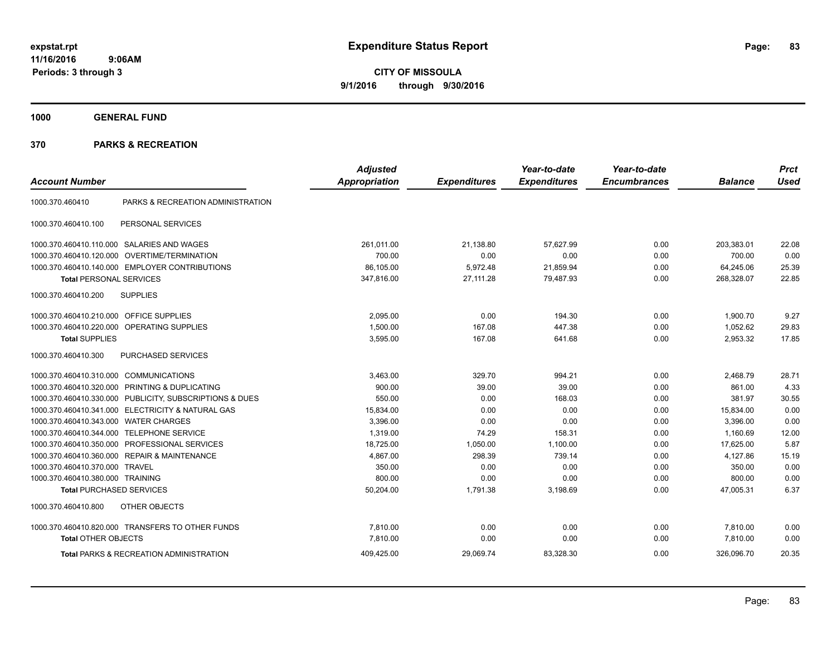**CITY OF MISSOULA 9/1/2016 through 9/30/2016**

**1000 GENERAL FUND**

|                                         |                                                         | <b>Adjusted</b>      |                     | Year-to-date        | Year-to-date        |                | <b>Prct</b> |
|-----------------------------------------|---------------------------------------------------------|----------------------|---------------------|---------------------|---------------------|----------------|-------------|
| <b>Account Number</b>                   |                                                         | <b>Appropriation</b> | <b>Expenditures</b> | <b>Expenditures</b> | <b>Encumbrances</b> | <b>Balance</b> | <b>Used</b> |
| 1000.370.460410                         | PARKS & RECREATION ADMINISTRATION                       |                      |                     |                     |                     |                |             |
| 1000.370.460410.100                     | PERSONAL SERVICES                                       |                      |                     |                     |                     |                |             |
|                                         | 1000.370.460410.110.000 SALARIES AND WAGES              | 261,011.00           | 21,138.80           | 57,627.99           | 0.00                | 203,383.01     | 22.08       |
| 1000.370.460410.120.000                 | <b>OVERTIME/TERMINATION</b>                             | 700.00               | 0.00                | 0.00                | 0.00                | 700.00         | 0.00        |
|                                         | 1000.370.460410.140.000 EMPLOYER CONTRIBUTIONS          | 86,105.00            | 5,972.48            | 21,859.94           | 0.00                | 64,245.06      | 25.39       |
| <b>Total PERSONAL SERVICES</b>          |                                                         | 347,816.00           | 27,111.28           | 79,487.93           | 0.00                | 268,328.07     | 22.85       |
| 1000.370.460410.200                     | <b>SUPPLIES</b>                                         |                      |                     |                     |                     |                |             |
| 1000.370.460410.210.000 OFFICE SUPPLIES |                                                         | 2.095.00             | 0.00                | 194.30              | 0.00                | 1,900.70       | 9.27        |
| 1000.370.460410.220.000                 | OPERATING SUPPLIES                                      | 1,500.00             | 167.08              | 447.38              | 0.00                | 1,052.62       | 29.83       |
| <b>Total SUPPLIES</b>                   |                                                         | 3,595.00             | 167.08              | 641.68              | 0.00                | 2,953.32       | 17.85       |
| 1000.370.460410.300                     | PURCHASED SERVICES                                      |                      |                     |                     |                     |                |             |
| 1000.370.460410.310.000                 | <b>COMMUNICATIONS</b>                                   | 3,463.00             | 329.70              | 994.21              | 0.00                | 2,468.79       | 28.71       |
|                                         | 1000.370.460410.320.000 PRINTING & DUPLICATING          | 900.00               | 39.00               | 39.00               | 0.00                | 861.00         | 4.33        |
|                                         | 1000.370.460410.330.000 PUBLICITY, SUBSCRIPTIONS & DUES | 550.00               | 0.00                | 168.03              | 0.00                | 381.97         | 30.55       |
|                                         | 1000.370.460410.341.000 ELECTRICITY & NATURAL GAS       | 15,834.00            | 0.00                | 0.00                | 0.00                | 15,834.00      | 0.00        |
| 1000.370.460410.343.000                 | <b>WATER CHARGES</b>                                    | 3.396.00             | 0.00                | 0.00                | 0.00                | 3.396.00       | 0.00        |
| 1000.370.460410.344.000                 | <b>TELEPHONE SERVICE</b>                                | 1,319.00             | 74.29               | 158.31              | 0.00                | 1,160.69       | 12.00       |
| 1000.370.460410.350.000                 | PROFESSIONAL SERVICES                                   | 18,725.00            | 1,050.00            | 1,100.00            | 0.00                | 17,625.00      | 5.87        |
|                                         | 1000.370.460410.360.000 REPAIR & MAINTENANCE            | 4,867.00             | 298.39              | 739.14              | 0.00                | 4,127.86       | 15.19       |
| 1000.370.460410.370.000 TRAVEL          |                                                         | 350.00               | 0.00                | 0.00                | 0.00                | 350.00         | 0.00        |
| 1000.370.460410.380.000 TRAINING        |                                                         | 800.00               | 0.00                | 0.00                | 0.00                | 800.00         | 0.00        |
| <b>Total PURCHASED SERVICES</b>         |                                                         | 50,204.00            | 1,791.38            | 3,198.69            | 0.00                | 47,005.31      | 6.37        |
| 1000.370.460410.800                     | OTHER OBJECTS                                           |                      |                     |                     |                     |                |             |
|                                         | 1000.370.460410.820.000 TRANSFERS TO OTHER FUNDS        | 7,810.00             | 0.00                | 0.00                | 0.00                | 7,810.00       | 0.00        |
| <b>Total OTHER OBJECTS</b>              |                                                         | 7,810.00             | 0.00                | 0.00                | 0.00                | 7,810.00       | 0.00        |
|                                         | <b>Total PARKS &amp; RECREATION ADMINISTRATION</b>      | 409,425.00           | 29,069.74           | 83,328.30           | 0.00                | 326.096.70     | 20.35       |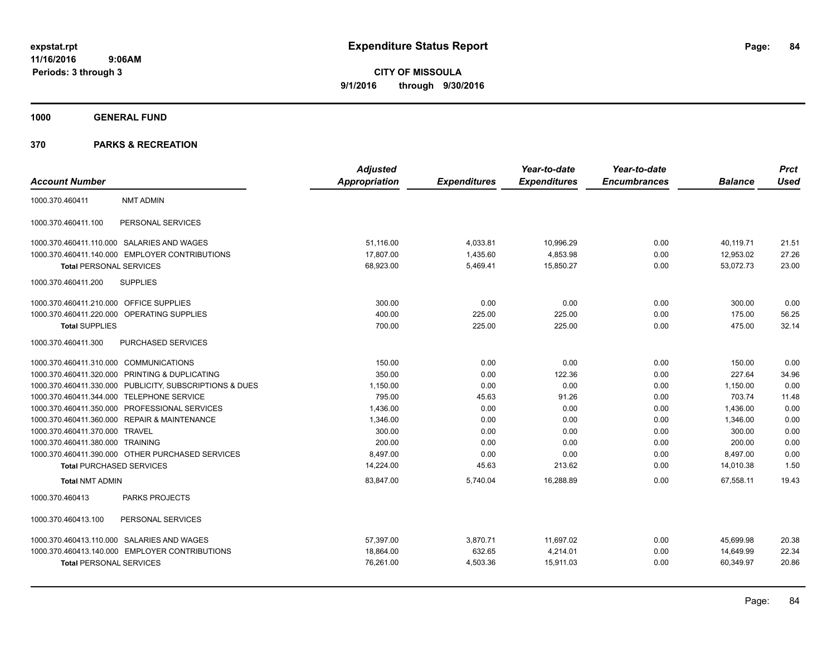**Periods: 3 through 3**

**CITY OF MISSOULA 9/1/2016 through 9/30/2016**

**1000 GENERAL FUND**

### **370 PARKS & RECREATION**

 **9:06AM**

|                                            |                                                         | <b>Adjusted</b> |                     | Year-to-date        | Year-to-date        |                | <b>Prct</b> |
|--------------------------------------------|---------------------------------------------------------|-----------------|---------------------|---------------------|---------------------|----------------|-------------|
| <b>Account Number</b>                      |                                                         | Appropriation   | <b>Expenditures</b> | <b>Expenditures</b> | <b>Encumbrances</b> | <b>Balance</b> | <b>Used</b> |
| 1000.370.460411                            | <b>NMT ADMIN</b>                                        |                 |                     |                     |                     |                |             |
| 1000.370.460411.100                        | PERSONAL SERVICES                                       |                 |                     |                     |                     |                |             |
| 1000.370.460411.110.000 SALARIES AND WAGES |                                                         | 51,116.00       | 4,033.81            | 10,996.29           | 0.00                | 40,119.71      | 21.51       |
|                                            | 1000.370.460411.140.000 EMPLOYER CONTRIBUTIONS          | 17.807.00       | 1,435.60            | 4,853.98            | 0.00                | 12,953.02      | 27.26       |
| <b>Total PERSONAL SERVICES</b>             |                                                         | 68,923.00       | 5,469.41            | 15,850.27           | 0.00                | 53,072.73      | 23.00       |
| 1000.370.460411.200                        | <b>SUPPLIES</b>                                         |                 |                     |                     |                     |                |             |
| 1000.370.460411.210.000 OFFICE SUPPLIES    |                                                         | 300.00          | 0.00                | 0.00                | 0.00                | 300.00         | 0.00        |
| 1000.370.460411.220.000                    | OPERATING SUPPLIES                                      | 400.00          | 225.00              | 225.00              | 0.00                | 175.00         | 56.25       |
| <b>Total SUPPLIES</b>                      |                                                         | 700.00          | 225.00              | 225.00              | 0.00                | 475.00         | 32.14       |
| 1000.370.460411.300                        | PURCHASED SERVICES                                      |                 |                     |                     |                     |                |             |
| 1000.370.460411.310.000 COMMUNICATIONS     |                                                         | 150.00          | 0.00                | 0.00                | 0.00                | 150.00         | 0.00        |
|                                            | 1000.370.460411.320.000 PRINTING & DUPLICATING          | 350.00          | 0.00                | 122.36              | 0.00                | 227.64         | 34.96       |
|                                            | 1000.370.460411.330.000 PUBLICITY, SUBSCRIPTIONS & DUES | 1,150.00        | 0.00                | 0.00                | 0.00                | 1,150.00       | 0.00        |
| 1000.370.460411.344.000 TELEPHONE SERVICE  |                                                         | 795.00          | 45.63               | 91.26               | 0.00                | 703.74         | 11.48       |
|                                            | 1000.370.460411.350.000 PROFESSIONAL SERVICES           | 1,436.00        | 0.00                | 0.00                | 0.00                | 1,436.00       | 0.00        |
|                                            | 1000.370.460411.360.000 REPAIR & MAINTENANCE            | 1,346.00        | 0.00                | 0.00                | 0.00                | 1.346.00       | 0.00        |
| 1000.370.460411.370.000 TRAVEL             |                                                         | 300.00          | 0.00                | 0.00                | 0.00                | 300.00         | 0.00        |
| 1000.370.460411.380.000 TRAINING           |                                                         | 200.00          | 0.00                | 0.00                | 0.00                | 200.00         | 0.00        |
|                                            | 1000.370.460411.390.000 OTHER PURCHASED SERVICES        | 8,497.00        | 0.00                | 0.00                | 0.00                | 8,497.00       | 0.00        |
| <b>Total PURCHASED SERVICES</b>            |                                                         | 14,224.00       | 45.63               | 213.62              | 0.00                | 14,010.38      | 1.50        |
| <b>Total NMT ADMIN</b>                     |                                                         | 83,847.00       | 5,740.04            | 16,288.89           | 0.00                | 67,558.11      | 19.43       |
| 1000.370.460413                            | <b>PARKS PROJECTS</b>                                   |                 |                     |                     |                     |                |             |
| 1000.370.460413.100                        | PERSONAL SERVICES                                       |                 |                     |                     |                     |                |             |
| 1000.370.460413.110.000 SALARIES AND WAGES |                                                         | 57.397.00       | 3,870.71            | 11,697.02           | 0.00                | 45,699.98      | 20.38       |
|                                            | 1000.370.460413.140.000 EMPLOYER CONTRIBUTIONS          | 18,864.00       | 632.65              | 4,214.01            | 0.00                | 14,649.99      | 22.34       |
| <b>Total PERSONAL SERVICES</b>             |                                                         | 76,261.00       | 4,503.36            | 15,911.03           | 0.00                | 60,349.97      | 20.86       |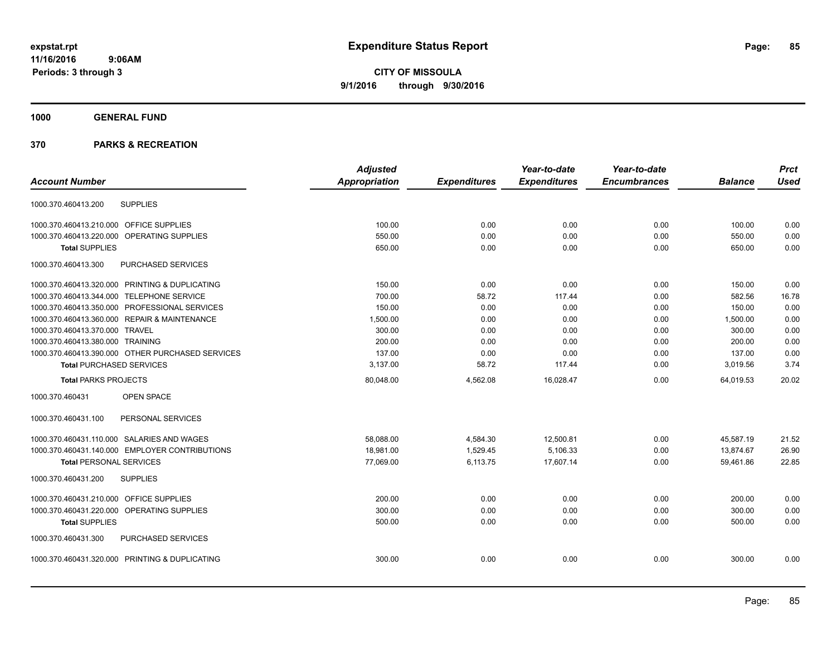**CITY OF MISSOULA 9/1/2016 through 9/30/2016**

# **1000 GENERAL FUND**

|                                                  | <b>Adjusted</b>      |                     | Year-to-date        | Year-to-date        |                | <b>Prct</b> |
|--------------------------------------------------|----------------------|---------------------|---------------------|---------------------|----------------|-------------|
| <b>Account Number</b>                            | <b>Appropriation</b> | <b>Expenditures</b> | <b>Expenditures</b> | <b>Encumbrances</b> | <b>Balance</b> | <b>Used</b> |
| <b>SUPPLIES</b><br>1000.370.460413.200           |                      |                     |                     |                     |                |             |
| 1000.370.460413.210.000 OFFICE SUPPLIES          | 100.00               | 0.00                | 0.00                | 0.00                | 100.00         | 0.00        |
| 1000.370.460413.220.000 OPERATING SUPPLIES       | 550.00               | 0.00                | 0.00                | 0.00                | 550.00         | 0.00        |
| <b>Total SUPPLIES</b>                            | 650.00               | 0.00                | 0.00                | 0.00                | 650.00         | 0.00        |
| 1000.370.460413.300<br>PURCHASED SERVICES        |                      |                     |                     |                     |                |             |
| 1000.370.460413.320.000 PRINTING & DUPLICATING   | 150.00               | 0.00                | 0.00                | 0.00                | 150.00         | 0.00        |
| 1000.370.460413.344.000 TELEPHONE SERVICE        | 700.00               | 58.72               | 117.44              | 0.00                | 582.56         | 16.78       |
| 1000.370.460413.350.000 PROFESSIONAL SERVICES    | 150.00               | 0.00                | 0.00                | 0.00                | 150.00         | 0.00        |
| 1000.370.460413.360.000 REPAIR & MAINTENANCE     | 1,500.00             | 0.00                | 0.00                | 0.00                | 1,500.00       | 0.00        |
| 1000.370.460413.370.000 TRAVEL                   | 300.00               | 0.00                | 0.00                | 0.00                | 300.00         | 0.00        |
| 1000.370.460413.380.000 TRAINING                 | 200.00               | 0.00                | 0.00                | 0.00                | 200.00         | 0.00        |
| 1000.370.460413.390.000 OTHER PURCHASED SERVICES | 137.00               | 0.00                | 0.00                | 0.00                | 137.00         | 0.00        |
| <b>Total PURCHASED SERVICES</b>                  | 3,137.00             | 58.72               | 117.44              | 0.00                | 3,019.56       | 3.74        |
| <b>Total PARKS PROJECTS</b>                      | 80,048.00            | 4,562.08            | 16,028.47           | 0.00                | 64,019.53      | 20.02       |
| 1000.370.460431<br>OPEN SPACE                    |                      |                     |                     |                     |                |             |
| 1000.370.460431.100<br>PERSONAL SERVICES         |                      |                     |                     |                     |                |             |
| 1000.370.460431.110.000 SALARIES AND WAGES       | 58,088.00            | 4,584.30            | 12,500.81           | 0.00                | 45,587.19      | 21.52       |
| 1000.370.460431.140.000 EMPLOYER CONTRIBUTIONS   | 18.981.00            | 1,529.45            | 5,106.33            | 0.00                | 13,874.67      | 26.90       |
| <b>Total PERSONAL SERVICES</b>                   | 77,069.00            | 6,113.75            | 17,607.14           | 0.00                | 59,461.86      | 22.85       |
| 1000.370.460431.200<br><b>SUPPLIES</b>           |                      |                     |                     |                     |                |             |
| 1000.370.460431.210.000 OFFICE SUPPLIES          | 200.00               | 0.00                | 0.00                | 0.00                | 200.00         | 0.00        |
| 1000.370.460431.220.000 OPERATING SUPPLIES       | 300.00               | 0.00                | 0.00                | 0.00                | 300.00         | 0.00        |
| <b>Total SUPPLIES</b>                            | 500.00               | 0.00                | 0.00                | 0.00                | 500.00         | 0.00        |
| PURCHASED SERVICES<br>1000.370.460431.300        |                      |                     |                     |                     |                |             |
| 1000.370.460431.320.000 PRINTING & DUPLICATING   | 300.00               | 0.00                | 0.00                | 0.00                | 300.00         | 0.00        |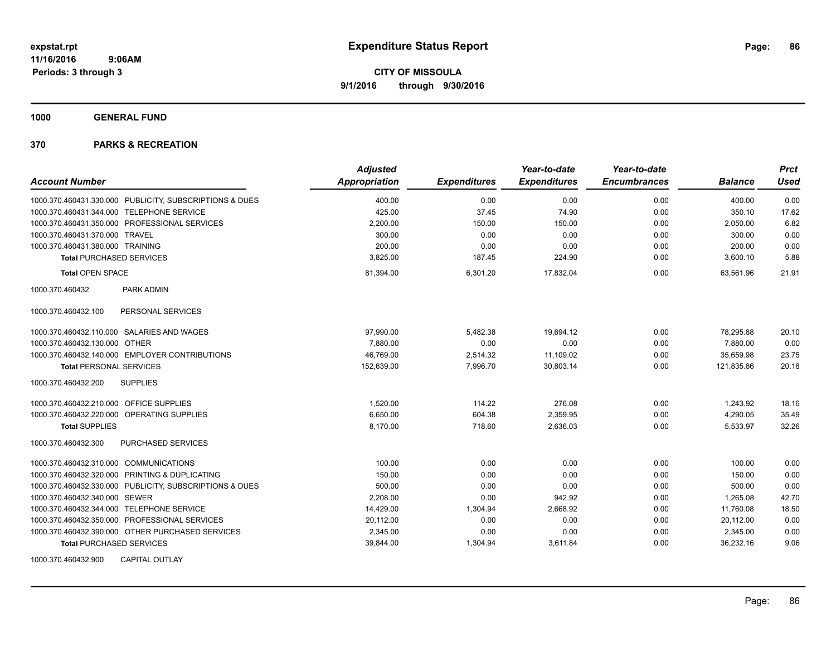**1000 GENERAL FUND**

| <b>Account Number</b>                                   | <b>Adjusted</b> |                     | Year-to-date        | Year-to-date<br><b>Encumbrances</b> |                | <b>Prct</b><br><b>Used</b> |
|---------------------------------------------------------|-----------------|---------------------|---------------------|-------------------------------------|----------------|----------------------------|
|                                                         | Appropriation   | <b>Expenditures</b> | <b>Expenditures</b> |                                     | <b>Balance</b> |                            |
| 1000.370.460431.330.000 PUBLICITY, SUBSCRIPTIONS & DUES | 400.00          | 0.00                | 0.00                | 0.00                                | 400.00         | 0.00                       |
| 1000.370.460431.344.000 TELEPHONE SERVICE               | 425.00          | 37.45               | 74.90               | 0.00                                | 350.10         | 17.62                      |
| 1000.370.460431.350.000 PROFESSIONAL SERVICES           | 2,200.00        | 150.00              | 150.00              | 0.00                                | 2,050.00       | 6.82                       |
| 1000.370.460431.370.000 TRAVEL                          | 300.00          | 0.00                | 0.00                | 0.00                                | 300.00         | 0.00                       |
| 1000.370.460431.380.000 TRAINING                        | 200.00          | 0.00                | 0.00                | 0.00                                | 200.00         | 0.00                       |
| <b>Total PURCHASED SERVICES</b>                         | 3,825.00        | 187.45              | 224.90              | 0.00                                | 3,600.10       | 5.88                       |
| <b>Total OPEN SPACE</b>                                 | 81,394.00       | 6,301.20            | 17,832.04           | 0.00                                | 63,561.96      | 21.91                      |
| 1000.370.460432<br><b>PARK ADMIN</b>                    |                 |                     |                     |                                     |                |                            |
| PERSONAL SERVICES<br>1000.370.460432.100                |                 |                     |                     |                                     |                |                            |
| 1000.370.460432.110.000 SALARIES AND WAGES              | 97,990.00       | 5,482.38            | 19,694.12           | 0.00                                | 78,295.88      | 20.10                      |
| 1000.370.460432.130.000 OTHER                           | 7.880.00        | 0.00                | 0.00                | 0.00                                | 7,880.00       | 0.00                       |
| 1000.370.460432.140.000 EMPLOYER CONTRIBUTIONS          | 46,769.00       | 2,514.32            | 11,109.02           | 0.00                                | 35,659.98      | 23.75                      |
| <b>Total PERSONAL SERVICES</b>                          | 152,639.00      | 7,996.70            | 30,803.14           | 0.00                                | 121,835.86     | 20.18                      |
| <b>SUPPLIES</b><br>1000.370.460432.200                  |                 |                     |                     |                                     |                |                            |
| 1000.370.460432.210.000 OFFICE SUPPLIES                 | 1.520.00        | 114.22              | 276.08              | 0.00                                | 1,243.92       | 18.16                      |
| 1000.370.460432.220.000 OPERATING SUPPLIES              | 6,650.00        | 604.38              | 2,359.95            | 0.00                                | 4,290.05       | 35.49                      |
| <b>Total SUPPLIES</b>                                   | 8.170.00        | 718.60              | 2,636.03            | 0.00                                | 5,533.97       | 32.26                      |
| PURCHASED SERVICES<br>1000.370.460432.300               |                 |                     |                     |                                     |                |                            |
| 1000.370.460432.310.000 COMMUNICATIONS                  | 100.00          | 0.00                | 0.00                | 0.00                                | 100.00         | 0.00                       |
| 1000.370.460432.320.000 PRINTING & DUPLICATING          | 150.00          | 0.00                | 0.00                | 0.00                                | 150.00         | 0.00                       |
| 1000.370.460432.330.000 PUBLICITY, SUBSCRIPTIONS & DUES | 500.00          | 0.00                | 0.00                | 0.00                                | 500.00         | 0.00                       |
| 1000.370.460432.340.000 SEWER                           | 2,208.00        | 0.00                | 942.92              | 0.00                                | 1.265.08       | 42.70                      |
| 1000.370.460432.344.000 TELEPHONE SERVICE               | 14,429.00       | 1,304.94            | 2,668.92            | 0.00                                | 11,760.08      | 18.50                      |
| 1000.370.460432.350.000 PROFESSIONAL SERVICES           | 20,112.00       | 0.00                | 0.00                | 0.00                                | 20,112.00      | 0.00                       |
| 1000.370.460432.390.000 OTHER PURCHASED SERVICES        | 2,345.00        | 0.00                | 0.00                | 0.00                                | 2,345.00       | 0.00                       |
| <b>Total PURCHASED SERVICES</b>                         | 39,844.00       | 1,304.94            | 3,611.84            | 0.00                                | 36,232.16      | 9.06                       |
| 1000.370.460432.900<br><b>CAPITAL OUTLAY</b>            |                 |                     |                     |                                     |                |                            |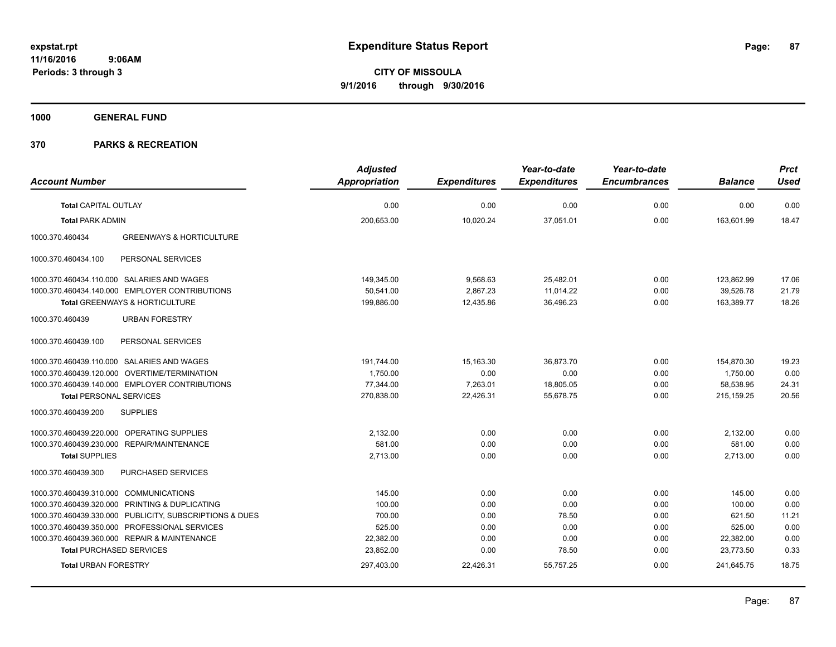**1000 GENERAL FUND**

|                                                         | <b>Adjusted</b>      |                     | Year-to-date        | Year-to-date        |                | <b>Prct</b> |
|---------------------------------------------------------|----------------------|---------------------|---------------------|---------------------|----------------|-------------|
| <b>Account Number</b>                                   | <b>Appropriation</b> | <b>Expenditures</b> | <b>Expenditures</b> | <b>Encumbrances</b> | <b>Balance</b> | <b>Used</b> |
| <b>Total CAPITAL OUTLAY</b>                             | 0.00                 | 0.00                | 0.00                | 0.00                | 0.00           | 0.00        |
| <b>Total PARK ADMIN</b>                                 | 200,653.00           | 10,020.24           | 37,051.01           | 0.00                | 163,601.99     | 18.47       |
| 1000.370.460434<br><b>GREENWAYS &amp; HORTICULTURE</b>  |                      |                     |                     |                     |                |             |
| 1000.370.460434.100<br>PERSONAL SERVICES                |                      |                     |                     |                     |                |             |
| 1000.370.460434.110.000 SALARIES AND WAGES              | 149,345.00           | 9,568.63            | 25.482.01           | 0.00                | 123,862.99     | 17.06       |
| 1000.370.460434.140.000 EMPLOYER CONTRIBUTIONS          | 50,541.00            | 2,867.23            | 11,014.22           | 0.00                | 39,526.78      | 21.79       |
| Total GREENWAYS & HORTICULTURE                          | 199,886.00           | 12,435.86           | 36,496.23           | 0.00                | 163,389.77     | 18.26       |
| 1000.370.460439<br><b>URBAN FORESTRY</b>                |                      |                     |                     |                     |                |             |
| PERSONAL SERVICES<br>1000.370.460439.100                |                      |                     |                     |                     |                |             |
| 1000.370.460439.110.000 SALARIES AND WAGES              | 191,744.00           | 15,163.30           | 36,873.70           | 0.00                | 154,870.30     | 19.23       |
| 1000.370.460439.120.000 OVERTIME/TERMINATION            | 1,750.00             | 0.00                | 0.00                | 0.00                | 1,750.00       | 0.00        |
| 1000.370.460439.140.000 EMPLOYER CONTRIBUTIONS          | 77,344.00            | 7,263.01            | 18,805.05           | 0.00                | 58,538.95      | 24.31       |
| <b>Total PERSONAL SERVICES</b>                          | 270,838.00           | 22,426.31           | 55,678.75           | 0.00                | 215,159.25     | 20.56       |
| <b>SUPPLIES</b><br>1000.370.460439.200                  |                      |                     |                     |                     |                |             |
| 1000.370.460439.220.000 OPERATING SUPPLIES              | 2,132.00             | 0.00                | 0.00                | 0.00                | 2,132.00       | 0.00        |
| 1000.370.460439.230.000 REPAIR/MAINTENANCE              | 581.00               | 0.00                | 0.00                | 0.00                | 581.00         | 0.00        |
| <b>Total SUPPLIES</b>                                   | 2,713.00             | 0.00                | 0.00                | 0.00                | 2,713.00       | 0.00        |
| PURCHASED SERVICES<br>1000.370.460439.300               |                      |                     |                     |                     |                |             |
| 1000.370.460439.310.000 COMMUNICATIONS                  | 145.00               | 0.00                | 0.00                | 0.00                | 145.00         | 0.00        |
| 1000.370.460439.320.000 PRINTING & DUPLICATING          | 100.00               | 0.00                | 0.00                | 0.00                | 100.00         | 0.00        |
| 1000.370.460439.330.000 PUBLICITY, SUBSCRIPTIONS & DUES | 700.00               | 0.00                | 78.50               | 0.00                | 621.50         | 11.21       |
| 1000.370.460439.350.000 PROFESSIONAL SERVICES           | 525.00               | 0.00                | 0.00                | 0.00                | 525.00         | 0.00        |
| 1000.370.460439.360.000 REPAIR & MAINTENANCE            | 22,382.00            | 0.00                | 0.00                | 0.00                | 22,382.00      | 0.00        |
| <b>Total PURCHASED SERVICES</b>                         | 23,852.00            | 0.00                | 78.50               | 0.00                | 23,773.50      | 0.33        |
| <b>Total URBAN FORESTRY</b>                             | 297,403.00           | 22,426.31           | 55,757.25           | 0.00                | 241,645.75     | 18.75       |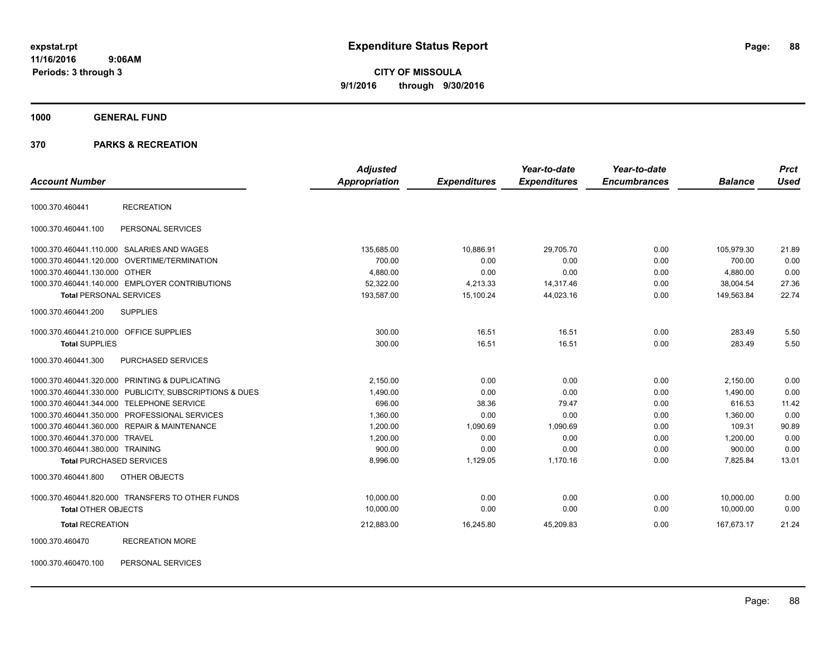# **CITY OF MISSOULA 9/1/2016 through 9/30/2016**

### **1000 GENERAL FUND**

#### **370 PARKS & RECREATION**

| <b>Account Number</b>                                   | <b>Appropriation</b> | <b>Adjusted</b><br><b>Expenditures</b> | Year-to-date<br><b>Expenditures</b> | Year-to-date<br><b>Encumbrances</b> | <b>Balance</b> | <b>Prct</b><br><b>Used</b> |
|---------------------------------------------------------|----------------------|----------------------------------------|-------------------------------------|-------------------------------------|----------------|----------------------------|
|                                                         |                      |                                        |                                     |                                     |                |                            |
| <b>RECREATION</b><br>1000.370.460441                    |                      |                                        |                                     |                                     |                |                            |
| PERSONAL SERVICES<br>1000.370.460441.100                |                      |                                        |                                     |                                     |                |                            |
| 1000.370.460441.110.000 SALARIES AND WAGES              |                      | 135,685.00<br>10,886.91                | 29,705.70                           | 0.00                                | 105,979.30     | 21.89                      |
| 1000.370.460441.120.000 OVERTIME/TERMINATION            |                      | 700.00<br>0.00                         | 0.00                                | 0.00                                | 700.00         | 0.00                       |
| 1000.370.460441.130.000 OTHER                           |                      | 4,880.00<br>0.00                       | 0.00                                | 0.00                                | 4,880.00       | 0.00                       |
| 1000.370.460441.140.000 EMPLOYER CONTRIBUTIONS          |                      | 52,322.00<br>4,213.33                  | 14,317.46                           | 0.00                                | 38,004.54      | 27.36                      |
| <b>Total PERSONAL SERVICES</b>                          |                      | 193,587.00<br>15,100.24                | 44,023.16                           | 0.00                                | 149,563.84     | 22.74                      |
| <b>SUPPLIES</b><br>1000.370.460441.200                  |                      |                                        |                                     |                                     |                |                            |
| 1000.370.460441.210.000 OFFICE SUPPLIES                 |                      | 16.51<br>300.00                        | 16.51                               | 0.00                                | 283.49         | 5.50                       |
| <b>Total SUPPLIES</b>                                   |                      | 16.51<br>300.00                        | 16.51                               | 0.00                                | 283.49         | 5.50                       |
| 1000.370.460441.300<br>PURCHASED SERVICES               |                      |                                        |                                     |                                     |                |                            |
| 1000.370.460441.320.000 PRINTING & DUPLICATING          |                      | 2,150.00<br>0.00                       | 0.00                                | 0.00                                | 2,150.00       | 0.00                       |
| 1000.370.460441.330.000 PUBLICITY, SUBSCRIPTIONS & DUES |                      | 1,490.00<br>0.00                       | 0.00                                | 0.00                                | 1,490.00       | 0.00                       |
| 1000.370.460441.344.000 TELEPHONE SERVICE               |                      | 696.00<br>38.36                        | 79.47                               | 0.00                                | 616.53         | 11.42                      |
| 1000.370.460441.350.000 PROFESSIONAL SERVICES           |                      | 1,360.00<br>0.00                       | 0.00                                | 0.00                                | 1,360.00       | 0.00                       |
| 1000.370.460441.360.000 REPAIR & MAINTENANCE            |                      | 1,200.00<br>1,090.69                   | 1,090.69                            | 0.00                                | 109.31         | 90.89                      |
| 1000.370.460441.370.000 TRAVEL                          |                      | 1,200.00<br>0.00                       | 0.00                                | 0.00                                | 1,200.00       | 0.00                       |
| 1000.370.460441.380.000 TRAINING                        |                      | 900.00<br>0.00                         | 0.00                                | 0.00                                | 900.00         | 0.00                       |
| <b>Total PURCHASED SERVICES</b>                         |                      | 8,996.00<br>1,129.05                   | 1,170.16                            | 0.00                                | 7,825.84       | 13.01                      |
| OTHER OBJECTS<br>1000.370.460441.800                    |                      |                                        |                                     |                                     |                |                            |
| 1000.370.460441.820.000 TRANSFERS TO OTHER FUNDS        |                      | 10,000.00<br>0.00                      | 0.00                                | 0.00                                | 10,000.00      | 0.00                       |
| <b>Total OTHER OBJECTS</b>                              |                      | 10,000.00<br>0.00                      | 0.00                                | 0.00                                | 10,000.00      | 0.00                       |
| <b>Total RECREATION</b>                                 |                      | 212,883.00<br>16,245.80                | 45,209.83                           | 0.00                                | 167,673.17     | 21.24                      |
| <b>RECREATION MORE</b><br>1000.370.460470               |                      |                                        |                                     |                                     |                |                            |

1000.370.460470.100 PERSONAL SERVICES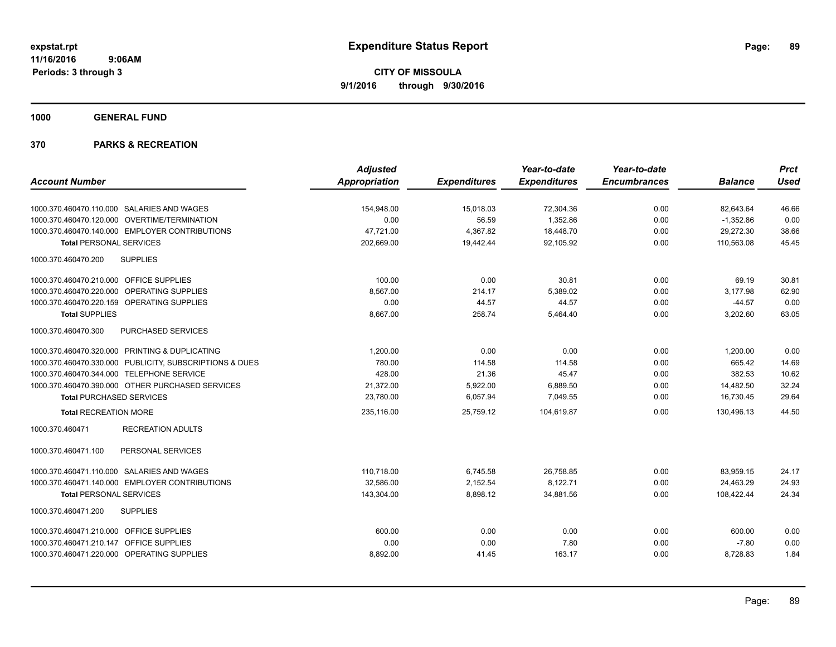**1000 GENERAL FUND**

|                                                         | <b>Adjusted</b>      |                     | Year-to-date        | Year-to-date        |                | <b>Prct</b> |
|---------------------------------------------------------|----------------------|---------------------|---------------------|---------------------|----------------|-------------|
| <b>Account Number</b>                                   | <b>Appropriation</b> | <b>Expenditures</b> | <b>Expenditures</b> | <b>Encumbrances</b> | <b>Balance</b> | <b>Used</b> |
| 1000.370.460470.110.000 SALARIES AND WAGES              | 154,948.00           | 15,018.03           | 72,304.36           | 0.00                | 82,643.64      | 46.66       |
| 1000.370.460470.120.000 OVERTIME/TERMINATION            | 0.00                 | 56.59               | 1.352.86            | 0.00                | $-1,352.86$    | 0.00        |
| 1000.370.460470.140.000 EMPLOYER CONTRIBUTIONS          | 47,721.00            | 4,367.82            | 18,448.70           | 0.00                | 29,272.30      | 38.66       |
| <b>Total PERSONAL SERVICES</b>                          | 202,669.00           | 19,442.44           | 92,105.92           | 0.00                | 110,563.08     | 45.45       |
| <b>SUPPLIES</b><br>1000.370.460470.200                  |                      |                     |                     |                     |                |             |
| 1000.370.460470.210.000 OFFICE SUPPLIES                 | 100.00               | 0.00                | 30.81               | 0.00                | 69.19          | 30.81       |
| 1000.370.460470.220.000<br>OPERATING SUPPLIES           | 8,567.00             | 214.17              | 5,389.02            | 0.00                | 3,177.98       | 62.90       |
| 1000.370.460470.220.159 OPERATING SUPPLIES              | 0.00                 | 44.57               | 44.57               | 0.00                | $-44.57$       | 0.00        |
| <b>Total SUPPLIES</b>                                   | 8,667.00             | 258.74              | 5,464.40            | 0.00                | 3,202.60       | 63.05       |
| 1000.370.460470.300<br>PURCHASED SERVICES               |                      |                     |                     |                     |                |             |
| 1000.370.460470.320.000 PRINTING & DUPLICATING          | 1,200.00             | 0.00                | 0.00                | 0.00                | 1,200.00       | 0.00        |
| 1000.370.460470.330.000 PUBLICITY, SUBSCRIPTIONS & DUES | 780.00               | 114.58              | 114.58              | 0.00                | 665.42         | 14.69       |
| 1000.370.460470.344.000 TELEPHONE SERVICE               | 428.00               | 21.36               | 45.47               | 0.00                | 382.53         | 10.62       |
| 1000.370.460470.390.000 OTHER PURCHASED SERVICES        | 21,372.00            | 5,922.00            | 6,889.50            | 0.00                | 14,482.50      | 32.24       |
| <b>Total PURCHASED SERVICES</b>                         | 23,780.00            | 6,057.94            | 7,049.55            | 0.00                | 16,730.45      | 29.64       |
| <b>Total RECREATION MORE</b>                            | 235.116.00           | 25.759.12           | 104.619.87          | 0.00                | 130.496.13     | 44.50       |
| <b>RECREATION ADULTS</b><br>1000.370.460471             |                      |                     |                     |                     |                |             |
| PERSONAL SERVICES<br>1000.370.460471.100                |                      |                     |                     |                     |                |             |
| 1000.370.460471.110.000 SALARIES AND WAGES              | 110,718.00           | 6,745.58            | 26,758.85           | 0.00                | 83,959.15      | 24.17       |
| 1000.370.460471.140.000 EMPLOYER CONTRIBUTIONS          | 32,586.00            | 2,152.54            | 8,122.71            | 0.00                | 24,463.29      | 24.93       |
| <b>Total PERSONAL SERVICES</b>                          | 143,304.00           | 8,898.12            | 34,881.56           | 0.00                | 108,422.44     | 24.34       |
| 1000.370.460471.200<br><b>SUPPLIES</b>                  |                      |                     |                     |                     |                |             |
| 1000.370.460471.210.000 OFFICE SUPPLIES                 | 600.00               | 0.00                | 0.00                | 0.00                | 600.00         | 0.00        |
| 1000.370.460471.210.147 OFFICE SUPPLIES                 | 0.00                 | 0.00                | 7.80                | 0.00                | $-7.80$        | 0.00        |
| 1000.370.460471.220.000 OPERATING SUPPLIES              | 8,892.00             | 41.45               | 163.17              | 0.00                | 8,728.83       | 1.84        |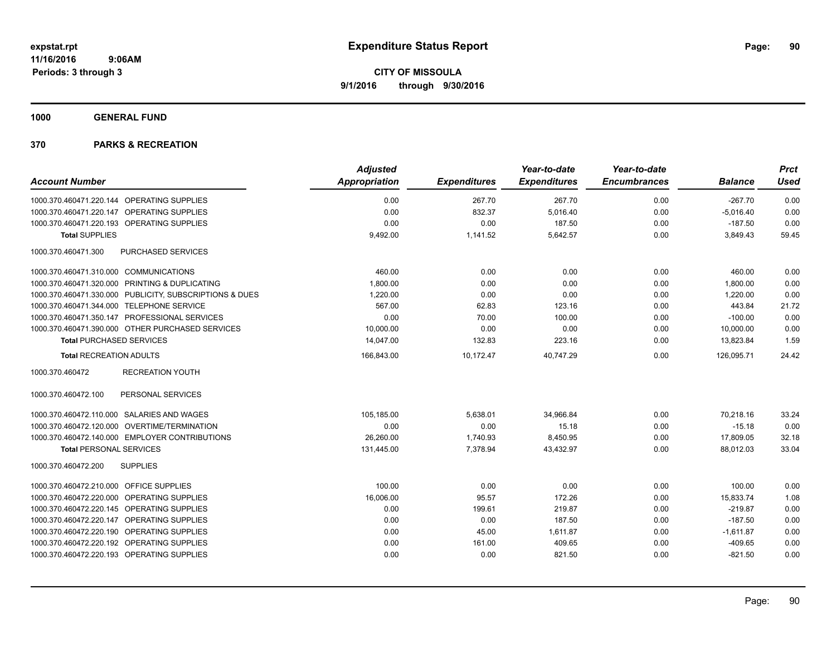**1000 GENERAL FUND**

| <b>Account Number</b>                                   | <b>Adjusted</b><br><b>Appropriation</b> | <b>Expenditures</b> | Year-to-date<br><b>Expenditures</b> | Year-to-date<br><b>Encumbrances</b> | <b>Balance</b> | <b>Prct</b><br><b>Used</b> |
|---------------------------------------------------------|-----------------------------------------|---------------------|-------------------------------------|-------------------------------------|----------------|----------------------------|
|                                                         |                                         |                     |                                     |                                     |                |                            |
| 1000.370.460471.220.144 OPERATING SUPPLIES              | 0.00                                    | 267.70              | 267.70                              | 0.00                                | $-267.70$      | 0.00                       |
| 1000.370.460471.220.147 OPERATING SUPPLIES              | 0.00                                    | 832.37              | 5,016.40                            | 0.00                                | $-5,016.40$    | 0.00                       |
| 1000.370.460471.220.193 OPERATING SUPPLIES              | 0.00                                    | 0.00                | 187.50                              | 0.00                                | $-187.50$      | 0.00                       |
| <b>Total SUPPLIES</b>                                   | 9,492.00                                | 1,141.52            | 5,642.57                            | 0.00                                | 3,849.43       | 59.45                      |
| 1000.370.460471.300<br>PURCHASED SERVICES               |                                         |                     |                                     |                                     |                |                            |
| 1000.370.460471.310.000 COMMUNICATIONS                  | 460.00                                  | 0.00                | 0.00                                | 0.00                                | 460.00         | 0.00                       |
| 1000.370.460471.320.000 PRINTING & DUPLICATING          | 1,800.00                                | 0.00                | 0.00                                | 0.00                                | 1,800.00       | 0.00                       |
| 1000.370.460471.330.000 PUBLICITY, SUBSCRIPTIONS & DUES | 1,220.00                                | 0.00                | 0.00                                | 0.00                                | 1,220.00       | 0.00                       |
| 1000.370.460471.344.000 TELEPHONE SERVICE               | 567.00                                  | 62.83               | 123.16                              | 0.00                                | 443.84         | 21.72                      |
| 1000.370.460471.350.147 PROFESSIONAL SERVICES           | 0.00                                    | 70.00               | 100.00                              | 0.00                                | $-100.00$      | 0.00                       |
| 1000.370.460471.390.000 OTHER PURCHASED SERVICES        | 10,000.00                               | 0.00                | 0.00                                | 0.00                                | 10,000.00      | 0.00                       |
| <b>Total PURCHASED SERVICES</b>                         | 14,047.00                               | 132.83              | 223.16                              | 0.00                                | 13,823.84      | 1.59                       |
| <b>Total RECREATION ADULTS</b>                          | 166,843.00                              | 10.172.47           | 40,747.29                           | 0.00                                | 126,095.71     | 24.42                      |
| 1000.370.460472<br><b>RECREATION YOUTH</b>              |                                         |                     |                                     |                                     |                |                            |
| PERSONAL SERVICES<br>1000.370.460472.100                |                                         |                     |                                     |                                     |                |                            |
| 1000.370.460472.110.000 SALARIES AND WAGES              | 105,185.00                              | 5,638.01            | 34,966.84                           | 0.00                                | 70,218.16      | 33.24                      |
| 1000.370.460472.120.000 OVERTIME/TERMINATION            | 0.00                                    | 0.00                | 15.18                               | 0.00                                | $-15.18$       | 0.00                       |
| 1000.370.460472.140.000 EMPLOYER CONTRIBUTIONS          | 26,260.00                               | 1,740.93            | 8,450.95                            | 0.00                                | 17,809.05      | 32.18                      |
| <b>Total PERSONAL SERVICES</b>                          | 131,445.00                              | 7,378.94            | 43,432.97                           | 0.00                                | 88,012.03      | 33.04                      |
| 1000.370.460472.200<br><b>SUPPLIES</b>                  |                                         |                     |                                     |                                     |                |                            |
| 1000.370.460472.210.000 OFFICE SUPPLIES                 | 100.00                                  | 0.00                | 0.00                                | 0.00                                | 100.00         | 0.00                       |
| 1000.370.460472.220.000 OPERATING SUPPLIES              | 16,006.00                               | 95.57               | 172.26                              | 0.00                                | 15,833.74      | 1.08                       |
| 1000.370.460472.220.145 OPERATING SUPPLIES              | 0.00                                    | 199.61              | 219.87                              | 0.00                                | $-219.87$      | 0.00                       |
| 1000.370.460472.220.147 OPERATING SUPPLIES              | 0.00                                    | 0.00                | 187.50                              | 0.00                                | $-187.50$      | 0.00                       |
| 1000.370.460472.220.190 OPERATING SUPPLIES              | 0.00                                    | 45.00               | 1,611.87                            | 0.00                                | $-1,611.87$    | 0.00                       |
| 1000.370.460472.220.192 OPERATING SUPPLIES              | 0.00                                    | 161.00              | 409.65                              | 0.00                                | $-409.65$      | 0.00                       |
| 1000.370.460472.220.193 OPERATING SUPPLIES              | 0.00                                    | 0.00                | 821.50                              | 0.00                                | $-821.50$      | 0.00                       |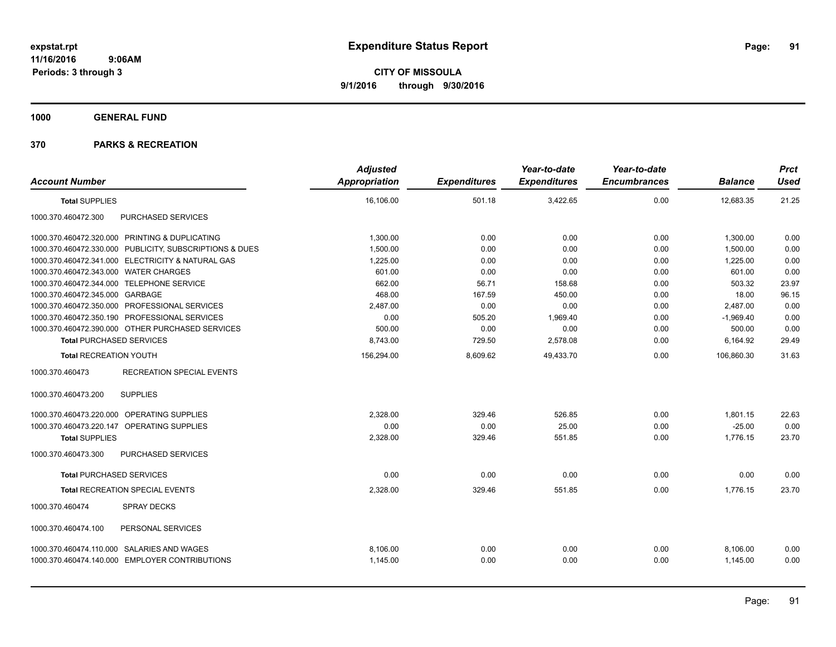**1000 GENERAL FUND**

| <b>Account Number</b>                                   | <b>Adjusted</b><br><b>Appropriation</b> | <b>Expenditures</b> | Year-to-date<br><b>Expenditures</b> | Year-to-date<br><b>Encumbrances</b> | <b>Balance</b> | <b>Prct</b><br><b>Used</b> |
|---------------------------------------------------------|-----------------------------------------|---------------------|-------------------------------------|-------------------------------------|----------------|----------------------------|
| <b>Total SUPPLIES</b>                                   | 16,106.00                               | 501.18              | 3,422.65                            | 0.00                                | 12,683.35      | 21.25                      |
| 1000.370.460472.300<br>PURCHASED SERVICES               |                                         |                     |                                     |                                     |                |                            |
| 1000.370.460472.320.000 PRINTING & DUPLICATING          | 1,300.00                                | 0.00                | 0.00                                | 0.00                                | 1,300.00       | 0.00                       |
| 1000.370.460472.330.000 PUBLICITY, SUBSCRIPTIONS & DUES | 1,500.00                                | 0.00                | 0.00                                | 0.00                                | 1,500.00       | 0.00                       |
| 1000.370.460472.341.000 ELECTRICITY & NATURAL GAS       | 1,225.00                                | 0.00                | 0.00                                | 0.00                                | 1,225.00       | 0.00                       |
| 1000.370.460472.343.000 WATER CHARGES                   | 601.00                                  | 0.00                | 0.00                                | 0.00                                | 601.00         | 0.00                       |
| 1000.370.460472.344.000 TELEPHONE SERVICE               | 662.00                                  | 56.71               | 158.68                              | 0.00                                | 503.32         | 23.97                      |
| 1000.370.460472.345.000 GARBAGE                         | 468.00                                  | 167.59              | 450.00                              | 0.00                                | 18.00          | 96.15                      |
| 1000.370.460472.350.000 PROFESSIONAL SERVICES           | 2,487.00                                | 0.00                | 0.00                                | 0.00                                | 2,487.00       | 0.00                       |
| 1000.370.460472.350.190 PROFESSIONAL SERVICES           | 0.00                                    | 505.20              | 1,969.40                            | 0.00                                | $-1,969.40$    | 0.00                       |
| 1000.370.460472.390.000 OTHER PURCHASED SERVICES        | 500.00                                  | 0.00                | 0.00                                | 0.00                                | 500.00         | 0.00                       |
| <b>Total PURCHASED SERVICES</b>                         | 8,743.00                                | 729.50              | 2,578.08                            | 0.00                                | 6,164.92       | 29.49                      |
| <b>Total RECREATION YOUTH</b>                           | 156,294.00                              | 8,609.62            | 49,433.70                           | 0.00                                | 106,860.30     | 31.63                      |
| 1000.370.460473<br><b>RECREATION SPECIAL EVENTS</b>     |                                         |                     |                                     |                                     |                |                            |
| <b>SUPPLIES</b><br>1000.370.460473.200                  |                                         |                     |                                     |                                     |                |                            |
| 1000.370.460473.220.000 OPERATING SUPPLIES              | 2,328.00                                | 329.46              | 526.85                              | 0.00                                | 1,801.15       | 22.63                      |
| OPERATING SUPPLIES<br>1000.370.460473.220.147           | 0.00                                    | 0.00                | 25.00                               | 0.00                                | $-25.00$       | 0.00                       |
| <b>Total SUPPLIES</b>                                   | 2,328.00                                | 329.46              | 551.85                              | 0.00                                | 1,776.15       | 23.70                      |
| PURCHASED SERVICES<br>1000.370.460473.300               |                                         |                     |                                     |                                     |                |                            |
| <b>Total PURCHASED SERVICES</b>                         | 0.00                                    | 0.00                | 0.00                                | 0.00                                | 0.00           | 0.00                       |
| <b>Total RECREATION SPECIAL EVENTS</b>                  | 2,328.00                                | 329.46              | 551.85                              | 0.00                                | 1.776.15       | 23.70                      |
| 1000.370.460474<br><b>SPRAY DECKS</b>                   |                                         |                     |                                     |                                     |                |                            |
| PERSONAL SERVICES<br>1000.370.460474.100                |                                         |                     |                                     |                                     |                |                            |
| 1000.370.460474.110.000 SALARIES AND WAGES              | 8,106.00                                | 0.00                | 0.00                                | 0.00                                | 8,106.00       | 0.00                       |
| 1000.370.460474.140.000 EMPLOYER CONTRIBUTIONS          | 1,145.00                                | 0.00                | 0.00                                | 0.00                                | 1.145.00       | 0.00                       |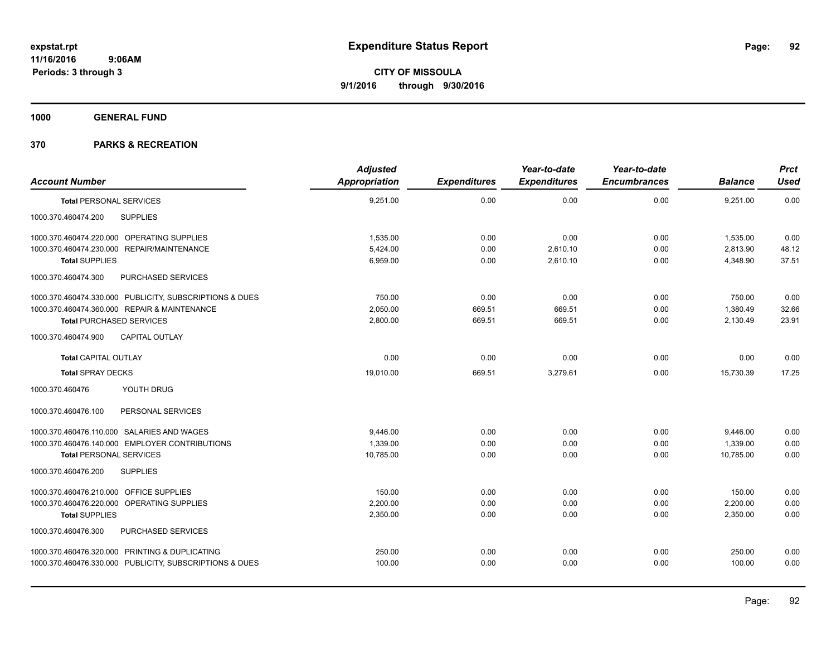**1000 GENERAL FUND**

|                                            |                                                         | <b>Adjusted</b>      |                     | Year-to-date        | Year-to-date        |                | <b>Prct</b> |
|--------------------------------------------|---------------------------------------------------------|----------------------|---------------------|---------------------|---------------------|----------------|-------------|
| <b>Account Number</b>                      |                                                         | <b>Appropriation</b> | <b>Expenditures</b> | <b>Expenditures</b> | <b>Encumbrances</b> | <b>Balance</b> | <b>Used</b> |
| <b>Total PERSONAL SERVICES</b>             |                                                         | 9,251.00             | 0.00                | 0.00                | 0.00                | 9,251.00       | 0.00        |
| 1000.370.460474.200                        | <b>SUPPLIES</b>                                         |                      |                     |                     |                     |                |             |
| 1000.370.460474.220.000 OPERATING SUPPLIES |                                                         | 1,535.00             | 0.00                | 0.00                | 0.00                | 1,535.00       | 0.00        |
| 1000.370.460474.230.000 REPAIR/MAINTENANCE |                                                         | 5.424.00             | 0.00                | 2,610.10            | 0.00                | 2,813.90       | 48.12       |
| <b>Total SUPPLIES</b>                      |                                                         | 6,959.00             | 0.00                | 2,610.10            | 0.00                | 4,348.90       | 37.51       |
| 1000.370.460474.300                        | PURCHASED SERVICES                                      |                      |                     |                     |                     |                |             |
|                                            | 1000.370.460474.330.000 PUBLICITY, SUBSCRIPTIONS & DUES | 750.00               | 0.00                | 0.00                | 0.00                | 750.00         | 0.00        |
|                                            | 1000.370.460474.360.000 REPAIR & MAINTENANCE            | 2,050.00             | 669.51              | 669.51              | 0.00                | 1,380.49       | 32.66       |
| <b>Total PURCHASED SERVICES</b>            |                                                         | 2,800.00             | 669.51              | 669.51              | 0.00                | 2,130.49       | 23.91       |
| 1000.370.460474.900                        | <b>CAPITAL OUTLAY</b>                                   |                      |                     |                     |                     |                |             |
| <b>Total CAPITAL OUTLAY</b>                |                                                         | 0.00                 | 0.00                | 0.00                | 0.00                | 0.00           | 0.00        |
| <b>Total SPRAY DECKS</b>                   |                                                         | 19,010.00            | 669.51              | 3,279.61            | 0.00                | 15,730.39      | 17.25       |
| 1000.370.460476                            | YOUTH DRUG                                              |                      |                     |                     |                     |                |             |
| 1000.370.460476.100                        | PERSONAL SERVICES                                       |                      |                     |                     |                     |                |             |
| 1000.370.460476.110.000 SALARIES AND WAGES |                                                         | 9,446.00             | 0.00                | 0.00                | 0.00                | 9,446.00       | 0.00        |
|                                            | 1000.370.460476.140.000 EMPLOYER CONTRIBUTIONS          | 1.339.00             | 0.00                | 0.00                | 0.00                | 1,339.00       | 0.00        |
| <b>Total PERSONAL SERVICES</b>             |                                                         | 10,785.00            | 0.00                | 0.00                | 0.00                | 10,785.00      | 0.00        |
| 1000.370.460476.200                        | <b>SUPPLIES</b>                                         |                      |                     |                     |                     |                |             |
| 1000.370.460476.210.000 OFFICE SUPPLIES    |                                                         | 150.00               | 0.00                | 0.00                | 0.00                | 150.00         | 0.00        |
| 1000.370.460476.220.000 OPERATING SUPPLIES |                                                         | 2,200.00             | 0.00                | 0.00                | 0.00                | 2,200.00       | 0.00        |
| <b>Total SUPPLIES</b>                      |                                                         | 2,350.00             | 0.00                | 0.00                | 0.00                | 2,350.00       | 0.00        |
| 1000.370.460476.300                        | PURCHASED SERVICES                                      |                      |                     |                     |                     |                |             |
|                                            | 1000.370.460476.320.000 PRINTING & DUPLICATING          | 250.00               | 0.00                | 0.00                | 0.00                | 250.00         | 0.00        |
|                                            | 1000.370.460476.330.000 PUBLICITY, SUBSCRIPTIONS & DUES | 100.00               | 0.00                | 0.00                | 0.00                | 100.00         | 0.00        |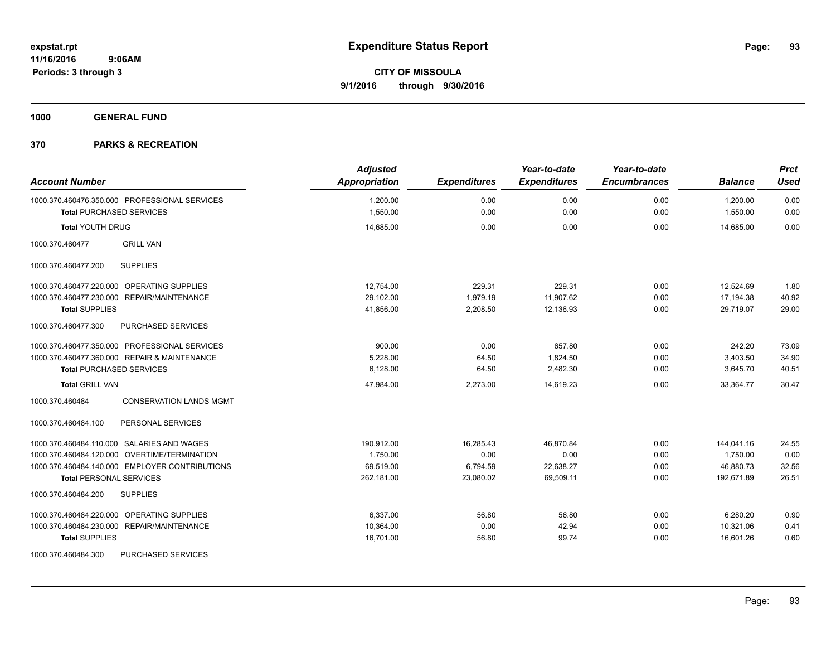**1000 GENERAL FUND**

| <b>Account Number</b>                             | <b>Adjusted</b><br><b>Appropriation</b> | <b>Expenditures</b> | Year-to-date<br><b>Expenditures</b> | Year-to-date<br><b>Encumbrances</b> | <b>Balance</b> | <b>Prct</b><br><b>Used</b> |
|---------------------------------------------------|-----------------------------------------|---------------------|-------------------------------------|-------------------------------------|----------------|----------------------------|
| 1000.370.460476.350.000 PROFESSIONAL SERVICES     | 1,200.00                                | 0.00                | 0.00                                | 0.00                                | 1,200.00       | 0.00                       |
| <b>Total PURCHASED SERVICES</b>                   | 1,550.00                                | 0.00                | 0.00                                | 0.00                                | 1,550.00       | 0.00                       |
| <b>Total YOUTH DRUG</b>                           | 14,685.00                               | 0.00                | 0.00                                | 0.00                                | 14.685.00      | 0.00                       |
| <b>GRILL VAN</b><br>1000.370.460477               |                                         |                     |                                     |                                     |                |                            |
| <b>SUPPLIES</b><br>1000.370.460477.200            |                                         |                     |                                     |                                     |                |                            |
| 1000.370.460477.220.000 OPERATING SUPPLIES        | 12,754.00                               | 229.31              | 229.31                              | 0.00                                | 12,524.69      | 1.80                       |
| 1000.370.460477.230.000 REPAIR/MAINTENANCE        | 29,102.00                               | 1,979.19            | 11,907.62                           | 0.00                                | 17,194.38      | 40.92                      |
| <b>Total SUPPLIES</b>                             | 41,856.00                               | 2,208.50            | 12,136.93                           | 0.00                                | 29.719.07      | 29.00                      |
| 1000.370.460477.300<br>PURCHASED SERVICES         |                                         |                     |                                     |                                     |                |                            |
| 1000.370.460477.350.000 PROFESSIONAL SERVICES     | 900.00                                  | 0.00                | 657.80                              | 0.00                                | 242.20         | 73.09                      |
| 1000.370.460477.360.000 REPAIR & MAINTENANCE      | 5.228.00                                | 64.50               | 1,824.50                            | 0.00                                | 3,403.50       | 34.90                      |
| <b>Total PURCHASED SERVICES</b>                   | 6,128.00                                | 64.50               | 2,482.30                            | 0.00                                | 3,645.70       | 40.51                      |
| <b>Total GRILL VAN</b>                            | 47,984.00                               | 2,273.00            | 14,619.23                           | 0.00                                | 33,364.77      | 30.47                      |
| 1000.370.460484<br><b>CONSERVATION LANDS MGMT</b> |                                         |                     |                                     |                                     |                |                            |
| PERSONAL SERVICES<br>1000.370.460484.100          |                                         |                     |                                     |                                     |                |                            |
| 1000.370.460484.110.000 SALARIES AND WAGES        | 190,912.00                              | 16,285.43           | 46,870.84                           | 0.00                                | 144,041.16     | 24.55                      |
| 1000.370.460484.120.000 OVERTIME/TERMINATION      | 1,750.00                                | 0.00                | 0.00                                | 0.00                                | 1,750.00       | 0.00                       |
| 1000.370.460484.140.000 EMPLOYER CONTRIBUTIONS    | 69.519.00                               | 6,794.59            | 22,638.27                           | 0.00                                | 46,880.73      | 32.56                      |
| <b>Total PERSONAL SERVICES</b>                    | 262.181.00                              | 23,080.02           | 69.509.11                           | 0.00                                | 192.671.89     | 26.51                      |
| 1000.370.460484.200<br><b>SUPPLIES</b>            |                                         |                     |                                     |                                     |                |                            |
| 1000.370.460484.220.000 OPERATING SUPPLIES        | 6.337.00                                | 56.80               | 56.80                               | 0.00                                | 6,280.20       | 0.90                       |
| 1000.370.460484.230.000 REPAIR/MAINTENANCE        | 10,364.00                               | 0.00                | 42.94                               | 0.00                                | 10,321.06      | 0.41                       |
| <b>Total SUPPLIES</b>                             | 16,701.00                               | 56.80               | 99.74                               | 0.00                                | 16,601.26      | 0.60                       |
| <b>PURCHASED SERVICES</b><br>1000.370.460484.300  |                                         |                     |                                     |                                     |                |                            |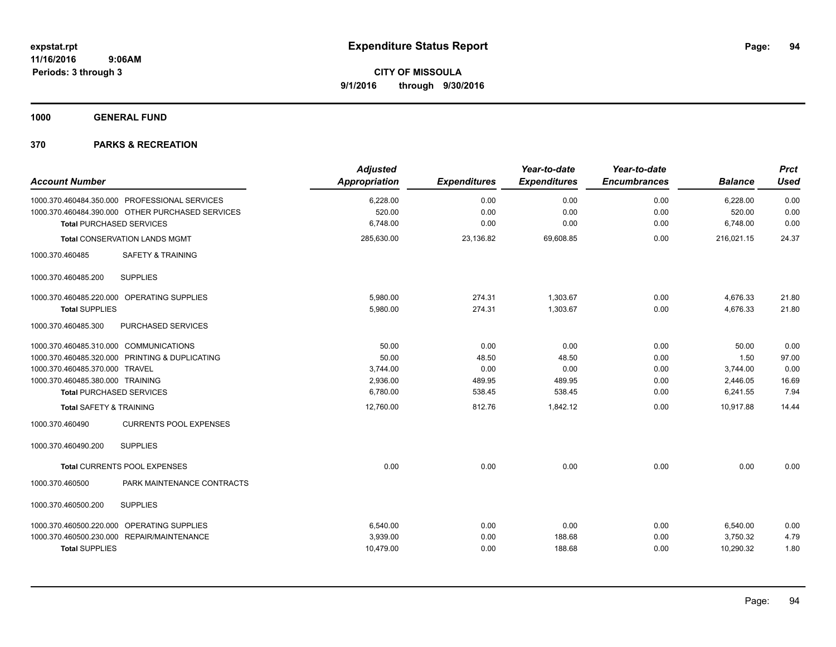**1000 GENERAL FUND**

| <b>Account Number</b>                            | <b>Adjusted</b><br>Appropriation | <b>Expenditures</b> | Year-to-date<br><b>Expenditures</b> | Year-to-date<br><b>Encumbrances</b> | <b>Balance</b> | <b>Prct</b><br><b>Used</b> |
|--------------------------------------------------|----------------------------------|---------------------|-------------------------------------|-------------------------------------|----------------|----------------------------|
| 1000.370.460484.350.000 PROFESSIONAL SERVICES    | 6,228.00                         | 0.00                | 0.00                                | 0.00                                | 6,228.00       | 0.00                       |
| 1000.370.460484.390.000 OTHER PURCHASED SERVICES | 520.00                           | 0.00                | 0.00                                | 0.00                                | 520.00         | 0.00                       |
| <b>Total PURCHASED SERVICES</b>                  | 6,748.00                         | 0.00                | 0.00                                | 0.00                                | 6,748.00       | 0.00                       |
| <b>Total CONSERVATION LANDS MGMT</b>             | 285,630.00                       | 23,136.82           | 69,608.85                           | 0.00                                | 216,021.15     | 24.37                      |
| 1000.370.460485<br><b>SAFETY &amp; TRAINING</b>  |                                  |                     |                                     |                                     |                |                            |
| <b>SUPPLIES</b><br>1000.370.460485.200           |                                  |                     |                                     |                                     |                |                            |
| 1000.370.460485.220.000 OPERATING SUPPLIES       | 5,980.00                         | 274.31              | 1,303.67                            | 0.00                                | 4,676.33       | 21.80                      |
| <b>Total SUPPLIES</b>                            | 5,980.00                         | 274.31              | 1,303.67                            | 0.00                                | 4,676.33       | 21.80                      |
| 1000.370.460485.300<br><b>PURCHASED SERVICES</b> |                                  |                     |                                     |                                     |                |                            |
| 1000.370.460485.310.000 COMMUNICATIONS           | 50.00                            | 0.00                | 0.00                                | 0.00                                | 50.00          | 0.00                       |
| 1000.370.460485.320.000 PRINTING & DUPLICATING   | 50.00                            | 48.50               | 48.50                               | 0.00                                | 1.50           | 97.00                      |
| 1000.370.460485.370.000 TRAVEL                   | 3.744.00                         | 0.00                | 0.00                                | 0.00                                | 3,744.00       | 0.00                       |
| 1000.370.460485.380.000 TRAINING                 | 2,936.00                         | 489.95              | 489.95                              | 0.00                                | 2,446.05       | 16.69                      |
| <b>Total PURCHASED SERVICES</b>                  | 6,780.00                         | 538.45              | 538.45                              | 0.00                                | 6,241.55       | 7.94                       |
| <b>Total SAFETY &amp; TRAINING</b>               | 12,760.00                        | 812.76              | 1,842.12                            | 0.00                                | 10.917.88      | 14.44                      |
| 1000.370.460490<br><b>CURRENTS POOL EXPENSES</b> |                                  |                     |                                     |                                     |                |                            |
| <b>SUPPLIES</b><br>1000.370.460490.200           |                                  |                     |                                     |                                     |                |                            |
| Total CURRENTS POOL EXPENSES                     | 0.00                             | 0.00                | 0.00                                | 0.00                                | 0.00           | 0.00                       |
| PARK MAINTENANCE CONTRACTS<br>1000.370.460500    |                                  |                     |                                     |                                     |                |                            |
| 1000.370.460500.200<br><b>SUPPLIES</b>           |                                  |                     |                                     |                                     |                |                            |
| 1000.370.460500.220.000 OPERATING SUPPLIES       | 6,540.00                         | 0.00                | 0.00                                | 0.00                                | 6,540.00       | 0.00                       |
| 1000.370.460500.230.000 REPAIR/MAINTENANCE       | 3,939.00                         | 0.00                | 188.68                              | 0.00                                | 3,750.32       | 4.79                       |
| <b>Total SUPPLIES</b>                            | 10,479.00                        | 0.00                | 188.68                              | 0.00                                | 10,290.32      | 1.80                       |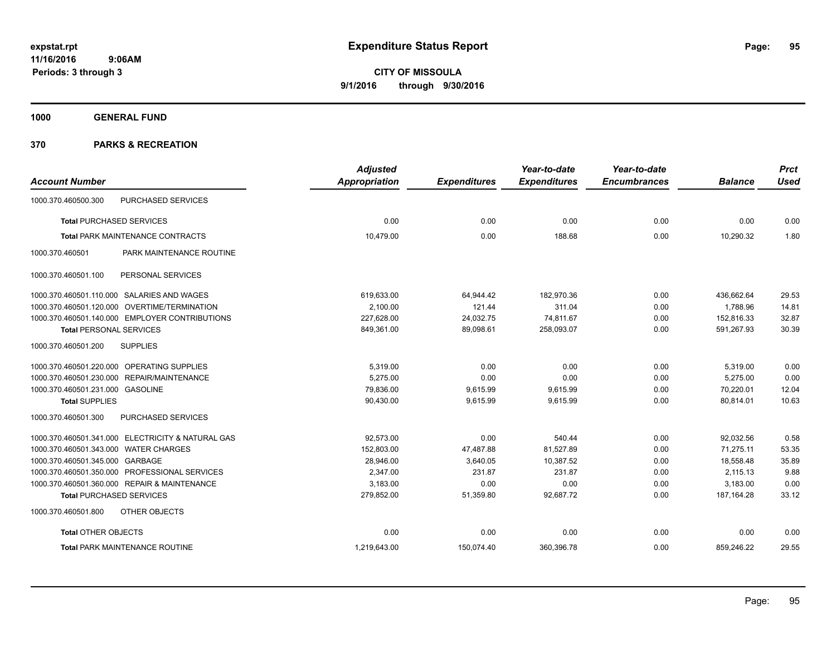**1000 GENERAL FUND**

|                                                   | <b>Adjusted</b> |                     | Year-to-date        | Year-to-date        |                | <b>Prct</b> |
|---------------------------------------------------|-----------------|---------------------|---------------------|---------------------|----------------|-------------|
| <b>Account Number</b>                             | Appropriation   | <b>Expenditures</b> | <b>Expenditures</b> | <b>Encumbrances</b> | <b>Balance</b> | <b>Used</b> |
| PURCHASED SERVICES<br>1000.370.460500.300         |                 |                     |                     |                     |                |             |
| <b>Total PURCHASED SERVICES</b>                   | 0.00            | 0.00                | 0.00                | 0.00                | 0.00           | 0.00        |
| <b>Total PARK MAINTENANCE CONTRACTS</b>           | 10,479.00       | 0.00                | 188.68              | 0.00                | 10,290.32      | 1.80        |
| PARK MAINTENANCE ROUTINE<br>1000.370.460501       |                 |                     |                     |                     |                |             |
| PERSONAL SERVICES<br>1000.370.460501.100          |                 |                     |                     |                     |                |             |
| 1000.370.460501.110.000 SALARIES AND WAGES        | 619,633.00      | 64,944.42           | 182,970.36          | 0.00                | 436,662.64     | 29.53       |
| 1000.370.460501.120.000 OVERTIME/TERMINATION      | 2,100.00        | 121.44              | 311.04              | 0.00                | 1,788.96       | 14.81       |
| 1000.370.460501.140.000 EMPLOYER CONTRIBUTIONS    | 227,628.00      | 24,032.75           | 74,811.67           | 0.00                | 152,816.33     | 32.87       |
| <b>Total PERSONAL SERVICES</b>                    | 849,361.00      | 89,098.61           | 258,093.07          | 0.00                | 591,267.93     | 30.39       |
| 1000.370.460501.200<br><b>SUPPLIES</b>            |                 |                     |                     |                     |                |             |
| 1000.370.460501.220.000 OPERATING SUPPLIES        | 5,319.00        | 0.00                | 0.00                | 0.00                | 5,319.00       | 0.00        |
| 1000.370.460501.230.000 REPAIR/MAINTENANCE        | 5,275.00        | 0.00                | 0.00                | 0.00                | 5,275.00       | 0.00        |
| 1000.370.460501.231.000 GASOLINE                  | 79,836.00       | 9,615.99            | 9,615.99            | 0.00                | 70,220.01      | 12.04       |
| <b>Total SUPPLIES</b>                             | 90,430.00       | 9,615.99            | 9,615.99            | 0.00                | 80,814.01      | 10.63       |
| 1000.370.460501.300<br><b>PURCHASED SERVICES</b>  |                 |                     |                     |                     |                |             |
| 1000.370.460501.341.000 ELECTRICITY & NATURAL GAS | 92,573.00       | 0.00                | 540.44              | 0.00                | 92,032.56      | 0.58        |
| 1000.370.460501.343.000 WATER CHARGES             | 152,803.00      | 47,487.88           | 81,527.89           | 0.00                | 71.275.11      | 53.35       |
| 1000.370.460501.345.000 GARBAGE                   | 28,946.00       | 3,640.05            | 10,387.52           | 0.00                | 18,558.48      | 35.89       |
| 1000.370.460501.350.000 PROFESSIONAL SERVICES     | 2,347.00        | 231.87              | 231.87              | 0.00                | 2,115.13       | 9.88        |
| 1000.370.460501.360.000 REPAIR & MAINTENANCE      | 3,183.00        | 0.00                | 0.00                | 0.00                | 3,183.00       | 0.00        |
| <b>Total PURCHASED SERVICES</b>                   | 279,852.00      | 51,359.80           | 92,687.72           | 0.00                | 187, 164. 28   | 33.12       |
| 1000.370.460501.800<br>OTHER OBJECTS              |                 |                     |                     |                     |                |             |
| <b>Total OTHER OBJECTS</b>                        | 0.00            | 0.00                | 0.00                | 0.00                | 0.00           | 0.00        |
| <b>Total PARK MAINTENANCE ROUTINE</b>             | 1,219,643.00    | 150,074.40          | 360,396.78          | 0.00                | 859,246.22     | 29.55       |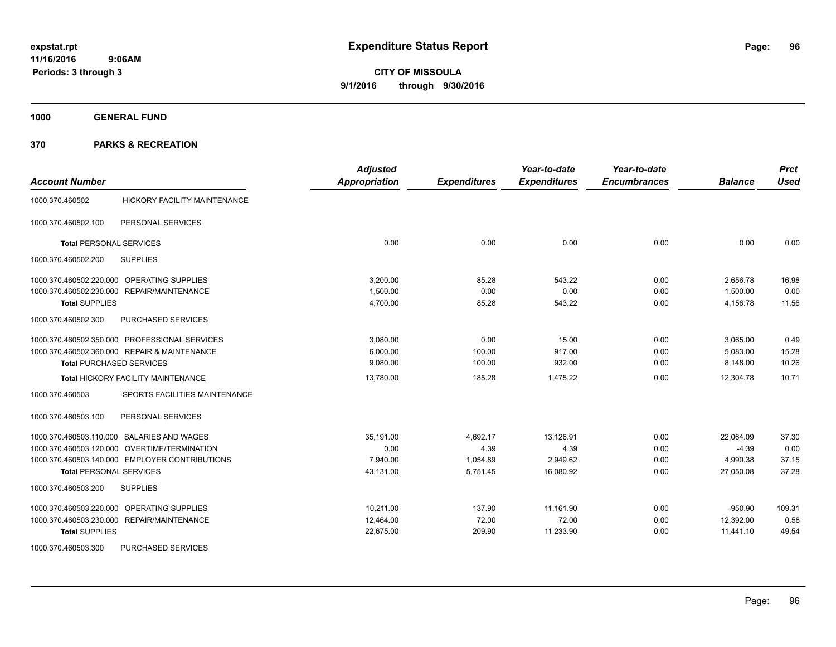**1000 GENERAL FUND**

| <b>Account Number</b>                            | <b>Adjusted</b><br>Appropriation | <b>Expenditures</b> | Year-to-date<br><b>Expenditures</b> | Year-to-date<br><b>Encumbrances</b> | <b>Balance</b> | <b>Prct</b><br><b>Used</b> |
|--------------------------------------------------|----------------------------------|---------------------|-------------------------------------|-------------------------------------|----------------|----------------------------|
| HICKORY FACILITY MAINTENANCE<br>1000.370.460502  |                                  |                     |                                     |                                     |                |                            |
| 1000.370.460502.100<br>PERSONAL SERVICES         |                                  |                     |                                     |                                     |                |                            |
| <b>Total PERSONAL SERVICES</b>                   | 0.00                             | 0.00                | 0.00                                | 0.00                                | 0.00           | 0.00                       |
| <b>SUPPLIES</b><br>1000.370.460502.200           |                                  |                     |                                     |                                     |                |                            |
| 1000.370.460502.220.000<br>OPERATING SUPPLIES    | 3.200.00                         | 85.28               | 543.22                              | 0.00                                | 2,656.78       | 16.98                      |
| 1000.370.460502.230.000<br>REPAIR/MAINTENANCE    | 1,500.00                         | 0.00                | 0.00                                | 0.00                                | 1,500.00       | 0.00                       |
| <b>Total SUPPLIES</b>                            | 4,700.00                         | 85.28               | 543.22                              | 0.00                                | 4,156.78       | 11.56                      |
| 1000.370.460502.300<br>PURCHASED SERVICES        |                                  |                     |                                     |                                     |                |                            |
| 1000.370.460502.350.000 PROFESSIONAL SERVICES    | 3,080.00                         | 0.00                | 15.00                               | 0.00                                | 3,065.00       | 0.49                       |
| 1000.370.460502.360.000 REPAIR & MAINTENANCE     | 6,000.00                         | 100.00              | 917.00                              | 0.00                                | 5,083.00       | 15.28                      |
| <b>Total PURCHASED SERVICES</b>                  | 9,080.00                         | 100.00              | 932.00                              | 0.00                                | 8,148.00       | 10.26                      |
| <b>Total HICKORY FACILITY MAINTENANCE</b>        | 13,780.00                        | 185.28              | 1,475.22                            | 0.00                                | 12,304.78      | 10.71                      |
| SPORTS FACILITIES MAINTENANCE<br>1000.370.460503 |                                  |                     |                                     |                                     |                |                            |
| 1000.370.460503.100<br>PERSONAL SERVICES         |                                  |                     |                                     |                                     |                |                            |
| SALARIES AND WAGES<br>1000.370.460503.110.000    | 35.191.00                        | 4.692.17            | 13,126.91                           | 0.00                                | 22.064.09      | 37.30                      |
| 1000.370.460503.120.000 OVERTIME/TERMINATION     | 0.00                             | 4.39                | 4.39                                | 0.00                                | $-4.39$        | 0.00                       |
| 1000.370.460503.140.000 EMPLOYER CONTRIBUTIONS   | 7,940.00                         | 1,054.89            | 2,949.62                            | 0.00                                | 4,990.38       | 37.15                      |
| <b>Total PERSONAL SERVICES</b>                   | 43,131.00                        | 5,751.45            | 16,080.92                           | 0.00                                | 27,050.08      | 37.28                      |
| 1000.370.460503.200<br><b>SUPPLIES</b>           |                                  |                     |                                     |                                     |                |                            |
| OPERATING SUPPLIES<br>1000.370.460503.220.000    | 10.211.00                        | 137.90              | 11,161.90                           | 0.00                                | $-950.90$      | 109.31                     |
| 1000.370.460503.230.000 REPAIR/MAINTENANCE       | 12,464.00                        | 72.00               | 72.00                               | 0.00                                | 12,392.00      | 0.58                       |
| <b>Total SUPPLIES</b>                            | 22,675.00                        | 209.90              | 11,233.90                           | 0.00                                | 11,441.10      | 49.54                      |
| 1000.370.460503.300<br>PURCHASED SERVICES        |                                  |                     |                                     |                                     |                |                            |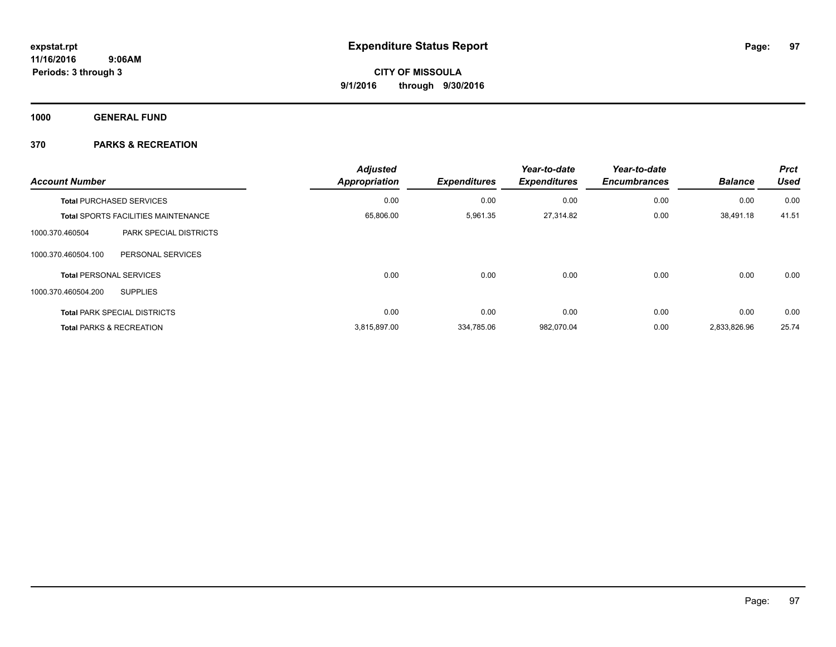**1000 GENERAL FUND**

| <b>Account Number</b> |                                            | <b>Adjusted</b><br><b>Appropriation</b> | <b>Expenditures</b> | Year-to-date<br><b>Expenditures</b> | Year-to-date<br><b>Encumbrances</b> | <b>Balance</b> | <b>Prct</b><br><b>Used</b> |
|-----------------------|--------------------------------------------|-----------------------------------------|---------------------|-------------------------------------|-------------------------------------|----------------|----------------------------|
|                       | <b>Total PURCHASED SERVICES</b>            | 0.00                                    | 0.00                | 0.00                                | 0.00                                | 0.00           | 0.00                       |
|                       | <b>Total SPORTS FACILITIES MAINTENANCE</b> | 65,806.00                               | 5,961.35            | 27,314.82                           | 0.00                                | 38,491.18      | 41.51                      |
| 1000.370.460504       | <b>PARK SPECIAL DISTRICTS</b>              |                                         |                     |                                     |                                     |                |                            |
| 1000.370.460504.100   | PERSONAL SERVICES                          |                                         |                     |                                     |                                     |                |                            |
|                       | <b>Total PERSONAL SERVICES</b>             | 0.00                                    | 0.00                | 0.00                                | 0.00                                | 0.00           | 0.00                       |
| 1000.370.460504.200   | <b>SUPPLIES</b>                            |                                         |                     |                                     |                                     |                |                            |
|                       | <b>Total PARK SPECIAL DISTRICTS</b>        | 0.00                                    | 0.00                | 0.00                                | 0.00                                | 0.00           | 0.00                       |
|                       | <b>Total PARKS &amp; RECREATION</b>        | 3,815,897.00                            | 334,785.06          | 982,070.04                          | 0.00                                | 2,833,826.96   | 25.74                      |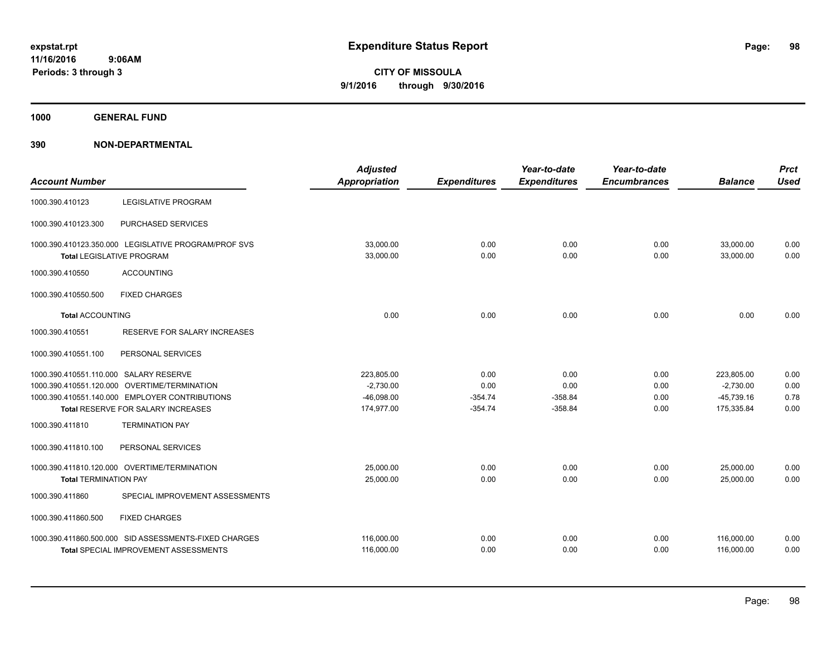**1000 GENERAL FUND**

|                                        |                                                       | <b>Adjusted</b>      |                     | Year-to-date        | Year-to-date        |                | <b>Prct</b> |
|----------------------------------------|-------------------------------------------------------|----------------------|---------------------|---------------------|---------------------|----------------|-------------|
| <b>Account Number</b>                  |                                                       | <b>Appropriation</b> | <b>Expenditures</b> | <b>Expenditures</b> | <b>Encumbrances</b> | <b>Balance</b> | <b>Used</b> |
| 1000.390.410123                        | <b>LEGISLATIVE PROGRAM</b>                            |                      |                     |                     |                     |                |             |
| 1000.390.410123.300                    | PURCHASED SERVICES                                    |                      |                     |                     |                     |                |             |
|                                        | 1000.390.410123.350.000 LEGISLATIVE PROGRAM/PROF SVS  | 33,000.00            | 0.00                | 0.00                | 0.00                | 33,000.00      | 0.00        |
|                                        | <b>Total LEGISLATIVE PROGRAM</b>                      | 33,000.00            | 0.00                | 0.00                | 0.00                | 33,000.00      | 0.00        |
| 1000.390.410550                        | <b>ACCOUNTING</b>                                     |                      |                     |                     |                     |                |             |
| 1000.390.410550.500                    | <b>FIXED CHARGES</b>                                  |                      |                     |                     |                     |                |             |
| <b>Total ACCOUNTING</b>                |                                                       | 0.00                 | 0.00                | 0.00                | 0.00                | 0.00           | 0.00        |
| 1000.390.410551                        | <b>RESERVE FOR SALARY INCREASES</b>                   |                      |                     |                     |                     |                |             |
| 1000.390.410551.100                    | PERSONAL SERVICES                                     |                      |                     |                     |                     |                |             |
| 1000.390.410551.110.000 SALARY RESERVE |                                                       | 223,805.00           | 0.00                | 0.00                | 0.00                | 223,805.00     | 0.00        |
| 1000.390.410551.120.000                | <b>OVERTIME/TERMINATION</b>                           | $-2,730.00$          | 0.00                | 0.00                | 0.00                | $-2,730.00$    | 0.00        |
|                                        | 1000.390.410551.140.000 EMPLOYER CONTRIBUTIONS        | $-46,098.00$         | $-354.74$           | $-358.84$           | 0.00                | $-45,739.16$   | 0.78        |
|                                        | Total RESERVE FOR SALARY INCREASES                    | 174,977.00           | $-354.74$           | $-358.84$           | 0.00                | 175,335.84     | 0.00        |
| 1000.390.411810                        | <b>TERMINATION PAY</b>                                |                      |                     |                     |                     |                |             |
| 1000.390.411810.100                    | PERSONAL SERVICES                                     |                      |                     |                     |                     |                |             |
|                                        | 1000.390.411810.120.000 OVERTIME/TERMINATION          | 25,000.00            | 0.00                | 0.00                | 0.00                | 25,000.00      | 0.00        |
| <b>Total TERMINATION PAY</b>           |                                                       | 25,000.00            | 0.00                | 0.00                | 0.00                | 25,000.00      | 0.00        |
| 1000.390.411860                        | SPECIAL IMPROVEMENT ASSESSMENTS                       |                      |                     |                     |                     |                |             |
| 1000.390.411860.500                    | <b>FIXED CHARGES</b>                                  |                      |                     |                     |                     |                |             |
|                                        | 1000.390.411860.500.000 SID ASSESSMENTS-FIXED CHARGES | 116,000.00           | 0.00                | 0.00                | 0.00                | 116.000.00     | 0.00        |
|                                        | Total SPECIAL IMPROVEMENT ASSESSMENTS                 | 116,000.00           | 0.00                | 0.00                | 0.00                | 116,000.00     | 0.00        |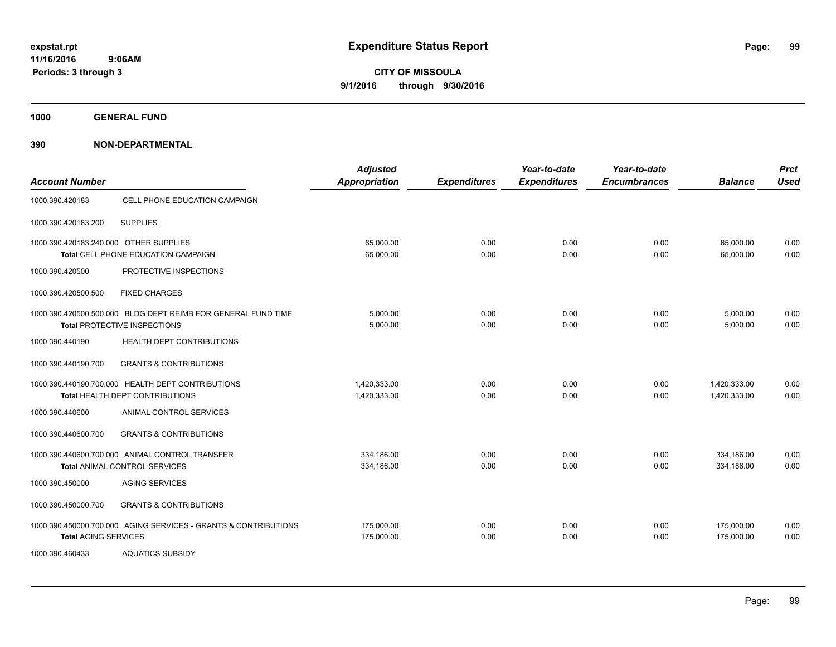**1000 GENERAL FUND**

| <b>Account Number</b>                  |                                                                                               | <b>Adjusted</b><br><b>Appropriation</b> | <b>Expenditures</b> | Year-to-date<br><b>Expenditures</b> | Year-to-date<br><b>Encumbrances</b> | <b>Balance</b>               | <b>Prct</b><br><b>Used</b> |
|----------------------------------------|-----------------------------------------------------------------------------------------------|-----------------------------------------|---------------------|-------------------------------------|-------------------------------------|------------------------------|----------------------------|
| 1000.390.420183                        | CELL PHONE EDUCATION CAMPAIGN                                                                 |                                         |                     |                                     |                                     |                              |                            |
| 1000.390.420183.200                    | <b>SUPPLIES</b>                                                                               |                                         |                     |                                     |                                     |                              |                            |
| 1000.390.420183.240.000 OTHER SUPPLIES | Total CELL PHONE EDUCATION CAMPAIGN                                                           | 65,000.00<br>65,000.00                  | 0.00<br>0.00        | 0.00<br>0.00                        | 0.00<br>0.00                        | 65.000.00<br>65,000.00       | 0.00<br>0.00               |
| 1000.390.420500                        | PROTECTIVE INSPECTIONS                                                                        |                                         |                     |                                     |                                     |                              |                            |
| 1000.390.420500.500                    | <b>FIXED CHARGES</b>                                                                          |                                         |                     |                                     |                                     |                              |                            |
|                                        | 1000.390.420500.500.000 BLDG DEPT REIMB FOR GENERAL FUND TIME<br>Total PROTECTIVE INSPECTIONS | 5,000.00<br>5,000.00                    | 0.00<br>0.00        | 0.00<br>0.00                        | 0.00<br>0.00                        | 5,000.00<br>5,000.00         | 0.00<br>0.00               |
| 1000.390.440190                        | HEALTH DEPT CONTRIBUTIONS                                                                     |                                         |                     |                                     |                                     |                              |                            |
| 1000.390.440190.700                    | <b>GRANTS &amp; CONTRIBUTIONS</b>                                                             |                                         |                     |                                     |                                     |                              |                            |
|                                        | 1000.390.440190.700.000 HEALTH DEPT CONTRIBUTIONS<br>Total HEALTH DEPT CONTRIBUTIONS          | 1.420.333.00<br>1,420,333.00            | 0.00<br>0.00        | 0.00<br>0.00                        | 0.00<br>0.00                        | 1,420,333.00<br>1,420,333.00 | 0.00<br>0.00               |
| 1000.390.440600                        | ANIMAL CONTROL SERVICES                                                                       |                                         |                     |                                     |                                     |                              |                            |
| 1000.390.440600.700                    | <b>GRANTS &amp; CONTRIBUTIONS</b>                                                             |                                         |                     |                                     |                                     |                              |                            |
|                                        | 1000.390.440600.700.000 ANIMAL CONTROL TRANSFER<br><b>Total ANIMAL CONTROL SERVICES</b>       | 334.186.00<br>334,186.00                | 0.00<br>0.00        | 0.00<br>0.00                        | 0.00<br>0.00                        | 334.186.00<br>334,186.00     | 0.00<br>0.00               |
| 1000.390.450000                        | <b>AGING SERVICES</b>                                                                         |                                         |                     |                                     |                                     |                              |                            |
| 1000.390.450000.700                    | <b>GRANTS &amp; CONTRIBUTIONS</b>                                                             |                                         |                     |                                     |                                     |                              |                            |
| <b>Total AGING SERVICES</b>            | 1000.390.450000.700.000 AGING SERVICES - GRANTS & CONTRIBUTIONS                               | 175,000.00<br>175,000.00                | 0.00<br>0.00        | 0.00<br>0.00                        | 0.00<br>0.00                        | 175,000.00<br>175,000.00     | 0.00<br>0.00               |
| 1000.390.460433                        | <b>AQUATICS SUBSIDY</b>                                                                       |                                         |                     |                                     |                                     |                              |                            |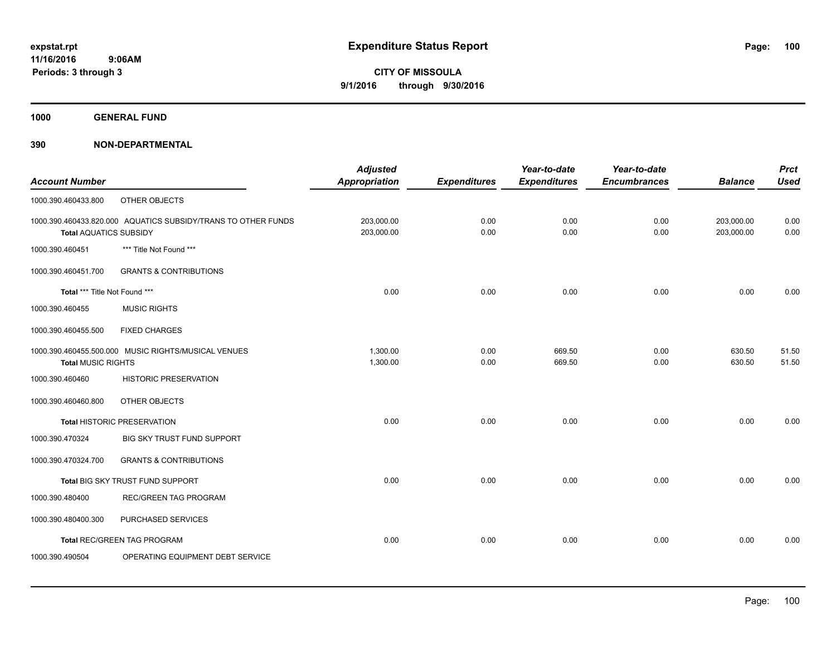**1000 GENERAL FUND**

| <b>Account Number</b>         |                                                               | <b>Adjusted</b><br><b>Appropriation</b> | <b>Expenditures</b> | Year-to-date<br><b>Expenditures</b> | Year-to-date<br><b>Encumbrances</b> | <b>Balance</b>           | <b>Prct</b><br><b>Used</b> |
|-------------------------------|---------------------------------------------------------------|-----------------------------------------|---------------------|-------------------------------------|-------------------------------------|--------------------------|----------------------------|
| 1000.390.460433.800           | OTHER OBJECTS                                                 |                                         |                     |                                     |                                     |                          |                            |
| <b>Total AQUATICS SUBSIDY</b> | 1000.390.460433.820.000 AQUATICS SUBSIDY/TRANS TO OTHER FUNDS | 203,000.00<br>203,000.00                | 0.00<br>0.00        | 0.00<br>0.00                        | 0.00<br>0.00                        | 203,000.00<br>203,000.00 | 0.00<br>0.00               |
| 1000.390.460451               | *** Title Not Found ***                                       |                                         |                     |                                     |                                     |                          |                            |
| 1000.390.460451.700           | <b>GRANTS &amp; CONTRIBUTIONS</b>                             |                                         |                     |                                     |                                     |                          |                            |
| Total *** Title Not Found *** |                                                               | 0.00                                    | 0.00                | 0.00                                | 0.00                                | 0.00                     | 0.00                       |
| 1000.390.460455               | <b>MUSIC RIGHTS</b>                                           |                                         |                     |                                     |                                     |                          |                            |
| 1000.390.460455.500           | <b>FIXED CHARGES</b>                                          |                                         |                     |                                     |                                     |                          |                            |
| <b>Total MUSIC RIGHTS</b>     | 1000.390.460455.500.000 MUSIC RIGHTS/MUSICAL VENUES           | 1,300.00<br>1,300.00                    | 0.00<br>0.00        | 669.50<br>669.50                    | 0.00<br>0.00                        | 630.50<br>630.50         | 51.50<br>51.50             |
| 1000.390.460460               | HISTORIC PRESERVATION                                         |                                         |                     |                                     |                                     |                          |                            |
| 1000.390.460460.800           | OTHER OBJECTS                                                 |                                         |                     |                                     |                                     |                          |                            |
|                               | Total HISTORIC PRESERVATION                                   | 0.00                                    | 0.00                | 0.00                                | 0.00                                | 0.00                     | 0.00                       |
| 1000.390.470324               | BIG SKY TRUST FUND SUPPORT                                    |                                         |                     |                                     |                                     |                          |                            |
| 1000.390.470324.700           | <b>GRANTS &amp; CONTRIBUTIONS</b>                             |                                         |                     |                                     |                                     |                          |                            |
|                               | Total BIG SKY TRUST FUND SUPPORT                              | 0.00                                    | 0.00                | 0.00                                | 0.00                                | 0.00                     | 0.00                       |
| 1000.390.480400               | <b>REC/GREEN TAG PROGRAM</b>                                  |                                         |                     |                                     |                                     |                          |                            |
| 1000.390.480400.300           | PURCHASED SERVICES                                            |                                         |                     |                                     |                                     |                          |                            |
|                               | Total REC/GREEN TAG PROGRAM                                   | 0.00                                    | 0.00                | 0.00                                | 0.00                                | 0.00                     | 0.00                       |
| 1000.390.490504               | OPERATING EQUIPMENT DEBT SERVICE                              |                                         |                     |                                     |                                     |                          |                            |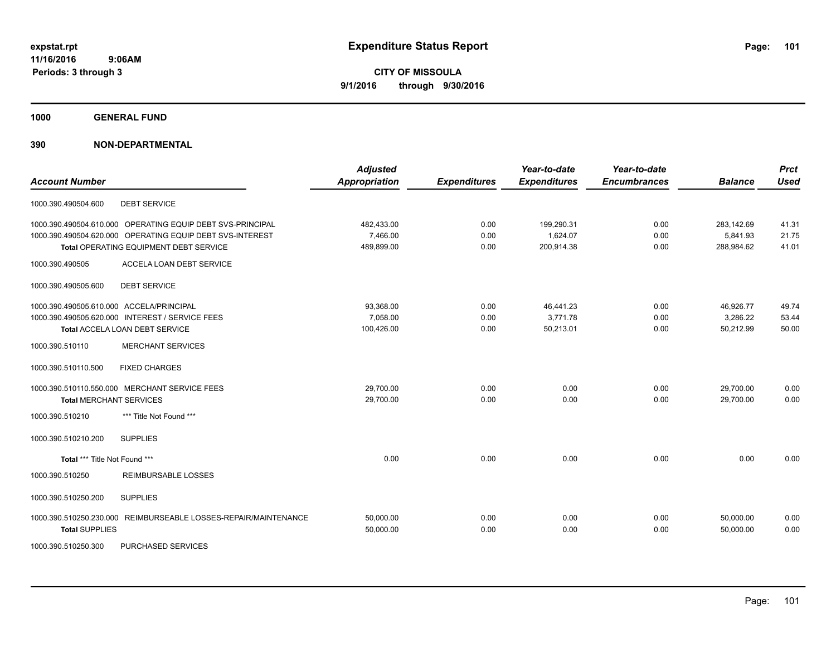**1000 GENERAL FUND**

### **390 NON-DEPARTMENTAL**

| <b>Account Number</b>                                           | <b>Adjusted</b><br>Appropriation | <b>Expenditures</b> | Year-to-date<br><b>Expenditures</b> | Year-to-date<br><b>Encumbrances</b> | <b>Balance</b> | <b>Prct</b><br><b>Used</b> |
|-----------------------------------------------------------------|----------------------------------|---------------------|-------------------------------------|-------------------------------------|----------------|----------------------------|
| 1000.390.490504.600<br><b>DEBT SERVICE</b>                      |                                  |                     |                                     |                                     |                |                            |
| 1000.390.490504.610.000 OPERATING EQUIP DEBT SVS-PRINCIPAL      | 482,433.00                       | 0.00                | 199,290.31                          | 0.00                                | 283,142.69     | 41.31                      |
| 1000.390.490504.620.000 OPERATING EQUIP DEBT SVS-INTEREST       | 7,466.00                         | 0.00                | 1,624.07                            | 0.00                                | 5,841.93       | 21.75                      |
| Total OPERATING EQUIPMENT DEBT SERVICE                          | 489,899.00                       | 0.00                | 200.914.38                          | 0.00                                | 288,984.62     | 41.01                      |
| ACCELA LOAN DEBT SERVICE<br>1000.390.490505                     |                                  |                     |                                     |                                     |                |                            |
| <b>DEBT SERVICE</b><br>1000.390.490505.600                      |                                  |                     |                                     |                                     |                |                            |
| 1000.390.490505.610.000 ACCELA/PRINCIPAL                        | 93,368.00                        | 0.00                | 46,441.23                           | 0.00                                | 46,926.77      | 49.74                      |
| 1000.390.490505.620.000 INTEREST / SERVICE FEES                 | 7.058.00                         | 0.00                | 3.771.78                            | 0.00                                | 3.286.22       | 53.44                      |
| Total ACCELA LOAN DEBT SERVICE                                  | 100,426.00                       | 0.00                | 50,213.01                           | 0.00                                | 50,212.99      | 50.00                      |
| <b>MERCHANT SERVICES</b><br>1000.390.510110                     |                                  |                     |                                     |                                     |                |                            |
| <b>FIXED CHARGES</b><br>1000.390.510110.500                     |                                  |                     |                                     |                                     |                |                            |
| 1000.390.510110.550.000 MERCHANT SERVICE FEES                   | 29,700.00                        | 0.00                | 0.00                                | 0.00                                | 29,700.00      | 0.00                       |
| <b>Total MERCHANT SERVICES</b>                                  | 29,700.00                        | 0.00                | 0.00                                | 0.00                                | 29.700.00      | 0.00                       |
| *** Title Not Found ***<br>1000.390.510210                      |                                  |                     |                                     |                                     |                |                            |
| <b>SUPPLIES</b><br>1000.390.510210.200                          |                                  |                     |                                     |                                     |                |                            |
| Total *** Title Not Found ***                                   | 0.00                             | 0.00                | 0.00                                | 0.00                                | 0.00           | 0.00                       |
| 1000.390.510250<br><b>REIMBURSABLE LOSSES</b>                   |                                  |                     |                                     |                                     |                |                            |
| 1000.390.510250.200<br><b>SUPPLIES</b>                          |                                  |                     |                                     |                                     |                |                            |
| 1000.390.510250.230.000 REIMBURSEABLE LOSSES-REPAIR/MAINTENANCE | 50,000.00                        | 0.00                | 0.00                                | 0.00                                | 50.000.00      | 0.00                       |
| <b>Total SUPPLIES</b>                                           | 50,000.00                        | 0.00                | 0.00                                | 0.00                                | 50,000.00      | 0.00                       |
|                                                                 |                                  |                     |                                     |                                     |                |                            |

1000.390.510250.300 PURCHASED SERVICES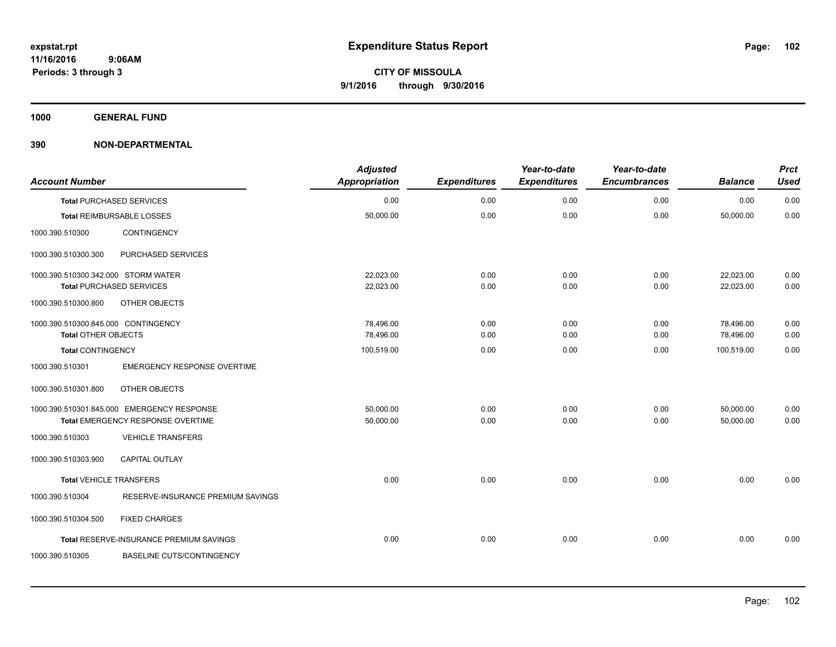**1000 GENERAL FUND**

| <b>Account Number</b>               |                                            | <b>Adjusted</b><br><b>Appropriation</b> | <b>Expenditures</b> | Year-to-date<br><b>Expenditures</b> | Year-to-date<br><b>Encumbrances</b> | <b>Balance</b> | <b>Prct</b><br><b>Used</b> |
|-------------------------------------|--------------------------------------------|-----------------------------------------|---------------------|-------------------------------------|-------------------------------------|----------------|----------------------------|
|                                     | <b>Total PURCHASED SERVICES</b>            | 0.00                                    | 0.00                | 0.00                                | 0.00                                | 0.00           | 0.00                       |
|                                     | Total REIMBURSABLE LOSSES                  | 50,000.00                               | 0.00                | 0.00                                | 0.00                                | 50,000.00      | 0.00                       |
| 1000.390.510300                     | CONTINGENCY                                |                                         |                     |                                     |                                     |                |                            |
| 1000.390.510300.300                 | PURCHASED SERVICES                         |                                         |                     |                                     |                                     |                |                            |
| 1000.390.510300.342.000 STORM WATER |                                            | 22,023.00                               | 0.00                | 0.00                                | 0.00                                | 22,023.00      | 0.00                       |
|                                     | <b>Total PURCHASED SERVICES</b>            | 22,023.00                               | 0.00                | 0.00                                | 0.00                                | 22,023.00      | 0.00                       |
| 1000.390.510300.800                 | OTHER OBJECTS                              |                                         |                     |                                     |                                     |                |                            |
| 1000.390.510300.845.000 CONTINGENCY |                                            | 78,496.00                               | 0.00                | 0.00                                | 0.00                                | 78,496.00      | 0.00                       |
| <b>Total OTHER OBJECTS</b>          |                                            | 78,496.00                               | 0.00                | 0.00                                | 0.00                                | 78,496.00      | 0.00                       |
| <b>Total CONTINGENCY</b>            |                                            | 100,519.00                              | 0.00                | 0.00                                | 0.00                                | 100,519.00     | 0.00                       |
| 1000.390.510301                     | <b>EMERGENCY RESPONSE OVERTIME</b>         |                                         |                     |                                     |                                     |                |                            |
| 1000.390.510301.800                 | OTHER OBJECTS                              |                                         |                     |                                     |                                     |                |                            |
|                                     | 1000.390.510301.845.000 EMERGENCY RESPONSE | 50,000.00                               | 0.00                | 0.00                                | 0.00                                | 50,000.00      | 0.00                       |
|                                     | Total EMERGENCY RESPONSE OVERTIME          | 50,000.00                               | 0.00                | 0.00                                | 0.00                                | 50.000.00      | 0.00                       |
| 1000.390.510303                     | <b>VEHICLE TRANSFERS</b>                   |                                         |                     |                                     |                                     |                |                            |
| 1000.390.510303.900                 | <b>CAPITAL OUTLAY</b>                      |                                         |                     |                                     |                                     |                |                            |
| <b>Total VEHICLE TRANSFERS</b>      |                                            | 0.00                                    | 0.00                | 0.00                                | 0.00                                | 0.00           | 0.00                       |
| 1000.390.510304                     | RESERVE-INSURANCE PREMIUM SAVINGS          |                                         |                     |                                     |                                     |                |                            |
| 1000.390.510304.500                 | <b>FIXED CHARGES</b>                       |                                         |                     |                                     |                                     |                |                            |
|                                     | Total RESERVE-INSURANCE PREMIUM SAVINGS    | 0.00                                    | 0.00                | 0.00                                | 0.00                                | 0.00           | 0.00                       |
| 1000.390.510305                     | <b>BASELINE CUTS/CONTINGENCY</b>           |                                         |                     |                                     |                                     |                |                            |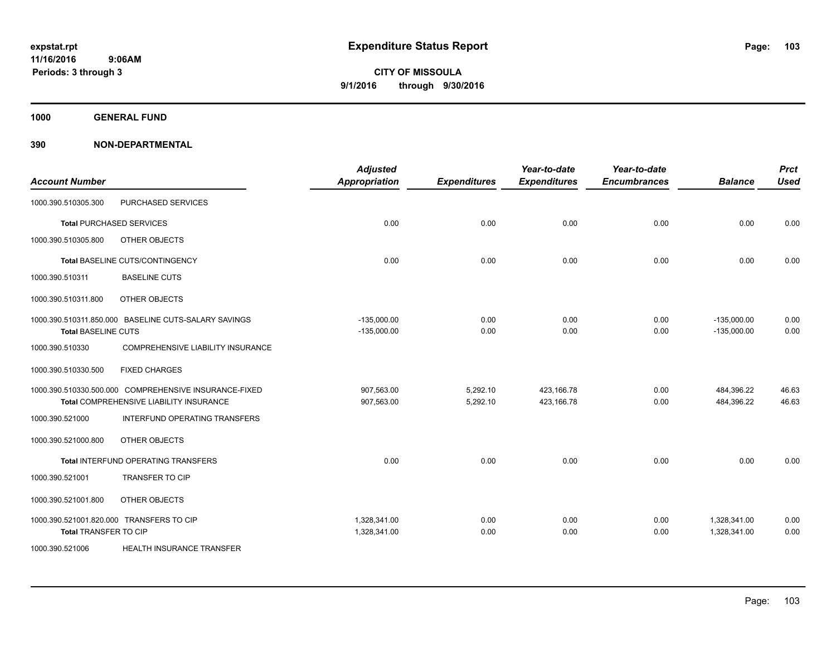**1000 GENERAL FUND**

| <b>Account Number</b>        |                                                                                                  | <b>Adjusted</b><br><b>Appropriation</b> | <b>Expenditures</b>  | Year-to-date<br><b>Expenditures</b> | Year-to-date<br><b>Encumbrances</b> | <b>Balance</b>                 | <b>Prct</b><br><b>Used</b> |
|------------------------------|--------------------------------------------------------------------------------------------------|-----------------------------------------|----------------------|-------------------------------------|-------------------------------------|--------------------------------|----------------------------|
| 1000.390.510305.300          | PURCHASED SERVICES                                                                               |                                         |                      |                                     |                                     |                                |                            |
|                              | <b>Total PURCHASED SERVICES</b>                                                                  | 0.00                                    | 0.00                 | 0.00                                | 0.00                                | 0.00                           | 0.00                       |
| 1000.390.510305.800          | OTHER OBJECTS                                                                                    |                                         |                      |                                     |                                     |                                |                            |
|                              | Total BASELINE CUTS/CONTINGENCY                                                                  | 0.00                                    | 0.00                 | 0.00                                | 0.00                                | 0.00                           | 0.00                       |
| 1000.390.510311              | <b>BASELINE CUTS</b>                                                                             |                                         |                      |                                     |                                     |                                |                            |
| 1000.390.510311.800          | OTHER OBJECTS                                                                                    |                                         |                      |                                     |                                     |                                |                            |
| <b>Total BASELINE CUTS</b>   | 1000.390.510311.850.000 BASELINE CUTS-SALARY SAVINGS                                             | $-135,000.00$<br>$-135,000.00$          | 0.00<br>0.00         | 0.00<br>0.00                        | 0.00<br>0.00                        | $-135,000.00$<br>$-135,000.00$ | 0.00<br>0.00               |
| 1000.390.510330              | COMPREHENSIVE LIABILITY INSURANCE                                                                |                                         |                      |                                     |                                     |                                |                            |
| 1000.390.510330.500          | <b>FIXED CHARGES</b>                                                                             |                                         |                      |                                     |                                     |                                |                            |
|                              | 1000.390.510330.500.000 COMPREHENSIVE INSURANCE-FIXED<br>Total COMPREHENSIVE LIABILITY INSURANCE | 907.563.00<br>907,563.00                | 5,292.10<br>5,292.10 | 423.166.78<br>423,166.78            | 0.00<br>0.00                        | 484,396.22<br>484,396.22       | 46.63<br>46.63             |
| 1000.390.521000              | INTERFUND OPERATING TRANSFERS                                                                    |                                         |                      |                                     |                                     |                                |                            |
| 1000.390.521000.800          | OTHER OBJECTS                                                                                    |                                         |                      |                                     |                                     |                                |                            |
|                              | Total INTERFUND OPERATING TRANSFERS                                                              | 0.00                                    | 0.00                 | 0.00                                | 0.00                                | 0.00                           | 0.00                       |
| 1000.390.521001              | <b>TRANSFER TO CIP</b>                                                                           |                                         |                      |                                     |                                     |                                |                            |
| 1000.390.521001.800          | OTHER OBJECTS                                                                                    |                                         |                      |                                     |                                     |                                |                            |
| <b>Total TRANSFER TO CIP</b> | 1000.390.521001.820.000 TRANSFERS TO CIP                                                         | 1,328,341.00<br>1,328,341.00            | 0.00<br>0.00         | 0.00<br>0.00                        | 0.00<br>0.00                        | 1,328,341.00<br>1,328,341.00   | 0.00<br>0.00               |
| 1000.390.521006              | HEALTH INSURANCE TRANSFER                                                                        |                                         |                      |                                     |                                     |                                |                            |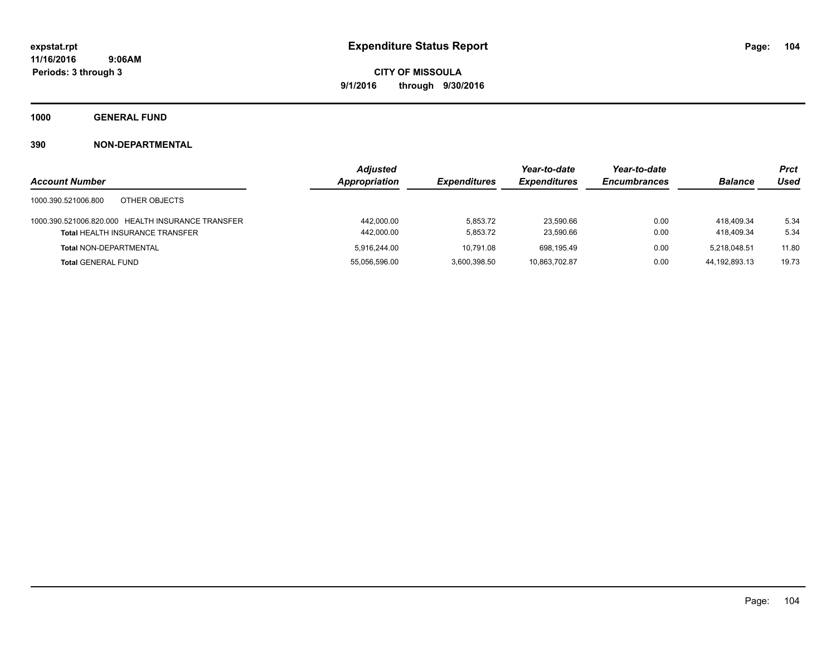**1000 GENERAL FUND**

|                                                   | <b>Adjusted</b> |                     | Year-to-date        | Year-to-date        |                | <b>Prct</b> |
|---------------------------------------------------|-----------------|---------------------|---------------------|---------------------|----------------|-------------|
| <b>Account Number</b>                             | Appropriation   | <b>Expenditures</b> | <b>Expenditures</b> | <b>Encumbrances</b> | <b>Balance</b> | Used        |
| 1000.390.521006.800<br>OTHER OBJECTS              |                 |                     |                     |                     |                |             |
| 1000.390.521006.820.000 HEALTH INSURANCE TRANSFER | 442,000.00      | 5.853.72            | 23.590.66           | 0.00                | 418.409.34     | 5.34        |
| <b>Total HEALTH INSURANCE TRANSFER</b>            | 442,000.00      | 5,853.72            | 23.590.66           | 0.00                | 418.409.34     | 5.34        |
| <b>Total NON-DEPARTMENTAL</b>                     | 5.916.244.00    | 10.791.08           | 698.195.49          | 0.00                | 5.218.048.51   | 11.80       |
| <b>Total GENERAL FUND</b>                         | 55.056.596.00   | 3.600.398.50        | 10,863,702.87       | 0.00                | 44.192.893.13  | 19.73       |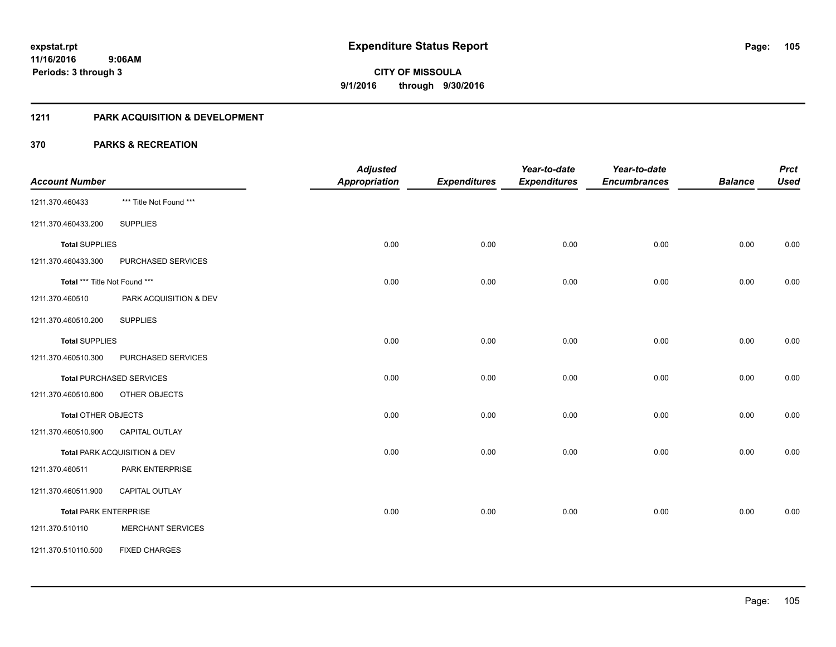### **1211 PARK ACQUISITION & DEVELOPMENT**

|                               |                                 | <b>Adjusted</b>      |                     | Year-to-date        | Year-to-date        |                | <b>Prct</b> |
|-------------------------------|---------------------------------|----------------------|---------------------|---------------------|---------------------|----------------|-------------|
| <b>Account Number</b>         |                                 | <b>Appropriation</b> | <b>Expenditures</b> | <b>Expenditures</b> | <b>Encumbrances</b> | <b>Balance</b> | <b>Used</b> |
| 1211.370.460433               | *** Title Not Found ***         |                      |                     |                     |                     |                |             |
| 1211.370.460433.200           | <b>SUPPLIES</b>                 |                      |                     |                     |                     |                |             |
| <b>Total SUPPLIES</b>         |                                 | 0.00                 | 0.00                | 0.00                | 0.00                | 0.00           | 0.00        |
| 1211.370.460433.300           | PURCHASED SERVICES              |                      |                     |                     |                     |                |             |
| Total *** Title Not Found *** |                                 | 0.00                 | 0.00                | 0.00                | 0.00                | 0.00           | 0.00        |
| 1211.370.460510               | PARK ACQUISITION & DEV          |                      |                     |                     |                     |                |             |
| 1211.370.460510.200           | <b>SUPPLIES</b>                 |                      |                     |                     |                     |                |             |
| <b>Total SUPPLIES</b>         |                                 | 0.00                 | 0.00                | 0.00                | 0.00                | 0.00           | 0.00        |
| 1211.370.460510.300           | PURCHASED SERVICES              |                      |                     |                     |                     |                |             |
|                               | <b>Total PURCHASED SERVICES</b> | 0.00                 | 0.00                | 0.00                | 0.00                | 0.00           | 0.00        |
| 1211.370.460510.800           | OTHER OBJECTS                   |                      |                     |                     |                     |                |             |
| Total OTHER OBJECTS           |                                 | 0.00                 | 0.00                | 0.00                | 0.00                | 0.00           | 0.00        |
| 1211.370.460510.900           | <b>CAPITAL OUTLAY</b>           |                      |                     |                     |                     |                |             |
|                               | Total PARK ACQUISITION & DEV    | 0.00                 | 0.00                | 0.00                | 0.00                | 0.00           | 0.00        |
| 1211.370.460511               | PARK ENTERPRISE                 |                      |                     |                     |                     |                |             |
| 1211.370.460511.900           | <b>CAPITAL OUTLAY</b>           |                      |                     |                     |                     |                |             |
| <b>Total PARK ENTERPRISE</b>  |                                 | 0.00                 | 0.00                | 0.00                | 0.00                | 0.00           | 0.00        |
| 1211.370.510110               | <b>MERCHANT SERVICES</b>        |                      |                     |                     |                     |                |             |
| 1211.370.510110.500           | <b>FIXED CHARGES</b>            |                      |                     |                     |                     |                |             |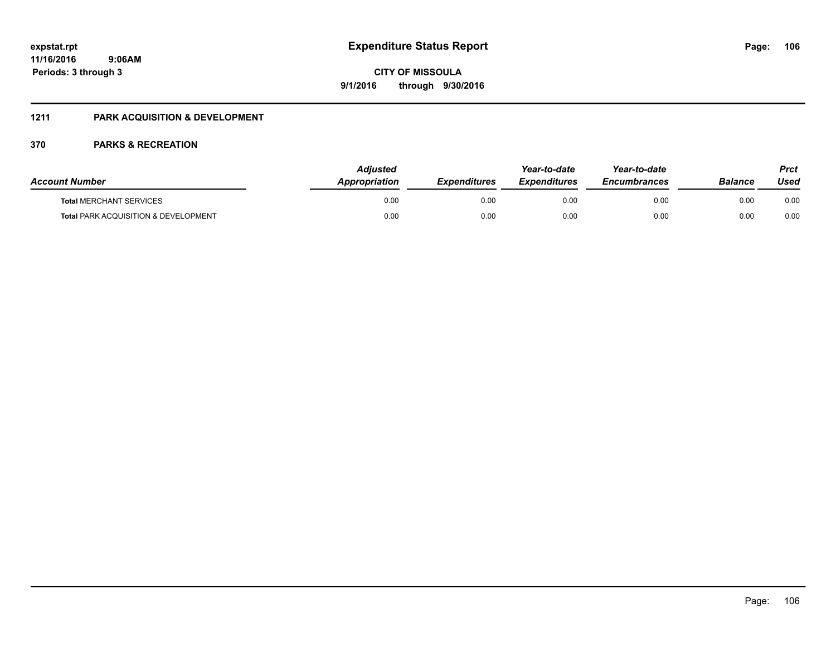## **1211 PARK ACQUISITION & DEVELOPMENT**

| <b>Account Number</b>                           | <b>Adiusted</b><br><b>Appropriation</b> | <b>Expenditures</b> | Year-to-date<br><b>Expenditures</b> | Year-to-date<br><b>Encumbrances</b> | Balance | Prct<br>Used |
|-------------------------------------------------|-----------------------------------------|---------------------|-------------------------------------|-------------------------------------|---------|--------------|
| <b>Total MERCHANT SERVICES</b>                  | 0.00                                    | 0.00                | 0.00                                | 0.00                                | 0.00    | 0.00         |
| <b>Total PARK ACQUISITION &amp; DEVELOPMENT</b> | 0.00                                    | 0.00                | 0.00                                | 0.00                                | 0.00    | 0.00         |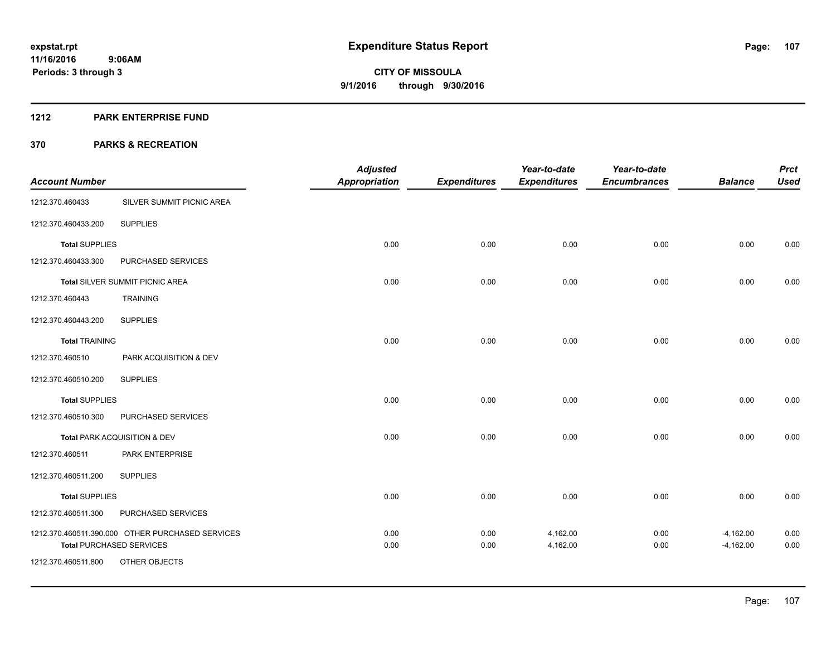#### **1212 PARK ENTERPRISE FUND**

|                       |                                                  | <b>Adjusted</b>      |                     | Year-to-date        | Year-to-date        |                | <b>Prct</b> |
|-----------------------|--------------------------------------------------|----------------------|---------------------|---------------------|---------------------|----------------|-------------|
| <b>Account Number</b> |                                                  | <b>Appropriation</b> | <b>Expenditures</b> | <b>Expenditures</b> | <b>Encumbrances</b> | <b>Balance</b> | <b>Used</b> |
| 1212.370.460433       | SILVER SUMMIT PICNIC AREA                        |                      |                     |                     |                     |                |             |
| 1212.370.460433.200   | <b>SUPPLIES</b>                                  |                      |                     |                     |                     |                |             |
| <b>Total SUPPLIES</b> |                                                  | 0.00                 | 0.00                | 0.00                | 0.00                | 0.00           | 0.00        |
| 1212.370.460433.300   | PURCHASED SERVICES                               |                      |                     |                     |                     |                |             |
|                       | <b>Total SILVER SUMMIT PICNIC AREA</b>           | 0.00                 | 0.00                | 0.00                | 0.00                | 0.00           | 0.00        |
| 1212.370.460443       | <b>TRAINING</b>                                  |                      |                     |                     |                     |                |             |
| 1212.370.460443.200   | <b>SUPPLIES</b>                                  |                      |                     |                     |                     |                |             |
| <b>Total TRAINING</b> |                                                  | 0.00                 | 0.00                | 0.00                | 0.00                | 0.00           | 0.00        |
| 1212.370.460510       | PARK ACQUISITION & DEV                           |                      |                     |                     |                     |                |             |
| 1212.370.460510.200   | <b>SUPPLIES</b>                                  |                      |                     |                     |                     |                |             |
| <b>Total SUPPLIES</b> |                                                  | 0.00                 | 0.00                | 0.00                | 0.00                | 0.00           | 0.00        |
| 1212.370.460510.300   | PURCHASED SERVICES                               |                      |                     |                     |                     |                |             |
|                       | Total PARK ACQUISITION & DEV                     | 0.00                 | 0.00                | 0.00                | 0.00                | 0.00           | 0.00        |
| 1212.370.460511       | PARK ENTERPRISE                                  |                      |                     |                     |                     |                |             |
| 1212.370.460511.200   | <b>SUPPLIES</b>                                  |                      |                     |                     |                     |                |             |
| <b>Total SUPPLIES</b> |                                                  | 0.00                 | 0.00                | 0.00                | 0.00                | 0.00           | 0.00        |
| 1212.370.460511.300   | PURCHASED SERVICES                               |                      |                     |                     |                     |                |             |
|                       | 1212.370.460511.390.000 OTHER PURCHASED SERVICES | 0.00                 | 0.00                | 4,162.00            | 0.00                | $-4,162.00$    | 0.00        |
| 1212.370.460511.800   | <b>Total PURCHASED SERVICES</b><br>OTHER OBJECTS | 0.00                 | 0.00                | 4,162.00            | 0.00                | $-4,162.00$    | 0.00        |
|                       |                                                  |                      |                     |                     |                     |                |             |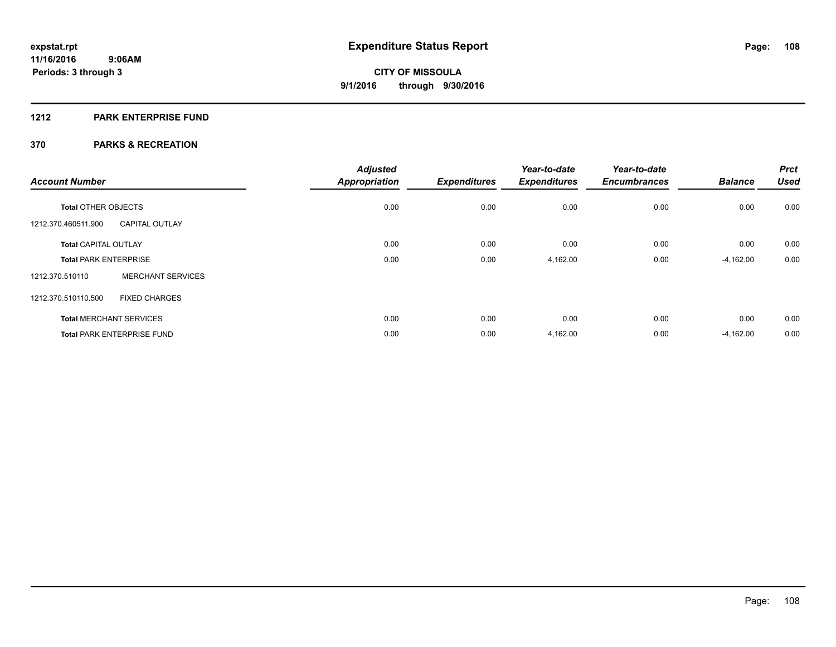### **1212 PARK ENTERPRISE FUND**

| <b>Account Number</b>        |                                   | <b>Adjusted</b><br><b>Appropriation</b> | <b>Expenditures</b> | Year-to-date<br><b>Expenditures</b> | Year-to-date<br><b>Encumbrances</b> | <b>Balance</b> | <b>Prct</b><br><b>Used</b> |
|------------------------------|-----------------------------------|-----------------------------------------|---------------------|-------------------------------------|-------------------------------------|----------------|----------------------------|
| <b>Total OTHER OBJECTS</b>   |                                   | 0.00                                    | 0.00                | 0.00                                | 0.00                                | 0.00           | 0.00                       |
| 1212.370.460511.900          | <b>CAPITAL OUTLAY</b>             |                                         |                     |                                     |                                     |                |                            |
| <b>Total CAPITAL OUTLAY</b>  |                                   | 0.00                                    | 0.00                | 0.00                                | 0.00                                | 0.00           | 0.00                       |
| <b>Total PARK ENTERPRISE</b> |                                   | 0.00                                    | 0.00                | 4,162.00                            | 0.00                                | $-4,162.00$    | 0.00                       |
| 1212.370.510110              | <b>MERCHANT SERVICES</b>          |                                         |                     |                                     |                                     |                |                            |
| 1212.370.510110.500          | <b>FIXED CHARGES</b>              |                                         |                     |                                     |                                     |                |                            |
|                              | <b>Total MERCHANT SERVICES</b>    | 0.00                                    | 0.00                | 0.00                                | 0.00                                | 0.00           | 0.00                       |
|                              | <b>Total PARK ENTERPRISE FUND</b> | 0.00                                    | 0.00                | 4,162.00                            | 0.00                                | $-4,162.00$    | 0.00                       |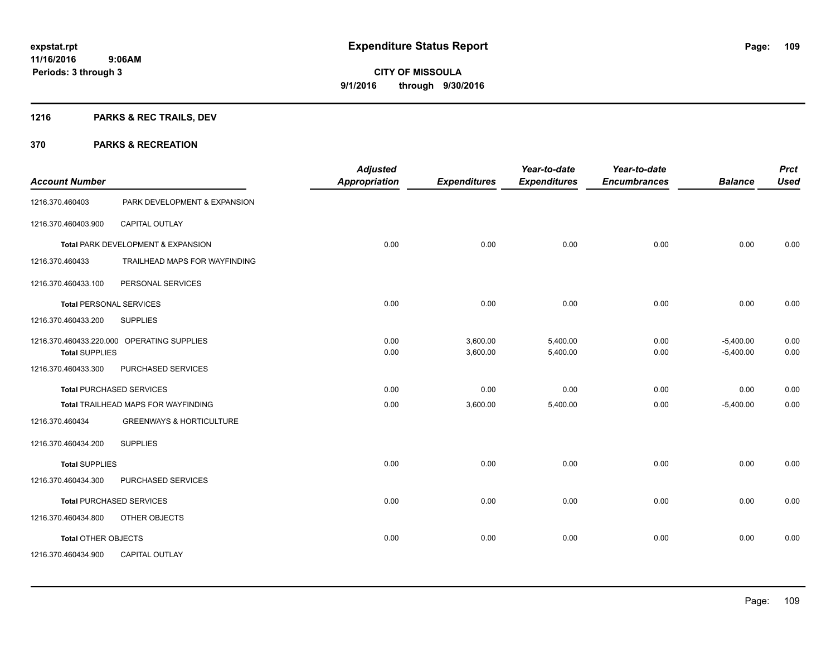# **1216 PARKS & REC TRAILS, DEV**

| <b>Account Number</b>          |                                            | <b>Adjusted</b><br><b>Appropriation</b> | <b>Expenditures</b>  | Year-to-date<br><b>Expenditures</b> | Year-to-date<br><b>Encumbrances</b> | <b>Balance</b>             | <b>Prct</b><br><b>Used</b> |
|--------------------------------|--------------------------------------------|-----------------------------------------|----------------------|-------------------------------------|-------------------------------------|----------------------------|----------------------------|
| 1216.370.460403                | PARK DEVELOPMENT & EXPANSION               |                                         |                      |                                     |                                     |                            |                            |
| 1216.370.460403.900            | CAPITAL OUTLAY                             |                                         |                      |                                     |                                     |                            |                            |
|                                | Total PARK DEVELOPMENT & EXPANSION         | 0.00                                    | 0.00                 | 0.00                                | 0.00                                | 0.00                       | 0.00                       |
| 1216.370.460433                | TRAILHEAD MAPS FOR WAYFINDING              |                                         |                      |                                     |                                     |                            |                            |
| 1216.370.460433.100            | PERSONAL SERVICES                          |                                         |                      |                                     |                                     |                            |                            |
| <b>Total PERSONAL SERVICES</b> |                                            | 0.00                                    | 0.00                 | 0.00                                | 0.00                                | 0.00                       | 0.00                       |
| 1216.370.460433.200            | <b>SUPPLIES</b>                            |                                         |                      |                                     |                                     |                            |                            |
| <b>Total SUPPLIES</b>          | 1216.370.460433.220.000 OPERATING SUPPLIES | 0.00<br>0.00                            | 3,600.00<br>3,600.00 | 5,400.00<br>5,400.00                | 0.00<br>0.00                        | $-5,400.00$<br>$-5,400.00$ | 0.00<br>0.00               |
| 1216.370.460433.300            | PURCHASED SERVICES                         |                                         |                      |                                     |                                     |                            |                            |
|                                | <b>Total PURCHASED SERVICES</b>            | 0.00                                    | 0.00                 | 0.00                                | 0.00                                | 0.00                       | 0.00                       |
|                                | Total TRAILHEAD MAPS FOR WAYFINDING        | 0.00                                    | 3,600.00             | 5,400.00                            | 0.00                                | $-5,400.00$                | 0.00                       |
| 1216.370.460434                | <b>GREENWAYS &amp; HORTICULTURE</b>        |                                         |                      |                                     |                                     |                            |                            |
| 1216.370.460434.200            | <b>SUPPLIES</b>                            |                                         |                      |                                     |                                     |                            |                            |
| <b>Total SUPPLIES</b>          |                                            | 0.00                                    | 0.00                 | 0.00                                | 0.00                                | 0.00                       | 0.00                       |
| 1216.370.460434.300            | PURCHASED SERVICES                         |                                         |                      |                                     |                                     |                            |                            |
|                                | <b>Total PURCHASED SERVICES</b>            | 0.00                                    | 0.00                 | 0.00                                | 0.00                                | 0.00                       | 0.00                       |
| 1216.370.460434.800            | OTHER OBJECTS                              |                                         |                      |                                     |                                     |                            |                            |
| <b>Total OTHER OBJECTS</b>     |                                            | 0.00                                    | 0.00                 | 0.00                                | 0.00                                | 0.00                       | 0.00                       |
| 1216.370.460434.900            | CAPITAL OUTLAY                             |                                         |                      |                                     |                                     |                            |                            |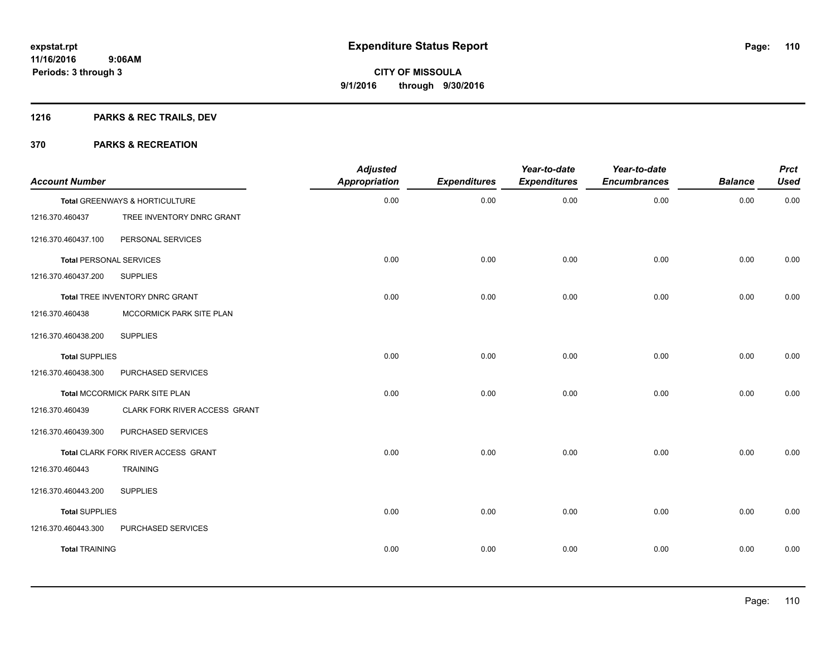# **1216 PARKS & REC TRAILS, DEV**

| <b>Account Number</b>          |                                     | <b>Adjusted</b><br><b>Appropriation</b> | <b>Expenditures</b> | Year-to-date<br><b>Expenditures</b> | Year-to-date<br><b>Encumbrances</b> | <b>Balance</b> | <b>Prct</b><br><b>Used</b> |
|--------------------------------|-------------------------------------|-----------------------------------------|---------------------|-------------------------------------|-------------------------------------|----------------|----------------------------|
|                                | Total GREENWAYS & HORTICULTURE      | 0.00                                    | 0.00                | 0.00                                | 0.00                                | 0.00           | 0.00                       |
| 1216.370.460437                | TREE INVENTORY DNRC GRANT           |                                         |                     |                                     |                                     |                |                            |
| 1216.370.460437.100            | PERSONAL SERVICES                   |                                         |                     |                                     |                                     |                |                            |
| <b>Total PERSONAL SERVICES</b> |                                     | 0.00                                    | 0.00                | 0.00                                | 0.00                                | 0.00           | 0.00                       |
| 1216.370.460437.200            | <b>SUPPLIES</b>                     |                                         |                     |                                     |                                     |                |                            |
|                                | Total TREE INVENTORY DNRC GRANT     | 0.00                                    | 0.00                | 0.00                                | 0.00                                | 0.00           | 0.00                       |
| 1216.370.460438                | MCCORMICK PARK SITE PLAN            |                                         |                     |                                     |                                     |                |                            |
| 1216.370.460438.200            | <b>SUPPLIES</b>                     |                                         |                     |                                     |                                     |                |                            |
| <b>Total SUPPLIES</b>          |                                     | 0.00                                    | 0.00                | 0.00                                | 0.00                                | 0.00           | 0.00                       |
| 1216.370.460438.300            | PURCHASED SERVICES                  |                                         |                     |                                     |                                     |                |                            |
|                                | Total MCCORMICK PARK SITE PLAN      | 0.00                                    | 0.00                | 0.00                                | 0.00                                | 0.00           | 0.00                       |
| 1216.370.460439                | CLARK FORK RIVER ACCESS GRANT       |                                         |                     |                                     |                                     |                |                            |
| 1216.370.460439.300            | PURCHASED SERVICES                  |                                         |                     |                                     |                                     |                |                            |
|                                | Total CLARK FORK RIVER ACCESS GRANT | 0.00                                    | 0.00                | 0.00                                | 0.00                                | 0.00           | 0.00                       |
| 1216.370.460443                | <b>TRAINING</b>                     |                                         |                     |                                     |                                     |                |                            |
| 1216.370.460443.200            | <b>SUPPLIES</b>                     |                                         |                     |                                     |                                     |                |                            |
| <b>Total SUPPLIES</b>          |                                     | 0.00                                    | 0.00                | 0.00                                | 0.00                                | 0.00           | 0.00                       |
| 1216.370.460443.300            | PURCHASED SERVICES                  |                                         |                     |                                     |                                     |                |                            |
| <b>Total TRAINING</b>          |                                     | 0.00                                    | 0.00                | 0.00                                | 0.00                                | 0.00           | 0.00                       |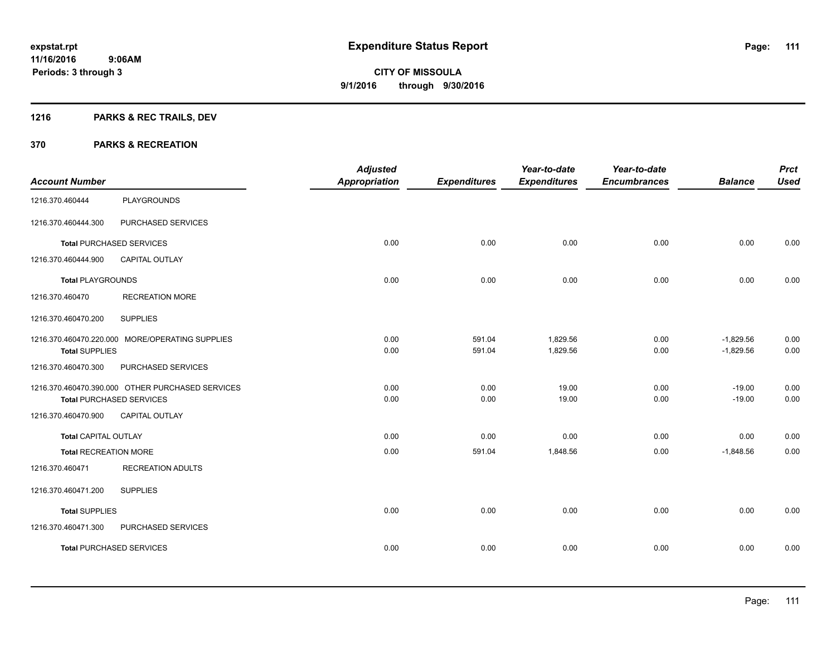# **1216 PARKS & REC TRAILS, DEV**

|                              |                                                  | <b>Adjusted</b>      |                     | Year-to-date        | Year-to-date        |                | <b>Prct</b> |
|------------------------------|--------------------------------------------------|----------------------|---------------------|---------------------|---------------------|----------------|-------------|
| <b>Account Number</b>        |                                                  | <b>Appropriation</b> | <b>Expenditures</b> | <b>Expenditures</b> | <b>Encumbrances</b> | <b>Balance</b> | <b>Used</b> |
| 1216.370.460444              | <b>PLAYGROUNDS</b>                               |                      |                     |                     |                     |                |             |
| 1216.370.460444.300          | PURCHASED SERVICES                               |                      |                     |                     |                     |                |             |
|                              | <b>Total PURCHASED SERVICES</b>                  | 0.00                 | 0.00                | 0.00                | 0.00                | 0.00           | 0.00        |
| 1216.370.460444.900          | <b>CAPITAL OUTLAY</b>                            |                      |                     |                     |                     |                |             |
| <b>Total PLAYGROUNDS</b>     |                                                  | 0.00                 | 0.00                | 0.00                | 0.00                | 0.00           | 0.00        |
| 1216.370.460470              | <b>RECREATION MORE</b>                           |                      |                     |                     |                     |                |             |
| 1216.370.460470.200          | <b>SUPPLIES</b>                                  |                      |                     |                     |                     |                |             |
|                              | 1216.370.460470.220.000 MORE/OPERATING SUPPLIES  | 0.00                 | 591.04              | 1,829.56            | 0.00                | $-1,829.56$    | 0.00        |
| <b>Total SUPPLIES</b>        |                                                  | 0.00                 | 591.04              | 1,829.56            | 0.00                | $-1,829.56$    | 0.00        |
| 1216.370.460470.300          | PURCHASED SERVICES                               |                      |                     |                     |                     |                |             |
|                              | 1216.370.460470.390.000 OTHER PURCHASED SERVICES | 0.00                 | 0.00                | 19.00               | 0.00                | $-19.00$       | 0.00        |
|                              | <b>Total PURCHASED SERVICES</b>                  | 0.00                 | 0.00                | 19.00               | 0.00                | $-19.00$       | 0.00        |
| 1216.370.460470.900          | <b>CAPITAL OUTLAY</b>                            |                      |                     |                     |                     |                |             |
| <b>Total CAPITAL OUTLAY</b>  |                                                  | 0.00                 | 0.00                | 0.00                | 0.00                | 0.00           | 0.00        |
| <b>Total RECREATION MORE</b> |                                                  | 0.00                 | 591.04              | 1,848.56            | 0.00                | $-1,848.56$    | 0.00        |
| 1216.370.460471              | <b>RECREATION ADULTS</b>                         |                      |                     |                     |                     |                |             |
| 1216.370.460471.200          | <b>SUPPLIES</b>                                  |                      |                     |                     |                     |                |             |
| <b>Total SUPPLIES</b>        |                                                  | 0.00                 | 0.00                | 0.00                | 0.00                | 0.00           | 0.00        |
| 1216.370.460471.300          | PURCHASED SERVICES                               |                      |                     |                     |                     |                |             |
|                              | <b>Total PURCHASED SERVICES</b>                  | 0.00                 | 0.00                | 0.00                | 0.00                | 0.00           | 0.00        |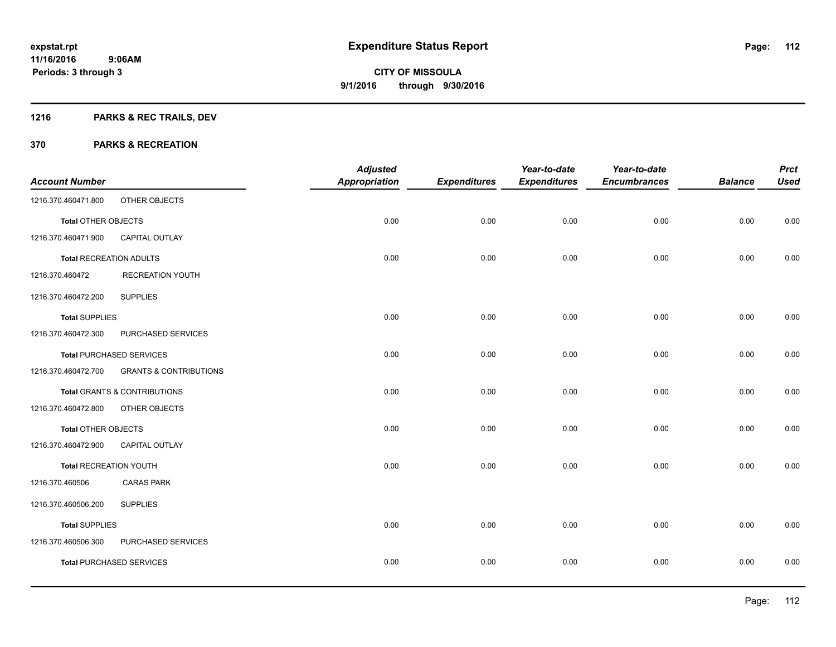# **1216 PARKS & REC TRAILS, DEV**

|                               |                                   | <b>Adjusted</b>      |                     | Year-to-date        | Year-to-date        |                | <b>Prct</b> |
|-------------------------------|-----------------------------------|----------------------|---------------------|---------------------|---------------------|----------------|-------------|
| <b>Account Number</b>         |                                   | <b>Appropriation</b> | <b>Expenditures</b> | <b>Expenditures</b> | <b>Encumbrances</b> | <b>Balance</b> | <b>Used</b> |
| 1216.370.460471.800           | OTHER OBJECTS                     |                      |                     |                     |                     |                |             |
| <b>Total OTHER OBJECTS</b>    |                                   | 0.00                 | 0.00                | 0.00                | 0.00                | 0.00           | 0.00        |
| 1216.370.460471.900           | <b>CAPITAL OUTLAY</b>             |                      |                     |                     |                     |                |             |
| Total RECREATION ADULTS       |                                   | 0.00                 | 0.00                | 0.00                | 0.00                | 0.00           | 0.00        |
| 1216.370.460472               | <b>RECREATION YOUTH</b>           |                      |                     |                     |                     |                |             |
| 1216.370.460472.200           | <b>SUPPLIES</b>                   |                      |                     |                     |                     |                |             |
| <b>Total SUPPLIES</b>         |                                   | 0.00                 | 0.00                | 0.00                | 0.00                | 0.00           | 0.00        |
| 1216.370.460472.300           | PURCHASED SERVICES                |                      |                     |                     |                     |                |             |
|                               | <b>Total PURCHASED SERVICES</b>   | 0.00                 | 0.00                | 0.00                | 0.00                | 0.00           | 0.00        |
| 1216.370.460472.700           | <b>GRANTS &amp; CONTRIBUTIONS</b> |                      |                     |                     |                     |                |             |
|                               | Total GRANTS & CONTRIBUTIONS      | 0.00                 | 0.00                | 0.00                | 0.00                | 0.00           | 0.00        |
| 1216.370.460472.800           | OTHER OBJECTS                     |                      |                     |                     |                     |                |             |
| Total OTHER OBJECTS           |                                   | 0.00                 | 0.00                | 0.00                | 0.00                | 0.00           | 0.00        |
| 1216.370.460472.900           | <b>CAPITAL OUTLAY</b>             |                      |                     |                     |                     |                |             |
| <b>Total RECREATION YOUTH</b> |                                   | 0.00                 | 0.00                | 0.00                | 0.00                | 0.00           | 0.00        |
| 1216.370.460506               | <b>CARAS PARK</b>                 |                      |                     |                     |                     |                |             |
| 1216.370.460506.200           | <b>SUPPLIES</b>                   |                      |                     |                     |                     |                |             |
| <b>Total SUPPLIES</b>         |                                   | 0.00                 | 0.00                | 0.00                | 0.00                | 0.00           | 0.00        |
| 1216.370.460506.300           | PURCHASED SERVICES                |                      |                     |                     |                     |                |             |
|                               | <b>Total PURCHASED SERVICES</b>   | 0.00                 | 0.00                | 0.00                | 0.00                | 0.00           | 0.00        |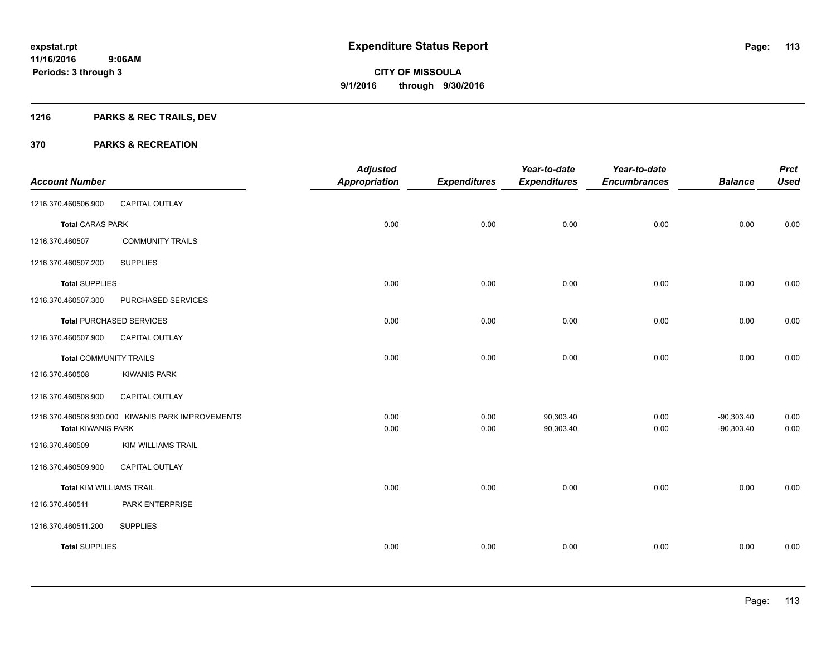# **1216 PARKS & REC TRAILS, DEV**

|                                 |                                                   | <b>Adjusted</b>      |                     | Year-to-date        | Year-to-date        |                | <b>Prct</b> |
|---------------------------------|---------------------------------------------------|----------------------|---------------------|---------------------|---------------------|----------------|-------------|
| <b>Account Number</b>           |                                                   | <b>Appropriation</b> | <b>Expenditures</b> | <b>Expenditures</b> | <b>Encumbrances</b> | <b>Balance</b> | <b>Used</b> |
| 1216.370.460506.900             | CAPITAL OUTLAY                                    |                      |                     |                     |                     |                |             |
| <b>Total CARAS PARK</b>         |                                                   | 0.00                 | 0.00                | 0.00                | 0.00                | 0.00           | 0.00        |
| 1216.370.460507                 | <b>COMMUNITY TRAILS</b>                           |                      |                     |                     |                     |                |             |
| 1216.370.460507.200             | <b>SUPPLIES</b>                                   |                      |                     |                     |                     |                |             |
| <b>Total SUPPLIES</b>           |                                                   | 0.00                 | 0.00                | 0.00                | 0.00                | 0.00           | 0.00        |
| 1216.370.460507.300             | PURCHASED SERVICES                                |                      |                     |                     |                     |                |             |
|                                 | <b>Total PURCHASED SERVICES</b>                   | 0.00                 | 0.00                | 0.00                | 0.00                | 0.00           | 0.00        |
| 1216.370.460507.900             | CAPITAL OUTLAY                                    |                      |                     |                     |                     |                |             |
| <b>Total COMMUNITY TRAILS</b>   |                                                   | 0.00                 | 0.00                | 0.00                | 0.00                | 0.00           | 0.00        |
| 1216.370.460508                 | <b>KIWANIS PARK</b>                               |                      |                     |                     |                     |                |             |
| 1216.370.460508.900             | CAPITAL OUTLAY                                    |                      |                     |                     |                     |                |             |
|                                 | 1216.370.460508.930.000 KIWANIS PARK IMPROVEMENTS | 0.00                 | 0.00                | 90,303.40           | 0.00                | $-90,303.40$   | 0.00        |
| <b>Total KIWANIS PARK</b>       |                                                   | 0.00                 | 0.00                | 90,303.40           | 0.00                | $-90,303.40$   | 0.00        |
| 1216.370.460509                 | <b>KIM WILLIAMS TRAIL</b>                         |                      |                     |                     |                     |                |             |
| 1216.370.460509.900             | CAPITAL OUTLAY                                    |                      |                     |                     |                     |                |             |
| <b>Total KIM WILLIAMS TRAIL</b> |                                                   | 0.00                 | 0.00                | 0.00                | 0.00                | 0.00           | 0.00        |
| 1216.370.460511                 | PARK ENTERPRISE                                   |                      |                     |                     |                     |                |             |
| 1216.370.460511.200             | <b>SUPPLIES</b>                                   |                      |                     |                     |                     |                |             |
| <b>Total SUPPLIES</b>           |                                                   | 0.00                 | 0.00                | 0.00                | 0.00                | 0.00           | 0.00        |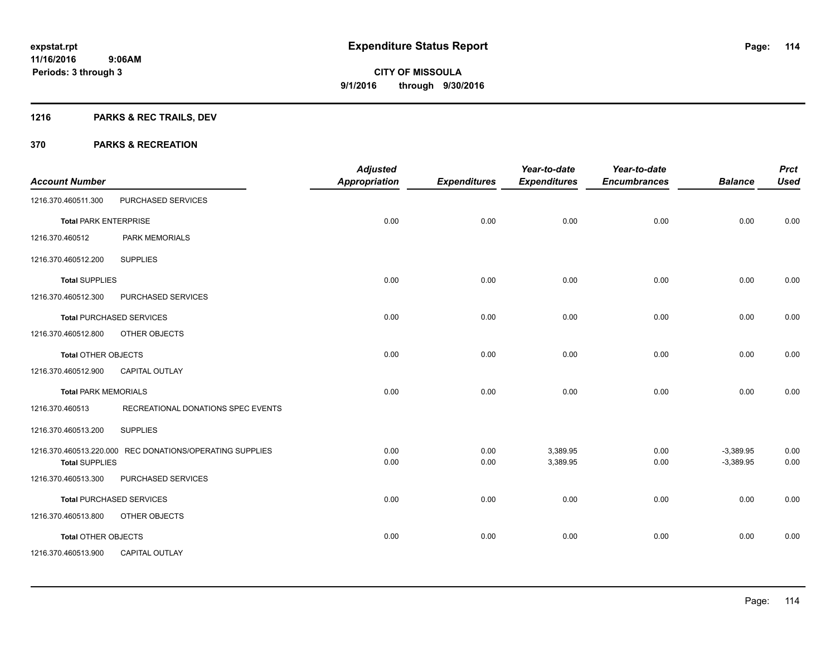# **1216 PARKS & REC TRAILS, DEV**

|                              |                                                          | <b>Adjusted</b>      |                     | Year-to-date        | Year-to-date        |                | <b>Prct</b> |
|------------------------------|----------------------------------------------------------|----------------------|---------------------|---------------------|---------------------|----------------|-------------|
| <b>Account Number</b>        |                                                          | <b>Appropriation</b> | <b>Expenditures</b> | <b>Expenditures</b> | <b>Encumbrances</b> | <b>Balance</b> | <b>Used</b> |
| 1216.370.460511.300          | PURCHASED SERVICES                                       |                      |                     |                     |                     |                |             |
| <b>Total PARK ENTERPRISE</b> |                                                          | 0.00                 | 0.00                | 0.00                | 0.00                | 0.00           | 0.00        |
| 1216.370.460512              | PARK MEMORIALS                                           |                      |                     |                     |                     |                |             |
| 1216.370.460512.200          | <b>SUPPLIES</b>                                          |                      |                     |                     |                     |                |             |
| <b>Total SUPPLIES</b>        |                                                          | 0.00                 | 0.00                | 0.00                | 0.00                | 0.00           | 0.00        |
| 1216.370.460512.300          | PURCHASED SERVICES                                       |                      |                     |                     |                     |                |             |
|                              | <b>Total PURCHASED SERVICES</b>                          | 0.00                 | 0.00                | 0.00                | 0.00                | 0.00           | 0.00        |
| 1216.370.460512.800          | OTHER OBJECTS                                            |                      |                     |                     |                     |                |             |
| Total OTHER OBJECTS          |                                                          | 0.00                 | 0.00                | 0.00                | 0.00                | 0.00           | 0.00        |
| 1216.370.460512.900          | CAPITAL OUTLAY                                           |                      |                     |                     |                     |                |             |
| <b>Total PARK MEMORIALS</b>  |                                                          | 0.00                 | 0.00                | 0.00                | 0.00                | 0.00           | 0.00        |
| 1216.370.460513              | RECREATIONAL DONATIONS SPEC EVENTS                       |                      |                     |                     |                     |                |             |
| 1216.370.460513.200          | <b>SUPPLIES</b>                                          |                      |                     |                     |                     |                |             |
|                              | 1216.370.460513.220.000 REC DONATIONS/OPERATING SUPPLIES | 0.00                 | 0.00                | 3,389.95            | 0.00                | $-3,389.95$    | 0.00        |
| <b>Total SUPPLIES</b>        |                                                          | 0.00                 | 0.00                | 3,389.95            | 0.00                | $-3,389.95$    | 0.00        |
| 1216.370.460513.300          | PURCHASED SERVICES                                       |                      |                     |                     |                     |                |             |
|                              | <b>Total PURCHASED SERVICES</b>                          | 0.00                 | 0.00                | 0.00                | 0.00                | 0.00           | 0.00        |
| 1216.370.460513.800          | OTHER OBJECTS                                            |                      |                     |                     |                     |                |             |
| Total OTHER OBJECTS          |                                                          | 0.00                 | 0.00                | 0.00                | 0.00                | 0.00           | 0.00        |
| 1216.370.460513.900          | <b>CAPITAL OUTLAY</b>                                    |                      |                     |                     |                     |                |             |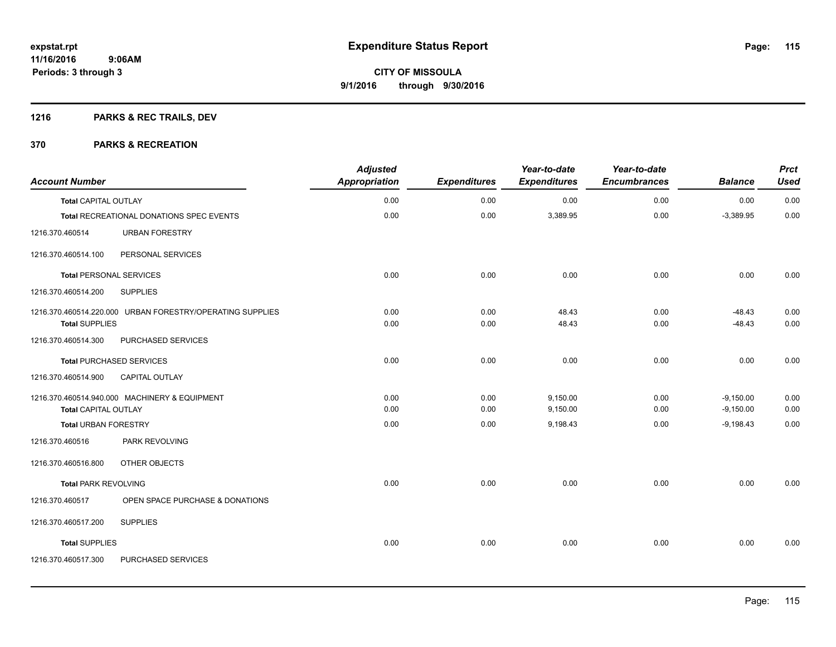# **1216 PARKS & REC TRAILS, DEV**

| <b>Account Number</b>          |                                                           | <b>Adjusted</b><br>Appropriation | <b>Expenditures</b> | Year-to-date<br><b>Expenditures</b> | Year-to-date<br><b>Encumbrances</b> | <b>Balance</b> | <b>Prct</b><br><b>Used</b> |
|--------------------------------|-----------------------------------------------------------|----------------------------------|---------------------|-------------------------------------|-------------------------------------|----------------|----------------------------|
| <b>Total CAPITAL OUTLAY</b>    |                                                           | 0.00                             | 0.00                | 0.00                                | 0.00                                | 0.00           | 0.00                       |
|                                | Total RECREATIONAL DONATIONS SPEC EVENTS                  | 0.00                             | 0.00                | 3,389.95                            | 0.00                                | $-3,389.95$    | 0.00                       |
| 1216.370.460514                | <b>URBAN FORESTRY</b>                                     |                                  |                     |                                     |                                     |                |                            |
| 1216.370.460514.100            | PERSONAL SERVICES                                         |                                  |                     |                                     |                                     |                |                            |
| <b>Total PERSONAL SERVICES</b> |                                                           | 0.00                             | 0.00                | 0.00                                | 0.00                                | 0.00           | 0.00                       |
| 1216.370.460514.200            | <b>SUPPLIES</b>                                           |                                  |                     |                                     |                                     |                |                            |
|                                | 1216.370.460514.220.000 URBAN FORESTRY/OPERATING SUPPLIES | 0.00                             | 0.00                | 48.43                               | 0.00                                | $-48.43$       | 0.00                       |
| <b>Total SUPPLIES</b>          |                                                           | 0.00                             | 0.00                | 48.43                               | 0.00                                | $-48.43$       | 0.00                       |
| 1216.370.460514.300            | PURCHASED SERVICES                                        |                                  |                     |                                     |                                     |                |                            |
|                                | <b>Total PURCHASED SERVICES</b>                           | 0.00                             | 0.00                | 0.00                                | 0.00                                | 0.00           | 0.00                       |
| 1216.370.460514.900            | CAPITAL OUTLAY                                            |                                  |                     |                                     |                                     |                |                            |
|                                | 1216.370.460514.940.000 MACHINERY & EQUIPMENT             | 0.00                             | 0.00                | 9,150.00                            | 0.00                                | $-9,150.00$    | 0.00                       |
| <b>Total CAPITAL OUTLAY</b>    |                                                           | 0.00                             | 0.00                | 9,150.00                            | 0.00                                | $-9,150.00$    | 0.00                       |
| <b>Total URBAN FORESTRY</b>    |                                                           | 0.00                             | 0.00                | 9,198.43                            | 0.00                                | $-9,198.43$    | 0.00                       |
| 1216.370.460516                | PARK REVOLVING                                            |                                  |                     |                                     |                                     |                |                            |
| 1216.370.460516.800            | OTHER OBJECTS                                             |                                  |                     |                                     |                                     |                |                            |
| <b>Total PARK REVOLVING</b>    |                                                           | 0.00                             | 0.00                | 0.00                                | 0.00                                | 0.00           | 0.00                       |
| 1216.370.460517                | OPEN SPACE PURCHASE & DONATIONS                           |                                  |                     |                                     |                                     |                |                            |
| 1216.370.460517.200            | <b>SUPPLIES</b>                                           |                                  |                     |                                     |                                     |                |                            |
| <b>Total SUPPLIES</b>          |                                                           | 0.00                             | 0.00                | 0.00                                | 0.00                                | 0.00           | 0.00                       |
| 1216.370.460517.300            | PURCHASED SERVICES                                        |                                  |                     |                                     |                                     |                |                            |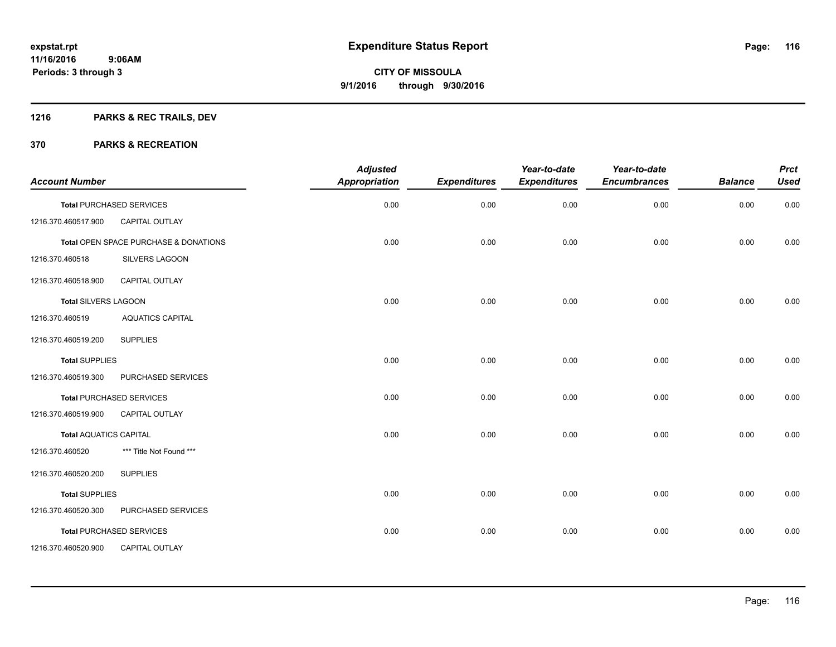# **1216 PARKS & REC TRAILS, DEV**

| <b>Account Number</b>         |                                       | <b>Adjusted</b><br>Appropriation | <b>Expenditures</b> | Year-to-date<br><b>Expenditures</b> | Year-to-date<br><b>Encumbrances</b> | <b>Balance</b> | <b>Prct</b><br><b>Used</b> |
|-------------------------------|---------------------------------------|----------------------------------|---------------------|-------------------------------------|-------------------------------------|----------------|----------------------------|
|                               | <b>Total PURCHASED SERVICES</b>       | 0.00                             | 0.00                | 0.00                                | 0.00                                | 0.00           | 0.00                       |
| 1216.370.460517.900           | <b>CAPITAL OUTLAY</b>                 |                                  |                     |                                     |                                     |                |                            |
|                               | Total OPEN SPACE PURCHASE & DONATIONS | 0.00                             | 0.00                | 0.00                                | 0.00                                | 0.00           | 0.00                       |
| 1216.370.460518               | <b>SILVERS LAGOON</b>                 |                                  |                     |                                     |                                     |                |                            |
| 1216.370.460518.900           | <b>CAPITAL OUTLAY</b>                 |                                  |                     |                                     |                                     |                |                            |
| <b>Total SILVERS LAGOON</b>   |                                       | 0.00                             | 0.00                | 0.00                                | 0.00                                | 0.00           | 0.00                       |
| 1216.370.460519               | <b>AQUATICS CAPITAL</b>               |                                  |                     |                                     |                                     |                |                            |
| 1216.370.460519.200           | <b>SUPPLIES</b>                       |                                  |                     |                                     |                                     |                |                            |
| <b>Total SUPPLIES</b>         |                                       | 0.00                             | 0.00                | 0.00                                | 0.00                                | 0.00           | 0.00                       |
| 1216.370.460519.300           | PURCHASED SERVICES                    |                                  |                     |                                     |                                     |                |                            |
|                               | <b>Total PURCHASED SERVICES</b>       | 0.00                             | 0.00                | 0.00                                | 0.00                                | 0.00           | 0.00                       |
| 1216.370.460519.900           | <b>CAPITAL OUTLAY</b>                 |                                  |                     |                                     |                                     |                |                            |
| <b>Total AQUATICS CAPITAL</b> |                                       | 0.00                             | 0.00                | 0.00                                | 0.00                                | 0.00           | 0.00                       |
| 1216.370.460520               | *** Title Not Found ***               |                                  |                     |                                     |                                     |                |                            |
| 1216.370.460520.200           | <b>SUPPLIES</b>                       |                                  |                     |                                     |                                     |                |                            |
| <b>Total SUPPLIES</b>         |                                       | 0.00                             | 0.00                | 0.00                                | 0.00                                | 0.00           | 0.00                       |
| 1216.370.460520.300           | PURCHASED SERVICES                    |                                  |                     |                                     |                                     |                |                            |
|                               | <b>Total PURCHASED SERVICES</b>       | 0.00                             | 0.00                | 0.00                                | 0.00                                | 0.00           | 0.00                       |
| 1216.370.460520.900           | <b>CAPITAL OUTLAY</b>                 |                                  |                     |                                     |                                     |                |                            |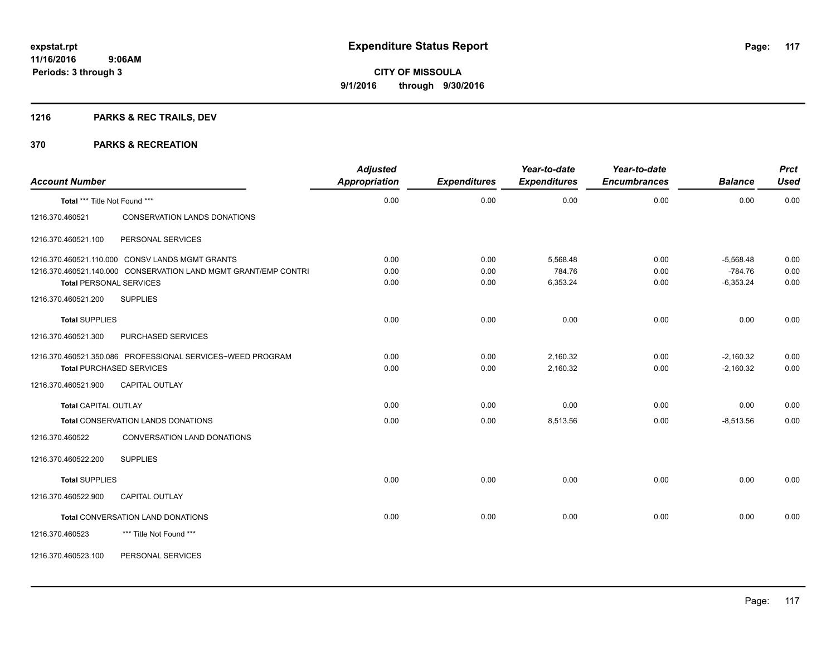# **1216 PARKS & REC TRAILS, DEV**

| <b>Account Number</b>         |                                                                 | <b>Adjusted</b><br><b>Appropriation</b> | <b>Expenditures</b> | Year-to-date<br><b>Expenditures</b> | Year-to-date<br><b>Encumbrances</b> | <b>Balance</b> | <b>Prct</b><br><b>Used</b> |
|-------------------------------|-----------------------------------------------------------------|-----------------------------------------|---------------------|-------------------------------------|-------------------------------------|----------------|----------------------------|
| Total *** Title Not Found *** |                                                                 | 0.00                                    | 0.00                | 0.00                                | 0.00                                | 0.00           | 0.00                       |
| 1216.370.460521               | CONSERVATION LANDS DONATIONS                                    |                                         |                     |                                     |                                     |                |                            |
| 1216.370.460521.100           | PERSONAL SERVICES                                               |                                         |                     |                                     |                                     |                |                            |
|                               | 1216.370.460521.110.000 CONSV LANDS MGMT GRANTS                 | 0.00                                    | 0.00                | 5,568.48                            | 0.00                                | $-5,568.48$    | 0.00                       |
|                               | 1216.370.460521.140.000 CONSERVATION LAND MGMT GRANT/EMP CONTRI | 0.00                                    | 0.00                | 784.76                              | 0.00                                | $-784.76$      | 0.00                       |
| 1216.370.460521.200           | <b>Total PERSONAL SERVICES</b><br><b>SUPPLIES</b>               | 0.00                                    | 0.00                | 6,353.24                            | 0.00                                | $-6,353.24$    | 0.00                       |
| <b>Total SUPPLIES</b>         |                                                                 | 0.00                                    | 0.00                | 0.00                                | 0.00                                | 0.00           | 0.00                       |
| 1216.370.460521.300           | PURCHASED SERVICES                                              |                                         |                     |                                     |                                     |                |                            |
|                               | 1216.370.460521.350.086 PROFESSIONAL SERVICES~WEED PROGRAM      | 0.00                                    | 0.00                | 2,160.32                            | 0.00                                | $-2,160.32$    | 0.00                       |
|                               | <b>Total PURCHASED SERVICES</b>                                 | 0.00                                    | 0.00                | 2,160.32                            | 0.00                                | $-2,160.32$    | 0.00                       |
| 1216.370.460521.900           | CAPITAL OUTLAY                                                  |                                         |                     |                                     |                                     |                |                            |
| <b>Total CAPITAL OUTLAY</b>   |                                                                 | 0.00                                    | 0.00                | 0.00                                | 0.00                                | 0.00           | 0.00                       |
|                               | <b>Total CONSERVATION LANDS DONATIONS</b>                       | 0.00                                    | 0.00                | 8,513.56                            | 0.00                                | $-8,513.56$    | 0.00                       |
| 1216.370.460522               | CONVERSATION LAND DONATIONS                                     |                                         |                     |                                     |                                     |                |                            |
| 1216.370.460522.200           | <b>SUPPLIES</b>                                                 |                                         |                     |                                     |                                     |                |                            |
| <b>Total SUPPLIES</b>         |                                                                 | 0.00                                    | 0.00                | 0.00                                | 0.00                                | 0.00           | 0.00                       |
| 1216.370.460522.900           | <b>CAPITAL OUTLAY</b>                                           |                                         |                     |                                     |                                     |                |                            |
|                               | <b>Total CONVERSATION LAND DONATIONS</b>                        | 0.00                                    | 0.00                | 0.00                                | 0.00                                | 0.00           | 0.00                       |
| 1216.370.460523               | *** Title Not Found ***                                         |                                         |                     |                                     |                                     |                |                            |
| 1216.370.460523.100           | PERSONAL SERVICES                                               |                                         |                     |                                     |                                     |                |                            |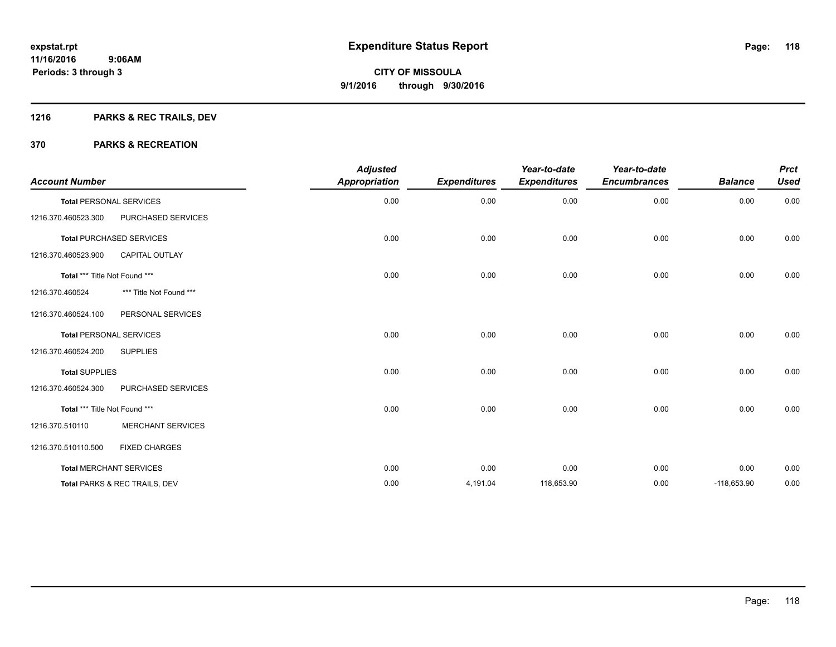# **1216 PARKS & REC TRAILS, DEV**

| <b>Account Number</b>         |                                 | <b>Adjusted</b><br><b>Appropriation</b> | <b>Expenditures</b> | Year-to-date<br><b>Expenditures</b> | Year-to-date<br><b>Encumbrances</b> | <b>Balance</b> | <b>Prct</b><br><b>Used</b> |
|-------------------------------|---------------------------------|-----------------------------------------|---------------------|-------------------------------------|-------------------------------------|----------------|----------------------------|
|                               | <b>Total PERSONAL SERVICES</b>  | 0.00                                    | 0.00                | 0.00                                | 0.00                                | 0.00           | 0.00                       |
| 1216.370.460523.300           | PURCHASED SERVICES              |                                         |                     |                                     |                                     |                |                            |
|                               | <b>Total PURCHASED SERVICES</b> | 0.00                                    | 0.00                | 0.00                                | 0.00                                | 0.00           | 0.00                       |
| 1216.370.460523.900           | <b>CAPITAL OUTLAY</b>           |                                         |                     |                                     |                                     |                |                            |
| Total *** Title Not Found *** |                                 | 0.00                                    | 0.00                | 0.00                                | 0.00                                | 0.00           | 0.00                       |
| 1216.370.460524               | *** Title Not Found ***         |                                         |                     |                                     |                                     |                |                            |
| 1216.370.460524.100           | PERSONAL SERVICES               |                                         |                     |                                     |                                     |                |                            |
|                               | <b>Total PERSONAL SERVICES</b>  | 0.00                                    | 0.00                | 0.00                                | 0.00                                | 0.00           | 0.00                       |
| 1216.370.460524.200           | <b>SUPPLIES</b>                 |                                         |                     |                                     |                                     |                |                            |
| <b>Total SUPPLIES</b>         |                                 | 0.00                                    | 0.00                | 0.00                                | 0.00                                | 0.00           | 0.00                       |
| 1216.370.460524.300           | PURCHASED SERVICES              |                                         |                     |                                     |                                     |                |                            |
| Total *** Title Not Found *** |                                 | 0.00                                    | 0.00                | 0.00                                | 0.00                                | 0.00           | 0.00                       |
| 1216.370.510110               | <b>MERCHANT SERVICES</b>        |                                         |                     |                                     |                                     |                |                            |
| 1216.370.510110.500           | <b>FIXED CHARGES</b>            |                                         |                     |                                     |                                     |                |                            |
|                               | <b>Total MERCHANT SERVICES</b>  | 0.00                                    | 0.00                | 0.00                                | 0.00                                | 0.00           | 0.00                       |
|                               | Total PARKS & REC TRAILS, DEV   | 0.00                                    | 4,191.04            | 118,653.90                          | 0.00                                | $-118,653.90$  | 0.00                       |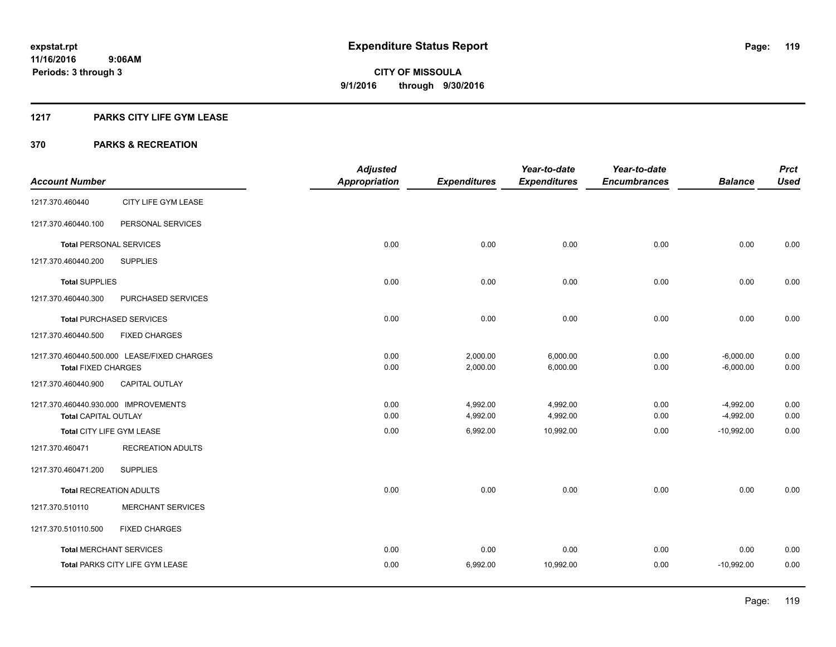#### **1217 PARKS CITY LIFE GYM LEASE**

|                                      |                                             | <b>Adjusted</b>      |                     | Year-to-date        | Year-to-date        |                | <b>Prct</b> |
|--------------------------------------|---------------------------------------------|----------------------|---------------------|---------------------|---------------------|----------------|-------------|
| <b>Account Number</b>                |                                             | <b>Appropriation</b> | <b>Expenditures</b> | <b>Expenditures</b> | <b>Encumbrances</b> | <b>Balance</b> | <b>Used</b> |
| 1217.370.460440                      | CITY LIFE GYM LEASE                         |                      |                     |                     |                     |                |             |
| 1217.370.460440.100                  | PERSONAL SERVICES                           |                      |                     |                     |                     |                |             |
| <b>Total PERSONAL SERVICES</b>       |                                             | 0.00                 | 0.00                | 0.00                | 0.00                | 0.00           | 0.00        |
| 1217.370.460440.200                  | <b>SUPPLIES</b>                             |                      |                     |                     |                     |                |             |
| <b>Total SUPPLIES</b>                |                                             | 0.00                 | 0.00                | 0.00                | 0.00                | 0.00           | 0.00        |
| 1217.370.460440.300                  | PURCHASED SERVICES                          |                      |                     |                     |                     |                |             |
|                                      | <b>Total PURCHASED SERVICES</b>             | 0.00                 | 0.00                | 0.00                | 0.00                | 0.00           | 0.00        |
| 1217.370.460440.500                  | <b>FIXED CHARGES</b>                        |                      |                     |                     |                     |                |             |
|                                      | 1217.370.460440.500.000 LEASE/FIXED CHARGES | 0.00                 | 2,000.00            | 6,000.00            | 0.00                | $-6,000.00$    | 0.00        |
| <b>Total FIXED CHARGES</b>           |                                             | 0.00                 | 2,000.00            | 6,000.00            | 0.00                | $-6,000.00$    | 0.00        |
| 1217.370.460440.900                  | CAPITAL OUTLAY                              |                      |                     |                     |                     |                |             |
| 1217.370.460440.930.000 IMPROVEMENTS |                                             | 0.00                 | 4,992.00            | 4,992.00            | 0.00                | $-4,992.00$    | 0.00        |
| Total CAPITAL OUTLAY                 |                                             | 0.00                 | 4,992.00            | 4,992.00            | 0.00                | $-4,992.00$    | 0.00        |
| Total CITY LIFE GYM LEASE            |                                             | 0.00                 | 6,992.00            | 10,992.00           | 0.00                | $-10.992.00$   | 0.00        |
| 1217.370.460471                      | <b>RECREATION ADULTS</b>                    |                      |                     |                     |                     |                |             |
| 1217.370.460471.200                  | <b>SUPPLIES</b>                             |                      |                     |                     |                     |                |             |
| <b>Total RECREATION ADULTS</b>       |                                             | 0.00                 | 0.00                | 0.00                | 0.00                | 0.00           | 0.00        |
| 1217.370.510110                      | <b>MERCHANT SERVICES</b>                    |                      |                     |                     |                     |                |             |
| 1217.370.510110.500                  | <b>FIXED CHARGES</b>                        |                      |                     |                     |                     |                |             |
|                                      | <b>Total MERCHANT SERVICES</b>              | 0.00                 | 0.00                | 0.00                | 0.00                | 0.00           | 0.00        |
|                                      | Total PARKS CITY LIFE GYM LEASE             | 0.00                 | 6,992.00            | 10,992.00           | 0.00                | $-10,992.00$   | 0.00        |
|                                      |                                             |                      |                     |                     |                     |                |             |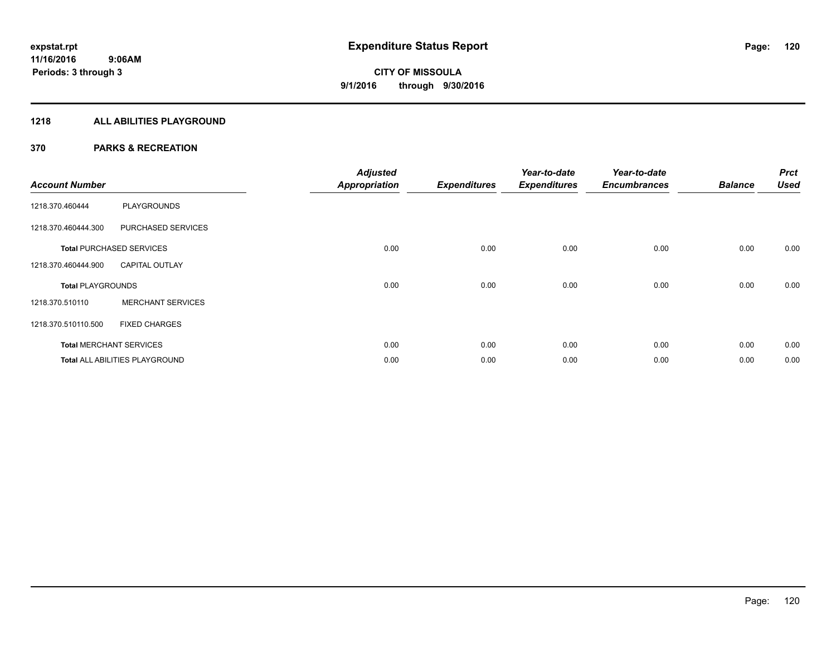### **1218 ALL ABILITIES PLAYGROUND**

| <b>Account Number</b>    |                                       | <b>Adjusted</b><br><b>Appropriation</b> | <b>Expenditures</b> | Year-to-date<br><b>Expenditures</b> | Year-to-date<br><b>Encumbrances</b> | <b>Balance</b> | <b>Prct</b><br><b>Used</b> |
|--------------------------|---------------------------------------|-----------------------------------------|---------------------|-------------------------------------|-------------------------------------|----------------|----------------------------|
| 1218.370.460444          | PLAYGROUNDS                           |                                         |                     |                                     |                                     |                |                            |
| 1218.370.460444.300      | PURCHASED SERVICES                    |                                         |                     |                                     |                                     |                |                            |
|                          | <b>Total PURCHASED SERVICES</b>       | 0.00                                    | 0.00                | 0.00                                | 0.00                                | 0.00           | 0.00                       |
| 1218.370.460444.900      | <b>CAPITAL OUTLAY</b>                 |                                         |                     |                                     |                                     |                |                            |
| <b>Total PLAYGROUNDS</b> |                                       | 0.00                                    | 0.00                | 0.00                                | 0.00                                | 0.00           | 0.00                       |
| 1218.370.510110          | <b>MERCHANT SERVICES</b>              |                                         |                     |                                     |                                     |                |                            |
| 1218.370.510110.500      | <b>FIXED CHARGES</b>                  |                                         |                     |                                     |                                     |                |                            |
|                          | <b>Total MERCHANT SERVICES</b>        | 0.00                                    | 0.00                | 0.00                                | 0.00                                | 0.00           | 0.00                       |
|                          | <b>Total ALL ABILITIES PLAYGROUND</b> | 0.00                                    | 0.00                | 0.00                                | 0.00                                | 0.00           | 0.00                       |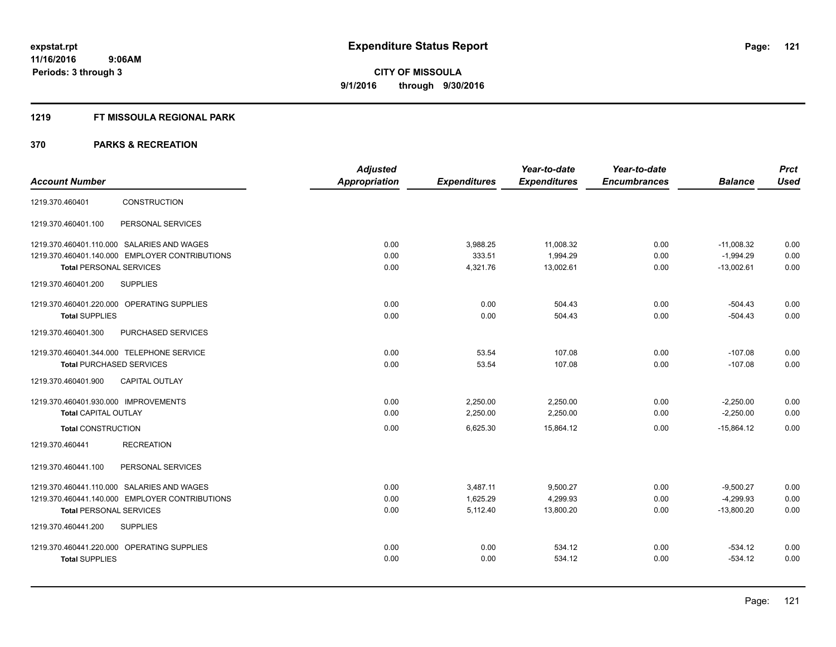#### **1219 FT MISSOULA REGIONAL PARK**

|                                                  | <b>Adjusted</b>      |                     | Year-to-date        | Year-to-date        |                | <b>Prct</b> |
|--------------------------------------------------|----------------------|---------------------|---------------------|---------------------|----------------|-------------|
| <b>Account Number</b>                            | <b>Appropriation</b> | <b>Expenditures</b> | <b>Expenditures</b> | <b>Encumbrances</b> | <b>Balance</b> | <b>Used</b> |
| CONSTRUCTION<br>1219.370.460401                  |                      |                     |                     |                     |                |             |
| 1219.370.460401.100<br>PERSONAL SERVICES         |                      |                     |                     |                     |                |             |
| 1219.370.460401.110.000 SALARIES AND WAGES       | 0.00                 | 3,988.25            | 11,008.32           | 0.00                | $-11,008.32$   | 0.00        |
| 1219.370.460401.140.000 EMPLOYER CONTRIBUTIONS   | 0.00                 | 333.51              | 1,994.29            | 0.00                | $-1,994.29$    | 0.00        |
| <b>Total PERSONAL SERVICES</b>                   | 0.00                 | 4,321.76            | 13,002.61           | 0.00                | $-13,002.61$   | 0.00        |
| 1219.370.460401.200<br><b>SUPPLIES</b>           |                      |                     |                     |                     |                |             |
| 1219.370.460401.220.000 OPERATING SUPPLIES       | 0.00                 | 0.00                | 504.43              | 0.00                | $-504.43$      | 0.00        |
| <b>Total SUPPLIES</b>                            | 0.00                 | 0.00                | 504.43              | 0.00                | $-504.43$      | 0.00        |
| 1219.370.460401.300<br><b>PURCHASED SERVICES</b> |                      |                     |                     |                     |                |             |
| 1219.370.460401.344.000 TELEPHONE SERVICE        | 0.00                 | 53.54               | 107.08              | 0.00                | $-107.08$      | 0.00        |
| <b>Total PURCHASED SERVICES</b>                  | 0.00                 | 53.54               | 107.08              | 0.00                | $-107.08$      | 0.00        |
| <b>CAPITAL OUTLAY</b><br>1219.370.460401.900     |                      |                     |                     |                     |                |             |
| 1219.370.460401.930.000 IMPROVEMENTS             | 0.00                 | 2,250.00            | 2,250.00            | 0.00                | $-2,250.00$    | 0.00        |
| <b>Total CAPITAL OUTLAY</b>                      | 0.00                 | 2,250.00            | 2,250.00            | 0.00                | $-2,250.00$    | 0.00        |
| <b>Total CONSTRUCTION</b>                        | 0.00                 | 6,625.30            | 15,864.12           | 0.00                | $-15,864.12$   | 0.00        |
| 1219.370.460441<br><b>RECREATION</b>             |                      |                     |                     |                     |                |             |
| 1219.370.460441.100<br>PERSONAL SERVICES         |                      |                     |                     |                     |                |             |
| 1219.370.460441.110.000 SALARIES AND WAGES       | 0.00                 | 3,487.11            | 9,500.27            | 0.00                | $-9,500.27$    | 0.00        |
| 1219.370.460441.140.000 EMPLOYER CONTRIBUTIONS   | 0.00                 | 1,625.29            | 4,299.93            | 0.00                | $-4,299.93$    | 0.00        |
| <b>Total PERSONAL SERVICES</b>                   | 0.00                 | 5,112.40            | 13,800.20           | 0.00                | $-13,800.20$   | 0.00        |
| 1219.370.460441.200<br><b>SUPPLIES</b>           |                      |                     |                     |                     |                |             |
| 1219.370.460441.220.000 OPERATING SUPPLIES       | 0.00                 | 0.00                | 534.12              | 0.00                | $-534.12$      | 0.00        |
| <b>Total SUPPLIES</b>                            | 0.00                 | 0.00                | 534.12              | 0.00                | $-534.12$      | 0.00        |
|                                                  |                      |                     |                     |                     |                |             |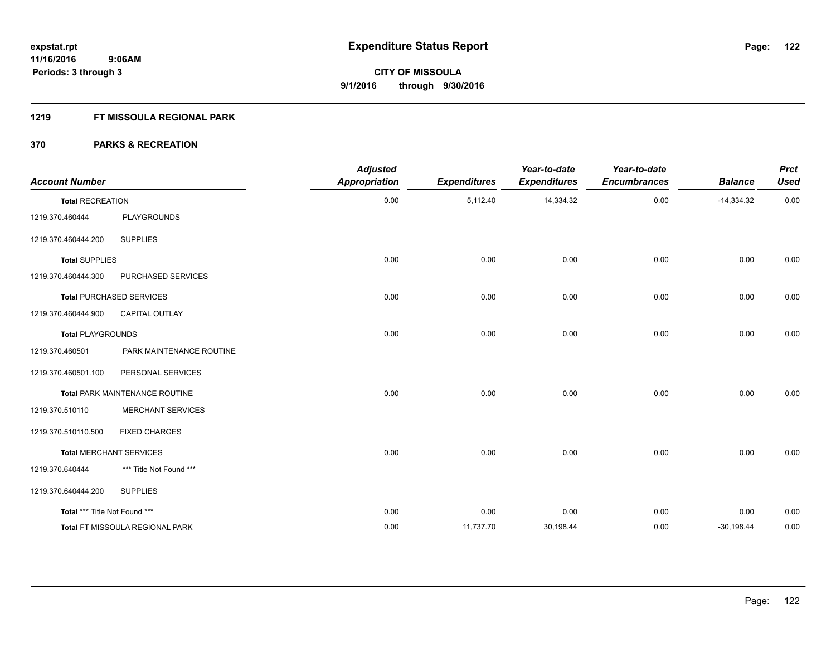#### **1219 FT MISSOULA REGIONAL PARK**

| <b>Account Number</b>         |                                 | <b>Adjusted</b><br><b>Appropriation</b> | <b>Expenditures</b> | Year-to-date<br><b>Expenditures</b> | Year-to-date<br><b>Encumbrances</b> | <b>Balance</b> | <b>Prct</b><br><b>Used</b> |
|-------------------------------|---------------------------------|-----------------------------------------|---------------------|-------------------------------------|-------------------------------------|----------------|----------------------------|
| <b>Total RECREATION</b>       |                                 | 0.00                                    | 5,112.40            | 14,334.32                           | 0.00                                | $-14,334.32$   | 0.00                       |
| 1219.370.460444               | PLAYGROUNDS                     |                                         |                     |                                     |                                     |                |                            |
| 1219.370.460444.200           | <b>SUPPLIES</b>                 |                                         |                     |                                     |                                     |                |                            |
| <b>Total SUPPLIES</b>         |                                 | 0.00                                    | 0.00                | 0.00                                | 0.00                                | 0.00           | 0.00                       |
| 1219.370.460444.300           | PURCHASED SERVICES              |                                         |                     |                                     |                                     |                |                            |
|                               | <b>Total PURCHASED SERVICES</b> | 0.00                                    | 0.00                | 0.00                                | 0.00                                | 0.00           | 0.00                       |
| 1219.370.460444.900           | CAPITAL OUTLAY                  |                                         |                     |                                     |                                     |                |                            |
| <b>Total PLAYGROUNDS</b>      |                                 | 0.00                                    | 0.00                | 0.00                                | 0.00                                | 0.00           | 0.00                       |
| 1219.370.460501               | PARK MAINTENANCE ROUTINE        |                                         |                     |                                     |                                     |                |                            |
| 1219.370.460501.100           | PERSONAL SERVICES               |                                         |                     |                                     |                                     |                |                            |
|                               | Total PARK MAINTENANCE ROUTINE  | 0.00                                    | 0.00                | 0.00                                | 0.00                                | 0.00           | 0.00                       |
| 1219.370.510110               | <b>MERCHANT SERVICES</b>        |                                         |                     |                                     |                                     |                |                            |
| 1219.370.510110.500           | <b>FIXED CHARGES</b>            |                                         |                     |                                     |                                     |                |                            |
|                               | <b>Total MERCHANT SERVICES</b>  | 0.00                                    | 0.00                | 0.00                                | 0.00                                | 0.00           | 0.00                       |
| 1219.370.640444               | *** Title Not Found ***         |                                         |                     |                                     |                                     |                |                            |
| 1219.370.640444.200           | <b>SUPPLIES</b>                 |                                         |                     |                                     |                                     |                |                            |
| Total *** Title Not Found *** |                                 | 0.00                                    | 0.00                | 0.00                                | 0.00                                | 0.00           | 0.00                       |
|                               | Total FT MISSOULA REGIONAL PARK | 0.00                                    | 11,737.70           | 30,198.44                           | 0.00                                | $-30,198.44$   | 0.00                       |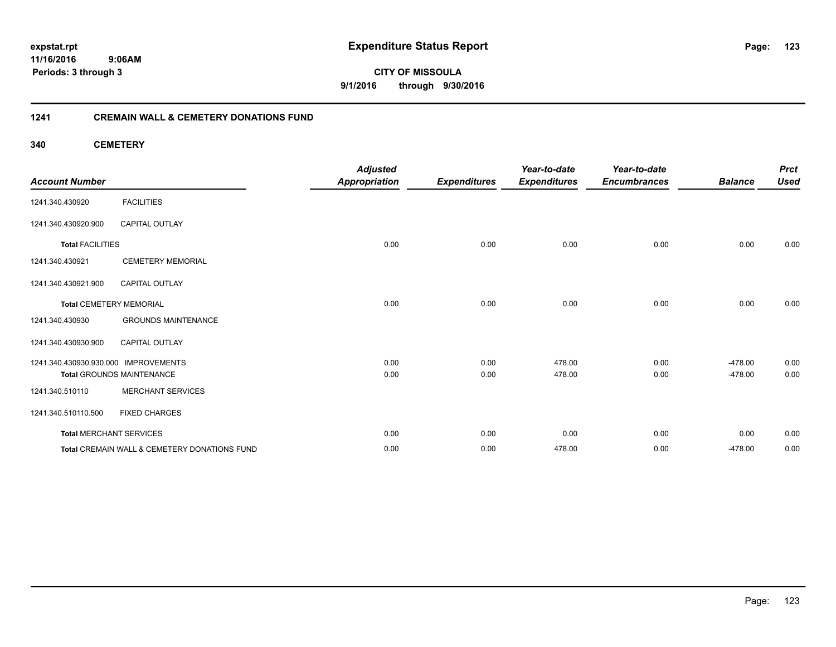**11/16/2016 9:06AM Periods: 3 through 3**

**CITY OF MISSOULA 9/1/2016 through 9/30/2016**

#### **1241 CREMAIN WALL & CEMETERY DONATIONS FUND**

**340 CEMETERY**

| <b>Account Number</b>                |                                              | <b>Adjusted</b><br><b>Appropriation</b> | <b>Expenditures</b> | Year-to-date<br><b>Expenditures</b> | Year-to-date<br><b>Encumbrances</b> | <b>Balance</b> | <b>Prct</b><br><b>Used</b> |
|--------------------------------------|----------------------------------------------|-----------------------------------------|---------------------|-------------------------------------|-------------------------------------|----------------|----------------------------|
| 1241.340.430920                      | <b>FACILITIES</b>                            |                                         |                     |                                     |                                     |                |                            |
| 1241.340.430920.900                  | <b>CAPITAL OUTLAY</b>                        |                                         |                     |                                     |                                     |                |                            |
| <b>Total FACILITIES</b>              |                                              | 0.00                                    | 0.00                | 0.00                                | 0.00                                | 0.00           | 0.00                       |
| 1241.340.430921                      | <b>CEMETERY MEMORIAL</b>                     |                                         |                     |                                     |                                     |                |                            |
| 1241.340.430921.900                  | <b>CAPITAL OUTLAY</b>                        |                                         |                     |                                     |                                     |                |                            |
| <b>Total CEMETERY MEMORIAL</b>       |                                              | 0.00                                    | 0.00                | 0.00                                | 0.00                                | 0.00           | 0.00                       |
| 1241.340.430930                      | <b>GROUNDS MAINTENANCE</b>                   |                                         |                     |                                     |                                     |                |                            |
| 1241.340.430930.900                  | <b>CAPITAL OUTLAY</b>                        |                                         |                     |                                     |                                     |                |                            |
| 1241.340.430930.930.000 IMPROVEMENTS |                                              | 0.00                                    | 0.00                | 478.00                              | 0.00                                | $-478.00$      | 0.00                       |
|                                      | <b>Total GROUNDS MAINTENANCE</b>             | 0.00                                    | 0.00                | 478.00                              | 0.00                                | $-478.00$      | 0.00                       |
| 1241.340.510110                      | <b>MERCHANT SERVICES</b>                     |                                         |                     |                                     |                                     |                |                            |
| 1241.340.510110.500                  | <b>FIXED CHARGES</b>                         |                                         |                     |                                     |                                     |                |                            |
| <b>Total MERCHANT SERVICES</b>       |                                              | 0.00                                    | 0.00                | 0.00                                | 0.00                                | 0.00           | 0.00                       |
|                                      | Total CREMAIN WALL & CEMETERY DONATIONS FUND | 0.00                                    | 0.00                | 478.00                              | 0.00                                | $-478.00$      | 0.00                       |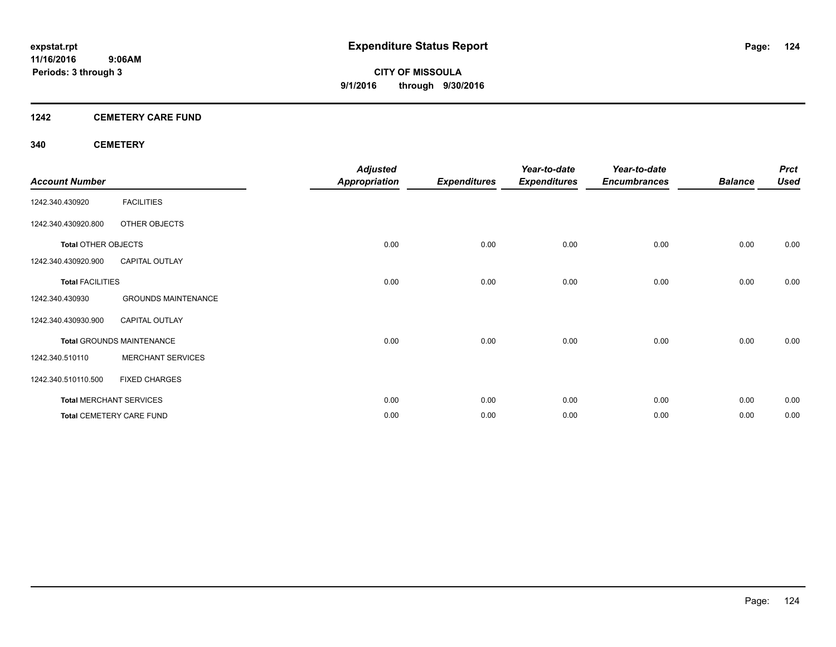#### **1242 CEMETERY CARE FUND**

#### **340 CEMETERY**

| <b>Account Number</b>      |                                  | <b>Adjusted</b><br><b>Appropriation</b> | <b>Expenditures</b> | Year-to-date<br><b>Expenditures</b> | Year-to-date<br><b>Encumbrances</b> | <b>Balance</b> | <b>Prct</b><br><b>Used</b> |
|----------------------------|----------------------------------|-----------------------------------------|---------------------|-------------------------------------|-------------------------------------|----------------|----------------------------|
| 1242.340.430920            | <b>FACILITIES</b>                |                                         |                     |                                     |                                     |                |                            |
| 1242.340.430920.800        | OTHER OBJECTS                    |                                         |                     |                                     |                                     |                |                            |
| <b>Total OTHER OBJECTS</b> |                                  | 0.00                                    | 0.00                | 0.00                                | 0.00                                | 0.00           | 0.00                       |
| 1242.340.430920.900        | <b>CAPITAL OUTLAY</b>            |                                         |                     |                                     |                                     |                |                            |
| <b>Total FACILITIES</b>    |                                  | 0.00                                    | 0.00                | 0.00                                | 0.00                                | 0.00           | 0.00                       |
| 1242.340.430930            | <b>GROUNDS MAINTENANCE</b>       |                                         |                     |                                     |                                     |                |                            |
| 1242.340.430930.900        | <b>CAPITAL OUTLAY</b>            |                                         |                     |                                     |                                     |                |                            |
|                            | <b>Total GROUNDS MAINTENANCE</b> | 0.00                                    | 0.00                | 0.00                                | 0.00                                | 0.00           | 0.00                       |
| 1242.340.510110            | <b>MERCHANT SERVICES</b>         |                                         |                     |                                     |                                     |                |                            |
| 1242.340.510110.500        | <b>FIXED CHARGES</b>             |                                         |                     |                                     |                                     |                |                            |
|                            | <b>Total MERCHANT SERVICES</b>   | 0.00                                    | 0.00                | 0.00                                | 0.00                                | 0.00           | 0.00                       |
|                            | <b>Total CEMETERY CARE FUND</b>  | 0.00                                    | 0.00                | 0.00                                | 0.00                                | 0.00           | 0.00                       |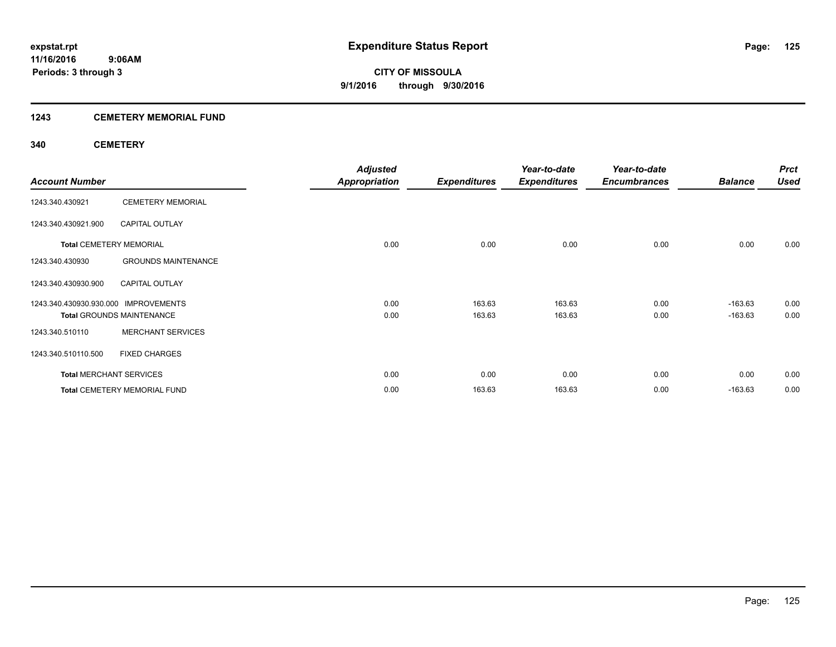#### **1243 CEMETERY MEMORIAL FUND**

#### **340 CEMETERY**

|                                      |                                     | <b>Adjusted</b>      |                     | Year-to-date        | Year-to-date        |                | <b>Prct</b> |
|--------------------------------------|-------------------------------------|----------------------|---------------------|---------------------|---------------------|----------------|-------------|
| <b>Account Number</b>                |                                     | <b>Appropriation</b> | <b>Expenditures</b> | <b>Expenditures</b> | <b>Encumbrances</b> | <b>Balance</b> | <b>Used</b> |
| 1243.340.430921                      | <b>CEMETERY MEMORIAL</b>            |                      |                     |                     |                     |                |             |
| 1243.340.430921.900                  | <b>CAPITAL OUTLAY</b>               |                      |                     |                     |                     |                |             |
| <b>Total CEMETERY MEMORIAL</b>       |                                     | 0.00                 | 0.00                | 0.00                | 0.00                | 0.00           | 0.00        |
| 1243.340.430930                      | <b>GROUNDS MAINTENANCE</b>          |                      |                     |                     |                     |                |             |
| 1243.340.430930.900                  | <b>CAPITAL OUTLAY</b>               |                      |                     |                     |                     |                |             |
| 1243.340.430930.930.000 IMPROVEMENTS |                                     | 0.00                 | 163.63              | 163.63              | 0.00                | $-163.63$      | 0.00        |
|                                      | <b>Total GROUNDS MAINTENANCE</b>    | 0.00                 | 163.63              | 163.63              | 0.00                | $-163.63$      | 0.00        |
| 1243.340.510110                      | <b>MERCHANT SERVICES</b>            |                      |                     |                     |                     |                |             |
| 1243.340.510110.500                  | <b>FIXED CHARGES</b>                |                      |                     |                     |                     |                |             |
| <b>Total MERCHANT SERVICES</b>       |                                     | 0.00                 | 0.00                | 0.00                | 0.00                | 0.00           | 0.00        |
|                                      | <b>Total CEMETERY MEMORIAL FUND</b> | 0.00                 | 163.63              | 163.63              | 0.00                | $-163.63$      | 0.00        |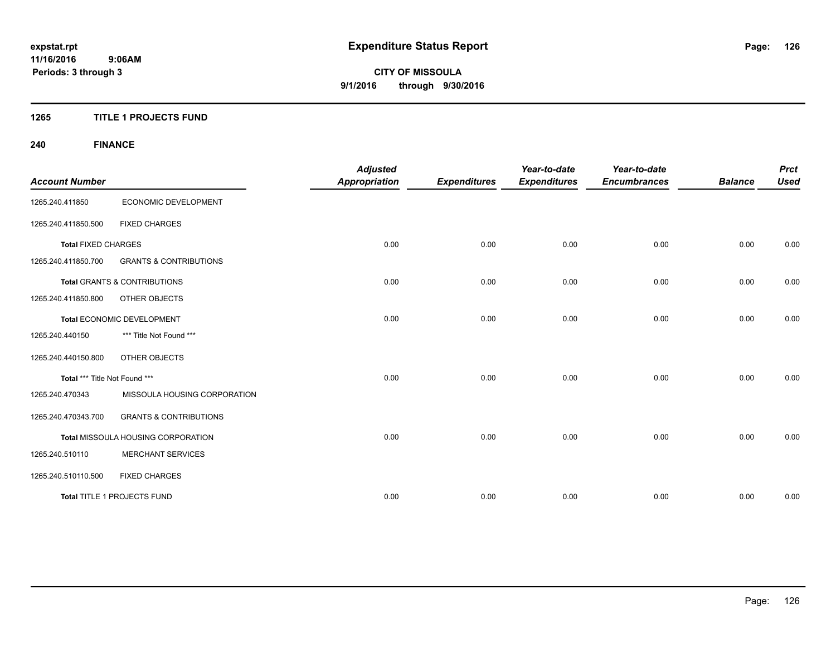#### **1265 TITLE 1 PROJECTS FUND**

# **240 FINANCE**

| <b>Account Number</b>         |                                           | <b>Adjusted</b><br><b>Appropriation</b> | <b>Expenditures</b> | Year-to-date<br><b>Expenditures</b> | Year-to-date<br><b>Encumbrances</b> | <b>Balance</b> | <b>Prct</b><br><b>Used</b> |
|-------------------------------|-------------------------------------------|-----------------------------------------|---------------------|-------------------------------------|-------------------------------------|----------------|----------------------------|
| 1265.240.411850               | ECONOMIC DEVELOPMENT                      |                                         |                     |                                     |                                     |                |                            |
| 1265.240.411850.500           | <b>FIXED CHARGES</b>                      |                                         |                     |                                     |                                     |                |                            |
| <b>Total FIXED CHARGES</b>    |                                           | 0.00                                    | 0.00                | 0.00                                | 0.00                                | 0.00           | 0.00                       |
| 1265.240.411850.700           | <b>GRANTS &amp; CONTRIBUTIONS</b>         |                                         |                     |                                     |                                     |                |                            |
|                               | <b>Total GRANTS &amp; CONTRIBUTIONS</b>   | 0.00                                    | 0.00                | 0.00                                | 0.00                                | 0.00           | 0.00                       |
| 1265.240.411850.800           | <b>OTHER OBJECTS</b>                      |                                         |                     |                                     |                                     |                |                            |
|                               | Total ECONOMIC DEVELOPMENT                | 0.00                                    | 0.00                | 0.00                                | 0.00                                | 0.00           | 0.00                       |
| 1265.240.440150               | *** Title Not Found ***                   |                                         |                     |                                     |                                     |                |                            |
| 1265.240.440150.800           | OTHER OBJECTS                             |                                         |                     |                                     |                                     |                |                            |
| Total *** Title Not Found *** |                                           | 0.00                                    | 0.00                | 0.00                                | 0.00                                | 0.00           | 0.00                       |
| 1265.240.470343               | MISSOULA HOUSING CORPORATION              |                                         |                     |                                     |                                     |                |                            |
| 1265.240.470343.700           | <b>GRANTS &amp; CONTRIBUTIONS</b>         |                                         |                     |                                     |                                     |                |                            |
|                               | <b>Total MISSOULA HOUSING CORPORATION</b> | 0.00                                    | 0.00                | 0.00                                | 0.00                                | 0.00           | 0.00                       |
| 1265.240.510110               | <b>MERCHANT SERVICES</b>                  |                                         |                     |                                     |                                     |                |                            |
| 1265.240.510110.500           | <b>FIXED CHARGES</b>                      |                                         |                     |                                     |                                     |                |                            |
|                               | Total TITLE 1 PROJECTS FUND               | 0.00                                    | 0.00                | 0.00                                | 0.00                                | 0.00           | 0.00                       |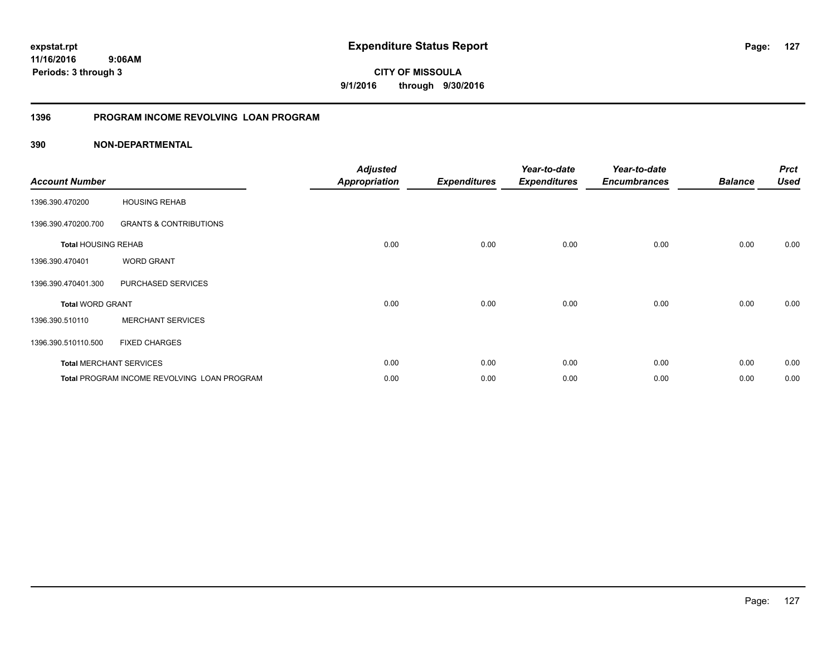**11/16/2016 9:06AM Periods: 3 through 3**

**127**

**CITY OF MISSOULA 9/1/2016 through 9/30/2016**

#### **1396 PROGRAM INCOME REVOLVING LOAN PROGRAM**

| <b>Account Number</b>      |                                             | <b>Adjusted</b><br><b>Appropriation</b> | <b>Expenditures</b> | Year-to-date<br><b>Expenditures</b> | Year-to-date<br><b>Encumbrances</b> | <b>Balance</b> | <b>Prct</b><br><b>Used</b> |
|----------------------------|---------------------------------------------|-----------------------------------------|---------------------|-------------------------------------|-------------------------------------|----------------|----------------------------|
| 1396.390.470200            | <b>HOUSING REHAB</b>                        |                                         |                     |                                     |                                     |                |                            |
| 1396.390.470200.700        | <b>GRANTS &amp; CONTRIBUTIONS</b>           |                                         |                     |                                     |                                     |                |                            |
| <b>Total HOUSING REHAB</b> |                                             | 0.00                                    | 0.00                | 0.00                                | 0.00                                | 0.00           | 0.00                       |
| 1396.390.470401            | <b>WORD GRANT</b>                           |                                         |                     |                                     |                                     |                |                            |
| 1396.390.470401.300        | PURCHASED SERVICES                          |                                         |                     |                                     |                                     |                |                            |
| <b>Total WORD GRANT</b>    |                                             | 0.00                                    | 0.00                | 0.00                                | 0.00                                | 0.00           | 0.00                       |
| 1396.390.510110            | <b>MERCHANT SERVICES</b>                    |                                         |                     |                                     |                                     |                |                            |
| 1396.390.510110.500        | <b>FIXED CHARGES</b>                        |                                         |                     |                                     |                                     |                |                            |
|                            | <b>Total MERCHANT SERVICES</b>              | 0.00                                    | 0.00                | 0.00                                | 0.00                                | 0.00           | 0.00                       |
|                            | Total PROGRAM INCOME REVOLVING LOAN PROGRAM | 0.00                                    | 0.00                | 0.00                                | 0.00                                | 0.00           | 0.00                       |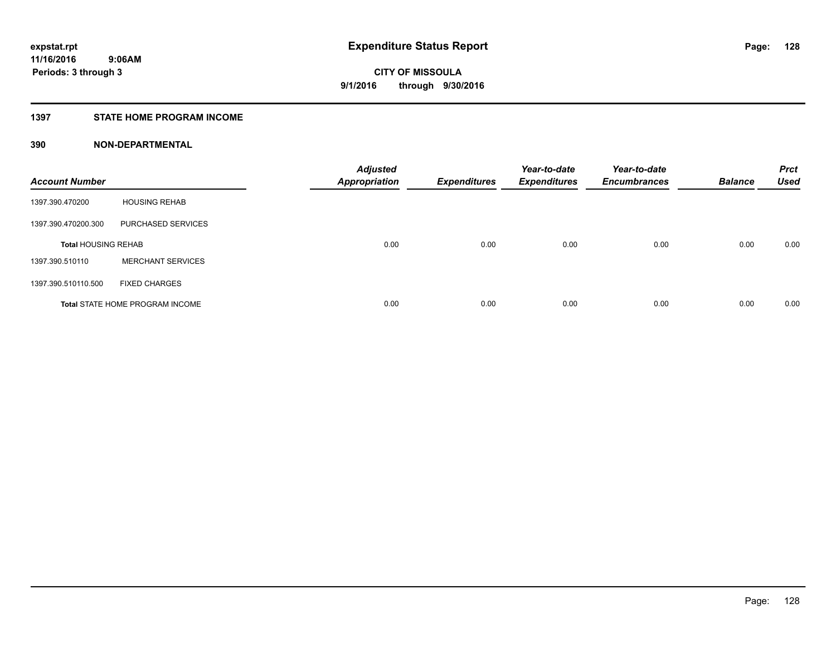#### **1397 STATE HOME PROGRAM INCOME**

| <b>Account Number</b>      |                                        | <b>Adjusted</b><br><b>Appropriation</b> | <b>Expenditures</b> | Year-to-date<br><b>Expenditures</b> | Year-to-date<br><b>Encumbrances</b> | <b>Balance</b> | <b>Prct</b><br><b>Used</b> |
|----------------------------|----------------------------------------|-----------------------------------------|---------------------|-------------------------------------|-------------------------------------|----------------|----------------------------|
| 1397.390.470200            | <b>HOUSING REHAB</b>                   |                                         |                     |                                     |                                     |                |                            |
| 1397.390.470200.300        | PURCHASED SERVICES                     |                                         |                     |                                     |                                     |                |                            |
| <b>Total HOUSING REHAB</b> |                                        | 0.00                                    | 0.00                | 0.00                                | 0.00                                | 0.00           | 0.00                       |
| 1397.390.510110            | <b>MERCHANT SERVICES</b>               |                                         |                     |                                     |                                     |                |                            |
| 1397.390.510110.500        | <b>FIXED CHARGES</b>                   |                                         |                     |                                     |                                     |                |                            |
|                            | <b>Total STATE HOME PROGRAM INCOME</b> | 0.00                                    | 0.00                | 0.00                                | 0.00                                | 0.00           | 0.00                       |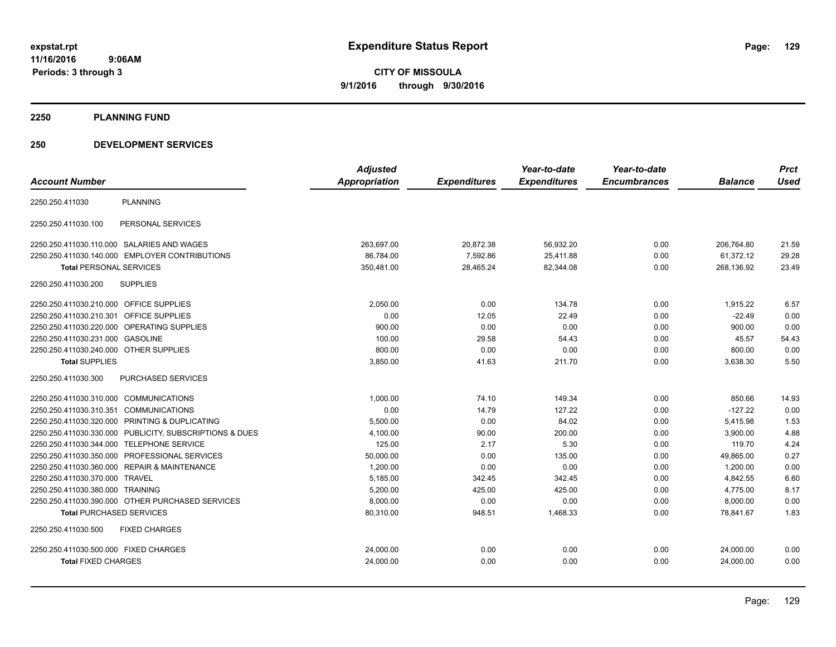**2250 PLANNING FUND**

#### **250 DEVELOPMENT SERVICES**

|                                                         | <b>Adjusted</b> |                     | Year-to-date        | Year-to-date        |                | <b>Prct</b> |
|---------------------------------------------------------|-----------------|---------------------|---------------------|---------------------|----------------|-------------|
| <b>Account Number</b>                                   | Appropriation   | <b>Expenditures</b> | <b>Expenditures</b> | <b>Encumbrances</b> | <b>Balance</b> | <b>Used</b> |
| <b>PLANNING</b><br>2250.250.411030                      |                 |                     |                     |                     |                |             |
| PERSONAL SERVICES<br>2250.250.411030.100                |                 |                     |                     |                     |                |             |
| 2250.250.411030.110.000 SALARIES AND WAGES              | 263,697.00      | 20,872.38           | 56,932.20           | 0.00                | 206,764.80     | 21.59       |
| 2250.250.411030.140.000 EMPLOYER CONTRIBUTIONS          | 86,784.00       | 7,592.86            | 25,411.88           | 0.00                | 61,372.12      | 29.28       |
| <b>Total PERSONAL SERVICES</b>                          | 350,481.00      | 28,465.24           | 82,344.08           | 0.00                | 268,136.92     | 23.49       |
| <b>SUPPLIES</b><br>2250.250.411030.200                  |                 |                     |                     |                     |                |             |
| 2250.250.411030.210.000 OFFICE SUPPLIES                 | 2,050.00        | 0.00                | 134.78              | 0.00                | 1,915.22       | 6.57        |
| 2250.250.411030.210.301 OFFICE SUPPLIES                 | 0.00            | 12.05               | 22.49               | 0.00                | $-22.49$       | 0.00        |
| 2250.250.411030.220.000 OPERATING SUPPLIES              | 900.00          | 0.00                | 0.00                | 0.00                | 900.00         | 0.00        |
| 2250.250.411030.231.000 GASOLINE                        | 100.00          | 29.58               | 54.43               | 0.00                | 45.57          | 54.43       |
| 2250.250.411030.240.000 OTHER SUPPLIES                  | 800.00          | 0.00                | 0.00                | 0.00                | 800.00         | 0.00        |
| <b>Total SUPPLIES</b>                                   | 3,850.00        | 41.63               | 211.70              | 0.00                | 3,638.30       | 5.50        |
| <b>PURCHASED SERVICES</b><br>2250.250.411030.300        |                 |                     |                     |                     |                |             |
| 2250.250.411030.310.000 COMMUNICATIONS                  | 1,000.00        | 74.10               | 149.34              | 0.00                | 850.66         | 14.93       |
| 2250.250.411030.310.351 COMMUNICATIONS                  | 0.00            | 14.79               | 127.22              | 0.00                | $-127.22$      | 0.00        |
| 2250.250.411030.320.000 PRINTING & DUPLICATING          | 5,500.00        | 0.00                | 84.02               | 0.00                | 5,415.98       | 1.53        |
| 2250.250.411030.330.000 PUBLICITY, SUBSCRIPTIONS & DUES | 4,100.00        | 90.00               | 200.00              | 0.00                | 3,900.00       | 4.88        |
| 2250.250.411030.344.000 TELEPHONE SERVICE               | 125.00          | 2.17                | 5.30                | 0.00                | 119.70         | 4.24        |
| 2250.250.411030.350.000 PROFESSIONAL SERVICES           | 50,000.00       | 0.00                | 135.00              | 0.00                | 49,865.00      | 0.27        |
| 2250.250.411030.360.000 REPAIR & MAINTENANCE            | 1,200.00        | 0.00                | 0.00                | 0.00                | 1.200.00       | 0.00        |
| 2250.250.411030.370.000 TRAVEL                          | 5,185.00        | 342.45              | 342.45              | 0.00                | 4,842.55       | 6.60        |
| 2250.250.411030.380.000 TRAINING                        | 5,200.00        | 425.00              | 425.00              | 0.00                | 4,775.00       | 8.17        |
| 2250.250.411030.390.000 OTHER PURCHASED SERVICES        | 8,000.00        | 0.00                | 0.00                | 0.00                | 8,000.00       | 0.00        |
| <b>Total PURCHASED SERVICES</b>                         | 80,310.00       | 948.51              | 1,468.33            | 0.00                | 78.841.67      | 1.83        |
| 2250.250.411030.500<br><b>FIXED CHARGES</b>             |                 |                     |                     |                     |                |             |
| 2250.250.411030.500.000 FIXED CHARGES                   | 24,000.00       | 0.00                | 0.00                | 0.00                | 24,000.00      | 0.00        |
| <b>Total FIXED CHARGES</b>                              | 24,000.00       | 0.00                | 0.00                | 0.00                | 24,000.00      | 0.00        |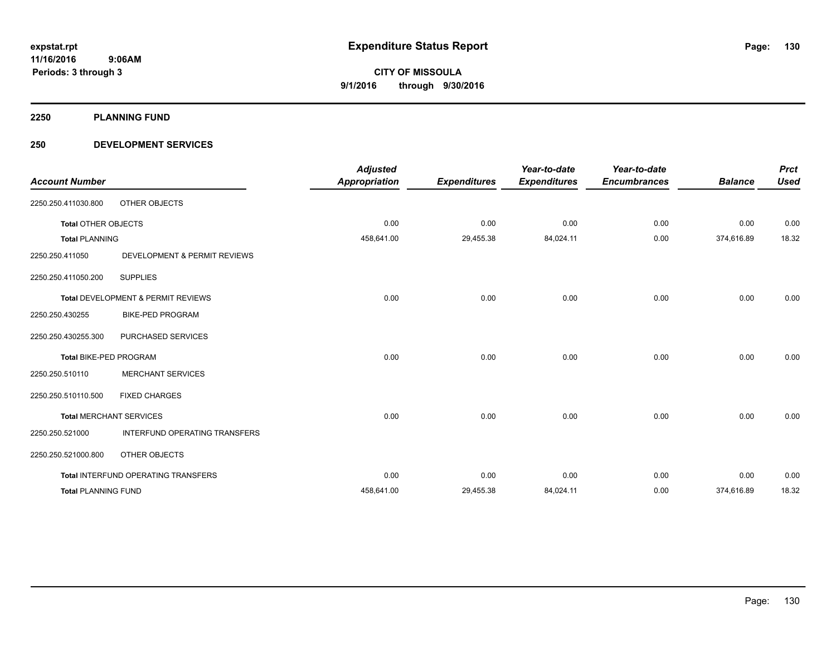**2250 PLANNING FUND**

#### **250 DEVELOPMENT SERVICES**

| <b>Account Number</b>         |                                     | <b>Adjusted</b><br><b>Appropriation</b> | <b>Expenditures</b> | Year-to-date<br><b>Expenditures</b> | Year-to-date<br><b>Encumbrances</b> | <b>Balance</b> | <b>Prct</b><br><b>Used</b> |
|-------------------------------|-------------------------------------|-----------------------------------------|---------------------|-------------------------------------|-------------------------------------|----------------|----------------------------|
| 2250.250.411030.800           | <b>OTHER OBJECTS</b>                |                                         |                     |                                     |                                     |                |                            |
| <b>Total OTHER OBJECTS</b>    |                                     | 0.00                                    | 0.00                | 0.00                                | 0.00                                | 0.00           | 0.00                       |
| <b>Total PLANNING</b>         |                                     | 458,641.00                              | 29,455.38           | 84,024.11                           | 0.00                                | 374,616.89     | 18.32                      |
| 2250.250.411050               | DEVELOPMENT & PERMIT REVIEWS        |                                         |                     |                                     |                                     |                |                            |
| 2250.250.411050.200           | <b>SUPPLIES</b>                     |                                         |                     |                                     |                                     |                |                            |
|                               | Total DEVELOPMENT & PERMIT REVIEWS  | 0.00                                    | 0.00                | 0.00                                | 0.00                                | 0.00           | 0.00                       |
| 2250.250.430255               | <b>BIKE-PED PROGRAM</b>             |                                         |                     |                                     |                                     |                |                            |
| 2250.250.430255.300           | PURCHASED SERVICES                  |                                         |                     |                                     |                                     |                |                            |
| <b>Total BIKE-PED PROGRAM</b> |                                     | 0.00                                    | 0.00                | 0.00                                | 0.00                                | 0.00           | 0.00                       |
| 2250.250.510110               | <b>MERCHANT SERVICES</b>            |                                         |                     |                                     |                                     |                |                            |
| 2250.250.510110.500           | <b>FIXED CHARGES</b>                |                                         |                     |                                     |                                     |                |                            |
|                               | <b>Total MERCHANT SERVICES</b>      | 0.00                                    | 0.00                | 0.00                                | 0.00                                | 0.00           | 0.00                       |
| 2250.250.521000               | INTERFUND OPERATING TRANSFERS       |                                         |                     |                                     |                                     |                |                            |
| 2250.250.521000.800           | OTHER OBJECTS                       |                                         |                     |                                     |                                     |                |                            |
|                               | Total INTERFUND OPERATING TRANSFERS | 0.00                                    | 0.00                | 0.00                                | 0.00                                | 0.00           | 0.00                       |
| <b>Total PLANNING FUND</b>    |                                     | 458,641.00                              | 29,455.38           | 84,024.11                           | 0.00                                | 374,616.89     | 18.32                      |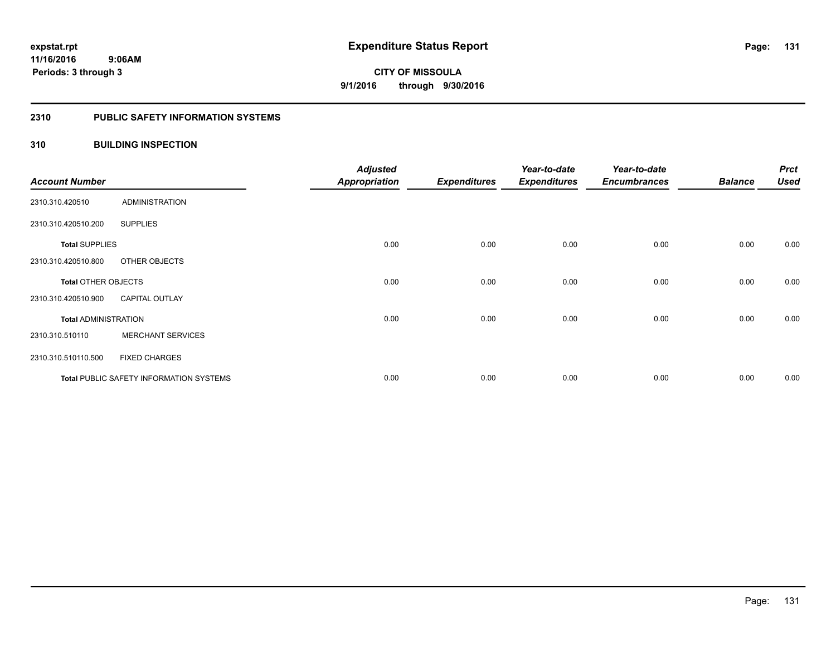#### **2310 PUBLIC SAFETY INFORMATION SYSTEMS**

#### **310 BUILDING INSPECTION**

| <b>Account Number</b>       |                                                | <b>Adjusted</b><br><b>Appropriation</b> | <b>Expenditures</b> | Year-to-date<br><b>Expenditures</b> | Year-to-date<br><b>Encumbrances</b> | <b>Balance</b> | <b>Prct</b><br><b>Used</b> |
|-----------------------------|------------------------------------------------|-----------------------------------------|---------------------|-------------------------------------|-------------------------------------|----------------|----------------------------|
| 2310.310.420510             | <b>ADMINISTRATION</b>                          |                                         |                     |                                     |                                     |                |                            |
| 2310.310.420510.200         | <b>SUPPLIES</b>                                |                                         |                     |                                     |                                     |                |                            |
| <b>Total SUPPLIES</b>       |                                                | 0.00                                    | 0.00                | 0.00                                | 0.00                                | 0.00           | 0.00                       |
| 2310.310.420510.800         | OTHER OBJECTS                                  |                                         |                     |                                     |                                     |                |                            |
| <b>Total OTHER OBJECTS</b>  |                                                | 0.00                                    | 0.00                | 0.00                                | 0.00                                | 0.00           | 0.00                       |
| 2310.310.420510.900         | <b>CAPITAL OUTLAY</b>                          |                                         |                     |                                     |                                     |                |                            |
| <b>Total ADMINISTRATION</b> |                                                | 0.00                                    | 0.00                | 0.00                                | 0.00                                | 0.00           | 0.00                       |
| 2310.310.510110             | <b>MERCHANT SERVICES</b>                       |                                         |                     |                                     |                                     |                |                            |
| 2310.310.510110.500         | <b>FIXED CHARGES</b>                           |                                         |                     |                                     |                                     |                |                            |
|                             | <b>Total PUBLIC SAFETY INFORMATION SYSTEMS</b> | 0.00                                    | 0.00                | 0.00                                | 0.00                                | 0.00           | 0.00                       |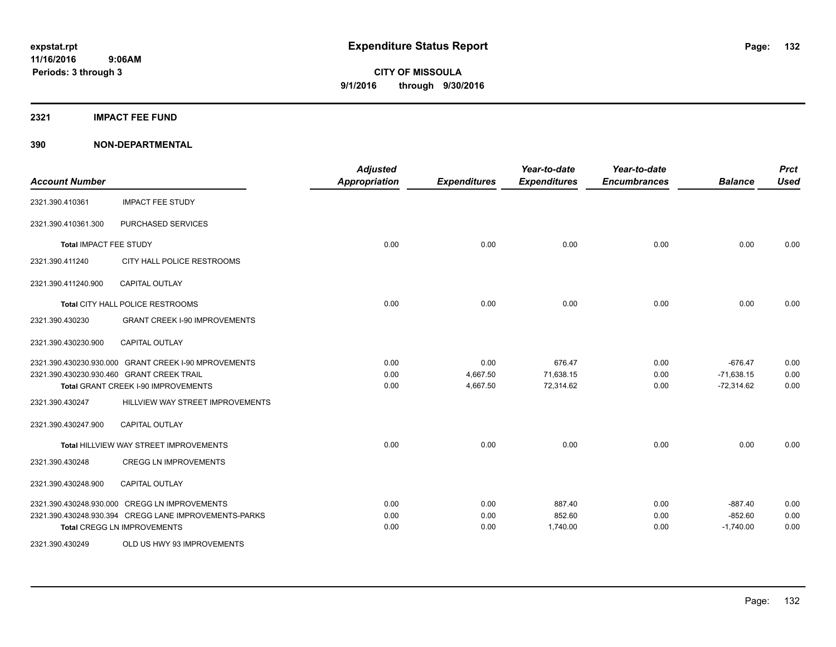**2321 IMPACT FEE FUND**

| <b>Account Number</b>         |                                                                                                                                              | <b>Adjusted</b><br><b>Appropriation</b> | <b>Expenditures</b>          | Year-to-date<br><b>Expenditures</b> | Year-to-date<br><b>Encumbrances</b> | <b>Balance</b>                            | <b>Prct</b><br><b>Used</b> |
|-------------------------------|----------------------------------------------------------------------------------------------------------------------------------------------|-----------------------------------------|------------------------------|-------------------------------------|-------------------------------------|-------------------------------------------|----------------------------|
| 2321.390.410361               | <b>IMPACT FEE STUDY</b>                                                                                                                      |                                         |                              |                                     |                                     |                                           |                            |
| 2321.390.410361.300           | PURCHASED SERVICES                                                                                                                           |                                         |                              |                                     |                                     |                                           |                            |
| <b>Total IMPACT FEE STUDY</b> |                                                                                                                                              | 0.00                                    | 0.00                         | 0.00                                | 0.00                                | 0.00                                      | 0.00                       |
| 2321.390.411240               | CITY HALL POLICE RESTROOMS                                                                                                                   |                                         |                              |                                     |                                     |                                           |                            |
| 2321.390.411240.900           | <b>CAPITAL OUTLAY</b>                                                                                                                        |                                         |                              |                                     |                                     |                                           |                            |
|                               | Total CITY HALL POLICE RESTROOMS                                                                                                             | 0.00                                    | 0.00                         | 0.00                                | 0.00                                | 0.00                                      | 0.00                       |
| 2321.390.430230               | <b>GRANT CREEK I-90 IMPROVEMENTS</b>                                                                                                         |                                         |                              |                                     |                                     |                                           |                            |
| 2321.390.430230.900           | <b>CAPITAL OUTLAY</b>                                                                                                                        |                                         |                              |                                     |                                     |                                           |                            |
|                               | 2321.390.430230.930.000 GRANT CREEK I-90 MPROVEMENTS<br>2321.390.430230.930.460 GRANT CREEK TRAIL<br>Total GRANT CREEK I-90 IMPROVEMENTS     | 0.00<br>0.00<br>0.00                    | 0.00<br>4,667.50<br>4,667.50 | 676.47<br>71,638.15<br>72,314.62    | 0.00<br>0.00<br>0.00                | $-676.47$<br>$-71,638.15$<br>$-72,314.62$ | 0.00<br>0.00<br>0.00       |
| 2321.390.430247               | HILLVIEW WAY STREET IMPROVEMENTS                                                                                                             |                                         |                              |                                     |                                     |                                           |                            |
| 2321.390.430247.900           | <b>CAPITAL OUTLAY</b>                                                                                                                        |                                         |                              |                                     |                                     |                                           |                            |
|                               | Total HILLVIEW WAY STREET IMPROVEMENTS                                                                                                       | 0.00                                    | 0.00                         | 0.00                                | 0.00                                | 0.00                                      | 0.00                       |
| 2321.390.430248               | <b>CREGG LN IMPROVEMENTS</b>                                                                                                                 |                                         |                              |                                     |                                     |                                           |                            |
| 2321.390.430248.900           | <b>CAPITAL OUTLAY</b>                                                                                                                        |                                         |                              |                                     |                                     |                                           |                            |
|                               | 2321.390.430248.930.000 CREGG LN IMPROVEMENTS<br>2321.390.430248.930.394 CREGG LANE IMPROVEMENTS-PARKS<br><b>Total CREGG LN IMPROVEMENTS</b> | 0.00<br>0.00<br>0.00                    | 0.00<br>0.00<br>0.00         | 887.40<br>852.60<br>1,740.00        | 0.00<br>0.00<br>0.00                | $-887.40$<br>$-852.60$<br>$-1,740.00$     | 0.00<br>0.00<br>0.00       |
| 2321.390.430249               | OLD US HWY 93 IMPROVEMENTS                                                                                                                   |                                         |                              |                                     |                                     |                                           |                            |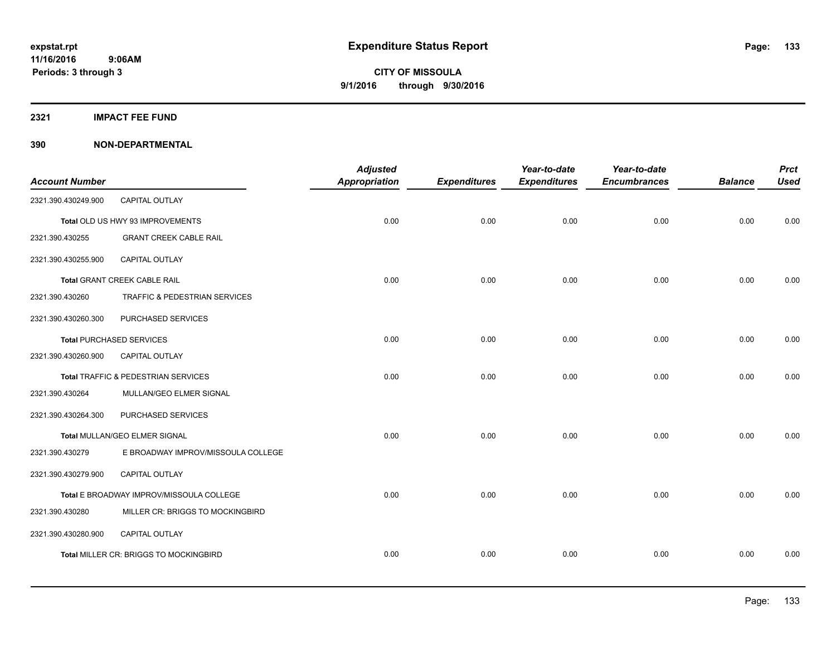**2321 IMPACT FEE FUND**

| <b>Account Number</b> |                                          | <b>Adjusted</b><br><b>Appropriation</b> | <b>Expenditures</b> | Year-to-date<br><b>Expenditures</b> | Year-to-date<br><b>Encumbrances</b> | <b>Balance</b> | <b>Prct</b><br><b>Used</b> |
|-----------------------|------------------------------------------|-----------------------------------------|---------------------|-------------------------------------|-------------------------------------|----------------|----------------------------|
| 2321.390.430249.900   | <b>CAPITAL OUTLAY</b>                    |                                         |                     |                                     |                                     |                |                            |
|                       | Total OLD US HWY 93 IMPROVEMENTS         | 0.00                                    | 0.00                | 0.00                                | 0.00                                | 0.00           | 0.00                       |
| 2321.390.430255       | <b>GRANT CREEK CABLE RAIL</b>            |                                         |                     |                                     |                                     |                |                            |
| 2321.390.430255.900   | CAPITAL OUTLAY                           |                                         |                     |                                     |                                     |                |                            |
|                       | <b>Total GRANT CREEK CABLE RAIL</b>      | 0.00                                    | 0.00                | 0.00                                | 0.00                                | 0.00           | 0.00                       |
| 2321.390.430260       | TRAFFIC & PEDESTRIAN SERVICES            |                                         |                     |                                     |                                     |                |                            |
| 2321.390.430260.300   | PURCHASED SERVICES                       |                                         |                     |                                     |                                     |                |                            |
|                       | <b>Total PURCHASED SERVICES</b>          | 0.00                                    | 0.00                | 0.00                                | 0.00                                | 0.00           | 0.00                       |
| 2321.390.430260.900   | CAPITAL OUTLAY                           |                                         |                     |                                     |                                     |                |                            |
|                       | Total TRAFFIC & PEDESTRIAN SERVICES      | 0.00                                    | 0.00                | 0.00                                | 0.00                                | 0.00           | 0.00                       |
| 2321.390.430264       | MULLAN/GEO ELMER SIGNAL                  |                                         |                     |                                     |                                     |                |                            |
| 2321.390.430264.300   | PURCHASED SERVICES                       |                                         |                     |                                     |                                     |                |                            |
|                       | Total MULLAN/GEO ELMER SIGNAL            | 0.00                                    | 0.00                | 0.00                                | 0.00                                | 0.00           | 0.00                       |
| 2321.390.430279       | E BROADWAY IMPROV/MISSOULA COLLEGE       |                                         |                     |                                     |                                     |                |                            |
| 2321.390.430279.900   | CAPITAL OUTLAY                           |                                         |                     |                                     |                                     |                |                            |
|                       | Total E BROADWAY IMPROV/MISSOULA COLLEGE | 0.00                                    | 0.00                | 0.00                                | 0.00                                | 0.00           | 0.00                       |
| 2321.390.430280       | MILLER CR: BRIGGS TO MOCKINGBIRD         |                                         |                     |                                     |                                     |                |                            |
| 2321.390.430280.900   | CAPITAL OUTLAY                           |                                         |                     |                                     |                                     |                |                            |
|                       | Total MILLER CR: BRIGGS TO MOCKINGBIRD   | 0.00                                    | 0.00                | 0.00                                | 0.00                                | 0.00           | 0.00                       |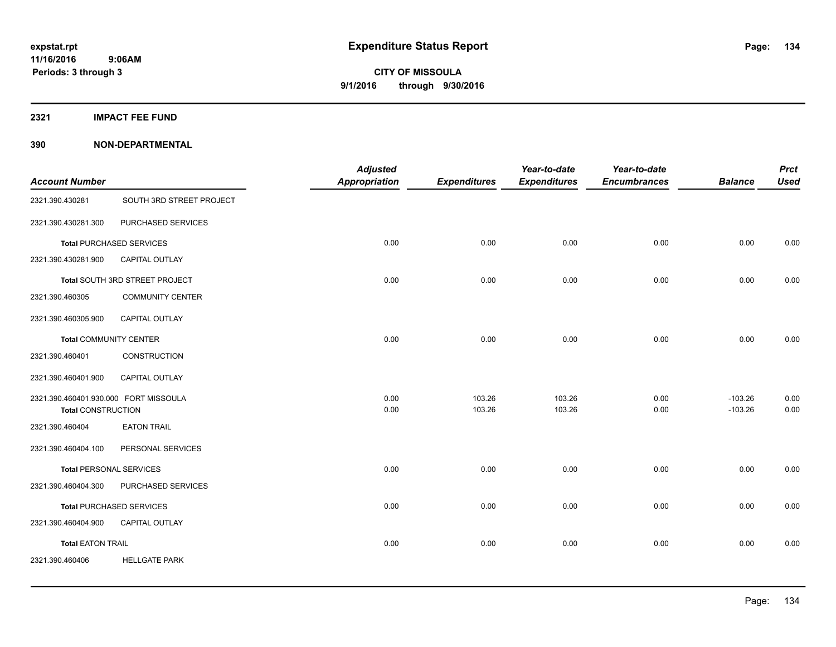**2321 IMPACT FEE FUND**

| <b>Account Number</b>                 |                                 | <b>Adjusted</b><br><b>Appropriation</b> | <b>Expenditures</b> | Year-to-date<br><b>Expenditures</b> | Year-to-date<br><b>Encumbrances</b> | <b>Balance</b> | <b>Prct</b><br><b>Used</b> |
|---------------------------------------|---------------------------------|-----------------------------------------|---------------------|-------------------------------------|-------------------------------------|----------------|----------------------------|
| 2321.390.430281                       | SOUTH 3RD STREET PROJECT        |                                         |                     |                                     |                                     |                |                            |
| 2321.390.430281.300                   | PURCHASED SERVICES              |                                         |                     |                                     |                                     |                |                            |
|                                       | <b>Total PURCHASED SERVICES</b> | 0.00                                    | 0.00                | 0.00                                | 0.00                                | 0.00           | 0.00                       |
| 2321.390.430281.900                   | <b>CAPITAL OUTLAY</b>           |                                         |                     |                                     |                                     |                |                            |
|                                       | Total SOUTH 3RD STREET PROJECT  | 0.00                                    | 0.00                | 0.00                                | 0.00                                | 0.00           | 0.00                       |
| 2321.390.460305                       | <b>COMMUNITY CENTER</b>         |                                         |                     |                                     |                                     |                |                            |
| 2321.390.460305.900                   | <b>CAPITAL OUTLAY</b>           |                                         |                     |                                     |                                     |                |                            |
| <b>Total COMMUNITY CENTER</b>         |                                 | 0.00                                    | 0.00                | 0.00                                | 0.00                                | 0.00           | 0.00                       |
| 2321.390.460401                       | CONSTRUCTION                    |                                         |                     |                                     |                                     |                |                            |
| 2321.390.460401.900                   | <b>CAPITAL OUTLAY</b>           |                                         |                     |                                     |                                     |                |                            |
| 2321.390.460401.930.000 FORT MISSOULA |                                 | 0.00                                    | 103.26              | 103.26                              | 0.00                                | $-103.26$      | 0.00                       |
| <b>Total CONSTRUCTION</b>             |                                 | 0.00                                    | 103.26              | 103.26                              | 0.00                                | $-103.26$      | 0.00                       |
| 2321.390.460404                       | <b>EATON TRAIL</b>              |                                         |                     |                                     |                                     |                |                            |
| 2321.390.460404.100                   | PERSONAL SERVICES               |                                         |                     |                                     |                                     |                |                            |
| <b>Total PERSONAL SERVICES</b>        |                                 | 0.00                                    | 0.00                | 0.00                                | 0.00                                | 0.00           | 0.00                       |
| 2321.390.460404.300                   | PURCHASED SERVICES              |                                         |                     |                                     |                                     |                |                            |
|                                       | <b>Total PURCHASED SERVICES</b> | 0.00                                    | 0.00                | 0.00                                | 0.00                                | 0.00           | 0.00                       |
| 2321.390.460404.900                   | CAPITAL OUTLAY                  |                                         |                     |                                     |                                     |                |                            |
| <b>Total EATON TRAIL</b>              |                                 | 0.00                                    | 0.00                | 0.00                                | 0.00                                | 0.00           | 0.00                       |
| 2321.390.460406                       | <b>HELLGATE PARK</b>            |                                         |                     |                                     |                                     |                |                            |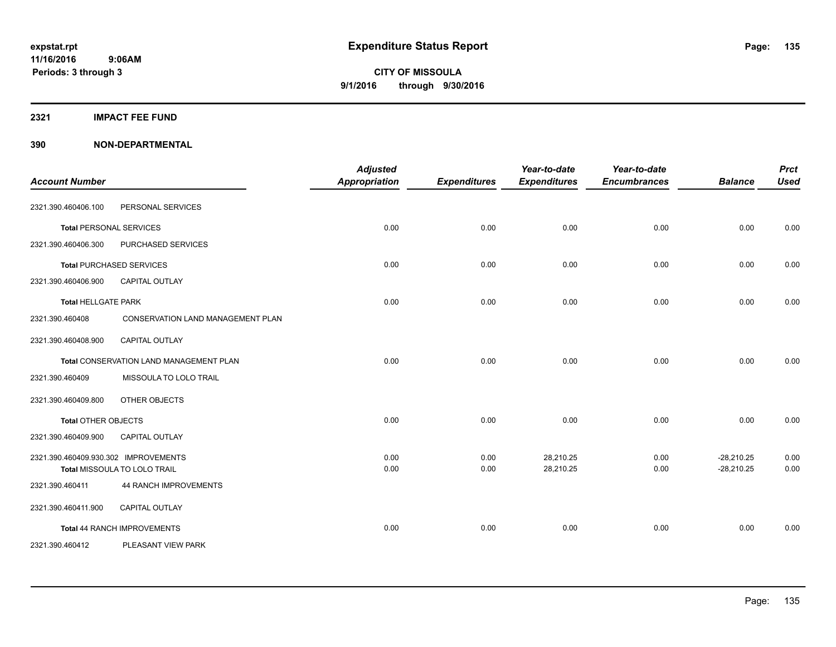**2321 IMPACT FEE FUND**

| <b>Account Number</b>                |                                         | <b>Adjusted</b><br>Appropriation | <b>Expenditures</b> | Year-to-date<br><b>Expenditures</b> | Year-to-date<br><b>Encumbrances</b> | <b>Balance</b>               | <b>Prct</b><br><b>Used</b> |
|--------------------------------------|-----------------------------------------|----------------------------------|---------------------|-------------------------------------|-------------------------------------|------------------------------|----------------------------|
| 2321.390.460406.100                  | PERSONAL SERVICES                       |                                  |                     |                                     |                                     |                              |                            |
| <b>Total PERSONAL SERVICES</b>       |                                         | 0.00                             | 0.00                | 0.00                                | 0.00                                | 0.00                         | 0.00                       |
| 2321.390.460406.300                  | PURCHASED SERVICES                      |                                  |                     |                                     |                                     |                              |                            |
|                                      | <b>Total PURCHASED SERVICES</b>         | 0.00                             | 0.00                | 0.00                                | 0.00                                | 0.00                         | 0.00                       |
| 2321.390.460406.900                  | <b>CAPITAL OUTLAY</b>                   |                                  |                     |                                     |                                     |                              |                            |
| <b>Total HELLGATE PARK</b>           |                                         | 0.00                             | 0.00                | 0.00                                | 0.00                                | 0.00                         | 0.00                       |
| 2321.390.460408                      | CONSERVATION LAND MANAGEMENT PLAN       |                                  |                     |                                     |                                     |                              |                            |
| 2321.390.460408.900                  | <b>CAPITAL OUTLAY</b>                   |                                  |                     |                                     |                                     |                              |                            |
|                                      | Total CONSERVATION LAND MANAGEMENT PLAN | 0.00                             | 0.00                | 0.00                                | 0.00                                | 0.00                         | 0.00                       |
| 2321.390.460409                      | MISSOULA TO LOLO TRAIL                  |                                  |                     |                                     |                                     |                              |                            |
| 2321.390.460409.800                  | OTHER OBJECTS                           |                                  |                     |                                     |                                     |                              |                            |
| <b>Total OTHER OBJECTS</b>           |                                         | 0.00                             | 0.00                | 0.00                                | 0.00                                | 0.00                         | 0.00                       |
| 2321.390.460409.900                  | <b>CAPITAL OUTLAY</b>                   |                                  |                     |                                     |                                     |                              |                            |
| 2321.390.460409.930.302 IMPROVEMENTS | Total MISSOULA TO LOLO TRAIL            | 0.00<br>0.00                     | 0.00<br>0.00        | 28,210.25<br>28,210.25              | 0.00<br>0.00                        | $-28,210.25$<br>$-28,210.25$ | 0.00<br>0.00               |
| 2321.390.460411                      | 44 RANCH IMPROVEMENTS                   |                                  |                     |                                     |                                     |                              |                            |
| 2321.390.460411.900                  | <b>CAPITAL OUTLAY</b>                   |                                  |                     |                                     |                                     |                              |                            |
|                                      | Total 44 RANCH IMPROVEMENTS             | 0.00                             | 0.00                | 0.00                                | 0.00                                | 0.00                         | 0.00                       |
| 2321.390.460412                      | PLEASANT VIEW PARK                      |                                  |                     |                                     |                                     |                              |                            |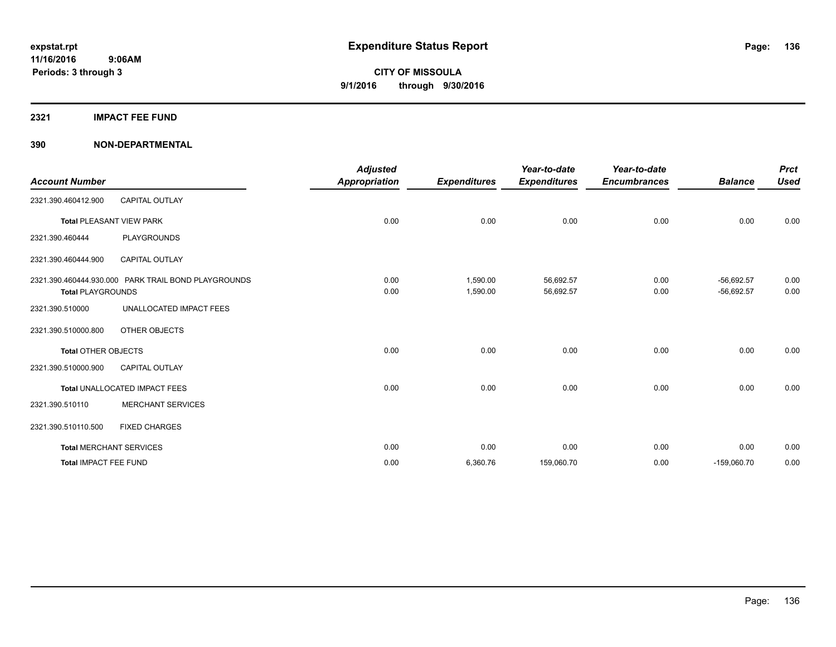#### **2321 IMPACT FEE FUND**

| <b>Account Number</b>      |                                                     | <b>Adjusted</b><br><b>Appropriation</b> | <b>Expenditures</b>  | Year-to-date<br><b>Expenditures</b> | Year-to-date<br><b>Encumbrances</b> | <b>Balance</b>               | <b>Prct</b><br><b>Used</b> |
|----------------------------|-----------------------------------------------------|-----------------------------------------|----------------------|-------------------------------------|-------------------------------------|------------------------------|----------------------------|
| 2321.390.460412.900        | <b>CAPITAL OUTLAY</b>                               |                                         |                      |                                     |                                     |                              |                            |
|                            | <b>Total PLEASANT VIEW PARK</b>                     | 0.00                                    | 0.00                 | 0.00                                | 0.00                                | 0.00                         | 0.00                       |
| 2321.390.460444            | PLAYGROUNDS                                         |                                         |                      |                                     |                                     |                              |                            |
| 2321.390.460444.900        | <b>CAPITAL OUTLAY</b>                               |                                         |                      |                                     |                                     |                              |                            |
| <b>Total PLAYGROUNDS</b>   | 2321.390.460444.930.000 PARK TRAIL BOND PLAYGROUNDS | 0.00<br>0.00                            | 1.590.00<br>1,590.00 | 56,692.57<br>56,692.57              | 0.00<br>0.00                        | $-56.692.57$<br>$-56,692.57$ | 0.00<br>0.00               |
| 2321.390.510000            | UNALLOCATED IMPACT FEES                             |                                         |                      |                                     |                                     |                              |                            |
| 2321.390.510000.800        | OTHER OBJECTS                                       |                                         |                      |                                     |                                     |                              |                            |
| <b>Total OTHER OBJECTS</b> |                                                     | 0.00                                    | 0.00                 | 0.00                                | 0.00                                | 0.00                         | 0.00                       |
| 2321.390.510000.900        | <b>CAPITAL OUTLAY</b>                               |                                         |                      |                                     |                                     |                              |                            |
|                            | Total UNALLOCATED IMPACT FEES                       | 0.00                                    | 0.00                 | 0.00                                | 0.00                                | 0.00                         | 0.00                       |
| 2321.390.510110            | <b>MERCHANT SERVICES</b>                            |                                         |                      |                                     |                                     |                              |                            |
| 2321.390.510110.500        | <b>FIXED CHARGES</b>                                |                                         |                      |                                     |                                     |                              |                            |
|                            | <b>Total MERCHANT SERVICES</b>                      | 0.00                                    | 0.00                 | 0.00                                | 0.00                                | 0.00                         | 0.00                       |
| Total IMPACT FEE FUND      |                                                     | 0.00                                    | 6,360.76             | 159,060.70                          | 0.00                                | $-159,060.70$                | 0.00                       |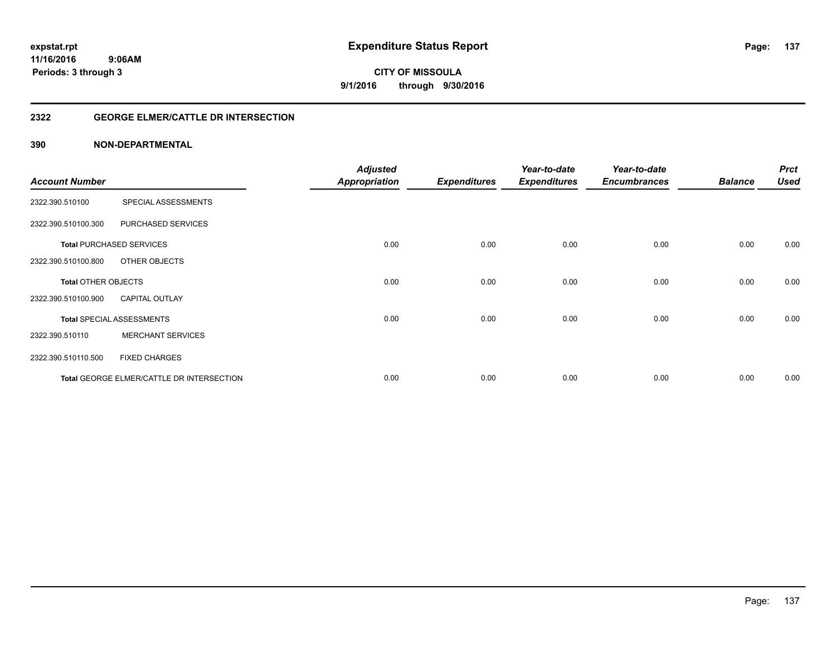#### **2322 GEORGE ELMER/CATTLE DR INTERSECTION**

|                            |                                           | <b>Adjusted</b>      |                     | Year-to-date        | Year-to-date        |                | <b>Prct</b> |
|----------------------------|-------------------------------------------|----------------------|---------------------|---------------------|---------------------|----------------|-------------|
| <b>Account Number</b>      |                                           | <b>Appropriation</b> | <b>Expenditures</b> | <b>Expenditures</b> | <b>Encumbrances</b> | <b>Balance</b> | <b>Used</b> |
| 2322.390.510100            | SPECIAL ASSESSMENTS                       |                      |                     |                     |                     |                |             |
| 2322.390.510100.300        | PURCHASED SERVICES                        |                      |                     |                     |                     |                |             |
|                            | <b>Total PURCHASED SERVICES</b>           | 0.00                 | 0.00                | 0.00                | 0.00                | 0.00           | 0.00        |
| 2322.390.510100.800        | OTHER OBJECTS                             |                      |                     |                     |                     |                |             |
| <b>Total OTHER OBJECTS</b> |                                           | 0.00                 | 0.00                | 0.00                | 0.00                | 0.00           | 0.00        |
| 2322.390.510100.900        | <b>CAPITAL OUTLAY</b>                     |                      |                     |                     |                     |                |             |
|                            | <b>Total SPECIAL ASSESSMENTS</b>          | 0.00                 | 0.00                | 0.00                | 0.00                | 0.00           | 0.00        |
| 2322.390.510110            | <b>MERCHANT SERVICES</b>                  |                      |                     |                     |                     |                |             |
| 2322.390.510110.500        | <b>FIXED CHARGES</b>                      |                      |                     |                     |                     |                |             |
|                            | Total GEORGE ELMER/CATTLE DR INTERSECTION | 0.00                 | 0.00                | 0.00                | 0.00                | 0.00           | 0.00        |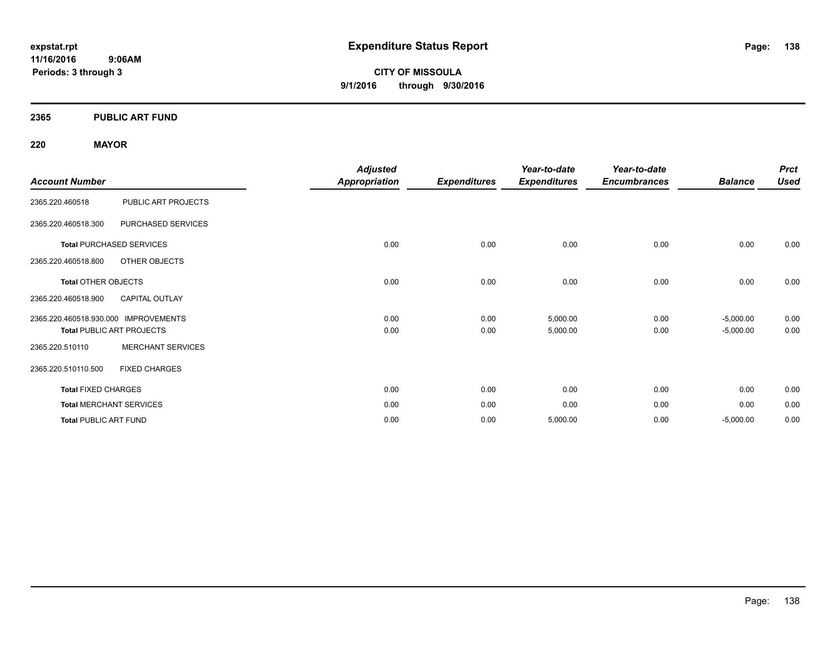**11/16/2016 9:06AM Periods: 3 through 3**

**CITY OF MISSOULA 9/1/2016 through 9/30/2016**

#### **2365 PUBLIC ART FUND**

#### **220 MAYOR**

|                                      |                                  | <b>Adjusted</b> |                     | Year-to-date        | Year-to-date        |                | <b>Prct</b> |
|--------------------------------------|----------------------------------|-----------------|---------------------|---------------------|---------------------|----------------|-------------|
| <b>Account Number</b>                |                                  | Appropriation   | <b>Expenditures</b> | <b>Expenditures</b> | <b>Encumbrances</b> | <b>Balance</b> | <b>Used</b> |
| 2365.220.460518                      | PUBLIC ART PROJECTS              |                 |                     |                     |                     |                |             |
| 2365.220.460518.300                  | PURCHASED SERVICES               |                 |                     |                     |                     |                |             |
|                                      | <b>Total PURCHASED SERVICES</b>  | 0.00            | 0.00                | 0.00                | 0.00                | 0.00           | 0.00        |
| 2365.220.460518.800                  | OTHER OBJECTS                    |                 |                     |                     |                     |                |             |
| <b>Total OTHER OBJECTS</b>           |                                  | 0.00            | 0.00                | 0.00                | 0.00                | 0.00           | 0.00        |
| 2365.220.460518.900                  | <b>CAPITAL OUTLAY</b>            |                 |                     |                     |                     |                |             |
| 2365.220.460518.930.000 IMPROVEMENTS |                                  | 0.00            | 0.00                | 5,000.00            | 0.00                | $-5,000.00$    | 0.00        |
|                                      | <b>Total PUBLIC ART PROJECTS</b> | 0.00            | 0.00                | 5,000.00            | 0.00                | $-5,000.00$    | 0.00        |
| 2365.220.510110                      | <b>MERCHANT SERVICES</b>         |                 |                     |                     |                     |                |             |
| 2365.220.510110.500                  | <b>FIXED CHARGES</b>             |                 |                     |                     |                     |                |             |
| <b>Total FIXED CHARGES</b>           |                                  | 0.00            | 0.00                | 0.00                | 0.00                | 0.00           | 0.00        |
|                                      | <b>Total MERCHANT SERVICES</b>   | 0.00            | 0.00                | 0.00                | 0.00                | 0.00           | 0.00        |
| <b>Total PUBLIC ART FUND</b>         |                                  | 0.00            | 0.00                | 5,000.00            | 0.00                | $-5,000.00$    | 0.00        |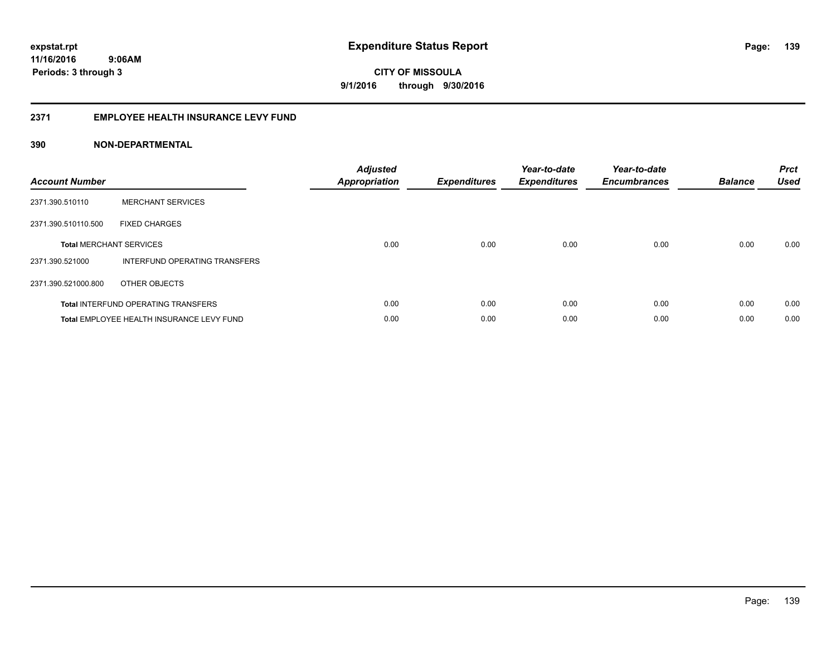#### **2371 EMPLOYEE HEALTH INSURANCE LEVY FUND**

| <b>Account Number</b>          |                                            | <b>Adjusted</b><br>Appropriation | <b>Expenditures</b> | Year-to-date<br><b>Expenditures</b> | Year-to-date<br><b>Encumbrances</b> | <b>Balance</b> | <b>Prct</b><br><b>Used</b> |
|--------------------------------|--------------------------------------------|----------------------------------|---------------------|-------------------------------------|-------------------------------------|----------------|----------------------------|
| 2371.390.510110                | <b>MERCHANT SERVICES</b>                   |                                  |                     |                                     |                                     |                |                            |
| 2371.390.510110.500            | <b>FIXED CHARGES</b>                       |                                  |                     |                                     |                                     |                |                            |
| <b>Total MERCHANT SERVICES</b> |                                            | 0.00                             | 0.00                | 0.00                                | 0.00                                | 0.00           | 0.00                       |
| 2371.390.521000                | INTERFUND OPERATING TRANSFERS              |                                  |                     |                                     |                                     |                |                            |
| 2371.390.521000.800            | OTHER OBJECTS                              |                                  |                     |                                     |                                     |                |                            |
|                                | <b>Total INTERFUND OPERATING TRANSFERS</b> | 0.00                             | 0.00                | 0.00                                | 0.00                                | 0.00           | 0.00                       |
|                                | Total EMPLOYEE HEALTH INSURANCE LEVY FUND  | 0.00                             | 0.00                | 0.00                                | 0.00                                | 0.00           | 0.00                       |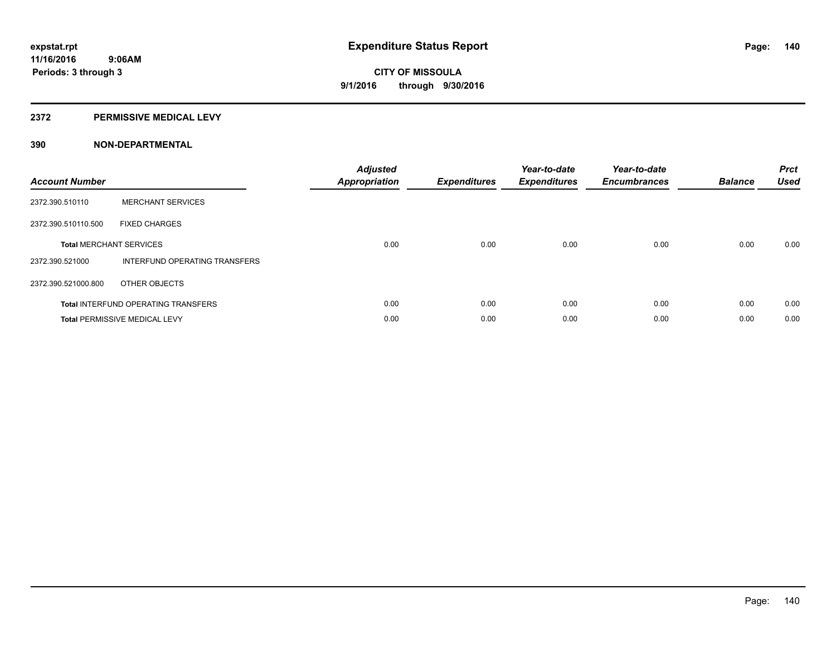#### **2372 PERMISSIVE MEDICAL LEVY**

| <b>Account Number</b>          |                                            | <b>Adjusted</b><br><b>Appropriation</b> | <b>Expenditures</b> | Year-to-date<br><b>Expenditures</b> | Year-to-date<br><b>Encumbrances</b> | <b>Balance</b> | <b>Prct</b><br><b>Used</b> |
|--------------------------------|--------------------------------------------|-----------------------------------------|---------------------|-------------------------------------|-------------------------------------|----------------|----------------------------|
| 2372.390.510110                | <b>MERCHANT SERVICES</b>                   |                                         |                     |                                     |                                     |                |                            |
| 2372.390.510110.500            | <b>FIXED CHARGES</b>                       |                                         |                     |                                     |                                     |                |                            |
| <b>Total MERCHANT SERVICES</b> |                                            | 0.00                                    | 0.00                | 0.00                                | 0.00                                | 0.00           | 0.00                       |
| 2372.390.521000                | INTERFUND OPERATING TRANSFERS              |                                         |                     |                                     |                                     |                |                            |
| 2372.390.521000.800            | OTHER OBJECTS                              |                                         |                     |                                     |                                     |                |                            |
|                                | <b>Total INTERFUND OPERATING TRANSFERS</b> | 0.00                                    | 0.00                | 0.00                                | 0.00                                | 0.00           | 0.00                       |
|                                | <b>Total PERMISSIVE MEDICAL LEVY</b>       | 0.00                                    | 0.00                | 0.00                                | 0.00                                | 0.00           | 0.00                       |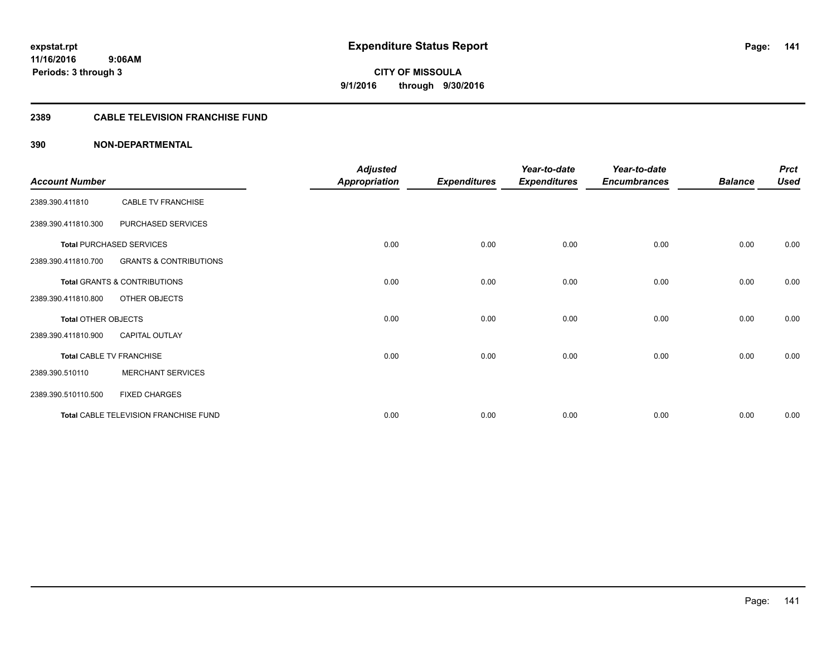#### **2389 CABLE TELEVISION FRANCHISE FUND**

|                            |                                       | <b>Adjusted</b>      |                     | Year-to-date        | Year-to-date        |                | <b>Prct</b> |
|----------------------------|---------------------------------------|----------------------|---------------------|---------------------|---------------------|----------------|-------------|
| <b>Account Number</b>      |                                       | <b>Appropriation</b> | <b>Expenditures</b> | <b>Expenditures</b> | <b>Encumbrances</b> | <b>Balance</b> | <b>Used</b> |
| 2389.390.411810            | <b>CABLE TV FRANCHISE</b>             |                      |                     |                     |                     |                |             |
| 2389.390.411810.300        | PURCHASED SERVICES                    |                      |                     |                     |                     |                |             |
|                            | <b>Total PURCHASED SERVICES</b>       | 0.00                 | 0.00                | 0.00                | 0.00                | 0.00           | 0.00        |
| 2389.390.411810.700        | <b>GRANTS &amp; CONTRIBUTIONS</b>     |                      |                     |                     |                     |                |             |
|                            | Total GRANTS & CONTRIBUTIONS          | 0.00                 | 0.00                | 0.00                | 0.00                | 0.00           | 0.00        |
| 2389.390.411810.800        | OTHER OBJECTS                         |                      |                     |                     |                     |                |             |
| <b>Total OTHER OBJECTS</b> |                                       | 0.00                 | 0.00                | 0.00                | 0.00                | 0.00           | 0.00        |
| 2389.390.411810.900        | <b>CAPITAL OUTLAY</b>                 |                      |                     |                     |                     |                |             |
|                            | <b>Total CABLE TV FRANCHISE</b>       | 0.00                 | 0.00                | 0.00                | 0.00                | 0.00           | 0.00        |
| 2389.390.510110            | <b>MERCHANT SERVICES</b>              |                      |                     |                     |                     |                |             |
| 2389.390.510110.500        | <b>FIXED CHARGES</b>                  |                      |                     |                     |                     |                |             |
|                            | Total CABLE TELEVISION FRANCHISE FUND | 0.00                 | 0.00                | 0.00                | 0.00                | 0.00           | 0.00        |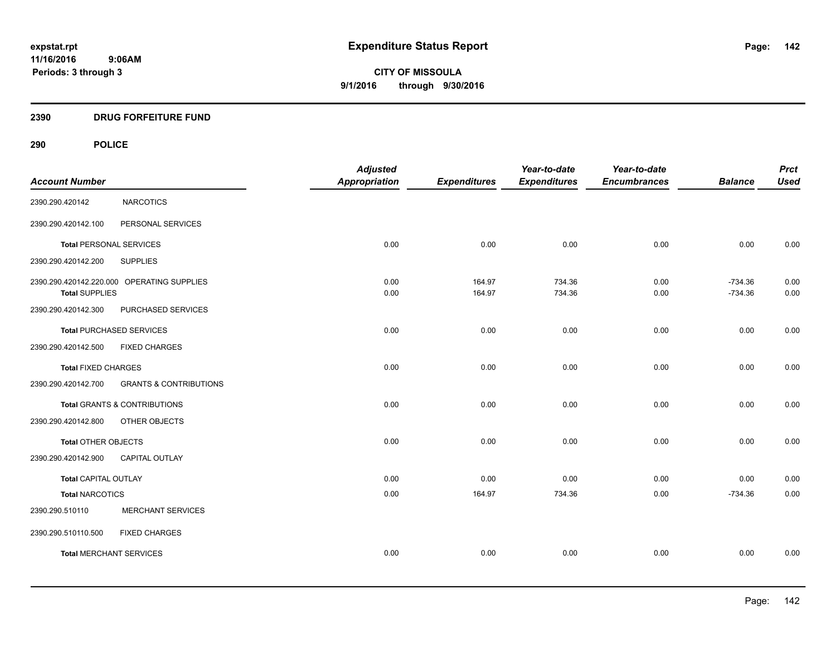#### **2390 DRUG FORFEITURE FUND**

# **290 POLICE**

| <b>Account Number</b>          |                                            | <b>Adjusted</b><br><b>Appropriation</b> | <b>Expenditures</b> | Year-to-date<br><b>Expenditures</b> | Year-to-date<br><b>Encumbrances</b> | <b>Balance</b>         | <b>Prct</b><br><b>Used</b> |
|--------------------------------|--------------------------------------------|-----------------------------------------|---------------------|-------------------------------------|-------------------------------------|------------------------|----------------------------|
| 2390.290.420142                | <b>NARCOTICS</b>                           |                                         |                     |                                     |                                     |                        |                            |
| 2390.290.420142.100            | PERSONAL SERVICES                          |                                         |                     |                                     |                                     |                        |                            |
| <b>Total PERSONAL SERVICES</b> |                                            | 0.00                                    | 0.00                | 0.00                                | 0.00                                | 0.00                   | 0.00                       |
| 2390.290.420142.200            | <b>SUPPLIES</b>                            |                                         |                     |                                     |                                     |                        |                            |
| <b>Total SUPPLIES</b>          | 2390.290.420142.220.000 OPERATING SUPPLIES | 0.00<br>0.00                            | 164.97<br>164.97    | 734.36<br>734.36                    | 0.00<br>0.00                        | $-734.36$<br>$-734.36$ | 0.00<br>0.00               |
| 2390.290.420142.300            | PURCHASED SERVICES                         |                                         |                     |                                     |                                     |                        |                            |
|                                | <b>Total PURCHASED SERVICES</b>            | 0.00                                    | 0.00                | 0.00                                | 0.00                                | 0.00                   | 0.00                       |
| 2390.290.420142.500            | <b>FIXED CHARGES</b>                       |                                         |                     |                                     |                                     |                        |                            |
| <b>Total FIXED CHARGES</b>     |                                            | 0.00                                    | 0.00                | 0.00                                | 0.00                                | 0.00                   | 0.00                       |
| 2390.290.420142.700            | <b>GRANTS &amp; CONTRIBUTIONS</b>          |                                         |                     |                                     |                                     |                        |                            |
|                                | Total GRANTS & CONTRIBUTIONS               | 0.00                                    | 0.00                | 0.00                                | 0.00                                | 0.00                   | 0.00                       |
| 2390.290.420142.800            | OTHER OBJECTS                              |                                         |                     |                                     |                                     |                        |                            |
| <b>Total OTHER OBJECTS</b>     |                                            | 0.00                                    | 0.00                | 0.00                                | 0.00                                | 0.00                   | 0.00                       |
| 2390.290.420142.900            | CAPITAL OUTLAY                             |                                         |                     |                                     |                                     |                        |                            |
| <b>Total CAPITAL OUTLAY</b>    |                                            | 0.00                                    | 0.00                | 0.00                                | 0.00                                | 0.00                   | 0.00                       |
| <b>Total NARCOTICS</b>         |                                            | 0.00                                    | 164.97              | 734.36                              | 0.00                                | $-734.36$              | 0.00                       |
| 2390.290.510110                | <b>MERCHANT SERVICES</b>                   |                                         |                     |                                     |                                     |                        |                            |
| 2390.290.510110.500            | <b>FIXED CHARGES</b>                       |                                         |                     |                                     |                                     |                        |                            |
| <b>Total MERCHANT SERVICES</b> |                                            | 0.00                                    | 0.00                | 0.00                                | 0.00                                | 0.00                   | 0.00                       |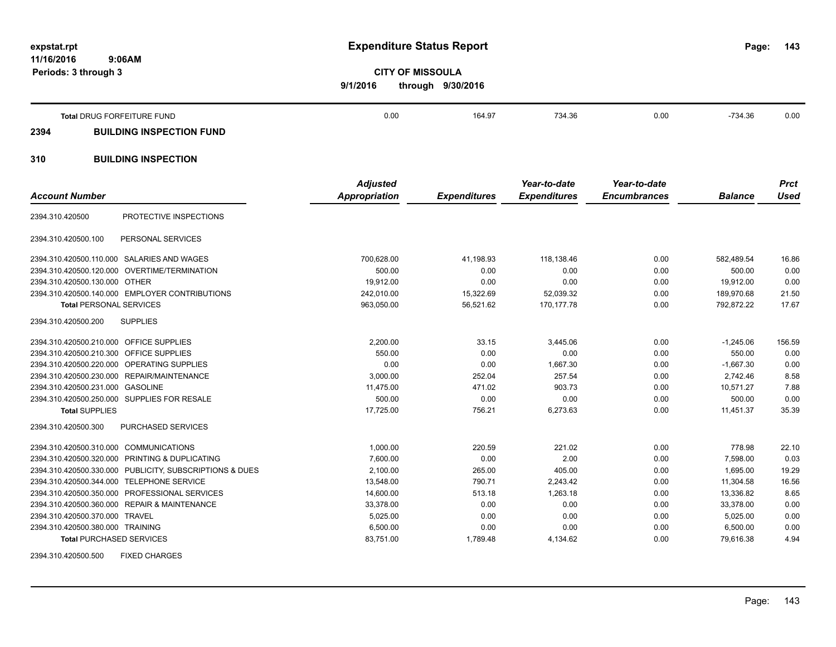**11/16/2016 9:06AM Periods: 3 through 3**

# **expstat.rpt Expenditure Status Report**

**143**

**CITY OF MISSOULA 9/1/2016 through 9/30/2016**

|      | Total DRUG FORFEITURE FUND      | 0.00 | 164.97 | 734.36 | 0.00 | $-734.36$ | 0.00 |
|------|---------------------------------|------|--------|--------|------|-----------|------|
| 2394 | <b>BUILDING INSPECTION FUND</b> |      |        |        |      |           |      |

# **310 BUILDING INSPECTION**

|                                            |                                                         | <b>Adjusted</b>      |                     | Year-to-date        | Year-to-date        |                | <b>Prct</b> |
|--------------------------------------------|---------------------------------------------------------|----------------------|---------------------|---------------------|---------------------|----------------|-------------|
| <b>Account Number</b>                      |                                                         | <b>Appropriation</b> | <b>Expenditures</b> | <b>Expenditures</b> | <b>Encumbrances</b> | <b>Balance</b> | <b>Used</b> |
| 2394.310.420500                            | PROTECTIVE INSPECTIONS                                  |                      |                     |                     |                     |                |             |
| 2394.310.420500.100                        | PERSONAL SERVICES                                       |                      |                     |                     |                     |                |             |
|                                            | 2394.310.420500.110.000 SALARIES AND WAGES              | 700,628.00           | 41,198.93           | 118.138.46          | 0.00                | 582,489.54     | 16.86       |
|                                            | 2394.310.420500.120.000 OVERTIME/TERMINATION            | 500.00               | 0.00                | 0.00                | 0.00                | 500.00         | 0.00        |
| 2394.310.420500.130.000 OTHER              |                                                         | 19,912.00            | 0.00                | 0.00                | 0.00                | 19,912.00      | 0.00        |
|                                            | 2394.310.420500.140.000 EMPLOYER CONTRIBUTIONS          | 242,010.00           | 15,322.69           | 52,039.32           | 0.00                | 189,970.68     | 21.50       |
| <b>Total PERSONAL SERVICES</b>             |                                                         | 963,050.00           | 56,521.62           | 170,177.78          | 0.00                | 792,872.22     | 17.67       |
| 2394.310.420500.200                        | <b>SUPPLIES</b>                                         |                      |                     |                     |                     |                |             |
| 2394.310.420500.210.000 OFFICE SUPPLIES    |                                                         | 2,200.00             | 33.15               | 3,445.06            | 0.00                | $-1,245.06$    | 156.59      |
| 2394.310.420500.210.300                    | <b>OFFICE SUPPLIES</b>                                  | 550.00               | 0.00                | 0.00                | 0.00                | 550.00         | 0.00        |
| 2394.310.420500.220.000 OPERATING SUPPLIES |                                                         | 0.00                 | 0.00                | 1.667.30            | 0.00                | $-1.667.30$    | 0.00        |
|                                            | 2394.310.420500.230.000 REPAIR/MAINTENANCE              | 3,000.00             | 252.04              | 257.54              | 0.00                | 2.742.46       | 8.58        |
| 2394.310.420500.231.000 GASOLINE           |                                                         | 11,475.00            | 471.02              | 903.73              | 0.00                | 10,571.27      | 7.88        |
|                                            | 2394.310.420500.250.000 SUPPLIES FOR RESALE             | 500.00               | 0.00                | 0.00                | 0.00                | 500.00         | 0.00        |
| <b>Total SUPPLIES</b>                      |                                                         | 17,725.00            | 756.21              | 6,273.63            | 0.00                | 11,451.37      | 35.39       |
| 2394.310.420500.300                        | PURCHASED SERVICES                                      |                      |                     |                     |                     |                |             |
| 2394.310.420500.310.000 COMMUNICATIONS     |                                                         | 1,000.00             | 220.59              | 221.02              | 0.00                | 778.98         | 22.10       |
|                                            | 2394.310.420500.320.000 PRINTING & DUPLICATING          | 7,600.00             | 0.00                | 2.00                | 0.00                | 7.598.00       | 0.03        |
|                                            | 2394.310.420500.330.000 PUBLICITY, SUBSCRIPTIONS & DUES | 2,100.00             | 265.00              | 405.00              | 0.00                | 1,695.00       | 19.29       |
| 2394.310.420500.344.000 TELEPHONE SERVICE  |                                                         | 13,548.00            | 790.71              | 2,243.42            | 0.00                | 11,304.58      | 16.56       |
|                                            | 2394.310.420500.350.000 PROFESSIONAL SERVICES           | 14,600.00            | 513.18              | 1,263.18            | 0.00                | 13,336.82      | 8.65        |
|                                            | 2394.310.420500.360.000 REPAIR & MAINTENANCE            | 33,378.00            | 0.00                | 0.00                | 0.00                | 33,378.00      | 0.00        |
| 2394.310.420500.370.000 TRAVEL             |                                                         | 5,025.00             | 0.00                | 0.00                | 0.00                | 5,025.00       | 0.00        |
| 2394.310.420500.380.000 TRAINING           |                                                         | 6,500.00             | 0.00                | 0.00                | 0.00                | 6,500.00       | 0.00        |
| <b>Total PURCHASED SERVICES</b>            |                                                         | 83,751.00            | 1,789.48            | 4,134.62            | 0.00                | 79,616.38      | 4.94        |

2394.310.420500.500 FIXED CHARGES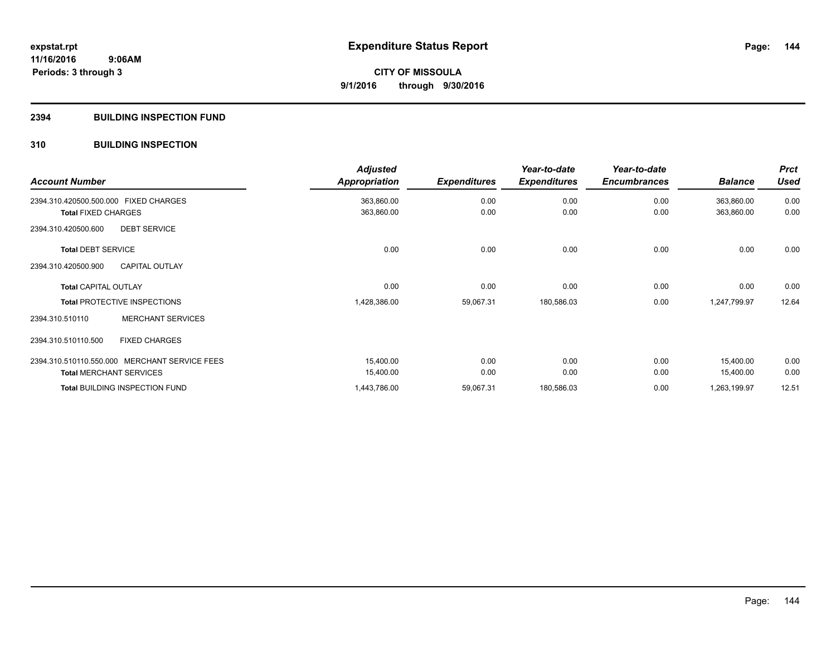#### **2394 BUILDING INSPECTION FUND**

#### **310 BUILDING INSPECTION**

| <b>Account Number</b>                         | <b>Adjusted</b><br><b>Appropriation</b> | <b>Expenditures</b> | Year-to-date<br><b>Expenditures</b> | Year-to-date<br><b>Encumbrances</b> | <b>Balance</b> | <b>Prct</b><br><b>Used</b> |
|-----------------------------------------------|-----------------------------------------|---------------------|-------------------------------------|-------------------------------------|----------------|----------------------------|
| 2394.310.420500.500.000 FIXED CHARGES         | 363,860.00                              | 0.00                | 0.00                                | 0.00                                | 363,860.00     | 0.00                       |
| <b>Total FIXED CHARGES</b>                    | 363,860.00                              | 0.00                | 0.00                                | 0.00                                | 363,860.00     | 0.00                       |
| 2394.310.420500.600<br><b>DEBT SERVICE</b>    |                                         |                     |                                     |                                     |                |                            |
| <b>Total DEBT SERVICE</b>                     | 0.00                                    | 0.00                | 0.00                                | 0.00                                | 0.00           | 0.00                       |
| <b>CAPITAL OUTLAY</b><br>2394.310.420500.900  |                                         |                     |                                     |                                     |                |                            |
| <b>Total CAPITAL OUTLAY</b>                   | 0.00                                    | 0.00                | 0.00                                | 0.00                                | 0.00           | 0.00                       |
| <b>Total PROTECTIVE INSPECTIONS</b>           | 1,428,386.00                            | 59,067.31           | 180,586.03                          | 0.00                                | 1,247,799.97   | 12.64                      |
| <b>MERCHANT SERVICES</b><br>2394.310.510110   |                                         |                     |                                     |                                     |                |                            |
| <b>FIXED CHARGES</b><br>2394.310.510110.500   |                                         |                     |                                     |                                     |                |                            |
| 2394.310.510110.550.000 MERCHANT SERVICE FEES | 15,400.00                               | 0.00                | 0.00                                | 0.00                                | 15,400.00      | 0.00                       |
| <b>Total MERCHANT SERVICES</b>                | 15,400.00                               | 0.00                | 0.00                                | 0.00                                | 15,400.00      | 0.00                       |
| <b>Total BUILDING INSPECTION FUND</b>         | 1,443,786.00                            | 59,067.31           | 180,586.03                          | 0.00                                | 1,263,199.97   | 12.51                      |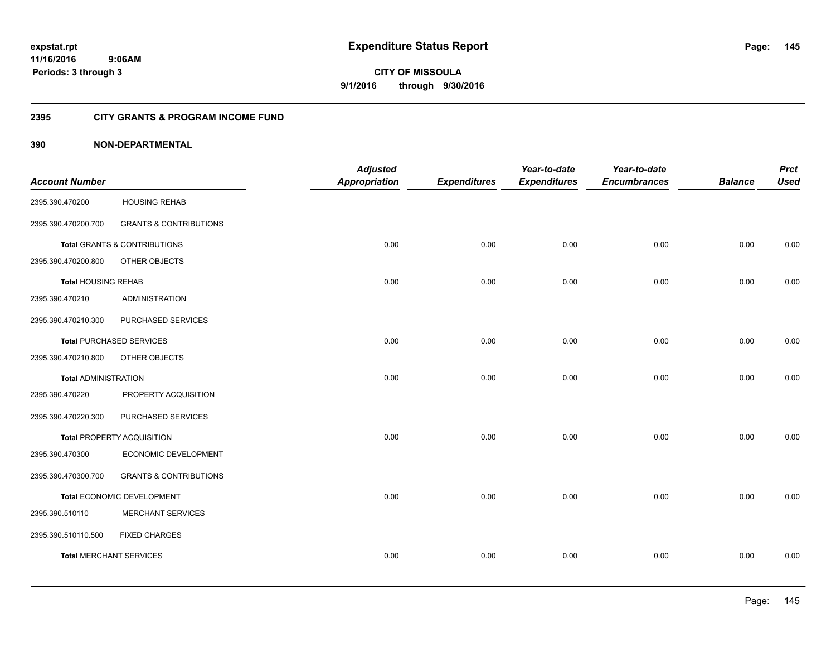#### **2395 CITY GRANTS & PROGRAM INCOME FUND**

### **390 NON-DEPARTMENTAL**

| <b>Account Number</b>          |                                         | <b>Adjusted</b><br><b>Appropriation</b> | <b>Expenditures</b> | Year-to-date<br><b>Expenditures</b> | Year-to-date<br><b>Encumbrances</b> | <b>Balance</b> | <b>Prct</b><br><b>Used</b> |
|--------------------------------|-----------------------------------------|-----------------------------------------|---------------------|-------------------------------------|-------------------------------------|----------------|----------------------------|
| 2395.390.470200                | <b>HOUSING REHAB</b>                    |                                         |                     |                                     |                                     |                |                            |
| 2395.390.470200.700            | <b>GRANTS &amp; CONTRIBUTIONS</b>       |                                         |                     |                                     |                                     |                |                            |
|                                | <b>Total GRANTS &amp; CONTRIBUTIONS</b> | 0.00                                    | 0.00                | 0.00                                | 0.00                                | 0.00           | 0.00                       |
| 2395.390.470200.800            | OTHER OBJECTS                           |                                         |                     |                                     |                                     |                |                            |
| <b>Total HOUSING REHAB</b>     |                                         | 0.00                                    | 0.00                | 0.00                                | 0.00                                | 0.00           | 0.00                       |
| 2395.390.470210                | <b>ADMINISTRATION</b>                   |                                         |                     |                                     |                                     |                |                            |
| 2395.390.470210.300            | PURCHASED SERVICES                      |                                         |                     |                                     |                                     |                |                            |
|                                | <b>Total PURCHASED SERVICES</b>         | 0.00                                    | 0.00                | 0.00                                | 0.00                                | 0.00           | 0.00                       |
| 2395.390.470210.800            | OTHER OBJECTS                           |                                         |                     |                                     |                                     |                |                            |
| <b>Total ADMINISTRATION</b>    |                                         | 0.00                                    | 0.00                | 0.00                                | 0.00                                | 0.00           | 0.00                       |
| 2395.390.470220                | PROPERTY ACQUISITION                    |                                         |                     |                                     |                                     |                |                            |
| 2395.390.470220.300            | PURCHASED SERVICES                      |                                         |                     |                                     |                                     |                |                            |
|                                | Total PROPERTY ACQUISITION              | 0.00                                    | 0.00                | 0.00                                | 0.00                                | 0.00           | 0.00                       |
| 2395.390.470300                | ECONOMIC DEVELOPMENT                    |                                         |                     |                                     |                                     |                |                            |
| 2395.390.470300.700            | <b>GRANTS &amp; CONTRIBUTIONS</b>       |                                         |                     |                                     |                                     |                |                            |
|                                | Total ECONOMIC DEVELOPMENT              | 0.00                                    | 0.00                | 0.00                                | 0.00                                | 0.00           | 0.00                       |
| 2395.390.510110                | <b>MERCHANT SERVICES</b>                |                                         |                     |                                     |                                     |                |                            |
| 2395.390.510110.500            | <b>FIXED CHARGES</b>                    |                                         |                     |                                     |                                     |                |                            |
| <b>Total MERCHANT SERVICES</b> |                                         | 0.00                                    | 0.00                | 0.00                                | 0.00                                | 0.00           | 0.00                       |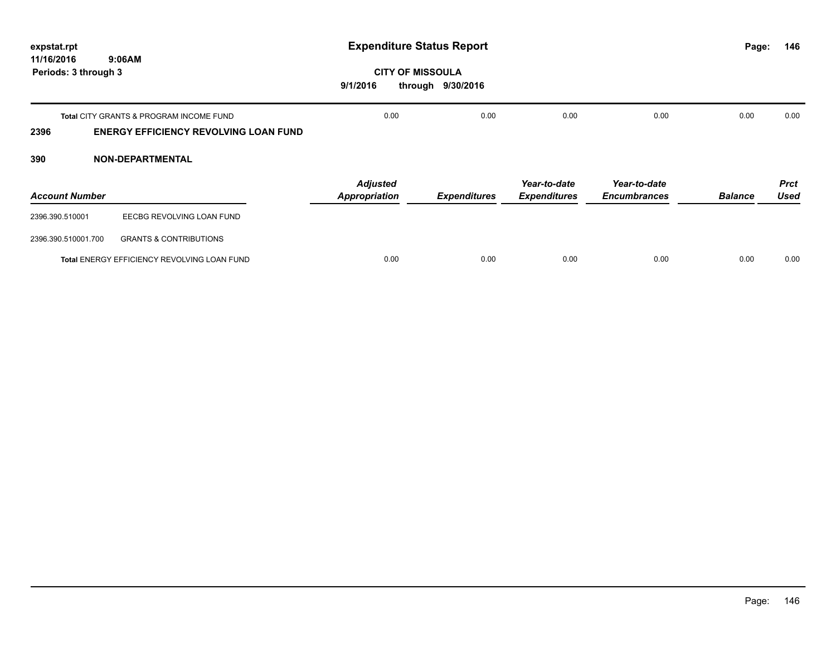| expstat.rpt                        |                                                                                         | <b>Expenditure Status Report</b>        | Page:               | 146                                 |                                     |                |                            |
|------------------------------------|-----------------------------------------------------------------------------------------|-----------------------------------------|---------------------|-------------------------------------|-------------------------------------|----------------|----------------------------|
| 11/16/2016<br>Periods: 3 through 3 | 9:06AM                                                                                  | <b>CITY OF MISSOULA</b><br>9/1/2016     | through 9/30/2016   |                                     |                                     |                |                            |
| 2396                               | Total CITY GRANTS & PROGRAM INCOME FUND<br><b>ENERGY EFFICIENCY REVOLVING LOAN FUND</b> | 0.00                                    | 0.00                | 0.00                                | 0.00                                | 0.00           | 0.00                       |
| 390                                | <b>NON-DEPARTMENTAL</b>                                                                 |                                         |                     |                                     |                                     |                |                            |
| <b>Account Number</b>              |                                                                                         | <b>Adjusted</b><br><b>Appropriation</b> | <b>Expenditures</b> | Year-to-date<br><b>Expenditures</b> | Year-to-date<br><b>Encumbrances</b> | <b>Balance</b> | <b>Prct</b><br><b>Used</b> |
| 2396.390.510001                    | EECBG REVOLVING LOAN FUND                                                               |                                         |                     |                                     |                                     |                |                            |
| 2396.390.510001.700                | <b>GRANTS &amp; CONTRIBUTIONS</b>                                                       |                                         |                     |                                     |                                     |                |                            |
|                                    | Total ENERGY EFFICIENCY REVOLVING LOAN FUND                                             | 0.00                                    | 0.00                | 0.00                                | 0.00                                | 0.00           | 0.00                       |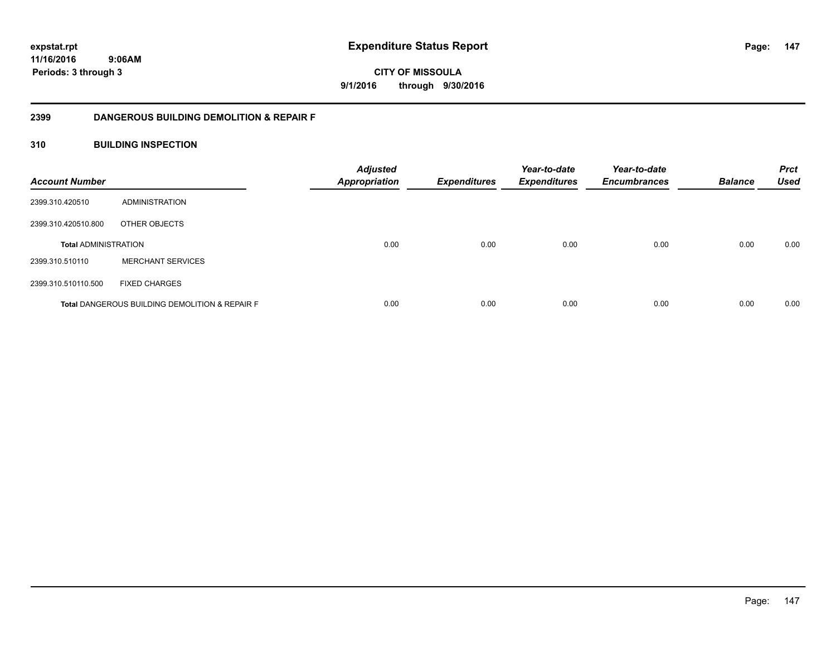**11/16/2016**

**147**

 **9:06AM Periods: 3 through 3**

**CITY OF MISSOULA 9/1/2016 through 9/30/2016**

### **2399 DANGEROUS BUILDING DEMOLITION & REPAIR F**

### **310 BUILDING INSPECTION**

| <b>Account Number</b>       |                                                           | <b>Adjusted</b><br><b>Appropriation</b> | <b>Expenditures</b> | Year-to-date<br><b>Expenditures</b> | Year-to-date<br><b>Encumbrances</b> | <b>Balance</b> | <b>Prct</b><br><b>Used</b> |
|-----------------------------|-----------------------------------------------------------|-----------------------------------------|---------------------|-------------------------------------|-------------------------------------|----------------|----------------------------|
| 2399.310.420510             | ADMINISTRATION                                            |                                         |                     |                                     |                                     |                |                            |
| 2399.310.420510.800         | OTHER OBJECTS                                             |                                         |                     |                                     |                                     |                |                            |
| <b>Total ADMINISTRATION</b> |                                                           | 0.00                                    | 0.00                | 0.00                                | 0.00                                | 0.00           | 0.00                       |
| 2399.310.510110             | <b>MERCHANT SERVICES</b>                                  |                                         |                     |                                     |                                     |                |                            |
| 2399.310.510110.500         | <b>FIXED CHARGES</b>                                      |                                         |                     |                                     |                                     |                |                            |
|                             | <b>Total DANGEROUS BUILDING DEMOLITION &amp; REPAIR F</b> | 0.00                                    | 0.00                | 0.00                                | 0.00                                | 0.00           | 0.00                       |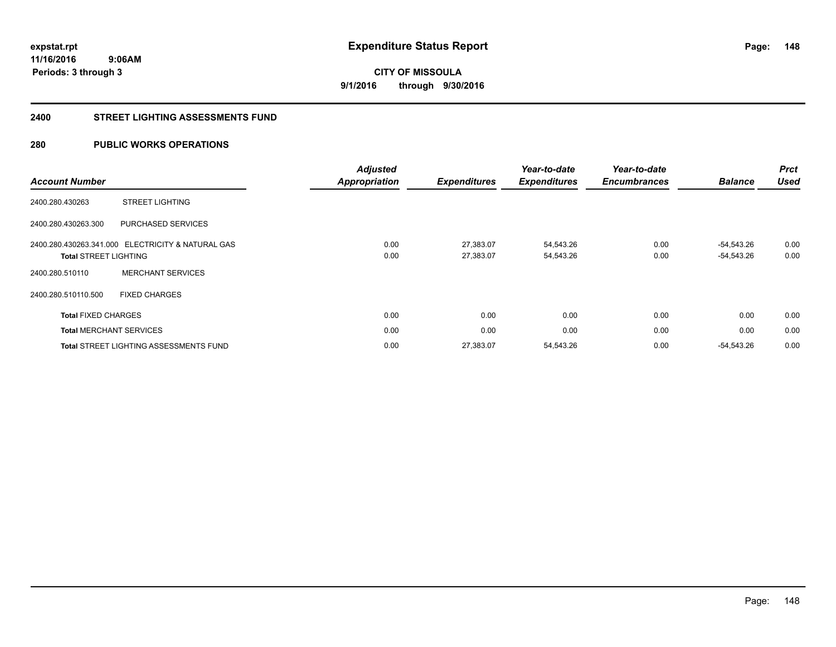**148**

**11/16/2016 9:06AM Periods: 3 through 3**

**CITY OF MISSOULA 9/1/2016 through 9/30/2016**

#### **2400 STREET LIGHTING ASSESSMENTS FUND**

### **280 PUBLIC WORKS OPERATIONS**

|                              |                                                   | <b>Adjusted</b>      |                     | Year-to-date        | Year-to-date        |                | <b>Prct</b><br><b>Used</b> |
|------------------------------|---------------------------------------------------|----------------------|---------------------|---------------------|---------------------|----------------|----------------------------|
| <b>Account Number</b>        |                                                   | <b>Appropriation</b> | <b>Expenditures</b> | <b>Expenditures</b> | <b>Encumbrances</b> | <b>Balance</b> |                            |
| 2400.280.430263              | <b>STREET LIGHTING</b>                            |                      |                     |                     |                     |                |                            |
| 2400.280.430263.300          | PURCHASED SERVICES                                |                      |                     |                     |                     |                |                            |
|                              | 2400.280.430263.341.000 ELECTRICITY & NATURAL GAS | 0.00                 | 27,383.07           | 54,543.26           | 0.00                | $-54.543.26$   | 0.00                       |
| <b>Total STREET LIGHTING</b> |                                                   | 0.00                 | 27,383.07           | 54,543.26           | 0.00                | $-54,543.26$   | 0.00                       |
| 2400.280.510110              | <b>MERCHANT SERVICES</b>                          |                      |                     |                     |                     |                |                            |
| 2400.280.510110.500          | <b>FIXED CHARGES</b>                              |                      |                     |                     |                     |                |                            |
| <b>Total FIXED CHARGES</b>   |                                                   | 0.00                 | 0.00                | 0.00                | 0.00                | 0.00           | 0.00                       |
|                              | <b>Total MERCHANT SERVICES</b>                    | 0.00                 | 0.00                | 0.00                | 0.00                | 0.00           | 0.00                       |
|                              | <b>Total STREET LIGHTING ASSESSMENTS FUND</b>     | 0.00                 | 27,383.07           | 54,543.26           | 0.00                | $-54,543.26$   | 0.00                       |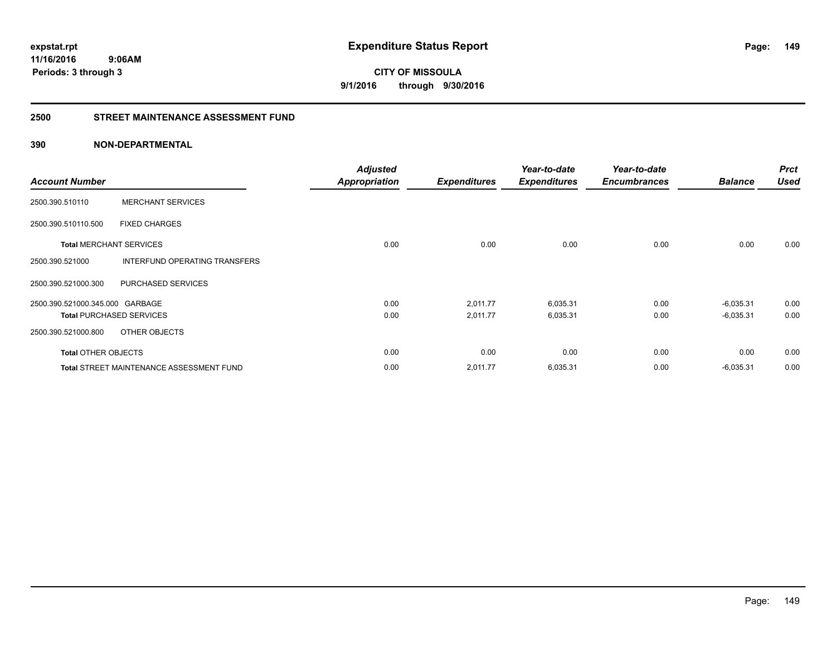**149**

**11/16/2016 9:06AM Periods: 3 through 3**

**CITY OF MISSOULA 9/1/2016 through 9/30/2016**

#### **2500 STREET MAINTENANCE ASSESSMENT FUND**

### **390 NON-DEPARTMENTAL**

|                                 |                                                 | <b>Adjusted</b>      |                     | Year-to-date        | Year-to-date        |                | <b>Prct</b> |
|---------------------------------|-------------------------------------------------|----------------------|---------------------|---------------------|---------------------|----------------|-------------|
| <b>Account Number</b>           |                                                 | <b>Appropriation</b> | <b>Expenditures</b> | <b>Expenditures</b> | <b>Encumbrances</b> | <b>Balance</b> | <b>Used</b> |
| 2500.390.510110                 | <b>MERCHANT SERVICES</b>                        |                      |                     |                     |                     |                |             |
| 2500.390.510110.500             | <b>FIXED CHARGES</b>                            |                      |                     |                     |                     |                |             |
| <b>Total MERCHANT SERVICES</b>  |                                                 | 0.00                 | 0.00                | 0.00                | 0.00                | 0.00           | 0.00        |
| 2500.390.521000                 | INTERFUND OPERATING TRANSFERS                   |                      |                     |                     |                     |                |             |
| 2500.390.521000.300             | PURCHASED SERVICES                              |                      |                     |                     |                     |                |             |
| 2500.390.521000.345.000 GARBAGE |                                                 | 0.00                 | 2,011.77            | 6,035.31            | 0.00                | $-6,035.31$    | 0.00        |
| <b>Total PURCHASED SERVICES</b> |                                                 | 0.00                 | 2,011.77            | 6,035.31            | 0.00                | $-6,035.31$    | 0.00        |
| 2500.390.521000.800             | OTHER OBJECTS                                   |                      |                     |                     |                     |                |             |
| <b>Total OTHER OBJECTS</b>      |                                                 | 0.00                 | 0.00                | 0.00                | 0.00                | 0.00           | 0.00        |
|                                 | <b>Total STREET MAINTENANCE ASSESSMENT FUND</b> | 0.00                 | 2,011.77            | 6,035.31            | 0.00                | $-6,035.31$    | 0.00        |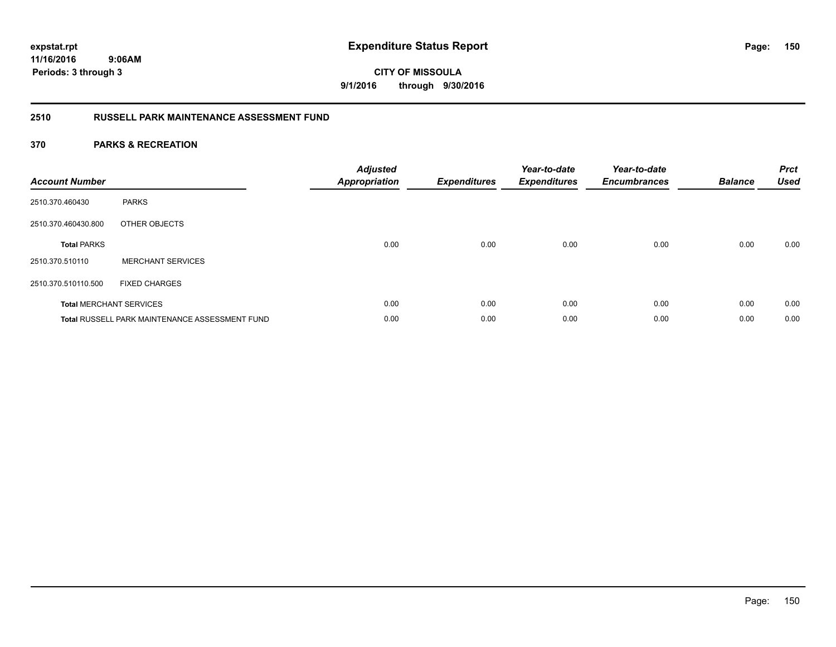**CITY OF MISSOULA 9/1/2016 through 9/30/2016**

### **2510 RUSSELL PARK MAINTENANCE ASSESSMENT FUND**

| <b>Account Number</b> |                                                       | <b>Adjusted</b><br><b>Appropriation</b> | <b>Expenditures</b> | Year-to-date<br><b>Expenditures</b> | Year-to-date<br><b>Encumbrances</b> | <b>Balance</b> | <b>Prct</b><br><b>Used</b> |
|-----------------------|-------------------------------------------------------|-----------------------------------------|---------------------|-------------------------------------|-------------------------------------|----------------|----------------------------|
| 2510.370.460430       | <b>PARKS</b>                                          |                                         |                     |                                     |                                     |                |                            |
| 2510.370.460430.800   | OTHER OBJECTS                                         |                                         |                     |                                     |                                     |                |                            |
| <b>Total PARKS</b>    |                                                       | 0.00                                    | 0.00                | 0.00                                | 0.00                                | 0.00           | 0.00                       |
| 2510.370.510110       | <b>MERCHANT SERVICES</b>                              |                                         |                     |                                     |                                     |                |                            |
| 2510.370.510110.500   | <b>FIXED CHARGES</b>                                  |                                         |                     |                                     |                                     |                |                            |
|                       | <b>Total MERCHANT SERVICES</b>                        | 0.00                                    | 0.00                | 0.00                                | 0.00                                | 0.00           | 0.00                       |
|                       | <b>Total RUSSELL PARK MAINTENANCE ASSESSMENT FUND</b> | 0.00                                    | 0.00                | 0.00                                | 0.00                                | 0.00           | 0.00                       |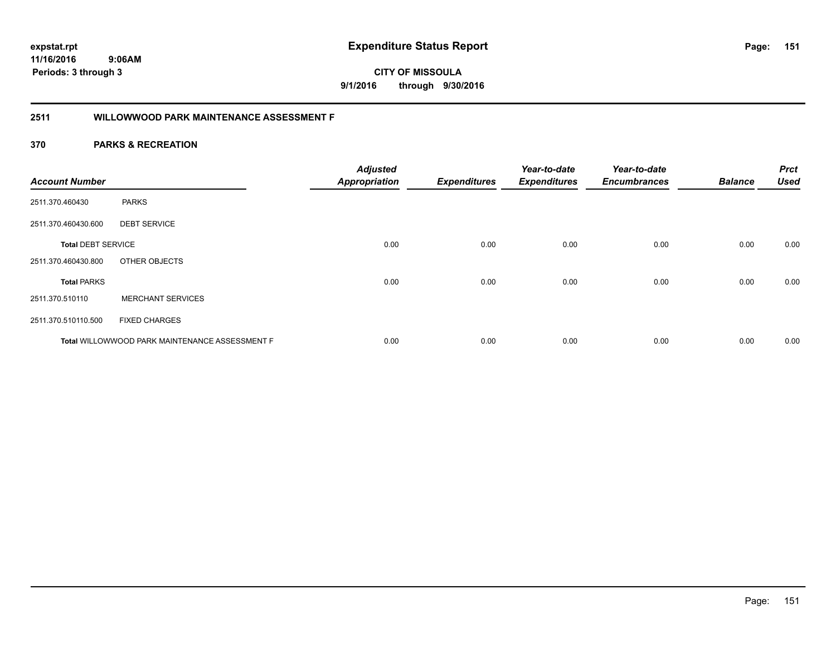**151**

**CITY OF MISSOULA 9/1/2016 through 9/30/2016**

# **2511 WILLOWWOOD PARK MAINTENANCE ASSESSMENT F**

| <b>Account Number</b>     |                                                       | <b>Adjusted</b><br><b>Appropriation</b> | <b>Expenditures</b> | Year-to-date<br><b>Expenditures</b> | Year-to-date<br><b>Encumbrances</b> | <b>Balance</b> | <b>Prct</b><br><b>Used</b> |
|---------------------------|-------------------------------------------------------|-----------------------------------------|---------------------|-------------------------------------|-------------------------------------|----------------|----------------------------|
| 2511.370.460430           | <b>PARKS</b>                                          |                                         |                     |                                     |                                     |                |                            |
| 2511.370.460430.600       | <b>DEBT SERVICE</b>                                   |                                         |                     |                                     |                                     |                |                            |
| <b>Total DEBT SERVICE</b> |                                                       | 0.00                                    | 0.00                | 0.00                                | 0.00                                | 0.00           | 0.00                       |
| 2511.370.460430.800       | OTHER OBJECTS                                         |                                         |                     |                                     |                                     |                |                            |
| <b>Total PARKS</b>        |                                                       | 0.00                                    | 0.00                | 0.00                                | 0.00                                | 0.00           | 0.00                       |
| 2511.370.510110           | <b>MERCHANT SERVICES</b>                              |                                         |                     |                                     |                                     |                |                            |
| 2511.370.510110.500       | <b>FIXED CHARGES</b>                                  |                                         |                     |                                     |                                     |                |                            |
|                           | <b>Total WILLOWWOOD PARK MAINTENANCE ASSESSMENT F</b> | 0.00                                    | 0.00                | 0.00                                | 0.00                                | 0.00           | 0.00                       |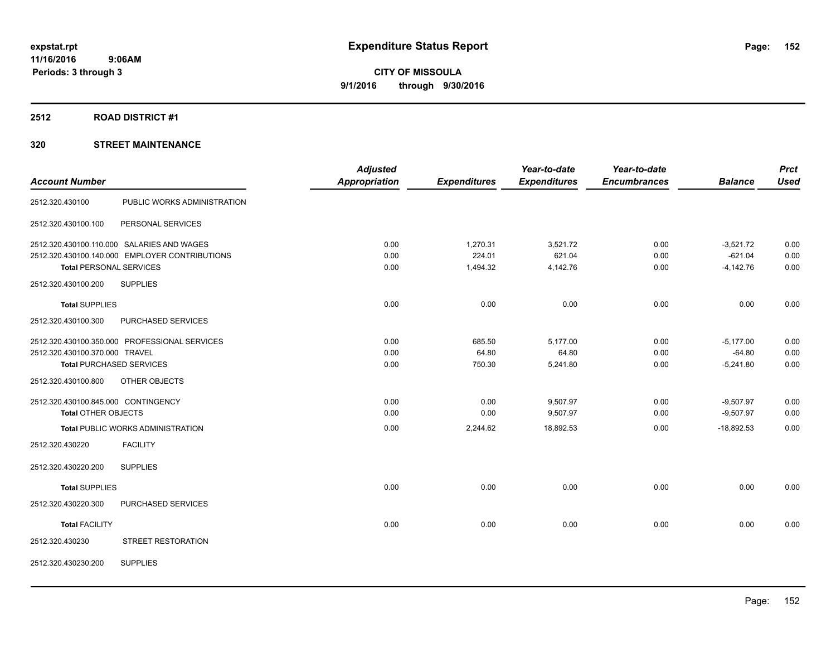### **2512 ROAD DISTRICT #1**

|                                     |                                                | <b>Adjusted</b> |                     | Year-to-date        | Year-to-date        |                | <b>Prct</b> |
|-------------------------------------|------------------------------------------------|-----------------|---------------------|---------------------|---------------------|----------------|-------------|
| <b>Account Number</b>               |                                                | Appropriation   | <b>Expenditures</b> | <b>Expenditures</b> | <b>Encumbrances</b> | <b>Balance</b> | <b>Used</b> |
| 2512.320.430100                     | PUBLIC WORKS ADMINISTRATION                    |                 |                     |                     |                     |                |             |
| 2512.320.430100.100                 | PERSONAL SERVICES                              |                 |                     |                     |                     |                |             |
|                                     | 2512.320.430100.110.000 SALARIES AND WAGES     | 0.00            | 1,270.31            | 3,521.72            | 0.00                | $-3,521.72$    | 0.00        |
|                                     | 2512.320.430100.140.000 EMPLOYER CONTRIBUTIONS | 0.00            | 224.01              | 621.04              | 0.00                | $-621.04$      | 0.00        |
| <b>Total PERSONAL SERVICES</b>      |                                                | 0.00            | 1,494.32            | 4,142.76            | 0.00                | $-4,142.76$    | 0.00        |
| 2512.320.430100.200                 | <b>SUPPLIES</b>                                |                 |                     |                     |                     |                |             |
| <b>Total SUPPLIES</b>               |                                                | 0.00            | 0.00                | 0.00                | 0.00                | 0.00           | 0.00        |
| 2512.320.430100.300                 | PURCHASED SERVICES                             |                 |                     |                     |                     |                |             |
|                                     | 2512.320.430100.350.000 PROFESSIONAL SERVICES  | 0.00            | 685.50              | 5,177.00            | 0.00                | $-5,177.00$    | 0.00        |
| 2512.320.430100.370.000 TRAVEL      |                                                | 0.00            | 64.80               | 64.80               | 0.00                | $-64.80$       | 0.00        |
| <b>Total PURCHASED SERVICES</b>     |                                                | 0.00            | 750.30              | 5,241.80            | 0.00                | $-5,241.80$    | 0.00        |
| 2512.320.430100.800                 | OTHER OBJECTS                                  |                 |                     |                     |                     |                |             |
| 2512.320.430100.845.000 CONTINGENCY |                                                | 0.00            | 0.00                | 9,507.97            | 0.00                | $-9,507.97$    | 0.00        |
| <b>Total OTHER OBJECTS</b>          |                                                | 0.00            | 0.00                | 9,507.97            | 0.00                | $-9,507.97$    | 0.00        |
|                                     | <b>Total PUBLIC WORKS ADMINISTRATION</b>       | 0.00            | 2,244.62            | 18.892.53           | 0.00                | $-18.892.53$   | 0.00        |
| 2512.320.430220                     | <b>FACILITY</b>                                |                 |                     |                     |                     |                |             |
| 2512.320.430220.200                 | <b>SUPPLIES</b>                                |                 |                     |                     |                     |                |             |
| <b>Total SUPPLIES</b>               |                                                | 0.00            | 0.00                | 0.00                | 0.00                | 0.00           | 0.00        |
| 2512.320.430220.300                 | PURCHASED SERVICES                             |                 |                     |                     |                     |                |             |
| <b>Total FACILITY</b>               |                                                | 0.00            | 0.00                | 0.00                | 0.00                | 0.00           | 0.00        |
| 2512.320.430230                     | STREET RESTORATION                             |                 |                     |                     |                     |                |             |
| 2512.320.430230.200                 | <b>SUPPLIES</b>                                |                 |                     |                     |                     |                |             |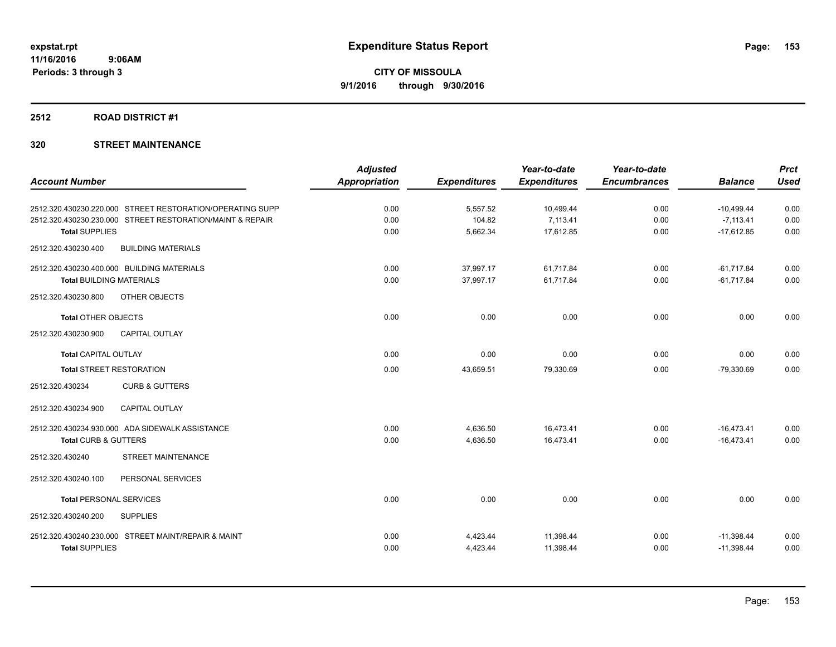#### **2512 ROAD DISTRICT #1**

|                                                           | <b>Adjusted</b>      |                     | Year-to-date        | Year-to-date        |                | <b>Prct</b> |
|-----------------------------------------------------------|----------------------|---------------------|---------------------|---------------------|----------------|-------------|
| <b>Account Number</b>                                     | <b>Appropriation</b> | <b>Expenditures</b> | <b>Expenditures</b> | <b>Encumbrances</b> | <b>Balance</b> | <b>Used</b> |
| 2512.320.430230.220.000 STREET RESTORATION/OPERATING SUPP | 0.00                 | 5,557.52            | 10,499.44           | 0.00                | $-10,499.44$   | 0.00        |
| 2512.320.430230.230.000 STREET RESTORATION/MAINT & REPAIR | 0.00                 | 104.82              | 7,113.41            | 0.00                | $-7,113.41$    | 0.00        |
| <b>Total SUPPLIES</b>                                     | 0.00                 | 5,662.34            | 17,612.85           | 0.00                | $-17,612.85$   | 0.00        |
| 2512.320.430230.400<br><b>BUILDING MATERIALS</b>          |                      |                     |                     |                     |                |             |
| 2512.320.430230.400.000 BUILDING MATERIALS                | 0.00                 | 37,997.17           | 61,717.84           | 0.00                | $-61,717.84$   | 0.00        |
| <b>Total BUILDING MATERIALS</b>                           | 0.00                 | 37,997.17           | 61,717.84           | 0.00                | $-61,717.84$   | 0.00        |
| OTHER OBJECTS<br>2512.320.430230.800                      |                      |                     |                     |                     |                |             |
| <b>Total OTHER OBJECTS</b>                                | 0.00                 | 0.00                | 0.00                | 0.00                | 0.00           | 0.00        |
| 2512.320.430230.900<br><b>CAPITAL OUTLAY</b>              |                      |                     |                     |                     |                |             |
| <b>Total CAPITAL OUTLAY</b>                               | 0.00                 | 0.00                | 0.00                | 0.00                | 0.00           | 0.00        |
| <b>Total STREET RESTORATION</b>                           | 0.00                 | 43,659.51           | 79,330.69           | 0.00                | $-79,330.69$   | 0.00        |
| 2512.320.430234<br><b>CURB &amp; GUTTERS</b>              |                      |                     |                     |                     |                |             |
| 2512.320.430234.900<br><b>CAPITAL OUTLAY</b>              |                      |                     |                     |                     |                |             |
| 2512.320.430234.930.000 ADA SIDEWALK ASSISTANCE           | 0.00                 | 4,636.50            | 16,473.41           | 0.00                | $-16,473.41$   | 0.00        |
| Total CURB & GUTTERS                                      | 0.00                 | 4,636.50            | 16,473.41           | 0.00                | $-16,473.41$   | 0.00        |
| STREET MAINTENANCE<br>2512.320.430240                     |                      |                     |                     |                     |                |             |
| 2512.320.430240.100<br>PERSONAL SERVICES                  |                      |                     |                     |                     |                |             |
| <b>Total PERSONAL SERVICES</b>                            | 0.00                 | 0.00                | 0.00                | 0.00                | 0.00           | 0.00        |
| 2512.320.430240.200<br><b>SUPPLIES</b>                    |                      |                     |                     |                     |                |             |
| 2512.320.430240.230.000 STREET MAINT/REPAIR & MAINT       | 0.00                 | 4,423.44            | 11,398.44           | 0.00                | $-11,398.44$   | 0.00        |
| <b>Total SUPPLIES</b>                                     | 0.00                 | 4,423.44            | 11,398.44           | 0.00                | $-11,398.44$   | 0.00        |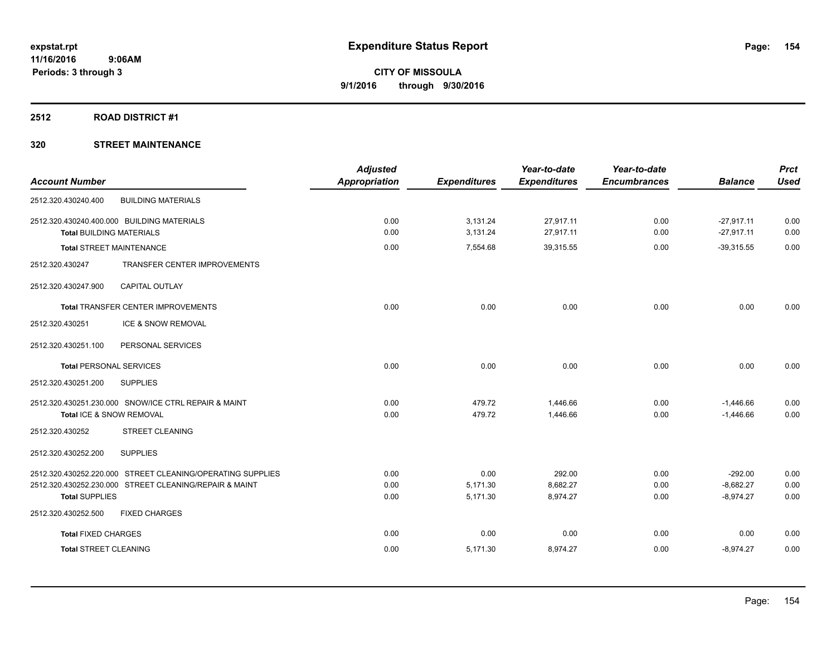#### **2512 ROAD DISTRICT #1**

| <b>Account Number</b>                                                                                                | <b>Adjusted</b><br><b>Appropriation</b> | <b>Expenditures</b>  | Year-to-date<br><b>Expenditures</b> | Year-to-date<br><b>Encumbrances</b> | <b>Balance</b>               | <b>Prct</b><br><b>Used</b> |
|----------------------------------------------------------------------------------------------------------------------|-----------------------------------------|----------------------|-------------------------------------|-------------------------------------|------------------------------|----------------------------|
| 2512.320.430240.400<br><b>BUILDING MATERIALS</b>                                                                     |                                         |                      |                                     |                                     |                              |                            |
| 2512.320.430240.400.000 BUILDING MATERIALS<br><b>Total BUILDING MATERIALS</b>                                        | 0.00<br>0.00                            | 3,131.24<br>3,131.24 | 27,917.11<br>27,917.11              | 0.00<br>0.00                        | $-27,917.11$<br>$-27,917.11$ | 0.00<br>0.00               |
| <b>Total STREET MAINTENANCE</b>                                                                                      | 0.00                                    | 7,554.68             | 39,315.55                           | 0.00                                | $-39,315.55$                 | 0.00                       |
| TRANSFER CENTER IMPROVEMENTS<br>2512.320.430247                                                                      |                                         |                      |                                     |                                     |                              |                            |
| 2512.320.430247.900<br><b>CAPITAL OUTLAY</b>                                                                         |                                         |                      |                                     |                                     |                              |                            |
| Total TRANSFER CENTER IMPROVEMENTS                                                                                   | 0.00                                    | 0.00                 | 0.00                                | 0.00                                | 0.00                         | 0.00                       |
| ICE & SNOW REMOVAL<br>2512.320.430251                                                                                |                                         |                      |                                     |                                     |                              |                            |
| 2512.320.430251.100<br>PERSONAL SERVICES                                                                             |                                         |                      |                                     |                                     |                              |                            |
| <b>Total PERSONAL SERVICES</b>                                                                                       | 0.00                                    | 0.00                 | 0.00                                | 0.00                                | 0.00                         | 0.00                       |
| 2512.320.430251.200<br><b>SUPPLIES</b>                                                                               |                                         |                      |                                     |                                     |                              |                            |
| 2512.320.430251.230.000 SNOW/ICE CTRL REPAIR & MAINT<br>Total ICE & SNOW REMOVAL                                     | 0.00<br>0.00                            | 479.72<br>479.72     | 1,446.66<br>1,446.66                | 0.00<br>0.00                        | $-1,446.66$<br>$-1,446.66$   | 0.00<br>0.00               |
| <b>STREET CLEANING</b><br>2512.320.430252                                                                            |                                         |                      |                                     |                                     |                              |                            |
| 2512.320.430252.200<br><b>SUPPLIES</b>                                                                               |                                         |                      |                                     |                                     |                              |                            |
| 2512.320.430252.220.000 STREET CLEANING/OPERATING SUPPLIES<br>2512.320.430252.230.000 STREET CLEANING/REPAIR & MAINT | 0.00<br>0.00                            | 0.00<br>5,171.30     | 292.00<br>8,682.27                  | 0.00<br>0.00                        | $-292.00$<br>$-8,682.27$     | 0.00<br>0.00               |
| <b>Total SUPPLIES</b>                                                                                                | 0.00                                    | 5,171.30             | 8,974.27                            | 0.00                                | $-8,974.27$                  | 0.00                       |
| 2512.320.430252.500<br><b>FIXED CHARGES</b>                                                                          |                                         |                      |                                     |                                     |                              |                            |
| <b>Total FIXED CHARGES</b>                                                                                           | 0.00                                    | 0.00                 | 0.00                                | 0.00                                | 0.00                         | 0.00                       |
| <b>Total STREET CLEANING</b>                                                                                         | 0.00                                    | 5,171.30             | 8,974.27                            | 0.00                                | $-8,974.27$                  | 0.00                       |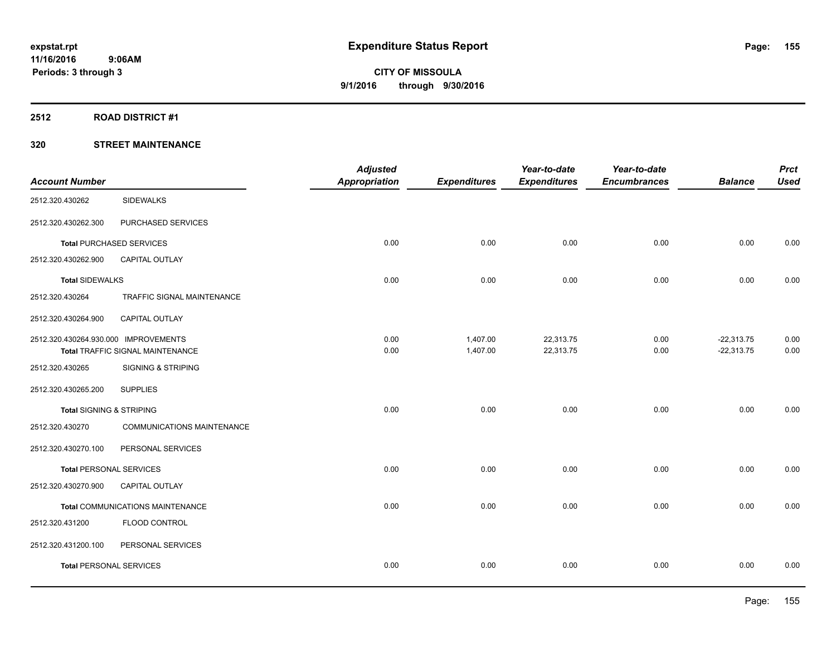#### **2512 ROAD DISTRICT #1**

| <b>Account Number</b>                |                                         | <b>Adjusted</b><br><b>Appropriation</b> | <b>Expenditures</b>  | Year-to-date<br><b>Expenditures</b> | Year-to-date<br><b>Encumbrances</b> | <b>Balance</b>               | <b>Prct</b><br><b>Used</b> |
|--------------------------------------|-----------------------------------------|-----------------------------------------|----------------------|-------------------------------------|-------------------------------------|------------------------------|----------------------------|
| 2512.320.430262                      | <b>SIDEWALKS</b>                        |                                         |                      |                                     |                                     |                              |                            |
| 2512.320.430262.300                  | PURCHASED SERVICES                      |                                         |                      |                                     |                                     |                              |                            |
|                                      | <b>Total PURCHASED SERVICES</b>         | 0.00                                    | 0.00                 | 0.00                                | 0.00                                | 0.00                         | 0.00                       |
| 2512.320.430262.900                  | <b>CAPITAL OUTLAY</b>                   |                                         |                      |                                     |                                     |                              |                            |
| <b>Total SIDEWALKS</b>               |                                         | 0.00                                    | 0.00                 | 0.00                                | 0.00                                | 0.00                         | 0.00                       |
| 2512.320.430264                      | TRAFFIC SIGNAL MAINTENANCE              |                                         |                      |                                     |                                     |                              |                            |
| 2512.320.430264.900                  | CAPITAL OUTLAY                          |                                         |                      |                                     |                                     |                              |                            |
| 2512.320.430264.930.000 IMPROVEMENTS | <b>Total TRAFFIC SIGNAL MAINTENANCE</b> | 0.00<br>0.00                            | 1,407.00<br>1,407.00 | 22,313.75<br>22,313.75              | 0.00<br>0.00                        | $-22,313.75$<br>$-22,313.75$ | 0.00<br>0.00               |
| 2512.320.430265                      | <b>SIGNING &amp; STRIPING</b>           |                                         |                      |                                     |                                     |                              |                            |
| 2512.320.430265.200                  | <b>SUPPLIES</b>                         |                                         |                      |                                     |                                     |                              |                            |
| <b>Total SIGNING &amp; STRIPING</b>  |                                         | 0.00                                    | 0.00                 | 0.00                                | 0.00                                | 0.00                         | 0.00                       |
| 2512.320.430270                      | COMMUNICATIONS MAINTENANCE              |                                         |                      |                                     |                                     |                              |                            |
| 2512.320.430270.100                  | PERSONAL SERVICES                       |                                         |                      |                                     |                                     |                              |                            |
| <b>Total PERSONAL SERVICES</b>       |                                         | 0.00                                    | 0.00                 | 0.00                                | 0.00                                | 0.00                         | 0.00                       |
| 2512.320.430270.900                  | <b>CAPITAL OUTLAY</b>                   |                                         |                      |                                     |                                     |                              |                            |
|                                      | Total COMMUNICATIONS MAINTENANCE        | 0.00                                    | 0.00                 | 0.00                                | 0.00                                | 0.00                         | 0.00                       |
| 2512.320.431200                      | FLOOD CONTROL                           |                                         |                      |                                     |                                     |                              |                            |
| 2512.320.431200.100                  | PERSONAL SERVICES                       |                                         |                      |                                     |                                     |                              |                            |
| <b>Total PERSONAL SERVICES</b>       |                                         | 0.00                                    | 0.00                 | 0.00                                | 0.00                                | 0.00                         | 0.00                       |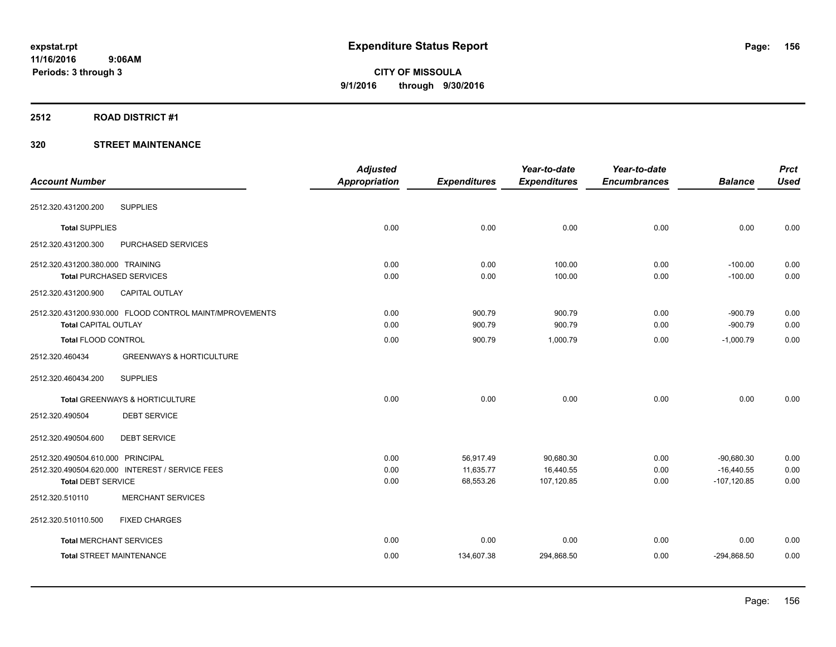#### **2512 ROAD DISTRICT #1**

| <b>Account Number</b>                                   | <b>Adjusted</b><br><b>Appropriation</b> | <b>Expenditures</b> | Year-to-date<br><b>Expenditures</b> | Year-to-date<br><b>Encumbrances</b> | <b>Balance</b> | <b>Prct</b><br><b>Used</b> |
|---------------------------------------------------------|-----------------------------------------|---------------------|-------------------------------------|-------------------------------------|----------------|----------------------------|
|                                                         |                                         |                     |                                     |                                     |                |                            |
| <b>SUPPLIES</b><br>2512.320.431200.200                  |                                         |                     |                                     |                                     |                |                            |
| <b>Total SUPPLIES</b>                                   | 0.00                                    | 0.00                | 0.00                                | 0.00                                | 0.00           | 0.00                       |
| 2512.320.431200.300<br>PURCHASED SERVICES               |                                         |                     |                                     |                                     |                |                            |
| 2512.320.431200.380.000 TRAINING                        | 0.00                                    | 0.00                | 100.00                              | 0.00                                | $-100.00$      | 0.00                       |
| <b>Total PURCHASED SERVICES</b>                         | 0.00                                    | 0.00                | 100.00                              | 0.00                                | $-100.00$      | 0.00                       |
| 2512.320.431200.900<br><b>CAPITAL OUTLAY</b>            |                                         |                     |                                     |                                     |                |                            |
| 2512.320.431200.930.000 FLOOD CONTROL MAINT/MPROVEMENTS | 0.00                                    | 900.79              | 900.79                              | 0.00                                | $-900.79$      | 0.00                       |
| Total CAPITAL OUTLAY                                    | 0.00                                    | 900.79              | 900.79                              | 0.00                                | $-900.79$      | 0.00                       |
| <b>Total FLOOD CONTROL</b>                              | 0.00                                    | 900.79              | 1,000.79                            | 0.00                                | $-1,000.79$    | 0.00                       |
| 2512.320.460434<br><b>GREENWAYS &amp; HORTICULTURE</b>  |                                         |                     |                                     |                                     |                |                            |
| <b>SUPPLIES</b><br>2512.320.460434.200                  |                                         |                     |                                     |                                     |                |                            |
| Total GREENWAYS & HORTICULTURE                          | 0.00                                    | 0.00                | 0.00                                | 0.00                                | 0.00           | 0.00                       |
| 2512.320.490504<br><b>DEBT SERVICE</b>                  |                                         |                     |                                     |                                     |                |                            |
| 2512.320.490504.600<br><b>DEBT SERVICE</b>              |                                         |                     |                                     |                                     |                |                            |
| 2512.320.490504.610.000 PRINCIPAL                       | 0.00                                    | 56,917.49           | 90,680.30                           | 0.00                                | $-90,680.30$   | 0.00                       |
| 2512.320.490504.620.000 INTEREST / SERVICE FEES         | 0.00                                    | 11,635.77           | 16,440.55                           | 0.00                                | $-16,440.55$   | 0.00                       |
| <b>Total DEBT SERVICE</b>                               | 0.00                                    | 68,553.26           | 107,120.85                          | 0.00                                | $-107,120.85$  | 0.00                       |
| <b>MERCHANT SERVICES</b><br>2512.320.510110             |                                         |                     |                                     |                                     |                |                            |
| 2512.320.510110.500<br><b>FIXED CHARGES</b>             |                                         |                     |                                     |                                     |                |                            |
| <b>Total MERCHANT SERVICES</b>                          | 0.00                                    | 0.00                | 0.00                                | 0.00                                | 0.00           | 0.00                       |
| <b>Total STREET MAINTENANCE</b>                         | 0.00                                    | 134,607.38          | 294,868.50                          | 0.00                                | $-294,868.50$  | 0.00                       |
|                                                         |                                         |                     |                                     |                                     |                |                            |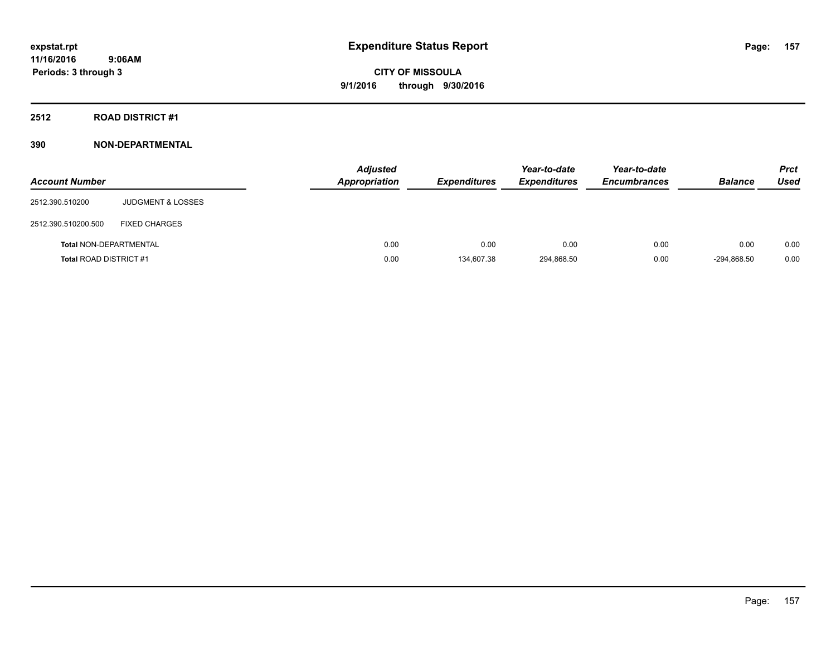### **2512 ROAD DISTRICT #1**

### **390 NON-DEPARTMENTAL**

| <b>Account Number</b>         |                              | <b>Adjusted</b><br><b>Appropriation</b> | <b>Expenditures</b> | Year-to-date<br><b>Expenditures</b> | Year-to-date<br><b>Encumbrances</b> | <b>Balance</b> | <b>Prct</b><br>Used |
|-------------------------------|------------------------------|-----------------------------------------|---------------------|-------------------------------------|-------------------------------------|----------------|---------------------|
| 2512.390.510200               | <b>JUDGMENT &amp; LOSSES</b> |                                         |                     |                                     |                                     |                |                     |
| 2512.390.510200.500           | <b>FIXED CHARGES</b>         |                                         |                     |                                     |                                     |                |                     |
| <b>Total NON-DEPARTMENTAL</b> |                              | 0.00                                    | 0.00                | 0.00                                | 0.00                                | 0.00           | 0.00                |
| <b>Total ROAD DISTRICT #1</b> |                              | 0.00                                    | 134.607.38          | 294.868.50                          | 0.00                                | -294.868.50    | 0.00                |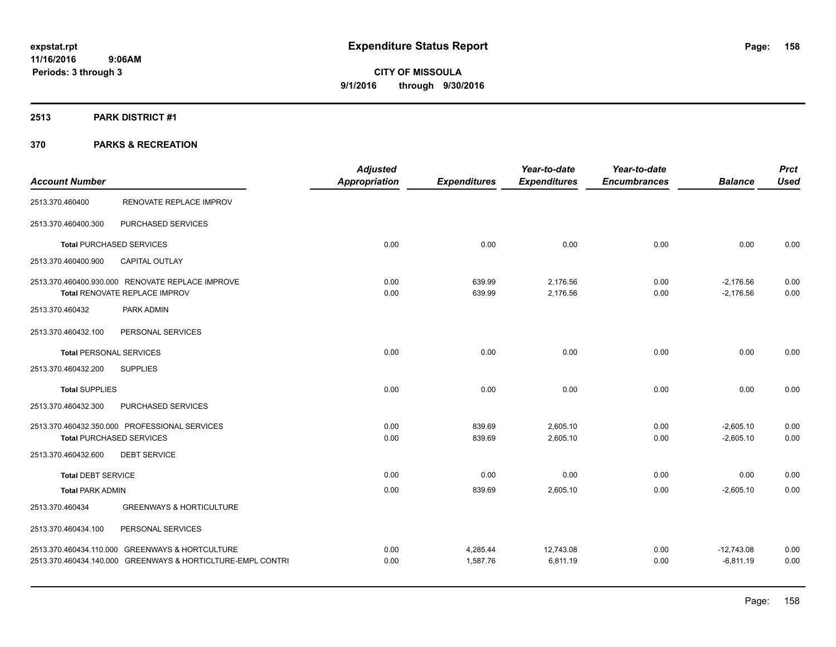### **2513 PARK DISTRICT #1**

|                                |                                                             | <b>Adjusted</b> |                     | Year-to-date        | Year-to-date        |                | <b>Prct</b> |
|--------------------------------|-------------------------------------------------------------|-----------------|---------------------|---------------------|---------------------|----------------|-------------|
| <b>Account Number</b>          |                                                             | Appropriation   | <b>Expenditures</b> | <b>Expenditures</b> | <b>Encumbrances</b> | <b>Balance</b> | <b>Used</b> |
| 2513.370.460400                | RENOVATE REPLACE IMPROV                                     |                 |                     |                     |                     |                |             |
| 2513.370.460400.300            | PURCHASED SERVICES                                          |                 |                     |                     |                     |                |             |
|                                | <b>Total PURCHASED SERVICES</b>                             | 0.00            | 0.00                | 0.00                | 0.00                | 0.00           | 0.00        |
| 2513.370.460400.900            | <b>CAPITAL OUTLAY</b>                                       |                 |                     |                     |                     |                |             |
|                                | 2513.370.460400.930.000 RENOVATE REPLACE IMPROVE            | 0.00            | 639.99              | 2,176.56            | 0.00                | $-2,176.56$    | 0.00        |
|                                | Total RENOVATE REPLACE IMPROV                               | 0.00            | 639.99              | 2,176.56            | 0.00                | $-2.176.56$    | 0.00        |
| 2513.370.460432                | PARK ADMIN                                                  |                 |                     |                     |                     |                |             |
| 2513.370.460432.100            | PERSONAL SERVICES                                           |                 |                     |                     |                     |                |             |
| <b>Total PERSONAL SERVICES</b> |                                                             | 0.00            | 0.00                | 0.00                | 0.00                | 0.00           | 0.00        |
| 2513.370.460432.200            | <b>SUPPLIES</b>                                             |                 |                     |                     |                     |                |             |
| <b>Total SUPPLIES</b>          |                                                             | 0.00            | 0.00                | 0.00                | 0.00                | 0.00           | 0.00        |
| 2513.370.460432.300            | PURCHASED SERVICES                                          |                 |                     |                     |                     |                |             |
|                                | 2513.370.460432.350.000 PROFESSIONAL SERVICES               | 0.00            | 839.69              | 2,605.10            | 0.00                | $-2,605.10$    | 0.00        |
|                                | <b>Total PURCHASED SERVICES</b>                             | 0.00            | 839.69              | 2,605.10            | 0.00                | $-2,605.10$    | 0.00        |
| 2513.370.460432.600            | <b>DEBT SERVICE</b>                                         |                 |                     |                     |                     |                |             |
| <b>Total DEBT SERVICE</b>      |                                                             | 0.00            | 0.00                | 0.00                | 0.00                | 0.00           | 0.00        |
| <b>Total PARK ADMIN</b>        |                                                             | 0.00            | 839.69              | 2,605.10            | 0.00                | $-2,605.10$    | 0.00        |
| 2513.370.460434                | <b>GREENWAYS &amp; HORTICULTURE</b>                         |                 |                     |                     |                     |                |             |
| 2513.370.460434.100            | PERSONAL SERVICES                                           |                 |                     |                     |                     |                |             |
|                                | 2513.370.460434.110.000 GREENWAYS & HORTCULTURE             | 0.00            | 4,285.44            | 12,743.08           | 0.00                | $-12,743.08$   | 0.00        |
|                                | 2513.370.460434.140.000 GREENWAYS & HORTICLTURE-EMPL CONTRI | 0.00            | 1.587.76            | 6.811.19            | 0.00                | $-6.811.19$    | 0.00        |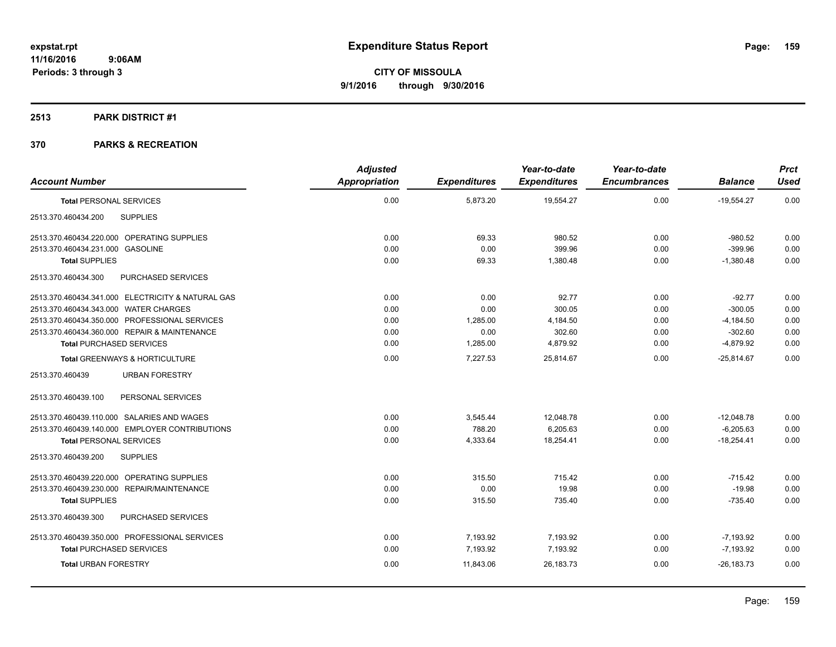#### **2513 PARK DISTRICT #1**

| <b>Account Number</b>                             | <b>Adjusted</b><br>Appropriation | <b>Expenditures</b> | Year-to-date<br><b>Expenditures</b> | Year-to-date<br><b>Encumbrances</b> | <b>Balance</b> | <b>Prct</b><br><b>Used</b> |
|---------------------------------------------------|----------------------------------|---------------------|-------------------------------------|-------------------------------------|----------------|----------------------------|
| <b>Total PERSONAL SERVICES</b>                    | 0.00                             | 5,873.20            | 19,554.27                           | 0.00                                | $-19,554.27$   | 0.00                       |
| <b>SUPPLIES</b><br>2513.370.460434.200            |                                  |                     |                                     |                                     |                |                            |
| 2513.370.460434.220.000 OPERATING SUPPLIES        | 0.00                             | 69.33               | 980.52                              | 0.00                                | $-980.52$      | 0.00                       |
| 2513.370.460434.231.000 GASOLINE                  | 0.00                             | 0.00                | 399.96                              | 0.00                                | $-399.96$      | 0.00                       |
| <b>Total SUPPLIES</b>                             | 0.00                             | 69.33               | 1,380.48                            | 0.00                                | $-1,380.48$    | 0.00                       |
| 2513.370.460434.300<br>PURCHASED SERVICES         |                                  |                     |                                     |                                     |                |                            |
| 2513.370.460434.341.000 ELECTRICITY & NATURAL GAS | 0.00                             | 0.00                | 92.77                               | 0.00                                | $-92.77$       | 0.00                       |
| 2513.370.460434.343.000 WATER CHARGES             | 0.00                             | 0.00                | 300.05                              | 0.00                                | $-300.05$      | 0.00                       |
| 2513.370.460434.350.000 PROFESSIONAL SERVICES     | 0.00                             | 1,285.00            | 4,184.50                            | 0.00                                | $-4,184.50$    | 0.00                       |
| 2513.370.460434.360.000 REPAIR & MAINTENANCE      | 0.00                             | 0.00                | 302.60                              | 0.00                                | $-302.60$      | 0.00                       |
| <b>Total PURCHASED SERVICES</b>                   | 0.00                             | 1,285.00            | 4,879.92                            | 0.00                                | $-4,879.92$    | 0.00                       |
| <b>Total GREENWAYS &amp; HORTICULTURE</b>         | 0.00                             | 7,227.53            | 25,814.67                           | 0.00                                | $-25,814.67$   | 0.00                       |
| 2513.370.460439<br><b>URBAN FORESTRY</b>          |                                  |                     |                                     |                                     |                |                            |
| 2513.370.460439.100<br>PERSONAL SERVICES          |                                  |                     |                                     |                                     |                |                            |
| 2513.370.460439.110.000 SALARIES AND WAGES        | 0.00                             | 3,545.44            | 12,048.78                           | 0.00                                | $-12,048.78$   | 0.00                       |
| 2513.370.460439.140.000 EMPLOYER CONTRIBUTIONS    | 0.00                             | 788.20              | 6,205.63                            | 0.00                                | $-6,205.63$    | 0.00                       |
| <b>Total PERSONAL SERVICES</b>                    | 0.00                             | 4,333.64            | 18,254.41                           | 0.00                                | $-18,254.41$   | 0.00                       |
| 2513.370.460439.200<br><b>SUPPLIES</b>            |                                  |                     |                                     |                                     |                |                            |
| 2513.370.460439.220.000 OPERATING SUPPLIES        | 0.00                             | 315.50              | 715.42                              | 0.00                                | $-715.42$      | 0.00                       |
| 2513.370.460439.230.000 REPAIR/MAINTENANCE        | 0.00                             | 0.00                | 19.98                               | 0.00                                | $-19.98$       | 0.00                       |
| <b>Total SUPPLIES</b>                             | 0.00                             | 315.50              | 735.40                              | 0.00                                | $-735.40$      | 0.00                       |
| 2513.370.460439.300<br>PURCHASED SERVICES         |                                  |                     |                                     |                                     |                |                            |
| 2513.370.460439.350.000 PROFESSIONAL SERVICES     | 0.00                             | 7,193.92            | 7,193.92                            | 0.00                                | $-7,193.92$    | 0.00                       |
| <b>Total PURCHASED SERVICES</b>                   | 0.00                             | 7,193.92            | 7,193.92                            | 0.00                                | $-7.193.92$    | 0.00                       |
| <b>Total URBAN FORESTRY</b>                       | 0.00                             | 11,843.06           | 26,183.73                           | 0.00                                | $-26.183.73$   | 0.00                       |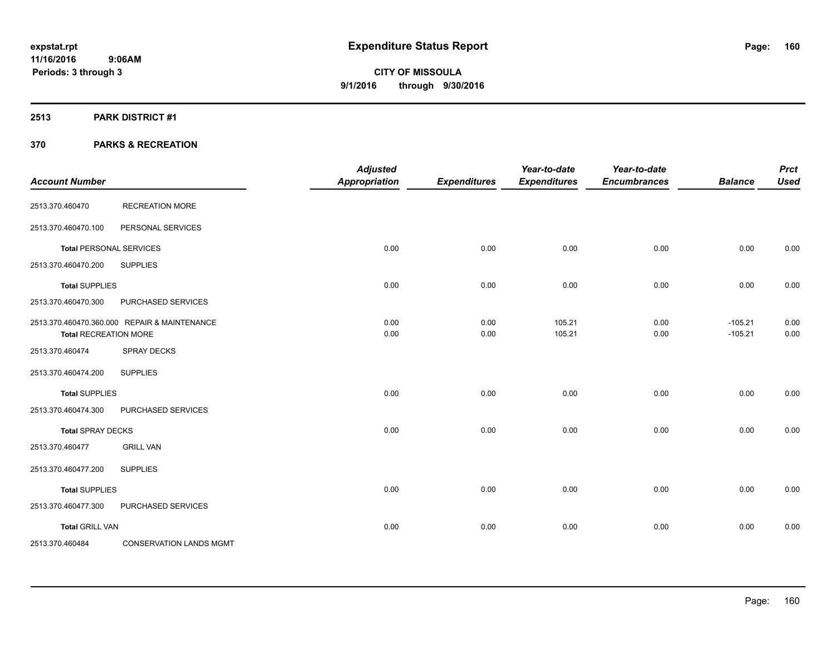### **2513 PARK DISTRICT #1**

| <b>Account Number</b>        |                                              | <b>Adjusted</b><br>Appropriation | <b>Expenditures</b> | Year-to-date<br><b>Expenditures</b> | Year-to-date<br><b>Encumbrances</b> | <b>Balance</b>         | <b>Prct</b><br><b>Used</b> |
|------------------------------|----------------------------------------------|----------------------------------|---------------------|-------------------------------------|-------------------------------------|------------------------|----------------------------|
| 2513.370.460470              | <b>RECREATION MORE</b>                       |                                  |                     |                                     |                                     |                        |                            |
| 2513.370.460470.100          | PERSONAL SERVICES                            |                                  |                     |                                     |                                     |                        |                            |
|                              | <b>Total PERSONAL SERVICES</b>               | 0.00                             | 0.00                | 0.00                                | 0.00                                | 0.00                   | 0.00                       |
| 2513.370.460470.200          | <b>SUPPLIES</b>                              |                                  |                     |                                     |                                     |                        |                            |
| <b>Total SUPPLIES</b>        |                                              | 0.00                             | 0.00                | 0.00                                | 0.00                                | 0.00                   | 0.00                       |
| 2513.370.460470.300          | PURCHASED SERVICES                           |                                  |                     |                                     |                                     |                        |                            |
| <b>Total RECREATION MORE</b> | 2513.370.460470.360.000 REPAIR & MAINTENANCE | 0.00<br>0.00                     | 0.00<br>0.00        | 105.21<br>105.21                    | 0.00<br>0.00                        | $-105.21$<br>$-105.21$ | 0.00<br>0.00               |
| 2513.370.460474              | <b>SPRAY DECKS</b>                           |                                  |                     |                                     |                                     |                        |                            |
| 2513.370.460474.200          | <b>SUPPLIES</b>                              |                                  |                     |                                     |                                     |                        |                            |
| <b>Total SUPPLIES</b>        |                                              | 0.00                             | 0.00                | 0.00                                | 0.00                                | 0.00                   | 0.00                       |
| 2513.370.460474.300          | PURCHASED SERVICES                           |                                  |                     |                                     |                                     |                        |                            |
| <b>Total SPRAY DECKS</b>     |                                              | 0.00                             | 0.00                | 0.00                                | 0.00                                | 0.00                   | 0.00                       |
| 2513.370.460477              | <b>GRILL VAN</b>                             |                                  |                     |                                     |                                     |                        |                            |
| 2513.370.460477.200          | <b>SUPPLIES</b>                              |                                  |                     |                                     |                                     |                        |                            |
| <b>Total SUPPLIES</b>        |                                              | 0.00                             | 0.00                | 0.00                                | 0.00                                | 0.00                   | 0.00                       |
| 2513.370.460477.300          | PURCHASED SERVICES                           |                                  |                     |                                     |                                     |                        |                            |
| <b>Total GRILL VAN</b>       |                                              | 0.00                             | 0.00                | 0.00                                | 0.00                                | 0.00                   | 0.00                       |
| 2513.370.460484              | <b>CONSERVATION LANDS MGMT</b>               |                                  |                     |                                     |                                     |                        |                            |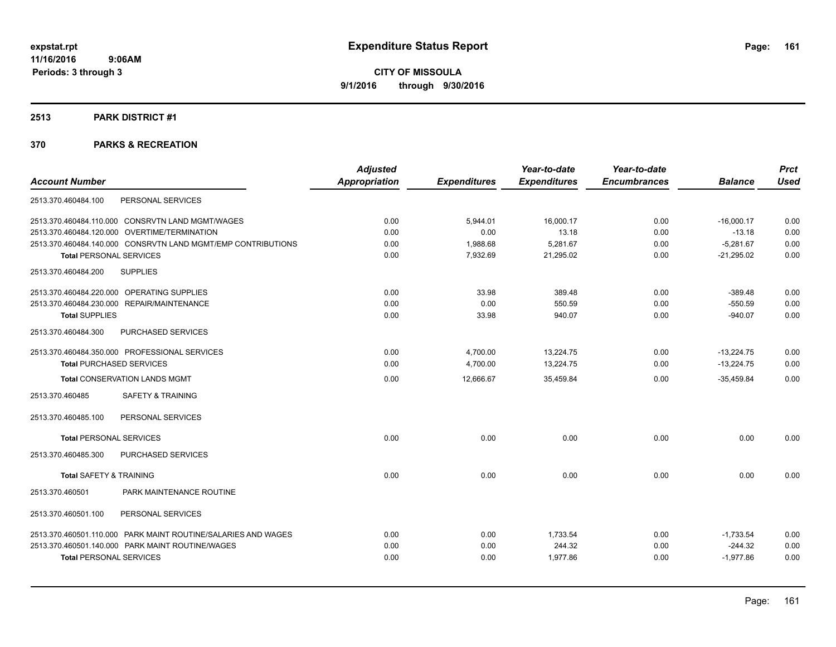#### **2513 PARK DISTRICT #1**

|                                                               | <b>Adjusted</b>      |                     | Year-to-date        | Year-to-date        |                | <b>Prct</b> |
|---------------------------------------------------------------|----------------------|---------------------|---------------------|---------------------|----------------|-------------|
| <b>Account Number</b>                                         | <b>Appropriation</b> | <b>Expenditures</b> | <b>Expenditures</b> | <b>Encumbrances</b> | <b>Balance</b> | <b>Used</b> |
| PERSONAL SERVICES<br>2513.370.460484.100                      |                      |                     |                     |                     |                |             |
| 2513.370.460484.110.000 CONSRVTN LAND MGMT/WAGES              | 0.00                 | 5,944.01            | 16,000.17           | 0.00                | $-16,000.17$   | 0.00        |
| 2513.370.460484.120.000 OVERTIME/TERMINATION                  | 0.00                 | 0.00                | 13.18               | 0.00                | $-13.18$       | 0.00        |
| 2513.370.460484.140.000 CONSRVTN LAND MGMT/EMP CONTRIBUTIONS  | 0.00                 | 1,988.68            | 5,281.67            | 0.00                | $-5,281.67$    | 0.00        |
| <b>Total PERSONAL SERVICES</b>                                | 0.00                 | 7,932.69            | 21,295.02           | 0.00                | $-21,295.02$   | 0.00        |
| <b>SUPPLIES</b><br>2513.370.460484.200                        |                      |                     |                     |                     |                |             |
| 2513.370.460484.220.000 OPERATING SUPPLIES                    | 0.00                 | 33.98               | 389.48              | 0.00                | $-389.48$      | 0.00        |
| 2513.370.460484.230.000 REPAIR/MAINTENANCE                    | 0.00                 | 0.00                | 550.59              | 0.00                | $-550.59$      | 0.00        |
| <b>Total SUPPLIES</b>                                         | 0.00                 | 33.98               | 940.07              | 0.00                | $-940.07$      | 0.00        |
| PURCHASED SERVICES<br>2513.370.460484.300                     |                      |                     |                     |                     |                |             |
| 2513.370.460484.350.000 PROFESSIONAL SERVICES                 | 0.00                 | 4,700.00            | 13,224.75           | 0.00                | $-13,224.75$   | 0.00        |
| <b>Total PURCHASED SERVICES</b>                               | 0.00                 | 4,700.00            | 13,224.75           | 0.00                | $-13,224.75$   | 0.00        |
| <b>Total CONSERVATION LANDS MGMT</b>                          | 0.00                 | 12,666.67           | 35,459.84           | 0.00                | $-35,459.84$   | 0.00        |
| <b>SAFETY &amp; TRAINING</b><br>2513.370.460485               |                      |                     |                     |                     |                |             |
| 2513.370.460485.100<br>PERSONAL SERVICES                      |                      |                     |                     |                     |                |             |
| <b>Total PERSONAL SERVICES</b>                                | 0.00                 | 0.00                | 0.00                | 0.00                | 0.00           | 0.00        |
| 2513.370.460485.300<br>PURCHASED SERVICES                     |                      |                     |                     |                     |                |             |
| <b>Total SAFETY &amp; TRAINING</b>                            | 0.00                 | 0.00                | 0.00                | 0.00                | 0.00           | 0.00        |
| PARK MAINTENANCE ROUTINE<br>2513.370.460501                   |                      |                     |                     |                     |                |             |
| 2513.370.460501.100<br>PERSONAL SERVICES                      |                      |                     |                     |                     |                |             |
| 2513.370.460501.110.000 PARK MAINT ROUTINE/SALARIES AND WAGES | 0.00                 | 0.00                | 1,733.54            | 0.00                | $-1,733.54$    | 0.00        |
| 2513.370.460501.140.000 PARK MAINT ROUTINE/WAGES              | 0.00                 | 0.00                | 244.32              | 0.00                | $-244.32$      | 0.00        |
| <b>Total PERSONAL SERVICES</b>                                | 0.00                 | 0.00                | 1,977.86            | 0.00                | $-1,977.86$    | 0.00        |
|                                                               |                      |                     |                     |                     |                |             |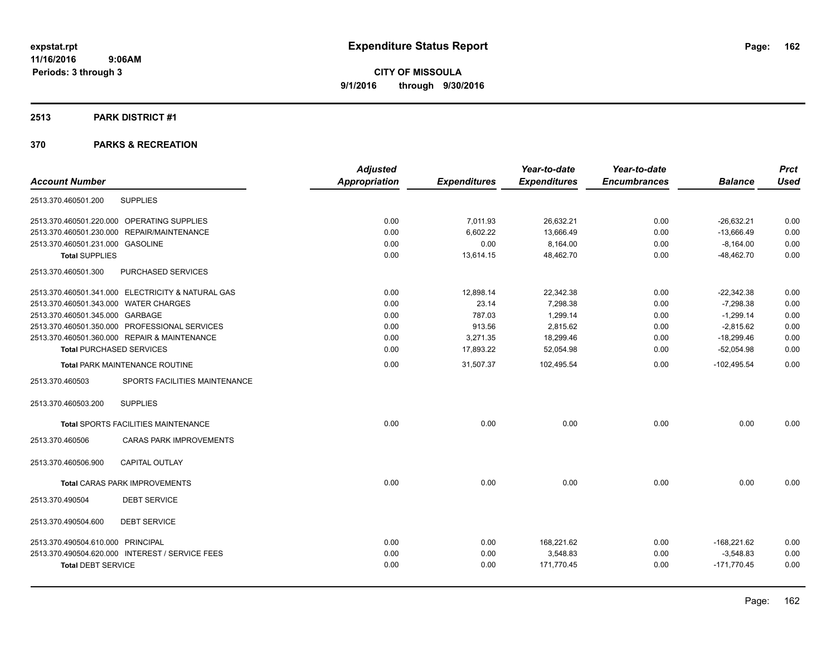### **2513 PARK DISTRICT #1**

|                                                   | <b>Adjusted</b> |                     | Year-to-date        | Year-to-date        |                | <b>Prct</b> |
|---------------------------------------------------|-----------------|---------------------|---------------------|---------------------|----------------|-------------|
| <b>Account Number</b>                             | Appropriation   | <b>Expenditures</b> | <b>Expenditures</b> | <b>Encumbrances</b> | <b>Balance</b> | <b>Used</b> |
| <b>SUPPLIES</b><br>2513.370.460501.200            |                 |                     |                     |                     |                |             |
| 2513.370.460501.220.000 OPERATING SUPPLIES        | 0.00            | 7,011.93            | 26,632.21           | 0.00                | $-26,632.21$   | 0.00        |
| 2513.370.460501.230.000 REPAIR/MAINTENANCE        | 0.00            | 6,602.22            | 13,666.49           | 0.00                | $-13,666.49$   | 0.00        |
| 2513.370.460501.231.000 GASOLINE                  | 0.00            | 0.00                | 8,164.00            | 0.00                | $-8,164.00$    | 0.00        |
| <b>Total SUPPLIES</b>                             | 0.00            | 13,614.15           | 48,462.70           | 0.00                | $-48,462.70$   | 0.00        |
| 2513.370.460501.300<br>PURCHASED SERVICES         |                 |                     |                     |                     |                |             |
| 2513.370.460501.341.000 ELECTRICITY & NATURAL GAS | 0.00            | 12,898.14           | 22,342.38           | 0.00                | $-22,342.38$   | 0.00        |
| 2513.370.460501.343.000 WATER CHARGES             | 0.00            | 23.14               | 7,298.38            | 0.00                | $-7,298.38$    | 0.00        |
| 2513.370.460501.345.000 GARBAGE                   | 0.00            | 787.03              | 1.299.14            | 0.00                | $-1,299.14$    | 0.00        |
| 2513.370.460501.350.000 PROFESSIONAL SERVICES     | 0.00            | 913.56              | 2,815.62            | 0.00                | $-2.815.62$    | 0.00        |
| 2513.370.460501.360.000 REPAIR & MAINTENANCE      | 0.00            | 3,271.35            | 18,299.46           | 0.00                | $-18,299.46$   | 0.00        |
| <b>Total PURCHASED SERVICES</b>                   | 0.00            | 17,893.22           | 52,054.98           | 0.00                | $-52,054.98$   | 0.00        |
| Total PARK MAINTENANCE ROUTINE                    | 0.00            | 31,507.37           | 102,495.54          | 0.00                | $-102,495.54$  | 0.00        |
| 2513.370.460503<br>SPORTS FACILITIES MAINTENANCE  |                 |                     |                     |                     |                |             |
| <b>SUPPLIES</b><br>2513.370.460503.200            |                 |                     |                     |                     |                |             |
| Total SPORTS FACILITIES MAINTENANCE               | 0.00            | 0.00                | 0.00                | 0.00                | 0.00           | 0.00        |
| 2513.370.460506<br><b>CARAS PARK IMPROVEMENTS</b> |                 |                     |                     |                     |                |             |
| 2513.370.460506.900<br><b>CAPITAL OUTLAY</b>      |                 |                     |                     |                     |                |             |
| Total CARAS PARK IMPROVEMENTS                     | 0.00            | 0.00                | 0.00                | 0.00                | 0.00           | 0.00        |
| 2513.370.490504<br><b>DEBT SERVICE</b>            |                 |                     |                     |                     |                |             |
| 2513.370.490504.600<br><b>DEBT SERVICE</b>        |                 |                     |                     |                     |                |             |
| 2513.370.490504.610.000 PRINCIPAL                 | 0.00            | 0.00                | 168,221.62          | 0.00                | $-168,221.62$  | 0.00        |
| 2513.370.490504.620.000 INTEREST / SERVICE FEES   | 0.00            | 0.00                | 3,548.83            | 0.00                | $-3,548.83$    | 0.00        |
| <b>Total DEBT SERVICE</b>                         | 0.00            | 0.00                | 171,770.45          | 0.00                | $-171,770.45$  | 0.00        |
|                                                   |                 |                     |                     |                     |                |             |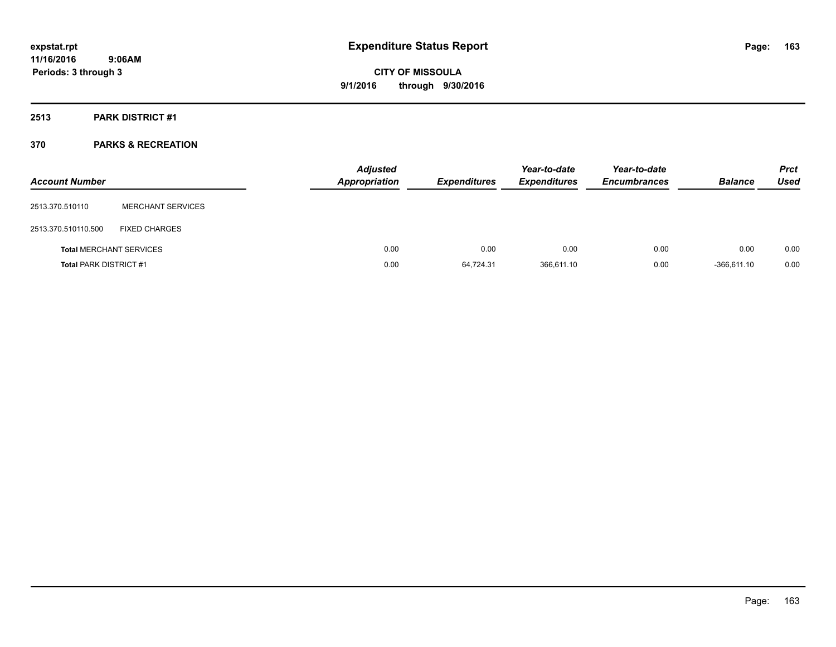**Periods: 3 through 3**

**CITY OF MISSOULA 9/1/2016 through 9/30/2016**

### **2513 PARK DISTRICT #1**

### **370 PARKS & RECREATION**

 **9:06AM**

| <b>Account Number</b>         |                                | <b>Adjusted</b><br><b>Appropriation</b> | <b>Expenditures</b> | Year-to-date<br><b>Expenditures</b> | Year-to-date<br><b>Encumbrances</b> | <b>Balance</b> | <b>Prct</b><br><b>Used</b> |
|-------------------------------|--------------------------------|-----------------------------------------|---------------------|-------------------------------------|-------------------------------------|----------------|----------------------------|
| 2513.370.510110               | <b>MERCHANT SERVICES</b>       |                                         |                     |                                     |                                     |                |                            |
| 2513.370.510110.500           | <b>FIXED CHARGES</b>           |                                         |                     |                                     |                                     |                |                            |
|                               | <b>Total MERCHANT SERVICES</b> | 0.00                                    | 0.00                | 0.00                                | 0.00                                | 0.00           | 0.00                       |
| <b>Total PARK DISTRICT #1</b> |                                | 0.00                                    | 64.724.31           | 366,611.10                          | 0.00                                | $-366.611.10$  | 0.00                       |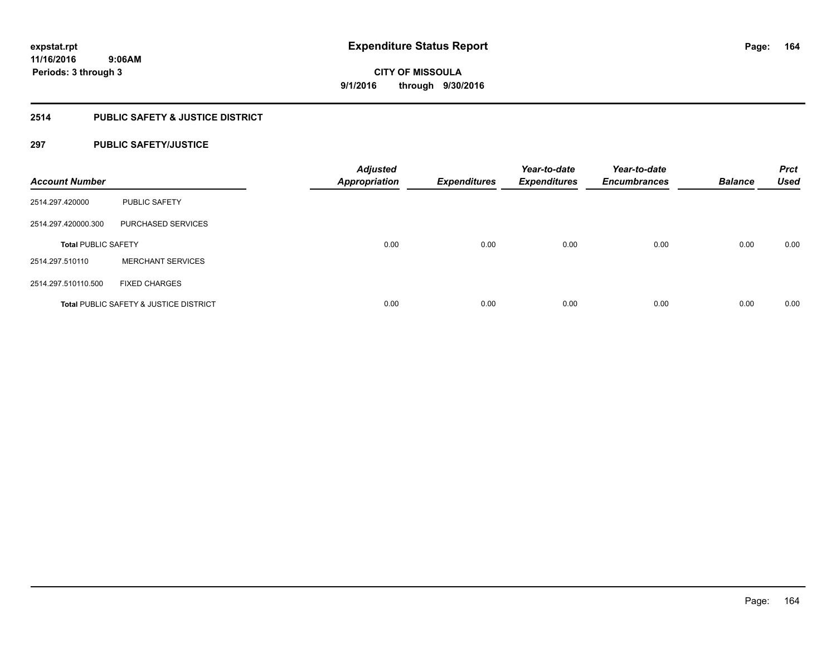### **2514 PUBLIC SAFETY & JUSTICE DISTRICT**

### **297 PUBLIC SAFETY/JUSTICE**

| <b>Account Number</b>      |                                                   | <b>Adjusted</b><br><b>Appropriation</b> | <b>Expenditures</b> | Year-to-date<br><b>Expenditures</b> | Year-to-date<br><b>Encumbrances</b> | <b>Balance</b> | <b>Prct</b><br><b>Used</b> |
|----------------------------|---------------------------------------------------|-----------------------------------------|---------------------|-------------------------------------|-------------------------------------|----------------|----------------------------|
| 2514.297.420000            | <b>PUBLIC SAFETY</b>                              |                                         |                     |                                     |                                     |                |                            |
| 2514.297.420000.300        | PURCHASED SERVICES                                |                                         |                     |                                     |                                     |                |                            |
| <b>Total PUBLIC SAFETY</b> |                                                   | 0.00                                    | 0.00                | 0.00                                | 0.00                                | 0.00           | 0.00                       |
| 2514.297.510110            | <b>MERCHANT SERVICES</b>                          |                                         |                     |                                     |                                     |                |                            |
| 2514.297.510110.500        | <b>FIXED CHARGES</b>                              |                                         |                     |                                     |                                     |                |                            |
|                            | <b>Total PUBLIC SAFETY &amp; JUSTICE DISTRICT</b> | 0.00                                    | 0.00                | 0.00                                | 0.00                                | 0.00           | 0.00                       |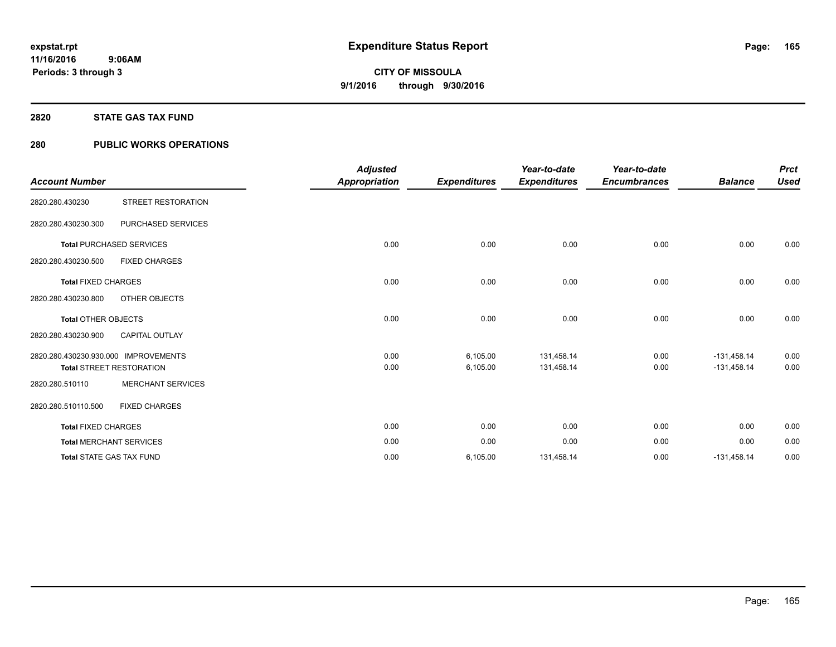### **2820 STATE GAS TAX FUND**

### **280 PUBLIC WORKS OPERATIONS**

| <b>Account Number</b>                |                                 | <b>Adjusted</b><br><b>Appropriation</b> | <b>Expenditures</b>  | Year-to-date<br><b>Expenditures</b> | Year-to-date<br><b>Encumbrances</b> | <b>Balance</b>                 | <b>Prct</b><br><b>Used</b> |
|--------------------------------------|---------------------------------|-----------------------------------------|----------------------|-------------------------------------|-------------------------------------|--------------------------------|----------------------------|
| 2820.280.430230                      | STREET RESTORATION              |                                         |                      |                                     |                                     |                                |                            |
| 2820.280.430230.300                  | PURCHASED SERVICES              |                                         |                      |                                     |                                     |                                |                            |
|                                      | <b>Total PURCHASED SERVICES</b> | 0.00                                    | 0.00                 | 0.00                                | 0.00                                | 0.00                           | 0.00                       |
| 2820.280.430230.500                  | <b>FIXED CHARGES</b>            |                                         |                      |                                     |                                     |                                |                            |
| <b>Total FIXED CHARGES</b>           |                                 | 0.00                                    | 0.00                 | 0.00                                | 0.00                                | 0.00                           | 0.00                       |
| 2820.280.430230.800                  | <b>OTHER OBJECTS</b>            |                                         |                      |                                     |                                     |                                |                            |
| <b>Total OTHER OBJECTS</b>           |                                 | 0.00                                    | 0.00                 | 0.00                                | 0.00                                | 0.00                           | 0.00                       |
| 2820.280.430230.900                  | <b>CAPITAL OUTLAY</b>           |                                         |                      |                                     |                                     |                                |                            |
| 2820.280.430230.930.000 IMPROVEMENTS | <b>Total STREET RESTORATION</b> | 0.00<br>0.00                            | 6,105.00<br>6,105.00 | 131,458.14<br>131,458.14            | 0.00<br>0.00                        | $-131,458.14$<br>$-131,458.14$ | 0.00<br>0.00               |
| 2820.280.510110                      | <b>MERCHANT SERVICES</b>        |                                         |                      |                                     |                                     |                                |                            |
| 2820.280.510110.500                  | <b>FIXED CHARGES</b>            |                                         |                      |                                     |                                     |                                |                            |
| <b>Total FIXED CHARGES</b>           |                                 | 0.00                                    | 0.00                 | 0.00                                | 0.00                                | 0.00                           | 0.00                       |
|                                      | <b>Total MERCHANT SERVICES</b>  | 0.00                                    | 0.00                 | 0.00                                | 0.00                                | 0.00                           | 0.00                       |
|                                      | <b>Total STATE GAS TAX FUND</b> | 0.00                                    | 6,105.00             | 131,458.14                          | 0.00                                | $-131,458.14$                  | 0.00                       |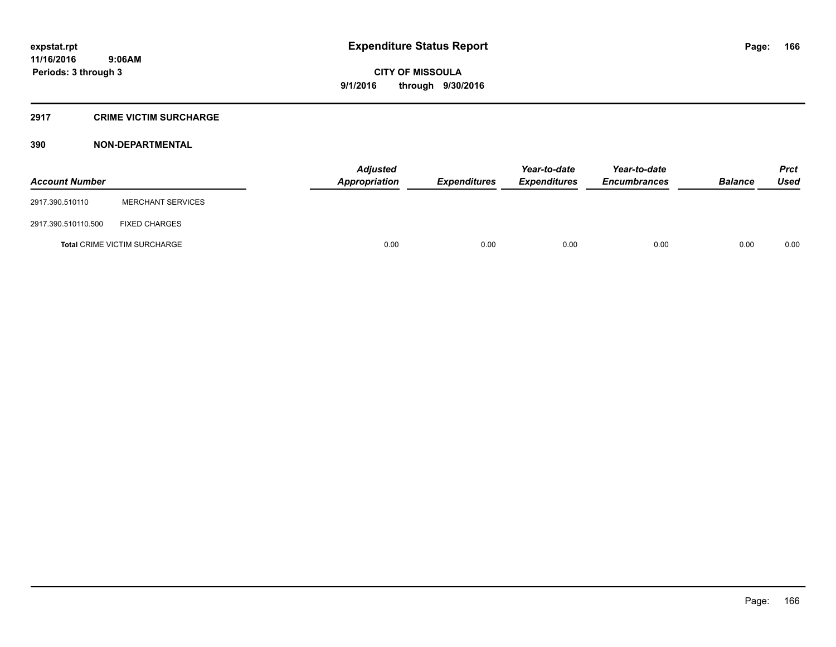### **2917 CRIME VICTIM SURCHARGE**

### **390 NON-DEPARTMENTAL**

| <b>Account Number</b> |                                     | Adjusted<br><b>Appropriation</b> | <b>Expenditures</b> | Year-to-date<br><b>Expenditures</b> | Year-to-date<br><b>Encumbrances</b> | <b>Balance</b> | <b>Prct</b><br><b>Used</b> |
|-----------------------|-------------------------------------|----------------------------------|---------------------|-------------------------------------|-------------------------------------|----------------|----------------------------|
| 2917.390.510110       | <b>MERCHANT SERVICES</b>            |                                  |                     |                                     |                                     |                |                            |
| 2917.390.510110.500   | <b>FIXED CHARGES</b>                |                                  |                     |                                     |                                     |                |                            |
|                       | <b>Total CRIME VICTIM SURCHARGE</b> | 0.00                             | 0.00                | 0.00                                | 0.00                                | 0.00           | 0.00                       |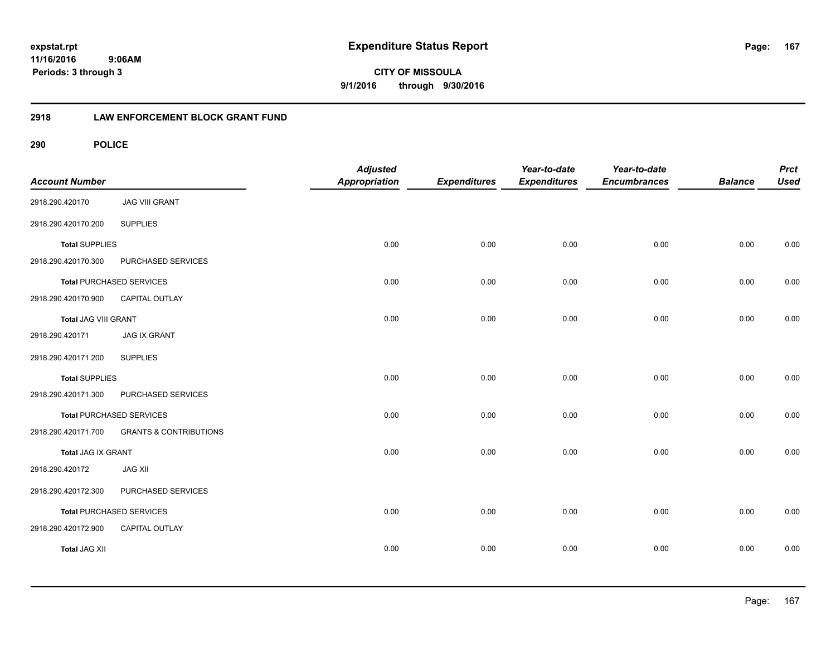**CITY OF MISSOULA 9/1/2016 through 9/30/2016**

### **2918 LAW ENFORCEMENT BLOCK GRANT FUND**

| <b>Account Number</b> |                                   | <b>Adjusted</b><br>Appropriation | <b>Expenditures</b> | Year-to-date<br><b>Expenditures</b> | Year-to-date<br><b>Encumbrances</b> | <b>Balance</b> | <b>Prct</b><br><b>Used</b> |
|-----------------------|-----------------------------------|----------------------------------|---------------------|-------------------------------------|-------------------------------------|----------------|----------------------------|
| 2918.290.420170       | <b>JAG VIII GRANT</b>             |                                  |                     |                                     |                                     |                |                            |
| 2918.290.420170.200   | <b>SUPPLIES</b>                   |                                  |                     |                                     |                                     |                |                            |
| <b>Total SUPPLIES</b> |                                   | 0.00                             | 0.00                | 0.00                                | 0.00                                | 0.00           | 0.00                       |
| 2918.290.420170.300   | PURCHASED SERVICES                |                                  |                     |                                     |                                     |                |                            |
|                       | <b>Total PURCHASED SERVICES</b>   | 0.00                             | 0.00                | 0.00                                | 0.00                                | 0.00           | 0.00                       |
| 2918.290.420170.900   | CAPITAL OUTLAY                    |                                  |                     |                                     |                                     |                |                            |
| Total JAG VIII GRANT  |                                   | 0.00                             | 0.00                | 0.00                                | 0.00                                | 0.00           | 0.00                       |
| 2918.290.420171       | <b>JAG IX GRANT</b>               |                                  |                     |                                     |                                     |                |                            |
| 2918.290.420171.200   | <b>SUPPLIES</b>                   |                                  |                     |                                     |                                     |                |                            |
| <b>Total SUPPLIES</b> |                                   | 0.00                             | 0.00                | 0.00                                | 0.00                                | 0.00           | 0.00                       |
| 2918.290.420171.300   | PURCHASED SERVICES                |                                  |                     |                                     |                                     |                |                            |
|                       | <b>Total PURCHASED SERVICES</b>   | 0.00                             | 0.00                | 0.00                                | 0.00                                | 0.00           | 0.00                       |
| 2918.290.420171.700   | <b>GRANTS &amp; CONTRIBUTIONS</b> |                                  |                     |                                     |                                     |                |                            |
| Total JAG IX GRANT    |                                   | 0.00                             | 0.00                | 0.00                                | 0.00                                | 0.00           | 0.00                       |
| 2918.290.420172       | <b>JAG XII</b>                    |                                  |                     |                                     |                                     |                |                            |
| 2918.290.420172.300   | PURCHASED SERVICES                |                                  |                     |                                     |                                     |                |                            |
|                       | <b>Total PURCHASED SERVICES</b>   | 0.00                             | 0.00                | 0.00                                | 0.00                                | 0.00           | 0.00                       |
| 2918.290.420172.900   | CAPITAL OUTLAY                    |                                  |                     |                                     |                                     |                |                            |
| <b>Total JAG XII</b>  |                                   | 0.00                             | 0.00                | 0.00                                | 0.00                                | 0.00           | 0.00                       |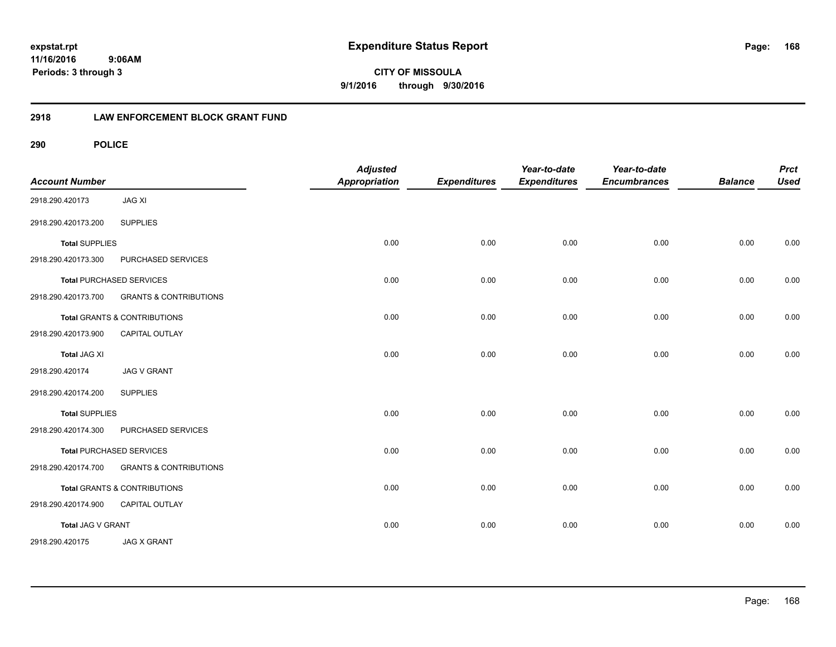**CITY OF MISSOULA 9/1/2016 through 9/30/2016**

### **2918 LAW ENFORCEMENT BLOCK GRANT FUND**

| <b>Account Number</b> |                                   | <b>Adjusted</b><br><b>Appropriation</b> | <b>Expenditures</b> | Year-to-date<br><b>Expenditures</b> | Year-to-date<br><b>Encumbrances</b> | <b>Balance</b> | <b>Prct</b><br><b>Used</b> |
|-----------------------|-----------------------------------|-----------------------------------------|---------------------|-------------------------------------|-------------------------------------|----------------|----------------------------|
| 2918.290.420173       | <b>JAG XI</b>                     |                                         |                     |                                     |                                     |                |                            |
| 2918.290.420173.200   | <b>SUPPLIES</b>                   |                                         |                     |                                     |                                     |                |                            |
| <b>Total SUPPLIES</b> |                                   | 0.00                                    | 0.00                | 0.00                                | 0.00                                | 0.00           | 0.00                       |
| 2918.290.420173.300   | PURCHASED SERVICES                |                                         |                     |                                     |                                     |                |                            |
|                       | <b>Total PURCHASED SERVICES</b>   | 0.00                                    | 0.00                | 0.00                                | 0.00                                | 0.00           | 0.00                       |
| 2918.290.420173.700   | <b>GRANTS &amp; CONTRIBUTIONS</b> |                                         |                     |                                     |                                     |                |                            |
|                       | Total GRANTS & CONTRIBUTIONS      | 0.00                                    | 0.00                | 0.00                                | 0.00                                | 0.00           | 0.00                       |
| 2918.290.420173.900   | <b>CAPITAL OUTLAY</b>             |                                         |                     |                                     |                                     |                |                            |
| <b>Total JAG XI</b>   |                                   | 0.00                                    | 0.00                | 0.00                                | 0.00                                | 0.00           | 0.00                       |
| 2918.290.420174       | <b>JAG V GRANT</b>                |                                         |                     |                                     |                                     |                |                            |
| 2918.290.420174.200   | <b>SUPPLIES</b>                   |                                         |                     |                                     |                                     |                |                            |
| <b>Total SUPPLIES</b> |                                   | 0.00                                    | 0.00                | 0.00                                | 0.00                                | 0.00           | 0.00                       |
| 2918.290.420174.300   | PURCHASED SERVICES                |                                         |                     |                                     |                                     |                |                            |
|                       | <b>Total PURCHASED SERVICES</b>   | 0.00                                    | 0.00                | 0.00                                | 0.00                                | 0.00           | 0.00                       |
| 2918.290.420174.700   | <b>GRANTS &amp; CONTRIBUTIONS</b> |                                         |                     |                                     |                                     |                |                            |
|                       | Total GRANTS & CONTRIBUTIONS      | 0.00                                    | 0.00                | 0.00                                | 0.00                                | 0.00           | 0.00                       |
| 2918.290.420174.900   | CAPITAL OUTLAY                    |                                         |                     |                                     |                                     |                |                            |
| Total JAG V GRANT     |                                   | 0.00                                    | 0.00                | 0.00                                | 0.00                                | 0.00           | 0.00                       |
| 2918.290.420175       | <b>JAG X GRANT</b>                |                                         |                     |                                     |                                     |                |                            |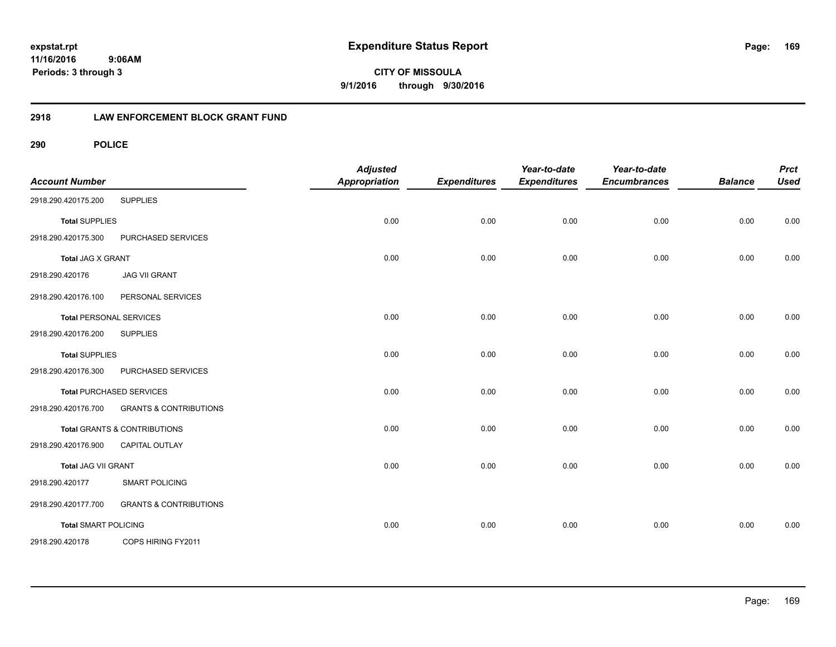**CITY OF MISSOULA 9/1/2016 through 9/30/2016**

### **2918 LAW ENFORCEMENT BLOCK GRANT FUND**

| <b>Account Number</b>       |                                         | <b>Adjusted</b><br><b>Appropriation</b> | <b>Expenditures</b> | Year-to-date<br><b>Expenditures</b> | Year-to-date<br><b>Encumbrances</b> | <b>Balance</b> | <b>Prct</b><br><b>Used</b> |
|-----------------------------|-----------------------------------------|-----------------------------------------|---------------------|-------------------------------------|-------------------------------------|----------------|----------------------------|
| 2918.290.420175.200         | <b>SUPPLIES</b>                         |                                         |                     |                                     |                                     |                |                            |
| <b>Total SUPPLIES</b>       |                                         | 0.00                                    | 0.00                | 0.00                                | 0.00                                | 0.00           | 0.00                       |
| 2918.290.420175.300         | PURCHASED SERVICES                      |                                         |                     |                                     |                                     |                |                            |
| <b>Total JAG X GRANT</b>    |                                         | 0.00                                    | 0.00                | 0.00                                | 0.00                                | 0.00           | 0.00                       |
| 2918.290.420176             | <b>JAG VII GRANT</b>                    |                                         |                     |                                     |                                     |                |                            |
| 2918.290.420176.100         | PERSONAL SERVICES                       |                                         |                     |                                     |                                     |                |                            |
|                             | <b>Total PERSONAL SERVICES</b>          | 0.00                                    | 0.00                | 0.00                                | 0.00                                | 0.00           | 0.00                       |
| 2918.290.420176.200         | <b>SUPPLIES</b>                         |                                         |                     |                                     |                                     |                |                            |
| <b>Total SUPPLIES</b>       |                                         | 0.00                                    | 0.00                | 0.00                                | 0.00                                | 0.00           | 0.00                       |
| 2918.290.420176.300         | PURCHASED SERVICES                      |                                         |                     |                                     |                                     |                |                            |
|                             | <b>Total PURCHASED SERVICES</b>         | 0.00                                    | 0.00                | 0.00                                | 0.00                                | 0.00           | 0.00                       |
| 2918.290.420176.700         | <b>GRANTS &amp; CONTRIBUTIONS</b>       |                                         |                     |                                     |                                     |                |                            |
|                             | <b>Total GRANTS &amp; CONTRIBUTIONS</b> | 0.00                                    | 0.00                | 0.00                                | 0.00                                | 0.00           | 0.00                       |
| 2918.290.420176.900         | CAPITAL OUTLAY                          |                                         |                     |                                     |                                     |                |                            |
| Total JAG VII GRANT         |                                         | 0.00                                    | 0.00                | 0.00                                | 0.00                                | 0.00           | 0.00                       |
| 2918.290.420177             | <b>SMART POLICING</b>                   |                                         |                     |                                     |                                     |                |                            |
| 2918.290.420177.700         | <b>GRANTS &amp; CONTRIBUTIONS</b>       |                                         |                     |                                     |                                     |                |                            |
| <b>Total SMART POLICING</b> |                                         | 0.00                                    | 0.00                | 0.00                                | 0.00                                | 0.00           | 0.00                       |
| 2918.290.420178             | COPS HIRING FY2011                      |                                         |                     |                                     |                                     |                |                            |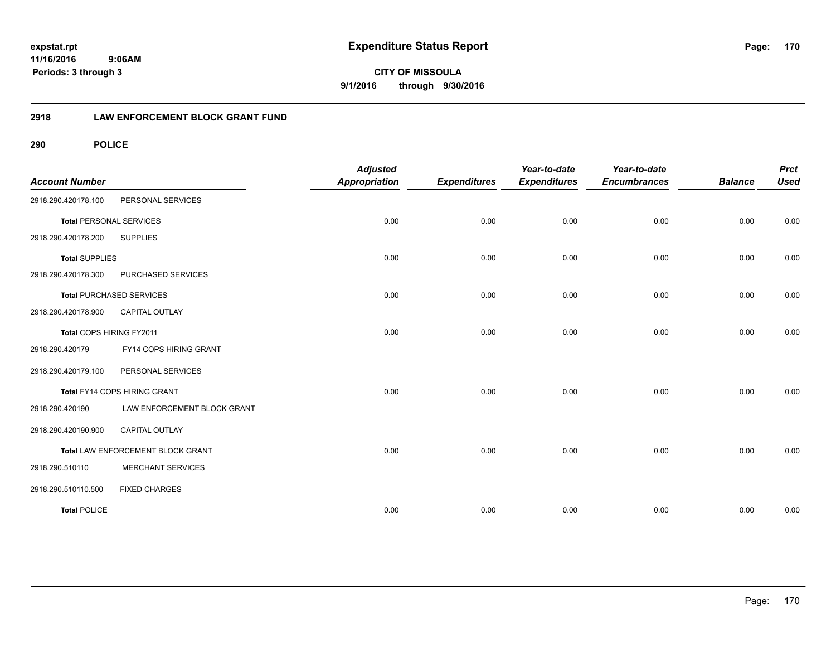**CITY OF MISSOULA 9/1/2016 through 9/30/2016**

### **2918 LAW ENFORCEMENT BLOCK GRANT FUND**

| <b>Account Number</b>          |                                   | <b>Adjusted</b><br><b>Appropriation</b> | <b>Expenditures</b> | Year-to-date<br><b>Expenditures</b> | Year-to-date<br><b>Encumbrances</b> | <b>Balance</b> | <b>Prct</b><br><b>Used</b> |
|--------------------------------|-----------------------------------|-----------------------------------------|---------------------|-------------------------------------|-------------------------------------|----------------|----------------------------|
| 2918.290.420178.100            | PERSONAL SERVICES                 |                                         |                     |                                     |                                     |                |                            |
| <b>Total PERSONAL SERVICES</b> |                                   | 0.00                                    | 0.00                | 0.00                                | 0.00                                | 0.00           | 0.00                       |
| 2918.290.420178.200            | <b>SUPPLIES</b>                   |                                         |                     |                                     |                                     |                |                            |
| <b>Total SUPPLIES</b>          |                                   | 0.00                                    | 0.00                | 0.00                                | 0.00                                | 0.00           | 0.00                       |
| 2918.290.420178.300            | PURCHASED SERVICES                |                                         |                     |                                     |                                     |                |                            |
|                                | <b>Total PURCHASED SERVICES</b>   | 0.00                                    | 0.00                | 0.00                                | 0.00                                | 0.00           | 0.00                       |
| 2918.290.420178.900            | <b>CAPITAL OUTLAY</b>             |                                         |                     |                                     |                                     |                |                            |
| Total COPS HIRING FY2011       |                                   | 0.00                                    | 0.00                | 0.00                                | 0.00                                | 0.00           | 0.00                       |
| 2918.290.420179                | FY14 COPS HIRING GRANT            |                                         |                     |                                     |                                     |                |                            |
| 2918.290.420179.100            | PERSONAL SERVICES                 |                                         |                     |                                     |                                     |                |                            |
|                                | Total FY14 COPS HIRING GRANT      | 0.00                                    | 0.00                | 0.00                                | 0.00                                | 0.00           | 0.00                       |
| 2918.290.420190                | LAW ENFORCEMENT BLOCK GRANT       |                                         |                     |                                     |                                     |                |                            |
| 2918.290.420190.900            | <b>CAPITAL OUTLAY</b>             |                                         |                     |                                     |                                     |                |                            |
|                                | Total LAW ENFORCEMENT BLOCK GRANT | 0.00                                    | 0.00                | 0.00                                | 0.00                                | 0.00           | 0.00                       |
| 2918.290.510110                | <b>MERCHANT SERVICES</b>          |                                         |                     |                                     |                                     |                |                            |
| 2918.290.510110.500            | <b>FIXED CHARGES</b>              |                                         |                     |                                     |                                     |                |                            |
| <b>Total POLICE</b>            |                                   | 0.00                                    | 0.00                | 0.00                                | 0.00                                | 0.00           | 0.00                       |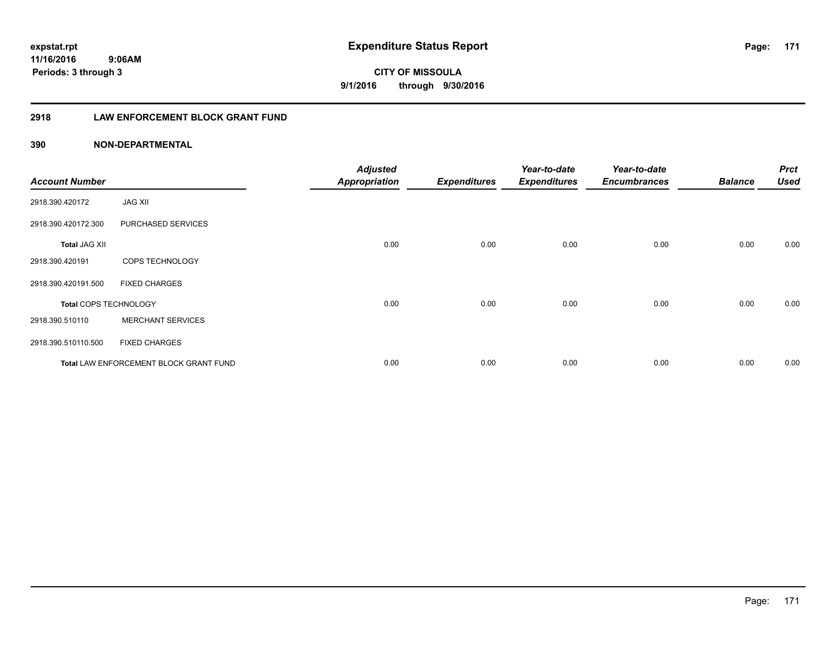**171**

**CITY OF MISSOULA 9/1/2016 through 9/30/2016**

### **2918 LAW ENFORCEMENT BLOCK GRANT FUND**

### **390 NON-DEPARTMENTAL**

| <b>Account Number</b>        |                                        | <b>Adjusted</b><br><b>Appropriation</b> | <b>Expenditures</b> | Year-to-date<br><b>Expenditures</b> | Year-to-date<br><b>Encumbrances</b> | <b>Balance</b> | <b>Prct</b><br><b>Used</b> |
|------------------------------|----------------------------------------|-----------------------------------------|---------------------|-------------------------------------|-------------------------------------|----------------|----------------------------|
| 2918.390.420172              | <b>JAG XII</b>                         |                                         |                     |                                     |                                     |                |                            |
| 2918.390.420172.300          | PURCHASED SERVICES                     |                                         |                     |                                     |                                     |                |                            |
| <b>Total JAG XII</b>         |                                        | 0.00                                    | 0.00                | 0.00                                | 0.00                                | 0.00           | 0.00                       |
| 2918.390.420191              | COPS TECHNOLOGY                        |                                         |                     |                                     |                                     |                |                            |
| 2918.390.420191.500          | <b>FIXED CHARGES</b>                   |                                         |                     |                                     |                                     |                |                            |
| <b>Total COPS TECHNOLOGY</b> |                                        | 0.00                                    | 0.00                | 0.00                                | 0.00                                | 0.00           | 0.00                       |
| 2918.390.510110              | <b>MERCHANT SERVICES</b>               |                                         |                     |                                     |                                     |                |                            |
| 2918.390.510110.500          | <b>FIXED CHARGES</b>                   |                                         |                     |                                     |                                     |                |                            |
|                              | Total LAW ENFORCEMENT BLOCK GRANT FUND | 0.00                                    | 0.00                | 0.00                                | 0.00                                | 0.00           | 0.00                       |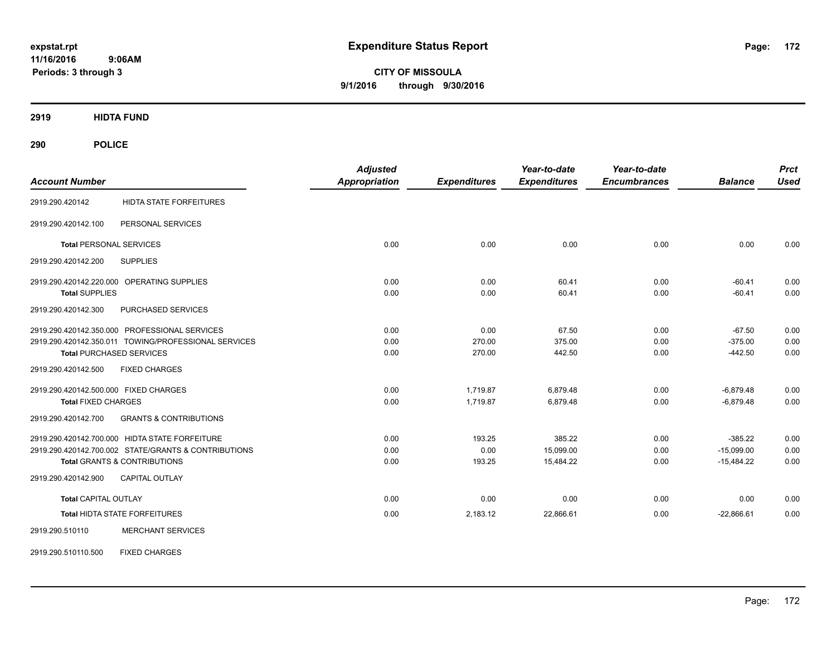**CITY OF MISSOULA 9/1/2016 through 9/30/2016**

**2919 HIDTA FUND**

| <b>Account Number</b>                                    | <b>Adjusted</b><br><b>Appropriation</b> | <b>Expenditures</b> | Year-to-date<br><b>Expenditures</b> | Year-to-date<br><b>Encumbrances</b> | <b>Balance</b> | <b>Prct</b><br><b>Used</b> |
|----------------------------------------------------------|-----------------------------------------|---------------------|-------------------------------------|-------------------------------------|----------------|----------------------------|
| <b>HIDTA STATE FORFEITURES</b><br>2919.290.420142        |                                         |                     |                                     |                                     |                |                            |
| PERSONAL SERVICES<br>2919.290.420142.100                 |                                         |                     |                                     |                                     |                |                            |
| <b>Total PERSONAL SERVICES</b>                           | 0.00                                    | 0.00                | 0.00                                | 0.00                                | 0.00           | 0.00                       |
| 2919.290.420142.200<br><b>SUPPLIES</b>                   |                                         |                     |                                     |                                     |                |                            |
| 2919.290.420142.220.000 OPERATING SUPPLIES               | 0.00                                    | 0.00                | 60.41                               | 0.00                                | $-60.41$       | 0.00                       |
| <b>Total SUPPLIES</b>                                    | 0.00                                    | 0.00                | 60.41                               | 0.00                                | $-60.41$       | 0.00                       |
| PURCHASED SERVICES<br>2919.290.420142.300                |                                         |                     |                                     |                                     |                |                            |
| 2919.290.420142.350.000 PROFESSIONAL SERVICES            | 0.00                                    | 0.00                | 67.50                               | 0.00                                | $-67.50$       | 0.00                       |
| 2919.290.420142.350.011 TOWING/PROFESSIONAL SERVICES     | 0.00                                    | 270.00              | 375.00                              | 0.00                                | $-375.00$      | 0.00                       |
| <b>Total PURCHASED SERVICES</b>                          | 0.00                                    | 270.00              | 442.50                              | 0.00                                | $-442.50$      | 0.00                       |
| <b>FIXED CHARGES</b><br>2919.290.420142.500              |                                         |                     |                                     |                                     |                |                            |
| 2919.290.420142.500.000 FIXED CHARGES                    | 0.00                                    | 1,719.87            | 6,879.48                            | 0.00                                | $-6,879.48$    | 0.00                       |
| <b>Total FIXED CHARGES</b>                               | 0.00                                    | 1,719.87            | 6,879.48                            | 0.00                                | $-6,879.48$    | 0.00                       |
| <b>GRANTS &amp; CONTRIBUTIONS</b><br>2919.290.420142.700 |                                         |                     |                                     |                                     |                |                            |
| 2919.290.420142.700.000 HIDTA STATE FORFEITURE           | 0.00                                    | 193.25              | 385.22                              | 0.00                                | $-385.22$      | 0.00                       |
| 2919.290.420142.700.002 STATE/GRANTS & CONTRIBUTIONS     | 0.00                                    | 0.00                | 15,099.00                           | 0.00                                | $-15,099.00$   | 0.00                       |
| <b>Total GRANTS &amp; CONTRIBUTIONS</b>                  | 0.00                                    | 193.25              | 15,484.22                           | 0.00                                | $-15,484.22$   | 0.00                       |
| 2919.290.420142.900<br><b>CAPITAL OUTLAY</b>             |                                         |                     |                                     |                                     |                |                            |
| <b>Total CAPITAL OUTLAY</b>                              | 0.00                                    | 0.00                | 0.00                                | 0.00                                | 0.00           | 0.00                       |
| Total HIDTA STATE FORFEITURES                            | 0.00                                    | 2,183.12            | 22,866.61                           | 0.00                                | $-22,866.61$   | 0.00                       |
| 2919.290.510110<br><b>MERCHANT SERVICES</b>              |                                         |                     |                                     |                                     |                |                            |
| <b>FIXED CHARGES</b><br>2919.290.510110.500              |                                         |                     |                                     |                                     |                |                            |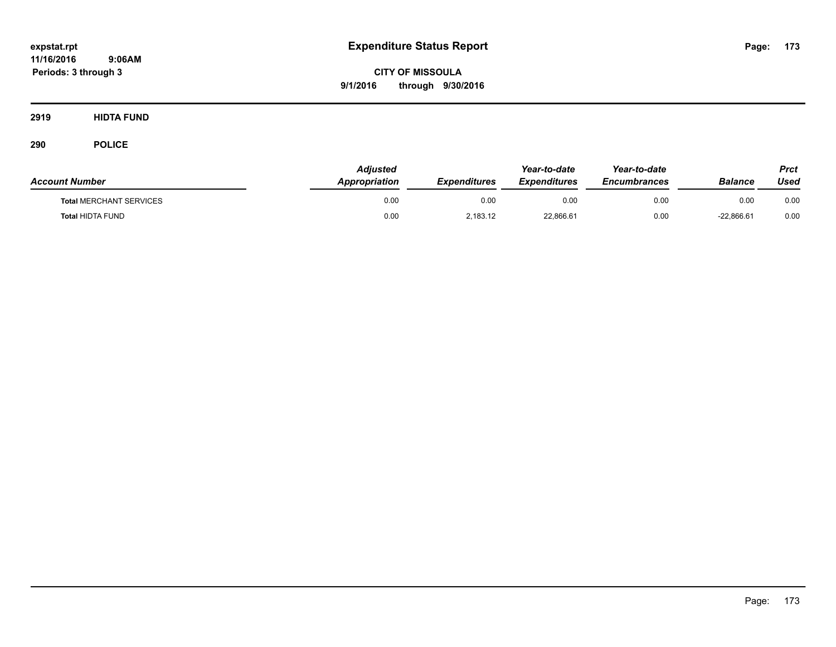**CITY OF MISSOULA 9/1/2016 through 9/30/2016**

**2919 HIDTA FUND**

| <b>Account Number</b>          | Adjusted<br><b>Appropriation</b> | <b>Expenditures</b> | Year-to-date<br><b>Expenditures</b> | Year-to-date<br><b>Encumbrances</b> | <b>Balance</b> | Prct<br>Used |
|--------------------------------|----------------------------------|---------------------|-------------------------------------|-------------------------------------|----------------|--------------|
| <b>Total MERCHANT SERVICES</b> | 0.00                             | 0.00                | 0.00                                | 0.00                                | 0.00           | 0.00         |
| <b>Total HIDTA FUND</b>        | 0.00                             | 2,183.12            | 22,866.61                           | 0.00                                | $-22.866.61$   | 0.00         |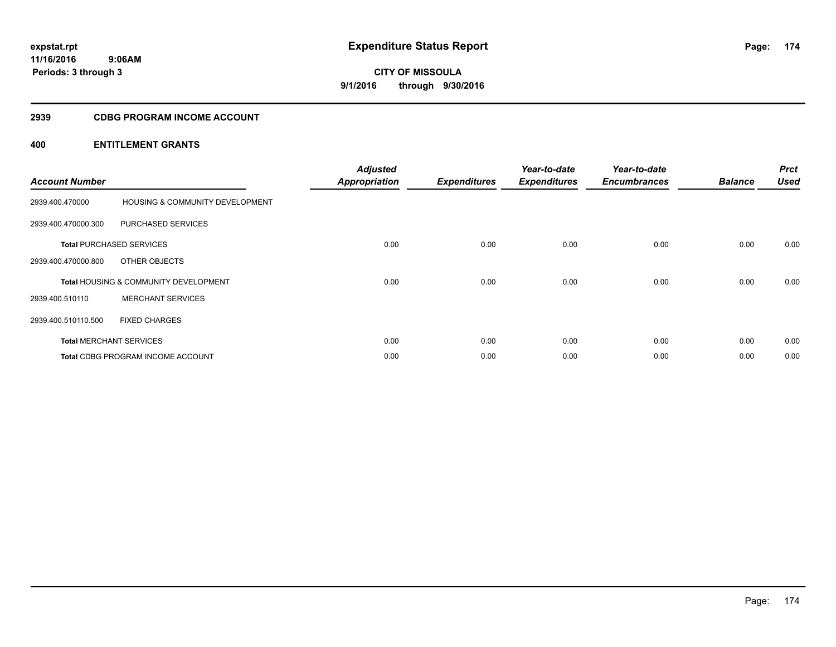### **2939 CDBG PROGRAM INCOME ACCOUNT**

| <b>Account Number</b> |                                                  | <b>Adjusted</b><br><b>Appropriation</b> | <b>Expenditures</b> | Year-to-date<br><b>Expenditures</b> | Year-to-date<br><b>Encumbrances</b> | <b>Balance</b> | <b>Prct</b><br><b>Used</b> |
|-----------------------|--------------------------------------------------|-----------------------------------------|---------------------|-------------------------------------|-------------------------------------|----------------|----------------------------|
| 2939.400.470000       | HOUSING & COMMUNITY DEVELOPMENT                  |                                         |                     |                                     |                                     |                |                            |
| 2939.400.470000.300   | <b>PURCHASED SERVICES</b>                        |                                         |                     |                                     |                                     |                |                            |
|                       | <b>Total PURCHASED SERVICES</b>                  | 0.00                                    | 0.00                | 0.00                                | 0.00                                | 0.00           | 0.00                       |
| 2939.400.470000.800   | OTHER OBJECTS                                    |                                         |                     |                                     |                                     |                |                            |
|                       | <b>Total HOUSING &amp; COMMUNITY DEVELOPMENT</b> | 0.00                                    | 0.00                | 0.00                                | 0.00                                | 0.00           | 0.00                       |
| 2939.400.510110       | <b>MERCHANT SERVICES</b>                         |                                         |                     |                                     |                                     |                |                            |
| 2939.400.510110.500   | <b>FIXED CHARGES</b>                             |                                         |                     |                                     |                                     |                |                            |
|                       | <b>Total MERCHANT SERVICES</b>                   | 0.00                                    | 0.00                | 0.00                                | 0.00                                | 0.00           | 0.00                       |
|                       | <b>Total CDBG PROGRAM INCOME ACCOUNT</b>         | 0.00                                    | 0.00                | 0.00                                | 0.00                                | 0.00           | 0.00                       |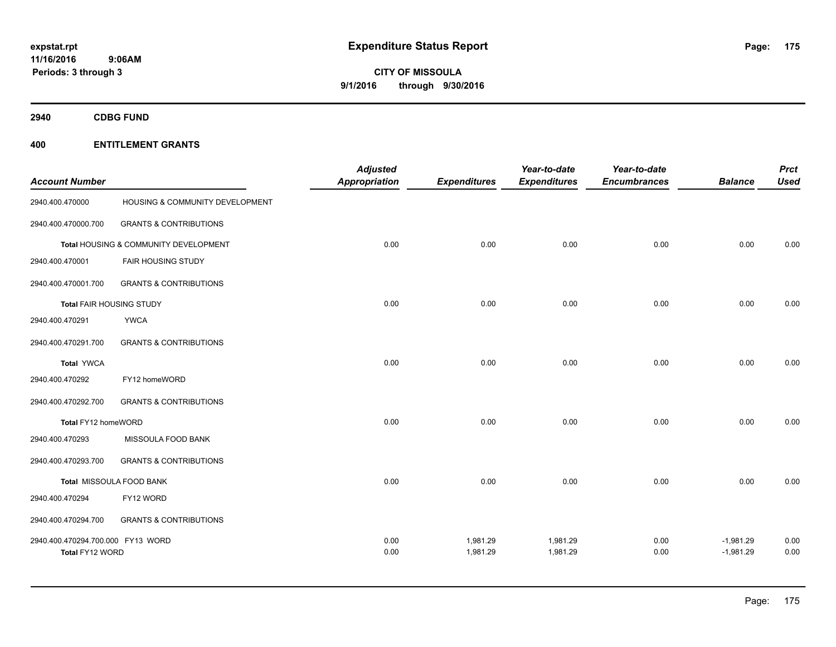**2940 CDBG FUND**

| <b>Account Number</b>                                |                                       | <b>Adjusted</b><br><b>Appropriation</b> | <b>Expenditures</b>  | Year-to-date<br><b>Expenditures</b> | Year-to-date<br><b>Encumbrances</b> | <b>Balance</b>             | <b>Prct</b><br><b>Used</b> |
|------------------------------------------------------|---------------------------------------|-----------------------------------------|----------------------|-------------------------------------|-------------------------------------|----------------------------|----------------------------|
| 2940.400.470000                                      | HOUSING & COMMUNITY DEVELOPMENT       |                                         |                      |                                     |                                     |                            |                            |
| 2940.400.470000.700                                  | <b>GRANTS &amp; CONTRIBUTIONS</b>     |                                         |                      |                                     |                                     |                            |                            |
|                                                      | Total HOUSING & COMMUNITY DEVELOPMENT | 0.00                                    | 0.00                 | 0.00                                | 0.00                                | 0.00                       | 0.00                       |
| 2940.400.470001                                      | <b>FAIR HOUSING STUDY</b>             |                                         |                      |                                     |                                     |                            |                            |
| 2940.400.470001.700                                  | <b>GRANTS &amp; CONTRIBUTIONS</b>     |                                         |                      |                                     |                                     |                            |                            |
| Total FAIR HOUSING STUDY                             |                                       | 0.00                                    | 0.00                 | 0.00                                | 0.00                                | 0.00                       | 0.00                       |
| 2940.400.470291                                      | <b>YWCA</b>                           |                                         |                      |                                     |                                     |                            |                            |
| 2940.400.470291.700                                  | <b>GRANTS &amp; CONTRIBUTIONS</b>     |                                         |                      |                                     |                                     |                            |                            |
| <b>Total YWCA</b>                                    |                                       | 0.00                                    | 0.00                 | 0.00                                | 0.00                                | 0.00                       | 0.00                       |
| 2940.400.470292                                      | FY12 homeWORD                         |                                         |                      |                                     |                                     |                            |                            |
| 2940.400.470292.700                                  | <b>GRANTS &amp; CONTRIBUTIONS</b>     |                                         |                      |                                     |                                     |                            |                            |
| Total FY12 homeWORD                                  |                                       | 0.00                                    | 0.00                 | 0.00                                | 0.00                                | 0.00                       | 0.00                       |
| 2940.400.470293                                      | MISSOULA FOOD BANK                    |                                         |                      |                                     |                                     |                            |                            |
| 2940.400.470293.700                                  | <b>GRANTS &amp; CONTRIBUTIONS</b>     |                                         |                      |                                     |                                     |                            |                            |
|                                                      | Total MISSOULA FOOD BANK              | 0.00                                    | 0.00                 | 0.00                                | 0.00                                | 0.00                       | 0.00                       |
| 2940.400.470294                                      | FY12 WORD                             |                                         |                      |                                     |                                     |                            |                            |
| 2940.400.470294.700                                  | <b>GRANTS &amp; CONTRIBUTIONS</b>     |                                         |                      |                                     |                                     |                            |                            |
| 2940.400.470294.700.000 FY13 WORD<br>Total FY12 WORD |                                       | 0.00<br>0.00                            | 1,981.29<br>1,981.29 | 1,981.29<br>1,981.29                | 0.00<br>0.00                        | $-1,981.29$<br>$-1,981.29$ | 0.00<br>0.00               |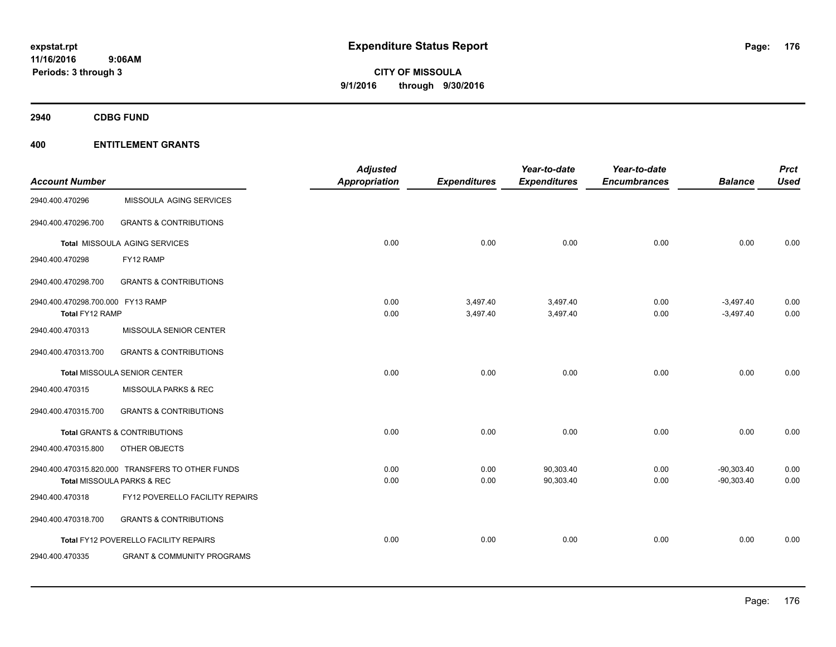**2940 CDBG FUND**

|                                   |                                                  | <b>Adjusted</b>      |                     | Year-to-date        | Year-to-date        |                | <b>Prct</b> |
|-----------------------------------|--------------------------------------------------|----------------------|---------------------|---------------------|---------------------|----------------|-------------|
| <b>Account Number</b>             |                                                  | <b>Appropriation</b> | <b>Expenditures</b> | <b>Expenditures</b> | <b>Encumbrances</b> | <b>Balance</b> | <b>Used</b> |
| 2940.400.470296                   | MISSOULA AGING SERVICES                          |                      |                     |                     |                     |                |             |
| 2940.400.470296.700               | <b>GRANTS &amp; CONTRIBUTIONS</b>                |                      |                     |                     |                     |                |             |
|                                   | Total MISSOULA AGING SERVICES                    | 0.00                 | 0.00                | 0.00                | 0.00                | 0.00           | 0.00        |
| 2940.400.470298                   | FY12 RAMP                                        |                      |                     |                     |                     |                |             |
| 2940.400.470298.700               | <b>GRANTS &amp; CONTRIBUTIONS</b>                |                      |                     |                     |                     |                |             |
| 2940.400.470298.700.000 FY13 RAMP |                                                  | 0.00                 | 3,497.40            | 3,497.40            | 0.00                | $-3,497.40$    | 0.00        |
| Total FY12 RAMP                   |                                                  | 0.00                 | 3,497.40            | 3,497.40            | 0.00                | $-3,497.40$    | 0.00        |
| 2940.400.470313                   | MISSOULA SENIOR CENTER                           |                      |                     |                     |                     |                |             |
| 2940.400.470313.700               | <b>GRANTS &amp; CONTRIBUTIONS</b>                |                      |                     |                     |                     |                |             |
|                                   | <b>Total MISSOULA SENIOR CENTER</b>              | 0.00                 | 0.00                | 0.00                | 0.00                | 0.00           | 0.00        |
| 2940.400.470315                   | MISSOULA PARKS & REC                             |                      |                     |                     |                     |                |             |
| 2940.400.470315.700               | <b>GRANTS &amp; CONTRIBUTIONS</b>                |                      |                     |                     |                     |                |             |
|                                   | <b>Total GRANTS &amp; CONTRIBUTIONS</b>          | 0.00                 | 0.00                | 0.00                | 0.00                | 0.00           | 0.00        |
| 2940.400.470315.800               | OTHER OBJECTS                                    |                      |                     |                     |                     |                |             |
|                                   | 2940.400.470315.820.000 TRANSFERS TO OTHER FUNDS | 0.00                 | 0.00                | 90,303.40           | 0.00                | $-90,303.40$   | 0.00        |
|                                   | Total MISSOULA PARKS & REC                       | 0.00                 | 0.00                | 90,303.40           | 0.00                | $-90,303.40$   | 0.00        |
| 2940.400.470318                   | FY12 POVERELLO FACILITY REPAIRS                  |                      |                     |                     |                     |                |             |
| 2940.400.470318.700               | <b>GRANTS &amp; CONTRIBUTIONS</b>                |                      |                     |                     |                     |                |             |
|                                   | Total FY12 POVERELLO FACILITY REPAIRS            | 0.00                 | 0.00                | 0.00                | 0.00                | 0.00           | 0.00        |
| 2940.400.470335                   | <b>GRANT &amp; COMMUNITY PROGRAMS</b>            |                      |                     |                     |                     |                |             |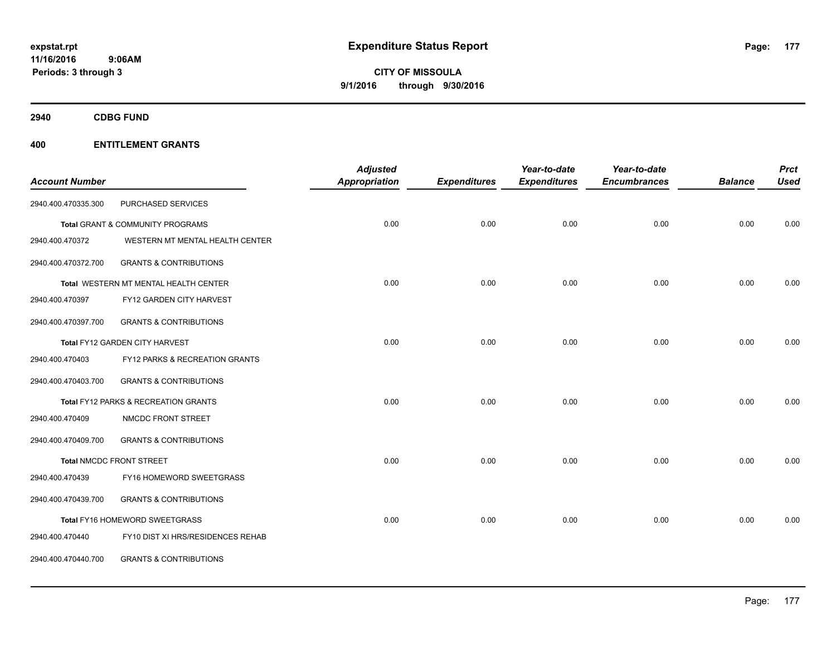**2940 CDBG FUND**

|                       |                                       | <b>Adjusted</b> |                     | Year-to-date        | Year-to-date        |                | <b>Prct</b> |
|-----------------------|---------------------------------------|-----------------|---------------------|---------------------|---------------------|----------------|-------------|
| <b>Account Number</b> |                                       | Appropriation   | <b>Expenditures</b> | <b>Expenditures</b> | <b>Encumbrances</b> | <b>Balance</b> | <b>Used</b> |
| 2940.400.470335.300   | PURCHASED SERVICES                    |                 |                     |                     |                     |                |             |
|                       | Total GRANT & COMMUNITY PROGRAMS      | 0.00            | 0.00                | 0.00                | 0.00                | 0.00           | 0.00        |
| 2940.400.470372       | WESTERN MT MENTAL HEALTH CENTER       |                 |                     |                     |                     |                |             |
| 2940.400.470372.700   | <b>GRANTS &amp; CONTRIBUTIONS</b>     |                 |                     |                     |                     |                |             |
|                       | Total WESTERN MT MENTAL HEALTH CENTER | 0.00            | 0.00                | 0.00                | 0.00                | 0.00           | 0.00        |
| 2940.400.470397       | FY12 GARDEN CITY HARVEST              |                 |                     |                     |                     |                |             |
| 2940.400.470397.700   | <b>GRANTS &amp; CONTRIBUTIONS</b>     |                 |                     |                     |                     |                |             |
|                       | Total FY12 GARDEN CITY HARVEST        | 0.00            | 0.00                | 0.00                | 0.00                | 0.00           | 0.00        |
| 2940.400.470403       | FY12 PARKS & RECREATION GRANTS        |                 |                     |                     |                     |                |             |
| 2940.400.470403.700   | <b>GRANTS &amp; CONTRIBUTIONS</b>     |                 |                     |                     |                     |                |             |
|                       | Total FY12 PARKS & RECREATION GRANTS  | 0.00            | 0.00                | 0.00                | 0.00                | 0.00           | 0.00        |
| 2940.400.470409       | NMCDC FRONT STREET                    |                 |                     |                     |                     |                |             |
| 2940.400.470409.700   | <b>GRANTS &amp; CONTRIBUTIONS</b>     |                 |                     |                     |                     |                |             |
|                       | <b>Total NMCDC FRONT STREET</b>       | 0.00            | 0.00                | 0.00                | 0.00                | 0.00           | 0.00        |
| 2940.400.470439       | FY16 HOMEWORD SWEETGRASS              |                 |                     |                     |                     |                |             |
| 2940.400.470439.700   | <b>GRANTS &amp; CONTRIBUTIONS</b>     |                 |                     |                     |                     |                |             |
|                       | Total FY16 HOMEWORD SWEETGRASS        | 0.00            | 0.00                | 0.00                | 0.00                | 0.00           | 0.00        |
| 2940.400.470440       | FY10 DIST XI HRS/RESIDENCES REHAB     |                 |                     |                     |                     |                |             |
| 2940.400.470440.700   | <b>GRANTS &amp; CONTRIBUTIONS</b>     |                 |                     |                     |                     |                |             |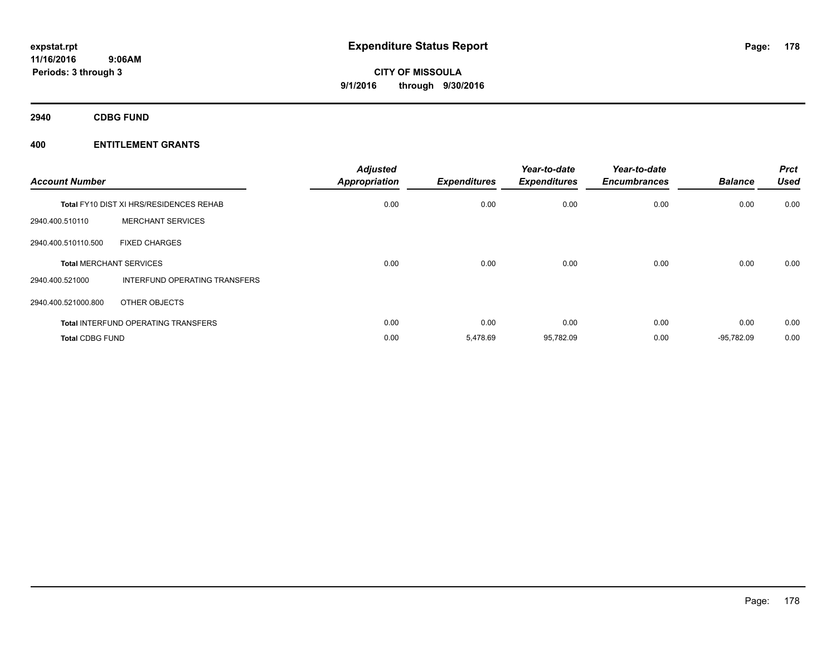**2940 CDBG FUND**

| <b>Account Number</b>          |                                                | <b>Adjusted</b><br><b>Appropriation</b> | <b>Expenditures</b> | Year-to-date<br><b>Expenditures</b> | Year-to-date<br><b>Encumbrances</b> | <b>Balance</b> | <b>Prct</b><br><b>Used</b> |
|--------------------------------|------------------------------------------------|-----------------------------------------|---------------------|-------------------------------------|-------------------------------------|----------------|----------------------------|
|                                | <b>Total FY10 DIST XI HRS/RESIDENCES REHAB</b> | 0.00                                    | 0.00                | 0.00                                | 0.00                                | 0.00           | 0.00                       |
| 2940.400.510110                | <b>MERCHANT SERVICES</b>                       |                                         |                     |                                     |                                     |                |                            |
| 2940.400.510110.500            | <b>FIXED CHARGES</b>                           |                                         |                     |                                     |                                     |                |                            |
| <b>Total MERCHANT SERVICES</b> |                                                | 0.00                                    | 0.00                | 0.00                                | 0.00                                | 0.00           | 0.00                       |
| 2940.400.521000                | <b>INTERFUND OPERATING TRANSFERS</b>           |                                         |                     |                                     |                                     |                |                            |
| 2940.400.521000.800            | OTHER OBJECTS                                  |                                         |                     |                                     |                                     |                |                            |
|                                | <b>Total INTERFUND OPERATING TRANSFERS</b>     | 0.00                                    | 0.00                | 0.00                                | 0.00                                | 0.00           | 0.00                       |
| <b>Total CDBG FUND</b>         |                                                | 0.00                                    | 5,478.69            | 95,782.09                           | 0.00                                | $-95,782.09$   | 0.00                       |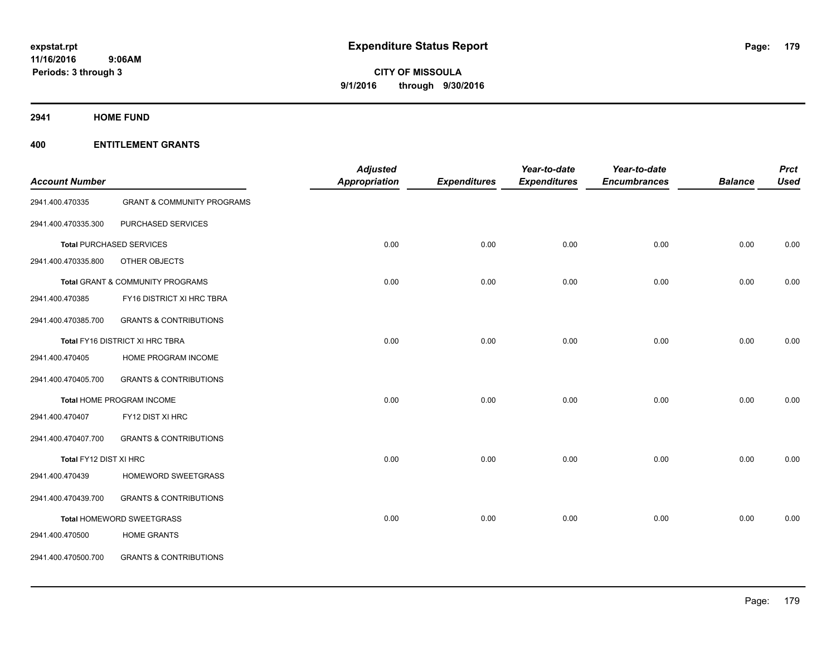**2941 HOME FUND**

|                        |                                       | <b>Adjusted</b>      |                     | Year-to-date        | Year-to-date        |                | <b>Prct</b> |
|------------------------|---------------------------------------|----------------------|---------------------|---------------------|---------------------|----------------|-------------|
| <b>Account Number</b>  |                                       | <b>Appropriation</b> | <b>Expenditures</b> | <b>Expenditures</b> | <b>Encumbrances</b> | <b>Balance</b> | <b>Used</b> |
| 2941.400.470335        | <b>GRANT &amp; COMMUNITY PROGRAMS</b> |                      |                     |                     |                     |                |             |
| 2941.400.470335.300    | PURCHASED SERVICES                    |                      |                     |                     |                     |                |             |
|                        | <b>Total PURCHASED SERVICES</b>       | 0.00                 | 0.00                | 0.00                | 0.00                | 0.00           | 0.00        |
| 2941.400.470335.800    | OTHER OBJECTS                         |                      |                     |                     |                     |                |             |
|                        | Total GRANT & COMMUNITY PROGRAMS      | 0.00                 | 0.00                | 0.00                | 0.00                | 0.00           | 0.00        |
| 2941.400.470385        | FY16 DISTRICT XI HRC TBRA             |                      |                     |                     |                     |                |             |
| 2941.400.470385.700    | <b>GRANTS &amp; CONTRIBUTIONS</b>     |                      |                     |                     |                     |                |             |
|                        | Total FY16 DISTRICT XI HRC TBRA       | 0.00                 | 0.00                | 0.00                | 0.00                | 0.00           | 0.00        |
| 2941.400.470405        | HOME PROGRAM INCOME                   |                      |                     |                     |                     |                |             |
| 2941.400.470405.700    | <b>GRANTS &amp; CONTRIBUTIONS</b>     |                      |                     |                     |                     |                |             |
|                        | Total HOME PROGRAM INCOME             | 0.00                 | 0.00                | 0.00                | 0.00                | 0.00           | 0.00        |
| 2941.400.470407        | FY12 DIST XI HRC                      |                      |                     |                     |                     |                |             |
| 2941.400.470407.700    | <b>GRANTS &amp; CONTRIBUTIONS</b>     |                      |                     |                     |                     |                |             |
| Total FY12 DIST XI HRC |                                       | 0.00                 | 0.00                | 0.00                | 0.00                | 0.00           | 0.00        |
| 2941.400.470439        | HOMEWORD SWEETGRASS                   |                      |                     |                     |                     |                |             |
| 2941.400.470439.700    | <b>GRANTS &amp; CONTRIBUTIONS</b>     |                      |                     |                     |                     |                |             |
|                        | Total HOMEWORD SWEETGRASS             | 0.00                 | 0.00                | 0.00                | 0.00                | 0.00           | 0.00        |
| 2941.400.470500        | <b>HOME GRANTS</b>                    |                      |                     |                     |                     |                |             |
| 2941.400.470500.700    | <b>GRANTS &amp; CONTRIBUTIONS</b>     |                      |                     |                     |                     |                |             |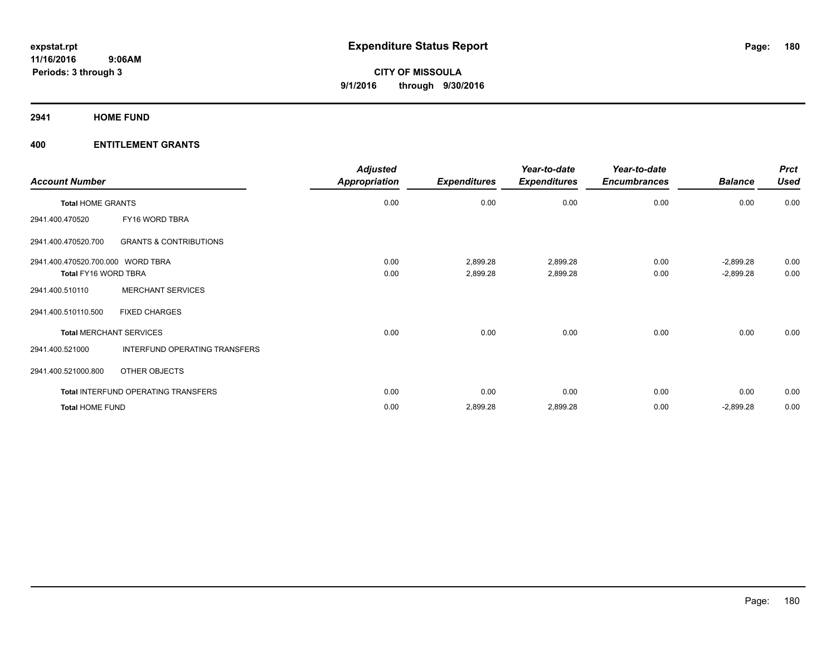**2941 HOME FUND**

| <b>Account Number</b>             |                                     | <b>Adjusted</b><br><b>Appropriation</b> | <b>Expenditures</b> | Year-to-date<br><b>Expenditures</b> | Year-to-date<br><b>Encumbrances</b> | <b>Balance</b> | <b>Prct</b><br><b>Used</b> |
|-----------------------------------|-------------------------------------|-----------------------------------------|---------------------|-------------------------------------|-------------------------------------|----------------|----------------------------|
| <b>Total HOME GRANTS</b>          |                                     | 0.00                                    | 0.00                | 0.00                                | 0.00                                | 0.00           | 0.00                       |
| 2941.400.470520                   | FY16 WORD TBRA                      |                                         |                     |                                     |                                     |                |                            |
| 2941.400.470520.700               | <b>GRANTS &amp; CONTRIBUTIONS</b>   |                                         |                     |                                     |                                     |                |                            |
| 2941.400.470520.700.000 WORD TBRA |                                     | 0.00                                    | 2,899.28            | 2,899.28                            | 0.00                                | $-2,899.28$    | 0.00                       |
| Total FY16 WORD TBRA              |                                     | 0.00                                    | 2,899.28            | 2,899.28                            | 0.00                                | $-2,899.28$    | 0.00                       |
| 2941.400.510110                   | <b>MERCHANT SERVICES</b>            |                                         |                     |                                     |                                     |                |                            |
| 2941.400.510110.500               | <b>FIXED CHARGES</b>                |                                         |                     |                                     |                                     |                |                            |
|                                   | <b>Total MERCHANT SERVICES</b>      | 0.00                                    | 0.00                | 0.00                                | 0.00                                | 0.00           | 0.00                       |
| 2941.400.521000                   | INTERFUND OPERATING TRANSFERS       |                                         |                     |                                     |                                     |                |                            |
| 2941.400.521000.800               | <b>OTHER OBJECTS</b>                |                                         |                     |                                     |                                     |                |                            |
|                                   | Total INTERFUND OPERATING TRANSFERS | 0.00                                    | 0.00                | 0.00                                | 0.00                                | 0.00           | 0.00                       |
| <b>Total HOME FUND</b>            |                                     | 0.00                                    | 2,899.28            | 2,899.28                            | 0.00                                | $-2,899.28$    | 0.00                       |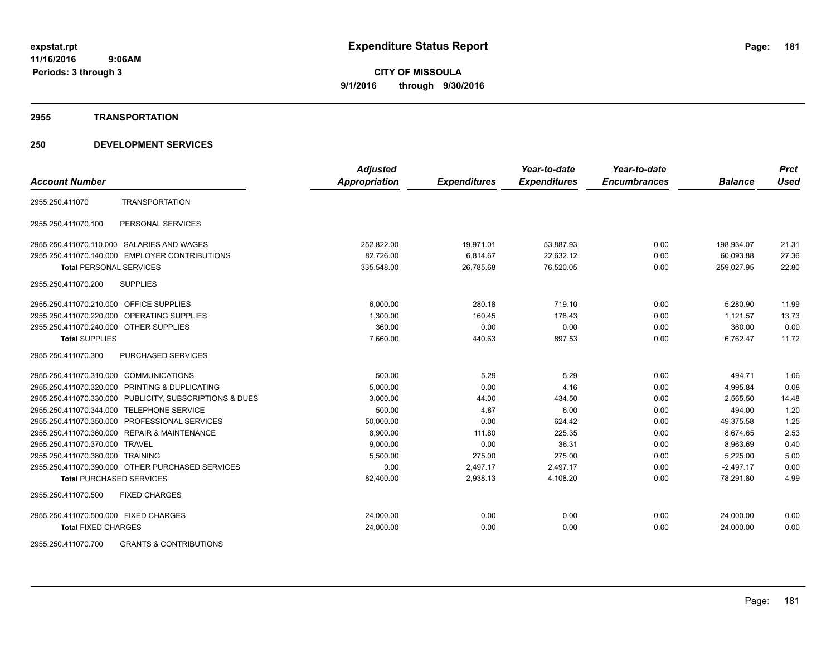#### **2955 TRANSPORTATION**

|                                                          | <b>Adjusted</b>      |                     | Year-to-date        | Year-to-date        |                | <b>Prct</b> |
|----------------------------------------------------------|----------------------|---------------------|---------------------|---------------------|----------------|-------------|
| <b>Account Number</b>                                    | <b>Appropriation</b> | <b>Expenditures</b> | <b>Expenditures</b> | <b>Encumbrances</b> | <b>Balance</b> | <b>Used</b> |
| <b>TRANSPORTATION</b><br>2955.250.411070                 |                      |                     |                     |                     |                |             |
| PERSONAL SERVICES<br>2955.250.411070.100                 |                      |                     |                     |                     |                |             |
| 2955.250.411070.110.000 SALARIES AND WAGES               | 252,822.00           | 19,971.01           | 53,887.93           | 0.00                | 198,934.07     | 21.31       |
| 2955.250.411070.140.000 EMPLOYER CONTRIBUTIONS           | 82,726.00            | 6,814.67            | 22,632.12           | 0.00                | 60,093.88      | 27.36       |
| <b>Total PERSONAL SERVICES</b>                           | 335,548.00           | 26,785.68           | 76,520.05           | 0.00                | 259,027.95     | 22.80       |
| <b>SUPPLIES</b><br>2955.250.411070.200                   |                      |                     |                     |                     |                |             |
| 2955.250.411070.210.000 OFFICE SUPPLIES                  | 6.000.00             | 280.18              | 719.10              | 0.00                | 5,280.90       | 11.99       |
| 2955.250.411070.220.000 OPERATING SUPPLIES               | 1.300.00             | 160.45              | 178.43              | 0.00                | 1.121.57       | 13.73       |
| 2955.250.411070.240.000 OTHER SUPPLIES                   | 360.00               | 0.00                | 0.00                | 0.00                | 360.00         | 0.00        |
| <b>Total SUPPLIES</b>                                    | 7,660.00             | 440.63              | 897.53              | 0.00                | 6,762.47       | 11.72       |
| 2955.250.411070.300<br>PURCHASED SERVICES                |                      |                     |                     |                     |                |             |
| 2955.250.411070.310.000 COMMUNICATIONS                   | 500.00               | 5.29                | 5.29                | 0.00                | 494.71         | 1.06        |
| 2955.250.411070.320.000 PRINTING & DUPLICATING           | 5,000.00             | 0.00                | 4.16                | 0.00                | 4,995.84       | 0.08        |
| 2955.250.411070.330.000 PUBLICITY, SUBSCRIPTIONS & DUES  | 3,000.00             | 44.00               | 434.50              | 0.00                | 2,565.50       | 14.48       |
| 2955.250.411070.344.000 TELEPHONE SERVICE                | 500.00               | 4.87                | 6.00                | 0.00                | 494.00         | 1.20        |
| 2955.250.411070.350.000 PROFESSIONAL SERVICES            | 50,000.00            | 0.00                | 624.42              | 0.00                | 49,375.58      | 1.25        |
| 2955.250.411070.360.000 REPAIR & MAINTENANCE             | 8,900.00             | 111.80              | 225.35              | 0.00                | 8,674.65       | 2.53        |
| 2955.250.411070.370.000 TRAVEL                           | 9,000.00             | 0.00                | 36.31               | 0.00                | 8,963.69       | 0.40        |
| 2955.250.411070.380.000 TRAINING                         | 5,500.00             | 275.00              | 275.00              | 0.00                | 5,225.00       | 5.00        |
| 2955.250.411070.390.000 OTHER PURCHASED SERVICES         | 0.00                 | 2,497.17            | 2,497.17            | 0.00                | $-2,497.17$    | 0.00        |
| <b>Total PURCHASED SERVICES</b>                          | 82,400.00            | 2,938.13            | 4,108.20            | 0.00                | 78,291.80      | 4.99        |
| 2955.250.411070.500<br><b>FIXED CHARGES</b>              |                      |                     |                     |                     |                |             |
| 2955.250.411070.500.000 FIXED CHARGES                    | 24,000.00            | 0.00                | 0.00                | 0.00                | 24,000.00      | 0.00        |
| <b>Total FIXED CHARGES</b>                               | 24,000.00            | 0.00                | 0.00                | 0.00                | 24,000.00      | 0.00        |
| 2955.250.411070.700<br><b>GRANTS &amp; CONTRIBUTIONS</b> |                      |                     |                     |                     |                |             |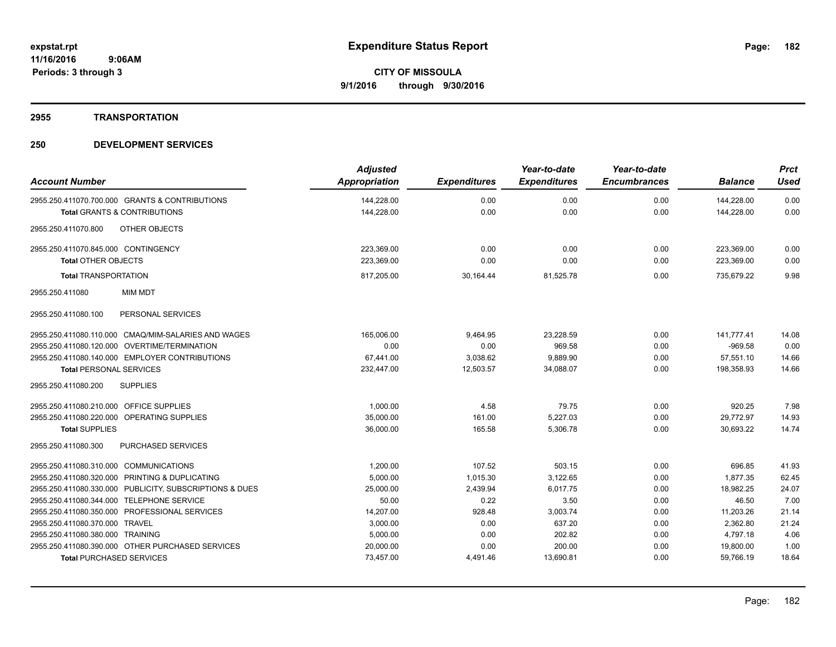### **2955 TRANSPORTATION**

| <b>Account Number</b>                                   | <b>Adjusted</b><br>Appropriation | <b>Expenditures</b> | Year-to-date<br><b>Expenditures</b> | Year-to-date<br><b>Encumbrances</b> | <b>Balance</b> | <b>Prct</b><br><b>Used</b> |
|---------------------------------------------------------|----------------------------------|---------------------|-------------------------------------|-------------------------------------|----------------|----------------------------|
|                                                         |                                  |                     |                                     |                                     |                |                            |
| 2955.250.411070.700.000 GRANTS & CONTRIBUTIONS          | 144,228.00                       | 0.00                | 0.00                                | 0.00                                | 144,228.00     | 0.00                       |
| <b>Total GRANTS &amp; CONTRIBUTIONS</b>                 | 144,228.00                       | 0.00                | 0.00                                | 0.00                                | 144,228.00     | 0.00                       |
| <b>OTHER OBJECTS</b><br>2955.250.411070.800             |                                  |                     |                                     |                                     |                |                            |
| 2955.250.411070.845.000 CONTINGENCY                     | 223,369.00                       | 0.00                | 0.00                                | 0.00                                | 223,369.00     | 0.00                       |
| <b>Total OTHER OBJECTS</b>                              | 223,369.00                       | 0.00                | 0.00                                | 0.00                                | 223,369.00     | 0.00                       |
| <b>Total TRANSPORTATION</b>                             | 817,205.00                       | 30,164.44           | 81,525.78                           | 0.00                                | 735,679.22     | 9.98                       |
| <b>MIM MDT</b><br>2955.250.411080                       |                                  |                     |                                     |                                     |                |                            |
| PERSONAL SERVICES<br>2955.250.411080.100                |                                  |                     |                                     |                                     |                |                            |
| 2955.250.411080.110.000 CMAQ/MIM-SALARIES AND WAGES     | 165,006.00                       | 9,464.95            | 23,228.59                           | 0.00                                | 141.777.41     | 14.08                      |
| 2955.250.411080.120.000 OVERTIME/TERMINATION            | 0.00                             | 0.00                | 969.58                              | 0.00                                | $-969.58$      | 0.00                       |
| 2955.250.411080.140.000 EMPLOYER CONTRIBUTIONS          | 67,441.00                        | 3,038.62            | 9,889.90                            | 0.00                                | 57,551.10      | 14.66                      |
| <b>Total PERSONAL SERVICES</b>                          | 232,447.00                       | 12,503.57           | 34,088.07                           | 0.00                                | 198,358.93     | 14.66                      |
| <b>SUPPLIES</b><br>2955.250.411080.200                  |                                  |                     |                                     |                                     |                |                            |
| 2955.250.411080.210.000 OFFICE SUPPLIES                 | 1,000.00                         | 4.58                | 79.75                               | 0.00                                | 920.25         | 7.98                       |
| 2955.250.411080.220.000 OPERATING SUPPLIES              | 35,000.00                        | 161.00              | 5,227.03                            | 0.00                                | 29,772.97      | 14.93                      |
| <b>Total SUPPLIES</b>                                   | 36,000.00                        | 165.58              | 5,306.78                            | 0.00                                | 30.693.22      | 14.74                      |
| <b>PURCHASED SERVICES</b><br>2955.250.411080.300        |                                  |                     |                                     |                                     |                |                            |
| 2955.250.411080.310.000 COMMUNICATIONS                  | 1,200.00                         | 107.52              | 503.15                              | 0.00                                | 696.85         | 41.93                      |
| 2955.250.411080.320.000 PRINTING & DUPLICATING          | 5.000.00                         | 1.015.30            | 3,122.65                            | 0.00                                | 1.877.35       | 62.45                      |
| 2955.250.411080.330.000 PUBLICITY, SUBSCRIPTIONS & DUES | 25,000.00                        | 2,439.94            | 6,017.75                            | 0.00                                | 18,982.25      | 24.07                      |
| 2955.250.411080.344.000 TELEPHONE SERVICE               | 50.00                            | 0.22                | 3.50                                | 0.00                                | 46.50          | 7.00                       |
| 2955.250.411080.350.000 PROFESSIONAL SERVICES           | 14,207.00                        | 928.48              | 3,003.74                            | 0.00                                | 11,203.26      | 21.14                      |
| 2955.250.411080.370.000 TRAVEL                          | 3,000.00                         | 0.00                | 637.20                              | 0.00                                | 2,362.80       | 21.24                      |
| 2955.250.411080.380.000 TRAINING                        | 5,000.00                         | 0.00                | 202.82                              | 0.00                                | 4,797.18       | 4.06                       |
| 2955.250.411080.390.000 OTHER PURCHASED SERVICES        | 20,000.00                        | 0.00                | 200.00                              | 0.00                                | 19,800.00      | 1.00                       |
| <b>Total PURCHASED SERVICES</b>                         | 73,457.00                        | 4,491.46            | 13,690.81                           | 0.00                                | 59,766.19      | 18.64                      |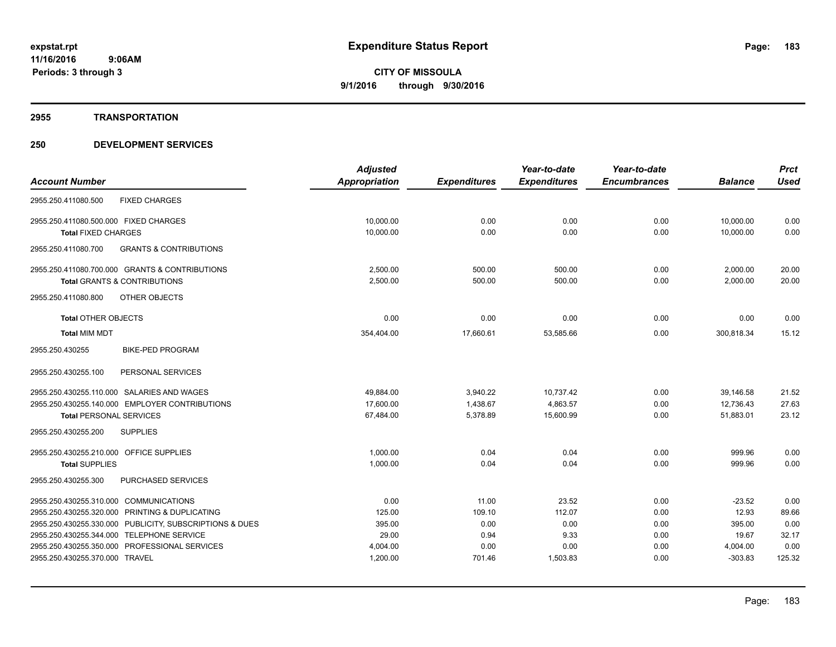#### **2955 TRANSPORTATION**

|                                                          | <b>Adjusted</b>      |                     | Year-to-date        | Year-to-date        |                | <b>Prct</b> |
|----------------------------------------------------------|----------------------|---------------------|---------------------|---------------------|----------------|-------------|
| <b>Account Number</b>                                    | <b>Appropriation</b> | <b>Expenditures</b> | <b>Expenditures</b> | <b>Encumbrances</b> | <b>Balance</b> | <b>Used</b> |
| <b>FIXED CHARGES</b><br>2955.250.411080.500              |                      |                     |                     |                     |                |             |
| 2955.250.411080.500.000 FIXED CHARGES                    | 10,000.00            | 0.00                | 0.00                | 0.00                | 10,000.00      | 0.00        |
| <b>Total FIXED CHARGES</b>                               | 10,000.00            | 0.00                | 0.00                | 0.00                | 10.000.00      | 0.00        |
| <b>GRANTS &amp; CONTRIBUTIONS</b><br>2955.250.411080.700 |                      |                     |                     |                     |                |             |
| 2955.250.411080.700.000 GRANTS & CONTRIBUTIONS           | 2,500.00             | 500.00              | 500.00              | 0.00                | 2,000.00       | 20.00       |
| <b>Total GRANTS &amp; CONTRIBUTIONS</b>                  | 2,500.00             | 500.00              | 500.00              | 0.00                | 2,000.00       | 20.00       |
| 2955.250.411080.800<br>OTHER OBJECTS                     |                      |                     |                     |                     |                |             |
| <b>Total OTHER OBJECTS</b>                               | 0.00                 | 0.00                | 0.00                | 0.00                | 0.00           | 0.00        |
| <b>Total MIM MDT</b>                                     | 354,404.00           | 17,660.61           | 53,585.66           | 0.00                | 300,818.34     | 15.12       |
| <b>BIKE-PED PROGRAM</b><br>2955.250.430255               |                      |                     |                     |                     |                |             |
| 2955.250.430255.100<br>PERSONAL SERVICES                 |                      |                     |                     |                     |                |             |
| 2955.250.430255.110.000 SALARIES AND WAGES               | 49,884.00            | 3,940.22            | 10,737.42           | 0.00                | 39,146.58      | 21.52       |
| 2955.250.430255.140.000 EMPLOYER CONTRIBUTIONS           | 17,600.00            | 1,438.67            | 4,863.57            | 0.00                | 12,736.43      | 27.63       |
| <b>Total PERSONAL SERVICES</b>                           | 67,484.00            | 5,378.89            | 15,600.99           | 0.00                | 51,883.01      | 23.12       |
| 2955.250.430255.200<br><b>SUPPLIES</b>                   |                      |                     |                     |                     |                |             |
| 2955.250.430255.210.000 OFFICE SUPPLIES                  | 1.000.00             | 0.04                | 0.04                | 0.00                | 999.96         | 0.00        |
| <b>Total SUPPLIES</b>                                    | 1,000.00             | 0.04                | 0.04                | 0.00                | 999.96         | 0.00        |
| 2955.250.430255.300<br>PURCHASED SERVICES                |                      |                     |                     |                     |                |             |
| 2955.250.430255.310.000 COMMUNICATIONS                   | 0.00                 | 11.00               | 23.52               | 0.00                | $-23.52$       | 0.00        |
| 2955.250.430255.320.000 PRINTING & DUPLICATING           | 125.00               | 109.10              | 112.07              | 0.00                | 12.93          | 89.66       |
| 2955.250.430255.330.000 PUBLICITY, SUBSCRIPTIONS & DUES  | 395.00               | 0.00                | 0.00                | 0.00                | 395.00         | 0.00        |
| 2955.250.430255.344.000 TELEPHONE SERVICE                | 29.00                | 0.94                | 9.33                | 0.00                | 19.67          | 32.17       |
| 2955.250.430255.350.000 PROFESSIONAL SERVICES            | 4,004.00             | 0.00                | 0.00                | 0.00                | 4,004.00       | 0.00        |
| 2955.250.430255.370.000 TRAVEL                           | 1,200.00             | 701.46              | 1,503.83            | 0.00                | $-303.83$      | 125.32      |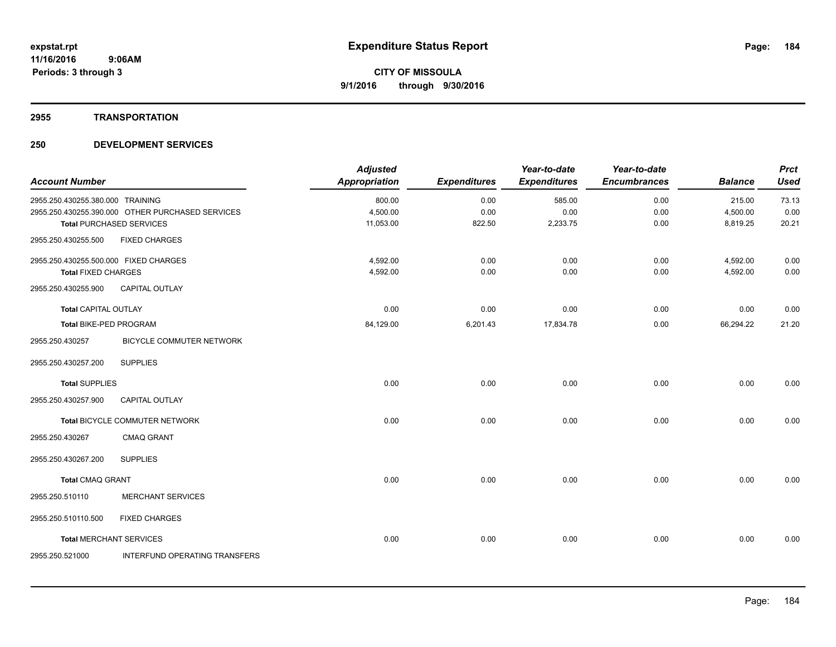## **2955 TRANSPORTATION**

| <b>Account Number</b>                 |                                                  | <b>Adjusted</b><br><b>Appropriation</b> | <b>Expenditures</b> | Year-to-date<br><b>Expenditures</b> | Year-to-date<br><b>Encumbrances</b> | <b>Balance</b> | <b>Prct</b><br><b>Used</b> |
|---------------------------------------|--------------------------------------------------|-----------------------------------------|---------------------|-------------------------------------|-------------------------------------|----------------|----------------------------|
| 2955.250.430255.380.000 TRAINING      |                                                  | 800.00                                  | 0.00                | 585.00                              | 0.00                                | 215.00         | 73.13                      |
|                                       | 2955.250.430255.390.000 OTHER PURCHASED SERVICES | 4,500.00                                | 0.00                | 0.00                                | 0.00                                | 4,500.00       | 0.00                       |
|                                       | <b>Total PURCHASED SERVICES</b>                  | 11,053.00                               | 822.50              | 2,233.75                            | 0.00                                | 8,819.25       | 20.21                      |
| 2955.250.430255.500                   | <b>FIXED CHARGES</b>                             |                                         |                     |                                     |                                     |                |                            |
| 2955.250.430255.500.000 FIXED CHARGES |                                                  | 4,592.00                                | 0.00                | 0.00                                | 0.00                                | 4,592.00       | 0.00                       |
| <b>Total FIXED CHARGES</b>            |                                                  | 4,592.00                                | 0.00                | 0.00                                | 0.00                                | 4,592.00       | 0.00                       |
| 2955.250.430255.900                   | <b>CAPITAL OUTLAY</b>                            |                                         |                     |                                     |                                     |                |                            |
| <b>Total CAPITAL OUTLAY</b>           |                                                  | 0.00                                    | 0.00                | 0.00                                | 0.00                                | 0.00           | 0.00                       |
| Total BIKE-PED PROGRAM                |                                                  | 84,129.00                               | 6,201.43            | 17,834.78                           | 0.00                                | 66,294.22      | 21.20                      |
| 2955.250.430257                       | <b>BICYCLE COMMUTER NETWORK</b>                  |                                         |                     |                                     |                                     |                |                            |
| 2955.250.430257.200                   | <b>SUPPLIES</b>                                  |                                         |                     |                                     |                                     |                |                            |
| <b>Total SUPPLIES</b>                 |                                                  | 0.00                                    | 0.00                | 0.00                                | 0.00                                | 0.00           | 0.00                       |
| 2955.250.430257.900                   | <b>CAPITAL OUTLAY</b>                            |                                         |                     |                                     |                                     |                |                            |
|                                       | Total BICYCLE COMMUTER NETWORK                   | 0.00                                    | 0.00                | 0.00                                | 0.00                                | 0.00           | 0.00                       |
| 2955.250.430267                       | <b>CMAQ GRANT</b>                                |                                         |                     |                                     |                                     |                |                            |
| 2955.250.430267.200                   | <b>SUPPLIES</b>                                  |                                         |                     |                                     |                                     |                |                            |
| <b>Total CMAQ GRANT</b>               |                                                  | 0.00                                    | 0.00                | 0.00                                | 0.00                                | 0.00           | 0.00                       |
| 2955.250.510110                       | <b>MERCHANT SERVICES</b>                         |                                         |                     |                                     |                                     |                |                            |
| 2955.250.510110.500                   | <b>FIXED CHARGES</b>                             |                                         |                     |                                     |                                     |                |                            |
| <b>Total MERCHANT SERVICES</b>        |                                                  | 0.00                                    | 0.00                | 0.00                                | 0.00                                | 0.00           | 0.00                       |
| 2955.250.521000                       | INTERFUND OPERATING TRANSFERS                    |                                         |                     |                                     |                                     |                |                            |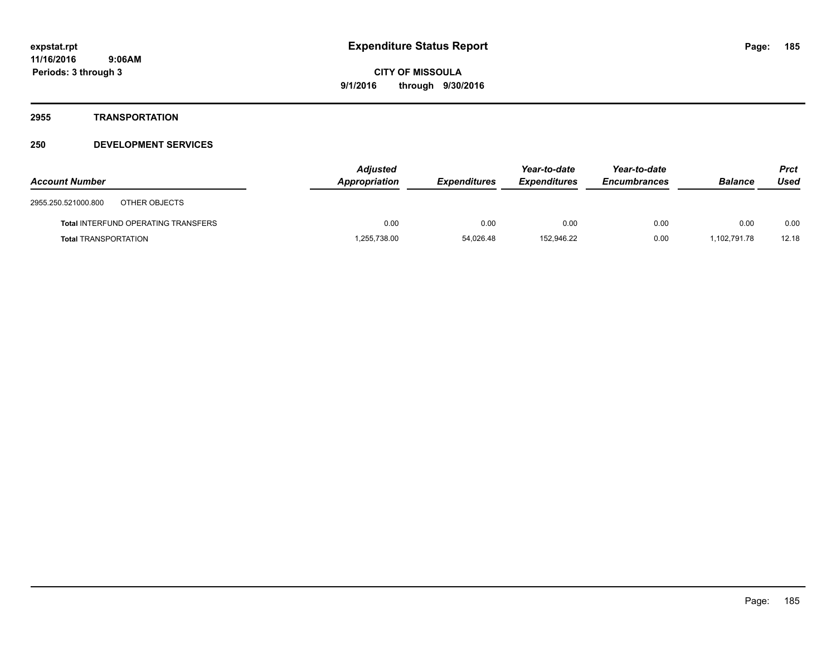## **2955 TRANSPORTATION**

| <b>Account Number</b>                      | <b>Adjusted</b><br>Appropriation | <b>Expenditures</b> | Year-to-date<br><b>Expenditures</b> | Year-to-date<br><b>Encumbrances</b> | <b>Balance</b> | Prct<br>Used |
|--------------------------------------------|----------------------------------|---------------------|-------------------------------------|-------------------------------------|----------------|--------------|
| 2955.250.521000.800<br>OTHER OBJECTS       |                                  |                     |                                     |                                     |                |              |
| <b>Total INTERFUND OPERATING TRANSFERS</b> | 0.00                             | 0.00                | 0.00                                | 0.00                                | 0.00           | 0.00         |
| <b>Total TRANSPORTATION</b>                | .255,738.00                      | 54,026.48           | 152.946.22                          | 0.00                                | .102.791.78    | 12.18        |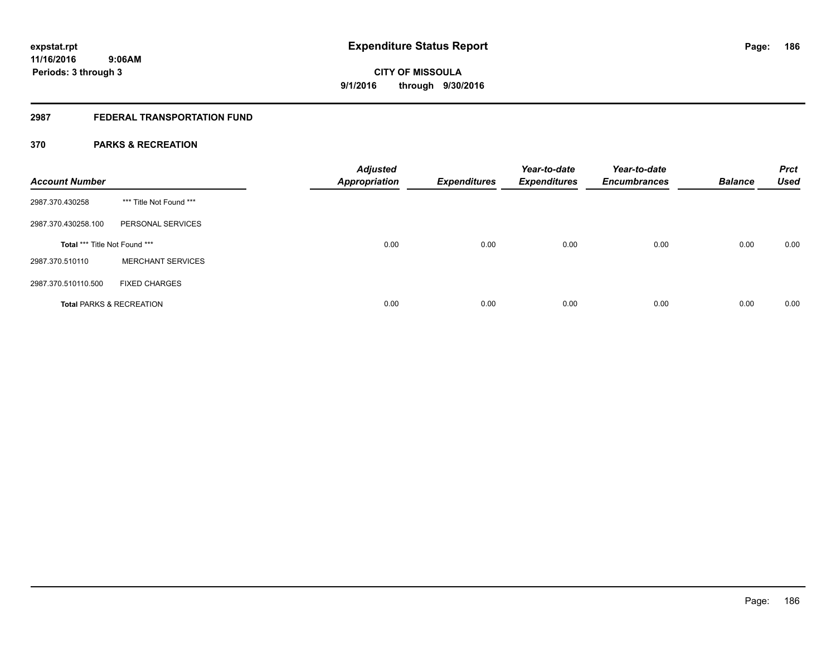# **2987 FEDERAL TRANSPORTATION FUND**

## **370 PARKS & RECREATION**

| <b>Account Number</b>         |                                     | <b>Adjusted</b><br><b>Appropriation</b> | <b>Expenditures</b> | Year-to-date<br><b>Expenditures</b> | Year-to-date<br><b>Encumbrances</b> | <b>Balance</b> | <b>Prct</b><br><b>Used</b> |
|-------------------------------|-------------------------------------|-----------------------------------------|---------------------|-------------------------------------|-------------------------------------|----------------|----------------------------|
| 2987.370.430258               | *** Title Not Found ***             |                                         |                     |                                     |                                     |                |                            |
| 2987.370.430258.100           | PERSONAL SERVICES                   |                                         |                     |                                     |                                     |                |                            |
| Total *** Title Not Found *** |                                     | 0.00                                    | 0.00                | 0.00                                | 0.00                                | 0.00           | 0.00                       |
| 2987.370.510110               | <b>MERCHANT SERVICES</b>            |                                         |                     |                                     |                                     |                |                            |
| 2987.370.510110.500           | <b>FIXED CHARGES</b>                |                                         |                     |                                     |                                     |                |                            |
|                               | <b>Total PARKS &amp; RECREATION</b> | 0.00                                    | 0.00                | 0.00                                | 0.00                                | 0.00           | 0.00                       |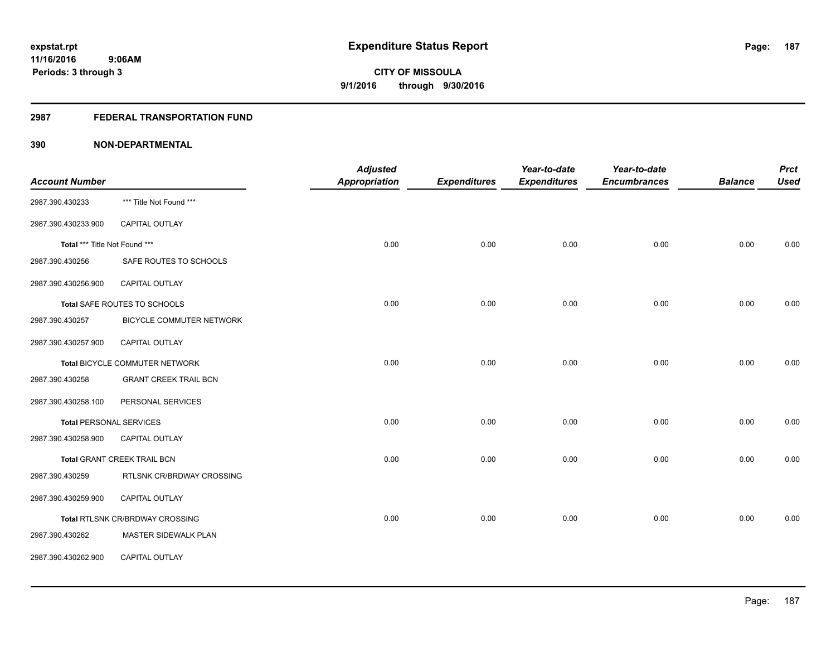## **2987 FEDERAL TRANSPORTATION FUND**

|                                |                                        | <b>Adjusted</b> |                     | Year-to-date        | Year-to-date        |                | <b>Prct</b> |
|--------------------------------|----------------------------------------|-----------------|---------------------|---------------------|---------------------|----------------|-------------|
| <b>Account Number</b>          |                                        | Appropriation   | <b>Expenditures</b> | <b>Expenditures</b> | <b>Encumbrances</b> | <b>Balance</b> | <b>Used</b> |
| 2987.390.430233                | *** Title Not Found ***                |                 |                     |                     |                     |                |             |
| 2987.390.430233.900            | CAPITAL OUTLAY                         |                 |                     |                     |                     |                |             |
| Total *** Title Not Found ***  |                                        | 0.00            | 0.00                | 0.00                | 0.00                | 0.00           | 0.00        |
| 2987.390.430256                | SAFE ROUTES TO SCHOOLS                 |                 |                     |                     |                     |                |             |
| 2987.390.430256.900            | CAPITAL OUTLAY                         |                 |                     |                     |                     |                |             |
|                                | Total SAFE ROUTES TO SCHOOLS           | 0.00            | 0.00                | 0.00                | 0.00                | 0.00           | 0.00        |
| 2987.390.430257                | BICYCLE COMMUTER NETWORK               |                 |                     |                     |                     |                |             |
| 2987.390.430257.900            | <b>CAPITAL OUTLAY</b>                  |                 |                     |                     |                     |                |             |
|                                | Total BICYCLE COMMUTER NETWORK         | 0.00            | 0.00                | 0.00                | 0.00                | 0.00           | 0.00        |
| 2987.390.430258                | <b>GRANT CREEK TRAIL BCN</b>           |                 |                     |                     |                     |                |             |
| 2987.390.430258.100            | PERSONAL SERVICES                      |                 |                     |                     |                     |                |             |
| <b>Total PERSONAL SERVICES</b> |                                        | 0.00            | 0.00                | 0.00                | 0.00                | 0.00           | 0.00        |
| 2987.390.430258.900            | <b>CAPITAL OUTLAY</b>                  |                 |                     |                     |                     |                |             |
|                                | Total GRANT CREEK TRAIL BCN            | 0.00            | 0.00                | 0.00                | 0.00                | 0.00           | 0.00        |
| 2987.390.430259                | RTLSNK CR/BRDWAY CROSSING              |                 |                     |                     |                     |                |             |
| 2987.390.430259.900            | CAPITAL OUTLAY                         |                 |                     |                     |                     |                |             |
|                                | <b>Total RTLSNK CR/BRDWAY CROSSING</b> | 0.00            | 0.00                | 0.00                | 0.00                | 0.00           | 0.00        |
| 2987.390.430262                | MASTER SIDEWALK PLAN                   |                 |                     |                     |                     |                |             |
| 2987.390.430262.900            | CAPITAL OUTLAY                         |                 |                     |                     |                     |                |             |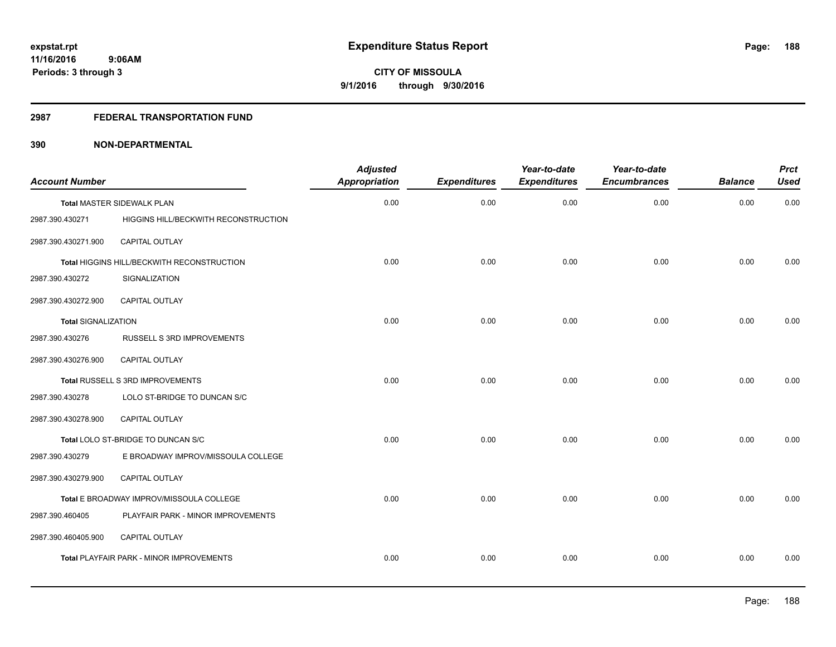## **2987 FEDERAL TRANSPORTATION FUND**

| <b>Account Number</b>      |                                            | <b>Adjusted</b><br><b>Appropriation</b> | <b>Expenditures</b> | Year-to-date<br><b>Expenditures</b> | Year-to-date<br><b>Encumbrances</b> | <b>Balance</b> | <b>Prct</b><br><b>Used</b> |
|----------------------------|--------------------------------------------|-----------------------------------------|---------------------|-------------------------------------|-------------------------------------|----------------|----------------------------|
|                            | <b>Total MASTER SIDEWALK PLAN</b>          | 0.00                                    | 0.00                | 0.00                                | 0.00                                | 0.00           | 0.00                       |
| 2987.390.430271            | HIGGINS HILL/BECKWITH RECONSTRUCTION       |                                         |                     |                                     |                                     |                |                            |
| 2987.390.430271.900        | <b>CAPITAL OUTLAY</b>                      |                                         |                     |                                     |                                     |                |                            |
|                            | Total HIGGINS HILL/BECKWITH RECONSTRUCTION | 0.00                                    | 0.00                | 0.00                                | 0.00                                | 0.00           | 0.00                       |
| 2987.390.430272            | SIGNALIZATION                              |                                         |                     |                                     |                                     |                |                            |
| 2987.390.430272.900        | CAPITAL OUTLAY                             |                                         |                     |                                     |                                     |                |                            |
| <b>Total SIGNALIZATION</b> |                                            | 0.00                                    | 0.00                | 0.00                                | 0.00                                | 0.00           | 0.00                       |
| 2987.390.430276            | RUSSELL S 3RD IMPROVEMENTS                 |                                         |                     |                                     |                                     |                |                            |
| 2987.390.430276.900        | <b>CAPITAL OUTLAY</b>                      |                                         |                     |                                     |                                     |                |                            |
|                            | Total RUSSELL S 3RD IMPROVEMENTS           | 0.00                                    | 0.00                | 0.00                                | 0.00                                | 0.00           | 0.00                       |
| 2987.390.430278            | LOLO ST-BRIDGE TO DUNCAN S/C               |                                         |                     |                                     |                                     |                |                            |
| 2987.390.430278.900        | CAPITAL OUTLAY                             |                                         |                     |                                     |                                     |                |                            |
|                            | Total LOLO ST-BRIDGE TO DUNCAN S/C         | 0.00                                    | 0.00                | 0.00                                | 0.00                                | 0.00           | 0.00                       |
| 2987.390.430279            | E BROADWAY IMPROV/MISSOULA COLLEGE         |                                         |                     |                                     |                                     |                |                            |
| 2987.390.430279.900        | CAPITAL OUTLAY                             |                                         |                     |                                     |                                     |                |                            |
|                            | Total E BROADWAY IMPROV/MISSOULA COLLEGE   | 0.00                                    | 0.00                | 0.00                                | 0.00                                | 0.00           | 0.00                       |
| 2987.390.460405            | PLAYFAIR PARK - MINOR IMPROVEMENTS         |                                         |                     |                                     |                                     |                |                            |
| 2987.390.460405.900        | <b>CAPITAL OUTLAY</b>                      |                                         |                     |                                     |                                     |                |                            |
|                            | Total PLAYFAIR PARK - MINOR IMPROVEMENTS   | 0.00                                    | 0.00                | 0.00                                | 0.00                                | 0.00           | 0.00                       |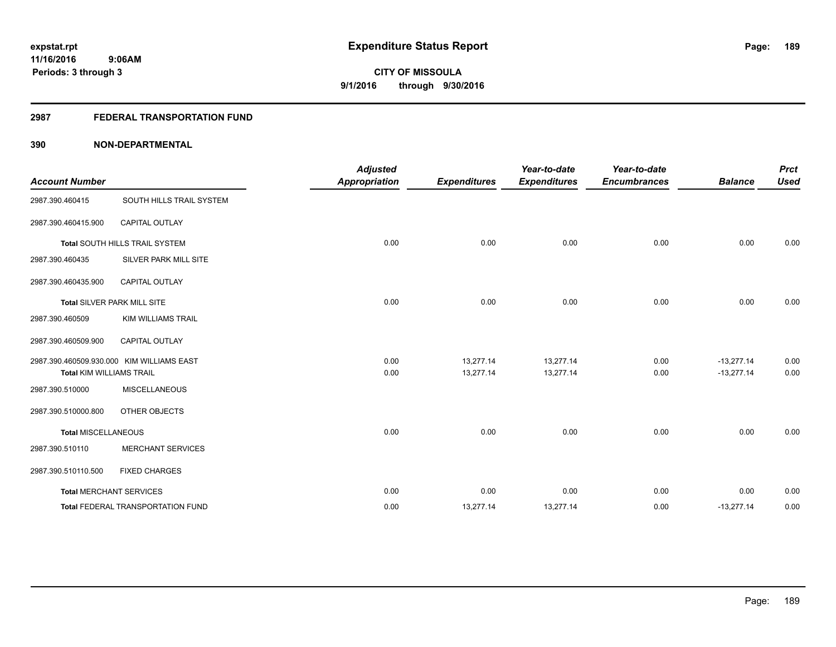### **2987 FEDERAL TRANSPORTATION FUND**

| <b>Account Number</b>           |                                           | <b>Adjusted</b><br><b>Appropriation</b> | <b>Expenditures</b>    | Year-to-date<br><b>Expenditures</b> | Year-to-date<br><b>Encumbrances</b> | <b>Balance</b>               | <b>Prct</b><br><b>Used</b> |
|---------------------------------|-------------------------------------------|-----------------------------------------|------------------------|-------------------------------------|-------------------------------------|------------------------------|----------------------------|
| 2987.390.460415                 | SOUTH HILLS TRAIL SYSTEM                  |                                         |                        |                                     |                                     |                              |                            |
| 2987.390.460415.900             | CAPITAL OUTLAY                            |                                         |                        |                                     |                                     |                              |                            |
|                                 | Total SOUTH HILLS TRAIL SYSTEM            | 0.00                                    | 0.00                   | 0.00                                | 0.00                                | 0.00                         | 0.00                       |
| 2987.390.460435                 | SILVER PARK MILL SITE                     |                                         |                        |                                     |                                     |                              |                            |
| 2987.390.460435.900             | <b>CAPITAL OUTLAY</b>                     |                                         |                        |                                     |                                     |                              |                            |
|                                 | Total SILVER PARK MILL SITE               | 0.00                                    | 0.00                   | 0.00                                | 0.00                                | 0.00                         | 0.00                       |
| 2987.390.460509                 | <b>KIM WILLIAMS TRAIL</b>                 |                                         |                        |                                     |                                     |                              |                            |
| 2987.390.460509.900             | <b>CAPITAL OUTLAY</b>                     |                                         |                        |                                     |                                     |                              |                            |
| <b>Total KIM WILLIAMS TRAIL</b> | 2987.390.460509.930.000 KIM WILLIAMS EAST | 0.00<br>0.00                            | 13.277.14<br>13,277.14 | 13,277.14<br>13,277.14              | 0.00<br>0.00                        | $-13,277.14$<br>$-13,277.14$ | 0.00<br>0.00               |
|                                 |                                           |                                         |                        |                                     |                                     |                              |                            |
| 2987.390.510000                 | <b>MISCELLANEOUS</b>                      |                                         |                        |                                     |                                     |                              |                            |
| 2987.390.510000.800             | OTHER OBJECTS                             |                                         |                        |                                     |                                     |                              |                            |
| <b>Total MISCELLANEOUS</b>      |                                           | 0.00                                    | 0.00                   | 0.00                                | 0.00                                | 0.00                         | 0.00                       |
| 2987.390.510110                 | <b>MERCHANT SERVICES</b>                  |                                         |                        |                                     |                                     |                              |                            |
| 2987.390.510110.500             | <b>FIXED CHARGES</b>                      |                                         |                        |                                     |                                     |                              |                            |
|                                 | <b>Total MERCHANT SERVICES</b>            | 0.00                                    | 0.00                   | 0.00                                | 0.00                                | 0.00                         | 0.00                       |
|                                 | Total FEDERAL TRANSPORTATION FUND         | 0.00                                    | 13,277.14              | 13,277.14                           | 0.00                                | $-13,277.14$                 | 0.00                       |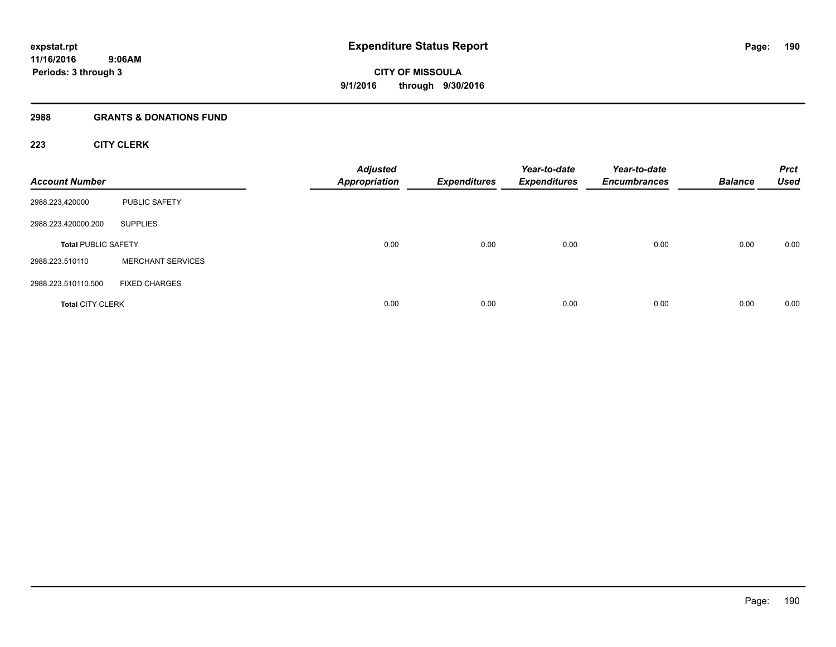## **2988 GRANTS & DONATIONS FUND**

## **223 CITY CLERK**

| <b>Account Number</b>      |                          | <b>Adjusted</b><br><b>Appropriation</b> | <b>Expenditures</b> | Year-to-date<br><b>Expenditures</b> | Year-to-date<br><b>Encumbrances</b> | <b>Balance</b> | <b>Prct</b><br><b>Used</b> |
|----------------------------|--------------------------|-----------------------------------------|---------------------|-------------------------------------|-------------------------------------|----------------|----------------------------|
| 2988.223.420000            | PUBLIC SAFETY            |                                         |                     |                                     |                                     |                |                            |
| 2988.223.420000.200        | <b>SUPPLIES</b>          |                                         |                     |                                     |                                     |                |                            |
| <b>Total PUBLIC SAFETY</b> |                          | 0.00                                    | 0.00                | 0.00                                | 0.00                                | 0.00           | 0.00                       |
| 2988.223.510110            | <b>MERCHANT SERVICES</b> |                                         |                     |                                     |                                     |                |                            |
| 2988.223.510110.500        | <b>FIXED CHARGES</b>     |                                         |                     |                                     |                                     |                |                            |
| <b>Total CITY CLERK</b>    |                          | 0.00                                    | 0.00                | 0.00                                | 0.00                                | 0.00           | 0.00                       |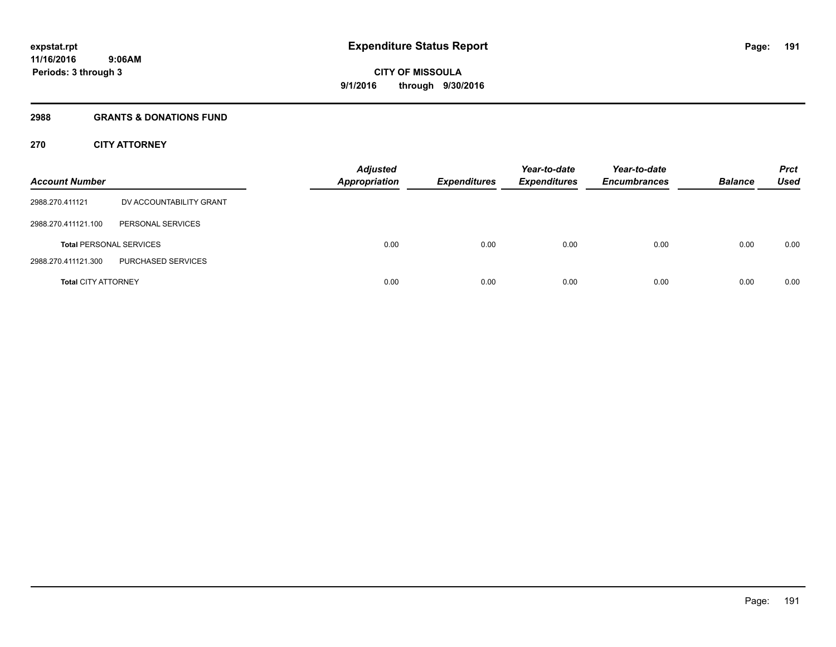## **2988 GRANTS & DONATIONS FUND**

## **270 CITY ATTORNEY**

| <b>Account Number</b>      |                                | <b>Adjusted</b><br><b>Appropriation</b> | <b>Expenditures</b> | Year-to-date<br><b>Expenditures</b> | Year-to-date<br><b>Encumbrances</b> | <b>Balance</b> | <b>Prct</b><br>Used |
|----------------------------|--------------------------------|-----------------------------------------|---------------------|-------------------------------------|-------------------------------------|----------------|---------------------|
| 2988.270.411121            | DV ACCOUNTABILITY GRANT        |                                         |                     |                                     |                                     |                |                     |
| 2988.270.411121.100        | PERSONAL SERVICES              |                                         |                     |                                     |                                     |                |                     |
|                            | <b>Total PERSONAL SERVICES</b> | 0.00                                    | 0.00                | 0.00                                | 0.00                                | 0.00           | 0.00                |
| 2988.270.411121.300        | PURCHASED SERVICES             |                                         |                     |                                     |                                     |                |                     |
| <b>Total CITY ATTORNEY</b> |                                | 0.00                                    | 0.00                | 0.00                                | 0.00                                | 0.00           | 0.00                |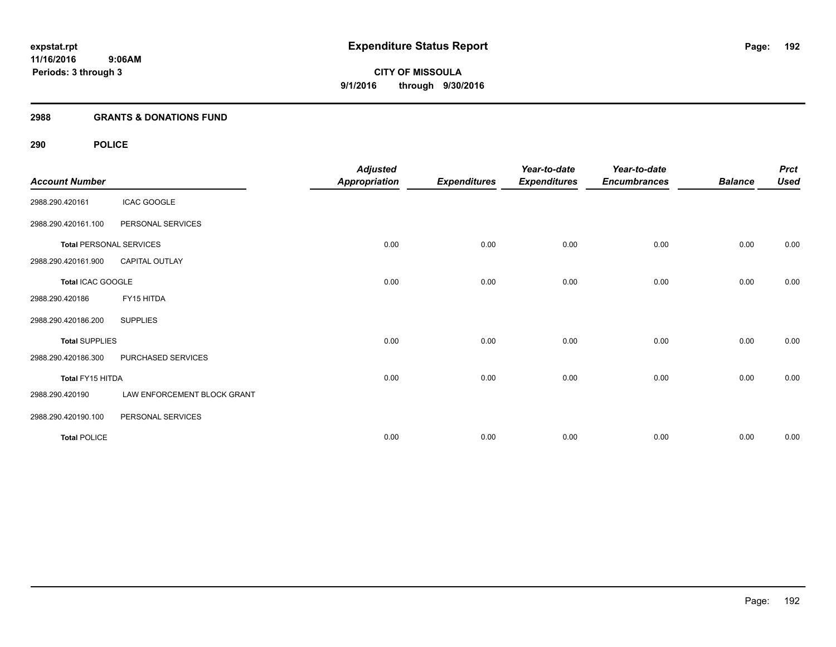## **2988 GRANTS & DONATIONS FUND**

| <b>Account Number</b>          |                             | <b>Adjusted</b><br><b>Appropriation</b> | <b>Expenditures</b> | Year-to-date<br><b>Expenditures</b> | Year-to-date<br><b>Encumbrances</b> | <b>Balance</b> | <b>Prct</b><br><b>Used</b> |
|--------------------------------|-----------------------------|-----------------------------------------|---------------------|-------------------------------------|-------------------------------------|----------------|----------------------------|
| 2988.290.420161                | <b>ICAC GOOGLE</b>          |                                         |                     |                                     |                                     |                |                            |
| 2988.290.420161.100            | PERSONAL SERVICES           |                                         |                     |                                     |                                     |                |                            |
| <b>Total PERSONAL SERVICES</b> |                             | 0.00                                    | 0.00                | 0.00                                | 0.00                                | 0.00           | 0.00                       |
| 2988.290.420161.900            | CAPITAL OUTLAY              |                                         |                     |                                     |                                     |                |                            |
| Total ICAC GOOGLE              |                             | 0.00                                    | 0.00                | 0.00                                | 0.00                                | 0.00           | 0.00                       |
| 2988.290.420186                | FY15 HITDA                  |                                         |                     |                                     |                                     |                |                            |
| 2988.290.420186.200            | <b>SUPPLIES</b>             |                                         |                     |                                     |                                     |                |                            |
| <b>Total SUPPLIES</b>          |                             | 0.00                                    | 0.00                | 0.00                                | 0.00                                | 0.00           | 0.00                       |
| 2988.290.420186.300            | PURCHASED SERVICES          |                                         |                     |                                     |                                     |                |                            |
| Total FY15 HITDA               |                             | 0.00                                    | 0.00                | 0.00                                | 0.00                                | 0.00           | 0.00                       |
| 2988.290.420190                | LAW ENFORCEMENT BLOCK GRANT |                                         |                     |                                     |                                     |                |                            |
| 2988.290.420190.100            | PERSONAL SERVICES           |                                         |                     |                                     |                                     |                |                            |
| <b>Total POLICE</b>            |                             | 0.00                                    | 0.00                | 0.00                                | 0.00                                | 0.00           | 0.00                       |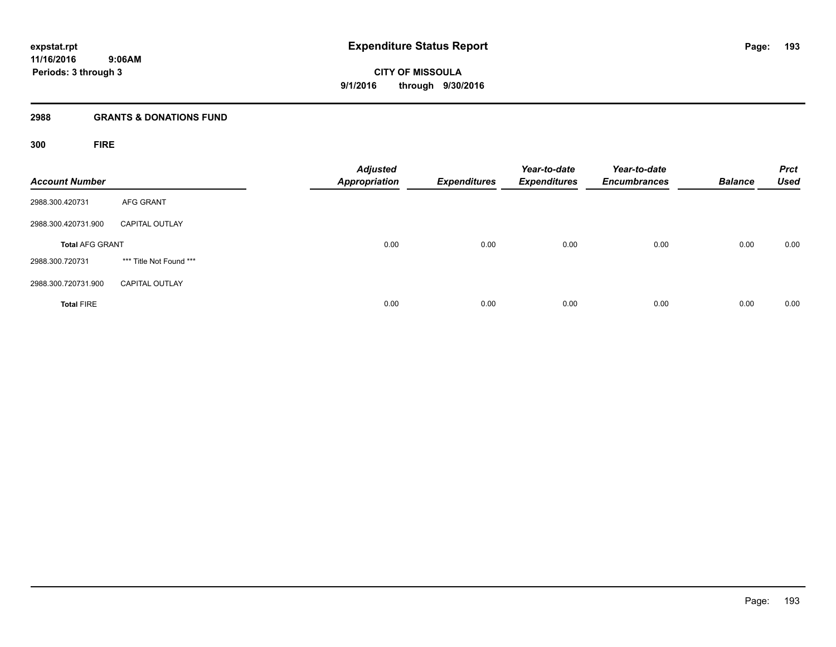## **2988 GRANTS & DONATIONS FUND**

**300 FIRE**

| <b>Account Number</b>  |                         | <b>Adjusted</b><br>Appropriation | <b>Expenditures</b> | Year-to-date<br><b>Expenditures</b> | Year-to-date<br><b>Encumbrances</b> | <b>Balance</b> | <b>Prct</b><br><b>Used</b> |
|------------------------|-------------------------|----------------------------------|---------------------|-------------------------------------|-------------------------------------|----------------|----------------------------|
| 2988.300.420731        | <b>AFG GRANT</b>        |                                  |                     |                                     |                                     |                |                            |
| 2988.300.420731.900    | <b>CAPITAL OUTLAY</b>   |                                  |                     |                                     |                                     |                |                            |
| <b>Total AFG GRANT</b> |                         | 0.00                             | 0.00                | 0.00                                | 0.00                                | 0.00           | 0.00                       |
| 2988.300.720731        | *** Title Not Found *** |                                  |                     |                                     |                                     |                |                            |
| 2988.300.720731.900    | <b>CAPITAL OUTLAY</b>   |                                  |                     |                                     |                                     |                |                            |
| <b>Total FIRE</b>      |                         | 0.00                             | 0.00                | 0.00                                | 0.00                                | 0.00           | 0.00                       |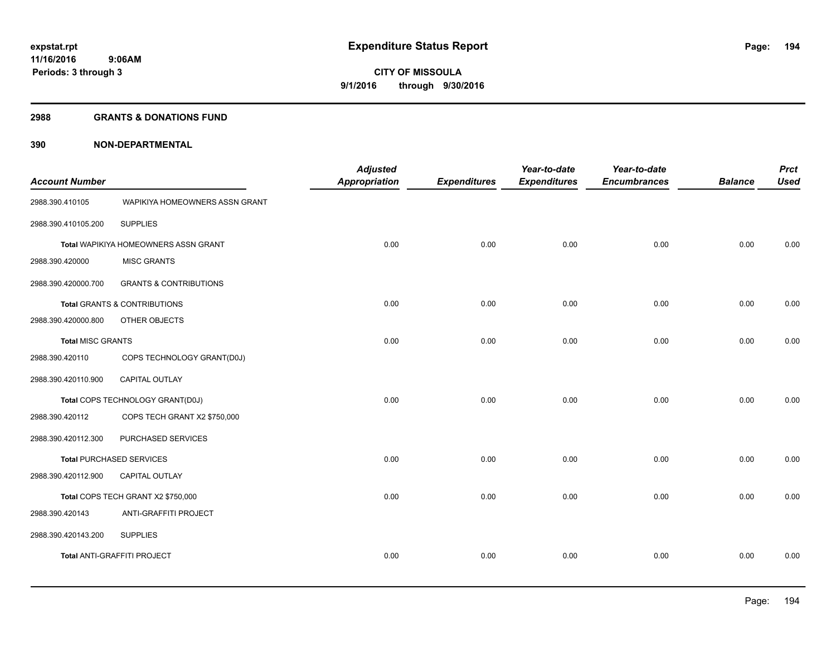#### **2988 GRANTS & DONATIONS FUND**

| <b>Account Number</b>    |                                         | <b>Adjusted</b><br><b>Appropriation</b> | <b>Expenditures</b> | Year-to-date<br><b>Expenditures</b> | Year-to-date<br><b>Encumbrances</b> | <b>Balance</b> | <b>Prct</b><br><b>Used</b> |
|--------------------------|-----------------------------------------|-----------------------------------------|---------------------|-------------------------------------|-------------------------------------|----------------|----------------------------|
| 2988.390.410105          | WAPIKIYA HOMEOWNERS ASSN GRANT          |                                         |                     |                                     |                                     |                |                            |
| 2988.390.410105.200      | <b>SUPPLIES</b>                         |                                         |                     |                                     |                                     |                |                            |
|                          | Total WAPIKIYA HOMEOWNERS ASSN GRANT    | 0.00                                    | 0.00                | 0.00                                | 0.00                                | 0.00           | 0.00                       |
| 2988.390.420000          | <b>MISC GRANTS</b>                      |                                         |                     |                                     |                                     |                |                            |
| 2988.390.420000.700      | <b>GRANTS &amp; CONTRIBUTIONS</b>       |                                         |                     |                                     |                                     |                |                            |
|                          | <b>Total GRANTS &amp; CONTRIBUTIONS</b> | 0.00                                    | 0.00                | 0.00                                | 0.00                                | 0.00           | 0.00                       |
| 2988.390.420000.800      | OTHER OBJECTS                           |                                         |                     |                                     |                                     |                |                            |
| <b>Total MISC GRANTS</b> |                                         | 0.00                                    | 0.00                | 0.00                                | 0.00                                | 0.00           | 0.00                       |
| 2988.390.420110          | COPS TECHNOLOGY GRANT(D0J)              |                                         |                     |                                     |                                     |                |                            |
| 2988.390.420110.900      | CAPITAL OUTLAY                          |                                         |                     |                                     |                                     |                |                            |
|                          | Total COPS TECHNOLOGY GRANT(D0J)        | 0.00                                    | 0.00                | 0.00                                | 0.00                                | 0.00           | 0.00                       |
| 2988.390.420112          | COPS TECH GRANT X2 \$750,000            |                                         |                     |                                     |                                     |                |                            |
| 2988.390.420112.300      | PURCHASED SERVICES                      |                                         |                     |                                     |                                     |                |                            |
|                          | <b>Total PURCHASED SERVICES</b>         | 0.00                                    | 0.00                | 0.00                                | 0.00                                | 0.00           | 0.00                       |
| 2988.390.420112.900      | CAPITAL OUTLAY                          |                                         |                     |                                     |                                     |                |                            |
|                          | Total COPS TECH GRANT X2 \$750,000      | 0.00                                    | 0.00                | 0.00                                | 0.00                                | 0.00           | 0.00                       |
| 2988.390.420143          | ANTI-GRAFFITI PROJECT                   |                                         |                     |                                     |                                     |                |                            |
| 2988.390.420143.200      | <b>SUPPLIES</b>                         |                                         |                     |                                     |                                     |                |                            |
|                          | <b>Total ANTI-GRAFFITI PROJECT</b>      | 0.00                                    | 0.00                | 0.00                                | 0.00                                | 0.00           | 0.00                       |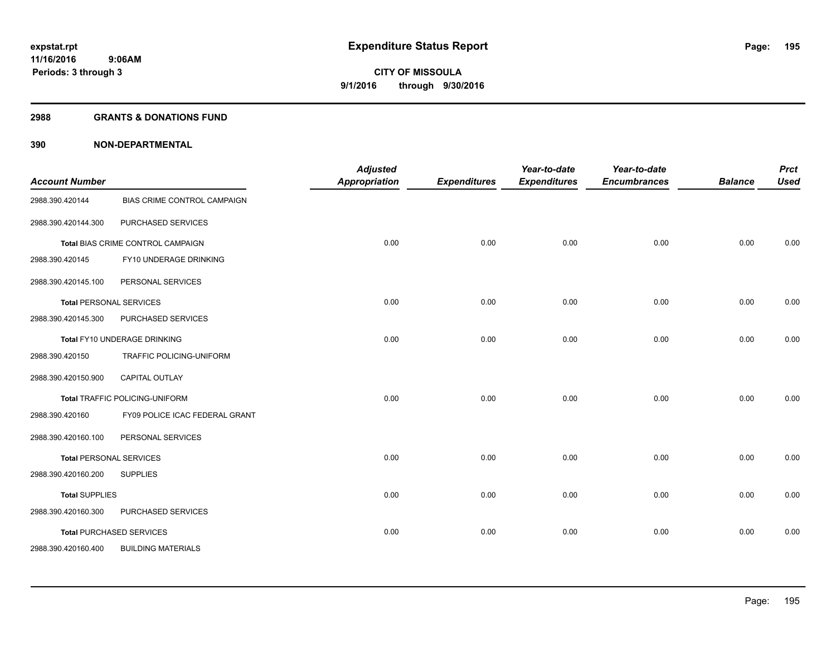#### **2988 GRANTS & DONATIONS FUND**

| <b>Account Number</b>          |                                       | <b>Adjusted</b><br><b>Appropriation</b> | <b>Expenditures</b> | Year-to-date<br><b>Expenditures</b> | Year-to-date<br><b>Encumbrances</b> | <b>Balance</b> | <b>Prct</b><br><b>Used</b> |
|--------------------------------|---------------------------------------|-----------------------------------------|---------------------|-------------------------------------|-------------------------------------|----------------|----------------------------|
| 2988.390.420144                | BIAS CRIME CONTROL CAMPAIGN           |                                         |                     |                                     |                                     |                |                            |
| 2988.390.420144.300            | PURCHASED SERVICES                    |                                         |                     |                                     |                                     |                |                            |
|                                | Total BIAS CRIME CONTROL CAMPAIGN     | 0.00                                    | 0.00                | 0.00                                | 0.00                                | 0.00           | 0.00                       |
| 2988.390.420145                | FY10 UNDERAGE DRINKING                |                                         |                     |                                     |                                     |                |                            |
| 2988.390.420145.100            | PERSONAL SERVICES                     |                                         |                     |                                     |                                     |                |                            |
| <b>Total PERSONAL SERVICES</b> |                                       | 0.00                                    | 0.00                | 0.00                                | 0.00                                | 0.00           | 0.00                       |
| 2988.390.420145.300            | PURCHASED SERVICES                    |                                         |                     |                                     |                                     |                |                            |
|                                | Total FY10 UNDERAGE DRINKING          | 0.00                                    | 0.00                | 0.00                                | 0.00                                | 0.00           | 0.00                       |
| 2988.390.420150                | TRAFFIC POLICING-UNIFORM              |                                         |                     |                                     |                                     |                |                            |
| 2988.390.420150.900            | <b>CAPITAL OUTLAY</b>                 |                                         |                     |                                     |                                     |                |                            |
|                                | <b>Total TRAFFIC POLICING-UNIFORM</b> | 0.00                                    | 0.00                | 0.00                                | 0.00                                | 0.00           | 0.00                       |
| 2988.390.420160                | FY09 POLICE ICAC FEDERAL GRANT        |                                         |                     |                                     |                                     |                |                            |
| 2988.390.420160.100            | PERSONAL SERVICES                     |                                         |                     |                                     |                                     |                |                            |
| <b>Total PERSONAL SERVICES</b> |                                       | 0.00                                    | 0.00                | 0.00                                | 0.00                                | 0.00           | 0.00                       |
| 2988.390.420160.200            | <b>SUPPLIES</b>                       |                                         |                     |                                     |                                     |                |                            |
| <b>Total SUPPLIES</b>          |                                       | 0.00                                    | 0.00                | 0.00                                | 0.00                                | 0.00           | 0.00                       |
| 2988.390.420160.300            | PURCHASED SERVICES                    |                                         |                     |                                     |                                     |                |                            |
|                                | <b>Total PURCHASED SERVICES</b>       | 0.00                                    | 0.00                | 0.00                                | 0.00                                | 0.00           | 0.00                       |
| 2988.390.420160.400            | <b>BUILDING MATERIALS</b>             |                                         |                     |                                     |                                     |                |                            |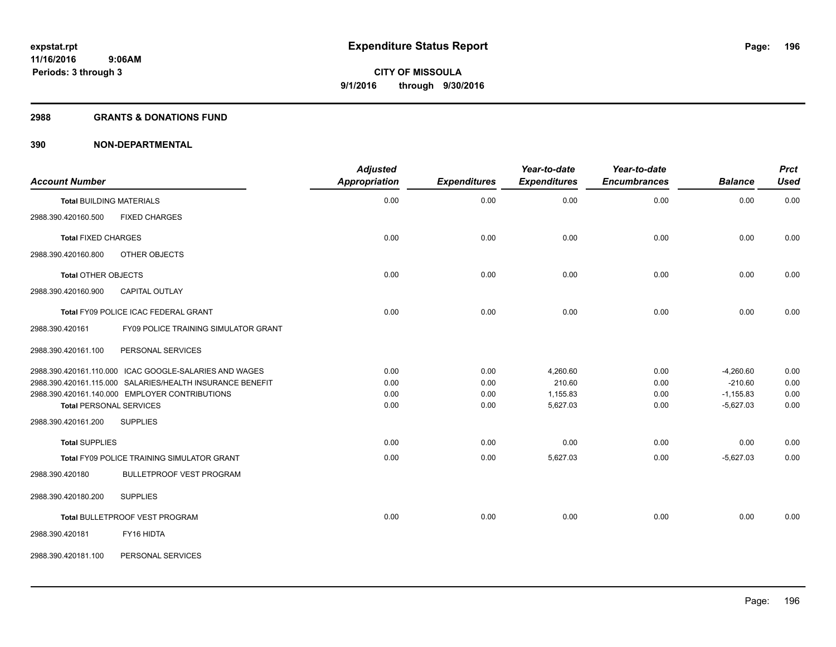#### **2988 GRANTS & DONATIONS FUND**

| <b>Account Number</b>                                     | <b>Adjusted</b><br>Appropriation | <b>Expenditures</b> | Year-to-date<br><b>Expenditures</b> | Year-to-date<br><b>Encumbrances</b> | <b>Balance</b> | <b>Prct</b><br><b>Used</b> |
|-----------------------------------------------------------|----------------------------------|---------------------|-------------------------------------|-------------------------------------|----------------|----------------------------|
| <b>Total BUILDING MATERIALS</b>                           | 0.00                             | 0.00                | 0.00                                | 0.00                                | 0.00           | 0.00                       |
| <b>FIXED CHARGES</b><br>2988.390.420160.500               |                                  |                     |                                     |                                     |                |                            |
| <b>Total FIXED CHARGES</b>                                | 0.00                             | 0.00                | 0.00                                | 0.00                                | 0.00           | 0.00                       |
| 2988.390.420160.800<br>OTHER OBJECTS                      |                                  |                     |                                     |                                     |                |                            |
| <b>Total OTHER OBJECTS</b>                                | 0.00                             | 0.00                | 0.00                                | 0.00                                | 0.00           | 0.00                       |
| 2988.390.420160.900<br><b>CAPITAL OUTLAY</b>              |                                  |                     |                                     |                                     |                |                            |
| Total FY09 POLICE ICAC FEDERAL GRANT                      | 0.00                             | 0.00                | 0.00                                | 0.00                                | 0.00           | 0.00                       |
| 2988.390.420161<br>FY09 POLICE TRAINING SIMULATOR GRANT   |                                  |                     |                                     |                                     |                |                            |
| PERSONAL SERVICES<br>2988.390.420161.100                  |                                  |                     |                                     |                                     |                |                            |
| 2988.390.420161.110.000 ICAC GOOGLE-SALARIES AND WAGES    | 0.00                             | 0.00                | 4,260.60                            | 0.00                                | $-4,260.60$    | 0.00                       |
| 2988.390.420161.115.000 SALARIES/HEALTH INSURANCE BENEFIT | 0.00                             | 0.00                | 210.60                              | 0.00                                | $-210.60$      | 0.00                       |
| 2988.390.420161.140.000 EMPLOYER CONTRIBUTIONS            | 0.00                             | 0.00                | 1,155.83                            | 0.00                                | $-1,155.83$    | 0.00                       |
| <b>Total PERSONAL SERVICES</b>                            | 0.00                             | 0.00                | 5,627.03                            | 0.00                                | $-5,627.03$    | 0.00                       |
| 2988.390.420161.200<br><b>SUPPLIES</b>                    |                                  |                     |                                     |                                     |                |                            |
| <b>Total SUPPLIES</b>                                     | 0.00                             | 0.00                | 0.00                                | 0.00                                | 0.00           | 0.00                       |
| Total FY09 POLICE TRAINING SIMULATOR GRANT                | 0.00                             | 0.00                | 5,627.03                            | 0.00                                | $-5,627.03$    | 0.00                       |
| 2988.390.420180<br><b>BULLETPROOF VEST PROGRAM</b>        |                                  |                     |                                     |                                     |                |                            |
| 2988.390.420180.200<br><b>SUPPLIES</b>                    |                                  |                     |                                     |                                     |                |                            |
| Total BULLETPROOF VEST PROGRAM                            | 0.00                             | 0.00                | 0.00                                | 0.00                                | 0.00           | 0.00                       |
| 2988.390.420181<br>FY16 HIDTA                             |                                  |                     |                                     |                                     |                |                            |
| 2988.390.420181.100<br>PERSONAL SERVICES                  |                                  |                     |                                     |                                     |                |                            |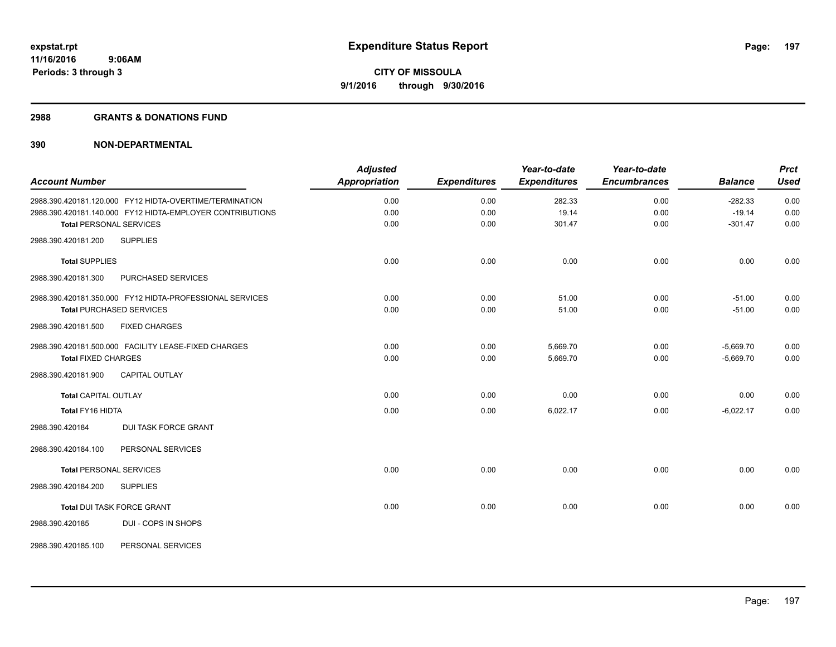#### **2988 GRANTS & DONATIONS FUND**

|                                |                                                           | <b>Adjusted</b>      |                     | Year-to-date        | Year-to-date        |                | <b>Prct</b> |
|--------------------------------|-----------------------------------------------------------|----------------------|---------------------|---------------------|---------------------|----------------|-------------|
| <b>Account Number</b>          |                                                           | <b>Appropriation</b> | <b>Expenditures</b> | <b>Expenditures</b> | <b>Encumbrances</b> | <b>Balance</b> | <b>Used</b> |
|                                | 2988.390.420181.120.000 FY12 HIDTA-OVERTIME/TERMINATION   | 0.00                 | 0.00                | 282.33              | 0.00                | $-282.33$      | 0.00        |
|                                | 2988.390.420181.140.000 FY12 HIDTA-EMPLOYER CONTRIBUTIONS | 0.00                 | 0.00                | 19.14               | 0.00                | $-19.14$       | 0.00        |
| <b>Total PERSONAL SERVICES</b> |                                                           | 0.00                 | 0.00                | 301.47              | 0.00                | $-301.47$      | 0.00        |
| 2988.390.420181.200            | <b>SUPPLIES</b>                                           |                      |                     |                     |                     |                |             |
| <b>Total SUPPLIES</b>          |                                                           | 0.00                 | 0.00                | 0.00                | 0.00                | 0.00           | 0.00        |
| 2988.390.420181.300            | PURCHASED SERVICES                                        |                      |                     |                     |                     |                |             |
|                                | 2988.390.420181.350.000 FY12 HIDTA-PROFESSIONAL SERVICES  | 0.00                 | 0.00                | 51.00               | 0.00                | $-51.00$       | 0.00        |
|                                | <b>Total PURCHASED SERVICES</b>                           | 0.00                 | 0.00                | 51.00               | 0.00                | $-51.00$       | 0.00        |
| 2988.390.420181.500            | <b>FIXED CHARGES</b>                                      |                      |                     |                     |                     |                |             |
|                                | 2988.390.420181.500.000 FACILITY LEASE-FIXED CHARGES      | 0.00                 | 0.00                | 5,669.70            | 0.00                | $-5,669.70$    | 0.00        |
| <b>Total FIXED CHARGES</b>     |                                                           | 0.00                 | 0.00                | 5,669.70            | 0.00                | $-5,669.70$    | 0.00        |
| 2988.390.420181.900            | <b>CAPITAL OUTLAY</b>                                     |                      |                     |                     |                     |                |             |
| <b>Total CAPITAL OUTLAY</b>    |                                                           | 0.00                 | 0.00                | 0.00                | 0.00                | 0.00           | 0.00        |
| Total FY16 HIDTA               |                                                           | 0.00                 | 0.00                | 6,022.17            | 0.00                | $-6,022.17$    | 0.00        |
| 2988.390.420184                | <b>DUI TASK FORCE GRANT</b>                               |                      |                     |                     |                     |                |             |
| 2988.390.420184.100            | PERSONAL SERVICES                                         |                      |                     |                     |                     |                |             |
| <b>Total PERSONAL SERVICES</b> |                                                           | 0.00                 | 0.00                | 0.00                | 0.00                | 0.00           | 0.00        |
| 2988.390.420184.200            | <b>SUPPLIES</b>                                           |                      |                     |                     |                     |                |             |
|                                | <b>Total DUI TASK FORCE GRANT</b>                         | 0.00                 | 0.00                | 0.00                | 0.00                | 0.00           | 0.00        |
| 2988.390.420185                | DUI - COPS IN SHOPS                                       |                      |                     |                     |                     |                |             |
| 2988.390.420185.100            | PERSONAL SERVICES                                         |                      |                     |                     |                     |                |             |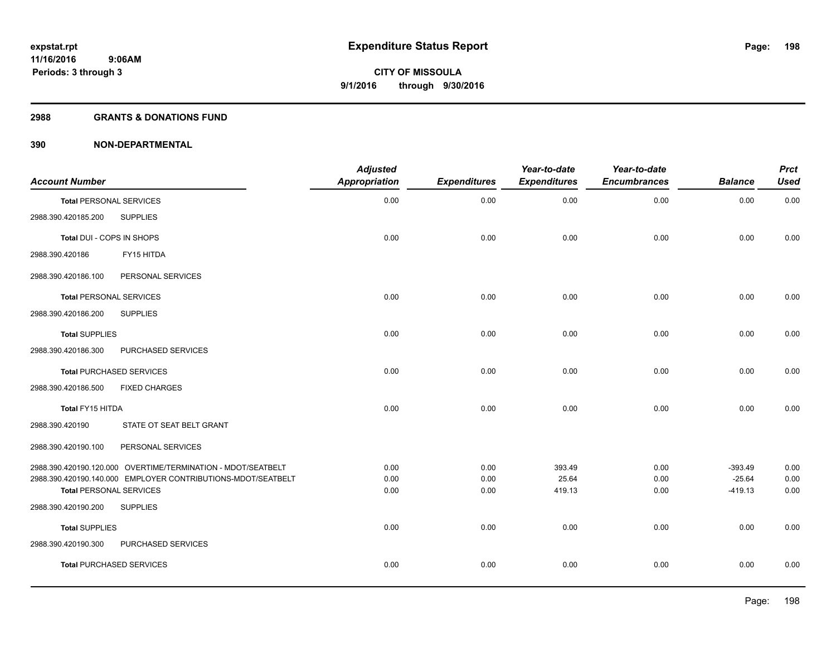#### **2988 GRANTS & DONATIONS FUND**

| <b>Account Number</b>          |                                                              | <b>Adjusted</b><br>Appropriation | <b>Expenditures</b> | Year-to-date<br><b>Expenditures</b> | Year-to-date<br><b>Encumbrances</b> | <b>Balance</b>        | <b>Prct</b><br><b>Used</b> |
|--------------------------------|--------------------------------------------------------------|----------------------------------|---------------------|-------------------------------------|-------------------------------------|-----------------------|----------------------------|
| <b>Total PERSONAL SERVICES</b> |                                                              | 0.00                             | 0.00                | 0.00                                | 0.00                                | 0.00                  | 0.00                       |
| 2988.390.420185.200            | <b>SUPPLIES</b>                                              |                                  |                     |                                     |                                     |                       |                            |
| Total DUI - COPS IN SHOPS      |                                                              | 0.00                             | 0.00                | 0.00                                | 0.00                                | 0.00                  | 0.00                       |
| 2988.390.420186                | FY15 HITDA                                                   |                                  |                     |                                     |                                     |                       |                            |
| 2988.390.420186.100            | PERSONAL SERVICES                                            |                                  |                     |                                     |                                     |                       |                            |
| <b>Total PERSONAL SERVICES</b> |                                                              | 0.00                             | 0.00                | 0.00                                | 0.00                                | 0.00                  | 0.00                       |
| 2988.390.420186.200            | <b>SUPPLIES</b>                                              |                                  |                     |                                     |                                     |                       |                            |
| <b>Total SUPPLIES</b>          |                                                              | 0.00                             | 0.00                | 0.00                                | 0.00                                | 0.00                  | 0.00                       |
| 2988.390.420186.300            | PURCHASED SERVICES                                           |                                  |                     |                                     |                                     |                       |                            |
|                                | <b>Total PURCHASED SERVICES</b>                              | 0.00                             | 0.00                | 0.00                                | 0.00                                | 0.00                  | 0.00                       |
| 2988.390.420186.500            | <b>FIXED CHARGES</b>                                         |                                  |                     |                                     |                                     |                       |                            |
| Total FY15 HITDA               |                                                              | 0.00                             | 0.00                | 0.00                                | 0.00                                | 0.00                  | 0.00                       |
| 2988.390.420190                | STATE OT SEAT BELT GRANT                                     |                                  |                     |                                     |                                     |                       |                            |
| 2988.390.420190.100            | PERSONAL SERVICES                                            |                                  |                     |                                     |                                     |                       |                            |
|                                | 2988.390.420190.120.000 OVERTIME/TERMINATION - MDOT/SEATBELT | 0.00                             | 0.00                | 393.49                              | 0.00                                | $-393.49$             | 0.00                       |
| <b>Total PERSONAL SERVICES</b> | 2988.390.420190.140.000 EMPLOYER CONTRIBUTIONS-MDOT/SEATBELT | 0.00<br>0.00                     | 0.00<br>0.00        | 25.64<br>419.13                     | 0.00<br>0.00                        | $-25.64$<br>$-419.13$ | 0.00<br>0.00               |
| 2988.390.420190.200            | <b>SUPPLIES</b>                                              |                                  |                     |                                     |                                     |                       |                            |
| <b>Total SUPPLIES</b>          |                                                              | 0.00                             | 0.00                | 0.00                                | 0.00                                | 0.00                  | 0.00                       |
| 2988.390.420190.300            | PURCHASED SERVICES                                           |                                  |                     |                                     |                                     |                       |                            |
|                                | <b>Total PURCHASED SERVICES</b>                              | 0.00                             | 0.00                | 0.00                                | 0.00                                | 0.00                  | 0.00                       |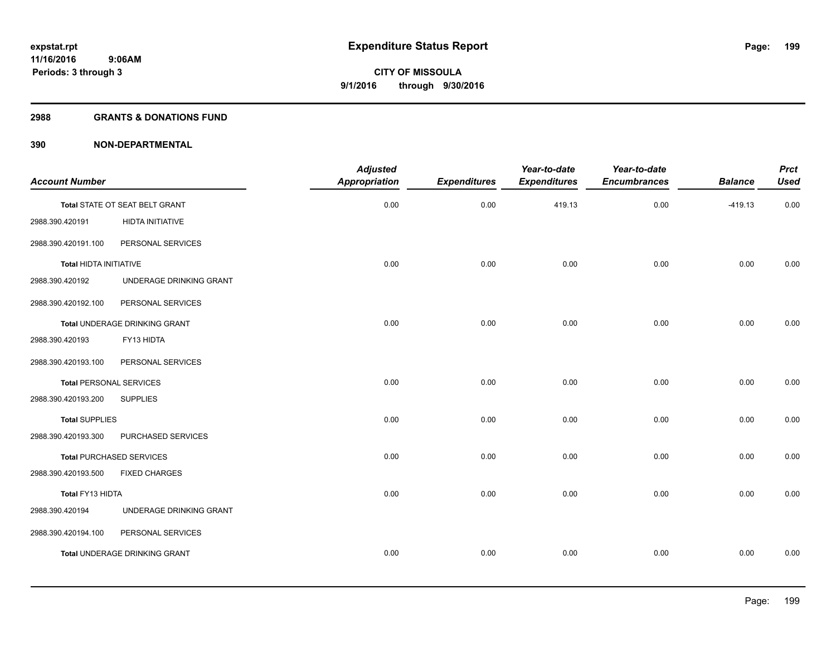#### **2988 GRANTS & DONATIONS FUND**

| Year-to-date<br><b>Prct</b><br><b>Encumbrances</b><br><b>Balance</b><br><b>Used</b> | Year-to-date<br><b>Expenditures</b> | <b>Expenditures</b> | <b>Adjusted</b><br><b>Appropriation</b> |                                      | <b>Account Number</b>           |
|-------------------------------------------------------------------------------------|-------------------------------------|---------------------|-----------------------------------------|--------------------------------------|---------------------------------|
|                                                                                     |                                     |                     |                                         |                                      |                                 |
| 0.00<br>0.00<br>$-419.13$                                                           | 419.13                              | 0.00                | 0.00                                    | Total STATE OT SEAT BELT GRANT       |                                 |
|                                                                                     |                                     |                     |                                         | HIDTA INITIATIVE                     | 2988.390.420191                 |
|                                                                                     |                                     |                     |                                         | PERSONAL SERVICES                    | 2988.390.420191.100             |
| 0.00<br>0.00<br>0.00                                                                | 0.00                                | 0.00                | 0.00                                    |                                      | Total HIDTA INITIATIVE          |
|                                                                                     |                                     |                     |                                         | UNDERAGE DRINKING GRANT              | 2988.390.420192                 |
|                                                                                     |                                     |                     |                                         | PERSONAL SERVICES                    | 2988.390.420192.100             |
| 0.00<br>0.00<br>0.00                                                                | 0.00                                | 0.00                | 0.00                                    | Total UNDERAGE DRINKING GRANT        |                                 |
|                                                                                     |                                     |                     |                                         | FY13 HIDTA                           | 2988.390.420193                 |
|                                                                                     |                                     |                     |                                         | PERSONAL SERVICES                    | 2988.390.420193.100             |
| 0.00<br>0.00<br>0.00                                                                | 0.00                                | 0.00                | 0.00                                    |                                      | <b>Total PERSONAL SERVICES</b>  |
|                                                                                     |                                     |                     |                                         | <b>SUPPLIES</b>                      | 2988.390.420193.200             |
| 0.00<br>0.00<br>0.00                                                                | 0.00                                | 0.00                | 0.00                                    |                                      | <b>Total SUPPLIES</b>           |
|                                                                                     |                                     |                     |                                         | PURCHASED SERVICES                   | 2988.390.420193.300             |
| 0.00<br>0.00<br>0.00                                                                | 0.00                                | 0.00                | 0.00                                    |                                      | <b>Total PURCHASED SERVICES</b> |
|                                                                                     |                                     |                     |                                         | <b>FIXED CHARGES</b>                 | 2988.390.420193.500             |
| 0.00<br>0.00<br>0.00                                                                | 0.00                                | 0.00                | 0.00                                    |                                      | Total FY13 HIDTA                |
|                                                                                     |                                     |                     |                                         | UNDERAGE DRINKING GRANT              | 2988.390.420194                 |
|                                                                                     |                                     |                     |                                         | PERSONAL SERVICES                    | 2988.390.420194.100             |
| 0.00<br>0.00<br>0.00                                                                | 0.00                                | 0.00                | 0.00                                    | <b>Total UNDERAGE DRINKING GRANT</b> |                                 |
|                                                                                     |                                     |                     |                                         |                                      |                                 |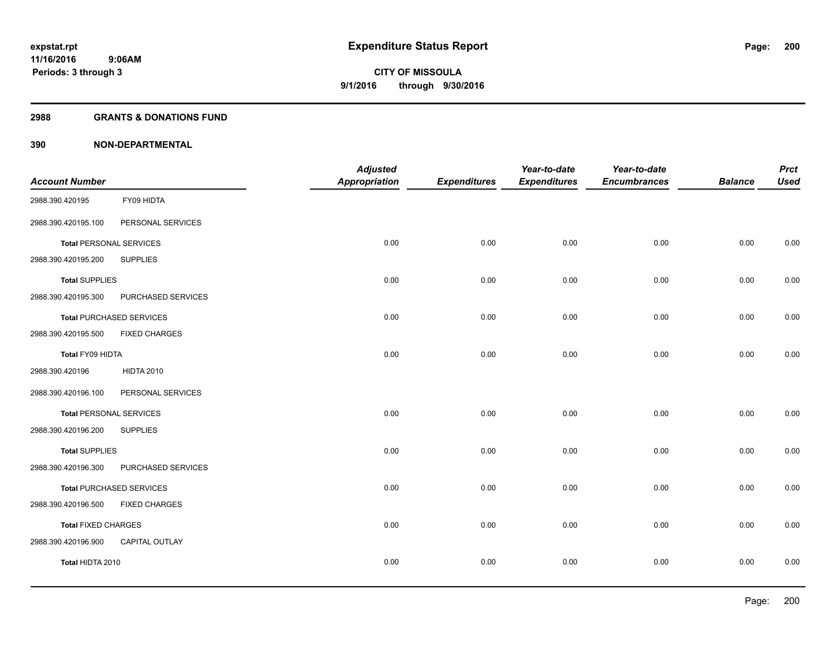#### **2988 GRANTS & DONATIONS FUND**

|                                |                                 | <b>Adjusted</b>      |                     | Year-to-date        | Year-to-date        |                | <b>Prct</b> |
|--------------------------------|---------------------------------|----------------------|---------------------|---------------------|---------------------|----------------|-------------|
| <b>Account Number</b>          |                                 | <b>Appropriation</b> | <b>Expenditures</b> | <b>Expenditures</b> | <b>Encumbrances</b> | <b>Balance</b> | <b>Used</b> |
| 2988.390.420195                | FY09 HIDTA                      |                      |                     |                     |                     |                |             |
| 2988.390.420195.100            | PERSONAL SERVICES               |                      |                     |                     |                     |                |             |
| <b>Total PERSONAL SERVICES</b> |                                 | 0.00                 | 0.00                | 0.00                | 0.00                | 0.00           | 0.00        |
| 2988.390.420195.200            | <b>SUPPLIES</b>                 |                      |                     |                     |                     |                |             |
| <b>Total SUPPLIES</b>          |                                 | 0.00                 | 0.00                | 0.00                | 0.00                | 0.00           | 0.00        |
| 2988.390.420195.300            | PURCHASED SERVICES              |                      |                     |                     |                     |                |             |
|                                | <b>Total PURCHASED SERVICES</b> | 0.00                 | 0.00                | 0.00                | 0.00                | 0.00           | 0.00        |
| 2988.390.420195.500            | <b>FIXED CHARGES</b>            |                      |                     |                     |                     |                |             |
| Total FY09 HIDTA               |                                 | 0.00                 | 0.00                | 0.00                | 0.00                | 0.00           | 0.00        |
| 2988.390.420196                | <b>HIDTA 2010</b>               |                      |                     |                     |                     |                |             |
| 2988.390.420196.100            | PERSONAL SERVICES               |                      |                     |                     |                     |                |             |
| <b>Total PERSONAL SERVICES</b> |                                 | 0.00                 | 0.00                | 0.00                | 0.00                | 0.00           | 0.00        |
| 2988.390.420196.200            | <b>SUPPLIES</b>                 |                      |                     |                     |                     |                |             |
| <b>Total SUPPLIES</b>          |                                 | 0.00                 | 0.00                | 0.00                | 0.00                | 0.00           | 0.00        |
| 2988.390.420196.300            | PURCHASED SERVICES              |                      |                     |                     |                     |                |             |
|                                | <b>Total PURCHASED SERVICES</b> | 0.00                 | 0.00                | 0.00                | 0.00                | 0.00           | 0.00        |
| 2988.390.420196.500            | <b>FIXED CHARGES</b>            |                      |                     |                     |                     |                |             |
| <b>Total FIXED CHARGES</b>     |                                 | 0.00                 | 0.00                | 0.00                | 0.00                | 0.00           | 0.00        |
| 2988.390.420196.900            | CAPITAL OUTLAY                  |                      |                     |                     |                     |                |             |
| Total HIDTA 2010               |                                 | 0.00                 | 0.00                | 0.00                | 0.00                | 0.00           | 0.00        |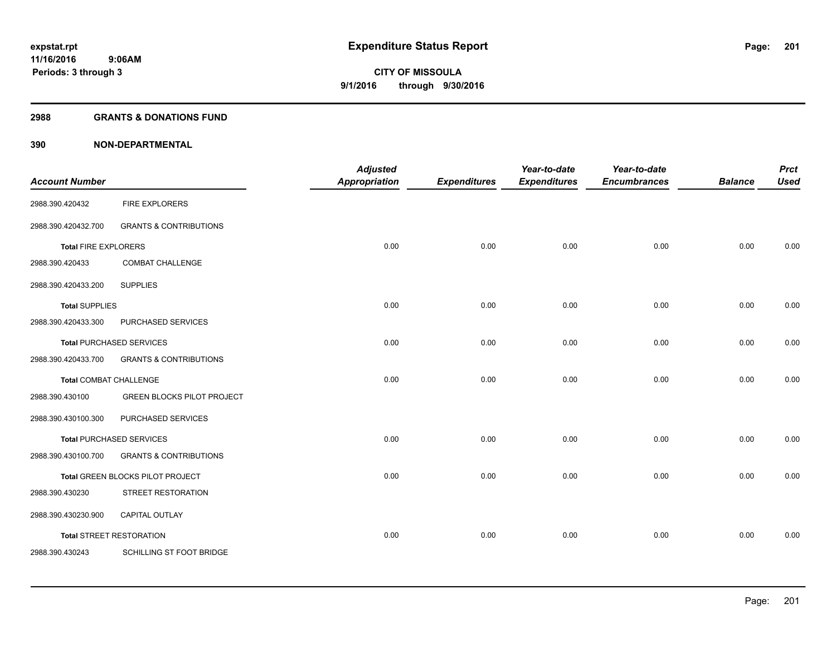#### **2988 GRANTS & DONATIONS FUND**

| <b>Account Number</b>           |                                   | <b>Adjusted</b><br><b>Appropriation</b> | <b>Expenditures</b> | Year-to-date<br><b>Expenditures</b> | Year-to-date<br><b>Encumbrances</b> | <b>Balance</b> | <b>Prct</b><br><b>Used</b> |
|---------------------------------|-----------------------------------|-----------------------------------------|---------------------|-------------------------------------|-------------------------------------|----------------|----------------------------|
| 2988.390.420432                 | <b>FIRE EXPLORERS</b>             |                                         |                     |                                     |                                     |                |                            |
| 2988.390.420432.700             | <b>GRANTS &amp; CONTRIBUTIONS</b> |                                         |                     |                                     |                                     |                |                            |
| <b>Total FIRE EXPLORERS</b>     |                                   | 0.00                                    | 0.00                | 0.00                                | 0.00                                | 0.00           | 0.00                       |
| 2988.390.420433                 | <b>COMBAT CHALLENGE</b>           |                                         |                     |                                     |                                     |                |                            |
| 2988.390.420433.200             | <b>SUPPLIES</b>                   |                                         |                     |                                     |                                     |                |                            |
| <b>Total SUPPLIES</b>           |                                   | 0.00                                    | 0.00                | 0.00                                | 0.00                                | 0.00           | 0.00                       |
| 2988.390.420433.300             | PURCHASED SERVICES                |                                         |                     |                                     |                                     |                |                            |
|                                 | <b>Total PURCHASED SERVICES</b>   | 0.00                                    | 0.00                | 0.00                                | 0.00                                | 0.00           | 0.00                       |
| 2988.390.420433.700             | <b>GRANTS &amp; CONTRIBUTIONS</b> |                                         |                     |                                     |                                     |                |                            |
| <b>Total COMBAT CHALLENGE</b>   |                                   | 0.00                                    | 0.00                | 0.00                                | 0.00                                | 0.00           | 0.00                       |
| 2988.390.430100                 | <b>GREEN BLOCKS PILOT PROJECT</b> |                                         |                     |                                     |                                     |                |                            |
| 2988.390.430100.300             | PURCHASED SERVICES                |                                         |                     |                                     |                                     |                |                            |
|                                 | <b>Total PURCHASED SERVICES</b>   | 0.00                                    | 0.00                | 0.00                                | 0.00                                | 0.00           | 0.00                       |
| 2988.390.430100.700             | <b>GRANTS &amp; CONTRIBUTIONS</b> |                                         |                     |                                     |                                     |                |                            |
|                                 | Total GREEN BLOCKS PILOT PROJECT  | 0.00                                    | 0.00                | 0.00                                | 0.00                                | 0.00           | 0.00                       |
| 2988.390.430230                 | STREET RESTORATION                |                                         |                     |                                     |                                     |                |                            |
| 2988.390.430230.900             | CAPITAL OUTLAY                    |                                         |                     |                                     |                                     |                |                            |
| <b>Total STREET RESTORATION</b> |                                   | 0.00                                    | 0.00                | 0.00                                | 0.00                                | 0.00           | 0.00                       |
| 2988.390.430243                 | SCHILLING ST FOOT BRIDGE          |                                         |                     |                                     |                                     |                |                            |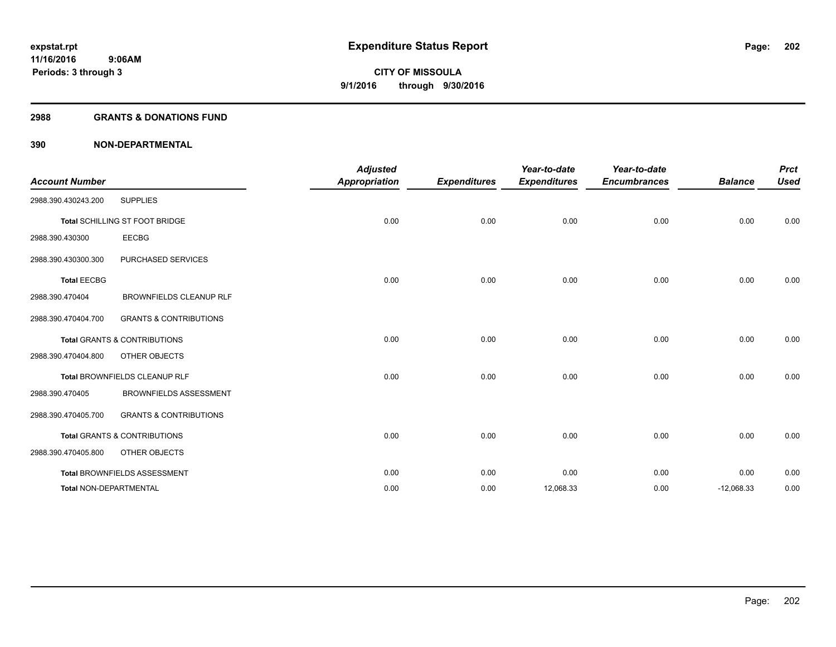### **2988 GRANTS & DONATIONS FUND**

| <b>Account Number</b>  |                                         | <b>Adjusted</b><br><b>Appropriation</b> | <b>Expenditures</b> | Year-to-date<br><b>Expenditures</b> | Year-to-date<br><b>Encumbrances</b> | <b>Balance</b> | <b>Prct</b><br><b>Used</b> |
|------------------------|-----------------------------------------|-----------------------------------------|---------------------|-------------------------------------|-------------------------------------|----------------|----------------------------|
| 2988.390.430243.200    | <b>SUPPLIES</b>                         |                                         |                     |                                     |                                     |                |                            |
|                        | Total SCHILLING ST FOOT BRIDGE          | 0.00                                    | 0.00                | 0.00                                | 0.00                                | 0.00           | 0.00                       |
| 2988.390.430300        | <b>EECBG</b>                            |                                         |                     |                                     |                                     |                |                            |
| 2988.390.430300.300    | PURCHASED SERVICES                      |                                         |                     |                                     |                                     |                |                            |
| <b>Total EECBG</b>     |                                         | 0.00                                    | 0.00                | 0.00                                | 0.00                                | 0.00           | 0.00                       |
| 2988.390.470404        | <b>BROWNFIELDS CLEANUP RLF</b>          |                                         |                     |                                     |                                     |                |                            |
| 2988.390.470404.700    | <b>GRANTS &amp; CONTRIBUTIONS</b>       |                                         |                     |                                     |                                     |                |                            |
|                        | <b>Total GRANTS &amp; CONTRIBUTIONS</b> | 0.00                                    | 0.00                | 0.00                                | 0.00                                | 0.00           | 0.00                       |
| 2988.390.470404.800    | OTHER OBJECTS                           |                                         |                     |                                     |                                     |                |                            |
|                        | Total BROWNFIELDS CLEANUP RLF           | 0.00                                    | 0.00                | 0.00                                | 0.00                                | 0.00           | 0.00                       |
| 2988.390.470405        | <b>BROWNFIELDS ASSESSMENT</b>           |                                         |                     |                                     |                                     |                |                            |
| 2988.390.470405.700    | <b>GRANTS &amp; CONTRIBUTIONS</b>       |                                         |                     |                                     |                                     |                |                            |
|                        | <b>Total GRANTS &amp; CONTRIBUTIONS</b> | 0.00                                    | 0.00                | 0.00                                | 0.00                                | 0.00           | 0.00                       |
| 2988.390.470405.800    | OTHER OBJECTS                           |                                         |                     |                                     |                                     |                |                            |
|                        | Total BROWNFIELDS ASSESSMENT            | 0.00                                    | 0.00                | 0.00                                | 0.00                                | 0.00           | 0.00                       |
| Total NON-DEPARTMENTAL |                                         | 0.00                                    | 0.00                | 12,068.33                           | 0.00                                | $-12,068.33$   | 0.00                       |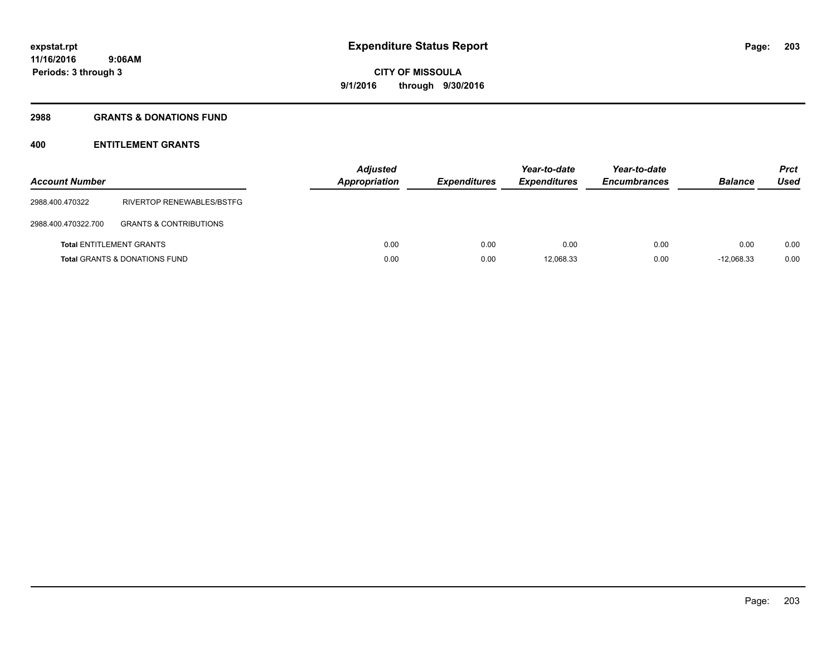## **2988 GRANTS & DONATIONS FUND**

# **400 ENTITLEMENT GRANTS**

| <b>Account Number</b> |                                          | <b>Adjusted</b><br>Appropriation | <b>Expenditures</b> | Year-to-date<br><b>Expenditures</b> | Year-to-date<br><b>Encumbrances</b> | <b>Balance</b> | <b>Prct</b><br>Used |
|-----------------------|------------------------------------------|----------------------------------|---------------------|-------------------------------------|-------------------------------------|----------------|---------------------|
| 2988.400.470322       | RIVERTOP RENEWABLES/BSTFG                |                                  |                     |                                     |                                     |                |                     |
| 2988.400.470322.700   | <b>GRANTS &amp; CONTRIBUTIONS</b>        |                                  |                     |                                     |                                     |                |                     |
|                       | <b>Total ENTITLEMENT GRANTS</b>          | 0.00                             | 0.00                | 0.00                                | 0.00                                | 0.00           | 0.00                |
|                       | <b>Total GRANTS &amp; DONATIONS FUND</b> | 0.00                             | 0.00                | 12,068.33                           | 0.00                                | $-12.068.33$   | 0.00                |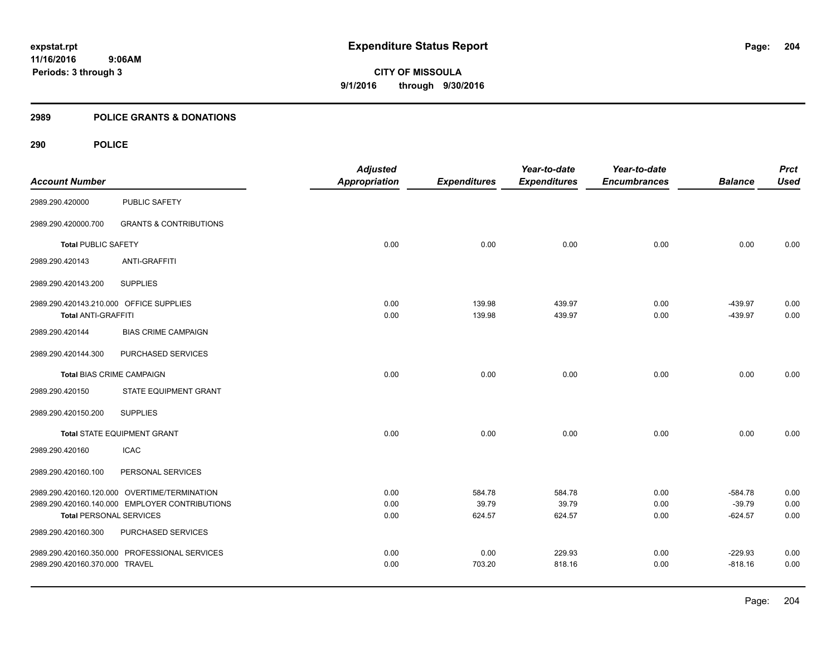## **2989 POLICE GRANTS & DONATIONS**

 **9:06AM**

## **290 POLICE**

**Periods: 3 through 3**

|                                         |                                                | <b>Adjusted</b>      |                     | Year-to-date        | Year-to-date        |                | <b>Prct</b> |
|-----------------------------------------|------------------------------------------------|----------------------|---------------------|---------------------|---------------------|----------------|-------------|
| <b>Account Number</b>                   |                                                | <b>Appropriation</b> | <b>Expenditures</b> | <b>Expenditures</b> | <b>Encumbrances</b> | <b>Balance</b> | <b>Used</b> |
| 2989.290.420000                         | PUBLIC SAFETY                                  |                      |                     |                     |                     |                |             |
| 2989.290.420000.700                     | <b>GRANTS &amp; CONTRIBUTIONS</b>              |                      |                     |                     |                     |                |             |
| <b>Total PUBLIC SAFETY</b>              |                                                | 0.00                 | 0.00                | 0.00                | 0.00                | 0.00           | 0.00        |
| 2989.290.420143                         | <b>ANTI-GRAFFITI</b>                           |                      |                     |                     |                     |                |             |
| 2989.290.420143.200                     | <b>SUPPLIES</b>                                |                      |                     |                     |                     |                |             |
| 2989.290.420143.210.000 OFFICE SUPPLIES |                                                | 0.00                 | 139.98              | 439.97              | 0.00                | $-439.97$      | 0.00        |
| <b>Total ANTI-GRAFFITI</b>              |                                                | 0.00                 | 139.98              | 439.97              | 0.00                | $-439.97$      | 0.00        |
| 2989.290.420144                         | <b>BIAS CRIME CAMPAIGN</b>                     |                      |                     |                     |                     |                |             |
| 2989.290.420144.300                     | PURCHASED SERVICES                             |                      |                     |                     |                     |                |             |
| <b>Total BIAS CRIME CAMPAIGN</b>        |                                                | 0.00                 | 0.00                | 0.00                | 0.00                | 0.00           | 0.00        |
| 2989.290.420150                         | STATE EQUIPMENT GRANT                          |                      |                     |                     |                     |                |             |
| 2989.290.420150.200                     | <b>SUPPLIES</b>                                |                      |                     |                     |                     |                |             |
|                                         | <b>Total STATE EQUIPMENT GRANT</b>             | 0.00                 | 0.00                | 0.00                | 0.00                | 0.00           | 0.00        |
| 2989.290.420160                         | <b>ICAC</b>                                    |                      |                     |                     |                     |                |             |
| 2989.290.420160.100                     | PERSONAL SERVICES                              |                      |                     |                     |                     |                |             |
|                                         | 2989.290.420160.120.000 OVERTIME/TERMINATION   | 0.00                 | 584.78              | 584.78              | 0.00                | $-584.78$      | 0.00        |
|                                         | 2989.290.420160.140.000 EMPLOYER CONTRIBUTIONS | 0.00                 | 39.79               | 39.79               | 0.00                | $-39.79$       | 0.00        |
| <b>Total PERSONAL SERVICES</b>          |                                                | 0.00                 | 624.57              | 624.57              | 0.00                | $-624.57$      | 0.00        |
| 2989.290.420160.300                     | PURCHASED SERVICES                             |                      |                     |                     |                     |                |             |
|                                         | 2989.290.420160.350.000 PROFESSIONAL SERVICES  | 0.00                 | 0.00                | 229.93              | 0.00                | $-229.93$      | 0.00        |
| 2989.290.420160.370.000 TRAVEL          |                                                | 0.00                 | 703.20              | 818.16              | 0.00                | $-818.16$      | 0.00        |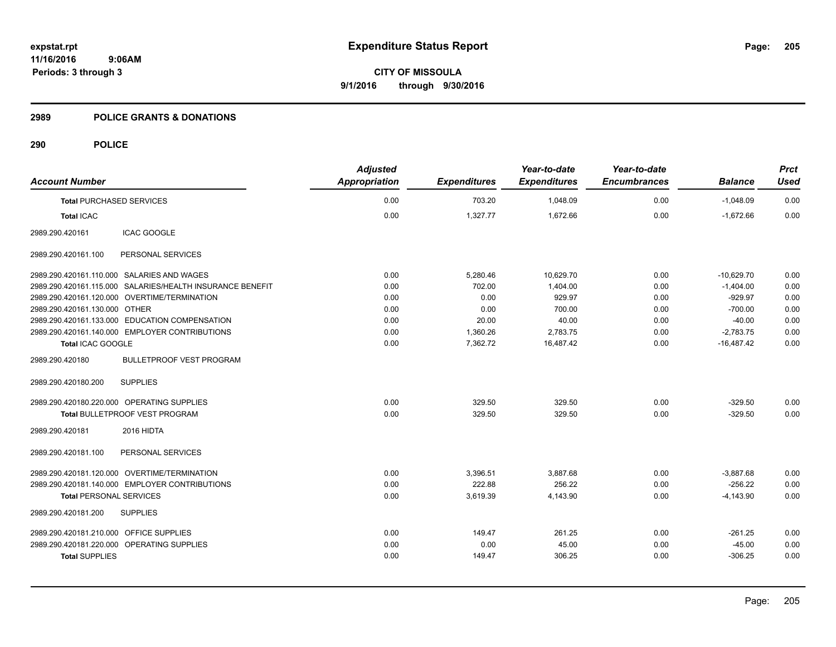**11/16/2016 9:06AM Periods: 3 through 3**

**CITY OF MISSOULA 9/1/2016 through 9/30/2016**

### **2989 POLICE GRANTS & DONATIONS**

| <b>Account Number</b>                        |                                                           | <b>Adjusted</b><br><b>Appropriation</b> | <b>Expenditures</b> | Year-to-date<br><b>Expenditures</b> | Year-to-date<br><b>Encumbrances</b> | <b>Balance</b> | <b>Prct</b><br><b>Used</b> |
|----------------------------------------------|-----------------------------------------------------------|-----------------------------------------|---------------------|-------------------------------------|-------------------------------------|----------------|----------------------------|
| <b>Total PURCHASED SERVICES</b>              |                                                           | 0.00                                    | 703.20              | 1,048.09                            | 0.00                                | $-1.048.09$    | 0.00                       |
| <b>Total ICAC</b>                            |                                                           | 0.00                                    | 1,327.77            | 1,672.66                            | 0.00                                | $-1,672.66$    | 0.00                       |
| 2989.290.420161                              | <b>ICAC GOOGLE</b>                                        |                                         |                     |                                     |                                     |                |                            |
| 2989.290.420161.100                          | PERSONAL SERVICES                                         |                                         |                     |                                     |                                     |                |                            |
| 2989.290.420161.110.000 SALARIES AND WAGES   |                                                           | 0.00                                    | 5,280.46            | 10,629.70                           | 0.00                                | $-10,629.70$   | 0.00                       |
|                                              | 2989.290.420161.115.000 SALARIES/HEALTH INSURANCE BENEFIT | 0.00                                    | 702.00              | 1.404.00                            | 0.00                                | $-1,404.00$    | 0.00                       |
| 2989.290.420161.120.000 OVERTIME/TERMINATION |                                                           | 0.00                                    | 0.00                | 929.97                              | 0.00                                | $-929.97$      | 0.00                       |
| 2989.290.420161.130.000 OTHER                |                                                           | 0.00                                    | 0.00                | 700.00                              | 0.00                                | $-700.00$      | 0.00                       |
|                                              | 2989.290.420161.133.000 EDUCATION COMPENSATION            | 0.00                                    | 20.00               | 40.00                               | 0.00                                | $-40.00$       | 0.00                       |
|                                              | 2989.290.420161.140.000 EMPLOYER CONTRIBUTIONS            | 0.00                                    | 1,360.26            | 2,783.75                            | 0.00                                | $-2,783.75$    | 0.00                       |
| Total ICAC GOOGLE                            |                                                           | 0.00                                    | 7,362.72            | 16,487.42                           | 0.00                                | $-16,487.42$   | 0.00                       |
| 2989.290.420180                              | <b>BULLETPROOF VEST PROGRAM</b>                           |                                         |                     |                                     |                                     |                |                            |
| 2989.290.420180.200                          | <b>SUPPLIES</b>                                           |                                         |                     |                                     |                                     |                |                            |
| 2989.290.420180.220.000 OPERATING SUPPLIES   |                                                           | 0.00                                    | 329.50              | 329.50                              | 0.00                                | $-329.50$      | 0.00                       |
|                                              | Total BULLETPROOF VEST PROGRAM                            | 0.00                                    | 329.50              | 329.50                              | 0.00                                | $-329.50$      | 0.00                       |
| 2989.290.420181                              | 2016 HIDTA                                                |                                         |                     |                                     |                                     |                |                            |
| 2989.290.420181.100                          | PERSONAL SERVICES                                         |                                         |                     |                                     |                                     |                |                            |
| 2989.290.420181.120.000 OVERTIME/TERMINATION |                                                           | 0.00                                    | 3.396.51            | 3,887.68                            | 0.00                                | $-3,887.68$    | 0.00                       |
|                                              | 2989.290.420181.140.000 EMPLOYER CONTRIBUTIONS            | 0.00                                    | 222.88              | 256.22                              | 0.00                                | $-256.22$      | 0.00                       |
| <b>Total PERSONAL SERVICES</b>               |                                                           | 0.00                                    | 3,619.39            | 4,143.90                            | 0.00                                | $-4,143.90$    | 0.00                       |
| 2989.290.420181.200                          | <b>SUPPLIES</b>                                           |                                         |                     |                                     |                                     |                |                            |
| 2989.290.420181.210.000 OFFICE SUPPLIES      |                                                           | 0.00                                    | 149.47              | 261.25                              | 0.00                                | $-261.25$      | 0.00                       |
| 2989.290.420181.220.000 OPERATING SUPPLIES   |                                                           | 0.00                                    | 0.00                | 45.00                               | 0.00                                | $-45.00$       | 0.00                       |
| <b>Total SUPPLIES</b>                        |                                                           | 0.00                                    | 149.47              | 306.25                              | 0.00                                | $-306.25$      | 0.00                       |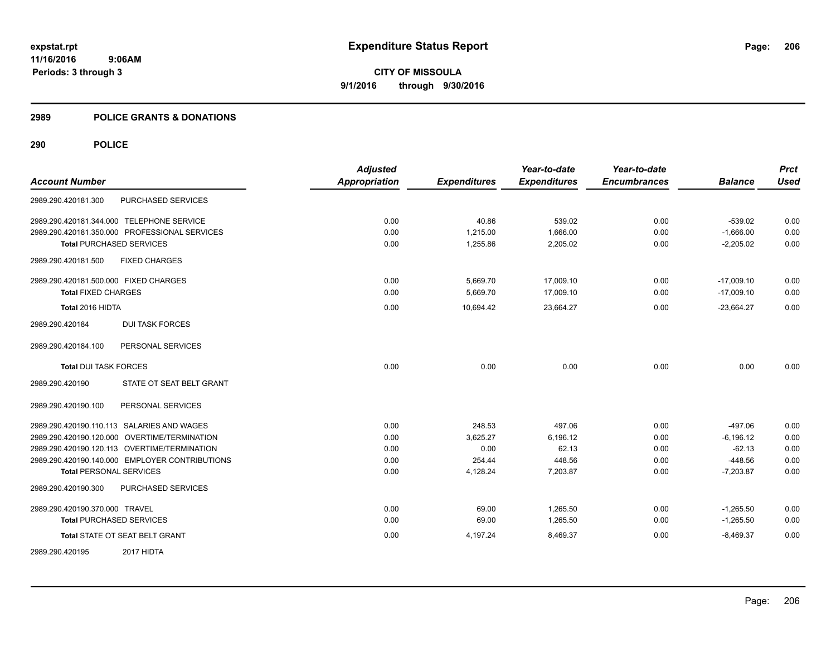### **2989 POLICE GRANTS & DONATIONS**

|                                                | <b>Adjusted</b>      |                     | Year-to-date        | Year-to-date        |                | <b>Prct</b> |
|------------------------------------------------|----------------------|---------------------|---------------------|---------------------|----------------|-------------|
| <b>Account Number</b>                          | <b>Appropriation</b> | <b>Expenditures</b> | <b>Expenditures</b> | <b>Encumbrances</b> | <b>Balance</b> | <b>Used</b> |
| PURCHASED SERVICES<br>2989.290.420181.300      |                      |                     |                     |                     |                |             |
| 2989.290.420181.344.000 TELEPHONE SERVICE      | 0.00                 | 40.86               | 539.02              | 0.00                | $-539.02$      | 0.00        |
| 2989.290.420181.350.000 PROFESSIONAL SERVICES  | 0.00                 | 1,215.00            | 1,666.00            | 0.00                | $-1,666.00$    | 0.00        |
| <b>Total PURCHASED SERVICES</b>                | 0.00                 | 1,255.86            | 2,205.02            | 0.00                | $-2,205.02$    | 0.00        |
| 2989.290.420181.500<br><b>FIXED CHARGES</b>    |                      |                     |                     |                     |                |             |
| 2989.290.420181.500.000 FIXED CHARGES          | 0.00                 | 5,669.70            | 17,009.10           | 0.00                | $-17,009.10$   | 0.00        |
| <b>Total FIXED CHARGES</b>                     | 0.00                 | 5,669.70            | 17,009.10           | 0.00                | $-17,009.10$   | 0.00        |
| Total 2016 HIDTA                               | 0.00                 | 10,694.42           | 23,664.27           | 0.00                | $-23,664.27$   | 0.00        |
| 2989.290.420184<br><b>DUI TASK FORCES</b>      |                      |                     |                     |                     |                |             |
| 2989.290.420184.100<br>PERSONAL SERVICES       |                      |                     |                     |                     |                |             |
| <b>Total DUI TASK FORCES</b>                   | 0.00                 | 0.00                | 0.00                | 0.00                | 0.00           | 0.00        |
| STATE OT SEAT BELT GRANT<br>2989.290.420190    |                      |                     |                     |                     |                |             |
| PERSONAL SERVICES<br>2989.290.420190.100       |                      |                     |                     |                     |                |             |
| 2989.290.420190.110.113 SALARIES AND WAGES     | 0.00                 | 248.53              | 497.06              | 0.00                | $-497.06$      | 0.00        |
| 2989.290.420190.120.000 OVERTIME/TERMINATION   | 0.00                 | 3,625.27            | 6,196.12            | 0.00                | $-6, 196.12$   | 0.00        |
| 2989.290.420190.120.113 OVERTIME/TERMINATION   | 0.00                 | 0.00                | 62.13               | 0.00                | $-62.13$       | 0.00        |
| 2989.290.420190.140.000 EMPLOYER CONTRIBUTIONS | 0.00                 | 254.44              | 448.56              | 0.00                | $-448.56$      | 0.00        |
| <b>Total PERSONAL SERVICES</b>                 | 0.00                 | 4,128.24            | 7,203.87            | 0.00                | $-7,203.87$    | 0.00        |
| PURCHASED SERVICES<br>2989.290.420190.300      |                      |                     |                     |                     |                |             |
| 2989.290.420190.370.000 TRAVEL                 | 0.00                 | 69.00               | 1.265.50            | 0.00                | $-1,265.50$    | 0.00        |
| <b>Total PURCHASED SERVICES</b>                | 0.00                 | 69.00               | 1,265.50            | 0.00                | $-1,265.50$    | 0.00        |
| Total STATE OT SEAT BELT GRANT                 | 0.00                 | 4,197.24            | 8,469.37            | 0.00                | $-8,469.37$    | 0.00        |
| 2989.290.420195<br>2017 HIDTA                  |                      |                     |                     |                     |                |             |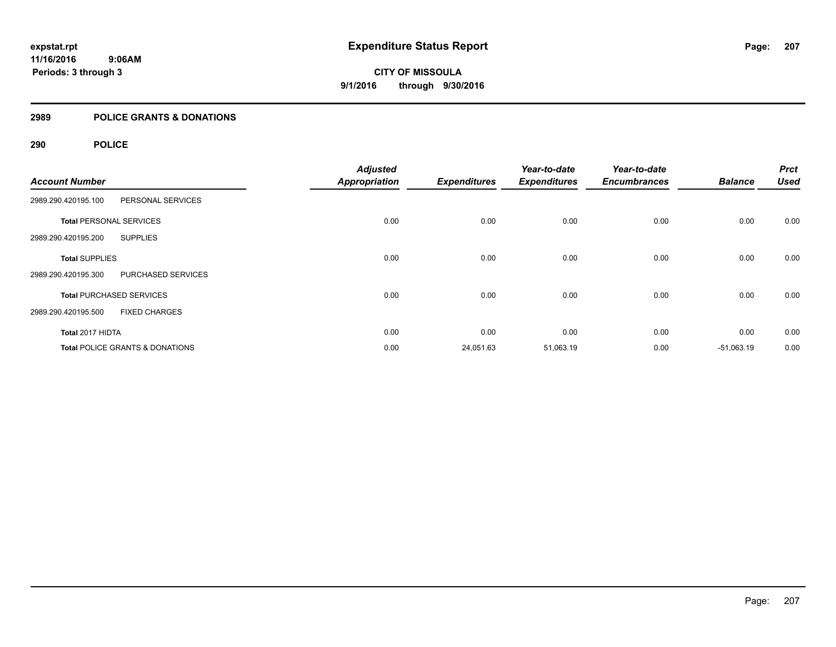#### **2989 POLICE GRANTS & DONATIONS**

| <b>Account Number</b>                       | <b>Adjusted</b><br><b>Appropriation</b> | <b>Expenditures</b> | Year-to-date<br><b>Expenditures</b> | Year-to-date<br><b>Encumbrances</b> | <b>Balance</b> | <b>Prct</b><br><b>Used</b> |
|---------------------------------------------|-----------------------------------------|---------------------|-------------------------------------|-------------------------------------|----------------|----------------------------|
| PERSONAL SERVICES<br>2989.290.420195.100    |                                         |                     |                                     |                                     |                |                            |
| <b>Total PERSONAL SERVICES</b>              | 0.00                                    | 0.00                | 0.00                                | 0.00                                | 0.00           | 0.00                       |
| <b>SUPPLIES</b><br>2989.290.420195.200      |                                         |                     |                                     |                                     |                |                            |
| <b>Total SUPPLIES</b>                       | 0.00                                    | 0.00                | 0.00                                | 0.00                                | 0.00           | 0.00                       |
| PURCHASED SERVICES<br>2989.290.420195.300   |                                         |                     |                                     |                                     |                |                            |
| <b>Total PURCHASED SERVICES</b>             | 0.00                                    | 0.00                | 0.00                                | 0.00                                | 0.00           | 0.00                       |
| <b>FIXED CHARGES</b><br>2989.290.420195.500 |                                         |                     |                                     |                                     |                |                            |
| Total 2017 HIDTA                            | 0.00                                    | 0.00                | 0.00                                | 0.00                                | 0.00           | 0.00                       |
| <b>Total POLICE GRANTS &amp; DONATIONS</b>  | 0.00                                    | 24,051.63           | 51,063.19                           | 0.00                                | $-51,063.19$   | 0.00                       |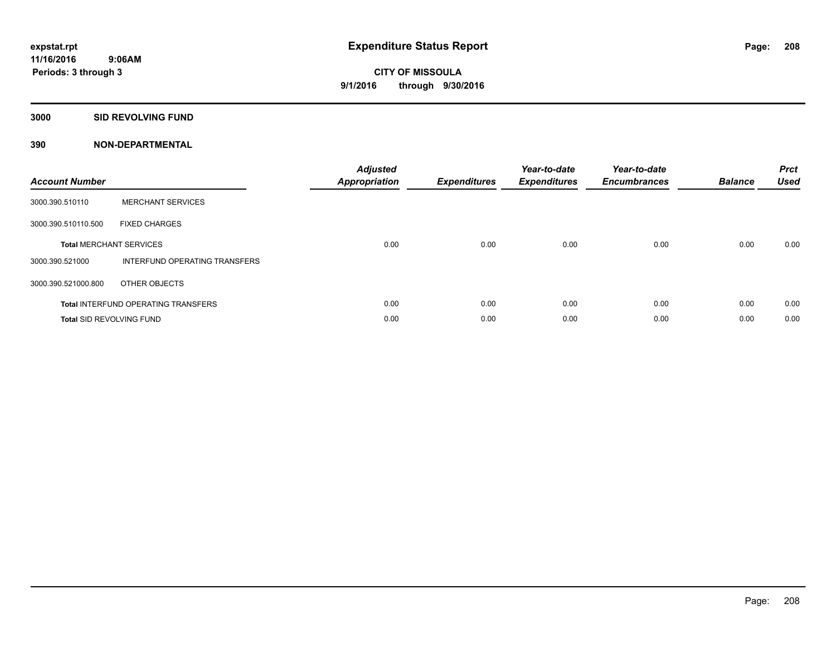### **3000 SID REVOLVING FUND**

| <b>Account Number</b>           |                                            | <b>Adjusted</b><br><b>Appropriation</b> | <b>Expenditures</b> | Year-to-date<br><b>Expenditures</b> | Year-to-date<br><b>Encumbrances</b> | <b>Balance</b> | <b>Prct</b><br><b>Used</b> |
|---------------------------------|--------------------------------------------|-----------------------------------------|---------------------|-------------------------------------|-------------------------------------|----------------|----------------------------|
| 3000.390.510110                 | <b>MERCHANT SERVICES</b>                   |                                         |                     |                                     |                                     |                |                            |
| 3000.390.510110.500             | <b>FIXED CHARGES</b>                       |                                         |                     |                                     |                                     |                |                            |
|                                 | <b>Total MERCHANT SERVICES</b>             | 0.00                                    | 0.00                | 0.00                                | 0.00                                | 0.00           | 0.00                       |
| 3000.390.521000                 | INTERFUND OPERATING TRANSFERS              |                                         |                     |                                     |                                     |                |                            |
| 3000.390.521000.800             | OTHER OBJECTS                              |                                         |                     |                                     |                                     |                |                            |
|                                 | <b>Total INTERFUND OPERATING TRANSFERS</b> | 0.00                                    | 0.00                | 0.00                                | 0.00                                | 0.00           | 0.00                       |
| <b>Total SID REVOLVING FUND</b> |                                            | 0.00                                    | 0.00                | 0.00                                | 0.00                                | 0.00           | 0.00                       |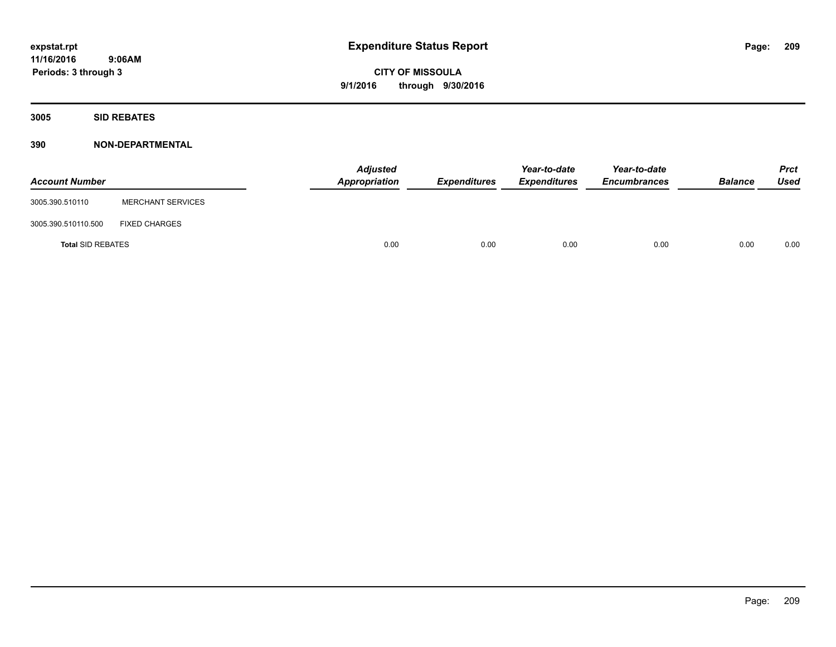**3005 SID REBATES**

| <b>Account Number</b>    |                          | <b>Adjusted</b><br>Appropriation | <b>Expenditures</b> | Year-to-date<br><b>Expenditures</b> | Year-to-date<br><b>Encumbrances</b> | <b>Balance</b> | <b>Prct</b><br>Used |
|--------------------------|--------------------------|----------------------------------|---------------------|-------------------------------------|-------------------------------------|----------------|---------------------|
| 3005.390.510110          | <b>MERCHANT SERVICES</b> |                                  |                     |                                     |                                     |                |                     |
| 3005.390.510110.500      | <b>FIXED CHARGES</b>     |                                  |                     |                                     |                                     |                |                     |
| <b>Total SID REBATES</b> |                          | 0.00                             | 0.00                | 0.00                                | 0.00                                | 0.00           | 0.00                |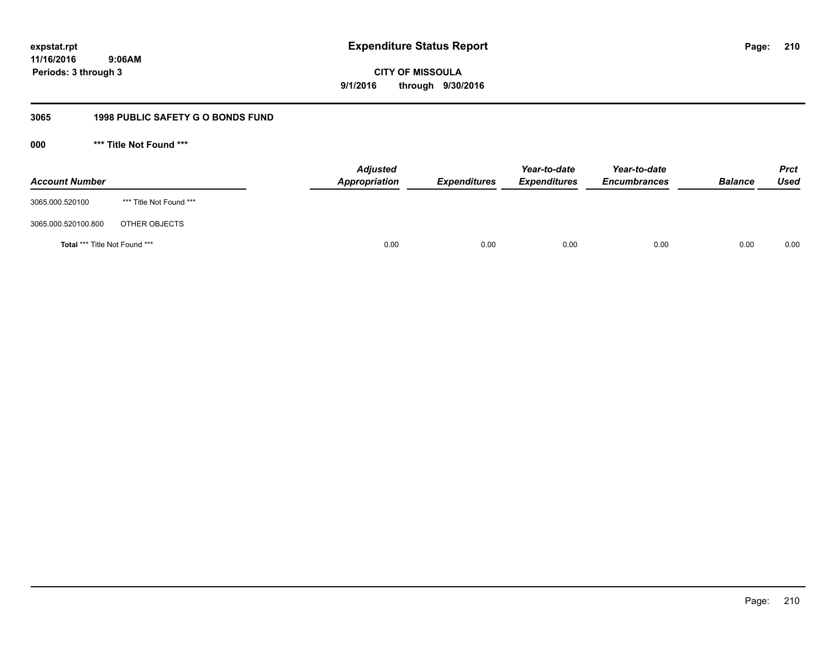# **11/16/2016 9:06AM Periods: 3 through 3**

**CITY OF MISSOULA 9/1/2016 through 9/30/2016**

# **3065 1998 PUBLIC SAFETY G O BONDS FUND**

**000 \*\*\* Title Not Found \*\*\***

| <b>Account Number</b>         |                         | <b>Adjusted</b><br>Appropriation | <b>Expenditures</b> | Year-to-date<br><b>Expenditures</b> | Year-to-date<br><b>Encumbrances</b> | <b>Balance</b> | <b>Prct</b><br><b>Used</b> |
|-------------------------------|-------------------------|----------------------------------|---------------------|-------------------------------------|-------------------------------------|----------------|----------------------------|
| 3065.000.520100               | *** Title Not Found *** |                                  |                     |                                     |                                     |                |                            |
| 3065.000.520100.800           | OTHER OBJECTS           |                                  |                     |                                     |                                     |                |                            |
| Total *** Title Not Found *** |                         | 0.00                             | 0.00                | 0.00                                | 0.00                                | 0.00           | 0.00                       |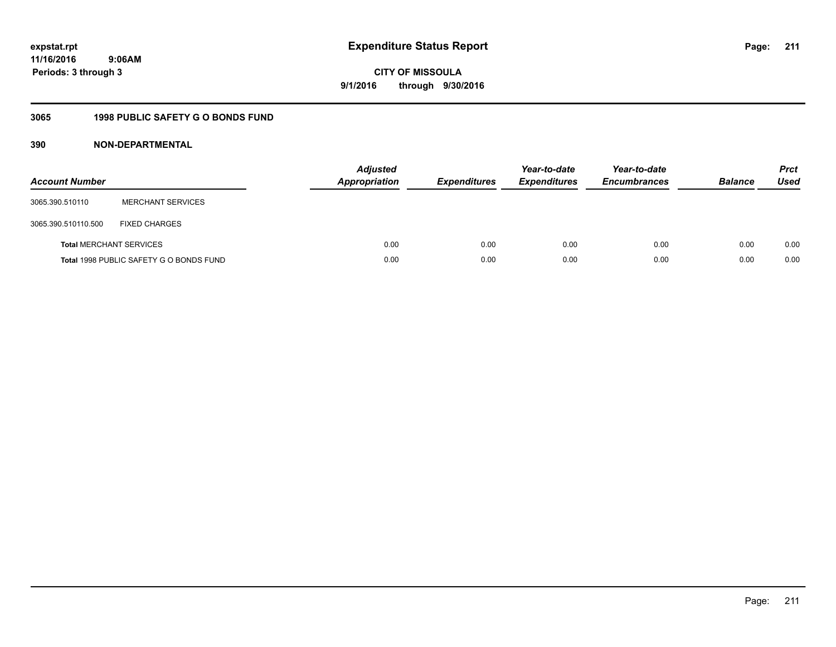# **11/16/2016 9:06AM Periods: 3 through 3**

**CITY OF MISSOULA 9/1/2016 through 9/30/2016**

# **3065 1998 PUBLIC SAFETY G O BONDS FUND**

| <b>Account Number</b>          |                                         | <b>Adjusted</b><br><b>Appropriation</b> | <b>Expenditures</b> | Year-to-date<br><b>Expenditures</b> | Year-to-date<br><b>Encumbrances</b> | <b>Balance</b> | <b>Prct</b><br>Used |
|--------------------------------|-----------------------------------------|-----------------------------------------|---------------------|-------------------------------------|-------------------------------------|----------------|---------------------|
| 3065.390.510110                | <b>MERCHANT SERVICES</b>                |                                         |                     |                                     |                                     |                |                     |
| 3065.390.510110.500            | <b>FIXED CHARGES</b>                    |                                         |                     |                                     |                                     |                |                     |
| <b>Total MERCHANT SERVICES</b> |                                         | 0.00                                    | 0.00                | 0.00                                | 0.00                                | 0.00           | 0.00                |
|                                | Total 1998 PUBLIC SAFETY G O BONDS FUND | 0.00                                    | 0.00                | 0.00                                | 0.00                                | 0.00           | 0.00                |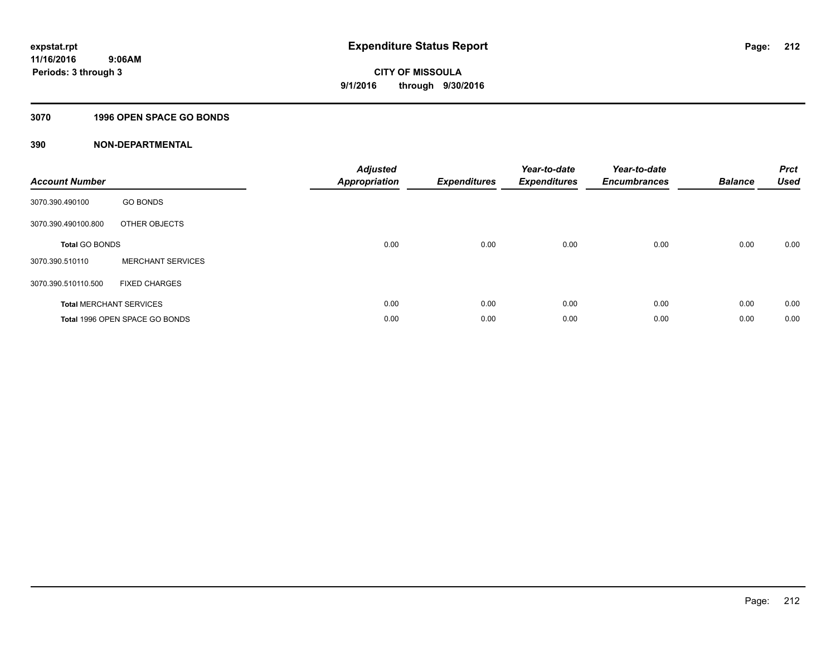## **3070 1996 OPEN SPACE GO BONDS**

| <b>Account Number</b> |                                | <b>Adjusted</b><br><b>Appropriation</b> | <b>Expenditures</b> | Year-to-date<br><b>Expenditures</b> | Year-to-date<br><b>Encumbrances</b> | <b>Balance</b> | <b>Prct</b><br><b>Used</b> |
|-----------------------|--------------------------------|-----------------------------------------|---------------------|-------------------------------------|-------------------------------------|----------------|----------------------------|
| 3070.390.490100       | <b>GO BONDS</b>                |                                         |                     |                                     |                                     |                |                            |
| 3070.390.490100.800   | OTHER OBJECTS                  |                                         |                     |                                     |                                     |                |                            |
| <b>Total GO BONDS</b> |                                | 0.00                                    | 0.00                | 0.00                                | 0.00                                | 0.00           | 0.00                       |
| 3070.390.510110       | <b>MERCHANT SERVICES</b>       |                                         |                     |                                     |                                     |                |                            |
| 3070.390.510110.500   | <b>FIXED CHARGES</b>           |                                         |                     |                                     |                                     |                |                            |
|                       | <b>Total MERCHANT SERVICES</b> | 0.00                                    | 0.00                | 0.00                                | 0.00                                | 0.00           | 0.00                       |
|                       | Total 1996 OPEN SPACE GO BONDS | 0.00                                    | 0.00                | 0.00                                | 0.00                                | 0.00           | 0.00                       |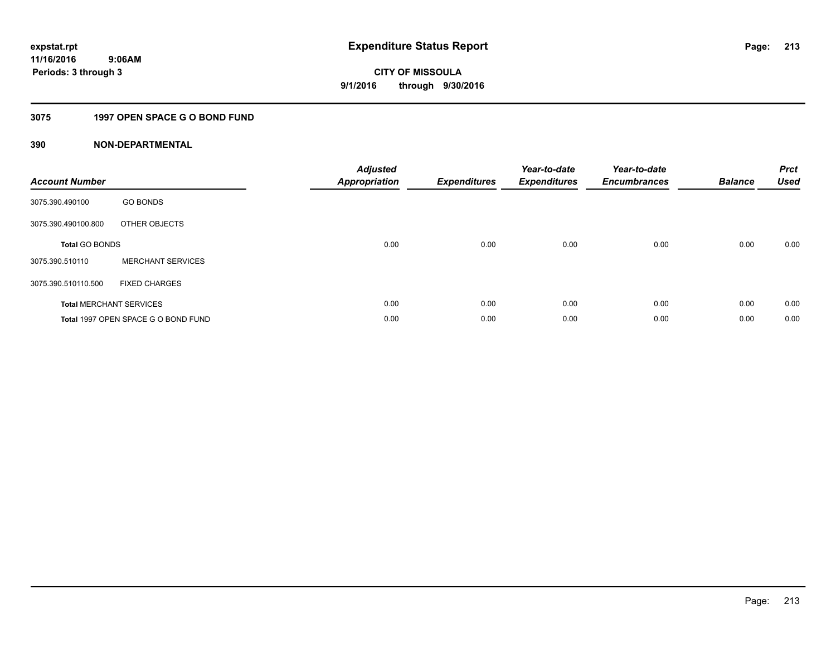## **3075 1997 OPEN SPACE G O BOND FUND**

| <b>Account Number</b> |                                     | <b>Adjusted</b><br><b>Appropriation</b> | <b>Expenditures</b> | Year-to-date<br><b>Expenditures</b> | Year-to-date<br><b>Encumbrances</b> | <b>Balance</b> | <b>Prct</b><br><b>Used</b> |
|-----------------------|-------------------------------------|-----------------------------------------|---------------------|-------------------------------------|-------------------------------------|----------------|----------------------------|
| 3075.390.490100       | <b>GO BONDS</b>                     |                                         |                     |                                     |                                     |                |                            |
| 3075.390.490100.800   | OTHER OBJECTS                       |                                         |                     |                                     |                                     |                |                            |
| <b>Total GO BONDS</b> |                                     | 0.00                                    | 0.00                | 0.00                                | 0.00                                | 0.00           | 0.00                       |
| 3075.390.510110       | <b>MERCHANT SERVICES</b>            |                                         |                     |                                     |                                     |                |                            |
| 3075.390.510110.500   | <b>FIXED CHARGES</b>                |                                         |                     |                                     |                                     |                |                            |
|                       | <b>Total MERCHANT SERVICES</b>      | 0.00                                    | 0.00                | 0.00                                | 0.00                                | 0.00           | 0.00                       |
|                       | Total 1997 OPEN SPACE G O BOND FUND | 0.00                                    | 0.00                | 0.00                                | 0.00                                | 0.00           | 0.00                       |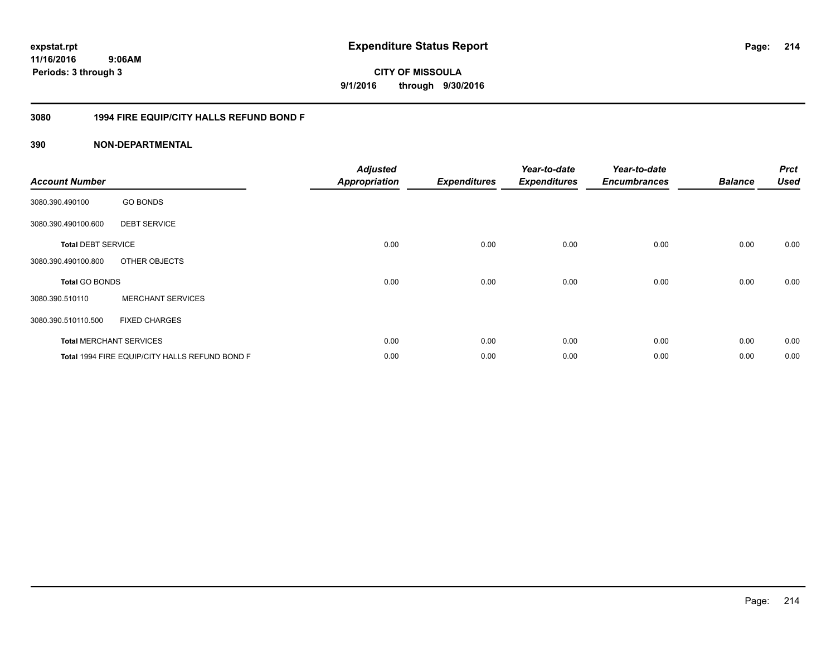# **11/16/2016 9:06AM Periods: 3 through 3**

**214**

**CITY OF MISSOULA 9/1/2016 through 9/30/2016**

## **3080 1994 FIRE EQUIP/CITY HALLS REFUND BOND F**

| <b>Account Number</b>     |                                                | <b>Adjusted</b><br><b>Appropriation</b> | <b>Expenditures</b> | Year-to-date<br><b>Expenditures</b> | Year-to-date<br><b>Encumbrances</b> | <b>Balance</b> | <b>Prct</b><br><b>Used</b> |
|---------------------------|------------------------------------------------|-----------------------------------------|---------------------|-------------------------------------|-------------------------------------|----------------|----------------------------|
| 3080.390.490100           | <b>GO BONDS</b>                                |                                         |                     |                                     |                                     |                |                            |
| 3080.390.490100.600       | <b>DEBT SERVICE</b>                            |                                         |                     |                                     |                                     |                |                            |
| <b>Total DEBT SERVICE</b> |                                                | 0.00                                    | 0.00                | 0.00                                | 0.00                                | 0.00           | 0.00                       |
| 3080.390.490100.800       | OTHER OBJECTS                                  |                                         |                     |                                     |                                     |                |                            |
| <b>Total GO BONDS</b>     |                                                | 0.00                                    | 0.00                | 0.00                                | 0.00                                | 0.00           | 0.00                       |
| 3080.390.510110           | <b>MERCHANT SERVICES</b>                       |                                         |                     |                                     |                                     |                |                            |
| 3080.390.510110.500       | <b>FIXED CHARGES</b>                           |                                         |                     |                                     |                                     |                |                            |
|                           | <b>Total MERCHANT SERVICES</b>                 | 0.00                                    | 0.00                | 0.00                                | 0.00                                | 0.00           | 0.00                       |
|                           | Total 1994 FIRE EQUIP/CITY HALLS REFUND BOND F | 0.00                                    | 0.00                | 0.00                                | 0.00                                | 0.00           | 0.00                       |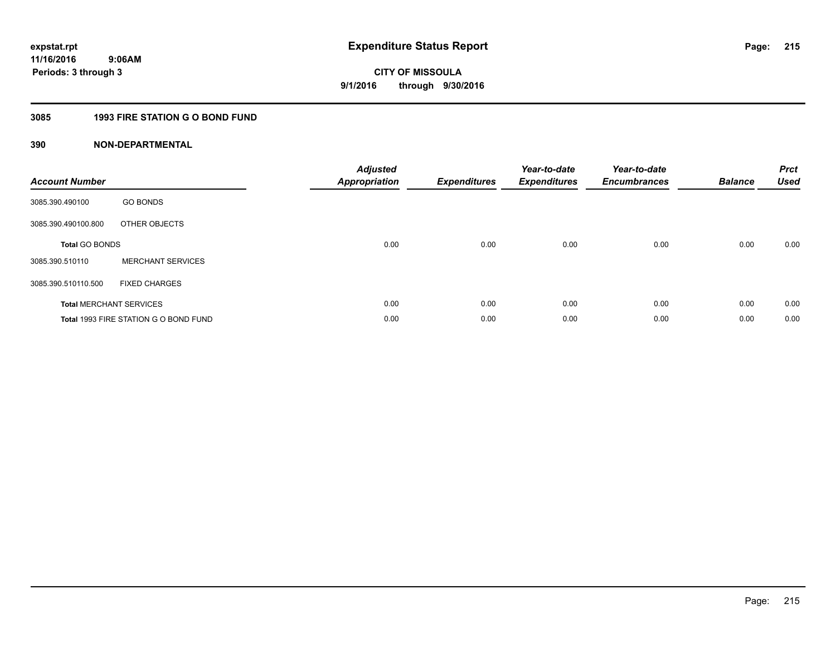## **3085 1993 FIRE STATION G O BOND FUND**

| <b>Account Number</b> |                                       | <b>Adjusted</b><br><b>Appropriation</b> | <b>Expenditures</b> | Year-to-date<br><b>Expenditures</b> | Year-to-date<br><b>Encumbrances</b> | <b>Balance</b> | <b>Prct</b><br><b>Used</b> |
|-----------------------|---------------------------------------|-----------------------------------------|---------------------|-------------------------------------|-------------------------------------|----------------|----------------------------|
| 3085.390.490100       | <b>GO BONDS</b>                       |                                         |                     |                                     |                                     |                |                            |
| 3085.390.490100.800   | OTHER OBJECTS                         |                                         |                     |                                     |                                     |                |                            |
| <b>Total GO BONDS</b> |                                       | 0.00                                    | 0.00                | 0.00                                | 0.00                                | 0.00           | 0.00                       |
| 3085.390.510110       | <b>MERCHANT SERVICES</b>              |                                         |                     |                                     |                                     |                |                            |
| 3085.390.510110.500   | <b>FIXED CHARGES</b>                  |                                         |                     |                                     |                                     |                |                            |
|                       | <b>Total MERCHANT SERVICES</b>        | 0.00                                    | 0.00                | 0.00                                | 0.00                                | 0.00           | 0.00                       |
|                       | Total 1993 FIRE STATION G O BOND FUND | 0.00                                    | 0.00                | 0.00                                | 0.00                                | 0.00           | 0.00                       |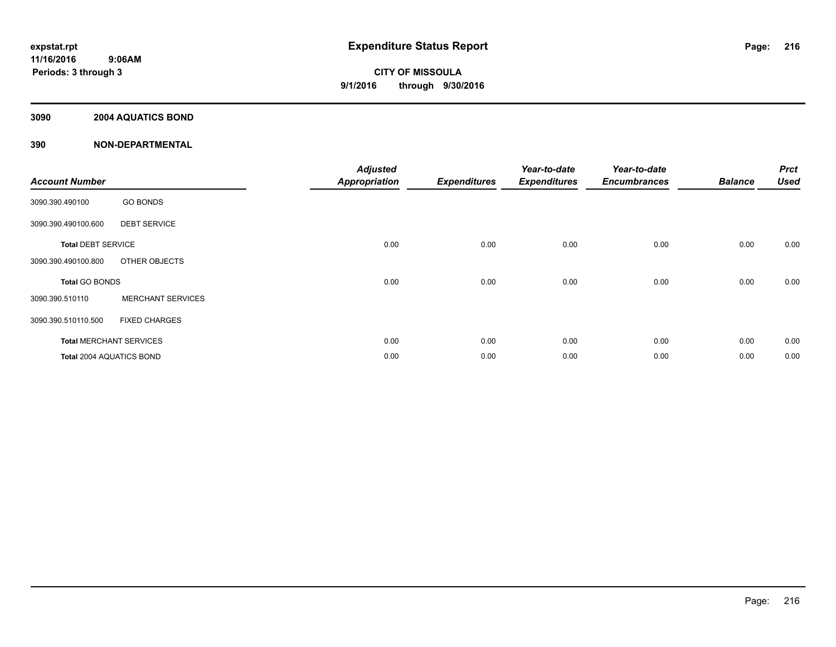## **3090 2004 AQUATICS BOND**

| <b>Account Number</b>     |                                | <b>Adjusted</b><br><b>Appropriation</b> | <b>Expenditures</b> | Year-to-date<br><b>Expenditures</b> | Year-to-date<br><b>Encumbrances</b> | <b>Balance</b> | <b>Prct</b><br><b>Used</b> |
|---------------------------|--------------------------------|-----------------------------------------|---------------------|-------------------------------------|-------------------------------------|----------------|----------------------------|
| 3090.390.490100           | <b>GO BONDS</b>                |                                         |                     |                                     |                                     |                |                            |
| 3090.390.490100.600       | <b>DEBT SERVICE</b>            |                                         |                     |                                     |                                     |                |                            |
| <b>Total DEBT SERVICE</b> |                                | 0.00                                    | 0.00                | 0.00                                | 0.00                                | 0.00           | 0.00                       |
| 3090.390.490100.800       | OTHER OBJECTS                  |                                         |                     |                                     |                                     |                |                            |
| <b>Total GO BONDS</b>     |                                | 0.00                                    | 0.00                | 0.00                                | 0.00                                | 0.00           | 0.00                       |
| 3090.390.510110           | <b>MERCHANT SERVICES</b>       |                                         |                     |                                     |                                     |                |                            |
| 3090.390.510110.500       | <b>FIXED CHARGES</b>           |                                         |                     |                                     |                                     |                |                            |
|                           | <b>Total MERCHANT SERVICES</b> | 0.00                                    | 0.00                | 0.00                                | 0.00                                | 0.00           | 0.00                       |
| Total 2004 AQUATICS BOND  |                                | 0.00                                    | 0.00                | 0.00                                | 0.00                                | 0.00           | 0.00                       |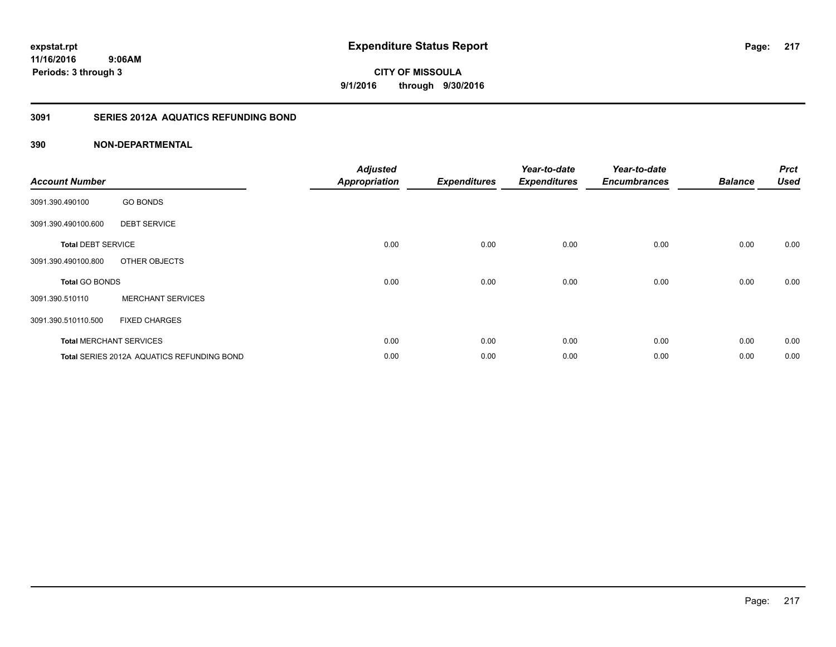## **11/16/2016 9:06AM Periods: 3 through 3**

**CITY OF MISSOULA 9/1/2016 through 9/30/2016**

## **3091 SERIES 2012A AQUATICS REFUNDING BOND**

| <b>Account Number</b>     |                                            | <b>Adjusted</b><br><b>Appropriation</b> | <b>Expenditures</b> | Year-to-date<br><b>Expenditures</b> | Year-to-date<br><b>Encumbrances</b> | <b>Balance</b> | <b>Prct</b><br><b>Used</b> |
|---------------------------|--------------------------------------------|-----------------------------------------|---------------------|-------------------------------------|-------------------------------------|----------------|----------------------------|
| 3091.390.490100           | <b>GO BONDS</b>                            |                                         |                     |                                     |                                     |                |                            |
| 3091.390.490100.600       | <b>DEBT SERVICE</b>                        |                                         |                     |                                     |                                     |                |                            |
| <b>Total DEBT SERVICE</b> |                                            | 0.00                                    | 0.00                | 0.00                                | 0.00                                | 0.00           | 0.00                       |
| 3091.390.490100.800       | OTHER OBJECTS                              |                                         |                     |                                     |                                     |                |                            |
| <b>Total GO BONDS</b>     |                                            | 0.00                                    | 0.00                | 0.00                                | 0.00                                | 0.00           | 0.00                       |
| 3091.390.510110           | <b>MERCHANT SERVICES</b>                   |                                         |                     |                                     |                                     |                |                            |
| 3091.390.510110.500       | <b>FIXED CHARGES</b>                       |                                         |                     |                                     |                                     |                |                            |
|                           | <b>Total MERCHANT SERVICES</b>             | 0.00                                    | 0.00                | 0.00                                | 0.00                                | 0.00           | 0.00                       |
|                           | Total SERIES 2012A AQUATICS REFUNDING BOND | 0.00                                    | 0.00                | 0.00                                | 0.00                                | 0.00           | 0.00                       |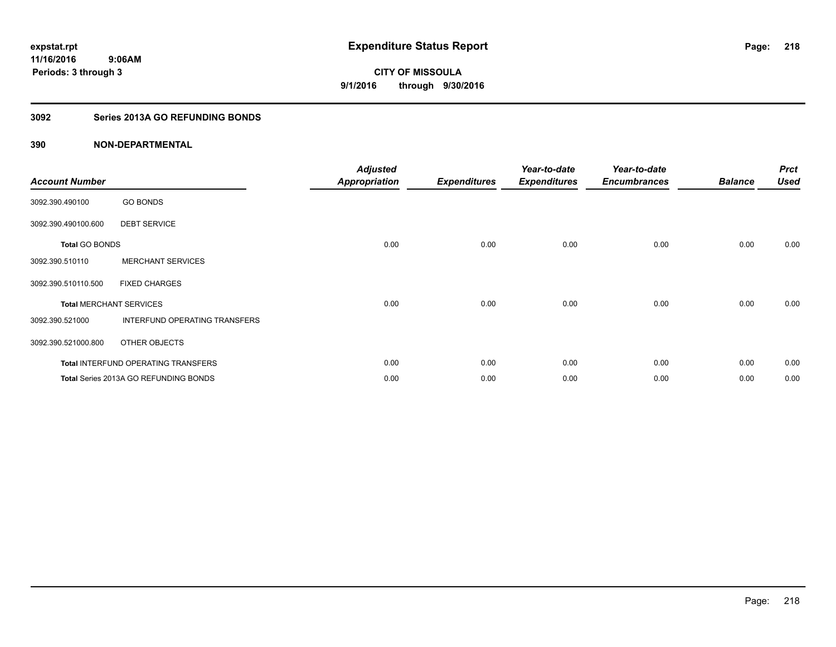## **3092 Series 2013A GO REFUNDING BONDS**

| <b>Account Number</b>          |                                       | <b>Adjusted</b><br><b>Appropriation</b> | <b>Expenditures</b> | Year-to-date<br><b>Expenditures</b> | Year-to-date<br><b>Encumbrances</b> | <b>Balance</b> | <b>Prct</b><br><b>Used</b> |
|--------------------------------|---------------------------------------|-----------------------------------------|---------------------|-------------------------------------|-------------------------------------|----------------|----------------------------|
| 3092.390.490100                | <b>GO BONDS</b>                       |                                         |                     |                                     |                                     |                |                            |
| 3092.390.490100.600            | <b>DEBT SERVICE</b>                   |                                         |                     |                                     |                                     |                |                            |
| <b>Total GO BONDS</b>          |                                       | 0.00                                    | 0.00                | 0.00                                | 0.00                                | 0.00           | 0.00                       |
| 3092.390.510110                | <b>MERCHANT SERVICES</b>              |                                         |                     |                                     |                                     |                |                            |
| 3092.390.510110.500            | <b>FIXED CHARGES</b>                  |                                         |                     |                                     |                                     |                |                            |
| <b>Total MERCHANT SERVICES</b> |                                       | 0.00                                    | 0.00                | 0.00                                | 0.00                                | 0.00           | 0.00                       |
| 3092.390.521000                | INTERFUND OPERATING TRANSFERS         |                                         |                     |                                     |                                     |                |                            |
| 3092.390.521000.800            | OTHER OBJECTS                         |                                         |                     |                                     |                                     |                |                            |
|                                | Total INTERFUND OPERATING TRANSFERS   | 0.00                                    | 0.00                | 0.00                                | 0.00                                | 0.00           | 0.00                       |
|                                | Total Series 2013A GO REFUNDING BONDS | 0.00                                    | 0.00                | 0.00                                | 0.00                                | 0.00           | 0.00                       |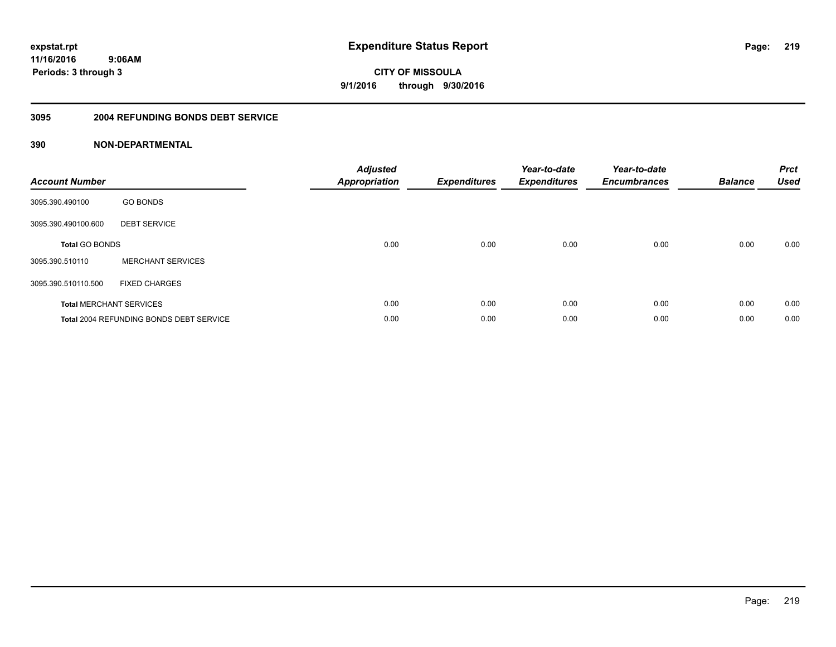**11/16/2016 9:06AM Periods: 3 through 3**

**219**

**CITY OF MISSOULA 9/1/2016 through 9/30/2016**

#### **3095 2004 REFUNDING BONDS DEBT SERVICE**

| <b>Account Number</b>          |                                                | <b>Adjusted</b><br><b>Appropriation</b> | <b>Expenditures</b> | Year-to-date<br><b>Expenditures</b> | Year-to-date<br><b>Encumbrances</b> | <b>Balance</b> | <b>Prct</b><br><b>Used</b> |
|--------------------------------|------------------------------------------------|-----------------------------------------|---------------------|-------------------------------------|-------------------------------------|----------------|----------------------------|
| 3095.390.490100                | <b>GO BONDS</b>                                |                                         |                     |                                     |                                     |                |                            |
| 3095.390.490100.600            | <b>DEBT SERVICE</b>                            |                                         |                     |                                     |                                     |                |                            |
| <b>Total GO BONDS</b>          |                                                | 0.00                                    | 0.00                | 0.00                                | 0.00                                | 0.00           | 0.00                       |
| 3095.390.510110                | <b>MERCHANT SERVICES</b>                       |                                         |                     |                                     |                                     |                |                            |
| 3095.390.510110.500            | <b>FIXED CHARGES</b>                           |                                         |                     |                                     |                                     |                |                            |
| <b>Total MERCHANT SERVICES</b> |                                                | 0.00                                    | 0.00                | 0.00                                | 0.00                                | 0.00           | 0.00                       |
|                                | <b>Total 2004 REFUNDING BONDS DEBT SERVICE</b> | 0.00                                    | 0.00                | 0.00                                | 0.00                                | 0.00           | 0.00                       |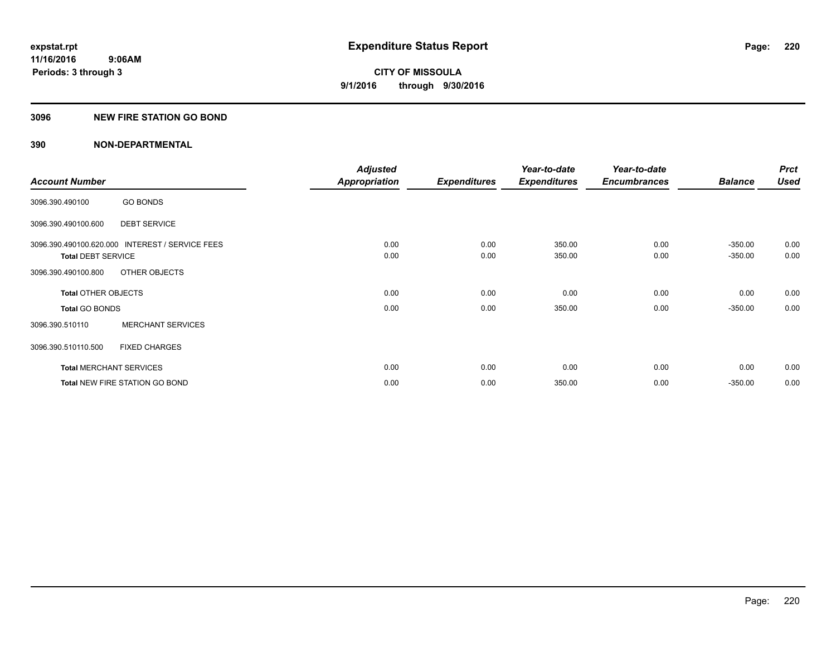## **3096 NEW FIRE STATION GO BOND**

|                                |                                                 | <b>Adjusted</b>      |                     | Year-to-date        | Year-to-date        |                | <b>Prct</b> |
|--------------------------------|-------------------------------------------------|----------------------|---------------------|---------------------|---------------------|----------------|-------------|
| <b>Account Number</b>          |                                                 | <b>Appropriation</b> | <b>Expenditures</b> | <b>Expenditures</b> | <b>Encumbrances</b> | <b>Balance</b> | <b>Used</b> |
| 3096.390.490100                | <b>GO BONDS</b>                                 |                      |                     |                     |                     |                |             |
| 3096.390.490100.600            | <b>DEBT SERVICE</b>                             |                      |                     |                     |                     |                |             |
|                                | 3096.390.490100.620.000 INTEREST / SERVICE FEES | 0.00                 | 0.00                | 350.00              | 0.00                | $-350.00$      | 0.00        |
| <b>Total DEBT SERVICE</b>      |                                                 | 0.00                 | 0.00                | 350.00              | 0.00                | $-350.00$      | 0.00        |
| 3096.390.490100.800            | OTHER OBJECTS                                   |                      |                     |                     |                     |                |             |
| <b>Total OTHER OBJECTS</b>     |                                                 | 0.00                 | 0.00                | 0.00                | 0.00                | 0.00           | 0.00        |
| <b>Total GO BONDS</b>          |                                                 | 0.00                 | 0.00                | 350.00              | 0.00                | $-350.00$      | 0.00        |
| 3096.390.510110                | <b>MERCHANT SERVICES</b>                        |                      |                     |                     |                     |                |             |
| 3096.390.510110.500            | <b>FIXED CHARGES</b>                            |                      |                     |                     |                     |                |             |
| <b>Total MERCHANT SERVICES</b> |                                                 | 0.00                 | 0.00                | 0.00                | 0.00                | 0.00           | 0.00        |
|                                | <b>Total NEW FIRE STATION GO BOND</b>           | 0.00                 | 0.00                | 350.00              | 0.00                | $-350.00$      | 0.00        |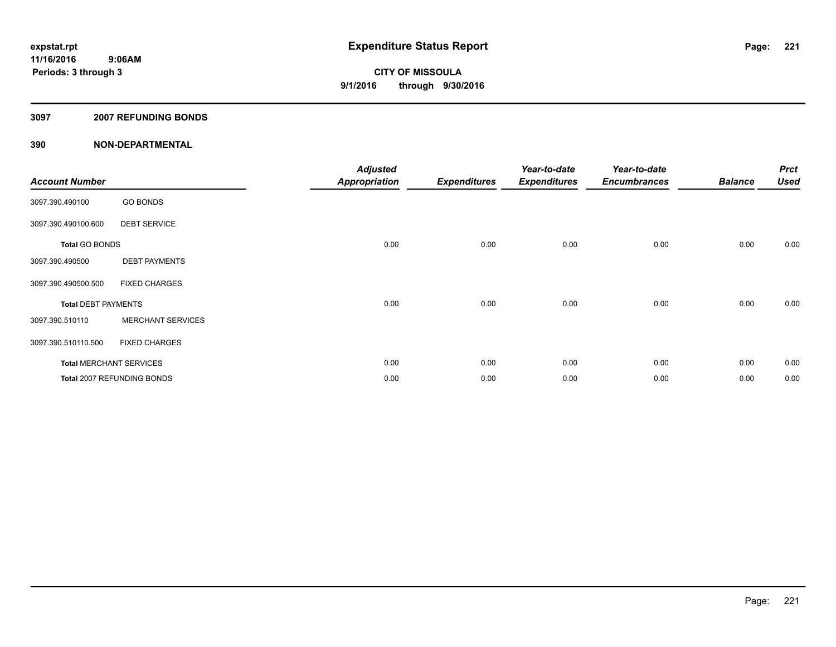## **3097 2007 REFUNDING BONDS**

| <b>Account Number</b>          |                            | <b>Adjusted</b><br>Appropriation | <b>Expenditures</b> | Year-to-date<br><b>Expenditures</b> | Year-to-date<br><b>Encumbrances</b> | <b>Balance</b> | <b>Prct</b><br><b>Used</b> |
|--------------------------------|----------------------------|----------------------------------|---------------------|-------------------------------------|-------------------------------------|----------------|----------------------------|
| 3097.390.490100                | <b>GO BONDS</b>            |                                  |                     |                                     |                                     |                |                            |
| 3097.390.490100.600            | <b>DEBT SERVICE</b>        |                                  |                     |                                     |                                     |                |                            |
| <b>Total GO BONDS</b>          |                            | 0.00                             | 0.00                | 0.00                                | 0.00                                | 0.00           | 0.00                       |
| 3097.390.490500                | <b>DEBT PAYMENTS</b>       |                                  |                     |                                     |                                     |                |                            |
| 3097.390.490500.500            | <b>FIXED CHARGES</b>       |                                  |                     |                                     |                                     |                |                            |
| <b>Total DEBT PAYMENTS</b>     |                            | 0.00                             | 0.00                | 0.00                                | 0.00                                | 0.00           | 0.00                       |
| 3097.390.510110                | <b>MERCHANT SERVICES</b>   |                                  |                     |                                     |                                     |                |                            |
| 3097.390.510110.500            | <b>FIXED CHARGES</b>       |                                  |                     |                                     |                                     |                |                            |
| <b>Total MERCHANT SERVICES</b> |                            | 0.00                             | 0.00                | 0.00                                | 0.00                                | 0.00           | 0.00                       |
|                                | Total 2007 REFUNDING BONDS | 0.00                             | 0.00                | 0.00                                | 0.00                                | 0.00           | 0.00                       |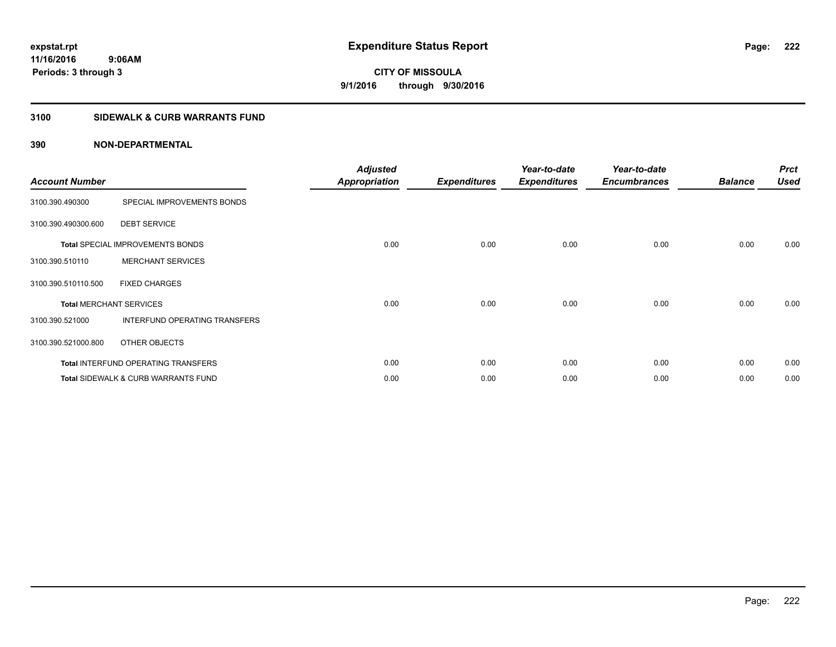## **3100 SIDEWALK & CURB WARRANTS FUND**

| <b>Account Number</b>          |                                                | <b>Adjusted</b><br><b>Appropriation</b> | <b>Expenditures</b> | Year-to-date<br><b>Expenditures</b> | Year-to-date<br><b>Encumbrances</b> | <b>Balance</b> | <b>Prct</b><br><b>Used</b> |
|--------------------------------|------------------------------------------------|-----------------------------------------|---------------------|-------------------------------------|-------------------------------------|----------------|----------------------------|
| 3100.390.490300                | SPECIAL IMPROVEMENTS BONDS                     |                                         |                     |                                     |                                     |                |                            |
| 3100.390.490300.600            | <b>DEBT SERVICE</b>                            |                                         |                     |                                     |                                     |                |                            |
|                                | <b>Total SPECIAL IMPROVEMENTS BONDS</b>        | 0.00                                    | 0.00                | 0.00                                | 0.00                                | 0.00           | 0.00                       |
| 3100.390.510110                | <b>MERCHANT SERVICES</b>                       |                                         |                     |                                     |                                     |                |                            |
| 3100.390.510110.500            | <b>FIXED CHARGES</b>                           |                                         |                     |                                     |                                     |                |                            |
| <b>Total MERCHANT SERVICES</b> |                                                | 0.00                                    | 0.00                | 0.00                                | 0.00                                | 0.00           | 0.00                       |
| 3100.390.521000                | INTERFUND OPERATING TRANSFERS                  |                                         |                     |                                     |                                     |                |                            |
| 3100.390.521000.800            | OTHER OBJECTS                                  |                                         |                     |                                     |                                     |                |                            |
|                                | Total INTERFUND OPERATING TRANSFERS            | 0.00                                    | 0.00                | 0.00                                | 0.00                                | 0.00           | 0.00                       |
|                                | <b>Total SIDEWALK &amp; CURB WARRANTS FUND</b> | 0.00                                    | 0.00                | 0.00                                | 0.00                                | 0.00           | 0.00                       |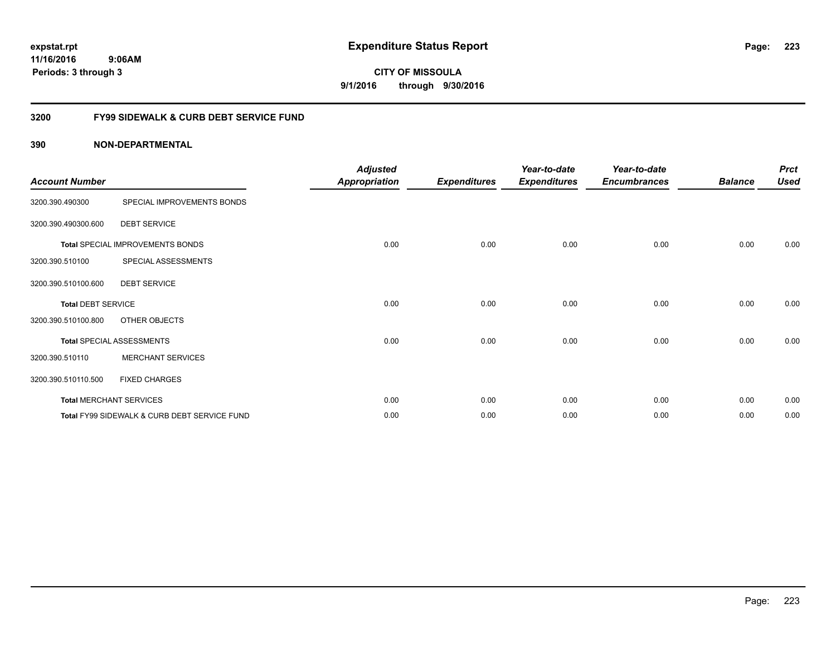**11/16/2016 9:06AM Periods: 3 through 3**

**CITY OF MISSOULA 9/1/2016 through 9/30/2016**

## **3200 FY99 SIDEWALK & CURB DEBT SERVICE FUND**

| <b>Account Number</b>     |                                              | <b>Adjusted</b><br><b>Appropriation</b> | <b>Expenditures</b> | Year-to-date<br><b>Expenditures</b> | Year-to-date<br><b>Encumbrances</b> | <b>Balance</b> | <b>Prct</b><br><b>Used</b> |
|---------------------------|----------------------------------------------|-----------------------------------------|---------------------|-------------------------------------|-------------------------------------|----------------|----------------------------|
| 3200.390.490300           | SPECIAL IMPROVEMENTS BONDS                   |                                         |                     |                                     |                                     |                |                            |
| 3200.390.490300.600       | <b>DEBT SERVICE</b>                          |                                         |                     |                                     |                                     |                |                            |
|                           | <b>Total SPECIAL IMPROVEMENTS BONDS</b>      | 0.00                                    | 0.00                | 0.00                                | 0.00                                | 0.00           | 0.00                       |
| 3200.390.510100           | SPECIAL ASSESSMENTS                          |                                         |                     |                                     |                                     |                |                            |
| 3200.390.510100.600       | <b>DEBT SERVICE</b>                          |                                         |                     |                                     |                                     |                |                            |
| <b>Total DEBT SERVICE</b> |                                              | 0.00                                    | 0.00                | 0.00                                | 0.00                                | 0.00           | 0.00                       |
| 3200.390.510100.800       | OTHER OBJECTS                                |                                         |                     |                                     |                                     |                |                            |
|                           | <b>Total SPECIAL ASSESSMENTS</b>             | 0.00                                    | 0.00                | 0.00                                | 0.00                                | 0.00           | 0.00                       |
| 3200.390.510110           | <b>MERCHANT SERVICES</b>                     |                                         |                     |                                     |                                     |                |                            |
| 3200.390.510110.500       | <b>FIXED CHARGES</b>                         |                                         |                     |                                     |                                     |                |                            |
|                           | <b>Total MERCHANT SERVICES</b>               | 0.00                                    | 0.00                | 0.00                                | 0.00                                | 0.00           | 0.00                       |
|                           | Total FY99 SIDEWALK & CURB DEBT SERVICE FUND | 0.00                                    | 0.00                | 0.00                                | 0.00                                | 0.00           | 0.00                       |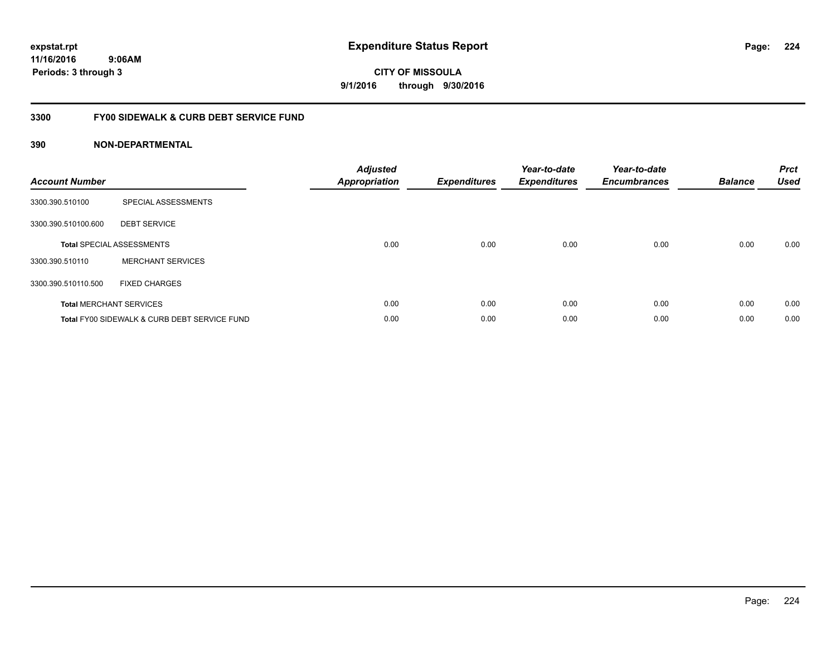**11/16/2016 9:06AM Periods: 3 through 3**

**CITY OF MISSOULA 9/1/2016 through 9/30/2016**

## **3300 FY00 SIDEWALK & CURB DEBT SERVICE FUND**

| <b>Account Number</b> |                                              | <b>Adjusted</b><br>Appropriation | <b>Expenditures</b> | Year-to-date<br><b>Expenditures</b> | Year-to-date<br><b>Encumbrances</b> | <b>Balance</b> | <b>Prct</b><br><b>Used</b> |
|-----------------------|----------------------------------------------|----------------------------------|---------------------|-------------------------------------|-------------------------------------|----------------|----------------------------|
| 3300.390.510100       | SPECIAL ASSESSMENTS                          |                                  |                     |                                     |                                     |                |                            |
| 3300.390.510100.600   | <b>DEBT SERVICE</b>                          |                                  |                     |                                     |                                     |                |                            |
|                       | <b>Total SPECIAL ASSESSMENTS</b>             | 0.00                             | 0.00                | 0.00                                | 0.00                                | 0.00           | 0.00                       |
| 3300.390.510110       | <b>MERCHANT SERVICES</b>                     |                                  |                     |                                     |                                     |                |                            |
| 3300.390.510110.500   | <b>FIXED CHARGES</b>                         |                                  |                     |                                     |                                     |                |                            |
|                       | <b>Total MERCHANT SERVICES</b>               | 0.00                             | 0.00                | 0.00                                | 0.00                                | 0.00           | 0.00                       |
|                       | Total FY00 SIDEWALK & CURB DEBT SERVICE FUND | 0.00                             | 0.00                | 0.00                                | 0.00                                | 0.00           | 0.00                       |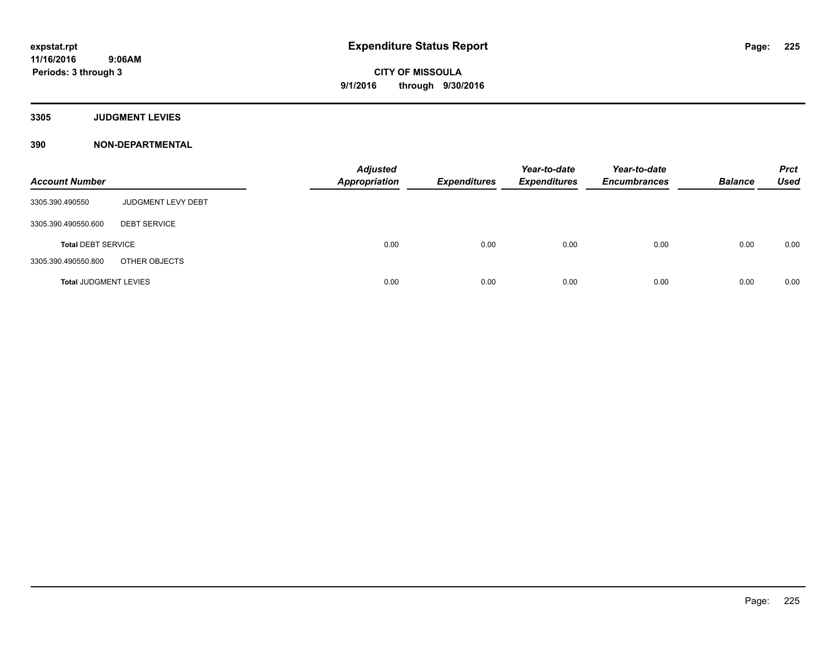**3305 JUDGMENT LEVIES**

| <b>Account Number</b>        |                     | <b>Adjusted</b><br><b>Appropriation</b> | <b>Expenditures</b> | Year-to-date<br><b>Expenditures</b> | Year-to-date<br><b>Encumbrances</b> | <b>Balance</b> | <b>Prct</b><br><b>Used</b> |
|------------------------------|---------------------|-----------------------------------------|---------------------|-------------------------------------|-------------------------------------|----------------|----------------------------|
| 3305.390.490550              | JUDGMENT LEVY DEBT  |                                         |                     |                                     |                                     |                |                            |
| 3305.390.490550.600          | <b>DEBT SERVICE</b> |                                         |                     |                                     |                                     |                |                            |
| <b>Total DEBT SERVICE</b>    |                     | 0.00                                    | 0.00                | 0.00                                | 0.00                                | 0.00           | 0.00                       |
| 3305.390.490550.800          | OTHER OBJECTS       |                                         |                     |                                     |                                     |                |                            |
| <b>Total JUDGMENT LEVIES</b> |                     | 0.00                                    | 0.00                | 0.00                                | 0.00                                | 0.00           | 0.00                       |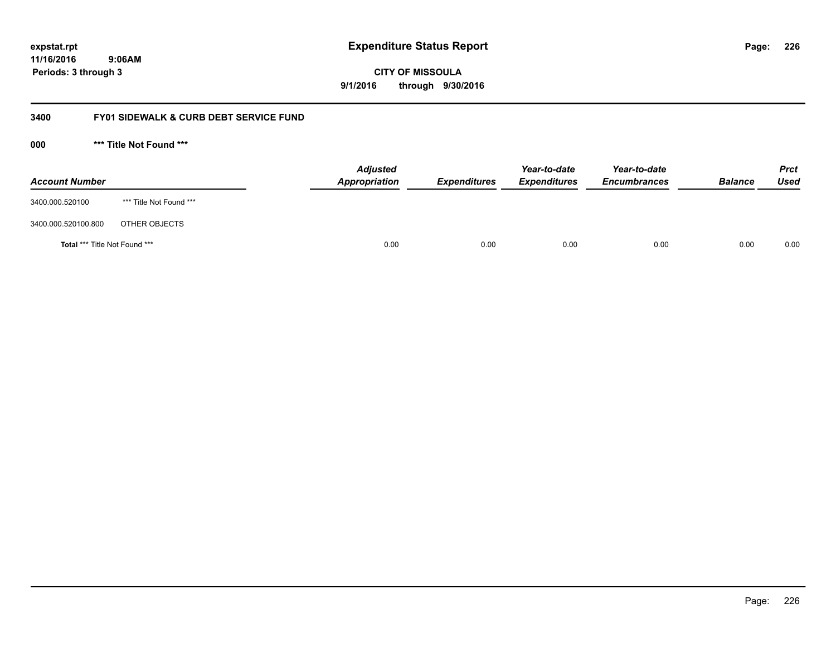**11/16/2016 9:06AM Periods: 3 through 3**

**226**

**CITY OF MISSOULA 9/1/2016 through 9/30/2016**

## **3400 FY01 SIDEWALK & CURB DEBT SERVICE FUND**

**000 \*\*\* Title Not Found \*\*\***

| <b>Account Number</b>         |                         | <b>Adjusted</b><br>Appropriation | <b>Expenditures</b> | Year-to-date<br><b>Expenditures</b> | Year-to-date<br><b>Encumbrances</b> | <b>Balance</b> | <b>Prct</b><br>Used |
|-------------------------------|-------------------------|----------------------------------|---------------------|-------------------------------------|-------------------------------------|----------------|---------------------|
| 3400.000.520100               | *** Title Not Found *** |                                  |                     |                                     |                                     |                |                     |
| 3400.000.520100.800           | OTHER OBJECTS           |                                  |                     |                                     |                                     |                |                     |
| Total *** Title Not Found *** |                         | 0.00                             | 0.00                | 0.00                                | 0.00                                | 0.00           | 0.00                |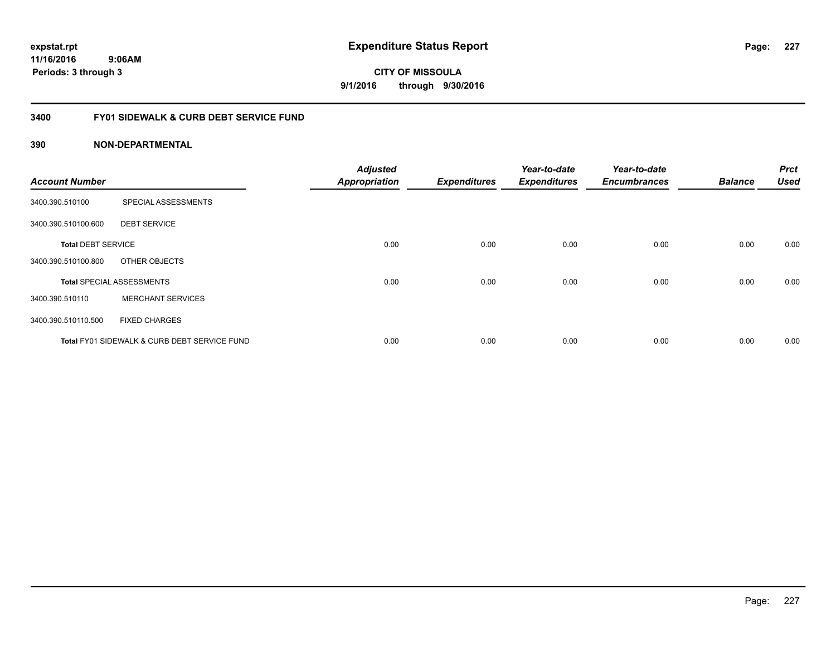**227**

**11/16/2016 9:06AM Periods: 3 through 3**

**CITY OF MISSOULA 9/1/2016 through 9/30/2016**

## **3400 FY01 SIDEWALK & CURB DEBT SERVICE FUND**

| <b>Account Number</b>     |                                              | <b>Adjusted</b><br><b>Appropriation</b> | <b>Expenditures</b> | Year-to-date<br><b>Expenditures</b> | Year-to-date<br><b>Encumbrances</b> | <b>Balance</b> | <b>Prct</b><br><b>Used</b> |
|---------------------------|----------------------------------------------|-----------------------------------------|---------------------|-------------------------------------|-------------------------------------|----------------|----------------------------|
| 3400.390.510100           | SPECIAL ASSESSMENTS                          |                                         |                     |                                     |                                     |                |                            |
| 3400.390.510100.600       | <b>DEBT SERVICE</b>                          |                                         |                     |                                     |                                     |                |                            |
| <b>Total DEBT SERVICE</b> |                                              | 0.00                                    | 0.00                | 0.00                                | 0.00                                | 0.00           | 0.00                       |
| 3400.390.510100.800       | OTHER OBJECTS                                |                                         |                     |                                     |                                     |                |                            |
|                           | <b>Total SPECIAL ASSESSMENTS</b>             | 0.00                                    | 0.00                | 0.00                                | 0.00                                | 0.00           | 0.00                       |
| 3400.390.510110           | <b>MERCHANT SERVICES</b>                     |                                         |                     |                                     |                                     |                |                            |
| 3400.390.510110.500       | <b>FIXED CHARGES</b>                         |                                         |                     |                                     |                                     |                |                            |
|                           | Total FY01 SIDEWALK & CURB DEBT SERVICE FUND | 0.00                                    | 0.00                | 0.00                                | 0.00                                | 0.00           | 0.00                       |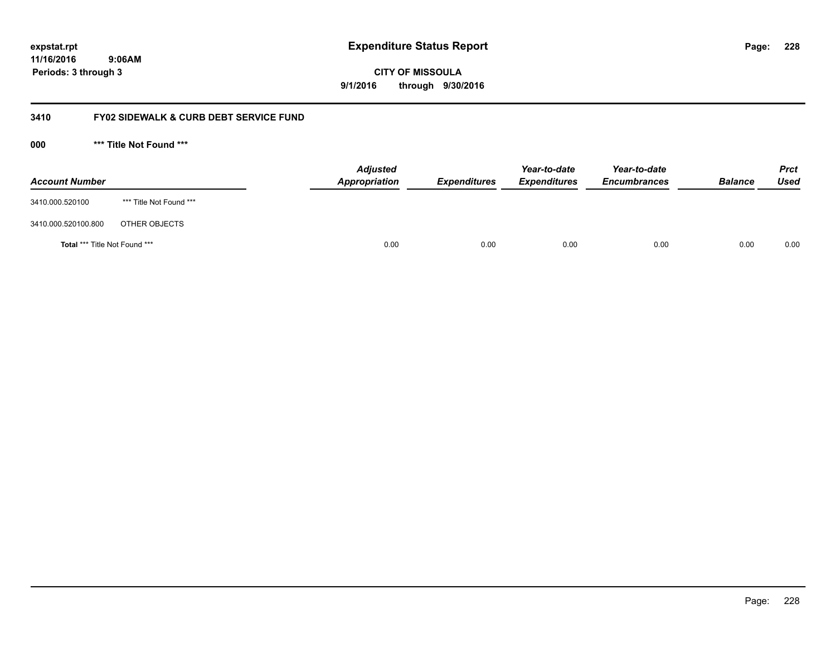**11/16/2016 9:06AM Periods: 3 through 3**

**CITY OF MISSOULA 9/1/2016 through 9/30/2016**

## **3410 FY02 SIDEWALK & CURB DEBT SERVICE FUND**

**000 \*\*\* Title Not Found \*\*\***

| <b>Account Number</b>                |                         | <b>Adjusted</b><br>Appropriation | <b>Expenditures</b> | Year-to-date<br><b>Expenditures</b> | Year-to-date<br><b>Encumbrances</b> | <b>Balance</b> | <b>Prct</b><br>Used |
|--------------------------------------|-------------------------|----------------------------------|---------------------|-------------------------------------|-------------------------------------|----------------|---------------------|
| 3410.000.520100                      | *** Title Not Found *** |                                  |                     |                                     |                                     |                |                     |
| 3410.000.520100.800                  | OTHER OBJECTS           |                                  |                     |                                     |                                     |                |                     |
| <b>Total *** Title Not Found ***</b> |                         | 0.00                             | 0.00                | 0.00                                | 0.00                                | 0.00           | 0.00                |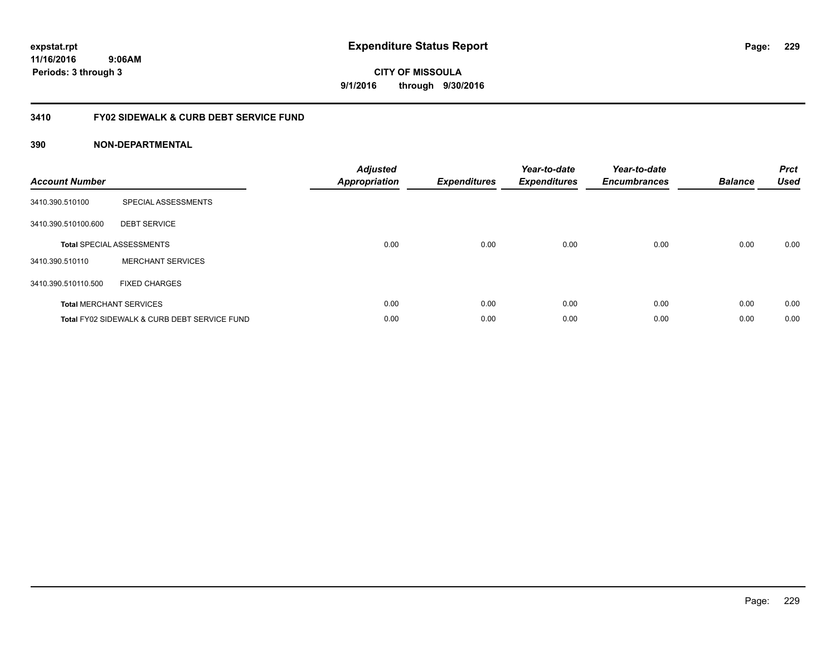**229**

**11/16/2016 9:06AM Periods: 3 through 3**

**CITY OF MISSOULA 9/1/2016 through 9/30/2016**

## **3410 FY02 SIDEWALK & CURB DEBT SERVICE FUND**

| <b>Account Number</b> |                                              | <b>Adjusted</b><br>Appropriation | <b>Expenditures</b> | Year-to-date<br><b>Expenditures</b> | Year-to-date<br><b>Encumbrances</b> | <b>Balance</b> | <b>Prct</b><br><b>Used</b> |
|-----------------------|----------------------------------------------|----------------------------------|---------------------|-------------------------------------|-------------------------------------|----------------|----------------------------|
| 3410.390.510100       | SPECIAL ASSESSMENTS                          |                                  |                     |                                     |                                     |                |                            |
| 3410.390.510100.600   | <b>DEBT SERVICE</b>                          |                                  |                     |                                     |                                     |                |                            |
|                       | <b>Total SPECIAL ASSESSMENTS</b>             | 0.00                             | 0.00                | 0.00                                | 0.00                                | 0.00           | 0.00                       |
| 3410.390.510110       | <b>MERCHANT SERVICES</b>                     |                                  |                     |                                     |                                     |                |                            |
| 3410.390.510110.500   | <b>FIXED CHARGES</b>                         |                                  |                     |                                     |                                     |                |                            |
|                       | <b>Total MERCHANT SERVICES</b>               | 0.00                             | 0.00                | 0.00                                | 0.00                                | 0.00           | 0.00                       |
|                       | Total FY02 SIDEWALK & CURB DEBT SERVICE FUND | 0.00                             | 0.00                | 0.00                                | 0.00                                | 0.00           | 0.00                       |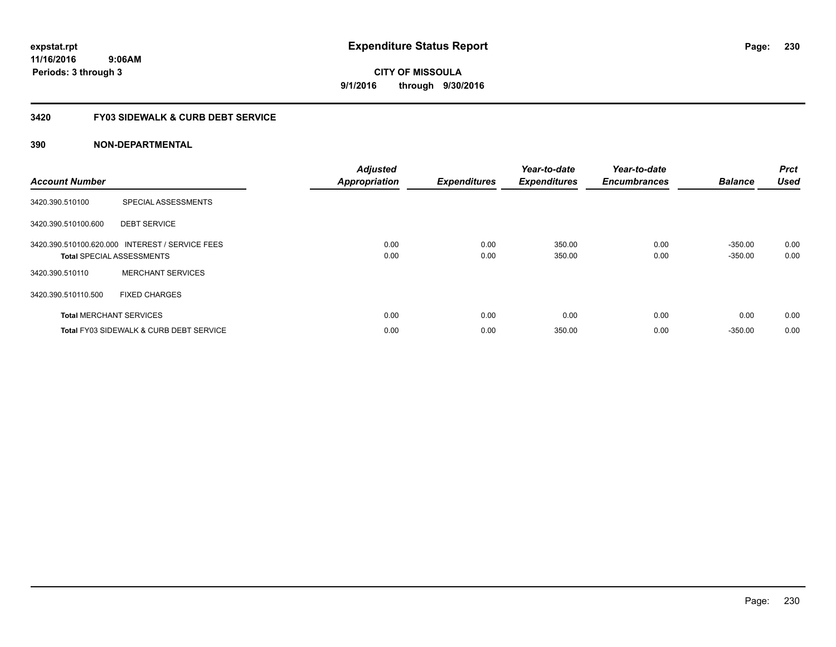**230**

**11/16/2016 9:06AM Periods: 3 through 3**

**CITY OF MISSOULA 9/1/2016 through 9/30/2016**

## **3420 FY03 SIDEWALK & CURB DEBT SERVICE**

| <b>Account Number</b> |                                                                                     | <b>Adjusted</b><br><b>Appropriation</b> | <b>Expenditures</b> | Year-to-date<br><b>Expenditures</b> | Year-to-date<br><b>Encumbrances</b> | <b>Balance</b>         | <b>Prct</b><br><b>Used</b> |
|-----------------------|-------------------------------------------------------------------------------------|-----------------------------------------|---------------------|-------------------------------------|-------------------------------------|------------------------|----------------------------|
| 3420.390.510100       | SPECIAL ASSESSMENTS                                                                 |                                         |                     |                                     |                                     |                        |                            |
| 3420.390.510100.600   | <b>DEBT SERVICE</b>                                                                 |                                         |                     |                                     |                                     |                        |                            |
|                       | 3420.390.510100.620.000 INTEREST / SERVICE FEES<br><b>Total SPECIAL ASSESSMENTS</b> | 0.00<br>0.00                            | 0.00<br>0.00        | 350.00<br>350.00                    | 0.00<br>0.00                        | $-350.00$<br>$-350.00$ | 0.00<br>0.00               |
| 3420.390.510110       | <b>MERCHANT SERVICES</b>                                                            |                                         |                     |                                     |                                     |                        |                            |
| 3420.390.510110.500   | <b>FIXED CHARGES</b>                                                                |                                         |                     |                                     |                                     |                        |                            |
|                       | <b>Total MERCHANT SERVICES</b>                                                      | 0.00                                    | 0.00                | 0.00                                | 0.00                                | 0.00                   | 0.00                       |
|                       | <b>Total FY03 SIDEWALK &amp; CURB DEBT SERVICE</b>                                  | 0.00                                    | 0.00                | 350.00                              | 0.00                                | $-350.00$              | 0.00                       |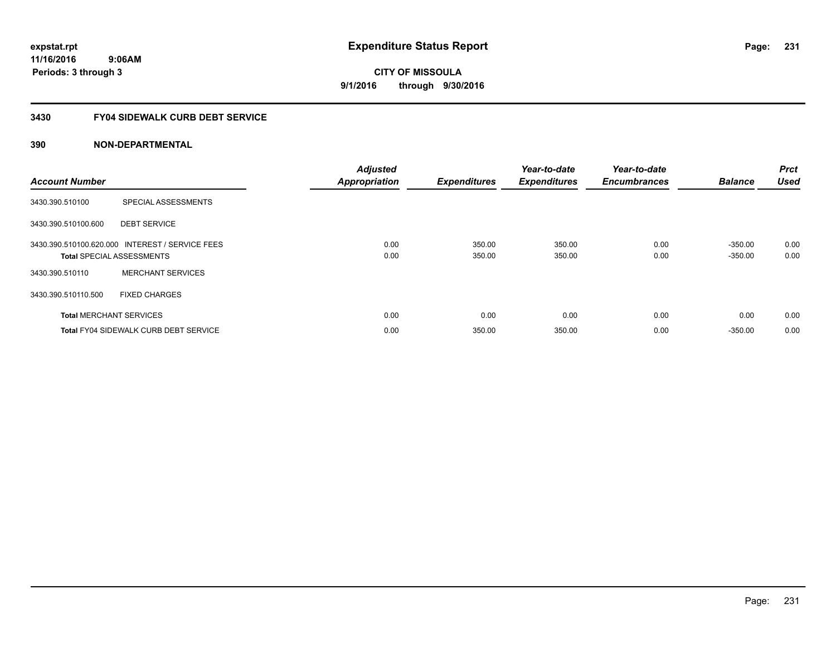## **3430 FY04 SIDEWALK CURB DEBT SERVICE**

| <b>Account Number</b> |                                                                                     | <b>Adjusted</b><br><b>Appropriation</b> | <b>Expenditures</b> | Year-to-date<br><b>Expenditures</b> | Year-to-date<br><b>Encumbrances</b> | <b>Balance</b>         | Prct<br><b>Used</b> |
|-----------------------|-------------------------------------------------------------------------------------|-----------------------------------------|---------------------|-------------------------------------|-------------------------------------|------------------------|---------------------|
| 3430.390.510100       | SPECIAL ASSESSMENTS                                                                 |                                         |                     |                                     |                                     |                        |                     |
| 3430.390.510100.600   | <b>DEBT SERVICE</b>                                                                 |                                         |                     |                                     |                                     |                        |                     |
|                       | 3430.390.510100.620.000 INTEREST / SERVICE FEES<br><b>Total SPECIAL ASSESSMENTS</b> | 0.00<br>0.00                            | 350.00<br>350.00    | 350.00<br>350.00                    | 0.00<br>0.00                        | $-350.00$<br>$-350.00$ | 0.00<br>0.00        |
| 3430.390.510110       | <b>MERCHANT SERVICES</b>                                                            |                                         |                     |                                     |                                     |                        |                     |
| 3430.390.510110.500   | <b>FIXED CHARGES</b>                                                                |                                         |                     |                                     |                                     |                        |                     |
|                       | <b>Total MERCHANT SERVICES</b>                                                      | 0.00                                    | 0.00                | 0.00                                | 0.00                                | 0.00                   | 0.00                |
|                       | <b>Total FY04 SIDEWALK CURB DEBT SERVICE</b>                                        | 0.00                                    | 350.00              | 350.00                              | 0.00                                | $-350.00$              | 0.00                |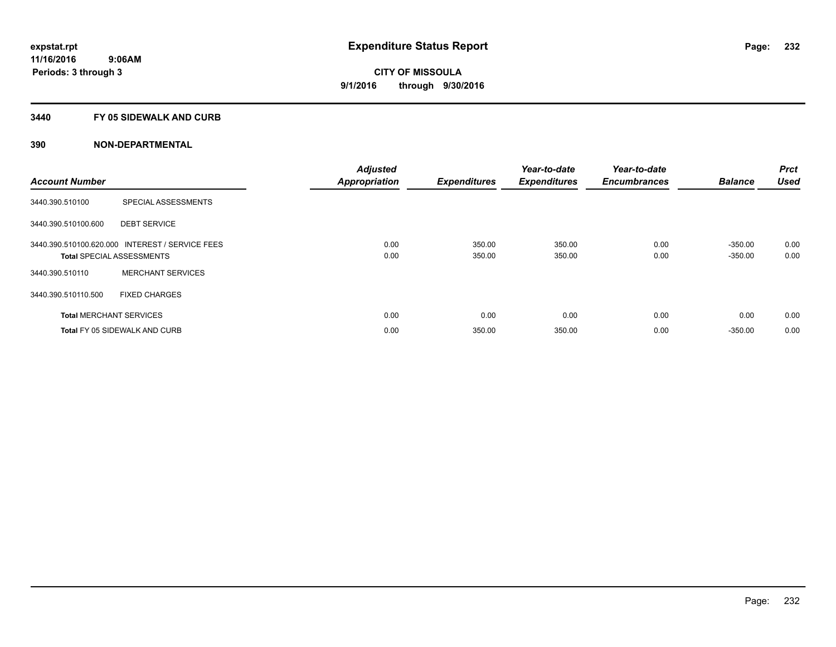## **3440 FY 05 SIDEWALK AND CURB**

| <b>Account Number</b> |                                                                                     | <b>Adjusted</b><br><b>Appropriation</b> | <b>Expenditures</b> | Year-to-date<br><b>Expenditures</b> | Year-to-date<br><b>Encumbrances</b> | <b>Balance</b>         | Prct<br><b>Used</b> |
|-----------------------|-------------------------------------------------------------------------------------|-----------------------------------------|---------------------|-------------------------------------|-------------------------------------|------------------------|---------------------|
| 3440.390.510100       | SPECIAL ASSESSMENTS                                                                 |                                         |                     |                                     |                                     |                        |                     |
| 3440.390.510100.600   | <b>DEBT SERVICE</b>                                                                 |                                         |                     |                                     |                                     |                        |                     |
|                       | 3440.390.510100.620.000 INTEREST / SERVICE FEES<br><b>Total SPECIAL ASSESSMENTS</b> | 0.00<br>0.00                            | 350.00<br>350.00    | 350.00<br>350.00                    | 0.00<br>0.00                        | $-350.00$<br>$-350.00$ | 0.00<br>0.00        |
| 3440.390.510110       | <b>MERCHANT SERVICES</b>                                                            |                                         |                     |                                     |                                     |                        |                     |
| 3440.390.510110.500   | <b>FIXED CHARGES</b>                                                                |                                         |                     |                                     |                                     |                        |                     |
|                       | <b>Total MERCHANT SERVICES</b>                                                      | 0.00                                    | 0.00                | 0.00                                | 0.00                                | 0.00                   | 0.00                |
|                       | <b>Total FY 05 SIDEWALK AND CURB</b>                                                | 0.00                                    | 350.00              | 350.00                              | 0.00                                | $-350.00$              | 0.00                |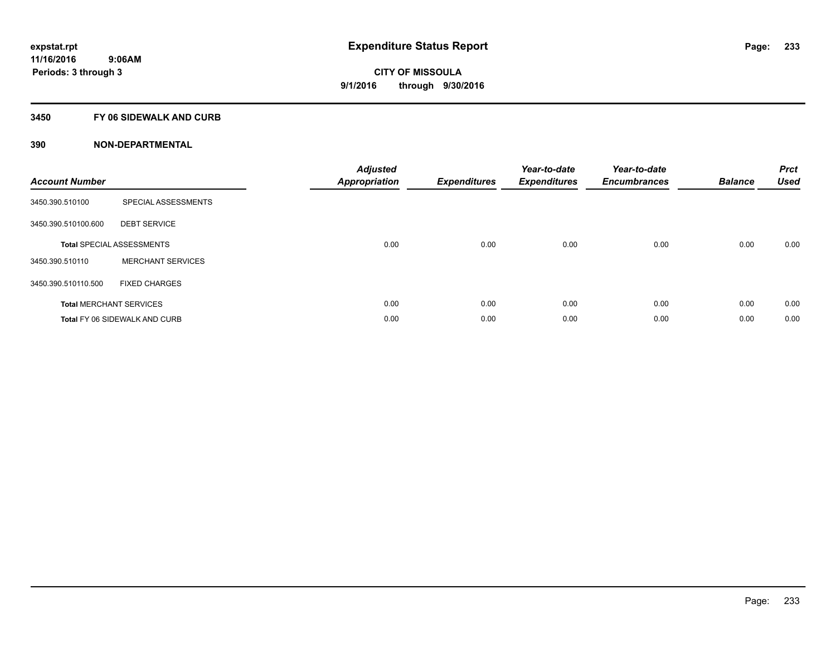## **3450 FY 06 SIDEWALK AND CURB**

| <b>Account Number</b> |                                      | <b>Adjusted</b><br>Appropriation | <b>Expenditures</b> | Year-to-date<br><b>Expenditures</b> | Year-to-date<br><b>Encumbrances</b> | <b>Balance</b> | <b>Prct</b><br><b>Used</b> |
|-----------------------|--------------------------------------|----------------------------------|---------------------|-------------------------------------|-------------------------------------|----------------|----------------------------|
| 3450.390.510100       | SPECIAL ASSESSMENTS                  |                                  |                     |                                     |                                     |                |                            |
| 3450.390.510100.600   | <b>DEBT SERVICE</b>                  |                                  |                     |                                     |                                     |                |                            |
|                       | <b>Total SPECIAL ASSESSMENTS</b>     | 0.00                             | 0.00                | 0.00                                | 0.00                                | 0.00           | 0.00                       |
| 3450.390.510110       | <b>MERCHANT SERVICES</b>             |                                  |                     |                                     |                                     |                |                            |
| 3450.390.510110.500   | <b>FIXED CHARGES</b>                 |                                  |                     |                                     |                                     |                |                            |
|                       | <b>Total MERCHANT SERVICES</b>       | 0.00                             | 0.00                | 0.00                                | 0.00                                | 0.00           | 0.00                       |
|                       | <b>Total FY 06 SIDEWALK AND CURB</b> | 0.00                             | 0.00                | 0.00                                | 0.00                                | 0.00           | 0.00                       |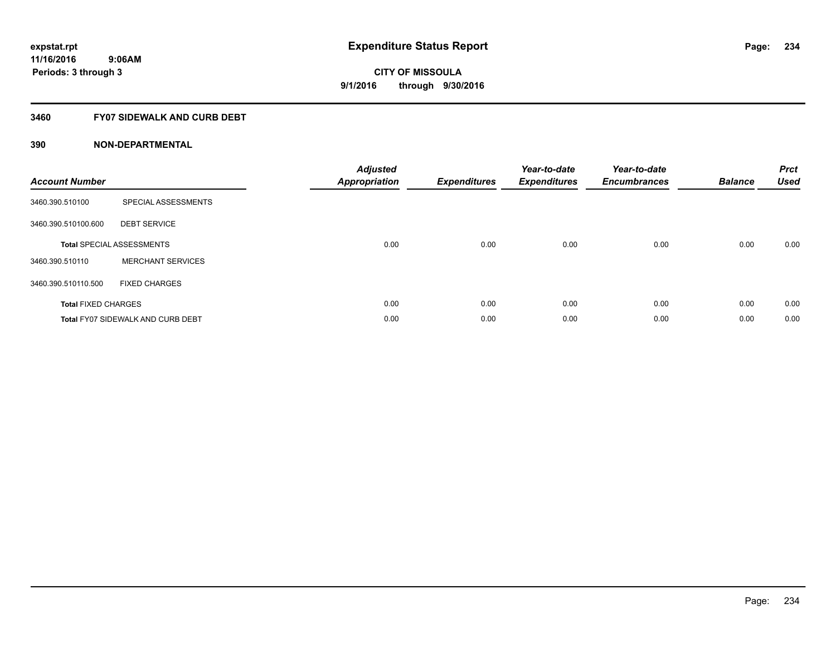## **3460 FY07 SIDEWALK AND CURB DEBT**

| <b>Account Number</b>      |                                          | <b>Adjusted</b><br><b>Appropriation</b> | <b>Expenditures</b> | Year-to-date<br><b>Expenditures</b> | Year-to-date<br><b>Encumbrances</b> | <b>Balance</b> | <b>Prct</b><br><b>Used</b> |
|----------------------------|------------------------------------------|-----------------------------------------|---------------------|-------------------------------------|-------------------------------------|----------------|----------------------------|
| 3460.390.510100            | SPECIAL ASSESSMENTS                      |                                         |                     |                                     |                                     |                |                            |
| 3460.390.510100.600        | <b>DEBT SERVICE</b>                      |                                         |                     |                                     |                                     |                |                            |
|                            | <b>Total SPECIAL ASSESSMENTS</b>         | 0.00                                    | 0.00                | 0.00                                | 0.00                                | 0.00           | 0.00                       |
| 3460.390.510110            | <b>MERCHANT SERVICES</b>                 |                                         |                     |                                     |                                     |                |                            |
| 3460.390.510110.500        | <b>FIXED CHARGES</b>                     |                                         |                     |                                     |                                     |                |                            |
| <b>Total FIXED CHARGES</b> |                                          | 0.00                                    | 0.00                | 0.00                                | 0.00                                | 0.00           | 0.00                       |
|                            | <b>Total FY07 SIDEWALK AND CURB DEBT</b> | 0.00                                    | 0.00                | 0.00                                | 0.00                                | 0.00           | 0.00                       |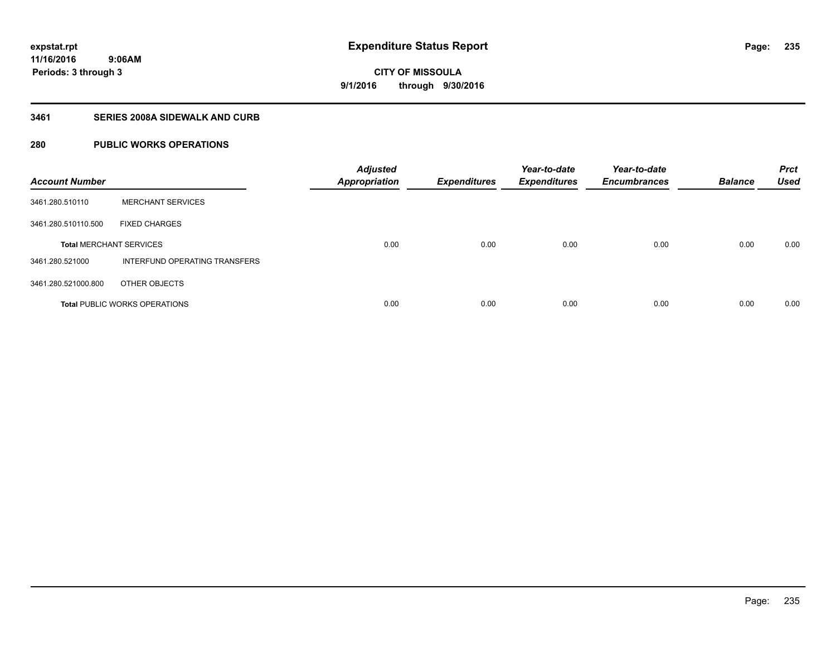## **3461 SERIES 2008A SIDEWALK AND CURB**

## **280 PUBLIC WORKS OPERATIONS**

| <b>Account Number</b>          |                                      | <b>Adjusted</b><br><b>Appropriation</b> | <b>Expenditures</b> | Year-to-date<br><b>Expenditures</b> | Year-to-date<br><b>Encumbrances</b> | <b>Balance</b> | <b>Prct</b><br><b>Used</b> |
|--------------------------------|--------------------------------------|-----------------------------------------|---------------------|-------------------------------------|-------------------------------------|----------------|----------------------------|
| 3461.280.510110                | <b>MERCHANT SERVICES</b>             |                                         |                     |                                     |                                     |                |                            |
| 3461.280.510110.500            | <b>FIXED CHARGES</b>                 |                                         |                     |                                     |                                     |                |                            |
| <b>Total MERCHANT SERVICES</b> |                                      | 0.00                                    | 0.00                | 0.00                                | 0.00                                | 0.00           | 0.00                       |
| 3461.280.521000                | INTERFUND OPERATING TRANSFERS        |                                         |                     |                                     |                                     |                |                            |
| 3461.280.521000.800            | OTHER OBJECTS                        |                                         |                     |                                     |                                     |                |                            |
|                                | <b>Total PUBLIC WORKS OPERATIONS</b> | 0.00                                    | 0.00                | 0.00                                | 0.00                                | 0.00           | 0.00                       |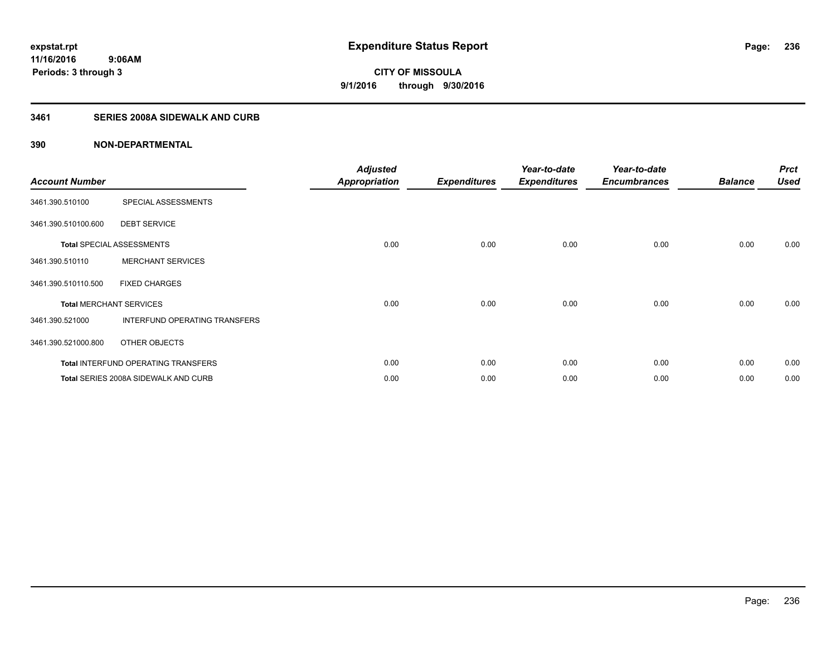## **3461 SERIES 2008A SIDEWALK AND CURB**

| <b>Account Number</b>          |                                            | <b>Adjusted</b><br><b>Appropriation</b> | <b>Expenditures</b> | Year-to-date<br><b>Expenditures</b> | Year-to-date<br><b>Encumbrances</b> | <b>Balance</b> | <b>Prct</b><br><b>Used</b> |
|--------------------------------|--------------------------------------------|-----------------------------------------|---------------------|-------------------------------------|-------------------------------------|----------------|----------------------------|
| 3461.390.510100                | SPECIAL ASSESSMENTS                        |                                         |                     |                                     |                                     |                |                            |
| 3461.390.510100.600            | <b>DEBT SERVICE</b>                        |                                         |                     |                                     |                                     |                |                            |
|                                | <b>Total SPECIAL ASSESSMENTS</b>           | 0.00                                    | 0.00                | 0.00                                | 0.00                                | 0.00           | 0.00                       |
| 3461.390.510110                | <b>MERCHANT SERVICES</b>                   |                                         |                     |                                     |                                     |                |                            |
| 3461.390.510110.500            | <b>FIXED CHARGES</b>                       |                                         |                     |                                     |                                     |                |                            |
| <b>Total MERCHANT SERVICES</b> |                                            | 0.00                                    | 0.00                | 0.00                                | 0.00                                | 0.00           | 0.00                       |
| 3461.390.521000                | INTERFUND OPERATING TRANSFERS              |                                         |                     |                                     |                                     |                |                            |
| 3461.390.521000.800            | OTHER OBJECTS                              |                                         |                     |                                     |                                     |                |                            |
|                                | <b>Total INTERFUND OPERATING TRANSFERS</b> | 0.00                                    | 0.00                | 0.00                                | 0.00                                | 0.00           | 0.00                       |
|                                | Total SERIES 2008A SIDEWALK AND CURB       | 0.00                                    | 0.00                | 0.00                                | 0.00                                | 0.00           | 0.00                       |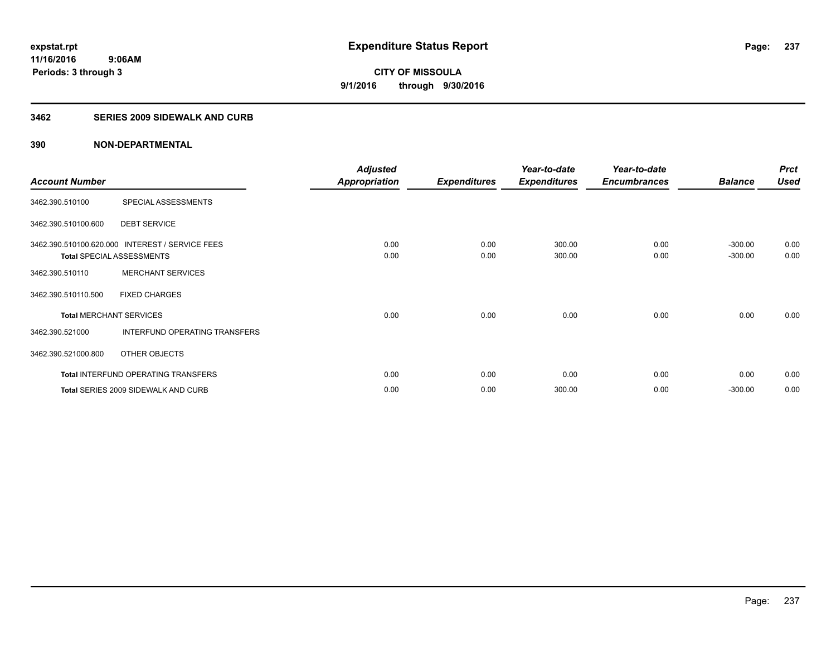## **3462 SERIES 2009 SIDEWALK AND CURB**

|                                |                                                 | <b>Adjusted</b>      |                     | Year-to-date        | Year-to-date        |                | <b>Prct</b> |
|--------------------------------|-------------------------------------------------|----------------------|---------------------|---------------------|---------------------|----------------|-------------|
| <b>Account Number</b>          |                                                 | <b>Appropriation</b> | <b>Expenditures</b> | <b>Expenditures</b> | <b>Encumbrances</b> | <b>Balance</b> | <b>Used</b> |
| 3462.390.510100                | SPECIAL ASSESSMENTS                             |                      |                     |                     |                     |                |             |
| 3462.390.510100.600            | <b>DEBT SERVICE</b>                             |                      |                     |                     |                     |                |             |
|                                | 3462.390.510100.620.000 INTEREST / SERVICE FEES | 0.00                 | 0.00                | 300.00              | 0.00                | $-300.00$      | 0.00        |
|                                | <b>Total SPECIAL ASSESSMENTS</b>                | 0.00                 | 0.00                | 300.00              | 0.00                | $-300.00$      | 0.00        |
| 3462.390.510110                | <b>MERCHANT SERVICES</b>                        |                      |                     |                     |                     |                |             |
| 3462.390.510110.500            | <b>FIXED CHARGES</b>                            |                      |                     |                     |                     |                |             |
| <b>Total MERCHANT SERVICES</b> |                                                 | 0.00                 | 0.00                | 0.00                | 0.00                | 0.00           | 0.00        |
| 3462.390.521000                | <b>INTERFUND OPERATING TRANSFERS</b>            |                      |                     |                     |                     |                |             |
| 3462.390.521000.800            | OTHER OBJECTS                                   |                      |                     |                     |                     |                |             |
|                                | <b>Total INTERFUND OPERATING TRANSFERS</b>      | 0.00                 | 0.00                | 0.00                | 0.00                | 0.00           | 0.00        |
|                                | Total SERIES 2009 SIDEWALK AND CURB             | 0.00                 | 0.00                | 300.00              | 0.00                | $-300.00$      | 0.00        |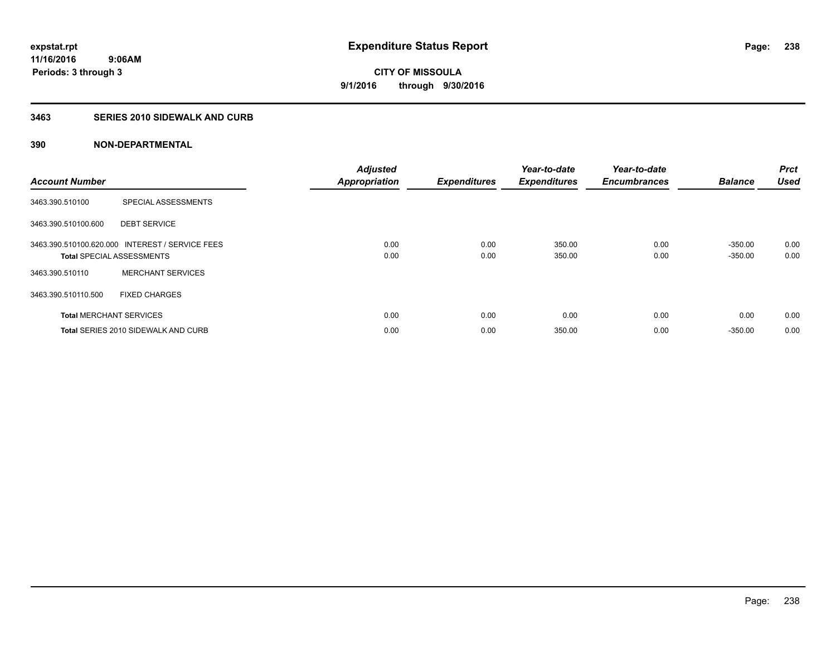## **3463 SERIES 2010 SIDEWALK AND CURB**

| <b>Account Number</b> |                                                                                     | <b>Adjusted</b><br><b>Appropriation</b> | <b>Expenditures</b> | Year-to-date<br><b>Expenditures</b> | Year-to-date<br><b>Encumbrances</b> | <b>Balance</b>         | Prct<br><b>Used</b> |
|-----------------------|-------------------------------------------------------------------------------------|-----------------------------------------|---------------------|-------------------------------------|-------------------------------------|------------------------|---------------------|
| 3463.390.510100       | SPECIAL ASSESSMENTS                                                                 |                                         |                     |                                     |                                     |                        |                     |
| 3463.390.510100.600   | <b>DEBT SERVICE</b>                                                                 |                                         |                     |                                     |                                     |                        |                     |
|                       | 3463.390.510100.620.000 INTEREST / SERVICE FEES<br><b>Total SPECIAL ASSESSMENTS</b> | 0.00<br>0.00                            | 0.00<br>0.00        | 350.00<br>350.00                    | 0.00<br>0.00                        | $-350.00$<br>$-350.00$ | 0.00<br>0.00        |
| 3463.390.510110       | <b>MERCHANT SERVICES</b>                                                            |                                         |                     |                                     |                                     |                        |                     |
| 3463.390.510110.500   | <b>FIXED CHARGES</b>                                                                |                                         |                     |                                     |                                     |                        |                     |
|                       | <b>Total MERCHANT SERVICES</b>                                                      | 0.00                                    | 0.00                | 0.00                                | 0.00                                | 0.00                   | 0.00                |
|                       | Total SERIES 2010 SIDEWALK AND CURB                                                 | 0.00                                    | 0.00                | 350.00                              | 0.00                                | $-350.00$              | 0.00                |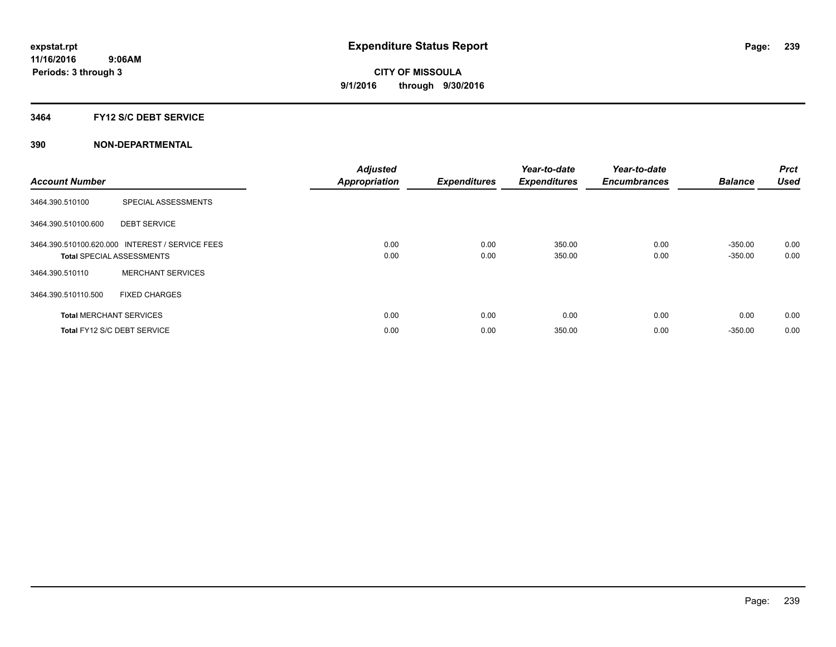## **3464 FY12 S/C DEBT SERVICE**

| <b>Account Number</b> |                                                                                     | <b>Adjusted</b><br><b>Appropriation</b> | <b>Expenditures</b> | Year-to-date<br><b>Expenditures</b> | Year-to-date<br><b>Encumbrances</b> | <b>Balance</b>         | Prct<br><b>Used</b> |
|-----------------------|-------------------------------------------------------------------------------------|-----------------------------------------|---------------------|-------------------------------------|-------------------------------------|------------------------|---------------------|
| 3464.390.510100       | SPECIAL ASSESSMENTS                                                                 |                                         |                     |                                     |                                     |                        |                     |
| 3464.390.510100.600   | <b>DEBT SERVICE</b>                                                                 |                                         |                     |                                     |                                     |                        |                     |
|                       | 3464.390.510100.620.000 INTEREST / SERVICE FEES<br><b>Total SPECIAL ASSESSMENTS</b> | 0.00<br>0.00                            | 0.00<br>0.00        | 350.00<br>350.00                    | 0.00<br>0.00                        | $-350.00$<br>$-350.00$ | 0.00<br>0.00        |
| 3464.390.510110       | <b>MERCHANT SERVICES</b>                                                            |                                         |                     |                                     |                                     |                        |                     |
| 3464.390.510110.500   | <b>FIXED CHARGES</b>                                                                |                                         |                     |                                     |                                     |                        |                     |
|                       | <b>Total MERCHANT SERVICES</b>                                                      | 0.00                                    | 0.00                | 0.00                                | 0.00                                | 0.00                   | 0.00                |
|                       | Total FY12 S/C DEBT SERVICE                                                         | 0.00                                    | 0.00                | 350.00                              | 0.00                                | $-350.00$              | 0.00                |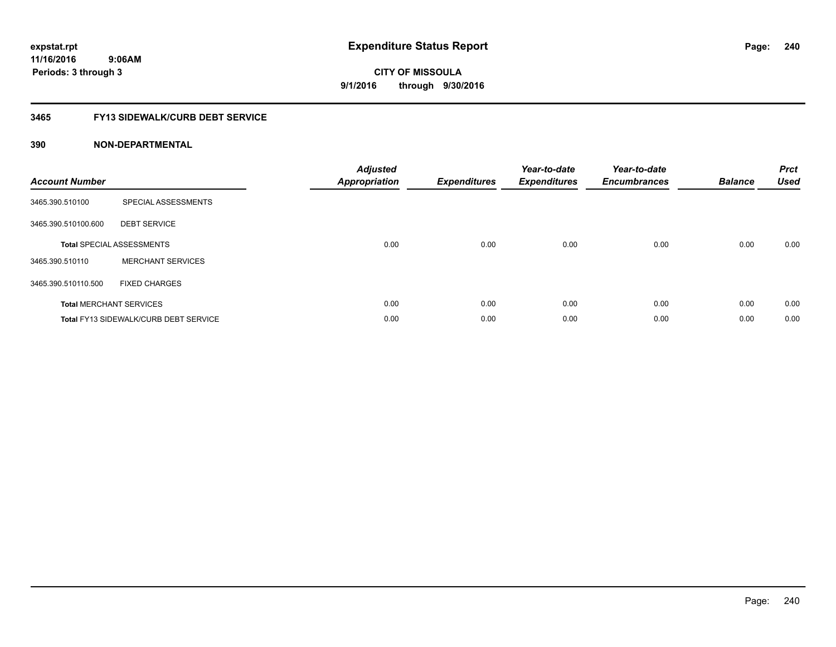## **3465 FY13 SIDEWALK/CURB DEBT SERVICE**

| <b>Account Number</b> |                                              | <b>Adjusted</b><br>Appropriation | <b>Expenditures</b> | Year-to-date<br><b>Expenditures</b> | Year-to-date<br><b>Encumbrances</b> | <b>Balance</b> | <b>Prct</b><br><b>Used</b> |
|-----------------------|----------------------------------------------|----------------------------------|---------------------|-------------------------------------|-------------------------------------|----------------|----------------------------|
| 3465.390.510100       | SPECIAL ASSESSMENTS                          |                                  |                     |                                     |                                     |                |                            |
| 3465.390.510100.600   | <b>DEBT SERVICE</b>                          |                                  |                     |                                     |                                     |                |                            |
|                       | <b>Total SPECIAL ASSESSMENTS</b>             | 0.00                             | 0.00                | 0.00                                | 0.00                                | 0.00           | 0.00                       |
| 3465.390.510110       | <b>MERCHANT SERVICES</b>                     |                                  |                     |                                     |                                     |                |                            |
| 3465.390.510110.500   | <b>FIXED CHARGES</b>                         |                                  |                     |                                     |                                     |                |                            |
|                       | <b>Total MERCHANT SERVICES</b>               | 0.00                             | 0.00                | 0.00                                | 0.00                                | 0.00           | 0.00                       |
|                       | <b>Total FY13 SIDEWALK/CURB DEBT SERVICE</b> | 0.00                             | 0.00                | 0.00                                | 0.00                                | 0.00           | 0.00                       |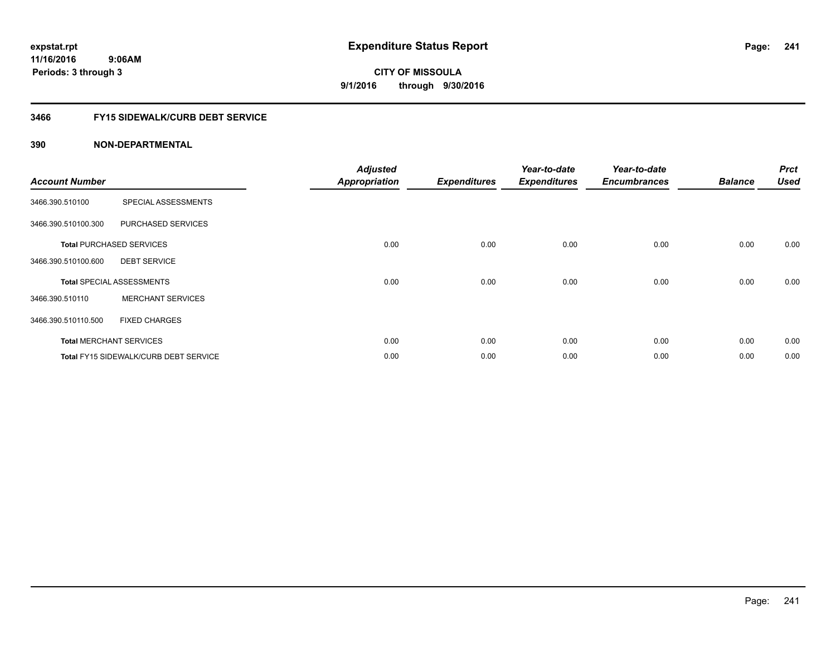## **3466 FY15 SIDEWALK/CURB DEBT SERVICE**

| <b>Account Number</b> |                                              | <b>Adjusted</b>      |                     | Year-to-date        | Year-to-date        | <b>Balance</b> | <b>Prct</b><br><b>Used</b> |
|-----------------------|----------------------------------------------|----------------------|---------------------|---------------------|---------------------|----------------|----------------------------|
|                       |                                              | <b>Appropriation</b> | <b>Expenditures</b> | <b>Expenditures</b> | <b>Encumbrances</b> |                |                            |
| 3466.390.510100       | SPECIAL ASSESSMENTS                          |                      |                     |                     |                     |                |                            |
| 3466.390.510100.300   | PURCHASED SERVICES                           |                      |                     |                     |                     |                |                            |
|                       | <b>Total PURCHASED SERVICES</b>              | 0.00                 | 0.00                | 0.00                | 0.00                | 0.00           | 0.00                       |
| 3466.390.510100.600   | <b>DEBT SERVICE</b>                          |                      |                     |                     |                     |                |                            |
|                       | <b>Total SPECIAL ASSESSMENTS</b>             | 0.00                 | 0.00                | 0.00                | 0.00                | 0.00           | 0.00                       |
| 3466.390.510110       | <b>MERCHANT SERVICES</b>                     |                      |                     |                     |                     |                |                            |
| 3466.390.510110.500   | <b>FIXED CHARGES</b>                         |                      |                     |                     |                     |                |                            |
|                       | <b>Total MERCHANT SERVICES</b>               | 0.00                 | 0.00                | 0.00                | 0.00                | 0.00           | 0.00                       |
|                       | <b>Total FY15 SIDEWALK/CURB DEBT SERVICE</b> | 0.00                 | 0.00                | 0.00                | 0.00                | 0.00           | 0.00                       |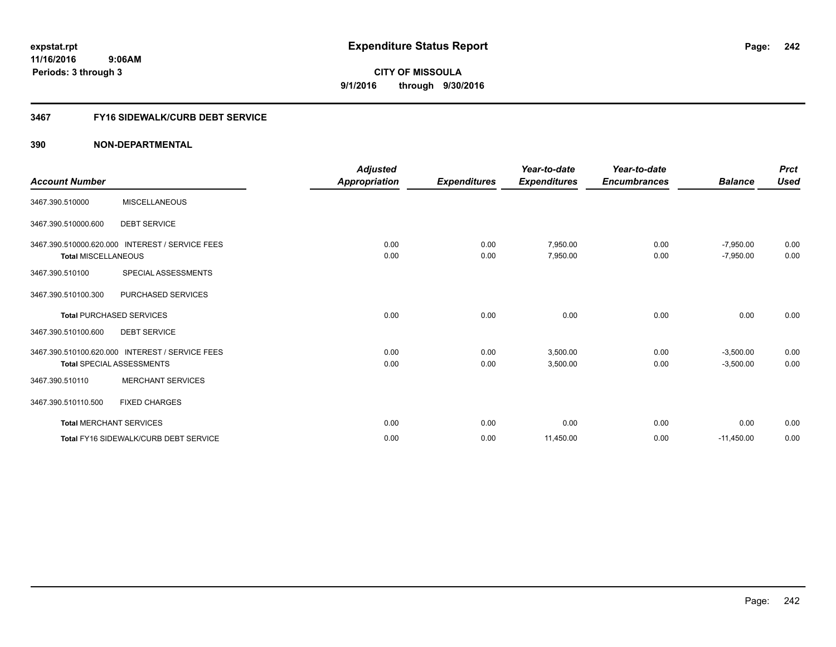## **3467 FY16 SIDEWALK/CURB DEBT SERVICE**

|                                |                                                 | <b>Adjusted</b>      |                     | Year-to-date         | Year-to-date        |                            | <b>Prct</b>  |
|--------------------------------|-------------------------------------------------|----------------------|---------------------|----------------------|---------------------|----------------------------|--------------|
| <b>Account Number</b>          |                                                 | <b>Appropriation</b> | <b>Expenditures</b> | <b>Expenditures</b>  | <b>Encumbrances</b> | <b>Balance</b>             | <b>Used</b>  |
| 3467.390.510000                | <b>MISCELLANEOUS</b>                            |                      |                     |                      |                     |                            |              |
| 3467.390.510000.600            | <b>DEBT SERVICE</b>                             |                      |                     |                      |                     |                            |              |
| <b>Total MISCELLANEOUS</b>     | 3467.390.510000.620.000 INTEREST / SERVICE FEES | 0.00<br>0.00         | 0.00<br>0.00        | 7,950.00<br>7,950.00 | 0.00<br>0.00        | $-7,950.00$<br>$-7,950.00$ | 0.00<br>0.00 |
| 3467.390.510100                | SPECIAL ASSESSMENTS                             |                      |                     |                      |                     |                            |              |
| 3467.390.510100.300            | PURCHASED SERVICES                              |                      |                     |                      |                     |                            |              |
|                                | <b>Total PURCHASED SERVICES</b>                 | 0.00                 | 0.00                | 0.00                 | 0.00                | 0.00                       | 0.00         |
| 3467.390.510100.600            | <b>DEBT SERVICE</b>                             |                      |                     |                      |                     |                            |              |
|                                | 3467.390.510100.620.000 INTEREST / SERVICE FEES | 0.00                 | 0.00                | 3.500.00             | 0.00                | $-3,500.00$                | 0.00         |
|                                | <b>Total SPECIAL ASSESSMENTS</b>                | 0.00                 | 0.00                | 3,500.00             | 0.00                | $-3,500.00$                | 0.00         |
| 3467.390.510110                | <b>MERCHANT SERVICES</b>                        |                      |                     |                      |                     |                            |              |
| 3467.390.510110.500            | <b>FIXED CHARGES</b>                            |                      |                     |                      |                     |                            |              |
| <b>Total MERCHANT SERVICES</b> |                                                 | 0.00                 | 0.00                | 0.00                 | 0.00                | 0.00                       | 0.00         |
|                                | Total FY16 SIDEWALK/CURB DEBT SERVICE           | 0.00                 | 0.00                | 11,450.00            | 0.00                | $-11,450.00$               | 0.00         |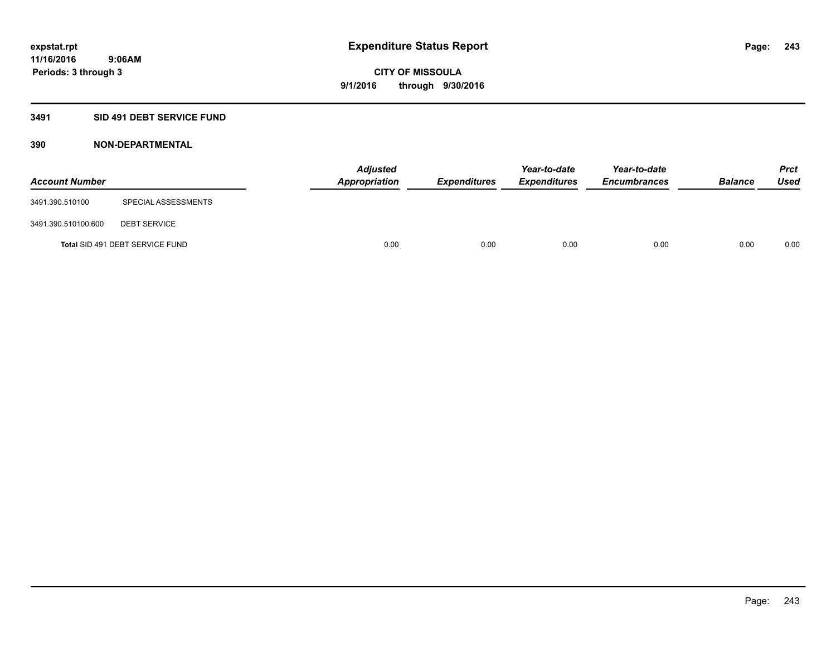## **3491 SID 491 DEBT SERVICE FUND**

| <b>Account Number</b> |                                 | <b>Adjusted</b><br><b>Appropriation</b> | <b>Expenditures</b> | Year-to-date<br><b>Expenditures</b> | Year-to-date<br><b>Encumbrances</b> | <b>Balance</b> | <b>Prct</b><br><b>Used</b> |
|-----------------------|---------------------------------|-----------------------------------------|---------------------|-------------------------------------|-------------------------------------|----------------|----------------------------|
| 3491.390.510100       | SPECIAL ASSESSMENTS             |                                         |                     |                                     |                                     |                |                            |
| 3491.390.510100.600   | <b>DEBT SERVICE</b>             |                                         |                     |                                     |                                     |                |                            |
|                       | Total SID 491 DEBT SERVICE FUND | 0.00                                    | 0.00                | 0.00                                | 0.00                                | 0.00           | 0.00                       |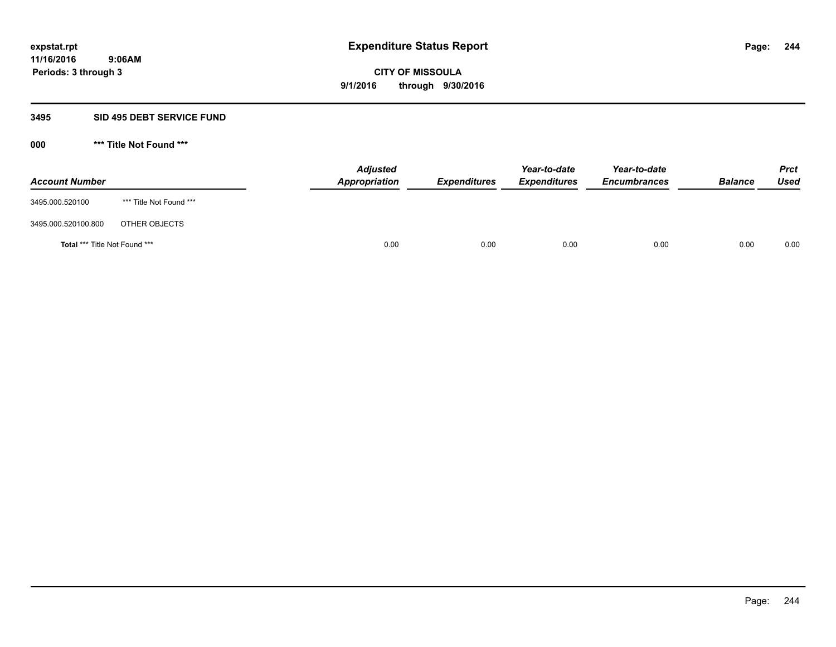## **3495 SID 495 DEBT SERVICE FUND**

**000 \*\*\* Title Not Found \*\*\***

| <b>Account Number</b>                |                         | <b>Adjusted</b><br>Appropriation | <b>Expenditures</b> | Year-to-date<br><b>Expenditures</b> | Year-to-date<br><b>Encumbrances</b> | <b>Balance</b> | <b>Prct</b><br>Used |
|--------------------------------------|-------------------------|----------------------------------|---------------------|-------------------------------------|-------------------------------------|----------------|---------------------|
| 3495.000.520100                      | *** Title Not Found *** |                                  |                     |                                     |                                     |                |                     |
| 3495.000.520100.800                  | OTHER OBJECTS           |                                  |                     |                                     |                                     |                |                     |
| <b>Total *** Title Not Found ***</b> |                         | 0.00                             | 0.00                | 0.00                                | 0.00                                | 0.00           | 0.00                |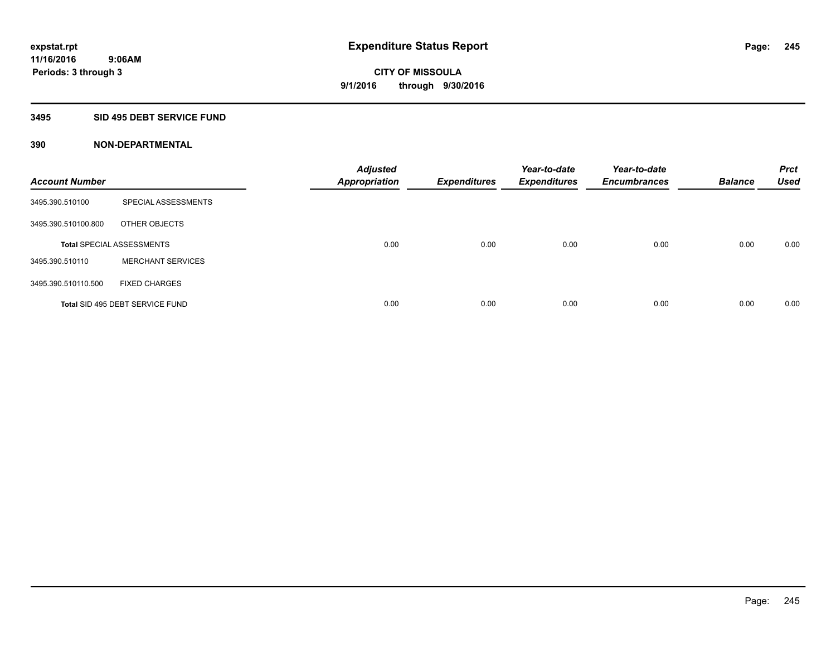## **3495 SID 495 DEBT SERVICE FUND**

| <b>Account Number</b> |                                  | <b>Adjusted</b><br><b>Appropriation</b> | <b>Expenditures</b> | Year-to-date<br><b>Expenditures</b> | Year-to-date<br><b>Encumbrances</b> | <b>Balance</b> | <b>Prct</b><br><b>Used</b> |
|-----------------------|----------------------------------|-----------------------------------------|---------------------|-------------------------------------|-------------------------------------|----------------|----------------------------|
| 3495.390.510100       | SPECIAL ASSESSMENTS              |                                         |                     |                                     |                                     |                |                            |
| 3495.390.510100.800   | OTHER OBJECTS                    |                                         |                     |                                     |                                     |                |                            |
|                       | <b>Total SPECIAL ASSESSMENTS</b> | 0.00                                    | 0.00                | 0.00                                | 0.00                                | 0.00           | 0.00                       |
| 3495.390.510110       | <b>MERCHANT SERVICES</b>         |                                         |                     |                                     |                                     |                |                            |
| 3495.390.510110.500   | <b>FIXED CHARGES</b>             |                                         |                     |                                     |                                     |                |                            |
|                       | Total SID 495 DEBT SERVICE FUND  | 0.00                                    | 0.00                | 0.00                                | 0.00                                | 0.00           | 0.00                       |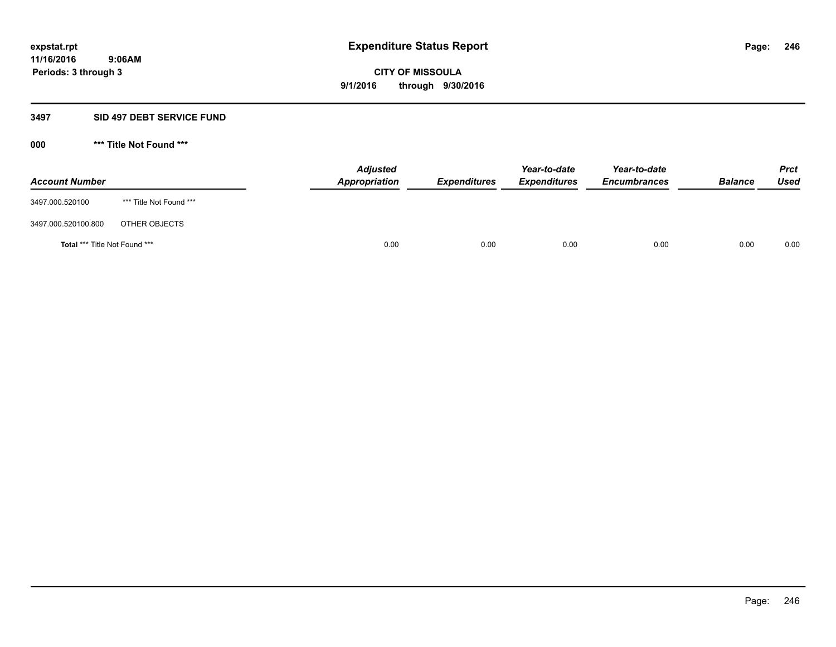## **3497 SID 497 DEBT SERVICE FUND**

**000 \*\*\* Title Not Found \*\*\***

| <b>Account Number</b>                |                         | <b>Adjusted</b><br>Appropriation | <b>Expenditures</b> | Year-to-date<br><b>Expenditures</b> | Year-to-date<br><b>Encumbrances</b> | <b>Balance</b> | <b>Prct</b><br><b>Used</b> |
|--------------------------------------|-------------------------|----------------------------------|---------------------|-------------------------------------|-------------------------------------|----------------|----------------------------|
| 3497.000.520100                      | *** Title Not Found *** |                                  |                     |                                     |                                     |                |                            |
| 3497.000.520100.800                  | OTHER OBJECTS           |                                  |                     |                                     |                                     |                |                            |
| <b>Total *** Title Not Found ***</b> |                         | 0.00                             | 0.00                | 0.00                                | 0.00                                | 0.00           | 0.00                       |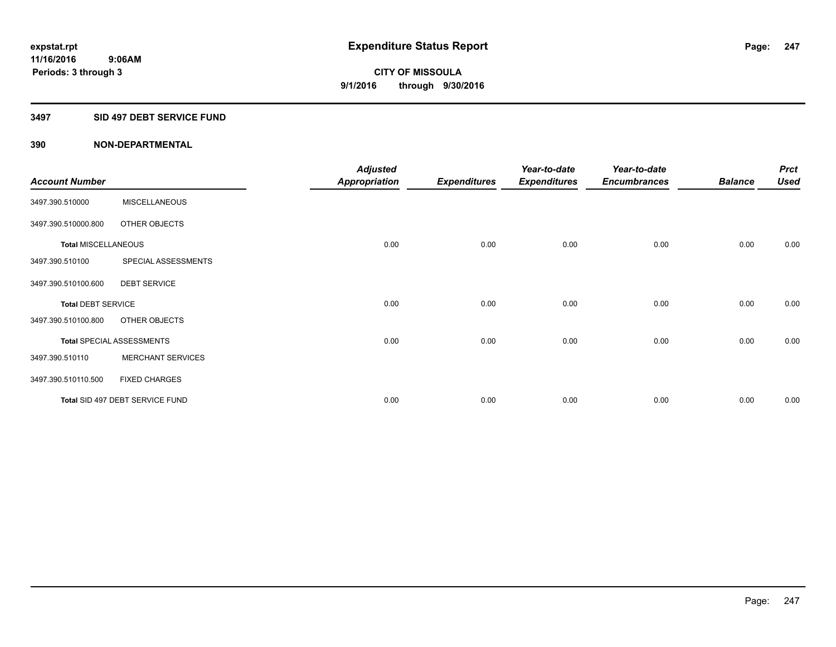## **3497 SID 497 DEBT SERVICE FUND**

|                            |                                  | <b>Adjusted</b>      |                     | Year-to-date        | Year-to-date        |                | <b>Prct</b> |
|----------------------------|----------------------------------|----------------------|---------------------|---------------------|---------------------|----------------|-------------|
| <b>Account Number</b>      |                                  | <b>Appropriation</b> | <b>Expenditures</b> | <b>Expenditures</b> | <b>Encumbrances</b> | <b>Balance</b> | <b>Used</b> |
| 3497.390.510000            | <b>MISCELLANEOUS</b>             |                      |                     |                     |                     |                |             |
| 3497.390.510000.800        | OTHER OBJECTS                    |                      |                     |                     |                     |                |             |
| <b>Total MISCELLANEOUS</b> |                                  | 0.00                 | 0.00                | 0.00                | 0.00                | 0.00           | 0.00        |
| 3497.390.510100            | SPECIAL ASSESSMENTS              |                      |                     |                     |                     |                |             |
| 3497.390.510100.600        | <b>DEBT SERVICE</b>              |                      |                     |                     |                     |                |             |
| <b>Total DEBT SERVICE</b>  |                                  | 0.00                 | 0.00                | 0.00                | 0.00                | 0.00           | 0.00        |
| 3497.390.510100.800        | OTHER OBJECTS                    |                      |                     |                     |                     |                |             |
|                            | <b>Total SPECIAL ASSESSMENTS</b> | 0.00                 | 0.00                | 0.00                | 0.00                | 0.00           | 0.00        |
| 3497.390.510110            | <b>MERCHANT SERVICES</b>         |                      |                     |                     |                     |                |             |
| 3497.390.510110.500        | <b>FIXED CHARGES</b>             |                      |                     |                     |                     |                |             |
|                            | Total SID 497 DEBT SERVICE FUND  | 0.00                 | 0.00                | 0.00                | 0.00                | 0.00           | 0.00        |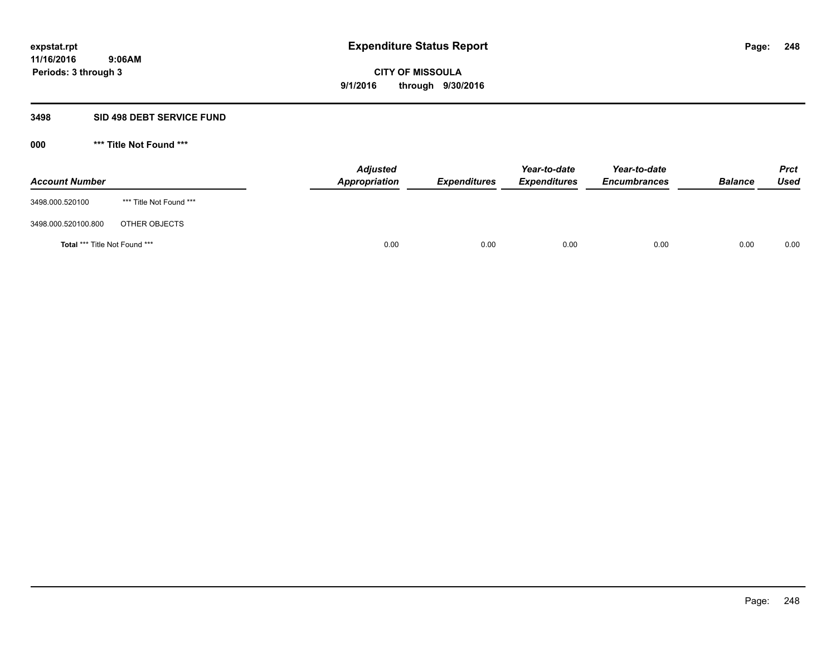## **3498 SID 498 DEBT SERVICE FUND**

**000 \*\*\* Title Not Found \*\*\***

| <b>Account Number</b>                |                         | <b>Adjusted</b><br>Appropriation | <b>Expenditures</b> | Year-to-date<br><b>Expenditures</b> | Year-to-date<br><b>Encumbrances</b> | <b>Balance</b> | <b>Prct</b><br><b>Used</b> |
|--------------------------------------|-------------------------|----------------------------------|---------------------|-------------------------------------|-------------------------------------|----------------|----------------------------|
| 3498.000.520100                      | *** Title Not Found *** |                                  |                     |                                     |                                     |                |                            |
| 3498.000.520100.800                  | OTHER OBJECTS           |                                  |                     |                                     |                                     |                |                            |
| <b>Total *** Title Not Found ***</b> |                         | 0.00                             | 0.00                | 0.00                                | 0.00                                | 0.00           | 0.00                       |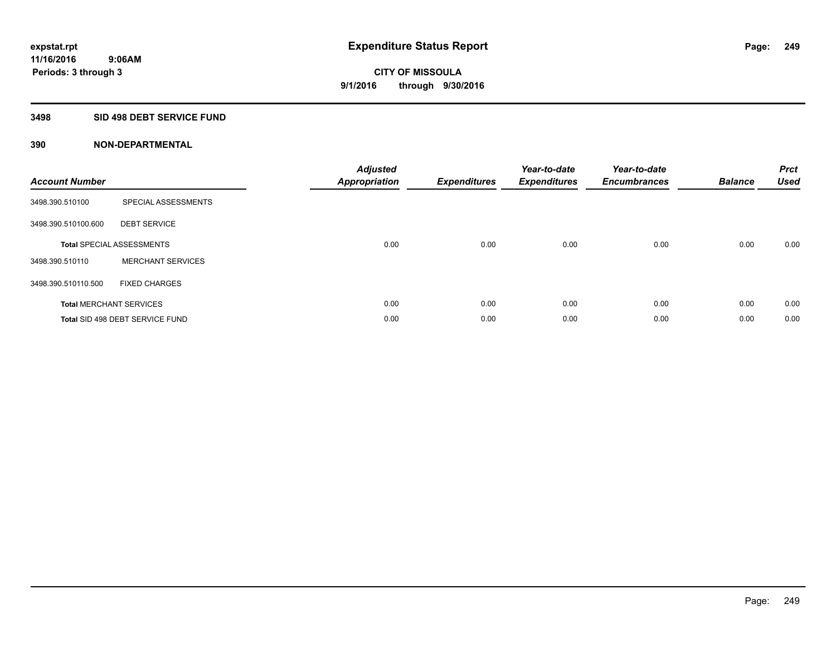## **3498 SID 498 DEBT SERVICE FUND**

| <b>Account Number</b> |                                  | <b>Adjusted</b><br>Appropriation | <b>Expenditures</b> | Year-to-date<br><b>Expenditures</b> | Year-to-date<br><b>Encumbrances</b> | <b>Balance</b> | <b>Prct</b><br><b>Used</b> |
|-----------------------|----------------------------------|----------------------------------|---------------------|-------------------------------------|-------------------------------------|----------------|----------------------------|
| 3498.390.510100       | SPECIAL ASSESSMENTS              |                                  |                     |                                     |                                     |                |                            |
| 3498.390.510100.600   | <b>DEBT SERVICE</b>              |                                  |                     |                                     |                                     |                |                            |
|                       | <b>Total SPECIAL ASSESSMENTS</b> | 0.00                             | 0.00                | 0.00                                | 0.00                                | 0.00           | 0.00                       |
| 3498.390.510110       | <b>MERCHANT SERVICES</b>         |                                  |                     |                                     |                                     |                |                            |
| 3498.390.510110.500   | <b>FIXED CHARGES</b>             |                                  |                     |                                     |                                     |                |                            |
|                       | <b>Total MERCHANT SERVICES</b>   | 0.00                             | 0.00                | 0.00                                | 0.00                                | 0.00           | 0.00                       |
|                       | Total SID 498 DEBT SERVICE FUND  | 0.00                             | 0.00                | 0.00                                | 0.00                                | 0.00           | 0.00                       |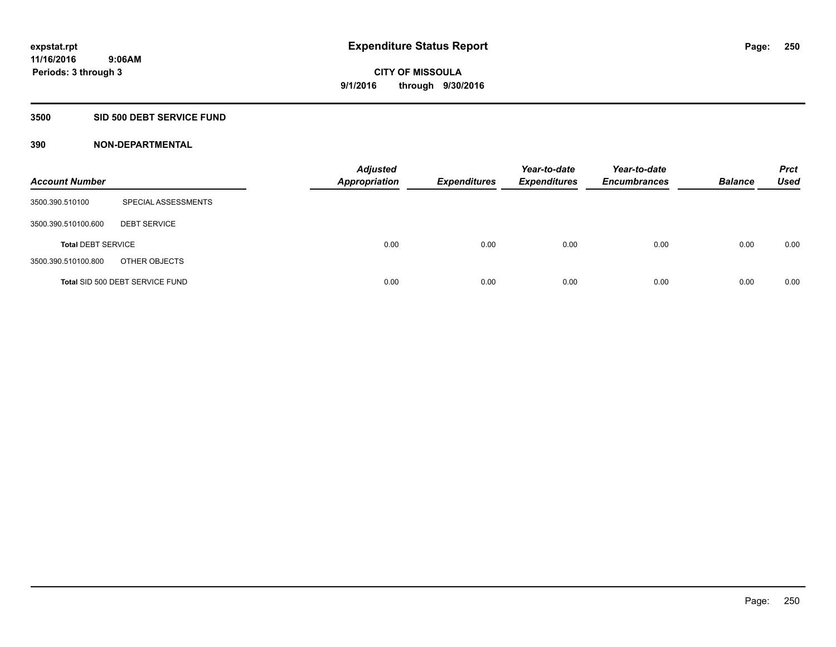## **3500 SID 500 DEBT SERVICE FUND**

| <b>Account Number</b>     |                                 | <b>Adjusted</b><br><b>Appropriation</b> | <b>Expenditures</b> | Year-to-date<br><b>Expenditures</b> | Year-to-date<br><b>Encumbrances</b> | <b>Balance</b> | <b>Prct</b><br><b>Used</b> |
|---------------------------|---------------------------------|-----------------------------------------|---------------------|-------------------------------------|-------------------------------------|----------------|----------------------------|
| 3500.390.510100           | SPECIAL ASSESSMENTS             |                                         |                     |                                     |                                     |                |                            |
| 3500.390.510100.600       | <b>DEBT SERVICE</b>             |                                         |                     |                                     |                                     |                |                            |
| <b>Total DEBT SERVICE</b> |                                 | 0.00                                    | 0.00                | 0.00                                | 0.00                                | 0.00           | 0.00                       |
| 3500.390.510100.800       | OTHER OBJECTS                   |                                         |                     |                                     |                                     |                |                            |
|                           | Total SID 500 DEBT SERVICE FUND | 0.00                                    | 0.00                | 0.00                                | 0.00                                | 0.00           | 0.00                       |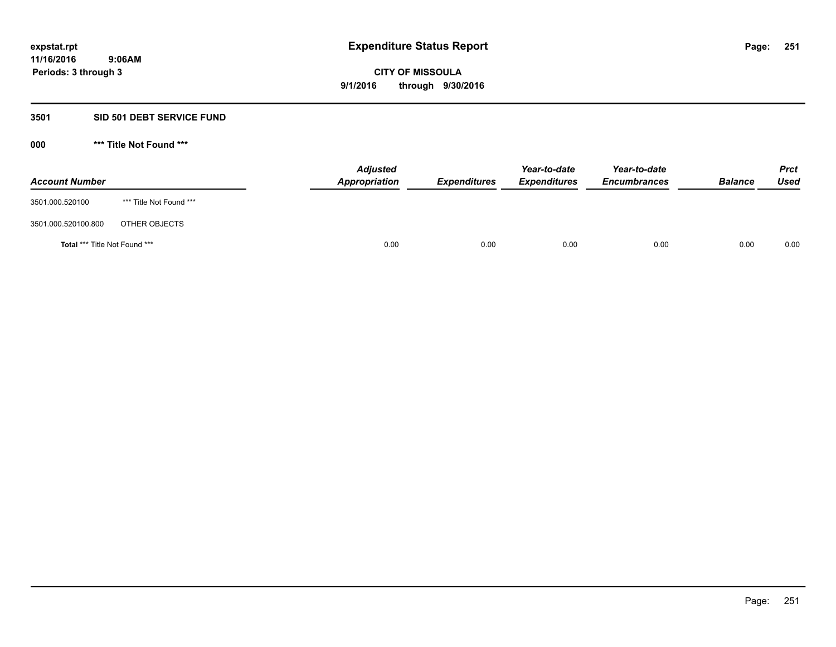## **3501 SID 501 DEBT SERVICE FUND**

**000 \*\*\* Title Not Found \*\*\***

| <b>Account Number</b>                |                         | <b>Adjusted</b><br>Appropriation | <b>Expenditures</b> | Year-to-date<br><b>Expenditures</b> | Year-to-date<br><b>Encumbrances</b> | <b>Balance</b> | <b>Prct</b><br>Used |
|--------------------------------------|-------------------------|----------------------------------|---------------------|-------------------------------------|-------------------------------------|----------------|---------------------|
| 3501.000.520100                      | *** Title Not Found *** |                                  |                     |                                     |                                     |                |                     |
| 3501.000.520100.800                  | OTHER OBJECTS           |                                  |                     |                                     |                                     |                |                     |
| <b>Total *** Title Not Found ***</b> |                         | 0.00                             | 0.00                | 0.00                                | 0.00                                | 0.00           | 0.00                |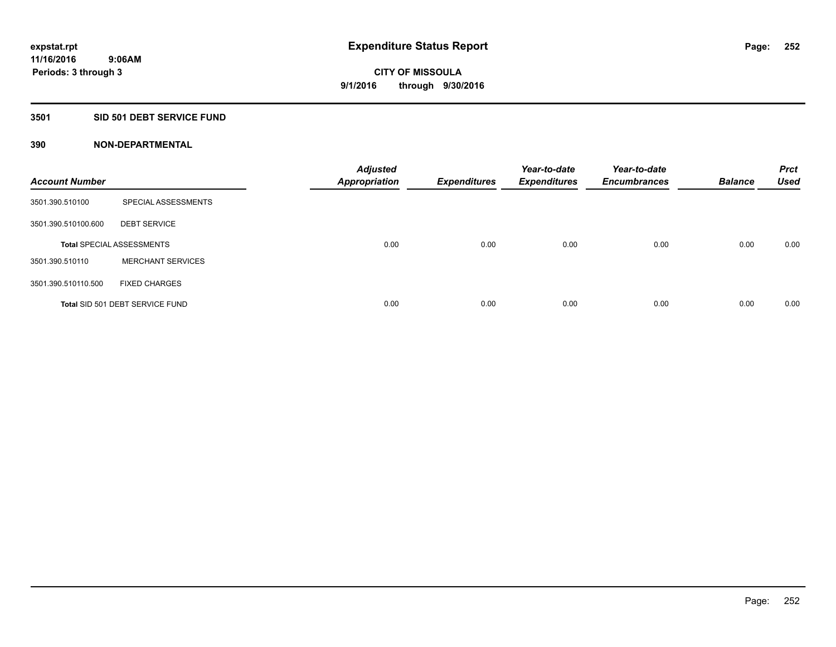## **3501 SID 501 DEBT SERVICE FUND**

| <b>Account Number</b> |                                  | <b>Adjusted</b><br><b>Appropriation</b> | <b>Expenditures</b> | Year-to-date<br><b>Expenditures</b> | Year-to-date<br><b>Encumbrances</b> | <b>Balance</b> | <b>Prct</b><br><b>Used</b> |
|-----------------------|----------------------------------|-----------------------------------------|---------------------|-------------------------------------|-------------------------------------|----------------|----------------------------|
| 3501.390.510100       | SPECIAL ASSESSMENTS              |                                         |                     |                                     |                                     |                |                            |
| 3501.390.510100.600   | <b>DEBT SERVICE</b>              |                                         |                     |                                     |                                     |                |                            |
|                       | <b>Total SPECIAL ASSESSMENTS</b> | 0.00                                    | 0.00                | 0.00                                | 0.00                                | 0.00           | 0.00                       |
| 3501.390.510110       | <b>MERCHANT SERVICES</b>         |                                         |                     |                                     |                                     |                |                            |
| 3501.390.510110.500   | <b>FIXED CHARGES</b>             |                                         |                     |                                     |                                     |                |                            |
|                       | Total SID 501 DEBT SERVICE FUND  | 0.00                                    | 0.00                | 0.00                                | 0.00                                | 0.00           | 0.00                       |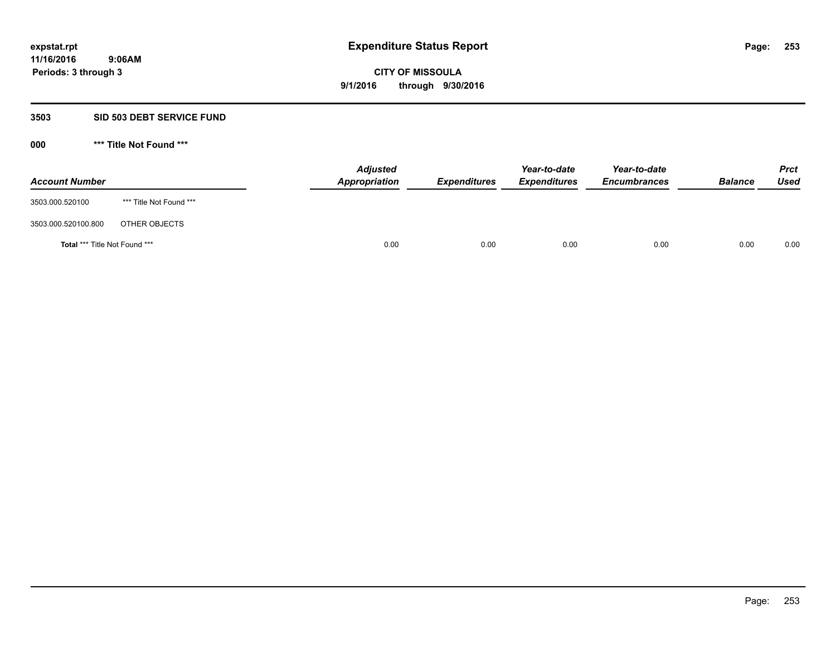### **3503 SID 503 DEBT SERVICE FUND**

| <b>Account Number</b>                |                         | <b>Adjusted</b><br>Appropriation | <b>Expenditures</b> | Year-to-date<br><b>Expenditures</b> | Year-to-date<br><b>Encumbrances</b> | <b>Balance</b> | <b>Prct</b><br>Used |
|--------------------------------------|-------------------------|----------------------------------|---------------------|-------------------------------------|-------------------------------------|----------------|---------------------|
| 3503.000.520100                      | *** Title Not Found *** |                                  |                     |                                     |                                     |                |                     |
| 3503.000.520100.800                  | OTHER OBJECTS           |                                  |                     |                                     |                                     |                |                     |
| <b>Total *** Title Not Found ***</b> |                         |                                  | 0.00<br>0.00        | 0.00                                | 0.00                                | 0.00           | 0.00                |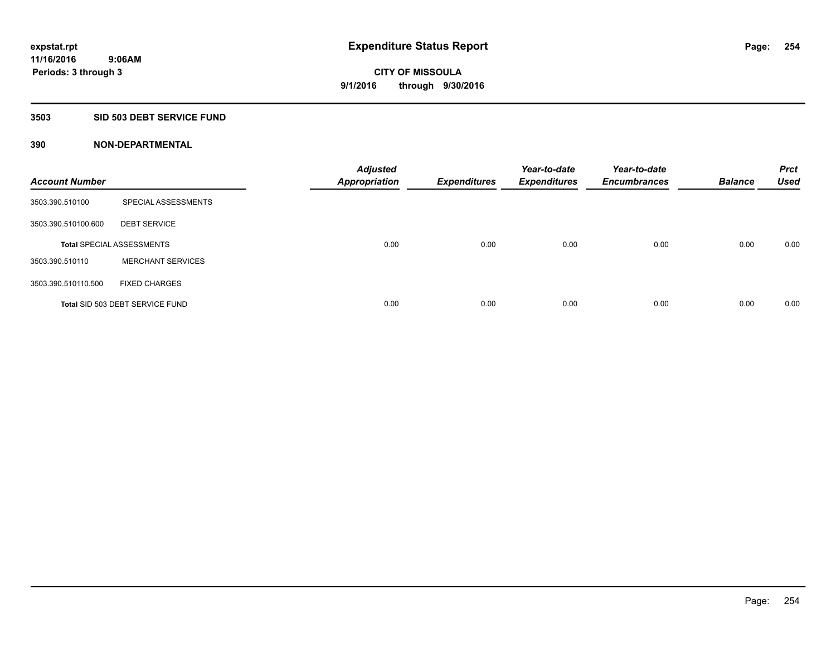### **3503 SID 503 DEBT SERVICE FUND**

| <b>Account Number</b> |                                  | <b>Adjusted</b><br><b>Appropriation</b> | <b>Expenditures</b> | Year-to-date<br><b>Expenditures</b> | Year-to-date<br><b>Encumbrances</b> | <b>Balance</b> | <b>Prct</b><br><b>Used</b> |
|-----------------------|----------------------------------|-----------------------------------------|---------------------|-------------------------------------|-------------------------------------|----------------|----------------------------|
| 3503.390.510100       | SPECIAL ASSESSMENTS              |                                         |                     |                                     |                                     |                |                            |
| 3503.390.510100.600   | <b>DEBT SERVICE</b>              |                                         |                     |                                     |                                     |                |                            |
|                       | <b>Total SPECIAL ASSESSMENTS</b> | 0.00                                    | 0.00                | 0.00                                | 0.00                                | 0.00           | 0.00                       |
| 3503.390.510110       | <b>MERCHANT SERVICES</b>         |                                         |                     |                                     |                                     |                |                            |
| 3503.390.510110.500   | <b>FIXED CHARGES</b>             |                                         |                     |                                     |                                     |                |                            |
|                       | Total SID 503 DEBT SERVICE FUND  | 0.00                                    | 0.00                | 0.00                                | 0.00                                | 0.00           | 0.00                       |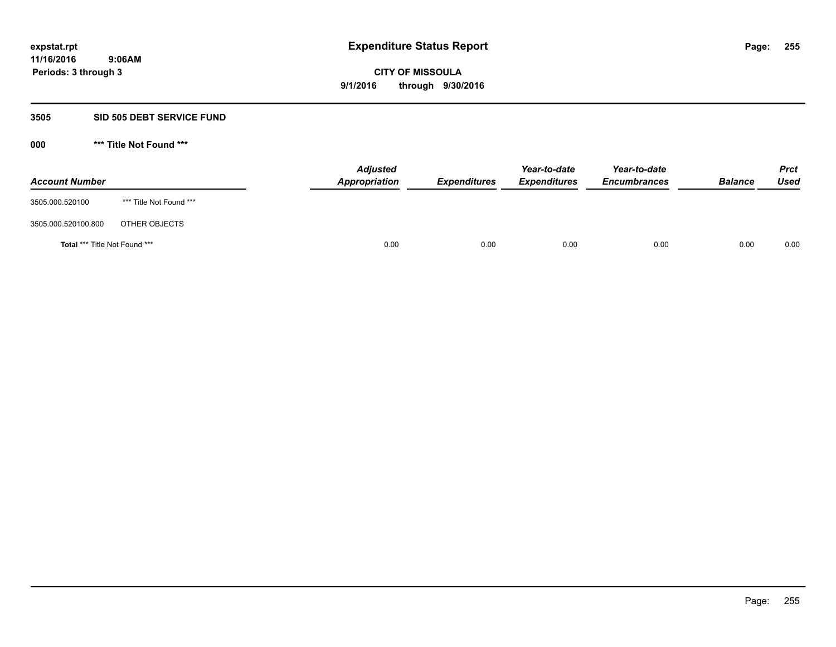### **3505 SID 505 DEBT SERVICE FUND**

| <b>Account Number</b>                |                         | <b>Adjusted</b><br>Appropriation | <b>Expenditures</b> | Year-to-date<br><b>Expenditures</b> | Year-to-date<br><b>Encumbrances</b> | <b>Balance</b> | <b>Prct</b><br>Used |
|--------------------------------------|-------------------------|----------------------------------|---------------------|-------------------------------------|-------------------------------------|----------------|---------------------|
| 3505.000.520100                      | *** Title Not Found *** |                                  |                     |                                     |                                     |                |                     |
| 3505.000.520100.800                  | OTHER OBJECTS           |                                  |                     |                                     |                                     |                |                     |
| <b>Total *** Title Not Found ***</b> |                         |                                  | 0.00<br>0.00        | 0.00                                | 0.00                                | 0.00           | 0.00                |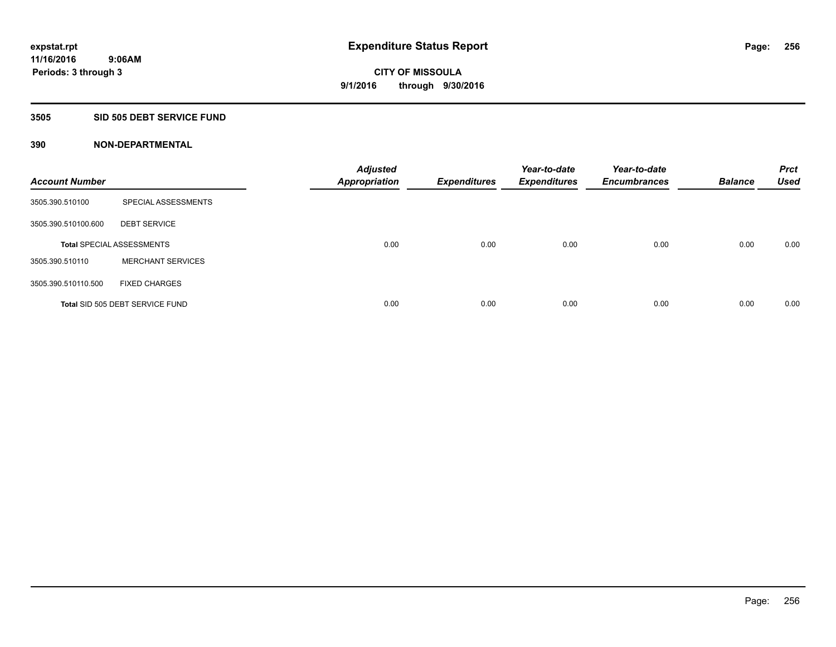### **3505 SID 505 DEBT SERVICE FUND**

| <b>Account Number</b> |                                  | <b>Adjusted</b><br><b>Appropriation</b> | <b>Expenditures</b> | Year-to-date<br><b>Expenditures</b> | Year-to-date<br><b>Encumbrances</b> | <b>Balance</b> | <b>Prct</b><br><b>Used</b> |
|-----------------------|----------------------------------|-----------------------------------------|---------------------|-------------------------------------|-------------------------------------|----------------|----------------------------|
| 3505.390.510100       | SPECIAL ASSESSMENTS              |                                         |                     |                                     |                                     |                |                            |
| 3505.390.510100.600   | <b>DEBT SERVICE</b>              |                                         |                     |                                     |                                     |                |                            |
|                       | <b>Total SPECIAL ASSESSMENTS</b> | 0.00                                    | 0.00                | 0.00                                | 0.00                                | 0.00           | 0.00                       |
| 3505.390.510110       | <b>MERCHANT SERVICES</b>         |                                         |                     |                                     |                                     |                |                            |
| 3505.390.510110.500   | <b>FIXED CHARGES</b>             |                                         |                     |                                     |                                     |                |                            |
|                       | Total SID 505 DEBT SERVICE FUND  | 0.00                                    | 0.00                | 0.00                                | 0.00                                | 0.00           | 0.00                       |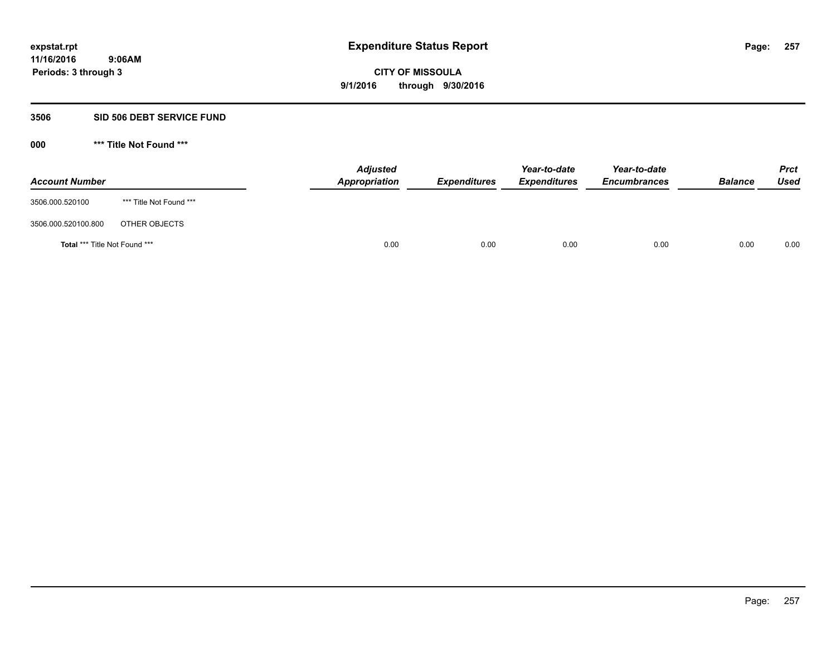#### **3506 SID 506 DEBT SERVICE FUND**

| <b>Account Number</b>         |                         | <b>Adjusted</b><br>Appropriation | <b>Expenditures</b> | Year-to-date<br><b>Expenditures</b> | Year-to-date<br><b>Encumbrances</b> | <b>Balance</b> | <b>Prct</b><br>Used |
|-------------------------------|-------------------------|----------------------------------|---------------------|-------------------------------------|-------------------------------------|----------------|---------------------|
| 3506.000.520100               | *** Title Not Found *** |                                  |                     |                                     |                                     |                |                     |
| 3506.000.520100.800           | OTHER OBJECTS           |                                  |                     |                                     |                                     |                |                     |
| Total *** Title Not Found *** |                         | 0.00                             | 0.00                | 0.00                                | 0.00                                | 0.00           | 0.00                |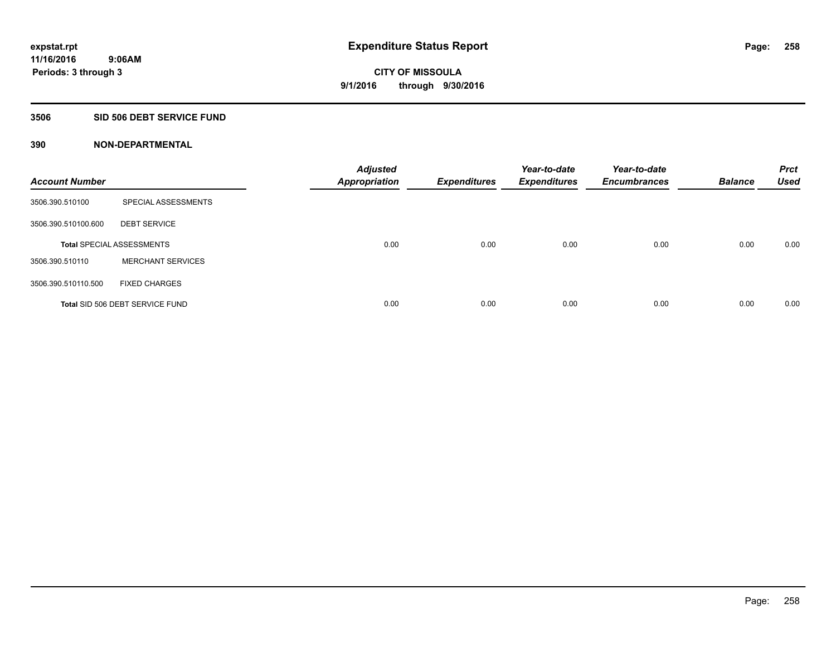### **3506 SID 506 DEBT SERVICE FUND**

| <b>Account Number</b> |                                  | <b>Adjusted</b><br><b>Appropriation</b> | <b>Expenditures</b> | Year-to-date<br><b>Expenditures</b> | Year-to-date<br><b>Encumbrances</b> | <b>Balance</b> | <b>Prct</b><br><b>Used</b> |
|-----------------------|----------------------------------|-----------------------------------------|---------------------|-------------------------------------|-------------------------------------|----------------|----------------------------|
| 3506.390.510100       | SPECIAL ASSESSMENTS              |                                         |                     |                                     |                                     |                |                            |
| 3506.390.510100.600   | <b>DEBT SERVICE</b>              |                                         |                     |                                     |                                     |                |                            |
|                       | <b>Total SPECIAL ASSESSMENTS</b> | 0.00                                    | 0.00                | 0.00                                | 0.00                                | 0.00           | 0.00                       |
| 3506.390.510110       | <b>MERCHANT SERVICES</b>         |                                         |                     |                                     |                                     |                |                            |
| 3506.390.510110.500   | <b>FIXED CHARGES</b>             |                                         |                     |                                     |                                     |                |                            |
|                       | Total SID 506 DEBT SERVICE FUND  | 0.00                                    | 0.00                | 0.00                                | 0.00                                | 0.00           | 0.00                       |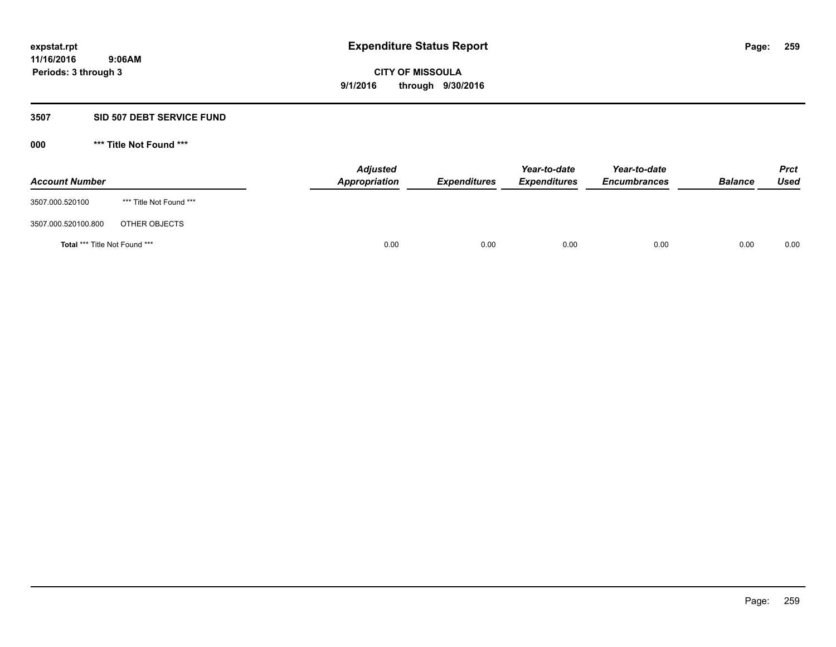### **3507 SID 507 DEBT SERVICE FUND**

| <b>Account Number</b>                |                         | <b>Adjusted</b><br><b>Appropriation</b> | <b>Expenditures</b> | Year-to-date<br><b>Expenditures</b> | Year-to-date<br><b>Encumbrances</b> | <b>Balance</b> | <b>Prct</b><br><b>Used</b> |
|--------------------------------------|-------------------------|-----------------------------------------|---------------------|-------------------------------------|-------------------------------------|----------------|----------------------------|
| 3507.000.520100                      | *** Title Not Found *** |                                         |                     |                                     |                                     |                |                            |
| 3507.000.520100.800                  | OTHER OBJECTS           |                                         |                     |                                     |                                     |                |                            |
| <b>Total *** Title Not Found ***</b> |                         | 0.00                                    | 0.00                | 0.00                                | 0.00                                | 0.00           | 0.00                       |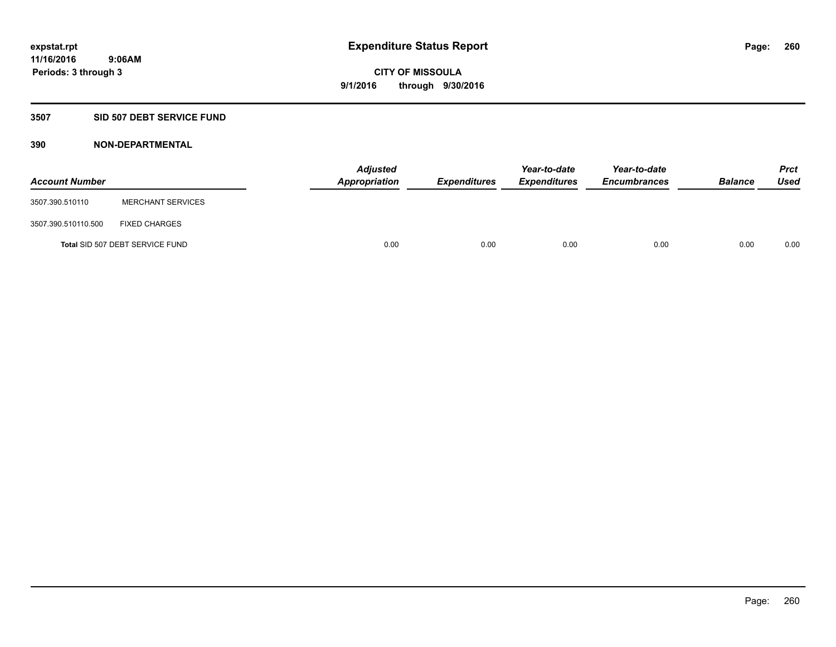### **3507 SID 507 DEBT SERVICE FUND**

| <b>Account Number</b> |                                 | <b>Adjusted</b><br>Appropriation | <b>Expenditures</b> | Year-to-date<br><b>Expenditures</b> | Year-to-date<br><b>Encumbrances</b> | <b>Balance</b> | <b>Prct</b><br><b>Used</b> |
|-----------------------|---------------------------------|----------------------------------|---------------------|-------------------------------------|-------------------------------------|----------------|----------------------------|
| 3507.390.510110       | <b>MERCHANT SERVICES</b>        |                                  |                     |                                     |                                     |                |                            |
| 3507.390.510110.500   | <b>FIXED CHARGES</b>            |                                  |                     |                                     |                                     |                |                            |
|                       | Total SID 507 DEBT SERVICE FUND | 0.00                             | 0.00                | 0.00                                | 0.00                                | 0.00           | 0.00                       |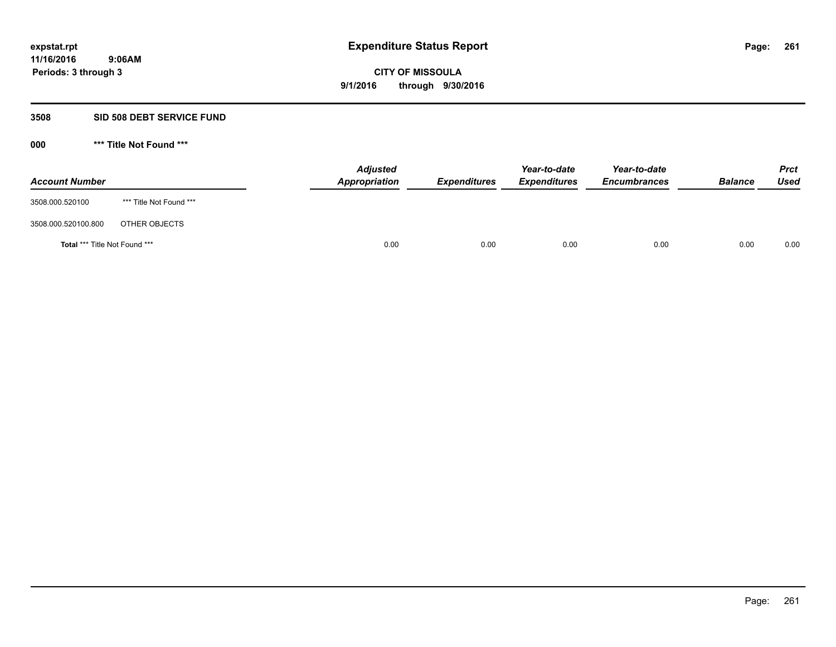### **3508 SID 508 DEBT SERVICE FUND**

| <b>Account Number</b>                |                         | <b>Adjusted</b><br>Appropriation | <b>Expenditures</b> | Year-to-date<br><b>Expenditures</b> | Year-to-date<br><b>Encumbrances</b> | <b>Balance</b> | <b>Prct</b><br>Used |
|--------------------------------------|-------------------------|----------------------------------|---------------------|-------------------------------------|-------------------------------------|----------------|---------------------|
| 3508.000.520100                      | *** Title Not Found *** |                                  |                     |                                     |                                     |                |                     |
| 3508.000.520100.800                  | OTHER OBJECTS           |                                  |                     |                                     |                                     |                |                     |
| <b>Total *** Title Not Found ***</b> |                         |                                  | 0.00<br>0.00        | 0.00                                | 0.00                                | 0.00           | 0.00                |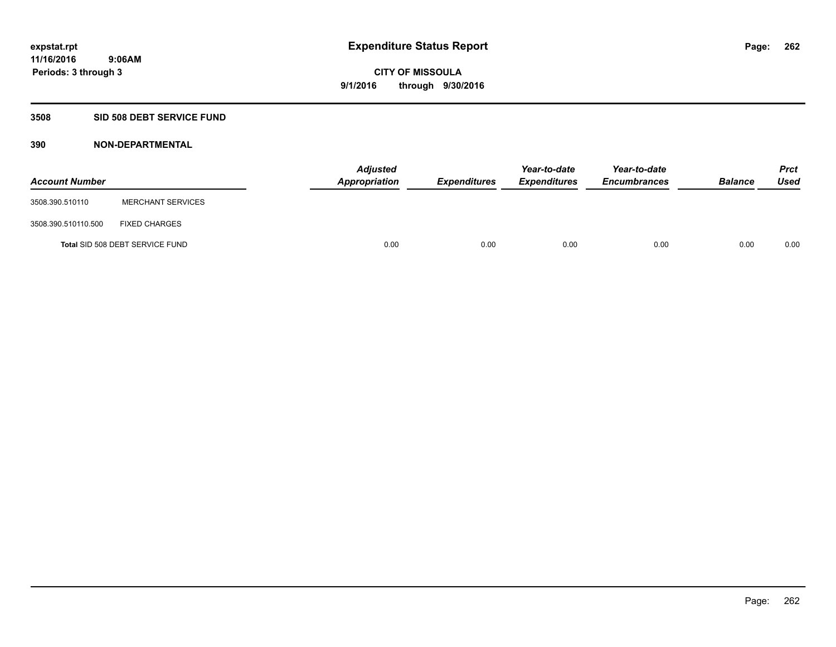## **3508 SID 508 DEBT SERVICE FUND**

| <b>Account Number</b> |                                 | <b>Adjusted</b><br>Appropriation | <b>Expenditures</b> | Year-to-date<br><b>Expenditures</b> | Year-to-date<br><b>Encumbrances</b> | <b>Balance</b> | <b>Prct</b><br><b>Used</b> |
|-----------------------|---------------------------------|----------------------------------|---------------------|-------------------------------------|-------------------------------------|----------------|----------------------------|
| 3508.390.510110       | <b>MERCHANT SERVICES</b>        |                                  |                     |                                     |                                     |                |                            |
| 3508.390.510110.500   | <b>FIXED CHARGES</b>            |                                  |                     |                                     |                                     |                |                            |
|                       | Total SID 508 DEBT SERVICE FUND | 0.00                             | 0.00                | 0.00                                | 0.00                                | 0.00           | 0.00                       |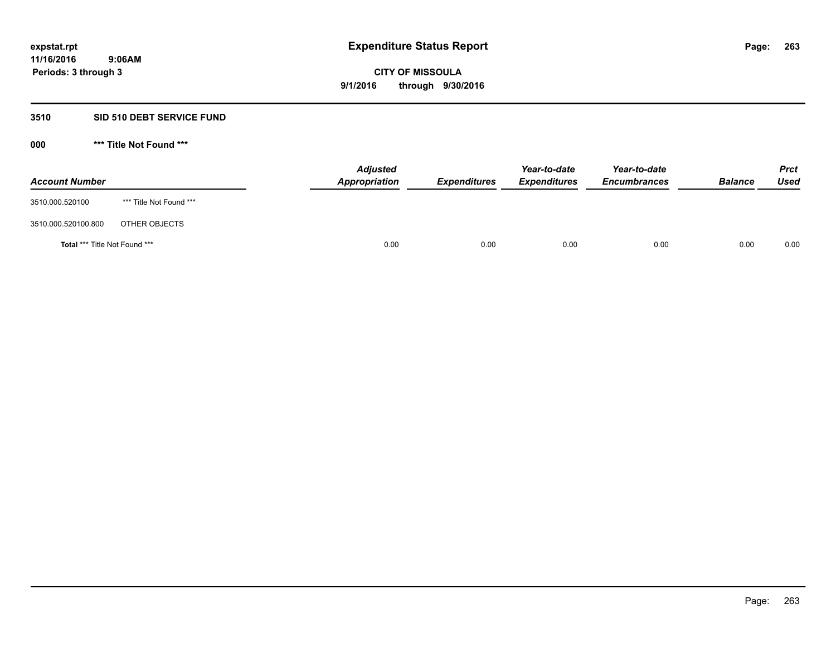### **3510 SID 510 DEBT SERVICE FUND**

| <b>Account Number</b>                |                         | <b>Adjusted</b><br>Appropriation | <b>Expenditures</b> | Year-to-date<br><b>Expenditures</b> | Year-to-date<br><b>Encumbrances</b> | <b>Balance</b> | <b>Prct</b><br>Used |
|--------------------------------------|-------------------------|----------------------------------|---------------------|-------------------------------------|-------------------------------------|----------------|---------------------|
| 3510.000.520100                      | *** Title Not Found *** |                                  |                     |                                     |                                     |                |                     |
| 3510.000.520100.800                  | OTHER OBJECTS           |                                  |                     |                                     |                                     |                |                     |
| <b>Total *** Title Not Found ***</b> |                         | 0.00                             | 0.00                | 0.00                                | 0.00                                | 0.00           | 0.00                |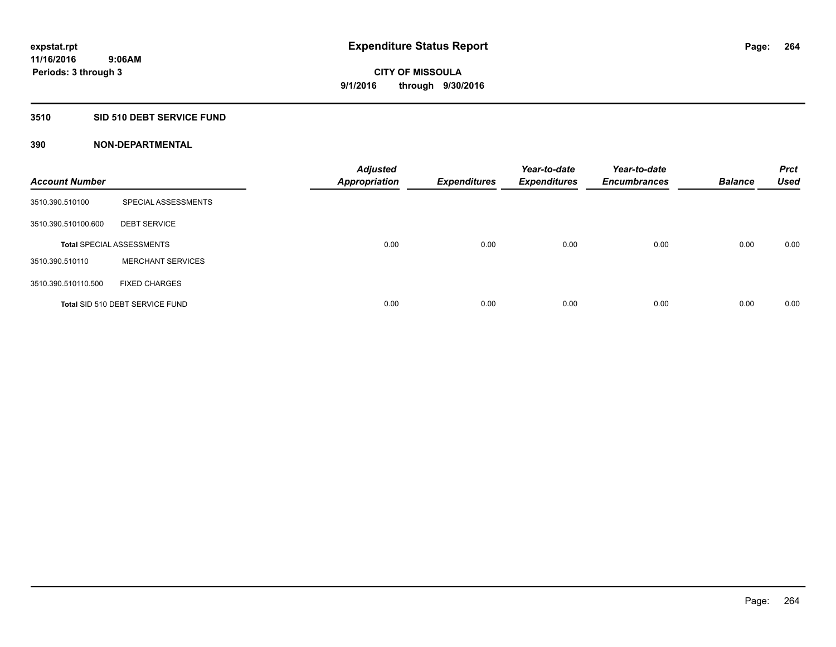## **3510 SID 510 DEBT SERVICE FUND**

| <b>Account Number</b> |                                  | <b>Adjusted</b><br><b>Appropriation</b> | <b>Expenditures</b> | Year-to-date<br><b>Expenditures</b> | Year-to-date<br><b>Encumbrances</b> | <b>Balance</b> | <b>Prct</b><br><b>Used</b> |
|-----------------------|----------------------------------|-----------------------------------------|---------------------|-------------------------------------|-------------------------------------|----------------|----------------------------|
| 3510.390.510100       | SPECIAL ASSESSMENTS              |                                         |                     |                                     |                                     |                |                            |
| 3510.390.510100.600   | <b>DEBT SERVICE</b>              |                                         |                     |                                     |                                     |                |                            |
|                       | <b>Total SPECIAL ASSESSMENTS</b> | 0.00                                    | 0.00                | 0.00                                | 0.00                                | 0.00           | 0.00                       |
| 3510.390.510110       | <b>MERCHANT SERVICES</b>         |                                         |                     |                                     |                                     |                |                            |
| 3510.390.510110.500   | <b>FIXED CHARGES</b>             |                                         |                     |                                     |                                     |                |                            |
|                       | Total SID 510 DEBT SERVICE FUND  | 0.00                                    | 0.00                | 0.00                                | 0.00                                | 0.00           | 0.00                       |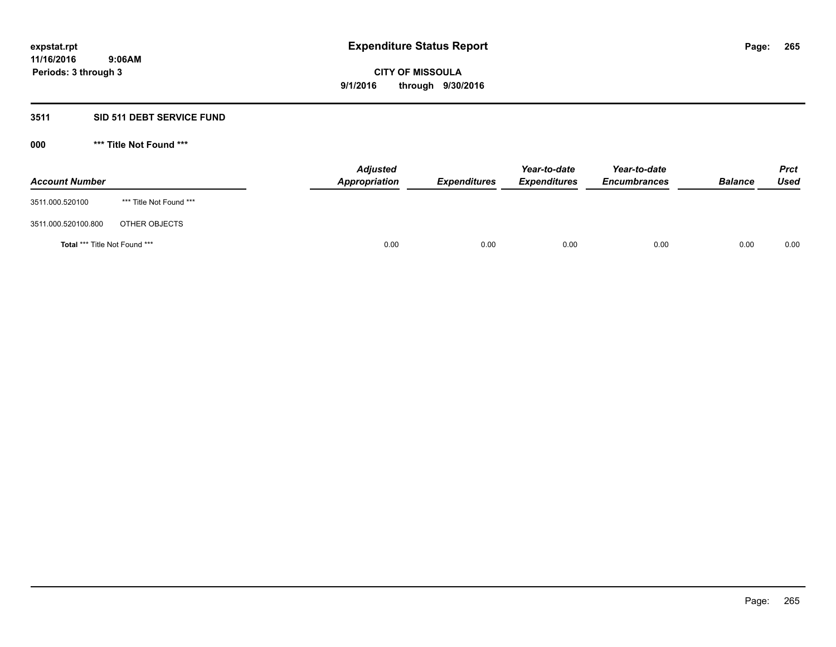## **3511 SID 511 DEBT SERVICE FUND**

| <b>Account Number</b>                |                         | <b>Adjusted</b><br>Appropriation | <b>Expenditures</b> | Year-to-date<br><b>Expenditures</b> | Year-to-date<br><b>Encumbrances</b> | <b>Balance</b> | <b>Prct</b><br>Used |
|--------------------------------------|-------------------------|----------------------------------|---------------------|-------------------------------------|-------------------------------------|----------------|---------------------|
| 3511.000.520100                      | *** Title Not Found *** |                                  |                     |                                     |                                     |                |                     |
| 3511.000.520100.800                  | OTHER OBJECTS           |                                  |                     |                                     |                                     |                |                     |
| <b>Total *** Title Not Found ***</b> |                         | 0.00                             | 0.00                | 0.00                                | 0.00                                | 0.00           | 0.00                |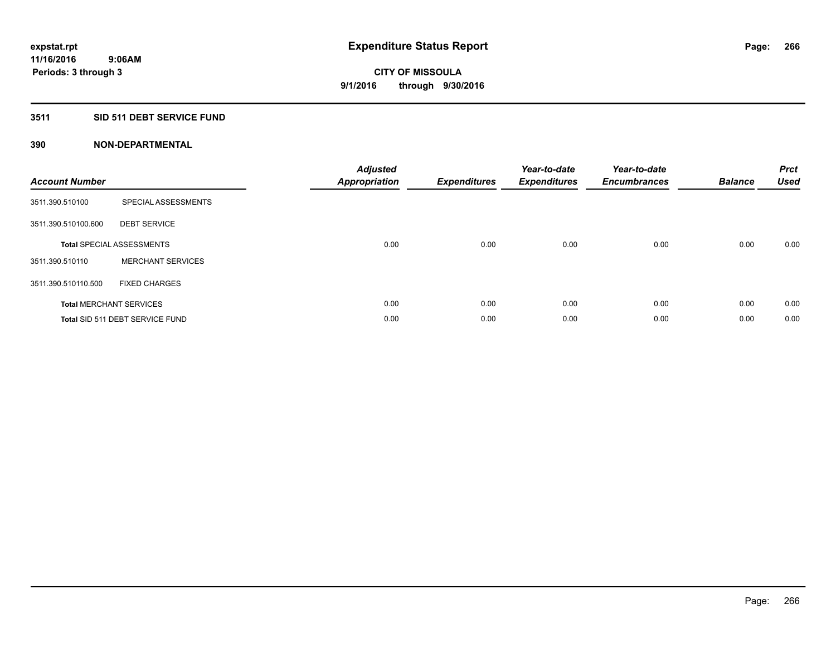## **3511 SID 511 DEBT SERVICE FUND**

| <b>Account Number</b> |                                  | <b>Adjusted</b><br><b>Appropriation</b> | <b>Expenditures</b> | Year-to-date<br><b>Expenditures</b> | Year-to-date<br><b>Encumbrances</b> | <b>Balance</b> | <b>Prct</b><br>Used |
|-----------------------|----------------------------------|-----------------------------------------|---------------------|-------------------------------------|-------------------------------------|----------------|---------------------|
| 3511.390.510100       | SPECIAL ASSESSMENTS              |                                         |                     |                                     |                                     |                |                     |
| 3511.390.510100.600   | <b>DEBT SERVICE</b>              |                                         |                     |                                     |                                     |                |                     |
|                       | <b>Total SPECIAL ASSESSMENTS</b> | 0.00                                    | 0.00                | 0.00                                | 0.00                                | 0.00           | 0.00                |
| 3511.390.510110       | <b>MERCHANT SERVICES</b>         |                                         |                     |                                     |                                     |                |                     |
| 3511.390.510110.500   | <b>FIXED CHARGES</b>             |                                         |                     |                                     |                                     |                |                     |
|                       | <b>Total MERCHANT SERVICES</b>   | 0.00                                    | 0.00                | 0.00                                | 0.00                                | 0.00           | 0.00                |
|                       | Total SID 511 DEBT SERVICE FUND  | 0.00                                    | 0.00                | 0.00                                | 0.00                                | 0.00           | 0.00                |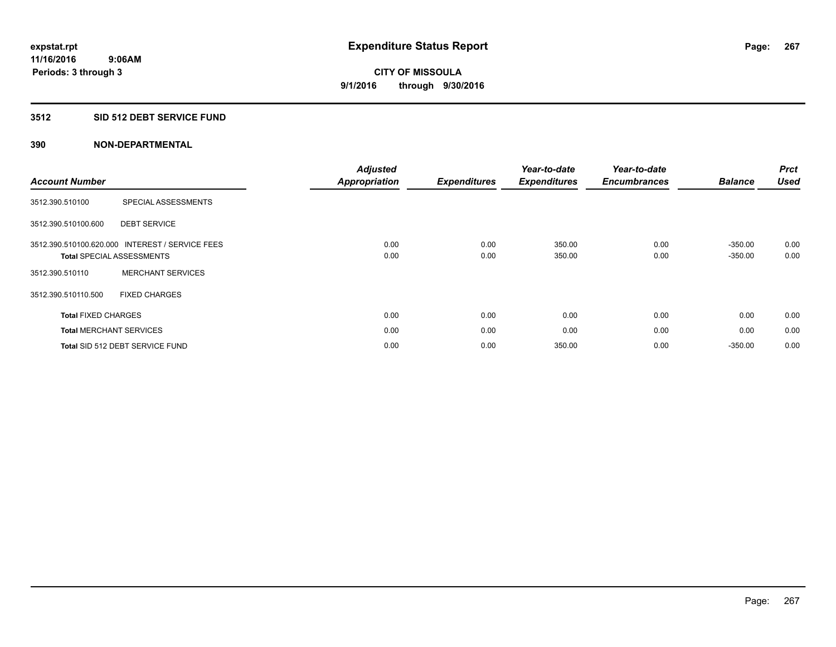### **3512 SID 512 DEBT SERVICE FUND**

|                                                 |                          | <b>Adjusted</b>      |                     | Year-to-date        | Year-to-date        |                | <b>Prct</b> |
|-------------------------------------------------|--------------------------|----------------------|---------------------|---------------------|---------------------|----------------|-------------|
| <b>Account Number</b>                           |                          | <b>Appropriation</b> | <b>Expenditures</b> | <b>Expenditures</b> | <b>Encumbrances</b> | <b>Balance</b> | Used        |
| 3512.390.510100                                 | SPECIAL ASSESSMENTS      |                      |                     |                     |                     |                |             |
| 3512.390.510100.600                             | <b>DEBT SERVICE</b>      |                      |                     |                     |                     |                |             |
| 3512.390.510100.620.000 INTEREST / SERVICE FEES |                          | 0.00                 | 0.00                | 350.00              | 0.00                | $-350.00$      | 0.00        |
| <b>Total SPECIAL ASSESSMENTS</b>                |                          | 0.00                 | 0.00                | 350.00              | 0.00                | $-350.00$      | 0.00        |
| 3512.390.510110                                 | <b>MERCHANT SERVICES</b> |                      |                     |                     |                     |                |             |
| 3512.390.510110.500                             | <b>FIXED CHARGES</b>     |                      |                     |                     |                     |                |             |
| <b>Total FIXED CHARGES</b>                      |                          | 0.00                 | 0.00                | 0.00                | 0.00                | 0.00           | 0.00        |
| <b>Total MERCHANT SERVICES</b>                  |                          | 0.00                 | 0.00                | 0.00                | 0.00                | 0.00           | 0.00        |
| Total SID 512 DEBT SERVICE FUND                 |                          | 0.00                 | 0.00                | 350.00              | 0.00                | $-350.00$      | 0.00        |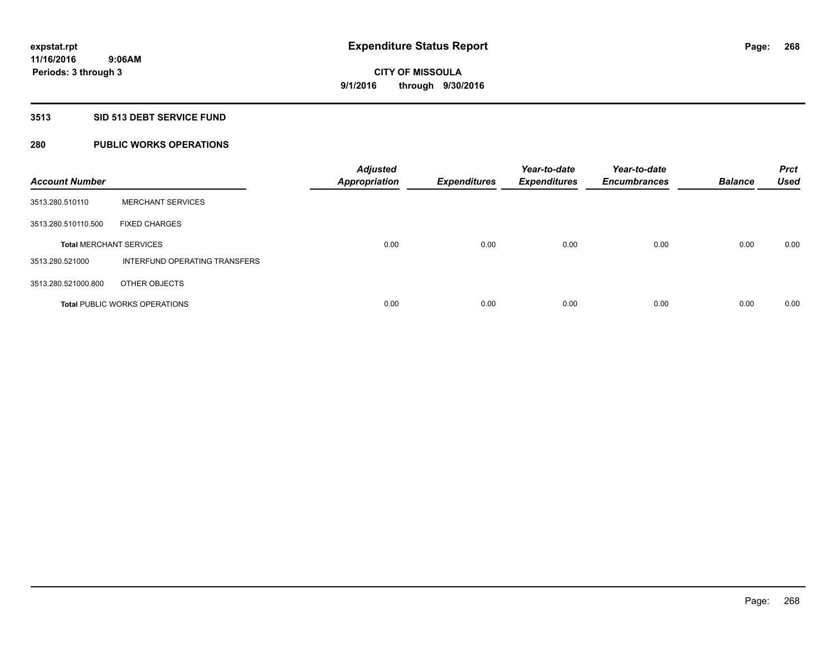### **3513 SID 513 DEBT SERVICE FUND**

## **280 PUBLIC WORKS OPERATIONS**

| <b>Account Number</b>          |                                      | <b>Adjusted</b><br><b>Appropriation</b> | <b>Expenditures</b> | Year-to-date<br><b>Expenditures</b> | Year-to-date<br><b>Encumbrances</b> | <b>Balance</b> | <b>Prct</b><br><b>Used</b> |
|--------------------------------|--------------------------------------|-----------------------------------------|---------------------|-------------------------------------|-------------------------------------|----------------|----------------------------|
| 3513.280.510110                | <b>MERCHANT SERVICES</b>             |                                         |                     |                                     |                                     |                |                            |
| 3513.280.510110.500            | <b>FIXED CHARGES</b>                 |                                         |                     |                                     |                                     |                |                            |
| <b>Total MERCHANT SERVICES</b> |                                      | 0.00                                    | 0.00                | 0.00                                | 0.00                                | 0.00           | 0.00                       |
| 3513.280.521000                | INTERFUND OPERATING TRANSFERS        |                                         |                     |                                     |                                     |                |                            |
| 3513.280.521000.800            | OTHER OBJECTS                        |                                         |                     |                                     |                                     |                |                            |
|                                | <b>Total PUBLIC WORKS OPERATIONS</b> | 0.00                                    | 0.00                | 0.00                                | 0.00                                | 0.00           | 0.00                       |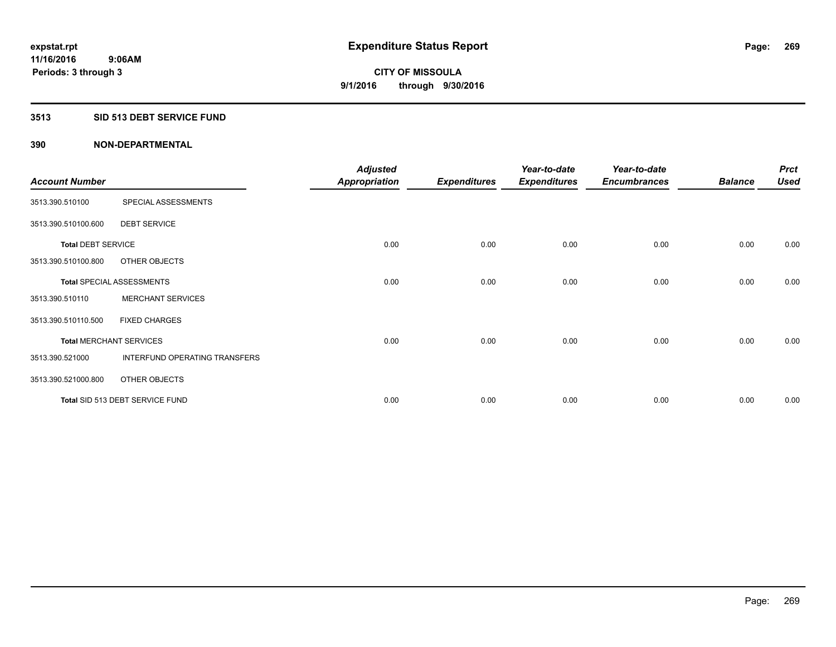## **3513 SID 513 DEBT SERVICE FUND**

|                                |                                  | <b>Adjusted</b>      |                     | Year-to-date        | Year-to-date        |                | <b>Prct</b> |
|--------------------------------|----------------------------------|----------------------|---------------------|---------------------|---------------------|----------------|-------------|
| <b>Account Number</b>          |                                  | <b>Appropriation</b> | <b>Expenditures</b> | <b>Expenditures</b> | <b>Encumbrances</b> | <b>Balance</b> | <b>Used</b> |
| 3513.390.510100                | SPECIAL ASSESSMENTS              |                      |                     |                     |                     |                |             |
| 3513.390.510100.600            | <b>DEBT SERVICE</b>              |                      |                     |                     |                     |                |             |
| <b>Total DEBT SERVICE</b>      |                                  | 0.00                 | 0.00                | 0.00                | 0.00                | 0.00           | 0.00        |
| 3513.390.510100.800            | OTHER OBJECTS                    |                      |                     |                     |                     |                |             |
|                                | <b>Total SPECIAL ASSESSMENTS</b> | 0.00                 | 0.00                | 0.00                | 0.00                | 0.00           | 0.00        |
| 3513.390.510110                | <b>MERCHANT SERVICES</b>         |                      |                     |                     |                     |                |             |
| 3513.390.510110.500            | <b>FIXED CHARGES</b>             |                      |                     |                     |                     |                |             |
| <b>Total MERCHANT SERVICES</b> |                                  | 0.00                 | 0.00                | 0.00                | 0.00                | 0.00           | 0.00        |
| 3513.390.521000                | INTERFUND OPERATING TRANSFERS    |                      |                     |                     |                     |                |             |
| 3513.390.521000.800            | OTHER OBJECTS                    |                      |                     |                     |                     |                |             |
|                                | Total SID 513 DEBT SERVICE FUND  | 0.00                 | 0.00                | 0.00                | 0.00                | 0.00           | 0.00        |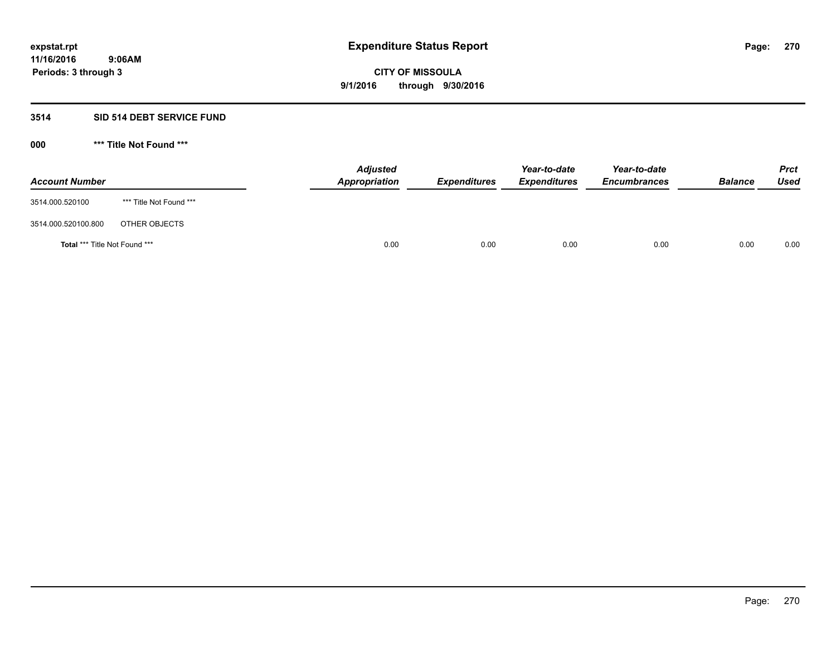### **3514 SID 514 DEBT SERVICE FUND**

| <b>Account Number</b>                |                         | <b>Adjusted</b><br><b>Appropriation</b> | <b>Expenditures</b> | Year-to-date<br><b>Expenditures</b> | Year-to-date<br><b>Encumbrances</b> | <b>Balance</b> | <b>Prct</b><br><b>Used</b> |
|--------------------------------------|-------------------------|-----------------------------------------|---------------------|-------------------------------------|-------------------------------------|----------------|----------------------------|
| 3514.000.520100                      | *** Title Not Found *** |                                         |                     |                                     |                                     |                |                            |
| 3514.000.520100.800                  | OTHER OBJECTS           |                                         |                     |                                     |                                     |                |                            |
| <b>Total *** Title Not Found ***</b> |                         | 0.00                                    | 0.00                | 0.00                                | 0.00                                | 0.00           | 0.00                       |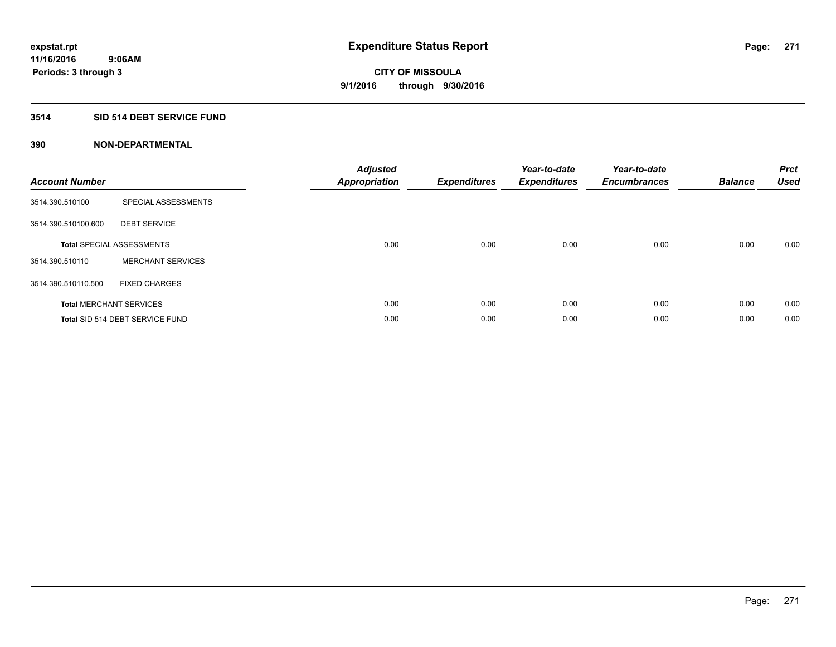## **3514 SID 514 DEBT SERVICE FUND**

| <b>Account Number</b> |                                  | <b>Adjusted</b><br>Appropriation | <b>Expenditures</b> | Year-to-date<br><b>Expenditures</b> | Year-to-date<br><b>Encumbrances</b> | <b>Balance</b> | <b>Prct</b><br><b>Used</b> |
|-----------------------|----------------------------------|----------------------------------|---------------------|-------------------------------------|-------------------------------------|----------------|----------------------------|
| 3514.390.510100       | SPECIAL ASSESSMENTS              |                                  |                     |                                     |                                     |                |                            |
| 3514.390.510100.600   | <b>DEBT SERVICE</b>              |                                  |                     |                                     |                                     |                |                            |
|                       | <b>Total SPECIAL ASSESSMENTS</b> | 0.00                             | 0.00                | 0.00                                | 0.00                                | 0.00           | 0.00                       |
| 3514.390.510110       | <b>MERCHANT SERVICES</b>         |                                  |                     |                                     |                                     |                |                            |
| 3514.390.510110.500   | <b>FIXED CHARGES</b>             |                                  |                     |                                     |                                     |                |                            |
|                       | <b>Total MERCHANT SERVICES</b>   | 0.00                             | 0.00                | 0.00                                | 0.00                                | 0.00           | 0.00                       |
|                       | Total SID 514 DEBT SERVICE FUND  | 0.00                             | 0.00                | 0.00                                | 0.00                                | 0.00           | 0.00                       |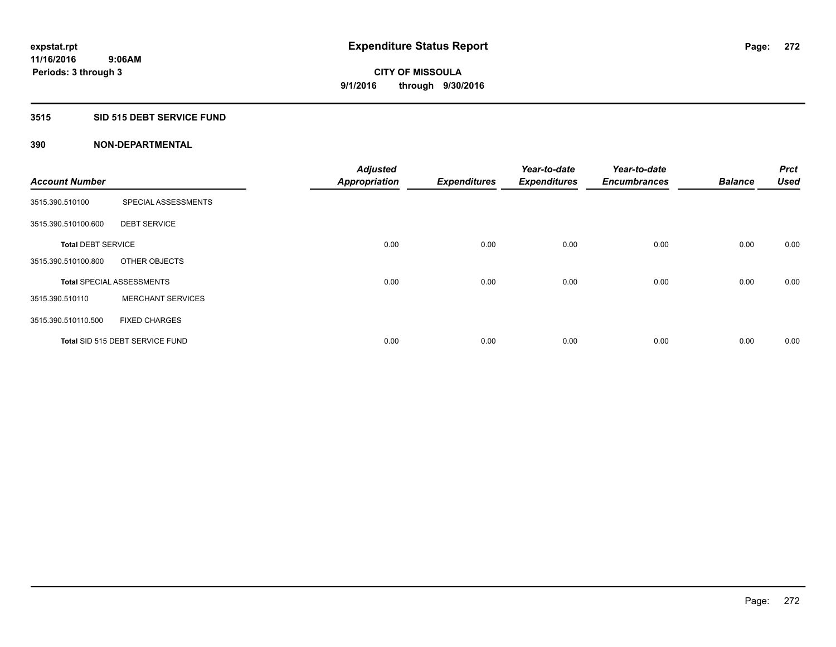### **3515 SID 515 DEBT SERVICE FUND**

| <b>Account Number</b>     |                                  | <b>Adjusted</b><br><b>Appropriation</b> | <b>Expenditures</b> | Year-to-date<br><b>Expenditures</b> | Year-to-date<br><b>Encumbrances</b> | <b>Balance</b> | <b>Prct</b><br><b>Used</b> |
|---------------------------|----------------------------------|-----------------------------------------|---------------------|-------------------------------------|-------------------------------------|----------------|----------------------------|
| 3515.390.510100           | SPECIAL ASSESSMENTS              |                                         |                     |                                     |                                     |                |                            |
| 3515.390.510100.600       | <b>DEBT SERVICE</b>              |                                         |                     |                                     |                                     |                |                            |
| <b>Total DEBT SERVICE</b> |                                  | 0.00                                    | 0.00                | 0.00                                | 0.00                                | 0.00           | 0.00                       |
| 3515.390.510100.800       | OTHER OBJECTS                    |                                         |                     |                                     |                                     |                |                            |
|                           | <b>Total SPECIAL ASSESSMENTS</b> | 0.00                                    | 0.00                | 0.00                                | 0.00                                | 0.00           | 0.00                       |
| 3515.390.510110           | <b>MERCHANT SERVICES</b>         |                                         |                     |                                     |                                     |                |                            |
| 3515.390.510110.500       | <b>FIXED CHARGES</b>             |                                         |                     |                                     |                                     |                |                            |
|                           | Total SID 515 DEBT SERVICE FUND  | 0.00                                    | 0.00                | 0.00                                | 0.00                                | 0.00           | 0.00                       |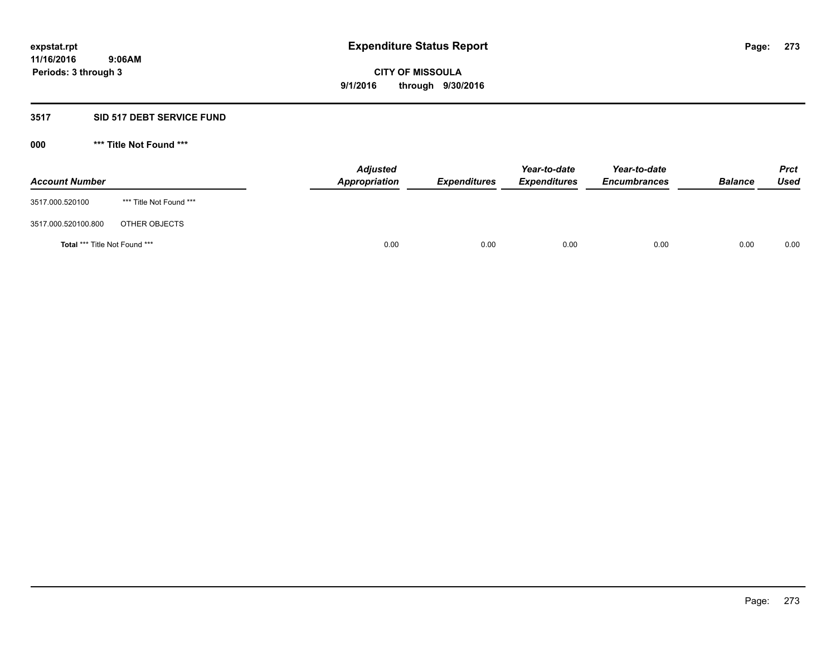### **3517 SID 517 DEBT SERVICE FUND**

| <b>Account Number</b>                |                         | <b>Adjusted</b><br>Appropriation | <b>Expenditures</b> | Year-to-date<br><b>Expenditures</b> | Year-to-date<br><b>Encumbrances</b> | <b>Balance</b> | <b>Prct</b><br>Used |
|--------------------------------------|-------------------------|----------------------------------|---------------------|-------------------------------------|-------------------------------------|----------------|---------------------|
| 3517.000.520100                      | *** Title Not Found *** |                                  |                     |                                     |                                     |                |                     |
| 3517.000.520100.800                  | OTHER OBJECTS           |                                  |                     |                                     |                                     |                |                     |
| <b>Total *** Title Not Found ***</b> |                         | 0.00                             | 0.00                | 0.00                                | 0.00                                | 0.00           | 0.00                |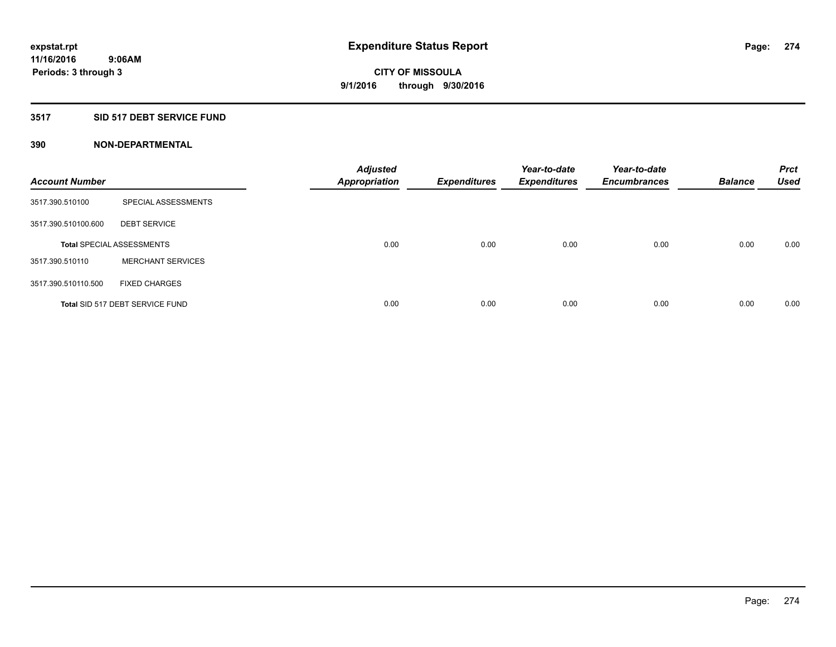### **3517 SID 517 DEBT SERVICE FUND**

| <b>Account Number</b> |                                  | <b>Adjusted</b><br><b>Appropriation</b> | <b>Expenditures</b> | Year-to-date<br><b>Expenditures</b> | Year-to-date<br><b>Encumbrances</b> | <b>Balance</b> | <b>Prct</b><br><b>Used</b> |
|-----------------------|----------------------------------|-----------------------------------------|---------------------|-------------------------------------|-------------------------------------|----------------|----------------------------|
| 3517.390.510100       | SPECIAL ASSESSMENTS              |                                         |                     |                                     |                                     |                |                            |
| 3517.390.510100.600   | <b>DEBT SERVICE</b>              |                                         |                     |                                     |                                     |                |                            |
|                       | <b>Total SPECIAL ASSESSMENTS</b> | 0.00                                    | 0.00                | 0.00                                | 0.00                                | 0.00           | 0.00                       |
| 3517.390.510110       | <b>MERCHANT SERVICES</b>         |                                         |                     |                                     |                                     |                |                            |
| 3517.390.510110.500   | <b>FIXED CHARGES</b>             |                                         |                     |                                     |                                     |                |                            |
|                       | Total SID 517 DEBT SERVICE FUND  | 0.00                                    | 0.00                | 0.00                                | 0.00                                | 0.00           | 0.00                       |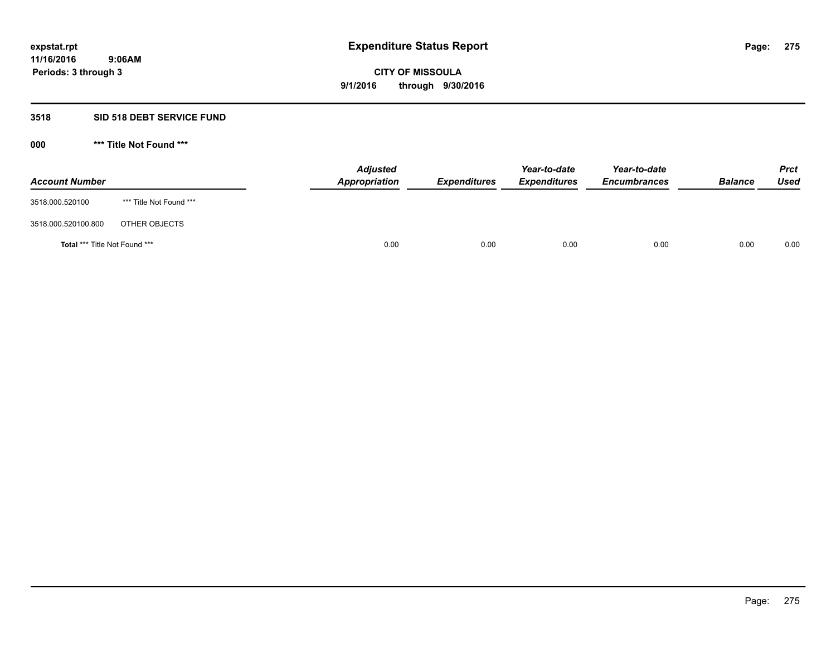### **3518 SID 518 DEBT SERVICE FUND**

| <b>Account Number</b>                |                         | <b>Adjusted</b><br><b>Appropriation</b> | <b>Expenditures</b> | Year-to-date<br><b>Expenditures</b> | Year-to-date<br><b>Encumbrances</b> | <b>Balance</b> | <b>Prct</b><br><b>Used</b> |
|--------------------------------------|-------------------------|-----------------------------------------|---------------------|-------------------------------------|-------------------------------------|----------------|----------------------------|
| 3518.000.520100                      | *** Title Not Found *** |                                         |                     |                                     |                                     |                |                            |
| 3518.000.520100.800                  | OTHER OBJECTS           |                                         |                     |                                     |                                     |                |                            |
| <b>Total *** Title Not Found ***</b> |                         | 0.00                                    | 0.00                | 0.00                                | 0.00                                | 0.00           | 0.00                       |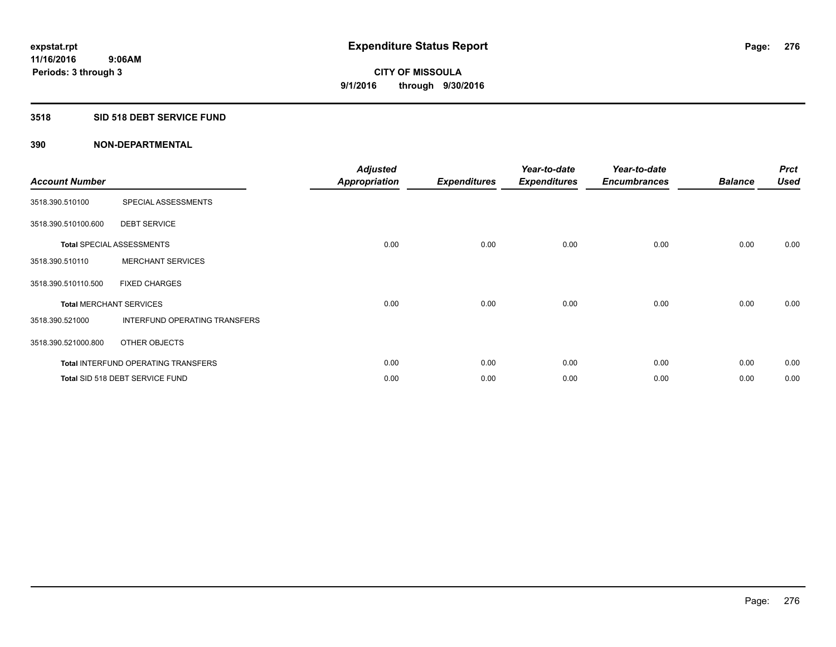## **3518 SID 518 DEBT SERVICE FUND**

| <b>Account Number</b> |                                            | <b>Adjusted</b><br><b>Appropriation</b> | <b>Expenditures</b> | Year-to-date<br><b>Expenditures</b> | Year-to-date<br><b>Encumbrances</b> | <b>Balance</b> | <b>Prct</b><br><b>Used</b> |
|-----------------------|--------------------------------------------|-----------------------------------------|---------------------|-------------------------------------|-------------------------------------|----------------|----------------------------|
| 3518.390.510100       | SPECIAL ASSESSMENTS                        |                                         |                     |                                     |                                     |                |                            |
| 3518.390.510100.600   | <b>DEBT SERVICE</b>                        |                                         |                     |                                     |                                     |                |                            |
|                       | <b>Total SPECIAL ASSESSMENTS</b>           | 0.00                                    | 0.00                | 0.00                                | 0.00                                | 0.00           | 0.00                       |
| 3518.390.510110       | <b>MERCHANT SERVICES</b>                   |                                         |                     |                                     |                                     |                |                            |
| 3518.390.510110.500   | <b>FIXED CHARGES</b>                       |                                         |                     |                                     |                                     |                |                            |
|                       | <b>Total MERCHANT SERVICES</b>             | 0.00                                    | 0.00                | 0.00                                | 0.00                                | 0.00           | 0.00                       |
| 3518.390.521000       | INTERFUND OPERATING TRANSFERS              |                                         |                     |                                     |                                     |                |                            |
| 3518.390.521000.800   | OTHER OBJECTS                              |                                         |                     |                                     |                                     |                |                            |
|                       | <b>Total INTERFUND OPERATING TRANSFERS</b> | 0.00                                    | 0.00                | 0.00                                | 0.00                                | 0.00           | 0.00                       |
|                       | Total SID 518 DEBT SERVICE FUND            | 0.00                                    | 0.00                | 0.00                                | 0.00                                | 0.00           | 0.00                       |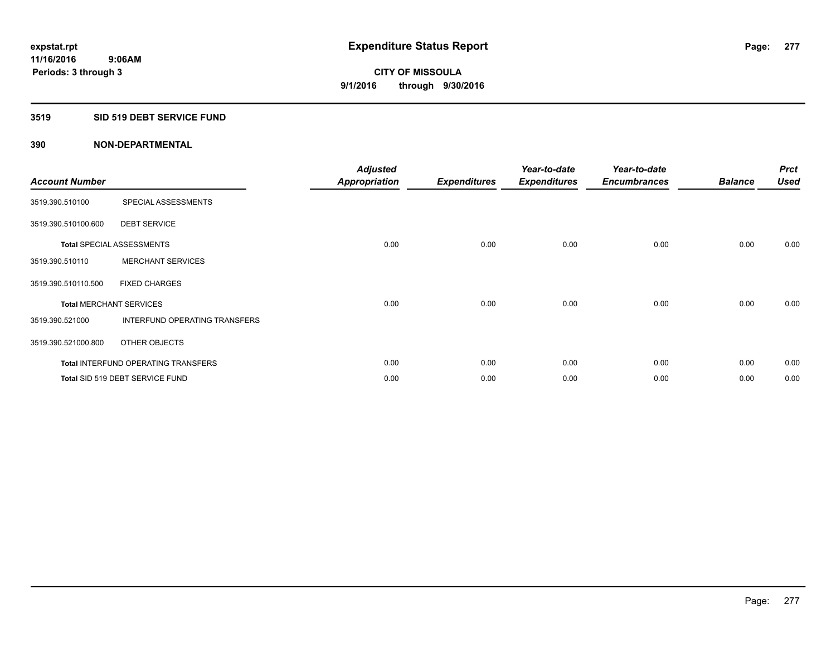### **3519 SID 519 DEBT SERVICE FUND**

| <b>Account Number</b> |                                            | <b>Adjusted</b><br><b>Appropriation</b> | <b>Expenditures</b> | Year-to-date<br><b>Expenditures</b> | Year-to-date<br><b>Encumbrances</b> | <b>Balance</b> | <b>Prct</b><br><b>Used</b> |
|-----------------------|--------------------------------------------|-----------------------------------------|---------------------|-------------------------------------|-------------------------------------|----------------|----------------------------|
| 3519.390.510100       | SPECIAL ASSESSMENTS                        |                                         |                     |                                     |                                     |                |                            |
| 3519.390.510100.600   | <b>DEBT SERVICE</b>                        |                                         |                     |                                     |                                     |                |                            |
|                       | <b>Total SPECIAL ASSESSMENTS</b>           | 0.00                                    | 0.00                | 0.00                                | 0.00                                | 0.00           | 0.00                       |
| 3519.390.510110       | <b>MERCHANT SERVICES</b>                   |                                         |                     |                                     |                                     |                |                            |
| 3519.390.510110.500   | <b>FIXED CHARGES</b>                       |                                         |                     |                                     |                                     |                |                            |
|                       | <b>Total MERCHANT SERVICES</b>             | 0.00                                    | 0.00                | 0.00                                | 0.00                                | 0.00           | 0.00                       |
| 3519.390.521000       | INTERFUND OPERATING TRANSFERS              |                                         |                     |                                     |                                     |                |                            |
| 3519.390.521000.800   | OTHER OBJECTS                              |                                         |                     |                                     |                                     |                |                            |
|                       | <b>Total INTERFUND OPERATING TRANSFERS</b> | 0.00                                    | 0.00                | 0.00                                | 0.00                                | 0.00           | 0.00                       |
|                       | Total SID 519 DEBT SERVICE FUND            | 0.00                                    | 0.00                | 0.00                                | 0.00                                | 0.00           | 0.00                       |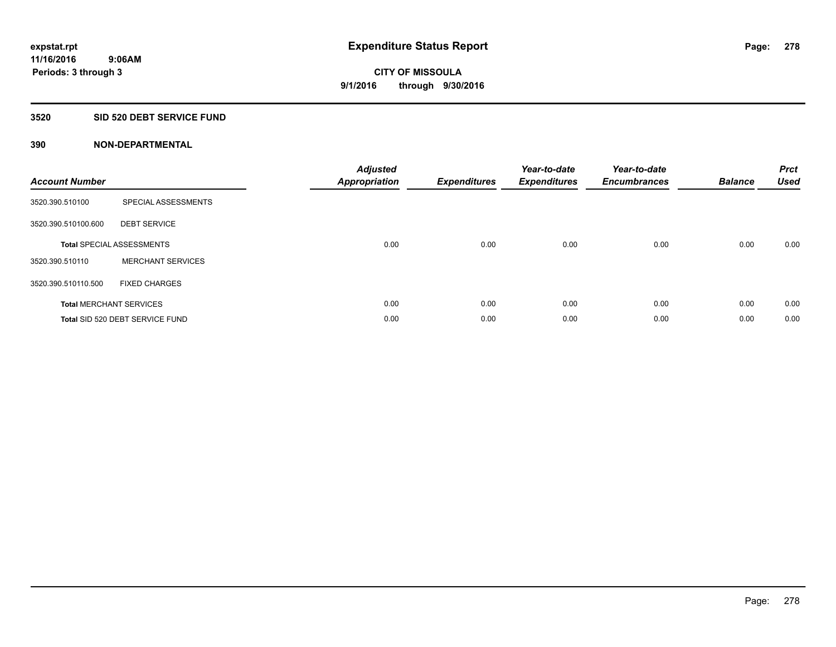### **3520 SID 520 DEBT SERVICE FUND**

| <b>Account Number</b> |                                  | <b>Adjusted</b><br>Appropriation | <b>Expenditures</b> | Year-to-date<br><b>Expenditures</b> | Year-to-date<br><b>Encumbrances</b> | <b>Balance</b> | <b>Prct</b><br><b>Used</b> |
|-----------------------|----------------------------------|----------------------------------|---------------------|-------------------------------------|-------------------------------------|----------------|----------------------------|
| 3520.390.510100       | SPECIAL ASSESSMENTS              |                                  |                     |                                     |                                     |                |                            |
| 3520.390.510100.600   | <b>DEBT SERVICE</b>              |                                  |                     |                                     |                                     |                |                            |
|                       | <b>Total SPECIAL ASSESSMENTS</b> | 0.00                             | 0.00                | 0.00                                | 0.00                                | 0.00           | 0.00                       |
| 3520.390.510110       | <b>MERCHANT SERVICES</b>         |                                  |                     |                                     |                                     |                |                            |
| 3520.390.510110.500   | <b>FIXED CHARGES</b>             |                                  |                     |                                     |                                     |                |                            |
|                       | <b>Total MERCHANT SERVICES</b>   | 0.00                             | 0.00                | 0.00                                | 0.00                                | 0.00           | 0.00                       |
|                       | Total SID 520 DEBT SERVICE FUND  | 0.00                             | 0.00                | 0.00                                | 0.00                                | 0.00           | 0.00                       |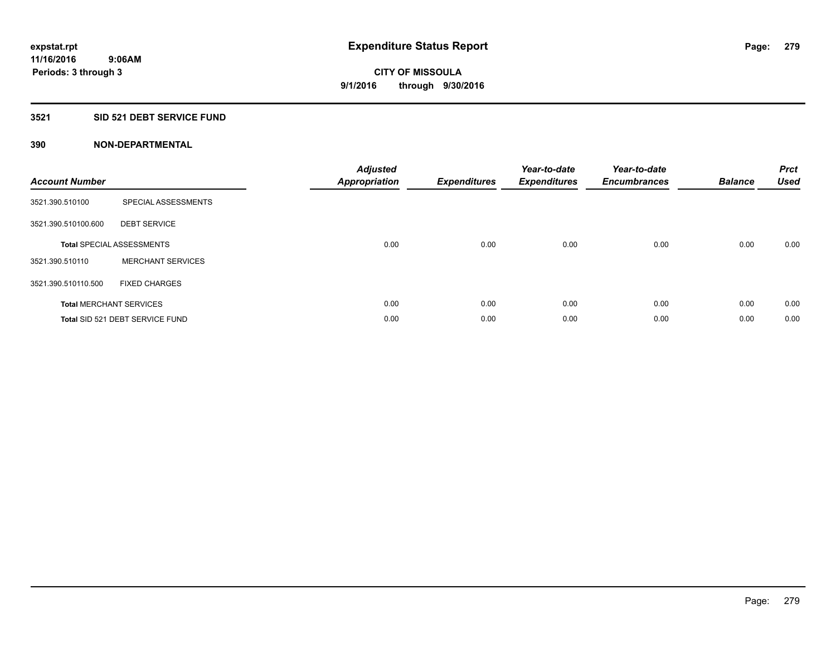## **3521 SID 521 DEBT SERVICE FUND**

| <b>Account Number</b> |                                  | <b>Adjusted</b><br>Appropriation | <b>Expenditures</b> | Year-to-date<br><b>Expenditures</b> | Year-to-date<br><b>Encumbrances</b> | <b>Balance</b> | <b>Prct</b><br><b>Used</b> |
|-----------------------|----------------------------------|----------------------------------|---------------------|-------------------------------------|-------------------------------------|----------------|----------------------------|
| 3521.390.510100       | SPECIAL ASSESSMENTS              |                                  |                     |                                     |                                     |                |                            |
| 3521.390.510100.600   | <b>DEBT SERVICE</b>              |                                  |                     |                                     |                                     |                |                            |
|                       | <b>Total SPECIAL ASSESSMENTS</b> | 0.00                             | 0.00                | 0.00                                | 0.00                                | 0.00           | 0.00                       |
| 3521.390.510110       | <b>MERCHANT SERVICES</b>         |                                  |                     |                                     |                                     |                |                            |
| 3521.390.510110.500   | <b>FIXED CHARGES</b>             |                                  |                     |                                     |                                     |                |                            |
|                       | <b>Total MERCHANT SERVICES</b>   | 0.00                             | 0.00                | 0.00                                | 0.00                                | 0.00           | 0.00                       |
|                       | Total SID 521 DEBT SERVICE FUND  | 0.00                             | 0.00                | 0.00                                | 0.00                                | 0.00           | 0.00                       |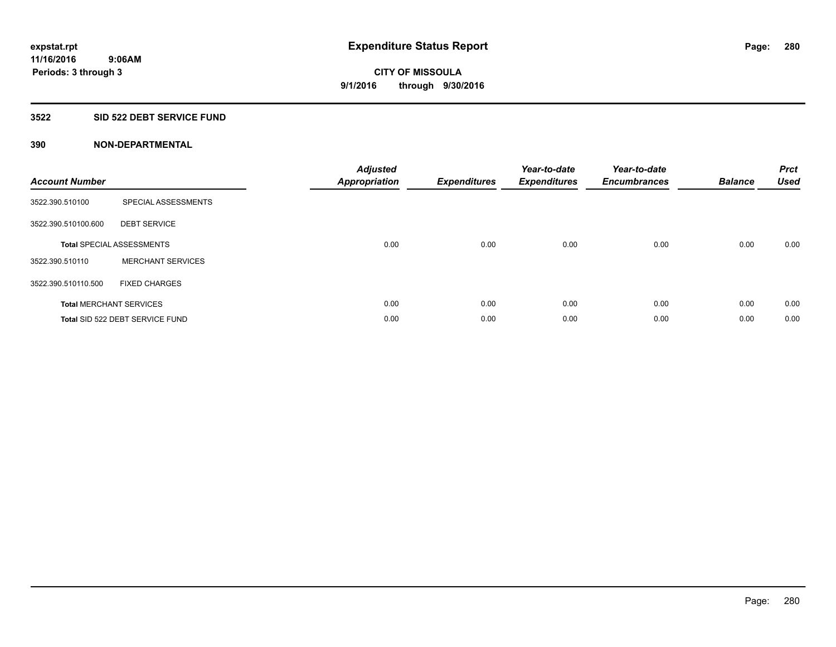### **3522 SID 522 DEBT SERVICE FUND**

| <b>Account Number</b> |                                  | <b>Adjusted</b><br>Appropriation | <b>Expenditures</b> | Year-to-date<br><b>Expenditures</b> | Year-to-date<br><b>Encumbrances</b> | <b>Balance</b> | <b>Prct</b><br><b>Used</b> |
|-----------------------|----------------------------------|----------------------------------|---------------------|-------------------------------------|-------------------------------------|----------------|----------------------------|
| 3522.390.510100       | SPECIAL ASSESSMENTS              |                                  |                     |                                     |                                     |                |                            |
| 3522.390.510100.600   | <b>DEBT SERVICE</b>              |                                  |                     |                                     |                                     |                |                            |
|                       | <b>Total SPECIAL ASSESSMENTS</b> | 0.00                             | 0.00                | 0.00                                | 0.00                                | 0.00           | 0.00                       |
| 3522.390.510110       | <b>MERCHANT SERVICES</b>         |                                  |                     |                                     |                                     |                |                            |
| 3522.390.510110.500   | <b>FIXED CHARGES</b>             |                                  |                     |                                     |                                     |                |                            |
|                       | <b>Total MERCHANT SERVICES</b>   | 0.00                             | 0.00                | 0.00                                | 0.00                                | 0.00           | 0.00                       |
|                       | Total SID 522 DEBT SERVICE FUND  | 0.00                             | 0.00                | 0.00                                | 0.00                                | 0.00           | 0.00                       |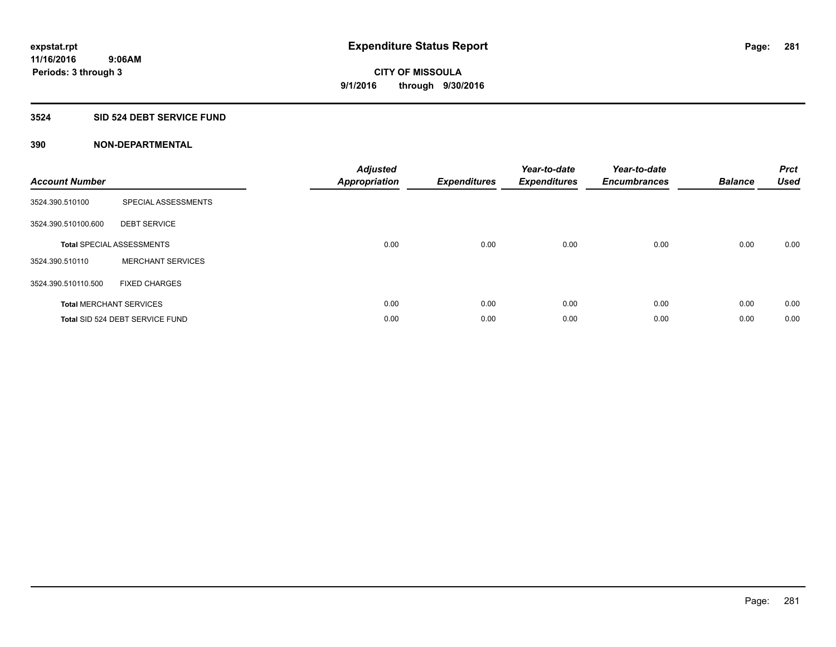## **3524 SID 524 DEBT SERVICE FUND**

| <b>Account Number</b> |                                  | <b>Adjusted</b><br><b>Appropriation</b> | <b>Expenditures</b> | Year-to-date<br><b>Expenditures</b> | Year-to-date<br><b>Encumbrances</b> | <b>Balance</b> | <b>Prct</b><br>Used |
|-----------------------|----------------------------------|-----------------------------------------|---------------------|-------------------------------------|-------------------------------------|----------------|---------------------|
| 3524.390.510100       | SPECIAL ASSESSMENTS              |                                         |                     |                                     |                                     |                |                     |
| 3524.390.510100.600   | <b>DEBT SERVICE</b>              |                                         |                     |                                     |                                     |                |                     |
|                       | <b>Total SPECIAL ASSESSMENTS</b> | 0.00                                    | 0.00                | 0.00                                | 0.00                                | 0.00           | 0.00                |
| 3524.390.510110       | <b>MERCHANT SERVICES</b>         |                                         |                     |                                     |                                     |                |                     |
| 3524.390.510110.500   | <b>FIXED CHARGES</b>             |                                         |                     |                                     |                                     |                |                     |
|                       | <b>Total MERCHANT SERVICES</b>   | 0.00                                    | 0.00                | 0.00                                | 0.00                                | 0.00           | 0.00                |
|                       | Total SID 524 DEBT SERVICE FUND  | 0.00                                    | 0.00                | 0.00                                | 0.00                                | 0.00           | 0.00                |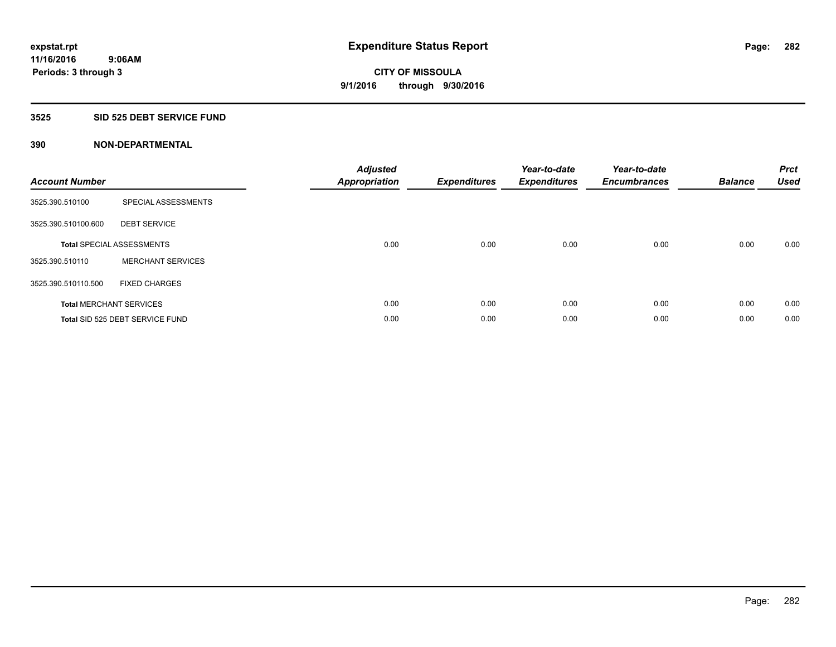## **3525 SID 525 DEBT SERVICE FUND**

| <b>Account Number</b> |                                  | <b>Adjusted</b><br>Appropriation | <b>Expenditures</b> | Year-to-date<br><b>Expenditures</b> | Year-to-date<br><b>Encumbrances</b> | <b>Balance</b> | <b>Prct</b><br><b>Used</b> |
|-----------------------|----------------------------------|----------------------------------|---------------------|-------------------------------------|-------------------------------------|----------------|----------------------------|
| 3525.390.510100       | SPECIAL ASSESSMENTS              |                                  |                     |                                     |                                     |                |                            |
| 3525.390.510100.600   | <b>DEBT SERVICE</b>              |                                  |                     |                                     |                                     |                |                            |
|                       | <b>Total SPECIAL ASSESSMENTS</b> | 0.00                             | 0.00                | 0.00                                | 0.00                                | 0.00           | 0.00                       |
| 3525.390.510110       | <b>MERCHANT SERVICES</b>         |                                  |                     |                                     |                                     |                |                            |
| 3525.390.510110.500   | <b>FIXED CHARGES</b>             |                                  |                     |                                     |                                     |                |                            |
|                       | <b>Total MERCHANT SERVICES</b>   | 0.00                             | 0.00                | 0.00                                | 0.00                                | 0.00           | 0.00                       |
|                       | Total SID 525 DEBT SERVICE FUND  | 0.00                             | 0.00                | 0.00                                | 0.00                                | 0.00           | 0.00                       |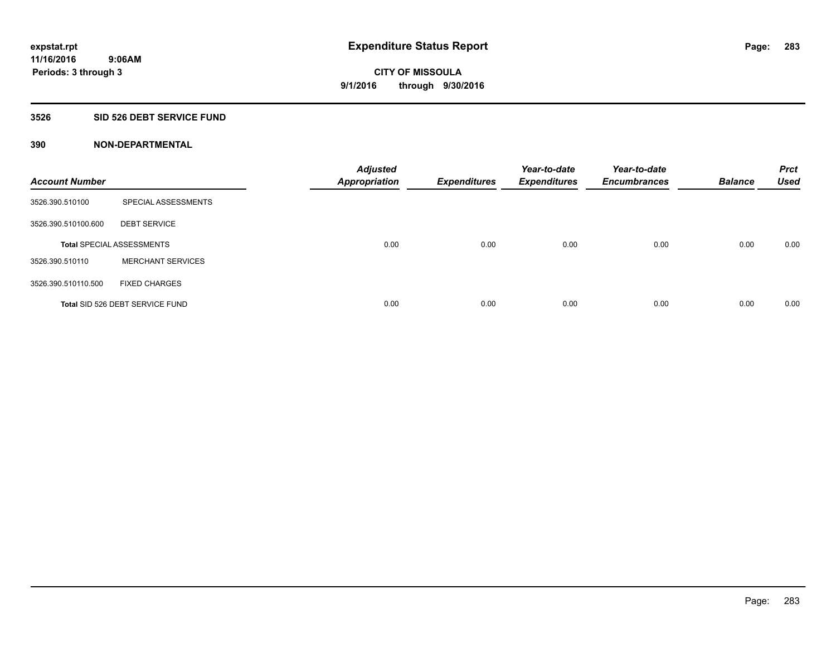## **3526 SID 526 DEBT SERVICE FUND**

| <b>Account Number</b> |                                  | <b>Adjusted</b><br><b>Appropriation</b> | <b>Expenditures</b> | Year-to-date<br><b>Expenditures</b> | Year-to-date<br><b>Encumbrances</b> | <b>Balance</b> | <b>Prct</b><br><b>Used</b> |
|-----------------------|----------------------------------|-----------------------------------------|---------------------|-------------------------------------|-------------------------------------|----------------|----------------------------|
| 3526.390.510100       | SPECIAL ASSESSMENTS              |                                         |                     |                                     |                                     |                |                            |
| 3526.390.510100.600   | <b>DEBT SERVICE</b>              |                                         |                     |                                     |                                     |                |                            |
|                       | <b>Total SPECIAL ASSESSMENTS</b> | 0.00                                    | 0.00                | 0.00                                | 0.00                                | 0.00           | 0.00                       |
| 3526.390.510110       | <b>MERCHANT SERVICES</b>         |                                         |                     |                                     |                                     |                |                            |
| 3526.390.510110.500   | <b>FIXED CHARGES</b>             |                                         |                     |                                     |                                     |                |                            |
|                       | Total SID 526 DEBT SERVICE FUND  | 0.00                                    | 0.00                | 0.00                                | 0.00                                | 0.00           | 0.00                       |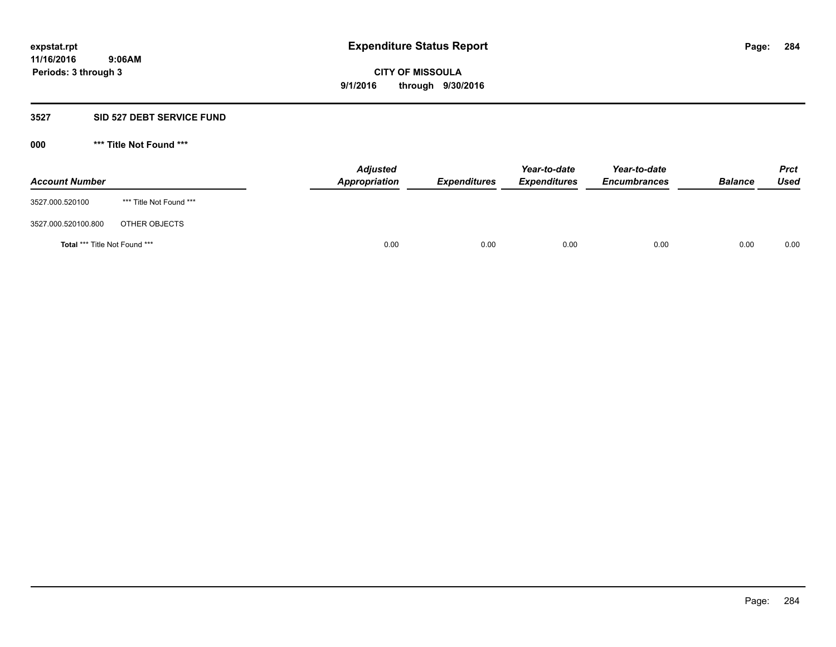### **3527 SID 527 DEBT SERVICE FUND**

| <b>Account Number</b>                |                         | <b>Adjusted</b><br>Appropriation | <b>Expenditures</b> | Year-to-date<br><b>Expenditures</b> | Year-to-date<br><b>Encumbrances</b> | <b>Balance</b> | <b>Prct</b><br>Used |
|--------------------------------------|-------------------------|----------------------------------|---------------------|-------------------------------------|-------------------------------------|----------------|---------------------|
| 3527.000.520100                      | *** Title Not Found *** |                                  |                     |                                     |                                     |                |                     |
| 3527.000.520100.800                  | OTHER OBJECTS           |                                  |                     |                                     |                                     |                |                     |
| <b>Total *** Title Not Found ***</b> |                         | 0.00                             | 0.00                | 0.00                                | 0.00                                | 0.00           | 0.00                |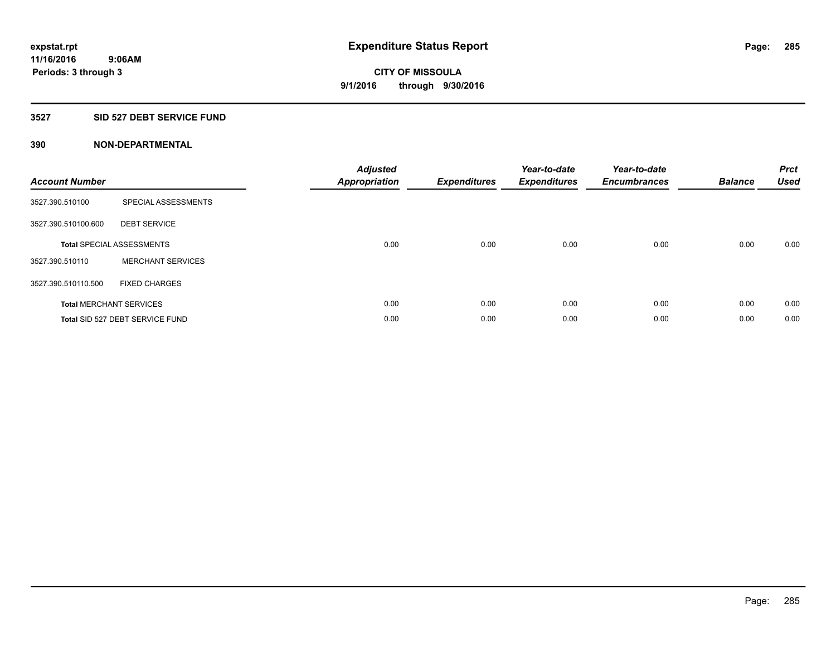### **3527 SID 527 DEBT SERVICE FUND**

| <b>Account Number</b> |                                  | <b>Adjusted</b><br>Appropriation | <b>Expenditures</b> | Year-to-date<br><b>Expenditures</b> | Year-to-date<br><b>Encumbrances</b> | <b>Balance</b> | <b>Prct</b><br><b>Used</b> |
|-----------------------|----------------------------------|----------------------------------|---------------------|-------------------------------------|-------------------------------------|----------------|----------------------------|
| 3527.390.510100       | SPECIAL ASSESSMENTS              |                                  |                     |                                     |                                     |                |                            |
| 3527.390.510100.600   | <b>DEBT SERVICE</b>              |                                  |                     |                                     |                                     |                |                            |
|                       | <b>Total SPECIAL ASSESSMENTS</b> | 0.00                             | 0.00                | 0.00                                | 0.00                                | 0.00           | 0.00                       |
| 3527.390.510110       | <b>MERCHANT SERVICES</b>         |                                  |                     |                                     |                                     |                |                            |
| 3527.390.510110.500   | <b>FIXED CHARGES</b>             |                                  |                     |                                     |                                     |                |                            |
|                       | <b>Total MERCHANT SERVICES</b>   | 0.00                             | 0.00                | 0.00                                | 0.00                                | 0.00           | 0.00                       |
|                       | Total SID 527 DEBT SERVICE FUND  | 0.00                             | 0.00                | 0.00                                | 0.00                                | 0.00           | 0.00                       |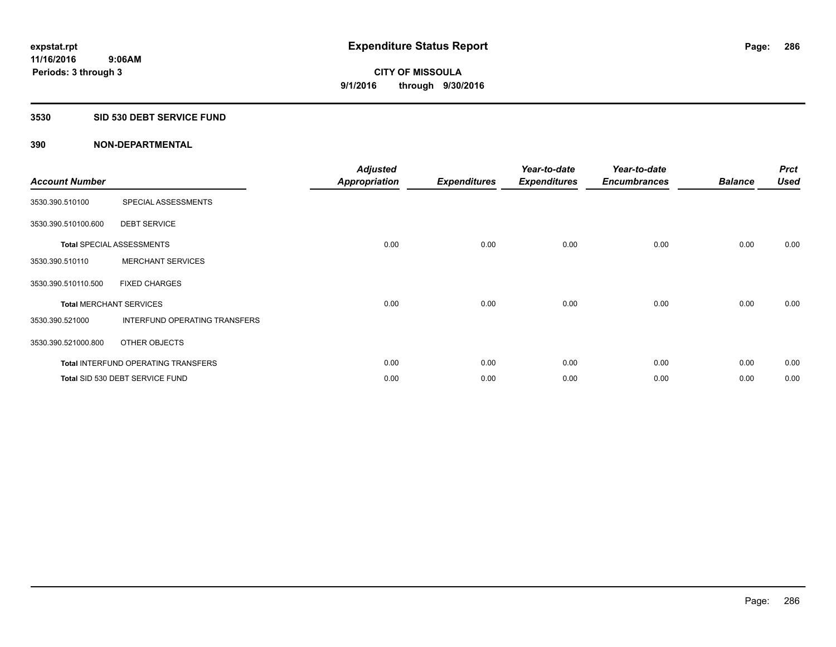## **3530 SID 530 DEBT SERVICE FUND**

| <b>Account Number</b> |                                            | <b>Adjusted</b><br><b>Appropriation</b> | <b>Expenditures</b> | Year-to-date<br><b>Expenditures</b> | Year-to-date<br><b>Encumbrances</b> | <b>Balance</b> | <b>Prct</b><br><b>Used</b> |
|-----------------------|--------------------------------------------|-----------------------------------------|---------------------|-------------------------------------|-------------------------------------|----------------|----------------------------|
| 3530.390.510100       | SPECIAL ASSESSMENTS                        |                                         |                     |                                     |                                     |                |                            |
| 3530.390.510100.600   | <b>DEBT SERVICE</b>                        |                                         |                     |                                     |                                     |                |                            |
|                       | <b>Total SPECIAL ASSESSMENTS</b>           | 0.00                                    | 0.00                | 0.00                                | 0.00                                | 0.00           | 0.00                       |
| 3530.390.510110       | <b>MERCHANT SERVICES</b>                   |                                         |                     |                                     |                                     |                |                            |
| 3530.390.510110.500   | <b>FIXED CHARGES</b>                       |                                         |                     |                                     |                                     |                |                            |
|                       | <b>Total MERCHANT SERVICES</b>             | 0.00                                    | 0.00                | 0.00                                | 0.00                                | 0.00           | 0.00                       |
| 3530.390.521000       | <b>INTERFUND OPERATING TRANSFERS</b>       |                                         |                     |                                     |                                     |                |                            |
| 3530.390.521000.800   | OTHER OBJECTS                              |                                         |                     |                                     |                                     |                |                            |
|                       | <b>Total INTERFUND OPERATING TRANSFERS</b> | 0.00                                    | 0.00                | 0.00                                | 0.00                                | 0.00           | 0.00                       |
|                       | Total SID 530 DEBT SERVICE FUND            | 0.00                                    | 0.00                | 0.00                                | 0.00                                | 0.00           | 0.00                       |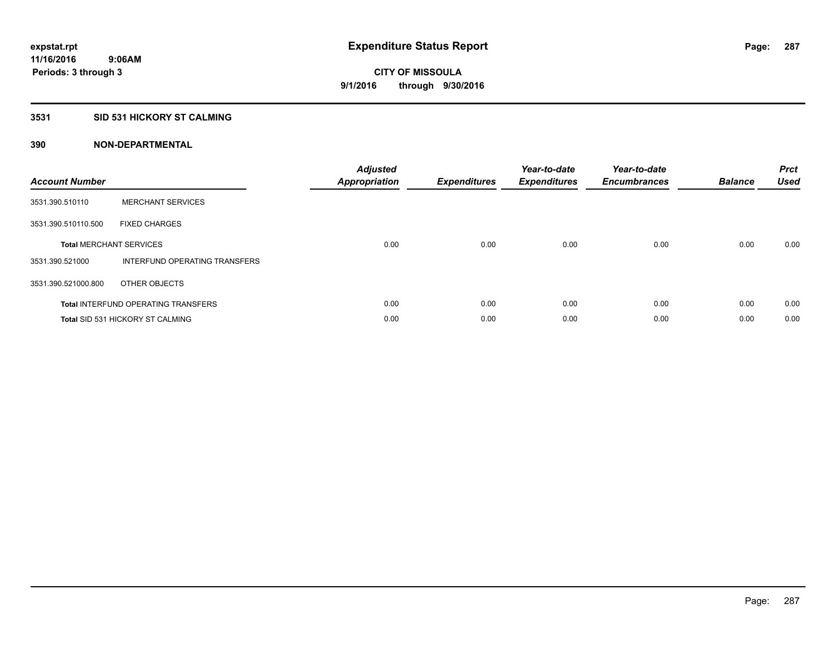## **3531 SID 531 HICKORY ST CALMING**

| <b>Account Number</b> |                                            | <b>Adjusted</b><br>Appropriation | <b>Expenditures</b> | Year-to-date<br><b>Expenditures</b> | Year-to-date<br><b>Encumbrances</b> | <b>Balance</b> | <b>Prct</b><br><b>Used</b> |
|-----------------------|--------------------------------------------|----------------------------------|---------------------|-------------------------------------|-------------------------------------|----------------|----------------------------|
| 3531.390.510110       | <b>MERCHANT SERVICES</b>                   |                                  |                     |                                     |                                     |                |                            |
| 3531.390.510110.500   | <b>FIXED CHARGES</b>                       |                                  |                     |                                     |                                     |                |                            |
|                       | <b>Total MERCHANT SERVICES</b>             | 0.00                             | 0.00                | 0.00                                | 0.00                                | 0.00           | 0.00                       |
| 3531.390.521000       | INTERFUND OPERATING TRANSFERS              |                                  |                     |                                     |                                     |                |                            |
| 3531.390.521000.800   | OTHER OBJECTS                              |                                  |                     |                                     |                                     |                |                            |
|                       | <b>Total INTERFUND OPERATING TRANSFERS</b> | 0.00                             | 0.00                | 0.00                                | 0.00                                | 0.00           | 0.00                       |
|                       | <b>Total SID 531 HICKORY ST CALMING</b>    | 0.00                             | 0.00                | 0.00                                | 0.00                                | 0.00           | 0.00                       |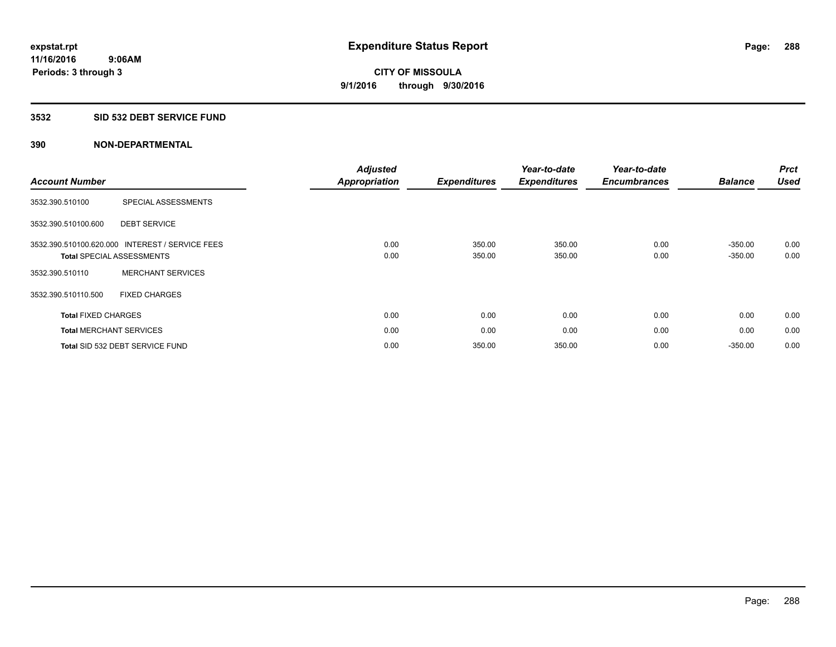### **3532 SID 532 DEBT SERVICE FUND**

| <b>Account Number</b>          |                                                                    | <b>Adjusted</b><br><b>Appropriation</b> | <b>Expenditures</b> | Year-to-date<br><b>Expenditures</b> | Year-to-date<br><b>Encumbrances</b> | <b>Balance</b>         | <b>Prct</b><br><b>Used</b> |
|--------------------------------|--------------------------------------------------------------------|-----------------------------------------|---------------------|-------------------------------------|-------------------------------------|------------------------|----------------------------|
| 3532.390.510100                | SPECIAL ASSESSMENTS                                                |                                         |                     |                                     |                                     |                        |                            |
| 3532.390.510100.600            | <b>DEBT SERVICE</b>                                                |                                         |                     |                                     |                                     |                        |                            |
| 3532.390.510100.620.000        | <b>INTEREST / SERVICE FEES</b><br><b>Total SPECIAL ASSESSMENTS</b> | 0.00<br>0.00                            | 350.00<br>350.00    | 350.00<br>350.00                    | 0.00<br>0.00                        | $-350.00$<br>$-350.00$ | 0.00<br>0.00               |
| 3532.390.510110                | <b>MERCHANT SERVICES</b>                                           |                                         |                     |                                     |                                     |                        |                            |
| 3532.390.510110.500            | <b>FIXED CHARGES</b>                                               |                                         |                     |                                     |                                     |                        |                            |
| <b>Total FIXED CHARGES</b>     |                                                                    | 0.00                                    | 0.00                | 0.00                                | 0.00                                | 0.00                   | 0.00                       |
| <b>Total MERCHANT SERVICES</b> |                                                                    | 0.00                                    | 0.00                | 0.00                                | 0.00                                | 0.00                   | 0.00                       |
|                                | Total SID 532 DEBT SERVICE FUND                                    | 0.00                                    | 350.00              | 350.00                              | 0.00                                | $-350.00$              | 0.00                       |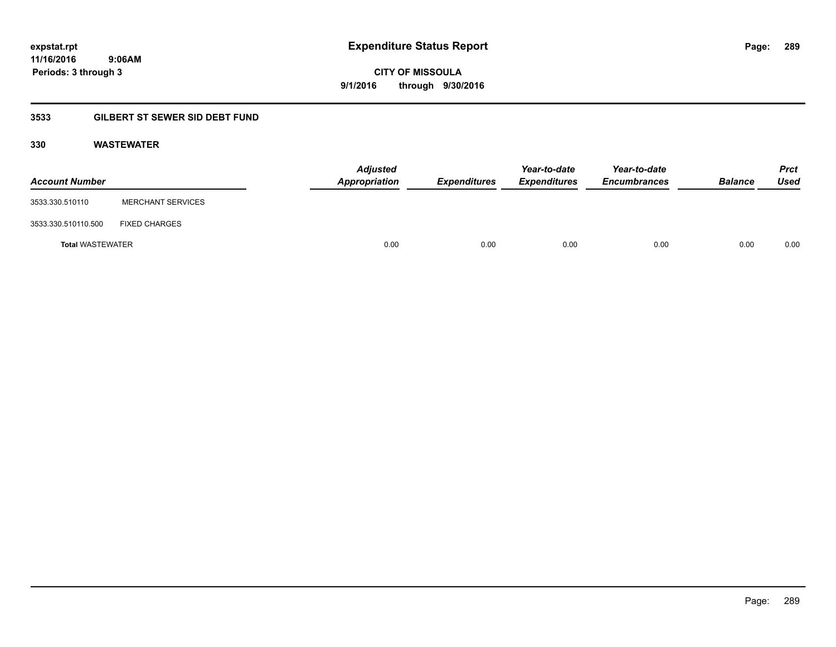**289**

**11/16/2016 9:06AM Periods: 3 through 3**

# **CITY OF MISSOULA 9/1/2016 through 9/30/2016**

## **3533 GILBERT ST SEWER SID DEBT FUND**

#### **330 WASTEWATER**

| <b>Account Number</b>   |                          | <b>Adjusted</b><br>Appropriation | <b>Expenditures</b> | Year-to-date<br><b>Expenditures</b> | Year-to-date<br><b>Encumbrances</b> | <b>Balance</b> | <b>Prct</b><br>Used |
|-------------------------|--------------------------|----------------------------------|---------------------|-------------------------------------|-------------------------------------|----------------|---------------------|
| 3533.330.510110         | <b>MERCHANT SERVICES</b> |                                  |                     |                                     |                                     |                |                     |
| 3533.330.510110.500     | <b>FIXED CHARGES</b>     |                                  |                     |                                     |                                     |                |                     |
| <b>Total WASTEWATER</b> |                          | 0.00                             | 0.00                | 0.00                                | 0.00                                | 0.00           | 0.00                |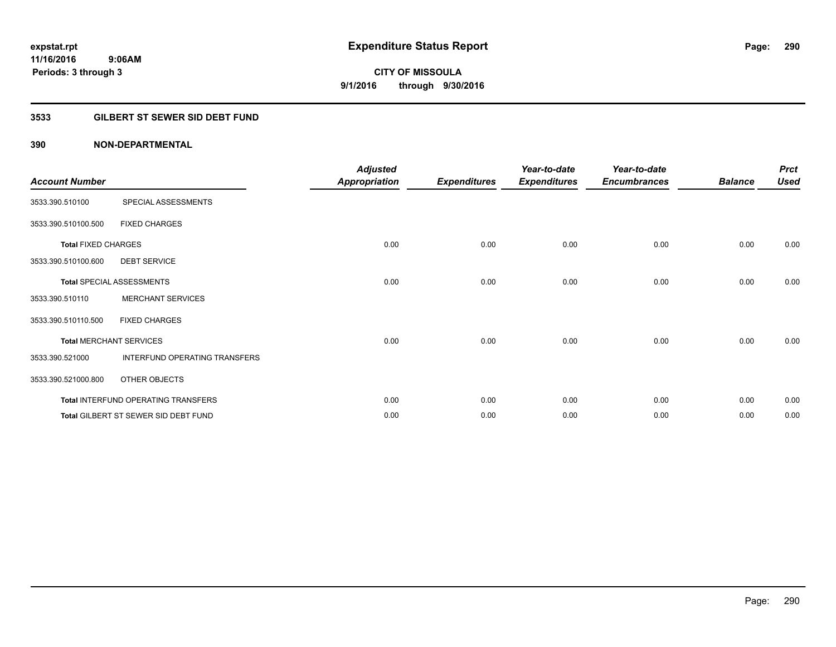#### **3533 GILBERT ST SEWER SID DEBT FUND**

| <b>Account Number</b>      |                                      | <b>Adjusted</b><br><b>Appropriation</b> | <b>Expenditures</b> | Year-to-date<br><b>Expenditures</b> | Year-to-date<br><b>Encumbrances</b> | <b>Balance</b> | <b>Prct</b><br><b>Used</b> |
|----------------------------|--------------------------------------|-----------------------------------------|---------------------|-------------------------------------|-------------------------------------|----------------|----------------------------|
| 3533.390.510100            | SPECIAL ASSESSMENTS                  |                                         |                     |                                     |                                     |                |                            |
| 3533.390.510100.500        | <b>FIXED CHARGES</b>                 |                                         |                     |                                     |                                     |                |                            |
| <b>Total FIXED CHARGES</b> |                                      | 0.00                                    | 0.00                | 0.00                                | 0.00                                | 0.00           | 0.00                       |
| 3533.390.510100.600        | <b>DEBT SERVICE</b>                  |                                         |                     |                                     |                                     |                |                            |
|                            | Total SPECIAL ASSESSMENTS            | 0.00                                    | 0.00                | 0.00                                | 0.00                                | 0.00           | 0.00                       |
| 3533.390.510110            | <b>MERCHANT SERVICES</b>             |                                         |                     |                                     |                                     |                |                            |
| 3533.390.510110.500        | <b>FIXED CHARGES</b>                 |                                         |                     |                                     |                                     |                |                            |
|                            | <b>Total MERCHANT SERVICES</b>       | 0.00                                    | 0.00                | 0.00                                | 0.00                                | 0.00           | 0.00                       |
| 3533.390.521000            | INTERFUND OPERATING TRANSFERS        |                                         |                     |                                     |                                     |                |                            |
| 3533.390.521000.800        | OTHER OBJECTS                        |                                         |                     |                                     |                                     |                |                            |
|                            | Total INTERFUND OPERATING TRANSFERS  | 0.00                                    | 0.00                | 0.00                                | 0.00                                | 0.00           | 0.00                       |
|                            | Total GILBERT ST SEWER SID DEBT FUND | 0.00                                    | 0.00                | 0.00                                | 0.00                                | 0.00           | 0.00                       |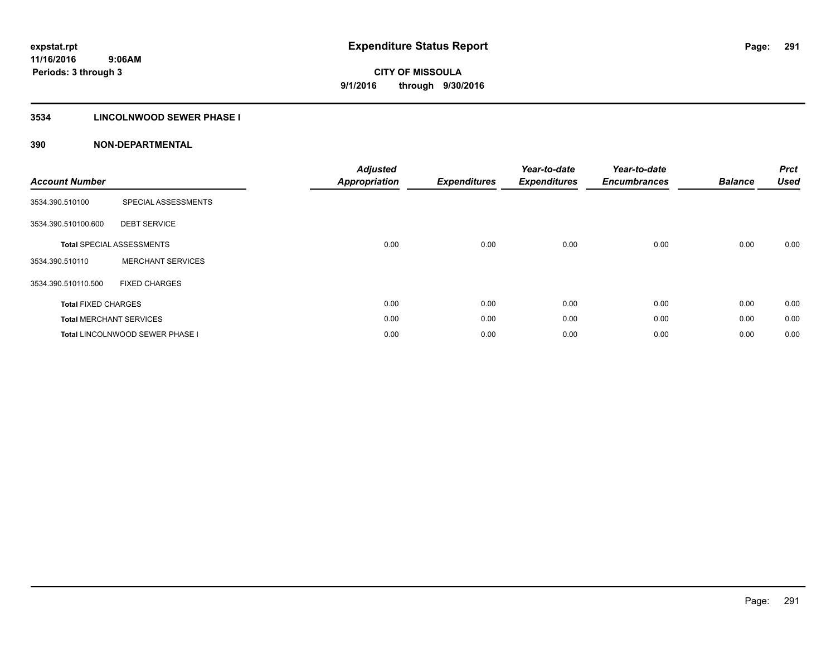#### **3534 LINCOLNWOOD SEWER PHASE I**

| <b>Account Number</b>      |                                  | <b>Adjusted</b><br><b>Appropriation</b> | <b>Expenditures</b> | Year-to-date<br><b>Expenditures</b> | Year-to-date<br><b>Encumbrances</b> | <b>Balance</b> | <b>Prct</b><br>Used |
|----------------------------|----------------------------------|-----------------------------------------|---------------------|-------------------------------------|-------------------------------------|----------------|---------------------|
| 3534.390.510100            | SPECIAL ASSESSMENTS              |                                         |                     |                                     |                                     |                |                     |
| 3534.390.510100.600        | <b>DEBT SERVICE</b>              |                                         |                     |                                     |                                     |                |                     |
|                            | <b>Total SPECIAL ASSESSMENTS</b> | 0.00                                    | 0.00                | 0.00                                | 0.00                                | 0.00           | 0.00                |
| 3534.390.510110            | <b>MERCHANT SERVICES</b>         |                                         |                     |                                     |                                     |                |                     |
| 3534.390.510110.500        | <b>FIXED CHARGES</b>             |                                         |                     |                                     |                                     |                |                     |
| <b>Total FIXED CHARGES</b> |                                  | 0.00                                    | 0.00                | 0.00                                | 0.00                                | 0.00           | 0.00                |
|                            | <b>Total MERCHANT SERVICES</b>   | 0.00                                    | 0.00                | 0.00                                | 0.00                                | 0.00           | 0.00                |
|                            | Total LINCOLNWOOD SEWER PHASE I  | 0.00                                    | 0.00                | 0.00                                | 0.00                                | 0.00           | 0.00                |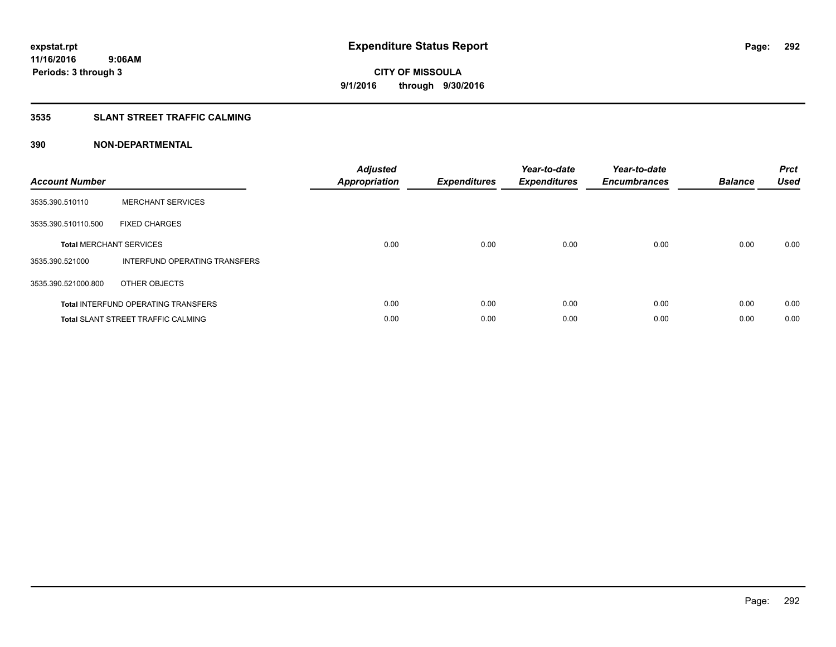#### **3535 SLANT STREET TRAFFIC CALMING**

| <b>Account Number</b> |                                            | <b>Adjusted</b><br>Appropriation | <b>Expenditures</b> | Year-to-date<br><b>Expenditures</b> | Year-to-date<br><b>Encumbrances</b> | <b>Balance</b> | <b>Prct</b><br>Used |
|-----------------------|--------------------------------------------|----------------------------------|---------------------|-------------------------------------|-------------------------------------|----------------|---------------------|
| 3535.390.510110       | <b>MERCHANT SERVICES</b>                   |                                  |                     |                                     |                                     |                |                     |
| 3535.390.510110.500   | <b>FIXED CHARGES</b>                       |                                  |                     |                                     |                                     |                |                     |
|                       | <b>Total MERCHANT SERVICES</b>             | 0.00                             | 0.00                | 0.00                                | 0.00                                | 0.00           | 0.00                |
| 3535.390.521000       | INTERFUND OPERATING TRANSFERS              |                                  |                     |                                     |                                     |                |                     |
| 3535.390.521000.800   | OTHER OBJECTS                              |                                  |                     |                                     |                                     |                |                     |
|                       | <b>Total INTERFUND OPERATING TRANSFERS</b> | 0.00                             | 0.00                | 0.00                                | 0.00                                | 0.00           | 0.00                |
|                       | <b>Total SLANT STREET TRAFFIC CALMING</b>  | 0.00                             | 0.00                | 0.00                                | 0.00                                | 0.00           | 0.00                |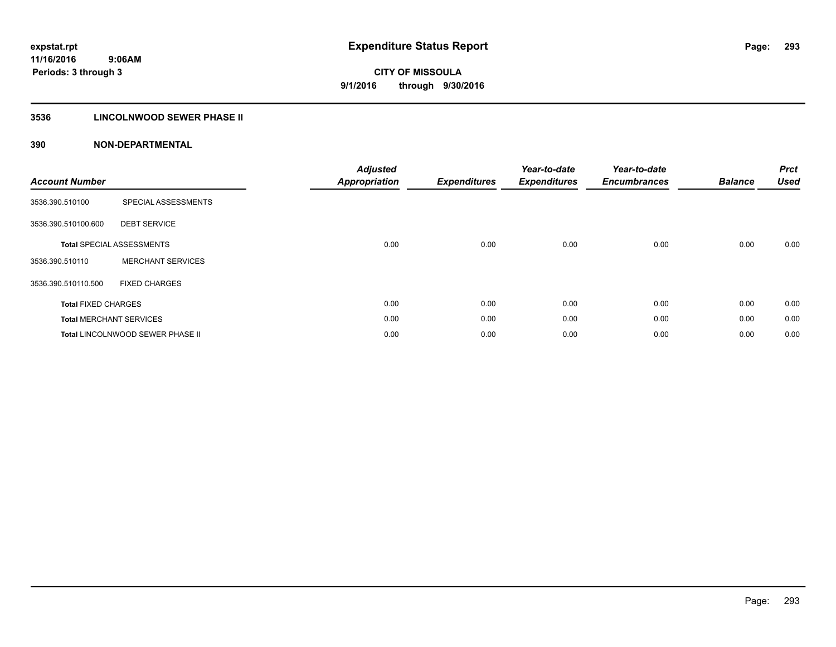## **3536 LINCOLNWOOD SEWER PHASE II**

| <b>Account Number</b>      |                                  | <b>Adjusted</b><br><b>Appropriation</b> | <b>Expenditures</b> | Year-to-date<br><b>Expenditures</b> | Year-to-date<br><b>Encumbrances</b> | <b>Balance</b> | <b>Prct</b><br><b>Used</b> |
|----------------------------|----------------------------------|-----------------------------------------|---------------------|-------------------------------------|-------------------------------------|----------------|----------------------------|
| 3536.390.510100            | SPECIAL ASSESSMENTS              |                                         |                     |                                     |                                     |                |                            |
| 3536.390.510100.600        | <b>DEBT SERVICE</b>              |                                         |                     |                                     |                                     |                |                            |
|                            | <b>Total SPECIAL ASSESSMENTS</b> | 0.00                                    | 0.00                | 0.00                                | 0.00                                | 0.00           | 0.00                       |
| 3536.390.510110            | <b>MERCHANT SERVICES</b>         |                                         |                     |                                     |                                     |                |                            |
| 3536.390.510110.500        | <b>FIXED CHARGES</b>             |                                         |                     |                                     |                                     |                |                            |
| <b>Total FIXED CHARGES</b> |                                  | 0.00                                    | 0.00                | 0.00                                | 0.00                                | 0.00           | 0.00                       |
|                            | <b>Total MERCHANT SERVICES</b>   | 0.00                                    | 0.00                | 0.00                                | 0.00                                | 0.00           | 0.00                       |
|                            | Total LINCOLNWOOD SEWER PHASE II | 0.00                                    | 0.00                | 0.00                                | 0.00                                | 0.00           | 0.00                       |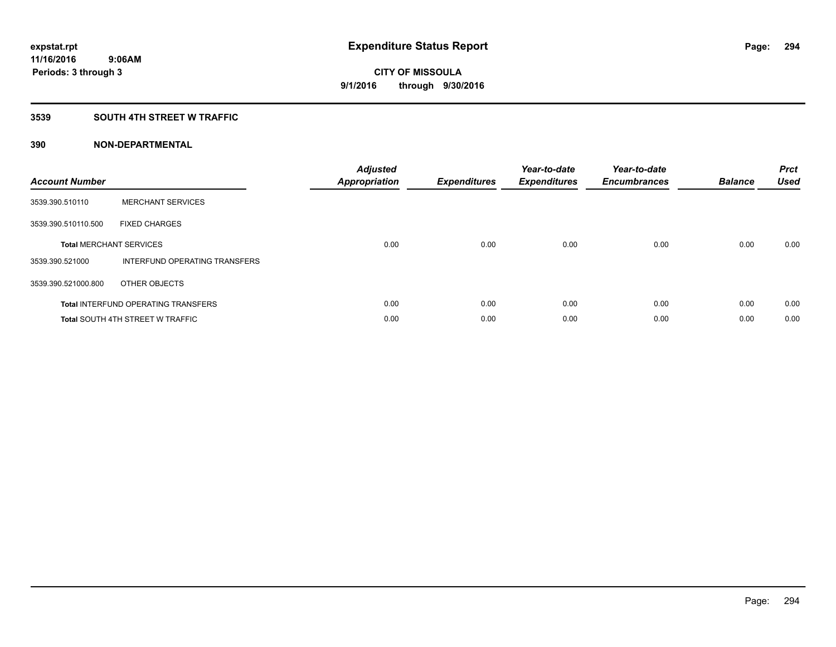#### **3539 SOUTH 4TH STREET W TRAFFIC**

| <b>Account Number</b> |                                            | <b>Adjusted</b><br>Appropriation | <b>Expenditures</b> | Year-to-date<br><b>Expenditures</b> | Year-to-date<br><b>Encumbrances</b> | <b>Balance</b> | <b>Prct</b><br>Used |
|-----------------------|--------------------------------------------|----------------------------------|---------------------|-------------------------------------|-------------------------------------|----------------|---------------------|
| 3539.390.510110       | <b>MERCHANT SERVICES</b>                   |                                  |                     |                                     |                                     |                |                     |
| 3539.390.510110.500   | <b>FIXED CHARGES</b>                       |                                  |                     |                                     |                                     |                |                     |
|                       | <b>Total MERCHANT SERVICES</b>             | 0.00                             | 0.00                | 0.00                                | 0.00                                | 0.00           | 0.00                |
| 3539.390.521000       | INTERFUND OPERATING TRANSFERS              |                                  |                     |                                     |                                     |                |                     |
| 3539.390.521000.800   | OTHER OBJECTS                              |                                  |                     |                                     |                                     |                |                     |
|                       | <b>Total INTERFUND OPERATING TRANSFERS</b> | 0.00                             | 0.00                | 0.00                                | 0.00                                | 0.00           | 0.00                |
|                       | <b>Total SOUTH 4TH STREET W TRAFFIC</b>    | 0.00                             | 0.00                | 0.00                                | 0.00                                | 0.00           | 0.00                |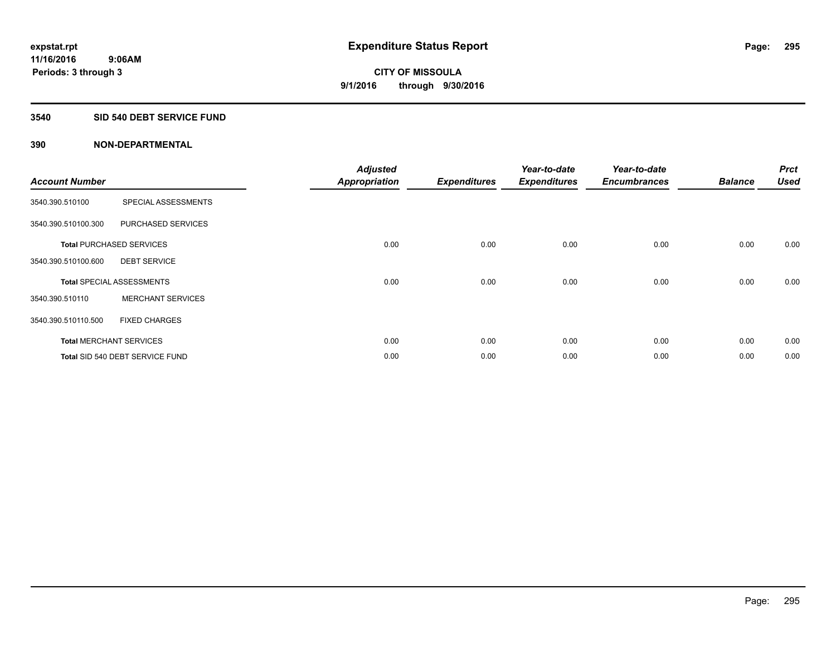#### **3540 SID 540 DEBT SERVICE FUND**

|                       |                                  | <b>Adjusted</b>      |                     | Year-to-date        | Year-to-date        |                | <b>Prct</b> |
|-----------------------|----------------------------------|----------------------|---------------------|---------------------|---------------------|----------------|-------------|
| <b>Account Number</b> |                                  | <b>Appropriation</b> | <b>Expenditures</b> | <b>Expenditures</b> | <b>Encumbrances</b> | <b>Balance</b> | Used        |
| 3540.390.510100       | SPECIAL ASSESSMENTS              |                      |                     |                     |                     |                |             |
| 3540.390.510100.300   | PURCHASED SERVICES               |                      |                     |                     |                     |                |             |
|                       | <b>Total PURCHASED SERVICES</b>  | 0.00                 | 0.00                | 0.00                | 0.00                | 0.00           | 0.00        |
| 3540.390.510100.600   | <b>DEBT SERVICE</b>              |                      |                     |                     |                     |                |             |
|                       | <b>Total SPECIAL ASSESSMENTS</b> | 0.00                 | 0.00                | 0.00                | 0.00                | 0.00           | 0.00        |
| 3540.390.510110       | <b>MERCHANT SERVICES</b>         |                      |                     |                     |                     |                |             |
| 3540.390.510110.500   | <b>FIXED CHARGES</b>             |                      |                     |                     |                     |                |             |
|                       | <b>Total MERCHANT SERVICES</b>   | 0.00                 | 0.00                | 0.00                | 0.00                | 0.00           | 0.00        |
|                       | Total SID 540 DEBT SERVICE FUND  | 0.00                 | 0.00                | 0.00                | 0.00                | 0.00           | 0.00        |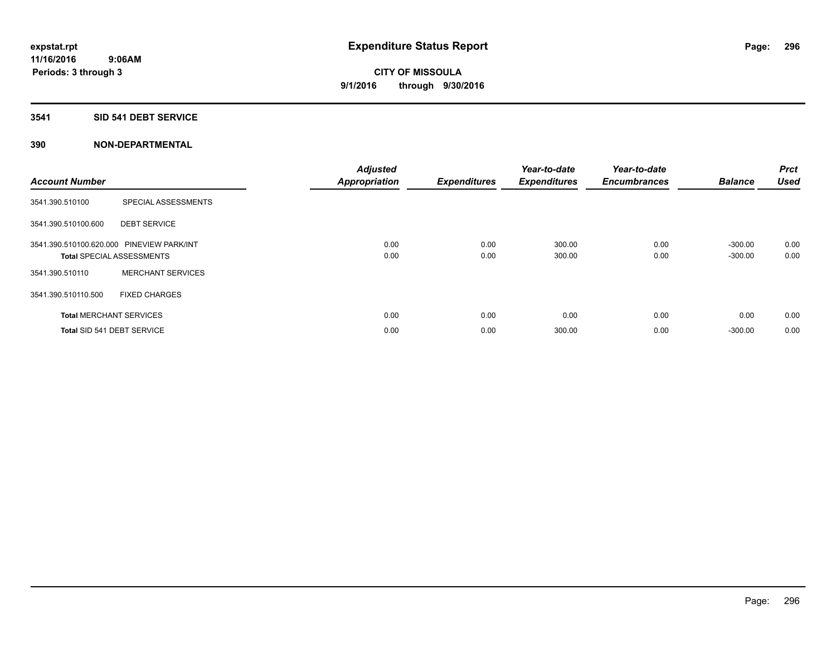#### **3541 SID 541 DEBT SERVICE**

| <b>Account Number</b> |                                           | <b>Adjusted</b><br><b>Appropriation</b> | <b>Expenditures</b> | Year-to-date<br><b>Expenditures</b> | Year-to-date<br><b>Encumbrances</b> | <b>Balance</b> | <b>Prct</b><br><b>Used</b> |
|-----------------------|-------------------------------------------|-----------------------------------------|---------------------|-------------------------------------|-------------------------------------|----------------|----------------------------|
| 3541.390.510100       | SPECIAL ASSESSMENTS                       |                                         |                     |                                     |                                     |                |                            |
| 3541.390.510100.600   | <b>DEBT SERVICE</b>                       |                                         |                     |                                     |                                     |                |                            |
|                       | 3541.390.510100.620.000 PINEVIEW PARK/INT | 0.00                                    | 0.00                | 300.00                              | 0.00                                | $-300.00$      | 0.00                       |
|                       | <b>Total SPECIAL ASSESSMENTS</b>          | 0.00                                    | 0.00                | 300.00                              | 0.00                                | $-300.00$      | 0.00                       |
| 3541.390.510110       | <b>MERCHANT SERVICES</b>                  |                                         |                     |                                     |                                     |                |                            |
| 3541.390.510110.500   | <b>FIXED CHARGES</b>                      |                                         |                     |                                     |                                     |                |                            |
|                       | <b>Total MERCHANT SERVICES</b>            | 0.00                                    | 0.00                | 0.00                                | 0.00                                | 0.00           | 0.00                       |
|                       | Total SID 541 DEBT SERVICE                | 0.00                                    | 0.00                | 300.00                              | 0.00                                | $-300.00$      | 0.00                       |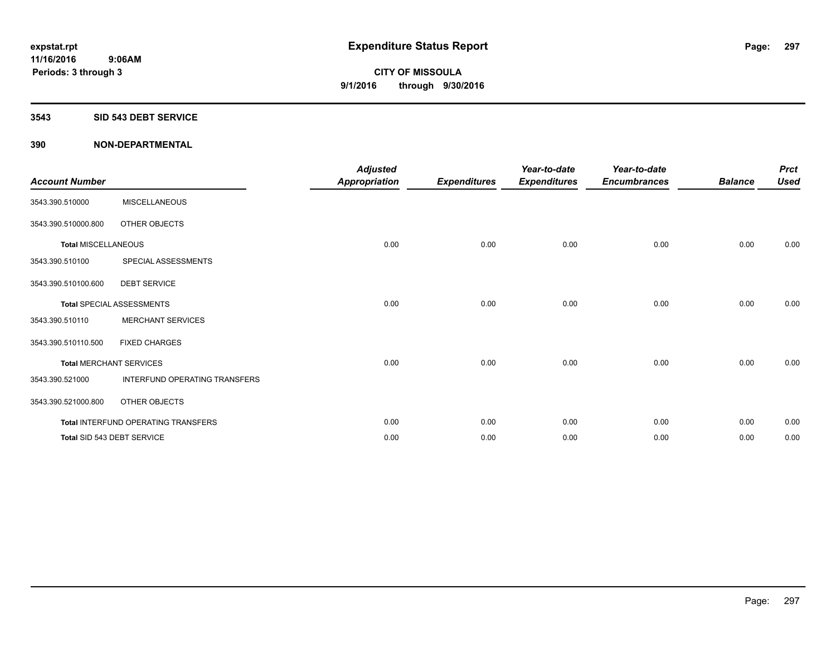#### **3543 SID 543 DEBT SERVICE**

| <b>Account Number</b>      |                                     | <b>Adjusted</b><br><b>Appropriation</b> | <b>Expenditures</b> | Year-to-date<br><b>Expenditures</b> | Year-to-date<br><b>Encumbrances</b> | <b>Balance</b> | <b>Prct</b><br><b>Used</b> |
|----------------------------|-------------------------------------|-----------------------------------------|---------------------|-------------------------------------|-------------------------------------|----------------|----------------------------|
| 3543.390.510000            | <b>MISCELLANEOUS</b>                |                                         |                     |                                     |                                     |                |                            |
| 3543.390.510000.800        | OTHER OBJECTS                       |                                         |                     |                                     |                                     |                |                            |
| <b>Total MISCELLANEOUS</b> |                                     | 0.00                                    | 0.00                | 0.00                                | 0.00                                | 0.00           | 0.00                       |
| 3543.390.510100            | SPECIAL ASSESSMENTS                 |                                         |                     |                                     |                                     |                |                            |
| 3543.390.510100.600        | <b>DEBT SERVICE</b>                 |                                         |                     |                                     |                                     |                |                            |
|                            | <b>Total SPECIAL ASSESSMENTS</b>    | 0.00                                    | 0.00                | 0.00                                | 0.00                                | 0.00           | 0.00                       |
| 3543.390.510110            | <b>MERCHANT SERVICES</b>            |                                         |                     |                                     |                                     |                |                            |
| 3543.390.510110.500        | <b>FIXED CHARGES</b>                |                                         |                     |                                     |                                     |                |                            |
|                            | <b>Total MERCHANT SERVICES</b>      | 0.00                                    | 0.00                | 0.00                                | 0.00                                | 0.00           | 0.00                       |
| 3543.390.521000            | INTERFUND OPERATING TRANSFERS       |                                         |                     |                                     |                                     |                |                            |
| 3543.390.521000.800        | OTHER OBJECTS                       |                                         |                     |                                     |                                     |                |                            |
|                            | Total INTERFUND OPERATING TRANSFERS | 0.00                                    | 0.00                | 0.00                                | 0.00                                | 0.00           | 0.00                       |
|                            | Total SID 543 DEBT SERVICE          | 0.00                                    | 0.00                | 0.00                                | 0.00                                | 0.00           | 0.00                       |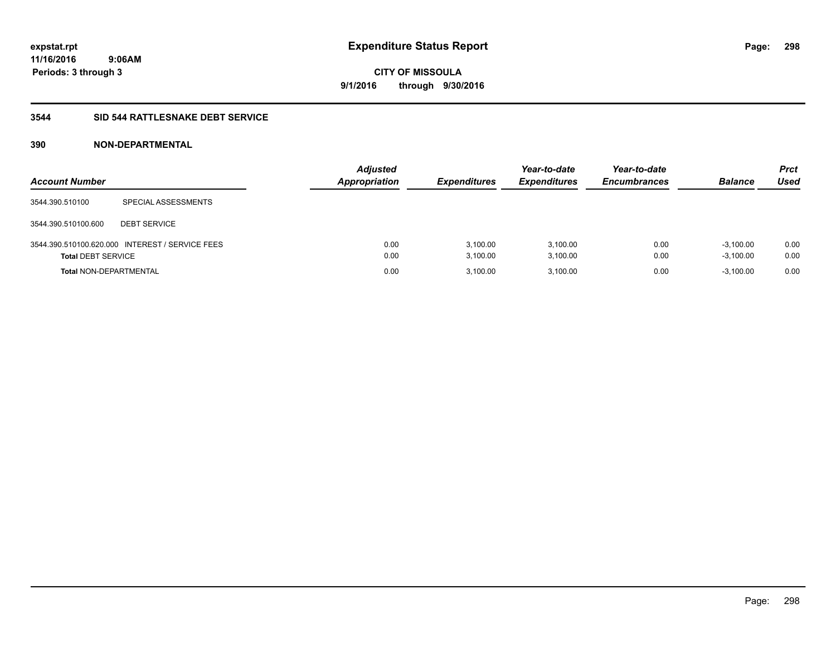#### **3544 SID 544 RATTLESNAKE DEBT SERVICE**

| <b>Account Number</b>         |                                                 | <b>Adjusted</b><br><b>Appropriation</b> | <b>Expenditures</b>  | Year-to-date<br><b>Expenditures</b> | Year-to-date<br><b>Encumbrances</b> | <b>Balance</b>             | <b>Prct</b><br>Used |
|-------------------------------|-------------------------------------------------|-----------------------------------------|----------------------|-------------------------------------|-------------------------------------|----------------------------|---------------------|
| 3544.390.510100               | SPECIAL ASSESSMENTS                             |                                         |                      |                                     |                                     |                            |                     |
| 3544.390.510100.600           | <b>DEBT SERVICE</b>                             |                                         |                      |                                     |                                     |                            |                     |
| <b>Total DEBT SERVICE</b>     | 3544.390.510100.620.000 INTEREST / SERVICE FEES | 0.00<br>0.00                            | 3.100.00<br>3,100.00 | 3.100.00<br>3,100.00                | 0.00<br>0.00                        | $-3.100.00$<br>$-3,100.00$ | 0.00<br>0.00        |
| <b>Total NON-DEPARTMENTAL</b> |                                                 | 0.00                                    | 3.100.00             | 3,100.00                            | 0.00                                | $-3,100.00$                | 0.00                |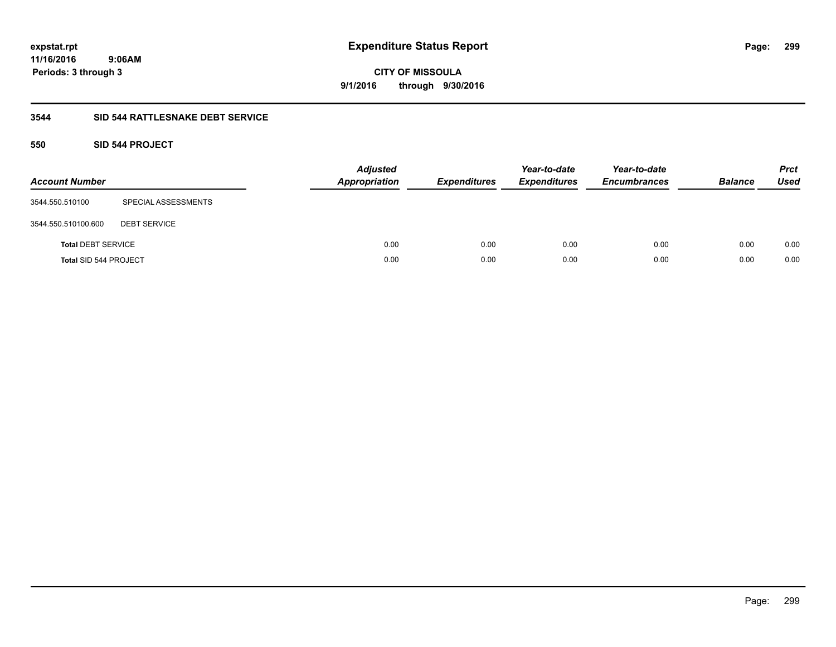**299**

**11/16/2016 9:06AM Periods: 3 through 3**

**CITY OF MISSOULA 9/1/2016 through 9/30/2016**

#### **3544 SID 544 RATTLESNAKE DEBT SERVICE**

#### **550 SID 544 PROJECT**

| <b>Account Number</b>     |                     | <b>Adjusted</b><br><b>Appropriation</b> | <b>Expenditures</b> | Year-to-date<br><b>Expenditures</b> | Year-to-date<br><b>Encumbrances</b> | <b>Balance</b> | <b>Prct</b><br>Used |
|---------------------------|---------------------|-----------------------------------------|---------------------|-------------------------------------|-------------------------------------|----------------|---------------------|
| 3544.550.510100           | SPECIAL ASSESSMENTS |                                         |                     |                                     |                                     |                |                     |
| 3544.550.510100.600       | <b>DEBT SERVICE</b> |                                         |                     |                                     |                                     |                |                     |
| <b>Total DEBT SERVICE</b> |                     | 0.00                                    | 0.00                | 0.00                                | 0.00                                | 0.00           | 0.00                |
| Total SID 544 PROJECT     |                     | 0.00                                    | 0.00                | 0.00                                | 0.00                                | 0.00           | 0.00                |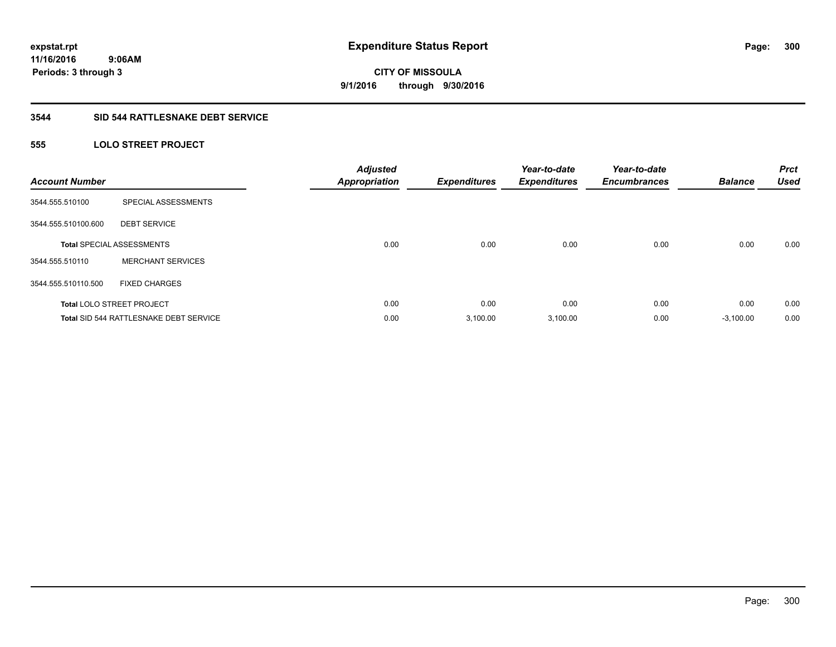#### **3544 SID 544 RATTLESNAKE DEBT SERVICE**

## **555 LOLO STREET PROJECT**

| <b>Account Number</b> |                                               | <b>Adjusted</b><br><b>Appropriation</b> | <b>Expenditures</b> | Year-to-date<br><b>Expenditures</b> | Year-to-date<br><b>Encumbrances</b> | <b>Balance</b> | <b>Prct</b><br><b>Used</b> |
|-----------------------|-----------------------------------------------|-----------------------------------------|---------------------|-------------------------------------|-------------------------------------|----------------|----------------------------|
| 3544.555.510100       | SPECIAL ASSESSMENTS                           |                                         |                     |                                     |                                     |                |                            |
| 3544.555.510100.600   | <b>DEBT SERVICE</b>                           |                                         |                     |                                     |                                     |                |                            |
|                       | <b>Total SPECIAL ASSESSMENTS</b>              | 0.00                                    | 0.00                | 0.00                                | 0.00                                | 0.00           | 0.00                       |
| 3544.555.510110       | <b>MERCHANT SERVICES</b>                      |                                         |                     |                                     |                                     |                |                            |
| 3544.555.510110.500   | <b>FIXED CHARGES</b>                          |                                         |                     |                                     |                                     |                |                            |
|                       | <b>Total LOLO STREET PROJECT</b>              | 0.00                                    | 0.00                | 0.00                                | 0.00                                | 0.00           | 0.00                       |
|                       | <b>Total SID 544 RATTLESNAKE DEBT SERVICE</b> | 0.00                                    | 3.100.00            | 3,100.00                            | 0.00                                | $-3.100.00$    | 0.00                       |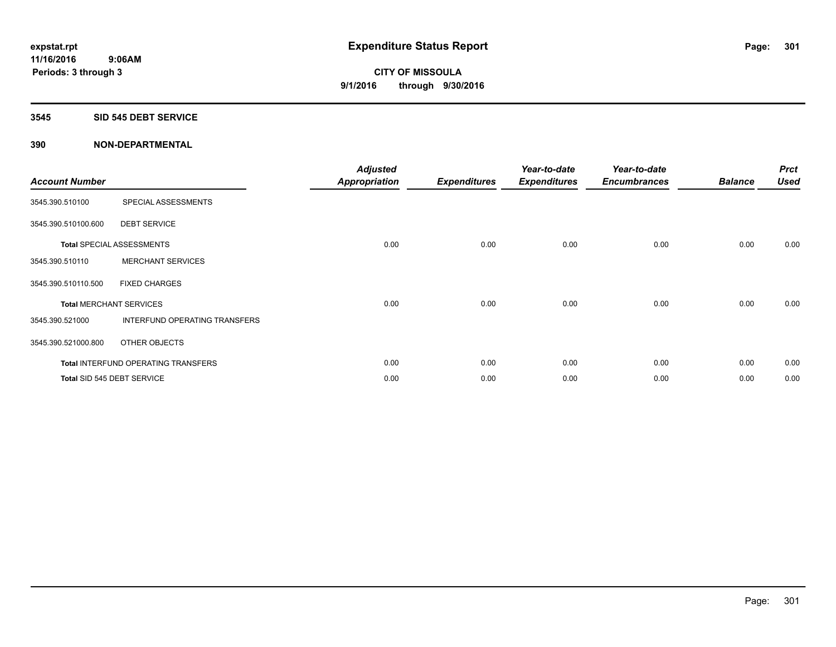#### **3545 SID 545 DEBT SERVICE**

| <b>Account Number</b> |                                            | <b>Adjusted</b><br><b>Appropriation</b> | <b>Expenditures</b> | Year-to-date<br><b>Expenditures</b> | Year-to-date<br><b>Encumbrances</b> | <b>Balance</b> | <b>Prct</b><br><b>Used</b> |
|-----------------------|--------------------------------------------|-----------------------------------------|---------------------|-------------------------------------|-------------------------------------|----------------|----------------------------|
| 3545.390.510100       | SPECIAL ASSESSMENTS                        |                                         |                     |                                     |                                     |                |                            |
| 3545.390.510100.600   | <b>DEBT SERVICE</b>                        |                                         |                     |                                     |                                     |                |                            |
|                       | <b>Total SPECIAL ASSESSMENTS</b>           | 0.00                                    | 0.00                | 0.00                                | 0.00                                | 0.00           | 0.00                       |
| 3545.390.510110       | <b>MERCHANT SERVICES</b>                   |                                         |                     |                                     |                                     |                |                            |
| 3545.390.510110.500   | <b>FIXED CHARGES</b>                       |                                         |                     |                                     |                                     |                |                            |
|                       | <b>Total MERCHANT SERVICES</b>             | 0.00                                    | 0.00                | 0.00                                | 0.00                                | 0.00           | 0.00                       |
| 3545.390.521000       | INTERFUND OPERATING TRANSFERS              |                                         |                     |                                     |                                     |                |                            |
| 3545.390.521000.800   | OTHER OBJECTS                              |                                         |                     |                                     |                                     |                |                            |
|                       | <b>Total INTERFUND OPERATING TRANSFERS</b> | 0.00                                    | 0.00                | 0.00                                | 0.00                                | 0.00           | 0.00                       |
|                       | Total SID 545 DEBT SERVICE                 | 0.00                                    | 0.00                | 0.00                                | 0.00                                | 0.00           | 0.00                       |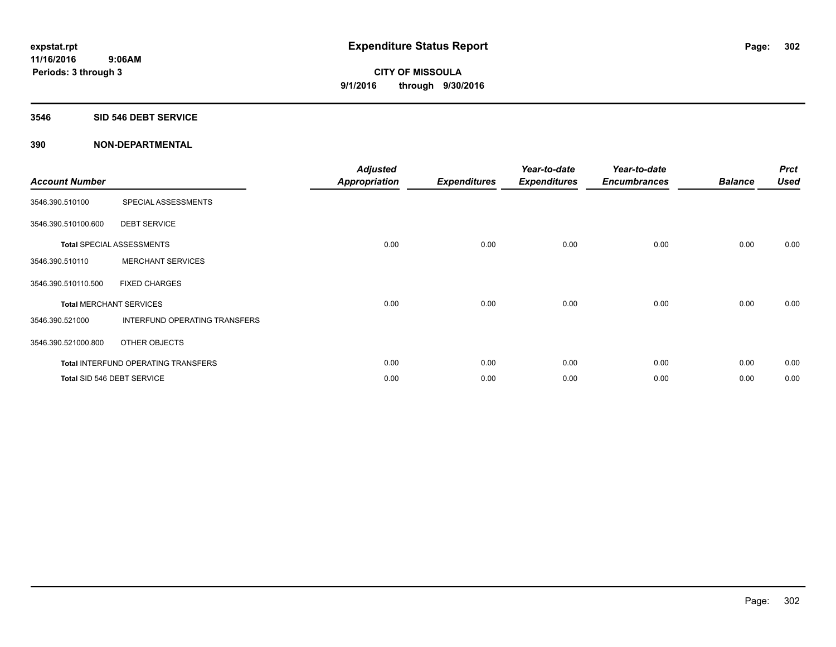#### **3546 SID 546 DEBT SERVICE**

| <b>Account Number</b> |                                            | <b>Adjusted</b><br><b>Appropriation</b> | <b>Expenditures</b> | Year-to-date<br><b>Expenditures</b> | Year-to-date<br><b>Encumbrances</b> | <b>Balance</b> | <b>Prct</b><br><b>Used</b> |
|-----------------------|--------------------------------------------|-----------------------------------------|---------------------|-------------------------------------|-------------------------------------|----------------|----------------------------|
| 3546.390.510100       | SPECIAL ASSESSMENTS                        |                                         |                     |                                     |                                     |                |                            |
| 3546.390.510100.600   | <b>DEBT SERVICE</b>                        |                                         |                     |                                     |                                     |                |                            |
|                       | <b>Total SPECIAL ASSESSMENTS</b>           | 0.00                                    | 0.00                | 0.00                                | 0.00                                | 0.00           | 0.00                       |
| 3546.390.510110       | <b>MERCHANT SERVICES</b>                   |                                         |                     |                                     |                                     |                |                            |
| 3546.390.510110.500   | <b>FIXED CHARGES</b>                       |                                         |                     |                                     |                                     |                |                            |
|                       | <b>Total MERCHANT SERVICES</b>             | 0.00                                    | 0.00                | 0.00                                | 0.00                                | 0.00           | 0.00                       |
| 3546.390.521000       | INTERFUND OPERATING TRANSFERS              |                                         |                     |                                     |                                     |                |                            |
| 3546.390.521000.800   | OTHER OBJECTS                              |                                         |                     |                                     |                                     |                |                            |
|                       | <b>Total INTERFUND OPERATING TRANSFERS</b> | 0.00                                    | 0.00                | 0.00                                | 0.00                                | 0.00           | 0.00                       |
|                       | Total SID 546 DEBT SERVICE                 | 0.00                                    | 0.00                | 0.00                                | 0.00                                | 0.00           | 0.00                       |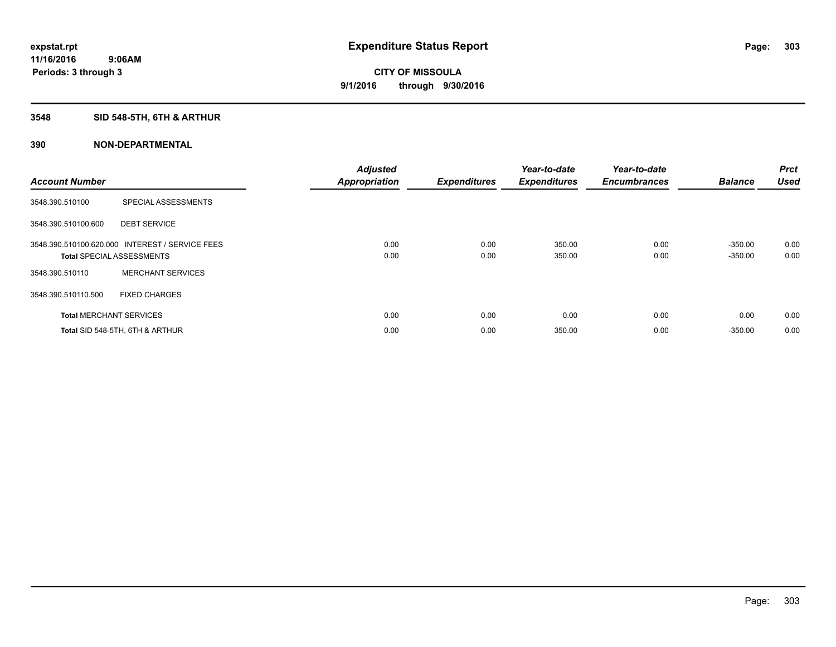# **3548 SID 548-5TH, 6TH & ARTHUR**

| <b>Account Number</b> |                                                                                     | <b>Adjusted</b><br><b>Appropriation</b> | <b>Expenditures</b> | Year-to-date<br><b>Expenditures</b> | Year-to-date<br><b>Encumbrances</b> | <b>Balance</b>         | Prct<br><b>Used</b> |
|-----------------------|-------------------------------------------------------------------------------------|-----------------------------------------|---------------------|-------------------------------------|-------------------------------------|------------------------|---------------------|
| 3548.390.510100       | SPECIAL ASSESSMENTS                                                                 |                                         |                     |                                     |                                     |                        |                     |
| 3548.390.510100.600   | <b>DEBT SERVICE</b>                                                                 |                                         |                     |                                     |                                     |                        |                     |
|                       | 3548.390.510100.620.000 INTEREST / SERVICE FEES<br><b>Total SPECIAL ASSESSMENTS</b> | 0.00<br>0.00                            | 0.00<br>0.00        | 350.00<br>350.00                    | 0.00<br>0.00                        | $-350.00$<br>$-350.00$ | 0.00<br>0.00        |
| 3548.390.510110       | <b>MERCHANT SERVICES</b>                                                            |                                         |                     |                                     |                                     |                        |                     |
| 3548.390.510110.500   | <b>FIXED CHARGES</b>                                                                |                                         |                     |                                     |                                     |                        |                     |
|                       | <b>Total MERCHANT SERVICES</b>                                                      | 0.00                                    | 0.00                | 0.00                                | 0.00                                | 0.00                   | 0.00                |
|                       | Total SID 548-5TH, 6TH & ARTHUR                                                     | 0.00                                    | 0.00                | 350.00                              | 0.00                                | $-350.00$              | 0.00                |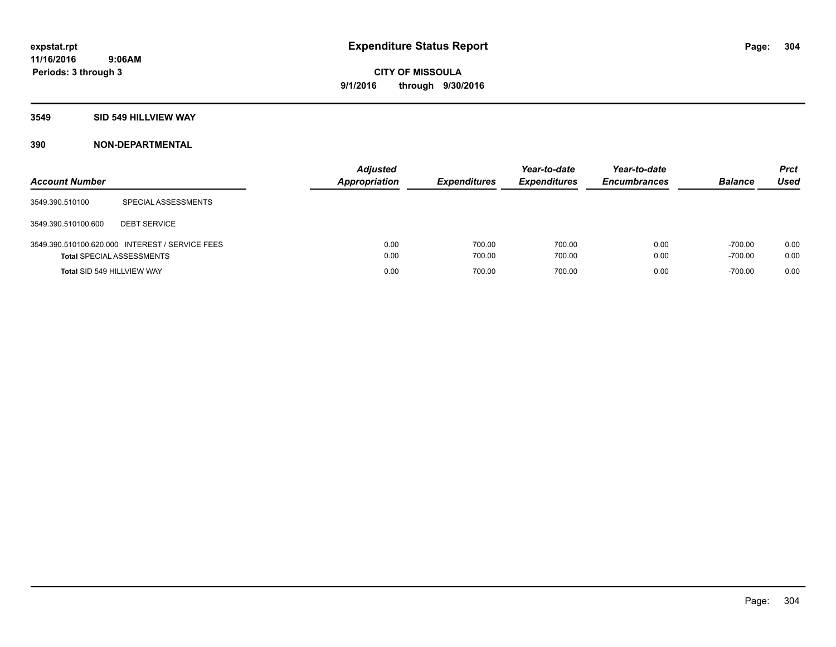#### **3549 SID 549 HILLVIEW WAY**

| <b>Account Number</b>            |                                                 | <b>Adjusted</b><br>Appropriation | <b>Expenditures</b> | Year-to-date<br><b>Expenditures</b> | Year-to-date<br><b>Encumbrances</b> | <b>Balance</b>         | <b>Prct</b><br><b>Used</b> |
|----------------------------------|-------------------------------------------------|----------------------------------|---------------------|-------------------------------------|-------------------------------------|------------------------|----------------------------|
| 3549.390.510100                  | SPECIAL ASSESSMENTS                             |                                  |                     |                                     |                                     |                        |                            |
| 3549.390.510100.600              | <b>DEBT SERVICE</b>                             |                                  |                     |                                     |                                     |                        |                            |
| <b>Total SPECIAL ASSESSMENTS</b> | 3549.390.510100.620.000 INTEREST / SERVICE FEES | 0.00<br>0.00                     | 700.00<br>700.00    | 700.00<br>700.00                    | 0.00<br>0.00                        | $-700.00$<br>$-700.00$ | 0.00<br>0.00               |
| Total SID 549 HILLVIEW WAY       |                                                 | 0.00                             | 700.00              | 700.00                              | 0.00                                | $-700.00$              | 0.00                       |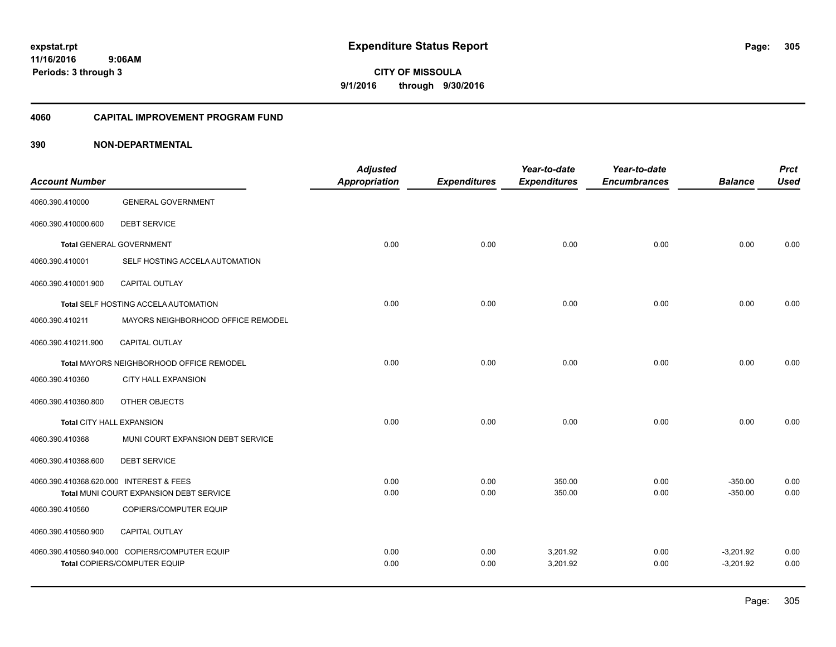#### **11/16/2016 9:06AM Periods: 3 through 3**

**305**

**CITY OF MISSOULA 9/1/2016 through 9/30/2016**

#### **4060 CAPITAL IMPROVEMENT PROGRAM FUND**

| <b>Account Number</b>                   |                                                | <b>Adjusted</b>      |                     | Year-to-date        | Year-to-date        | <b>Balance</b> | <b>Prct</b><br><b>Used</b> |
|-----------------------------------------|------------------------------------------------|----------------------|---------------------|---------------------|---------------------|----------------|----------------------------|
|                                         |                                                | <b>Appropriation</b> | <b>Expenditures</b> | <b>Expenditures</b> | <b>Encumbrances</b> |                |                            |
| 4060.390.410000                         | <b>GENERAL GOVERNMENT</b>                      |                      |                     |                     |                     |                |                            |
| 4060.390.410000.600                     | <b>DEBT SERVICE</b>                            |                      |                     |                     |                     |                |                            |
|                                         | <b>Total GENERAL GOVERNMENT</b>                | 0.00                 | 0.00                | 0.00                | 0.00                | 0.00           | 0.00                       |
| 4060.390.410001                         | SELF HOSTING ACCELA AUTOMATION                 |                      |                     |                     |                     |                |                            |
| 4060.390.410001.900                     | <b>CAPITAL OUTLAY</b>                          |                      |                     |                     |                     |                |                            |
|                                         | Total SELF HOSTING ACCELA AUTOMATION           | 0.00                 | 0.00                | 0.00                | 0.00                | 0.00           | 0.00                       |
| 4060.390.410211                         | MAYORS NEIGHBORHOOD OFFICE REMODEL             |                      |                     |                     |                     |                |                            |
| 4060.390.410211.900                     | CAPITAL OUTLAY                                 |                      |                     |                     |                     |                |                            |
|                                         | Total MAYORS NEIGHBORHOOD OFFICE REMODEL       | 0.00                 | 0.00                | 0.00                | 0.00                | 0.00           | 0.00                       |
| 4060.390.410360                         | <b>CITY HALL EXPANSION</b>                     |                      |                     |                     |                     |                |                            |
| 4060.390.410360.800                     | OTHER OBJECTS                                  |                      |                     |                     |                     |                |                            |
| <b>Total CITY HALL EXPANSION</b>        |                                                | 0.00                 | 0.00                | 0.00                | 0.00                | 0.00           | 0.00                       |
| 4060.390.410368                         | MUNI COURT EXPANSION DEBT SERVICE              |                      |                     |                     |                     |                |                            |
| 4060.390.410368.600                     | <b>DEBT SERVICE</b>                            |                      |                     |                     |                     |                |                            |
| 4060.390.410368.620.000 INTEREST & FEES |                                                | 0.00                 | 0.00                | 350.00              | 0.00                | $-350.00$      | 0.00                       |
|                                         | Total MUNI COURT EXPANSION DEBT SERVICE        | 0.00                 | 0.00                | 350.00              | 0.00                | $-350.00$      | 0.00                       |
| 4060.390.410560                         | COPIERS/COMPUTER EQUIP                         |                      |                     |                     |                     |                |                            |
| 4060.390.410560.900                     | <b>CAPITAL OUTLAY</b>                          |                      |                     |                     |                     |                |                            |
|                                         | 4060.390.410560.940.000 COPIERS/COMPUTER EQUIP | 0.00                 | 0.00                | 3,201.92            | 0.00                | $-3,201.92$    | 0.00                       |
|                                         | Total COPIERS/COMPUTER EQUIP                   | 0.00                 | 0.00                | 3,201.92            | 0.00                | $-3,201.92$    | 0.00                       |
|                                         |                                                |                      |                     |                     |                     |                |                            |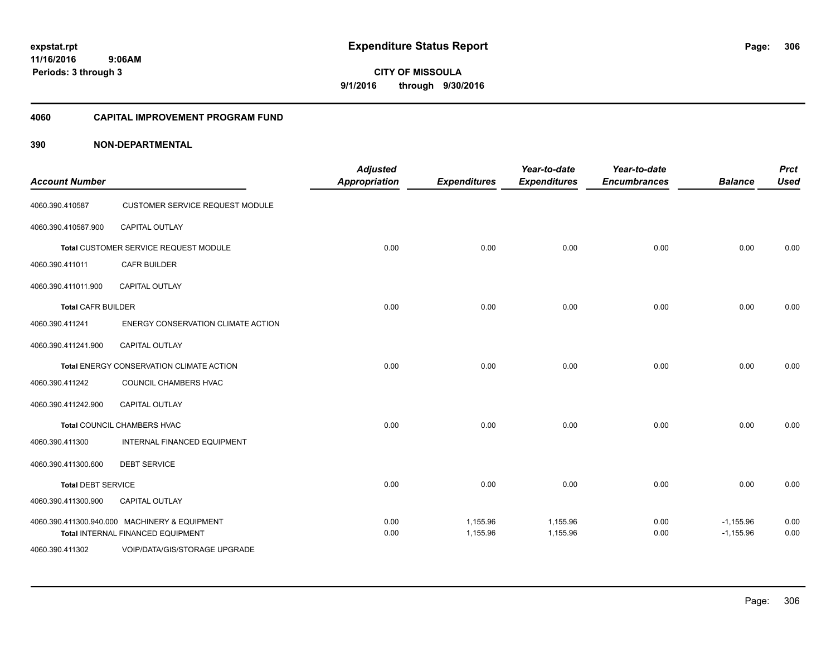**11/16/2016 9:06AM Periods: 3 through 3**

**CITY OF MISSOULA 9/1/2016 through 9/30/2016**

#### **4060 CAPITAL IMPROVEMENT PROGRAM FUND**

| <b>Account Number</b>     |                                                                                    | <b>Adjusted</b><br><b>Appropriation</b> | <b>Expenditures</b>  | Year-to-date<br><b>Expenditures</b> | Year-to-date<br><b>Encumbrances</b> | <b>Balance</b>             | <b>Prct</b><br><b>Used</b> |
|---------------------------|------------------------------------------------------------------------------------|-----------------------------------------|----------------------|-------------------------------------|-------------------------------------|----------------------------|----------------------------|
| 4060.390.410587           | CUSTOMER SERVICE REQUEST MODULE                                                    |                                         |                      |                                     |                                     |                            |                            |
| 4060.390.410587.900       | <b>CAPITAL OUTLAY</b>                                                              |                                         |                      |                                     |                                     |                            |                            |
|                           | Total CUSTOMER SERVICE REQUEST MODULE                                              | 0.00                                    | 0.00                 | 0.00                                | 0.00                                | 0.00                       | 0.00                       |
| 4060.390.411011           | <b>CAFR BUILDER</b>                                                                |                                         |                      |                                     |                                     |                            |                            |
| 4060.390.411011.900       | CAPITAL OUTLAY                                                                     |                                         |                      |                                     |                                     |                            |                            |
| <b>Total CAFR BUILDER</b> |                                                                                    | 0.00                                    | 0.00                 | 0.00                                | 0.00                                | 0.00                       | 0.00                       |
| 4060.390.411241           | ENERGY CONSERVATION CLIMATE ACTION                                                 |                                         |                      |                                     |                                     |                            |                            |
| 4060.390.411241.900       | <b>CAPITAL OUTLAY</b>                                                              |                                         |                      |                                     |                                     |                            |                            |
|                           | <b>Total ENERGY CONSERVATION CLIMATE ACTION</b>                                    | 0.00                                    | 0.00                 | 0.00                                | 0.00                                | 0.00                       | 0.00                       |
| 4060.390.411242           | COUNCIL CHAMBERS HVAC                                                              |                                         |                      |                                     |                                     |                            |                            |
| 4060.390.411242.900       | <b>CAPITAL OUTLAY</b>                                                              |                                         |                      |                                     |                                     |                            |                            |
|                           | Total COUNCIL CHAMBERS HVAC                                                        | 0.00                                    | 0.00                 | 0.00                                | 0.00                                | 0.00                       | 0.00                       |
| 4060.390.411300           | <b>INTERNAL FINANCED EQUIPMENT</b>                                                 |                                         |                      |                                     |                                     |                            |                            |
| 4060.390.411300.600       | <b>DEBT SERVICE</b>                                                                |                                         |                      |                                     |                                     |                            |                            |
| <b>Total DEBT SERVICE</b> |                                                                                    | 0.00                                    | 0.00                 | 0.00                                | 0.00                                | 0.00                       | 0.00                       |
| 4060.390.411300.900       | CAPITAL OUTLAY                                                                     |                                         |                      |                                     |                                     |                            |                            |
|                           | 4060.390.411300.940.000 MACHINERY & EQUIPMENT<br>Total INTERNAL FINANCED EQUIPMENT | 0.00<br>0.00                            | 1,155.96<br>1,155.96 | 1,155.96<br>1,155.96                | 0.00<br>0.00                        | $-1,155.96$<br>$-1,155.96$ | 0.00<br>0.00               |
| 4060.390.411302           | VOIP/DATA/GIS/STORAGE UPGRADE                                                      |                                         |                      |                                     |                                     |                            |                            |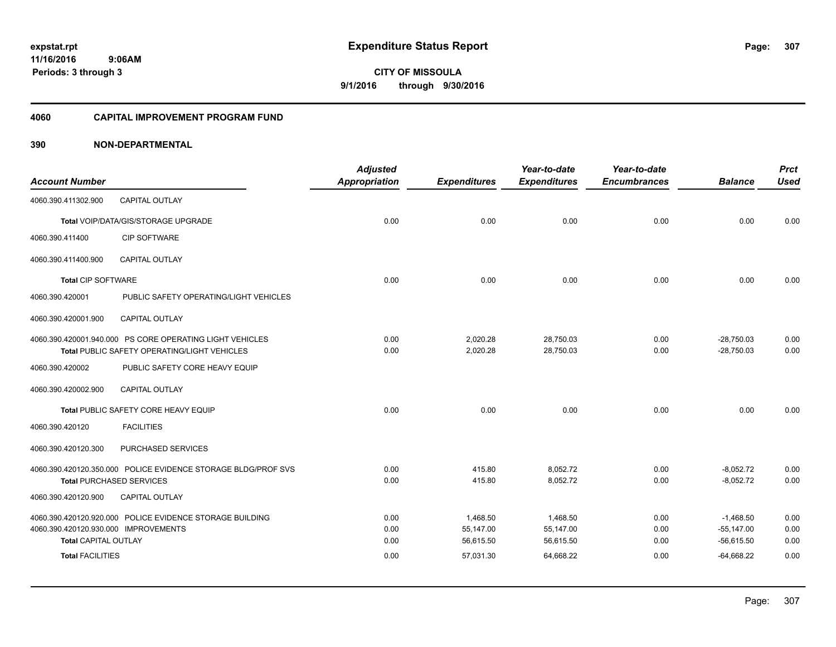#### **4060 CAPITAL IMPROVEMENT PROGRAM FUND**

|                                      |                                                               | <b>Adjusted</b>      |                     | Year-to-date        | Year-to-date        |                | <b>Prct</b> |
|--------------------------------------|---------------------------------------------------------------|----------------------|---------------------|---------------------|---------------------|----------------|-------------|
| <b>Account Number</b>                |                                                               | <b>Appropriation</b> | <b>Expenditures</b> | <b>Expenditures</b> | <b>Encumbrances</b> | <b>Balance</b> | <b>Used</b> |
| 4060.390.411302.900                  | <b>CAPITAL OUTLAY</b>                                         |                      |                     |                     |                     |                |             |
|                                      | Total VOIP/DATA/GIS/STORAGE UPGRADE                           | 0.00                 | 0.00                | 0.00                | 0.00                | 0.00           | 0.00        |
| 4060.390.411400                      | CIP SOFTWARE                                                  |                      |                     |                     |                     |                |             |
| 4060.390.411400.900                  | CAPITAL OUTLAY                                                |                      |                     |                     |                     |                |             |
| <b>Total CIP SOFTWARE</b>            |                                                               | 0.00                 | 0.00                | 0.00                | 0.00                | 0.00           | 0.00        |
| 4060.390.420001                      | PUBLIC SAFETY OPERATING/LIGHT VEHICLES                        |                      |                     |                     |                     |                |             |
| 4060.390.420001.900                  | <b>CAPITAL OUTLAY</b>                                         |                      |                     |                     |                     |                |             |
|                                      | 4060.390.420001.940.000 PS CORE OPERATING LIGHT VEHICLES      | 0.00                 | 2,020.28            | 28,750.03           | 0.00                | $-28,750.03$   | 0.00        |
|                                      | Total PUBLIC SAFETY OPERATING/LIGHT VEHICLES                  | 0.00                 | 2,020.28            | 28,750.03           | 0.00                | $-28,750.03$   | 0.00        |
| 4060.390.420002                      | PUBLIC SAFETY CORE HEAVY EQUIP                                |                      |                     |                     |                     |                |             |
| 4060.390.420002.900                  | <b>CAPITAL OUTLAY</b>                                         |                      |                     |                     |                     |                |             |
|                                      | Total PUBLIC SAFETY CORE HEAVY EQUIP                          | 0.00                 | 0.00                | 0.00                | 0.00                | 0.00           | 0.00        |
| 4060.390.420120                      | <b>FACILITIES</b>                                             |                      |                     |                     |                     |                |             |
| 4060.390.420120.300                  | PURCHASED SERVICES                                            |                      |                     |                     |                     |                |             |
|                                      | 4060.390.420120.350.000 POLICE EVIDENCE STORAGE BLDG/PROF SVS | 0.00                 | 415.80              | 8,052.72            | 0.00                | $-8,052.72$    | 0.00        |
|                                      | <b>Total PURCHASED SERVICES</b>                               | 0.00                 | 415.80              | 8,052.72            | 0.00                | $-8,052.72$    | 0.00        |
| 4060.390.420120.900                  | <b>CAPITAL OUTLAY</b>                                         |                      |                     |                     |                     |                |             |
|                                      | 4060.390.420120.920.000 POLICE EVIDENCE STORAGE BUILDING      | 0.00                 | 1,468.50            | 1,468.50            | 0.00                | $-1.468.50$    | 0.00        |
| 4060.390.420120.930.000 IMPROVEMENTS |                                                               | 0.00                 | 55,147.00           | 55,147.00           | 0.00                | $-55,147.00$   | 0.00        |
| <b>Total CAPITAL OUTLAY</b>          |                                                               | 0.00                 | 56,615.50           | 56,615.50           | 0.00                | $-56,615.50$   | 0.00        |
| <b>Total FACILITIES</b>              |                                                               | 0.00                 | 57,031.30           | 64,668.22           | 0.00                | $-64,668.22$   | 0.00        |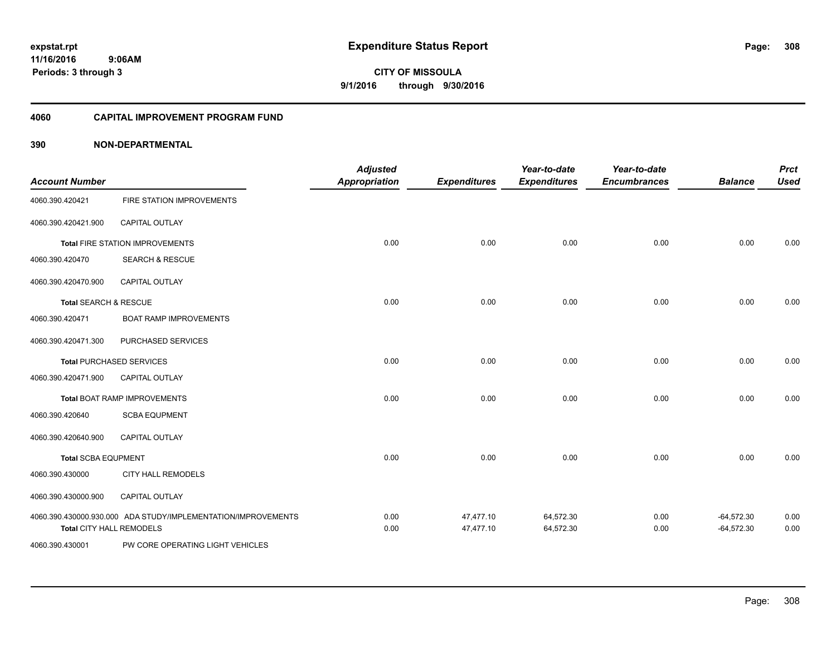# **11/16/2016**

**308**

 **9:06AM Periods: 3 through 3**

**CITY OF MISSOULA 9/1/2016 through 9/30/2016**

#### **4060 CAPITAL IMPROVEMENT PROGRAM FUND**

| <b>Account Number</b>            |                                                                                                  | <b>Adjusted</b><br><b>Appropriation</b> | <b>Expenditures</b>    | Year-to-date<br><b>Expenditures</b> | Year-to-date<br><b>Encumbrances</b> | <b>Balance</b>               | <b>Prct</b><br><b>Used</b> |
|----------------------------------|--------------------------------------------------------------------------------------------------|-----------------------------------------|------------------------|-------------------------------------|-------------------------------------|------------------------------|----------------------------|
| 4060.390.420421                  | FIRE STATION IMPROVEMENTS                                                                        |                                         |                        |                                     |                                     |                              |                            |
| 4060.390.420421.900              | <b>CAPITAL OUTLAY</b>                                                                            |                                         |                        |                                     |                                     |                              |                            |
|                                  | Total FIRE STATION IMPROVEMENTS                                                                  | 0.00                                    | 0.00                   | 0.00                                | 0.00                                | 0.00                         | 0.00                       |
| 4060.390.420470                  | <b>SEARCH &amp; RESCUE</b>                                                                       |                                         |                        |                                     |                                     |                              |                            |
| 4060.390.420470.900              | <b>CAPITAL OUTLAY</b>                                                                            |                                         |                        |                                     |                                     |                              |                            |
| <b>Total SEARCH &amp; RESCUE</b> |                                                                                                  | 0.00                                    | 0.00                   | 0.00                                | 0.00                                | 0.00                         | 0.00                       |
| 4060.390.420471                  | <b>BOAT RAMP IMPROVEMENTS</b>                                                                    |                                         |                        |                                     |                                     |                              |                            |
| 4060.390.420471.300              | PURCHASED SERVICES                                                                               |                                         |                        |                                     |                                     |                              |                            |
|                                  | <b>Total PURCHASED SERVICES</b>                                                                  | 0.00                                    | 0.00                   | 0.00                                | 0.00                                | 0.00                         | 0.00                       |
| 4060.390.420471.900              | CAPITAL OUTLAY                                                                                   |                                         |                        |                                     |                                     |                              |                            |
|                                  | <b>Total BOAT RAMP IMPROVEMENTS</b>                                                              | 0.00                                    | 0.00                   | 0.00                                | 0.00                                | 0.00                         | 0.00                       |
| 4060.390.420640                  | <b>SCBA EQUPMENT</b>                                                                             |                                         |                        |                                     |                                     |                              |                            |
| 4060.390.420640.900              | <b>CAPITAL OUTLAY</b>                                                                            |                                         |                        |                                     |                                     |                              |                            |
| <b>Total SCBA EQUPMENT</b>       |                                                                                                  | 0.00                                    | 0.00                   | 0.00                                | 0.00                                | 0.00                         | 0.00                       |
| 4060.390.430000                  | <b>CITY HALL REMODELS</b>                                                                        |                                         |                        |                                     |                                     |                              |                            |
| 4060.390.430000.900              | CAPITAL OUTLAY                                                                                   |                                         |                        |                                     |                                     |                              |                            |
|                                  | 4060.390.430000.930.000 ADA STUDY/IMPLEMENTATION/IMPROVEMENTS<br><b>Total CITY HALL REMODELS</b> | 0.00<br>0.00                            | 47,477.10<br>47,477.10 | 64,572.30<br>64,572.30              | 0.00<br>0.00                        | $-64,572.30$<br>$-64,572.30$ | 0.00<br>0.00               |
| 4060.390.430001                  | PW CORE OPERATING LIGHT VEHICLES                                                                 |                                         |                        |                                     |                                     |                              |                            |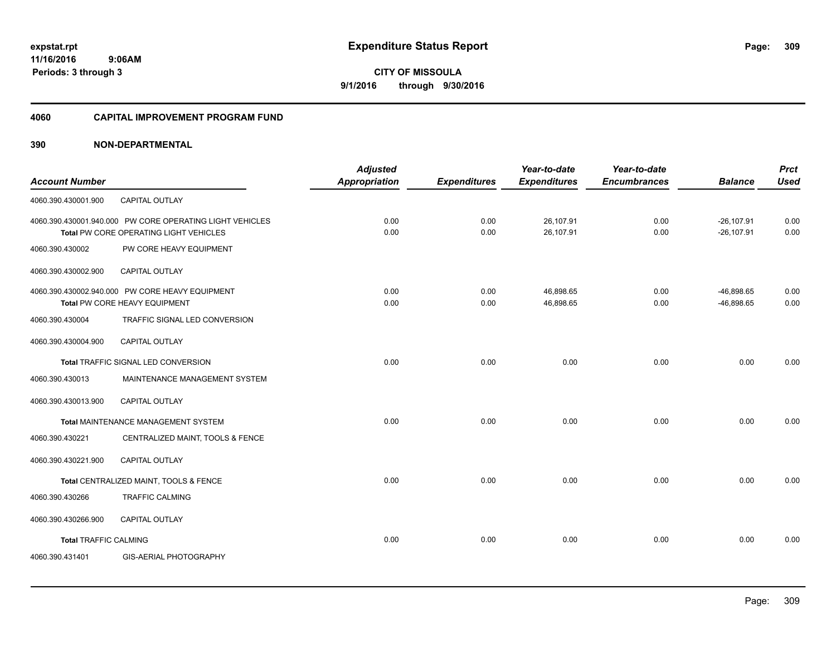#### **4060 CAPITAL IMPROVEMENT PROGRAM FUND**

| <b>Account Number</b>        |                                                          | <b>Adjusted</b><br>Appropriation | <b>Expenditures</b> | Year-to-date<br><b>Expenditures</b> | Year-to-date<br><b>Encumbrances</b> | <b>Balance</b> | <b>Prct</b><br><b>Used</b> |
|------------------------------|----------------------------------------------------------|----------------------------------|---------------------|-------------------------------------|-------------------------------------|----------------|----------------------------|
|                              |                                                          |                                  |                     |                                     |                                     |                |                            |
| 4060.390.430001.900          | CAPITAL OUTLAY                                           |                                  |                     |                                     |                                     |                |                            |
|                              | 4060.390.430001.940.000 PW CORE OPERATING LIGHT VEHICLES | 0.00                             | 0.00                | 26,107.91                           | 0.00                                | $-26, 107.91$  | 0.00                       |
|                              | Total PW CORE OPERATING LIGHT VEHICLES                   | 0.00                             | 0.00                | 26,107.91                           | 0.00                                | $-26, 107.91$  | 0.00                       |
| 4060.390.430002              | PW CORE HEAVY EQUIPMENT                                  |                                  |                     |                                     |                                     |                |                            |
| 4060.390.430002.900          | <b>CAPITAL OUTLAY</b>                                    |                                  |                     |                                     |                                     |                |                            |
|                              | 4060.390.430002.940.000 PW CORE HEAVY EQUIPMENT          | 0.00                             | 0.00                | 46,898.65                           | 0.00                                | $-46.898.65$   | 0.00                       |
|                              | Total PW CORE HEAVY EQUIPMENT                            | 0.00                             | 0.00                | 46,898.65                           | 0.00                                | $-46,898.65$   | 0.00                       |
| 4060.390.430004              | TRAFFIC SIGNAL LED CONVERSION                            |                                  |                     |                                     |                                     |                |                            |
| 4060.390.430004.900          | CAPITAL OUTLAY                                           |                                  |                     |                                     |                                     |                |                            |
|                              | Total TRAFFIC SIGNAL LED CONVERSION                      | 0.00                             | 0.00                | 0.00                                | 0.00                                | 0.00           | 0.00                       |
| 4060.390.430013              | MAINTENANCE MANAGEMENT SYSTEM                            |                                  |                     |                                     |                                     |                |                            |
| 4060.390.430013.900          | <b>CAPITAL OUTLAY</b>                                    |                                  |                     |                                     |                                     |                |                            |
|                              | Total MAINTENANCE MANAGEMENT SYSTEM                      | 0.00                             | 0.00                | 0.00                                | 0.00                                | 0.00           | 0.00                       |
| 4060.390.430221              | CENTRALIZED MAINT, TOOLS & FENCE                         |                                  |                     |                                     |                                     |                |                            |
| 4060.390.430221.900          | CAPITAL OUTLAY                                           |                                  |                     |                                     |                                     |                |                            |
|                              | Total CENTRALIZED MAINT, TOOLS & FENCE                   | 0.00                             | 0.00                | 0.00                                | 0.00                                | 0.00           | 0.00                       |
| 4060.390.430266              | <b>TRAFFIC CALMING</b>                                   |                                  |                     |                                     |                                     |                |                            |
| 4060.390.430266.900          | <b>CAPITAL OUTLAY</b>                                    |                                  |                     |                                     |                                     |                |                            |
| <b>Total TRAFFIC CALMING</b> |                                                          | 0.00                             | 0.00                | 0.00                                | 0.00                                | 0.00           | 0.00                       |
| 4060.390.431401              | <b>GIS-AERIAL PHOTOGRAPHY</b>                            |                                  |                     |                                     |                                     |                |                            |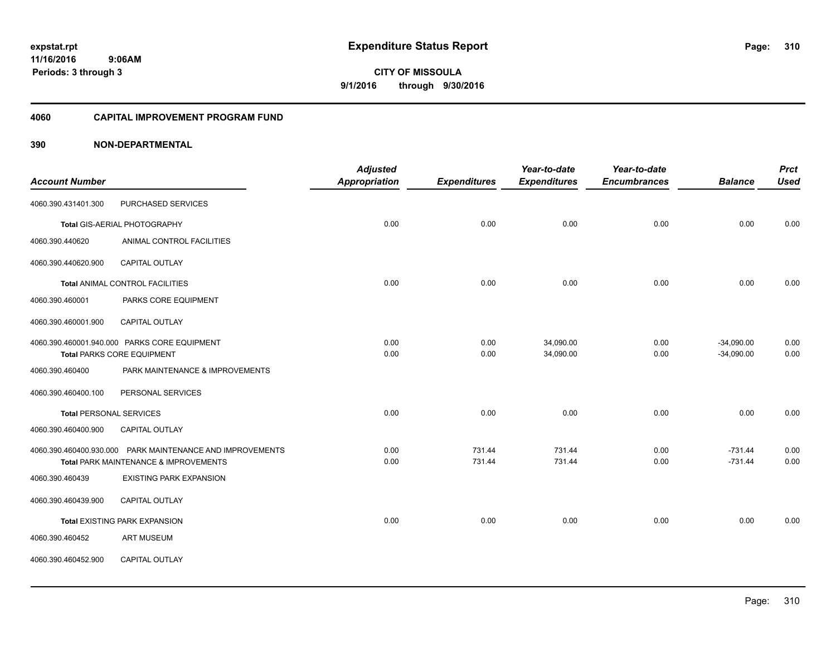#### **4060 CAPITAL IMPROVEMENT PROGRAM FUND**

|                                |                                                           | <b>Adjusted</b>      |                     | Year-to-date        | Year-to-date        |                | <b>Prct</b> |
|--------------------------------|-----------------------------------------------------------|----------------------|---------------------|---------------------|---------------------|----------------|-------------|
| <b>Account Number</b>          |                                                           | <b>Appropriation</b> | <b>Expenditures</b> | <b>Expenditures</b> | <b>Encumbrances</b> | <b>Balance</b> | <b>Used</b> |
| 4060.390.431401.300            | PURCHASED SERVICES                                        |                      |                     |                     |                     |                |             |
|                                | Total GIS-AERIAL PHOTOGRAPHY                              | 0.00                 | 0.00                | 0.00                | 0.00                | 0.00           | 0.00        |
| 4060.390.440620                | ANIMAL CONTROL FACILITIES                                 |                      |                     |                     |                     |                |             |
| 4060.390.440620.900            | CAPITAL OUTLAY                                            |                      |                     |                     |                     |                |             |
|                                | <b>Total ANIMAL CONTROL FACILITIES</b>                    | 0.00                 | 0.00                | 0.00                | 0.00                | 0.00           | 0.00        |
| 4060.390.460001                | PARKS CORE EQUIPMENT                                      |                      |                     |                     |                     |                |             |
| 4060.390.460001.900            | <b>CAPITAL OUTLAY</b>                                     |                      |                     |                     |                     |                |             |
|                                | 4060.390.460001.940.000 PARKS CORE EQUIPMENT              | 0.00                 | 0.00                | 34,090.00           | 0.00                | $-34,090.00$   | 0.00        |
|                                | <b>Total PARKS CORE EQUIPMENT</b>                         | 0.00                 | 0.00                | 34,090.00           | 0.00                | $-34,090.00$   | 0.00        |
| 4060.390.460400                | PARK MAINTENANCE & IMPROVEMENTS                           |                      |                     |                     |                     |                |             |
| 4060.390.460400.100            | PERSONAL SERVICES                                         |                      |                     |                     |                     |                |             |
| <b>Total PERSONAL SERVICES</b> |                                                           | 0.00                 | 0.00                | 0.00                | 0.00                | 0.00           | 0.00        |
| 4060.390.460400.900            | CAPITAL OUTLAY                                            |                      |                     |                     |                     |                |             |
|                                | 4060.390.460400.930.000 PARK MAINTENANCE AND IMPROVEMENTS | 0.00                 | 731.44              | 731.44              | 0.00                | $-731.44$      | 0.00        |
|                                | Total PARK MAINTENANCE & IMPROVEMENTS                     | 0.00                 | 731.44              | 731.44              | 0.00                | $-731.44$      | 0.00        |
| 4060.390.460439                | <b>EXISTING PARK EXPANSION</b>                            |                      |                     |                     |                     |                |             |
| 4060.390.460439.900            | <b>CAPITAL OUTLAY</b>                                     |                      |                     |                     |                     |                |             |
|                                | <b>Total EXISTING PARK EXPANSION</b>                      | 0.00                 | 0.00                | 0.00                | 0.00                | 0.00           | 0.00        |
| 4060.390.460452                | <b>ART MUSEUM</b>                                         |                      |                     |                     |                     |                |             |
| 4060.390.460452.900            | <b>CAPITAL OUTLAY</b>                                     |                      |                     |                     |                     |                |             |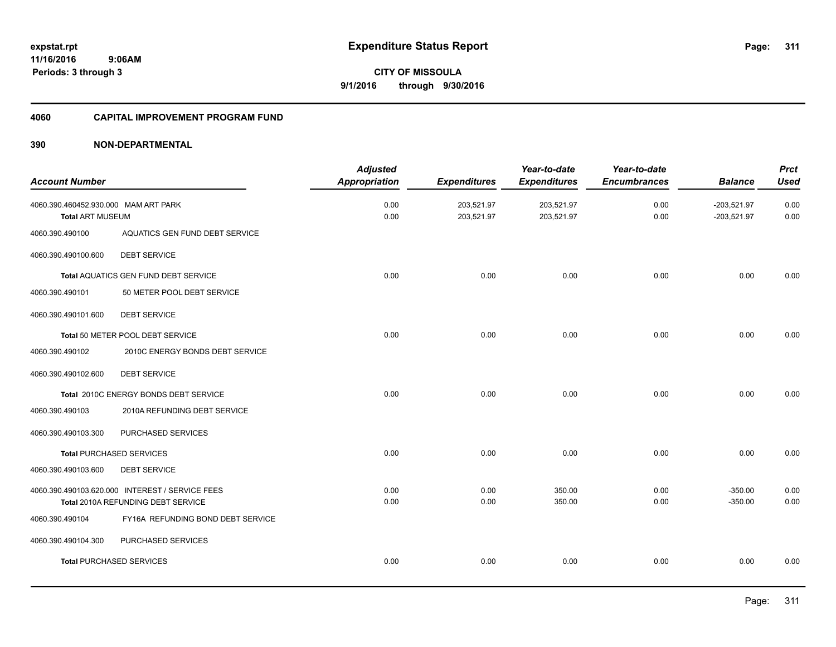#### **4060 CAPITAL IMPROVEMENT PROGRAM FUND**

|                                      |                                                 | <b>Adjusted</b>      |                     | Year-to-date        | Year-to-date        |                | <b>Prct</b> |
|--------------------------------------|-------------------------------------------------|----------------------|---------------------|---------------------|---------------------|----------------|-------------|
| <b>Account Number</b>                |                                                 | <b>Appropriation</b> | <b>Expenditures</b> | <b>Expenditures</b> | <b>Encumbrances</b> | <b>Balance</b> | <b>Used</b> |
| 4060.390.460452.930.000 MAM ART PARK |                                                 | 0.00                 | 203,521.97          | 203,521.97          | 0.00                | $-203,521.97$  | 0.00        |
| <b>Total ART MUSEUM</b>              |                                                 | 0.00                 | 203,521.97          | 203,521.97          | 0.00                | $-203,521.97$  | 0.00        |
| 4060.390.490100                      | AQUATICS GEN FUND DEBT SERVICE                  |                      |                     |                     |                     |                |             |
| 4060.390.490100.600                  | <b>DEBT SERVICE</b>                             |                      |                     |                     |                     |                |             |
|                                      | Total AQUATICS GEN FUND DEBT SERVICE            | 0.00                 | 0.00                | 0.00                | 0.00                | 0.00           | 0.00        |
| 4060.390.490101                      | 50 METER POOL DEBT SERVICE                      |                      |                     |                     |                     |                |             |
| 4060.390.490101.600                  | <b>DEBT SERVICE</b>                             |                      |                     |                     |                     |                |             |
|                                      | Total 50 METER POOL DEBT SERVICE                | 0.00                 | 0.00                | 0.00                | 0.00                | 0.00           | 0.00        |
| 4060.390.490102                      | 2010C ENERGY BONDS DEBT SERVICE                 |                      |                     |                     |                     |                |             |
| 4060.390.490102.600                  | <b>DEBT SERVICE</b>                             |                      |                     |                     |                     |                |             |
|                                      | Total 2010C ENERGY BONDS DEBT SERVICE           | 0.00                 | 0.00                | 0.00                | 0.00                | 0.00           | 0.00        |
| 4060.390.490103                      | 2010A REFUNDING DEBT SERVICE                    |                      |                     |                     |                     |                |             |
| 4060.390.490103.300                  | PURCHASED SERVICES                              |                      |                     |                     |                     |                |             |
|                                      | <b>Total PURCHASED SERVICES</b>                 | 0.00                 | 0.00                | 0.00                | 0.00                | 0.00           | 0.00        |
| 4060.390.490103.600                  | <b>DEBT SERVICE</b>                             |                      |                     |                     |                     |                |             |
|                                      | 4060.390.490103.620.000 INTEREST / SERVICE FEES | 0.00                 | 0.00                | 350.00              | 0.00                | $-350.00$      | 0.00        |
|                                      | Total 2010A REFUNDING DEBT SERVICE              | 0.00                 | 0.00                | 350.00              | 0.00                | $-350.00$      | 0.00        |
| 4060.390.490104                      | FY16A REFUNDING BOND DEBT SERVICE               |                      |                     |                     |                     |                |             |
| 4060.390.490104.300                  | PURCHASED SERVICES                              |                      |                     |                     |                     |                |             |
|                                      | <b>Total PURCHASED SERVICES</b>                 | 0.00                 | 0.00                | 0.00                | 0.00                | 0.00           | 0.00        |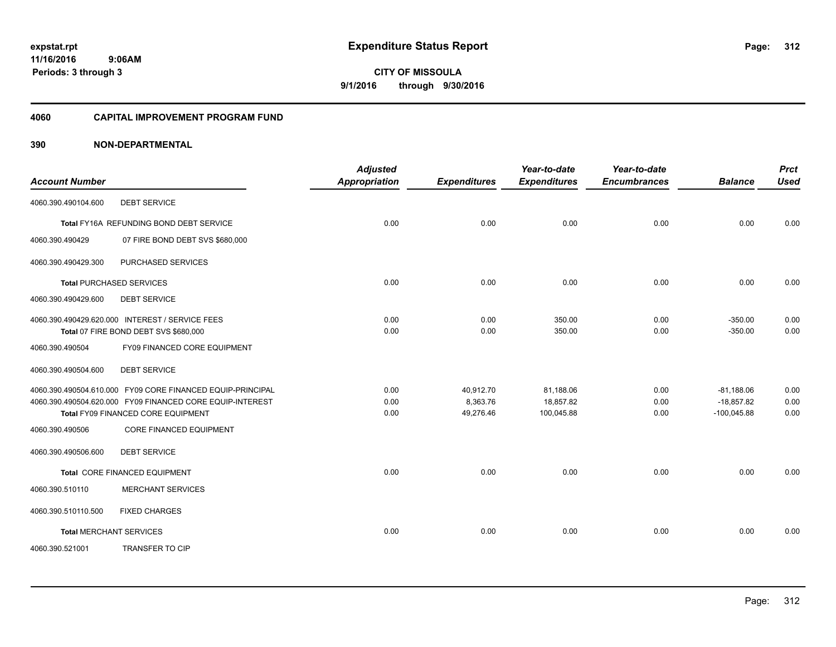#### **4060 CAPITAL IMPROVEMENT PROGRAM FUND**

| <b>Account Number</b>          |                                                                                          | <b>Adjusted</b><br><b>Appropriation</b> | <b>Expenditures</b> | Year-to-date<br><b>Expenditures</b> | Year-to-date<br><b>Encumbrances</b> | <b>Balance</b>         | <b>Prct</b><br><b>Used</b> |
|--------------------------------|------------------------------------------------------------------------------------------|-----------------------------------------|---------------------|-------------------------------------|-------------------------------------|------------------------|----------------------------|
| 4060.390.490104.600            | <b>DEBT SERVICE</b>                                                                      |                                         |                     |                                     |                                     |                        |                            |
|                                | Total FY16A REFUNDING BOND DEBT SERVICE                                                  | 0.00                                    | 0.00                | 0.00                                | 0.00                                | 0.00                   | 0.00                       |
| 4060.390.490429                | 07 FIRE BOND DEBT SVS \$680,000                                                          |                                         |                     |                                     |                                     |                        |                            |
| 4060.390.490429.300            | PURCHASED SERVICES                                                                       |                                         |                     |                                     |                                     |                        |                            |
|                                | <b>Total PURCHASED SERVICES</b>                                                          | 0.00                                    | 0.00                | 0.00                                | 0.00                                | 0.00                   | 0.00                       |
| 4060.390.490429.600            | <b>DEBT SERVICE</b>                                                                      |                                         |                     |                                     |                                     |                        |                            |
|                                | 4060.390.490429.620.000 INTEREST / SERVICE FEES<br>Total 07 FIRE BOND DEBT SVS \$680,000 | 0.00<br>0.00                            | 0.00<br>0.00        | 350.00<br>350.00                    | 0.00<br>0.00                        | $-350.00$<br>$-350.00$ | 0.00<br>0.00               |
| 4060.390.490504                | FY09 FINANCED CORE EQUIPMENT                                                             |                                         |                     |                                     |                                     |                        |                            |
| 4060.390.490504.600            | <b>DEBT SERVICE</b>                                                                      |                                         |                     |                                     |                                     |                        |                            |
|                                | 4060.390.490504.610.000 FY09 CORE FINANCED EQUIP-PRINCIPAL                               | 0.00                                    | 40,912.70           | 81,188.06                           | 0.00                                | $-81,188.06$           | 0.00                       |
|                                | 4060.390.490504.620.000 FY09 FINANCED CORE EQUIP-INTEREST                                | 0.00                                    | 8,363.76            | 18,857.82                           | 0.00                                | $-18,857.82$           | 0.00                       |
|                                | Total FY09 FINANCED CORE EQUIPMENT                                                       | 0.00                                    | 49,276.46           | 100,045.88                          | 0.00                                | $-100,045.88$          | 0.00                       |
| 4060.390.490506                | <b>CORE FINANCED EQUIPMENT</b>                                                           |                                         |                     |                                     |                                     |                        |                            |
| 4060.390.490506.600            | <b>DEBT SERVICE</b>                                                                      |                                         |                     |                                     |                                     |                        |                            |
|                                | Total CORE FINANCED EQUIPMENT                                                            | 0.00                                    | 0.00                | 0.00                                | 0.00                                | 0.00                   | 0.00                       |
| 4060.390.510110                | <b>MERCHANT SERVICES</b>                                                                 |                                         |                     |                                     |                                     |                        |                            |
| 4060.390.510110.500            | <b>FIXED CHARGES</b>                                                                     |                                         |                     |                                     |                                     |                        |                            |
| <b>Total MERCHANT SERVICES</b> |                                                                                          | 0.00                                    | 0.00                | 0.00                                | 0.00                                | 0.00                   | 0.00                       |
| 4060.390.521001                | <b>TRANSFER TO CIP</b>                                                                   |                                         |                     |                                     |                                     |                        |                            |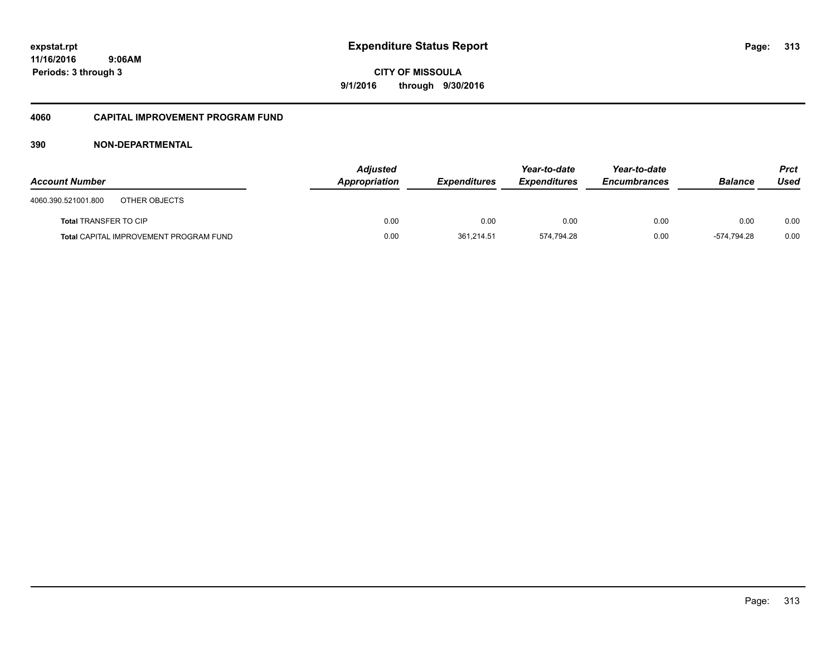## **11/16/2016 9:06AM Periods: 3 through 3**

**CITY OF MISSOULA 9/1/2016 through 9/30/2016**

#### **4060 CAPITAL IMPROVEMENT PROGRAM FUND**

| <b>Account Number</b>                         | <b>Adjusted</b><br>Appropriation | <b>Expenditures</b> | Year-to-date<br><b>Expenditures</b> | Year-to-date<br><b>Encumbrances</b> | <b>Balance</b> | <b>Prct</b><br>Used |
|-----------------------------------------------|----------------------------------|---------------------|-------------------------------------|-------------------------------------|----------------|---------------------|
| 4060.390.521001.800<br>OTHER OBJECTS          |                                  |                     |                                     |                                     |                |                     |
| <b>Total TRANSFER TO CIP</b>                  | 0.00                             | 0.00                | 0.00                                | 0.00                                | 0.00           | 0.00                |
| <b>Total CAPITAL IMPROVEMENT PROGRAM FUND</b> | 0.00                             | 361,214.51          | 574.794.28                          | 0.00                                | -574.794.28    | 0.00                |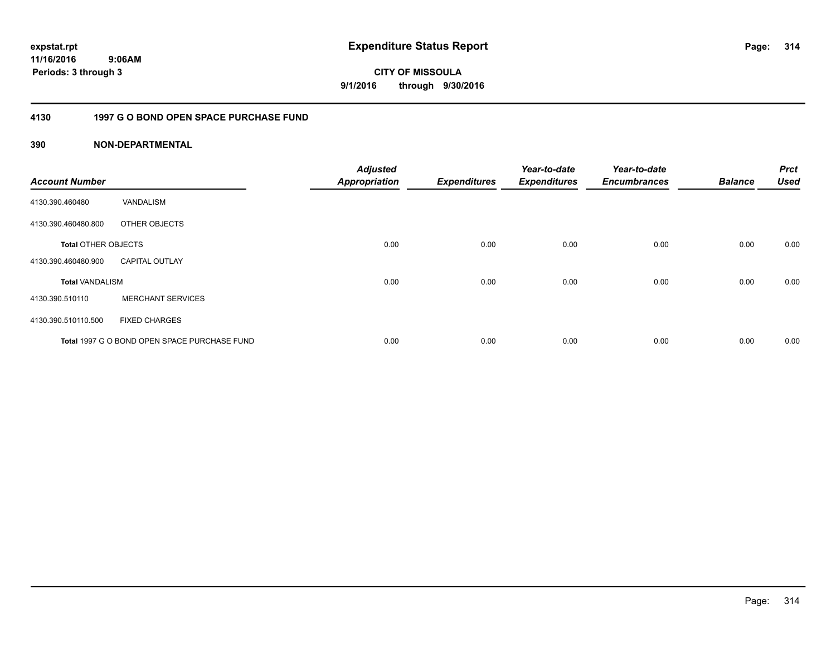**314**

**11/16/2016 9:06AM Periods: 3 through 3**

**CITY OF MISSOULA 9/1/2016 through 9/30/2016**

#### **4130 1997 G O BOND OPEN SPACE PURCHASE FUND**

| <b>Account Number</b>      |                                              | <b>Adjusted</b><br><b>Appropriation</b> | <b>Expenditures</b> | Year-to-date<br><b>Expenditures</b> | Year-to-date<br><b>Encumbrances</b> | <b>Balance</b> | <b>Prct</b><br><b>Used</b> |
|----------------------------|----------------------------------------------|-----------------------------------------|---------------------|-------------------------------------|-------------------------------------|----------------|----------------------------|
| 4130.390.460480            | VANDALISM                                    |                                         |                     |                                     |                                     |                |                            |
| 4130.390.460480.800        | OTHER OBJECTS                                |                                         |                     |                                     |                                     |                |                            |
| <b>Total OTHER OBJECTS</b> |                                              | 0.00                                    | 0.00                | 0.00                                | 0.00                                | 0.00           | 0.00                       |
| 4130.390.460480.900        | <b>CAPITAL OUTLAY</b>                        |                                         |                     |                                     |                                     |                |                            |
| <b>Total VANDALISM</b>     |                                              | 0.00                                    | 0.00                | 0.00                                | 0.00                                | 0.00           | 0.00                       |
| 4130.390.510110            | <b>MERCHANT SERVICES</b>                     |                                         |                     |                                     |                                     |                |                            |
| 4130.390.510110.500        | <b>FIXED CHARGES</b>                         |                                         |                     |                                     |                                     |                |                            |
|                            | Total 1997 G O BOND OPEN SPACE PURCHASE FUND | 0.00                                    | 0.00                | 0.00                                | 0.00                                | 0.00           | 0.00                       |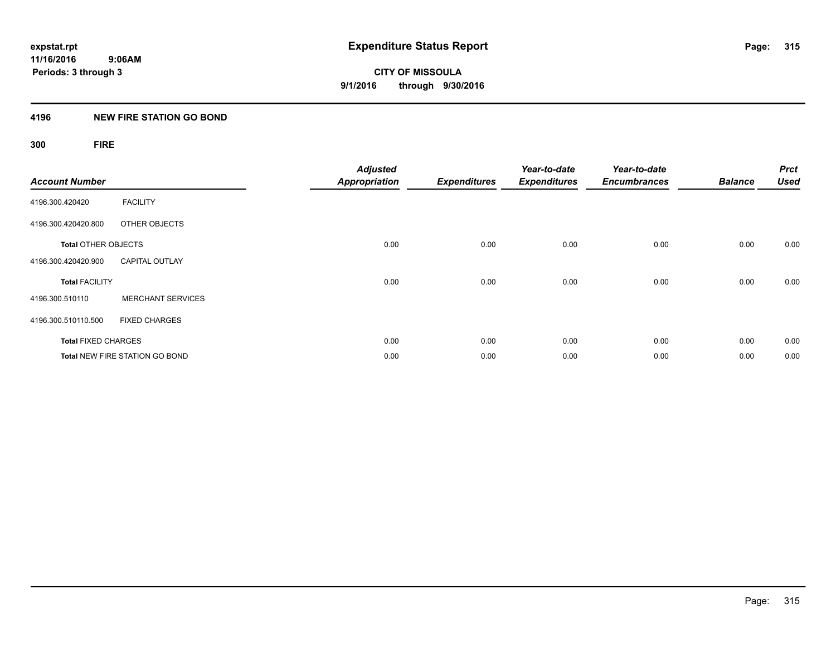#### **4196 NEW FIRE STATION GO BOND**

# **300 FIRE**

| <b>Account Number</b>      |                                       | <b>Adjusted</b><br><b>Appropriation</b> | <b>Expenditures</b> | Year-to-date<br><b>Expenditures</b> | Year-to-date<br><b>Encumbrances</b> | <b>Balance</b> | <b>Prct</b><br><b>Used</b> |
|----------------------------|---------------------------------------|-----------------------------------------|---------------------|-------------------------------------|-------------------------------------|----------------|----------------------------|
| 4196.300.420420            | <b>FACILITY</b>                       |                                         |                     |                                     |                                     |                |                            |
| 4196.300.420420.800        | OTHER OBJECTS                         |                                         |                     |                                     |                                     |                |                            |
| <b>Total OTHER OBJECTS</b> |                                       | 0.00                                    | 0.00                | 0.00                                | 0.00                                | 0.00           | 0.00                       |
| 4196.300.420420.900        | <b>CAPITAL OUTLAY</b>                 |                                         |                     |                                     |                                     |                |                            |
| <b>Total FACILITY</b>      |                                       | 0.00                                    | 0.00                | 0.00                                | 0.00                                | 0.00           | 0.00                       |
| 4196.300.510110            | <b>MERCHANT SERVICES</b>              |                                         |                     |                                     |                                     |                |                            |
| 4196.300.510110.500        | <b>FIXED CHARGES</b>                  |                                         |                     |                                     |                                     |                |                            |
| <b>Total FIXED CHARGES</b> |                                       | 0.00                                    | 0.00                | 0.00                                | 0.00                                | 0.00           | 0.00                       |
|                            | <b>Total NEW FIRE STATION GO BOND</b> | 0.00                                    | 0.00                | 0.00                                | 0.00                                | 0.00           | 0.00                       |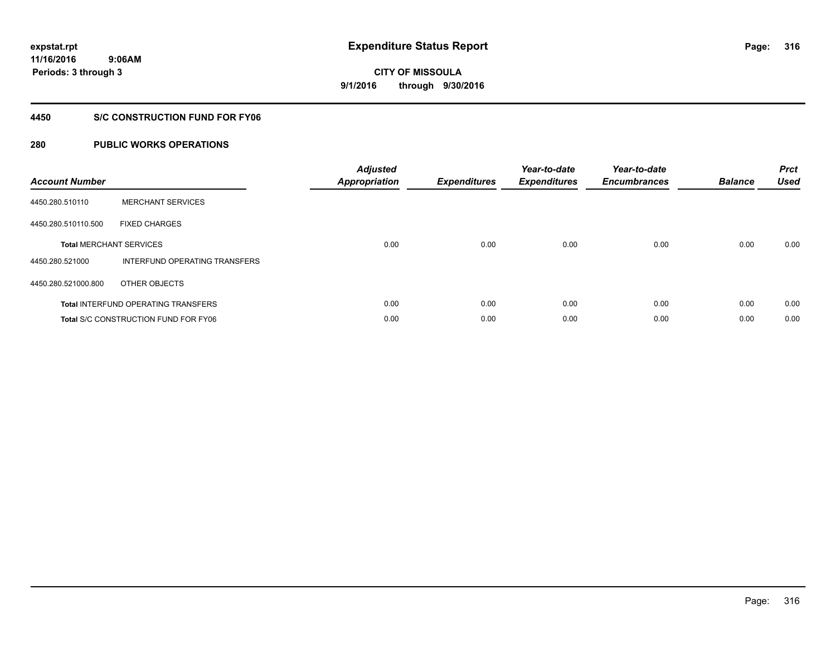**9:06AM Periods: 3 through 3**

# **CITY OF MISSOULA 9/1/2016 through 9/30/2016**

#### **4450 S/C CONSTRUCTION FUND FOR FY06**

| <b>Account Number</b> |                                             | <b>Adjusted</b><br>Appropriation | <b>Expenditures</b> | Year-to-date<br><b>Expenditures</b> | Year-to-date<br><b>Encumbrances</b> | <b>Balance</b> | <b>Prct</b><br><b>Used</b> |
|-----------------------|---------------------------------------------|----------------------------------|---------------------|-------------------------------------|-------------------------------------|----------------|----------------------------|
| 4450.280.510110       | <b>MERCHANT SERVICES</b>                    |                                  |                     |                                     |                                     |                |                            |
| 4450.280.510110.500   | <b>FIXED CHARGES</b>                        |                                  |                     |                                     |                                     |                |                            |
|                       | <b>Total MERCHANT SERVICES</b>              | 0.00                             | 0.00                | 0.00                                | 0.00                                | 0.00           | 0.00                       |
| 4450.280.521000       | INTERFUND OPERATING TRANSFERS               |                                  |                     |                                     |                                     |                |                            |
| 4450.280.521000.800   | OTHER OBJECTS                               |                                  |                     |                                     |                                     |                |                            |
|                       | <b>Total INTERFUND OPERATING TRANSFERS</b>  | 0.00                             | 0.00                | 0.00                                | 0.00                                | 0.00           | 0.00                       |
|                       | <b>Total S/C CONSTRUCTION FUND FOR FY06</b> | 0.00                             | 0.00                | 0.00                                | 0.00                                | 0.00           | 0.00                       |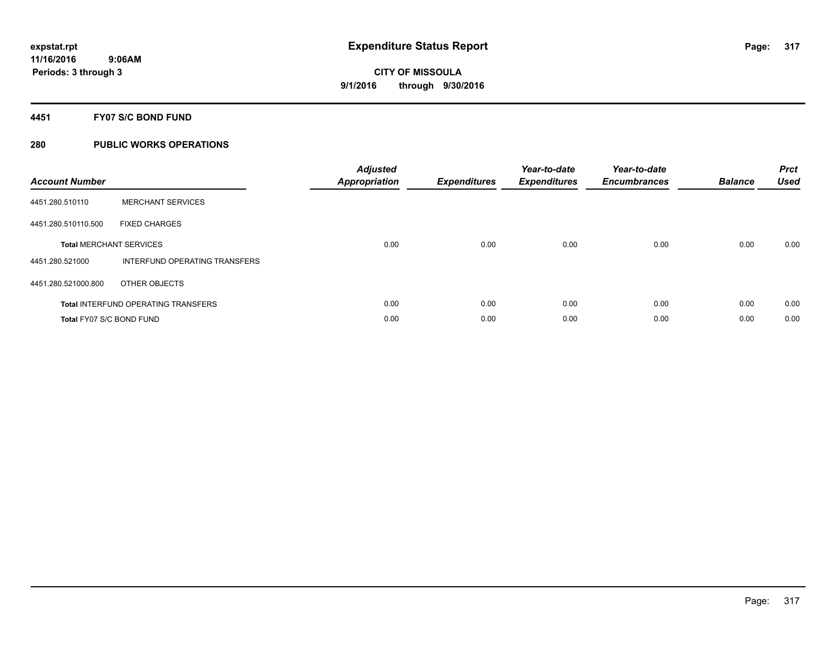#### **4451 FY07 S/C BOND FUND**

| <b>Account Number</b>    |                                            | <b>Adjusted</b><br>Appropriation | <b>Expenditures</b> | Year-to-date<br><b>Expenditures</b> | Year-to-date<br><b>Encumbrances</b> | <b>Balance</b> | <b>Prct</b><br><b>Used</b> |
|--------------------------|--------------------------------------------|----------------------------------|---------------------|-------------------------------------|-------------------------------------|----------------|----------------------------|
| 4451.280.510110          | <b>MERCHANT SERVICES</b>                   |                                  |                     |                                     |                                     |                |                            |
| 4451.280.510110.500      | <b>FIXED CHARGES</b>                       |                                  |                     |                                     |                                     |                |                            |
|                          | <b>Total MERCHANT SERVICES</b>             | 0.00                             | 0.00                | 0.00                                | 0.00                                | 0.00           | 0.00                       |
| 4451.280.521000          | INTERFUND OPERATING TRANSFERS              |                                  |                     |                                     |                                     |                |                            |
| 4451.280.521000.800      | OTHER OBJECTS                              |                                  |                     |                                     |                                     |                |                            |
|                          | <b>Total INTERFUND OPERATING TRANSFERS</b> | 0.00                             | 0.00                | 0.00                                | 0.00                                | 0.00           | 0.00                       |
| Total FY07 S/C BOND FUND |                                            | 0.00                             | 0.00                | 0.00                                | 0.00                                | 0.00           | 0.00                       |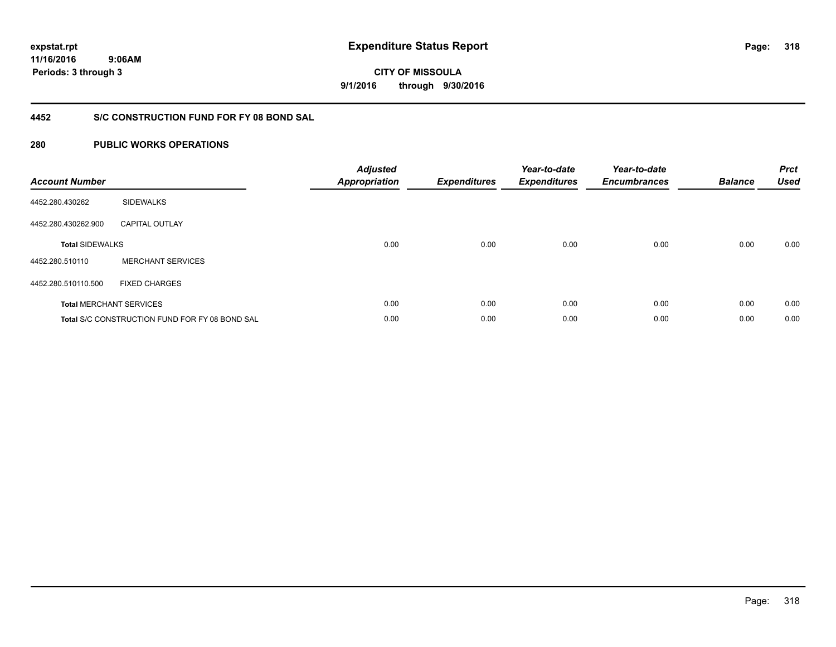**318**

**11/16/2016 9:06AM Periods: 3 through 3**

**CITY OF MISSOULA 9/1/2016 through 9/30/2016**

## **4452 S/C CONSTRUCTION FUND FOR FY 08 BOND SAL**

| <b>Account Number</b>  |                                                       | <b>Adjusted</b><br><b>Appropriation</b> | <b>Expenditures</b> | Year-to-date<br><b>Expenditures</b> | Year-to-date<br><b>Encumbrances</b> | <b>Balance</b> | <b>Prct</b><br><b>Used</b> |
|------------------------|-------------------------------------------------------|-----------------------------------------|---------------------|-------------------------------------|-------------------------------------|----------------|----------------------------|
| 4452.280.430262        | <b>SIDEWALKS</b>                                      |                                         |                     |                                     |                                     |                |                            |
| 4452.280.430262.900    | <b>CAPITAL OUTLAY</b>                                 |                                         |                     |                                     |                                     |                |                            |
| <b>Total SIDEWALKS</b> |                                                       | 0.00                                    | 0.00                | 0.00                                | 0.00                                | 0.00           | 0.00                       |
| 4452.280.510110        | <b>MERCHANT SERVICES</b>                              |                                         |                     |                                     |                                     |                |                            |
| 4452.280.510110.500    | <b>FIXED CHARGES</b>                                  |                                         |                     |                                     |                                     |                |                            |
|                        | <b>Total MERCHANT SERVICES</b>                        | 0.00                                    | 0.00                | 0.00                                | 0.00                                | 0.00           | 0.00                       |
|                        | <b>Total S/C CONSTRUCTION FUND FOR FY 08 BOND SAL</b> | 0.00                                    | 0.00                | 0.00                                | 0.00                                | 0.00           | 0.00                       |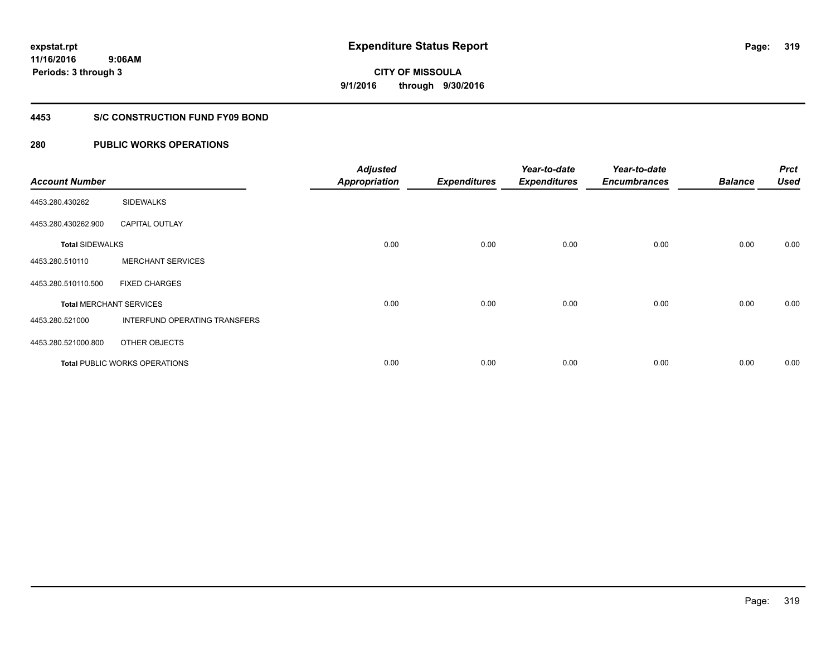**Periods: 3 through 3**

**CITY OF MISSOULA 9/1/2016 through 9/30/2016**

#### **4453 S/C CONSTRUCTION FUND FY09 BOND**

| <b>Account Number</b>  |                                | <b>Adjusted</b><br><b>Appropriation</b> | <b>Expenditures</b> | Year-to-date<br><b>Expenditures</b> | Year-to-date<br><b>Encumbrances</b> | <b>Balance</b> | <b>Prct</b><br><b>Used</b> |
|------------------------|--------------------------------|-----------------------------------------|---------------------|-------------------------------------|-------------------------------------|----------------|----------------------------|
| 4453.280.430262        | <b>SIDEWALKS</b>               |                                         |                     |                                     |                                     |                |                            |
| 4453.280.430262.900    | <b>CAPITAL OUTLAY</b>          |                                         |                     |                                     |                                     |                |                            |
| <b>Total SIDEWALKS</b> |                                | 0.00                                    | 0.00                | 0.00                                | 0.00                                | 0.00           | 0.00                       |
| 4453.280.510110        | <b>MERCHANT SERVICES</b>       |                                         |                     |                                     |                                     |                |                            |
| 4453.280.510110.500    | <b>FIXED CHARGES</b>           |                                         |                     |                                     |                                     |                |                            |
|                        | <b>Total MERCHANT SERVICES</b> | 0.00                                    | 0.00                | 0.00                                | 0.00                                | 0.00           | 0.00                       |
| 4453.280.521000        | INTERFUND OPERATING TRANSFERS  |                                         |                     |                                     |                                     |                |                            |
| 4453.280.521000.800    | OTHER OBJECTS                  |                                         |                     |                                     |                                     |                |                            |
|                        | Total PUBLIC WORKS OPERATIONS  | 0.00                                    | 0.00                | 0.00                                | 0.00                                | 0.00           | 0.00                       |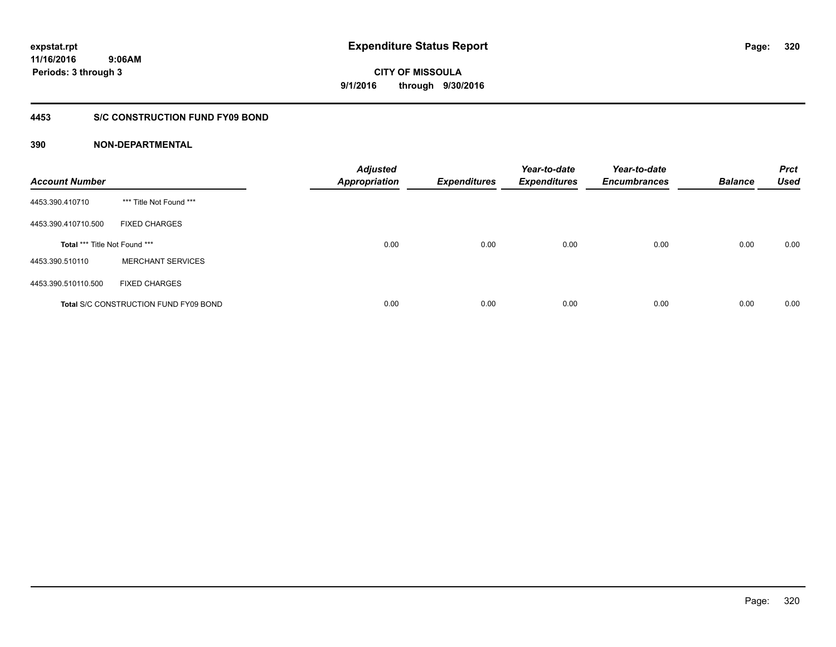#### **4453 S/C CONSTRUCTION FUND FY09 BOND**

| <b>Account Number</b>         |                                              | <b>Adjusted</b><br><b>Appropriation</b> | <b>Expenditures</b> | Year-to-date<br><b>Expenditures</b> | Year-to-date<br><b>Encumbrances</b> | <b>Balance</b> | <b>Prct</b><br><b>Used</b> |
|-------------------------------|----------------------------------------------|-----------------------------------------|---------------------|-------------------------------------|-------------------------------------|----------------|----------------------------|
| 4453.390.410710               | *** Title Not Found ***                      |                                         |                     |                                     |                                     |                |                            |
| 4453.390.410710.500           | <b>FIXED CHARGES</b>                         |                                         |                     |                                     |                                     |                |                            |
| Total *** Title Not Found *** |                                              | 0.00                                    | 0.00                | 0.00                                | 0.00                                | 0.00           | 0.00                       |
| 4453.390.510110               | <b>MERCHANT SERVICES</b>                     |                                         |                     |                                     |                                     |                |                            |
| 4453.390.510110.500           | <b>FIXED CHARGES</b>                         |                                         |                     |                                     |                                     |                |                            |
|                               | <b>Total S/C CONSTRUCTION FUND FY09 BOND</b> | 0.00                                    | 0.00                | 0.00                                | 0.00                                | 0.00           | 0.00                       |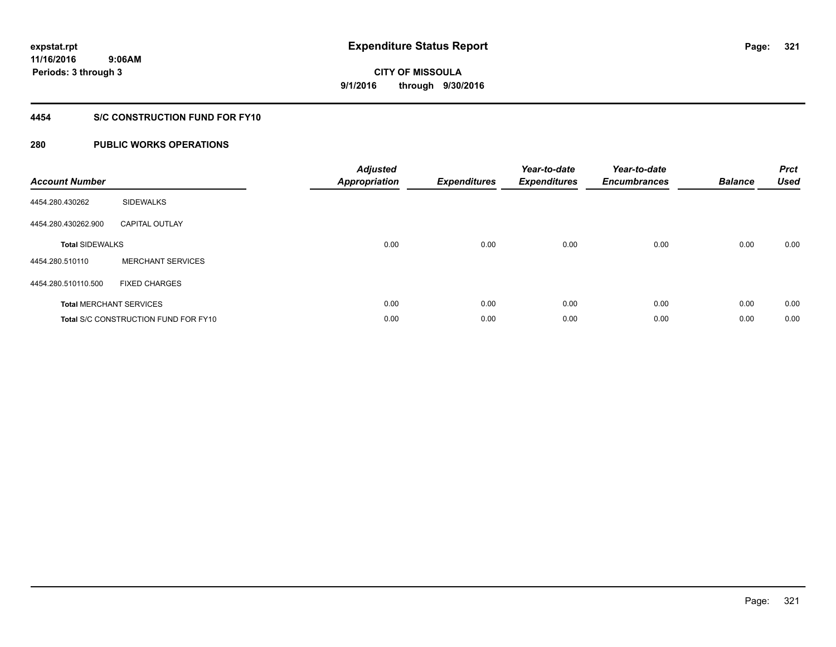#### **4454 S/C CONSTRUCTION FUND FOR FY10**

| <b>Account Number</b>          |                                             | <b>Adjusted</b><br><b>Appropriation</b> | <b>Expenditures</b> | Year-to-date<br><b>Expenditures</b> | Year-to-date<br><b>Encumbrances</b> | <b>Balance</b> | <b>Prct</b><br>Used |
|--------------------------------|---------------------------------------------|-----------------------------------------|---------------------|-------------------------------------|-------------------------------------|----------------|---------------------|
| 4454.280.430262                | <b>SIDEWALKS</b>                            |                                         |                     |                                     |                                     |                |                     |
| 4454.280.430262.900            | <b>CAPITAL OUTLAY</b>                       |                                         |                     |                                     |                                     |                |                     |
| <b>Total SIDEWALKS</b>         |                                             | 0.00                                    | 0.00                | 0.00                                | 0.00                                | 0.00           | 0.00                |
| 4454.280.510110                | <b>MERCHANT SERVICES</b>                    |                                         |                     |                                     |                                     |                |                     |
| 4454.280.510110.500            | <b>FIXED CHARGES</b>                        |                                         |                     |                                     |                                     |                |                     |
| <b>Total MERCHANT SERVICES</b> |                                             | 0.00                                    | 0.00                | 0.00                                | 0.00                                | 0.00           | 0.00                |
|                                | <b>Total S/C CONSTRUCTION FUND FOR FY10</b> | 0.00                                    | 0.00                | 0.00                                | 0.00                                | 0.00           | 0.00                |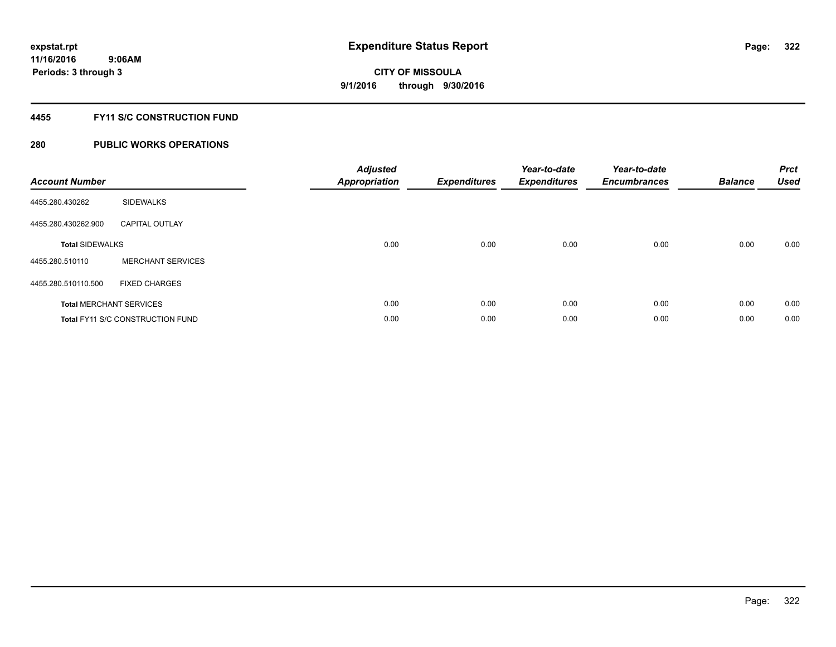#### **4455 FY11 S/C CONSTRUCTION FUND**

| <b>Account Number</b>  |                                         | <b>Adjusted</b><br>Appropriation | <b>Expenditures</b> | Year-to-date<br><b>Expenditures</b> | Year-to-date<br><b>Encumbrances</b> | <b>Balance</b> | <b>Prct</b><br>Used |
|------------------------|-----------------------------------------|----------------------------------|---------------------|-------------------------------------|-------------------------------------|----------------|---------------------|
| 4455.280.430262        | <b>SIDEWALKS</b>                        |                                  |                     |                                     |                                     |                |                     |
| 4455.280.430262.900    | <b>CAPITAL OUTLAY</b>                   |                                  |                     |                                     |                                     |                |                     |
| <b>Total SIDEWALKS</b> |                                         | 0.00                             | 0.00                | 0.00                                | 0.00                                | 0.00           | 0.00                |
| 4455.280.510110        | <b>MERCHANT SERVICES</b>                |                                  |                     |                                     |                                     |                |                     |
| 4455.280.510110.500    | <b>FIXED CHARGES</b>                    |                                  |                     |                                     |                                     |                |                     |
|                        | <b>Total MERCHANT SERVICES</b>          | 0.00                             | 0.00                | 0.00                                | 0.00                                | 0.00           | 0.00                |
|                        | <b>Total FY11 S/C CONSTRUCTION FUND</b> | 0.00                             | 0.00                | 0.00                                | 0.00                                | 0.00           | 0.00                |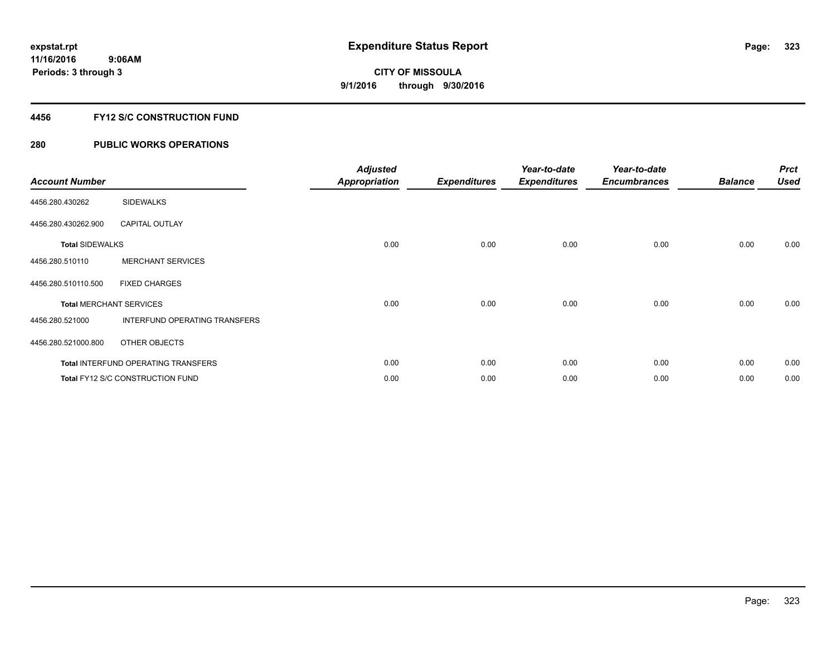#### **4456 FY12 S/C CONSTRUCTION FUND**

| <b>Account Number</b>          |                                            | <b>Adjusted</b><br><b>Appropriation</b> | <b>Expenditures</b> | Year-to-date<br><b>Expenditures</b> | Year-to-date<br><b>Encumbrances</b> | <b>Balance</b> | <b>Prct</b><br><b>Used</b> |
|--------------------------------|--------------------------------------------|-----------------------------------------|---------------------|-------------------------------------|-------------------------------------|----------------|----------------------------|
| 4456.280.430262                | <b>SIDEWALKS</b>                           |                                         |                     |                                     |                                     |                |                            |
| 4456.280.430262.900            | <b>CAPITAL OUTLAY</b>                      |                                         |                     |                                     |                                     |                |                            |
| <b>Total SIDEWALKS</b>         |                                            | 0.00                                    | 0.00                | 0.00                                | 0.00                                | 0.00           | 0.00                       |
| 4456.280.510110                | <b>MERCHANT SERVICES</b>                   |                                         |                     |                                     |                                     |                |                            |
| 4456.280.510110.500            | <b>FIXED CHARGES</b>                       |                                         |                     |                                     |                                     |                |                            |
| <b>Total MERCHANT SERVICES</b> |                                            | 0.00                                    | 0.00                | 0.00                                | 0.00                                | 0.00           | 0.00                       |
| 4456.280.521000                | INTERFUND OPERATING TRANSFERS              |                                         |                     |                                     |                                     |                |                            |
| 4456.280.521000.800            | OTHER OBJECTS                              |                                         |                     |                                     |                                     |                |                            |
|                                | <b>Total INTERFUND OPERATING TRANSFERS</b> | 0.00                                    | 0.00                | 0.00                                | 0.00                                | 0.00           | 0.00                       |
|                                | Total FY12 S/C CONSTRUCTION FUND           | 0.00                                    | 0.00                | 0.00                                | 0.00                                | 0.00           | 0.00                       |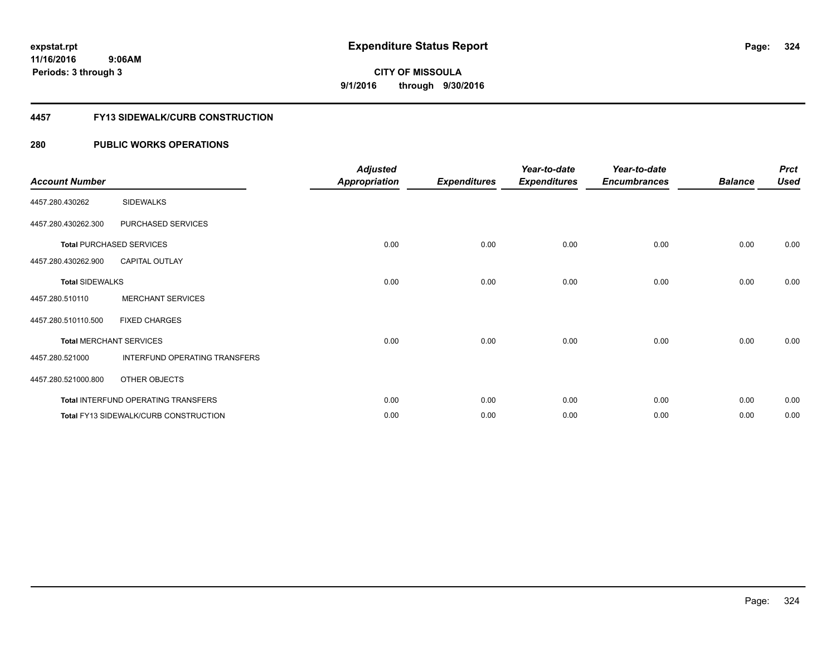#### **4457 FY13 SIDEWALK/CURB CONSTRUCTION**

| <b>Account Number</b>  |                                              | <b>Adjusted</b><br><b>Appropriation</b> | <b>Expenditures</b> | Year-to-date<br><b>Expenditures</b> | Year-to-date<br><b>Encumbrances</b> | <b>Balance</b> | <b>Prct</b><br><b>Used</b> |
|------------------------|----------------------------------------------|-----------------------------------------|---------------------|-------------------------------------|-------------------------------------|----------------|----------------------------|
| 4457.280.430262        | <b>SIDEWALKS</b>                             |                                         |                     |                                     |                                     |                |                            |
| 4457.280.430262.300    | PURCHASED SERVICES                           |                                         |                     |                                     |                                     |                |                            |
|                        | <b>Total PURCHASED SERVICES</b>              | 0.00                                    | 0.00                | 0.00                                | 0.00                                | 0.00           | 0.00                       |
| 4457.280.430262.900    | <b>CAPITAL OUTLAY</b>                        |                                         |                     |                                     |                                     |                |                            |
| <b>Total SIDEWALKS</b> |                                              | 0.00                                    | 0.00                | 0.00                                | 0.00                                | 0.00           | 0.00                       |
| 4457.280.510110        | <b>MERCHANT SERVICES</b>                     |                                         |                     |                                     |                                     |                |                            |
| 4457.280.510110.500    | <b>FIXED CHARGES</b>                         |                                         |                     |                                     |                                     |                |                            |
|                        | <b>Total MERCHANT SERVICES</b>               | 0.00                                    | 0.00                | 0.00                                | 0.00                                | 0.00           | 0.00                       |
| 4457.280.521000        | INTERFUND OPERATING TRANSFERS                |                                         |                     |                                     |                                     |                |                            |
| 4457.280.521000.800    | OTHER OBJECTS                                |                                         |                     |                                     |                                     |                |                            |
|                        | Total INTERFUND OPERATING TRANSFERS          | 0.00                                    | 0.00                | 0.00                                | 0.00                                | 0.00           | 0.00                       |
|                        | <b>Total FY13 SIDEWALK/CURB CONSTRUCTION</b> | 0.00                                    | 0.00                | 0.00                                | 0.00                                | 0.00           | 0.00                       |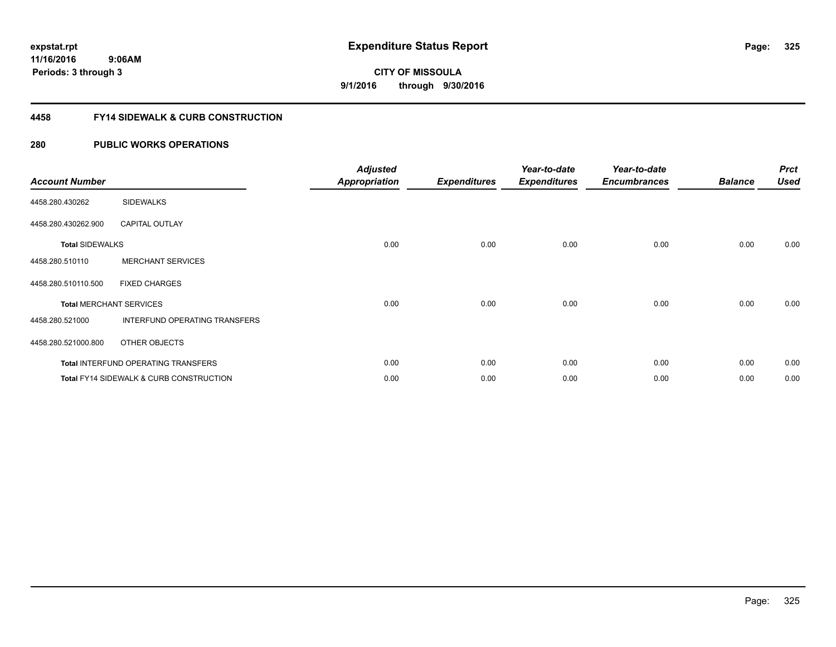#### **4458 FY14 SIDEWALK & CURB CONSTRUCTION**

| <b>Account Number</b>  |                                                    | <b>Adjusted</b><br>Appropriation | <b>Expenditures</b> | Year-to-date<br><b>Expenditures</b> | Year-to-date<br><b>Encumbrances</b> | <b>Balance</b> | <b>Prct</b><br><b>Used</b> |
|------------------------|----------------------------------------------------|----------------------------------|---------------------|-------------------------------------|-------------------------------------|----------------|----------------------------|
| 4458.280.430262        | <b>SIDEWALKS</b>                                   |                                  |                     |                                     |                                     |                |                            |
| 4458.280.430262.900    | <b>CAPITAL OUTLAY</b>                              |                                  |                     |                                     |                                     |                |                            |
| <b>Total SIDEWALKS</b> |                                                    | 0.00                             | 0.00                | 0.00                                | 0.00                                | 0.00           | 0.00                       |
| 4458.280.510110        | <b>MERCHANT SERVICES</b>                           |                                  |                     |                                     |                                     |                |                            |
| 4458.280.510110.500    | <b>FIXED CHARGES</b>                               |                                  |                     |                                     |                                     |                |                            |
|                        | <b>Total MERCHANT SERVICES</b>                     | 0.00                             | 0.00                | 0.00                                | 0.00                                | 0.00           | 0.00                       |
| 4458.280.521000        | INTERFUND OPERATING TRANSFERS                      |                                  |                     |                                     |                                     |                |                            |
| 4458.280.521000.800    | OTHER OBJECTS                                      |                                  |                     |                                     |                                     |                |                            |
|                        | Total INTERFUND OPERATING TRANSFERS                | 0.00                             | 0.00                | 0.00                                | 0.00                                | 0.00           | 0.00                       |
|                        | <b>Total FY14 SIDEWALK &amp; CURB CONSTRUCTION</b> | 0.00                             | 0.00                | 0.00                                | 0.00                                | 0.00           | 0.00                       |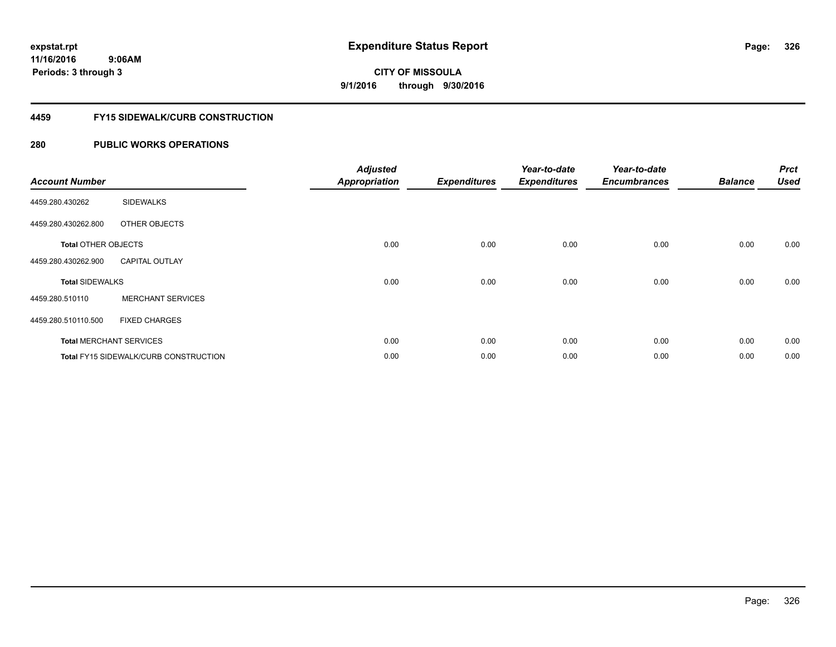#### **4459 FY15 SIDEWALK/CURB CONSTRUCTION**

| <b>Account Number</b>      |                                       | <b>Adjusted</b><br><b>Appropriation</b> | <b>Expenditures</b> | Year-to-date<br><b>Expenditures</b> | Year-to-date<br><b>Encumbrances</b> | <b>Balance</b> | <b>Prct</b><br><b>Used</b> |
|----------------------------|---------------------------------------|-----------------------------------------|---------------------|-------------------------------------|-------------------------------------|----------------|----------------------------|
| 4459.280.430262            | <b>SIDEWALKS</b>                      |                                         |                     |                                     |                                     |                |                            |
| 4459.280.430262.800        | OTHER OBJECTS                         |                                         |                     |                                     |                                     |                |                            |
| <b>Total OTHER OBJECTS</b> |                                       | 0.00                                    | 0.00                | 0.00                                | 0.00                                | 0.00           | 0.00                       |
| 4459.280.430262.900        | <b>CAPITAL OUTLAY</b>                 |                                         |                     |                                     |                                     |                |                            |
| <b>Total SIDEWALKS</b>     |                                       | 0.00                                    | 0.00                | 0.00                                | 0.00                                | 0.00           | 0.00                       |
| 4459.280.510110            | <b>MERCHANT SERVICES</b>              |                                         |                     |                                     |                                     |                |                            |
| 4459.280.510110.500        | <b>FIXED CHARGES</b>                  |                                         |                     |                                     |                                     |                |                            |
|                            | <b>Total MERCHANT SERVICES</b>        | 0.00                                    | 0.00                | 0.00                                | 0.00                                | 0.00           | 0.00                       |
|                            | Total FY15 SIDEWALK/CURB CONSTRUCTION | 0.00                                    | 0.00                | 0.00                                | 0.00                                | 0.00           | 0.00                       |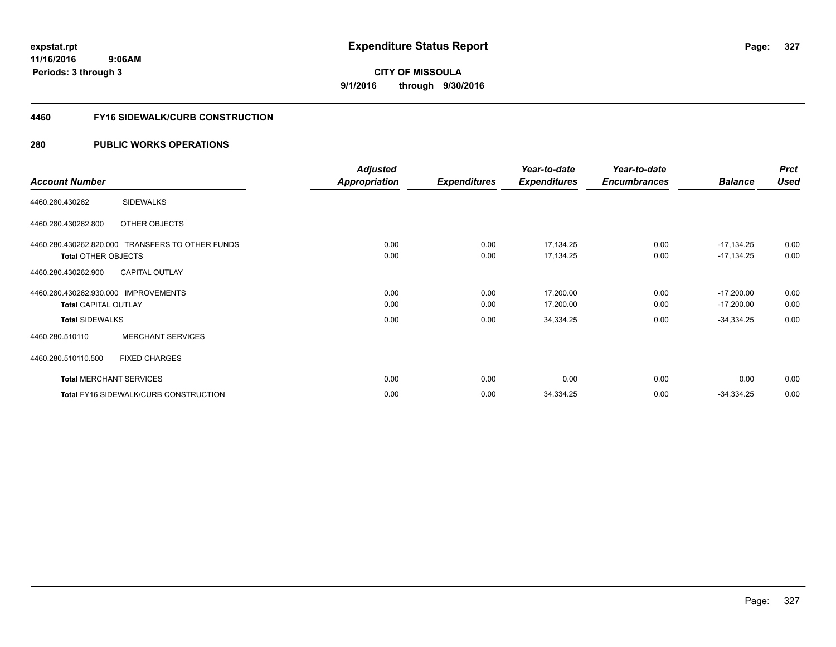**327**

**11/16/2016 9:06AM Periods: 3 through 3**

**CITY OF MISSOULA 9/1/2016 through 9/30/2016**

#### **4460 FY16 SIDEWALK/CURB CONSTRUCTION**

|                                                  | <b>Adjusted</b> |                     | Year-to-date        | Year-to-date        |                | <b>Prct</b> |
|--------------------------------------------------|-----------------|---------------------|---------------------|---------------------|----------------|-------------|
| <b>Account Number</b>                            | Appropriation   | <b>Expenditures</b> | <b>Expenditures</b> | <b>Encumbrances</b> | <b>Balance</b> | <b>Used</b> |
| <b>SIDEWALKS</b><br>4460.280.430262              |                 |                     |                     |                     |                |             |
| OTHER OBJECTS<br>4460.280.430262.800             |                 |                     |                     |                     |                |             |
| 4460.280.430262.820.000 TRANSFERS TO OTHER FUNDS | 0.00            | 0.00                | 17,134.25           | 0.00                | $-17,134.25$   | 0.00        |
| <b>Total OTHER OBJECTS</b>                       | 0.00            | 0.00                | 17,134.25           | 0.00                | $-17,134.25$   | 0.00        |
| <b>CAPITAL OUTLAY</b><br>4460.280.430262.900     |                 |                     |                     |                     |                |             |
| 4460.280.430262.930.000 IMPROVEMENTS             | 0.00            | 0.00                | 17,200.00           | 0.00                | $-17,200.00$   | 0.00        |
| <b>Total CAPITAL OUTLAY</b>                      | 0.00            | 0.00                | 17,200.00           | 0.00                | $-17,200.00$   | 0.00        |
| <b>Total SIDEWALKS</b>                           | 0.00            | 0.00                | 34,334.25           | 0.00                | $-34,334.25$   | 0.00        |
| <b>MERCHANT SERVICES</b><br>4460.280.510110      |                 |                     |                     |                     |                |             |
| 4460.280.510110.500<br><b>FIXED CHARGES</b>      |                 |                     |                     |                     |                |             |
| <b>Total MERCHANT SERVICES</b>                   | 0.00            | 0.00                | 0.00                | 0.00                | 0.00           | 0.00        |
| <b>Total FY16 SIDEWALK/CURB CONSTRUCTION</b>     | 0.00            | 0.00                | 34,334.25           | 0.00                | $-34,334.25$   | 0.00        |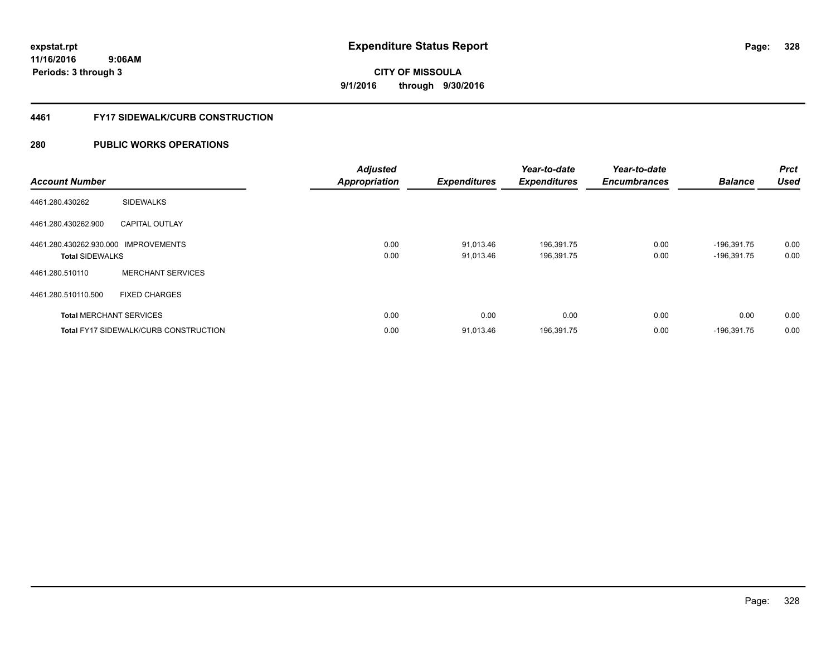#### **4461 FY17 SIDEWALK/CURB CONSTRUCTION**

| <b>Account Number</b>                                          |                                              | <b>Adjusted</b><br><b>Appropriation</b> | <b>Expenditures</b>    | Year-to-date<br><b>Expenditures</b> | Year-to-date<br><b>Encumbrances</b> | <b>Balance</b>                 | <b>Prct</b><br><b>Used</b> |
|----------------------------------------------------------------|----------------------------------------------|-----------------------------------------|------------------------|-------------------------------------|-------------------------------------|--------------------------------|----------------------------|
| 4461.280.430262                                                | <b>SIDEWALKS</b>                             |                                         |                        |                                     |                                     |                                |                            |
| 4461.280.430262.900                                            | <b>CAPITAL OUTLAY</b>                        |                                         |                        |                                     |                                     |                                |                            |
| 4461.280.430262.930.000 IMPROVEMENTS<br><b>Total SIDEWALKS</b> |                                              | 0.00<br>0.00                            | 91,013.46<br>91.013.46 | 196,391.75<br>196,391.75            | 0.00<br>0.00                        | $-196,391.75$<br>$-196,391.75$ | 0.00<br>0.00               |
| 4461.280.510110                                                | <b>MERCHANT SERVICES</b>                     |                                         |                        |                                     |                                     |                                |                            |
| 4461.280.510110.500                                            | <b>FIXED CHARGES</b>                         |                                         |                        |                                     |                                     |                                |                            |
|                                                                | <b>Total MERCHANT SERVICES</b>               | 0.00                                    | 0.00                   | 0.00                                | 0.00                                | 0.00                           | 0.00                       |
|                                                                | <b>Total FY17 SIDEWALK/CURB CONSTRUCTION</b> | 0.00                                    | 91,013.46              | 196,391.75                          | 0.00                                | $-196,391.75$                  | 0.00                       |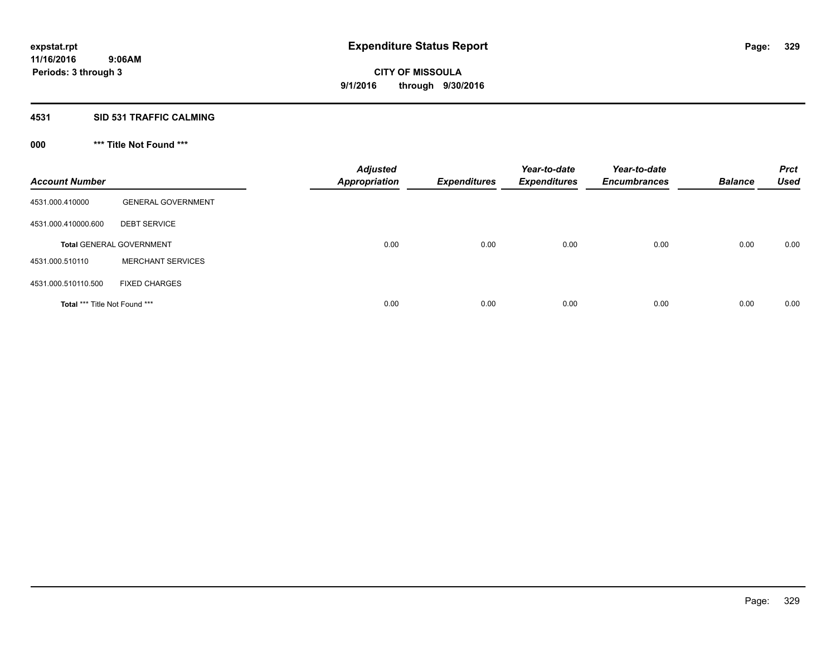## **4531 SID 531 TRAFFIC CALMING**

## **000 \*\*\* Title Not Found \*\*\***

| <b>Account Number</b>         |                                 | <b>Adjusted</b><br><b>Appropriation</b> | <b>Expenditures</b> | Year-to-date<br><b>Expenditures</b> | Year-to-date<br><b>Encumbrances</b> | <b>Balance</b> | <b>Prct</b><br><b>Used</b> |
|-------------------------------|---------------------------------|-----------------------------------------|---------------------|-------------------------------------|-------------------------------------|----------------|----------------------------|
| 4531.000.410000               | <b>GENERAL GOVERNMENT</b>       |                                         |                     |                                     |                                     |                |                            |
| 4531.000.410000.600           | <b>DEBT SERVICE</b>             |                                         |                     |                                     |                                     |                |                            |
|                               | <b>Total GENERAL GOVERNMENT</b> | 0.00                                    | 0.00                | 0.00                                | 0.00                                | 0.00           | 0.00                       |
| 4531.000.510110               | <b>MERCHANT SERVICES</b>        |                                         |                     |                                     |                                     |                |                            |
| 4531.000.510110.500           | <b>FIXED CHARGES</b>            |                                         |                     |                                     |                                     |                |                            |
| Total *** Title Not Found *** |                                 | 0.00                                    | 0.00                | 0.00                                | 0.00                                | 0.00           | 0.00                       |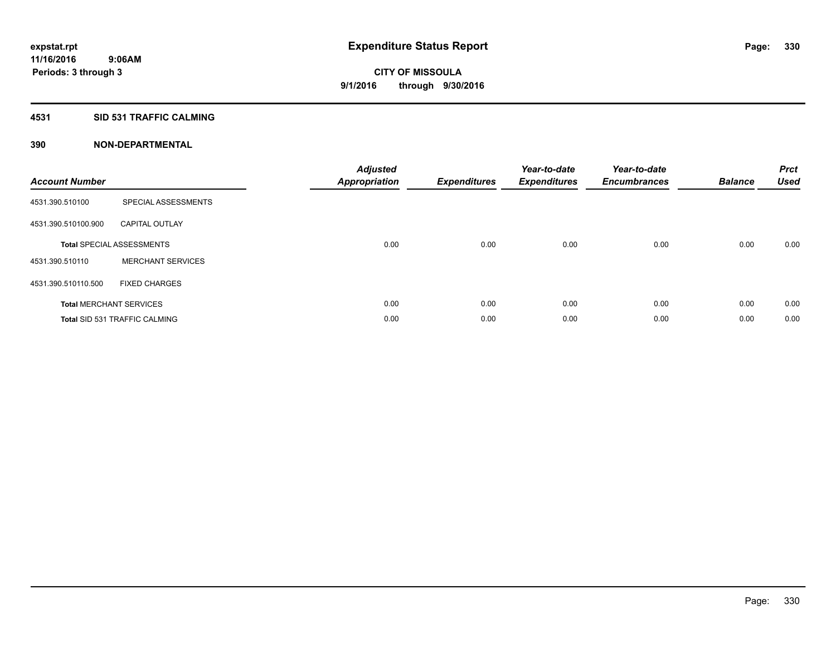#### **4531 SID 531 TRAFFIC CALMING**

| <b>Account Number</b> |                                      | <b>Adjusted</b><br><b>Appropriation</b> | <b>Expenditures</b> | Year-to-date<br><b>Expenditures</b> | Year-to-date<br><b>Encumbrances</b> | <b>Balance</b> | <b>Prct</b><br><b>Used</b> |
|-----------------------|--------------------------------------|-----------------------------------------|---------------------|-------------------------------------|-------------------------------------|----------------|----------------------------|
| 4531.390.510100       | SPECIAL ASSESSMENTS                  |                                         |                     |                                     |                                     |                |                            |
| 4531.390.510100.900   | <b>CAPITAL OUTLAY</b>                |                                         |                     |                                     |                                     |                |                            |
|                       | <b>Total SPECIAL ASSESSMENTS</b>     | 0.00                                    | 0.00                | 0.00                                | 0.00                                | 0.00           | 0.00                       |
| 4531.390.510110       | <b>MERCHANT SERVICES</b>             |                                         |                     |                                     |                                     |                |                            |
| 4531.390.510110.500   | <b>FIXED CHARGES</b>                 |                                         |                     |                                     |                                     |                |                            |
|                       | <b>Total MERCHANT SERVICES</b>       | 0.00                                    | 0.00                | 0.00                                | 0.00                                | 0.00           | 0.00                       |
|                       | <b>Total SID 531 TRAFFIC CALMING</b> | 0.00                                    | 0.00                | 0.00                                | 0.00                                | 0.00           | 0.00                       |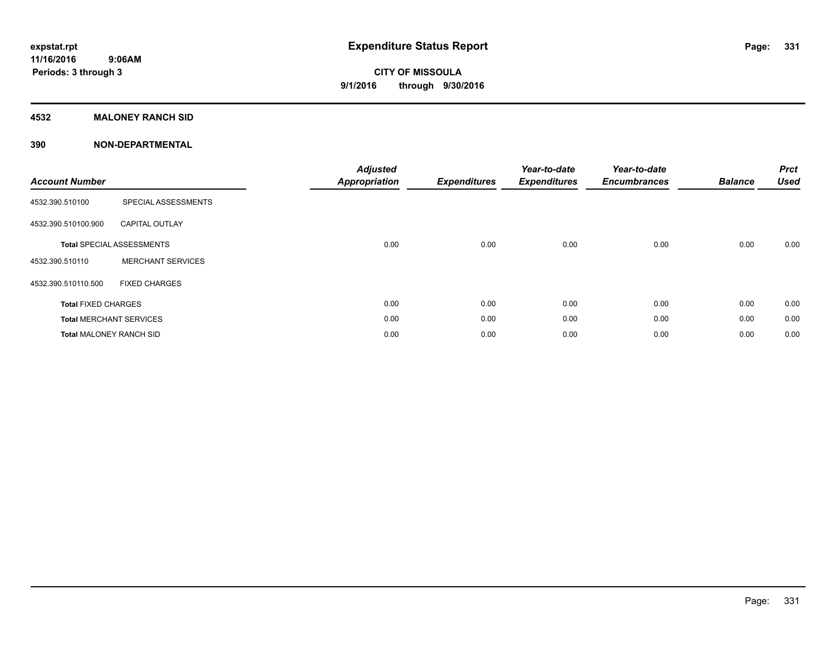### **4532 MALONEY RANCH SID**

| <b>Account Number</b>          |                                  | <b>Adjusted</b><br><b>Appropriation</b> | <b>Expenditures</b> | Year-to-date<br><b>Expenditures</b> | Year-to-date<br><b>Encumbrances</b> | <b>Balance</b> | <b>Prct</b><br><b>Used</b> |
|--------------------------------|----------------------------------|-----------------------------------------|---------------------|-------------------------------------|-------------------------------------|----------------|----------------------------|
| 4532.390.510100                | SPECIAL ASSESSMENTS              |                                         |                     |                                     |                                     |                |                            |
| 4532.390.510100.900            | <b>CAPITAL OUTLAY</b>            |                                         |                     |                                     |                                     |                |                            |
|                                | <b>Total SPECIAL ASSESSMENTS</b> | 0.00                                    | 0.00                | 0.00                                | 0.00                                | 0.00           | 0.00                       |
| 4532.390.510110                | <b>MERCHANT SERVICES</b>         |                                         |                     |                                     |                                     |                |                            |
| 4532.390.510110.500            | <b>FIXED CHARGES</b>             |                                         |                     |                                     |                                     |                |                            |
| <b>Total FIXED CHARGES</b>     |                                  | 0.00                                    | 0.00                | 0.00                                | 0.00                                | 0.00           | 0.00                       |
|                                | <b>Total MERCHANT SERVICES</b>   | 0.00                                    | 0.00                | 0.00                                | 0.00                                | 0.00           | 0.00                       |
| <b>Total MALONEY RANCH SID</b> |                                  | 0.00                                    | 0.00                | 0.00                                | 0.00                                | 0.00           | 0.00                       |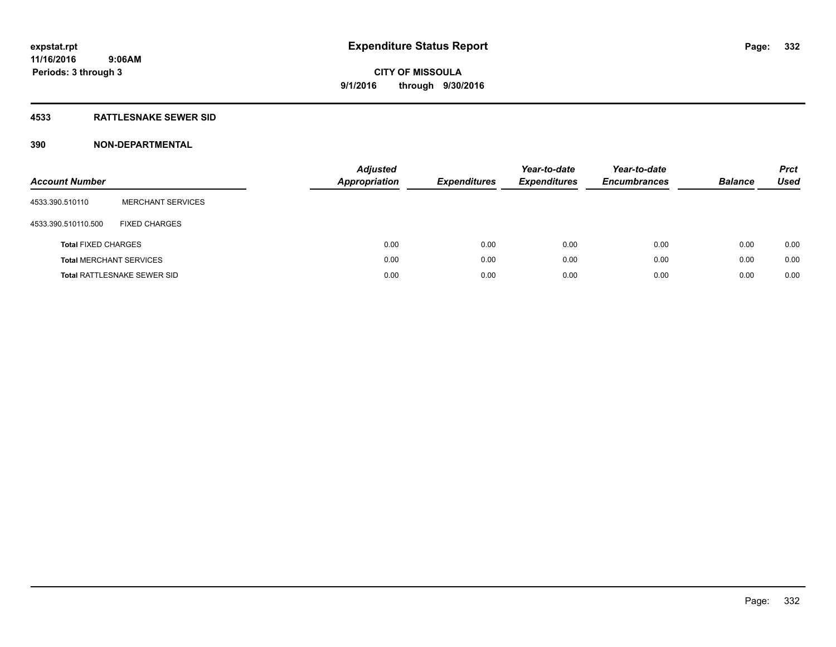### **4533 RATTLESNAKE SEWER SID**

| <b>Account Number</b>          |                                    | <b>Adjusted</b><br>Appropriation | <b>Expenditures</b> | Year-to-date<br><b>Expenditures</b> | Year-to-date<br><b>Encumbrances</b> | <b>Balance</b> | <b>Prct</b><br>Used |
|--------------------------------|------------------------------------|----------------------------------|---------------------|-------------------------------------|-------------------------------------|----------------|---------------------|
| 4533.390.510110                | <b>MERCHANT SERVICES</b>           |                                  |                     |                                     |                                     |                |                     |
| 4533.390.510110.500            | <b>FIXED CHARGES</b>               |                                  |                     |                                     |                                     |                |                     |
| <b>Total FIXED CHARGES</b>     |                                    | 0.00                             | 0.00                | 0.00                                | 0.00                                | 0.00           | 0.00                |
| <b>Total MERCHANT SERVICES</b> |                                    | 0.00                             | 0.00                | 0.00                                | 0.00                                | 0.00           | 0.00                |
|                                | <b>Total RATTLESNAKE SEWER SID</b> | 0.00                             | 0.00                | 0.00                                | 0.00                                | 0.00           | 0.00                |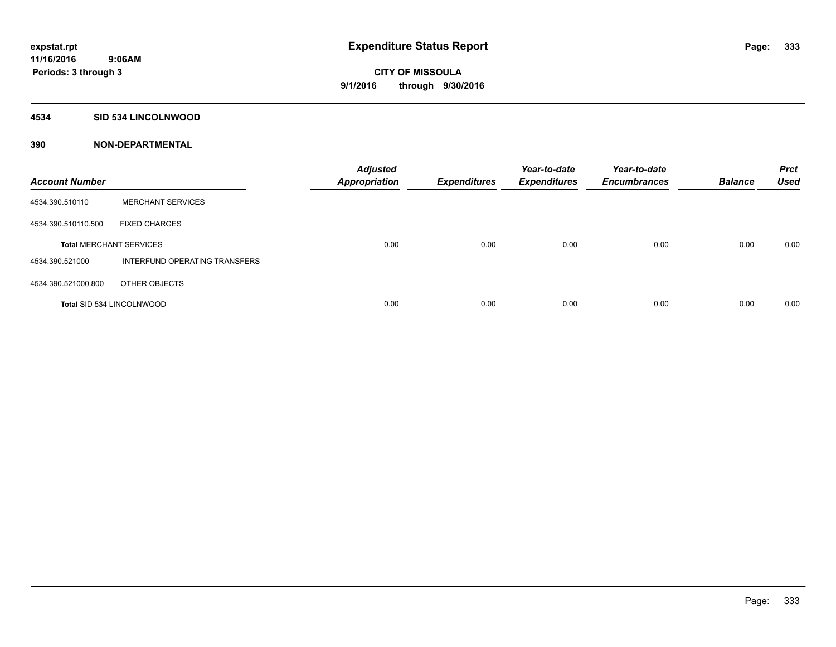#### **4534 SID 534 LINCOLNWOOD**

| <b>Account Number</b>            |                               | <b>Adjusted</b><br><b>Appropriation</b> | <b>Expenditures</b> | Year-to-date<br><b>Expenditures</b> | Year-to-date<br><b>Encumbrances</b> | <b>Balance</b> | <b>Prct</b><br><b>Used</b> |
|----------------------------------|-------------------------------|-----------------------------------------|---------------------|-------------------------------------|-------------------------------------|----------------|----------------------------|
| 4534.390.510110                  | <b>MERCHANT SERVICES</b>      |                                         |                     |                                     |                                     |                |                            |
| 4534.390.510110.500              | <b>FIXED CHARGES</b>          |                                         |                     |                                     |                                     |                |                            |
| <b>Total MERCHANT SERVICES</b>   |                               | 0.00                                    | 0.00                | 0.00                                | 0.00                                | 0.00           | 0.00                       |
| 4534.390.521000                  | INTERFUND OPERATING TRANSFERS |                                         |                     |                                     |                                     |                |                            |
| 4534.390.521000.800              | OTHER OBJECTS                 |                                         |                     |                                     |                                     |                |                            |
| <b>Total SID 534 LINCOLNWOOD</b> |                               | 0.00                                    | 0.00                | 0.00                                | 0.00                                | 0.00           | 0.00                       |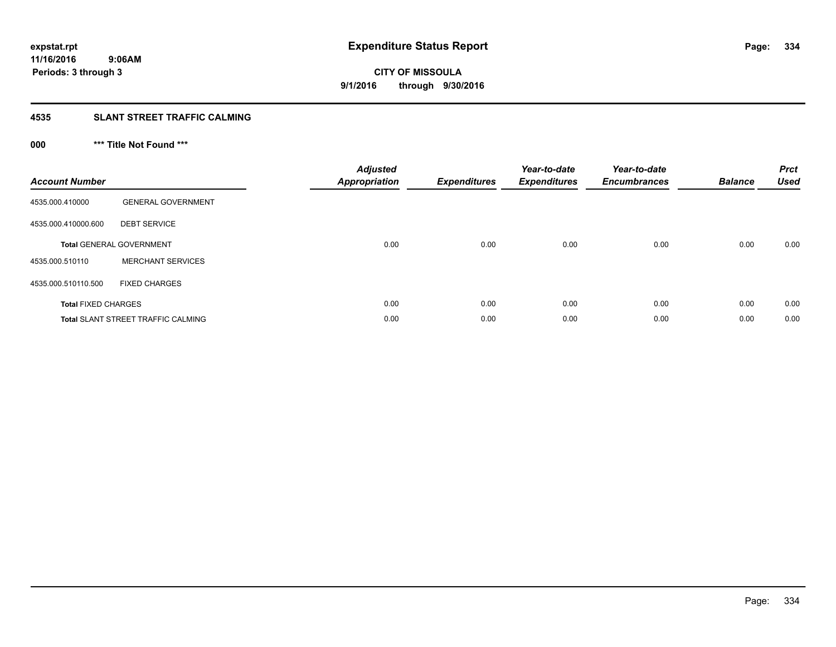# **4535 SLANT STREET TRAFFIC CALMING**

## **000 \*\*\* Title Not Found \*\*\***

| <b>Account Number</b>      |                                           | <b>Adjusted</b><br>Appropriation | <b>Expenditures</b> | Year-to-date<br><b>Expenditures</b> | Year-to-date<br><b>Encumbrances</b> | <b>Balance</b> | <b>Prct</b><br><b>Used</b> |
|----------------------------|-------------------------------------------|----------------------------------|---------------------|-------------------------------------|-------------------------------------|----------------|----------------------------|
| 4535.000.410000            | <b>GENERAL GOVERNMENT</b>                 |                                  |                     |                                     |                                     |                |                            |
| 4535.000.410000.600        | <b>DEBT SERVICE</b>                       |                                  |                     |                                     |                                     |                |                            |
|                            | <b>Total GENERAL GOVERNMENT</b>           | 0.00                             | 0.00                | 0.00                                | 0.00                                | 0.00           | 0.00                       |
| 4535.000.510110            | <b>MERCHANT SERVICES</b>                  |                                  |                     |                                     |                                     |                |                            |
| 4535.000.510110.500        | <b>FIXED CHARGES</b>                      |                                  |                     |                                     |                                     |                |                            |
| <b>Total FIXED CHARGES</b> |                                           | 0.00                             | 0.00                | 0.00                                | 0.00                                | 0.00           | 0.00                       |
|                            | <b>Total SLANT STREET TRAFFIC CALMING</b> | 0.00                             | 0.00                | 0.00                                | 0.00                                | 0.00           | 0.00                       |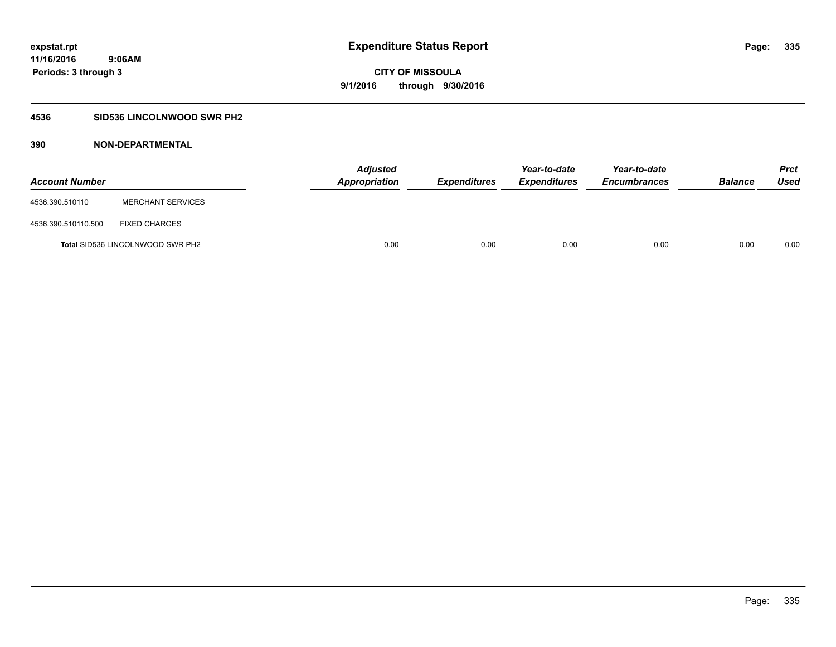### **4536 SID536 LINCOLNWOOD SWR PH2**

| <b>Account Number</b> |                                         | <b>Adjusted</b><br>Appropriation | <b>Expenditures</b> | Year-to-date<br><b>Expenditures</b> | Year-to-date<br><b>Encumbrances</b> | <b>Balance</b> | Prct<br><b>Used</b> |
|-----------------------|-----------------------------------------|----------------------------------|---------------------|-------------------------------------|-------------------------------------|----------------|---------------------|
| 4536.390.510110       | <b>MERCHANT SERVICES</b>                |                                  |                     |                                     |                                     |                |                     |
| 4536.390.510110.500   | <b>FIXED CHARGES</b>                    |                                  |                     |                                     |                                     |                |                     |
|                       | <b>Total SID536 LINCOLNWOOD SWR PH2</b> | 0.00                             | 0.00                | 0.00                                | 0.00                                | 0.00           | 0.00                |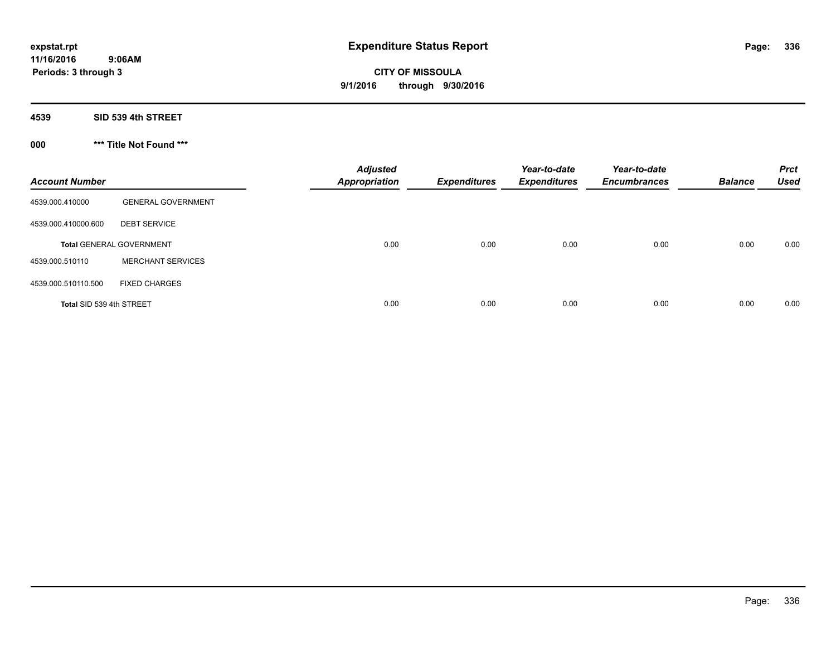**Periods: 3 through 3**

**CITY OF MISSOULA 9/1/2016 through 9/30/2016**

**4539 SID 539 4th STREET**

 **9:06AM**

**000 \*\*\* Title Not Found \*\*\***

| <b>Account Number</b>    |                                 | <b>Adjusted</b><br><b>Appropriation</b> | <b>Expenditures</b> | Year-to-date<br><b>Expenditures</b> | Year-to-date<br><b>Encumbrances</b> | <b>Balance</b> | <b>Prct</b><br><b>Used</b> |
|--------------------------|---------------------------------|-----------------------------------------|---------------------|-------------------------------------|-------------------------------------|----------------|----------------------------|
| 4539.000.410000          | <b>GENERAL GOVERNMENT</b>       |                                         |                     |                                     |                                     |                |                            |
| 4539.000.410000.600      | <b>DEBT SERVICE</b>             |                                         |                     |                                     |                                     |                |                            |
|                          | <b>Total GENERAL GOVERNMENT</b> | 0.00                                    | 0.00                | 0.00                                | 0.00                                | 0.00           | 0.00                       |
| 4539.000.510110          | <b>MERCHANT SERVICES</b>        |                                         |                     |                                     |                                     |                |                            |
| 4539.000.510110.500      | <b>FIXED CHARGES</b>            |                                         |                     |                                     |                                     |                |                            |
| Total SID 539 4th STREET |                                 | 0.00                                    | 0.00                | 0.00                                | 0.00                                | 0.00           | 0.00                       |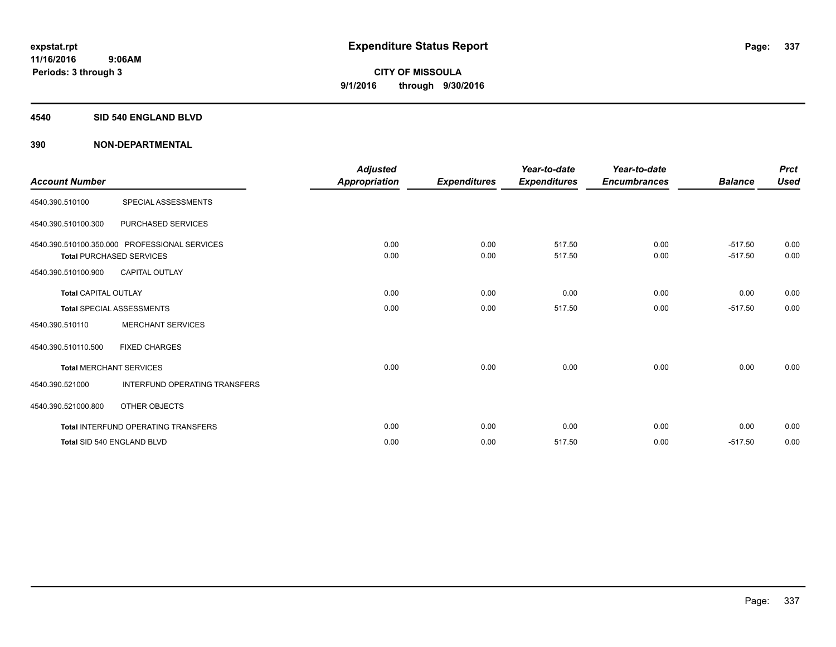#### **4540 SID 540 ENGLAND BLVD**

| <b>Account Number</b>       |                                                                                  | <b>Adjusted</b><br>Appropriation | <b>Expenditures</b> | Year-to-date<br><b>Expenditures</b> | Year-to-date<br><b>Encumbrances</b> | <b>Balance</b>         | <b>Prct</b><br><b>Used</b> |
|-----------------------------|----------------------------------------------------------------------------------|----------------------------------|---------------------|-------------------------------------|-------------------------------------|------------------------|----------------------------|
| 4540.390.510100             | SPECIAL ASSESSMENTS                                                              |                                  |                     |                                     |                                     |                        |                            |
| 4540.390.510100.300         | PURCHASED SERVICES                                                               |                                  |                     |                                     |                                     |                        |                            |
|                             | 4540.390.510100.350.000 PROFESSIONAL SERVICES<br><b>Total PURCHASED SERVICES</b> | 0.00<br>0.00                     | 0.00<br>0.00        | 517.50<br>517.50                    | 0.00<br>0.00                        | $-517.50$<br>$-517.50$ | 0.00<br>0.00               |
| 4540.390.510100.900         | <b>CAPITAL OUTLAY</b>                                                            |                                  |                     |                                     |                                     |                        |                            |
| <b>Total CAPITAL OUTLAY</b> |                                                                                  | 0.00                             | 0.00                | 0.00                                | 0.00                                | 0.00                   | 0.00                       |
|                             | <b>Total SPECIAL ASSESSMENTS</b>                                                 | 0.00                             | 0.00                | 517.50                              | 0.00                                | $-517.50$              | 0.00                       |
| 4540.390.510110             | <b>MERCHANT SERVICES</b>                                                         |                                  |                     |                                     |                                     |                        |                            |
| 4540.390.510110.500         | <b>FIXED CHARGES</b>                                                             |                                  |                     |                                     |                                     |                        |                            |
|                             | <b>Total MERCHANT SERVICES</b>                                                   | 0.00                             | 0.00                | 0.00                                | 0.00                                | 0.00                   | 0.00                       |
| 4540.390.521000             | <b>INTERFUND OPERATING TRANSFERS</b>                                             |                                  |                     |                                     |                                     |                        |                            |
| 4540.390.521000.800         | <b>OTHER OBJECTS</b>                                                             |                                  |                     |                                     |                                     |                        |                            |
|                             | <b>Total INTERFUND OPERATING TRANSFERS</b>                                       | 0.00                             | 0.00                | 0.00                                | 0.00                                | 0.00                   | 0.00                       |
|                             | Total SID 540 ENGLAND BLVD                                                       | 0.00                             | 0.00                | 517.50                              | 0.00                                | $-517.50$              | 0.00                       |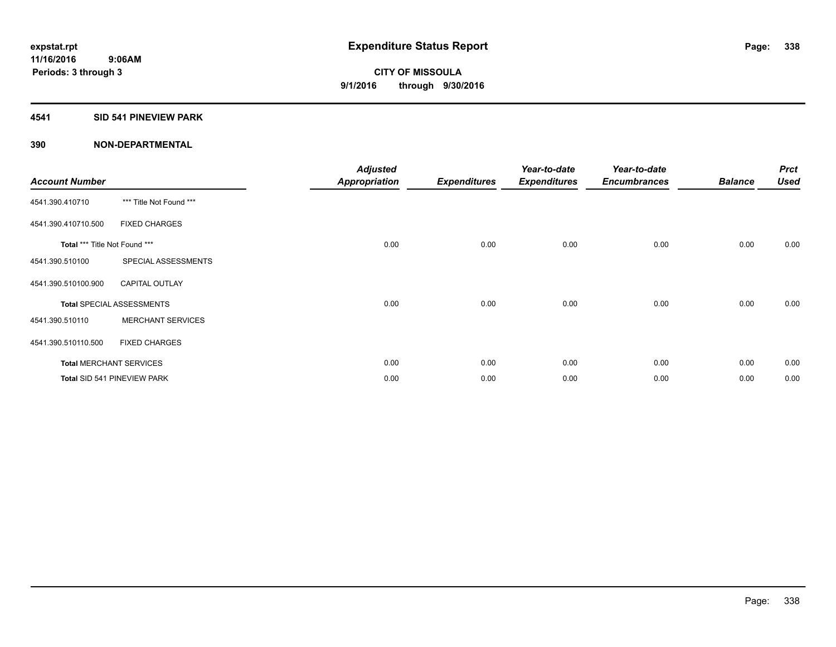#### **4541 SID 541 PINEVIEW PARK**

| <b>Account Number</b>         |                                  | <b>Adjusted</b><br><b>Appropriation</b> | <b>Expenditures</b> | Year-to-date<br><b>Expenditures</b> | Year-to-date<br><b>Encumbrances</b> | <b>Balance</b> | <b>Prct</b><br><b>Used</b> |
|-------------------------------|----------------------------------|-----------------------------------------|---------------------|-------------------------------------|-------------------------------------|----------------|----------------------------|
| 4541.390.410710               | *** Title Not Found ***          |                                         |                     |                                     |                                     |                |                            |
| 4541.390.410710.500           | <b>FIXED CHARGES</b>             |                                         |                     |                                     |                                     |                |                            |
| Total *** Title Not Found *** |                                  | 0.00                                    | 0.00                | 0.00                                | 0.00                                | 0.00           | 0.00                       |
| 4541.390.510100               | SPECIAL ASSESSMENTS              |                                         |                     |                                     |                                     |                |                            |
| 4541.390.510100.900           | <b>CAPITAL OUTLAY</b>            |                                         |                     |                                     |                                     |                |                            |
|                               | <b>Total SPECIAL ASSESSMENTS</b> | 0.00                                    | 0.00                | 0.00                                | 0.00                                | 0.00           | 0.00                       |
| 4541.390.510110               | <b>MERCHANT SERVICES</b>         |                                         |                     |                                     |                                     |                |                            |
| 4541.390.510110.500           | <b>FIXED CHARGES</b>             |                                         |                     |                                     |                                     |                |                            |
|                               | <b>Total MERCHANT SERVICES</b>   | 0.00                                    | 0.00                | 0.00                                | 0.00                                | 0.00           | 0.00                       |
|                               | Total SID 541 PINEVIEW PARK      | 0.00                                    | 0.00                | 0.00                                | 0.00                                | 0.00           | 0.00                       |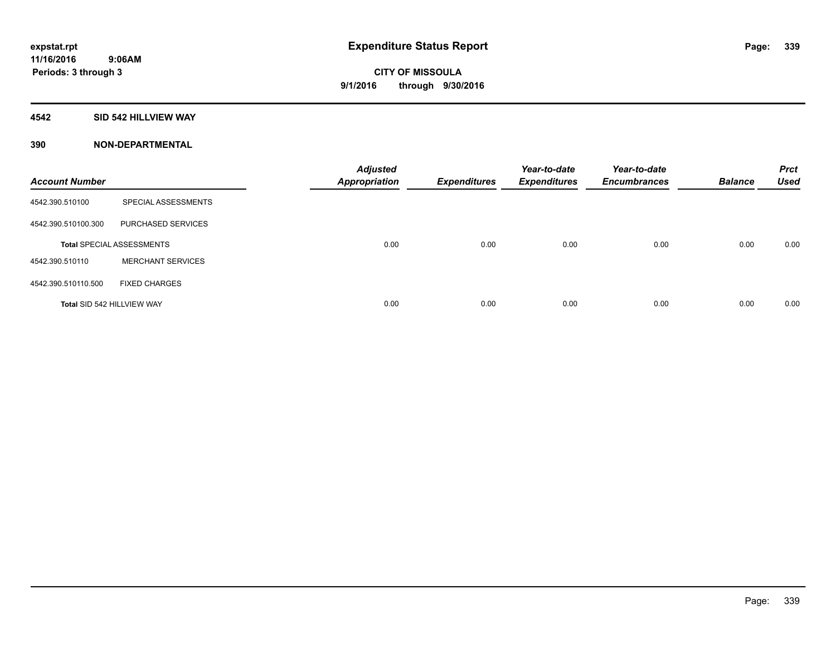#### **4542 SID 542 HILLVIEW WAY**

| <b>Account Number</b> |                                  | <b>Adjusted</b><br><b>Appropriation</b> | <b>Expenditures</b> | Year-to-date<br><b>Expenditures</b> | Year-to-date<br><b>Encumbrances</b> | <b>Balance</b> | <b>Prct</b><br><b>Used</b> |
|-----------------------|----------------------------------|-----------------------------------------|---------------------|-------------------------------------|-------------------------------------|----------------|----------------------------|
| 4542.390.510100       | SPECIAL ASSESSMENTS              |                                         |                     |                                     |                                     |                |                            |
| 4542.390.510100.300   | <b>PURCHASED SERVICES</b>        |                                         |                     |                                     |                                     |                |                            |
|                       | <b>Total SPECIAL ASSESSMENTS</b> | 0.00                                    | 0.00                | 0.00                                | 0.00                                | 0.00           | 0.00                       |
| 4542.390.510110       | <b>MERCHANT SERVICES</b>         |                                         |                     |                                     |                                     |                |                            |
| 4542.390.510110.500   | <b>FIXED CHARGES</b>             |                                         |                     |                                     |                                     |                |                            |
|                       | Total SID 542 HILLVIEW WAY       | 0.00                                    | 0.00                | 0.00                                | 0.00                                | 0.00           | 0.00                       |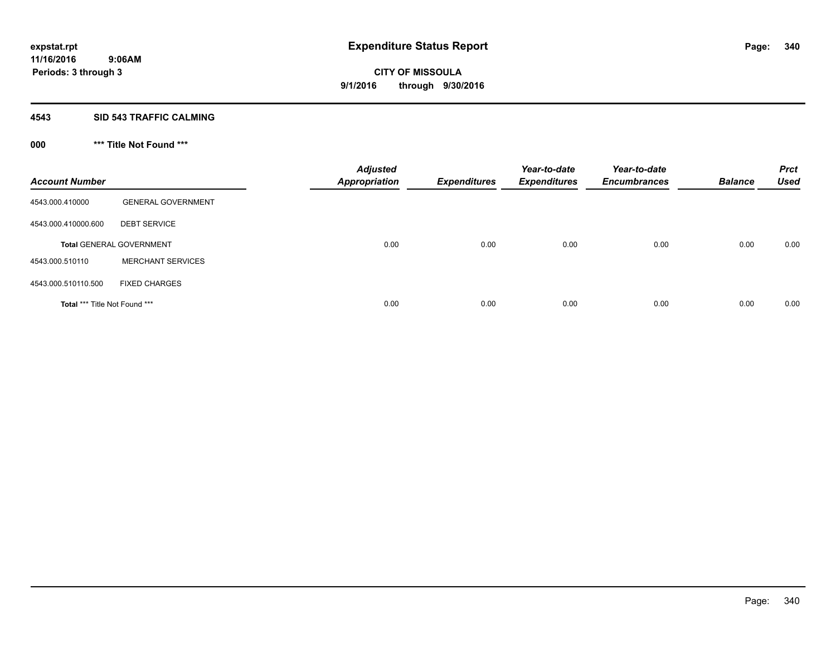#### **4543 SID 543 TRAFFIC CALMING**

## **000 \*\*\* Title Not Found \*\*\***

| <b>Account Number</b>         |                                 | <b>Adjusted</b><br><b>Appropriation</b> | <b>Expenditures</b> | Year-to-date<br><b>Expenditures</b> | Year-to-date<br><b>Encumbrances</b> | <b>Balance</b> | <b>Prct</b><br><b>Used</b> |
|-------------------------------|---------------------------------|-----------------------------------------|---------------------|-------------------------------------|-------------------------------------|----------------|----------------------------|
| 4543.000.410000               | <b>GENERAL GOVERNMENT</b>       |                                         |                     |                                     |                                     |                |                            |
| 4543.000.410000.600           | <b>DEBT SERVICE</b>             |                                         |                     |                                     |                                     |                |                            |
|                               | <b>Total GENERAL GOVERNMENT</b> | 0.00                                    | 0.00                | 0.00                                | 0.00                                | 0.00           | 0.00                       |
| 4543.000.510110               | <b>MERCHANT SERVICES</b>        |                                         |                     |                                     |                                     |                |                            |
| 4543.000.510110.500           | <b>FIXED CHARGES</b>            |                                         |                     |                                     |                                     |                |                            |
| Total *** Title Not Found *** |                                 | 0.00                                    | 0.00                | 0.00                                | 0.00                                | 0.00           | 0.00                       |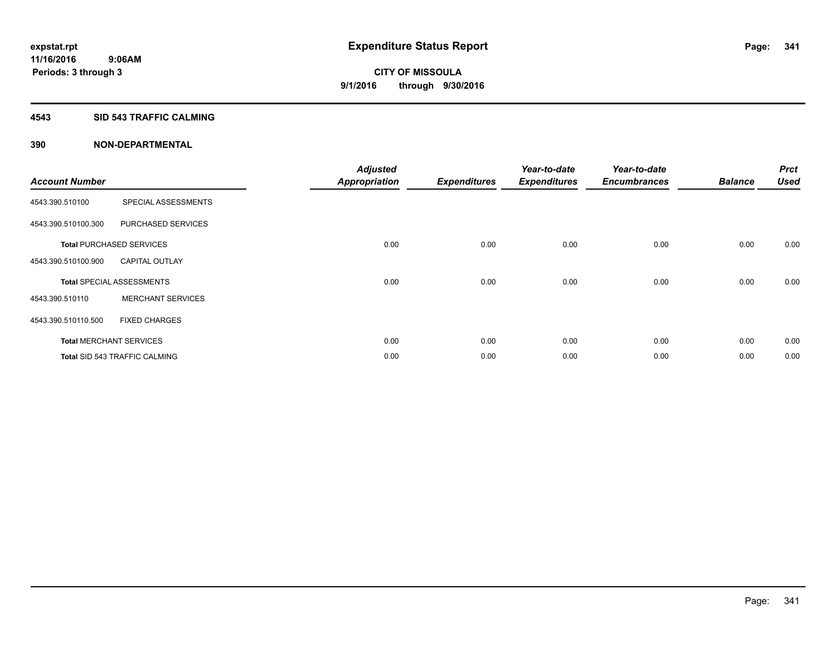#### **4543 SID 543 TRAFFIC CALMING**

|                       |                                      | <b>Adjusted</b>      |                     | Year-to-date        | Year-to-date        |                | <b>Prct</b> |
|-----------------------|--------------------------------------|----------------------|---------------------|---------------------|---------------------|----------------|-------------|
| <b>Account Number</b> |                                      | <b>Appropriation</b> | <b>Expenditures</b> | <b>Expenditures</b> | <b>Encumbrances</b> | <b>Balance</b> | <b>Used</b> |
| 4543.390.510100       | SPECIAL ASSESSMENTS                  |                      |                     |                     |                     |                |             |
| 4543.390.510100.300   | PURCHASED SERVICES                   |                      |                     |                     |                     |                |             |
|                       | <b>Total PURCHASED SERVICES</b>      | 0.00                 | 0.00                | 0.00                | 0.00                | 0.00           | 0.00        |
| 4543.390.510100.900   | <b>CAPITAL OUTLAY</b>                |                      |                     |                     |                     |                |             |
|                       | <b>Total SPECIAL ASSESSMENTS</b>     | 0.00                 | 0.00                | 0.00                | 0.00                | 0.00           | 0.00        |
| 4543.390.510110       | <b>MERCHANT SERVICES</b>             |                      |                     |                     |                     |                |             |
| 4543.390.510110.500   | <b>FIXED CHARGES</b>                 |                      |                     |                     |                     |                |             |
|                       | <b>Total MERCHANT SERVICES</b>       | 0.00                 | 0.00                | 0.00                | 0.00                | 0.00           | 0.00        |
|                       | <b>Total SID 543 TRAFFIC CALMING</b> | 0.00                 | 0.00                | 0.00                | 0.00                | 0.00           | 0.00        |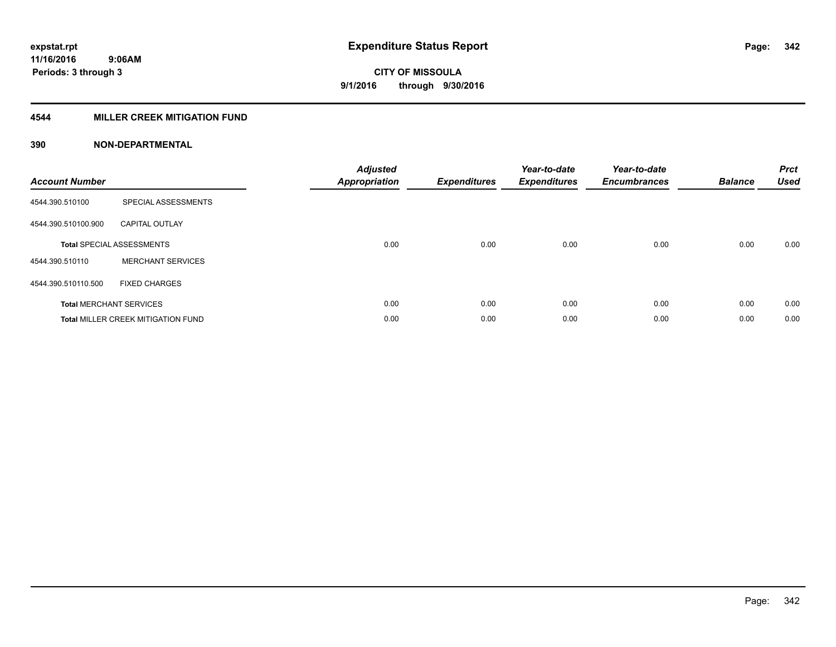#### **4544 MILLER CREEK MITIGATION FUND**

| <b>Account Number</b> |                                           | <b>Adjusted</b><br><b>Appropriation</b> | <b>Expenditures</b> | Year-to-date<br><b>Expenditures</b> | Year-to-date<br><b>Encumbrances</b> | <b>Balance</b> | <b>Prct</b><br><b>Used</b> |
|-----------------------|-------------------------------------------|-----------------------------------------|---------------------|-------------------------------------|-------------------------------------|----------------|----------------------------|
| 4544.390.510100       | SPECIAL ASSESSMENTS                       |                                         |                     |                                     |                                     |                |                            |
| 4544.390.510100.900   | <b>CAPITAL OUTLAY</b>                     |                                         |                     |                                     |                                     |                |                            |
|                       | <b>Total SPECIAL ASSESSMENTS</b>          | 0.00                                    | 0.00                | 0.00                                | 0.00                                | 0.00           | 0.00                       |
| 4544.390.510110       | <b>MERCHANT SERVICES</b>                  |                                         |                     |                                     |                                     |                |                            |
| 4544.390.510110.500   | <b>FIXED CHARGES</b>                      |                                         |                     |                                     |                                     |                |                            |
|                       | <b>Total MERCHANT SERVICES</b>            | 0.00                                    | 0.00                | 0.00                                | 0.00                                | 0.00           | 0.00                       |
|                       | <b>Total MILLER CREEK MITIGATION FUND</b> | 0.00                                    | 0.00                | 0.00                                | 0.00                                | 0.00           | 0.00                       |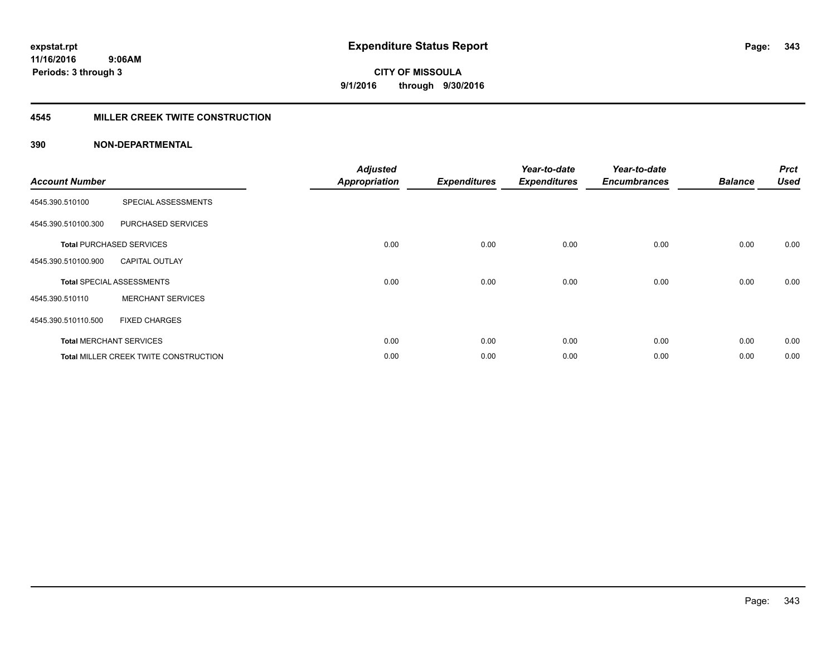#### **4545 MILLER CREEK TWITE CONSTRUCTION**

| <b>Account Number</b> |                                       | <b>Adjusted</b><br><b>Appropriation</b> | <b>Expenditures</b> | Year-to-date<br><b>Expenditures</b> | Year-to-date<br><b>Encumbrances</b> | <b>Balance</b> | <b>Prct</b><br><b>Used</b> |
|-----------------------|---------------------------------------|-----------------------------------------|---------------------|-------------------------------------|-------------------------------------|----------------|----------------------------|
| 4545.390.510100       | SPECIAL ASSESSMENTS                   |                                         |                     |                                     |                                     |                |                            |
| 4545.390.510100.300   | PURCHASED SERVICES                    |                                         |                     |                                     |                                     |                |                            |
|                       | <b>Total PURCHASED SERVICES</b>       | 0.00                                    | 0.00                | 0.00                                | 0.00                                | 0.00           | 0.00                       |
| 4545.390.510100.900   | <b>CAPITAL OUTLAY</b>                 |                                         |                     |                                     |                                     |                |                            |
|                       | <b>Total SPECIAL ASSESSMENTS</b>      | 0.00                                    | 0.00                | 0.00                                | 0.00                                | 0.00           | 0.00                       |
| 4545.390.510110       | <b>MERCHANT SERVICES</b>              |                                         |                     |                                     |                                     |                |                            |
| 4545.390.510110.500   | <b>FIXED CHARGES</b>                  |                                         |                     |                                     |                                     |                |                            |
|                       | <b>Total MERCHANT SERVICES</b>        | 0.00                                    | 0.00                | 0.00                                | 0.00                                | 0.00           | 0.00                       |
|                       | Total MILLER CREEK TWITE CONSTRUCTION | 0.00                                    | 0.00                | 0.00                                | 0.00                                | 0.00           | 0.00                       |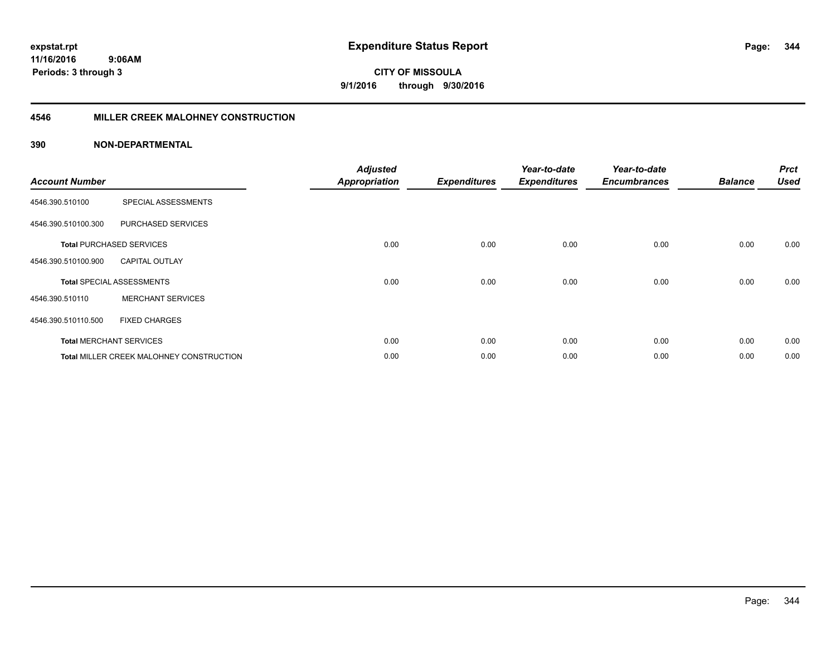**11/16/2016 9:06AM Periods: 3 through 3**

**344**

**CITY OF MISSOULA 9/1/2016 through 9/30/2016**

#### **4546 MILLER CREEK MALOHNEY CONSTRUCTION**

| <b>Account Number</b> |                                                 | <b>Adjusted</b><br><b>Appropriation</b> | <b>Expenditures</b> | Year-to-date<br><b>Expenditures</b> | Year-to-date<br><b>Encumbrances</b> | <b>Balance</b> | <b>Prct</b><br><b>Used</b> |
|-----------------------|-------------------------------------------------|-----------------------------------------|---------------------|-------------------------------------|-------------------------------------|----------------|----------------------------|
| 4546.390.510100       | SPECIAL ASSESSMENTS                             |                                         |                     |                                     |                                     |                |                            |
| 4546.390.510100.300   | PURCHASED SERVICES                              |                                         |                     |                                     |                                     |                |                            |
|                       | <b>Total PURCHASED SERVICES</b>                 | 0.00                                    | 0.00                | 0.00                                | 0.00                                | 0.00           | 0.00                       |
| 4546.390.510100.900   | <b>CAPITAL OUTLAY</b>                           |                                         |                     |                                     |                                     |                |                            |
|                       | <b>Total SPECIAL ASSESSMENTS</b>                | 0.00                                    | 0.00                | 0.00                                | 0.00                                | 0.00           | 0.00                       |
| 4546.390.510110       | <b>MERCHANT SERVICES</b>                        |                                         |                     |                                     |                                     |                |                            |
| 4546.390.510110.500   | <b>FIXED CHARGES</b>                            |                                         |                     |                                     |                                     |                |                            |
|                       | <b>Total MERCHANT SERVICES</b>                  | 0.00                                    | 0.00                | 0.00                                | 0.00                                | 0.00           | 0.00                       |
|                       | <b>Total MILLER CREEK MALOHNEY CONSTRUCTION</b> | 0.00                                    | 0.00                | 0.00                                | 0.00                                | 0.00           | 0.00                       |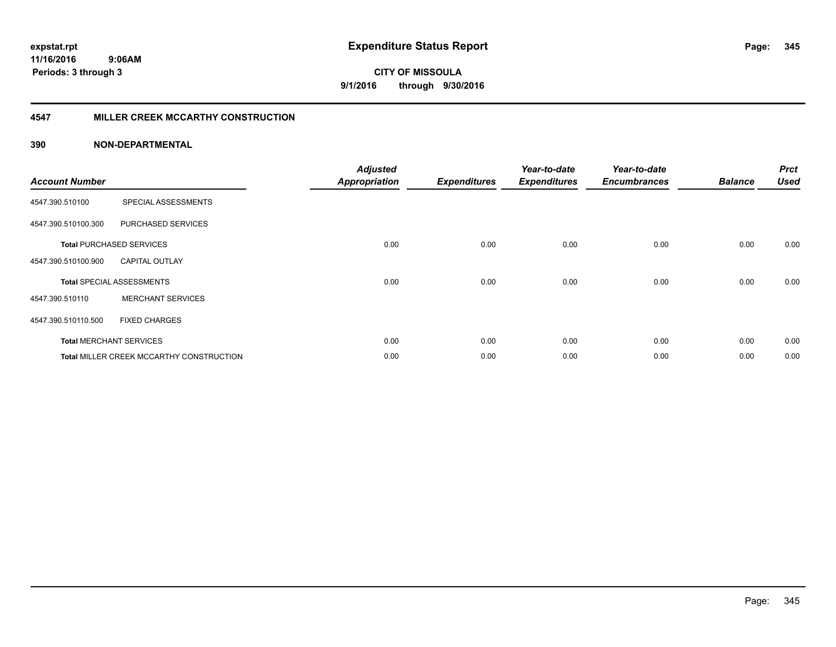#### **4547 MILLER CREEK MCCARTHY CONSTRUCTION**

| <b>Account Number</b> |                                                 | <b>Adjusted</b><br><b>Appropriation</b> | <b>Expenditures</b> | Year-to-date<br><b>Expenditures</b> | Year-to-date<br><b>Encumbrances</b> | <b>Balance</b> | <b>Prct</b><br><b>Used</b> |
|-----------------------|-------------------------------------------------|-----------------------------------------|---------------------|-------------------------------------|-------------------------------------|----------------|----------------------------|
| 4547.390.510100       | SPECIAL ASSESSMENTS                             |                                         |                     |                                     |                                     |                |                            |
| 4547.390.510100.300   | PURCHASED SERVICES                              |                                         |                     |                                     |                                     |                |                            |
|                       | <b>Total PURCHASED SERVICES</b>                 | 0.00                                    | 0.00                | 0.00                                | 0.00                                | 0.00           | 0.00                       |
| 4547.390.510100.900   | <b>CAPITAL OUTLAY</b>                           |                                         |                     |                                     |                                     |                |                            |
|                       | <b>Total SPECIAL ASSESSMENTS</b>                | 0.00                                    | 0.00                | 0.00                                | 0.00                                | 0.00           | 0.00                       |
| 4547.390.510110       | <b>MERCHANT SERVICES</b>                        |                                         |                     |                                     |                                     |                |                            |
| 4547.390.510110.500   | <b>FIXED CHARGES</b>                            |                                         |                     |                                     |                                     |                |                            |
|                       | <b>Total MERCHANT SERVICES</b>                  | 0.00                                    | 0.00                | 0.00                                | 0.00                                | 0.00           | 0.00                       |
|                       | <b>Total MILLER CREEK MCCARTHY CONSTRUCTION</b> | 0.00                                    | 0.00                | 0.00                                | 0.00                                | 0.00           | 0.00                       |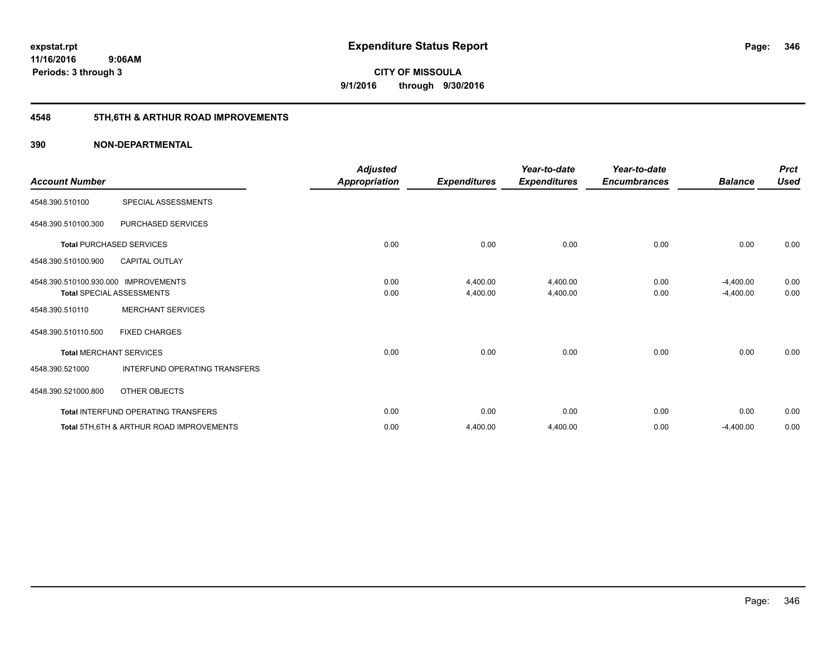## **4548 5TH,6TH & ARTHUR ROAD IMPROVEMENTS**

| <b>Account Number</b>                |                                                     | <b>Adjusted</b><br><b>Appropriation</b> | <b>Expenditures</b> | Year-to-date<br><b>Expenditures</b> | Year-to-date<br><b>Encumbrances</b> | <b>Balance</b> | <b>Prct</b><br><b>Used</b> |
|--------------------------------------|-----------------------------------------------------|-----------------------------------------|---------------------|-------------------------------------|-------------------------------------|----------------|----------------------------|
| 4548.390.510100                      | SPECIAL ASSESSMENTS                                 |                                         |                     |                                     |                                     |                |                            |
| 4548.390.510100.300                  | PURCHASED SERVICES                                  |                                         |                     |                                     |                                     |                |                            |
|                                      | <b>Total PURCHASED SERVICES</b>                     | 0.00                                    | 0.00                | 0.00                                | 0.00                                | 0.00           | 0.00                       |
| 4548.390.510100.900                  | <b>CAPITAL OUTLAY</b>                               |                                         |                     |                                     |                                     |                |                            |
| 4548.390.510100.930.000 IMPROVEMENTS |                                                     | 0.00                                    | 4,400.00            | 4,400.00                            | 0.00                                | $-4,400.00$    | 0.00                       |
|                                      | <b>Total SPECIAL ASSESSMENTS</b>                    | 0.00                                    | 4,400.00            | 4,400.00                            | 0.00                                | $-4,400.00$    | 0.00                       |
| 4548.390.510110                      | <b>MERCHANT SERVICES</b>                            |                                         |                     |                                     |                                     |                |                            |
| 4548.390.510110.500                  | <b>FIXED CHARGES</b>                                |                                         |                     |                                     |                                     |                |                            |
|                                      | <b>Total MERCHANT SERVICES</b>                      | 0.00                                    | 0.00                | 0.00                                | 0.00                                | 0.00           | 0.00                       |
| 4548.390.521000                      | INTERFUND OPERATING TRANSFERS                       |                                         |                     |                                     |                                     |                |                            |
| 4548.390.521000.800                  | <b>OTHER OBJECTS</b>                                |                                         |                     |                                     |                                     |                |                            |
|                                      | Total INTERFUND OPERATING TRANSFERS                 | 0.00                                    | 0.00                | 0.00                                | 0.00                                | 0.00           | 0.00                       |
|                                      | <b>Total 5TH.6TH &amp; ARTHUR ROAD IMPROVEMENTS</b> | 0.00                                    | 4,400.00            | 4,400.00                            | 0.00                                | $-4,400.00$    | 0.00                       |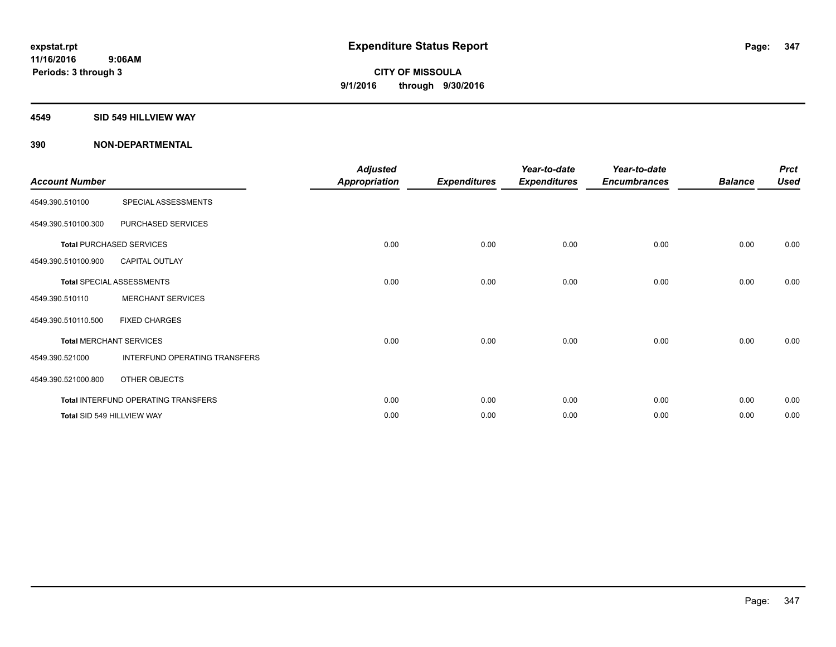#### **4549 SID 549 HILLVIEW WAY**

| <b>Account Number</b> |                                     | <b>Adjusted</b><br><b>Appropriation</b> | <b>Expenditures</b> | Year-to-date<br><b>Expenditures</b> | Year-to-date<br><b>Encumbrances</b> | <b>Balance</b> | <b>Prct</b><br><b>Used</b> |
|-----------------------|-------------------------------------|-----------------------------------------|---------------------|-------------------------------------|-------------------------------------|----------------|----------------------------|
| 4549.390.510100       | SPECIAL ASSESSMENTS                 |                                         |                     |                                     |                                     |                |                            |
| 4549.390.510100.300   | PURCHASED SERVICES                  |                                         |                     |                                     |                                     |                |                            |
|                       | <b>Total PURCHASED SERVICES</b>     | 0.00                                    | 0.00                | 0.00                                | 0.00                                | 0.00           | 0.00                       |
| 4549.390.510100.900   | <b>CAPITAL OUTLAY</b>               |                                         |                     |                                     |                                     |                |                            |
|                       | <b>Total SPECIAL ASSESSMENTS</b>    | 0.00                                    | 0.00                | 0.00                                | 0.00                                | 0.00           | 0.00                       |
| 4549.390.510110       | <b>MERCHANT SERVICES</b>            |                                         |                     |                                     |                                     |                |                            |
| 4549.390.510110.500   | <b>FIXED CHARGES</b>                |                                         |                     |                                     |                                     |                |                            |
|                       | <b>Total MERCHANT SERVICES</b>      | 0.00                                    | 0.00                | 0.00                                | 0.00                                | 0.00           | 0.00                       |
| 4549.390.521000       | INTERFUND OPERATING TRANSFERS       |                                         |                     |                                     |                                     |                |                            |
| 4549.390.521000.800   | OTHER OBJECTS                       |                                         |                     |                                     |                                     |                |                            |
|                       | Total INTERFUND OPERATING TRANSFERS | 0.00                                    | 0.00                | 0.00                                | 0.00                                | 0.00           | 0.00                       |
|                       | Total SID 549 HILLVIEW WAY          | 0.00                                    | 0.00                | 0.00                                | 0.00                                | 0.00           | 0.00                       |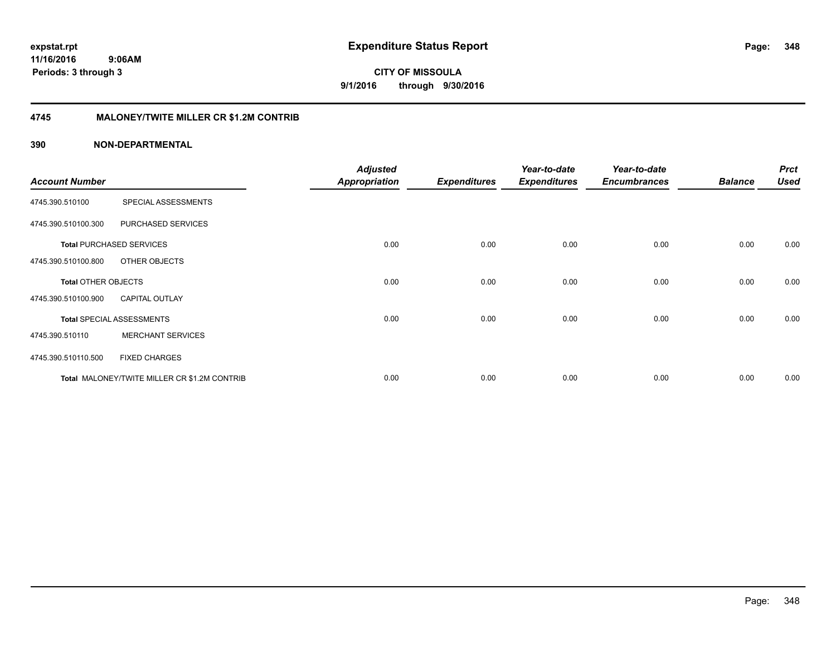#### **11/16/2016 9:06AM Periods: 3 through 3**

**CITY OF MISSOULA 9/1/2016 through 9/30/2016**

#### **4745 MALONEY/TWITE MILLER CR \$1.2M CONTRIB**

| <b>Account Number</b>      |                                              | <b>Adjusted</b><br><b>Appropriation</b> | <b>Expenditures</b> | Year-to-date<br><b>Expenditures</b> | Year-to-date<br><b>Encumbrances</b> | <b>Balance</b> | <b>Prct</b><br><b>Used</b> |
|----------------------------|----------------------------------------------|-----------------------------------------|---------------------|-------------------------------------|-------------------------------------|----------------|----------------------------|
| 4745.390.510100            | SPECIAL ASSESSMENTS                          |                                         |                     |                                     |                                     |                |                            |
| 4745.390.510100.300        | PURCHASED SERVICES                           |                                         |                     |                                     |                                     |                |                            |
|                            | <b>Total PURCHASED SERVICES</b>              | 0.00                                    | 0.00                | 0.00                                | 0.00                                | 0.00           | 0.00                       |
| 4745.390.510100.800        | OTHER OBJECTS                                |                                         |                     |                                     |                                     |                |                            |
| <b>Total OTHER OBJECTS</b> |                                              | 0.00                                    | 0.00                | 0.00                                | 0.00                                | 0.00           | 0.00                       |
| 4745.390.510100.900        | <b>CAPITAL OUTLAY</b>                        |                                         |                     |                                     |                                     |                |                            |
|                            | <b>Total SPECIAL ASSESSMENTS</b>             | 0.00                                    | 0.00                | 0.00                                | 0.00                                | 0.00           | 0.00                       |
| 4745.390.510110            | <b>MERCHANT SERVICES</b>                     |                                         |                     |                                     |                                     |                |                            |
| 4745.390.510110.500        | <b>FIXED CHARGES</b>                         |                                         |                     |                                     |                                     |                |                            |
|                            | Total MALONEY/TWITE MILLER CR \$1.2M CONTRIB | 0.00                                    | 0.00                | 0.00                                | 0.00                                | 0.00           | 0.00                       |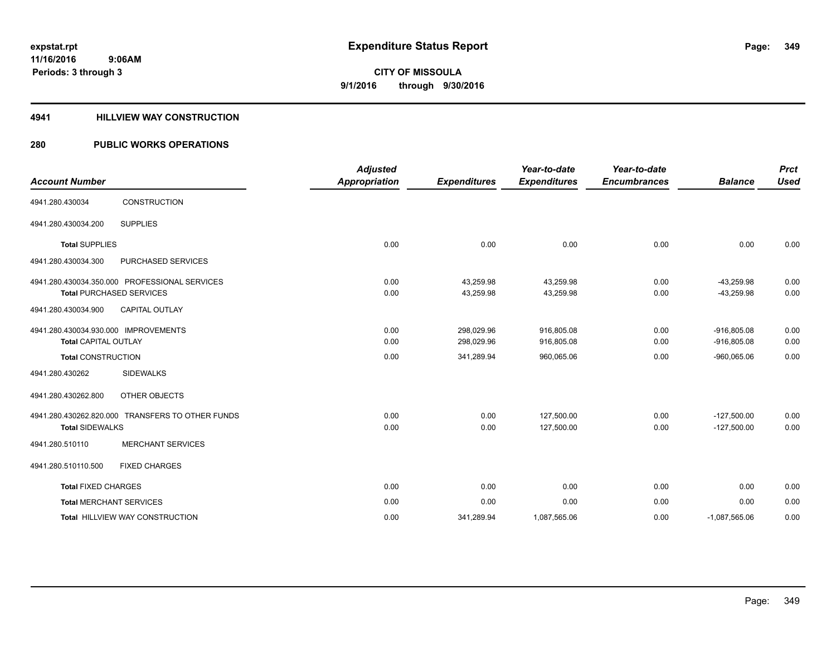#### **4941 HILLVIEW WAY CONSTRUCTION**

| <b>Account Number</b>                                               |                                                                                  | <b>Adjusted</b><br><b>Appropriation</b> | <b>Expenditures</b>      | Year-to-date<br><b>Expenditures</b> | Year-to-date<br><b>Encumbrances</b> | <b>Balance</b>                 | <b>Prct</b><br><b>Used</b> |
|---------------------------------------------------------------------|----------------------------------------------------------------------------------|-----------------------------------------|--------------------------|-------------------------------------|-------------------------------------|--------------------------------|----------------------------|
| 4941.280.430034                                                     | CONSTRUCTION                                                                     |                                         |                          |                                     |                                     |                                |                            |
| 4941.280.430034.200                                                 | <b>SUPPLIES</b>                                                                  |                                         |                          |                                     |                                     |                                |                            |
| <b>Total SUPPLIES</b>                                               |                                                                                  | 0.00                                    | 0.00                     | 0.00                                | 0.00                                | 0.00                           | 0.00                       |
| 4941.280.430034.300                                                 | PURCHASED SERVICES                                                               |                                         |                          |                                     |                                     |                                |                            |
|                                                                     | 4941.280.430034.350.000 PROFESSIONAL SERVICES<br><b>Total PURCHASED SERVICES</b> | 0.00<br>0.00                            | 43,259.98<br>43,259.98   | 43,259.98<br>43,259.98              | 0.00<br>0.00                        | $-43,259.98$<br>$-43,259.98$   | 0.00<br>0.00               |
| 4941.280.430034.900                                                 | <b>CAPITAL OUTLAY</b>                                                            |                                         |                          |                                     |                                     |                                |                            |
| 4941.280.430034.930.000 IMPROVEMENTS<br><b>Total CAPITAL OUTLAY</b> |                                                                                  | 0.00<br>0.00                            | 298,029.96<br>298,029.96 | 916,805.08<br>916,805.08            | 0.00<br>0.00                        | $-916,805.08$<br>$-916,805.08$ | 0.00<br>0.00               |
| <b>Total CONSTRUCTION</b>                                           |                                                                                  | 0.00                                    | 341,289.94               | 960,065.06                          | 0.00                                | $-960,065.06$                  | 0.00                       |
| 4941.280.430262                                                     | <b>SIDEWALKS</b>                                                                 |                                         |                          |                                     |                                     |                                |                            |
| 4941.280.430262.800                                                 | OTHER OBJECTS                                                                    |                                         |                          |                                     |                                     |                                |                            |
| <b>Total SIDEWALKS</b>                                              | 4941.280.430262.820.000 TRANSFERS TO OTHER FUNDS                                 | 0.00<br>0.00                            | 0.00<br>0.00             | 127,500.00<br>127,500.00            | 0.00<br>0.00                        | $-127,500.00$<br>$-127,500.00$ | 0.00<br>0.00               |
| 4941.280.510110                                                     | <b>MERCHANT SERVICES</b>                                                         |                                         |                          |                                     |                                     |                                |                            |
| 4941.280.510110.500                                                 | <b>FIXED CHARGES</b>                                                             |                                         |                          |                                     |                                     |                                |                            |
| <b>Total FIXED CHARGES</b>                                          |                                                                                  | 0.00                                    | 0.00                     | 0.00                                | 0.00                                | 0.00                           | 0.00                       |
| <b>Total MERCHANT SERVICES</b>                                      |                                                                                  | 0.00                                    | 0.00                     | 0.00                                | 0.00                                | 0.00                           | 0.00                       |
|                                                                     | <b>Total HILLVIEW WAY CONSTRUCTION</b>                                           | 0.00                                    | 341,289.94               | 1,087,565.06                        | 0.00                                | $-1,087,565.06$                | 0.00                       |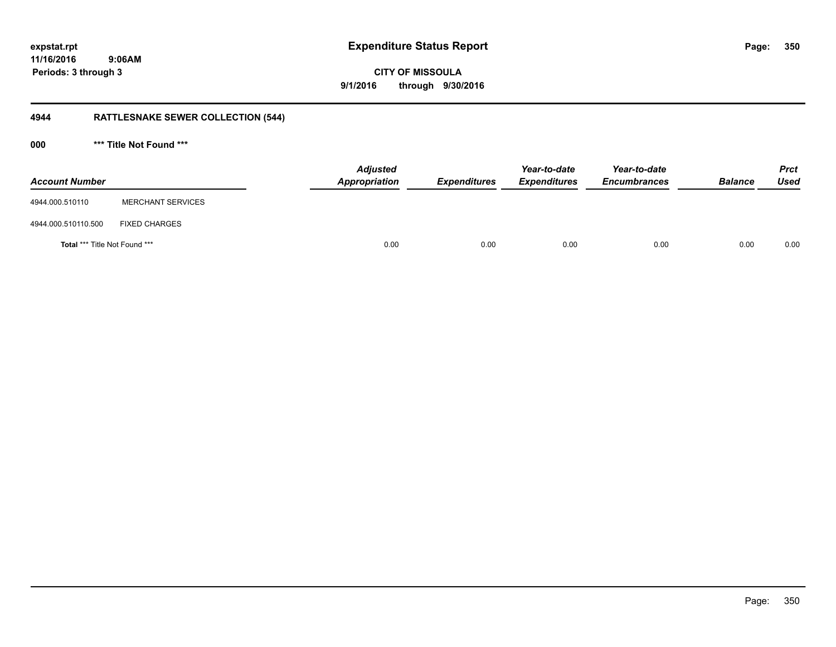**11/16/2016 9:06AM Periods: 3 through 3**

**CITY OF MISSOULA 9/1/2016 through 9/30/2016**

## **4944 RATTLESNAKE SEWER COLLECTION (544)**

**000 \*\*\* Title Not Found \*\*\***

| <b>Account Number</b>                |                          | Adjusted<br>Appropriation | <b>Expenditures</b> | Year-to-date<br><b>Expenditures</b> | Year-to-date<br><b>Encumbrances</b> | <b>Balance</b> | <b>Prct</b><br><b>Used</b> |
|--------------------------------------|--------------------------|---------------------------|---------------------|-------------------------------------|-------------------------------------|----------------|----------------------------|
| 4944.000.510110                      | <b>MERCHANT SERVICES</b> |                           |                     |                                     |                                     |                |                            |
| 4944.000.510110.500                  | <b>FIXED CHARGES</b>     |                           |                     |                                     |                                     |                |                            |
| <b>Total *** Title Not Found ***</b> |                          | 0.00                      | 0.00                | 0.00                                | 0.00                                | 0.00           | 0.00                       |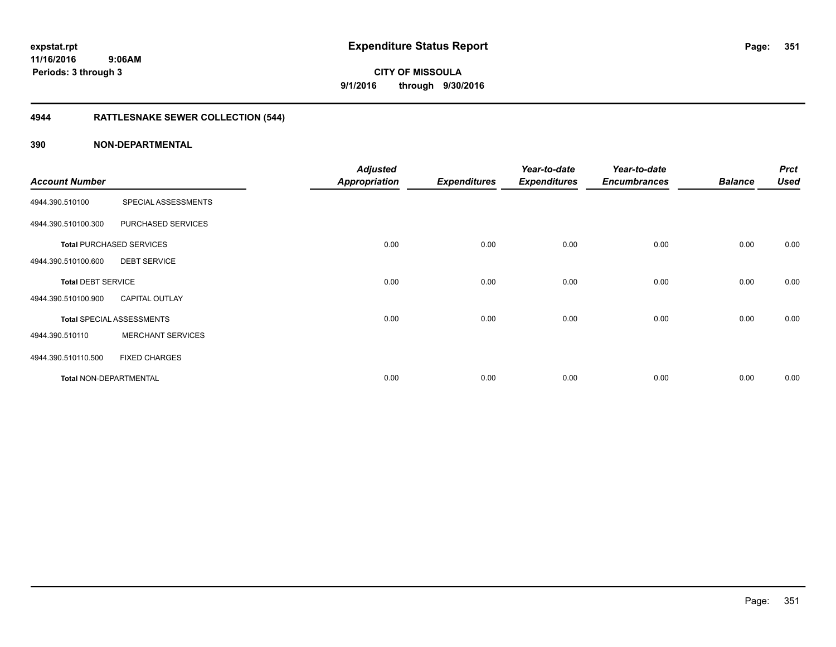## **4944 RATTLESNAKE SEWER COLLECTION (544)**

| <b>Account Number</b>         |                                  | <b>Adjusted</b><br>Appropriation | <b>Expenditures</b> | Year-to-date<br><b>Expenditures</b> | Year-to-date<br><b>Encumbrances</b> | <b>Balance</b> | <b>Prct</b><br><b>Used</b> |
|-------------------------------|----------------------------------|----------------------------------|---------------------|-------------------------------------|-------------------------------------|----------------|----------------------------|
| 4944.390.510100               | SPECIAL ASSESSMENTS              |                                  |                     |                                     |                                     |                |                            |
| 4944.390.510100.300           | PURCHASED SERVICES               |                                  |                     |                                     |                                     |                |                            |
|                               | <b>Total PURCHASED SERVICES</b>  | 0.00                             | 0.00                | 0.00                                | 0.00                                | 0.00           | 0.00                       |
| 4944.390.510100.600           | <b>DEBT SERVICE</b>              |                                  |                     |                                     |                                     |                |                            |
| <b>Total DEBT SERVICE</b>     |                                  | 0.00                             | 0.00                | 0.00                                | 0.00                                | 0.00           | 0.00                       |
| 4944.390.510100.900           | <b>CAPITAL OUTLAY</b>            |                                  |                     |                                     |                                     |                |                            |
|                               | <b>Total SPECIAL ASSESSMENTS</b> | 0.00                             | 0.00                | 0.00                                | 0.00                                | 0.00           | 0.00                       |
| 4944.390.510110               | <b>MERCHANT SERVICES</b>         |                                  |                     |                                     |                                     |                |                            |
| 4944.390.510110.500           | <b>FIXED CHARGES</b>             |                                  |                     |                                     |                                     |                |                            |
| <b>Total NON-DEPARTMENTAL</b> |                                  | 0.00                             | 0.00                | 0.00                                | 0.00                                | 0.00           | 0.00                       |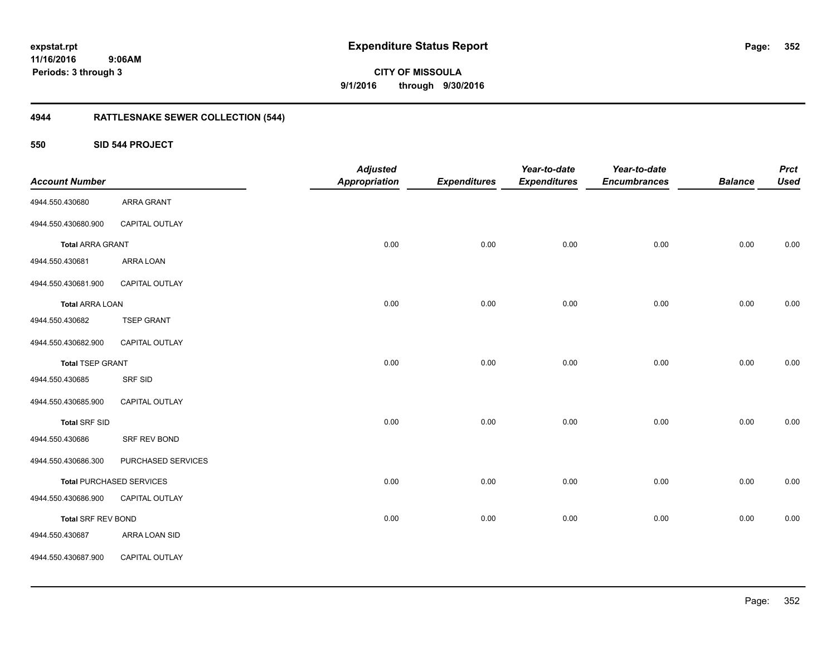**352**

**11/16/2016 9:06AM Periods: 3 through 3**

**CITY OF MISSOULA 9/1/2016 through 9/30/2016**

## **4944 RATTLESNAKE SEWER COLLECTION (544)**

**550 SID 544 PROJECT**

| <b>Account Number</b>     |                                 | <b>Adjusted</b><br><b>Appropriation</b> | <b>Expenditures</b> | Year-to-date<br><b>Expenditures</b> | Year-to-date<br><b>Encumbrances</b> | <b>Balance</b> | <b>Prct</b><br><b>Used</b> |
|---------------------------|---------------------------------|-----------------------------------------|---------------------|-------------------------------------|-------------------------------------|----------------|----------------------------|
| 4944.550.430680           | ARRA GRANT                      |                                         |                     |                                     |                                     |                |                            |
| 4944.550.430680.900       | CAPITAL OUTLAY                  |                                         |                     |                                     |                                     |                |                            |
| <b>Total ARRA GRANT</b>   |                                 | 0.00                                    | 0.00                | 0.00                                | 0.00                                | 0.00           | 0.00                       |
| 4944.550.430681           | ARRA LOAN                       |                                         |                     |                                     |                                     |                |                            |
| 4944.550.430681.900       | CAPITAL OUTLAY                  |                                         |                     |                                     |                                     |                |                            |
| <b>Total ARRA LOAN</b>    |                                 | 0.00                                    | 0.00                | 0.00                                | 0.00                                | 0.00           | 0.00                       |
| 4944.550.430682           | <b>TSEP GRANT</b>               |                                         |                     |                                     |                                     |                |                            |
| 4944.550.430682.900       | CAPITAL OUTLAY                  |                                         |                     |                                     |                                     |                |                            |
| <b>Total TSEP GRANT</b>   |                                 | 0.00                                    | 0.00                | 0.00                                | 0.00                                | 0.00           | 0.00                       |
| 4944.550.430685           | SRF SID                         |                                         |                     |                                     |                                     |                |                            |
| 4944.550.430685.900       | CAPITAL OUTLAY                  |                                         |                     |                                     |                                     |                |                            |
| <b>Total SRF SID</b>      |                                 | 0.00                                    | 0.00                | 0.00                                | 0.00                                | 0.00           | 0.00                       |
| 4944.550.430686           | SRF REV BOND                    |                                         |                     |                                     |                                     |                |                            |
| 4944.550.430686.300       | PURCHASED SERVICES              |                                         |                     |                                     |                                     |                |                            |
|                           | <b>Total PURCHASED SERVICES</b> | 0.00                                    | 0.00                | 0.00                                | 0.00                                | 0.00           | 0.00                       |
| 4944.550.430686.900       | CAPITAL OUTLAY                  |                                         |                     |                                     |                                     |                |                            |
| <b>Total SRF REV BOND</b> |                                 | 0.00                                    | 0.00                | 0.00                                | 0.00                                | 0.00           | 0.00                       |
| 4944.550.430687           | ARRA LOAN SID                   |                                         |                     |                                     |                                     |                |                            |
| 4944.550.430687.900       | CAPITAL OUTLAY                  |                                         |                     |                                     |                                     |                |                            |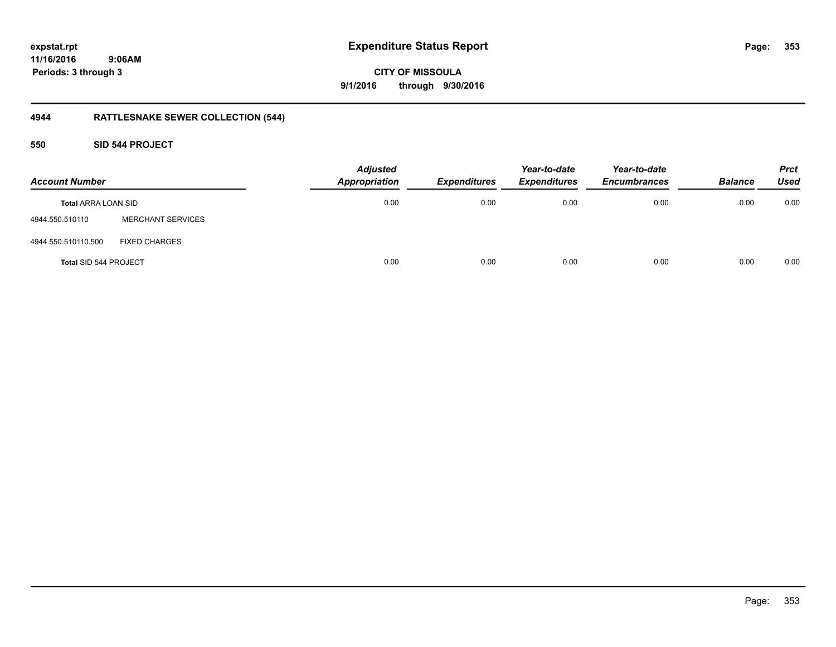### **11/16/2016 9:06AM Periods: 3 through 3**

**CITY OF MISSOULA 9/1/2016 through 9/30/2016**

## **4944 RATTLESNAKE SEWER COLLECTION (544)**

#### **550 SID 544 PROJECT**

| <b>Account Number</b>      |                          | <b>Adjusted</b><br><b>Appropriation</b> | <b>Expenditures</b> | Year-to-date<br><b>Expenditures</b> | Year-to-date<br><b>Encumbrances</b> | <b>Balance</b> | <b>Prct</b><br><b>Used</b> |
|----------------------------|--------------------------|-----------------------------------------|---------------------|-------------------------------------|-------------------------------------|----------------|----------------------------|
| <b>Total ARRA LOAN SID</b> |                          | 0.00                                    | 0.00                | 0.00                                | 0.00                                | 0.00           | 0.00                       |
| 4944.550.510110            | <b>MERCHANT SERVICES</b> |                                         |                     |                                     |                                     |                |                            |
| 4944.550.510110.500        | <b>FIXED CHARGES</b>     |                                         |                     |                                     |                                     |                |                            |
| Total SID 544 PROJECT      |                          | 0.00                                    | 0.00                | 0.00                                | 0.00                                | 0.00           | 0.00                       |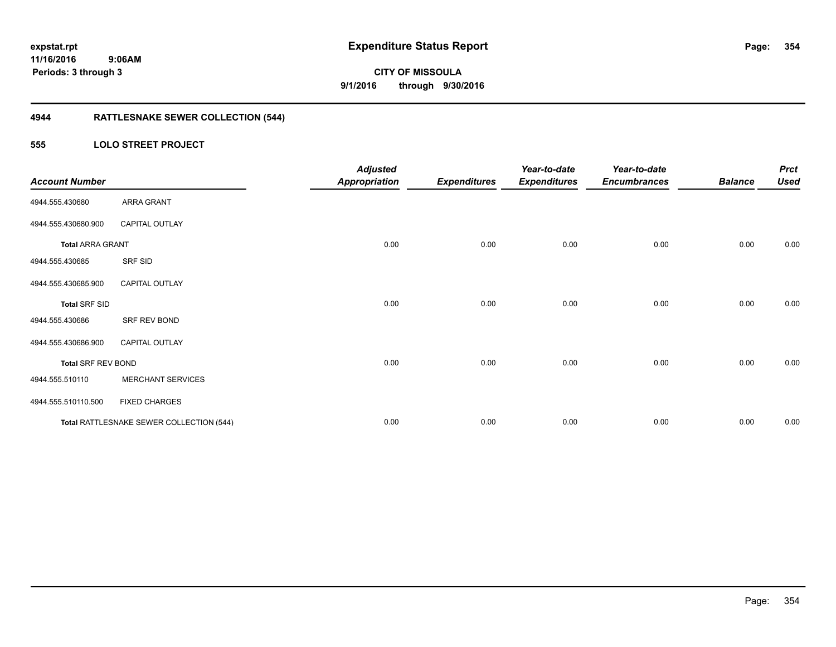## **4944 RATTLESNAKE SEWER COLLECTION (544)**

#### **555 LOLO STREET PROJECT**

| <b>Account Number</b>     |                                          | <b>Adjusted</b><br><b>Appropriation</b> | <b>Expenditures</b> | Year-to-date<br><b>Expenditures</b> | Year-to-date<br><b>Encumbrances</b> | <b>Balance</b> | <b>Prct</b><br><b>Used</b> |
|---------------------------|------------------------------------------|-----------------------------------------|---------------------|-------------------------------------|-------------------------------------|----------------|----------------------------|
| 4944.555.430680           | ARRA GRANT                               |                                         |                     |                                     |                                     |                |                            |
| 4944.555.430680.900       | <b>CAPITAL OUTLAY</b>                    |                                         |                     |                                     |                                     |                |                            |
| <b>Total ARRA GRANT</b>   |                                          | 0.00                                    | 0.00                | 0.00                                | 0.00                                | 0.00           | 0.00                       |
| 4944.555.430685           | SRF SID                                  |                                         |                     |                                     |                                     |                |                            |
| 4944.555.430685.900       | <b>CAPITAL OUTLAY</b>                    |                                         |                     |                                     |                                     |                |                            |
| <b>Total SRF SID</b>      |                                          | 0.00                                    | 0.00                | 0.00                                | 0.00                                | 0.00           | 0.00                       |
| 4944.555.430686           | SRF REV BOND                             |                                         |                     |                                     |                                     |                |                            |
| 4944.555.430686.900       | <b>CAPITAL OUTLAY</b>                    |                                         |                     |                                     |                                     |                |                            |
| <b>Total SRF REV BOND</b> |                                          | 0.00                                    | 0.00                | 0.00                                | 0.00                                | 0.00           | 0.00                       |
| 4944.555.510110           | <b>MERCHANT SERVICES</b>                 |                                         |                     |                                     |                                     |                |                            |
| 4944.555.510110.500       | <b>FIXED CHARGES</b>                     |                                         |                     |                                     |                                     |                |                            |
|                           | Total RATTLESNAKE SEWER COLLECTION (544) | 0.00                                    | 0.00                | 0.00                                | 0.00                                | 0.00           | 0.00                       |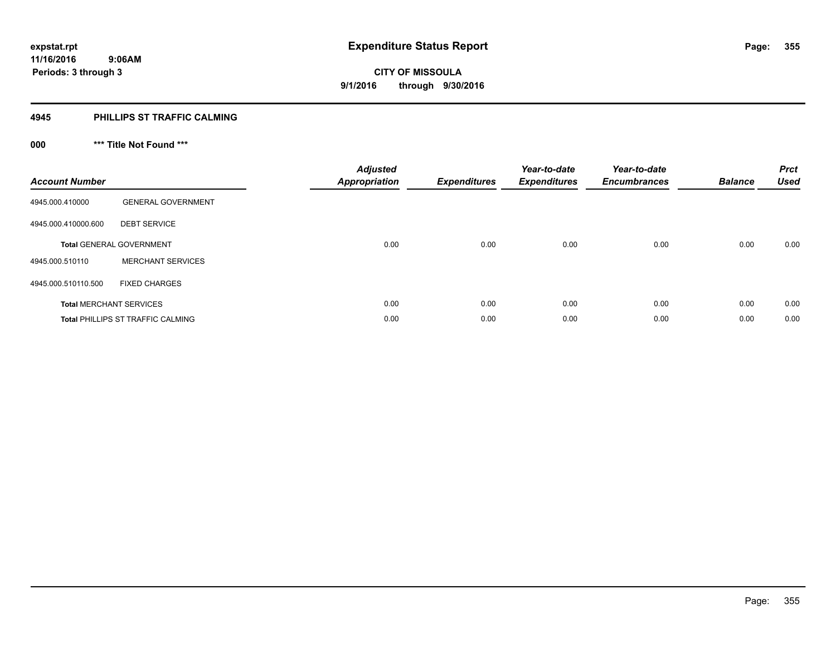#### **4945 PHILLIPS ST TRAFFIC CALMING**

## **000 \*\*\* Title Not Found \*\*\***

| <b>Account Number</b> |                                          | <b>Adjusted</b><br><b>Appropriation</b> | <b>Expenditures</b> | Year-to-date<br><b>Expenditures</b> | Year-to-date<br><b>Encumbrances</b> | <b>Balance</b> | <b>Prct</b><br><b>Used</b> |
|-----------------------|------------------------------------------|-----------------------------------------|---------------------|-------------------------------------|-------------------------------------|----------------|----------------------------|
| 4945.000.410000       | <b>GENERAL GOVERNMENT</b>                |                                         |                     |                                     |                                     |                |                            |
| 4945.000.410000.600   | <b>DEBT SERVICE</b>                      |                                         |                     |                                     |                                     |                |                            |
|                       | <b>Total GENERAL GOVERNMENT</b>          | 0.00                                    | 0.00                | 0.00                                | 0.00                                | 0.00           | 0.00                       |
| 4945.000.510110       | <b>MERCHANT SERVICES</b>                 |                                         |                     |                                     |                                     |                |                            |
| 4945.000.510110.500   | <b>FIXED CHARGES</b>                     |                                         |                     |                                     |                                     |                |                            |
|                       | <b>Total MERCHANT SERVICES</b>           | 0.00                                    | 0.00                | 0.00                                | 0.00                                | 0.00           | 0.00                       |
|                       | <b>Total PHILLIPS ST TRAFFIC CALMING</b> | 0.00                                    | 0.00                | 0.00                                | 0.00                                | 0.00           | 0.00                       |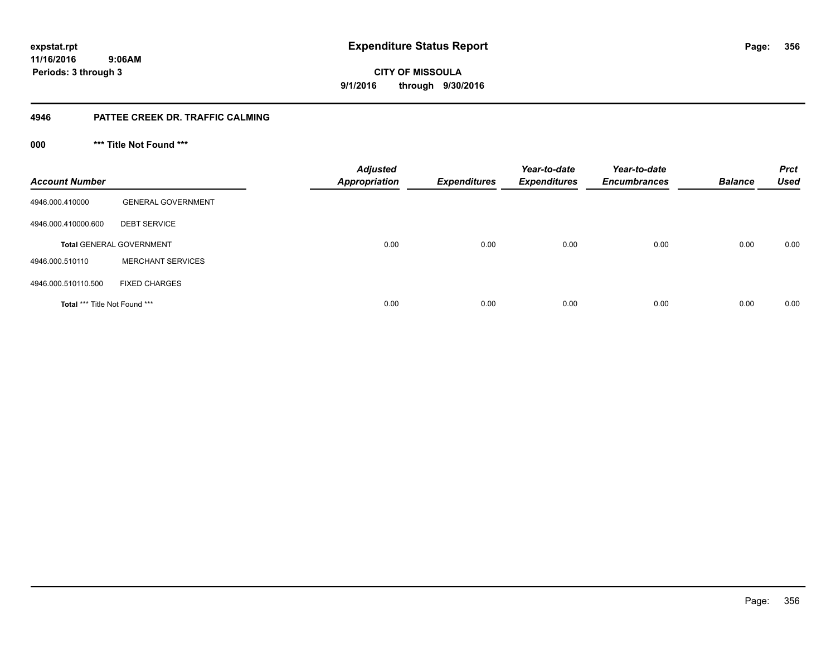**11/16/2016 9:06AM Periods: 3 through 3**

**356**

**CITY OF MISSOULA 9/1/2016 through 9/30/2016**

#### **4946 PATTEE CREEK DR. TRAFFIC CALMING**

**000 \*\*\* Title Not Found \*\*\***

| <b>Account Number</b>                |                                 | <b>Adjusted</b><br><b>Appropriation</b> | <b>Expenditures</b> | Year-to-date<br><b>Expenditures</b> | Year-to-date<br><b>Encumbrances</b> | <b>Balance</b> | <b>Prct</b><br><b>Used</b> |
|--------------------------------------|---------------------------------|-----------------------------------------|---------------------|-------------------------------------|-------------------------------------|----------------|----------------------------|
| 4946.000.410000                      | <b>GENERAL GOVERNMENT</b>       |                                         |                     |                                     |                                     |                |                            |
| 4946.000.410000.600                  | <b>DEBT SERVICE</b>             |                                         |                     |                                     |                                     |                |                            |
|                                      | <b>Total GENERAL GOVERNMENT</b> | 0.00                                    | 0.00                | 0.00                                | 0.00                                | 0.00           | 0.00                       |
| 4946.000.510110                      | <b>MERCHANT SERVICES</b>        |                                         |                     |                                     |                                     |                |                            |
| 4946.000.510110.500                  | <b>FIXED CHARGES</b>            |                                         |                     |                                     |                                     |                |                            |
| <b>Total *** Title Not Found ***</b> |                                 | 0.00                                    | 0.00                | 0.00                                | 0.00                                | 0.00           | 0.00                       |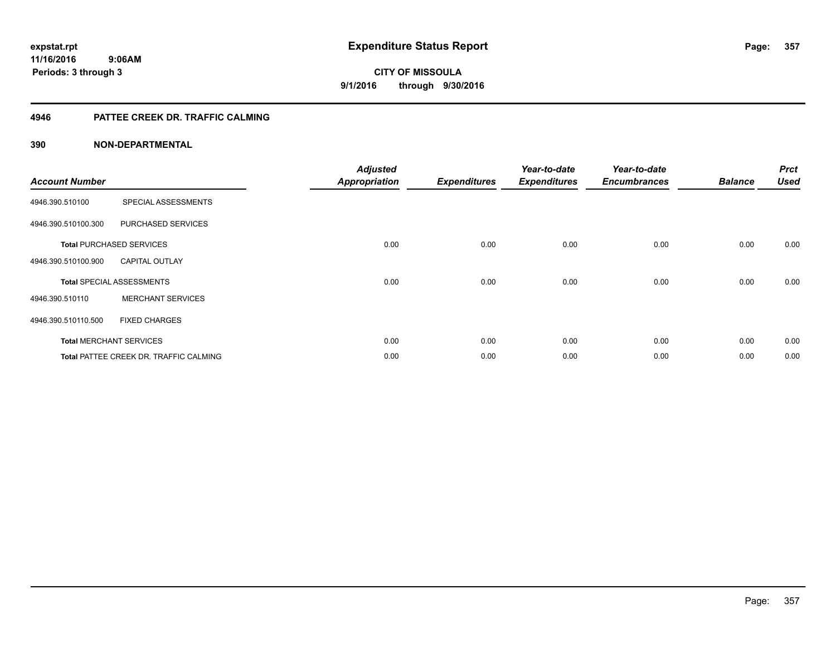#### **4946 PATTEE CREEK DR. TRAFFIC CALMING**

| <b>Account Number</b> |                                               | <b>Adjusted</b><br><b>Appropriation</b> | <b>Expenditures</b> | Year-to-date<br><b>Expenditures</b> | Year-to-date<br><b>Encumbrances</b> | <b>Balance</b> | <b>Prct</b><br><b>Used</b> |
|-----------------------|-----------------------------------------------|-----------------------------------------|---------------------|-------------------------------------|-------------------------------------|----------------|----------------------------|
| 4946.390.510100       | SPECIAL ASSESSMENTS                           |                                         |                     |                                     |                                     |                |                            |
| 4946.390.510100.300   | PURCHASED SERVICES                            |                                         |                     |                                     |                                     |                |                            |
|                       | <b>Total PURCHASED SERVICES</b>               | 0.00                                    | 0.00                | 0.00                                | 0.00                                | 0.00           | 0.00                       |
| 4946.390.510100.900   | <b>CAPITAL OUTLAY</b>                         |                                         |                     |                                     |                                     |                |                            |
|                       | <b>Total SPECIAL ASSESSMENTS</b>              | 0.00                                    | 0.00                | 0.00                                | 0.00                                | 0.00           | 0.00                       |
| 4946.390.510110       | <b>MERCHANT SERVICES</b>                      |                                         |                     |                                     |                                     |                |                            |
| 4946.390.510110.500   | <b>FIXED CHARGES</b>                          |                                         |                     |                                     |                                     |                |                            |
|                       | <b>Total MERCHANT SERVICES</b>                | 0.00                                    | 0.00                | 0.00                                | 0.00                                | 0.00           | 0.00                       |
|                       | <b>Total PATTEE CREEK DR. TRAFFIC CALMING</b> | 0.00                                    | 0.00                | 0.00                                | 0.00                                | 0.00           | 0.00                       |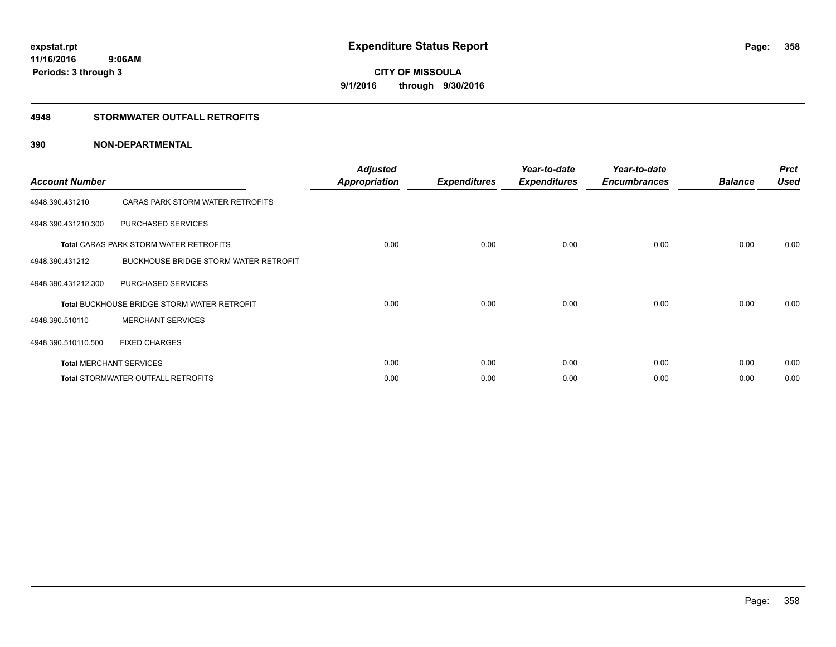#### **4948 STORMWATER OUTFALL RETROFITS**

| <b>Account Number</b> |                                                    | <b>Adjusted</b><br><b>Appropriation</b> | <b>Expenditures</b> | Year-to-date<br><b>Expenditures</b> | Year-to-date<br><b>Encumbrances</b> | <b>Balance</b> | <b>Prct</b><br><b>Used</b> |
|-----------------------|----------------------------------------------------|-----------------------------------------|---------------------|-------------------------------------|-------------------------------------|----------------|----------------------------|
| 4948.390.431210       | CARAS PARK STORM WATER RETROFITS                   |                                         |                     |                                     |                                     |                |                            |
| 4948.390.431210.300   | PURCHASED SERVICES                                 |                                         |                     |                                     |                                     |                |                            |
|                       | <b>Total CARAS PARK STORM WATER RETROFITS</b>      | 0.00                                    | 0.00                | 0.00                                | 0.00                                | 0.00           | 0.00                       |
| 4948.390.431212       | BUCKHOUSE BRIDGE STORM WATER RETROFIT              |                                         |                     |                                     |                                     |                |                            |
| 4948.390.431212.300   | PURCHASED SERVICES                                 |                                         |                     |                                     |                                     |                |                            |
|                       | <b>Total BUCKHOUSE BRIDGE STORM WATER RETROFIT</b> | 0.00                                    | 0.00                | 0.00                                | 0.00                                | 0.00           | 0.00                       |
| 4948.390.510110       | <b>MERCHANT SERVICES</b>                           |                                         |                     |                                     |                                     |                |                            |
| 4948.390.510110.500   | <b>FIXED CHARGES</b>                               |                                         |                     |                                     |                                     |                |                            |
|                       | <b>Total MERCHANT SERVICES</b>                     | 0.00                                    | 0.00                | 0.00                                | 0.00                                | 0.00           | 0.00                       |
|                       | <b>Total STORMWATER OUTFALL RETROFITS</b>          | 0.00                                    | 0.00                | 0.00                                | 0.00                                | 0.00           | 0.00                       |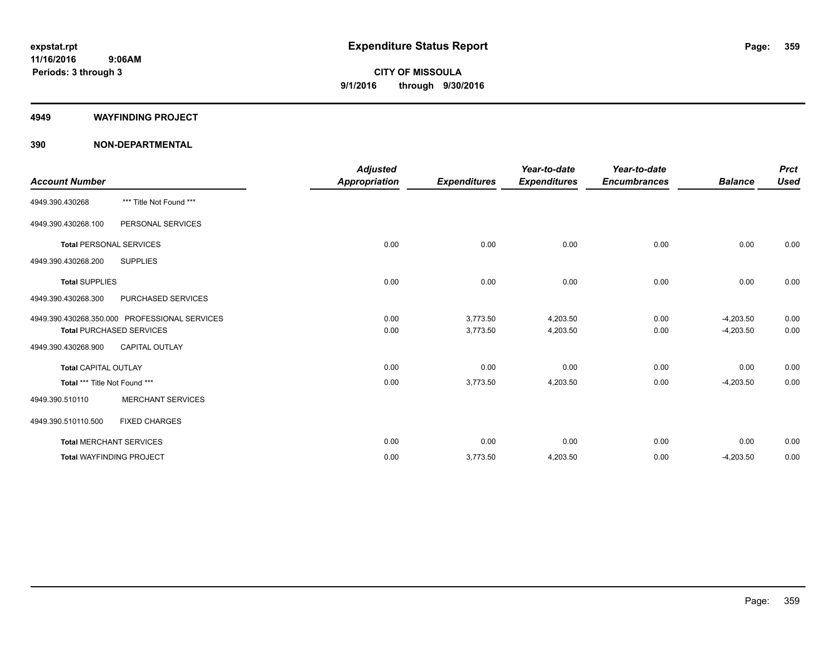#### **4949 WAYFINDING PROJECT**

|                               |                                               | <b>Adjusted</b>      |                     | Year-to-date        | Year-to-date        |                | <b>Prct</b> |
|-------------------------------|-----------------------------------------------|----------------------|---------------------|---------------------|---------------------|----------------|-------------|
| <b>Account Number</b>         |                                               | <b>Appropriation</b> | <b>Expenditures</b> | <b>Expenditures</b> | <b>Encumbrances</b> | <b>Balance</b> | <b>Used</b> |
| 4949.390.430268               | *** Title Not Found ***                       |                      |                     |                     |                     |                |             |
| 4949.390.430268.100           | PERSONAL SERVICES                             |                      |                     |                     |                     |                |             |
|                               | <b>Total PERSONAL SERVICES</b>                | 0.00                 | 0.00                | 0.00                | 0.00                | 0.00           | 0.00        |
| 4949.390.430268.200           | <b>SUPPLIES</b>                               |                      |                     |                     |                     |                |             |
| <b>Total SUPPLIES</b>         |                                               | 0.00                 | 0.00                | 0.00                | 0.00                | 0.00           | 0.00        |
| 4949.390.430268.300           | PURCHASED SERVICES                            |                      |                     |                     |                     |                |             |
|                               | 4949.390.430268.350.000 PROFESSIONAL SERVICES | 0.00                 | 3,773.50            | 4,203.50            | 0.00                | $-4,203.50$    | 0.00        |
|                               | <b>Total PURCHASED SERVICES</b>               | 0.00                 | 3,773.50            | 4,203.50            | 0.00                | $-4,203.50$    | 0.00        |
| 4949.390.430268.900           | <b>CAPITAL OUTLAY</b>                         |                      |                     |                     |                     |                |             |
| <b>Total CAPITAL OUTLAY</b>   |                                               | 0.00                 | 0.00                | 0.00                | 0.00                | 0.00           | 0.00        |
| Total *** Title Not Found *** |                                               | 0.00                 | 3,773.50            | 4,203.50            | 0.00                | $-4,203.50$    | 0.00        |
| 4949.390.510110               | <b>MERCHANT SERVICES</b>                      |                      |                     |                     |                     |                |             |
| 4949.390.510110.500           | <b>FIXED CHARGES</b>                          |                      |                     |                     |                     |                |             |
|                               | <b>Total MERCHANT SERVICES</b>                | 0.00                 | 0.00                | 0.00                | 0.00                | 0.00           | 0.00        |
|                               | <b>Total WAYFINDING PROJECT</b>               | 0.00                 | 3,773.50            | 4,203.50            | 0.00                | $-4,203.50$    | 0.00        |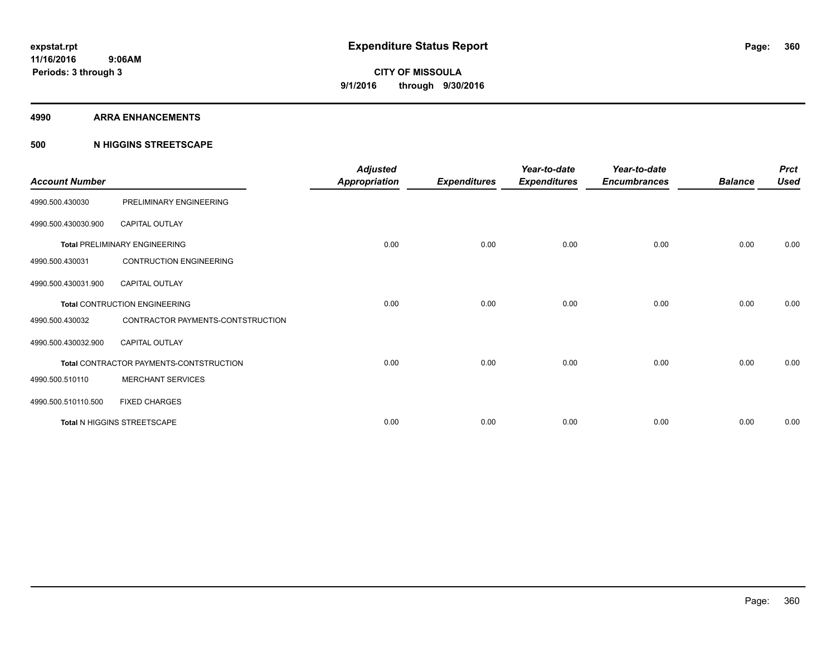#### **4990 ARRA ENHANCEMENTS**

#### **500 N HIGGINS STREETSCAPE**

| <b>Account Number</b> |                                         | <b>Adjusted</b><br><b>Appropriation</b> | <b>Expenditures</b> | Year-to-date<br><b>Expenditures</b> | Year-to-date<br><b>Encumbrances</b> | <b>Balance</b> | <b>Prct</b><br><b>Used</b> |
|-----------------------|-----------------------------------------|-----------------------------------------|---------------------|-------------------------------------|-------------------------------------|----------------|----------------------------|
| 4990.500.430030       | PRELIMINARY ENGINEERING                 |                                         |                     |                                     |                                     |                |                            |
| 4990.500.430030.900   | <b>CAPITAL OUTLAY</b>                   |                                         |                     |                                     |                                     |                |                            |
|                       | <b>Total PRELIMINARY ENGINEERING</b>    | 0.00                                    | 0.00                | 0.00                                | 0.00                                | 0.00           | 0.00                       |
| 4990.500.430031       | <b>CONTRUCTION ENGINEERING</b>          |                                         |                     |                                     |                                     |                |                            |
| 4990.500.430031.900   | <b>CAPITAL OUTLAY</b>                   |                                         |                     |                                     |                                     |                |                            |
|                       | <b>Total CONTRUCTION ENGINEERING</b>    | 0.00                                    | 0.00                | 0.00                                | 0.00                                | 0.00           | 0.00                       |
| 4990.500.430032       | CONTRACTOR PAYMENTS-CONTSTRUCTION       |                                         |                     |                                     |                                     |                |                            |
| 4990.500.430032.900   | <b>CAPITAL OUTLAY</b>                   |                                         |                     |                                     |                                     |                |                            |
|                       | Total CONTRACTOR PAYMENTS-CONTSTRUCTION | 0.00                                    | 0.00                | 0.00                                | 0.00                                | 0.00           | 0.00                       |
| 4990.500.510110       | <b>MERCHANT SERVICES</b>                |                                         |                     |                                     |                                     |                |                            |
| 4990.500.510110.500   | <b>FIXED CHARGES</b>                    |                                         |                     |                                     |                                     |                |                            |
|                       | Total N HIGGINS STREETSCAPE             | 0.00                                    | 0.00                | 0.00                                | 0.00                                | 0.00           | 0.00                       |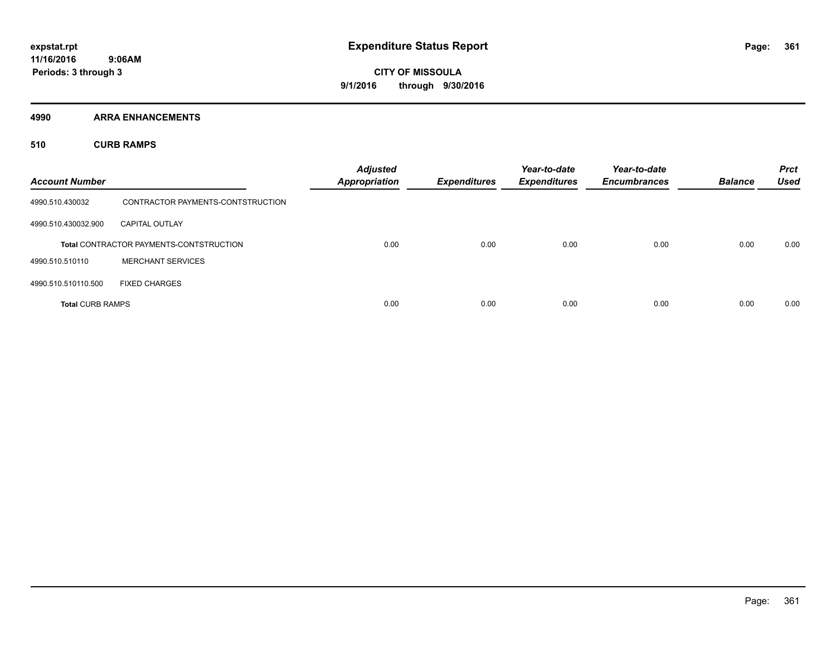**4990 ARRA ENHANCEMENTS**

**510 CURB RAMPS**

| <b>Account Number</b>   |                                                | <b>Adjusted</b><br><b>Appropriation</b> | <b>Expenditures</b> | Year-to-date<br><b>Expenditures</b> | Year-to-date<br><b>Encumbrances</b> | <b>Balance</b> | <b>Prct</b><br><b>Used</b> |
|-------------------------|------------------------------------------------|-----------------------------------------|---------------------|-------------------------------------|-------------------------------------|----------------|----------------------------|
| 4990.510.430032         | CONTRACTOR PAYMENTS-CONTSTRUCTION              |                                         |                     |                                     |                                     |                |                            |
| 4990.510.430032.900     | <b>CAPITAL OUTLAY</b>                          |                                         |                     |                                     |                                     |                |                            |
|                         | <b>Total CONTRACTOR PAYMENTS-CONTSTRUCTION</b> | 0.00                                    | 0.00                | 0.00                                | 0.00                                | 0.00           | 0.00                       |
| 4990.510.510110         | <b>MERCHANT SERVICES</b>                       |                                         |                     |                                     |                                     |                |                            |
| 4990.510.510110.500     | <b>FIXED CHARGES</b>                           |                                         |                     |                                     |                                     |                |                            |
| <b>Total CURB RAMPS</b> |                                                | 0.00                                    | 0.00                | 0.00                                | 0.00                                | 0.00           | 0.00                       |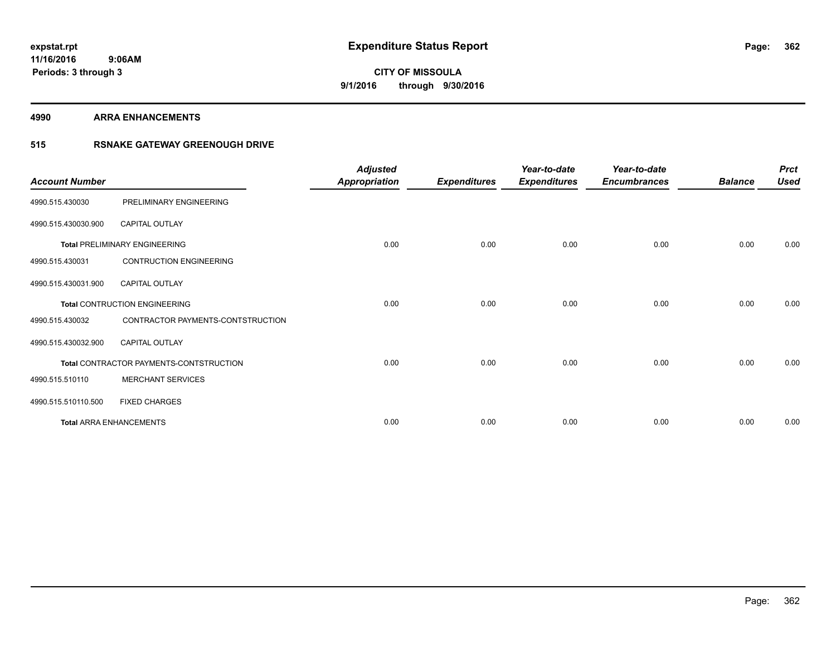#### **4990 ARRA ENHANCEMENTS**

### **515 RSNAKE GATEWAY GREENOUGH DRIVE**

| <b>Account Number</b> |                                         | <b>Adjusted</b><br><b>Appropriation</b> | <b>Expenditures</b> | Year-to-date<br><b>Expenditures</b> | Year-to-date<br><b>Encumbrances</b> | <b>Balance</b> | <b>Prct</b><br><b>Used</b> |
|-----------------------|-----------------------------------------|-----------------------------------------|---------------------|-------------------------------------|-------------------------------------|----------------|----------------------------|
| 4990.515.430030       | PRELIMINARY ENGINEERING                 |                                         |                     |                                     |                                     |                |                            |
| 4990.515.430030.900   | <b>CAPITAL OUTLAY</b>                   |                                         |                     |                                     |                                     |                |                            |
|                       | <b>Total PRELIMINARY ENGINEERING</b>    | 0.00                                    | 0.00                | 0.00                                | 0.00                                | 0.00           | 0.00                       |
| 4990.515.430031       | <b>CONTRUCTION ENGINEERING</b>          |                                         |                     |                                     |                                     |                |                            |
| 4990.515.430031.900   | <b>CAPITAL OUTLAY</b>                   |                                         |                     |                                     |                                     |                |                            |
|                       | <b>Total CONTRUCTION ENGINEERING</b>    | 0.00                                    | 0.00                | 0.00                                | 0.00                                | 0.00           | 0.00                       |
| 4990.515.430032       | CONTRACTOR PAYMENTS-CONTSTRUCTION       |                                         |                     |                                     |                                     |                |                            |
| 4990.515.430032.900   | <b>CAPITAL OUTLAY</b>                   |                                         |                     |                                     |                                     |                |                            |
|                       | Total CONTRACTOR PAYMENTS-CONTSTRUCTION | 0.00                                    | 0.00                | 0.00                                | 0.00                                | 0.00           | 0.00                       |
| 4990.515.510110       | <b>MERCHANT SERVICES</b>                |                                         |                     |                                     |                                     |                |                            |
| 4990.515.510110.500   | <b>FIXED CHARGES</b>                    |                                         |                     |                                     |                                     |                |                            |
|                       | <b>Total ARRA ENHANCEMENTS</b>          | 0.00                                    | 0.00                | 0.00                                | 0.00                                | 0.00           | 0.00                       |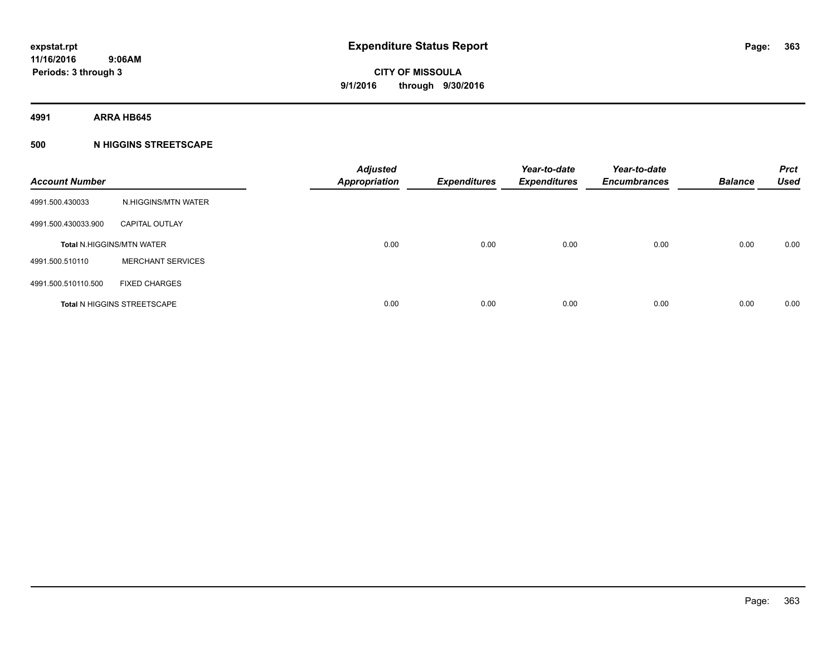**4991 ARRA HB645**

### **500 N HIGGINS STREETSCAPE**

| <b>Account Number</b> |                                    | <b>Adjusted</b><br><b>Appropriation</b> | <b>Expenditures</b> | Year-to-date<br><b>Expenditures</b> | Year-to-date<br><b>Encumbrances</b> | <b>Balance</b> | <b>Prct</b><br><b>Used</b> |
|-----------------------|------------------------------------|-----------------------------------------|---------------------|-------------------------------------|-------------------------------------|----------------|----------------------------|
| 4991.500.430033       | N.HIGGINS/MTN WATER                |                                         |                     |                                     |                                     |                |                            |
| 4991.500.430033.900   | <b>CAPITAL OUTLAY</b>              |                                         |                     |                                     |                                     |                |                            |
|                       | <b>Total N.HIGGINS/MTN WATER</b>   | 0.00                                    | 0.00                | 0.00                                | 0.00                                | 0.00           | 0.00                       |
| 4991.500.510110       | <b>MERCHANT SERVICES</b>           |                                         |                     |                                     |                                     |                |                            |
| 4991.500.510110.500   | <b>FIXED CHARGES</b>               |                                         |                     |                                     |                                     |                |                            |
|                       | <b>Total N HIGGINS STREETSCAPE</b> | 0.00                                    | 0.00                | 0.00                                | 0.00                                | 0.00           | 0.00                       |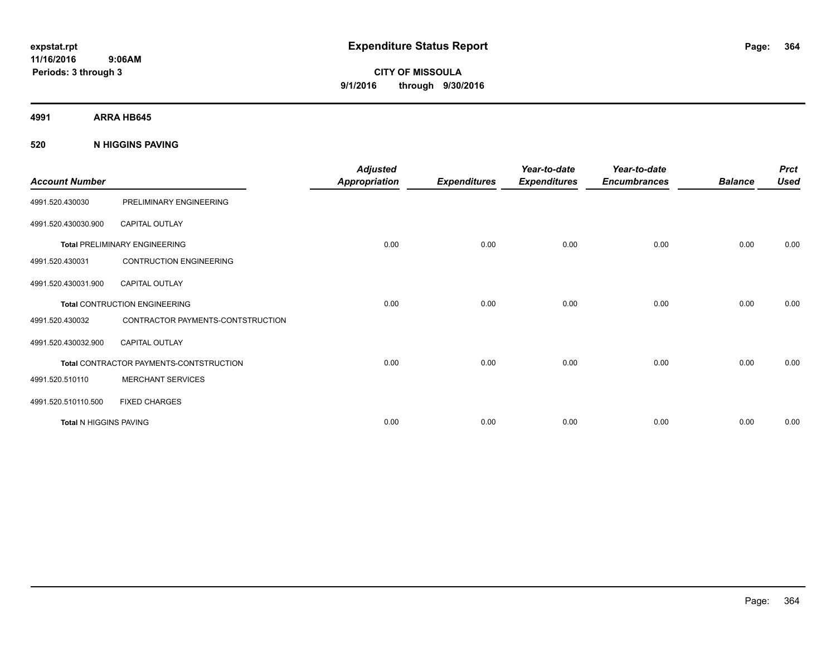# **CITY OF MISSOULA 9/1/2016 through 9/30/2016**

**4991 ARRA HB645**

### **520 N HIGGINS PAVING**

| <b>Account Number</b>  |                                                | <b>Adjusted</b><br><b>Appropriation</b> | <b>Expenditures</b> | Year-to-date<br><b>Expenditures</b> | Year-to-date<br><b>Encumbrances</b> | <b>Balance</b> | <b>Prct</b><br><b>Used</b> |
|------------------------|------------------------------------------------|-----------------------------------------|---------------------|-------------------------------------|-------------------------------------|----------------|----------------------------|
| 4991.520.430030        | PRELIMINARY ENGINEERING                        |                                         |                     |                                     |                                     |                |                            |
| 4991.520.430030.900    | <b>CAPITAL OUTLAY</b>                          |                                         |                     |                                     |                                     |                |                            |
|                        | <b>Total PRELIMINARY ENGINEERING</b>           | 0.00                                    | 0.00                | 0.00                                | 0.00                                | 0.00           | 0.00                       |
| 4991.520.430031        | <b>CONTRUCTION ENGINEERING</b>                 |                                         |                     |                                     |                                     |                |                            |
| 4991.520.430031.900    | <b>CAPITAL OUTLAY</b>                          |                                         |                     |                                     |                                     |                |                            |
|                        | <b>Total CONTRUCTION ENGINEERING</b>           | 0.00                                    | 0.00                | 0.00                                | 0.00                                | 0.00           | 0.00                       |
| 4991.520.430032        | CONTRACTOR PAYMENTS-CONTSTRUCTION              |                                         |                     |                                     |                                     |                |                            |
| 4991.520.430032.900    | <b>CAPITAL OUTLAY</b>                          |                                         |                     |                                     |                                     |                |                            |
|                        | <b>Total CONTRACTOR PAYMENTS-CONTSTRUCTION</b> | 0.00                                    | 0.00                | 0.00                                | 0.00                                | 0.00           | 0.00                       |
| 4991.520.510110        | <b>MERCHANT SERVICES</b>                       |                                         |                     |                                     |                                     |                |                            |
| 4991.520.510110.500    | <b>FIXED CHARGES</b>                           |                                         |                     |                                     |                                     |                |                            |
| Total N HIGGINS PAVING |                                                | 0.00                                    | 0.00                | 0.00                                | 0.00                                | 0.00           | 0.00                       |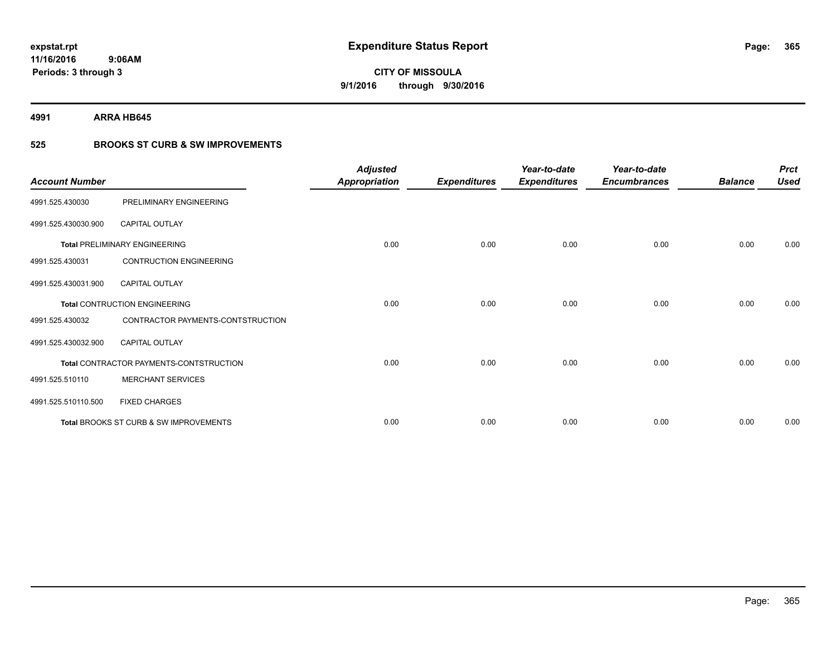**4991 ARRA HB645**

### **525 BROOKS ST CURB & SW IMPROVEMENTS**

| <b>Account Number</b> |                                         | <b>Adjusted</b><br><b>Appropriation</b> | <b>Expenditures</b> | Year-to-date<br><b>Expenditures</b> | Year-to-date<br><b>Encumbrances</b> | <b>Balance</b> | <b>Prct</b><br><b>Used</b> |
|-----------------------|-----------------------------------------|-----------------------------------------|---------------------|-------------------------------------|-------------------------------------|----------------|----------------------------|
| 4991.525.430030       | PRELIMINARY ENGINEERING                 |                                         |                     |                                     |                                     |                |                            |
| 4991.525.430030.900   | <b>CAPITAL OUTLAY</b>                   |                                         |                     |                                     |                                     |                |                            |
|                       | <b>Total PRELIMINARY ENGINEERING</b>    | 0.00                                    | 0.00                | 0.00                                | 0.00                                | 0.00           | 0.00                       |
| 4991.525.430031       | <b>CONTRUCTION ENGINEERING</b>          |                                         |                     |                                     |                                     |                |                            |
| 4991.525.430031.900   | <b>CAPITAL OUTLAY</b>                   |                                         |                     |                                     |                                     |                |                            |
|                       | Total CONTRUCTION ENGINEERING           | 0.00                                    | 0.00                | 0.00                                | 0.00                                | 0.00           | 0.00                       |
| 4991.525.430032       | CONTRACTOR PAYMENTS-CONTSTRUCTION       |                                         |                     |                                     |                                     |                |                            |
| 4991.525.430032.900   | <b>CAPITAL OUTLAY</b>                   |                                         |                     |                                     |                                     |                |                            |
|                       | Total CONTRACTOR PAYMENTS-CONTSTRUCTION | 0.00                                    | 0.00                | 0.00                                | 0.00                                | 0.00           | 0.00                       |
| 4991.525.510110       | <b>MERCHANT SERVICES</b>                |                                         |                     |                                     |                                     |                |                            |
| 4991.525.510110.500   | <b>FIXED CHARGES</b>                    |                                         |                     |                                     |                                     |                |                            |
|                       | Total BROOKS ST CURB & SW IMPROVEMENTS  | 0.00                                    | 0.00                | 0.00                                | 0.00                                | 0.00           | 0.00                       |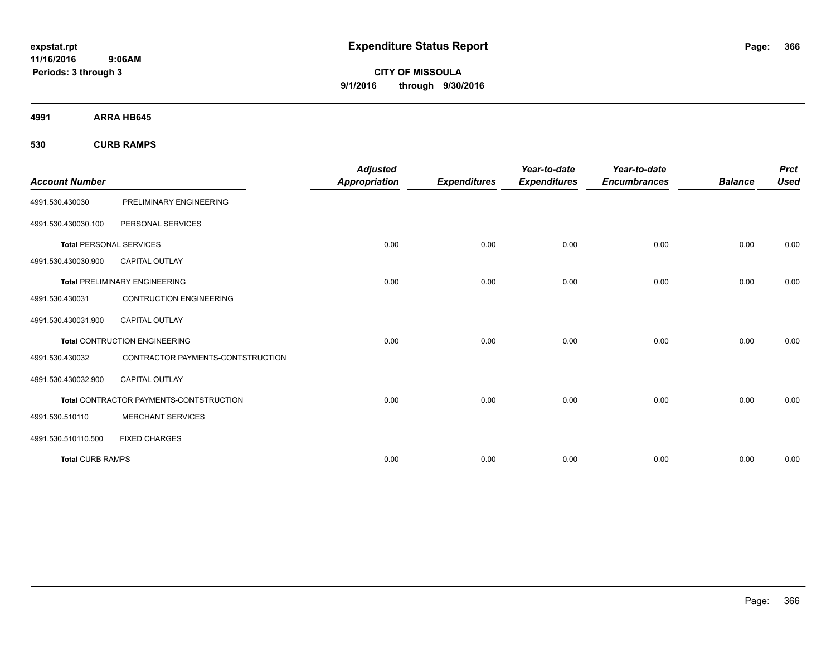**CITY OF MISSOULA 9/1/2016 through 9/30/2016**

**4991 ARRA HB645**

**530 CURB RAMPS**

|                                |                                                | <b>Adjusted</b>      |                     | Year-to-date        | Year-to-date        |                | <b>Prct</b> |
|--------------------------------|------------------------------------------------|----------------------|---------------------|---------------------|---------------------|----------------|-------------|
| <b>Account Number</b>          |                                                | <b>Appropriation</b> | <b>Expenditures</b> | <b>Expenditures</b> | <b>Encumbrances</b> | <b>Balance</b> | <b>Used</b> |
| 4991.530.430030                | PRELIMINARY ENGINEERING                        |                      |                     |                     |                     |                |             |
| 4991.530.430030.100            | PERSONAL SERVICES                              |                      |                     |                     |                     |                |             |
| <b>Total PERSONAL SERVICES</b> |                                                | 0.00                 | 0.00                | 0.00                | 0.00                | 0.00           | 0.00        |
| 4991.530.430030.900            | CAPITAL OUTLAY                                 |                      |                     |                     |                     |                |             |
|                                | <b>Total PRELIMINARY ENGINEERING</b>           | 0.00                 | 0.00                | 0.00                | 0.00                | 0.00           | 0.00        |
| 4991.530.430031                | <b>CONTRUCTION ENGINEERING</b>                 |                      |                     |                     |                     |                |             |
| 4991.530.430031.900            | <b>CAPITAL OUTLAY</b>                          |                      |                     |                     |                     |                |             |
|                                | <b>Total CONTRUCTION ENGINEERING</b>           | 0.00                 | 0.00                | 0.00                | 0.00                | 0.00           | 0.00        |
| 4991.530.430032                | CONTRACTOR PAYMENTS-CONTSTRUCTION              |                      |                     |                     |                     |                |             |
| 4991.530.430032.900            | <b>CAPITAL OUTLAY</b>                          |                      |                     |                     |                     |                |             |
|                                | <b>Total CONTRACTOR PAYMENTS-CONTSTRUCTION</b> | 0.00                 | 0.00                | 0.00                | 0.00                | 0.00           | 0.00        |
| 4991.530.510110                | <b>MERCHANT SERVICES</b>                       |                      |                     |                     |                     |                |             |
| 4991.530.510110.500            | <b>FIXED CHARGES</b>                           |                      |                     |                     |                     |                |             |
| <b>Total CURB RAMPS</b>        |                                                | 0.00                 | 0.00                | 0.00                | 0.00                | 0.00           | 0.00        |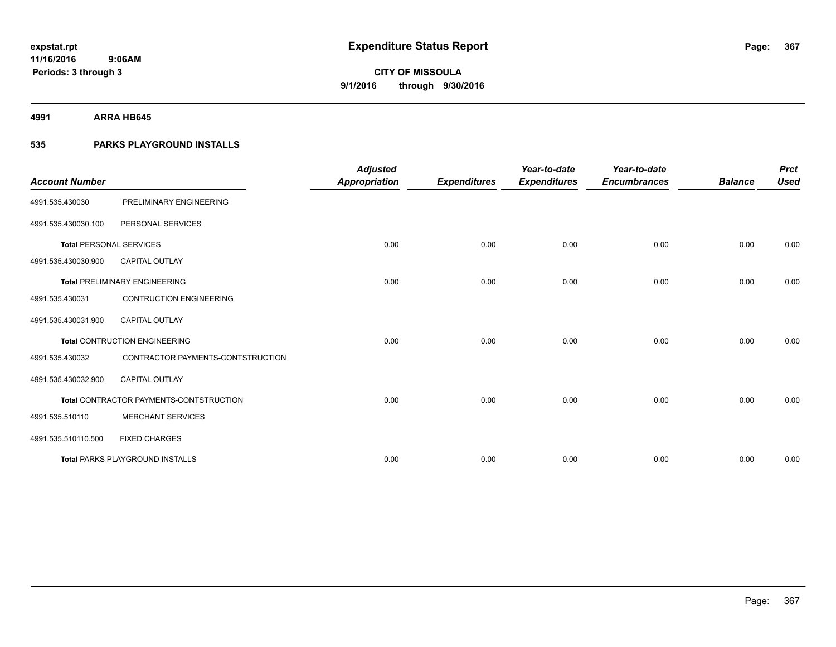**4991 ARRA HB645**

### **535 PARKS PLAYGROUND INSTALLS**

| <b>Account Number</b>          |                                         | <b>Adjusted</b><br><b>Appropriation</b> | <b>Expenditures</b> | Year-to-date<br><b>Expenditures</b> | Year-to-date<br><b>Encumbrances</b> | <b>Balance</b> | <b>Prct</b><br><b>Used</b> |
|--------------------------------|-----------------------------------------|-----------------------------------------|---------------------|-------------------------------------|-------------------------------------|----------------|----------------------------|
| 4991.535.430030                | PRELIMINARY ENGINEERING                 |                                         |                     |                                     |                                     |                |                            |
| 4991.535.430030.100            | PERSONAL SERVICES                       |                                         |                     |                                     |                                     |                |                            |
| <b>Total PERSONAL SERVICES</b> |                                         | 0.00                                    | 0.00                | 0.00                                | 0.00                                | 0.00           | 0.00                       |
| 4991.535.430030.900            | <b>CAPITAL OUTLAY</b>                   |                                         |                     |                                     |                                     |                |                            |
|                                | <b>Total PRELIMINARY ENGINEERING</b>    | 0.00                                    | 0.00                | 0.00                                | 0.00                                | 0.00           | 0.00                       |
| 4991.535.430031                | <b>CONTRUCTION ENGINEERING</b>          |                                         |                     |                                     |                                     |                |                            |
| 4991.535.430031.900            | <b>CAPITAL OUTLAY</b>                   |                                         |                     |                                     |                                     |                |                            |
|                                | <b>Total CONTRUCTION ENGINEERING</b>    | 0.00                                    | 0.00                | 0.00                                | 0.00                                | 0.00           | 0.00                       |
| 4991.535.430032                | CONTRACTOR PAYMENTS-CONTSTRUCTION       |                                         |                     |                                     |                                     |                |                            |
| 4991.535.430032.900            | <b>CAPITAL OUTLAY</b>                   |                                         |                     |                                     |                                     |                |                            |
|                                | Total CONTRACTOR PAYMENTS-CONTSTRUCTION | 0.00                                    | 0.00                | 0.00                                | 0.00                                | 0.00           | 0.00                       |
| 4991.535.510110                | <b>MERCHANT SERVICES</b>                |                                         |                     |                                     |                                     |                |                            |
| 4991.535.510110.500            | <b>FIXED CHARGES</b>                    |                                         |                     |                                     |                                     |                |                            |
|                                | <b>Total PARKS PLAYGROUND INSTALLS</b>  | 0.00                                    | 0.00                | 0.00                                | 0.00                                | 0.00           | 0.00                       |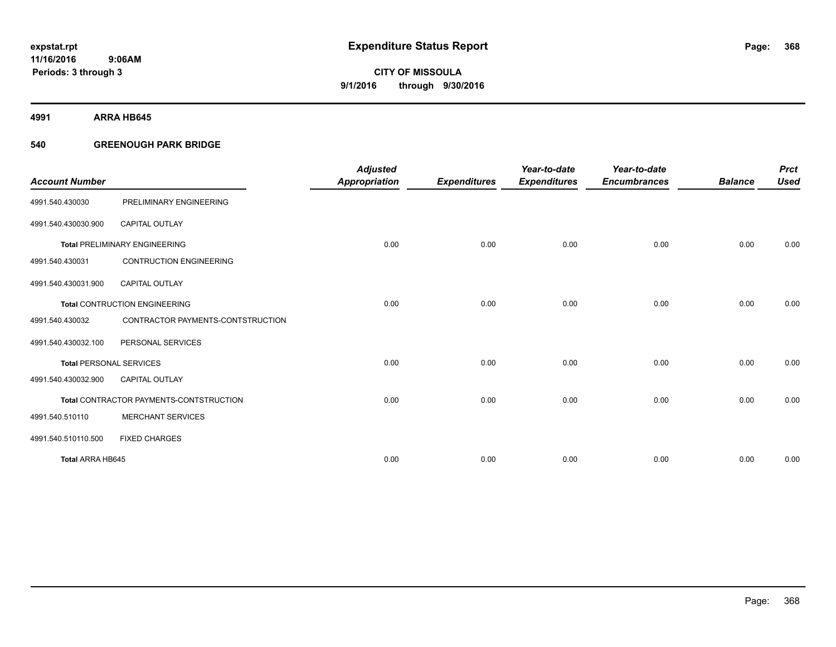**4991 ARRA HB645**

### **540 GREENOUGH PARK BRIDGE**

|                                |                                         | <b>Adjusted</b>      |                     | Year-to-date        | Year-to-date        |                | <b>Prct</b> |
|--------------------------------|-----------------------------------------|----------------------|---------------------|---------------------|---------------------|----------------|-------------|
| <b>Account Number</b>          |                                         | <b>Appropriation</b> | <b>Expenditures</b> | <b>Expenditures</b> | <b>Encumbrances</b> | <b>Balance</b> | <b>Used</b> |
| 4991.540.430030                | PRELIMINARY ENGINEERING                 |                      |                     |                     |                     |                |             |
| 4991.540.430030.900            | <b>CAPITAL OUTLAY</b>                   |                      |                     |                     |                     |                |             |
|                                | <b>Total PRELIMINARY ENGINEERING</b>    | 0.00                 | 0.00                | 0.00                | 0.00                | 0.00           | 0.00        |
| 4991.540.430031                | <b>CONTRUCTION ENGINEERING</b>          |                      |                     |                     |                     |                |             |
| 4991.540.430031.900            | <b>CAPITAL OUTLAY</b>                   |                      |                     |                     |                     |                |             |
|                                | <b>Total CONTRUCTION ENGINEERING</b>    | 0.00                 | 0.00                | 0.00                | 0.00                | 0.00           | 0.00        |
| 4991.540.430032                | CONTRACTOR PAYMENTS-CONTSTRUCTION       |                      |                     |                     |                     |                |             |
| 4991.540.430032.100            | PERSONAL SERVICES                       |                      |                     |                     |                     |                |             |
| <b>Total PERSONAL SERVICES</b> |                                         | 0.00                 | 0.00                | 0.00                | 0.00                | 0.00           | 0.00        |
| 4991.540.430032.900            | <b>CAPITAL OUTLAY</b>                   |                      |                     |                     |                     |                |             |
|                                | Total CONTRACTOR PAYMENTS-CONTSTRUCTION | 0.00                 | 0.00                | 0.00                | 0.00                | 0.00           | 0.00        |
| 4991.540.510110                | <b>MERCHANT SERVICES</b>                |                      |                     |                     |                     |                |             |
| 4991.540.510110.500            | <b>FIXED CHARGES</b>                    |                      |                     |                     |                     |                |             |
| Total ARRA HB645               |                                         | 0.00                 | 0.00                | 0.00                | 0.00                | 0.00           | 0.00        |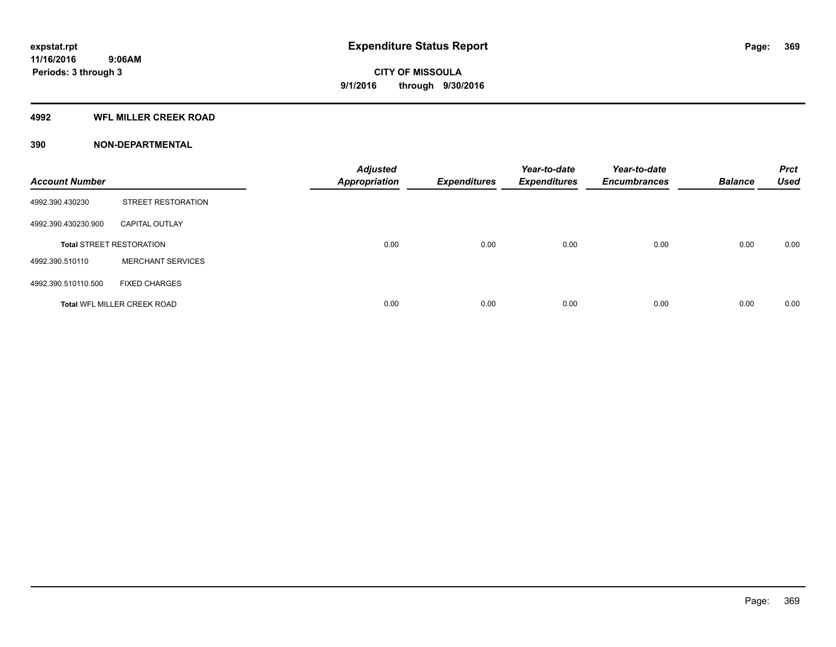### **4992 WFL MILLER CREEK ROAD**

### **390 NON-DEPARTMENTAL**

| <b>Account Number</b> |                                    | <b>Adjusted</b><br><b>Appropriation</b> | <b>Expenditures</b> | Year-to-date<br><b>Expenditures</b> | Year-to-date<br><b>Encumbrances</b> | <b>Balance</b> | <b>Prct</b><br><b>Used</b> |
|-----------------------|------------------------------------|-----------------------------------------|---------------------|-------------------------------------|-------------------------------------|----------------|----------------------------|
| 4992.390.430230       | <b>STREET RESTORATION</b>          |                                         |                     |                                     |                                     |                |                            |
| 4992.390.430230.900   | <b>CAPITAL OUTLAY</b>              |                                         |                     |                                     |                                     |                |                            |
|                       | <b>Total STREET RESTORATION</b>    | 0.00                                    | 0.00                | 0.00                                | 0.00                                | 0.00           | 0.00                       |
| 4992.390.510110       | <b>MERCHANT SERVICES</b>           |                                         |                     |                                     |                                     |                |                            |
| 4992.390.510110.500   | <b>FIXED CHARGES</b>               |                                         |                     |                                     |                                     |                |                            |
|                       | <b>Total WFL MILLER CREEK ROAD</b> | 0.00                                    | 0.00                | 0.00                                | 0.00                                | 0.00           | 0.00                       |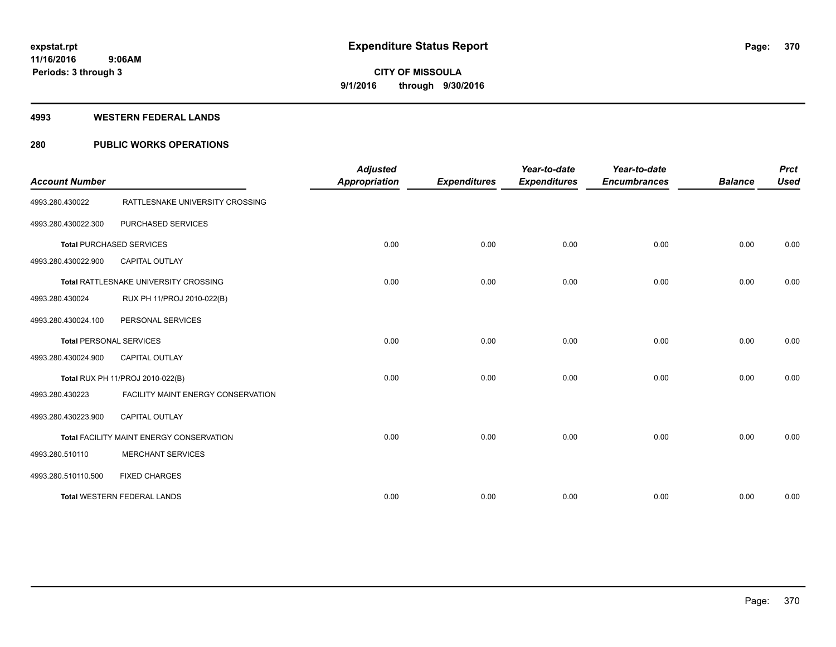#### **4993 WESTERN FEDERAL LANDS**

### **280 PUBLIC WORKS OPERATIONS**

| <b>Account Number</b>          |                                          | <b>Adjusted</b><br><b>Appropriation</b> | <b>Expenditures</b> | Year-to-date<br><b>Expenditures</b> | Year-to-date<br><b>Encumbrances</b> | <b>Balance</b> | <b>Prct</b><br><b>Used</b> |
|--------------------------------|------------------------------------------|-----------------------------------------|---------------------|-------------------------------------|-------------------------------------|----------------|----------------------------|
| 4993.280.430022                | RATTLESNAKE UNIVERSITY CROSSING          |                                         |                     |                                     |                                     |                |                            |
| 4993.280.430022.300            | PURCHASED SERVICES                       |                                         |                     |                                     |                                     |                |                            |
|                                | <b>Total PURCHASED SERVICES</b>          | 0.00                                    | 0.00                | 0.00                                | 0.00                                | 0.00           | 0.00                       |
| 4993.280.430022.900            | <b>CAPITAL OUTLAY</b>                    |                                         |                     |                                     |                                     |                |                            |
|                                | Total RATTLESNAKE UNIVERSITY CROSSING    | 0.00                                    | 0.00                | 0.00                                | 0.00                                | 0.00           | 0.00                       |
| 4993.280.430024                | RUX PH 11/PROJ 2010-022(B)               |                                         |                     |                                     |                                     |                |                            |
| 4993.280.430024.100            | PERSONAL SERVICES                        |                                         |                     |                                     |                                     |                |                            |
| <b>Total PERSONAL SERVICES</b> |                                          | 0.00                                    | 0.00                | 0.00                                | 0.00                                | 0.00           | 0.00                       |
| 4993.280.430024.900            | <b>CAPITAL OUTLAY</b>                    |                                         |                     |                                     |                                     |                |                            |
|                                | Total RUX PH 11/PROJ 2010-022(B)         | 0.00                                    | 0.00                | 0.00                                | 0.00                                | 0.00           | 0.00                       |
| 4993.280.430223                | FACILITY MAINT ENERGY CONSERVATION       |                                         |                     |                                     |                                     |                |                            |
| 4993.280.430223.900            | <b>CAPITAL OUTLAY</b>                    |                                         |                     |                                     |                                     |                |                            |
|                                | Total FACILITY MAINT ENERGY CONSERVATION | 0.00                                    | 0.00                | 0.00                                | 0.00                                | 0.00           | 0.00                       |
| 4993.280.510110                | <b>MERCHANT SERVICES</b>                 |                                         |                     |                                     |                                     |                |                            |
| 4993.280.510110.500            | <b>FIXED CHARGES</b>                     |                                         |                     |                                     |                                     |                |                            |
|                                | <b>Total WESTERN FEDERAL LANDS</b>       | 0.00                                    | 0.00                | 0.00                                | 0.00                                | 0.00           | 0.00                       |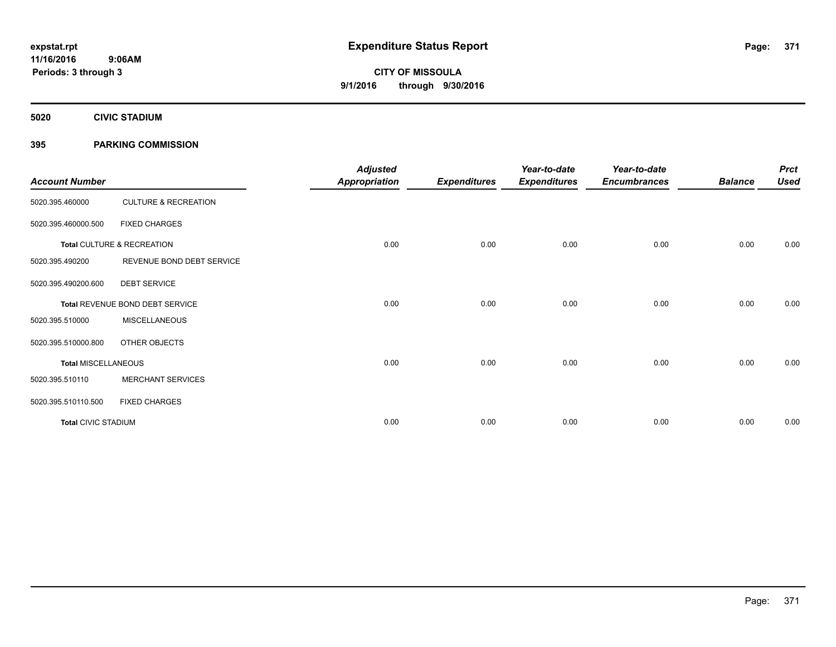**5020 CIVIC STADIUM**

### **395 PARKING COMMISSION**

| <b>Account Number</b>      |                                 | <b>Adjusted</b><br><b>Appropriation</b> | <b>Expenditures</b> | Year-to-date<br><b>Expenditures</b> | Year-to-date<br><b>Encumbrances</b> | <b>Balance</b> | <b>Prct</b><br><b>Used</b> |
|----------------------------|---------------------------------|-----------------------------------------|---------------------|-------------------------------------|-------------------------------------|----------------|----------------------------|
| 5020.395.460000            | <b>CULTURE &amp; RECREATION</b> |                                         |                     |                                     |                                     |                |                            |
| 5020.395.460000.500        | <b>FIXED CHARGES</b>            |                                         |                     |                                     |                                     |                |                            |
|                            | Total CULTURE & RECREATION      | 0.00                                    | 0.00                | 0.00                                | 0.00                                | 0.00           | 0.00                       |
| 5020.395.490200            | REVENUE BOND DEBT SERVICE       |                                         |                     |                                     |                                     |                |                            |
| 5020.395.490200.600        | <b>DEBT SERVICE</b>             |                                         |                     |                                     |                                     |                |                            |
|                            | Total REVENUE BOND DEBT SERVICE | 0.00                                    | 0.00                | 0.00                                | 0.00                                | 0.00           | 0.00                       |
| 5020.395.510000            | <b>MISCELLANEOUS</b>            |                                         |                     |                                     |                                     |                |                            |
| 5020.395.510000.800        | OTHER OBJECTS                   |                                         |                     |                                     |                                     |                |                            |
| <b>Total MISCELLANEOUS</b> |                                 | 0.00                                    | 0.00                | 0.00                                | 0.00                                | 0.00           | 0.00                       |
| 5020.395.510110            | <b>MERCHANT SERVICES</b>        |                                         |                     |                                     |                                     |                |                            |
| 5020.395.510110.500        | <b>FIXED CHARGES</b>            |                                         |                     |                                     |                                     |                |                            |
| <b>Total CIVIC STADIUM</b> |                                 | 0.00                                    | 0.00                | 0.00                                | 0.00                                | 0.00           | 0.00                       |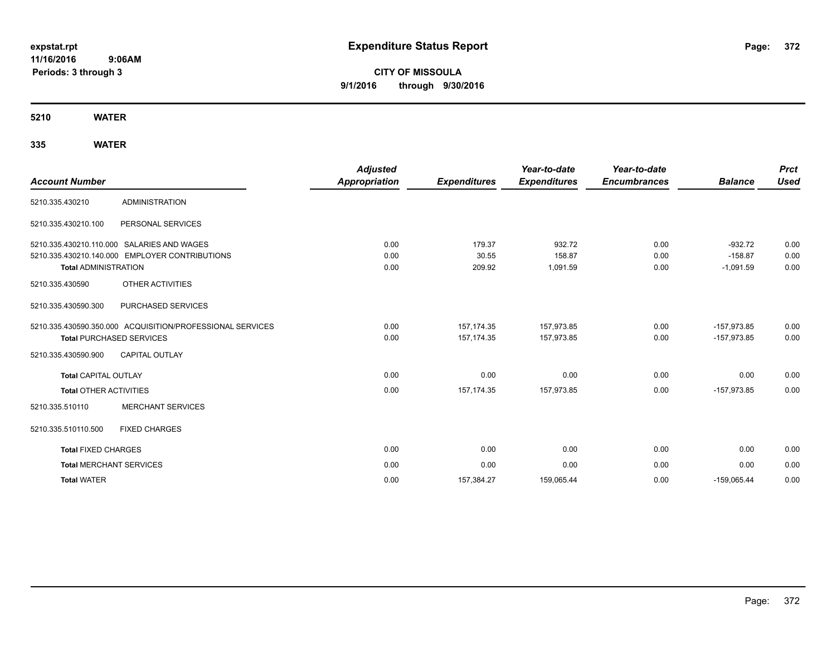**CITY OF MISSOULA 9/1/2016 through 9/30/2016**

**5210 WATER**

| <b>Account Number</b>           |                                                           | <b>Adjusted</b><br><b>Appropriation</b> | <b>Expenditures</b> | Year-to-date<br><b>Expenditures</b> | Year-to-date<br><b>Encumbrances</b> | <b>Balance</b> | <b>Prct</b><br><b>Used</b> |
|---------------------------------|-----------------------------------------------------------|-----------------------------------------|---------------------|-------------------------------------|-------------------------------------|----------------|----------------------------|
| 5210.335.430210                 | <b>ADMINISTRATION</b>                                     |                                         |                     |                                     |                                     |                |                            |
| 5210.335.430210.100             | PERSONAL SERVICES                                         |                                         |                     |                                     |                                     |                |                            |
|                                 | 5210.335.430210.110.000 SALARIES AND WAGES                | 0.00                                    | 179.37              | 932.72                              | 0.00                                | $-932.72$      | 0.00                       |
|                                 | 5210.335.430210.140.000 EMPLOYER CONTRIBUTIONS            | 0.00                                    | 30.55               | 158.87                              | 0.00                                | $-158.87$      | 0.00                       |
| <b>Total ADMINISTRATION</b>     |                                                           | 0.00                                    | 209.92              | 1,091.59                            | 0.00                                | $-1,091.59$    | 0.00                       |
| 5210.335.430590                 | <b>OTHER ACTIVITIES</b>                                   |                                         |                     |                                     |                                     |                |                            |
| 5210.335.430590.300             | PURCHASED SERVICES                                        |                                         |                     |                                     |                                     |                |                            |
|                                 | 5210.335.430590.350.000 ACQUISITION/PROFESSIONAL SERVICES | 0.00                                    | 157, 174.35         | 157,973.85                          | 0.00                                | $-157,973.85$  | 0.00                       |
| <b>Total PURCHASED SERVICES</b> |                                                           | 0.00                                    | 157, 174. 35        | 157,973.85                          | 0.00                                | $-157,973.85$  | 0.00                       |
| 5210.335.430590.900             | <b>CAPITAL OUTLAY</b>                                     |                                         |                     |                                     |                                     |                |                            |
| <b>Total CAPITAL OUTLAY</b>     |                                                           | 0.00                                    | 0.00                | 0.00                                | 0.00                                | 0.00           | 0.00                       |
| <b>Total OTHER ACTIVITIES</b>   |                                                           | 0.00                                    | 157.174.35          | 157,973.85                          | 0.00                                | $-157.973.85$  | 0.00                       |
| 5210.335.510110                 | <b>MERCHANT SERVICES</b>                                  |                                         |                     |                                     |                                     |                |                            |
| 5210.335.510110.500             | <b>FIXED CHARGES</b>                                      |                                         |                     |                                     |                                     |                |                            |
| <b>Total FIXED CHARGES</b>      |                                                           | 0.00                                    | 0.00                | 0.00                                | 0.00                                | 0.00           | 0.00                       |
| <b>Total MERCHANT SERVICES</b>  |                                                           | 0.00                                    | 0.00                | 0.00                                | 0.00                                | 0.00           | 0.00                       |
| <b>Total WATER</b>              |                                                           | 0.00                                    | 157,384.27          | 159,065.44                          | 0.00                                | $-159,065.44$  | 0.00                       |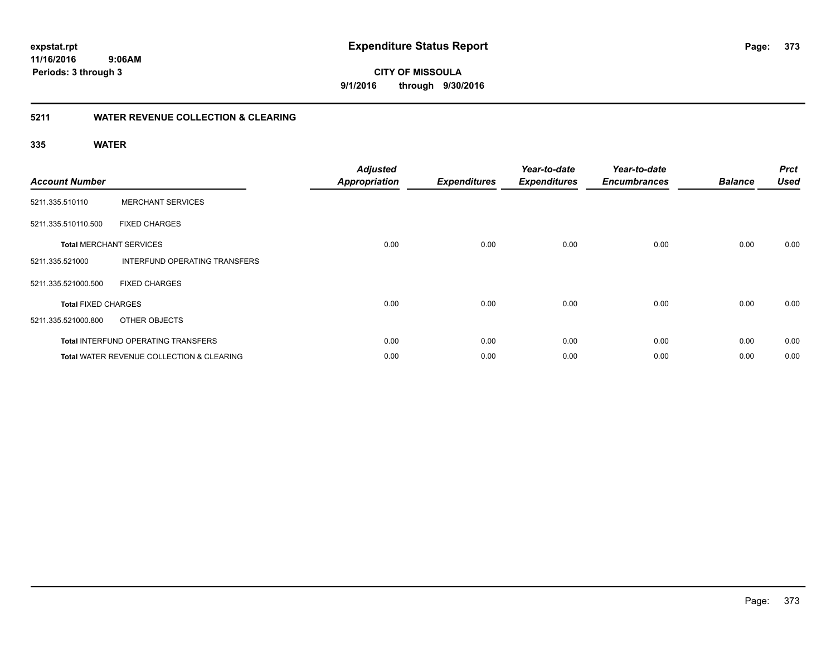**11/16/2016 9:06AM**

**Periods: 3 through 3**

**373**

**CITY OF MISSOULA 9/1/2016 through 9/30/2016**

### **5211 WATER REVENUE COLLECTION & CLEARING**

| <b>Account Number</b>      |                                                      | <b>Adjusted</b><br><b>Appropriation</b> | <b>Expenditures</b> | Year-to-date<br><b>Expenditures</b> | Year-to-date<br><b>Encumbrances</b> | <b>Balance</b> | <b>Prct</b><br><b>Used</b> |
|----------------------------|------------------------------------------------------|-----------------------------------------|---------------------|-------------------------------------|-------------------------------------|----------------|----------------------------|
| 5211.335.510110            | <b>MERCHANT SERVICES</b>                             |                                         |                     |                                     |                                     |                |                            |
| 5211.335.510110.500        | <b>FIXED CHARGES</b>                                 |                                         |                     |                                     |                                     |                |                            |
|                            | <b>Total MERCHANT SERVICES</b>                       | 0.00                                    | 0.00                | 0.00                                | 0.00                                | 0.00           | 0.00                       |
| 5211.335.521000            | <b>INTERFUND OPERATING TRANSFERS</b>                 |                                         |                     |                                     |                                     |                |                            |
| 5211.335.521000.500        | <b>FIXED CHARGES</b>                                 |                                         |                     |                                     |                                     |                |                            |
| <b>Total FIXED CHARGES</b> |                                                      | 0.00                                    | 0.00                | 0.00                                | 0.00                                | 0.00           | 0.00                       |
| 5211.335.521000.800        | OTHER OBJECTS                                        |                                         |                     |                                     |                                     |                |                            |
|                            | <b>Total INTERFUND OPERATING TRANSFERS</b>           | 0.00                                    | 0.00                | 0.00                                | 0.00                                | 0.00           | 0.00                       |
|                            | <b>Total WATER REVENUE COLLECTION &amp; CLEARING</b> | 0.00                                    | 0.00                | 0.00                                | 0.00                                | 0.00           | 0.00                       |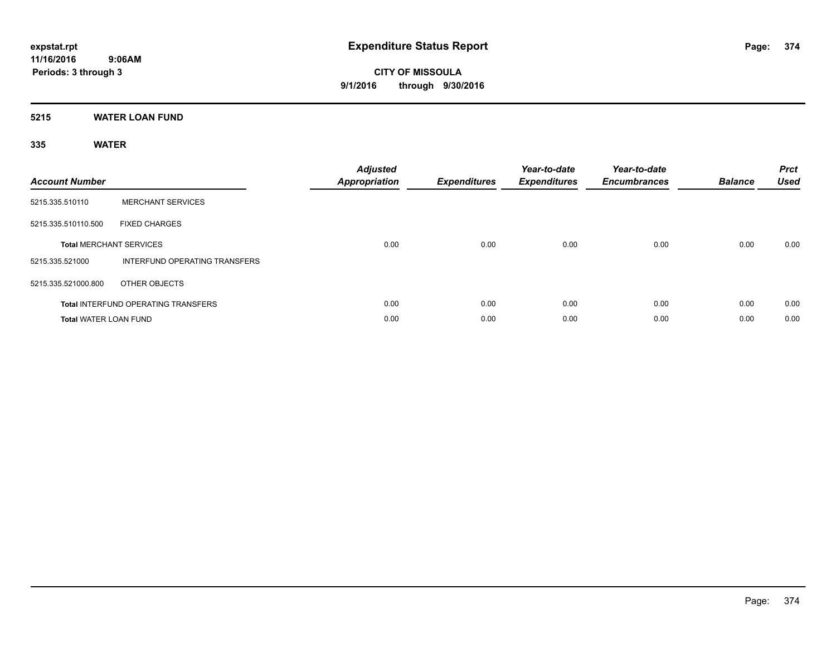**5215 WATER LOAN FUND**

| <b>Account Number</b>        |                                            | <b>Adjusted</b><br><b>Appropriation</b> | <b>Expenditures</b> | Year-to-date<br><b>Expenditures</b> | Year-to-date<br><b>Encumbrances</b> | <b>Balance</b> | <b>Prct</b><br><b>Used</b> |
|------------------------------|--------------------------------------------|-----------------------------------------|---------------------|-------------------------------------|-------------------------------------|----------------|----------------------------|
| 5215.335.510110              | <b>MERCHANT SERVICES</b>                   |                                         |                     |                                     |                                     |                |                            |
| 5215.335.510110.500          | <b>FIXED CHARGES</b>                       |                                         |                     |                                     |                                     |                |                            |
|                              | <b>Total MERCHANT SERVICES</b>             | 0.00                                    | 0.00                | 0.00                                | 0.00                                | 0.00           | 0.00                       |
| 5215.335.521000              | INTERFUND OPERATING TRANSFERS              |                                         |                     |                                     |                                     |                |                            |
| 5215.335.521000.800          | OTHER OBJECTS                              |                                         |                     |                                     |                                     |                |                            |
|                              | <b>Total INTERFUND OPERATING TRANSFERS</b> | 0.00                                    | 0.00                | 0.00                                | 0.00                                | 0.00           | 0.00                       |
| <b>Total WATER LOAN FUND</b> |                                            | 0.00                                    | 0.00                | 0.00                                | 0.00                                | 0.00           | 0.00                       |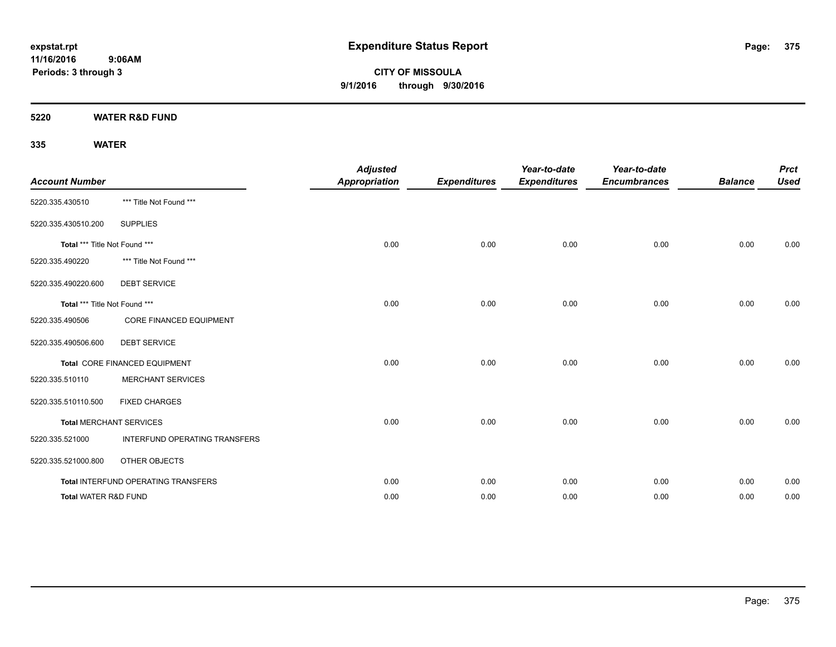**CITY OF MISSOULA 9/1/2016 through 9/30/2016**

**5220 WATER R&D FUND**

| <b>Account Number</b>         |                                     | <b>Adjusted</b><br><b>Appropriation</b> | <b>Expenditures</b> | Year-to-date<br><b>Expenditures</b> | Year-to-date<br><b>Encumbrances</b> | <b>Balance</b> | <b>Prct</b><br><b>Used</b> |
|-------------------------------|-------------------------------------|-----------------------------------------|---------------------|-------------------------------------|-------------------------------------|----------------|----------------------------|
| 5220.335.430510               | *** Title Not Found ***             |                                         |                     |                                     |                                     |                |                            |
| 5220.335.430510.200           | <b>SUPPLIES</b>                     |                                         |                     |                                     |                                     |                |                            |
| Total *** Title Not Found *** |                                     | 0.00                                    | 0.00                | 0.00                                | 0.00                                | 0.00           | 0.00                       |
| 5220.335.490220               | *** Title Not Found ***             |                                         |                     |                                     |                                     |                |                            |
| 5220.335.490220.600           | <b>DEBT SERVICE</b>                 |                                         |                     |                                     |                                     |                |                            |
| Total *** Title Not Found *** |                                     | 0.00                                    | 0.00                | 0.00                                | 0.00                                | 0.00           | 0.00                       |
| 5220.335.490506               | <b>CORE FINANCED EQUIPMENT</b>      |                                         |                     |                                     |                                     |                |                            |
| 5220.335.490506.600           | <b>DEBT SERVICE</b>                 |                                         |                     |                                     |                                     |                |                            |
|                               | Total CORE FINANCED EQUIPMENT       | 0.00                                    | 0.00                | 0.00                                | 0.00                                | 0.00           | 0.00                       |
| 5220.335.510110               | <b>MERCHANT SERVICES</b>            |                                         |                     |                                     |                                     |                |                            |
| 5220.335.510110.500           | <b>FIXED CHARGES</b>                |                                         |                     |                                     |                                     |                |                            |
|                               | <b>Total MERCHANT SERVICES</b>      | 0.00                                    | 0.00                | 0.00                                | 0.00                                | 0.00           | 0.00                       |
| 5220.335.521000               | INTERFUND OPERATING TRANSFERS       |                                         |                     |                                     |                                     |                |                            |
| 5220.335.521000.800           | OTHER OBJECTS                       |                                         |                     |                                     |                                     |                |                            |
|                               | Total INTERFUND OPERATING TRANSFERS | 0.00                                    | 0.00                | 0.00                                | 0.00                                | 0.00           | 0.00                       |
| Total WATER R&D FUND          |                                     | 0.00                                    | 0.00                | 0.00                                | 0.00                                | 0.00           | 0.00                       |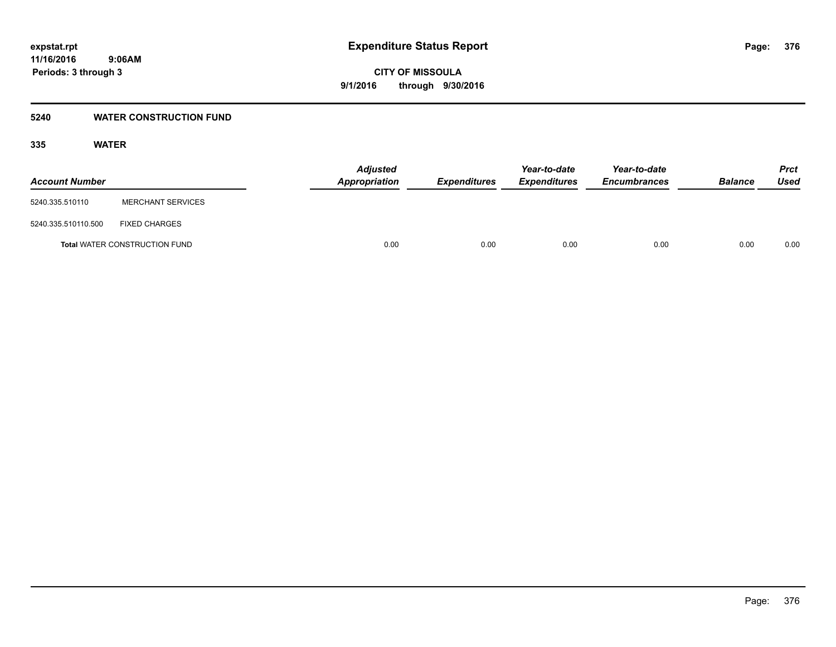### **5240 WATER CONSTRUCTION FUND**

| <b>Account Number</b> |                                      | <b>Adjusted</b><br>Appropriation | <b>Expenditures</b> | Year-to-date<br><b>Expenditures</b> | Year-to-date<br><b>Encumbrances</b> | <b>Balance</b> | <b>Prct</b><br><b>Used</b> |
|-----------------------|--------------------------------------|----------------------------------|---------------------|-------------------------------------|-------------------------------------|----------------|----------------------------|
| 5240.335.510110       | <b>MERCHANT SERVICES</b>             |                                  |                     |                                     |                                     |                |                            |
| 5240.335.510110.500   | <b>FIXED CHARGES</b>                 |                                  |                     |                                     |                                     |                |                            |
|                       | <b>Total WATER CONSTRUCTION FUND</b> | 0.00                             | 0.00                | 0.00                                | 0.00                                | 0.00           | 0.00                       |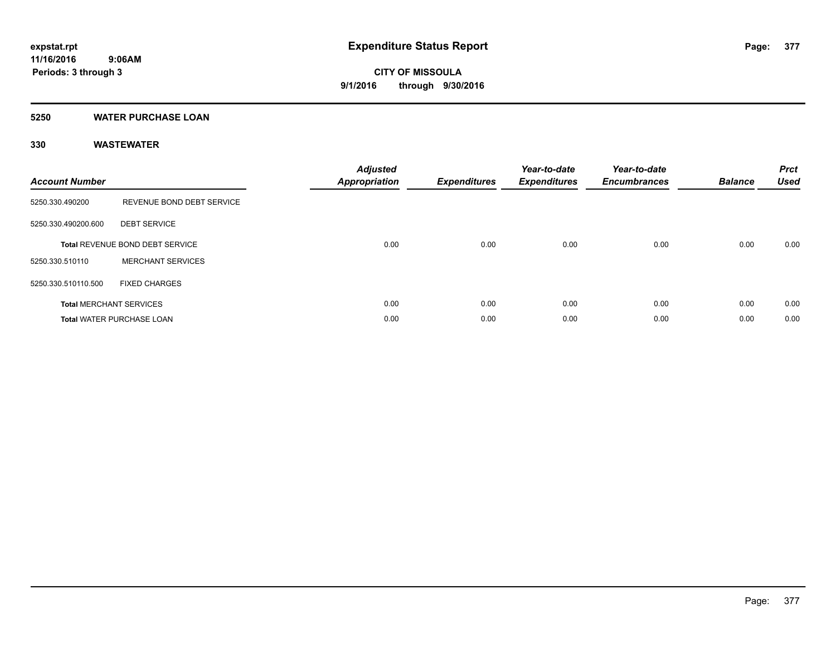### **5250 WATER PURCHASE LOAN**

| <b>Account Number</b> |                                  | <b>Adjusted</b><br><b>Appropriation</b> | <b>Expenditures</b> | Year-to-date<br><b>Expenditures</b> | Year-to-date<br><b>Encumbrances</b> | <b>Balance</b> | <b>Prct</b><br><b>Used</b> |
|-----------------------|----------------------------------|-----------------------------------------|---------------------|-------------------------------------|-------------------------------------|----------------|----------------------------|
| 5250.330.490200       | REVENUE BOND DEBT SERVICE        |                                         |                     |                                     |                                     |                |                            |
| 5250.330.490200.600   | <b>DEBT SERVICE</b>              |                                         |                     |                                     |                                     |                |                            |
|                       | Total REVENUE BOND DEBT SERVICE  | 0.00                                    | 0.00                | 0.00                                | 0.00                                | 0.00           | 0.00                       |
| 5250.330.510110       | <b>MERCHANT SERVICES</b>         |                                         |                     |                                     |                                     |                |                            |
| 5250.330.510110.500   | <b>FIXED CHARGES</b>             |                                         |                     |                                     |                                     |                |                            |
|                       | <b>Total MERCHANT SERVICES</b>   | 0.00                                    | 0.00                | 0.00                                | 0.00                                | 0.00           | 0.00                       |
|                       | <b>Total WATER PURCHASE LOAN</b> | 0.00                                    | 0.00                | 0.00                                | 0.00                                | 0.00           | 0.00                       |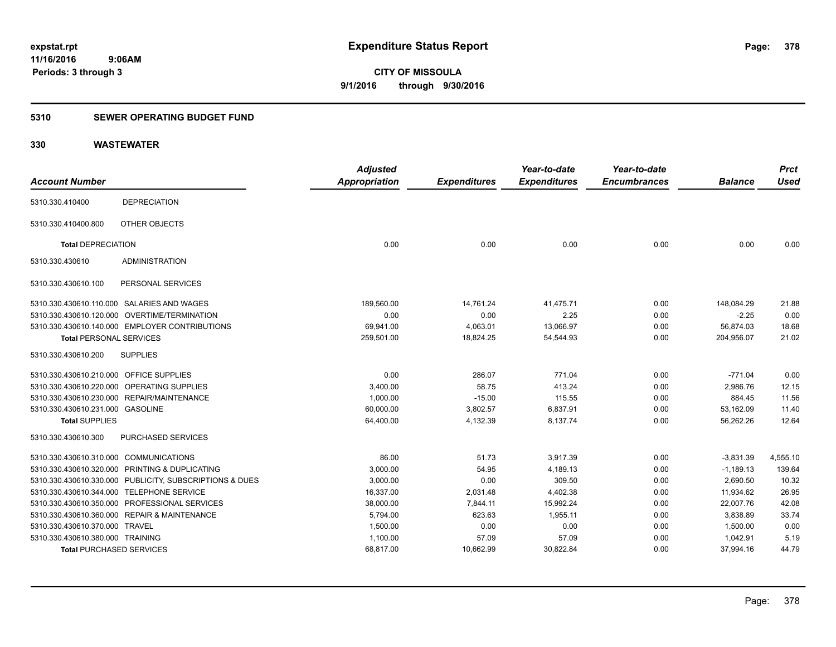### **5310 SEWER OPERATING BUDGET FUND**

|                                         |                                                         | <b>Adjusted</b>      |                     | Year-to-date        | Year-to-date        |                | <b>Prct</b> |
|-----------------------------------------|---------------------------------------------------------|----------------------|---------------------|---------------------|---------------------|----------------|-------------|
| <b>Account Number</b>                   |                                                         | <b>Appropriation</b> | <b>Expenditures</b> | <b>Expenditures</b> | <b>Encumbrances</b> | <b>Balance</b> | <b>Used</b> |
| 5310.330.410400                         | <b>DEPRECIATION</b>                                     |                      |                     |                     |                     |                |             |
| 5310.330.410400.800                     | OTHER OBJECTS                                           |                      |                     |                     |                     |                |             |
| <b>Total DEPRECIATION</b>               |                                                         | 0.00                 | 0.00                | 0.00                | 0.00                | 0.00           | 0.00        |
| 5310.330.430610                         | <b>ADMINISTRATION</b>                                   |                      |                     |                     |                     |                |             |
| 5310.330.430610.100                     | PERSONAL SERVICES                                       |                      |                     |                     |                     |                |             |
|                                         | 5310.330.430610.110.000 SALARIES AND WAGES              | 189,560.00           | 14,761.24           | 41,475.71           | 0.00                | 148,084.29     | 21.88       |
|                                         | 5310.330.430610.120.000 OVERTIME/TERMINATION            | 0.00                 | 0.00                | 2.25                | 0.00                | $-2.25$        | 0.00        |
|                                         | 5310.330.430610.140.000 EMPLOYER CONTRIBUTIONS          | 69.941.00            | 4,063.01            | 13,066.97           | 0.00                | 56.874.03      | 18.68       |
| <b>Total PERSONAL SERVICES</b>          |                                                         | 259,501.00           | 18,824.25           | 54,544.93           | 0.00                | 204,956.07     | 21.02       |
| 5310.330.430610.200                     | <b>SUPPLIES</b>                                         |                      |                     |                     |                     |                |             |
| 5310.330.430610.210.000 OFFICE SUPPLIES |                                                         | 0.00                 | 286.07              | 771.04              | 0.00                | $-771.04$      | 0.00        |
|                                         | 5310.330.430610.220.000 OPERATING SUPPLIES              | 3,400.00             | 58.75               | 413.24              | 0.00                | 2,986.76       | 12.15       |
|                                         | 5310.330.430610.230.000 REPAIR/MAINTENANCE              | 1,000.00             | $-15.00$            | 115.55              | 0.00                | 884.45         | 11.56       |
| 5310.330.430610.231.000 GASOLINE        |                                                         | 60,000.00            | 3,802.57            | 6,837.91            | 0.00                | 53,162.09      | 11.40       |
| <b>Total SUPPLIES</b>                   |                                                         | 64,400.00            | 4,132.39            | 8,137.74            | 0.00                | 56,262.26      | 12.64       |
| 5310.330.430610.300                     | <b>PURCHASED SERVICES</b>                               |                      |                     |                     |                     |                |             |
| 5310.330.430610.310.000 COMMUNICATIONS  |                                                         | 86.00                | 51.73               | 3,917.39            | 0.00                | $-3,831.39$    | 4,555.10    |
|                                         | 5310.330.430610.320.000 PRINTING & DUPLICATING          | 3,000.00             | 54.95               | 4,189.13            | 0.00                | $-1,189.13$    | 139.64      |
|                                         | 5310.330.430610.330.000 PUBLICITY, SUBSCRIPTIONS & DUES | 3,000.00             | 0.00                | 309.50              | 0.00                | 2,690.50       | 10.32       |
|                                         | 5310.330.430610.344.000 TELEPHONE SERVICE               | 16,337.00            | 2,031.48            | 4,402.38            | 0.00                | 11,934.62      | 26.95       |
|                                         | 5310.330.430610.350.000 PROFESSIONAL SERVICES           | 38,000.00            | 7,844.11            | 15,992.24           | 0.00                | 22,007.76      | 42.08       |
|                                         | 5310.330.430610.360.000 REPAIR & MAINTENANCE            | 5,794.00             | 623.63              | 1,955.11            | 0.00                | 3,838.89       | 33.74       |
| 5310.330.430610.370.000 TRAVEL          |                                                         | 1,500.00             | 0.00                | 0.00                | 0.00                | 1,500.00       | 0.00        |
| 5310.330.430610.380.000 TRAINING        |                                                         | 1,100.00             | 57.09               | 57.09               | 0.00                | 1,042.91       | 5.19        |
| <b>Total PURCHASED SERVICES</b>         |                                                         | 68,817.00            | 10,662.99           | 30,822.84           | 0.00                | 37,994.16      | 44.79       |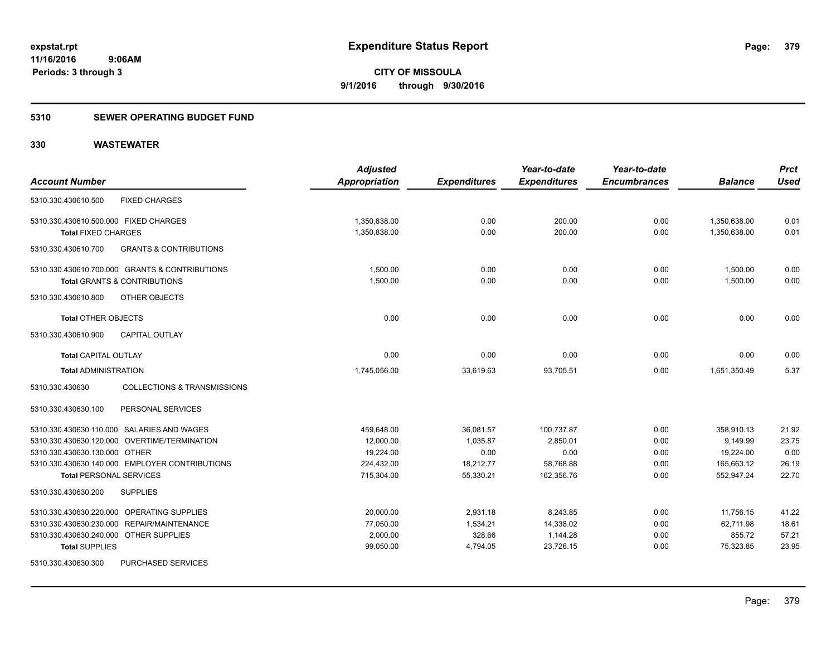### **5310 SEWER OPERATING BUDGET FUND**

|                                       |                                                | <b>Adjusted</b>      |                     | Year-to-date        | Year-to-date        |                | <b>Prct</b> |
|---------------------------------------|------------------------------------------------|----------------------|---------------------|---------------------|---------------------|----------------|-------------|
| <b>Account Number</b>                 |                                                | <b>Appropriation</b> | <b>Expenditures</b> | <b>Expenditures</b> | <b>Encumbrances</b> | <b>Balance</b> | <b>Used</b> |
| 5310.330.430610.500                   | <b>FIXED CHARGES</b>                           |                      |                     |                     |                     |                |             |
| 5310.330.430610.500.000 FIXED CHARGES |                                                | 1,350,838.00         | 0.00                | 200.00              | 0.00                | 1,350,638.00   | 0.01        |
| <b>Total FIXED CHARGES</b>            |                                                | 1,350,838.00         | 0.00                | 200.00              | 0.00                | 1,350,638.00   | 0.01        |
| 5310.330.430610.700                   | <b>GRANTS &amp; CONTRIBUTIONS</b>              |                      |                     |                     |                     |                |             |
|                                       | 5310.330.430610.700.000 GRANTS & CONTRIBUTIONS | 1,500.00             | 0.00                | 0.00                | 0.00                | 1,500.00       | 0.00        |
|                                       | <b>Total GRANTS &amp; CONTRIBUTIONS</b>        | 1,500.00             | 0.00                | 0.00                | 0.00                | 1,500.00       | 0.00        |
| 5310.330.430610.800                   | OTHER OBJECTS                                  |                      |                     |                     |                     |                |             |
| <b>Total OTHER OBJECTS</b>            |                                                | 0.00                 | 0.00                | 0.00                | 0.00                | 0.00           | 0.00        |
| 5310.330.430610.900                   | <b>CAPITAL OUTLAY</b>                          |                      |                     |                     |                     |                |             |
| <b>Total CAPITAL OUTLAY</b>           |                                                | 0.00                 | 0.00                | 0.00                | 0.00                | 0.00           | 0.00        |
| <b>Total ADMINISTRATION</b>           |                                                | 1,745,056.00         | 33,619.63           | 93,705.51           | 0.00                | 1,651,350.49   | 5.37        |
| 5310.330.430630                       | <b>COLLECTIONS &amp; TRANSMISSIONS</b>         |                      |                     |                     |                     |                |             |
| 5310.330.430630.100                   | PERSONAL SERVICES                              |                      |                     |                     |                     |                |             |
|                                       | 5310.330.430630.110.000 SALARIES AND WAGES     | 459,648.00           | 36,081.57           | 100,737.87          | 0.00                | 358,910.13     | 21.92       |
|                                       | 5310.330.430630.120.000 OVERTIME/TERMINATION   | 12.000.00            | 1,035.87            | 2,850.01            | 0.00                | 9.149.99       | 23.75       |
| 5310.330.430630.130.000 OTHER         |                                                | 19,224.00            | 0.00                | 0.00                | 0.00                | 19,224.00      | 0.00        |
|                                       | 5310.330.430630.140.000 EMPLOYER CONTRIBUTIONS | 224,432.00           | 18,212.77           | 58,768.88           | 0.00                | 165,663.12     | 26.19       |
| <b>Total PERSONAL SERVICES</b>        |                                                | 715,304.00           | 55,330.21           | 162,356.76          | 0.00                | 552,947.24     | 22.70       |
| 5310.330.430630.200                   | <b>SUPPLIES</b>                                |                      |                     |                     |                     |                |             |
|                                       | 5310.330.430630.220.000 OPERATING SUPPLIES     | 20,000.00            | 2,931.18            | 8,243.85            | 0.00                | 11,756.15      | 41.22       |
| 5310.330.430630.230.000               | <b>REPAIR/MAINTENANCE</b>                      | 77,050.00            | 1,534.21            | 14,338.02           | 0.00                | 62,711.98      | 18.61       |
| 5310.330.430630.240.000               | <b>OTHER SUPPLIES</b>                          | 2,000.00             | 328.66              | 1,144.28            | 0.00                | 855.72         | 57.21       |
| <b>Total SUPPLIES</b>                 |                                                | 99,050.00            | 4,794.05            | 23,726.15           | 0.00                | 75,323.85      | 23.95       |
| 5310.330.430630.300                   | PURCHASED SERVICES                             |                      |                     |                     |                     |                |             |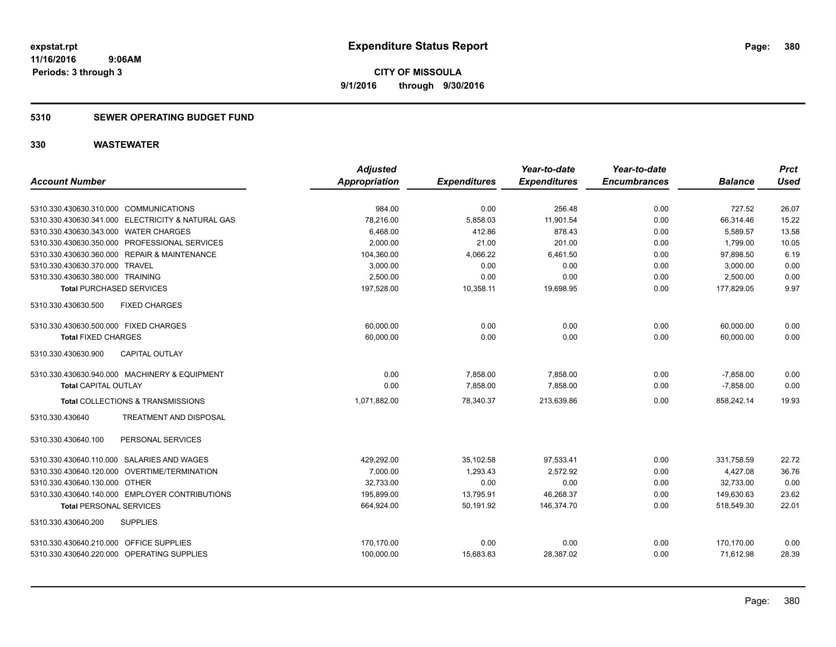### **5310 SEWER OPERATING BUDGET FUND**

|                                                   | <b>Adjusted</b> |                     | Year-to-date        | Year-to-date        |                | <b>Prct</b> |
|---------------------------------------------------|-----------------|---------------------|---------------------|---------------------|----------------|-------------|
| <b>Account Number</b>                             | Appropriation   | <b>Expenditures</b> | <b>Expenditures</b> | <b>Encumbrances</b> | <b>Balance</b> | <b>Used</b> |
|                                                   |                 |                     |                     |                     |                |             |
| 5310.330.430630.310.000 COMMUNICATIONS            | 984.00          | 0.00                | 256.48              | 0.00                | 727.52         | 26.07       |
| 5310.330.430630.341.000 ELECTRICITY & NATURAL GAS | 78,216.00       | 5,858.03            | 11,901.54           | 0.00                | 66,314.46      | 15.22       |
| 5310.330.430630.343.000 WATER CHARGES             | 6,468.00        | 412.86              | 878.43              | 0.00                | 5,589.57       | 13.58       |
| 5310.330.430630.350.000 PROFESSIONAL SERVICES     | 2.000.00        | 21.00               | 201.00              | 0.00                | 1.799.00       | 10.05       |
| 5310.330.430630.360.000 REPAIR & MAINTENANCE      | 104,360.00      | 4,066.22            | 6,461.50            | 0.00                | 97,898.50      | 6.19        |
| 5310.330.430630.370.000 TRAVEL                    | 3,000.00        | 0.00                | 0.00                | 0.00                | 3,000.00       | 0.00        |
| 5310.330.430630.380.000 TRAINING                  | 2,500.00        | 0.00                | 0.00                | 0.00                | 2,500.00       | 0.00        |
| <b>Total PURCHASED SERVICES</b>                   | 197,528.00      | 10,358.11           | 19,698.95           | 0.00                | 177,829.05     | 9.97        |
| 5310.330.430630.500<br><b>FIXED CHARGES</b>       |                 |                     |                     |                     |                |             |
| 5310.330.430630.500.000 FIXED CHARGES             | 60,000.00       | 0.00                | 0.00                | 0.00                | 60,000.00      | 0.00        |
| <b>Total FIXED CHARGES</b>                        | 60,000.00       | 0.00                | 0.00                | 0.00                | 60,000.00      | 0.00        |
| <b>CAPITAL OUTLAY</b><br>5310.330.430630.900      |                 |                     |                     |                     |                |             |
| 5310.330.430630.940.000 MACHINERY & EQUIPMENT     | 0.00            | 7,858.00            | 7,858.00            | 0.00                | $-7,858.00$    | 0.00        |
| <b>Total CAPITAL OUTLAY</b>                       | 0.00            | 7,858.00            | 7,858.00            | 0.00                | $-7,858.00$    | 0.00        |
| Total COLLECTIONS & TRANSMISSIONS                 | 1,071,882.00    | 78,340.37           | 213,639.86          | 0.00                | 858,242.14     | 19.93       |
| 5310.330.430640<br>TREATMENT AND DISPOSAL         |                 |                     |                     |                     |                |             |
| PERSONAL SERVICES<br>5310.330.430640.100          |                 |                     |                     |                     |                |             |
| 5310.330.430640.110.000 SALARIES AND WAGES        | 429,292.00      | 35,102.58           | 97,533.41           | 0.00                | 331,758.59     | 22.72       |
| 5310.330.430640.120.000 OVERTIME/TERMINATION      | 7,000.00        | 1,293.43            | 2.572.92            | 0.00                | 4,427.08       | 36.76       |
| 5310.330.430640.130.000 OTHER                     | 32,733.00       | 0.00                | 0.00                | 0.00                | 32,733.00      | 0.00        |
| 5310.330.430640.140.000 EMPLOYER CONTRIBUTIONS    | 195,899.00      | 13,795.91           | 46,268.37           | 0.00                | 149,630.63     | 23.62       |
| <b>Total PERSONAL SERVICES</b>                    | 664,924.00      | 50,191.92           | 146,374.70          | 0.00                | 518,549.30     | 22.01       |
| 5310.330.430640.200<br><b>SUPPLIES</b>            |                 |                     |                     |                     |                |             |
| 5310.330.430640.210.000 OFFICE SUPPLIES           | 170.170.00      | 0.00                | 0.00                | 0.00                | 170.170.00     | 0.00        |
| 5310.330.430640.220.000 OPERATING SUPPLIES        | 100,000.00      | 15,683.83           | 28,387.02           | 0.00                | 71,612.98      | 28.39       |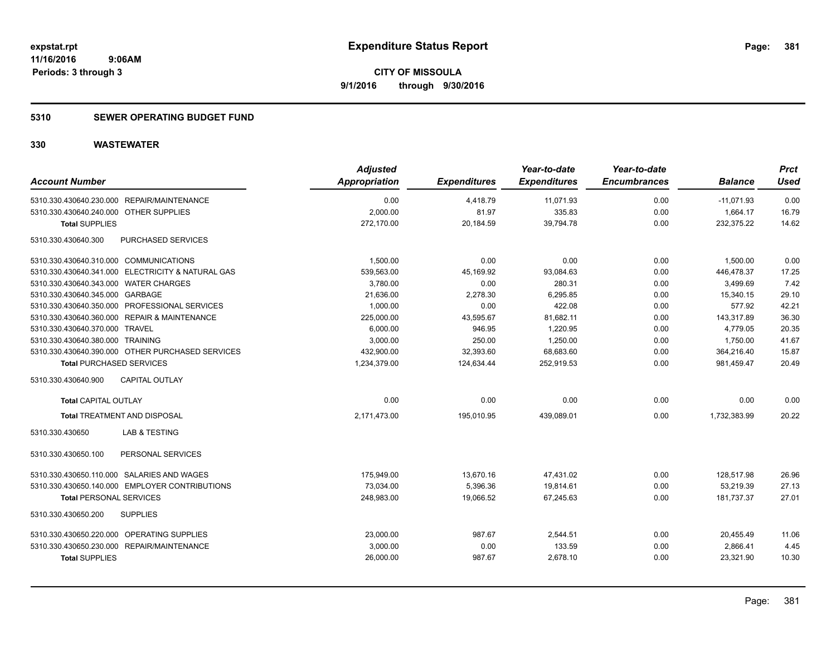### **5310 SEWER OPERATING BUDGET FUND**

| <b>Account Number</b>                             | <b>Adjusted</b><br><b>Appropriation</b> | <b>Expenditures</b> | Year-to-date<br><b>Expenditures</b> | Year-to-date<br><b>Encumbrances</b> | <b>Balance</b> | <b>Prct</b><br><b>Used</b> |
|---------------------------------------------------|-----------------------------------------|---------------------|-------------------------------------|-------------------------------------|----------------|----------------------------|
| 5310.330.430640.230.000 REPAIR/MAINTENANCE        | 0.00                                    | 4,418.79            | 11,071.93                           | 0.00                                | $-11,071.93$   | 0.00                       |
| 5310.330.430640.240.000 OTHER SUPPLIES            | 2,000.00                                | 81.97               | 335.83                              | 0.00                                | 1,664.17       | 16.79                      |
| <b>Total SUPPLIES</b>                             | 272,170.00                              | 20,184.59           | 39,794.78                           | 0.00                                | 232,375.22     | 14.62                      |
| 5310.330.430640.300<br><b>PURCHASED SERVICES</b>  |                                         |                     |                                     |                                     |                |                            |
| 5310.330.430640.310.000 COMMUNICATIONS            | 1,500.00                                | 0.00                | 0.00                                | 0.00                                | 1,500.00       | 0.00                       |
| 5310.330.430640.341.000 ELECTRICITY & NATURAL GAS | 539,563.00                              | 45,169.92           | 93,084.63                           | 0.00                                | 446,478.37     | 17.25                      |
| 5310.330.430640.343.000 WATER CHARGES             | 3,780.00                                | 0.00                | 280.31                              | 0.00                                | 3,499.69       | 7.42                       |
| 5310.330.430640.345.000 GARBAGE                   | 21,636.00                               | 2,278.30            | 6,295.85                            | 0.00                                | 15,340.15      | 29.10                      |
| 5310.330.430640.350.000 PROFESSIONAL SERVICES     | 1,000.00                                | 0.00                | 422.08                              | 0.00                                | 577.92         | 42.21                      |
| 5310.330.430640.360.000 REPAIR & MAINTENANCE      | 225,000.00                              | 43,595.67           | 81,682.11                           | 0.00                                | 143,317.89     | 36.30                      |
| 5310.330.430640.370.000 TRAVEL                    | 6,000.00                                | 946.95              | 1,220.95                            | 0.00                                | 4,779.05       | 20.35                      |
| 5310.330.430640.380.000 TRAINING                  | 3,000.00                                | 250.00              | 1,250.00                            | 0.00                                | 1,750.00       | 41.67                      |
| 5310.330.430640.390.000 OTHER PURCHASED SERVICES  | 432,900.00                              | 32,393.60           | 68,683.60                           | 0.00                                | 364,216.40     | 15.87                      |
| <b>Total PURCHASED SERVICES</b>                   | 1,234,379.00                            | 124,634.44          | 252,919.53                          | 0.00                                | 981,459.47     | 20.49                      |
| 5310.330.430640.900<br><b>CAPITAL OUTLAY</b>      |                                         |                     |                                     |                                     |                |                            |
| <b>Total CAPITAL OUTLAY</b>                       | 0.00                                    | 0.00                | 0.00                                | 0.00                                | 0.00           | 0.00                       |
| Total TREATMENT AND DISPOSAL                      | 2,171,473.00                            | 195,010.95          | 439,089.01                          | 0.00                                | 1,732,383.99   | 20.22                      |
| 5310.330.430650<br>LAB & TESTING                  |                                         |                     |                                     |                                     |                |                            |
| PERSONAL SERVICES<br>5310.330.430650.100          |                                         |                     |                                     |                                     |                |                            |
| 5310.330.430650.110.000 SALARIES AND WAGES        | 175,949.00                              | 13,670.16           | 47,431.02                           | 0.00                                | 128,517.98     | 26.96                      |
| 5310.330.430650.140.000 EMPLOYER CONTRIBUTIONS    | 73,034.00                               | 5,396.36            | 19,814.61                           | 0.00                                | 53,219.39      | 27.13                      |
| <b>Total PERSONAL SERVICES</b>                    | 248,983.00                              | 19.066.52           | 67.245.63                           | 0.00                                | 181.737.37     | 27.01                      |
| 5310.330.430650.200<br><b>SUPPLIES</b>            |                                         |                     |                                     |                                     |                |                            |
| 5310.330.430650.220.000 OPERATING SUPPLIES        | 23,000.00                               | 987.67              | 2,544.51                            | 0.00                                | 20,455.49      | 11.06                      |
| 5310.330.430650.230.000 REPAIR/MAINTENANCE        | 3,000.00                                | 0.00                | 133.59                              | 0.00                                | 2,866.41       | 4.45                       |
| <b>Total SUPPLIES</b>                             | 26,000.00                               | 987.67              | 2,678.10                            | 0.00                                | 23,321.90      | 10.30                      |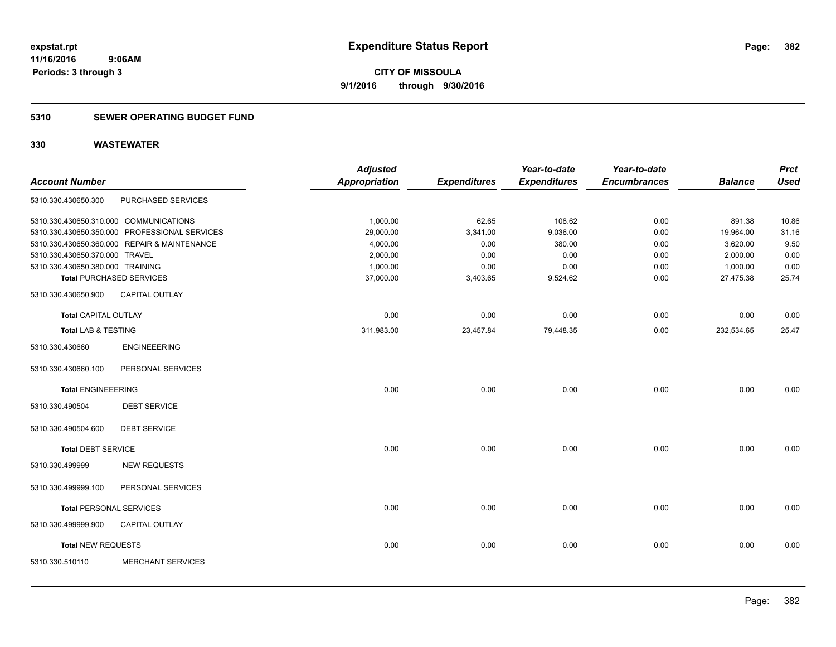#### **5310 SEWER OPERATING BUDGET FUND**

| <b>Account Number</b>            |                                               | <b>Adjusted</b><br><b>Appropriation</b> | <b>Expenditures</b> | Year-to-date<br><b>Expenditures</b> | Year-to-date<br><b>Encumbrances</b> | <b>Balance</b> | <b>Prct</b><br><b>Used</b> |
|----------------------------------|-----------------------------------------------|-----------------------------------------|---------------------|-------------------------------------|-------------------------------------|----------------|----------------------------|
| 5310.330.430650.300              | PURCHASED SERVICES                            |                                         |                     |                                     |                                     |                |                            |
|                                  | 5310.330.430650.310.000 COMMUNICATIONS        | 1,000.00                                | 62.65               | 108.62                              | 0.00                                | 891.38         | 10.86                      |
|                                  | 5310.330.430650.350.000 PROFESSIONAL SERVICES | 29,000.00                               | 3,341.00            | 9,036.00                            | 0.00                                | 19,964.00      | 31.16                      |
|                                  | 5310.330.430650.360.000 REPAIR & MAINTENANCE  | 4,000.00                                | 0.00                | 380.00                              | 0.00                                | 3,620.00       | 9.50                       |
| 5310.330.430650.370.000 TRAVEL   |                                               | 2,000.00                                | 0.00                | 0.00                                | 0.00                                | 2,000.00       | 0.00                       |
| 5310.330.430650.380.000 TRAINING |                                               | 1,000.00                                | 0.00                | 0.00                                | 0.00                                | 1,000.00       | 0.00                       |
|                                  | <b>Total PURCHASED SERVICES</b>               | 37,000.00                               | 3,403.65            | 9,524.62                            | 0.00                                | 27,475.38      | 25.74                      |
| 5310.330.430650.900              | <b>CAPITAL OUTLAY</b>                         |                                         |                     |                                     |                                     |                |                            |
| <b>Total CAPITAL OUTLAY</b>      |                                               | 0.00                                    | 0.00                | 0.00                                | 0.00                                | 0.00           | 0.00                       |
| <b>Total LAB &amp; TESTING</b>   |                                               | 311,983.00                              | 23,457.84           | 79,448.35                           | 0.00                                | 232,534.65     | 25.47                      |
| 5310.330.430660                  | <b>ENGINEEERING</b>                           |                                         |                     |                                     |                                     |                |                            |
| 5310.330.430660.100              | PERSONAL SERVICES                             |                                         |                     |                                     |                                     |                |                            |
| <b>Total ENGINEEERING</b>        |                                               | 0.00                                    | 0.00                | 0.00                                | 0.00                                | 0.00           | 0.00                       |
| 5310.330.490504                  | <b>DEBT SERVICE</b>                           |                                         |                     |                                     |                                     |                |                            |
| 5310.330.490504.600              | <b>DEBT SERVICE</b>                           |                                         |                     |                                     |                                     |                |                            |
| <b>Total DEBT SERVICE</b>        |                                               | 0.00                                    | 0.00                | 0.00                                | 0.00                                | 0.00           | 0.00                       |
| 5310.330.499999                  | <b>NEW REQUESTS</b>                           |                                         |                     |                                     |                                     |                |                            |
| 5310.330.499999.100              | PERSONAL SERVICES                             |                                         |                     |                                     |                                     |                |                            |
| <b>Total PERSONAL SERVICES</b>   |                                               | 0.00                                    | 0.00                | 0.00                                | 0.00                                | 0.00           | 0.00                       |
| 5310.330.499999.900              | <b>CAPITAL OUTLAY</b>                         |                                         |                     |                                     |                                     |                |                            |
| Total NEW REQUESTS               |                                               | 0.00                                    | 0.00                | 0.00                                | 0.00                                | 0.00           | 0.00                       |
| 5310.330.510110                  | <b>MERCHANT SERVICES</b>                      |                                         |                     |                                     |                                     |                |                            |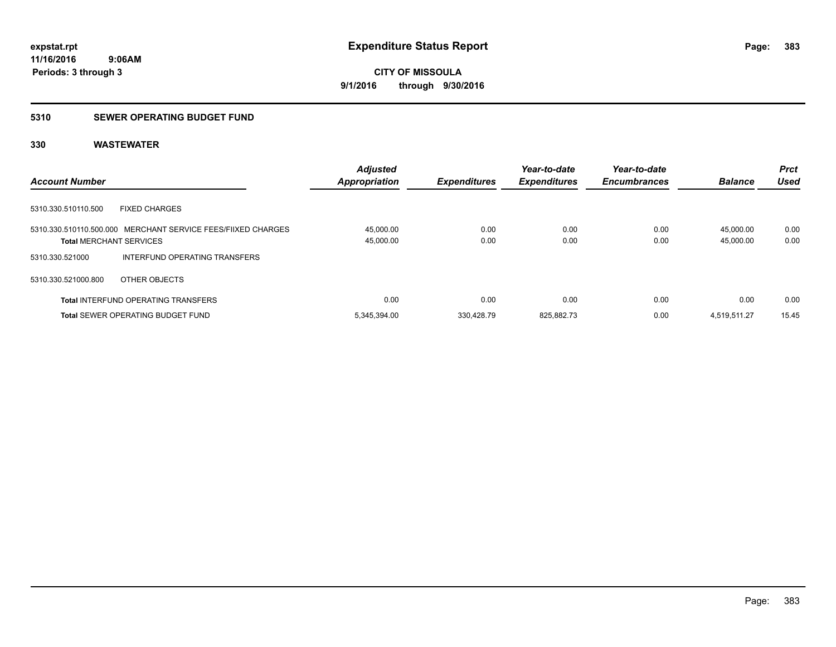### **5310 SEWER OPERATING BUDGET FUND**

|                                                                                                | <b>Adjusted</b>        |                     | Year-to-date        | Year-to-date        |                        | <b>Prct</b>  |
|------------------------------------------------------------------------------------------------|------------------------|---------------------|---------------------|---------------------|------------------------|--------------|
| <b>Account Number</b>                                                                          | <b>Appropriation</b>   | <b>Expenditures</b> | <b>Expenditures</b> | <b>Encumbrances</b> | <b>Balance</b>         | Used         |
| 5310.330.510110.500<br><b>FIXED CHARGES</b>                                                    |                        |                     |                     |                     |                        |              |
| 5310.330.510110.500.000 MERCHANT SERVICE FEES/FIIXED CHARGES<br><b>Total MERCHANT SERVICES</b> | 45,000.00<br>45,000.00 | 0.00<br>0.00        | 0.00<br>0.00        | 0.00<br>0.00        | 45.000.00<br>45.000.00 | 0.00<br>0.00 |
| INTERFUND OPERATING TRANSFERS<br>5310.330.521000                                               |                        |                     |                     |                     |                        |              |
| 5310.330.521000.800<br>OTHER OBJECTS                                                           |                        |                     |                     |                     |                        |              |
| <b>Total INTERFUND OPERATING TRANSFERS</b>                                                     | 0.00                   | 0.00                | 0.00                | 0.00                | 0.00                   | 0.00         |
| <b>Total SEWER OPERATING BUDGET FUND</b>                                                       | 5,345,394.00           | 330.428.79          | 825.882.73          | 0.00                | 4.519.511.27           | 15.45        |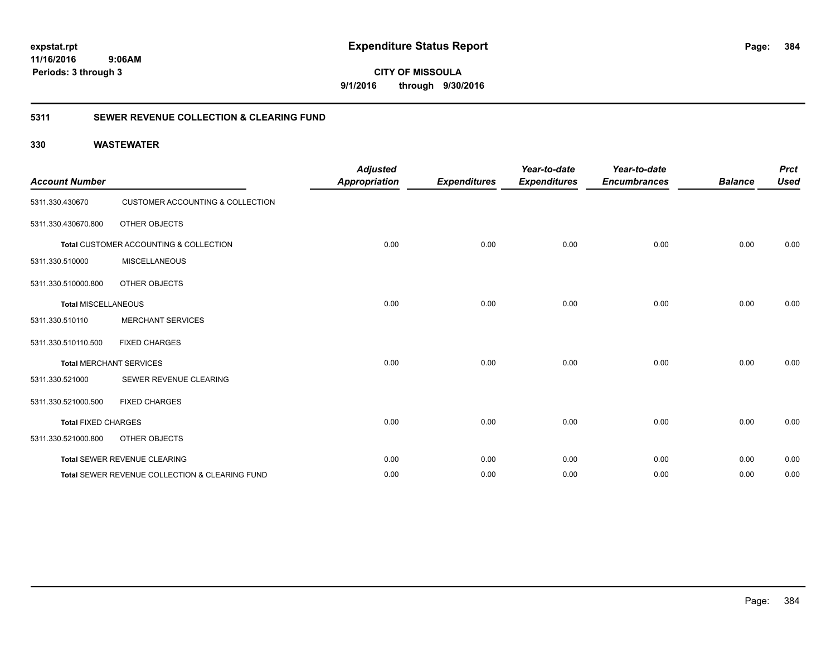**CITY OF MISSOULA 9/1/2016 through 9/30/2016**

### **5311 SEWER REVENUE COLLECTION & CLEARING FUND**

| <b>Account Number</b>      |                                                | <b>Adjusted</b><br><b>Appropriation</b> | <b>Expenditures</b> | Year-to-date<br><b>Expenditures</b> | Year-to-date<br><b>Encumbrances</b> | <b>Balance</b> | <b>Prct</b><br><b>Used</b> |
|----------------------------|------------------------------------------------|-----------------------------------------|---------------------|-------------------------------------|-------------------------------------|----------------|----------------------------|
| 5311.330.430670            | <b>CUSTOMER ACCOUNTING &amp; COLLECTION</b>    |                                         |                     |                                     |                                     |                |                            |
| 5311.330.430670.800        | OTHER OBJECTS                                  |                                         |                     |                                     |                                     |                |                            |
|                            | Total CUSTOMER ACCOUNTING & COLLECTION         | 0.00                                    | 0.00                | 0.00                                | 0.00                                | 0.00           | 0.00                       |
| 5311.330.510000            | <b>MISCELLANEOUS</b>                           |                                         |                     |                                     |                                     |                |                            |
| 5311.330.510000.800        | OTHER OBJECTS                                  |                                         |                     |                                     |                                     |                |                            |
| <b>Total MISCELLANEOUS</b> |                                                | 0.00                                    | 0.00                | 0.00                                | 0.00                                | 0.00           | 0.00                       |
| 5311.330.510110            | <b>MERCHANT SERVICES</b>                       |                                         |                     |                                     |                                     |                |                            |
| 5311.330.510110.500        | <b>FIXED CHARGES</b>                           |                                         |                     |                                     |                                     |                |                            |
|                            | <b>Total MERCHANT SERVICES</b>                 | 0.00                                    | 0.00                | 0.00                                | 0.00                                | 0.00           | 0.00                       |
| 5311.330.521000            | SEWER REVENUE CLEARING                         |                                         |                     |                                     |                                     |                |                            |
| 5311.330.521000.500        | <b>FIXED CHARGES</b>                           |                                         |                     |                                     |                                     |                |                            |
| <b>Total FIXED CHARGES</b> |                                                | 0.00                                    | 0.00                | 0.00                                | 0.00                                | 0.00           | 0.00                       |
| 5311.330.521000.800        | OTHER OBJECTS                                  |                                         |                     |                                     |                                     |                |                            |
|                            | Total SEWER REVENUE CLEARING                   | 0.00                                    | 0.00                | 0.00                                | 0.00                                | 0.00           | 0.00                       |
|                            | Total SEWER REVENUE COLLECTION & CLEARING FUND | 0.00                                    | 0.00                | 0.00                                | 0.00                                | 0.00           | 0.00                       |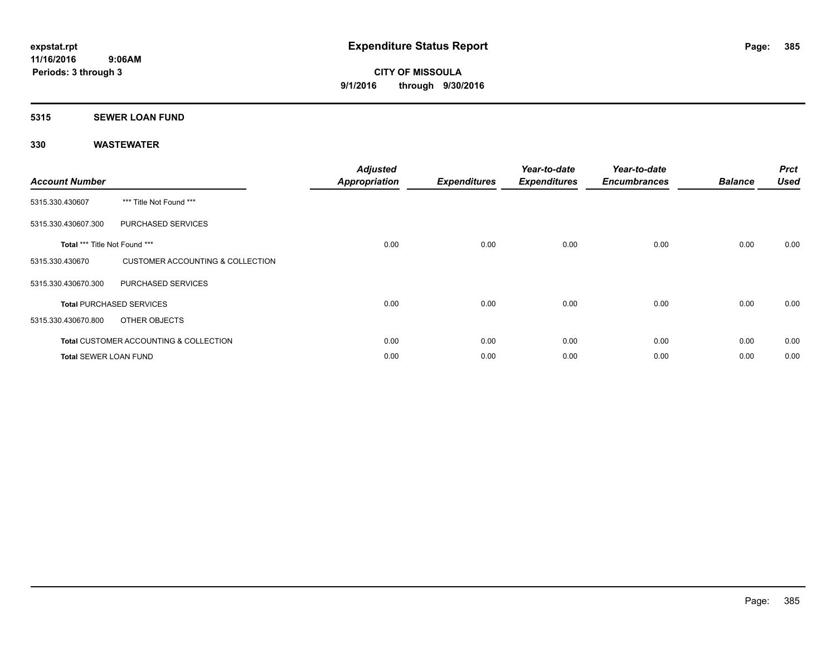#### **5315 SEWER LOAN FUND**

| <b>Account Number</b>         |                                                   | <b>Adjusted</b><br><b>Appropriation</b> | <b>Expenditures</b> | Year-to-date<br><b>Expenditures</b> | Year-to-date<br><b>Encumbrances</b> | <b>Balance</b> | <b>Prct</b><br><b>Used</b> |
|-------------------------------|---------------------------------------------------|-----------------------------------------|---------------------|-------------------------------------|-------------------------------------|----------------|----------------------------|
| 5315.330.430607               | *** Title Not Found ***                           |                                         |                     |                                     |                                     |                |                            |
| 5315.330.430607.300           | PURCHASED SERVICES                                |                                         |                     |                                     |                                     |                |                            |
| Total *** Title Not Found *** |                                                   | 0.00                                    | 0.00                | 0.00                                | 0.00                                | 0.00           | 0.00                       |
| 5315.330.430670               | <b>CUSTOMER ACCOUNTING &amp; COLLECTION</b>       |                                         |                     |                                     |                                     |                |                            |
| 5315.330.430670.300           | PURCHASED SERVICES                                |                                         |                     |                                     |                                     |                |                            |
|                               | <b>Total PURCHASED SERVICES</b>                   | 0.00                                    | 0.00                | 0.00                                | 0.00                                | 0.00           | 0.00                       |
| 5315.330.430670.800           | OTHER OBJECTS                                     |                                         |                     |                                     |                                     |                |                            |
|                               | <b>Total CUSTOMER ACCOUNTING &amp; COLLECTION</b> | 0.00                                    | 0.00                | 0.00                                | 0.00                                | 0.00           | 0.00                       |
| <b>Total SEWER LOAN FUND</b>  |                                                   | 0.00                                    | 0.00                | 0.00                                | 0.00                                | 0.00           | 0.00                       |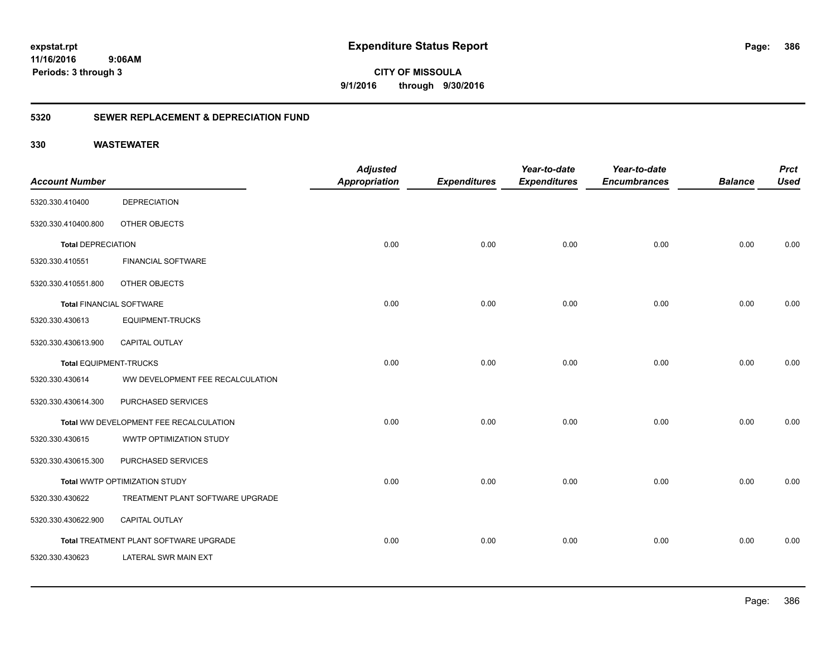**CITY OF MISSOULA 9/1/2016 through 9/30/2016**

### **5320 SEWER REPLACEMENT & DEPRECIATION FUND**

|                                        | <b>Adjusted</b> |                      | Year-to-date        | Year-to-date        |                     | <b>Prct</b>    |
|----------------------------------------|-----------------|----------------------|---------------------|---------------------|---------------------|----------------|
|                                        |                 |                      |                     |                     |                     | <b>Used</b>    |
| <b>DEPRECIATION</b>                    |                 |                      |                     |                     |                     |                |
| OTHER OBJECTS                          |                 |                      |                     |                     |                     |                |
| <b>Total DEPRECIATION</b>              | 0.00            | 0.00                 | 0.00                | 0.00                | 0.00                | 0.00           |
| <b>FINANCIAL SOFTWARE</b>              |                 |                      |                     |                     |                     |                |
| OTHER OBJECTS                          |                 |                      |                     |                     |                     |                |
| <b>Total FINANCIAL SOFTWARE</b>        | 0.00            | 0.00                 | 0.00                | 0.00                | 0.00                | 0.00           |
| <b>EQUIPMENT-TRUCKS</b>                |                 |                      |                     |                     |                     |                |
| <b>CAPITAL OUTLAY</b>                  |                 |                      |                     |                     |                     |                |
| Total EQUIPMENT-TRUCKS                 | 0.00            | 0.00                 | 0.00                | 0.00                | 0.00                | 0.00           |
| WW DEVELOPMENT FEE RECALCULATION       |                 |                      |                     |                     |                     |                |
| PURCHASED SERVICES                     |                 |                      |                     |                     |                     |                |
| Total WW DEVELOPMENT FEE RECALCULATION | 0.00            | 0.00                 | 0.00                | 0.00                | 0.00                | 0.00           |
| WWTP OPTIMIZATION STUDY                |                 |                      |                     |                     |                     |                |
| PURCHASED SERVICES                     |                 |                      |                     |                     |                     |                |
| Total WWTP OPTIMIZATION STUDY          | 0.00            | 0.00                 | 0.00                | 0.00                | 0.00                | 0.00           |
| TREATMENT PLANT SOFTWARE UPGRADE       |                 |                      |                     |                     |                     |                |
| CAPITAL OUTLAY                         |                 |                      |                     |                     |                     |                |
| Total TREATMENT PLANT SOFTWARE UPGRADE | 0.00            | 0.00                 | 0.00                | 0.00                | 0.00                | 0.00           |
| LATERAL SWR MAIN EXT                   |                 |                      |                     |                     |                     |                |
|                                        |                 | <b>Appropriation</b> | <b>Expenditures</b> | <b>Expenditures</b> | <b>Encumbrances</b> | <b>Balance</b> |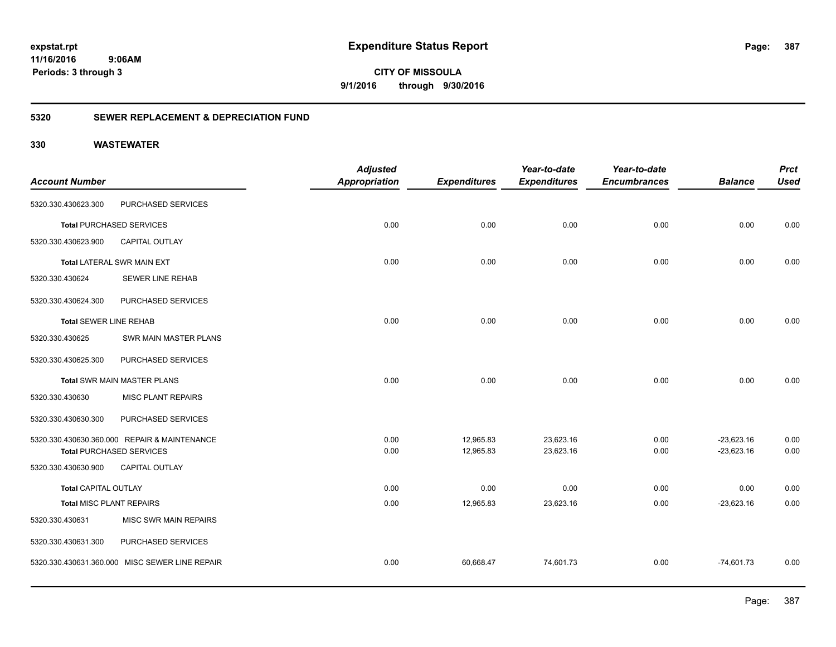**CITY OF MISSOULA 9/1/2016 through 9/30/2016**

### **5320 SEWER REPLACEMENT & DEPRECIATION FUND**

| <b>Used</b> |
|-------------|
|             |
|             |
| 0.00        |
|             |
| 0.00        |
|             |
|             |
| 0.00        |
|             |
|             |
| 0.00        |
|             |
|             |
| 0.00        |
| 0.00        |
|             |
| 0.00        |
| 0.00        |
|             |
|             |
| 0.00        |
|             |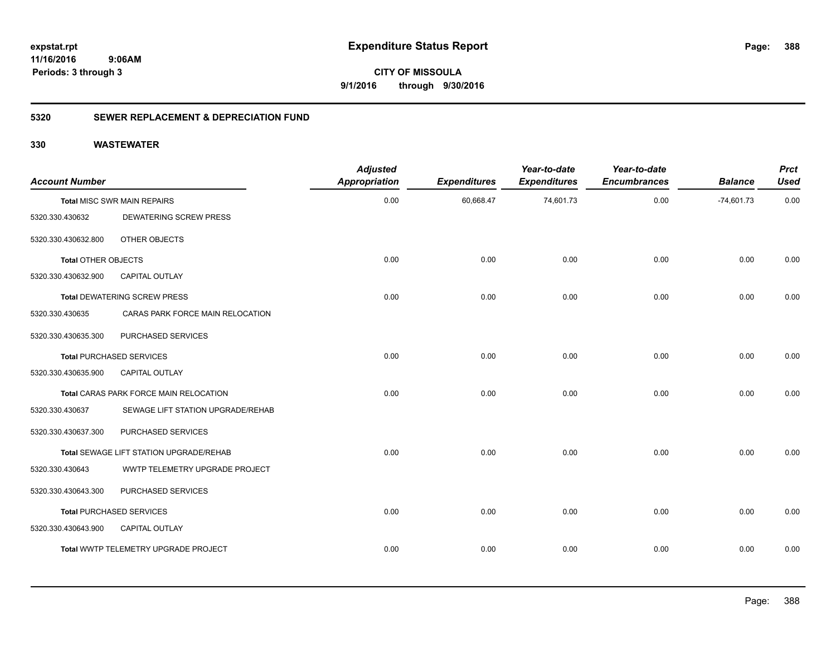**CITY OF MISSOULA 9/1/2016 through 9/30/2016**

### **5320 SEWER REPLACEMENT & DEPRECIATION FUND**

| <b>Account Number</b>      |                                         | <b>Adjusted</b><br>Appropriation | <b>Expenditures</b> | Year-to-date<br><b>Expenditures</b> | Year-to-date<br><b>Encumbrances</b> | <b>Balance</b> | <b>Prct</b><br><b>Used</b> |
|----------------------------|-----------------------------------------|----------------------------------|---------------------|-------------------------------------|-------------------------------------|----------------|----------------------------|
|                            | <b>Total MISC SWR MAIN REPAIRS</b>      | 0.00                             | 60,668.47           | 74,601.73                           | 0.00                                | $-74,601.73$   | 0.00                       |
| 5320.330.430632            | <b>DEWATERING SCREW PRESS</b>           |                                  |                     |                                     |                                     |                |                            |
| 5320.330.430632.800        | OTHER OBJECTS                           |                                  |                     |                                     |                                     |                |                            |
| <b>Total OTHER OBJECTS</b> |                                         | 0.00                             | 0.00                | 0.00                                | 0.00                                | 0.00           | 0.00                       |
| 5320.330.430632.900        | <b>CAPITAL OUTLAY</b>                   |                                  |                     |                                     |                                     |                |                            |
|                            | <b>Total DEWATERING SCREW PRESS</b>     | 0.00                             | 0.00                | 0.00                                | 0.00                                | 0.00           | 0.00                       |
| 5320.330.430635            | CARAS PARK FORCE MAIN RELOCATION        |                                  |                     |                                     |                                     |                |                            |
| 5320.330.430635.300        | PURCHASED SERVICES                      |                                  |                     |                                     |                                     |                |                            |
|                            | <b>Total PURCHASED SERVICES</b>         | 0.00                             | 0.00                | 0.00                                | 0.00                                | 0.00           | 0.00                       |
| 5320.330.430635.900        | <b>CAPITAL OUTLAY</b>                   |                                  |                     |                                     |                                     |                |                            |
|                            | Total CARAS PARK FORCE MAIN RELOCATION  | 0.00                             | 0.00                | 0.00                                | 0.00                                | 0.00           | 0.00                       |
| 5320.330.430637            | SEWAGE LIFT STATION UPGRADE/REHAB       |                                  |                     |                                     |                                     |                |                            |
| 5320.330.430637.300        | PURCHASED SERVICES                      |                                  |                     |                                     |                                     |                |                            |
|                            | Total SEWAGE LIFT STATION UPGRADE/REHAB | 0.00                             | 0.00                | 0.00                                | 0.00                                | 0.00           | 0.00                       |
| 5320.330.430643            | WWTP TELEMETRY UPGRADE PROJECT          |                                  |                     |                                     |                                     |                |                            |
| 5320.330.430643.300        | PURCHASED SERVICES                      |                                  |                     |                                     |                                     |                |                            |
|                            | <b>Total PURCHASED SERVICES</b>         | 0.00                             | 0.00                | 0.00                                | 0.00                                | 0.00           | 0.00                       |
| 5320.330.430643.900        | CAPITAL OUTLAY                          |                                  |                     |                                     |                                     |                |                            |
|                            | Total WWTP TELEMETRY UPGRADE PROJECT    | 0.00                             | 0.00                | 0.00                                | 0.00                                | 0.00           | 0.00                       |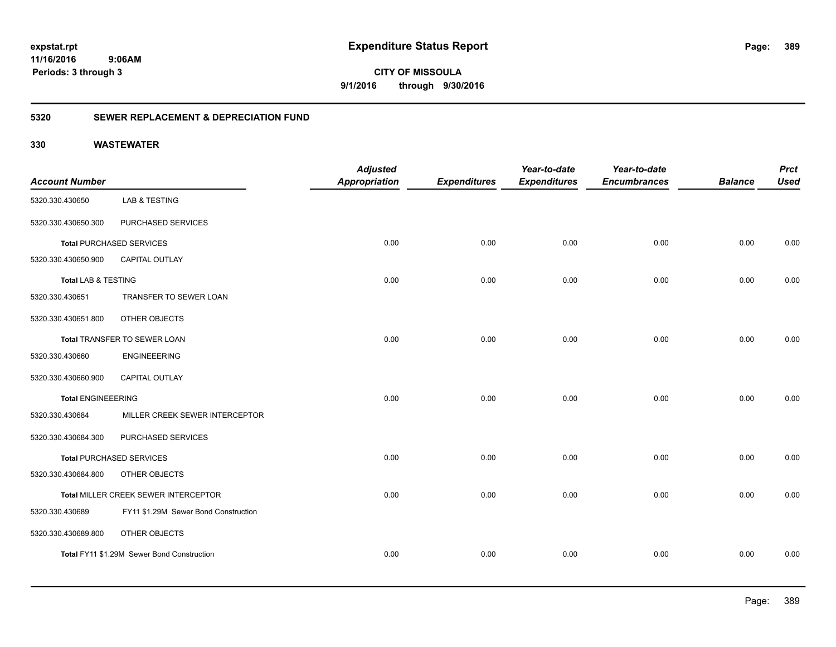**CITY OF MISSOULA 9/1/2016 through 9/30/2016**

### **5320 SEWER REPLACEMENT & DEPRECIATION FUND**

| <b>Account Number</b>          |                                            | <b>Adjusted</b><br><b>Appropriation</b> | <b>Expenditures</b> | Year-to-date<br><b>Expenditures</b> | Year-to-date<br><b>Encumbrances</b> | <b>Balance</b> | <b>Prct</b><br><b>Used</b> |
|--------------------------------|--------------------------------------------|-----------------------------------------|---------------------|-------------------------------------|-------------------------------------|----------------|----------------------------|
| 5320.330.430650                | <b>LAB &amp; TESTING</b>                   |                                         |                     |                                     |                                     |                |                            |
| 5320.330.430650.300            | PURCHASED SERVICES                         |                                         |                     |                                     |                                     |                |                            |
|                                | <b>Total PURCHASED SERVICES</b>            | 0.00                                    | 0.00                | 0.00                                | 0.00                                | 0.00           | 0.00                       |
| 5320.330.430650.900            | CAPITAL OUTLAY                             |                                         |                     |                                     |                                     |                |                            |
| <b>Total LAB &amp; TESTING</b> |                                            | 0.00                                    | 0.00                | 0.00                                | 0.00                                | 0.00           | 0.00                       |
| 5320.330.430651                | TRANSFER TO SEWER LOAN                     |                                         |                     |                                     |                                     |                |                            |
| 5320.330.430651.800            | OTHER OBJECTS                              |                                         |                     |                                     |                                     |                |                            |
| Total TRANSFER TO SEWER LOAN   |                                            | 0.00                                    | 0.00                | 0.00                                | 0.00                                | 0.00           | 0.00                       |
| 5320.330.430660                | <b>ENGINEEERING</b>                        |                                         |                     |                                     |                                     |                |                            |
| 5320.330.430660.900            | <b>CAPITAL OUTLAY</b>                      |                                         |                     |                                     |                                     |                |                            |
| <b>Total ENGINEEERING</b>      |                                            | 0.00                                    | 0.00                | 0.00                                | 0.00                                | 0.00           | 0.00                       |
| 5320.330.430684                | MILLER CREEK SEWER INTERCEPTOR             |                                         |                     |                                     |                                     |                |                            |
| 5320.330.430684.300            | PURCHASED SERVICES                         |                                         |                     |                                     |                                     |                |                            |
|                                | <b>Total PURCHASED SERVICES</b>            | 0.00                                    | 0.00                | 0.00                                | 0.00                                | 0.00           | 0.00                       |
| 5320.330.430684.800            | OTHER OBJECTS                              |                                         |                     |                                     |                                     |                |                            |
|                                | Total MILLER CREEK SEWER INTERCEPTOR       | 0.00                                    | 0.00                | 0.00                                | 0.00                                | 0.00           | 0.00                       |
| 5320.330.430689                | FY11 \$1.29M Sewer Bond Construction       |                                         |                     |                                     |                                     |                |                            |
| 5320.330.430689.800            | OTHER OBJECTS                              |                                         |                     |                                     |                                     |                |                            |
|                                | Total FY11 \$1.29M Sewer Bond Construction | 0.00                                    | 0.00                | 0.00                                | 0.00                                | 0.00           | 0.00                       |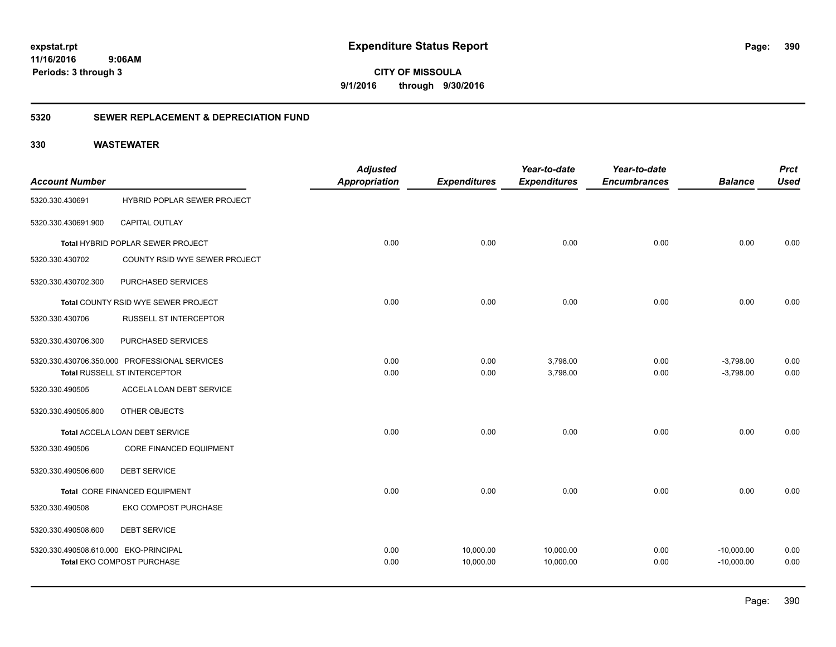**CITY OF MISSOULA 9/1/2016 through 9/30/2016**

### **5320 SEWER REPLACEMENT & DEPRECIATION FUND**

|                                       |                                               | <b>Adjusted</b> |                     | Year-to-date        | Year-to-date        |                | <b>Prct</b> |
|---------------------------------------|-----------------------------------------------|-----------------|---------------------|---------------------|---------------------|----------------|-------------|
| <b>Account Number</b>                 |                                               | Appropriation   | <b>Expenditures</b> | <b>Expenditures</b> | <b>Encumbrances</b> | <b>Balance</b> | <b>Used</b> |
| 5320.330.430691                       | <b>HYBRID POPLAR SEWER PROJECT</b>            |                 |                     |                     |                     |                |             |
| 5320.330.430691.900                   | <b>CAPITAL OUTLAY</b>                         |                 |                     |                     |                     |                |             |
|                                       | <b>Total HYBRID POPLAR SEWER PROJECT</b>      | 0.00            | 0.00                | 0.00                | 0.00                | 0.00           | 0.00        |
| 5320.330.430702                       | COUNTY RSID WYE SEWER PROJECT                 |                 |                     |                     |                     |                |             |
| 5320.330.430702.300                   | PURCHASED SERVICES                            |                 |                     |                     |                     |                |             |
|                                       | Total COUNTY RSID WYE SEWER PROJECT           | 0.00            | 0.00                | 0.00                | 0.00                | 0.00           | 0.00        |
| 5320.330.430706                       | <b>RUSSELL ST INTERCEPTOR</b>                 |                 |                     |                     |                     |                |             |
| 5320.330.430706.300                   | PURCHASED SERVICES                            |                 |                     |                     |                     |                |             |
|                                       | 5320.330.430706.350.000 PROFESSIONAL SERVICES | 0.00            | 0.00                | 3,798.00            | 0.00                | $-3,798.00$    | 0.00        |
|                                       | Total RUSSELL ST INTERCEPTOR                  | 0.00            | 0.00                | 3,798.00            | 0.00                | $-3,798.00$    | 0.00        |
| 5320.330.490505                       | ACCELA LOAN DEBT SERVICE                      |                 |                     |                     |                     |                |             |
| 5320.330.490505.800                   | OTHER OBJECTS                                 |                 |                     |                     |                     |                |             |
|                                       | Total ACCELA LOAN DEBT SERVICE                | 0.00            | 0.00                | 0.00                | 0.00                | 0.00           | 0.00        |
| 5320.330.490506                       | <b>CORE FINANCED EQUIPMENT</b>                |                 |                     |                     |                     |                |             |
| 5320.330.490506.600                   | <b>DEBT SERVICE</b>                           |                 |                     |                     |                     |                |             |
|                                       | Total CORE FINANCED EQUIPMENT                 | 0.00            | 0.00                | 0.00                | 0.00                | 0.00           | 0.00        |
| 5320.330.490508                       | EKO COMPOST PURCHASE                          |                 |                     |                     |                     |                |             |
| 5320.330.490508.600                   | <b>DEBT SERVICE</b>                           |                 |                     |                     |                     |                |             |
| 5320.330.490508.610.000 EKO-PRINCIPAL |                                               | 0.00            | 10,000.00           | 10,000.00           | 0.00                | $-10,000.00$   | 0.00        |
|                                       | Total EKO COMPOST PURCHASE                    | 0.00            | 10,000.00           | 10,000.00           | 0.00                | $-10,000.00$   | 0.00        |
|                                       |                                               |                 |                     |                     |                     |                |             |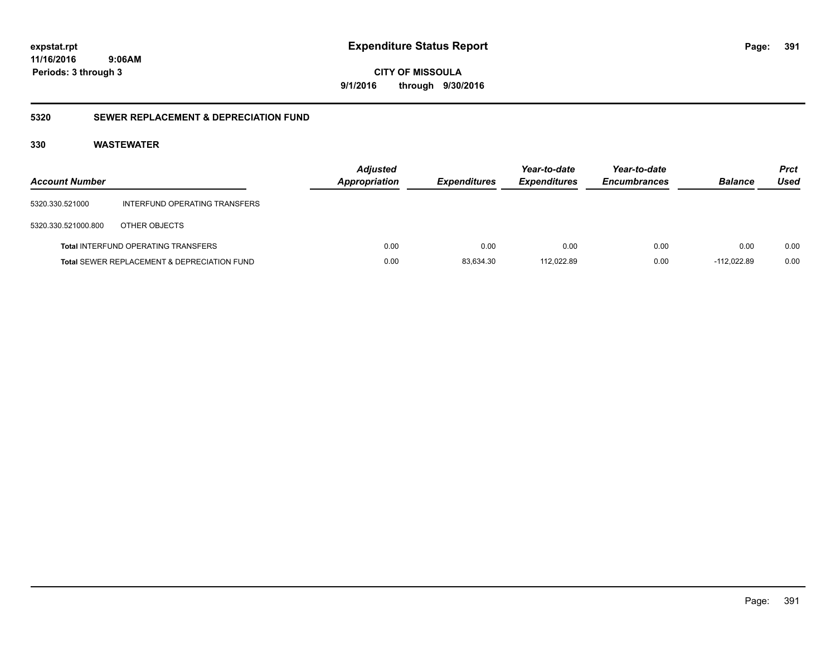**CITY OF MISSOULA 9/1/2016 through 9/30/2016**

### **5320 SEWER REPLACEMENT & DEPRECIATION FUND**

| <b>Account Number</b> |                                             | <b>Adjusted</b><br>Appropriation | <b>Expenditures</b> | Year-to-date<br><b>Expenditures</b> | Year-to-date<br><b>Encumbrances</b> | <b>Balance</b> | <b>Prct</b><br>Used |
|-----------------------|---------------------------------------------|----------------------------------|---------------------|-------------------------------------|-------------------------------------|----------------|---------------------|
| 5320.330.521000       | INTERFUND OPERATING TRANSFERS               |                                  |                     |                                     |                                     |                |                     |
| 5320.330.521000.800   | OTHER OBJECTS                               |                                  |                     |                                     |                                     |                |                     |
|                       | <b>Total INTERFUND OPERATING TRANSFERS</b>  | 0.00                             | 0.00                | 0.00                                | 0.00                                | 0.00           | 0.00                |
|                       | Total SEWER REPLACEMENT & DEPRECIATION FUND | 0.00                             | 83,634.30           | 112.022.89                          | 0.00                                | $-112.022.89$  | 0.00                |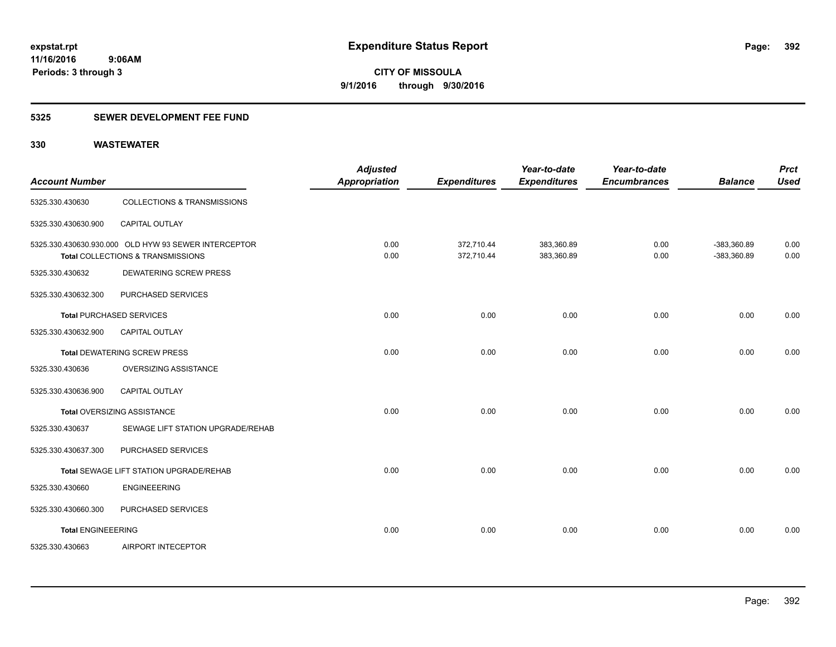### **5325 SEWER DEVELOPMENT FEE FUND**

| <b>Account Number</b>     |                                                                                           | <b>Adjusted</b><br><b>Appropriation</b> | <b>Expenditures</b>      | Year-to-date<br><b>Expenditures</b> | Year-to-date<br><b>Encumbrances</b> | <b>Balance</b>                 | <b>Prct</b><br><b>Used</b> |
|---------------------------|-------------------------------------------------------------------------------------------|-----------------------------------------|--------------------------|-------------------------------------|-------------------------------------|--------------------------------|----------------------------|
| 5325.330.430630           | <b>COLLECTIONS &amp; TRANSMISSIONS</b>                                                    |                                         |                          |                                     |                                     |                                |                            |
| 5325.330.430630.900       | <b>CAPITAL OUTLAY</b>                                                                     |                                         |                          |                                     |                                     |                                |                            |
|                           | 5325.330.430630.930.000 OLD HYW 93 SEWER INTERCEPTOR<br>Total COLLECTIONS & TRANSMISSIONS | 0.00<br>0.00                            | 372,710.44<br>372,710.44 | 383,360.89<br>383,360.89            | 0.00<br>0.00                        | $-383,360.89$<br>$-383,360.89$ | 0.00<br>0.00               |
| 5325.330.430632           | <b>DEWATERING SCREW PRESS</b>                                                             |                                         |                          |                                     |                                     |                                |                            |
| 5325.330.430632.300       | PURCHASED SERVICES                                                                        |                                         |                          |                                     |                                     |                                |                            |
|                           | <b>Total PURCHASED SERVICES</b>                                                           | 0.00                                    | 0.00                     | 0.00                                | 0.00                                | 0.00                           | 0.00                       |
| 5325.330.430632.900       | CAPITAL OUTLAY                                                                            |                                         |                          |                                     |                                     |                                |                            |
|                           | <b>Total DEWATERING SCREW PRESS</b>                                                       | 0.00                                    | 0.00                     | 0.00                                | 0.00                                | 0.00                           | 0.00                       |
| 5325.330.430636           | <b>OVERSIZING ASSISTANCE</b>                                                              |                                         |                          |                                     |                                     |                                |                            |
| 5325.330.430636.900       | <b>CAPITAL OUTLAY</b>                                                                     |                                         |                          |                                     |                                     |                                |                            |
|                           | Total OVERSIZING ASSISTANCE                                                               | 0.00                                    | 0.00                     | 0.00                                | 0.00                                | 0.00                           | 0.00                       |
| 5325.330.430637           | SEWAGE LIFT STATION UPGRADE/REHAB                                                         |                                         |                          |                                     |                                     |                                |                            |
| 5325.330.430637.300       | PURCHASED SERVICES                                                                        |                                         |                          |                                     |                                     |                                |                            |
|                           | <b>Total SEWAGE LIFT STATION UPGRADE/REHAB</b>                                            | 0.00                                    | 0.00                     | 0.00                                | 0.00                                | 0.00                           | 0.00                       |
| 5325.330.430660           | <b>ENGINEEERING</b>                                                                       |                                         |                          |                                     |                                     |                                |                            |
| 5325.330.430660.300       | PURCHASED SERVICES                                                                        |                                         |                          |                                     |                                     |                                |                            |
| <b>Total ENGINEEERING</b> |                                                                                           | 0.00                                    | 0.00                     | 0.00                                | 0.00                                | 0.00                           | 0.00                       |
| 5325.330.430663           | AIRPORT INTECEPTOR                                                                        |                                         |                          |                                     |                                     |                                |                            |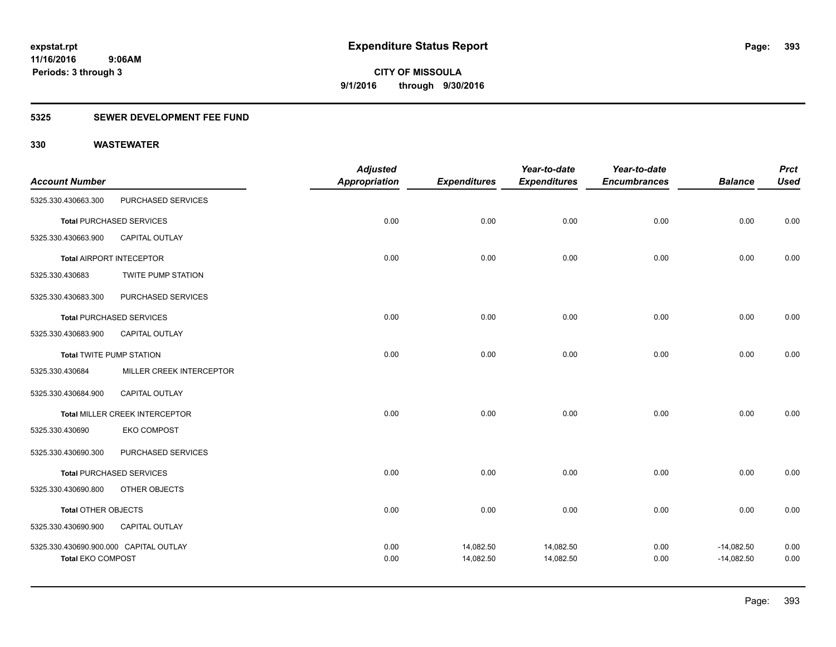### **5325 SEWER DEVELOPMENT FEE FUND**

|                                                                    |                                 | <b>Adjusted</b>      |                        | Year-to-date<br><b>Expenditures</b> | Year-to-date        |                              | <b>Prct</b>  |
|--------------------------------------------------------------------|---------------------------------|----------------------|------------------------|-------------------------------------|---------------------|------------------------------|--------------|
| <b>Account Number</b>                                              |                                 | <b>Appropriation</b> | <b>Expenditures</b>    |                                     | <b>Encumbrances</b> | <b>Balance</b>               | <b>Used</b>  |
| 5325.330.430663.300                                                | PURCHASED SERVICES              |                      |                        |                                     |                     |                              |              |
|                                                                    | <b>Total PURCHASED SERVICES</b> | 0.00                 | 0.00                   | 0.00                                | 0.00                | 0.00                         | 0.00         |
| 5325.330.430663.900                                                | <b>CAPITAL OUTLAY</b>           |                      |                        |                                     |                     |                              |              |
|                                                                    | Total AIRPORT INTECEPTOR        | 0.00                 | 0.00                   | 0.00                                | 0.00                | 0.00                         | 0.00         |
| 5325.330.430683                                                    | <b>TWITE PUMP STATION</b>       |                      |                        |                                     |                     |                              |              |
| 5325.330.430683.300                                                | PURCHASED SERVICES              |                      |                        |                                     |                     |                              |              |
|                                                                    | <b>Total PURCHASED SERVICES</b> | 0.00                 | 0.00                   | 0.00                                | 0.00                | 0.00                         | 0.00         |
| 5325.330.430683.900                                                | <b>CAPITAL OUTLAY</b>           |                      |                        |                                     |                     |                              |              |
| <b>Total TWITE PUMP STATION</b>                                    |                                 | 0.00                 | 0.00                   | 0.00                                | 0.00                | 0.00                         | 0.00         |
| 5325.330.430684                                                    | MILLER CREEK INTERCEPTOR        |                      |                        |                                     |                     |                              |              |
| 5325.330.430684.900                                                | <b>CAPITAL OUTLAY</b>           |                      |                        |                                     |                     |                              |              |
|                                                                    | Total MILLER CREEK INTERCEPTOR  | 0.00                 | 0.00                   | 0.00                                | 0.00                | 0.00                         | 0.00         |
| 5325.330.430690                                                    | <b>EKO COMPOST</b>              |                      |                        |                                     |                     |                              |              |
| 5325.330.430690.300                                                | PURCHASED SERVICES              |                      |                        |                                     |                     |                              |              |
|                                                                    | <b>Total PURCHASED SERVICES</b> | 0.00                 | 0.00                   | 0.00                                | 0.00                | 0.00                         | 0.00         |
| 5325.330.430690.800                                                | OTHER OBJECTS                   |                      |                        |                                     |                     |                              |              |
| <b>Total OTHER OBJECTS</b>                                         |                                 | 0.00                 | 0.00                   | 0.00                                | 0.00                | 0.00                         | 0.00         |
| 5325.330.430690.900                                                | CAPITAL OUTLAY                  |                      |                        |                                     |                     |                              |              |
| 5325.330.430690.900.000 CAPITAL OUTLAY<br><b>Total EKO COMPOST</b> |                                 | 0.00<br>0.00         | 14,082.50<br>14,082.50 | 14,082.50<br>14,082.50              | 0.00<br>0.00        | $-14,082.50$<br>$-14,082.50$ | 0.00<br>0.00 |
|                                                                    |                                 |                      |                        |                                     |                     |                              |              |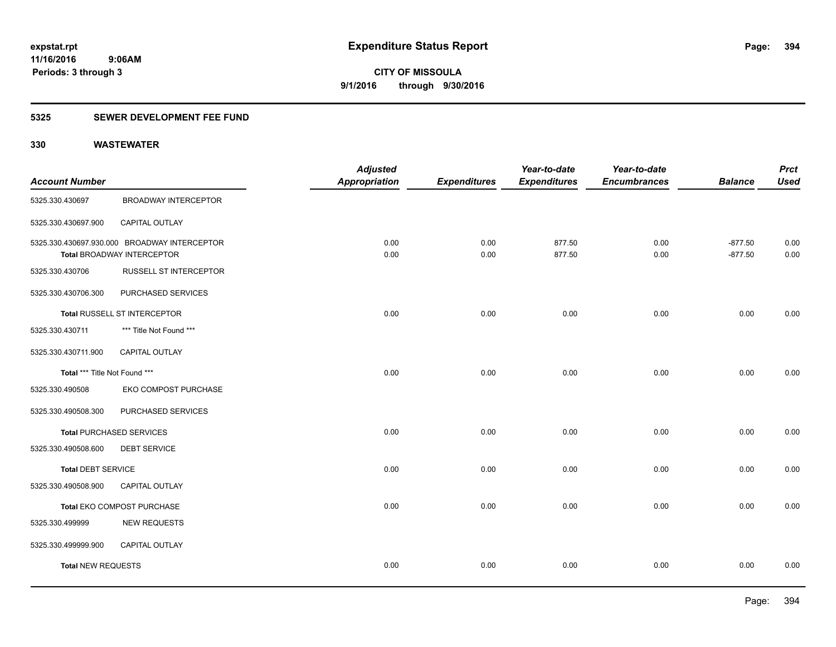### **5325 SEWER DEVELOPMENT FEE FUND**

|                               |                                                                                   | <b>Adjusted</b> |                     | Year-to-date        | Year-to-date        |                        | <b>Prct</b>  |
|-------------------------------|-----------------------------------------------------------------------------------|-----------------|---------------------|---------------------|---------------------|------------------------|--------------|
| <b>Account Number</b>         |                                                                                   | Appropriation   | <b>Expenditures</b> | <b>Expenditures</b> | <b>Encumbrances</b> | <b>Balance</b>         | <b>Used</b>  |
| 5325.330.430697               | <b>BROADWAY INTERCEPTOR</b>                                                       |                 |                     |                     |                     |                        |              |
| 5325.330.430697.900           | CAPITAL OUTLAY                                                                    |                 |                     |                     |                     |                        |              |
|                               | 5325.330.430697.930.000 BROADWAY INTERCEPTOR<br><b>Total BROADWAY INTERCEPTOR</b> | 0.00<br>0.00    | 0.00<br>0.00        | 877.50<br>877.50    | 0.00<br>0.00        | $-877.50$<br>$-877.50$ | 0.00<br>0.00 |
| 5325.330.430706               | <b>RUSSELL ST INTERCEPTOR</b>                                                     |                 |                     |                     |                     |                        |              |
| 5325.330.430706.300           | PURCHASED SERVICES                                                                |                 |                     |                     |                     |                        |              |
|                               | Total RUSSELL ST INTERCEPTOR                                                      | 0.00            | 0.00                | 0.00                | 0.00                | 0.00                   | 0.00         |
| 5325.330.430711               | *** Title Not Found ***                                                           |                 |                     |                     |                     |                        |              |
| 5325.330.430711.900           | CAPITAL OUTLAY                                                                    |                 |                     |                     |                     |                        |              |
| Total *** Title Not Found *** |                                                                                   | 0.00            | 0.00                | 0.00                | 0.00                | 0.00                   | 0.00         |
| 5325.330.490508               | EKO COMPOST PURCHASE                                                              |                 |                     |                     |                     |                        |              |
| 5325.330.490508.300           | PURCHASED SERVICES                                                                |                 |                     |                     |                     |                        |              |
|                               | <b>Total PURCHASED SERVICES</b>                                                   | 0.00            | 0.00                | 0.00                | 0.00                | 0.00                   | 0.00         |
| 5325.330.490508.600           | <b>DEBT SERVICE</b>                                                               |                 |                     |                     |                     |                        |              |
| <b>Total DEBT SERVICE</b>     |                                                                                   | 0.00            | 0.00                | 0.00                | 0.00                | 0.00                   | 0.00         |
| 5325.330.490508.900           | CAPITAL OUTLAY                                                                    |                 |                     |                     |                     |                        |              |
|                               | Total EKO COMPOST PURCHASE                                                        | 0.00            | 0.00                | 0.00                | 0.00                | 0.00                   | 0.00         |
| 5325.330.499999               | <b>NEW REQUESTS</b>                                                               |                 |                     |                     |                     |                        |              |
| 5325.330.499999.900           | CAPITAL OUTLAY                                                                    |                 |                     |                     |                     |                        |              |
| <b>Total NEW REQUESTS</b>     |                                                                                   | 0.00            | 0.00                | 0.00                | 0.00                | 0.00                   | 0.00         |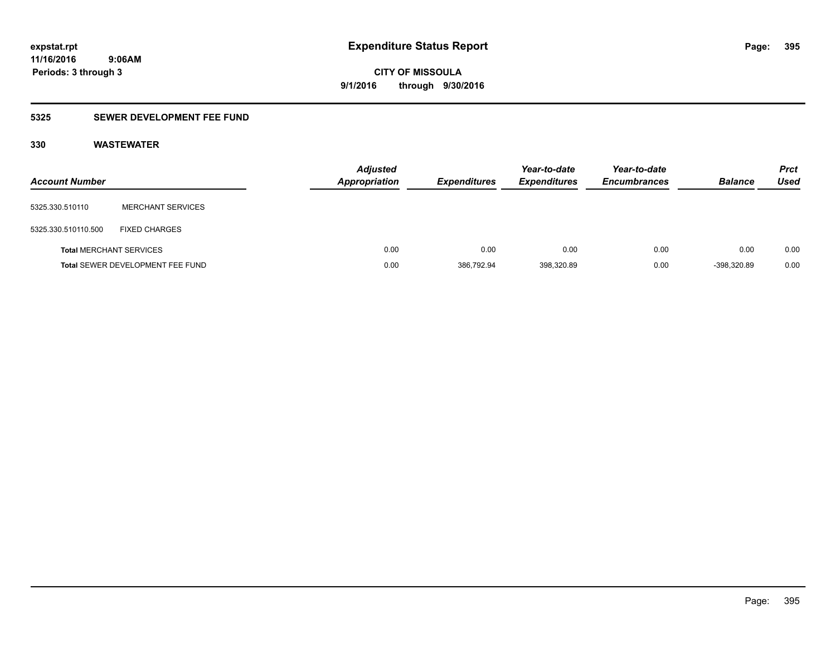## **5325 SEWER DEVELOPMENT FEE FUND**

| <b>Account Number</b>          |                                         | <b>Adjusted</b><br>Appropriation | <b>Expenditures</b> | Year-to-date<br><b>Expenditures</b> | Year-to-date<br><b>Encumbrances</b> | <b>Balance</b> | <b>Prct</b><br>Used |
|--------------------------------|-----------------------------------------|----------------------------------|---------------------|-------------------------------------|-------------------------------------|----------------|---------------------|
| 5325.330.510110                | MERCHANT SERVICES                       |                                  |                     |                                     |                                     |                |                     |
| 5325.330.510110.500            | <b>FIXED CHARGES</b>                    |                                  |                     |                                     |                                     |                |                     |
| <b>Total MERCHANT SERVICES</b> |                                         | 0.00                             | 0.00                | 0.00                                | 0.00                                | 0.00           | 0.00                |
|                                | <b>Total SEWER DEVELOPMENT FEE FUND</b> | 0.00                             | 386,792.94          | 398,320.89                          | 0.00                                | $-398,320.89$  | 0.00                |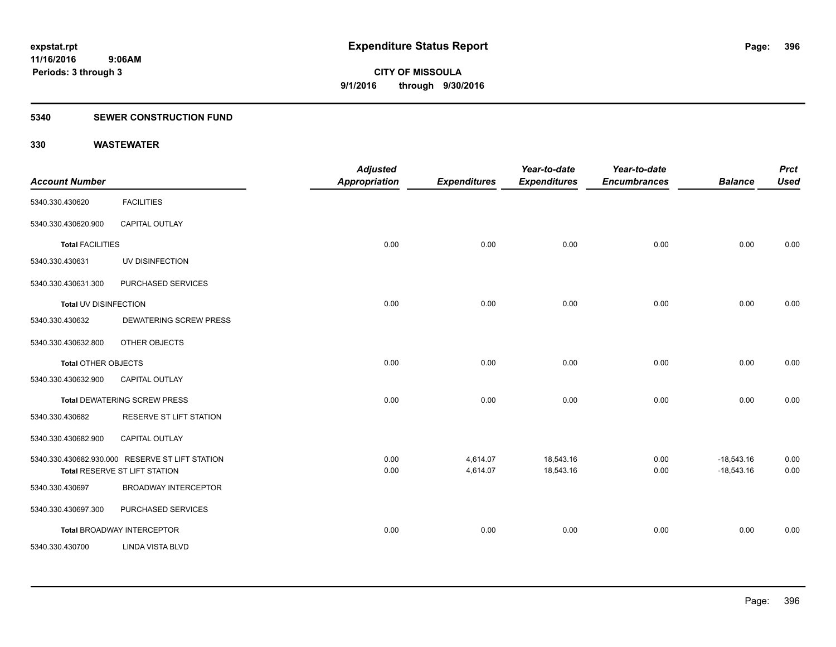#### **5340 SEWER CONSTRUCTION FUND**

| <b>Account Number</b>      |                                                                                  | <b>Adjusted</b><br>Appropriation | <b>Expenditures</b>  | Year-to-date<br><b>Expenditures</b> | Year-to-date<br><b>Encumbrances</b> | <b>Balance</b>               | <b>Prct</b><br><b>Used</b> |
|----------------------------|----------------------------------------------------------------------------------|----------------------------------|----------------------|-------------------------------------|-------------------------------------|------------------------------|----------------------------|
| 5340.330.430620            | <b>FACILITIES</b>                                                                |                                  |                      |                                     |                                     |                              |                            |
| 5340.330.430620.900        | <b>CAPITAL OUTLAY</b>                                                            |                                  |                      |                                     |                                     |                              |                            |
| <b>Total FACILITIES</b>    |                                                                                  | 0.00                             | 0.00                 | 0.00                                | 0.00                                | 0.00                         | 0.00                       |
| 5340.330.430631            | UV DISINFECTION                                                                  |                                  |                      |                                     |                                     |                              |                            |
| 5340.330.430631.300        | PURCHASED SERVICES                                                               |                                  |                      |                                     |                                     |                              |                            |
| Total UV DISINFECTION      |                                                                                  | 0.00                             | 0.00                 | 0.00                                | 0.00                                | 0.00                         | 0.00                       |
| 5340.330.430632            | <b>DEWATERING SCREW PRESS</b>                                                    |                                  |                      |                                     |                                     |                              |                            |
| 5340.330.430632.800        | OTHER OBJECTS                                                                    |                                  |                      |                                     |                                     |                              |                            |
| <b>Total OTHER OBJECTS</b> |                                                                                  | 0.00                             | 0.00                 | 0.00                                | 0.00                                | 0.00                         | 0.00                       |
| 5340.330.430632.900        | <b>CAPITAL OUTLAY</b>                                                            |                                  |                      |                                     |                                     |                              |                            |
|                            | <b>Total DEWATERING SCREW PRESS</b>                                              | 0.00                             | 0.00                 | 0.00                                | 0.00                                | 0.00                         | 0.00                       |
| 5340.330.430682            | RESERVE ST LIFT STATION                                                          |                                  |                      |                                     |                                     |                              |                            |
| 5340.330.430682.900        | CAPITAL OUTLAY                                                                   |                                  |                      |                                     |                                     |                              |                            |
|                            | 5340.330.430682.930.000 RESERVE ST LIFT STATION<br>Total RESERVE ST LIFT STATION | 0.00<br>0.00                     | 4,614.07<br>4,614.07 | 18,543.16<br>18,543.16              | 0.00<br>0.00                        | $-18,543.16$<br>$-18,543.16$ | 0.00<br>0.00               |
| 5340.330.430697            | <b>BROADWAY INTERCEPTOR</b>                                                      |                                  |                      |                                     |                                     |                              |                            |
| 5340.330.430697.300        | PURCHASED SERVICES                                                               |                                  |                      |                                     |                                     |                              |                            |
|                            | <b>Total BROADWAY INTERCEPTOR</b>                                                | 0.00                             | 0.00                 | 0.00                                | 0.00                                | 0.00                         | 0.00                       |
| 5340.330.430700            | <b>LINDA VISTA BLVD</b>                                                          |                                  |                      |                                     |                                     |                              |                            |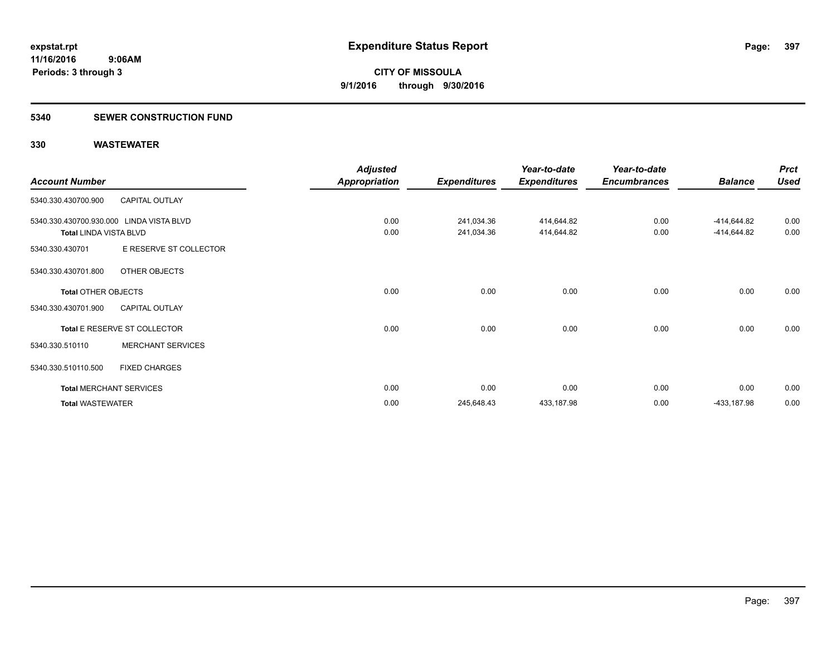### **5340 SEWER CONSTRUCTION FUND**

|                               |                                          | <b>Adjusted</b>      |                     | Year-to-date        | Year-to-date        |                | <b>Prct</b> |
|-------------------------------|------------------------------------------|----------------------|---------------------|---------------------|---------------------|----------------|-------------|
| <b>Account Number</b>         |                                          | <b>Appropriation</b> | <b>Expenditures</b> | <b>Expenditures</b> | <b>Encumbrances</b> | <b>Balance</b> | <b>Used</b> |
| 5340.330.430700.900           | <b>CAPITAL OUTLAY</b>                    |                      |                     |                     |                     |                |             |
|                               | 5340.330.430700.930.000 LINDA VISTA BLVD | 0.00                 | 241,034.36          | 414,644.82          | 0.00                | -414,644.82    | 0.00        |
| <b>Total LINDA VISTA BLVD</b> |                                          | 0.00                 | 241,034.36          | 414,644.82          | 0.00                | -414,644.82    | 0.00        |
| 5340.330.430701               | E RESERVE ST COLLECTOR                   |                      |                     |                     |                     |                |             |
| 5340.330.430701.800           | OTHER OBJECTS                            |                      |                     |                     |                     |                |             |
| <b>Total OTHER OBJECTS</b>    |                                          | 0.00                 | 0.00                | 0.00                | 0.00                | 0.00           | 0.00        |
| 5340.330.430701.900           | <b>CAPITAL OUTLAY</b>                    |                      |                     |                     |                     |                |             |
|                               | Total E RESERVE ST COLLECTOR             | 0.00                 | 0.00                | 0.00                | 0.00                | 0.00           | 0.00        |
| 5340.330.510110               | <b>MERCHANT SERVICES</b>                 |                      |                     |                     |                     |                |             |
| 5340.330.510110.500           | <b>FIXED CHARGES</b>                     |                      |                     |                     |                     |                |             |
|                               | <b>Total MERCHANT SERVICES</b>           | 0.00                 | 0.00                | 0.00                | 0.00                | 0.00           | 0.00        |
| <b>Total WASTEWATER</b>       |                                          | 0.00                 | 245,648.43          | 433,187.98          | 0.00                | -433,187.98    | 0.00        |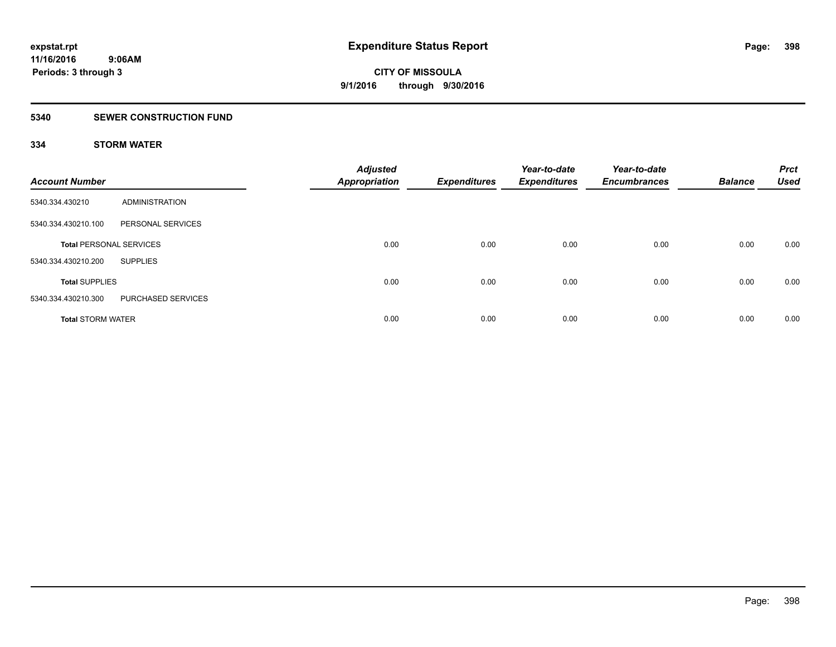### **5340 SEWER CONSTRUCTION FUND**

### **334 STORM WATER**

| <b>Account Number</b>          |                    | <b>Adjusted</b><br><b>Appropriation</b> | <b>Expenditures</b> | Year-to-date<br><b>Expenditures</b> | Year-to-date<br><b>Encumbrances</b> | <b>Balance</b> | <b>Prct</b><br><b>Used</b> |
|--------------------------------|--------------------|-----------------------------------------|---------------------|-------------------------------------|-------------------------------------|----------------|----------------------------|
| 5340.334.430210                | ADMINISTRATION     |                                         |                     |                                     |                                     |                |                            |
| 5340.334.430210.100            | PERSONAL SERVICES  |                                         |                     |                                     |                                     |                |                            |
| <b>Total PERSONAL SERVICES</b> |                    | 0.00                                    | 0.00                | 0.00                                | 0.00                                | 0.00           | 0.00                       |
| 5340.334.430210.200            | <b>SUPPLIES</b>    |                                         |                     |                                     |                                     |                |                            |
| <b>Total SUPPLIES</b>          |                    | 0.00                                    | 0.00                | 0.00                                | 0.00                                | 0.00           | 0.00                       |
| 5340.334.430210.300            | PURCHASED SERVICES |                                         |                     |                                     |                                     |                |                            |
| <b>Total STORM WATER</b>       |                    | 0.00                                    | 0.00                | 0.00                                | 0.00                                | 0.00           | 0.00                       |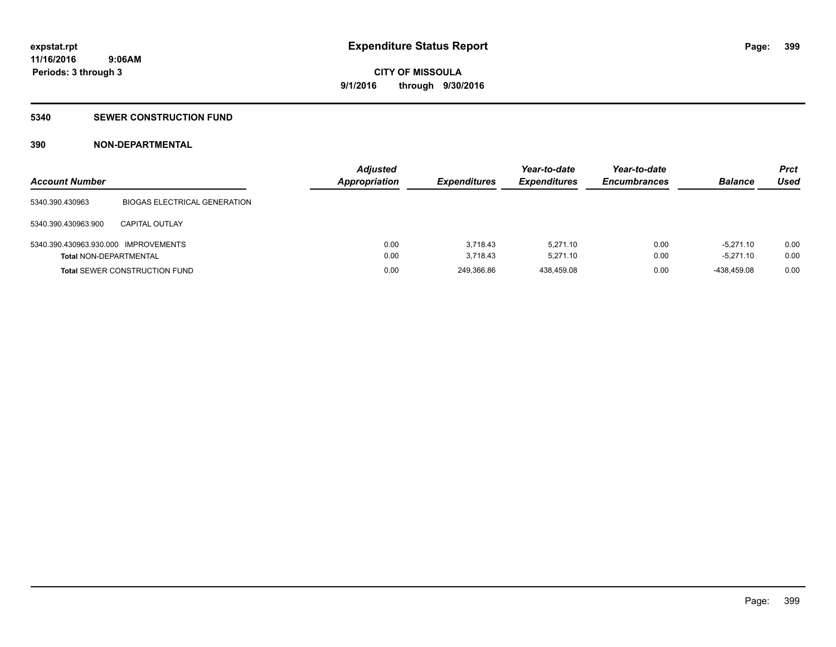### **5340 SEWER CONSTRUCTION FUND**

### **390 NON-DEPARTMENTAL**

| <b>Account Number</b>                |                                      | <b>Adjusted</b><br><b>Appropriation</b> | <b>Expenditures</b> | Year-to-date<br><b>Expenditures</b> | Year-to-date<br><b>Encumbrances</b> | <b>Balance</b> | <b>Prct</b><br>Used |
|--------------------------------------|--------------------------------------|-----------------------------------------|---------------------|-------------------------------------|-------------------------------------|----------------|---------------------|
| 5340.390.430963                      | <b>BIOGAS ELECTRICAL GENERATION</b>  |                                         |                     |                                     |                                     |                |                     |
| 5340.390.430963.900                  | CAPITAL OUTLAY                       |                                         |                     |                                     |                                     |                |                     |
| 5340.390.430963.930.000 IMPROVEMENTS |                                      | 0.00                                    | 3.718.43            | 5.271.10                            | 0.00                                | $-5.271.10$    | 0.00                |
| <b>Total NON-DEPARTMENTAL</b>        |                                      | 0.00                                    | 3.718.43            | 5.271.10                            | 0.00                                | $-5.271.10$    | 0.00                |
|                                      | <b>Total SEWER CONSTRUCTION FUND</b> | 0.00                                    | 249.366.86          | 438.459.08                          | 0.00                                | -438.459.08    | 0.00                |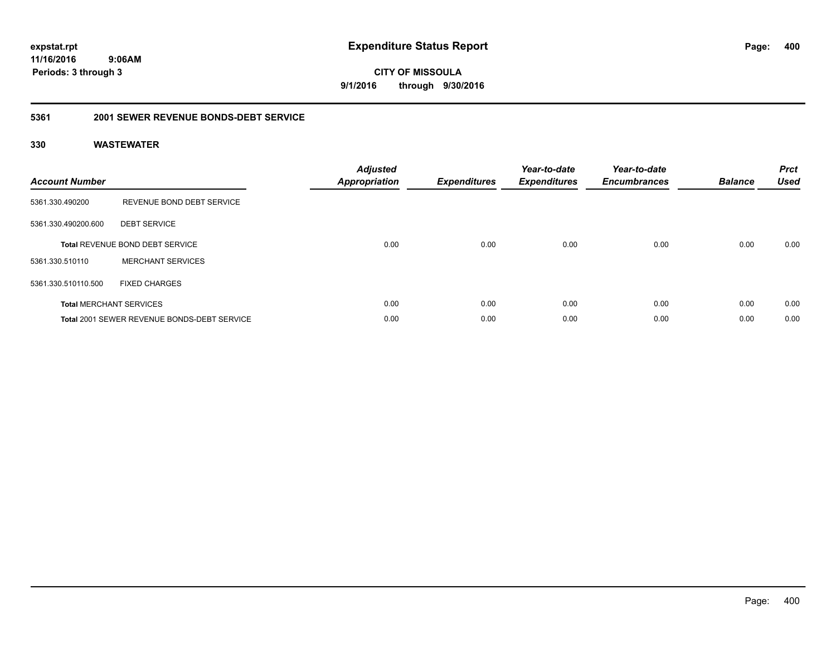**CITY OF MISSOULA 9/1/2016 through 9/30/2016**

### **5361 2001 SEWER REVENUE BONDS-DEBT SERVICE**

| <b>Account Number</b> |                                                    | <b>Adjusted</b><br>Appropriation | <b>Expenditures</b> | Year-to-date<br><b>Expenditures</b> | Year-to-date<br><b>Encumbrances</b> | <b>Balance</b> | <b>Prct</b><br><b>Used</b> |
|-----------------------|----------------------------------------------------|----------------------------------|---------------------|-------------------------------------|-------------------------------------|----------------|----------------------------|
| 5361.330.490200       | REVENUE BOND DEBT SERVICE                          |                                  |                     |                                     |                                     |                |                            |
| 5361.330.490200.600   | <b>DEBT SERVICE</b>                                |                                  |                     |                                     |                                     |                |                            |
|                       | <b>Total REVENUE BOND DEBT SERVICE</b>             | 0.00                             | 0.00                | 0.00                                | 0.00                                | 0.00           | 0.00                       |
| 5361.330.510110       | <b>MERCHANT SERVICES</b>                           |                                  |                     |                                     |                                     |                |                            |
| 5361.330.510110.500   | <b>FIXED CHARGES</b>                               |                                  |                     |                                     |                                     |                |                            |
|                       | <b>Total MERCHANT SERVICES</b>                     | 0.00                             | 0.00                | 0.00                                | 0.00                                | 0.00           | 0.00                       |
|                       | <b>Total 2001 SEWER REVENUE BONDS-DEBT SERVICE</b> | 0.00                             | 0.00                | 0.00                                | 0.00                                | 0.00           | 0.00                       |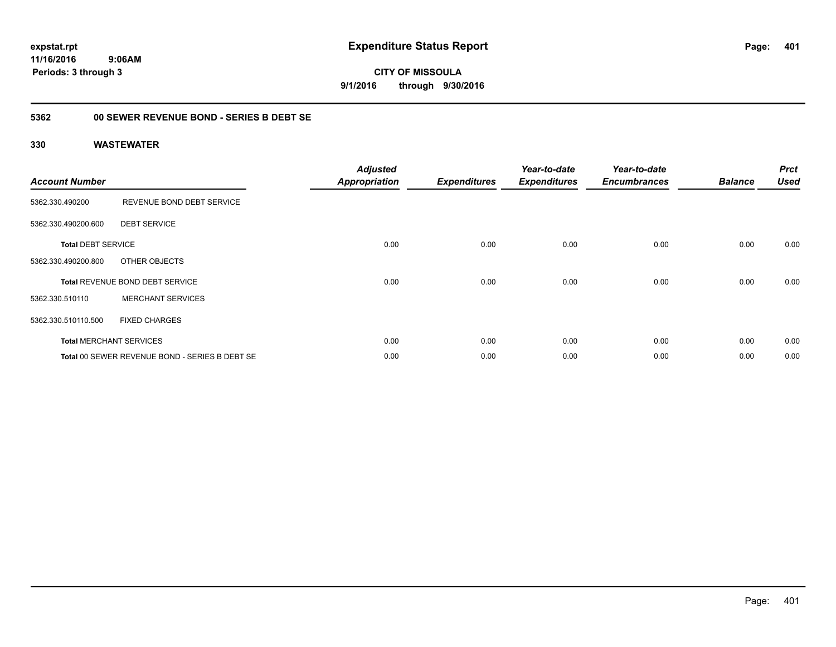**CITY OF MISSOULA 9/1/2016 through 9/30/2016**

### **5362 00 SEWER REVENUE BOND - SERIES B DEBT SE**

| <b>Account Number</b>     |                                                | <b>Adjusted</b><br><b>Appropriation</b> | <b>Expenditures</b> | Year-to-date<br><b>Expenditures</b> | Year-to-date<br><b>Encumbrances</b> | <b>Balance</b> | <b>Prct</b><br><b>Used</b> |
|---------------------------|------------------------------------------------|-----------------------------------------|---------------------|-------------------------------------|-------------------------------------|----------------|----------------------------|
| 5362.330.490200           | REVENUE BOND DEBT SERVICE                      |                                         |                     |                                     |                                     |                |                            |
| 5362.330.490200.600       | <b>DEBT SERVICE</b>                            |                                         |                     |                                     |                                     |                |                            |
| <b>Total DEBT SERVICE</b> |                                                | 0.00                                    | 0.00                | 0.00                                | 0.00                                | 0.00           | 0.00                       |
| 5362.330.490200.800       | OTHER OBJECTS                                  |                                         |                     |                                     |                                     |                |                            |
|                           | <b>Total REVENUE BOND DEBT SERVICE</b>         | 0.00                                    | 0.00                | 0.00                                | 0.00                                | 0.00           | 0.00                       |
| 5362.330.510110           | <b>MERCHANT SERVICES</b>                       |                                         |                     |                                     |                                     |                |                            |
| 5362.330.510110.500       | <b>FIXED CHARGES</b>                           |                                         |                     |                                     |                                     |                |                            |
|                           | <b>Total MERCHANT SERVICES</b>                 | 0.00                                    | 0.00                | 0.00                                | 0.00                                | 0.00           | 0.00                       |
|                           | Total 00 SEWER REVENUE BOND - SERIES B DEBT SE | 0.00                                    | 0.00                | 0.00                                | 0.00                                | 0.00           | 0.00                       |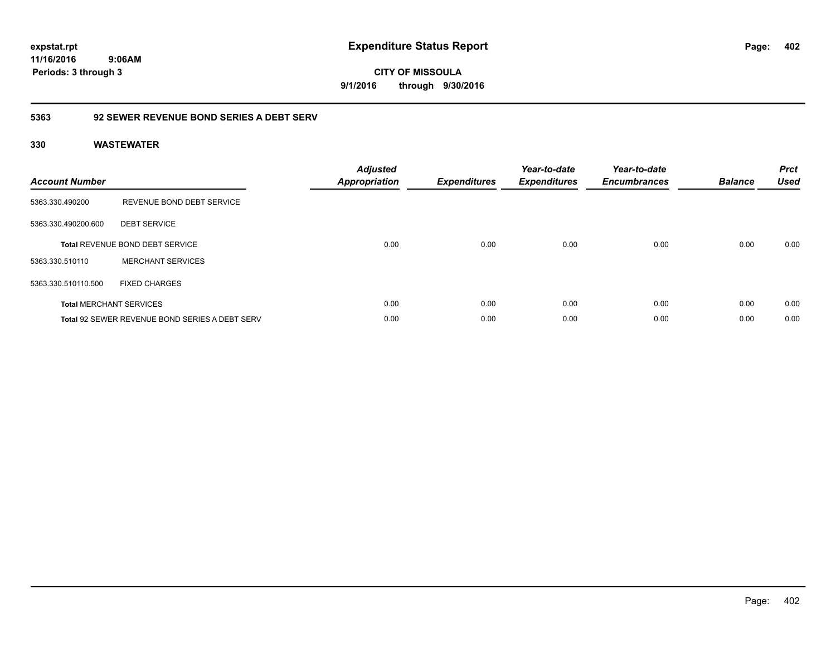**CITY OF MISSOULA 9/1/2016 through 9/30/2016**

### **5363 92 SEWER REVENUE BOND SERIES A DEBT SERV**

| <b>Account Number</b> |                                                       | <b>Adjusted</b><br><b>Appropriation</b> | <b>Expenditures</b> | Year-to-date<br><b>Expenditures</b> | Year-to-date<br><b>Encumbrances</b> | <b>Balance</b> | <b>Prct</b><br><b>Used</b> |
|-----------------------|-------------------------------------------------------|-----------------------------------------|---------------------|-------------------------------------|-------------------------------------|----------------|----------------------------|
| 5363.330.490200       | REVENUE BOND DEBT SERVICE                             |                                         |                     |                                     |                                     |                |                            |
| 5363.330.490200.600   | <b>DEBT SERVICE</b>                                   |                                         |                     |                                     |                                     |                |                            |
|                       | <b>Total REVENUE BOND DEBT SERVICE</b>                | 0.00                                    | 0.00                | 0.00                                | 0.00                                | 0.00           | 0.00                       |
| 5363.330.510110       | <b>MERCHANT SERVICES</b>                              |                                         |                     |                                     |                                     |                |                            |
| 5363.330.510110.500   | <b>FIXED CHARGES</b>                                  |                                         |                     |                                     |                                     |                |                            |
|                       | <b>Total MERCHANT SERVICES</b>                        | 0.00                                    | 0.00                | 0.00                                | 0.00                                | 0.00           | 0.00                       |
|                       | <b>Total 92 SEWER REVENUE BOND SERIES A DEBT SERV</b> | 0.00                                    | 0.00                | 0.00                                | 0.00                                | 0.00           | 0.00                       |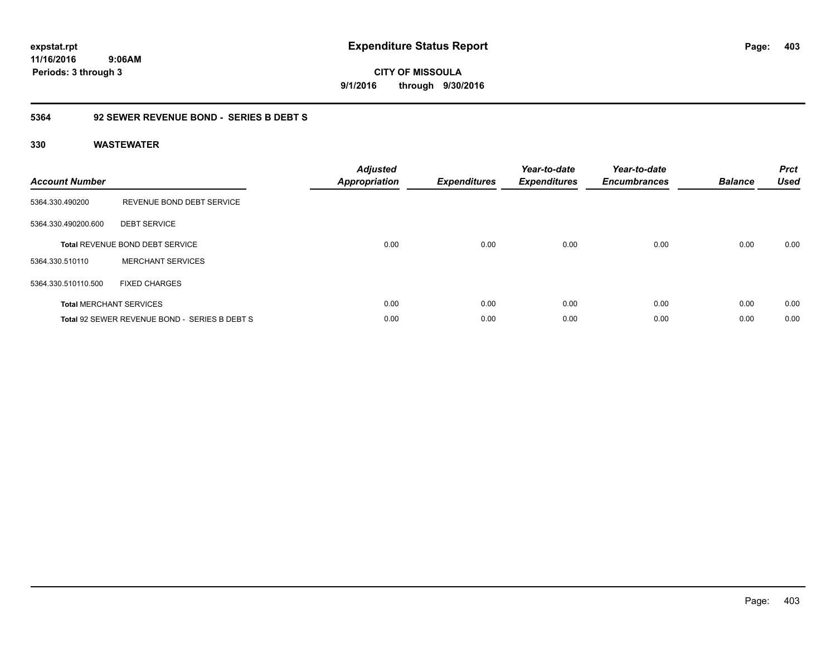**CITY OF MISSOULA 9/1/2016 through 9/30/2016**

### **5364 92 SEWER REVENUE BOND - SERIES B DEBT S**

| <b>Account Number</b> |                                               | <b>Adjusted</b><br>Appropriation | <b>Expenditures</b> | Year-to-date<br><b>Expenditures</b> | Year-to-date<br><b>Encumbrances</b> | <b>Balance</b> | <b>Prct</b><br><b>Used</b> |
|-----------------------|-----------------------------------------------|----------------------------------|---------------------|-------------------------------------|-------------------------------------|----------------|----------------------------|
| 5364.330.490200       | REVENUE BOND DEBT SERVICE                     |                                  |                     |                                     |                                     |                |                            |
| 5364.330.490200.600   | <b>DEBT SERVICE</b>                           |                                  |                     |                                     |                                     |                |                            |
|                       | <b>Total REVENUE BOND DEBT SERVICE</b>        | 0.00                             | 0.00                | 0.00                                | 0.00                                | 0.00           | 0.00                       |
| 5364.330.510110       | <b>MERCHANT SERVICES</b>                      |                                  |                     |                                     |                                     |                |                            |
| 5364.330.510110.500   | <b>FIXED CHARGES</b>                          |                                  |                     |                                     |                                     |                |                            |
|                       | <b>Total MERCHANT SERVICES</b>                | 0.00                             | 0.00                | 0.00                                | 0.00                                | 0.00           | 0.00                       |
|                       | Total 92 SEWER REVENUE BOND - SERIES B DEBT S | 0.00                             | 0.00                | 0.00                                | 0.00                                | 0.00           | 0.00                       |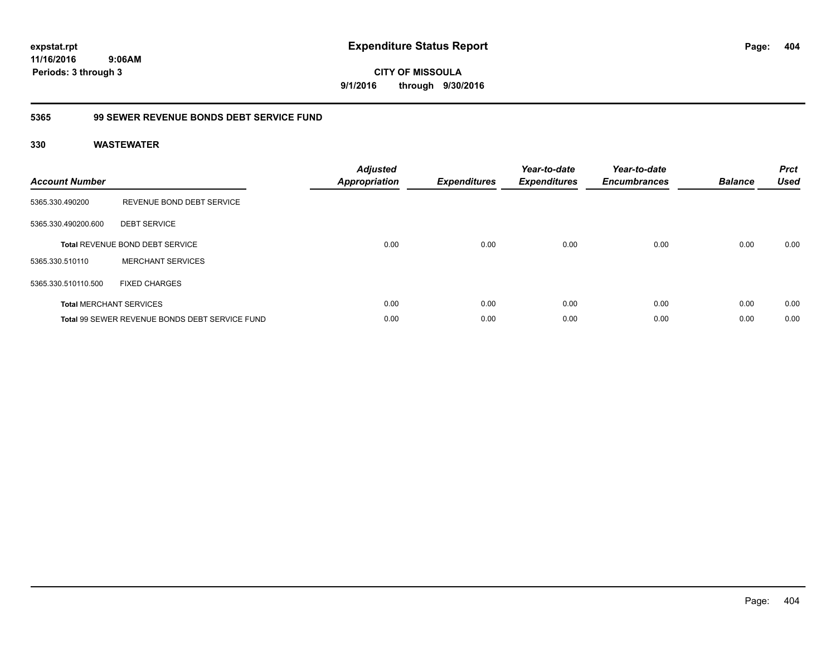**CITY OF MISSOULA 9/1/2016 through 9/30/2016**

### **5365 99 SEWER REVENUE BONDS DEBT SERVICE FUND**

| <b>Account Number</b> |                                                | <b>Adjusted</b><br>Appropriation | <b>Expenditures</b> | Year-to-date<br><b>Expenditures</b> | Year-to-date<br><b>Encumbrances</b> | <b>Balance</b> | <b>Prct</b><br><b>Used</b> |
|-----------------------|------------------------------------------------|----------------------------------|---------------------|-------------------------------------|-------------------------------------|----------------|----------------------------|
| 5365.330.490200       | REVENUE BOND DEBT SERVICE                      |                                  |                     |                                     |                                     |                |                            |
| 5365.330.490200.600   | <b>DEBT SERVICE</b>                            |                                  |                     |                                     |                                     |                |                            |
|                       | Total REVENUE BOND DEBT SERVICE                | 0.00                             | 0.00                | 0.00                                | 0.00                                | 0.00           | 0.00                       |
| 5365.330.510110       | <b>MERCHANT SERVICES</b>                       |                                  |                     |                                     |                                     |                |                            |
| 5365.330.510110.500   | <b>FIXED CHARGES</b>                           |                                  |                     |                                     |                                     |                |                            |
|                       | <b>Total MERCHANT SERVICES</b>                 | 0.00                             | 0.00                | 0.00                                | 0.00                                | 0.00           | 0.00                       |
|                       | Total 99 SEWER REVENUE BONDS DEBT SERVICE FUND | 0.00                             | 0.00                | 0.00                                | 0.00                                | 0.00           | 0.00                       |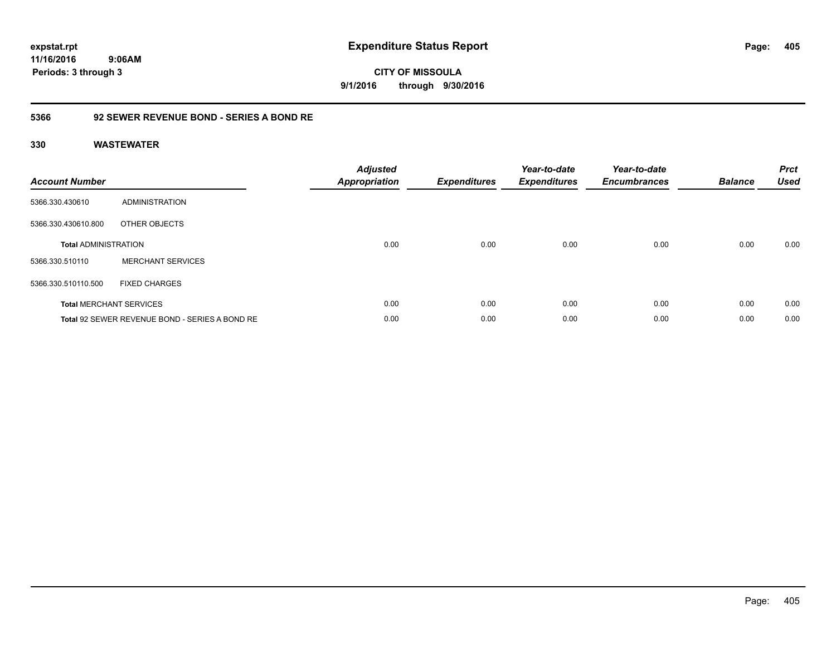**CITY OF MISSOULA 9/1/2016 through 9/30/2016**

### **5366 92 SEWER REVENUE BOND - SERIES A BOND RE**

| <b>Account Number</b>       |                                                | <b>Adjusted</b><br>Appropriation | <b>Expenditures</b> | Year-to-date<br><b>Expenditures</b> | Year-to-date<br><b>Encumbrances</b> | <b>Balance</b> | <b>Prct</b><br><b>Used</b> |
|-----------------------------|------------------------------------------------|----------------------------------|---------------------|-------------------------------------|-------------------------------------|----------------|----------------------------|
| 5366.330.430610             | ADMINISTRATION                                 |                                  |                     |                                     |                                     |                |                            |
| 5366.330.430610.800         | OTHER OBJECTS                                  |                                  |                     |                                     |                                     |                |                            |
| <b>Total ADMINISTRATION</b> |                                                | 0.00                             | 0.00                | 0.00                                | 0.00                                | 0.00           | 0.00                       |
| 5366.330.510110             | <b>MERCHANT SERVICES</b>                       |                                  |                     |                                     |                                     |                |                            |
| 5366.330.510110.500         | <b>FIXED CHARGES</b>                           |                                  |                     |                                     |                                     |                |                            |
|                             | <b>Total MERCHANT SERVICES</b>                 | 0.00                             | 0.00                | 0.00                                | 0.00                                | 0.00           | 0.00                       |
|                             | Total 92 SEWER REVENUE BOND - SERIES A BOND RE | 0.00                             | 0.00                | 0.00                                | 0.00                                | 0.00           | 0.00                       |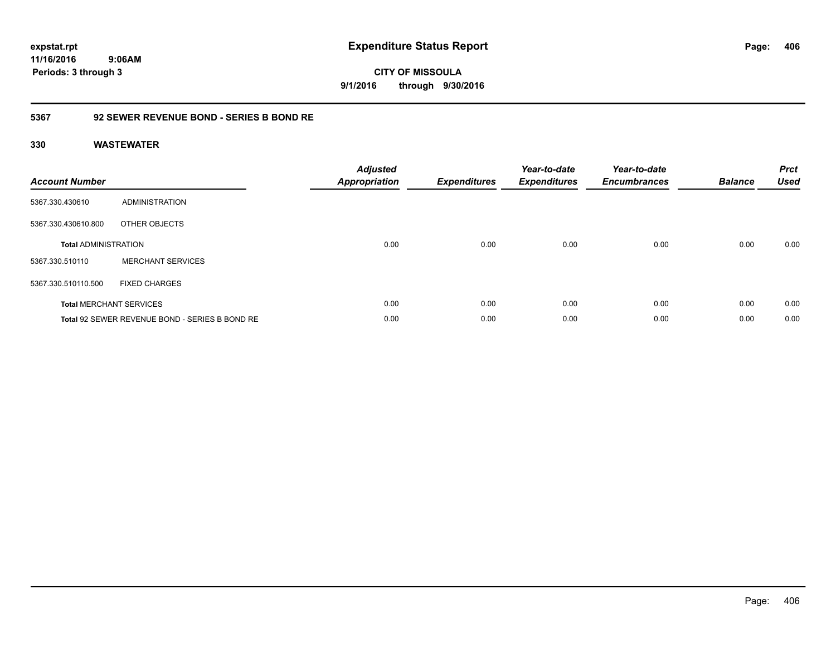**CITY OF MISSOULA 9/1/2016 through 9/30/2016**

### **5367 92 SEWER REVENUE BOND - SERIES B BOND RE**

| <b>Account Number</b>       |                                                | <b>Adjusted</b><br>Appropriation | <b>Expenditures</b> | Year-to-date<br><b>Expenditures</b> | Year-to-date<br><b>Encumbrances</b> | <b>Balance</b> | <b>Prct</b><br><b>Used</b> |
|-----------------------------|------------------------------------------------|----------------------------------|---------------------|-------------------------------------|-------------------------------------|----------------|----------------------------|
| 5367.330.430610             | ADMINISTRATION                                 |                                  |                     |                                     |                                     |                |                            |
| 5367.330.430610.800         | OTHER OBJECTS                                  |                                  |                     |                                     |                                     |                |                            |
| <b>Total ADMINISTRATION</b> |                                                | 0.00                             | 0.00                | 0.00                                | 0.00                                | 0.00           | 0.00                       |
| 5367.330.510110             | <b>MERCHANT SERVICES</b>                       |                                  |                     |                                     |                                     |                |                            |
| 5367.330.510110.500         | <b>FIXED CHARGES</b>                           |                                  |                     |                                     |                                     |                |                            |
|                             | <b>Total MERCHANT SERVICES</b>                 | 0.00                             | 0.00                | 0.00                                | 0.00                                | 0.00           | 0.00                       |
|                             | Total 92 SEWER REVENUE BOND - SERIES B BOND RE | 0.00                             | 0.00                | 0.00                                | 0.00                                | 0.00           | 0.00                       |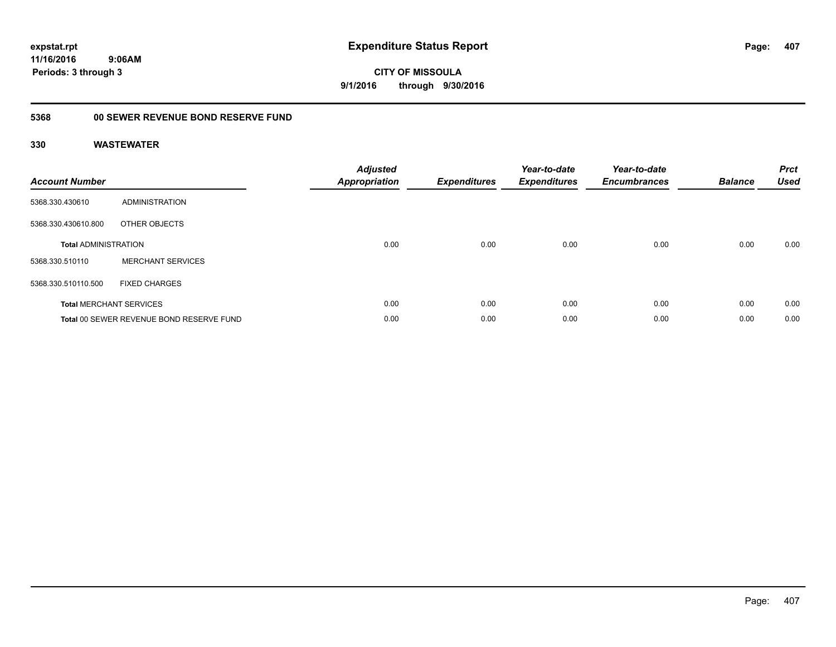**CITY OF MISSOULA 9/1/2016 through 9/30/2016**

## **5368 00 SEWER REVENUE BOND RESERVE FUND**

| <b>Account Number</b>       |                                          | <b>Adjusted</b><br><b>Appropriation</b> | <b>Expenditures</b> | Year-to-date<br><b>Expenditures</b> | Year-to-date<br><b>Encumbrances</b> | <b>Balance</b> | <b>Prct</b><br><b>Used</b> |
|-----------------------------|------------------------------------------|-----------------------------------------|---------------------|-------------------------------------|-------------------------------------|----------------|----------------------------|
| 5368.330.430610             | ADMINISTRATION                           |                                         |                     |                                     |                                     |                |                            |
| 5368.330.430610.800         | OTHER OBJECTS                            |                                         |                     |                                     |                                     |                |                            |
| <b>Total ADMINISTRATION</b> |                                          | 0.00                                    | 0.00                | 0.00                                | 0.00                                | 0.00           | 0.00                       |
| 5368.330.510110             | <b>MERCHANT SERVICES</b>                 |                                         |                     |                                     |                                     |                |                            |
| 5368.330.510110.500         | <b>FIXED CHARGES</b>                     |                                         |                     |                                     |                                     |                |                            |
|                             | <b>Total MERCHANT SERVICES</b>           | 0.00                                    | 0.00                | 0.00                                | 0.00                                | 0.00           | 0.00                       |
|                             | Total 00 SEWER REVENUE BOND RESERVE FUND | 0.00                                    | 0.00                | 0.00                                | 0.00                                | 0.00           | 0.00                       |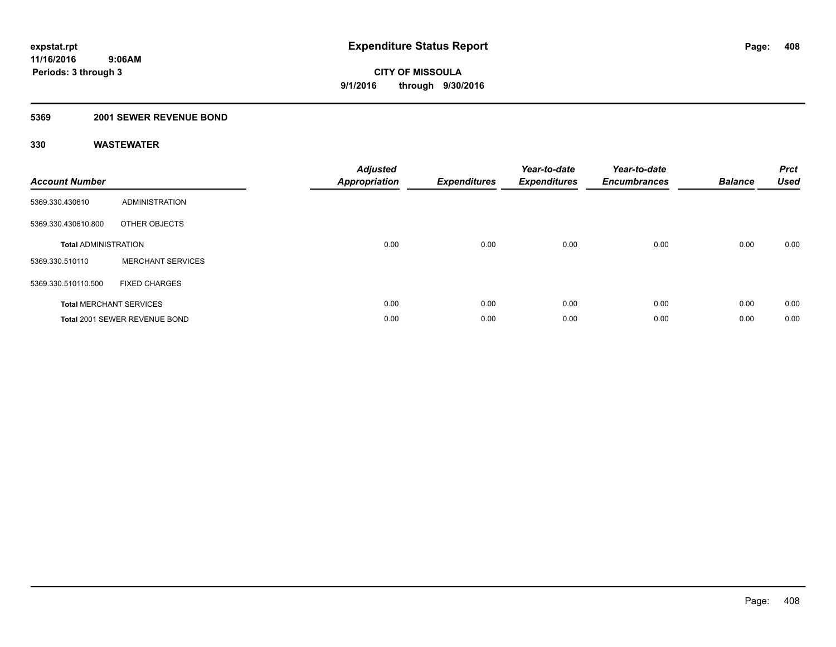### **5369 2001 SEWER REVENUE BOND**

| <b>Account Number</b>       |                                | <b>Adjusted</b><br>Appropriation | <b>Expenditures</b> | Year-to-date<br><b>Expenditures</b> | Year-to-date<br><b>Encumbrances</b> | <b>Balance</b> | <b>Prct</b><br><b>Used</b> |
|-----------------------------|--------------------------------|----------------------------------|---------------------|-------------------------------------|-------------------------------------|----------------|----------------------------|
| 5369.330.430610             | <b>ADMINISTRATION</b>          |                                  |                     |                                     |                                     |                |                            |
| 5369.330.430610.800         | OTHER OBJECTS                  |                                  |                     |                                     |                                     |                |                            |
| <b>Total ADMINISTRATION</b> |                                | 0.00                             | 0.00                | 0.00                                | 0.00                                | 0.00           | 0.00                       |
| 5369.330.510110             | <b>MERCHANT SERVICES</b>       |                                  |                     |                                     |                                     |                |                            |
| 5369.330.510110.500         | <b>FIXED CHARGES</b>           |                                  |                     |                                     |                                     |                |                            |
|                             | <b>Total MERCHANT SERVICES</b> | 0.00                             | 0.00                | 0.00                                | 0.00                                | 0.00           | 0.00                       |
|                             | Total 2001 SEWER REVENUE BOND  | 0.00                             | 0.00                | 0.00                                | 0.00                                | 0.00           | 0.00                       |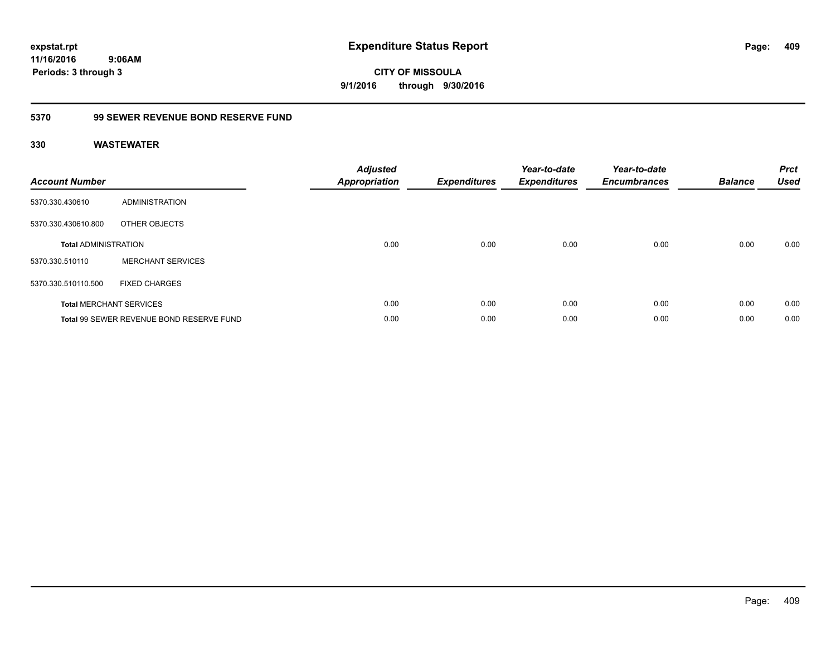**expstat.rpt Expenditure Status Report** 

**11/16/2016 9:06AM Periods: 3 through 3**

**CITY OF MISSOULA 9/1/2016 through 9/30/2016**

### **5370 99 SEWER REVENUE BOND RESERVE FUND**

| <b>Account Number</b>       |                                          | <b>Adjusted</b><br>Appropriation | <b>Expenditures</b> | Year-to-date<br><b>Expenditures</b> | Year-to-date<br><b>Encumbrances</b> | <b>Balance</b> | <b>Prct</b><br><b>Used</b> |
|-----------------------------|------------------------------------------|----------------------------------|---------------------|-------------------------------------|-------------------------------------|----------------|----------------------------|
| 5370.330.430610             | ADMINISTRATION                           |                                  |                     |                                     |                                     |                |                            |
| 5370.330.430610.800         | OTHER OBJECTS                            |                                  |                     |                                     |                                     |                |                            |
| <b>Total ADMINISTRATION</b> |                                          | 0.00                             | 0.00                | 0.00                                | 0.00                                | 0.00           | 0.00                       |
| 5370.330.510110             | <b>MERCHANT SERVICES</b>                 |                                  |                     |                                     |                                     |                |                            |
| 5370.330.510110.500         | <b>FIXED CHARGES</b>                     |                                  |                     |                                     |                                     |                |                            |
|                             | <b>Total MERCHANT SERVICES</b>           | 0.00                             | 0.00                | 0.00                                | 0.00                                | 0.00           | 0.00                       |
|                             | Total 99 SEWER REVENUE BOND RESERVE FUND | 0.00                             | 0.00                | 0.00                                | 0.00                                | 0.00           | 0.00                       |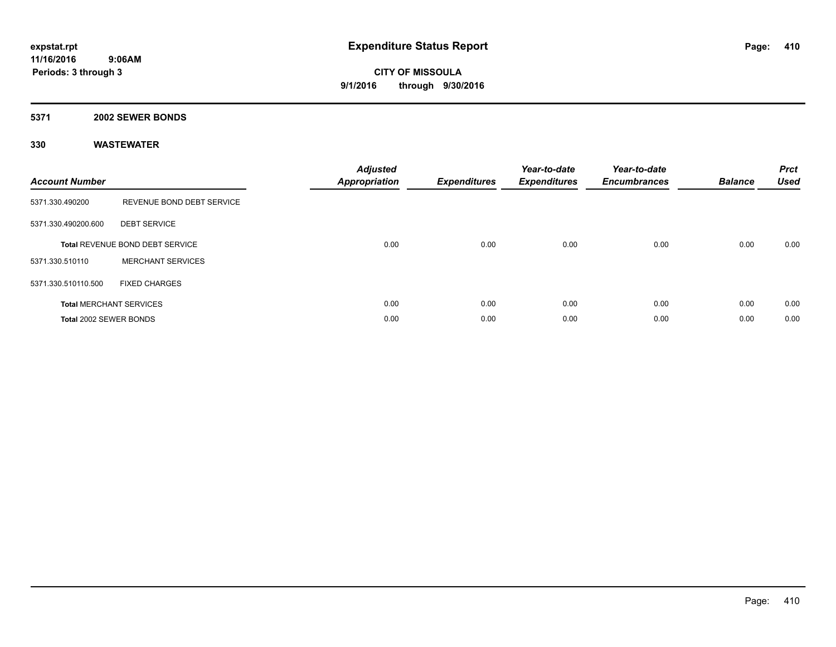### **5371 2002 SEWER BONDS**

| <b>Account Number</b>  |                                        | <b>Adjusted</b><br>Appropriation | <b>Expenditures</b> | Year-to-date<br><b>Expenditures</b> | Year-to-date<br><b>Encumbrances</b> | <b>Balance</b> | <b>Prct</b><br><b>Used</b> |
|------------------------|----------------------------------------|----------------------------------|---------------------|-------------------------------------|-------------------------------------|----------------|----------------------------|
| 5371.330.490200        | REVENUE BOND DEBT SERVICE              |                                  |                     |                                     |                                     |                |                            |
| 5371.330.490200.600    | <b>DEBT SERVICE</b>                    |                                  |                     |                                     |                                     |                |                            |
|                        | <b>Total REVENUE BOND DEBT SERVICE</b> | 0.00                             | 0.00                | 0.00                                | 0.00                                | 0.00           | 0.00                       |
| 5371.330.510110        | <b>MERCHANT SERVICES</b>               |                                  |                     |                                     |                                     |                |                            |
| 5371.330.510110.500    | <b>FIXED CHARGES</b>                   |                                  |                     |                                     |                                     |                |                            |
|                        | <b>Total MERCHANT SERVICES</b>         | 0.00                             | 0.00                | 0.00                                | 0.00                                | 0.00           | 0.00                       |
| Total 2002 SEWER BONDS |                                        | 0.00                             | 0.00                | 0.00                                | 0.00                                | 0.00           | 0.00                       |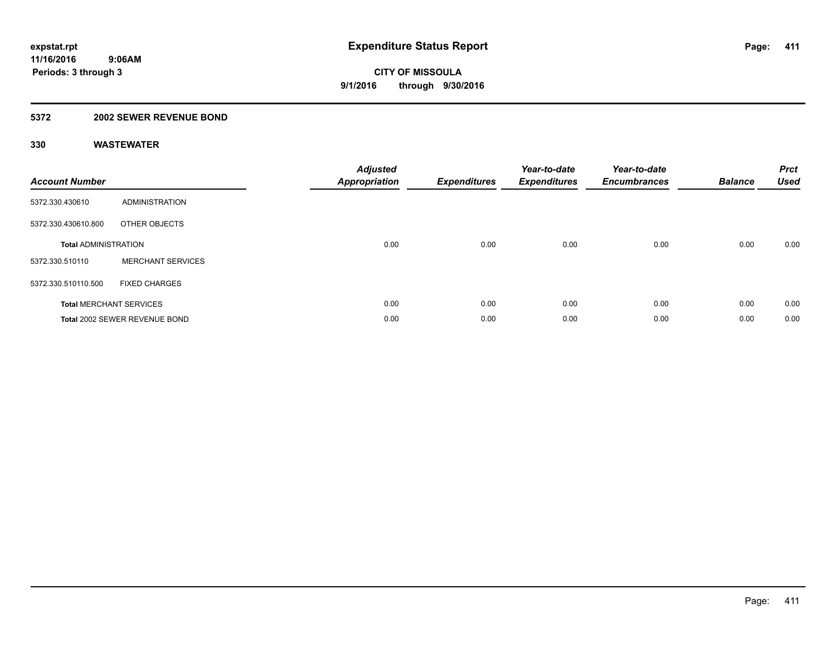### **5372 2002 SEWER REVENUE BOND**

| <b>Account Number</b>       |                                | <b>Adjusted</b><br>Appropriation | <b>Expenditures</b> | Year-to-date<br><b>Expenditures</b> | Year-to-date<br><b>Encumbrances</b> | <b>Balance</b> | <b>Prct</b><br><b>Used</b> |
|-----------------------------|--------------------------------|----------------------------------|---------------------|-------------------------------------|-------------------------------------|----------------|----------------------------|
| 5372.330.430610             | ADMINISTRATION                 |                                  |                     |                                     |                                     |                |                            |
| 5372.330.430610.800         | OTHER OBJECTS                  |                                  |                     |                                     |                                     |                |                            |
| <b>Total ADMINISTRATION</b> |                                | 0.00                             | 0.00                | 0.00                                | 0.00                                | 0.00           | 0.00                       |
| 5372.330.510110             | <b>MERCHANT SERVICES</b>       |                                  |                     |                                     |                                     |                |                            |
| 5372.330.510110.500         | <b>FIXED CHARGES</b>           |                                  |                     |                                     |                                     |                |                            |
|                             | <b>Total MERCHANT SERVICES</b> | 0.00                             | 0.00                | 0.00                                | 0.00                                | 0.00           | 0.00                       |
|                             | Total 2002 SEWER REVENUE BOND  | 0.00                             | 0.00                | 0.00                                | 0.00                                | 0.00           | 0.00                       |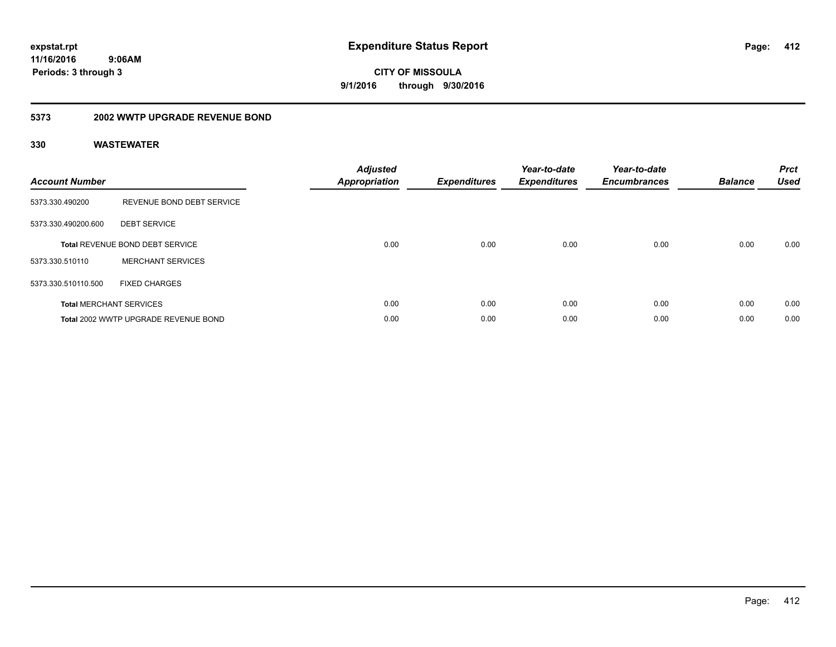# **CITY OF MISSOULA 9/1/2016 through 9/30/2016**

### **5373 2002 WWTP UPGRADE REVENUE BOND**

| <b>Account Number</b> |                                        | <b>Adjusted</b><br>Appropriation | <b>Expenditures</b> | Year-to-date<br><b>Expenditures</b> | Year-to-date<br><b>Encumbrances</b> | <b>Balance</b> | <b>Prct</b><br><b>Used</b> |
|-----------------------|----------------------------------------|----------------------------------|---------------------|-------------------------------------|-------------------------------------|----------------|----------------------------|
| 5373.330.490200       | REVENUE BOND DEBT SERVICE              |                                  |                     |                                     |                                     |                |                            |
| 5373.330.490200.600   | <b>DEBT SERVICE</b>                    |                                  |                     |                                     |                                     |                |                            |
|                       | <b>Total REVENUE BOND DEBT SERVICE</b> | 0.00                             | 0.00                | 0.00                                | 0.00                                | 0.00           | 0.00                       |
| 5373.330.510110       | <b>MERCHANT SERVICES</b>               |                                  |                     |                                     |                                     |                |                            |
| 5373.330.510110.500   | <b>FIXED CHARGES</b>                   |                                  |                     |                                     |                                     |                |                            |
|                       | <b>Total MERCHANT SERVICES</b>         | 0.00                             | 0.00                | 0.00                                | 0.00                                | 0.00           | 0.00                       |
|                       | Total 2002 WWTP UPGRADE REVENUE BOND   | 0.00                             | 0.00                | 0.00                                | 0.00                                | 0.00           | 0.00                       |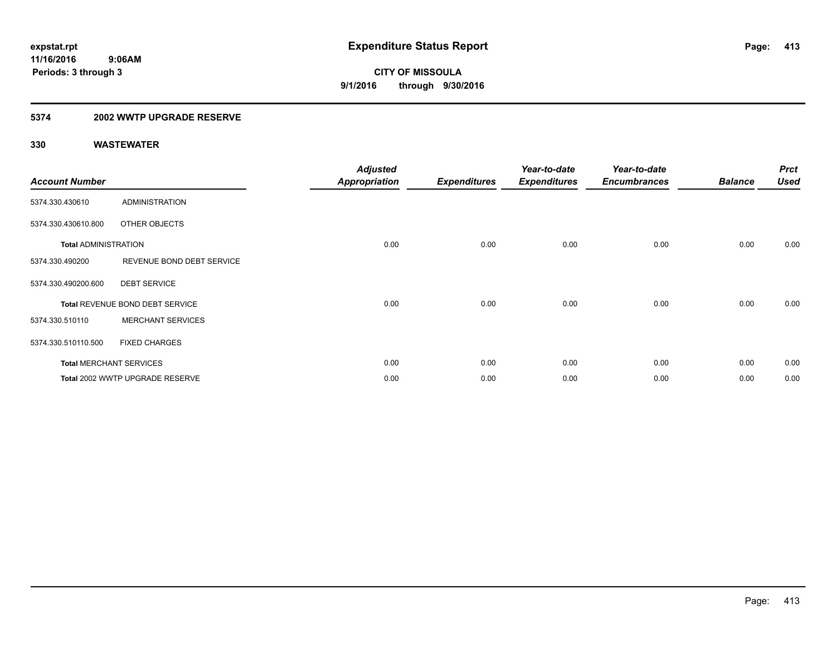### **5374 2002 WWTP UPGRADE RESERVE**

|                             |                                 | <b>Adjusted</b>      |                     | Year-to-date        | Year-to-date        |                | <b>Prct</b> |
|-----------------------------|---------------------------------|----------------------|---------------------|---------------------|---------------------|----------------|-------------|
| <b>Account Number</b>       |                                 | <b>Appropriation</b> | <b>Expenditures</b> | <b>Expenditures</b> | <b>Encumbrances</b> | <b>Balance</b> | <b>Used</b> |
| 5374.330.430610             | <b>ADMINISTRATION</b>           |                      |                     |                     |                     |                |             |
| 5374.330.430610.800         | OTHER OBJECTS                   |                      |                     |                     |                     |                |             |
| <b>Total ADMINISTRATION</b> |                                 | 0.00                 | 0.00                | 0.00                | 0.00                | 0.00           | 0.00        |
| 5374.330.490200             | REVENUE BOND DEBT SERVICE       |                      |                     |                     |                     |                |             |
| 5374.330.490200.600         | <b>DEBT SERVICE</b>             |                      |                     |                     |                     |                |             |
|                             | Total REVENUE BOND DEBT SERVICE | 0.00                 | 0.00                | 0.00                | 0.00                | 0.00           | 0.00        |
| 5374.330.510110             | <b>MERCHANT SERVICES</b>        |                      |                     |                     |                     |                |             |
| 5374.330.510110.500         | <b>FIXED CHARGES</b>            |                      |                     |                     |                     |                |             |
|                             | <b>Total MERCHANT SERVICES</b>  | 0.00                 | 0.00                | 0.00                | 0.00                | 0.00           | 0.00        |
|                             | Total 2002 WWTP UPGRADE RESERVE | 0.00                 | 0.00                | 0.00                | 0.00                | 0.00           | 0.00        |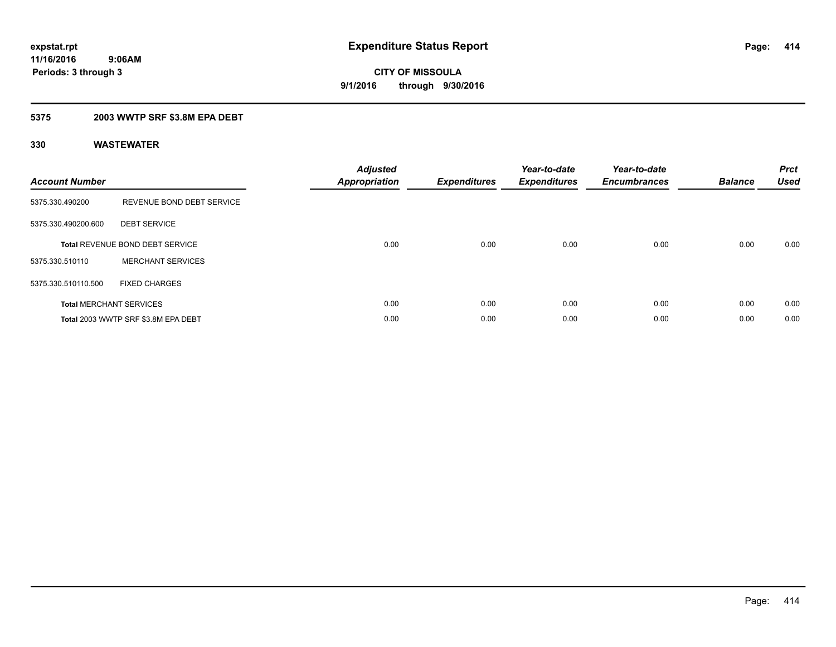### **5375 2003 WWTP SRF \$3.8M EPA DEBT**

| <b>Account Number</b> |                                        | <b>Adjusted</b><br>Appropriation | <b>Expenditures</b> | Year-to-date<br><b>Expenditures</b> | Year-to-date<br><b>Encumbrances</b> | <b>Balance</b> | <b>Prct</b><br><b>Used</b> |
|-----------------------|----------------------------------------|----------------------------------|---------------------|-------------------------------------|-------------------------------------|----------------|----------------------------|
| 5375.330.490200       | REVENUE BOND DEBT SERVICE              |                                  |                     |                                     |                                     |                |                            |
| 5375.330.490200.600   | <b>DEBT SERVICE</b>                    |                                  |                     |                                     |                                     |                |                            |
|                       | <b>Total REVENUE BOND DEBT SERVICE</b> | 0.00                             | 0.00                | 0.00                                | 0.00                                | 0.00           | 0.00                       |
| 5375.330.510110       | <b>MERCHANT SERVICES</b>               |                                  |                     |                                     |                                     |                |                            |
| 5375.330.510110.500   | <b>FIXED CHARGES</b>                   |                                  |                     |                                     |                                     |                |                            |
|                       | <b>Total MERCHANT SERVICES</b>         | 0.00                             | 0.00                | 0.00                                | 0.00                                | 0.00           | 0.00                       |
|                       | Total 2003 WWTP SRF \$3.8M EPA DEBT    | 0.00                             | 0.00                | 0.00                                | 0.00                                | 0.00           | 0.00                       |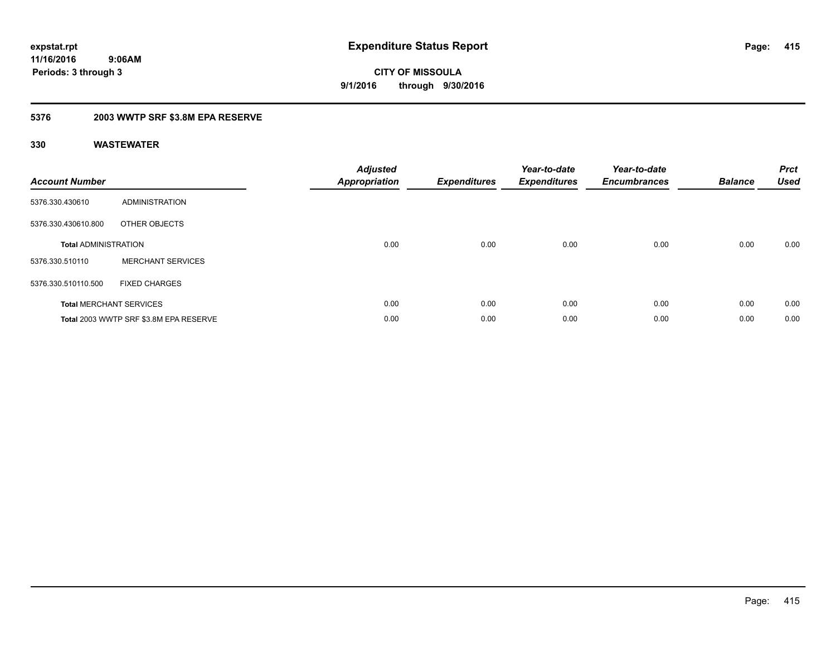### **5376 2003 WWTP SRF \$3.8M EPA RESERVE**

| <b>Account Number</b>       |                                        | <b>Adjusted</b><br><b>Appropriation</b> | <b>Expenditures</b> | Year-to-date<br><b>Expenditures</b> | Year-to-date<br><b>Encumbrances</b> | <b>Balance</b> | <b>Prct</b><br><b>Used</b> |
|-----------------------------|----------------------------------------|-----------------------------------------|---------------------|-------------------------------------|-------------------------------------|----------------|----------------------------|
| 5376.330.430610             | <b>ADMINISTRATION</b>                  |                                         |                     |                                     |                                     |                |                            |
| 5376.330.430610.800         | OTHER OBJECTS                          |                                         |                     |                                     |                                     |                |                            |
| <b>Total ADMINISTRATION</b> |                                        | 0.00                                    | 0.00                | 0.00                                | 0.00                                | 0.00           | 0.00                       |
| 5376.330.510110             | <b>MERCHANT SERVICES</b>               |                                         |                     |                                     |                                     |                |                            |
| 5376.330.510110.500         | <b>FIXED CHARGES</b>                   |                                         |                     |                                     |                                     |                |                            |
|                             | <b>Total MERCHANT SERVICES</b>         | 0.00                                    | 0.00                | 0.00                                | 0.00                                | 0.00           | 0.00                       |
|                             | Total 2003 WWTP SRF \$3.8M EPA RESERVE | 0.00                                    | 0.00                | 0.00                                | 0.00                                | 0.00           | 0.00                       |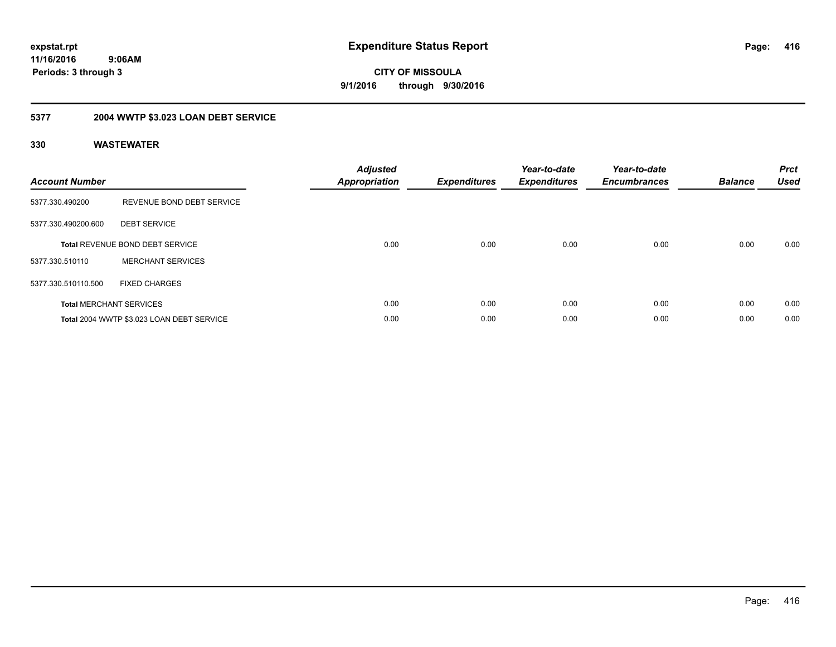**CITY OF MISSOULA 9/1/2016 through 9/30/2016**

## **5377 2004 WWTP \$3.023 LOAN DEBT SERVICE**

| <b>Account Number</b> |                                           | <b>Adjusted</b><br>Appropriation | <b>Expenditures</b> | Year-to-date<br><b>Expenditures</b> | Year-to-date<br><b>Encumbrances</b> | <b>Balance</b> | <b>Prct</b><br><b>Used</b> |
|-----------------------|-------------------------------------------|----------------------------------|---------------------|-------------------------------------|-------------------------------------|----------------|----------------------------|
| 5377.330.490200       | REVENUE BOND DEBT SERVICE                 |                                  |                     |                                     |                                     |                |                            |
| 5377.330.490200.600   | <b>DEBT SERVICE</b>                       |                                  |                     |                                     |                                     |                |                            |
|                       | <b>Total REVENUE BOND DEBT SERVICE</b>    | 0.00                             | 0.00                | 0.00                                | 0.00                                | 0.00           | 0.00                       |
| 5377.330.510110       | <b>MERCHANT SERVICES</b>                  |                                  |                     |                                     |                                     |                |                            |
| 5377.330.510110.500   | <b>FIXED CHARGES</b>                      |                                  |                     |                                     |                                     |                |                            |
|                       | <b>Total MERCHANT SERVICES</b>            | 0.00                             | 0.00                | 0.00                                | 0.00                                | 0.00           | 0.00                       |
|                       | Total 2004 WWTP \$3.023 LOAN DEBT SERVICE | 0.00                             | 0.00                | 0.00                                | 0.00                                | 0.00           | 0.00                       |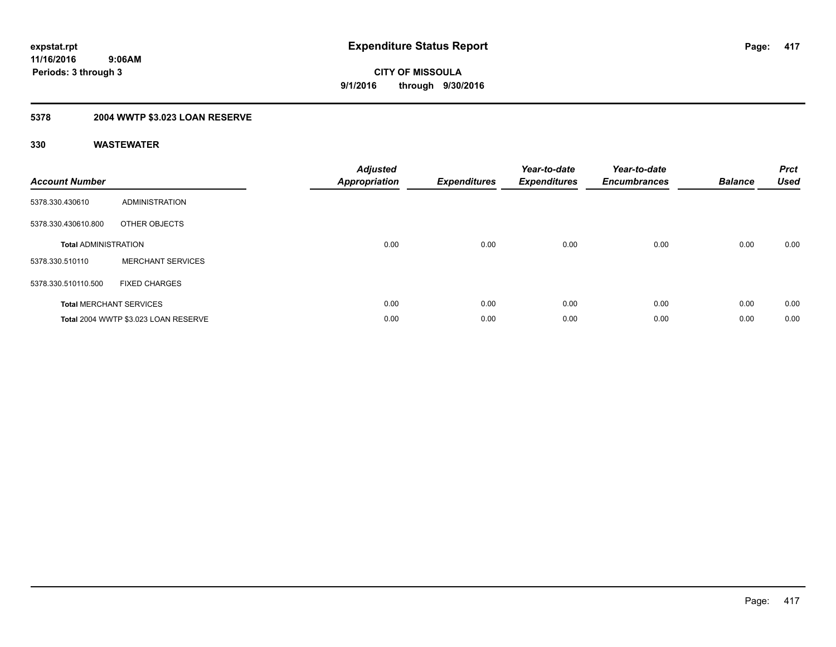## **5378 2004 WWTP \$3.023 LOAN RESERVE**

| <b>Account Number</b>       |                                      | <b>Adjusted</b><br><b>Appropriation</b> | <b>Expenditures</b> | Year-to-date<br><b>Expenditures</b> | Year-to-date<br><b>Encumbrances</b> | <b>Balance</b> | <b>Prct</b><br><b>Used</b> |
|-----------------------------|--------------------------------------|-----------------------------------------|---------------------|-------------------------------------|-------------------------------------|----------------|----------------------------|
| 5378.330.430610             | <b>ADMINISTRATION</b>                |                                         |                     |                                     |                                     |                |                            |
| 5378.330.430610.800         | OTHER OBJECTS                        |                                         |                     |                                     |                                     |                |                            |
| <b>Total ADMINISTRATION</b> |                                      | 0.00                                    | 0.00                | 0.00                                | 0.00                                | 0.00           | 0.00                       |
| 5378.330.510110             | <b>MERCHANT SERVICES</b>             |                                         |                     |                                     |                                     |                |                            |
| 5378.330.510110.500         | <b>FIXED CHARGES</b>                 |                                         |                     |                                     |                                     |                |                            |
|                             | <b>Total MERCHANT SERVICES</b>       | 0.00                                    | 0.00                | 0.00                                | 0.00                                | 0.00           | 0.00                       |
|                             | Total 2004 WWTP \$3.023 LOAN RESERVE | 0.00                                    | 0.00                | 0.00                                | 0.00                                | 0.00           | 0.00                       |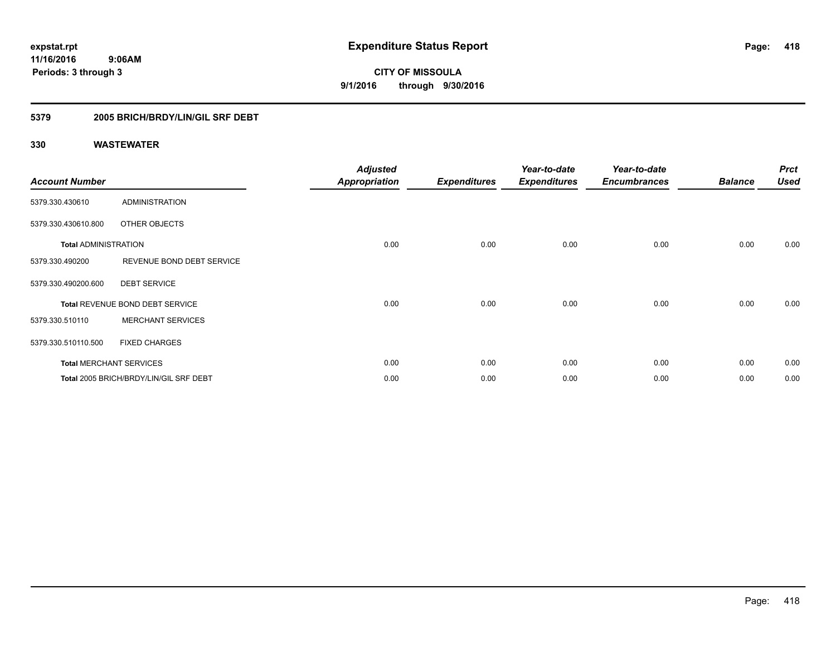### **11/16/2016 9:06AM**

**Periods: 3 through 3**

**CITY OF MISSOULA 9/1/2016 through 9/30/2016**

### **5379 2005 BRICH/BRDY/LIN/GIL SRF DEBT**

| <b>Account Number</b>       |                                        | <b>Adjusted</b><br><b>Appropriation</b> | <b>Expenditures</b> | Year-to-date<br><b>Expenditures</b> | Year-to-date<br><b>Encumbrances</b> | <b>Balance</b> | <b>Prct</b><br><b>Used</b> |
|-----------------------------|----------------------------------------|-----------------------------------------|---------------------|-------------------------------------|-------------------------------------|----------------|----------------------------|
| 5379.330.430610             | <b>ADMINISTRATION</b>                  |                                         |                     |                                     |                                     |                |                            |
| 5379.330.430610.800         | OTHER OBJECTS                          |                                         |                     |                                     |                                     |                |                            |
| <b>Total ADMINISTRATION</b> |                                        | 0.00                                    | 0.00                | 0.00                                | 0.00                                | 0.00           | 0.00                       |
| 5379.330.490200             | REVENUE BOND DEBT SERVICE              |                                         |                     |                                     |                                     |                |                            |
| 5379.330.490200.600         | <b>DEBT SERVICE</b>                    |                                         |                     |                                     |                                     |                |                            |
|                             | Total REVENUE BOND DEBT SERVICE        | 0.00                                    | 0.00                | 0.00                                | 0.00                                | 0.00           | 0.00                       |
| 5379.330.510110             | <b>MERCHANT SERVICES</b>               |                                         |                     |                                     |                                     |                |                            |
| 5379.330.510110.500         | <b>FIXED CHARGES</b>                   |                                         |                     |                                     |                                     |                |                            |
|                             | <b>Total MERCHANT SERVICES</b>         | 0.00                                    | 0.00                | 0.00                                | 0.00                                | 0.00           | 0.00                       |
|                             | Total 2005 BRICH/BRDY/LIN/GIL SRF DEBT | 0.00                                    | 0.00                | 0.00                                | 0.00                                | 0.00           | 0.00                       |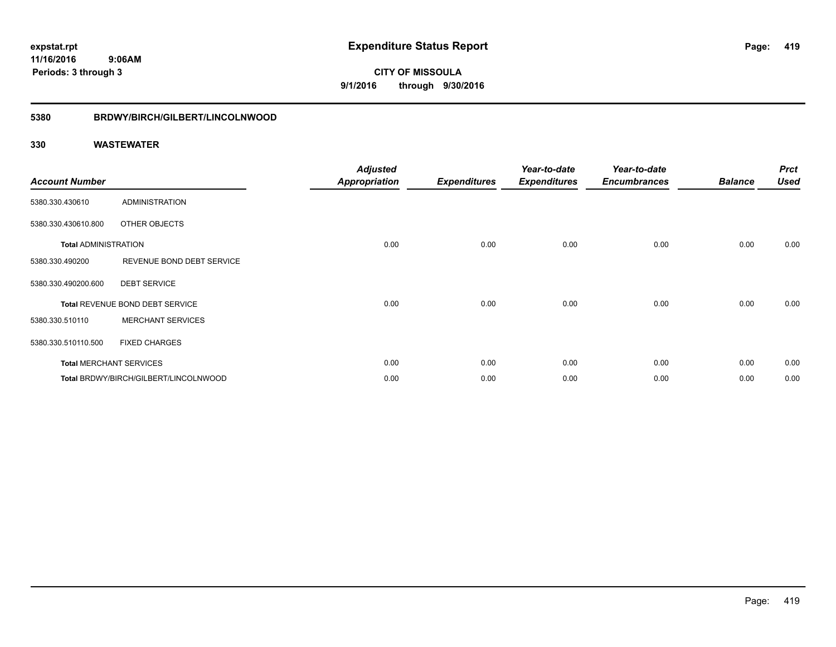**419**

**11/16/2016 9:06AM Periods: 3 through 3**

**CITY OF MISSOULA 9/1/2016 through 9/30/2016**

### **5380 BRDWY/BIRCH/GILBERT/LINCOLNWOOD**

| <b>Account Number</b>       |                                       | <b>Adjusted</b><br><b>Appropriation</b> | <b>Expenditures</b> | Year-to-date<br><b>Expenditures</b> | Year-to-date<br><b>Encumbrances</b> | <b>Balance</b> | <b>Prct</b><br><b>Used</b> |
|-----------------------------|---------------------------------------|-----------------------------------------|---------------------|-------------------------------------|-------------------------------------|----------------|----------------------------|
| 5380.330.430610             | <b>ADMINISTRATION</b>                 |                                         |                     |                                     |                                     |                |                            |
| 5380.330.430610.800         | OTHER OBJECTS                         |                                         |                     |                                     |                                     |                |                            |
| <b>Total ADMINISTRATION</b> |                                       | 0.00                                    | 0.00                | 0.00                                | 0.00                                | 0.00           | 0.00                       |
| 5380.330.490200             | REVENUE BOND DEBT SERVICE             |                                         |                     |                                     |                                     |                |                            |
| 5380.330.490200.600         | <b>DEBT SERVICE</b>                   |                                         |                     |                                     |                                     |                |                            |
|                             | Total REVENUE BOND DEBT SERVICE       | 0.00                                    | 0.00                | 0.00                                | 0.00                                | 0.00           | 0.00                       |
| 5380.330.510110             | <b>MERCHANT SERVICES</b>              |                                         |                     |                                     |                                     |                |                            |
| 5380.330.510110.500         | <b>FIXED CHARGES</b>                  |                                         |                     |                                     |                                     |                |                            |
|                             | <b>Total MERCHANT SERVICES</b>        | 0.00                                    | 0.00                | 0.00                                | 0.00                                | 0.00           | 0.00                       |
|                             | Total BRDWY/BIRCH/GILBERT/LINCOLNWOOD | 0.00                                    | 0.00                | 0.00                                | 0.00                                | 0.00           | 0.00                       |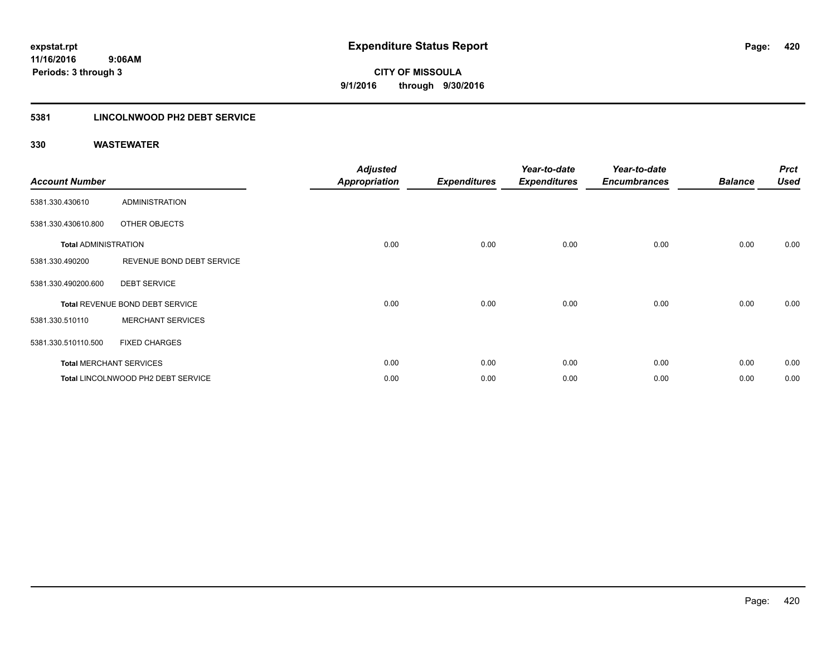### **5381 LINCOLNWOOD PH2 DEBT SERVICE**

| <b>Account Number</b>       |                                    | <b>Adjusted</b><br><b>Appropriation</b> | <b>Expenditures</b> | Year-to-date<br><b>Expenditures</b> | Year-to-date<br><b>Encumbrances</b> | <b>Balance</b> | <b>Prct</b><br><b>Used</b> |
|-----------------------------|------------------------------------|-----------------------------------------|---------------------|-------------------------------------|-------------------------------------|----------------|----------------------------|
| 5381.330.430610             | <b>ADMINISTRATION</b>              |                                         |                     |                                     |                                     |                |                            |
| 5381.330.430610.800         | OTHER OBJECTS                      |                                         |                     |                                     |                                     |                |                            |
| <b>Total ADMINISTRATION</b> |                                    | 0.00                                    | 0.00                | 0.00                                | 0.00                                | 0.00           | 0.00                       |
| 5381.330.490200             | REVENUE BOND DEBT SERVICE          |                                         |                     |                                     |                                     |                |                            |
| 5381.330.490200.600         | <b>DEBT SERVICE</b>                |                                         |                     |                                     |                                     |                |                            |
|                             | Total REVENUE BOND DEBT SERVICE    | 0.00                                    | 0.00                | 0.00                                | 0.00                                | 0.00           | 0.00                       |
| 5381.330.510110             | <b>MERCHANT SERVICES</b>           |                                         |                     |                                     |                                     |                |                            |
| 5381.330.510110.500         | <b>FIXED CHARGES</b>               |                                         |                     |                                     |                                     |                |                            |
|                             | <b>Total MERCHANT SERVICES</b>     | 0.00                                    | 0.00                | 0.00                                | 0.00                                | 0.00           | 0.00                       |
|                             | Total LINCOLNWOOD PH2 DEBT SERVICE | 0.00                                    | 0.00                | 0.00                                | 0.00                                | 0.00           | 0.00                       |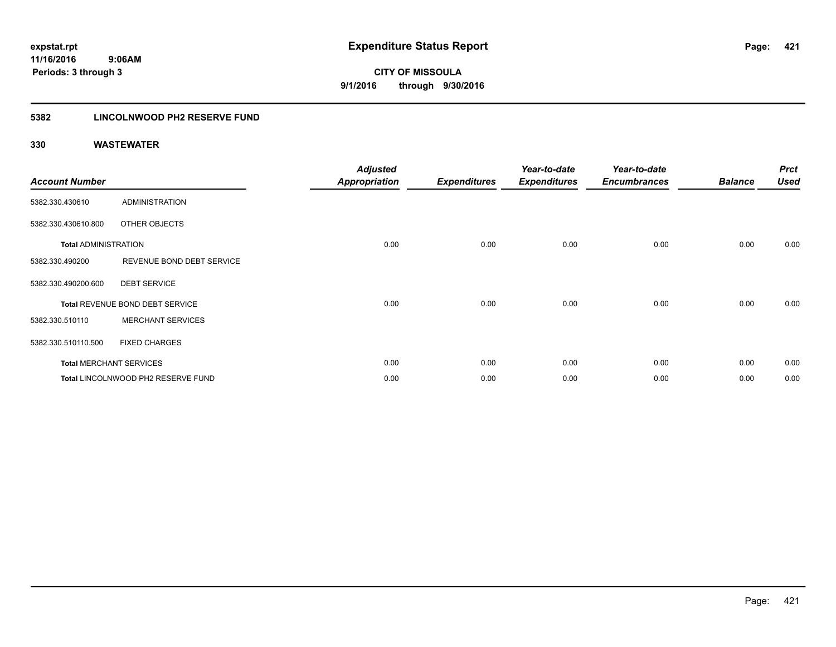**CITY OF MISSOULA 9/1/2016 through 9/30/2016**

### **5382 LINCOLNWOOD PH2 RESERVE FUND**

| <b>Account Number</b>       |                                    | <b>Adjusted</b><br><b>Appropriation</b> | <b>Expenditures</b> | Year-to-date<br><b>Expenditures</b> | Year-to-date<br><b>Encumbrances</b> | <b>Balance</b> | <b>Prct</b><br><b>Used</b> |
|-----------------------------|------------------------------------|-----------------------------------------|---------------------|-------------------------------------|-------------------------------------|----------------|----------------------------|
| 5382.330.430610             | <b>ADMINISTRATION</b>              |                                         |                     |                                     |                                     |                |                            |
| 5382.330.430610.800         | OTHER OBJECTS                      |                                         |                     |                                     |                                     |                |                            |
| <b>Total ADMINISTRATION</b> |                                    | 0.00                                    | 0.00                | 0.00                                | 0.00                                | 0.00           | 0.00                       |
| 5382.330.490200             | REVENUE BOND DEBT SERVICE          |                                         |                     |                                     |                                     |                |                            |
| 5382.330.490200.600         | <b>DEBT SERVICE</b>                |                                         |                     |                                     |                                     |                |                            |
|                             | Total REVENUE BOND DEBT SERVICE    | 0.00                                    | 0.00                | 0.00                                | 0.00                                | 0.00           | 0.00                       |
| 5382.330.510110             | <b>MERCHANT SERVICES</b>           |                                         |                     |                                     |                                     |                |                            |
| 5382.330.510110.500         | <b>FIXED CHARGES</b>               |                                         |                     |                                     |                                     |                |                            |
|                             | <b>Total MERCHANT SERVICES</b>     | 0.00                                    | 0.00                | 0.00                                | 0.00                                | 0.00           | 0.00                       |
|                             | Total LINCOLNWOOD PH2 RESERVE FUND | 0.00                                    | 0.00                | 0.00                                | 0.00                                | 0.00           | 0.00                       |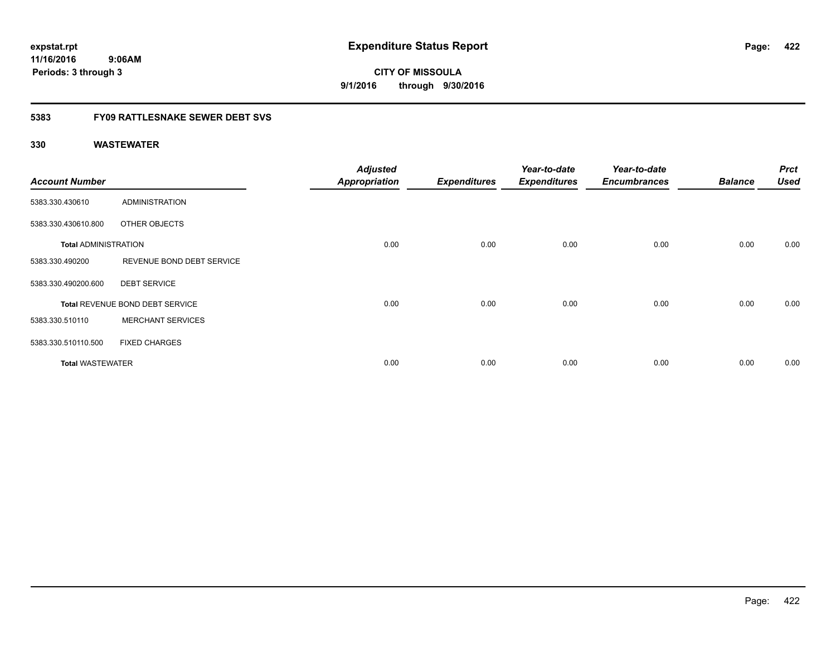**CITY OF MISSOULA 9/1/2016 through 9/30/2016**

### **5383 FY09 RATTLESNAKE SEWER DEBT SVS**

| <b>Account Number</b>       |                                 | <b>Adjusted</b><br><b>Appropriation</b> | <b>Expenditures</b> | Year-to-date<br><b>Expenditures</b> | Year-to-date<br><b>Encumbrances</b> | <b>Balance</b> | <b>Prct</b><br><b>Used</b> |
|-----------------------------|---------------------------------|-----------------------------------------|---------------------|-------------------------------------|-------------------------------------|----------------|----------------------------|
| 5383.330.430610             | <b>ADMINISTRATION</b>           |                                         |                     |                                     |                                     |                |                            |
| 5383.330.430610.800         | OTHER OBJECTS                   |                                         |                     |                                     |                                     |                |                            |
| <b>Total ADMINISTRATION</b> |                                 | 0.00                                    | 0.00                | 0.00                                | 0.00                                | 0.00           | 0.00                       |
| 5383.330.490200             | REVENUE BOND DEBT SERVICE       |                                         |                     |                                     |                                     |                |                            |
| 5383.330.490200.600         | <b>DEBT SERVICE</b>             |                                         |                     |                                     |                                     |                |                            |
|                             | Total REVENUE BOND DEBT SERVICE | 0.00                                    | 0.00                | 0.00                                | 0.00                                | 0.00           | 0.00                       |
| 5383.330.510110             | <b>MERCHANT SERVICES</b>        |                                         |                     |                                     |                                     |                |                            |
| 5383.330.510110.500         | <b>FIXED CHARGES</b>            |                                         |                     |                                     |                                     |                |                            |
| <b>Total WASTEWATER</b>     |                                 | 0.00                                    | 0.00                | 0.00                                | 0.00                                | 0.00           | 0.00                       |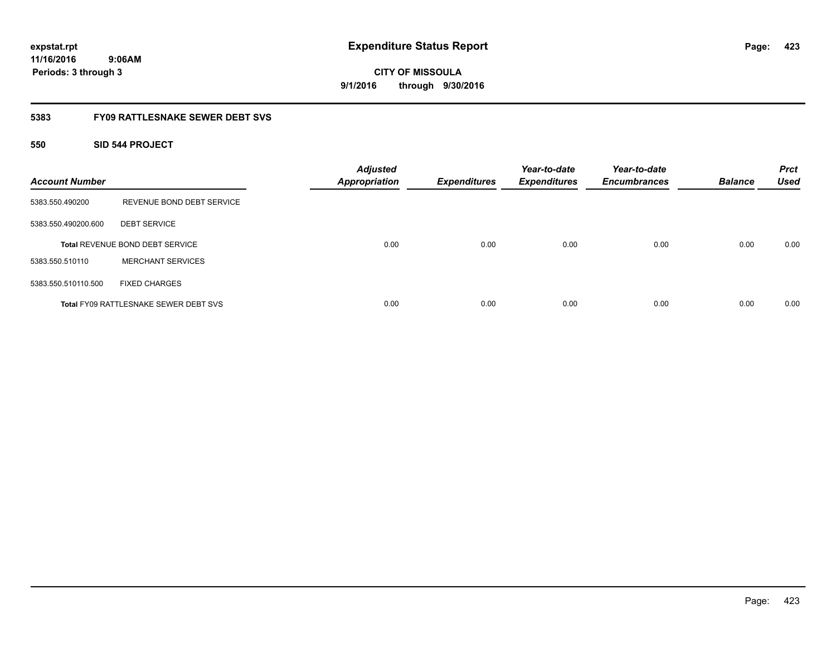# **CITY OF MISSOULA 9/1/2016 through 9/30/2016**

### **5383 FY09 RATTLESNAKE SEWER DEBT SVS**

### **550 SID 544 PROJECT**

| <b>Account Number</b> |                                              | <b>Adjusted</b><br>Appropriation | <b>Expenditures</b> | Year-to-date<br><b>Expenditures</b> | Year-to-date<br><b>Encumbrances</b> | <b>Balance</b> | <b>Prct</b><br><b>Used</b> |
|-----------------------|----------------------------------------------|----------------------------------|---------------------|-------------------------------------|-------------------------------------|----------------|----------------------------|
| 5383.550.490200       | REVENUE BOND DEBT SERVICE                    |                                  |                     |                                     |                                     |                |                            |
| 5383.550.490200.600   | <b>DEBT SERVICE</b>                          |                                  |                     |                                     |                                     |                |                            |
|                       | Total REVENUE BOND DEBT SERVICE              | 0.00                             | 0.00                | 0.00                                | 0.00                                | 0.00           | 0.00                       |
| 5383.550.510110       | <b>MERCHANT SERVICES</b>                     |                                  |                     |                                     |                                     |                |                            |
| 5383.550.510110.500   | <b>FIXED CHARGES</b>                         |                                  |                     |                                     |                                     |                |                            |
|                       | <b>Total FY09 RATTLESNAKE SEWER DEBT SVS</b> | 0.00                             | 0.00                | 0.00                                | 0.00                                | 0.00           | 0.00                       |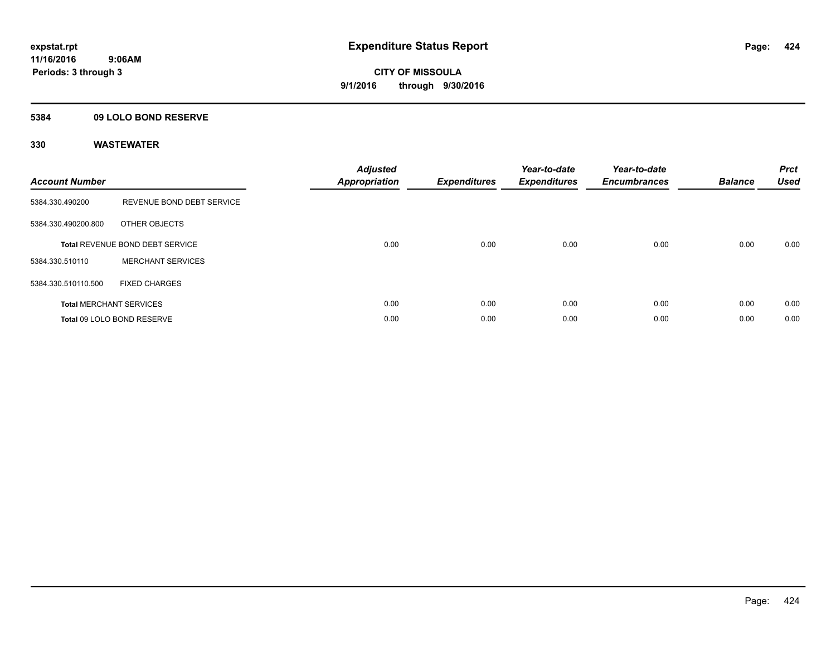### **5384 09 LOLO BOND RESERVE**

| <b>Account Number</b> |                                 | <b>Adjusted</b><br>Appropriation | <b>Expenditures</b> | Year-to-date<br><b>Expenditures</b> | Year-to-date<br><b>Encumbrances</b> | <b>Balance</b> | <b>Prct</b><br><b>Used</b> |
|-----------------------|---------------------------------|----------------------------------|---------------------|-------------------------------------|-------------------------------------|----------------|----------------------------|
| 5384.330.490200       | REVENUE BOND DEBT SERVICE       |                                  |                     |                                     |                                     |                |                            |
| 5384.330.490200.800   | OTHER OBJECTS                   |                                  |                     |                                     |                                     |                |                            |
|                       | Total REVENUE BOND DEBT SERVICE | 0.00                             | 0.00                | 0.00                                | 0.00                                | 0.00           | 0.00                       |
| 5384.330.510110       | <b>MERCHANT SERVICES</b>        |                                  |                     |                                     |                                     |                |                            |
| 5384.330.510110.500   | <b>FIXED CHARGES</b>            |                                  |                     |                                     |                                     |                |                            |
|                       | <b>Total MERCHANT SERVICES</b>  | 0.00                             | 0.00                | 0.00                                | 0.00                                | 0.00           | 0.00                       |
|                       | Total 09 LOLO BOND RESERVE      | 0.00                             | 0.00                | 0.00                                | 0.00                                | 0.00           | 0.00                       |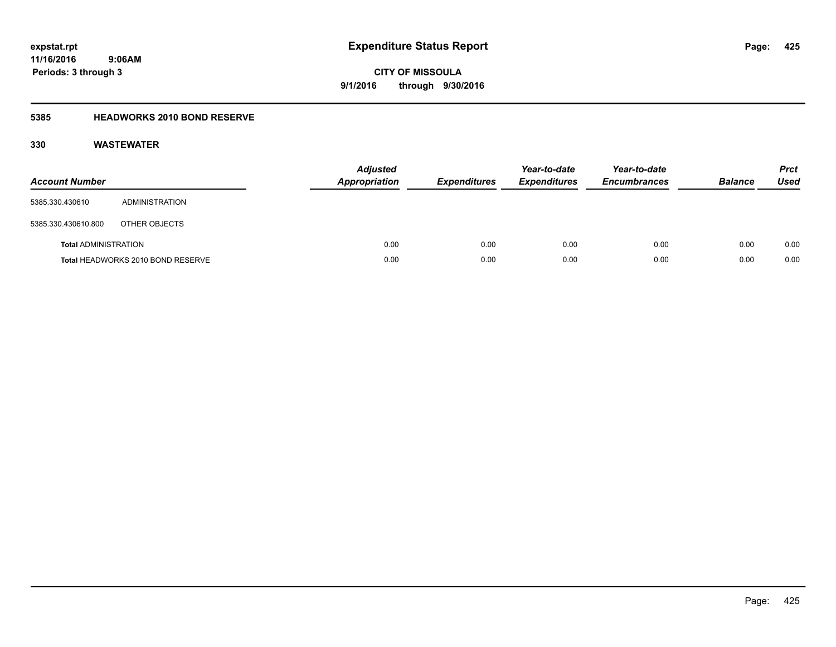**CITY OF MISSOULA 9/1/2016 through 9/30/2016**

### **5385 HEADWORKS 2010 BOND RESERVE**

| <b>Account Number</b>       |                                   | <b>Adjusted</b><br><b>Appropriation</b> | <b>Expenditures</b> | Year-to-date<br><b>Expenditures</b> | Year-to-date<br><b>Encumbrances</b> | <b>Balance</b> | <b>Prct</b><br>Used |
|-----------------------------|-----------------------------------|-----------------------------------------|---------------------|-------------------------------------|-------------------------------------|----------------|---------------------|
| 5385.330.430610             | ADMINISTRATION                    |                                         |                     |                                     |                                     |                |                     |
| 5385.330.430610.800         | OTHER OBJECTS                     |                                         |                     |                                     |                                     |                |                     |
| <b>Total ADMINISTRATION</b> |                                   | 0.00                                    | 0.00                | 0.00                                | 0.00                                | 0.00           | 0.00                |
|                             | Total HEADWORKS 2010 BOND RESERVE | 0.00                                    | 0.00                | 0.00                                | 0.00                                | 0.00           | 0.00                |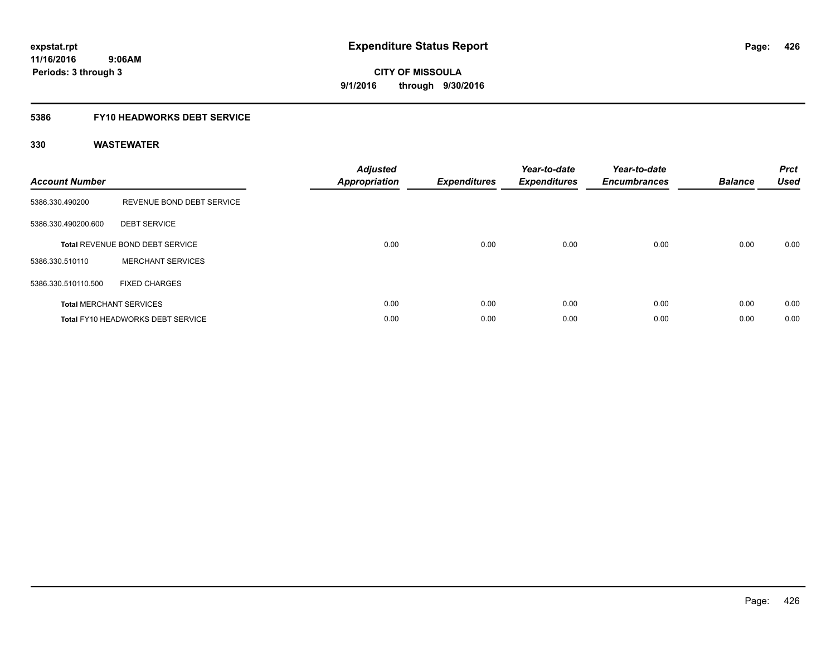### **5386 FY10 HEADWORKS DEBT SERVICE**

| <b>Account Number</b> |                                        | <b>Adjusted</b><br>Appropriation | <b>Expenditures</b> | Year-to-date<br><b>Expenditures</b> | Year-to-date<br><b>Encumbrances</b> | <b>Balance</b> | <b>Prct</b><br><b>Used</b> |
|-----------------------|----------------------------------------|----------------------------------|---------------------|-------------------------------------|-------------------------------------|----------------|----------------------------|
| 5386.330.490200       | REVENUE BOND DEBT SERVICE              |                                  |                     |                                     |                                     |                |                            |
| 5386.330.490200.600   | <b>DEBT SERVICE</b>                    |                                  |                     |                                     |                                     |                |                            |
|                       | <b>Total REVENUE BOND DEBT SERVICE</b> | 0.00                             | 0.00                | 0.00                                | 0.00                                | 0.00           | 0.00                       |
| 5386.330.510110       | <b>MERCHANT SERVICES</b>               |                                  |                     |                                     |                                     |                |                            |
| 5386.330.510110.500   | <b>FIXED CHARGES</b>                   |                                  |                     |                                     |                                     |                |                            |
|                       | <b>Total MERCHANT SERVICES</b>         | 0.00                             | 0.00                | 0.00                                | 0.00                                | 0.00           | 0.00                       |
|                       | Total FY10 HEADWORKS DEBT SERVICE      | 0.00                             | 0.00                | 0.00                                | 0.00                                | 0.00           | 0.00                       |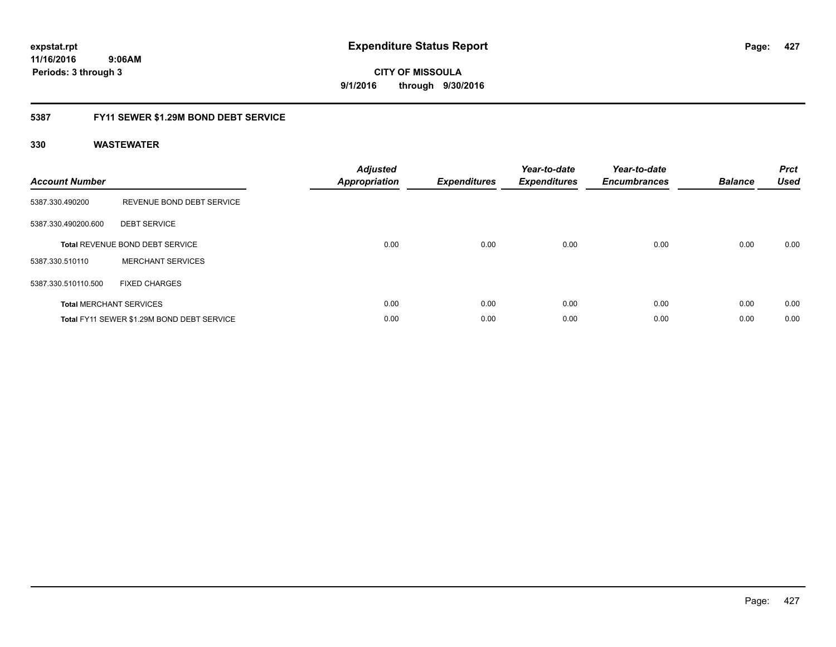**expstat.rpt Expenditure Status Report** 

**11/16/2016 9:06AM Periods: 3 through 3**

**CITY OF MISSOULA 9/1/2016 through 9/30/2016**

### **5387 FY11 SEWER \$1.29M BOND DEBT SERVICE**

| <b>Account Number</b> |                                            | <b>Adjusted</b><br><b>Appropriation</b> | <b>Expenditures</b> | Year-to-date<br><b>Expenditures</b> | Year-to-date<br><b>Encumbrances</b> | <b>Balance</b> | <b>Prct</b><br><b>Used</b> |
|-----------------------|--------------------------------------------|-----------------------------------------|---------------------|-------------------------------------|-------------------------------------|----------------|----------------------------|
| 5387.330.490200       | REVENUE BOND DEBT SERVICE                  |                                         |                     |                                     |                                     |                |                            |
| 5387.330.490200.600   | <b>DEBT SERVICE</b>                        |                                         |                     |                                     |                                     |                |                            |
|                       | Total REVENUE BOND DEBT SERVICE            | 0.00                                    | 0.00                | 0.00                                | 0.00                                | 0.00           | 0.00                       |
| 5387.330.510110       | <b>MERCHANT SERVICES</b>                   |                                         |                     |                                     |                                     |                |                            |
| 5387.330.510110.500   | <b>FIXED CHARGES</b>                       |                                         |                     |                                     |                                     |                |                            |
|                       | <b>Total MERCHANT SERVICES</b>             | 0.00                                    | 0.00                | 0.00                                | 0.00                                | 0.00           | 0.00                       |
|                       | Total FY11 SEWER \$1.29M BOND DEBT SERVICE | 0.00                                    | 0.00                | 0.00                                | 0.00                                | 0.00           | 0.00                       |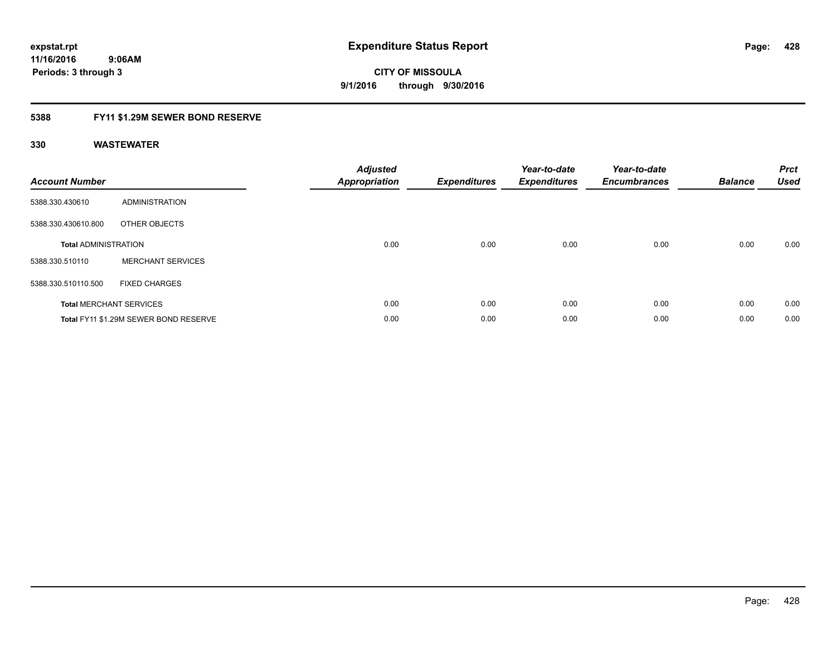### **5388 FY11 \$1.29M SEWER BOND RESERVE**

| <b>Account Number</b>       |                                       | <b>Adjusted</b><br>Appropriation | Expenditures | Year-to-date<br><b>Expenditures</b> | Year-to-date<br><b>Encumbrances</b> | <b>Balance</b> | <b>Prct</b><br><b>Used</b> |
|-----------------------------|---------------------------------------|----------------------------------|--------------|-------------------------------------|-------------------------------------|----------------|----------------------------|
| 5388.330.430610             | ADMINISTRATION                        |                                  |              |                                     |                                     |                |                            |
| 5388.330.430610.800         | OTHER OBJECTS                         |                                  |              |                                     |                                     |                |                            |
| <b>Total ADMINISTRATION</b> |                                       | 0.00                             | 0.00         | 0.00                                | 0.00                                | 0.00           | 0.00                       |
| 5388.330.510110             | <b>MERCHANT SERVICES</b>              |                                  |              |                                     |                                     |                |                            |
| 5388.330.510110.500         | <b>FIXED CHARGES</b>                  |                                  |              |                                     |                                     |                |                            |
|                             | <b>Total MERCHANT SERVICES</b>        | 0.00                             | 0.00         | 0.00                                | 0.00                                | 0.00           | 0.00                       |
|                             | Total FY11 \$1.29M SEWER BOND RESERVE | 0.00                             | 0.00         | 0.00                                | 0.00                                | 0.00           | 0.00                       |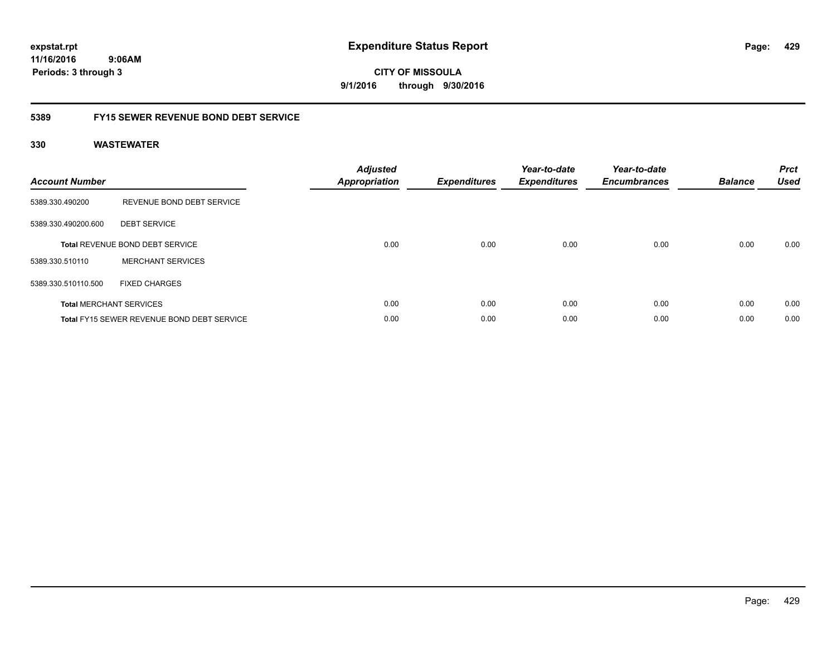**CITY OF MISSOULA 9/1/2016 through 9/30/2016**

### **5389 FY15 SEWER REVENUE BOND DEBT SERVICE**

| <b>Account Number</b> |                                                   | <b>Adjusted</b><br>Appropriation | <b>Expenditures</b> | Year-to-date<br><b>Expenditures</b> | Year-to-date<br><b>Encumbrances</b> | <b>Balance</b> | <b>Prct</b><br><b>Used</b> |
|-----------------------|---------------------------------------------------|----------------------------------|---------------------|-------------------------------------|-------------------------------------|----------------|----------------------------|
| 5389.330.490200       | REVENUE BOND DEBT SERVICE                         |                                  |                     |                                     |                                     |                |                            |
| 5389.330.490200.600   | <b>DEBT SERVICE</b>                               |                                  |                     |                                     |                                     |                |                            |
|                       | <b>Total REVENUE BOND DEBT SERVICE</b>            | 0.00                             | 0.00                | 0.00                                | 0.00                                | 0.00           | 0.00                       |
| 5389.330.510110       | <b>MERCHANT SERVICES</b>                          |                                  |                     |                                     |                                     |                |                            |
| 5389.330.510110.500   | <b>FIXED CHARGES</b>                              |                                  |                     |                                     |                                     |                |                            |
|                       | <b>Total MERCHANT SERVICES</b>                    | 0.00                             | 0.00                | 0.00                                | 0.00                                | 0.00           | 0.00                       |
|                       | <b>Total FY15 SEWER REVENUE BOND DEBT SERVICE</b> | 0.00                             | 0.00                | 0.00                                | 0.00                                | 0.00           | 0.00                       |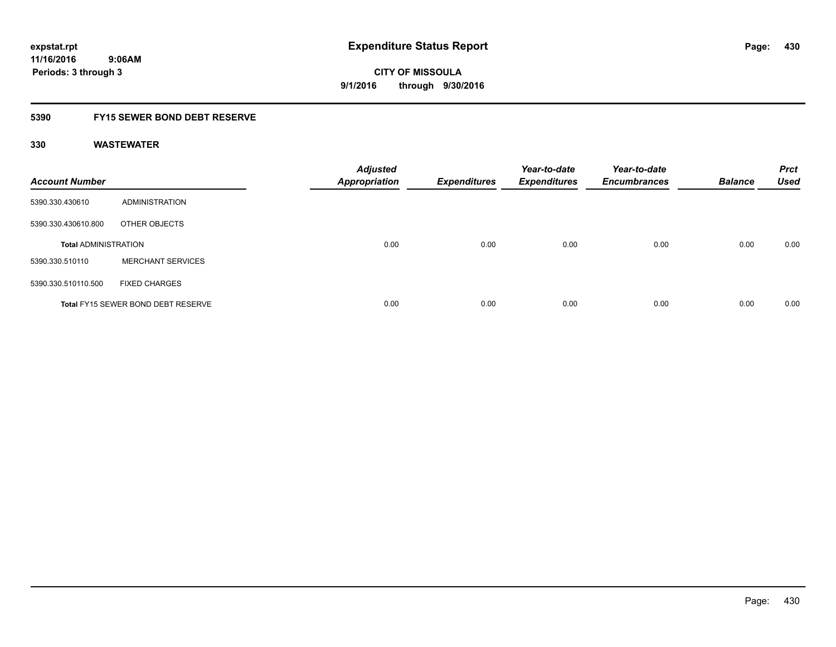### **5390 FY15 SEWER BOND DEBT RESERVE**

| <b>Account Number</b>       |                                           | <b>Adjusted</b><br><b>Appropriation</b> | <b>Expenditures</b> | Year-to-date<br><b>Expenditures</b> | Year-to-date<br><b>Encumbrances</b> | <b>Balance</b> | <b>Prct</b><br><b>Used</b> |
|-----------------------------|-------------------------------------------|-----------------------------------------|---------------------|-------------------------------------|-------------------------------------|----------------|----------------------------|
| 5390.330.430610             | ADMINISTRATION                            |                                         |                     |                                     |                                     |                |                            |
| 5390.330.430610.800         | OTHER OBJECTS                             |                                         |                     |                                     |                                     |                |                            |
| <b>Total ADMINISTRATION</b> |                                           | 0.00                                    | 0.00                | 0.00                                | 0.00                                | 0.00           | 0.00                       |
| 5390.330.510110             | <b>MERCHANT SERVICES</b>                  |                                         |                     |                                     |                                     |                |                            |
| 5390.330.510110.500         | <b>FIXED CHARGES</b>                      |                                         |                     |                                     |                                     |                |                            |
|                             | <b>Total FY15 SEWER BOND DEBT RESERVE</b> | 0.00                                    | 0.00                | 0.00                                | 0.00                                | 0.00           | 0.00                       |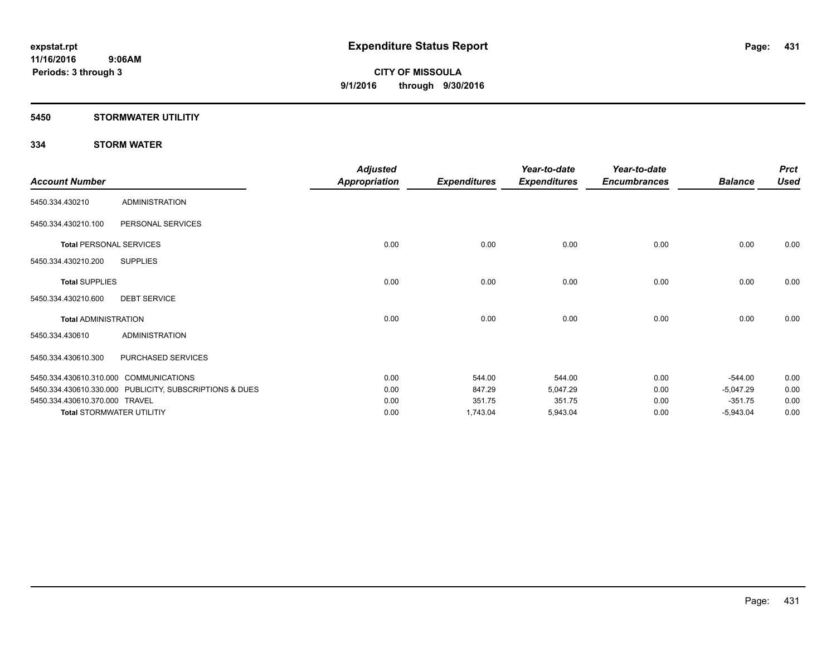### **5450 STORMWATER UTILITIY**

### **334 STORM WATER**

|                                |                                                         | <b>Adjusted</b>      |                     | Year-to-date        | Year-to-date        |                | <b>Prct</b> |
|--------------------------------|---------------------------------------------------------|----------------------|---------------------|---------------------|---------------------|----------------|-------------|
| <b>Account Number</b>          |                                                         | <b>Appropriation</b> | <b>Expenditures</b> | <b>Expenditures</b> | <b>Encumbrances</b> | <b>Balance</b> | <b>Used</b> |
| 5450.334.430210                | <b>ADMINISTRATION</b>                                   |                      |                     |                     |                     |                |             |
| 5450.334.430210.100            | PERSONAL SERVICES                                       |                      |                     |                     |                     |                |             |
|                                | <b>Total PERSONAL SERVICES</b>                          | 0.00                 | 0.00                | 0.00                | 0.00                | 0.00           | 0.00        |
| 5450.334.430210.200            | <b>SUPPLIES</b>                                         |                      |                     |                     |                     |                |             |
| <b>Total SUPPLIES</b>          |                                                         | 0.00                 | 0.00                | 0.00                | 0.00                | 0.00           | 0.00        |
| 5450.334.430210.600            | <b>DEBT SERVICE</b>                                     |                      |                     |                     |                     |                |             |
| <b>Total ADMINISTRATION</b>    |                                                         | 0.00                 | 0.00                | 0.00                | 0.00                | 0.00           | 0.00        |
| 5450.334.430610                | <b>ADMINISTRATION</b>                                   |                      |                     |                     |                     |                |             |
| 5450.334.430610.300            | PURCHASED SERVICES                                      |                      |                     |                     |                     |                |             |
|                                | 5450.334.430610.310.000 COMMUNICATIONS                  | 0.00                 | 544.00              | 544.00              | 0.00                | $-544.00$      | 0.00        |
|                                | 5450.334.430610.330.000 PUBLICITY, SUBSCRIPTIONS & DUES | 0.00                 | 847.29              | 5,047.29            | 0.00                | $-5,047.29$    | 0.00        |
| 5450.334.430610.370.000 TRAVEL |                                                         | 0.00                 | 351.75              | 351.75              | 0.00                | $-351.75$      | 0.00        |
|                                | <b>Total STORMWATER UTILITIY</b>                        | 0.00                 | 1,743.04            | 5,943.04            | 0.00                | $-5,943.04$    | 0.00        |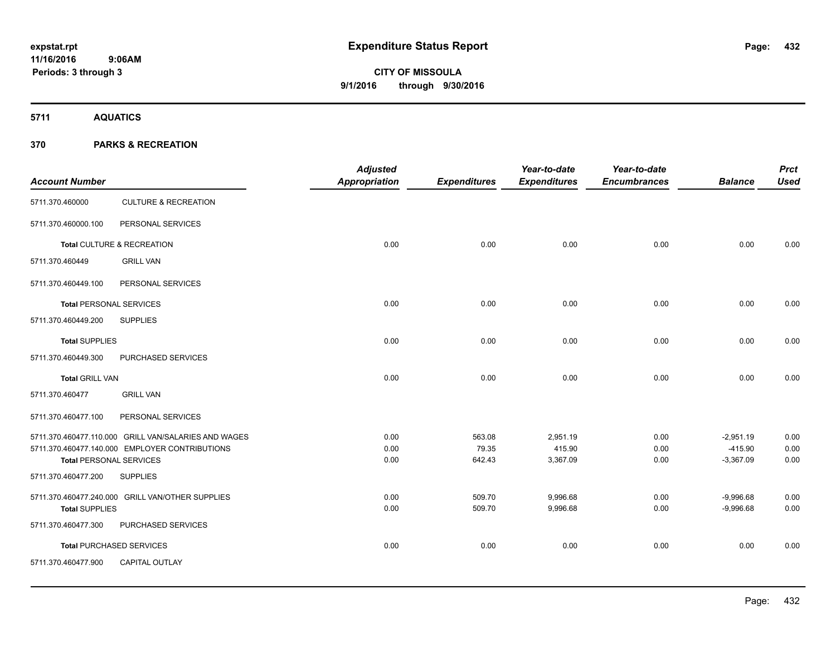**5711 AQUATICS**

### **370 PARKS & RECREATION**

| <b>Account Number</b>          |                                                      | <b>Adjusted</b><br><b>Appropriation</b> | <b>Expenditures</b> | Year-to-date<br><b>Expenditures</b> | Year-to-date<br><b>Encumbrances</b> | <b>Balance</b>           | <b>Prct</b><br><b>Used</b> |
|--------------------------------|------------------------------------------------------|-----------------------------------------|---------------------|-------------------------------------|-------------------------------------|--------------------------|----------------------------|
| 5711.370.460000                | <b>CULTURE &amp; RECREATION</b>                      |                                         |                     |                                     |                                     |                          |                            |
| 5711.370.460000.100            | PERSONAL SERVICES                                    |                                         |                     |                                     |                                     |                          |                            |
|                                | Total CULTURE & RECREATION                           | 0.00                                    | 0.00                | 0.00                                | 0.00                                | 0.00                     | 0.00                       |
| 5711.370.460449                | <b>GRILL VAN</b>                                     |                                         |                     |                                     |                                     |                          |                            |
| 5711.370.460449.100            | PERSONAL SERVICES                                    |                                         |                     |                                     |                                     |                          |                            |
| <b>Total PERSONAL SERVICES</b> |                                                      | 0.00                                    | 0.00                | 0.00                                | 0.00                                | 0.00                     | 0.00                       |
| 5711.370.460449.200            | <b>SUPPLIES</b>                                      |                                         |                     |                                     |                                     |                          |                            |
| <b>Total SUPPLIES</b>          |                                                      | 0.00                                    | 0.00                | 0.00                                | 0.00                                | 0.00                     | 0.00                       |
| 5711.370.460449.300            | PURCHASED SERVICES                                   |                                         |                     |                                     |                                     |                          |                            |
| <b>Total GRILL VAN</b>         |                                                      | 0.00                                    | 0.00                | 0.00                                | 0.00                                | 0.00                     | 0.00                       |
| 5711.370.460477                | <b>GRILL VAN</b>                                     |                                         |                     |                                     |                                     |                          |                            |
| 5711.370.460477.100            | PERSONAL SERVICES                                    |                                         |                     |                                     |                                     |                          |                            |
|                                | 5711.370.460477.110.000 GRILL VAN/SALARIES AND WAGES | 0.00                                    | 563.08              | 2,951.19                            | 0.00                                | $-2,951.19$              | 0.00                       |
| <b>Total PERSONAL SERVICES</b> | 5711.370.460477.140.000 EMPLOYER CONTRIBUTIONS       | 0.00<br>0.00                            | 79.35<br>642.43     | 415.90<br>3,367.09                  | 0.00<br>0.00                        | $-415.90$<br>$-3,367.09$ | 0.00<br>0.00               |
| 5711.370.460477.200            | <b>SUPPLIES</b>                                      |                                         |                     |                                     |                                     |                          |                            |
|                                | 5711.370.460477.240.000 GRILL VAN/OTHER SUPPLIES     | 0.00                                    | 509.70              | 9,996.68                            | 0.00                                | $-9,996.68$              | 0.00                       |
| <b>Total SUPPLIES</b>          |                                                      | 0.00                                    | 509.70              | 9,996.68                            | 0.00                                | $-9,996.68$              | 0.00                       |
| 5711.370.460477.300            | PURCHASED SERVICES                                   |                                         |                     |                                     |                                     |                          |                            |
|                                | <b>Total PURCHASED SERVICES</b>                      | 0.00                                    | 0.00                | 0.00                                | 0.00                                | 0.00                     | 0.00                       |
| 5711.370.460477.900            | CAPITAL OUTLAY                                       |                                         |                     |                                     |                                     |                          |                            |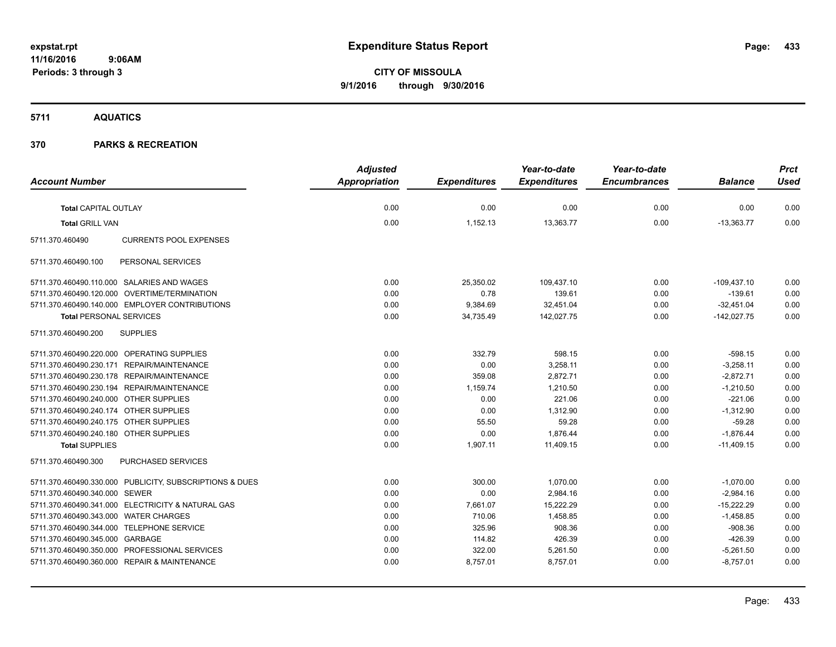**CITY OF MISSOULA 9/1/2016 through 9/30/2016**

**5711 AQUATICS**

|                                                         | <b>Adjusted</b>      |                     | Year-to-date        | Year-to-date        |                | <b>Prct</b> |
|---------------------------------------------------------|----------------------|---------------------|---------------------|---------------------|----------------|-------------|
| <b>Account Number</b>                                   | <b>Appropriation</b> | <b>Expenditures</b> | <b>Expenditures</b> | <b>Encumbrances</b> | <b>Balance</b> | <b>Used</b> |
| <b>Total CAPITAL OUTLAY</b>                             | 0.00                 | 0.00                | 0.00                | 0.00                | 0.00           | 0.00        |
| <b>Total GRILL VAN</b>                                  | 0.00                 | 1,152.13            | 13,363.77           | 0.00                | $-13,363.77$   | 0.00        |
| <b>CURRENTS POOL EXPENSES</b><br>5711.370.460490        |                      |                     |                     |                     |                |             |
| 5711.370.460490.100<br>PERSONAL SERVICES                |                      |                     |                     |                     |                |             |
| 5711.370.460490.110.000 SALARIES AND WAGES              | 0.00                 | 25,350.02           | 109,437.10          | 0.00                | $-109,437.10$  | 0.00        |
| 5711.370.460490.120.000 OVERTIME/TERMINATION            | 0.00                 | 0.78                | 139.61              | 0.00                | $-139.61$      | 0.00        |
| 5711.370.460490.140.000 EMPLOYER CONTRIBUTIONS          | 0.00                 | 9,384.69            | 32,451.04           | 0.00                | $-32,451.04$   | 0.00        |
| <b>Total PERSONAL SERVICES</b>                          | 0.00                 | 34,735.49           | 142,027.75          | 0.00                | $-142,027.75$  | 0.00        |
| <b>SUPPLIES</b><br>5711.370.460490.200                  |                      |                     |                     |                     |                |             |
| 5711.370.460490.220.000 OPERATING SUPPLIES              | 0.00                 | 332.79              | 598.15              | 0.00                | $-598.15$      | 0.00        |
| 5711.370.460490.230.171 REPAIR/MAINTENANCE              | 0.00                 | 0.00                | 3,258.11            | 0.00                | $-3,258.11$    | 0.00        |
| 5711.370.460490.230.178 REPAIR/MAINTENANCE              | 0.00                 | 359.08              | 2,872.71            | 0.00                | $-2,872.71$    | 0.00        |
| 5711.370.460490.230.194 REPAIR/MAINTENANCE              | 0.00                 | 1,159.74            | 1,210.50            | 0.00                | $-1,210.50$    | 0.00        |
| 5711.370.460490.240.000 OTHER SUPPLIES                  | 0.00                 | 0.00                | 221.06              | 0.00                | $-221.06$      | 0.00        |
| 5711.370.460490.240.174 OTHER SUPPLIES                  | 0.00                 | 0.00                | 1,312.90            | 0.00                | $-1,312.90$    | 0.00        |
| 5711.370.460490.240.175 OTHER SUPPLIES                  | 0.00                 | 55.50               | 59.28               | 0.00                | $-59.28$       | 0.00        |
| 5711.370.460490.240.180 OTHER SUPPLIES                  | 0.00                 | 0.00                | 1,876.44            | 0.00                | $-1,876.44$    | 0.00        |
| <b>Total SUPPLIES</b>                                   | 0.00                 | 1,907.11            | 11.409.15           | 0.00                | $-11.409.15$   | 0.00        |
| PURCHASED SERVICES<br>5711.370.460490.300               |                      |                     |                     |                     |                |             |
| 5711.370.460490.330.000 PUBLICITY, SUBSCRIPTIONS & DUES | 0.00                 | 300.00              | 1,070.00            | 0.00                | $-1,070.00$    | 0.00        |
| 5711.370.460490.340.000 SEWER                           | 0.00                 | 0.00                | 2,984.16            | 0.00                | $-2,984.16$    | 0.00        |
| 5711.370.460490.341.000 ELECTRICITY & NATURAL GAS       | 0.00                 | 7,661.07            | 15,222.29           | 0.00                | $-15,222.29$   | 0.00        |
| 5711.370.460490.343.000 WATER CHARGES                   | 0.00                 | 710.06              | 1,458.85            | 0.00                | $-1,458.85$    | 0.00        |
| 5711.370.460490.344.000 TELEPHONE SERVICE               | 0.00                 | 325.96              | 908.36              | 0.00                | $-908.36$      | 0.00        |
| 5711.370.460490.345.000 GARBAGE                         | 0.00                 | 114.82              | 426.39              | 0.00                | $-426.39$      | 0.00        |
| 5711.370.460490.350.000 PROFESSIONAL SERVICES           | 0.00                 | 322.00              | 5,261.50            | 0.00                | $-5,261.50$    | 0.00        |
| 5711.370.460490.360.000 REPAIR & MAINTENANCE            | 0.00                 | 8,757.01            | 8,757.01            | 0.00                | $-8,757.01$    | 0.00        |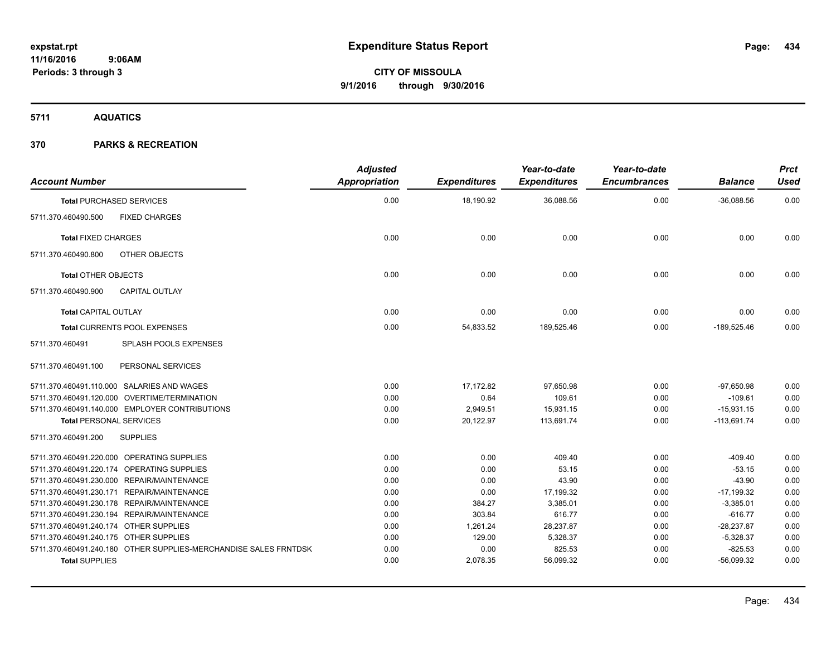**5711 AQUATICS**

| <b>Account Number</b>                                                                     | <b>Adjusted</b><br><b>Appropriation</b> | <b>Expenditures</b> | Year-to-date<br><b>Expenditures</b> | Year-to-date<br><b>Encumbrances</b> | <b>Balance</b>            | <b>Prct</b><br><b>Used</b> |
|-------------------------------------------------------------------------------------------|-----------------------------------------|---------------------|-------------------------------------|-------------------------------------|---------------------------|----------------------------|
| <b>Total PURCHASED SERVICES</b>                                                           | 0.00                                    | 18,190.92           | 36,088.56                           | 0.00                                | $-36,088.56$              | 0.00                       |
| 5711.370.460490.500<br><b>FIXED CHARGES</b>                                               |                                         |                     |                                     |                                     |                           |                            |
| <b>Total FIXED CHARGES</b>                                                                | 0.00                                    | 0.00                | 0.00                                | 0.00                                | 0.00                      | 0.00                       |
| 5711.370.460490.800<br>OTHER OBJECTS                                                      |                                         |                     |                                     |                                     |                           |                            |
| <b>Total OTHER OBJECTS</b>                                                                | 0.00                                    | 0.00                | 0.00                                | 0.00                                | 0.00                      | 0.00                       |
| 5711.370.460490.900<br><b>CAPITAL OUTLAY</b>                                              |                                         |                     |                                     |                                     |                           |                            |
| <b>Total CAPITAL OUTLAY</b>                                                               | 0.00                                    | 0.00                | 0.00                                | 0.00                                | 0.00                      | 0.00                       |
| <b>Total CURRENTS POOL EXPENSES</b>                                                       | 0.00                                    | 54,833.52           | 189,525.46                          | 0.00                                | $-189,525.46$             | 0.00                       |
| 5711.370.460491<br>SPLASH POOLS EXPENSES                                                  |                                         |                     |                                     |                                     |                           |                            |
| PERSONAL SERVICES<br>5711.370.460491.100                                                  |                                         |                     |                                     |                                     |                           |                            |
| 5711.370.460491.110.000 SALARIES AND WAGES                                                | 0.00                                    | 17,172.82           | 97,650.98                           | 0.00                                | $-97,650.98$              | 0.00                       |
| 5711.370.460491.120.000 OVERTIME/TERMINATION                                              | 0.00                                    | 0.64                | 109.61                              | 0.00                                | $-109.61$                 | 0.00                       |
| 5711.370.460491.140.000 EMPLOYER CONTRIBUTIONS                                            | 0.00                                    | 2,949.51            | 15,931.15                           | 0.00                                | $-15,931.15$              | 0.00                       |
| <b>Total PERSONAL SERVICES</b>                                                            | 0.00                                    | 20,122.97           | 113,691.74                          | 0.00                                | $-113,691.74$             | 0.00                       |
| <b>SUPPLIES</b><br>5711.370.460491.200                                                    |                                         |                     |                                     |                                     |                           |                            |
| 5711.370.460491.220.000 OPERATING SUPPLIES                                                | 0.00                                    | 0.00                | 409.40                              | 0.00                                | $-409.40$                 | 0.00                       |
| 5711.370.460491.220.174 OPERATING SUPPLIES                                                | 0.00                                    | 0.00                | 53.15                               | 0.00                                | $-53.15$                  | 0.00                       |
| 5711.370.460491.230.000 REPAIR/MAINTENANCE                                                | 0.00                                    | 0.00                | 43.90                               | 0.00                                | $-43.90$                  | 0.00                       |
| 5711.370.460491.230.171 REPAIR/MAINTENANCE                                                | 0.00                                    | 0.00                | 17,199.32                           | 0.00                                | $-17,199.32$              | 0.00                       |
| 5711.370.460491.230.178 REPAIR/MAINTENANCE                                                | 0.00                                    | 384.27              | 3,385.01                            | 0.00                                | $-3,385.01$               | 0.00                       |
| 5711.370.460491.230.194 REPAIR/MAINTENANCE                                                | 0.00                                    | 303.84              | 616.77                              | 0.00                                | $-616.77$                 | 0.00                       |
| 5711.370.460491.240.174 OTHER SUPPLIES                                                    | 0.00                                    | 1,261.24            | 28,237.87                           | 0.00                                | $-28,237.87$              | 0.00                       |
| 5711.370.460491.240.175 OTHER SUPPLIES                                                    | 0.00                                    | 129.00              | 5,328.37                            | 0.00                                | $-5,328.37$               | 0.00                       |
| 5711.370.460491.240.180 OTHER SUPPLIES-MERCHANDISE SALES FRNTDSK<br><b>Total SUPPLIES</b> | 0.00<br>0.00                            | 0.00<br>2,078.35    | 825.53<br>56,099.32                 | 0.00<br>0.00                        | $-825.53$<br>$-56,099.32$ | 0.00<br>0.00               |
|                                                                                           |                                         |                     |                                     |                                     |                           |                            |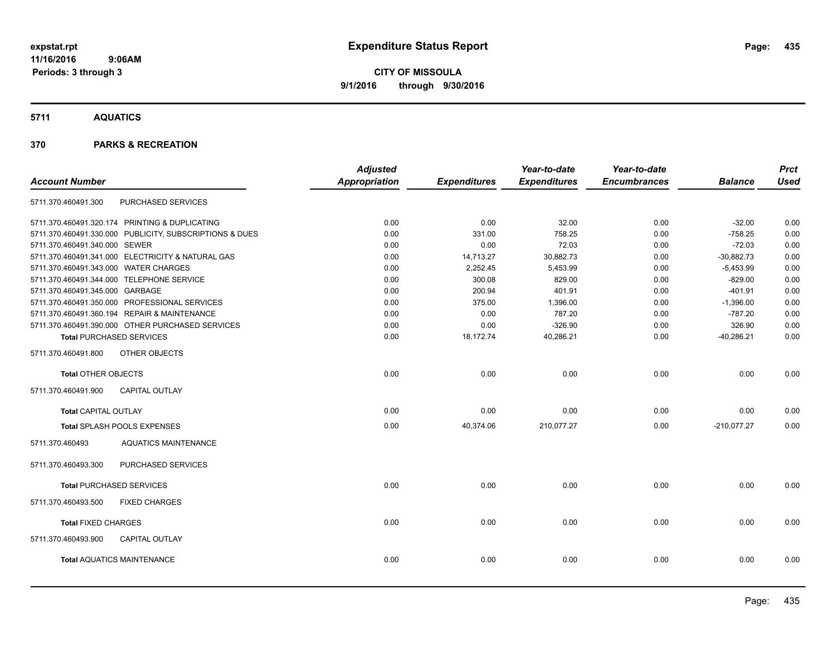**Periods: 3 through 3**

**CITY OF MISSOULA 9/1/2016 through 9/30/2016**

**5711 AQUATICS**

| <b>Account Number</b>                 |                                                         | <b>Adjusted</b><br><b>Appropriation</b> | <b>Expenditures</b> | Year-to-date<br><b>Expenditures</b> | Year-to-date<br><b>Encumbrances</b> | <b>Balance</b> | <b>Prct</b><br><b>Used</b> |
|---------------------------------------|---------------------------------------------------------|-----------------------------------------|---------------------|-------------------------------------|-------------------------------------|----------------|----------------------------|
| 5711.370.460491.300                   | PURCHASED SERVICES                                      |                                         |                     |                                     |                                     |                |                            |
|                                       | 5711.370.460491.320.174 PRINTING & DUPLICATING          | 0.00                                    | 0.00                | 32.00                               | 0.00                                | $-32.00$       | 0.00                       |
|                                       | 5711.370.460491.330.000 PUBLICITY, SUBSCRIPTIONS & DUES | 0.00                                    | 331.00              | 758.25                              | 0.00                                | $-758.25$      | 0.00                       |
| 5711.370.460491.340.000 SEWER         |                                                         | 0.00                                    | 0.00                | 72.03                               | 0.00                                | $-72.03$       | 0.00                       |
|                                       | 5711.370.460491.341.000 ELECTRICITY & NATURAL GAS       | 0.00                                    | 14,713.27           | 30,882.73                           | 0.00                                | $-30,882.73$   | 0.00                       |
| 5711.370.460491.343.000 WATER CHARGES |                                                         | 0.00                                    | 2,252.45            | 5,453.99                            | 0.00                                | $-5,453.99$    | 0.00                       |
|                                       | 5711.370.460491.344.000 TELEPHONE SERVICE               | 0.00                                    | 300.08              | 829.00                              | 0.00                                | $-829.00$      | 0.00                       |
| 5711.370.460491.345.000 GARBAGE       |                                                         | 0.00                                    | 200.94              | 401.91                              | 0.00                                | $-401.91$      | 0.00                       |
|                                       | 5711.370.460491.350.000 PROFESSIONAL SERVICES           | 0.00                                    | 375.00              | 1,396.00                            | 0.00                                | $-1,396.00$    | 0.00                       |
|                                       | 5711.370.460491.360.194 REPAIR & MAINTENANCE            | 0.00                                    | 0.00                | 787.20                              | 0.00                                | $-787.20$      | 0.00                       |
|                                       | 5711.370.460491.390.000 OTHER PURCHASED SERVICES        | 0.00                                    | 0.00                | $-326.90$                           | 0.00                                | 326.90         | 0.00                       |
|                                       | <b>Total PURCHASED SERVICES</b>                         | 0.00                                    | 18,172.74           | 40,286.21                           | 0.00                                | $-40,286.21$   | 0.00                       |
| 5711.370.460491.800                   | OTHER OBJECTS                                           |                                         |                     |                                     |                                     |                |                            |
| <b>Total OTHER OBJECTS</b>            |                                                         | 0.00                                    | 0.00                | 0.00                                | 0.00                                | 0.00           | 0.00                       |
| 5711.370.460491.900                   | <b>CAPITAL OUTLAY</b>                                   |                                         |                     |                                     |                                     |                |                            |
| <b>Total CAPITAL OUTLAY</b>           |                                                         | 0.00                                    | 0.00                | 0.00                                | 0.00                                | 0.00           | 0.00                       |
|                                       | Total SPLASH POOLS EXPENSES                             | 0.00                                    | 40,374.06           | 210,077.27                          | 0.00                                | $-210,077.27$  | 0.00                       |
| 5711.370.460493                       | <b>AQUATICS MAINTENANCE</b>                             |                                         |                     |                                     |                                     |                |                            |
| 5711.370.460493.300                   | PURCHASED SERVICES                                      |                                         |                     |                                     |                                     |                |                            |
|                                       | <b>Total PURCHASED SERVICES</b>                         | 0.00                                    | 0.00                | 0.00                                | 0.00                                | 0.00           | 0.00                       |
| 5711.370.460493.500                   | <b>FIXED CHARGES</b>                                    |                                         |                     |                                     |                                     |                |                            |
| <b>Total FIXED CHARGES</b>            |                                                         | 0.00                                    | 0.00                | 0.00                                | 0.00                                | 0.00           | 0.00                       |
| 5711.370.460493.900                   | <b>CAPITAL OUTLAY</b>                                   |                                         |                     |                                     |                                     |                |                            |
|                                       | <b>Total AQUATICS MAINTENANCE</b>                       | 0.00                                    | 0.00                | 0.00                                | 0.00                                | 0.00           | 0.00                       |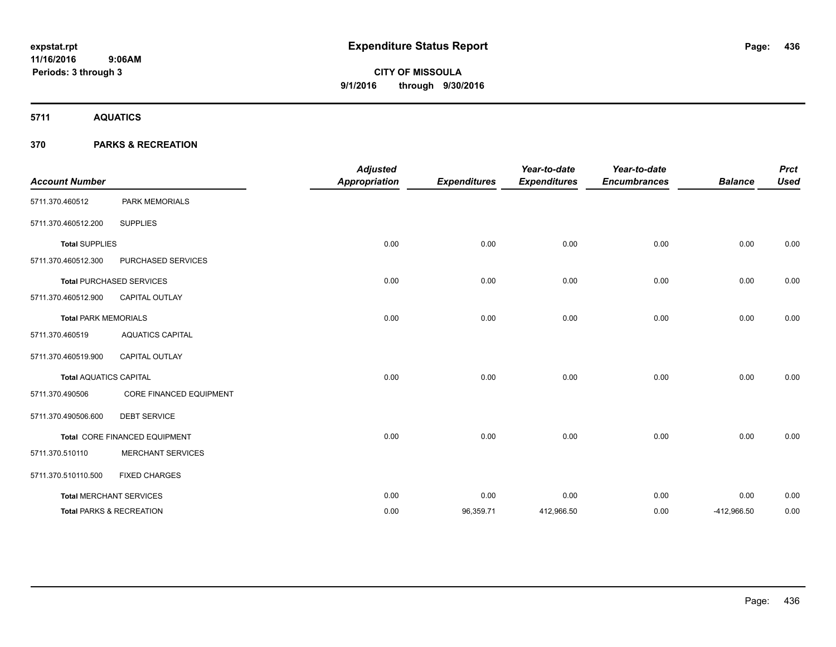**5711 AQUATICS**

| <b>Account Number</b>         |                                     | <b>Adjusted</b><br><b>Appropriation</b> | <b>Expenditures</b> | Year-to-date<br><b>Expenditures</b> | Year-to-date<br><b>Encumbrances</b> | <b>Balance</b> | <b>Prct</b><br><b>Used</b> |
|-------------------------------|-------------------------------------|-----------------------------------------|---------------------|-------------------------------------|-------------------------------------|----------------|----------------------------|
| 5711.370.460512               | PARK MEMORIALS                      |                                         |                     |                                     |                                     |                |                            |
| 5711.370.460512.200           | <b>SUPPLIES</b>                     |                                         |                     |                                     |                                     |                |                            |
| <b>Total SUPPLIES</b>         |                                     | 0.00                                    | 0.00                | 0.00                                | 0.00                                | 0.00           | 0.00                       |
| 5711.370.460512.300           | PURCHASED SERVICES                  |                                         |                     |                                     |                                     |                |                            |
|                               | <b>Total PURCHASED SERVICES</b>     | 0.00                                    | 0.00                | 0.00                                | 0.00                                | 0.00           | 0.00                       |
| 5711.370.460512.900           | <b>CAPITAL OUTLAY</b>               |                                         |                     |                                     |                                     |                |                            |
| <b>Total PARK MEMORIALS</b>   |                                     | 0.00                                    | 0.00                | 0.00                                | 0.00                                | 0.00           | 0.00                       |
| 5711.370.460519               | <b>AQUATICS CAPITAL</b>             |                                         |                     |                                     |                                     |                |                            |
| 5711.370.460519.900           | <b>CAPITAL OUTLAY</b>               |                                         |                     |                                     |                                     |                |                            |
| <b>Total AQUATICS CAPITAL</b> |                                     | 0.00                                    | 0.00                | 0.00                                | 0.00                                | 0.00           | 0.00                       |
| 5711.370.490506               | <b>CORE FINANCED EQUIPMENT</b>      |                                         |                     |                                     |                                     |                |                            |
| 5711.370.490506.600           | <b>DEBT SERVICE</b>                 |                                         |                     |                                     |                                     |                |                            |
|                               | Total CORE FINANCED EQUIPMENT       | 0.00                                    | 0.00                | 0.00                                | 0.00                                | 0.00           | 0.00                       |
| 5711.370.510110               | <b>MERCHANT SERVICES</b>            |                                         |                     |                                     |                                     |                |                            |
| 5711.370.510110.500           | <b>FIXED CHARGES</b>                |                                         |                     |                                     |                                     |                |                            |
|                               | <b>Total MERCHANT SERVICES</b>      | 0.00                                    | 0.00                | 0.00                                | 0.00                                | 0.00           | 0.00                       |
|                               | <b>Total PARKS &amp; RECREATION</b> | 0.00                                    | 96,359.71           | 412,966.50                          | 0.00                                | -412,966.50    | 0.00                       |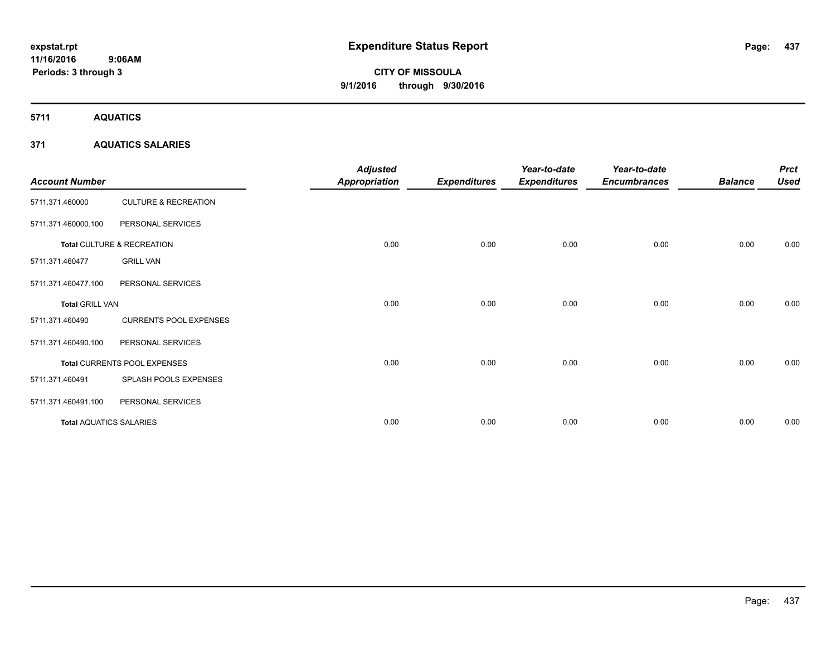**5711 AQUATICS**

## **371 AQUATICS SALARIES**

| <b>Account Number</b>          |                                 | <b>Adjusted</b><br><b>Appropriation</b> | <b>Expenditures</b> | Year-to-date<br><b>Expenditures</b> | Year-to-date<br><b>Encumbrances</b> | <b>Balance</b> | <b>Prct</b><br><b>Used</b> |
|--------------------------------|---------------------------------|-----------------------------------------|---------------------|-------------------------------------|-------------------------------------|----------------|----------------------------|
| 5711.371.460000                | <b>CULTURE &amp; RECREATION</b> |                                         |                     |                                     |                                     |                |                            |
| 5711.371.460000.100            | PERSONAL SERVICES               |                                         |                     |                                     |                                     |                |                            |
|                                | Total CULTURE & RECREATION      | 0.00                                    | 0.00                | 0.00                                | 0.00                                | 0.00           | 0.00                       |
| 5711.371.460477                | <b>GRILL VAN</b>                |                                         |                     |                                     |                                     |                |                            |
| 5711.371.460477.100            | PERSONAL SERVICES               |                                         |                     |                                     |                                     |                |                            |
| <b>Total GRILL VAN</b>         |                                 | 0.00                                    | 0.00                | 0.00                                | 0.00                                | 0.00           | 0.00                       |
| 5711.371.460490                | <b>CURRENTS POOL EXPENSES</b>   |                                         |                     |                                     |                                     |                |                            |
| 5711.371.460490.100            | PERSONAL SERVICES               |                                         |                     |                                     |                                     |                |                            |
|                                | Total CURRENTS POOL EXPENSES    | 0.00                                    | 0.00                | 0.00                                | 0.00                                | 0.00           | 0.00                       |
| 5711.371.460491                | SPLASH POOLS EXPENSES           |                                         |                     |                                     |                                     |                |                            |
| 5711.371.460491.100            | PERSONAL SERVICES               |                                         |                     |                                     |                                     |                |                            |
| <b>Total AQUATICS SALARIES</b> |                                 | 0.00                                    | 0.00                | 0.00                                | 0.00                                | 0.00           | 0.00                       |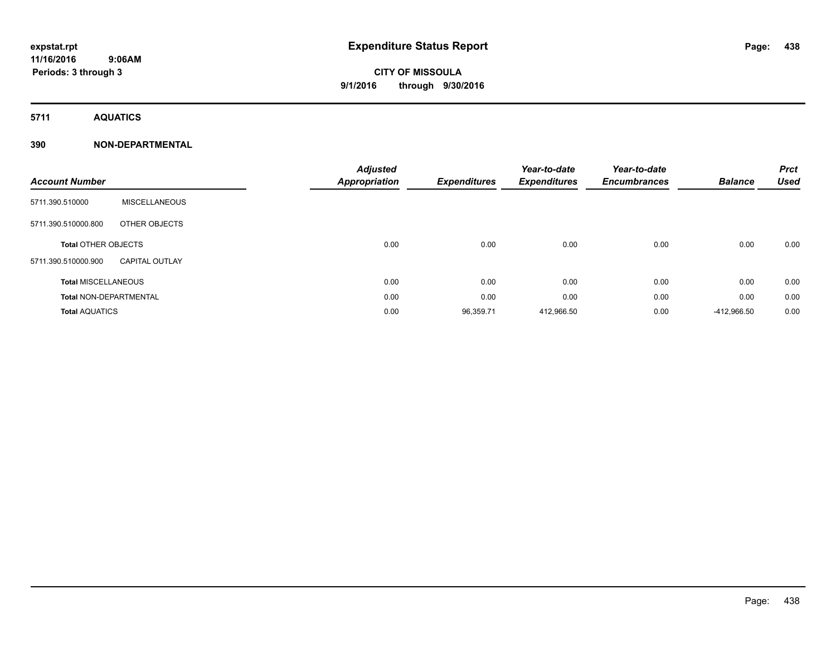**Periods: 3 through 3**

# **CITY OF MISSOULA 9/1/2016 through 9/30/2016**

**5711 AQUATICS**

| <b>Account Number</b>         |                       | <b>Adjusted</b><br><b>Appropriation</b> | <b>Expenditures</b> | Year-to-date<br><b>Expenditures</b> | Year-to-date<br><b>Encumbrances</b> | <b>Balance</b> | <b>Prct</b><br><b>Used</b> |
|-------------------------------|-----------------------|-----------------------------------------|---------------------|-------------------------------------|-------------------------------------|----------------|----------------------------|
|                               |                       |                                         |                     |                                     |                                     |                |                            |
| 5711.390.510000               | <b>MISCELLANEOUS</b>  |                                         |                     |                                     |                                     |                |                            |
| 5711.390.510000.800           | OTHER OBJECTS         |                                         |                     |                                     |                                     |                |                            |
| <b>Total OTHER OBJECTS</b>    |                       | 0.00                                    | 0.00                | 0.00                                | 0.00                                | 0.00           | 0.00                       |
| 5711.390.510000.900           | <b>CAPITAL OUTLAY</b> |                                         |                     |                                     |                                     |                |                            |
| <b>Total MISCELLANEOUS</b>    |                       | 0.00                                    | 0.00                | 0.00                                | 0.00                                | 0.00           | 0.00                       |
| <b>Total NON-DEPARTMENTAL</b> |                       | 0.00                                    | 0.00                | 0.00                                | 0.00                                | 0.00           | 0.00                       |
| <b>Total AQUATICS</b>         |                       | 0.00                                    | 96,359.71           | 412,966.50                          | 0.00                                | -412,966.50    | 0.00                       |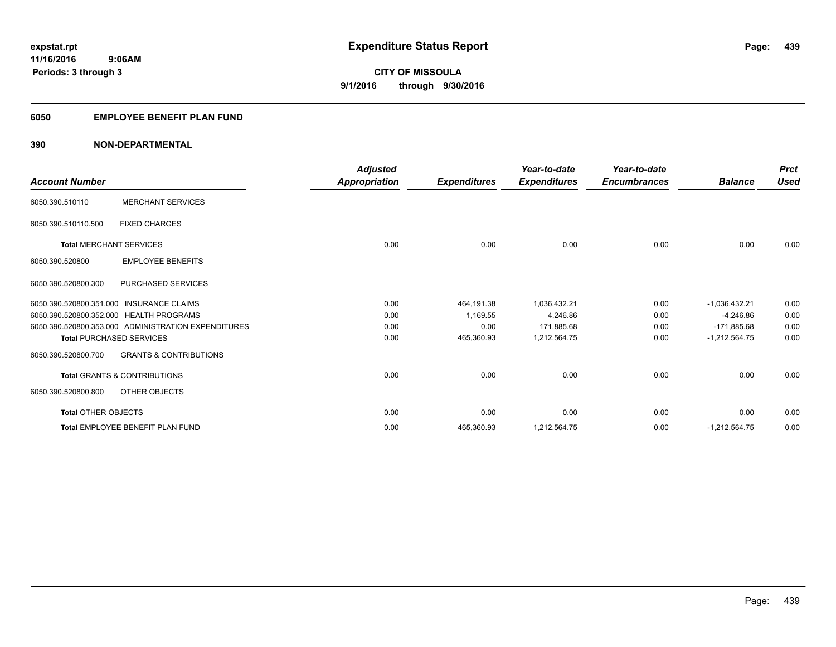## **6050 EMPLOYEE BENEFIT PLAN FUND**

| <b>Account Number</b>      |                                                     | <b>Adjusted</b><br>Appropriation | <b>Expenditures</b> | Year-to-date<br><b>Expenditures</b> | Year-to-date<br><b>Encumbrances</b> | <b>Balance</b>  | <b>Prct</b><br><b>Used</b> |
|----------------------------|-----------------------------------------------------|----------------------------------|---------------------|-------------------------------------|-------------------------------------|-----------------|----------------------------|
| 6050.390.510110            | <b>MERCHANT SERVICES</b>                            |                                  |                     |                                     |                                     |                 |                            |
| 6050.390.510110.500        | <b>FIXED CHARGES</b>                                |                                  |                     |                                     |                                     |                 |                            |
|                            | <b>Total MERCHANT SERVICES</b>                      | 0.00                             | 0.00                | 0.00                                | 0.00                                | 0.00            | 0.00                       |
| 6050.390.520800            | <b>EMPLOYEE BENEFITS</b>                            |                                  |                     |                                     |                                     |                 |                            |
| 6050.390.520800.300        | PURCHASED SERVICES                                  |                                  |                     |                                     |                                     |                 |                            |
|                            | 6050.390.520800.351.000 INSURANCE CLAIMS            | 0.00                             | 464,191.38          | 1,036,432.21                        | 0.00                                | $-1,036,432.21$ | 0.00                       |
|                            | 6050.390.520800.352.000 HEALTH PROGRAMS             | 0.00                             | 1,169.55            | 4,246.86                            | 0.00                                | $-4,246.86$     | 0.00                       |
|                            | 6050.390.520800.353.000 ADMINISTRATION EXPENDITURES | 0.00                             | 0.00                | 171,885.68                          | 0.00                                | $-171,885.68$   | 0.00                       |
|                            | <b>Total PURCHASED SERVICES</b>                     | 0.00                             | 465,360.93          | 1,212,564.75                        | 0.00                                | $-1,212,564.75$ | 0.00                       |
| 6050.390.520800.700        | <b>GRANTS &amp; CONTRIBUTIONS</b>                   |                                  |                     |                                     |                                     |                 |                            |
|                            | <b>Total GRANTS &amp; CONTRIBUTIONS</b>             | 0.00                             | 0.00                | 0.00                                | 0.00                                | 0.00            | 0.00                       |
| 6050.390.520800.800        | OTHER OBJECTS                                       |                                  |                     |                                     |                                     |                 |                            |
| <b>Total OTHER OBJECTS</b> |                                                     | 0.00                             | 0.00                | 0.00                                | 0.00                                | 0.00            | 0.00                       |
|                            | Total EMPLOYEE BENEFIT PLAN FUND                    | 0.00                             | 465,360.93          | 1,212,564.75                        | 0.00                                | $-1,212,564.75$ | 0.00                       |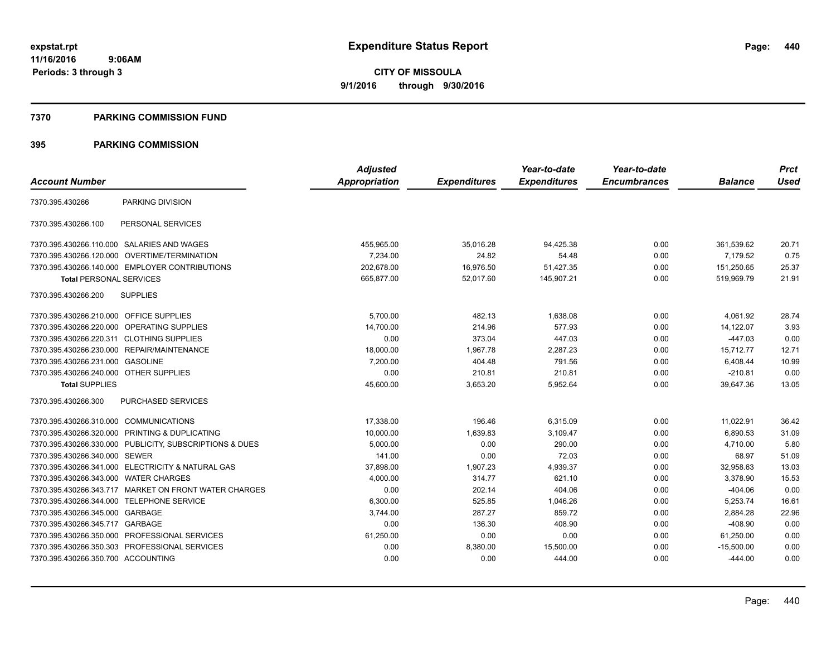#### **7370 PARKING COMMISSION FUND**

|                                            |                                                         | <b>Adjusted</b> |                     | Year-to-date        | Year-to-date        |                | <b>Prct</b> |
|--------------------------------------------|---------------------------------------------------------|-----------------|---------------------|---------------------|---------------------|----------------|-------------|
| <b>Account Number</b>                      |                                                         | Appropriation   | <b>Expenditures</b> | <b>Expenditures</b> | <b>Encumbrances</b> | <b>Balance</b> | <b>Used</b> |
| 7370.395.430266                            | PARKING DIVISION                                        |                 |                     |                     |                     |                |             |
| 7370.395.430266.100                        | PERSONAL SERVICES                                       |                 |                     |                     |                     |                |             |
|                                            | 7370.395.430266.110.000 SALARIES AND WAGES              | 455,965.00      | 35,016.28           | 94,425.38           | 0.00                | 361,539.62     | 20.71       |
|                                            | 7370.395.430266.120.000 OVERTIME/TERMINATION            | 7,234.00        | 24.82               | 54.48               | 0.00                | 7,179.52       | 0.75        |
|                                            | 7370.395.430266.140.000 EMPLOYER CONTRIBUTIONS          | 202,678.00      | 16,976.50           | 51,427.35           | 0.00                | 151,250.65     | 25.37       |
| <b>Total PERSONAL SERVICES</b>             |                                                         | 665.877.00      | 52.017.60           | 145.907.21          | 0.00                | 519.969.79     | 21.91       |
| 7370.395.430266.200                        | <b>SUPPLIES</b>                                         |                 |                     |                     |                     |                |             |
| 7370.395.430266.210.000 OFFICE SUPPLIES    |                                                         | 5.700.00        | 482.13              | 1.638.08            | 0.00                | 4,061.92       | 28.74       |
| 7370.395.430266.220.000 OPERATING SUPPLIES |                                                         | 14.700.00       | 214.96              | 577.93              | 0.00                | 14.122.07      | 3.93        |
| 7370.395.430266.220.311 CLOTHING SUPPLIES  |                                                         | 0.00            | 373.04              | 447.03              | 0.00                | $-447.03$      | 0.00        |
|                                            | 7370.395.430266.230.000 REPAIR/MAINTENANCE              | 18,000.00       | 1,967.78            | 2,287.23            | 0.00                | 15,712.77      | 12.71       |
| 7370.395.430266.231.000 GASOLINE           |                                                         | 7,200.00        | 404.48              | 791.56              | 0.00                | 6,408.44       | 10.99       |
| 7370.395.430266.240.000 OTHER SUPPLIES     |                                                         | 0.00            | 210.81              | 210.81              | 0.00                | $-210.81$      | 0.00        |
| <b>Total SUPPLIES</b>                      |                                                         | 45,600.00       | 3,653.20            | 5,952.64            | 0.00                | 39,647.36      | 13.05       |
| 7370.395.430266.300                        | PURCHASED SERVICES                                      |                 |                     |                     |                     |                |             |
| 7370.395.430266.310.000 COMMUNICATIONS     |                                                         | 17,338.00       | 196.46              | 6,315.09            | 0.00                | 11,022.91      | 36.42       |
|                                            | 7370.395.430266.320.000 PRINTING & DUPLICATING          | 10,000.00       | 1,639.83            | 3.109.47            | 0.00                | 6,890.53       | 31.09       |
|                                            | 7370.395.430266.330.000 PUBLICITY, SUBSCRIPTIONS & DUES | 5,000.00        | 0.00                | 290.00              | 0.00                | 4,710.00       | 5.80        |
| 7370.395.430266.340.000 SEWER              |                                                         | 141.00          | 0.00                | 72.03               | 0.00                | 68.97          | 51.09       |
|                                            | 7370.395.430266.341.000 ELECTRICITY & NATURAL GAS       | 37,898.00       | 1,907.23            | 4,939.37            | 0.00                | 32,958.63      | 13.03       |
| 7370.395.430266.343.000 WATER CHARGES      |                                                         | 4,000.00        | 314.77              | 621.10              | 0.00                | 3,378.90       | 15.53       |
|                                            | 7370.395.430266.343.717 MARKET ON FRONT WATER CHARGES   | 0.00            | 202.14              | 404.06              | 0.00                | $-404.06$      | 0.00        |
| 7370.395.430266.344.000 TELEPHONE SERVICE  |                                                         | 6,300.00        | 525.85              | 1,046.26            | 0.00                | 5,253.74       | 16.61       |
| 7370.395.430266.345.000 GARBAGE            |                                                         | 3,744.00        | 287.27              | 859.72              | 0.00                | 2,884.28       | 22.96       |
| 7370.395.430266.345.717 GARBAGE            |                                                         | 0.00            | 136.30              | 408.90              | 0.00                | $-408.90$      | 0.00        |
|                                            | 7370.395.430266.350.000 PROFESSIONAL SERVICES           | 61,250.00       | 0.00                | 0.00                | 0.00                | 61,250.00      | 0.00        |
|                                            | 7370.395.430266.350.303 PROFESSIONAL SERVICES           | 0.00            | 8,380.00            | 15,500.00           | 0.00                | $-15,500.00$   | 0.00        |
| 7370.395.430266.350.700 ACCOUNTING         |                                                         | 0.00            | 0.00                | 444.00              | 0.00                | $-444.00$      | 0.00        |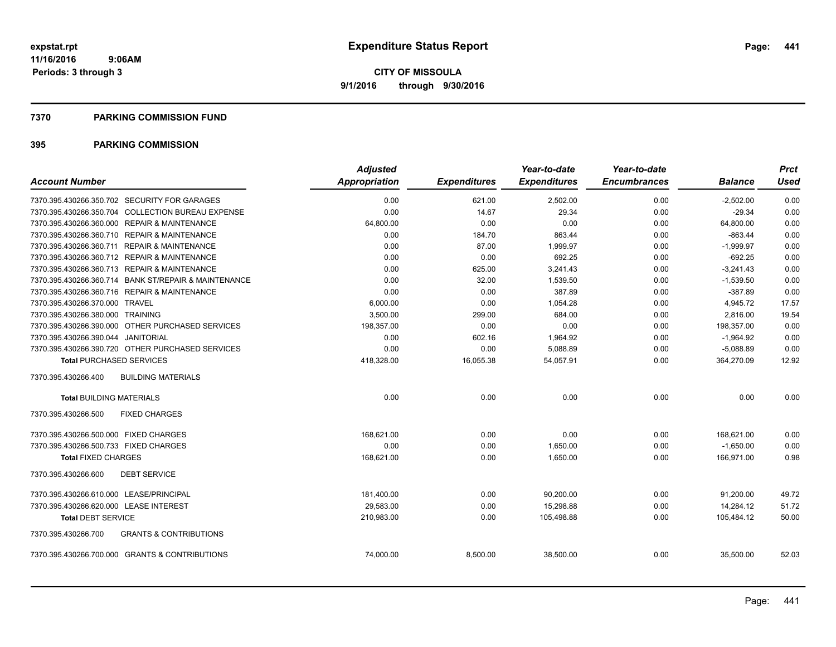#### **7370 PARKING COMMISSION FUND**

| <b>Account Number</b>                                    | <b>Adjusted</b><br>Appropriation | <b>Expenditures</b> | Year-to-date<br><b>Expenditures</b> | Year-to-date<br><b>Encumbrances</b> | <b>Balance</b> | <b>Prct</b><br><b>Used</b> |
|----------------------------------------------------------|----------------------------------|---------------------|-------------------------------------|-------------------------------------|----------------|----------------------------|
|                                                          |                                  |                     |                                     |                                     |                |                            |
| 7370.395.430266.350.702 SECURITY FOR GARAGES             | 0.00                             | 621.00              | 2,502.00                            | 0.00                                | $-2,502.00$    | 0.00                       |
| 7370.395.430266.350.704 COLLECTION BUREAU EXPENSE        | 0.00                             | 14.67               | 29.34                               | 0.00                                | $-29.34$       | 0.00                       |
| 7370.395.430266.360.000 REPAIR & MAINTENANCE             | 64,800.00                        | 0.00                | 0.00                                | 0.00                                | 64,800.00      | 0.00                       |
| 7370.395.430266.360.710 REPAIR & MAINTENANCE             | 0.00                             | 184.70              | 863.44                              | 0.00                                | $-863.44$      | 0.00                       |
| 7370.395.430266.360.711 REPAIR & MAINTENANCE             | 0.00                             | 87.00               | 1.999.97                            | 0.00                                | $-1,999.97$    | 0.00                       |
| 7370.395.430266.360.712 REPAIR & MAINTENANCE             | 0.00                             | 0.00                | 692.25                              | 0.00                                | $-692.25$      | 0.00                       |
| 7370.395.430266.360.713 REPAIR & MAINTENANCE             | 0.00                             | 625.00              | 3,241.43                            | 0.00                                | $-3,241.43$    | 0.00                       |
| 7370.395.430266.360.714 BANK ST/REPAIR & MAINTENANCE     | 0.00                             | 32.00               | 1,539.50                            | 0.00                                | $-1,539.50$    | 0.00                       |
| 7370.395.430266.360.716 REPAIR & MAINTENANCE             | 0.00                             | 0.00                | 387.89                              | 0.00                                | $-387.89$      | 0.00                       |
| 7370.395.430266.370.000 TRAVEL                           | 6,000.00                         | 0.00                | 1,054.28                            | 0.00                                | 4,945.72       | 17.57                      |
| 7370.395.430266.380.000 TRAINING                         | 3,500.00                         | 299.00              | 684.00                              | 0.00                                | 2,816.00       | 19.54                      |
| 7370.395.430266.390.000 OTHER PURCHASED SERVICES         | 198,357.00                       | 0.00                | 0.00                                | 0.00                                | 198,357.00     | 0.00                       |
| 7370.395.430266.390.044 JANITORIAL                       | 0.00                             | 602.16              | 1,964.92                            | 0.00                                | $-1,964.92$    | 0.00                       |
| 7370.395.430266.390.720 OTHER PURCHASED SERVICES         | 0.00                             | 0.00                | 5,088.89                            | 0.00                                | $-5,088.89$    | 0.00                       |
| <b>Total PURCHASED SERVICES</b>                          | 418,328.00                       | 16,055.38           | 54,057.91                           | 0.00                                | 364,270.09     | 12.92                      |
| 7370.395.430266.400<br><b>BUILDING MATERIALS</b>         |                                  |                     |                                     |                                     |                |                            |
| <b>Total BUILDING MATERIALS</b>                          | 0.00                             | 0.00                | 0.00                                | 0.00                                | 0.00           | 0.00                       |
| 7370.395.430266.500<br><b>FIXED CHARGES</b>              |                                  |                     |                                     |                                     |                |                            |
| 7370.395.430266.500.000 FIXED CHARGES                    | 168.621.00                       | 0.00                | 0.00                                | 0.00                                | 168.621.00     | 0.00                       |
| 7370.395.430266.500.733 FIXED CHARGES                    | 0.00                             | 0.00                | 1.650.00                            | 0.00                                | $-1,650.00$    | 0.00                       |
| <b>Total FIXED CHARGES</b>                               | 168,621.00                       | 0.00                | 1,650.00                            | 0.00                                | 166,971.00     | 0.98                       |
| 7370.395.430266.600<br><b>DEBT SERVICE</b>               |                                  |                     |                                     |                                     |                |                            |
| 7370.395.430266.610.000 LEASE/PRINCIPAL                  | 181,400.00                       | 0.00                | 90.200.00                           | 0.00                                | 91,200.00      | 49.72                      |
| 7370.395.430266.620.000 LEASE INTEREST                   | 29,583.00                        | 0.00                | 15,298.88                           | 0.00                                | 14,284.12      | 51.72                      |
| <b>Total DEBT SERVICE</b>                                | 210,983.00                       | 0.00                | 105,498.88                          | 0.00                                | 105,484.12     | 50.00                      |
| 7370.395.430266.700<br><b>GRANTS &amp; CONTRIBUTIONS</b> |                                  |                     |                                     |                                     |                |                            |
| 7370.395.430266.700.000 GRANTS & CONTRIBUTIONS           | 74,000.00                        | 8,500.00            | 38,500.00                           | 0.00                                | 35,500.00      | 52.03                      |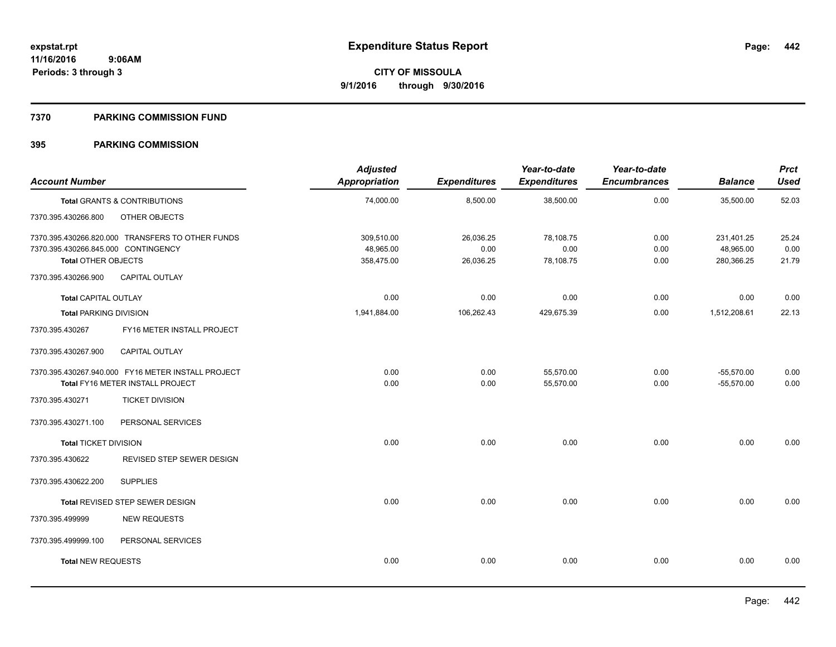#### **7370 PARKING COMMISSION FUND**

| <b>Account Number</b>                                             |                                                    | <b>Adjusted</b><br>Appropriation | <b>Expenditures</b> | Year-to-date<br><b>Expenditures</b> | Year-to-date<br><b>Encumbrances</b> | <b>Balance</b>          | <b>Prct</b><br><b>Used</b> |
|-------------------------------------------------------------------|----------------------------------------------------|----------------------------------|---------------------|-------------------------------------|-------------------------------------|-------------------------|----------------------------|
|                                                                   | Total GRANTS & CONTRIBUTIONS                       | 74,000.00                        | 8,500.00            | 38,500.00                           | 0.00                                | 35,500.00               | 52.03                      |
| 7370.395.430266.800                                               | OTHER OBJECTS                                      |                                  |                     |                                     |                                     |                         |                            |
|                                                                   | 7370.395.430266.820.000 TRANSFERS TO OTHER FUNDS   | 309,510.00                       | 26,036.25           | 78,108.75                           | 0.00                                | 231,401.25              | 25.24                      |
| 7370.395.430266.845.000 CONTINGENCY<br><b>Total OTHER OBJECTS</b> |                                                    | 48,965.00<br>358,475.00          | 0.00<br>26,036.25   | 0.00<br>78,108.75                   | 0.00<br>0.00                        | 48,965.00<br>280,366.25 | 0.00<br>21.79              |
|                                                                   |                                                    |                                  |                     |                                     |                                     |                         |                            |
| 7370.395.430266.900                                               | <b>CAPITAL OUTLAY</b>                              |                                  |                     |                                     |                                     |                         |                            |
| Total CAPITAL OUTLAY                                              |                                                    | 0.00                             | 0.00                | 0.00                                | 0.00                                | 0.00                    | 0.00                       |
| <b>Total PARKING DIVISION</b>                                     |                                                    | 1,941,884.00                     | 106,262.43          | 429,675.39                          | 0.00                                | 1,512,208.61            | 22.13                      |
| 7370.395.430267                                                   | FY16 METER INSTALL PROJECT                         |                                  |                     |                                     |                                     |                         |                            |
| 7370.395.430267.900                                               | CAPITAL OUTLAY                                     |                                  |                     |                                     |                                     |                         |                            |
|                                                                   | 7370.395.430267.940.000 FY16 METER INSTALL PROJECT | 0.00                             | 0.00                | 55,570.00                           | 0.00                                | $-55,570.00$            | 0.00                       |
|                                                                   | Total FY16 METER INSTALL PROJECT                   | 0.00                             | 0.00                | 55,570.00                           | 0.00                                | $-55,570.00$            | 0.00                       |
| 7370.395.430271                                                   | <b>TICKET DIVISION</b>                             |                                  |                     |                                     |                                     |                         |                            |
| 7370.395.430271.100                                               | PERSONAL SERVICES                                  |                                  |                     |                                     |                                     |                         |                            |
| <b>Total TICKET DIVISION</b>                                      |                                                    | 0.00                             | 0.00                | 0.00                                | 0.00                                | 0.00                    | 0.00                       |
| 7370.395.430622                                                   | REVISED STEP SEWER DESIGN                          |                                  |                     |                                     |                                     |                         |                            |
| 7370.395.430622.200                                               | <b>SUPPLIES</b>                                    |                                  |                     |                                     |                                     |                         |                            |
|                                                                   | Total REVISED STEP SEWER DESIGN                    | 0.00                             | 0.00                | 0.00                                | 0.00                                | 0.00                    | 0.00                       |
| 7370.395.499999                                                   | <b>NEW REQUESTS</b>                                |                                  |                     |                                     |                                     |                         |                            |
| 7370.395.499999.100                                               | PERSONAL SERVICES                                  |                                  |                     |                                     |                                     |                         |                            |
| <b>Total NEW REQUESTS</b>                                         |                                                    | 0.00                             | 0.00                | 0.00                                | 0.00                                | 0.00                    | 0.00                       |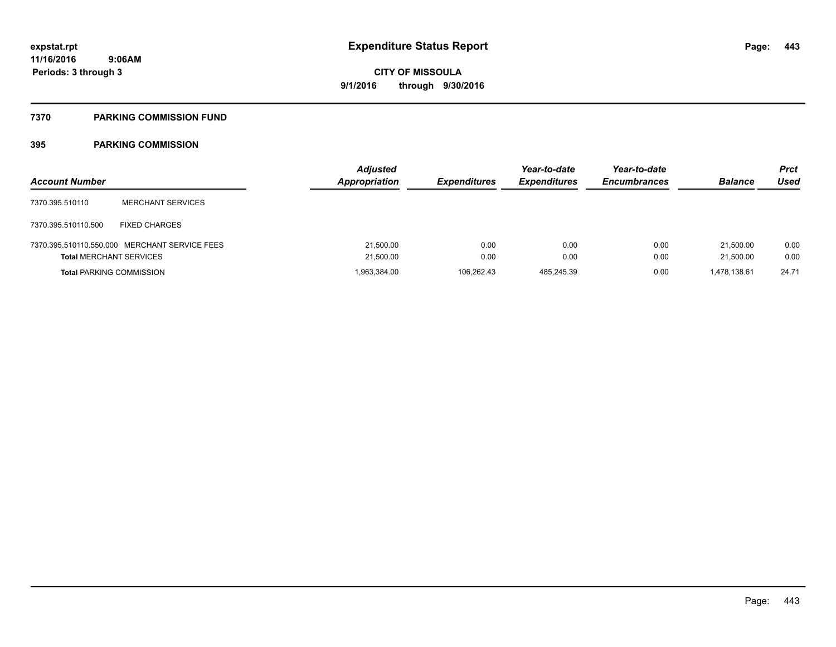## **7370 PARKING COMMISSION FUND**

| <b>Account Number</b>           |                                               | <b>Adjusted</b><br>Appropriation | <b>Expenditures</b> | Year-to-date<br><b>Expenditures</b> | Year-to-date<br><b>Encumbrances</b> | <b>Balance</b>         | <b>Prct</b><br>Used |
|---------------------------------|-----------------------------------------------|----------------------------------|---------------------|-------------------------------------|-------------------------------------|------------------------|---------------------|
| 7370.395.510110                 | <b>MERCHANT SERVICES</b>                      |                                  |                     |                                     |                                     |                        |                     |
| 7370.395.510110.500             | <b>FIXED CHARGES</b>                          |                                  |                     |                                     |                                     |                        |                     |
| <b>Total MERCHANT SERVICES</b>  | 7370.395.510110.550.000 MERCHANT SERVICE FEES | 21,500.00<br>21,500.00           | 0.00<br>0.00        | 0.00<br>0.00                        | 0.00<br>0.00                        | 21.500.00<br>21,500.00 | 0.00<br>0.00        |
| <b>Total PARKING COMMISSION</b> |                                               | 1,963,384.00                     | 106.262.43          | 485.245.39                          | 0.00                                | 1,478,138.61           | 24.71               |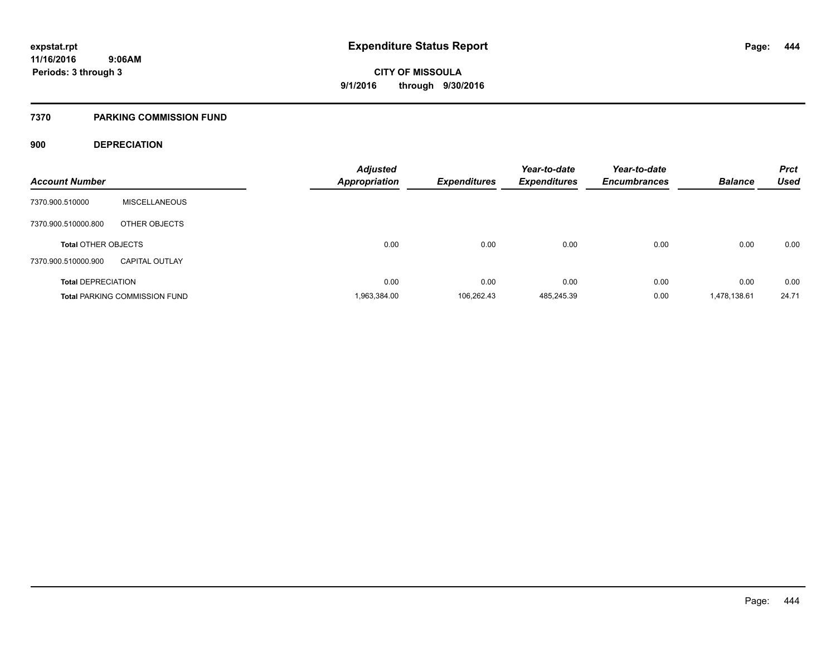## **7370 PARKING COMMISSION FUND**

## **900 DEPRECIATION**

| <b>Account Number</b>      |                                      | <b>Adjusted</b><br><b>Appropriation</b> | <b>Expenditures</b> | Year-to-date<br><b>Expenditures</b> | Year-to-date<br><b>Encumbrances</b> | <b>Balance</b> | <b>Prct</b><br><b>Used</b> |
|----------------------------|--------------------------------------|-----------------------------------------|---------------------|-------------------------------------|-------------------------------------|----------------|----------------------------|
|                            |                                      |                                         |                     |                                     |                                     |                |                            |
| 7370.900.510000            | <b>MISCELLANEOUS</b>                 |                                         |                     |                                     |                                     |                |                            |
| 7370.900.510000.800        | OTHER OBJECTS                        |                                         |                     |                                     |                                     |                |                            |
| <b>Total OTHER OBJECTS</b> |                                      | 0.00                                    | 0.00                | 0.00                                | 0.00                                | 0.00           | 0.00                       |
| 7370.900.510000.900        | <b>CAPITAL OUTLAY</b>                |                                         |                     |                                     |                                     |                |                            |
| <b>Total DEPRECIATION</b>  |                                      | 0.00                                    | 0.00                | 0.00                                | 0.00                                | 0.00           | 0.00                       |
|                            | <b>Total PARKING COMMISSION FUND</b> | 1,963,384.00                            | 106.262.43          | 485.245.39                          | 0.00                                | 1,478,138.61   | 24.71                      |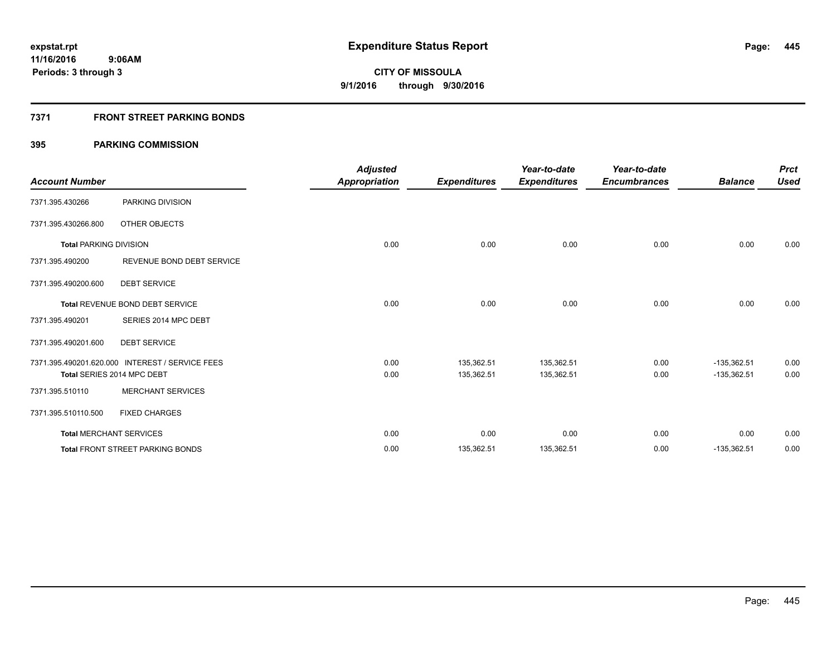## **7371 FRONT STREET PARKING BONDS**

| <b>Account Number</b>         |                                                 | <b>Adjusted</b><br><b>Appropriation</b> | <b>Expenditures</b> | Year-to-date<br><b>Expenditures</b> | Year-to-date<br><b>Encumbrances</b> | <b>Balance</b> | <b>Prct</b><br><b>Used</b> |
|-------------------------------|-------------------------------------------------|-----------------------------------------|---------------------|-------------------------------------|-------------------------------------|----------------|----------------------------|
| 7371.395.430266               | PARKING DIVISION                                |                                         |                     |                                     |                                     |                |                            |
| 7371.395.430266.800           | OTHER OBJECTS                                   |                                         |                     |                                     |                                     |                |                            |
| <b>Total PARKING DIVISION</b> |                                                 | 0.00                                    | 0.00                | 0.00                                | 0.00                                | 0.00           | 0.00                       |
| 7371.395.490200               | REVENUE BOND DEBT SERVICE                       |                                         |                     |                                     |                                     |                |                            |
| 7371.395.490200.600           | <b>DEBT SERVICE</b>                             |                                         |                     |                                     |                                     |                |                            |
|                               | Total REVENUE BOND DEBT SERVICE                 | 0.00                                    | 0.00                | 0.00                                | 0.00                                | 0.00           | 0.00                       |
| 7371.395.490201               | SERIES 2014 MPC DEBT                            |                                         |                     |                                     |                                     |                |                            |
| 7371.395.490201.600           | <b>DEBT SERVICE</b>                             |                                         |                     |                                     |                                     |                |                            |
|                               | 7371.395.490201.620.000 INTEREST / SERVICE FEES | 0.00                                    | 135,362.51          | 135,362.51                          | 0.00                                | $-135,362.51$  | 0.00                       |
|                               | Total SERIES 2014 MPC DEBT                      | 0.00                                    | 135,362.51          | 135,362.51                          | 0.00                                | $-135,362.51$  | 0.00                       |
| 7371.395.510110               | <b>MERCHANT SERVICES</b>                        |                                         |                     |                                     |                                     |                |                            |
| 7371.395.510110.500           | <b>FIXED CHARGES</b>                            |                                         |                     |                                     |                                     |                |                            |
|                               | <b>Total MERCHANT SERVICES</b>                  | 0.00                                    | 0.00                | 0.00                                | 0.00                                | 0.00           | 0.00                       |
|                               | <b>Total FRONT STREET PARKING BONDS</b>         | 0.00                                    | 135,362.51          | 135,362.51                          | 0.00                                | $-135,362.51$  | 0.00                       |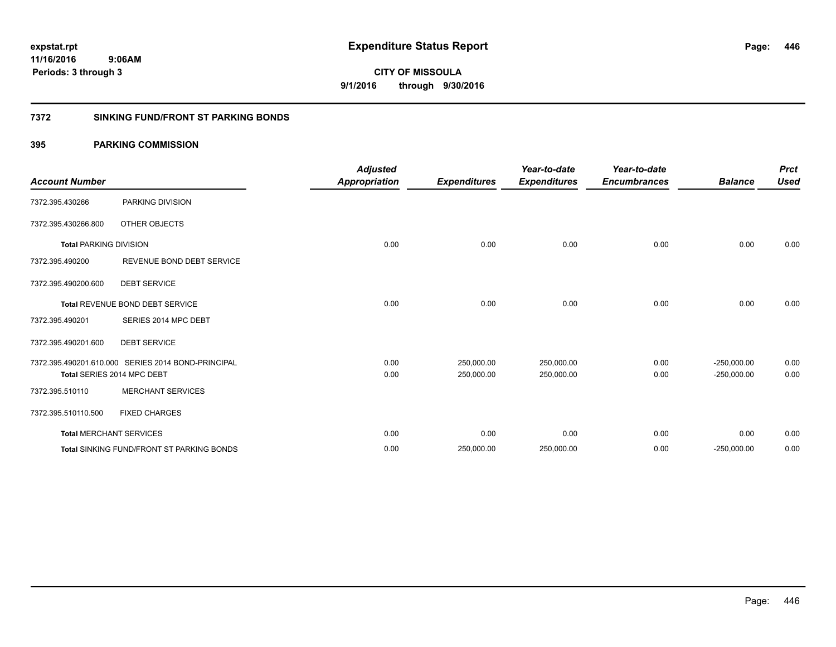**446**

**11/16/2016 9:06AM Periods: 3 through 3**

**CITY OF MISSOULA 9/1/2016 through 9/30/2016**

## **7372 SINKING FUND/FRONT ST PARKING BONDS**

| <b>Account Number</b>         |                                                    | <b>Adjusted</b><br>Appropriation | <b>Expenditures</b> | Year-to-date<br><b>Expenditures</b> | Year-to-date<br><b>Encumbrances</b> | <b>Balance</b> | <b>Prct</b><br><b>Used</b> |
|-------------------------------|----------------------------------------------------|----------------------------------|---------------------|-------------------------------------|-------------------------------------|----------------|----------------------------|
| 7372.395.430266               | PARKING DIVISION                                   |                                  |                     |                                     |                                     |                |                            |
| 7372.395.430266.800           | OTHER OBJECTS                                      |                                  |                     |                                     |                                     |                |                            |
| <b>Total PARKING DIVISION</b> |                                                    | 0.00                             | 0.00                | 0.00                                | 0.00                                | 0.00           | 0.00                       |
| 7372.395.490200               | REVENUE BOND DEBT SERVICE                          |                                  |                     |                                     |                                     |                |                            |
| 7372.395.490200.600           | <b>DEBT SERVICE</b>                                |                                  |                     |                                     |                                     |                |                            |
|                               | <b>Total REVENUE BOND DEBT SERVICE</b>             | 0.00                             | 0.00                | 0.00                                | 0.00                                | 0.00           | 0.00                       |
| 7372.395.490201               | SERIES 2014 MPC DEBT                               |                                  |                     |                                     |                                     |                |                            |
| 7372.395.490201.600           | <b>DEBT SERVICE</b>                                |                                  |                     |                                     |                                     |                |                            |
|                               | 7372.395.490201.610.000 SERIES 2014 BOND-PRINCIPAL | 0.00                             | 250.000.00          | 250,000.00                          | 0.00                                | $-250.000.00$  | 0.00                       |
|                               | Total SERIES 2014 MPC DEBT                         | 0.00                             | 250,000.00          | 250,000.00                          | 0.00                                | $-250,000.00$  | 0.00                       |
| 7372.395.510110               | <b>MERCHANT SERVICES</b>                           |                                  |                     |                                     |                                     |                |                            |
| 7372.395.510110.500           | <b>FIXED CHARGES</b>                               |                                  |                     |                                     |                                     |                |                            |
|                               | <b>Total MERCHANT SERVICES</b>                     | 0.00                             | 0.00                | 0.00                                | 0.00                                | 0.00           | 0.00                       |
|                               | <b>Total SINKING FUND/FRONT ST PARKING BONDS</b>   | 0.00                             | 250,000.00          | 250,000.00                          | 0.00                                | $-250,000.00$  | 0.00                       |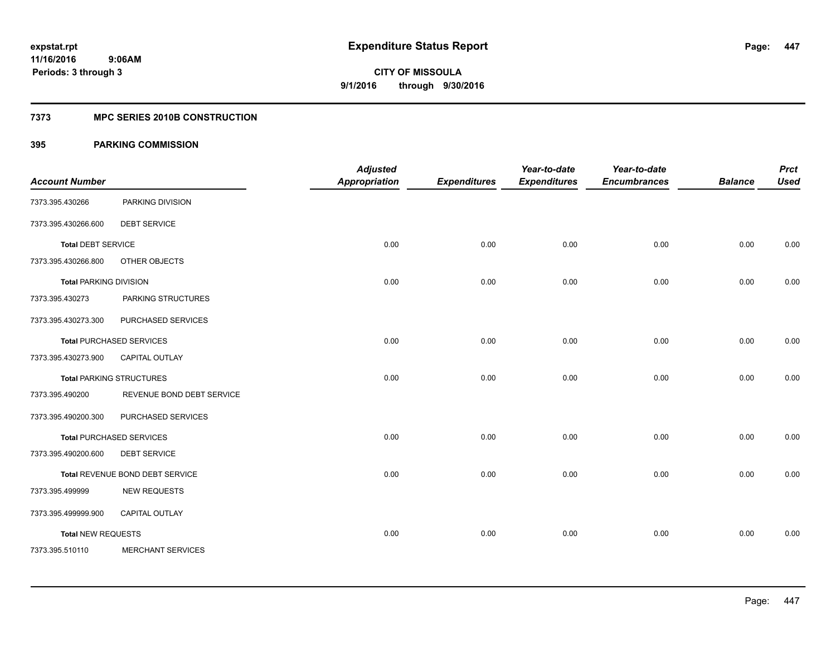## **7373 MPC SERIES 2010B CONSTRUCTION**

| <b>Account Number</b>         |                                 | <b>Adjusted</b><br><b>Appropriation</b> | <b>Expenditures</b> | Year-to-date<br><b>Expenditures</b> | Year-to-date<br><b>Encumbrances</b> | <b>Balance</b> | <b>Prct</b><br><b>Used</b> |
|-------------------------------|---------------------------------|-----------------------------------------|---------------------|-------------------------------------|-------------------------------------|----------------|----------------------------|
| 7373.395.430266               | PARKING DIVISION                |                                         |                     |                                     |                                     |                |                            |
| 7373.395.430266.600           | <b>DEBT SERVICE</b>             |                                         |                     |                                     |                                     |                |                            |
| <b>Total DEBT SERVICE</b>     |                                 | 0.00                                    | 0.00                | 0.00                                | 0.00                                | 0.00           | 0.00                       |
| 7373.395.430266.800           | OTHER OBJECTS                   |                                         |                     |                                     |                                     |                |                            |
| <b>Total PARKING DIVISION</b> |                                 | 0.00                                    | 0.00                | 0.00                                | 0.00                                | 0.00           | 0.00                       |
| 7373.395.430273               | PARKING STRUCTURES              |                                         |                     |                                     |                                     |                |                            |
| 7373.395.430273.300           | PURCHASED SERVICES              |                                         |                     |                                     |                                     |                |                            |
|                               | <b>Total PURCHASED SERVICES</b> | 0.00                                    | 0.00                | 0.00                                | 0.00                                | 0.00           | 0.00                       |
| 7373.395.430273.900           | CAPITAL OUTLAY                  |                                         |                     |                                     |                                     |                |                            |
|                               | <b>Total PARKING STRUCTURES</b> | 0.00                                    | 0.00                | 0.00                                | 0.00                                | 0.00           | 0.00                       |
| 7373.395.490200               | REVENUE BOND DEBT SERVICE       |                                         |                     |                                     |                                     |                |                            |
| 7373.395.490200.300           | PURCHASED SERVICES              |                                         |                     |                                     |                                     |                |                            |
|                               | <b>Total PURCHASED SERVICES</b> | 0.00                                    | 0.00                | 0.00                                | 0.00                                | 0.00           | 0.00                       |
| 7373.395.490200.600           | <b>DEBT SERVICE</b>             |                                         |                     |                                     |                                     |                |                            |
|                               | Total REVENUE BOND DEBT SERVICE | 0.00                                    | 0.00                | 0.00                                | 0.00                                | 0.00           | 0.00                       |
| 7373.395.499999               | <b>NEW REQUESTS</b>             |                                         |                     |                                     |                                     |                |                            |
| 7373.395.499999.900           | <b>CAPITAL OUTLAY</b>           |                                         |                     |                                     |                                     |                |                            |
| <b>Total NEW REQUESTS</b>     |                                 | 0.00                                    | 0.00                | 0.00                                | 0.00                                | 0.00           | 0.00                       |
| 7373.395.510110               | <b>MERCHANT SERVICES</b>        |                                         |                     |                                     |                                     |                |                            |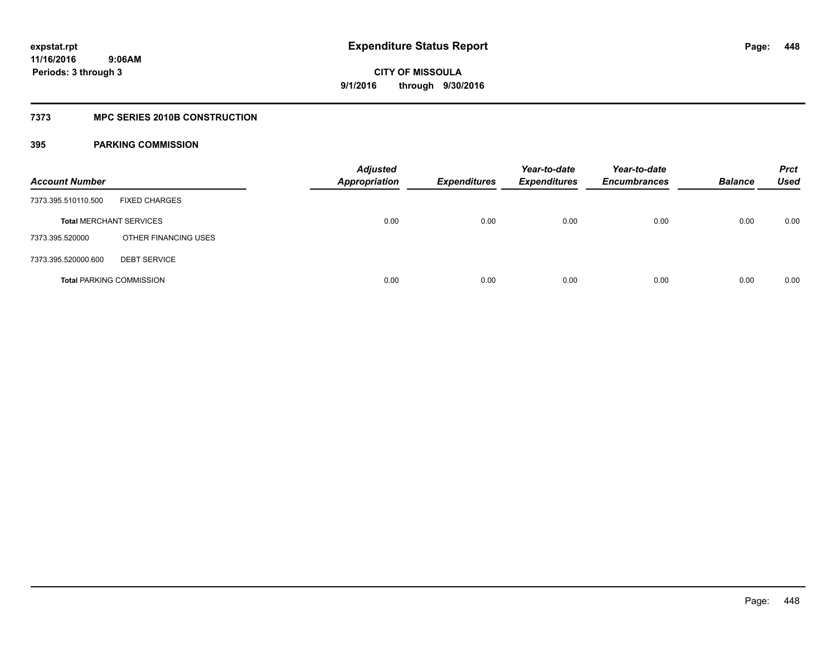## **7373 MPC SERIES 2010B CONSTRUCTION**

| <b>Account Number</b>           |                      | <b>Adjusted</b><br><b>Appropriation</b> | <b>Expenditures</b> | Year-to-date<br><b>Expenditures</b> | Year-to-date<br><b>Encumbrances</b> | <b>Balance</b> | <b>Prct</b><br>Used |
|---------------------------------|----------------------|-----------------------------------------|---------------------|-------------------------------------|-------------------------------------|----------------|---------------------|
| 7373.395.510110.500             | <b>FIXED CHARGES</b> |                                         |                     |                                     |                                     |                |                     |
| <b>Total MERCHANT SERVICES</b>  |                      | 0.00                                    | 0.00                | 0.00                                | 0.00                                | 0.00           | 0.00                |
| 7373.395.520000                 | OTHER FINANCING USES |                                         |                     |                                     |                                     |                |                     |
| 7373.395.520000.600             | <b>DEBT SERVICE</b>  |                                         |                     |                                     |                                     |                |                     |
| <b>Total PARKING COMMISSION</b> |                      | 0.00                                    | 0.00                | 0.00                                | 0.00                                | 0.00           | 0.00                |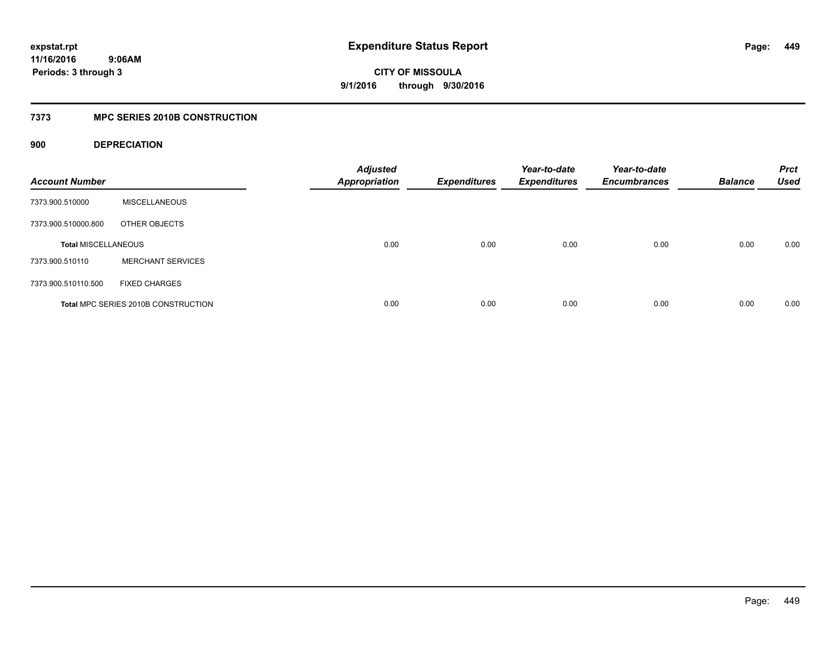**CITY OF MISSOULA 9/1/2016 through 9/30/2016**

## **7373 MPC SERIES 2010B CONSTRUCTION**

## **900 DEPRECIATION**

| <b>Account Number</b>      |                                     | <b>Adjusted</b><br><b>Appropriation</b> | <b>Expenditures</b> | Year-to-date<br><b>Expenditures</b> | Year-to-date<br><b>Encumbrances</b> | <b>Balance</b> | <b>Prct</b><br><b>Used</b> |
|----------------------------|-------------------------------------|-----------------------------------------|---------------------|-------------------------------------|-------------------------------------|----------------|----------------------------|
| 7373.900.510000            | <b>MISCELLANEOUS</b>                |                                         |                     |                                     |                                     |                |                            |
| 7373.900.510000.800        | OTHER OBJECTS                       |                                         |                     |                                     |                                     |                |                            |
| <b>Total MISCELLANEOUS</b> |                                     | 0.00                                    | 0.00                | 0.00                                | 0.00                                | 0.00           | 0.00                       |
| 7373.900.510110            | <b>MERCHANT SERVICES</b>            |                                         |                     |                                     |                                     |                |                            |
| 7373.900.510110.500        | <b>FIXED CHARGES</b>                |                                         |                     |                                     |                                     |                |                            |
|                            | Total MPC SERIES 2010B CONSTRUCTION | 0.00                                    | 0.00                | 0.00                                | 0.00                                | 0.00           | 0.00                       |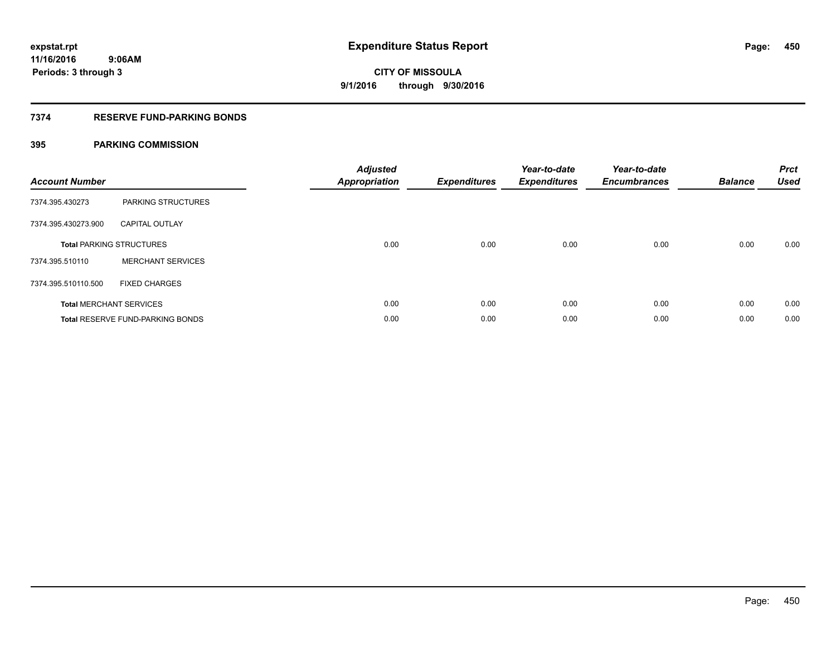## **7374 RESERVE FUND-PARKING BONDS**

| <b>Account Number</b> |                                         | <b>Adjusted</b><br>Appropriation | <b>Expenditures</b> | Year-to-date<br><b>Expenditures</b> | Year-to-date<br><b>Encumbrances</b> | <b>Balance</b> | <b>Prct</b><br><b>Used</b> |
|-----------------------|-----------------------------------------|----------------------------------|---------------------|-------------------------------------|-------------------------------------|----------------|----------------------------|
| 7374.395.430273       | PARKING STRUCTURES                      |                                  |                     |                                     |                                     |                |                            |
| 7374.395.430273.900   | <b>CAPITAL OUTLAY</b>                   |                                  |                     |                                     |                                     |                |                            |
|                       | <b>Total PARKING STRUCTURES</b>         | 0.00                             | 0.00                | 0.00                                | 0.00                                | 0.00           | 0.00                       |
| 7374.395.510110       | <b>MERCHANT SERVICES</b>                |                                  |                     |                                     |                                     |                |                            |
| 7374.395.510110.500   | <b>FIXED CHARGES</b>                    |                                  |                     |                                     |                                     |                |                            |
|                       | <b>Total MERCHANT SERVICES</b>          | 0.00                             | 0.00                | 0.00                                | 0.00                                | 0.00           | 0.00                       |
|                       | <b>Total RESERVE FUND-PARKING BONDS</b> | 0.00                             | 0.00                | 0.00                                | 0.00                                | 0.00           | 0.00                       |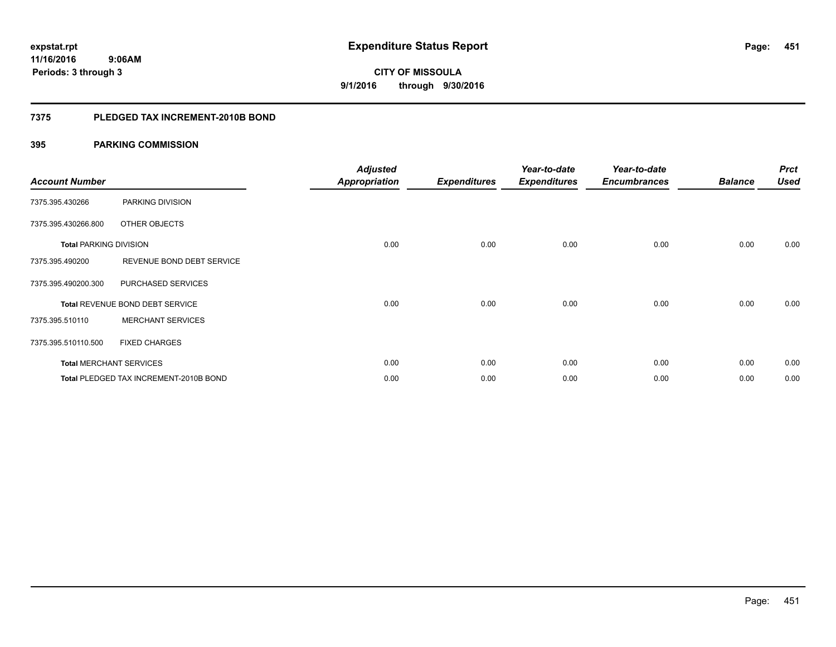## **7375 PLEDGED TAX INCREMENT-2010B BOND**

| <b>Account Number</b>         |                                        | <b>Adjusted</b><br><b>Appropriation</b> | <b>Expenditures</b> | Year-to-date<br><b>Expenditures</b> | Year-to-date<br><b>Encumbrances</b> | <b>Balance</b> | <b>Prct</b><br><b>Used</b> |
|-------------------------------|----------------------------------------|-----------------------------------------|---------------------|-------------------------------------|-------------------------------------|----------------|----------------------------|
| 7375.395.430266               | PARKING DIVISION                       |                                         |                     |                                     |                                     |                |                            |
| 7375.395.430266.800           | OTHER OBJECTS                          |                                         |                     |                                     |                                     |                |                            |
| <b>Total PARKING DIVISION</b> |                                        | 0.00                                    | 0.00                | 0.00                                | 0.00                                | 0.00           | 0.00                       |
| 7375.395.490200               | REVENUE BOND DEBT SERVICE              |                                         |                     |                                     |                                     |                |                            |
| 7375.395.490200.300           | PURCHASED SERVICES                     |                                         |                     |                                     |                                     |                |                            |
|                               | Total REVENUE BOND DEBT SERVICE        | 0.00                                    | 0.00                | 0.00                                | 0.00                                | 0.00           | 0.00                       |
| 7375.395.510110               | <b>MERCHANT SERVICES</b>               |                                         |                     |                                     |                                     |                |                            |
| 7375.395.510110.500           | <b>FIXED CHARGES</b>                   |                                         |                     |                                     |                                     |                |                            |
|                               | <b>Total MERCHANT SERVICES</b>         | 0.00                                    | 0.00                | 0.00                                | 0.00                                | 0.00           | 0.00                       |
|                               | Total PLEDGED TAX INCREMENT-2010B BOND | 0.00                                    | 0.00                | 0.00                                | 0.00                                | 0.00           | 0.00                       |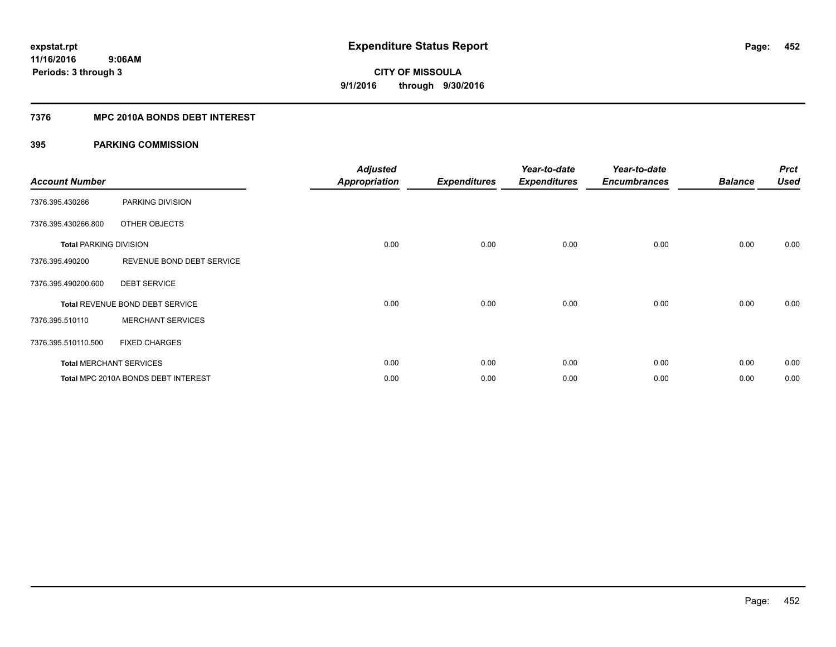## **7376 MPC 2010A BONDS DEBT INTEREST**

| <b>Account Number</b>         |                                     | <b>Adjusted</b><br><b>Appropriation</b> | <b>Expenditures</b> | Year-to-date<br><b>Expenditures</b> | Year-to-date<br><b>Encumbrances</b> | <b>Balance</b> | <b>Prct</b><br><b>Used</b> |
|-------------------------------|-------------------------------------|-----------------------------------------|---------------------|-------------------------------------|-------------------------------------|----------------|----------------------------|
| 7376.395.430266               | PARKING DIVISION                    |                                         |                     |                                     |                                     |                |                            |
| 7376.395.430266.800           | OTHER OBJECTS                       |                                         |                     |                                     |                                     |                |                            |
| <b>Total PARKING DIVISION</b> |                                     | 0.00                                    | 0.00                | 0.00                                | 0.00                                | 0.00           | 0.00                       |
| 7376.395.490200               | REVENUE BOND DEBT SERVICE           |                                         |                     |                                     |                                     |                |                            |
| 7376.395.490200.600           | <b>DEBT SERVICE</b>                 |                                         |                     |                                     |                                     |                |                            |
|                               | Total REVENUE BOND DEBT SERVICE     | 0.00                                    | 0.00                | 0.00                                | 0.00                                | 0.00           | 0.00                       |
| 7376.395.510110               | <b>MERCHANT SERVICES</b>            |                                         |                     |                                     |                                     |                |                            |
| 7376.395.510110.500           | <b>FIXED CHARGES</b>                |                                         |                     |                                     |                                     |                |                            |
|                               | <b>Total MERCHANT SERVICES</b>      | 0.00                                    | 0.00                | 0.00                                | 0.00                                | 0.00           | 0.00                       |
|                               | Total MPC 2010A BONDS DEBT INTEREST | 0.00                                    | 0.00                | 0.00                                | 0.00                                | 0.00           | 0.00                       |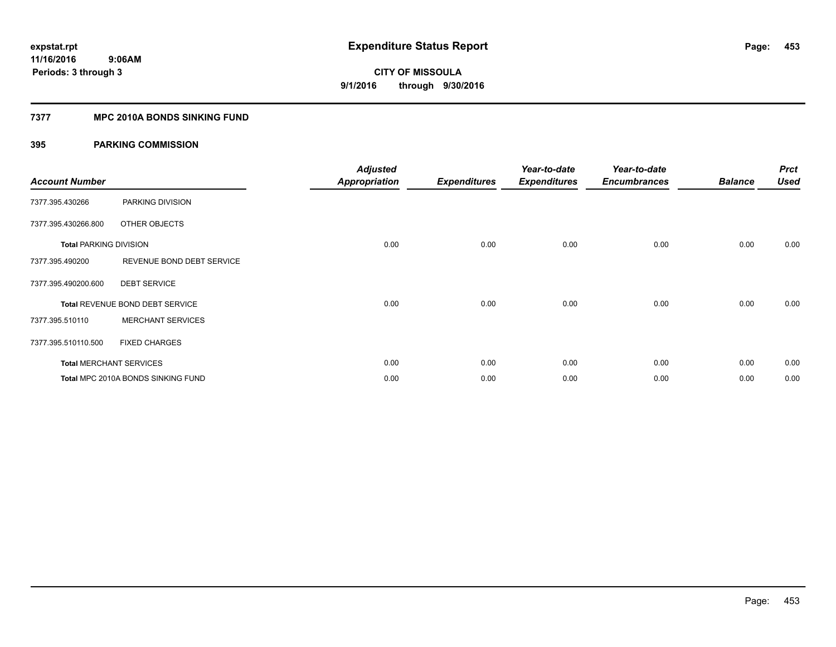## **7377 MPC 2010A BONDS SINKING FUND**

| <b>Account Number</b>         |                                    | <b>Adjusted</b><br><b>Appropriation</b> | <b>Expenditures</b> | Year-to-date<br><b>Expenditures</b> | Year-to-date<br><b>Encumbrances</b> | <b>Balance</b> | <b>Prct</b><br><b>Used</b> |
|-------------------------------|------------------------------------|-----------------------------------------|---------------------|-------------------------------------|-------------------------------------|----------------|----------------------------|
| 7377.395.430266               | PARKING DIVISION                   |                                         |                     |                                     |                                     |                |                            |
| 7377.395.430266.800           | OTHER OBJECTS                      |                                         |                     |                                     |                                     |                |                            |
| <b>Total PARKING DIVISION</b> |                                    | 0.00                                    | 0.00                | 0.00                                | 0.00                                | 0.00           | 0.00                       |
| 7377.395.490200               | REVENUE BOND DEBT SERVICE          |                                         |                     |                                     |                                     |                |                            |
| 7377.395.490200.600           | <b>DEBT SERVICE</b>                |                                         |                     |                                     |                                     |                |                            |
|                               | Total REVENUE BOND DEBT SERVICE    | 0.00                                    | 0.00                | 0.00                                | 0.00                                | 0.00           | 0.00                       |
| 7377.395.510110               | <b>MERCHANT SERVICES</b>           |                                         |                     |                                     |                                     |                |                            |
| 7377.395.510110.500           | <b>FIXED CHARGES</b>               |                                         |                     |                                     |                                     |                |                            |
|                               | <b>Total MERCHANT SERVICES</b>     | 0.00                                    | 0.00                | 0.00                                | 0.00                                | 0.00           | 0.00                       |
|                               | Total MPC 2010A BONDS SINKING FUND | 0.00                                    | 0.00                | 0.00                                | 0.00                                | 0.00           | 0.00                       |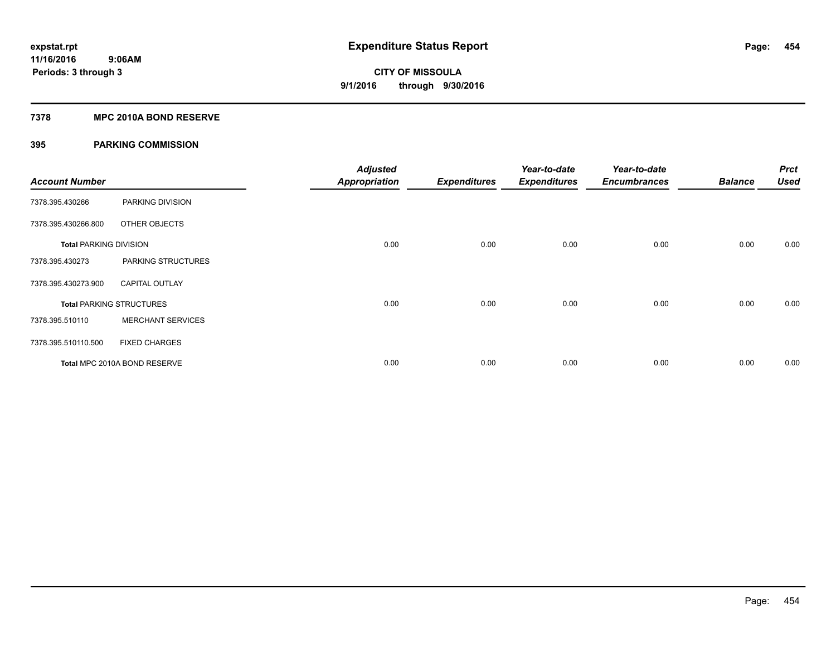## **7378 MPC 2010A BOND RESERVE**

| <b>Account Number</b>         |                                 | <b>Adjusted</b><br><b>Appropriation</b> | <b>Expenditures</b> | Year-to-date<br><b>Expenditures</b> | Year-to-date<br><b>Encumbrances</b> | <b>Balance</b> | <b>Prct</b><br><b>Used</b> |
|-------------------------------|---------------------------------|-----------------------------------------|---------------------|-------------------------------------|-------------------------------------|----------------|----------------------------|
| 7378.395.430266               | PARKING DIVISION                |                                         |                     |                                     |                                     |                |                            |
| 7378.395.430266.800           | OTHER OBJECTS                   |                                         |                     |                                     |                                     |                |                            |
| <b>Total PARKING DIVISION</b> |                                 | 0.00                                    | 0.00                | 0.00                                | 0.00                                | 0.00           | 0.00                       |
| 7378.395.430273               | PARKING STRUCTURES              |                                         |                     |                                     |                                     |                |                            |
| 7378.395.430273.900           | <b>CAPITAL OUTLAY</b>           |                                         |                     |                                     |                                     |                |                            |
|                               | <b>Total PARKING STRUCTURES</b> | 0.00                                    | 0.00                | 0.00                                | 0.00                                | 0.00           | 0.00                       |
| 7378.395.510110               | <b>MERCHANT SERVICES</b>        |                                         |                     |                                     |                                     |                |                            |
| 7378.395.510110.500           | <b>FIXED CHARGES</b>            |                                         |                     |                                     |                                     |                |                            |
|                               | Total MPC 2010A BOND RESERVE    | 0.00                                    | 0.00                | 0.00                                | 0.00                                | 0.00           | 0.00                       |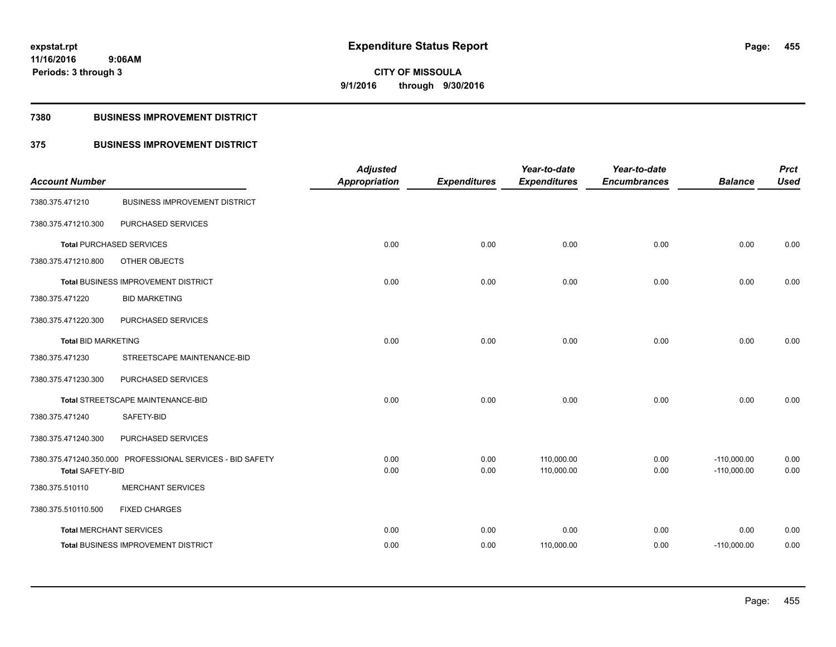**Periods: 3 through 3**

**CITY OF MISSOULA 9/1/2016 through 9/30/2016**

## **7380 BUSINESS IMPROVEMENT DISTRICT**

 **9:06AM**

## **375 BUSINESS IMPROVEMENT DISTRICT**

| <b>Account Number</b>          |                                                            | <b>Adjusted</b><br><b>Appropriation</b> | <b>Expenditures</b> | Year-to-date<br><b>Expenditures</b> | Year-to-date<br><b>Encumbrances</b> | <b>Balance</b>                 | <b>Prct</b><br><b>Used</b> |
|--------------------------------|------------------------------------------------------------|-----------------------------------------|---------------------|-------------------------------------|-------------------------------------|--------------------------------|----------------------------|
| 7380.375.471210                | <b>BUSINESS IMPROVEMENT DISTRICT</b>                       |                                         |                     |                                     |                                     |                                |                            |
| 7380.375.471210.300            | PURCHASED SERVICES                                         |                                         |                     |                                     |                                     |                                |                            |
|                                | <b>Total PURCHASED SERVICES</b>                            | 0.00                                    | 0.00                | 0.00                                | 0.00                                | 0.00                           | 0.00                       |
| 7380.375.471210.800            | OTHER OBJECTS                                              |                                         |                     |                                     |                                     |                                |                            |
|                                | Total BUSINESS IMPROVEMENT DISTRICT                        | 0.00                                    | 0.00                | 0.00                                | 0.00                                | 0.00                           | 0.00                       |
| 7380.375.471220                | <b>BID MARKETING</b>                                       |                                         |                     |                                     |                                     |                                |                            |
| 7380.375.471220.300            | PURCHASED SERVICES                                         |                                         |                     |                                     |                                     |                                |                            |
| <b>Total BID MARKETING</b>     |                                                            | 0.00                                    | 0.00                | 0.00                                | 0.00                                | 0.00                           | 0.00                       |
| 7380.375.471230                | STREETSCAPE MAINTENANCE-BID                                |                                         |                     |                                     |                                     |                                |                            |
| 7380.375.471230.300            | PURCHASED SERVICES                                         |                                         |                     |                                     |                                     |                                |                            |
|                                | Total STREETSCAPE MAINTENANCE-BID                          | 0.00                                    | 0.00                | 0.00                                | 0.00                                | 0.00                           | 0.00                       |
| 7380.375.471240                | SAFETY-BID                                                 |                                         |                     |                                     |                                     |                                |                            |
| 7380.375.471240.300            | PURCHASED SERVICES                                         |                                         |                     |                                     |                                     |                                |                            |
| <b>Total SAFETY-BID</b>        | 7380.375.471240.350.000 PROFESSIONAL SERVICES - BID SAFETY | 0.00<br>0.00                            | 0.00<br>0.00        | 110,000.00<br>110,000.00            | 0.00<br>0.00                        | $-110,000.00$<br>$-110,000.00$ | 0.00<br>0.00               |
| 7380.375.510110                | <b>MERCHANT SERVICES</b>                                   |                                         |                     |                                     |                                     |                                |                            |
| 7380.375.510110.500            | <b>FIXED CHARGES</b>                                       |                                         |                     |                                     |                                     |                                |                            |
| <b>Total MERCHANT SERVICES</b> |                                                            | 0.00                                    | 0.00                | 0.00                                | 0.00                                | 0.00                           | 0.00                       |
|                                | <b>Total BUSINESS IMPROVEMENT DISTRICT</b>                 | 0.00                                    | 0.00                | 110,000.00                          | 0.00                                | $-110,000.00$                  | 0.00                       |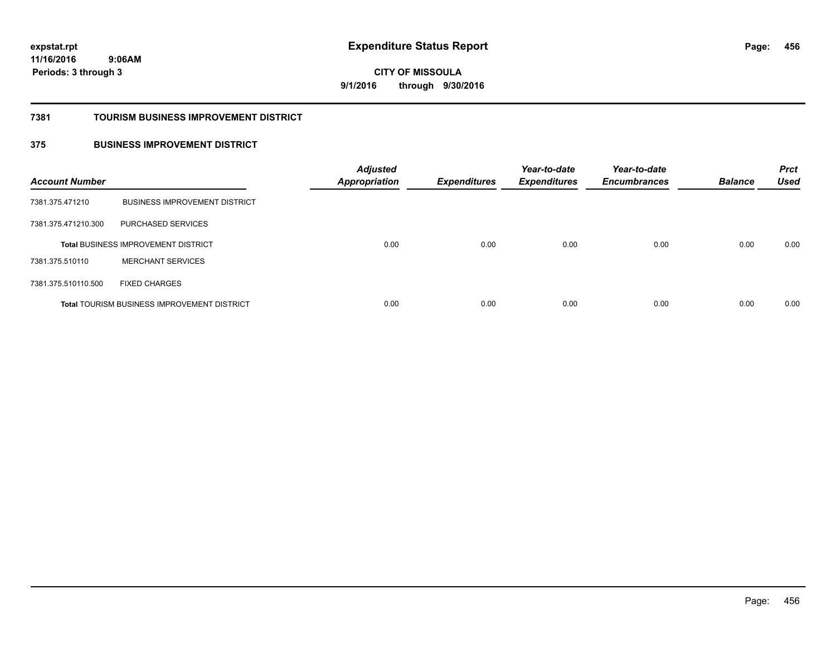**CITY OF MISSOULA 9/1/2016 through 9/30/2016**

#### **7381 TOURISM BUSINESS IMPROVEMENT DISTRICT**

## **375 BUSINESS IMPROVEMENT DISTRICT**

| <b>Account Number</b> |                                                    | <b>Adjusted</b><br><b>Appropriation</b> | <b>Expenditures</b> | Year-to-date<br><b>Expenditures</b> | Year-to-date<br><b>Encumbrances</b> | <b>Balance</b> | <b>Prct</b><br><b>Used</b> |
|-----------------------|----------------------------------------------------|-----------------------------------------|---------------------|-------------------------------------|-------------------------------------|----------------|----------------------------|
| 7381.375.471210       | <b>BUSINESS IMPROVEMENT DISTRICT</b>               |                                         |                     |                                     |                                     |                |                            |
| 7381.375.471210.300   | PURCHASED SERVICES                                 |                                         |                     |                                     |                                     |                |                            |
|                       | <b>Total BUSINESS IMPROVEMENT DISTRICT</b>         | 0.00                                    | 0.00                | 0.00                                | 0.00                                | 0.00           | 0.00                       |
| 7381.375.510110       | <b>MERCHANT SERVICES</b>                           |                                         |                     |                                     |                                     |                |                            |
| 7381.375.510110.500   | <b>FIXED CHARGES</b>                               |                                         |                     |                                     |                                     |                |                            |
|                       | <b>Total TOURISM BUSINESS IMPROVEMENT DISTRICT</b> | 0.00                                    | 0.00                | 0.00                                | 0.00                                | 0.00           | 0.00                       |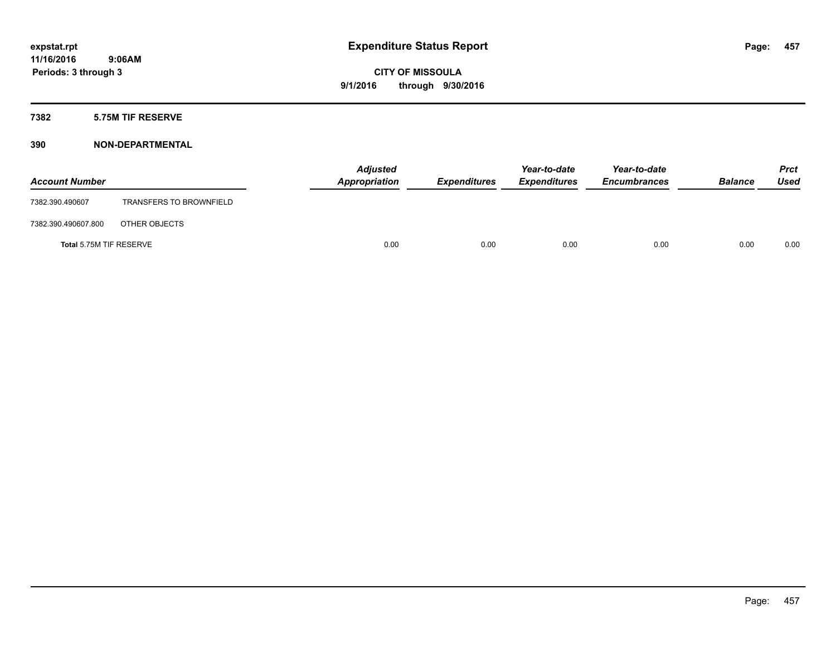## **7382 5.75M TIF RESERVE**

| <b>Account Number</b>   |                                | <b>Adjusted</b><br>Appropriation | <b>Expenditures</b> | Year-to-date<br><b>Expenditures</b> | Year-to-date<br><b>Encumbrances</b> | <b>Balance</b> | Prct<br><b>Used</b> |
|-------------------------|--------------------------------|----------------------------------|---------------------|-------------------------------------|-------------------------------------|----------------|---------------------|
| 7382.390.490607         | <b>TRANSFERS TO BROWNFIELD</b> |                                  |                     |                                     |                                     |                |                     |
| 7382.390.490607.800     | OTHER OBJECTS                  |                                  |                     |                                     |                                     |                |                     |
| Total 5.75M TIF RESERVE |                                | 0.00                             | 0.00                | 0.00                                | 0.00                                | 0.00           | 0.00                |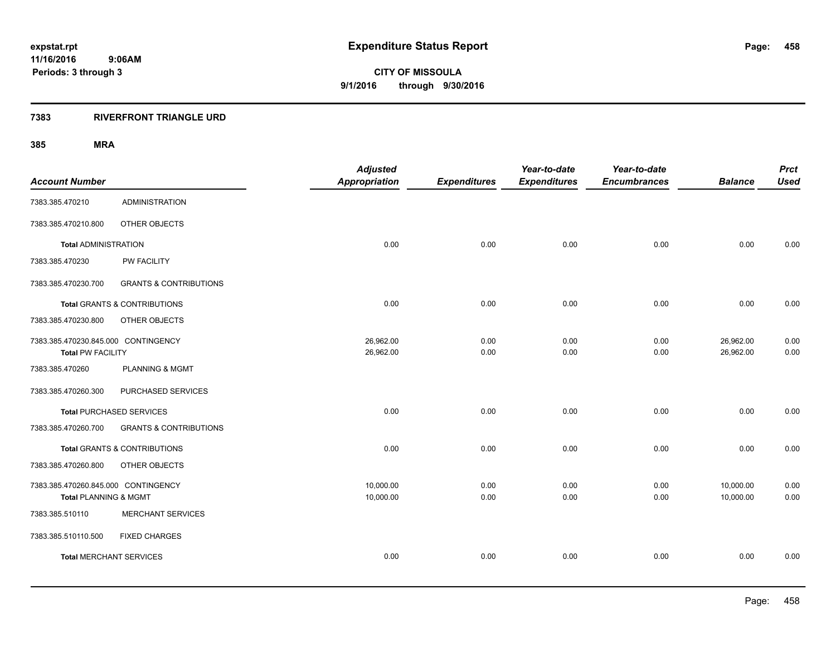## **7383 RIVERFRONT TRIANGLE URD**

| <b>Account Number</b>                                           |                                         | <b>Adjusted</b><br><b>Appropriation</b> | <b>Expenditures</b> | Year-to-date<br><b>Expenditures</b> | Year-to-date<br><b>Encumbrances</b> | <b>Balance</b>         | <b>Prct</b><br><b>Used</b> |
|-----------------------------------------------------------------|-----------------------------------------|-----------------------------------------|---------------------|-------------------------------------|-------------------------------------|------------------------|----------------------------|
|                                                                 | <b>ADMINISTRATION</b>                   |                                         |                     |                                     |                                     |                        |                            |
| 7383.385.470210                                                 |                                         |                                         |                     |                                     |                                     |                        |                            |
| 7383.385.470210.800                                             | OTHER OBJECTS                           |                                         |                     |                                     |                                     |                        |                            |
| <b>Total ADMINISTRATION</b>                                     |                                         | 0.00                                    | 0.00                | 0.00                                | 0.00                                | 0.00                   | 0.00                       |
| 7383.385.470230                                                 | PW FACILITY                             |                                         |                     |                                     |                                     |                        |                            |
| 7383.385.470230.700                                             | <b>GRANTS &amp; CONTRIBUTIONS</b>       |                                         |                     |                                     |                                     |                        |                            |
|                                                                 | Total GRANTS & CONTRIBUTIONS            | 0.00                                    | 0.00                | 0.00                                | 0.00                                | 0.00                   | 0.00                       |
| 7383.385.470230.800                                             | OTHER OBJECTS                           |                                         |                     |                                     |                                     |                        |                            |
| 7383.385.470230.845.000 CONTINGENCY<br><b>Total PW FACILITY</b> |                                         | 26,962.00<br>26,962.00                  | 0.00<br>0.00        | 0.00<br>0.00                        | 0.00<br>0.00                        | 26,962.00<br>26,962.00 | 0.00<br>0.00               |
| 7383.385.470260                                                 | <b>PLANNING &amp; MGMT</b>              |                                         |                     |                                     |                                     |                        |                            |
| 7383.385.470260.300                                             | PURCHASED SERVICES                      |                                         |                     |                                     |                                     |                        |                            |
|                                                                 | <b>Total PURCHASED SERVICES</b>         | 0.00                                    | 0.00                | 0.00                                | 0.00                                | 0.00                   | 0.00                       |
| 7383.385.470260.700                                             | <b>GRANTS &amp; CONTRIBUTIONS</b>       |                                         |                     |                                     |                                     |                        |                            |
|                                                                 | <b>Total GRANTS &amp; CONTRIBUTIONS</b> | 0.00                                    | 0.00                | 0.00                                | 0.00                                | 0.00                   | 0.00                       |
| 7383.385.470260.800                                             | OTHER OBJECTS                           |                                         |                     |                                     |                                     |                        |                            |
| 7383.385.470260.845.000 CONTINGENCY<br>Total PLANNING & MGMT    |                                         | 10.000.00<br>10,000.00                  | 0.00<br>0.00        | 0.00<br>0.00                        | 0.00<br>0.00                        | 10,000.00<br>10,000.00 | 0.00<br>0.00               |
| 7383.385.510110                                                 | <b>MERCHANT SERVICES</b>                |                                         |                     |                                     |                                     |                        |                            |
|                                                                 |                                         |                                         |                     |                                     |                                     |                        |                            |
| 7383.385.510110.500                                             | <b>FIXED CHARGES</b>                    |                                         |                     |                                     |                                     |                        |                            |
| <b>Total MERCHANT SERVICES</b>                                  |                                         | 0.00                                    | 0.00                | 0.00                                | 0.00                                | 0.00                   | 0.00                       |
|                                                                 |                                         |                                         |                     |                                     |                                     |                        |                            |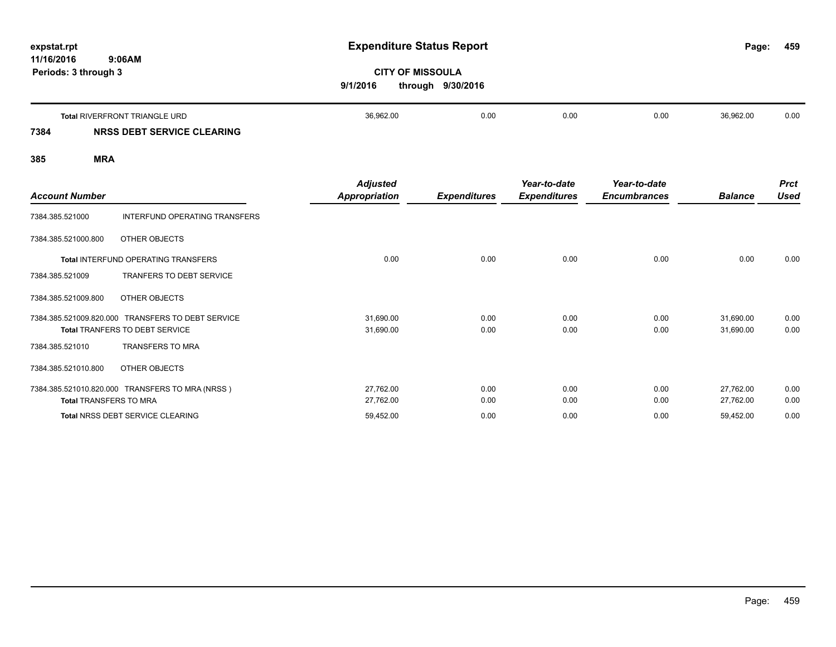| expstat.rpt<br>11/16/2016 | 9:06AM                               |                                                                                                                                                         |  |  |  |  | 459  |
|---------------------------|--------------------------------------|---------------------------------------------------------------------------------------------------------------------------------------------------------|--|--|--|--|------|
| Periods: 3 through 3      |                                      | <b>Expenditure Status Report</b><br>Page:<br><b>CITY OF MISSOULA</b><br>through 9/30/2016<br>9/1/2016<br>36,962.00<br>0.00<br>0.00<br>0.00<br>36,962.00 |  |  |  |  |      |
|                           | <b>Total RIVERFRONT TRIANGLE URD</b> |                                                                                                                                                         |  |  |  |  | 0.00 |
| 7384                      | NRSS DEBT SERVICE CLEARING           |                                                                                                                                                         |  |  |  |  |      |

| <b>Account Number</b>         |                                                 | <b>Adjusted</b><br>Appropriation | <b>Expenditures</b> | Year-to-date<br><b>Expenditures</b> | Year-to-date<br><b>Encumbrances</b> | <b>Balance</b> | <b>Prct</b><br><b>Used</b> |
|-------------------------------|-------------------------------------------------|----------------------------------|---------------------|-------------------------------------|-------------------------------------|----------------|----------------------------|
| 7384.385.521000               | INTERFUND OPERATING TRANSFERS                   |                                  |                     |                                     |                                     |                |                            |
| 7384.385.521000.800           | OTHER OBJECTS                                   |                                  |                     |                                     |                                     |                |                            |
|                               | <b>Total INTERFUND OPERATING TRANSFERS</b>      | 0.00                             | 0.00                | 0.00                                | 0.00                                | 0.00           | 0.00                       |
| 7384.385.521009               | TRANFERS TO DEBT SERVICE                        |                                  |                     |                                     |                                     |                |                            |
| 7384.385.521009.800           | OTHER OBJECTS                                   |                                  |                     |                                     |                                     |                |                            |
| 7384.385.521009.820.000       | <b>TRANSFERS TO DEBT SERVICE</b>                | 31,690.00                        | 0.00                | 0.00                                | 0.00                                | 31,690.00      | 0.00                       |
|                               | Total TRANFERS TO DEBT SERVICE                  | 31,690.00                        | 0.00                | 0.00                                | 0.00                                | 31,690.00      | 0.00                       |
| 7384.385.521010               | <b>TRANSFERS TO MRA</b>                         |                                  |                     |                                     |                                     |                |                            |
| 7384.385.521010.800           | OTHER OBJECTS                                   |                                  |                     |                                     |                                     |                |                            |
|                               | 7384.385.521010.820.000 TRANSFERS TO MRA (NRSS) | 27,762.00                        | 0.00                | 0.00                                | 0.00                                | 27,762.00      | 0.00                       |
| <b>Total TRANSFERS TO MRA</b> |                                                 | 27,762.00                        | 0.00                | 0.00                                | 0.00                                | 27,762.00      | 0.00                       |
|                               | <b>Total NRSS DEBT SERVICE CLEARING</b>         | 59,452.00                        | 0.00                | 0.00                                | 0.00                                | 59,452.00      | 0.00                       |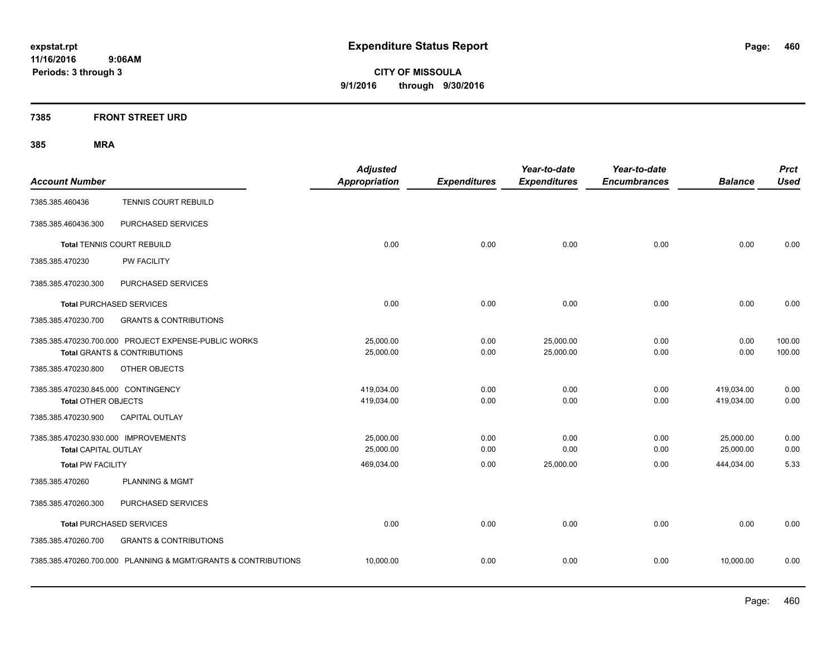**CITY OF MISSOULA 9/1/2016 through 9/30/2016**

## **7385 FRONT STREET URD**

|                                      |                                                                | <b>Adjusted</b>      |                     | Year-to-date        | Year-to-date        |                | <b>Prct</b> |
|--------------------------------------|----------------------------------------------------------------|----------------------|---------------------|---------------------|---------------------|----------------|-------------|
| <b>Account Number</b>                |                                                                | <b>Appropriation</b> | <b>Expenditures</b> | <b>Expenditures</b> | <b>Encumbrances</b> | <b>Balance</b> | <b>Used</b> |
| 7385.385.460436                      | TENNIS COURT REBUILD                                           |                      |                     |                     |                     |                |             |
| 7385.385.460436.300                  | PURCHASED SERVICES                                             |                      |                     |                     |                     |                |             |
|                                      | <b>Total TENNIS COURT REBUILD</b>                              | 0.00                 | 0.00                | 0.00                | 0.00                | 0.00           | 0.00        |
| 7385.385.470230                      | <b>PW FACILITY</b>                                             |                      |                     |                     |                     |                |             |
| 7385.385.470230.300                  | PURCHASED SERVICES                                             |                      |                     |                     |                     |                |             |
| <b>Total PURCHASED SERVICES</b>      |                                                                | 0.00                 | 0.00                | 0.00                | 0.00                | 0.00           | 0.00        |
| 7385.385.470230.700                  | <b>GRANTS &amp; CONTRIBUTIONS</b>                              |                      |                     |                     |                     |                |             |
|                                      | 7385.385.470230.700.000 PROJECT EXPENSE-PUBLIC WORKS           | 25,000.00            | 0.00                | 25,000.00           | 0.00                | 0.00           | 100.00      |
|                                      | <b>Total GRANTS &amp; CONTRIBUTIONS</b>                        | 25,000.00            | 0.00                | 25,000.00           | 0.00                | 0.00           | 100.00      |
| 7385.385.470230.800                  | OTHER OBJECTS                                                  |                      |                     |                     |                     |                |             |
| 7385.385.470230.845.000 CONTINGENCY  |                                                                | 419,034.00           | 0.00                | 0.00                | 0.00                | 419,034.00     | 0.00        |
| <b>Total OTHER OBJECTS</b>           |                                                                | 419,034.00           | 0.00                | 0.00                | 0.00                | 419,034.00     | 0.00        |
| 7385.385.470230.900                  | <b>CAPITAL OUTLAY</b>                                          |                      |                     |                     |                     |                |             |
| 7385.385.470230.930.000 IMPROVEMENTS |                                                                | 25,000.00            | 0.00                | 0.00                | 0.00                | 25,000.00      | 0.00        |
| <b>Total CAPITAL OUTLAY</b>          |                                                                | 25,000.00            | 0.00                | 0.00                | 0.00                | 25,000.00      | 0.00        |
| <b>Total PW FACILITY</b>             |                                                                | 469,034.00           | 0.00                | 25,000.00           | 0.00                | 444,034.00     | 5.33        |
| 7385.385.470260                      | <b>PLANNING &amp; MGMT</b>                                     |                      |                     |                     |                     |                |             |
| 7385.385.470260.300                  | PURCHASED SERVICES                                             |                      |                     |                     |                     |                |             |
| <b>Total PURCHASED SERVICES</b>      |                                                                | 0.00                 | 0.00                | 0.00                | 0.00                | 0.00           | 0.00        |
| 7385.385.470260.700                  | <b>GRANTS &amp; CONTRIBUTIONS</b>                              |                      |                     |                     |                     |                |             |
|                                      | 7385.385.470260.700.000 PLANNING & MGMT/GRANTS & CONTRIBUTIONS | 10,000.00            | 0.00                | 0.00                | 0.00                | 10,000.00      | 0.00        |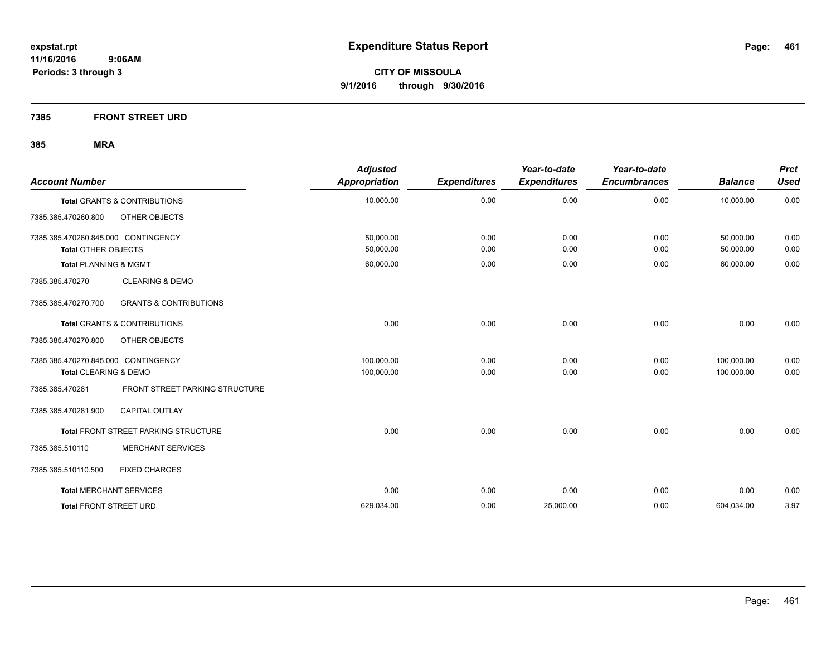**7385 FRONT STREET URD**

| <b>Account Number</b>                        |                                   | <b>Adjusted</b><br>Appropriation | <b>Expenditures</b> | Year-to-date<br><b>Expenditures</b> | Year-to-date<br><b>Encumbrances</b> | <b>Balance</b> | <b>Prct</b><br><b>Used</b> |
|----------------------------------------------|-----------------------------------|----------------------------------|---------------------|-------------------------------------|-------------------------------------|----------------|----------------------------|
| <b>Total GRANTS &amp; CONTRIBUTIONS</b>      |                                   | 10,000.00                        | 0.00                | 0.00                                | 0.00                                | 10,000.00      | 0.00                       |
| OTHER OBJECTS<br>7385.385.470260.800         |                                   |                                  |                     |                                     |                                     |                |                            |
| 7385.385.470260.845.000 CONTINGENCY          |                                   | 50,000.00                        | 0.00                | 0.00                                | 0.00                                | 50,000.00      | 0.00                       |
| <b>Total OTHER OBJECTS</b>                   |                                   | 50,000.00                        | 0.00                | 0.00                                | 0.00                                | 50,000.00      | 0.00                       |
| <b>Total PLANNING &amp; MGMT</b>             |                                   | 60,000.00                        | 0.00                | 0.00                                | 0.00                                | 60,000.00      | 0.00                       |
| 7385.385.470270                              | <b>CLEARING &amp; DEMO</b>        |                                  |                     |                                     |                                     |                |                            |
| 7385.385.470270.700                          | <b>GRANTS &amp; CONTRIBUTIONS</b> |                                  |                     |                                     |                                     |                |                            |
| <b>Total GRANTS &amp; CONTRIBUTIONS</b>      |                                   | 0.00                             | 0.00                | 0.00                                | 0.00                                | 0.00           | 0.00                       |
| 7385.385.470270.800<br>OTHER OBJECTS         |                                   |                                  |                     |                                     |                                     |                |                            |
| 7385.385.470270.845.000 CONTINGENCY          |                                   | 100,000.00                       | 0.00                | 0.00                                | 0.00                                | 100,000.00     | 0.00                       |
| Total CLEARING & DEMO                        |                                   | 100,000.00                       | 0.00                | 0.00                                | 0.00                                | 100,000.00     | 0.00                       |
| 7385.385.470281                              | FRONT STREET PARKING STRUCTURE    |                                  |                     |                                     |                                     |                |                            |
| 7385.385.470281.900<br><b>CAPITAL OUTLAY</b> |                                   |                                  |                     |                                     |                                     |                |                            |
| Total FRONT STREET PARKING STRUCTURE         |                                   | 0.00                             | 0.00                | 0.00                                | 0.00                                | 0.00           | 0.00                       |
| 7385.385.510110                              | <b>MERCHANT SERVICES</b>          |                                  |                     |                                     |                                     |                |                            |
| <b>FIXED CHARGES</b><br>7385.385.510110.500  |                                   |                                  |                     |                                     |                                     |                |                            |
| <b>Total MERCHANT SERVICES</b>               |                                   | 0.00                             | 0.00                | 0.00                                | 0.00                                | 0.00           | 0.00                       |
| <b>Total FRONT STREET URD</b>                |                                   | 629,034.00                       | 0.00                | 25,000.00                           | 0.00                                | 604,034.00     | 3.97                       |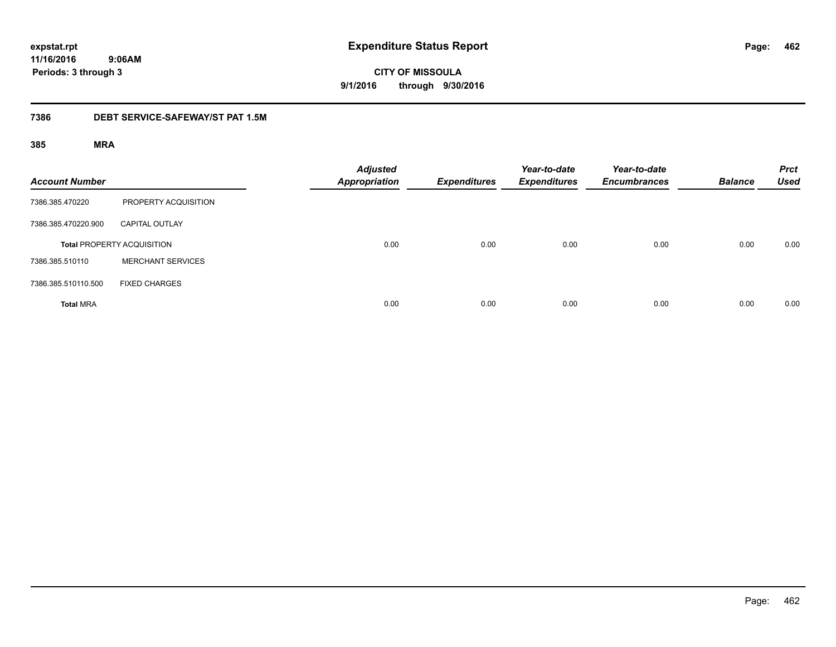**CITY OF MISSOULA 9/1/2016 through 9/30/2016**

## **7386 DEBT SERVICE-SAFEWAY/ST PAT 1.5M**

| <b>Account Number</b> |                                   | <b>Adjusted</b><br><b>Appropriation</b> | <b>Expenditures</b> | Year-to-date<br><b>Expenditures</b> | Year-to-date<br><b>Encumbrances</b> | <b>Balance</b> | <b>Prct</b><br><b>Used</b> |
|-----------------------|-----------------------------------|-----------------------------------------|---------------------|-------------------------------------|-------------------------------------|----------------|----------------------------|
| 7386.385.470220       | PROPERTY ACQUISITION              |                                         |                     |                                     |                                     |                |                            |
| 7386.385.470220.900   | <b>CAPITAL OUTLAY</b>             |                                         |                     |                                     |                                     |                |                            |
|                       | <b>Total PROPERTY ACQUISITION</b> | 0.00                                    | 0.00                | 0.00                                | 0.00                                | 0.00           | 0.00                       |
| 7386.385.510110       | <b>MERCHANT SERVICES</b>          |                                         |                     |                                     |                                     |                |                            |
| 7386.385.510110.500   | <b>FIXED CHARGES</b>              |                                         |                     |                                     |                                     |                |                            |
| <b>Total MRA</b>      |                                   | 0.00                                    | 0.00                | 0.00                                | 0.00                                | 0.00           | 0.00                       |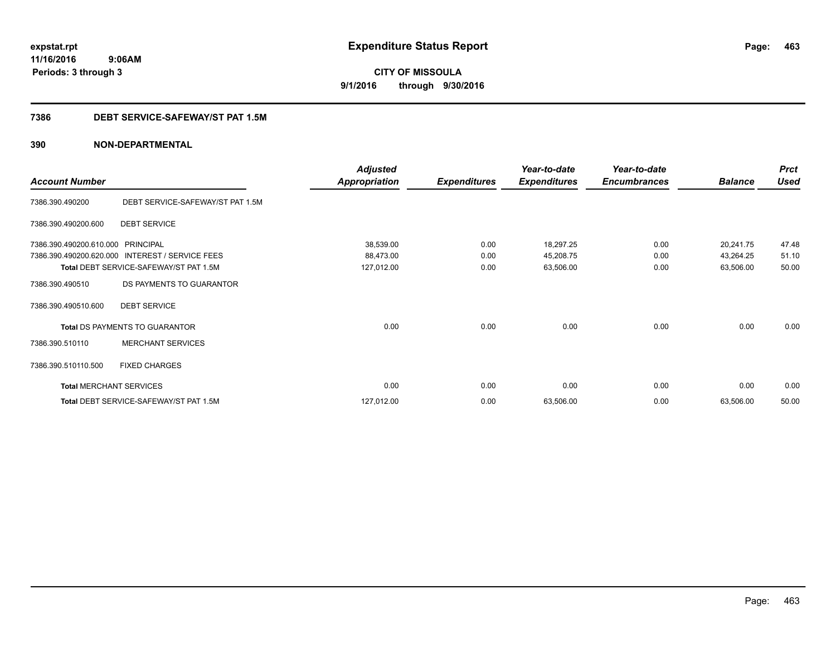**CITY OF MISSOULA 9/1/2016 through 9/30/2016**

## **7386 DEBT SERVICE-SAFEWAY/ST PAT 1.5M**

|                                |                                        | <b>Adjusted</b>      |                     | Year-to-date        | Year-to-date        |                | <b>Prct</b> |
|--------------------------------|----------------------------------------|----------------------|---------------------|---------------------|---------------------|----------------|-------------|
| <b>Account Number</b>          |                                        | <b>Appropriation</b> | <b>Expenditures</b> | <b>Expenditures</b> | <b>Encumbrances</b> | <b>Balance</b> | <b>Used</b> |
| 7386.390.490200                | DEBT SERVICE-SAFEWAY/ST PAT 1.5M       |                      |                     |                     |                     |                |             |
| 7386.390.490200.600            | <b>DEBT SERVICE</b>                    |                      |                     |                     |                     |                |             |
| 7386.390.490200.610.000        | <b>PRINCIPAL</b>                       | 38,539.00            | 0.00                | 18,297.25           | 0.00                | 20,241.75      | 47.48       |
| 7386.390.490200.620.000        | INTEREST / SERVICE FEES                | 88,473.00            | 0.00                | 45,208.75           | 0.00                | 43,264.25      | 51.10       |
|                                | Total DEBT SERVICE-SAFEWAY/ST PAT 1.5M | 127,012.00           | 0.00                | 63,506.00           | 0.00                | 63,506.00      | 50.00       |
| 7386.390.490510                | DS PAYMENTS TO GUARANTOR               |                      |                     |                     |                     |                |             |
| 7386.390.490510.600            | <b>DEBT SERVICE</b>                    |                      |                     |                     |                     |                |             |
|                                | Total DS PAYMENTS TO GUARANTOR         | 0.00                 | 0.00                | 0.00                | 0.00                | 0.00           | 0.00        |
| 7386.390.510110                | <b>MERCHANT SERVICES</b>               |                      |                     |                     |                     |                |             |
| 7386.390.510110.500            | <b>FIXED CHARGES</b>                   |                      |                     |                     |                     |                |             |
| <b>Total MERCHANT SERVICES</b> |                                        | 0.00                 | 0.00                | 0.00                | 0.00                | 0.00           | 0.00        |
|                                | Total DEBT SERVICE-SAFEWAY/ST PAT 1.5M | 127,012.00           | 0.00                | 63,506.00           | 0.00                | 63,506.00      | 50.00       |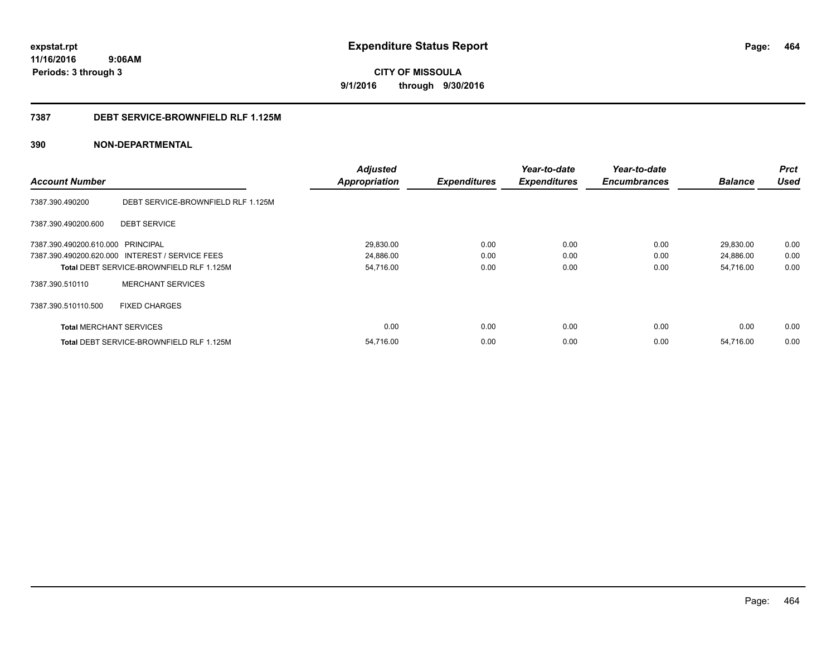**CITY OF MISSOULA 9/1/2016 through 9/30/2016**

## **7387 DEBT SERVICE-BROWNFIELD RLF 1.125M**

|                                   |                                                 | <b>Adjusted</b>      |                     | Year-to-date        | Year-to-date        |                | <b>Prct</b> |
|-----------------------------------|-------------------------------------------------|----------------------|---------------------|---------------------|---------------------|----------------|-------------|
| <b>Account Number</b>             |                                                 | <b>Appropriation</b> | <b>Expenditures</b> | <b>Expenditures</b> | <b>Encumbrances</b> | <b>Balance</b> | <b>Used</b> |
| 7387.390.490200                   | DEBT SERVICE-BROWNFIELD RLF 1.125M              |                      |                     |                     |                     |                |             |
| 7387.390.490200.600               | <b>DEBT SERVICE</b>                             |                      |                     |                     |                     |                |             |
| 7387.390.490200.610.000 PRINCIPAL |                                                 | 29,830.00            | 0.00                | 0.00                | 0.00                | 29,830.00      | 0.00        |
|                                   | 7387.390.490200.620.000 INTEREST / SERVICE FEES | 24,886.00            | 0.00                | 0.00                | 0.00                | 24,886.00      | 0.00        |
|                                   | Total DEBT SERVICE-BROWNFIELD RLF 1.125M        | 54,716.00            | 0.00                | 0.00                | 0.00                | 54,716.00      | 0.00        |
| 7387.390.510110                   | <b>MERCHANT SERVICES</b>                        |                      |                     |                     |                     |                |             |
| 7387.390.510110.500               | <b>FIXED CHARGES</b>                            |                      |                     |                     |                     |                |             |
| <b>Total MERCHANT SERVICES</b>    |                                                 | 0.00                 | 0.00                | 0.00                | 0.00                | 0.00           | 0.00        |
|                                   | Total DEBT SERVICE-BROWNFIELD RLF 1.125M        | 54,716.00            | 0.00                | 0.00                | 0.00                | 54,716.00      | 0.00        |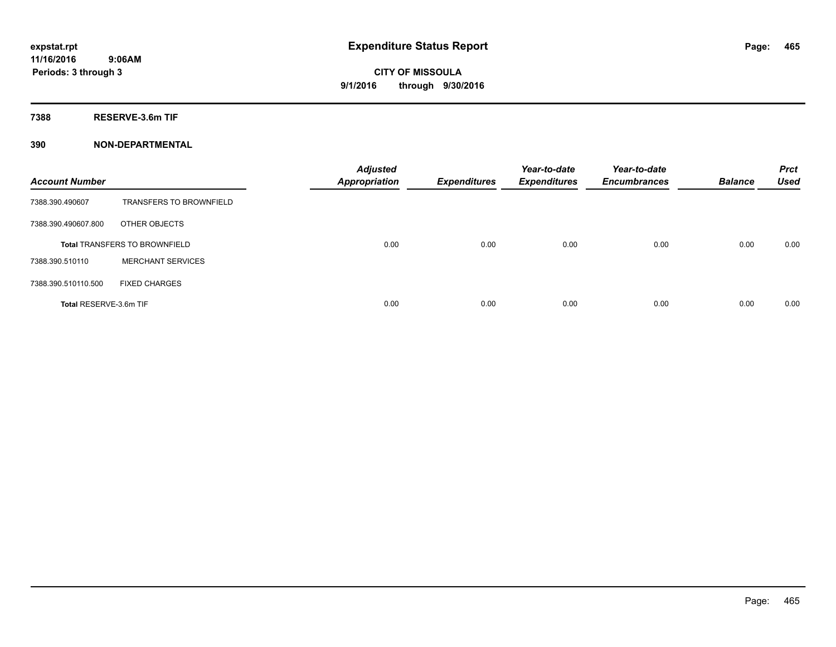**7388 RESERVE-3.6m TIF**

| <b>Account Number</b>  |                                      | <b>Adjusted</b><br>Appropriation | <b>Expenditures</b> | Year-to-date<br><b>Expenditures</b> | Year-to-date<br><b>Encumbrances</b> | <b>Balance</b> | <b>Prct</b><br><b>Used</b> |
|------------------------|--------------------------------------|----------------------------------|---------------------|-------------------------------------|-------------------------------------|----------------|----------------------------|
| 7388.390.490607        | <b>TRANSFERS TO BROWNFIELD</b>       |                                  |                     |                                     |                                     |                |                            |
| 7388.390.490607.800    | OTHER OBJECTS                        |                                  |                     |                                     |                                     |                |                            |
|                        | <b>Total TRANSFERS TO BROWNFIELD</b> | 0.00                             | 0.00                | 0.00                                | 0.00                                | 0.00           | 0.00                       |
| 7388.390.510110        | <b>MERCHANT SERVICES</b>             |                                  |                     |                                     |                                     |                |                            |
| 7388.390.510110.500    | <b>FIXED CHARGES</b>                 |                                  |                     |                                     |                                     |                |                            |
| Total RESERVE-3.6m TIF |                                      | 0.00                             | 0.00                | 0.00                                | 0.00                                | 0.00           | 0.00                       |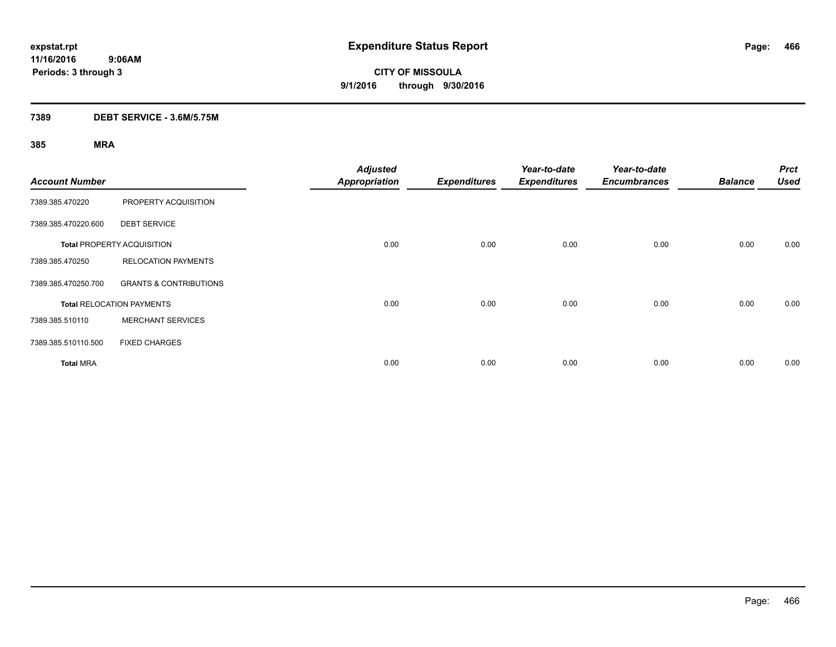## **7389 DEBT SERVICE - 3.6M/5.75M**

| <b>Account Number</b> |                                   | <b>Adjusted</b><br><b>Appropriation</b> | <b>Expenditures</b> | Year-to-date<br><b>Expenditures</b> | Year-to-date<br><b>Encumbrances</b> | <b>Balance</b> | <b>Prct</b><br><b>Used</b> |
|-----------------------|-----------------------------------|-----------------------------------------|---------------------|-------------------------------------|-------------------------------------|----------------|----------------------------|
| 7389.385.470220       | PROPERTY ACQUISITION              |                                         |                     |                                     |                                     |                |                            |
| 7389.385.470220.600   | <b>DEBT SERVICE</b>               |                                         |                     |                                     |                                     |                |                            |
|                       | <b>Total PROPERTY ACQUISITION</b> | 0.00                                    | 0.00                | 0.00                                | 0.00                                | 0.00           | 0.00                       |
| 7389.385.470250       | <b>RELOCATION PAYMENTS</b>        |                                         |                     |                                     |                                     |                |                            |
| 7389.385.470250.700   | <b>GRANTS &amp; CONTRIBUTIONS</b> |                                         |                     |                                     |                                     |                |                            |
|                       | <b>Total RELOCATION PAYMENTS</b>  | 0.00                                    | 0.00                | 0.00                                | 0.00                                | 0.00           | 0.00                       |
| 7389.385.510110       | <b>MERCHANT SERVICES</b>          |                                         |                     |                                     |                                     |                |                            |
| 7389.385.510110.500   | <b>FIXED CHARGES</b>              |                                         |                     |                                     |                                     |                |                            |
| <b>Total MRA</b>      |                                   | 0.00                                    | 0.00                | 0.00                                | 0.00                                | 0.00           | 0.00                       |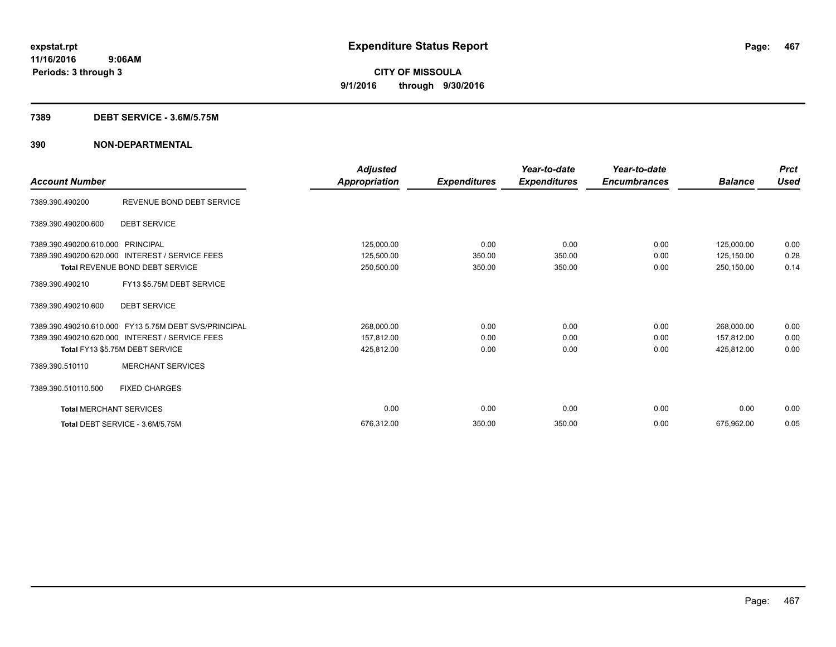#### **7389 DEBT SERVICE - 3.6M/5.75M**

| <b>Account Number</b>          |                                                       | <b>Adjusted</b><br>Appropriation | <b>Expenditures</b> | Year-to-date<br><b>Expenditures</b> | Year-to-date<br><b>Encumbrances</b> | <b>Balance</b> | <b>Prct</b><br><b>Used</b> |
|--------------------------------|-------------------------------------------------------|----------------------------------|---------------------|-------------------------------------|-------------------------------------|----------------|----------------------------|
| 7389.390.490200                | REVENUE BOND DEBT SERVICE                             |                                  |                     |                                     |                                     |                |                            |
| 7389.390.490200.600            | <b>DEBT SERVICE</b>                                   |                                  |                     |                                     |                                     |                |                            |
| 7389.390.490200.610.000        | PRINCIPAL                                             | 125,000.00                       | 0.00                | 0.00                                | 0.00                                | 125,000.00     | 0.00                       |
| 7389.390.490200.620.000        | <b>INTEREST / SERVICE FEES</b>                        | 125,500.00                       | 350.00              | 350.00                              | 0.00                                | 125,150.00     | 0.28                       |
|                                | Total REVENUE BOND DEBT SERVICE                       | 250,500.00                       | 350.00              | 350.00                              | 0.00                                | 250,150.00     | 0.14                       |
| 7389.390.490210                | FY13 \$5.75M DEBT SERVICE                             |                                  |                     |                                     |                                     |                |                            |
| 7389.390.490210.600            | <b>DEBT SERVICE</b>                                   |                                  |                     |                                     |                                     |                |                            |
|                                | 7389.390.490210.610.000 FY13 5.75M DEBT SVS/PRINCIPAL | 268,000.00                       | 0.00                | 0.00                                | 0.00                                | 268,000.00     | 0.00                       |
|                                | 7389.390.490210.620.000 INTEREST / SERVICE FEES       | 157,812.00                       | 0.00                | 0.00                                | 0.00                                | 157,812.00     | 0.00                       |
|                                | Total FY13 \$5.75M DEBT SERVICE                       | 425,812.00                       | 0.00                | 0.00                                | 0.00                                | 425,812.00     | 0.00                       |
| 7389.390.510110                | <b>MERCHANT SERVICES</b>                              |                                  |                     |                                     |                                     |                |                            |
| 7389.390.510110.500            | <b>FIXED CHARGES</b>                                  |                                  |                     |                                     |                                     |                |                            |
| <b>Total MERCHANT SERVICES</b> |                                                       | 0.00                             | 0.00                | 0.00                                | 0.00                                | 0.00           | 0.00                       |
|                                | Total DEBT SERVICE - 3.6M/5.75M                       | 676,312.00                       | 350.00              | 350.00                              | 0.00                                | 675.962.00     | 0.05                       |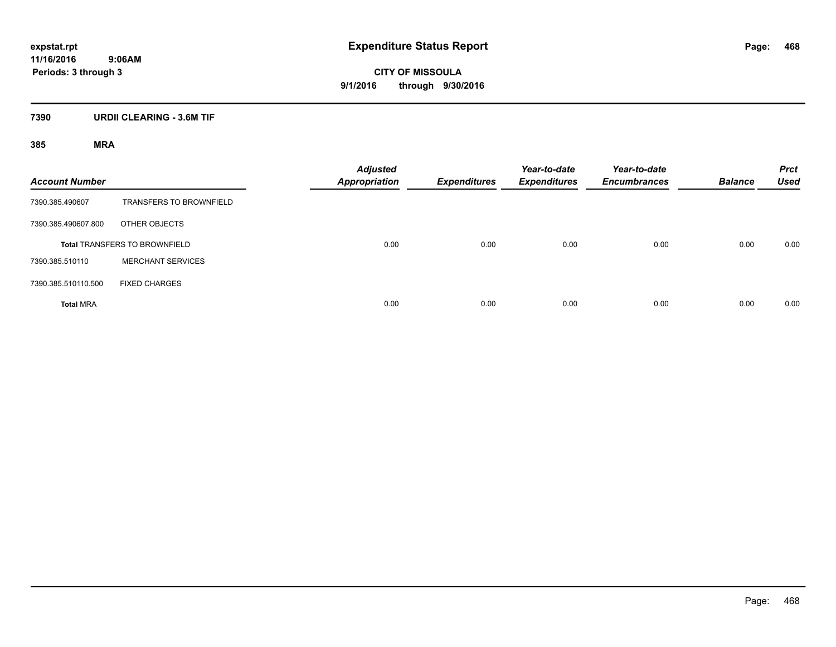**CITY OF MISSOULA 9/1/2016 through 9/30/2016**

## **7390 URDII CLEARING - 3.6M TIF**

| <b>Account Number</b>                |                                | <b>Adjusted</b><br><b>Appropriation</b> | <b>Expenditures</b> | Year-to-date<br><b>Expenditures</b> | Year-to-date<br><b>Encumbrances</b> | <b>Balance</b> | <b>Prct</b><br><b>Used</b> |
|--------------------------------------|--------------------------------|-----------------------------------------|---------------------|-------------------------------------|-------------------------------------|----------------|----------------------------|
| 7390.385.490607                      | <b>TRANSFERS TO BROWNFIELD</b> |                                         |                     |                                     |                                     |                |                            |
| 7390.385.490607.800                  | OTHER OBJECTS                  |                                         |                     |                                     |                                     |                |                            |
| <b>Total TRANSFERS TO BROWNFIELD</b> |                                | 0.00                                    | 0.00                | 0.00                                | 0.00                                | 0.00           | 0.00                       |
| 7390.385.510110                      | <b>MERCHANT SERVICES</b>       |                                         |                     |                                     |                                     |                |                            |
| 7390.385.510110.500                  | <b>FIXED CHARGES</b>           |                                         |                     |                                     |                                     |                |                            |
| <b>Total MRA</b>                     |                                | 0.00                                    | 0.00                | 0.00                                | 0.00                                | 0.00           | 0.00                       |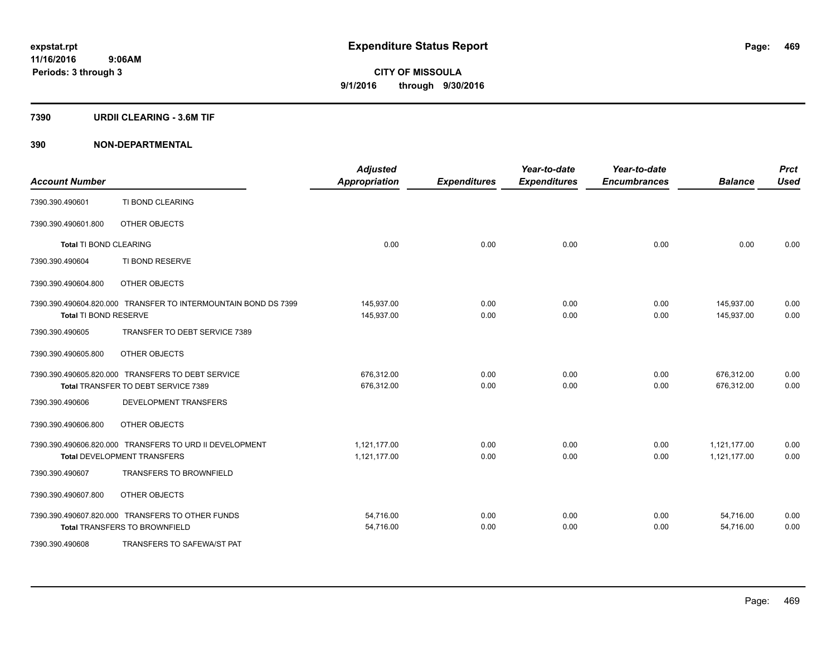#### **7390 URDII CLEARING - 3.6M TIF**

### **390 NON-DEPARTMENTAL**

| <b>Account Number</b>         |                                                                                          | <b>Adjusted</b><br><b>Appropriation</b> | <b>Expenditures</b> | Year-to-date<br><b>Expenditures</b> | Year-to-date<br><b>Encumbrances</b> | <b>Balance</b>               | <b>Prct</b><br><b>Used</b> |
|-------------------------------|------------------------------------------------------------------------------------------|-----------------------------------------|---------------------|-------------------------------------|-------------------------------------|------------------------------|----------------------------|
| 7390.390.490601               | TI BOND CLEARING                                                                         |                                         |                     |                                     |                                     |                              |                            |
| 7390.390.490601.800           | OTHER OBJECTS                                                                            |                                         |                     |                                     |                                     |                              |                            |
| <b>Total TI BOND CLEARING</b> |                                                                                          | 0.00                                    | 0.00                | 0.00                                | 0.00                                | 0.00                         | 0.00                       |
| 7390.390.490604               | TI BOND RESERVE                                                                          |                                         |                     |                                     |                                     |                              |                            |
| 7390.390.490604.800           | OTHER OBJECTS                                                                            |                                         |                     |                                     |                                     |                              |                            |
| Total TI BOND RESERVE         | 7390.390.490604.820.000 TRANSFER TO INTERMOUNTAIN BOND DS 7399                           | 145,937.00<br>145,937.00                | 0.00<br>0.00        | 0.00<br>0.00                        | 0.00<br>0.00                        | 145,937.00<br>145,937.00     | 0.00<br>0.00               |
| 7390.390.490605               | TRANSFER TO DEBT SERVICE 7389                                                            |                                         |                     |                                     |                                     |                              |                            |
| 7390.390.490605.800           | OTHER OBJECTS                                                                            |                                         |                     |                                     |                                     |                              |                            |
|                               | 7390.390.490605.820.000 TRANSFERS TO DEBT SERVICE<br>Total TRANSFER TO DEBT SERVICE 7389 | 676,312.00<br>676,312.00                | 0.00<br>0.00        | 0.00<br>0.00                        | 0.00<br>0.00                        | 676,312.00<br>676,312.00     | 0.00<br>0.00               |
| 7390.390.490606               | DEVELOPMENT TRANSFERS                                                                    |                                         |                     |                                     |                                     |                              |                            |
| 7390.390.490606.800           | OTHER OBJECTS                                                                            |                                         |                     |                                     |                                     |                              |                            |
|                               | 7390.390.490606.820.000 TRANSFERS TO URD II DEVELOPMENT<br>Total DEVELOPMENT TRANSFERS   | 1.121.177.00<br>1,121,177.00            | 0.00<br>0.00        | 0.00<br>0.00                        | 0.00<br>0.00                        | 1,121,177.00<br>1,121,177.00 | 0.00<br>0.00               |
| 7390.390.490607               | <b>TRANSFERS TO BROWNFIELD</b>                                                           |                                         |                     |                                     |                                     |                              |                            |
| 7390.390.490607.800           | OTHER OBJECTS                                                                            |                                         |                     |                                     |                                     |                              |                            |
|                               | 7390.390.490607.820.000 TRANSFERS TO OTHER FUNDS<br><b>Total TRANSFERS TO BROWNFIELD</b> | 54,716.00<br>54,716.00                  | 0.00<br>0.00        | 0.00<br>0.00                        | 0.00<br>0.00                        | 54,716.00<br>54,716.00       | 0.00<br>0.00               |
| 7390.390.490608               | TRANSFERS TO SAFEWA/ST PAT                                                               |                                         |                     |                                     |                                     |                              |                            |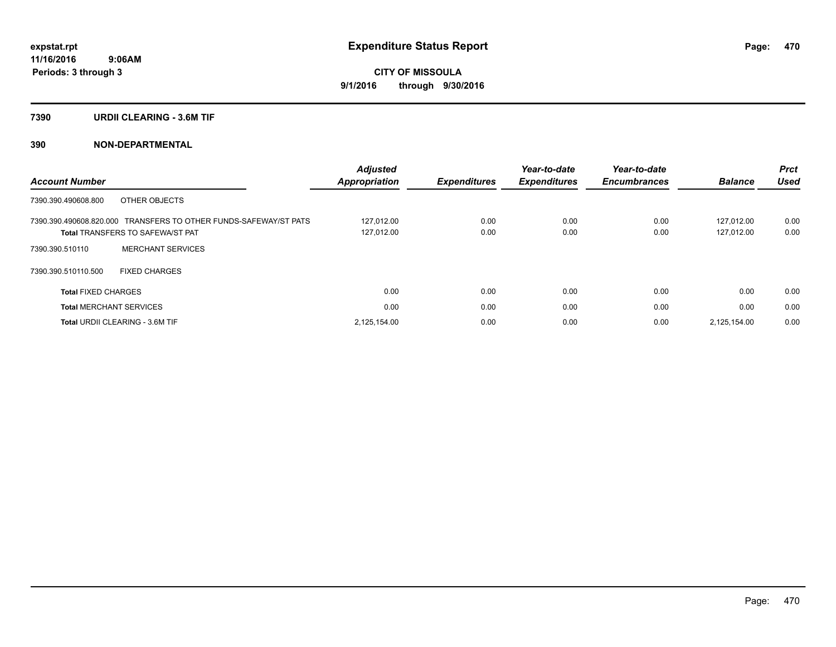#### **7390 URDII CLEARING - 3.6M TIF**

### **390 NON-DEPARTMENTAL**

| <b>Account Number</b>                                                                                       | <b>Adjusted</b><br>Appropriation | <b>Expenditures</b> | Year-to-date<br><b>Expenditures</b> | Year-to-date<br><b>Encumbrances</b> | <b>Balance</b>           | <b>Prct</b><br><b>Used</b> |
|-------------------------------------------------------------------------------------------------------------|----------------------------------|---------------------|-------------------------------------|-------------------------------------|--------------------------|----------------------------|
| OTHER OBJECTS<br>7390.390.490608.800                                                                        |                                  |                     |                                     |                                     |                          |                            |
| 7390.390.490608.820.000 TRANSFERS TO OTHER FUNDS-SAFEWAY/ST PATS<br><b>Total TRANSFERS TO SAFEWA/ST PAT</b> | 127.012.00<br>127,012.00         | 0.00<br>0.00        | 0.00<br>0.00                        | 0.00<br>0.00                        | 127.012.00<br>127,012.00 | 0.00<br>0.00               |
| <b>MERCHANT SERVICES</b><br>7390.390.510110                                                                 |                                  |                     |                                     |                                     |                          |                            |
| 7390.390.510110.500<br><b>FIXED CHARGES</b>                                                                 |                                  |                     |                                     |                                     |                          |                            |
| <b>Total FIXED CHARGES</b>                                                                                  | 0.00                             | 0.00                | 0.00                                | 0.00                                | 0.00                     | 0.00                       |
| <b>Total MERCHANT SERVICES</b>                                                                              | 0.00                             | 0.00                | 0.00                                | 0.00                                | 0.00                     | 0.00                       |
| <b>Total URDII CLEARING - 3.6M TIF</b>                                                                      | 2,125,154.00                     | 0.00                | 0.00                                | 0.00                                | 2,125,154.00             | 0.00                       |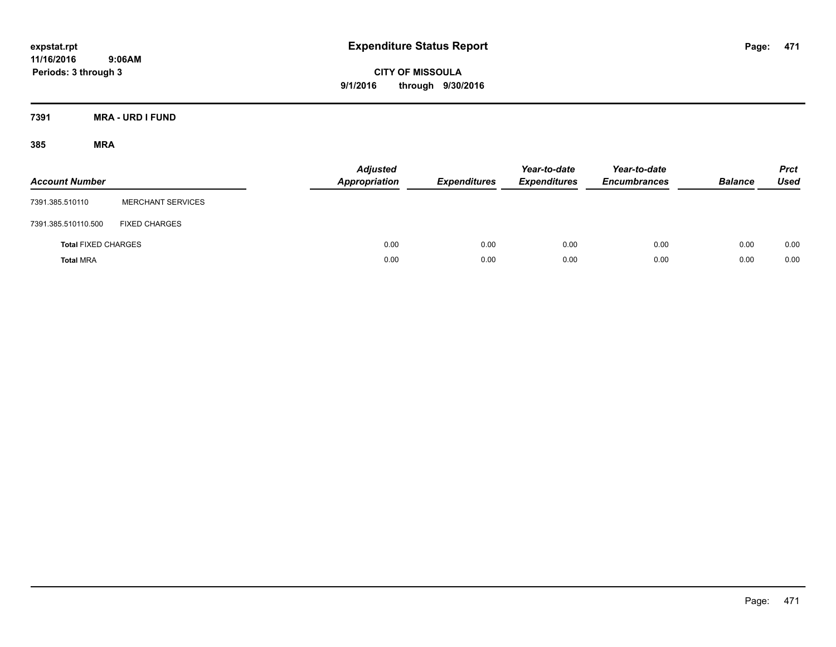**CITY OF MISSOULA 9/1/2016 through 9/30/2016**

**7391 MRA - URD I FUND**

| <b>Account Number</b>      |                          | <b>Adjusted</b><br><b>Appropriation</b> | <b>Expenditures</b> | Year-to-date<br><b>Expenditures</b> | Year-to-date<br><b>Encumbrances</b> | <b>Balance</b> | <b>Prct</b><br><b>Used</b> |
|----------------------------|--------------------------|-----------------------------------------|---------------------|-------------------------------------|-------------------------------------|----------------|----------------------------|
| 7391.385.510110            | <b>MERCHANT SERVICES</b> |                                         |                     |                                     |                                     |                |                            |
| 7391.385.510110.500        | <b>FIXED CHARGES</b>     |                                         |                     |                                     |                                     |                |                            |
| <b>Total FIXED CHARGES</b> |                          | 0.00                                    | 0.00                | 0.00                                | 0.00                                | 0.00           | 0.00                       |
| <b>Total MRA</b>           |                          | 0.00                                    | 0.00                | 0.00                                | 0.00                                | 0.00           | 0.00                       |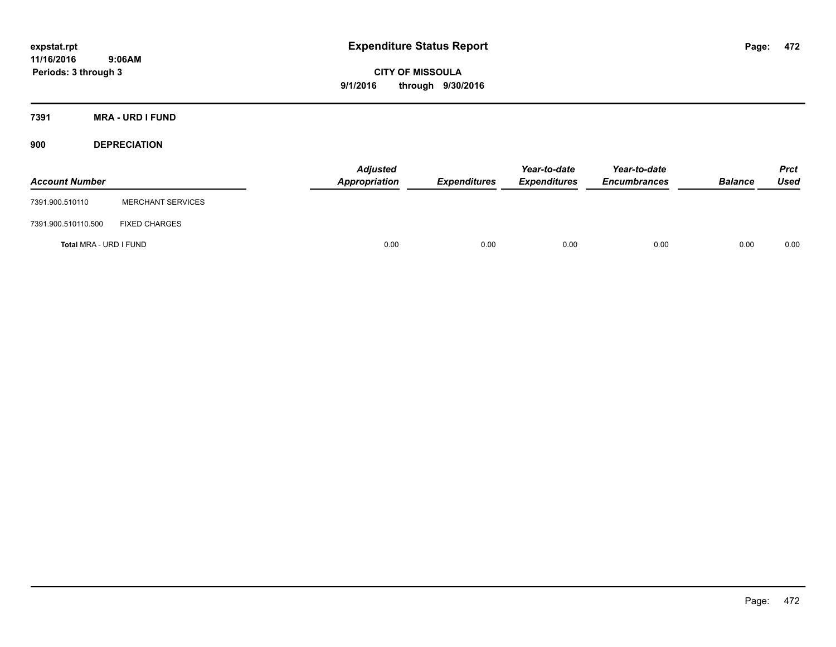**CITY OF MISSOULA 9/1/2016 through 9/30/2016**

**7391 MRA - URD I FUND**

**900 DEPRECIATION**

| <b>Account Number</b>  |                          | Adjusted<br>Appropriation | <b>Expenditures</b> | Year-to-date<br><b>Expenditures</b> | Year-to-date<br><b>Encumbrances</b> | <b>Balance</b> | Prct<br><b>Used</b> |
|------------------------|--------------------------|---------------------------|---------------------|-------------------------------------|-------------------------------------|----------------|---------------------|
| 7391.900.510110        | <b>MERCHANT SERVICES</b> |                           |                     |                                     |                                     |                |                     |
| 7391.900.510110.500    | <b>FIXED CHARGES</b>     |                           |                     |                                     |                                     |                |                     |
| Total MRA - URD I FUND |                          | 0.00                      | 0.00                | 0.00                                | 0.00                                | 0.00           | 0.00                |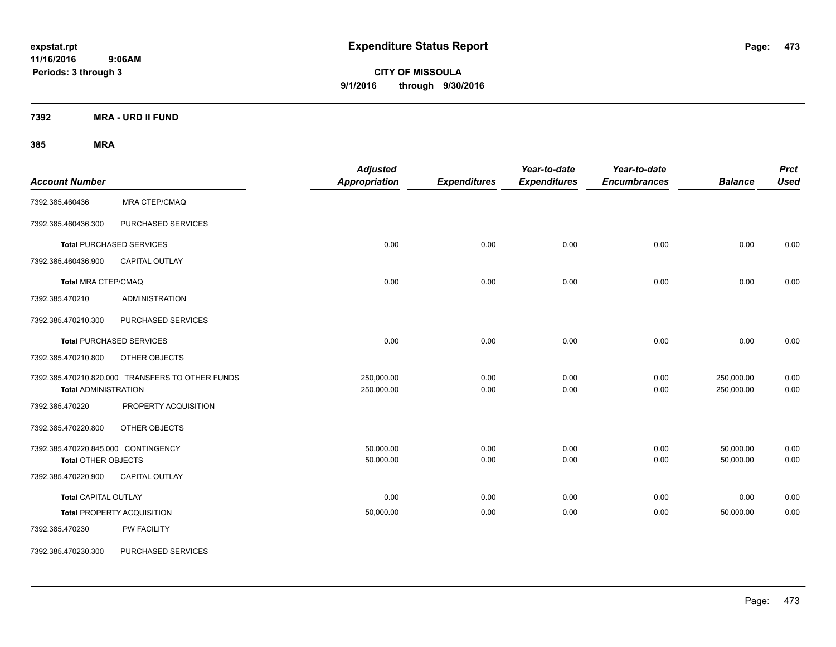**CITY OF MISSOULA 9/1/2016 through 9/30/2016**

**7392 MRA - URD II FUND**

| <b>Account Number</b>                                      |                                                  | <b>Adjusted</b><br><b>Appropriation</b> | <b>Expenditures</b> | Year-to-date<br><b>Expenditures</b> | Year-to-date<br><b>Encumbrances</b> | <b>Balance</b>           | <b>Prct</b><br><b>Used</b> |
|------------------------------------------------------------|--------------------------------------------------|-----------------------------------------|---------------------|-------------------------------------|-------------------------------------|--------------------------|----------------------------|
| 7392.385.460436                                            | <b>MRA CTEP/CMAQ</b>                             |                                         |                     |                                     |                                     |                          |                            |
| 7392.385.460436.300                                        | PURCHASED SERVICES                               |                                         |                     |                                     |                                     |                          |                            |
|                                                            | <b>Total PURCHASED SERVICES</b>                  | 0.00                                    | 0.00                | 0.00                                | 0.00                                | 0.00                     | 0.00                       |
| 7392.385.460436.900                                        | CAPITAL OUTLAY                                   |                                         |                     |                                     |                                     |                          |                            |
| Total MRA CTEP/CMAQ                                        |                                                  | 0.00                                    | 0.00                | 0.00                                | 0.00                                | 0.00                     | 0.00                       |
| 7392.385.470210                                            | <b>ADMINISTRATION</b>                            |                                         |                     |                                     |                                     |                          |                            |
| 7392.385.470210.300                                        | PURCHASED SERVICES                               |                                         |                     |                                     |                                     |                          |                            |
|                                                            | <b>Total PURCHASED SERVICES</b>                  | 0.00                                    | 0.00                | 0.00                                | 0.00                                | 0.00                     | 0.00                       |
| 7392.385.470210.800                                        | OTHER OBJECTS                                    |                                         |                     |                                     |                                     |                          |                            |
| <b>Total ADMINISTRATION</b>                                | 7392.385.470210.820.000 TRANSFERS TO OTHER FUNDS | 250,000.00<br>250,000.00                | 0.00<br>0.00        | 0.00<br>0.00                        | 0.00<br>0.00                        | 250,000.00<br>250,000.00 | 0.00<br>0.00               |
| 7392.385.470220                                            | PROPERTY ACQUISITION                             |                                         |                     |                                     |                                     |                          |                            |
| 7392.385.470220.800                                        | OTHER OBJECTS                                    |                                         |                     |                                     |                                     |                          |                            |
| 7392.385.470220.845.000 CONTINGENCY<br>Total OTHER OBJECTS |                                                  | 50,000.00<br>50,000.00                  | 0.00<br>0.00        | 0.00<br>0.00                        | 0.00<br>0.00                        | 50,000.00<br>50,000.00   | 0.00<br>0.00               |
| 7392.385.470220.900                                        | CAPITAL OUTLAY                                   |                                         |                     |                                     |                                     |                          |                            |
| <b>Total CAPITAL OUTLAY</b>                                |                                                  | 0.00                                    | 0.00                | 0.00                                | 0.00                                | 0.00                     | 0.00                       |
|                                                            | <b>Total PROPERTY ACQUISITION</b>                | 50,000.00                               | 0.00                | 0.00                                | 0.00                                | 50,000.00                | 0.00                       |
| 7392.385.470230                                            | PW FACILITY                                      |                                         |                     |                                     |                                     |                          |                            |
| 7392.385.470230.300                                        | PURCHASED SERVICES                               |                                         |                     |                                     |                                     |                          |                            |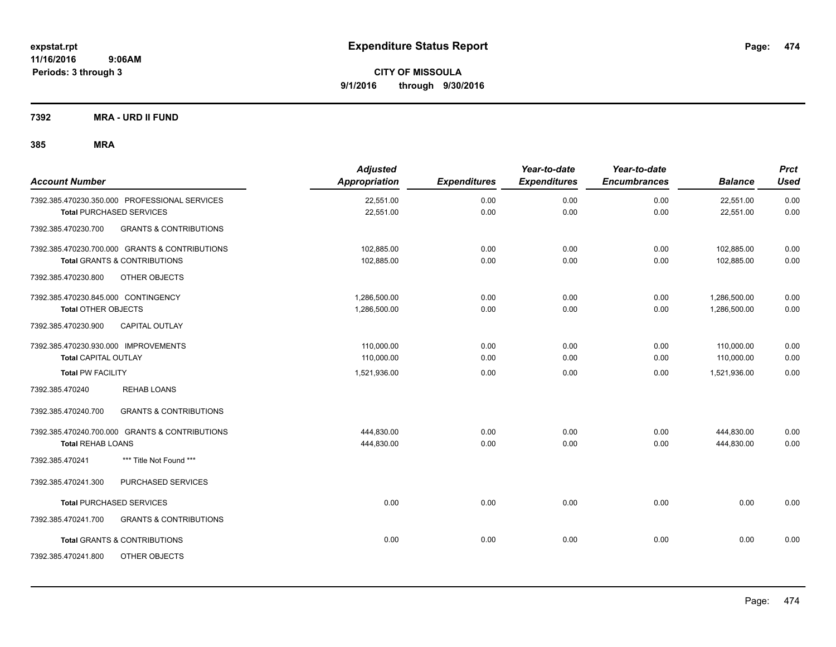**7392 MRA - URD II FUND**

| <b>Account Number</b>                                    | <b>Adjusted</b><br>Appropriation | <b>Expenditures</b> | Year-to-date<br><b>Expenditures</b> | Year-to-date<br><b>Encumbrances</b> | <b>Balance</b> | <b>Prct</b><br>Used |
|----------------------------------------------------------|----------------------------------|---------------------|-------------------------------------|-------------------------------------|----------------|---------------------|
| 7392.385.470230.350.000 PROFESSIONAL SERVICES            | 22,551.00                        | 0.00                | 0.00                                | 0.00                                | 22,551.00      | 0.00                |
| <b>Total PURCHASED SERVICES</b>                          | 22,551.00                        | 0.00                | 0.00                                | 0.00                                | 22,551.00      | 0.00                |
| <b>GRANTS &amp; CONTRIBUTIONS</b><br>7392.385.470230.700 |                                  |                     |                                     |                                     |                |                     |
| 7392.385.470230.700.000 GRANTS & CONTRIBUTIONS           | 102,885.00                       | 0.00                | 0.00                                | 0.00                                | 102,885.00     | 0.00                |
| <b>Total GRANTS &amp; CONTRIBUTIONS</b>                  | 102,885.00                       | 0.00                | 0.00                                | 0.00                                | 102,885.00     | 0.00                |
| 7392.385.470230.800<br>OTHER OBJECTS                     |                                  |                     |                                     |                                     |                |                     |
| 7392.385.470230.845.000 CONTINGENCY                      | 1,286,500.00                     | 0.00                | 0.00                                | 0.00                                | 1,286,500.00   | 0.00                |
| <b>Total OTHER OBJECTS</b>                               | 1,286,500.00                     | 0.00                | 0.00                                | 0.00                                | 1,286,500.00   | 0.00                |
| 7392.385.470230.900<br>CAPITAL OUTLAY                    |                                  |                     |                                     |                                     |                |                     |
| 7392.385.470230.930.000 IMPROVEMENTS                     | 110,000.00                       | 0.00                | 0.00                                | 0.00                                | 110,000.00     | 0.00                |
| <b>Total CAPITAL OUTLAY</b>                              | 110,000.00                       | 0.00                | 0.00                                | 0.00                                | 110,000.00     | 0.00                |
| <b>Total PW FACILITY</b>                                 | 1,521,936.00                     | 0.00                | 0.00                                | 0.00                                | 1,521,936.00   | 0.00                |
| <b>REHAB LOANS</b><br>7392.385.470240                    |                                  |                     |                                     |                                     |                |                     |
| <b>GRANTS &amp; CONTRIBUTIONS</b><br>7392.385.470240.700 |                                  |                     |                                     |                                     |                |                     |
| 7392.385.470240.700.000 GRANTS & CONTRIBUTIONS           | 444,830.00                       | 0.00                | 0.00                                | 0.00                                | 444,830.00     | 0.00                |
| <b>Total REHAB LOANS</b>                                 | 444,830.00                       | 0.00                | 0.00                                | 0.00                                | 444,830.00     | 0.00                |
| 7392.385.470241<br>*** Title Not Found ***               |                                  |                     |                                     |                                     |                |                     |
| PURCHASED SERVICES<br>7392.385.470241.300                |                                  |                     |                                     |                                     |                |                     |
| <b>Total PURCHASED SERVICES</b>                          | 0.00                             | 0.00                | 0.00                                | 0.00                                | 0.00           | 0.00                |
| 7392.385.470241.700<br><b>GRANTS &amp; CONTRIBUTIONS</b> |                                  |                     |                                     |                                     |                |                     |
| <b>Total GRANTS &amp; CONTRIBUTIONS</b>                  | 0.00                             | 0.00                | 0.00                                | 0.00                                | 0.00           | 0.00                |
| 7392.385.470241.800<br>OTHER OBJECTS                     |                                  |                     |                                     |                                     |                |                     |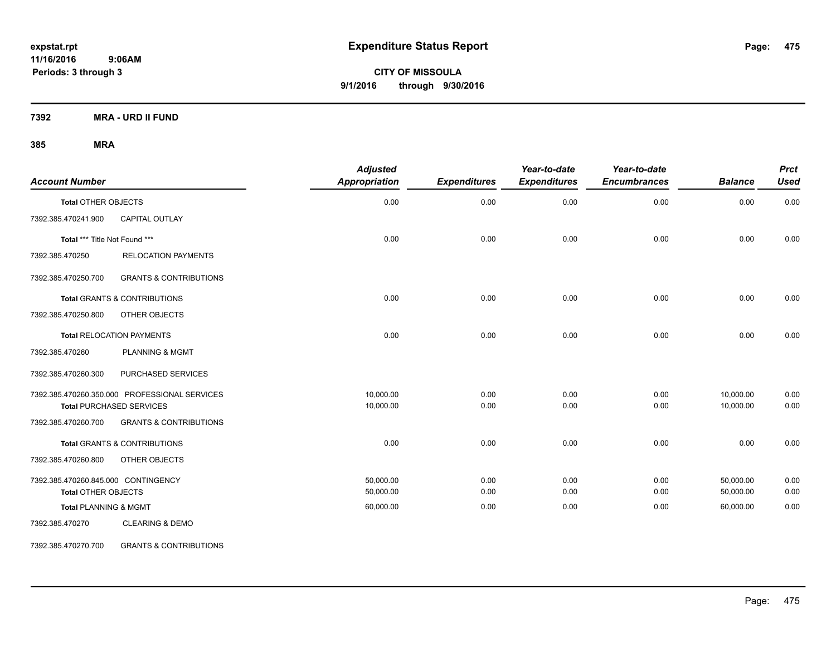**CITY OF MISSOULA 9/1/2016 through 9/30/2016**

**7392 MRA - URD II FUND**

### **385 MRA**

| <b>Account Number</b>               |                                               | <b>Adjusted</b><br>Appropriation | <b>Expenditures</b> | Year-to-date<br><b>Expenditures</b> | Year-to-date<br><b>Encumbrances</b> | <b>Balance</b> | <b>Prct</b><br><b>Used</b> |
|-------------------------------------|-----------------------------------------------|----------------------------------|---------------------|-------------------------------------|-------------------------------------|----------------|----------------------------|
| <b>Total OTHER OBJECTS</b>          |                                               | 0.00                             | 0.00                | 0.00                                | 0.00                                | 0.00           | 0.00                       |
| 7392.385.470241.900                 | <b>CAPITAL OUTLAY</b>                         |                                  |                     |                                     |                                     |                |                            |
| Total *** Title Not Found ***       |                                               | 0.00                             | 0.00                | 0.00                                | 0.00                                | 0.00           | 0.00                       |
| 7392.385.470250                     | <b>RELOCATION PAYMENTS</b>                    |                                  |                     |                                     |                                     |                |                            |
| 7392.385.470250.700                 | <b>GRANTS &amp; CONTRIBUTIONS</b>             |                                  |                     |                                     |                                     |                |                            |
|                                     | Total GRANTS & CONTRIBUTIONS                  | 0.00                             | 0.00                | 0.00                                | 0.00                                | 0.00           | 0.00                       |
| 7392.385.470250.800                 | OTHER OBJECTS                                 |                                  |                     |                                     |                                     |                |                            |
|                                     | <b>Total RELOCATION PAYMENTS</b>              | 0.00                             | 0.00                | 0.00                                | 0.00                                | 0.00           | 0.00                       |
| 7392.385.470260                     | <b>PLANNING &amp; MGMT</b>                    |                                  |                     |                                     |                                     |                |                            |
| 7392.385.470260.300                 | PURCHASED SERVICES                            |                                  |                     |                                     |                                     |                |                            |
|                                     | 7392.385.470260.350.000 PROFESSIONAL SERVICES | 10.000.00                        | 0.00                | 0.00                                | 0.00                                | 10,000.00      | 0.00                       |
|                                     | <b>Total PURCHASED SERVICES</b>               | 10,000.00                        | 0.00                | 0.00                                | 0.00                                | 10,000.00      | 0.00                       |
| 7392.385.470260.700                 | <b>GRANTS &amp; CONTRIBUTIONS</b>             |                                  |                     |                                     |                                     |                |                            |
|                                     | <b>Total GRANTS &amp; CONTRIBUTIONS</b>       | 0.00                             | 0.00                | 0.00                                | 0.00                                | 0.00           | 0.00                       |
| 7392.385.470260.800                 | OTHER OBJECTS                                 |                                  |                     |                                     |                                     |                |                            |
| 7392.385.470260.845.000 CONTINGENCY |                                               | 50.000.00                        | 0.00                | 0.00                                | 0.00                                | 50,000.00      | 0.00                       |
| <b>Total OTHER OBJECTS</b>          |                                               | 50,000.00                        | 0.00                | 0.00                                | 0.00                                | 50,000.00      | 0.00                       |
| <b>Total PLANNING &amp; MGMT</b>    |                                               | 60,000.00                        | 0.00                | 0.00                                | 0.00                                | 60,000.00      | 0.00                       |
| 7392.385.470270                     | <b>CLEARING &amp; DEMO</b>                    |                                  |                     |                                     |                                     |                |                            |

7392.385.470270.700 GRANTS & CONTRIBUTIONS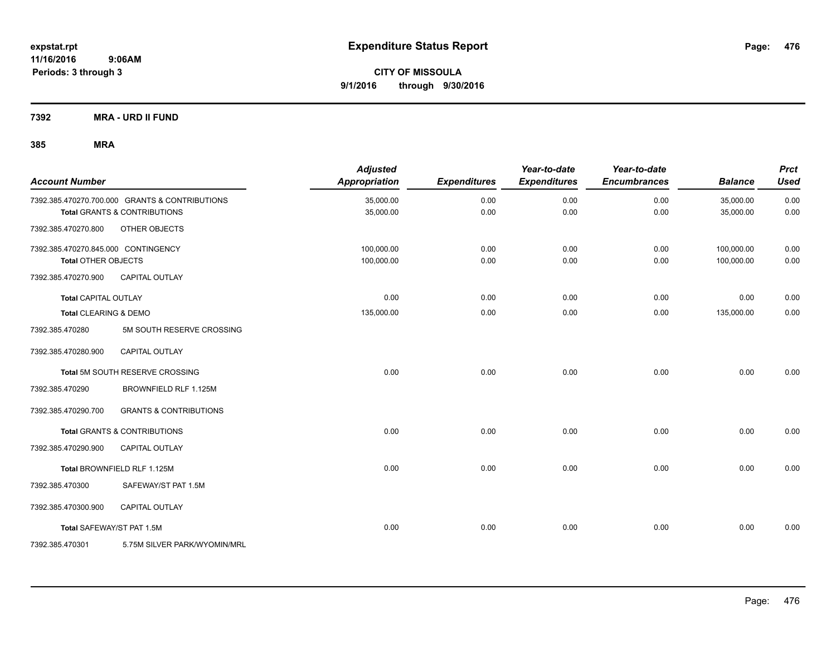**7392 MRA - URD II FUND**

| <b>Account Number</b>               |                                                | <b>Adjusted</b><br><b>Appropriation</b> | <b>Expenditures</b> | Year-to-date<br><b>Expenditures</b> | Year-to-date<br><b>Encumbrances</b> | <b>Balance</b> | <b>Prct</b><br><b>Used</b> |
|-------------------------------------|------------------------------------------------|-----------------------------------------|---------------------|-------------------------------------|-------------------------------------|----------------|----------------------------|
|                                     | 7392.385.470270.700.000 GRANTS & CONTRIBUTIONS | 35,000.00                               | 0.00                | 0.00                                | 0.00                                | 35,000.00      | 0.00                       |
|                                     | <b>Total GRANTS &amp; CONTRIBUTIONS</b>        | 35,000.00                               | 0.00                | 0.00                                | 0.00                                | 35,000.00      | 0.00                       |
| 7392.385.470270.800                 | OTHER OBJECTS                                  |                                         |                     |                                     |                                     |                |                            |
| 7392.385.470270.845.000 CONTINGENCY |                                                | 100,000.00                              | 0.00                | 0.00                                | 0.00                                | 100,000.00     | 0.00                       |
| <b>Total OTHER OBJECTS</b>          |                                                | 100,000.00                              | 0.00                | 0.00                                | 0.00                                | 100,000.00     | 0.00                       |
| 7392.385.470270.900                 | <b>CAPITAL OUTLAY</b>                          |                                         |                     |                                     |                                     |                |                            |
| <b>Total CAPITAL OUTLAY</b>         |                                                | 0.00                                    | 0.00                | 0.00                                | 0.00                                | 0.00           | 0.00                       |
| Total CLEARING & DEMO               |                                                | 135,000.00                              | 0.00                | 0.00                                | 0.00                                | 135,000.00     | 0.00                       |
| 7392.385.470280                     | 5M SOUTH RESERVE CROSSING                      |                                         |                     |                                     |                                     |                |                            |
| 7392.385.470280.900                 | CAPITAL OUTLAY                                 |                                         |                     |                                     |                                     |                |                            |
|                                     | Total 5M SOUTH RESERVE CROSSING                | 0.00                                    | 0.00                | 0.00                                | 0.00                                | 0.00           | 0.00                       |
| 7392.385.470290                     | BROWNFIELD RLF 1.125M                          |                                         |                     |                                     |                                     |                |                            |
| 7392.385.470290.700                 | <b>GRANTS &amp; CONTRIBUTIONS</b>              |                                         |                     |                                     |                                     |                |                            |
|                                     | Total GRANTS & CONTRIBUTIONS                   | 0.00                                    | 0.00                | 0.00                                | 0.00                                | 0.00           | 0.00                       |
| 7392.385.470290.900                 | <b>CAPITAL OUTLAY</b>                          |                                         |                     |                                     |                                     |                |                            |
|                                     | Total BROWNFIELD RLF 1.125M                    | 0.00                                    | 0.00                | 0.00                                | 0.00                                | 0.00           | 0.00                       |
| 7392.385.470300                     | SAFEWAY/ST PAT 1.5M                            |                                         |                     |                                     |                                     |                |                            |
| 7392.385.470300.900                 | <b>CAPITAL OUTLAY</b>                          |                                         |                     |                                     |                                     |                |                            |
| Total SAFEWAY/ST PAT 1.5M           |                                                | 0.00                                    | 0.00                | 0.00                                | 0.00                                | 0.00           | 0.00                       |
| 7392.385.470301                     | 5.75M SILVER PARK/WYOMIN/MRL                   |                                         |                     |                                     |                                     |                |                            |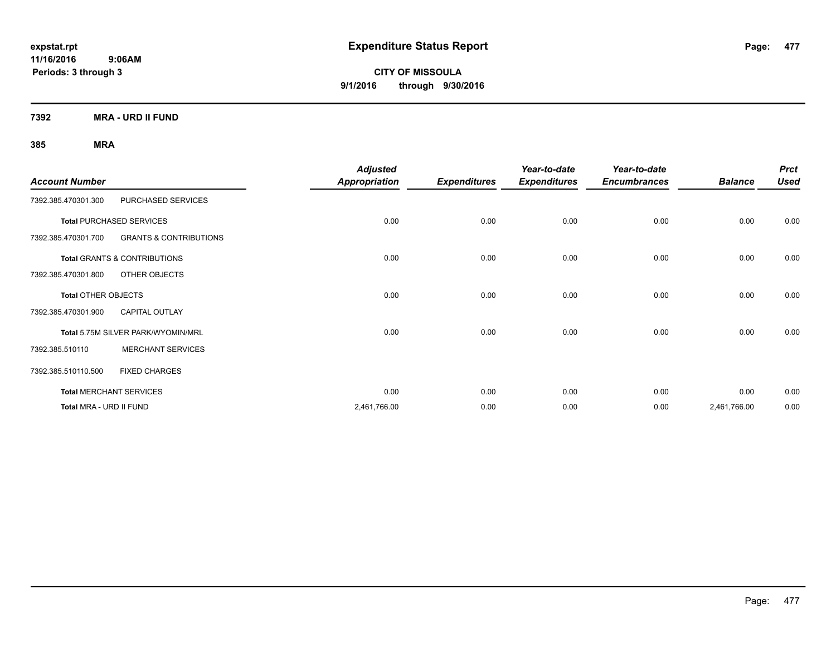**CITY OF MISSOULA 9/1/2016 through 9/30/2016**

**7392 MRA - URD II FUND**

| <b>Account Number</b>      |                                         | <b>Adjusted</b><br><b>Appropriation</b> | <b>Expenditures</b> | Year-to-date<br><b>Expenditures</b> | Year-to-date<br><b>Encumbrances</b> | <b>Balance</b> | <b>Prct</b><br><b>Used</b> |
|----------------------------|-----------------------------------------|-----------------------------------------|---------------------|-------------------------------------|-------------------------------------|----------------|----------------------------|
| 7392.385.470301.300        | PURCHASED SERVICES                      |                                         |                     |                                     |                                     |                |                            |
|                            | <b>Total PURCHASED SERVICES</b>         | 0.00                                    | 0.00                | 0.00                                | 0.00                                | 0.00           | 0.00                       |
| 7392.385.470301.700        | <b>GRANTS &amp; CONTRIBUTIONS</b>       |                                         |                     |                                     |                                     |                |                            |
|                            | <b>Total GRANTS &amp; CONTRIBUTIONS</b> | 0.00                                    | 0.00                | 0.00                                | 0.00                                | 0.00           | 0.00                       |
| 7392.385.470301.800        | OTHER OBJECTS                           |                                         |                     |                                     |                                     |                |                            |
| <b>Total OTHER OBJECTS</b> |                                         | 0.00                                    | 0.00                | 0.00                                | 0.00                                | 0.00           | 0.00                       |
| 7392.385.470301.900        | <b>CAPITAL OUTLAY</b>                   |                                         |                     |                                     |                                     |                |                            |
|                            | Total 5.75M SILVER PARK/WYOMIN/MRL      | 0.00                                    | 0.00                | 0.00                                | 0.00                                | 0.00           | 0.00                       |
| 7392.385.510110            | <b>MERCHANT SERVICES</b>                |                                         |                     |                                     |                                     |                |                            |
| 7392.385.510110.500        | <b>FIXED CHARGES</b>                    |                                         |                     |                                     |                                     |                |                            |
|                            | <b>Total MERCHANT SERVICES</b>          | 0.00                                    | 0.00                | 0.00                                | 0.00                                | 0.00           | 0.00                       |
| Total MRA - URD II FUND    |                                         | 2,461,766.00                            | 0.00                | 0.00                                | 0.00                                | 2,461,766.00   | 0.00                       |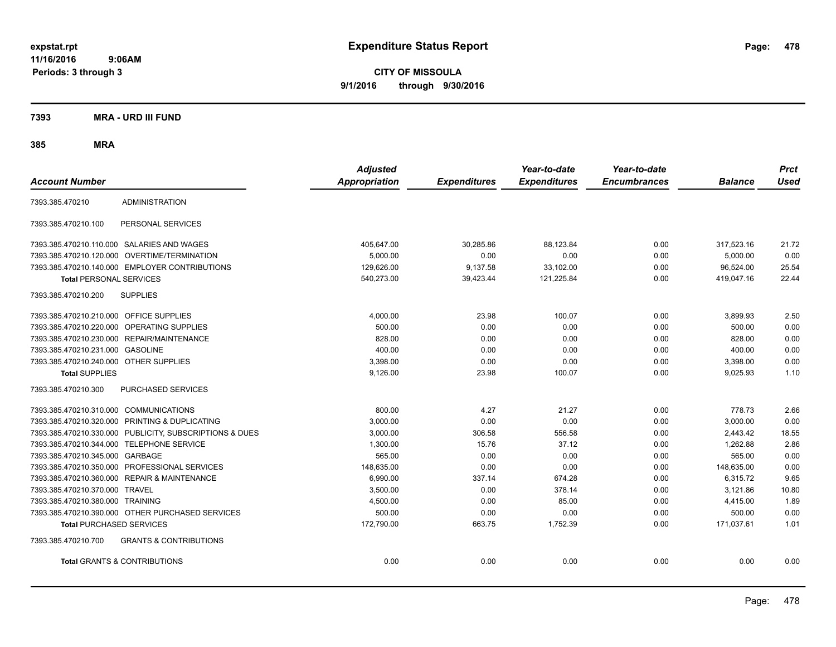**CITY OF MISSOULA 9/1/2016 through 9/30/2016**

**7393 MRA - URD III FUND**

| <b>Account Number</b>                   |                                                         | <b>Adjusted</b><br><b>Appropriation</b> | <b>Expenditures</b> | Year-to-date<br><b>Expenditures</b> | Year-to-date<br><b>Encumbrances</b> | <b>Balance</b> | <b>Prct</b><br><b>Used</b> |
|-----------------------------------------|---------------------------------------------------------|-----------------------------------------|---------------------|-------------------------------------|-------------------------------------|----------------|----------------------------|
| 7393.385.470210                         | <b>ADMINISTRATION</b>                                   |                                         |                     |                                     |                                     |                |                            |
| 7393.385.470210.100                     | PERSONAL SERVICES                                       |                                         |                     |                                     |                                     |                |                            |
|                                         | 7393.385.470210.110.000 SALARIES AND WAGES              | 405.647.00                              | 30.285.86           | 88.123.84                           | 0.00                                | 317.523.16     | 21.72                      |
|                                         | 7393.385.470210.120.000 OVERTIME/TERMINATION            | 5,000.00                                | 0.00                | 0.00                                | 0.00                                | 5,000.00       | 0.00                       |
|                                         | 7393.385.470210.140.000 EMPLOYER CONTRIBUTIONS          | 129,626.00                              | 9,137.58            | 33,102.00                           | 0.00                                | 96,524.00      | 25.54                      |
| <b>Total PERSONAL SERVICES</b>          |                                                         | 540,273.00                              | 39,423.44           | 121,225.84                          | 0.00                                | 419,047.16     | 22.44                      |
| 7393.385.470210.200                     | <b>SUPPLIES</b>                                         |                                         |                     |                                     |                                     |                |                            |
| 7393.385.470210.210.000 OFFICE SUPPLIES |                                                         | 4,000.00                                | 23.98               | 100.07                              | 0.00                                | 3,899.93       | 2.50                       |
|                                         | 7393.385.470210.220.000 OPERATING SUPPLIES              | 500.00                                  | 0.00                | 0.00                                | 0.00                                | 500.00         | 0.00                       |
|                                         | 7393.385.470210.230.000 REPAIR/MAINTENANCE              | 828.00                                  | 0.00                | 0.00                                | 0.00                                | 828.00         | 0.00                       |
| 7393.385.470210.231.000 GASOLINE        |                                                         | 400.00                                  | 0.00                | 0.00                                | 0.00                                | 400.00         | 0.00                       |
| 7393.385.470210.240.000 OTHER SUPPLIES  |                                                         | 3,398.00                                | 0.00                | 0.00                                | 0.00                                | 3,398.00       | 0.00                       |
| <b>Total SUPPLIES</b>                   |                                                         | 9,126.00                                | 23.98               | 100.07                              | 0.00                                | 9,025.93       | 1.10                       |
| 7393.385.470210.300                     | PURCHASED SERVICES                                      |                                         |                     |                                     |                                     |                |                            |
| 7393.385.470210.310.000 COMMUNICATIONS  |                                                         | 800.00                                  | 4.27                | 21.27                               | 0.00                                | 778.73         | 2.66                       |
|                                         | 7393.385.470210.320.000 PRINTING & DUPLICATING          | 3,000.00                                | 0.00                | 0.00                                | 0.00                                | 3,000.00       | 0.00                       |
|                                         | 7393.385.470210.330.000 PUBLICITY, SUBSCRIPTIONS & DUES | 3,000.00                                | 306.58              | 556.58                              | 0.00                                | 2,443.42       | 18.55                      |
|                                         | 7393.385.470210.344.000 TELEPHONE SERVICE               | 1,300.00                                | 15.76               | 37.12                               | 0.00                                | 1,262.88       | 2.86                       |
| 7393.385.470210.345.000 GARBAGE         |                                                         | 565.00                                  | 0.00                | 0.00                                | 0.00                                | 565.00         | 0.00                       |
|                                         | 7393.385.470210.350.000 PROFESSIONAL SERVICES           | 148.635.00                              | 0.00                | 0.00                                | 0.00                                | 148,635.00     | 0.00                       |
|                                         | 7393.385.470210.360.000 REPAIR & MAINTENANCE            | 6,990.00                                | 337.14              | 674.28                              | 0.00                                | 6,315.72       | 9.65                       |
| 7393.385.470210.370.000 TRAVEL          |                                                         | 3,500.00                                | 0.00                | 378.14                              | 0.00                                | 3,121.86       | 10.80                      |
| 7393.385.470210.380.000 TRAINING        |                                                         | 4,500.00                                | 0.00                | 85.00                               | 0.00                                | 4,415.00       | 1.89                       |
|                                         | 7393.385.470210.390.000 OTHER PURCHASED SERVICES        | 500.00                                  | 0.00                | 0.00                                | 0.00                                | 500.00         | 0.00                       |
| <b>Total PURCHASED SERVICES</b>         |                                                         | 172,790.00                              | 663.75              | 1,752.39                            | 0.00                                | 171,037.61     | 1.01                       |
| 7393.385.470210.700                     | <b>GRANTS &amp; CONTRIBUTIONS</b>                       |                                         |                     |                                     |                                     |                |                            |
|                                         | <b>Total GRANTS &amp; CONTRIBUTIONS</b>                 | 0.00                                    | 0.00                | 0.00                                | 0.00                                | 0.00           | 0.00                       |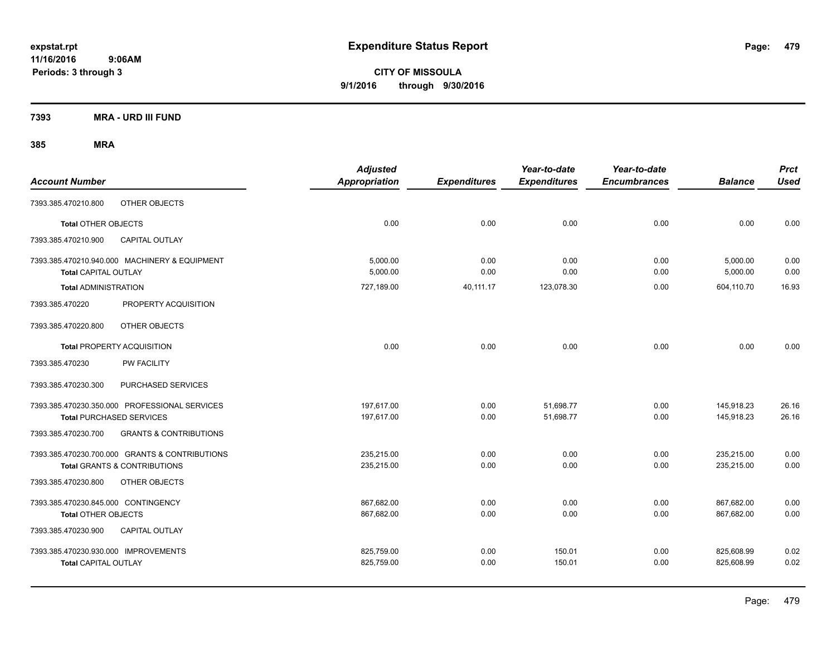**CITY OF MISSOULA 9/1/2016 through 9/30/2016**

**7393 MRA - URD III FUND**

| <b>Account Number</b>                |                                                | <b>Adjusted</b><br><b>Appropriation</b> | <b>Expenditures</b> | Year-to-date<br><b>Expenditures</b> | Year-to-date<br><b>Encumbrances</b> | <b>Balance</b> | <b>Prct</b><br><b>Used</b> |
|--------------------------------------|------------------------------------------------|-----------------------------------------|---------------------|-------------------------------------|-------------------------------------|----------------|----------------------------|
| 7393.385.470210.800                  | OTHER OBJECTS                                  |                                         |                     |                                     |                                     |                |                            |
| <b>Total OTHER OBJECTS</b>           |                                                | 0.00                                    | 0.00                | 0.00                                | 0.00                                | 0.00           | 0.00                       |
| 7393.385.470210.900                  | <b>CAPITAL OUTLAY</b>                          |                                         |                     |                                     |                                     |                |                            |
|                                      | 7393.385.470210.940.000 MACHINERY & EQUIPMENT  | 5.000.00                                | 0.00                | 0.00                                | 0.00                                | 5,000.00       | 0.00                       |
| <b>Total CAPITAL OUTLAY</b>          |                                                | 5,000.00                                | 0.00                | 0.00                                | 0.00                                | 5,000.00       | 0.00                       |
| <b>Total ADMINISTRATION</b>          |                                                | 727,189.00                              | 40,111.17           | 123,078.30                          | 0.00                                | 604,110.70     | 16.93                      |
| 7393.385.470220                      | PROPERTY ACQUISITION                           |                                         |                     |                                     |                                     |                |                            |
| 7393.385.470220.800                  | OTHER OBJECTS                                  |                                         |                     |                                     |                                     |                |                            |
|                                      | <b>Total PROPERTY ACQUISITION</b>              | 0.00                                    | 0.00                | 0.00                                | 0.00                                | 0.00           | 0.00                       |
| 7393.385.470230                      | <b>PW FACILITY</b>                             |                                         |                     |                                     |                                     |                |                            |
| 7393.385.470230.300                  | PURCHASED SERVICES                             |                                         |                     |                                     |                                     |                |                            |
|                                      | 7393.385.470230.350.000 PROFESSIONAL SERVICES  | 197,617.00                              | 0.00                | 51,698.77                           | 0.00                                | 145,918.23     | 26.16                      |
|                                      | <b>Total PURCHASED SERVICES</b>                | 197,617.00                              | 0.00                | 51,698.77                           | 0.00                                | 145,918.23     | 26.16                      |
| 7393.385.470230.700                  | <b>GRANTS &amp; CONTRIBUTIONS</b>              |                                         |                     |                                     |                                     |                |                            |
|                                      | 7393.385.470230.700.000 GRANTS & CONTRIBUTIONS | 235.215.00                              | 0.00                | 0.00                                | 0.00                                | 235,215.00     | 0.00                       |
|                                      | Total GRANTS & CONTRIBUTIONS                   | 235,215.00                              | 0.00                | 0.00                                | 0.00                                | 235,215.00     | 0.00                       |
| 7393.385.470230.800                  | OTHER OBJECTS                                  |                                         |                     |                                     |                                     |                |                            |
| 7393.385.470230.845.000 CONTINGENCY  |                                                | 867,682.00                              | 0.00                | 0.00                                | 0.00                                | 867,682.00     | 0.00                       |
| <b>Total OTHER OBJECTS</b>           |                                                | 867,682.00                              | 0.00                | 0.00                                | 0.00                                | 867,682.00     | 0.00                       |
| 7393.385.470230.900                  | CAPITAL OUTLAY                                 |                                         |                     |                                     |                                     |                |                            |
| 7393.385.470230.930.000 IMPROVEMENTS |                                                | 825,759.00                              | 0.00                | 150.01                              | 0.00                                | 825,608.99     | 0.02                       |
| <b>Total CAPITAL OUTLAY</b>          |                                                | 825,759.00                              | 0.00                | 150.01                              | 0.00                                | 825,608.99     | 0.02                       |
|                                      |                                                |                                         |                     |                                     |                                     |                |                            |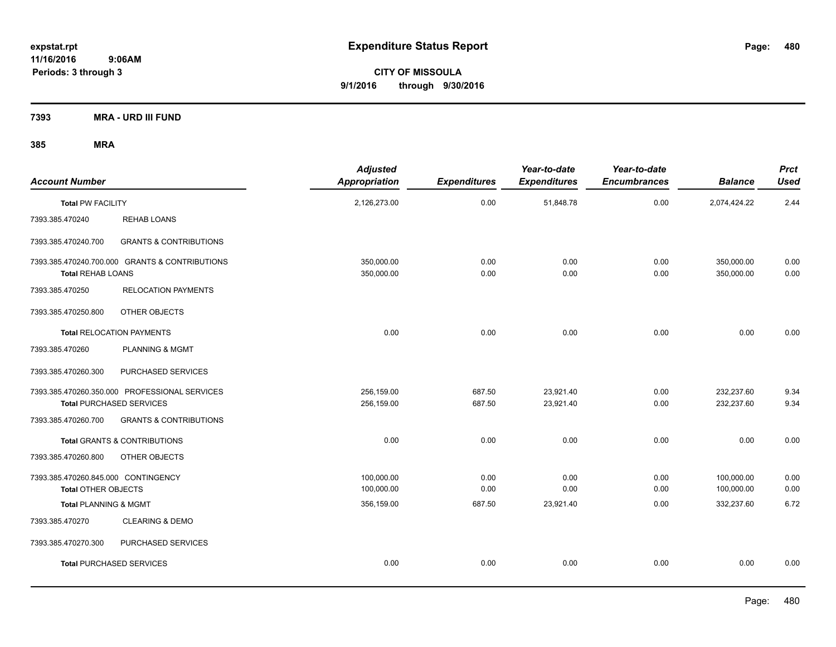**CITY OF MISSOULA 9/1/2016 through 9/30/2016**

**7393 MRA - URD III FUND**

| <b>Account Number</b>                                             |                                                                                  | <b>Adjusted</b><br><b>Appropriation</b> | <b>Expenditures</b> | Year-to-date<br><b>Expenditures</b> | Year-to-date<br><b>Encumbrances</b> | <b>Balance</b>           | <b>Prct</b><br><b>Used</b> |
|-------------------------------------------------------------------|----------------------------------------------------------------------------------|-----------------------------------------|---------------------|-------------------------------------|-------------------------------------|--------------------------|----------------------------|
| <b>Total PW FACILITY</b>                                          |                                                                                  | 2,126,273.00                            | 0.00                | 51,848.78                           | 0.00                                | 2,074,424.22             | 2.44                       |
| 7393.385.470240                                                   | <b>REHAB LOANS</b>                                                               |                                         |                     |                                     |                                     |                          |                            |
| 7393.385.470240.700                                               | <b>GRANTS &amp; CONTRIBUTIONS</b>                                                |                                         |                     |                                     |                                     |                          |                            |
| <b>Total REHAB LOANS</b>                                          | 7393.385.470240.700.000 GRANTS & CONTRIBUTIONS                                   | 350,000.00<br>350,000.00                | 0.00<br>0.00        | 0.00<br>0.00                        | 0.00<br>0.00                        | 350,000.00<br>350,000.00 | 0.00<br>0.00               |
| 7393.385.470250                                                   | <b>RELOCATION PAYMENTS</b>                                                       |                                         |                     |                                     |                                     |                          |                            |
| 7393.385.470250.800                                               | OTHER OBJECTS                                                                    |                                         |                     |                                     |                                     |                          |                            |
|                                                                   | <b>Total RELOCATION PAYMENTS</b>                                                 | 0.00                                    | 0.00                | 0.00                                | 0.00                                | 0.00                     | 0.00                       |
| 7393.385.470260                                                   | <b>PLANNING &amp; MGMT</b>                                                       |                                         |                     |                                     |                                     |                          |                            |
| 7393.385.470260.300                                               | PURCHASED SERVICES                                                               |                                         |                     |                                     |                                     |                          |                            |
|                                                                   | 7393.385.470260.350.000 PROFESSIONAL SERVICES<br><b>Total PURCHASED SERVICES</b> | 256,159.00<br>256,159.00                | 687.50<br>687.50    | 23,921.40<br>23,921.40              | 0.00<br>0.00                        | 232,237.60<br>232,237.60 | 9.34<br>9.34               |
| 7393.385.470260.700                                               | <b>GRANTS &amp; CONTRIBUTIONS</b>                                                |                                         |                     |                                     |                                     |                          |                            |
|                                                                   | <b>Total GRANTS &amp; CONTRIBUTIONS</b>                                          | 0.00                                    | 0.00                | 0.00                                | 0.00                                | 0.00                     | 0.00                       |
| 7393.385.470260.800                                               | OTHER OBJECTS                                                                    |                                         |                     |                                     |                                     |                          |                            |
| 7393.385.470260.845.000 CONTINGENCY<br><b>Total OTHER OBJECTS</b> |                                                                                  | 100,000.00<br>100,000.00                | 0.00<br>0.00        | 0.00<br>0.00                        | 0.00<br>0.00                        | 100,000.00<br>100,000.00 | 0.00<br>0.00               |
| <b>Total PLANNING &amp; MGMT</b>                                  |                                                                                  | 356,159.00                              | 687.50              | 23,921.40                           | 0.00                                | 332,237.60               | 6.72                       |
| 7393.385.470270                                                   | <b>CLEARING &amp; DEMO</b>                                                       |                                         |                     |                                     |                                     |                          |                            |
| 7393.385.470270.300                                               | PURCHASED SERVICES                                                               |                                         |                     |                                     |                                     |                          |                            |
|                                                                   | <b>Total PURCHASED SERVICES</b>                                                  | 0.00                                    | 0.00                | 0.00                                | 0.00                                | 0.00                     | 0.00                       |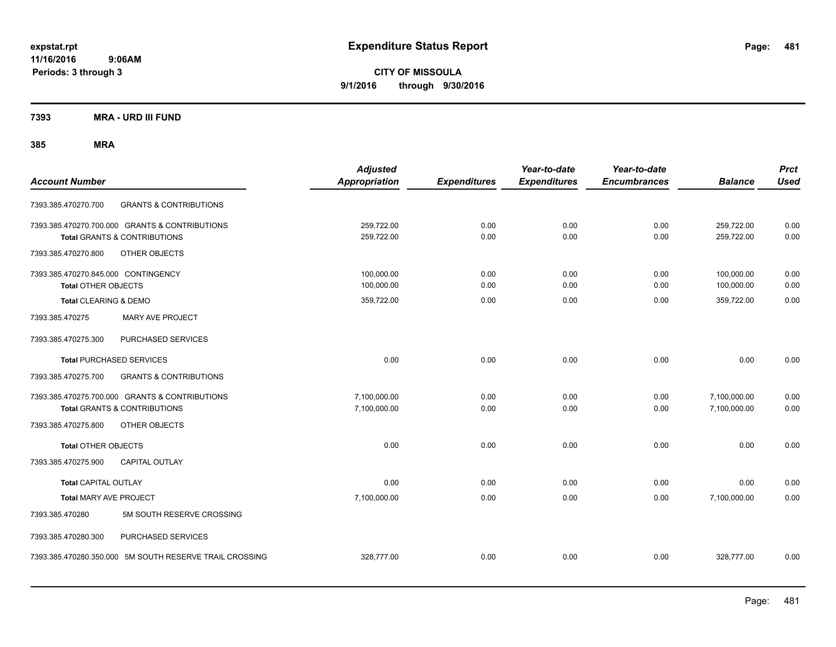**CITY OF MISSOULA 9/1/2016 through 9/30/2016**

**7393 MRA - URD III FUND**

| <b>Account Number</b>                                                                     | <b>Adjusted</b><br><b>Appropriation</b> | <b>Expenditures</b> | Year-to-date<br><b>Expenditures</b> | Year-to-date<br><b>Encumbrances</b> | <b>Balance</b>               | <b>Prct</b><br><b>Used</b> |
|-------------------------------------------------------------------------------------------|-----------------------------------------|---------------------|-------------------------------------|-------------------------------------|------------------------------|----------------------------|
| <b>GRANTS &amp; CONTRIBUTIONS</b><br>7393.385.470270.700                                  |                                         |                     |                                     |                                     |                              |                            |
| 7393.385.470270.700.000 GRANTS & CONTRIBUTIONS<br><b>Total GRANTS &amp; CONTRIBUTIONS</b> | 259,722.00<br>259,722.00                | 0.00<br>0.00        | 0.00<br>0.00                        | 0.00<br>0.00                        | 259,722.00<br>259,722.00     | 0.00<br>0.00               |
| 7393.385.470270.800<br>OTHER OBJECTS                                                      |                                         |                     |                                     |                                     |                              |                            |
| 7393.385.470270.845.000 CONTINGENCY<br><b>Total OTHER OBJECTS</b>                         | 100,000.00<br>100.000.00                | 0.00<br>0.00        | 0.00<br>0.00                        | 0.00<br>0.00                        | 100,000.00<br>100,000.00     | 0.00<br>0.00               |
| Total CLEARING & DEMO                                                                     | 359,722.00                              | 0.00                | 0.00                                | 0.00                                | 359,722.00                   | 0.00                       |
| <b>MARY AVE PROJECT</b><br>7393.385.470275                                                |                                         |                     |                                     |                                     |                              |                            |
| 7393.385.470275.300<br>PURCHASED SERVICES                                                 |                                         |                     |                                     |                                     |                              |                            |
| <b>Total PURCHASED SERVICES</b>                                                           | 0.00                                    | 0.00                | 0.00                                | 0.00                                | 0.00                         | 0.00                       |
| <b>GRANTS &amp; CONTRIBUTIONS</b><br>7393.385.470275.700                                  |                                         |                     |                                     |                                     |                              |                            |
| 7393.385.470275.700.000 GRANTS & CONTRIBUTIONS<br><b>Total GRANTS &amp; CONTRIBUTIONS</b> | 7,100,000.00<br>7,100,000.00            | 0.00<br>0.00        | 0.00<br>0.00                        | 0.00<br>0.00                        | 7,100,000.00<br>7,100,000.00 | 0.00<br>0.00               |
| 7393.385.470275.800<br>OTHER OBJECTS                                                      |                                         |                     |                                     |                                     |                              |                            |
| <b>Total OTHER OBJECTS</b>                                                                | 0.00                                    | 0.00                | 0.00                                | 0.00                                | 0.00                         | 0.00                       |
| 7393.385.470275.900<br><b>CAPITAL OUTLAY</b>                                              |                                         |                     |                                     |                                     |                              |                            |
| <b>Total CAPITAL OUTLAY</b>                                                               | 0.00                                    | 0.00                | 0.00                                | 0.00                                | 0.00                         | 0.00                       |
| <b>Total MARY AVE PROJECT</b>                                                             | 7,100,000.00                            | 0.00                | 0.00                                | 0.00                                | 7,100,000.00                 | 0.00                       |
| 7393.385.470280<br>5M SOUTH RESERVE CROSSING                                              |                                         |                     |                                     |                                     |                              |                            |
| 7393.385.470280.300<br>PURCHASED SERVICES                                                 |                                         |                     |                                     |                                     |                              |                            |
| 7393.385.470280.350.000 5M SOUTH RESERVE TRAIL CROSSING                                   | 328,777.00                              | 0.00                | 0.00                                | 0.00                                | 328,777.00                   | 0.00                       |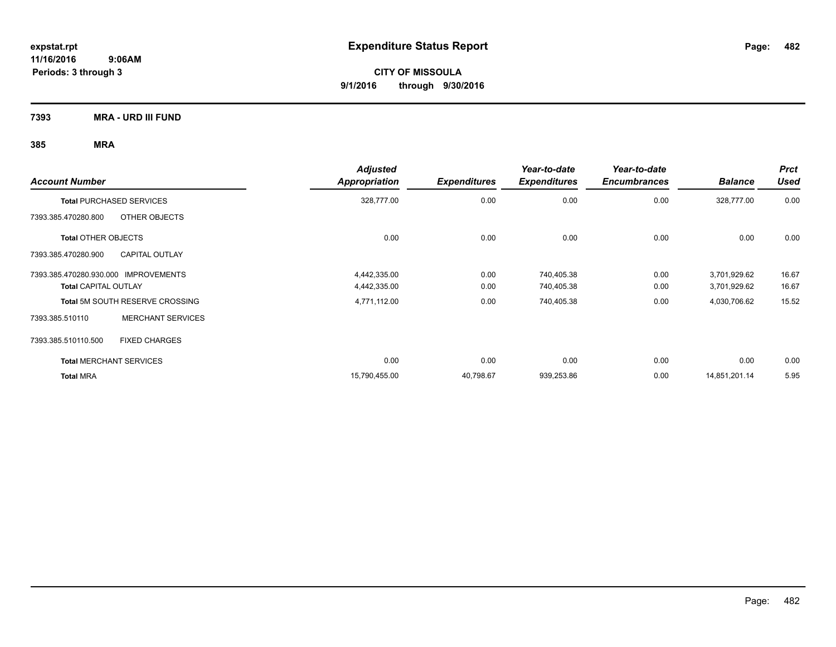**CITY OF MISSOULA 9/1/2016 through 9/30/2016**

**7393 MRA - URD III FUND**

| <b>Account Number</b>                        | <b>Adjusted</b><br><b>Appropriation</b> | <b>Expenditures</b> | Year-to-date<br><b>Expenditures</b> | Year-to-date<br><b>Encumbrances</b> | <b>Balance</b> | <b>Prct</b><br><b>Used</b> |
|----------------------------------------------|-----------------------------------------|---------------------|-------------------------------------|-------------------------------------|----------------|----------------------------|
| <b>Total PURCHASED SERVICES</b>              | 328,777.00                              | 0.00                | 0.00                                | 0.00                                | 328,777.00     | 0.00                       |
| OTHER OBJECTS<br>7393.385.470280.800         |                                         |                     |                                     |                                     |                |                            |
| <b>Total OTHER OBJECTS</b>                   | 0.00                                    | 0.00                | 0.00                                | 0.00                                | 0.00           | 0.00                       |
| 7393.385.470280.900<br><b>CAPITAL OUTLAY</b> |                                         |                     |                                     |                                     |                |                            |
| 7393.385.470280.930.000 IMPROVEMENTS         | 4,442,335.00                            | 0.00                | 740,405.38                          | 0.00                                | 3,701,929.62   | 16.67                      |
| <b>Total CAPITAL OUTLAY</b>                  | 4,442,335.00                            | 0.00                | 740,405.38                          | 0.00                                | 3,701,929.62   | 16.67                      |
| <b>Total 5M SOUTH RESERVE CROSSING</b>       | 4,771,112.00                            | 0.00                | 740,405.38                          | 0.00                                | 4,030,706.62   | 15.52                      |
| <b>MERCHANT SERVICES</b><br>7393.385.510110  |                                         |                     |                                     |                                     |                |                            |
| <b>FIXED CHARGES</b><br>7393.385.510110.500  |                                         |                     |                                     |                                     |                |                            |
| <b>Total MERCHANT SERVICES</b>               | 0.00                                    | 0.00                | 0.00                                | 0.00                                | 0.00           | 0.00                       |
| <b>Total MRA</b>                             | 15,790,455.00                           | 40,798.67           | 939,253.86                          | 0.00                                | 14,851,201.14  | 5.95                       |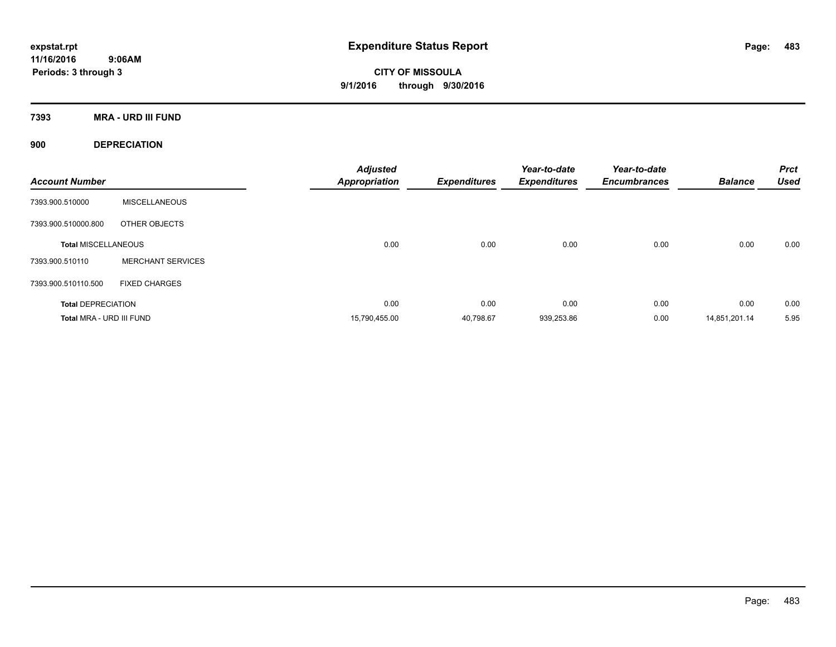**CITY OF MISSOULA 9/1/2016 through 9/30/2016**

**7393 MRA - URD III FUND**

**900 DEPRECIATION**

| <b>Account Number</b>      |                          | <b>Adjusted</b><br><b>Appropriation</b> | <b>Expenditures</b> | Year-to-date<br><b>Expenditures</b> | Year-to-date<br><b>Encumbrances</b> | <b>Balance</b> | <b>Prct</b><br><b>Used</b> |
|----------------------------|--------------------------|-----------------------------------------|---------------------|-------------------------------------|-------------------------------------|----------------|----------------------------|
| 7393.900.510000            | <b>MISCELLANEOUS</b>     |                                         |                     |                                     |                                     |                |                            |
| 7393.900.510000.800        | OTHER OBJECTS            |                                         |                     |                                     |                                     |                |                            |
| <b>Total MISCELLANEOUS</b> |                          | 0.00                                    | 0.00                | 0.00                                | 0.00                                | 0.00           | 0.00                       |
| 7393.900.510110            | <b>MERCHANT SERVICES</b> |                                         |                     |                                     |                                     |                |                            |
| 7393.900.510110.500        | <b>FIXED CHARGES</b>     |                                         |                     |                                     |                                     |                |                            |
| <b>Total DEPRECIATION</b>  |                          | 0.00                                    | 0.00                | 0.00                                | 0.00                                | 0.00           | 0.00                       |
| Total MRA - URD III FUND   |                          | 15,790,455.00                           | 40.798.67           | 939,253.86                          | 0.00                                | 14,851,201.14  | 5.95                       |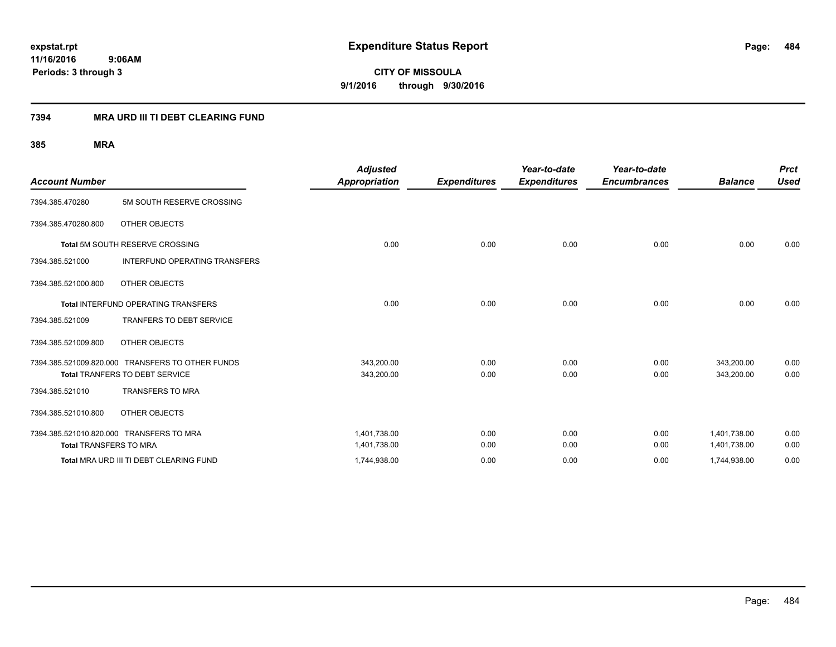**CITY OF MISSOULA 9/1/2016 through 9/30/2016**

### **7394 MRA URD III TI DEBT CLEARING FUND**

|                                          |                                                  | <b>Adjusted</b>      |                     | Year-to-date        | Year-to-date        |                | <b>Prct</b> |
|------------------------------------------|--------------------------------------------------|----------------------|---------------------|---------------------|---------------------|----------------|-------------|
| <b>Account Number</b>                    |                                                  | <b>Appropriation</b> | <b>Expenditures</b> | <b>Expenditures</b> | <b>Encumbrances</b> | <b>Balance</b> | <b>Used</b> |
| 7394.385.470280                          | 5M SOUTH RESERVE CROSSING                        |                      |                     |                     |                     |                |             |
| 7394.385.470280.800                      | OTHER OBJECTS                                    |                      |                     |                     |                     |                |             |
|                                          | <b>Total 5M SOUTH RESERVE CROSSING</b>           | 0.00                 | 0.00                | 0.00                | 0.00                | 0.00           | 0.00        |
| 7394.385.521000                          | INTERFUND OPERATING TRANSFERS                    |                      |                     |                     |                     |                |             |
| 7394.385.521000.800                      | OTHER OBJECTS                                    |                      |                     |                     |                     |                |             |
|                                          | <b>Total INTERFUND OPERATING TRANSFERS</b>       | 0.00                 | 0.00                | 0.00                | 0.00                | 0.00           | 0.00        |
| 7394.385.521009                          | <b>TRANFERS TO DEBT SERVICE</b>                  |                      |                     |                     |                     |                |             |
| 7394.385.521009.800                      | OTHER OBJECTS                                    |                      |                     |                     |                     |                |             |
|                                          | 7394.385.521009.820.000 TRANSFERS TO OTHER FUNDS | 343,200.00           | 0.00                | 0.00                | 0.00                | 343,200.00     | 0.00        |
|                                          | Total TRANFERS TO DEBT SERVICE                   | 343,200.00           | 0.00                | 0.00                | 0.00                | 343,200.00     | 0.00        |
| 7394.385.521010                          | <b>TRANSFERS TO MRA</b>                          |                      |                     |                     |                     |                |             |
| 7394.385.521010.800                      | OTHER OBJECTS                                    |                      |                     |                     |                     |                |             |
| 7394.385.521010.820.000 TRANSFERS TO MRA |                                                  | 1,401,738.00         | 0.00                | 0.00                | 0.00                | 1,401,738.00   | 0.00        |
| <b>Total TRANSFERS TO MRA</b>            |                                                  | 1,401,738.00         | 0.00                | 0.00                | 0.00                | 1,401,738.00   | 0.00        |
|                                          | Total MRA URD III TI DEBT CLEARING FUND          | 1,744,938.00         | 0.00                | 0.00                | 0.00                | 1,744,938.00   | 0.00        |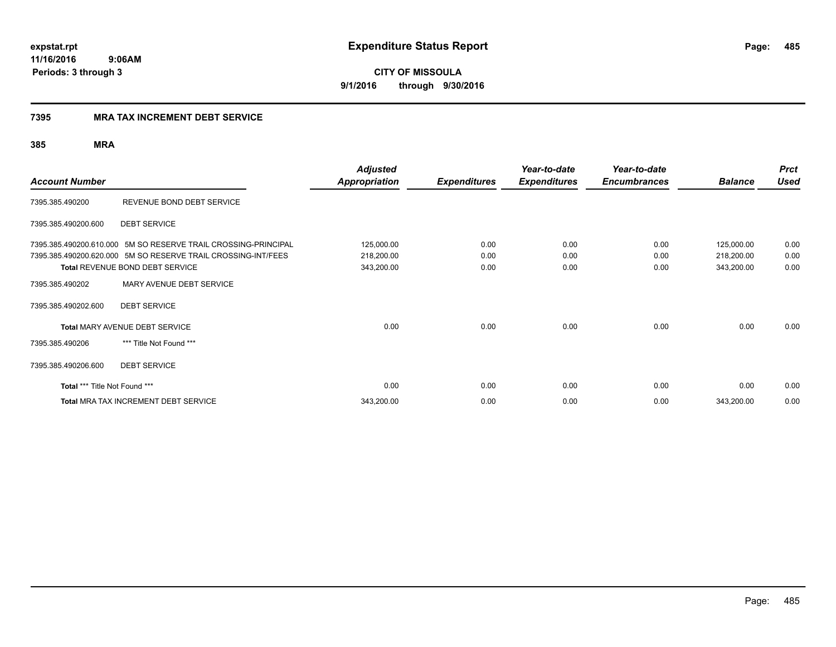**CITY OF MISSOULA 9/1/2016 through 9/30/2016**

### **7395 MRA TAX INCREMENT DEBT SERVICE**

| <b>Account Number</b>         |                                                                | <b>Adjusted</b><br>Appropriation | <b>Expenditures</b> | Year-to-date<br><b>Expenditures</b> | Year-to-date<br><b>Encumbrances</b> | <b>Balance</b> | <b>Prct</b><br><b>Used</b> |
|-------------------------------|----------------------------------------------------------------|----------------------------------|---------------------|-------------------------------------|-------------------------------------|----------------|----------------------------|
| 7395.385.490200               | REVENUE BOND DEBT SERVICE                                      |                                  |                     |                                     |                                     |                |                            |
| 7395.385.490200.600           | <b>DEBT SERVICE</b>                                            |                                  |                     |                                     |                                     |                |                            |
|                               | 7395.385.490200.610.000 5M SO RESERVE TRAIL CROSSING-PRINCIPAL | 125,000.00                       | 0.00                | 0.00                                | 0.00                                | 125,000.00     | 0.00                       |
|                               | 7395.385.490200.620.000 5M SO RESERVE TRAIL CROSSING-INT/FEES  | 218,200.00                       | 0.00                | 0.00                                | 0.00                                | 218,200.00     | 0.00                       |
|                               | Total REVENUE BOND DEBT SERVICE                                | 343,200.00                       | 0.00                | 0.00                                | 0.00                                | 343,200.00     | 0.00                       |
| 7395.385.490202               | MARY AVENUE DEBT SERVICE                                       |                                  |                     |                                     |                                     |                |                            |
| 7395.385.490202.600           | <b>DEBT SERVICE</b>                                            |                                  |                     |                                     |                                     |                |                            |
|                               | <b>Total MARY AVENUE DEBT SERVICE</b>                          | 0.00                             | 0.00                | 0.00                                | 0.00                                | 0.00           | 0.00                       |
| 7395.385.490206               | *** Title Not Found ***                                        |                                  |                     |                                     |                                     |                |                            |
| 7395.385.490206.600           | <b>DEBT SERVICE</b>                                            |                                  |                     |                                     |                                     |                |                            |
| Total *** Title Not Found *** |                                                                | 0.00                             | 0.00                | 0.00                                | 0.00                                | 0.00           | 0.00                       |
|                               | <b>Total MRA TAX INCREMENT DEBT SERVICE</b>                    | 343,200.00                       | 0.00                | 0.00                                | 0.00                                | 343,200.00     | 0.00                       |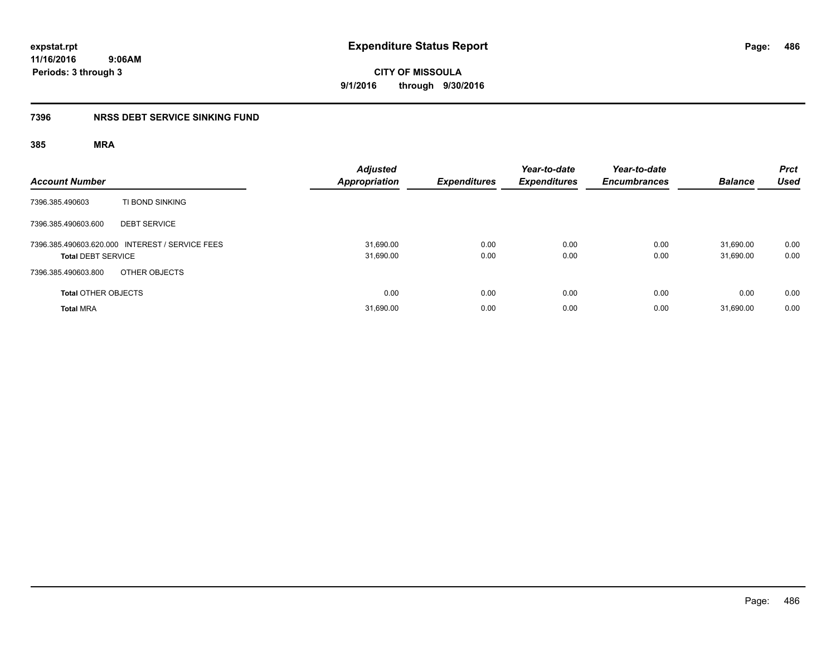**CITY OF MISSOULA 9/1/2016 through 9/30/2016**

### **7396 NRSS DEBT SERVICE SINKING FUND**

| <b>Account Number</b>                                                        | <b>Adjusted</b><br><b>Appropriation</b> | <b>Expenditures</b> | Year-to-date<br><b>Expenditures</b> | Year-to-date<br><b>Encumbrances</b> | <b>Balance</b>         | <b>Prct</b><br><b>Used</b> |
|------------------------------------------------------------------------------|-----------------------------------------|---------------------|-------------------------------------|-------------------------------------|------------------------|----------------------------|
| TI BOND SINKING<br>7396.385.490603                                           |                                         |                     |                                     |                                     |                        |                            |
| 7396.385.490603.600<br><b>DEBT SERVICE</b>                                   |                                         |                     |                                     |                                     |                        |                            |
| 7396.385.490603.620.000 INTEREST / SERVICE FEES<br><b>Total DEBT SERVICE</b> | 31,690.00<br>31,690.00                  | 0.00<br>0.00        | 0.00<br>0.00                        | 0.00<br>0.00                        | 31.690.00<br>31,690.00 | 0.00<br>0.00               |
| 7396.385.490603.800<br>OTHER OBJECTS                                         |                                         |                     |                                     |                                     |                        |                            |
| <b>Total OTHER OBJECTS</b>                                                   | 0.00                                    | 0.00                | 0.00                                | 0.00                                | 0.00                   | 0.00                       |
| <b>Total MRA</b>                                                             | 31,690.00                               | 0.00                | 0.00                                | 0.00                                | 31.690.00              | 0.00                       |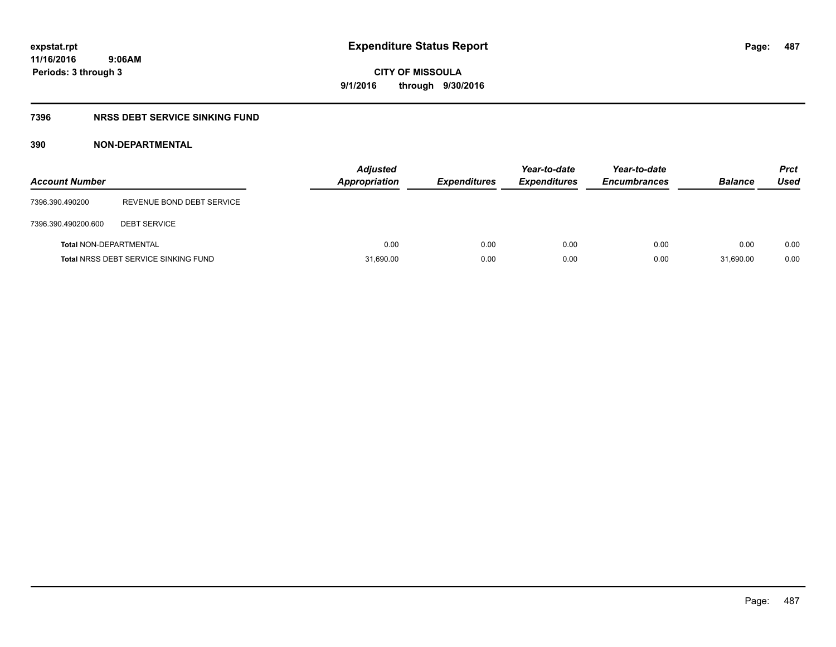### **7396 NRSS DEBT SERVICE SINKING FUND**

### **390 NON-DEPARTMENTAL**

| <b>Account Number</b>         |                                             | <b>Adjusted</b><br><b>Appropriation</b> | <b>Expenditures</b> | Year-to-date<br><b>Expenditures</b> | Year-to-date<br><b>Encumbrances</b> | <b>Balance</b> | <b>Prct</b><br>Used |
|-------------------------------|---------------------------------------------|-----------------------------------------|---------------------|-------------------------------------|-------------------------------------|----------------|---------------------|
| 7396.390.490200               | REVENUE BOND DEBT SERVICE                   |                                         |                     |                                     |                                     |                |                     |
| 7396.390.490200.600           | <b>DEBT SERVICE</b>                         |                                         |                     |                                     |                                     |                |                     |
| <b>Total NON-DEPARTMENTAL</b> |                                             | 0.00                                    | 0.00                | 0.00                                | 0.00                                | 0.00           | 0.00                |
|                               | <b>Total NRSS DEBT SERVICE SINKING FUND</b> | 31,690.00                               | 0.00                | 0.00                                | 0.00                                | 31.690.00      | 0.00                |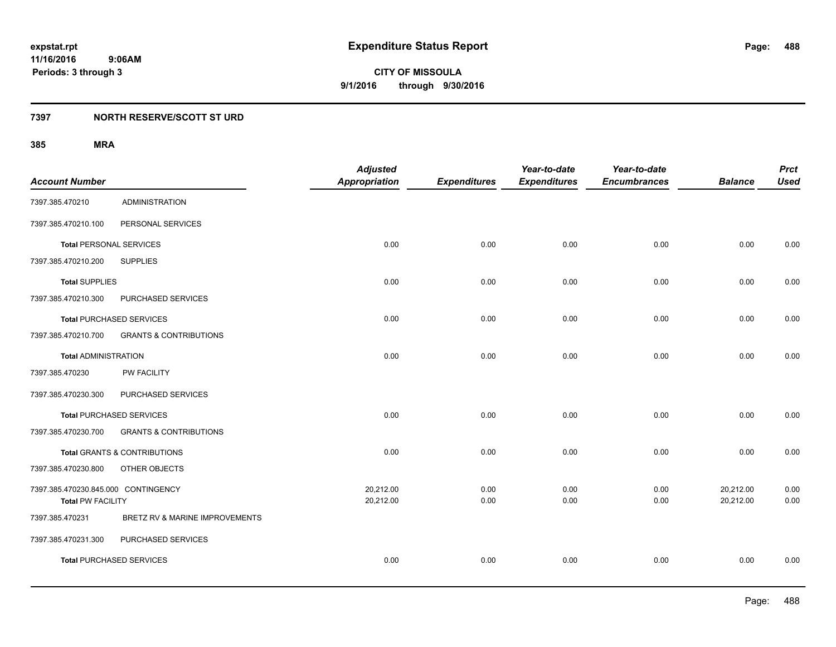**488**

**11/16/2016 9:06AM Periods: 3 through 3**

**CITY OF MISSOULA 9/1/2016 through 9/30/2016**

### **7397 NORTH RESERVE/SCOTT ST URD**

|                                     |                                         | <b>Adjusted</b>      |                     | Year-to-date        | Year-to-date        |                | <b>Prct</b> |
|-------------------------------------|-----------------------------------------|----------------------|---------------------|---------------------|---------------------|----------------|-------------|
| <b>Account Number</b>               |                                         | <b>Appropriation</b> | <b>Expenditures</b> | <b>Expenditures</b> | <b>Encumbrances</b> | <b>Balance</b> | <b>Used</b> |
| 7397.385.470210                     | <b>ADMINISTRATION</b>                   |                      |                     |                     |                     |                |             |
| 7397.385.470210.100                 | PERSONAL SERVICES                       |                      |                     |                     |                     |                |             |
| <b>Total PERSONAL SERVICES</b>      |                                         | 0.00                 | 0.00                | 0.00                | 0.00                | 0.00           | 0.00        |
| 7397.385.470210.200                 | <b>SUPPLIES</b>                         |                      |                     |                     |                     |                |             |
| <b>Total SUPPLIES</b>               |                                         | 0.00                 | 0.00                | 0.00                | 0.00                | 0.00           | 0.00        |
| 7397.385.470210.300                 | PURCHASED SERVICES                      |                      |                     |                     |                     |                |             |
| <b>Total PURCHASED SERVICES</b>     |                                         | 0.00                 | 0.00                | 0.00                | 0.00                | 0.00           | 0.00        |
| 7397.385.470210.700                 | <b>GRANTS &amp; CONTRIBUTIONS</b>       |                      |                     |                     |                     |                |             |
| <b>Total ADMINISTRATION</b>         |                                         | 0.00                 | 0.00                | 0.00                | 0.00                | 0.00           | 0.00        |
| 7397.385.470230                     | PW FACILITY                             |                      |                     |                     |                     |                |             |
| 7397.385.470230.300                 | PURCHASED SERVICES                      |                      |                     |                     |                     |                |             |
| <b>Total PURCHASED SERVICES</b>     |                                         | 0.00                 | 0.00                | 0.00                | 0.00                | 0.00           | 0.00        |
| 7397.385.470230.700                 | <b>GRANTS &amp; CONTRIBUTIONS</b>       |                      |                     |                     |                     |                |             |
|                                     | <b>Total GRANTS &amp; CONTRIBUTIONS</b> | 0.00                 | 0.00                | 0.00                | 0.00                | 0.00           | 0.00        |
| 7397.385.470230.800                 | OTHER OBJECTS                           |                      |                     |                     |                     |                |             |
| 7397.385.470230.845.000 CONTINGENCY |                                         | 20,212.00            | 0.00                | 0.00                | 0.00                | 20,212.00      | 0.00        |
| <b>Total PW FACILITY</b>            |                                         | 20,212.00            | 0.00                | 0.00                | 0.00                | 20,212.00      | 0.00        |
| 7397.385.470231                     | BRETZ RV & MARINE IMPROVEMENTS          |                      |                     |                     |                     |                |             |
| 7397.385.470231.300                 | PURCHASED SERVICES                      |                      |                     |                     |                     |                |             |
| <b>Total PURCHASED SERVICES</b>     |                                         | 0.00                 | 0.00                | 0.00                | 0.00                | 0.00           | 0.00        |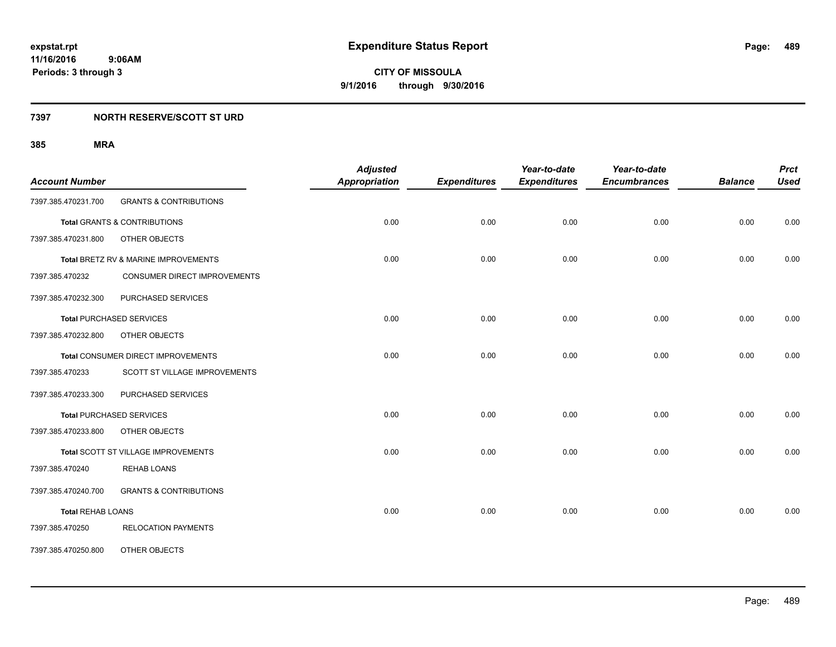### **7397 NORTH RESERVE/SCOTT ST URD**

| <b>Account Number</b>    |                                         | <b>Adjusted</b><br><b>Appropriation</b> | <b>Expenditures</b> | Year-to-date<br><b>Expenditures</b> | Year-to-date<br><b>Encumbrances</b> | <b>Balance</b> | <b>Prct</b><br><b>Used</b> |
|--------------------------|-----------------------------------------|-----------------------------------------|---------------------|-------------------------------------|-------------------------------------|----------------|----------------------------|
| 7397.385.470231.700      | <b>GRANTS &amp; CONTRIBUTIONS</b>       |                                         |                     |                                     |                                     |                |                            |
|                          | <b>Total GRANTS &amp; CONTRIBUTIONS</b> | 0.00                                    | 0.00                | 0.00                                | 0.00                                | 0.00           | 0.00                       |
| 7397.385.470231.800      | OTHER OBJECTS                           |                                         |                     |                                     |                                     |                |                            |
|                          | Total BRETZ RV & MARINE IMPROVEMENTS    | 0.00                                    | 0.00                | 0.00                                | 0.00                                | 0.00           | 0.00                       |
| 7397.385.470232          | CONSUMER DIRECT IMPROVEMENTS            |                                         |                     |                                     |                                     |                |                            |
| 7397.385.470232.300      | PURCHASED SERVICES                      |                                         |                     |                                     |                                     |                |                            |
|                          | <b>Total PURCHASED SERVICES</b>         | 0.00                                    | 0.00                | 0.00                                | 0.00                                | 0.00           | 0.00                       |
| 7397.385.470232.800      | OTHER OBJECTS                           |                                         |                     |                                     |                                     |                |                            |
|                          | Total CONSUMER DIRECT IMPROVEMENTS      | 0.00                                    | 0.00                | 0.00                                | 0.00                                | 0.00           | 0.00                       |
| 7397.385.470233          | SCOTT ST VILLAGE IMPROVEMENTS           |                                         |                     |                                     |                                     |                |                            |
| 7397.385.470233.300      | PURCHASED SERVICES                      |                                         |                     |                                     |                                     |                |                            |
|                          | <b>Total PURCHASED SERVICES</b>         | 0.00                                    | 0.00                | 0.00                                | 0.00                                | 0.00           | 0.00                       |
| 7397.385.470233.800      | OTHER OBJECTS                           |                                         |                     |                                     |                                     |                |                            |
|                          | Total SCOTT ST VILLAGE IMPROVEMENTS     | 0.00                                    | 0.00                | 0.00                                | 0.00                                | 0.00           | 0.00                       |
| 7397.385.470240          | <b>REHAB LOANS</b>                      |                                         |                     |                                     |                                     |                |                            |
| 7397.385.470240.700      | <b>GRANTS &amp; CONTRIBUTIONS</b>       |                                         |                     |                                     |                                     |                |                            |
| <b>Total REHAB LOANS</b> |                                         | 0.00                                    | 0.00                | 0.00                                | 0.00                                | 0.00           | 0.00                       |
| 7397.385.470250          | <b>RELOCATION PAYMENTS</b>              |                                         |                     |                                     |                                     |                |                            |
| 7397.385.470250.800      | OTHER OBJECTS                           |                                         |                     |                                     |                                     |                |                            |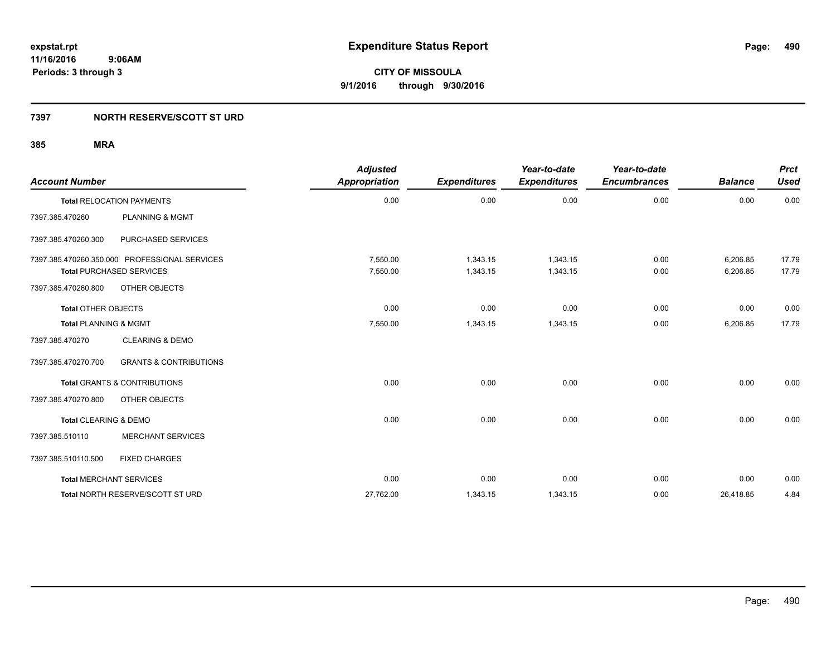### **7397 NORTH RESERVE/SCOTT ST URD**

| <b>Account Number</b>            |                                               | <b>Adjusted</b><br>Appropriation | <b>Expenditures</b> | Year-to-date<br><b>Expenditures</b> | Year-to-date<br><b>Encumbrances</b> | <b>Balance</b> | <b>Prct</b><br><b>Used</b> |
|----------------------------------|-----------------------------------------------|----------------------------------|---------------------|-------------------------------------|-------------------------------------|----------------|----------------------------|
|                                  | <b>Total RELOCATION PAYMENTS</b>              | 0.00                             | 0.00                | 0.00                                | 0.00                                | 0.00           | 0.00                       |
| 7397.385.470260                  | <b>PLANNING &amp; MGMT</b>                    |                                  |                     |                                     |                                     |                |                            |
| 7397.385.470260.300              | PURCHASED SERVICES                            |                                  |                     |                                     |                                     |                |                            |
|                                  | 7397.385.470260.350.000 PROFESSIONAL SERVICES | 7,550.00                         | 1,343.15            | 1,343.15                            | 0.00                                | 6,206.85       | 17.79                      |
|                                  | <b>Total PURCHASED SERVICES</b>               | 7,550.00                         | 1,343.15            | 1,343.15                            | 0.00                                | 6,206.85       | 17.79                      |
| 7397.385.470260.800              | OTHER OBJECTS                                 |                                  |                     |                                     |                                     |                |                            |
| <b>Total OTHER OBJECTS</b>       |                                               | 0.00                             | 0.00                | 0.00                                | 0.00                                | 0.00           | 0.00                       |
| <b>Total PLANNING &amp; MGMT</b> |                                               | 7,550.00                         | 1,343.15            | 1,343.15                            | 0.00                                | 6,206.85       | 17.79                      |
| 7397.385.470270                  | <b>CLEARING &amp; DEMO</b>                    |                                  |                     |                                     |                                     |                |                            |
| 7397.385.470270.700              | <b>GRANTS &amp; CONTRIBUTIONS</b>             |                                  |                     |                                     |                                     |                |                            |
|                                  | <b>Total GRANTS &amp; CONTRIBUTIONS</b>       | 0.00                             | 0.00                | 0.00                                | 0.00                                | 0.00           | 0.00                       |
| 7397.385.470270.800              | OTHER OBJECTS                                 |                                  |                     |                                     |                                     |                |                            |
| Total CLEARING & DEMO            |                                               | 0.00                             | 0.00                | 0.00                                | 0.00                                | 0.00           | 0.00                       |
| 7397.385.510110                  | <b>MERCHANT SERVICES</b>                      |                                  |                     |                                     |                                     |                |                            |
| 7397.385.510110.500              | <b>FIXED CHARGES</b>                          |                                  |                     |                                     |                                     |                |                            |
|                                  | <b>Total MERCHANT SERVICES</b>                | 0.00                             | 0.00                | 0.00                                | 0.00                                | 0.00           | 0.00                       |
|                                  | Total NORTH RESERVE/SCOTT ST URD              | 27,762.00                        | 1,343.15            | 1,343.15                            | 0.00                                | 26,418.85      | 4.84                       |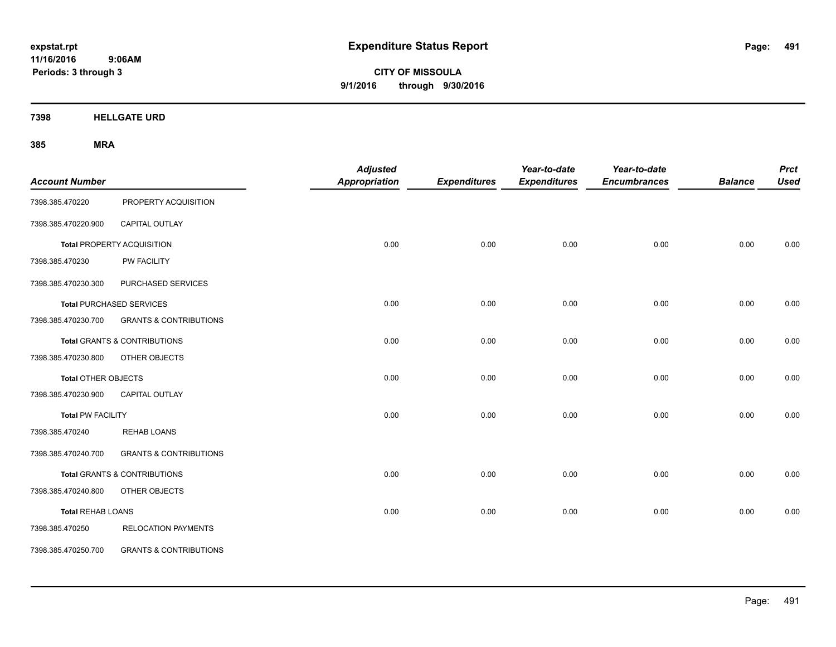**CITY OF MISSOULA 9/1/2016 through 9/30/2016**

**7398 HELLGATE URD**

| <b>Account Number</b>      |                                         | <b>Adjusted</b><br><b>Appropriation</b> | <b>Expenditures</b> | Year-to-date<br><b>Expenditures</b> | Year-to-date<br><b>Encumbrances</b> | <b>Balance</b> | <b>Prct</b><br><b>Used</b> |
|----------------------------|-----------------------------------------|-----------------------------------------|---------------------|-------------------------------------|-------------------------------------|----------------|----------------------------|
| 7398.385.470220            | PROPERTY ACQUISITION                    |                                         |                     |                                     |                                     |                |                            |
| 7398.385.470220.900        | CAPITAL OUTLAY                          |                                         |                     |                                     |                                     |                |                            |
|                            | <b>Total PROPERTY ACQUISITION</b>       | 0.00                                    | 0.00                | 0.00                                | 0.00                                | 0.00           | 0.00                       |
| 7398.385.470230            | PW FACILITY                             |                                         |                     |                                     |                                     |                |                            |
| 7398.385.470230.300        | PURCHASED SERVICES                      |                                         |                     |                                     |                                     |                |                            |
|                            | <b>Total PURCHASED SERVICES</b>         | 0.00                                    | 0.00                | 0.00                                | 0.00                                | 0.00           | 0.00                       |
| 7398.385.470230.700        | <b>GRANTS &amp; CONTRIBUTIONS</b>       |                                         |                     |                                     |                                     |                |                            |
|                            | <b>Total GRANTS &amp; CONTRIBUTIONS</b> | 0.00                                    | 0.00                | 0.00                                | 0.00                                | 0.00           | 0.00                       |
| 7398.385.470230.800        | OTHER OBJECTS                           |                                         |                     |                                     |                                     |                |                            |
| <b>Total OTHER OBJECTS</b> |                                         | 0.00                                    | 0.00                | 0.00                                | 0.00                                | 0.00           | 0.00                       |
| 7398.385.470230.900        | CAPITAL OUTLAY                          |                                         |                     |                                     |                                     |                |                            |
| <b>Total PW FACILITY</b>   |                                         | 0.00                                    | 0.00                | 0.00                                | 0.00                                | 0.00           | 0.00                       |
| 7398.385.470240            | <b>REHAB LOANS</b>                      |                                         |                     |                                     |                                     |                |                            |
| 7398.385.470240.700        | <b>GRANTS &amp; CONTRIBUTIONS</b>       |                                         |                     |                                     |                                     |                |                            |
|                            | <b>Total GRANTS &amp; CONTRIBUTIONS</b> | 0.00                                    | 0.00                | 0.00                                | 0.00                                | 0.00           | 0.00                       |
| 7398.385.470240.800        | OTHER OBJECTS                           |                                         |                     |                                     |                                     |                |                            |
| <b>Total REHAB LOANS</b>   |                                         | 0.00                                    | 0.00                | 0.00                                | 0.00                                | 0.00           | 0.00                       |
| 7398.385.470250            | <b>RELOCATION PAYMENTS</b>              |                                         |                     |                                     |                                     |                |                            |
| 7398.385.470250.700        | <b>GRANTS &amp; CONTRIBUTIONS</b>       |                                         |                     |                                     |                                     |                |                            |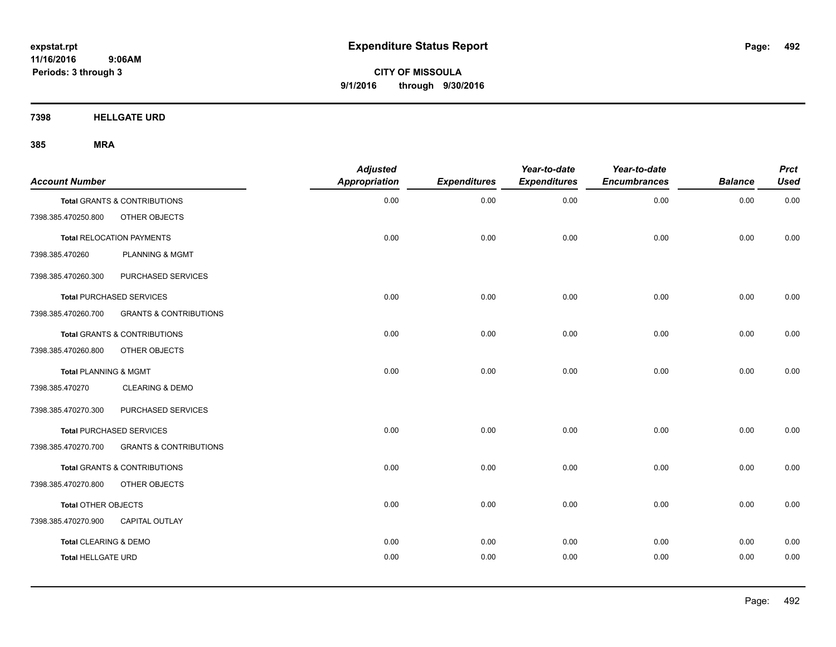**CITY OF MISSOULA 9/1/2016 through 9/30/2016**

**7398 HELLGATE URD**

| <b>Account Number</b>     |                                         | <b>Adjusted</b><br><b>Appropriation</b> | <b>Expenditures</b> | Year-to-date<br><b>Expenditures</b> | Year-to-date<br><b>Encumbrances</b> | <b>Balance</b> | <b>Prct</b><br><b>Used</b> |
|---------------------------|-----------------------------------------|-----------------------------------------|---------------------|-------------------------------------|-------------------------------------|----------------|----------------------------|
|                           | Total GRANTS & CONTRIBUTIONS            | 0.00                                    | 0.00                | 0.00                                | 0.00                                | 0.00           | 0.00                       |
| 7398.385.470250.800       | OTHER OBJECTS                           |                                         |                     |                                     |                                     |                |                            |
|                           | <b>Total RELOCATION PAYMENTS</b>        | 0.00                                    | 0.00                | 0.00                                | 0.00                                | 0.00           | 0.00                       |
| 7398.385.470260           | <b>PLANNING &amp; MGMT</b>              |                                         |                     |                                     |                                     |                |                            |
| 7398.385.470260.300       | PURCHASED SERVICES                      |                                         |                     |                                     |                                     |                |                            |
|                           | <b>Total PURCHASED SERVICES</b>         | 0.00                                    | 0.00                | 0.00                                | 0.00                                | 0.00           | 0.00                       |
| 7398.385.470260.700       | <b>GRANTS &amp; CONTRIBUTIONS</b>       |                                         |                     |                                     |                                     |                |                            |
|                           | Total GRANTS & CONTRIBUTIONS            | 0.00                                    | 0.00                | 0.00                                | 0.00                                | 0.00           | 0.00                       |
| 7398.385.470260.800       | OTHER OBJECTS                           |                                         |                     |                                     |                                     |                |                            |
| Total PLANNING & MGMT     |                                         | 0.00                                    | 0.00                | 0.00                                | 0.00                                | 0.00           | 0.00                       |
| 7398.385.470270           | <b>CLEARING &amp; DEMO</b>              |                                         |                     |                                     |                                     |                |                            |
| 7398.385.470270.300       | PURCHASED SERVICES                      |                                         |                     |                                     |                                     |                |                            |
|                           | <b>Total PURCHASED SERVICES</b>         | 0.00                                    | 0.00                | 0.00                                | 0.00                                | 0.00           | 0.00                       |
| 7398.385.470270.700       | <b>GRANTS &amp; CONTRIBUTIONS</b>       |                                         |                     |                                     |                                     |                |                            |
|                           | <b>Total GRANTS &amp; CONTRIBUTIONS</b> | 0.00                                    | 0.00                | 0.00                                | 0.00                                | 0.00           | 0.00                       |
| 7398.385.470270.800       | OTHER OBJECTS                           |                                         |                     |                                     |                                     |                |                            |
| Total OTHER OBJECTS       |                                         | 0.00                                    | 0.00                | 0.00                                | 0.00                                | 0.00           | 0.00                       |
| 7398.385.470270.900       | <b>CAPITAL OUTLAY</b>                   |                                         |                     |                                     |                                     |                |                            |
| Total CLEARING & DEMO     |                                         | 0.00                                    | 0.00                | 0.00                                | 0.00                                | 0.00           | 0.00                       |
| <b>Total HELLGATE URD</b> |                                         | 0.00                                    | 0.00                | 0.00                                | 0.00                                | 0.00           | 0.00                       |
|                           |                                         |                                         |                     |                                     |                                     |                |                            |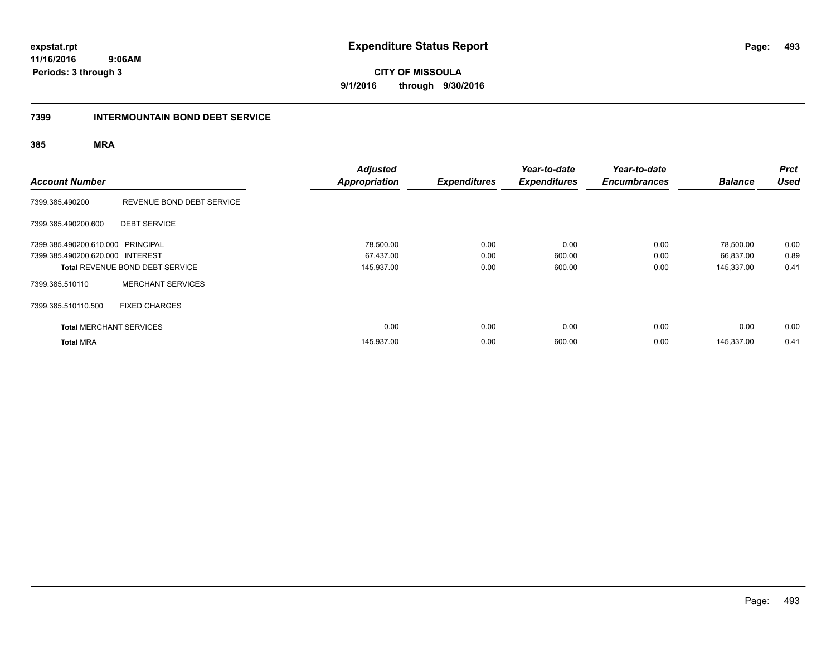**CITY OF MISSOULA 9/1/2016 through 9/30/2016**

#### **7399 INTERMOUNTAIN BOND DEBT SERVICE**

| <b>Account Number</b>                                                 |                                                                    | <b>Adjusted</b><br><b>Appropriation</b> | <b>Expenditures</b> | Year-to-date<br><b>Expenditures</b> | Year-to-date<br><b>Encumbrances</b> | <b>Balance</b>         | <b>Prct</b><br>Used |
|-----------------------------------------------------------------------|--------------------------------------------------------------------|-----------------------------------------|---------------------|-------------------------------------|-------------------------------------|------------------------|---------------------|
| 7399.385.490200                                                       | REVENUE BOND DEBT SERVICE                                          |                                         |                     |                                     |                                     |                        |                     |
| 7399.385.490200.600                                                   | <b>DEBT SERVICE</b>                                                |                                         |                     |                                     |                                     |                        |                     |
| 7399.385.490200.610.000 PRINCIPAL<br>7399.385.490200.620.000 INTEREST |                                                                    | 78,500.00<br>67,437.00                  | 0.00<br>0.00        | 0.00<br>600.00                      | 0.00<br>0.00                        | 78,500.00<br>66,837.00 | 0.00<br>0.89        |
| 7399.385.510110                                                       | <b>Total REVENUE BOND DEBT SERVICE</b><br><b>MERCHANT SERVICES</b> | 145,937.00                              | 0.00                | 600.00                              | 0.00                                | 145,337.00             | 0.41                |
| 7399.385.510110.500                                                   | <b>FIXED CHARGES</b>                                               |                                         |                     |                                     |                                     |                        |                     |
| <b>Total MERCHANT SERVICES</b>                                        |                                                                    | 0.00                                    | 0.00                | 0.00                                | 0.00                                | 0.00                   | 0.00                |
| <b>Total MRA</b>                                                      |                                                                    | 145,937.00                              | 0.00                | 600.00                              | 0.00                                | 145.337.00             | 0.41                |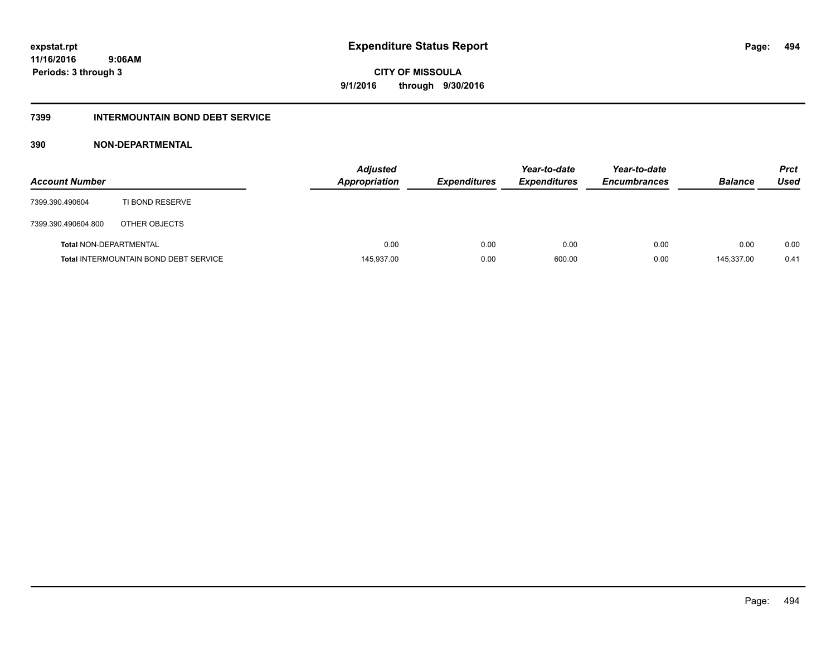# **CITY OF MISSOULA 9/1/2016 through 9/30/2016**

#### **7399 INTERMOUNTAIN BOND DEBT SERVICE**

### **390 NON-DEPARTMENTAL**

| <b>Account Number</b>         |                                              | <b>Adjusted</b><br><b>Appropriation</b> | <b>Expenditures</b> | Year-to-date<br><b>Expenditures</b> | Year-to-date<br><b>Encumbrances</b> | <b>Balance</b> | <b>Prct</b><br>Used |
|-------------------------------|----------------------------------------------|-----------------------------------------|---------------------|-------------------------------------|-------------------------------------|----------------|---------------------|
| 7399.390.490604               | TI BOND RESERVE                              |                                         |                     |                                     |                                     |                |                     |
| 7399.390.490604.800           | OTHER OBJECTS                                |                                         |                     |                                     |                                     |                |                     |
| <b>Total NON-DEPARTMENTAL</b> |                                              | 0.00                                    | 0.00                | 0.00                                | 0.00                                | 0.00           | 0.00                |
|                               | <b>Total INTERMOUNTAIN BOND DEBT SERVICE</b> | 145,937.00                              | 0.00                | 600.00                              | 0.00                                | 145.337.00     | 0.41                |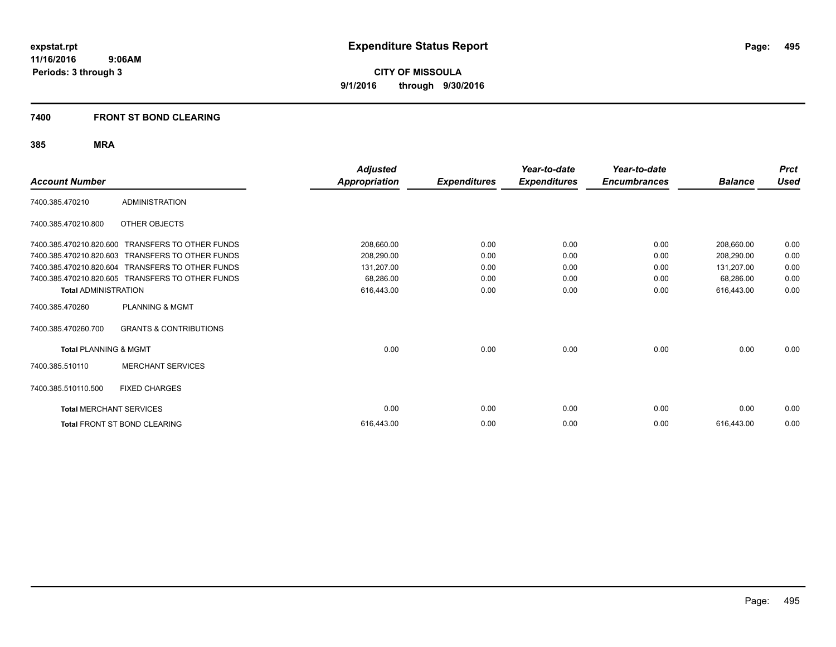**CITY OF MISSOULA 9/1/2016 through 9/30/2016**

### **7400 FRONT ST BOND CLEARING**

| <b>Account Number</b>            |                                     | <b>Adjusted</b><br><b>Appropriation</b> | <b>Expenditures</b> | Year-to-date<br><b>Expenditures</b> | Year-to-date<br><b>Encumbrances</b> | <b>Balance</b> | <b>Prct</b><br><b>Used</b> |
|----------------------------------|-------------------------------------|-----------------------------------------|---------------------|-------------------------------------|-------------------------------------|----------------|----------------------------|
| 7400.385.470210                  | <b>ADMINISTRATION</b>               |                                         |                     |                                     |                                     |                |                            |
| 7400.385.470210.800              | OTHER OBJECTS                       |                                         |                     |                                     |                                     |                |                            |
| 7400.385.470210.820.600          | <b>TRANSFERS TO OTHER FUNDS</b>     | 208,660.00                              | 0.00                | 0.00                                | 0.00                                | 208,660.00     | 0.00                       |
| 7400.385.470210.820.603          | <b>TRANSFERS TO OTHER FUNDS</b>     | 208,290.00                              | 0.00                | 0.00                                | 0.00                                | 208,290.00     | 0.00                       |
| 7400.385.470210.820.604          | <b>TRANSFERS TO OTHER FUNDS</b>     | 131,207.00                              | 0.00                | 0.00                                | 0.00                                | 131,207.00     | 0.00                       |
| 7400.385.470210.820.605          | TRANSFERS TO OTHER FUNDS            | 68,286.00                               | 0.00                | 0.00                                | 0.00                                | 68,286.00      | 0.00                       |
| <b>Total ADMINISTRATION</b>      |                                     | 616,443.00                              | 0.00                | 0.00                                | 0.00                                | 616,443.00     | 0.00                       |
| 7400.385.470260                  | <b>PLANNING &amp; MGMT</b>          |                                         |                     |                                     |                                     |                |                            |
| 7400.385.470260.700              | <b>GRANTS &amp; CONTRIBUTIONS</b>   |                                         |                     |                                     |                                     |                |                            |
| <b>Total PLANNING &amp; MGMT</b> |                                     | 0.00                                    | 0.00                | 0.00                                | 0.00                                | 0.00           | 0.00                       |
| 7400.385.510110                  | <b>MERCHANT SERVICES</b>            |                                         |                     |                                     |                                     |                |                            |
| 7400.385.510110.500              | <b>FIXED CHARGES</b>                |                                         |                     |                                     |                                     |                |                            |
| <b>Total MERCHANT SERVICES</b>   |                                     | 0.00                                    | 0.00                | 0.00                                | 0.00                                | 0.00           | 0.00                       |
|                                  | <b>Total FRONT ST BOND CLEARING</b> | 616.443.00                              | 0.00                | 0.00                                | 0.00                                | 616,443.00     | 0.00                       |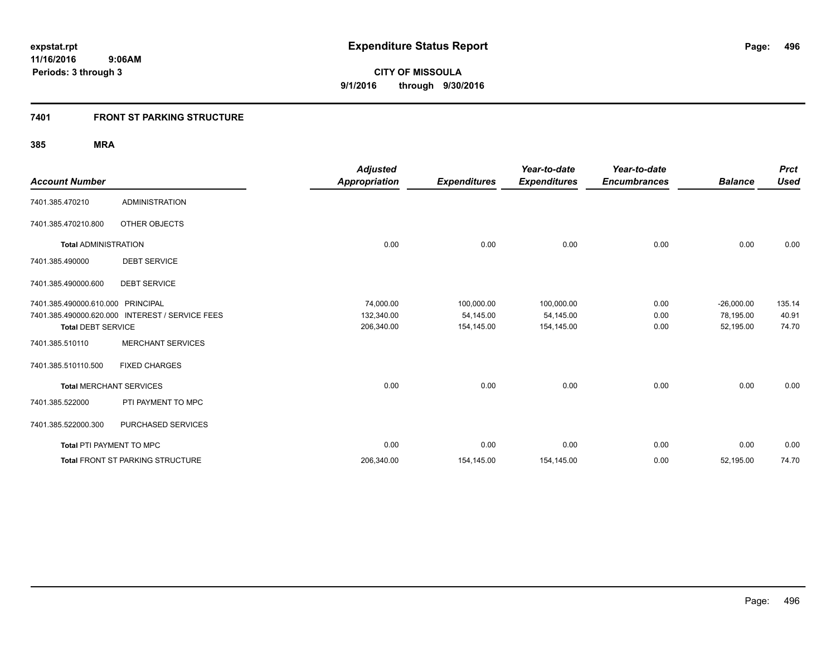### **7401 FRONT ST PARKING STRUCTURE**

| <b>Account Number</b>           |                                                 | <b>Adjusted</b><br><b>Appropriation</b> | <b>Expenditures</b> | Year-to-date<br><b>Expenditures</b> | Year-to-date<br><b>Encumbrances</b> | <b>Balance</b> | <b>Prct</b><br><b>Used</b> |
|---------------------------------|-------------------------------------------------|-----------------------------------------|---------------------|-------------------------------------|-------------------------------------|----------------|----------------------------|
| 7401.385.470210                 | <b>ADMINISTRATION</b>                           |                                         |                     |                                     |                                     |                |                            |
| 7401.385.470210.800             | <b>OTHER OBJECTS</b>                            |                                         |                     |                                     |                                     |                |                            |
| <b>Total ADMINISTRATION</b>     |                                                 | 0.00                                    | 0.00                | 0.00                                | 0.00                                | 0.00           | 0.00                       |
| 7401.385.490000                 | <b>DEBT SERVICE</b>                             |                                         |                     |                                     |                                     |                |                            |
| 7401.385.490000.600             | <b>DEBT SERVICE</b>                             |                                         |                     |                                     |                                     |                |                            |
| 7401.385.490000.610.000         | PRINCIPAL                                       | 74,000.00                               | 100,000.00          | 100,000.00                          | 0.00                                | $-26,000.00$   | 135.14                     |
|                                 | 7401.385.490000.620.000 INTEREST / SERVICE FEES | 132,340.00                              | 54,145.00           | 54,145.00                           | 0.00                                | 78,195.00      | 40.91                      |
| <b>Total DEBT SERVICE</b>       |                                                 | 206,340.00                              | 154,145.00          | 154,145.00                          | 0.00                                | 52,195.00      | 74.70                      |
| 7401.385.510110                 | <b>MERCHANT SERVICES</b>                        |                                         |                     |                                     |                                     |                |                            |
| 7401.385.510110.500             | <b>FIXED CHARGES</b>                            |                                         |                     |                                     |                                     |                |                            |
| <b>Total MERCHANT SERVICES</b>  |                                                 | 0.00                                    | 0.00                | 0.00                                | 0.00                                | 0.00           | 0.00                       |
| 7401.385.522000                 | PTI PAYMENT TO MPC                              |                                         |                     |                                     |                                     |                |                            |
| 7401.385.522000.300             | PURCHASED SERVICES                              |                                         |                     |                                     |                                     |                |                            |
| <b>Total PTI PAYMENT TO MPC</b> |                                                 | 0.00                                    | 0.00                | 0.00                                | 0.00                                | 0.00           | 0.00                       |
|                                 | Total FRONT ST PARKING STRUCTURE                | 206,340.00                              | 154,145.00          | 154,145.00                          | 0.00                                | 52,195.00      | 74.70                      |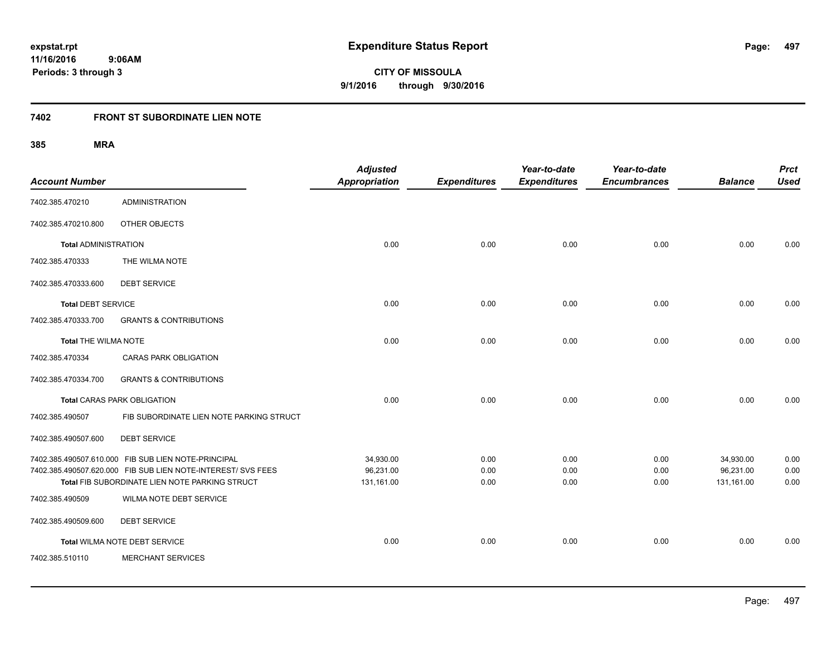**CITY OF MISSOULA 9/1/2016 through 9/30/2016**

# **7402 FRONT ST SUBORDINATE LIEN NOTE**

| <b>Account Number</b>       |                                                                                                                                                                       | <b>Adjusted</b><br><b>Appropriation</b> | <b>Expenditures</b>  | Year-to-date<br><b>Expenditures</b> | Year-to-date<br><b>Encumbrances</b> | <b>Balance</b>                       | <b>Prct</b><br><b>Used</b> |
|-----------------------------|-----------------------------------------------------------------------------------------------------------------------------------------------------------------------|-----------------------------------------|----------------------|-------------------------------------|-------------------------------------|--------------------------------------|----------------------------|
| 7402.385.470210             | <b>ADMINISTRATION</b>                                                                                                                                                 |                                         |                      |                                     |                                     |                                      |                            |
| 7402.385.470210.800         | OTHER OBJECTS                                                                                                                                                         |                                         |                      |                                     |                                     |                                      |                            |
| <b>Total ADMINISTRATION</b> |                                                                                                                                                                       | 0.00                                    | 0.00                 | 0.00                                | 0.00                                | 0.00                                 | 0.00                       |
| 7402.385.470333             | THE WILMA NOTE                                                                                                                                                        |                                         |                      |                                     |                                     |                                      |                            |
| 7402.385.470333.600         | <b>DEBT SERVICE</b>                                                                                                                                                   |                                         |                      |                                     |                                     |                                      |                            |
| <b>Total DEBT SERVICE</b>   |                                                                                                                                                                       | 0.00                                    | 0.00                 | 0.00                                | 0.00                                | 0.00                                 | 0.00                       |
| 7402.385.470333.700         | <b>GRANTS &amp; CONTRIBUTIONS</b>                                                                                                                                     |                                         |                      |                                     |                                     |                                      |                            |
| <b>Total THE WILMA NOTE</b> |                                                                                                                                                                       | 0.00                                    | 0.00                 | 0.00                                | 0.00                                | 0.00                                 | 0.00                       |
| 7402.385.470334             | CARAS PARK OBLIGATION                                                                                                                                                 |                                         |                      |                                     |                                     |                                      |                            |
| 7402.385.470334.700         | <b>GRANTS &amp; CONTRIBUTIONS</b>                                                                                                                                     |                                         |                      |                                     |                                     |                                      |                            |
|                             | <b>Total CARAS PARK OBLIGATION</b>                                                                                                                                    | 0.00                                    | 0.00                 | 0.00                                | 0.00                                | 0.00                                 | 0.00                       |
| 7402.385.490507             | FIB SUBORDINATE LIEN NOTE PARKING STRUCT                                                                                                                              |                                         |                      |                                     |                                     |                                      |                            |
| 7402.385.490507.600         | <b>DEBT SERVICE</b>                                                                                                                                                   |                                         |                      |                                     |                                     |                                      |                            |
|                             | 7402.385.490507.610.000 FIB SUB LIEN NOTE-PRINCIPAL<br>7402.385.490507.620.000 FIB SUB LIEN NOTE-INTEREST/ SVS FEES<br>Total FIB SUBORDINATE LIEN NOTE PARKING STRUCT | 34,930.00<br>96,231.00<br>131,161.00    | 0.00<br>0.00<br>0.00 | 0.00<br>0.00<br>0.00                | 0.00<br>0.00<br>0.00                | 34,930.00<br>96,231.00<br>131,161.00 | 0.00<br>0.00<br>0.00       |
| 7402.385.490509             | <b>WILMA NOTE DEBT SERVICE</b>                                                                                                                                        |                                         |                      |                                     |                                     |                                      |                            |
| 7402.385.490509.600         | <b>DEBT SERVICE</b>                                                                                                                                                   |                                         |                      |                                     |                                     |                                      |                            |
|                             | Total WILMA NOTE DEBT SERVICE                                                                                                                                         | 0.00                                    | 0.00                 | 0.00                                | 0.00                                | 0.00                                 | 0.00                       |
| 7402.385.510110             | <b>MERCHANT SERVICES</b>                                                                                                                                              |                                         |                      |                                     |                                     |                                      |                            |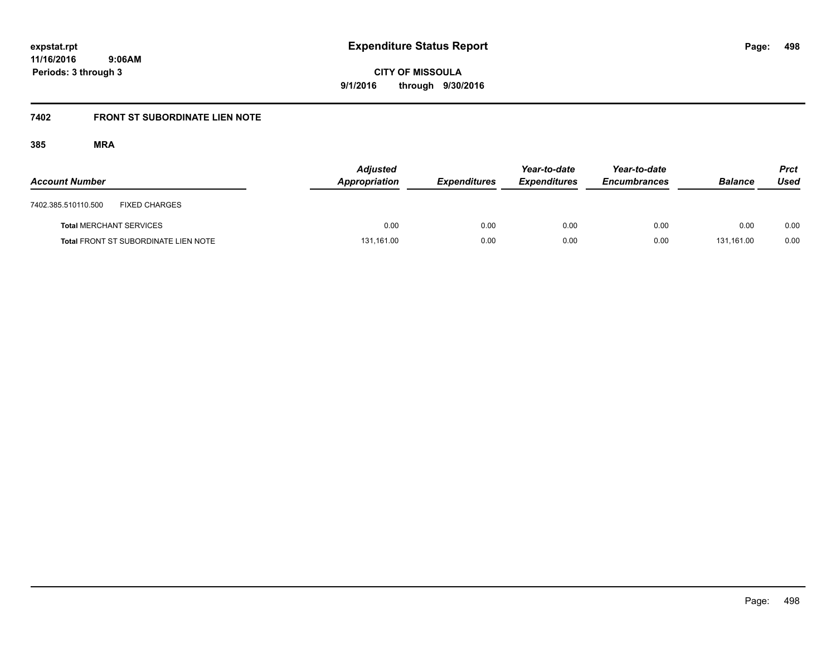**CITY OF MISSOULA 9/1/2016 through 9/30/2016**

# **7402 FRONT ST SUBORDINATE LIEN NOTE**

| <b>Account Number</b>          |                                             | <b>Adjusted</b><br>Appropriation | <b>Expenditures</b> | Year-to-date<br><b>Expenditures</b> | Year-to-date<br><b>Encumbrances</b> | <b>Balance</b> | <b>Prct</b><br>Used |
|--------------------------------|---------------------------------------------|----------------------------------|---------------------|-------------------------------------|-------------------------------------|----------------|---------------------|
| 7402.385.510110.500            | <b>FIXED CHARGES</b>                        |                                  |                     |                                     |                                     |                |                     |
| <b>Total MERCHANT SERVICES</b> |                                             | 0.00                             | 0.00                | 0.00                                | 0.00                                | 0.00           | 0.00                |
|                                | <b>Total FRONT ST SUBORDINATE LIEN NOTE</b> | 131,161.00                       | 0.00                | 0.00                                | 0.00                                | 131.161.00     | 0.00                |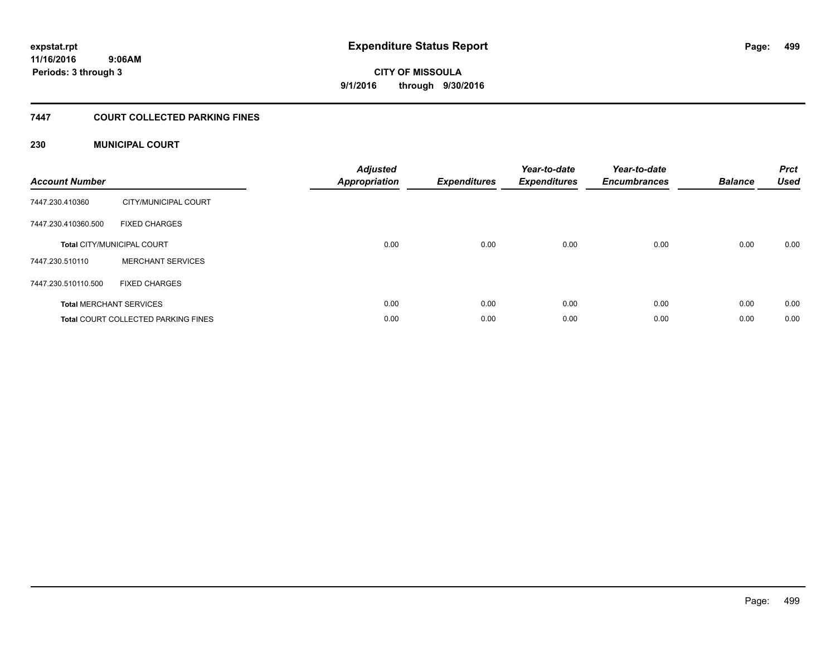**CITY OF MISSOULA 9/1/2016 through 9/30/2016**

### **7447 COURT COLLECTED PARKING FINES**

### **230 MUNICIPAL COURT**

| <b>Account Number</b> |                                            | <b>Adjusted</b><br>Appropriation | <b>Expenditures</b> | Year-to-date<br><b>Expenditures</b> | Year-to-date<br><b>Encumbrances</b> | <b>Balance</b> | <b>Prct</b><br><b>Used</b> |
|-----------------------|--------------------------------------------|----------------------------------|---------------------|-------------------------------------|-------------------------------------|----------------|----------------------------|
| 7447.230.410360       | CITY/MUNICIPAL COURT                       |                                  |                     |                                     |                                     |                |                            |
| 7447.230.410360.500   | <b>FIXED CHARGES</b>                       |                                  |                     |                                     |                                     |                |                            |
|                       | <b>Total CITY/MUNICIPAL COURT</b>          | 0.00                             | 0.00                | 0.00                                | 0.00                                | 0.00           | 0.00                       |
| 7447.230.510110       | <b>MERCHANT SERVICES</b>                   |                                  |                     |                                     |                                     |                |                            |
| 7447.230.510110.500   | <b>FIXED CHARGES</b>                       |                                  |                     |                                     |                                     |                |                            |
|                       | <b>Total MERCHANT SERVICES</b>             | 0.00                             | 0.00                | 0.00                                | 0.00                                | 0.00           | 0.00                       |
|                       | <b>Total COURT COLLECTED PARKING FINES</b> | 0.00                             | 0.00                | 0.00                                | 0.00                                | 0.00           | 0.00                       |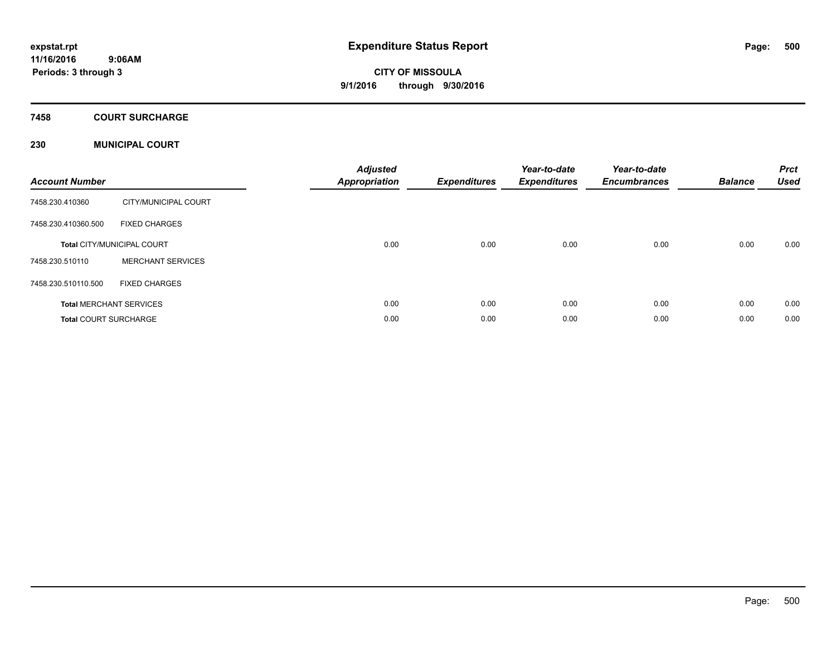### **7458 COURT SURCHARGE**

### **230 MUNICIPAL COURT**

| <b>Account Number</b>        |                                   | <b>Adjusted</b><br><b>Appropriation</b> | <b>Expenditures</b> | Year-to-date<br><b>Expenditures</b> | Year-to-date<br><b>Encumbrances</b> | <b>Balance</b> | <b>Prct</b><br><b>Used</b> |
|------------------------------|-----------------------------------|-----------------------------------------|---------------------|-------------------------------------|-------------------------------------|----------------|----------------------------|
| 7458.230.410360              | CITY/MUNICIPAL COURT              |                                         |                     |                                     |                                     |                |                            |
| 7458.230.410360.500          | <b>FIXED CHARGES</b>              |                                         |                     |                                     |                                     |                |                            |
|                              | <b>Total CITY/MUNICIPAL COURT</b> | 0.00                                    | 0.00                | 0.00                                | 0.00                                | 0.00           | 0.00                       |
| 7458.230.510110              | <b>MERCHANT SERVICES</b>          |                                         |                     |                                     |                                     |                |                            |
| 7458.230.510110.500          | <b>FIXED CHARGES</b>              |                                         |                     |                                     |                                     |                |                            |
|                              | <b>Total MERCHANT SERVICES</b>    | 0.00                                    | 0.00                | 0.00                                | 0.00                                | 0.00           | 0.00                       |
| <b>Total COURT SURCHARGE</b> |                                   | 0.00                                    | 0.00                | 0.00                                | 0.00                                | 0.00           | 0.00                       |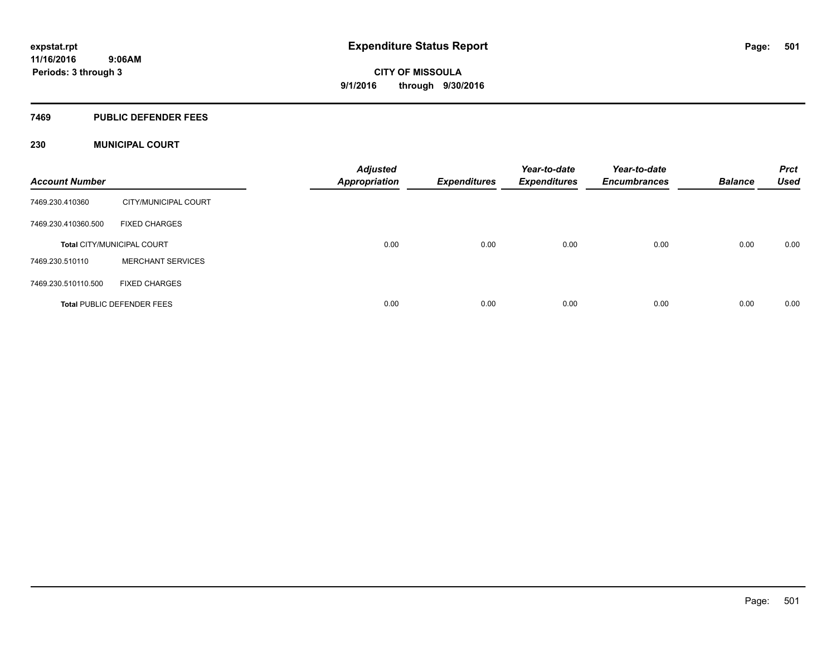#### **7469 PUBLIC DEFENDER FEES**

### **230 MUNICIPAL COURT**

| <b>Account Number</b> |                                   | <b>Adjusted</b><br><b>Appropriation</b> | <b>Expenditures</b> | Year-to-date<br><b>Expenditures</b> | Year-to-date<br><b>Encumbrances</b> | <b>Balance</b> | <b>Prct</b><br><b>Used</b> |
|-----------------------|-----------------------------------|-----------------------------------------|---------------------|-------------------------------------|-------------------------------------|----------------|----------------------------|
| 7469.230.410360       | CITY/MUNICIPAL COURT              |                                         |                     |                                     |                                     |                |                            |
| 7469.230.410360.500   | <b>FIXED CHARGES</b>              |                                         |                     |                                     |                                     |                |                            |
|                       | <b>Total CITY/MUNICIPAL COURT</b> | 0.00                                    | 0.00                | 0.00                                | 0.00                                | 0.00           | 0.00                       |
| 7469.230.510110       | <b>MERCHANT SERVICES</b>          |                                         |                     |                                     |                                     |                |                            |
| 7469.230.510110.500   | <b>FIXED CHARGES</b>              |                                         |                     |                                     |                                     |                |                            |
|                       | <b>Total PUBLIC DEFENDER FEES</b> | 0.00                                    | 0.00                | 0.00                                | 0.00                                | 0.00           | 0.00                       |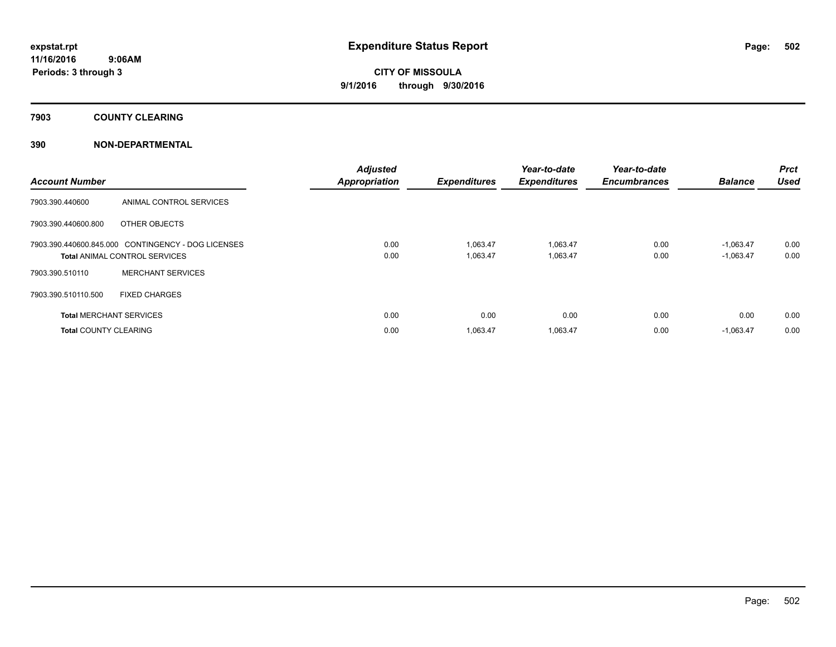### **7903 COUNTY CLEARING**

### **390 NON-DEPARTMENTAL**

| <b>Account Number</b>        |                                                                                            | <b>Adjusted</b><br><b>Appropriation</b> | <b>Expenditures</b>  | Year-to-date<br><b>Expenditures</b> | Year-to-date<br><b>Encumbrances</b> | <b>Balance</b>             | Prct<br><b>Used</b> |
|------------------------------|--------------------------------------------------------------------------------------------|-----------------------------------------|----------------------|-------------------------------------|-------------------------------------|----------------------------|---------------------|
| 7903.390.440600              | ANIMAL CONTROL SERVICES                                                                    |                                         |                      |                                     |                                     |                            |                     |
| 7903.390.440600.800          | OTHER OBJECTS                                                                              |                                         |                      |                                     |                                     |                            |                     |
|                              | 7903.390.440600.845.000 CONTINGENCY - DOG LICENSES<br><b>Total ANIMAL CONTROL SERVICES</b> | 0.00<br>0.00                            | 1.063.47<br>1,063.47 | 1,063.47<br>1,063.47                | 0.00<br>0.00                        | $-1.063.47$<br>$-1,063.47$ | 0.00<br>0.00        |
| 7903.390.510110              | <b>MERCHANT SERVICES</b>                                                                   |                                         |                      |                                     |                                     |                            |                     |
| 7903.390.510110.500          | <b>FIXED CHARGES</b>                                                                       |                                         |                      |                                     |                                     |                            |                     |
|                              | <b>Total MERCHANT SERVICES</b>                                                             | 0.00                                    | 0.00                 | 0.00                                | 0.00                                | 0.00                       | 0.00                |
| <b>Total COUNTY CLEARING</b> |                                                                                            | 0.00                                    | 1,063.47             | 1,063.47                            | 0.00                                | $-1,063.47$                | 0.00                |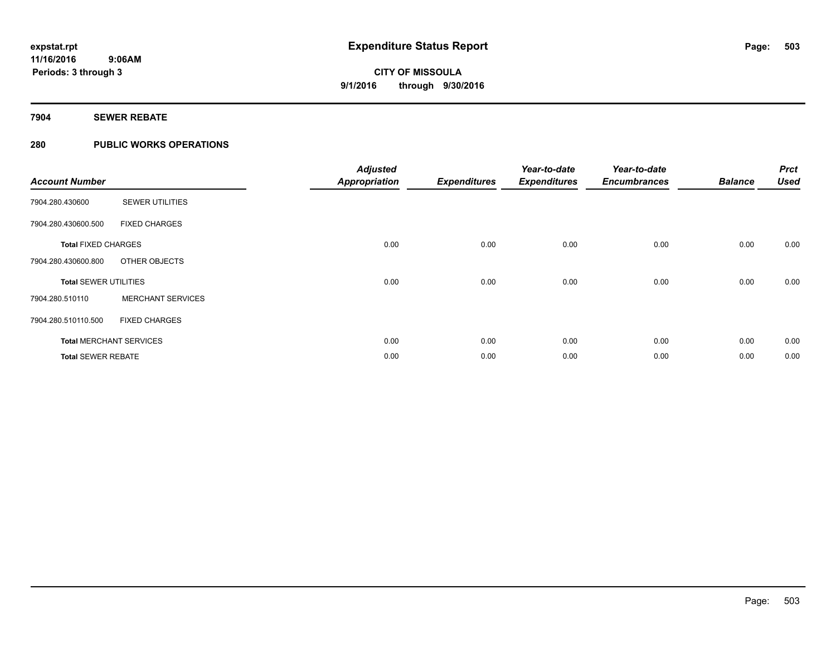### **7904 SEWER REBATE**

### **280 PUBLIC WORKS OPERATIONS**

| <b>Account Number</b>        |                                | <b>Adjusted</b><br><b>Appropriation</b> | <b>Expenditures</b> | Year-to-date<br><b>Expenditures</b> | Year-to-date<br><b>Encumbrances</b> | <b>Balance</b> | <b>Prct</b><br><b>Used</b> |
|------------------------------|--------------------------------|-----------------------------------------|---------------------|-------------------------------------|-------------------------------------|----------------|----------------------------|
| 7904.280.430600              | <b>SEWER UTILITIES</b>         |                                         |                     |                                     |                                     |                |                            |
| 7904.280.430600.500          | <b>FIXED CHARGES</b>           |                                         |                     |                                     |                                     |                |                            |
| <b>Total FIXED CHARGES</b>   |                                | 0.00                                    | 0.00                | 0.00                                | 0.00                                | 0.00           | 0.00                       |
| 7904.280.430600.800          | OTHER OBJECTS                  |                                         |                     |                                     |                                     |                |                            |
| <b>Total SEWER UTILITIES</b> |                                | 0.00                                    | 0.00                | 0.00                                | 0.00                                | 0.00           | 0.00                       |
| 7904.280.510110              | <b>MERCHANT SERVICES</b>       |                                         |                     |                                     |                                     |                |                            |
| 7904.280.510110.500          | <b>FIXED CHARGES</b>           |                                         |                     |                                     |                                     |                |                            |
|                              | <b>Total MERCHANT SERVICES</b> | 0.00                                    | 0.00                | 0.00                                | 0.00                                | 0.00           | 0.00                       |
| <b>Total SEWER REBATE</b>    |                                | 0.00                                    | 0.00                | 0.00                                | 0.00                                | 0.00           | 0.00                       |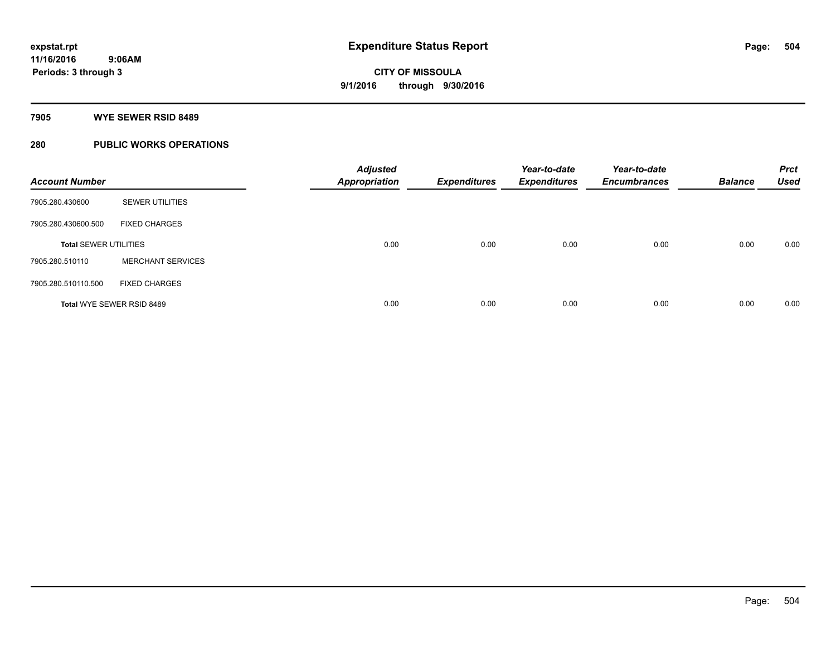#### **7905 WYE SEWER RSID 8489**

### **280 PUBLIC WORKS OPERATIONS**

| <b>Account Number</b>        |                           | <b>Adjusted</b><br><b>Appropriation</b> | <b>Expenditures</b> | Year-to-date<br><b>Expenditures</b> | Year-to-date<br><b>Encumbrances</b> | <b>Balance</b> | <b>Prct</b><br><b>Used</b> |
|------------------------------|---------------------------|-----------------------------------------|---------------------|-------------------------------------|-------------------------------------|----------------|----------------------------|
| 7905.280.430600              | <b>SEWER UTILITIES</b>    |                                         |                     |                                     |                                     |                |                            |
| 7905.280.430600.500          | <b>FIXED CHARGES</b>      |                                         |                     |                                     |                                     |                |                            |
| <b>Total SEWER UTILITIES</b> |                           | 0.00                                    | 0.00                | 0.00                                | 0.00                                | 0.00           | 0.00                       |
| 7905.280.510110              | <b>MERCHANT SERVICES</b>  |                                         |                     |                                     |                                     |                |                            |
| 7905.280.510110.500          | <b>FIXED CHARGES</b>      |                                         |                     |                                     |                                     |                |                            |
|                              | Total WYE SEWER RSID 8489 | 0.00                                    | 0.00                | 0.00                                | 0.00                                | 0.00           | 0.00                       |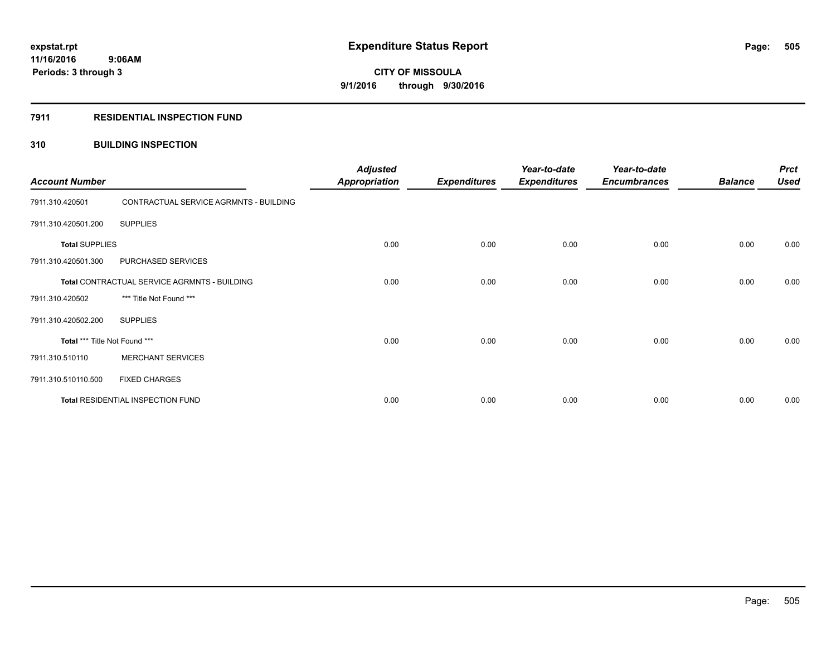# **CITY OF MISSOULA 9/1/2016 through 9/30/2016**

#### **7911 RESIDENTIAL INSPECTION FUND**

## **310 BUILDING INSPECTION**

| <b>Account Number</b>                        |                                        | <b>Adjusted</b><br><b>Appropriation</b> | <b>Expenditures</b> | Year-to-date<br><b>Expenditures</b> | Year-to-date<br><b>Encumbrances</b> | <b>Balance</b> | <b>Prct</b><br><b>Used</b> |
|----------------------------------------------|----------------------------------------|-----------------------------------------|---------------------|-------------------------------------|-------------------------------------|----------------|----------------------------|
| 7911.310.420501                              | CONTRACTUAL SERVICE AGRMNTS - BUILDING |                                         |                     |                                     |                                     |                |                            |
| 7911.310.420501.200                          | <b>SUPPLIES</b>                        |                                         |                     |                                     |                                     |                |                            |
| <b>Total SUPPLIES</b>                        |                                        | 0.00                                    | 0.00                | 0.00                                | 0.00                                | 0.00           | 0.00                       |
| 7911.310.420501.300                          | PURCHASED SERVICES                     |                                         |                     |                                     |                                     |                |                            |
| Total CONTRACTUAL SERVICE AGRMNTS - BUILDING |                                        | 0.00                                    | 0.00                | 0.00                                | 0.00                                | 0.00           | 0.00                       |
| 7911.310.420502                              | *** Title Not Found ***                |                                         |                     |                                     |                                     |                |                            |
| 7911.310.420502.200                          | <b>SUPPLIES</b>                        |                                         |                     |                                     |                                     |                |                            |
| Total *** Title Not Found ***                |                                        | 0.00                                    | 0.00                | 0.00                                | 0.00                                | 0.00           | 0.00                       |
| 7911.310.510110                              | <b>MERCHANT SERVICES</b>               |                                         |                     |                                     |                                     |                |                            |
| 7911.310.510110.500                          | <b>FIXED CHARGES</b>                   |                                         |                     |                                     |                                     |                |                            |
| Total RESIDENTIAL INSPECTION FUND            |                                        | 0.00                                    | 0.00                | 0.00                                | 0.00                                | 0.00           | 0.00                       |